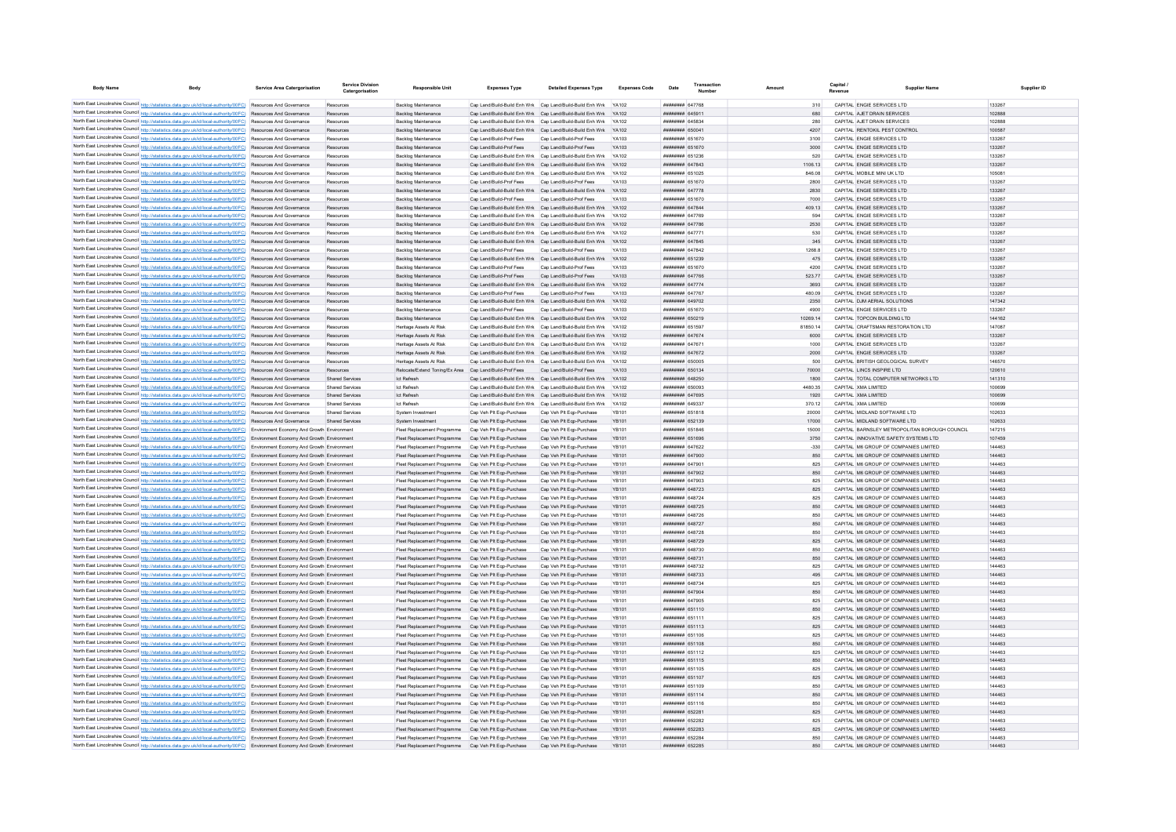| <b>Body Name</b>                            | <b>Body</b>                                                                                                                                                                                                                                                            | Service Area Catergorisation               | Service Division<br>Catergorisation | <b>Responsible Unit</b>                                                       | <b>Expenses Type</b>                                      | <b>Detailed Expenses Type</b>                                                                                                      | <b>Expenses Code</b>         | Date                                    | Transactio<br>Numbe |               | <b>Canital</b><br>Revenue | <b>Supplier Name</b>                                                           | Supplier ID      |
|---------------------------------------------|------------------------------------------------------------------------------------------------------------------------------------------------------------------------------------------------------------------------------------------------------------------------|--------------------------------------------|-------------------------------------|-------------------------------------------------------------------------------|-----------------------------------------------------------|------------------------------------------------------------------------------------------------------------------------------------|------------------------------|-----------------------------------------|---------------------|---------------|---------------------------|--------------------------------------------------------------------------------|------------------|
|                                             |                                                                                                                                                                                                                                                                        |                                            |                                     |                                                                               |                                                           |                                                                                                                                    |                              |                                         |                     |               |                           |                                                                                |                  |
|                                             | North East Lincolnshire Council http://statistics.data.gov.uk/id/local-authority/00FC) Resources And Governance                                                                                                                                                        |                                            | Resources                           | <b>Backlog Maintenance</b>                                                    |                                                           | Cap Land/Build-Build Enh Wrk Cap Land/Build-Build Enh Wrk YA102                                                                    |                              | <b>HUBHHHH 647768</b>                   |                     |               |                           | CAPITAL ENGIE SERVICES LTD                                                     | 133267           |
|                                             | North East Lincolnshire Council http://statistics.data.gov.uk/id/local-authority/00FC) Resources And Governance<br>North East Lincolnshire Council http://statistics.data.gov.uk/id/local-authority/00FC) Resources And Governance                                     |                                            | Resources                           | <b>Backlog Maintenance</b>                                                    |                                                           | Cap Land/Build-Build Enh Wrk Cap Land/Build-Build Enh Wrk YA102                                                                    |                              | <b>HUHHHHH 645911</b><br>HHHHHHH 645834 |                     | 680<br>280    |                           | CAPITAL AJET DRAIN SERVICES<br>CAPITAL A IFT DRAIN SERVICES                    | 102888<br>102888 |
|                                             | North East Lincolnshire Council http://statistics.data.gov.uk/id/local-authority/00FC) Resources And Governance                                                                                                                                                        |                                            | Resources<br>Resources              | Backlog Maintenance<br>Backlog Maintenance                                    |                                                           | Cap Land/Build-Build Enh Wrk Cap Land/Build-Build Enh Wrk YA102<br>Cap Land/Build-Build Enh Wrk Cap Land/Build-Build Enh Wrk YA102 |                              | ######## 650041                         |                     | 4207          |                           | CAPITAL RENTOKIL PEST CONTROL                                                  | 100587           |
|                                             | North East Lincolnshire Council http://statistics.data.gov.uk/id/local-authority/00FC) Resources And Governance                                                                                                                                                        |                                            | Resources                           | <b>Backlog Maintenance</b>                                                    | Cap Land/Build-Prof Fees                                  | Cap Land/Build-Prof Fees                                                                                                           | YA103                        | ######## 651670                         |                     | 3100          |                           | CAPITAL ENGIE SERVICES LTD                                                     | 133267           |
|                                             | North East Lincolnshire Council http://statistics.data.gov.uk/id/local-authority/00FC) Resources And Governance                                                                                                                                                        |                                            | Resources                           | <b>Backlog Maintenance</b>                                                    | Cap Land/Build-Prof Fees                                  | Cap Land/Build-Prof Fees                                                                                                           | YA103                        | ######## 651670                         |                     | 3000          |                           | CAPITAL ENGIE SERVICES LTD                                                     | 133267           |
|                                             | North East Lincolnshire Council http://statistics.data.gov.uk/id/local-authority/00FC) Resources And Governance                                                                                                                                                        |                                            | Resources                           | <b>Backlog Maintenance</b>                                                    |                                                           | Cap Land/Build-Build Enh Wrk Cap Land/Build-Build Enh Wrk YA102                                                                    |                              | ######## 651236                         |                     | 520           |                           | CAPITAL ENGIE SERVICES LTD                                                     | 133267           |
|                                             | North East Lincolnshire Council http://statistics.data.gov.uk/id/local-authority/00FC) Resources And Governance                                                                                                                                                        |                                            | Resources                           | <b>Backlog Maintenance</b>                                                    |                                                           | Cap Land/Build-Build Enh Wrk Cap Land/Build-Build Enh Wrk                                                                          | <b>YA102</b>                 | ######## 647843                         |                     | 1106.13       |                           | CAPITAL ENGIE SERVICES LTD                                                     | 133267           |
|                                             | North East Lincolnshire Council http://statistics.data.gov.uk/id/local-authority/00FC) Resources And Governance                                                                                                                                                        |                                            | Resources                           | <b>Backlog Maintenance</b>                                                    |                                                           | Cap Land/Build-Build Enh Wrk Cap Land/Build-Build Enh Wrk                                                                          | YA102                        | ######## 651025                         |                     | 846.08        |                           | CAPITAL MOBILE MINI UK LTD                                                     | 105081           |
|                                             | North East Lincolnshire Council http://statistics.data.gov.uk/id/local-authority/00FC) Resources And Governance                                                                                                                                                        |                                            | Resources                           | Backlog Maintenance                                                           | Cap Land/Build-Prof Fees                                  | Cap Land/Build-Prof Fees                                                                                                           | YA103                        | ######## 651670                         |                     | 2800          |                           | CAPITAL ENGIE SERVICES LTD                                                     | 133267           |
|                                             | North East Lincolnshire Council http://statistics.data.gov.uk/id/local-authority/00FC) Resources And Governance                                                                                                                                                        |                                            | Resources                           | <b>Backlog Maintenance</b>                                                    | Cap Land/Build-Build Enh Wrk Cap Land/Build-Build Enh Wrk |                                                                                                                                    | <b>YA102</b>                 | ######## 647778                         |                     | 2830          |                           | CAPITAL ENGIE SERVICES LTD                                                     | 133267           |
|                                             | North East Lincolnshire Council http://statistics.data.gov.uk/id/local-authority/00FC)                                                                                                                                                                                 | Resources And Governance                   | Resources                           | <b>Backlog Maintenance</b>                                                    | Cap Land/Build-Prof Fees                                  | Cap Land/Build-Prof Fees                                                                                                           |                              | ######## 651670                         |                     | 7000          |                           | CAPITAL ENGIE SERVICES LTD                                                     | 133267           |
|                                             | North East Lincolnshire Council http://statistics.data.gov.uk/id/local-authority/00FC)                                                                                                                                                                                 | Resources And Governance                   | Resources                           | <b>Backlog Maintenance</b>                                                    | Cap Land/Build-Build Enh Wrk Cap Land/Build-Build Enh Wrk |                                                                                                                                    |                              | ######## 647844                         |                     | 409.13        |                           | CAPITAL ENGIE SERVICES LTD                                                     | 133267           |
|                                             | North East Lincolnshire Council http://statistics.data.gov.uk/id/local-authority/00FC)                                                                                                                                                                                 | Resources And Governance                   | Resources                           | <b>Backlog Maintenance</b>                                                    | Cap Land/Build-Build Enh Wrk Cap Land/Build-Build Enh Wrk |                                                                                                                                    | YA102                        | ######## 647769                         |                     | 594           |                           | CAPITAL ENGIE SERVICES LTD                                                     | 133267           |
|                                             | North East Lincolnshire Council http://statistics.data.gov.uk/id/local-authority/00FC) Resources And Governance                                                                                                                                                        |                                            | Resources                           | <b>Backlog Maintenance</b>                                                    | Cap Land/Build-Build Enh Wrk Cap Land/Build-Build Enh Wrk |                                                                                                                                    | YA102                        | ######## 647786                         |                     | 2530          |                           | CAPITAL ENGIE SERVICES LTD                                                     | 133267           |
|                                             | North East Lincolnshire Council http://statistics.data.gov.uk/id/local-authority/00FC) Resources And Governance                                                                                                                                                        |                                            | Resources                           | Backlog Maintenance                                                           | Cap Land/Build-Build Enh Wrk Cap Land/Build-Build Enh Wrk |                                                                                                                                    | YA102                        | ######## 647771                         |                     | 530           |                           | CAPITAL ENGIE SERVICES LTD                                                     | 133267           |
|                                             | North East Lincolnshire Council http://statistics.data.gov.uk/id/local-authority/00FC) Resources And Governance                                                                                                                                                        |                                            | Resources                           | <b>Backlog Maintenance</b>                                                    | Cap Land/Build-Build Enh Wrk Cap Land/Build-Build Enh Wrk |                                                                                                                                    | YA102                        | ######## 647845                         |                     | 345           |                           | CAPITAL ENGIE SERVICES LTD                                                     | 133267           |
|                                             | North East Lincolnshire Council http://statistics.data.gov.uk/id/local-authority/00FC) Resources And Governance                                                                                                                                                        |                                            | Resources                           | <b>Backlog Maintenance</b>                                                    | Cap Land/Build-Prof Fees                                  | Cap Land/Build-Prof Fees                                                                                                           | YA103                        | ######## 647842                         |                     | 1268.8        |                           | CAPITAL ENGIE SERVICES LTD                                                     | 133267           |
|                                             | North East Lincolnshire Council http://statistics.data.gov.uk/id/local-authority/00FC) Resources And Governance                                                                                                                                                        |                                            | Resources                           | <b>Backlog Maintenance</b>                                                    |                                                           | Cap Land/Build-Build Enh Wrk Cap Land/Build-Build Enh Wrk                                                                          | YA102                        | ######## 651239                         |                     | 475           |                           | CAPITAL ENGIE SERVICES LTD                                                     | 133267           |
|                                             | North East Lincolnshire Council http://statistics.data.gov.uk/id/local-authority/00FC) Resources And Governance                                                                                                                                                        |                                            | Resources                           | <b>Backlog Maintenance</b>                                                    | Cap Land/Build-Prof Fees                                  | Cap Land/Build-Prof Fees                                                                                                           | YA103                        | ######## 651670                         |                     | 4200          |                           | CAPITAL ENGIE SERVICES LTD                                                     | 133267           |
|                                             | North East Lincolnshire Council http://statistics.data.gov.uk/id/local-authority/00FC) Resources And Governance                                                                                                                                                        |                                            | Resources                           | <b>Backlog Maintenance</b>                                                    | Cap Land/Build-Prof Fees                                  | Cap Land/Build-Prof Fees                                                                                                           | YA103                        | <b><i>BREEZEEE 647766</i></b>           |                     | 523.77        |                           | CAPITAL ENGIE SERVICES LTD                                                     | 133267           |
|                                             | North East Lincolnshire Council http://statistics.data.gov.uk/id/local-authority/00FC) Resources And Governance                                                                                                                                                        |                                            | Resources                           | Backlog Maintenance                                                           |                                                           | Cap Land/Build-Build Enh Wrk Cap Land/Build-Build Enh Wrk                                                                          | <b>YA102</b>                 | <b><i>BRENHHHH 647774</i></b>           |                     | 3693          |                           | CAPITAL ENGIE SERVICES LTD                                                     | 133267           |
|                                             | North East Lincolnshire Council http://statistics.data.gov.uk/id/local-authority/00FC) Resources And Governance                                                                                                                                                        |                                            | Resources                           | Backlog Maintenance                                                           | Cap Land/Build-Prof Fees                                  | Cap Land/Build-Prof Fees                                                                                                           | YA103                        | ######## 647767                         |                     | 480.09        |                           | CAPITAL ENGIE SERVICES LTD                                                     | 133267           |
|                                             | North East Lincolnshire Council http://statistics.data.gov.uk/id/local-authority/00FC) Resources And Governance                                                                                                                                                        |                                            | Resources                           | <b>Backlog Maintenance</b>                                                    | Cap Land/Build-Build Enh Wrk Cap Land/Build-Build Enh Wrk |                                                                                                                                    | YA102                        | ######## 649702                         |                     | 2350          |                           | CAPITAL DJM AERIAL SOLUTIONS                                                   | 147342           |
|                                             | North East Lincolnshire Council http://statistics.data.gov.uk/id/local-authority/00FC) Resources And Governance                                                                                                                                                        |                                            | Resources                           | Backlog Maintenance                                                           | Cap Land/Build-Prof Fees                                  | Cap Land/Build-Prof Fees                                                                                                           |                              | ####### 651670                          |                     | 4900          |                           | CAPITAL ENGIE SERVICES LTD                                                     | 133267           |
|                                             | North East Lincolnshire Council http://statistics.data.gov.uk/id/local-authority/00FC) Resources And Governance                                                                                                                                                        |                                            | Resources                           | Backlog Maintenance                                                           | Cap Land/Build-Build Enh Wrk Cap Land/Build-Build Enh Wrk |                                                                                                                                    | YA102                        | ######## 650219                         |                     | 10269.14      |                           | CAPITAL TOPCON BUILDING LTD                                                    | 144162           |
|                                             | North East Lincolnshire Council http://statistics.data.gov.uk/id/local-authority/00FC) Resources And Governance                                                                                                                                                        |                                            | Resources                           | Heritage Assets At Risk                                                       |                                                           | Cap Land/Build-Build Enh Wrk Cap Land/Build-Build Enh Wrk YA102                                                                    |                              | <b>BREEZER 651597</b>                   |                     | 8185014       |                           | CAPITAL CRAFTSMAN RESTORATION LTD                                              | 147087           |
|                                             | North East Lincolnshire Council http://statistics.data.gov.uk/id/local-authority/00FC) Resources And Governance                                                                                                                                                        |                                            | Resources                           | Heritage Assets At Risk                                                       |                                                           | Cap Land/Build-Build Enh Wrk Cap Land/Build-Build Enh Wrk                                                                          | YA102                        | ######## 647674                         |                     | 6000          |                           | CAPITAL ENGIE SERVICES LTD                                                     | 133267           |
|                                             | North East Lincolnshire Council http://statistics.data.gov.uk/id/local-authority/00FC) Resources And Governance                                                                                                                                                        |                                            | Resources                           | Heritage Assets At Risk                                                       |                                                           | Cap Land/Build-Build Enh Wrk Cap Land/Build-Build Enh Wrk YA102                                                                    |                              | ######## 647671                         |                     | 1000          |                           | CAPITAL ENGIE SERVICES LTD                                                     | 133267<br>133267 |
|                                             | North East Lincolnshire Council http://statistics.data.gov.uk/id/local-authority/00FC) Resources And Governance                                                                                                                                                        |                                            | Resources                           | Heritage Assets At Risk                                                       |                                                           | Cap Land/Build-Build Enh Wrk Cap Land/Build-Build Enh Wrk YA102                                                                    |                              | ######## 647672                         |                     | 2000          |                           | CAPITAL ENGIE SERVICES LTD                                                     |                  |
|                                             | North East Lincolnshire Council http://statistics.data.gov.uk/id/local-authority/00FC) Resources And Governance                                                                                                                                                        |                                            | Resources                           | Heritage Assets At Risk                                                       |                                                           | Cap Land/Build-Build Enh Wrk Cap Land/Build-Build Enh Wrk YA102                                                                    |                              | ######## 650005                         |                     | 500           |                           | CAPITAL BRITISH GEOLOGICAL SURVEY                                              | 146570           |
|                                             | North East Lincolnshire Council http://statistics.data.gov.uk/id/local-authority/00FC) Resources And Governance                                                                                                                                                        |                                            | Resources<br><b>Shared Services</b> | Relocate/Extend Toning/Ex Area Cap Land/Build-Prof Fees<br><b>Ict Refresh</b> |                                                           | Cap Land/Build-Prof Fees                                                                                                           | YA103                        | ######## 650134<br>######## 648250      |                     | 70000<br>1800 |                           | CAPITAL LINCS INSPIRE LTD                                                      | 120610<br>141310 |
|                                             | North East Lincolnshire Council http://statistics.data.gov.uk/id/local-authority/00FC) Resources And Governance<br>North East Lincolnshire Council http://statistics.data.gov.uk/id/local-authority/00FC) Resources And Governance                                     |                                            | <b>Shared Services</b>              | <b>Ict Refresh</b>                                                            |                                                           | Cap Land/Build-Build Enh Wrk Cap Land/Build-Build Enh Wrk YA102<br>Cap Land/Build-Build Enh Wrk Cap Land/Build-Build Enh Wrk       | YA102                        | ######## 650093                         |                     | 4480.35       |                           | CAPITAL TOTAL COMPUTER NETWORKS LTD<br>CAPITAL XMA LIMITED                     | 100699           |
|                                             | North East Lincolnshire Council http://statistics.data.gov.uk/id/local-authority/00FC) Resources And Governance                                                                                                                                                        |                                            | <b>Shared Services</b>              | <b>Ict Refresh</b>                                                            |                                                           | Cap Land/Build-Build Enh Wrk Cap Land/Build-Build Enh Wrk                                                                          | YA102                        | ###########647695                       |                     | 1920          |                           | CAPITAL XMA LIMITED                                                            | 100699           |
|                                             | North East Lincolnshire Council http://statistics.data.gov.uk/id/local-authority/00FC) Resources And Governance                                                                                                                                                        |                                            | <b>Shared Services</b>              | <b>Ict Refresh</b>                                                            | Cap Land/Build-Build Enh Wrk Cap Land/Build-Build Enh Wrk |                                                                                                                                    | YA102                        | ######## 649337                         |                     | 370.12        |                           | CAPITAL XMA LIMITED                                                            | 100699           |
| North East Lincolnshire Council http://stat | tics.data.gov.uk/id/local-authority/00FC) Resources And Governance                                                                                                                                                                                                     |                                            | <b>Shared Services</b>              | System Investment                                                             | Cap Veh Plt Eqp-Purchase                                  | Cap Veh Plt Eqp-Purchase                                                                                                           | <b>YB101</b>                 | ######## 651818                         |                     | 20000         |                           | CAPITAL MIDLAND SOFTWARE LTD                                                   | 102633           |
|                                             | North East Lincolnshire Council http://statistics.data.gov.uk/id/local-authority/00FC)                                                                                                                                                                                 | Resources And Governance                   | <b>Shared Services</b>              | System Investment                                                             | Cap Veh Plt Eqp-Purchase                                  | Cap Veh Plt Eqp-Purchase                                                                                                           | YB101                        | ######## 652139                         |                     | 17000         |                           | CAPITAL MIDLAND SOFTWARE LTD                                                   | 102633           |
|                                             | North East Lincolnshire Council http://statistics.data.gov.uk/id/local-authority/00FC) Environment Economy And Growth Environmen                                                                                                                                       |                                            |                                     | Fleet Replacement Programme                                                   | Cap Veh Plt Eqp-Purchase                                  | Cap Veh Pit Eqp-Purchase                                                                                                           | <b>YB101</b>                 | ######## 651846                         |                     | 15000         |                           | CAPITAL BARNSLEY METROPOLITAN BOROUGH COUNCIL                                  | 147215           |
|                                             | North East Lincolnshire Council http://statistics.data.gov.uk/id/local-authority/00FC) Environment Economy And Growth Environment                                                                                                                                      |                                            |                                     | Fleet Replacement Programme                                                   | Cap Veh Plt Eqp-Purchase                                  | Cap Veh Pit Eqp-Purchase                                                                                                           | YB101                        | ######## 651696                         |                     | 3750          |                           | CAPITAL INNOVATIVE SAFETY SYSTEMS LTD                                          | 107459           |
|                                             | North East Lincolnshire Council http://statistics.data.gov.uk/id/local-authority/00FC) Environment Economy And Growth Environment                                                                                                                                      |                                            |                                     | Fleet Replacement Programme                                                   | Cap Veh Plt Eqp-Purchase                                  | Cap Veh Plt Eqp-Purchase                                                                                                           | YB101                        | ######## 647622                         |                     | $-330$        |                           | CAPITAL M6 GROUP OF COMPANIES LIMITED                                          | 144463           |
|                                             | North East Lincolnshire Council http://statistics.data.gov.uk/id/local-authority/00FC) Environment Economy And Growth Environment                                                                                                                                      |                                            |                                     | Fleet Replacement Programme                                                   | Cap Veh Plt Eqp-Purchase                                  | Cap Veh Plt Eqp-Purchase                                                                                                           | YB101                        | ######## 647900                         |                     | 850           |                           | CAPITAL M6 GROUP OF COMPANIES LIMITED                                          | 144463           |
|                                             | North East Lincolnshire Council http://statistics.data.gov.uk/id/local-authority/00FC) Environment Economy And Growth Environment                                                                                                                                      |                                            |                                     | Fleet Replacement Programme                                                   | Cap Veh Plt Eqp-Purchase                                  | Cap Veh Plt Eqp-Purchase                                                                                                           | YB101                        | ######## 647901                         |                     | 825           |                           | CAPITAL M6 GROUP OF COMPANIES LIMITED                                          | 144463           |
|                                             | North East Lincolnshire Council http://statistics.data.gov.uk/id/local-authority/00FC) Environment Economy And Growth Environment                                                                                                                                      |                                            |                                     | Fleet Replacement Programme                                                   | Cap Veh Plt Eqp-Purchase                                  | Cap Veh Plt Eqp-Purchase                                                                                                           | <b>YB101</b>                 | ######## 647902                         |                     | 850           |                           | CAPITAL M6 GROUP OF COMPANIES LIMITED                                          | 144463           |
|                                             | North East Lincolnshire Council http://statistics.data.gov.uk/id/local-authority/00FC) Environment Economy And Growth Environment                                                                                                                                      |                                            |                                     | Fleet Replacement Programme                                                   | Cap Veh Plt Eqp-Purchase                                  | Cap Veh Pit Eqp-Purchase                                                                                                           | YB101                        | ######## 647903                         |                     | 825           |                           | CAPITAL M6 GROUP OF COMPANIES LIMITED                                          | 144463           |
|                                             | North East Lincolnshire Council http://statistics.data.gov.uk/id/local-authority/00FC) Environment Economy And Growth Environment                                                                                                                                      |                                            |                                     | Fleet Replacement Programme                                                   | Cap Veh Plt Eqp-Purchase                                  | Cap Veh Pit Eqp-Purchase                                                                                                           | YB101                        | ######## 648723                         |                     | 825           |                           | CAPITAL M6 GROUP OF COMPANIES LIMITED                                          | 144463           |
|                                             | North East Lincolnshire Council http://statistics.data.gov.uk/id/local-authority/00FC) Environment Economy And Growth Environment                                                                                                                                      |                                            |                                     | Fleet Replacement Programme                                                   | Cap Veh Plt Egp-Purchase                                  | Cap Veh Plt Eqp-Purchase                                                                                                           | YB101                        | <b><i>BRENHHHH 648724</i></b>           |                     | 825           |                           | CAPITAL M6 GROUP OF COMPANIES LIMITED                                          | 144463           |
|                                             | North East Lincolnshire Council http://statistics.data.gov.uk/id/local-authority/00FC) Environment Economy And Growth Environment                                                                                                                                      |                                            |                                     | Fleet Replacement Programme                                                   | Cap Veh Plt Egp-Purchase                                  | Cap Veh Plt Eqp-Purchase                                                                                                           | <b>YB101</b>                 | ######## 648725                         |                     | 850           |                           | CAPITAL M6 GROUP OF COMPANIES LIMITED                                          | 144463           |
|                                             | North East Lincolnshire Council http://statistics.data.gov.uk/id/local-authority/00FC) Environment Economy And Growth Environmen                                                                                                                                       |                                            |                                     | Fleet Replacement Programme                                                   | Cap Veh Plt Eqp-Purchase                                  | Cap Veh Pit Eqp-Purchase                                                                                                           | <b>YB101</b>                 | ######## 648726                         |                     | 850           |                           | CAPITAL M6 GROUP OF COMPANIES LIMITED                                          | 144463           |
|                                             | North East Lincolnshire Council http://statistics.data.gov.uk/id/local-authority/00FC) Environment Economy And Growth Environment                                                                                                                                      |                                            |                                     | Fleet Replacement Programme                                                   | Cap Veh Plt Egp-Purchase                                  | Cap Veh Plt Eqp-Purchase                                                                                                           | <b>YB101</b>                 | ######## 648727                         |                     | 850           |                           | CAPITAL M6 GROUP OF COMPANIES LIMITED                                          | 144463           |
|                                             | North East Lincolnshire Council http://statistics.data.gov.uk/id/local-authority/00FC) Environment Economy And Growth Environmen                                                                                                                                       |                                            |                                     | Fleet Replacement Programme                                                   | Cap Veh Plt Eqp-Purchase                                  | Cap Veh Plt Eqp-Purchase                                                                                                           | <b>YB101</b>                 | ######## 648728                         |                     | 850           |                           | CAPITAL M6 GROUP OF COMPANIES LIMITED                                          | 144463           |
|                                             | North East Lincolnshire Council http://statistics.data.gov.uk/id/local-authority/00FC) Environment Economy And Growth Environment                                                                                                                                      |                                            |                                     | Fleet Replacement Programme                                                   | Cap Veh Plt Eqp-Purchase                                  | Cap Veh Plt Eqp-Purchase                                                                                                           | <b>YB101</b>                 | ######## 648729                         |                     | 825           |                           | CAPITAL M6 GROUP OF COMPANIES LIMITED                                          | 144463           |
|                                             | North East Lincolnshire Council http://statistics.data.gov.uk/id/local-authority/00FC) Environment Economy And Growth Environment                                                                                                                                      |                                            |                                     | Fleet Replacement Programme                                                   | Cap Veh Plt Eqp-Purchase                                  | Cap Veh Plt Eqp-Purchase                                                                                                           | <b>YB101</b>                 | <b><i>BREEZEEE 648730</i></b>           |                     | 850           |                           | CAPITAL M6 GROUP OF COMPANIES LIMITED                                          | 144463           |
|                                             | North East Lincolnshire Council http://statistics.data.gov.uk/id/local-authority/00FC) Environment Economy And Growth Environment                                                                                                                                      |                                            |                                     | Fleet Replacement Programme                                                   | Cap Veh Plt Egp-Purchase                                  | Cap Veh Plt Eqp-Purchase                                                                                                           | <b>YB101</b>                 | ######## 648731                         |                     | 850           |                           | CAPITAL M6 GROUP OF COMPANIES LIMITED                                          | 144463           |
|                                             | North East Lincolnshire Council http://statistics.data.gov.uk/id/local-authority/00FC) Environment Economy And Growth Environment                                                                                                                                      |                                            |                                     | Fleet Replacement Programme Cap Veh Plt Eqp-Purchase                          |                                                           | Cap Veh Plt Eqp-Purchase                                                                                                           | YB101                        | ######## 648732                         |                     | 825           |                           | CAPITAL M6 GROUP OF COMPANIES LIMITED                                          | 144463           |
|                                             | North East Lincolnshire Council http://statistics.data.gov.uk/id/local-authority/00FC) Environment Economy And Growth Environment                                                                                                                                      |                                            |                                     | Fleet Replacement Programme Cap Veh Plt Eqp-Purchase                          |                                                           | Cap Veh Plt Eqp-Purchase                                                                                                           | <b>YB101</b>                 | ######## 648733                         |                     | 495           |                           | CAPITAL M6 GROUP OF COMPANIES LIMITED                                          | 144463           |
|                                             | North East Lincolnshire Council http://statistics.data.gov.uk/id/local-authority/00FC) Environment Economy And Growth Environment                                                                                                                                      |                                            |                                     | Fleet Replacement Programme                                                   | Cap Veh Plt Eqp-Purchase                                  | Cap Veh Pit Eqp-Purchase                                                                                                           | YB101                        | ######## 648734                         |                     | 825           |                           | CAPITAL M6 GROUP OF COMPANIES LIMITED                                          | 144463           |
|                                             | North East Lincolnshire Council http://statistics.data.gov.uk/id/local-authority/00FC) Environment Economy And Growth Environment                                                                                                                                      |                                            |                                     | Fleet Replacement Programme                                                   | Cap Veh Plt Eqp-Purchase                                  | Cap Veh Pit Eqp-Purchase                                                                                                           | <b>YB101</b>                 | ######## 647904                         |                     | 850           |                           | CAPITAL M6 GROUP OF COMPANIES LIMITED                                          | 144463           |
|                                             | North East Lincolnshire Council http://statistics.data.gov.uk/id/local-authority/00FC) Environment Economy And Growth Environment                                                                                                                                      |                                            |                                     | Fleet Replacement Programme                                                   | Cap Veh Plt Eqp-Purchase                                  | Cap Veh Pit Eqp-Purchase                                                                                                           | <b>YB101</b>                 | ######## 647905                         |                     | 825           |                           | CAPITAL M6 GROUP OF COMPANIES LIMITED                                          | 144463           |
|                                             | North East Lincolnshire Council http://statistics.data.gov.uk/id/local-authority/00FC) Environment Economy And Growth Environment                                                                                                                                      |                                            |                                     | Fleet Replacement Programme                                                   | Cap Veh Plt Eqp-Purchase                                  | Cap Veh Plt Eqp-Purchase                                                                                                           | <b>YB101</b><br><b>YB101</b> | ###########651110<br>####### 651111     |                     | 850<br>825    |                           | CAPITAL M6 GROUP OF COMPANIES LIMITED                                          | 144463<br>144463 |
|                                             | North East Lincolnshire Council http://statistics.data.gov.uk/id/local-authority/00FC) Environment Economy And Growth Environment                                                                                                                                      |                                            |                                     | Fleet Replacement Programme                                                   | Cap Veh Plt Eqp-Purchase                                  | Cap Veh Plt Eqp-Purchase                                                                                                           | <b>YB101</b>                 |                                         |                     | 825           |                           | CAPITAL M6 GROUP OF COMPANIES LIMITED                                          | 144463           |
|                                             | North East Lincolnshire Council http://statistics.data.gov.uk/id/local-authority/00FC) Environment Economy And Growth Environment<br>North East Lincolnshire Council http://statistics.data.gov.uk/id/local-authority/00FC) Environment Economy And Growth Environment |                                            |                                     | Fleet Replacement Programme<br>Fleet Replacement Programme                    | Cap Veh Plt Eqp-Purchase<br>Cap Veh Plt Eqp-Purchase      | Cap Veh Plt Eqp-Purchase<br>Cap Veh Plt Eqp-Purchase                                                                               | YB101                        | ######## 651113<br>######## 651106      |                     | 825           |                           | CAPITAL M6 GROUP OF COMPANIES LIMITED<br>CAPITAL M6 GROUP OF COMPANIES LIMITED | 144463           |
|                                             | North East Lincolnshire Council http://statistics.data.gov.uk/id/local-authority/00FC)                                                                                                                                                                                 | Environment Economy And Growth Environment |                                     | Fleet Replacement Programme                                                   | Cap Veh Plt Eqp-Purchase                                  | Cap Veh Pit Eqp-Purchase                                                                                                           | YB101                        | ######## 651108                         |                     | 850           |                           | CAPITAL M6 GROUP OF COMPANIES LIMITED                                          | 144463           |
|                                             | North East Lincolnshire Council http://statistics.data.gov.uk/id/local-authority/00FC) Environment Economy And Growth Environmen                                                                                                                                       |                                            |                                     | Fleet Replacement Programme                                                   | Cap Veh Plt Eqp-Purchase                                  |                                                                                                                                    | YB101                        | ####### 651112                          |                     | 825           |                           | CAPITAL M6 GROUP OF COMPANIES LIMITED                                          | 144463           |
|                                             | North East Lincolnshire Council http://statistics.data.gov.uk/id/local-authority/00FC) Environment Economy And Growth Environment                                                                                                                                      |                                            |                                     | Fleet Replacement Programme                                                   | Cap Veh Plt Eqp-Purchase                                  | Cap Veh Pit Eqp-Purchase<br>Cap Veh Pit Eqp-Purchase                                                                               | YB101                        | ######## 651115                         |                     | 850           |                           | CAPITAL M6 GROUP OF COMPANIES LIMITED                                          | 144463           |
|                                             | North East Lincolnshire Council http://statistics.data.gov.uk/id/local-authority/00FC) Environment Economy And Growth Environment                                                                                                                                      |                                            |                                     | Fleet Replacement Programme                                                   | Cap Veh Plt Eqp-Purchase                                  | Cap Veh Plt Eqp-Purchase                                                                                                           | YB101                        | ######## 651105                         |                     | 825           |                           | CAPITAL M6 GROUP OF COMPANIES LIMITED                                          | 144463           |
|                                             | North East Lincolnshire Council http://statistics.data.gov.uk/id/local-authority/00FC) Environment Economy And Growth Environment                                                                                                                                      |                                            |                                     | Fleet Replacement Programme                                                   | Cap Veh Plt Eqp-Purchase                                  | Cap Veh Pit Eqp-Purchase                                                                                                           | YB101                        | ######## 651107                         |                     | 825           |                           | CAPITAL M6 GROUP OF COMPANIES LIMITED                                          | 144463           |
|                                             | North East Lincolnshire Council http://statistics.data.gov.uk/id/local-authority/00FC) Environment Economy And Growth Environment                                                                                                                                      |                                            |                                     | Fleet Replacement Programme                                                   | Cap Veh Plt Eqp-Purchase                                  | Cap Veh Pit Eqp-Purchase                                                                                                           | YB101                        | ######## 651109                         |                     |               |                           | CAPITAL M6 GROUP OF COMPANIES LIMITED                                          | 144463           |
|                                             | North East Lincolnshire Council http://statistics.data.gov.uk/id/local-authority/00FC) Environment Economy And Growth Environment                                                                                                                                      |                                            |                                     | Fleet Replacement Programme                                                   | Cap Veh Plt Eqp-Purchase                                  | Cap Veh Pit Eqp-Purchase                                                                                                           | YB101                        | ######## 651114                         |                     | 850           |                           | CAPITAL M6 GROUP OF COMPANIES LIMITED                                          | 144463           |
|                                             | North East Lincolnshire Council http://statistics.data.gov.uk/id/local-authority/00FC) Environment Economy And Growth Environment                                                                                                                                      |                                            |                                     | Fleet Replacement Programme                                                   | Cap Veh Plt Eqp-Purchase                                  | Cap Veh Pit Eqp-Purchase                                                                                                           | YB101                        | ######## 651116                         |                     | 850           |                           | CAPITAL M6 GROUP OF COMPANIES LIMITED                                          | 144463           |
|                                             | North East Lincolnshire Council http://statistics.data.gov.uk/id/local-authority/00FC) Environment Economy And Growth Environment                                                                                                                                      |                                            |                                     | Fleet Replacement Programme                                                   | Cap Veh Plt Eqp-Purchase                                  | Cap Veh Plt Eqp-Purchase                                                                                                           | <b>YB101</b>                 | ######## 652281                         |                     | 825           |                           | CAPITAL M6 GROUP OF COMPANIES LIMITED                                          | 144463           |
|                                             | North East Lincolnshire Council http://statistics.data.gov.uk/id/local-authority/00FC) Environment Economy And Growth Environment                                                                                                                                      |                                            |                                     | Fleet Replacement Programme                                                   | Cap Veh Plt Egp-Purchase                                  | Cap Veh Pit Egp-Purchase                                                                                                           | YB101                        | ######## 652282                         |                     | 825           |                           | CAPITAL M6 GROUP OF COMPANIES LIMITED                                          | 144463           |
|                                             | North East Lincolnshire Council http://statistics.data.gov.uk/id/local-authority/00FC) Environment Economy And Growth Environment                                                                                                                                      |                                            |                                     | Fleet Replacement Programme Cap Veh Plt Ego-Purchase                          |                                                           | Cap Veh Pit Egp-Purchase                                                                                                           | <b>YB101</b>                 | ######## 652283                         |                     | 825           |                           | CAPITAL M6 GROUP OF COMPANIES LIMITED                                          | 144463           |
|                                             | North East Lincolnshire Council http://statistics.data.gov.uk/id/local-authority/00FC) Environment Economy And Growth Environment                                                                                                                                      |                                            |                                     | Fleet Replacement Programme                                                   | Cap Veh Plt Ego-Purchase                                  | Cap Veh Pit Eqp-Purchase                                                                                                           | YB101                        | ####### 65228                           |                     | 850           |                           | CAPITAL M6 GROUP OF COMPANIES LIMITED                                          | 144463           |
|                                             | North East Lincolnshire Council http://statistics.data.gov.uk/id/local-authority/00FC) Environment Economy And Growth Environm                                                                                                                                         |                                            |                                     | Fleet Replacement Programme                                                   | Cap Veh Plt Eqp-Purchase                                  | Cap Veh Plt Eqp-Purchase                                                                                                           | <b>YR101</b>                 | ######## 652285                         |                     | 850           |                           | CAPITAL M6 GROUP OF COMPANIES LIMITED                                          | 144463           |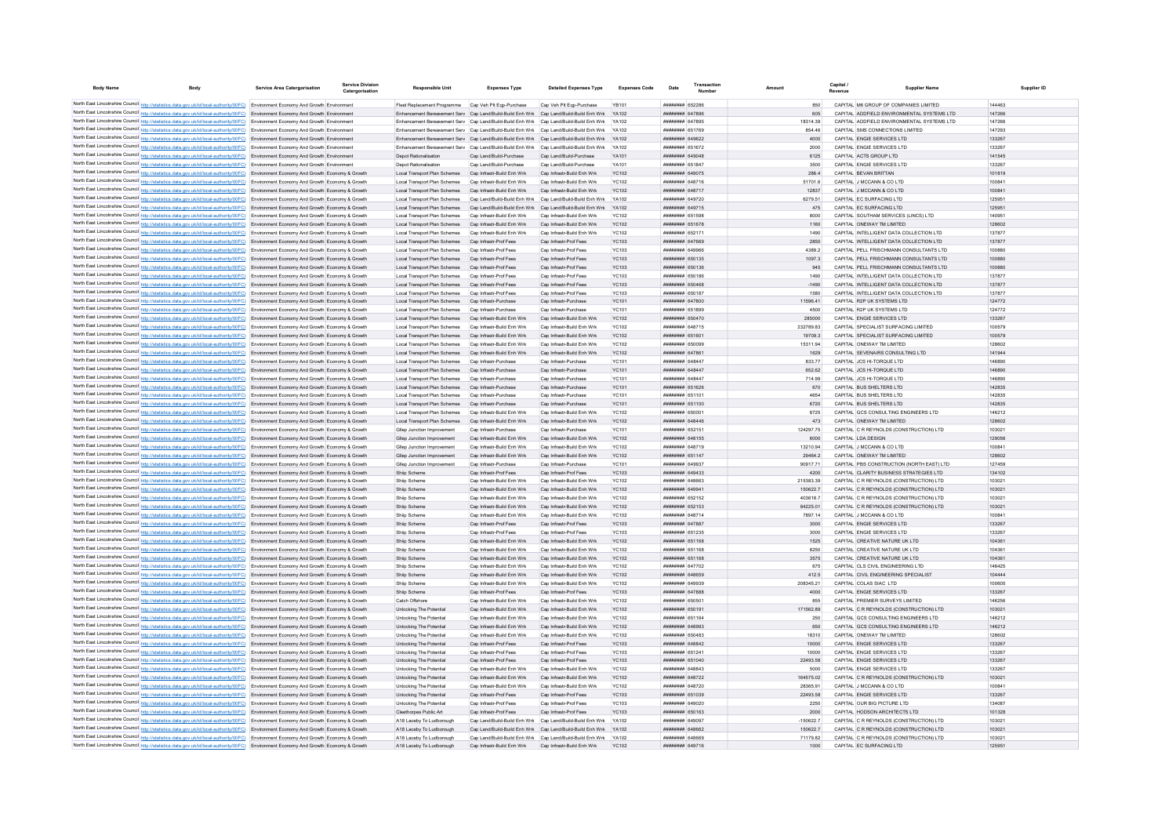| <b>Body Name</b> | <b>Body</b>                                                                                                                                                                                                                                                                      | <b>Service Area Catergorisation</b> | Service Divisio<br>Catergorisation | <b>Responsible Unit</b>                                                                      | <b>Expenses Type</b>                                      | <b>Detailed Expenses Type</b>                            | <b>Expenses Code</b>         | Date                                                    | Amount               | Capital<br>Revenue | <b>Supplier Name</b>                                                               | Supplier ID      |
|------------------|----------------------------------------------------------------------------------------------------------------------------------------------------------------------------------------------------------------------------------------------------------------------------------|-------------------------------------|------------------------------------|----------------------------------------------------------------------------------------------|-----------------------------------------------------------|----------------------------------------------------------|------------------------------|---------------------------------------------------------|----------------------|--------------------|------------------------------------------------------------------------------------|------------------|
|                  | North East Lincolnshire Council http://statistics.data.gov.uk/id/local-authority/00FC) Environment Economy And Growth Environment                                                                                                                                                |                                     |                                    | Fleet Replacement Programme Cap Veh Plt Ego-Purchase                                         |                                                           | Cap Veh Plt Egp-Purchase                                 |                              | ####### 652286                                          |                      |                    | CAPITAL M6 GROUP OF COMPANIES LIMITED                                              | 144463           |
|                  | North East Lincolnshire Council http://statistics.data.gov.uk/id/local-authority/00FC) Environment Economy And Growth Environment                                                                                                                                                |                                     |                                    | Enhancement Bereavement Serv Cap Land/Build-Build Enh Wrk Cap Land/Build-Build Enh Wrk       |                                                           |                                                          | <b>YA102</b>                 | <b><i>BREAGHAN 647896</i></b>                           | 605                  |                    | CAPITAL ADDEIFLD ENVIRONMENTAL SYSTEMS LTD                                         | 147266           |
|                  | North East Lincolnshire Council http://statistics.data.gov.uk/id/local-authority/00FC) Environment Economy And Growth Environment                                                                                                                                                |                                     |                                    | Enhancement Bereavement Serv Cap Land/Build-Build Enh Wrk Cap Land/Build-Build Enh Wrk       |                                                           |                                                          | V4102                        | <b><i>BBBBBBBB</i></b> 647895                           | 18314 39             |                    | CAPITAL ADDFIELD ENVIRONMENTAL SYSTEMS LTD                                         | 147266           |
|                  | North East Lincolnshire Council http://statistics.data.gov.uk/id/local-authority/00FC) Environment Economy And Growth Environment                                                                                                                                                |                                     |                                    | Enhancement Bereavement Serv Can Land/Build-Build Enh Wrk Can Land/Build-Build Enh Wrk YA102 |                                                           |                                                          |                              | <b><i>BREAGHAN 651769</i></b>                           | 854 46               |                    | CAPITAL SMS CONNECTIONS LIMITED                                                    | 147293           |
|                  | North East Lincolnshire Council http://statistics.data.gov.uk/id/local-authority/00FC) Environment Economy And Growth Environment                                                                                                                                                |                                     |                                    | Enhancement Bereavement Serv Cap Land/Build-Build Enh Wrk Cap Land/Build-Build Enh Wrk       |                                                           |                                                          | YA102                        | ######## 649622                                         | 4000                 |                    | CAPITAL ENGIE SERVICES LTD                                                         | 133267           |
|                  | North East Lincolnshire Council http://statistics.data.gov.uk/id/local-authority/00FC) Environment Economy And Growth Environment                                                                                                                                                |                                     |                                    | Enhancement Bereavement Serv Cap Land/Build-Build Enh Wrk Cap Land/Build-Build Enh Wrk       |                                                           |                                                          | <b>YA102</b>                 | ######## 651672                                         | 2000                 |                    | CAPITAL ENGIE SERVICES LTD                                                         | 133267           |
|                  | North East Lincolnshire Council http://statistics.data.gov.uk/id/local-authority/00FC) Environment Economy And Growth Environment<br>North East Lincolnshire Council http://statistics.data.gov.uk/id/local-authority/00FC) Environment Economy And Growth Environment           |                                     |                                    | Depot Rationalisation<br><b>Depot Rationalisation</b>                                        | Cap Land/Build-Purchase<br>Cap Land/Build-Purchase        | Cap Land/Build-Purchase<br>Cap Land/Build-Purchase       | YA101<br>YA101               | ######## 649048<br>######## 651847                      | 6125<br>3500         |                    | CAPITAL ACTS GROUP LTD<br>CAPITAL ENGIE SERVICES LTD                               | 141545<br>133267 |
|                  | North East Lincolnshire Council http://statistics.data.gov.uk/id/local-authority/00FC) Environment Economy And Growth Economy & Growth                                                                                                                                           |                                     |                                    | Local Transport Plan Schemes Cap Infrastr-Build Enh Wrk                                      |                                                           | Cap Infrastr-Build Enh Wrk                               | <b>YC102</b>                 | ######## 649075                                         | 286.4                |                    | CAPITAL BEVAN BRITTAN                                                              | 101819           |
|                  | North East Lincolnshire Council http://statistics.data.gov.uk/id/local-authority/00FC) Environment Economy And Growth Economy & Growth                                                                                                                                           |                                     |                                    | Local Transport Plan Schemes                                                                 | Can Infrastr-Build Enh Wrk                                | Can Infrastr-Build Enh Wrk                               | YC102                        | <b>HHHHHHH 648716</b>                                   | 51701.6              |                    | CAPITAL J MCCANN & CO LTD                                                          | 100841           |
|                  | North East Lincolnshire Council http://statistics.data.gov.uk/id/local-authority/00FC) Environment Economy And Growth Economy & Growth                                                                                                                                           |                                     |                                    | Local Transport Plan Schemes                                                                 | Cap Infrastr-Build Enh Wrk                                | Cap Infrastr-Build Enh Wrk                               | YC102                        | ######## 648717                                         | 12837                |                    | CAPITAL J MCCANN & CO LTD                                                          | 100841           |
|                  | North East Lincolnshire Council http://statistics.data.gov.uk/id/local-authority/00FC) Environment Economy And Growth Economy & Growth                                                                                                                                           |                                     |                                    | Local Transport Plan Schemes                                                                 | Cap Land/Build-Build Enh Wrk                              | Cap Land/Build-Build Enh Wrk                             |                              | ######## 649720                                         | 6279.51              |                    | CAPITAL EC SURFACING LTD                                                           | 125951           |
|                  | North East Lincolnshire Council http://statistics.data.gov.uk/id/local-authority/00FC) Environment Economy And Growth Economy & Growth                                                                                                                                           |                                     |                                    | Local Transport Plan Schemes Cap Land/Build-Build Enh Wrk Cap Land/Build-Build Enh Wrk       |                                                           |                                                          | YA102                        | ####### 649715                                          | 475                  |                    | CAPITAL EC SURFACING LTD                                                           | 125951           |
|                  | North East Lincolnshire Council http://statistics.data.gov.uk/id/local-authority/00FC) Environment Economy And Growth Economy & Growth                                                                                                                                           |                                     |                                    | Local Transport Plan Schemes                                                                 | Cap Infrastr-Build Enh Wrk<br>Cap Infrastr-Build Enh Wrk  | Cap Infrastr-Build Enh Wrk<br>Cap Infrastr-Build Enh Wrk | <b>YC102</b><br><b>YC102</b> | <b>########</b> 651598<br><b><i>BRENHHHH</i></b> 651678 | 8000<br>1160         |                    | CAPITAL SOUTHAM SERVICES (LINCS) LTD<br>CAPITAL ONEWAY TM LIMITED                  | 140951<br>128602 |
|                  | North East Lincolnshire Council http://statistics.data.gov.uk/id/local-authority/00FC) Environment Economy And Growth Economy & Growth<br>North East Lincolnshire Council http://statistics.data.gov.uk/id/local-authority/00FC) Environment Economy And Growth Economy & Growth |                                     |                                    | Local Transport Plan Schemes<br>Local Transport Plan Schemes                                 | Can Infrastr-Build Enh Wrk                                | Can Infrastr-Build Enh Wrk                               | <b>YC102</b>                 | <b>пппппппп</b> 652171                                  | 1490                 |                    | CAPITAL INTELLIGENT DATA COLLECTION LTD                                            | 137877           |
|                  | North East Lincolnshire Council http://statistics.data.gov.uk/id/local-authority/00FC) Environment Economy And Growth Economy & Growth                                                                                                                                           |                                     |                                    | Local Transport Plan Schemes                                                                 | Cap Infrastr-Prof Fees                                    | Cap Infrastr-Prof Fees                                   | <b>YC103</b>                 | ######## 647669                                         | 2850                 |                    | CAPITAL INTELLIGENT DATA COLLECTION LTD                                            | 137877           |
|                  | North East Lincolnshire Council http://statistics.data.gov.uk/id/local-authority/00FC) Environment Economy And Growth Economy & Growth                                                                                                                                           |                                     |                                    | Local Transport Plan Schemes                                                                 | Cap Infrastr-Prof Fees                                    | Cap Infrastr-Prof Fees                                   | <b>YC103</b>                 | ######## 649966                                         | 4389.2               |                    | CAPITAL PELL FRISCHMANN CONSULTANTS LTD                                            | 100880           |
|                  | North East Lincolnshire Council http://statistics.data.gov.uk/id/local-authority/00FC) Environment Economy And Growth Economy & Growth                                                                                                                                           |                                     |                                    | Local Transport Plan Schemes                                                                 | Cap Infrastr-Prof Fees                                    | Cap Infrastr-Prof Fees                                   | <b>YC103</b>                 | ######## 650135                                         | 1097.3               |                    | CAPITAL PELL FRISCHMANN CONSULTANTS LTD                                            | 100880           |
|                  | North East Lincolnshire Council http://statistics.data.gov.uk/id/local-authority/00FC) Environment Economy And Growth Economy & Growth                                                                                                                                           |                                     |                                    | Local Transport Plan Schemes                                                                 | Cap Infrastr-Prof Fees                                    | Cap Infrastr-Prof Fees                                   | <b>YC103</b>                 | ######## 650136                                         | 945                  |                    | CAPITAL PELL FRISCHMANN CONSULTANTS LTD                                            | 100880           |
|                  | North East Lincolnshire Council http://statistics.data.gov.uk/id/local-authority/00FC) Environment Economy And Growth Economy & Growth                                                                                                                                           |                                     |                                    | Local Transport Plan Schemes                                                                 | Cap Infrastr-Prof Fees                                    | Cap Infrastr-Prof Fees                                   | <b>YC103</b>                 | <b>BRICKS</b> <i>BRHBBBBB</i>                           | 1490                 |                    | CAPITAL INTELLIGENT DATA COLLECTION LTD                                            | 137877           |
|                  | North East Lincolnshire Council http://statistics.data.gov.uk/id/local-authority/00FC) Environment Economy And Growth Economy & Growth<br>North East Lincolnshire Council http://statistics.data.gov.uk/id/local-authority/00FC) Environment Economy And Growth Economy & Growth |                                     |                                    | Local Transport Plan Schemes<br>Local Transport Plan Schemes                                 | Cap Infrastr-Prof Fees<br>Cap Infrastr-Prof Fees          | Cap Infrastr-Prof Fees<br>Cap Infrastr-Prof Fees         | <b>YC103</b><br><b>YC103</b> | ######## 650468<br>######## 650187                      | $-1490$<br>1580      |                    | CAPITAL INTELLIGENT DATA COLLECTION LTD<br>CAPITAL INTELLIGENT DATA COLLECTION LTD | 137877<br>137877 |
|                  | North East Lincolnshire Council http://statistics.data.gov.uk/id/local-authority/00FC) Environment Economy And Growth Economy & Growth                                                                                                                                           |                                     |                                    | Local Transport Plan Schemes                                                                 | Cap Infrastr-Purchase                                     | Cap Infrastr-Purchase                                    | <b>YC101</b>                 | ######## 647800                                         | 11596.41             |                    | CAPITAL R2P UK SYSTEMS LTD                                                         | 124772           |
|                  | North East Lincolnshire Council http://statistics.data.gov.uk/id/local-authority/00FC) Environment Economy And Growth Economy & Growth                                                                                                                                           |                                     |                                    | Local Transport Plan Schemes                                                                 | Cap Infrastr-Purchase                                     | Cap Infrastr-Purchase                                    | YC101                        | ####### 651899                                          | 4500                 |                    | CAPITAL R2P UK SYSTEMS LTD                                                         | 124772           |
|                  | North East Lincolnshire Council http://statistics.data.gov.uk/id/local-authority/00FC) Environment Economy And Growth Economy & Growth                                                                                                                                           |                                     |                                    | Local Transport Plan Schemes                                                                 | Cap Infrastr-Build Enh Wrk                                | Cap Infrastr-Build Enh Wrk                               | <b>YC102</b>                 | ######## 650470                                         | 285000               |                    | CAPITAL ENGIE SERVICES LTD                                                         | 133267           |
|                  | North East Lincolnshire Council http://statistics.data.gov.uk/id/local-authority/00FC) Environment Economy And Growth Economy & Growth                                                                                                                                           |                                     |                                    | Local Transport Plan Schemes                                                                 | Can Infrastr-Build Enh Wrk                                | Can Infrastr-Build Enh Wrk                               | YC102                        | <b><i>BRENHHHH 648715</i></b>                           | 232789.83            |                    | CAPITAL SPECIALIST SURFACING LIMITED                                               | 100579           |
|                  | North East Lincolnshire Council http://statistics.data.gov.uk/id/local-authority/00FC) Environment Economy And Growth Economy & Growth                                                                                                                                           |                                     |                                    | Local Transport Plan Schemes                                                                 | Cap Infrastr-Build Enh Wrk                                | Cap Infrastr-Build Enh Wrk                               | <b>YC102</b>                 | ######## 651601                                         | 197093               |                    | CAPITAL SPECIALIST SURFACING LIMITED                                               | 100579           |
|                  | North East Lincolnshire Council http://statistics.data.gov.uk/id/local-authority/00FC) Environment Economy And Growth Economy & Growth                                                                                                                                           |                                     |                                    | Local Transport Plan Schemes                                                                 | Can Infrastr-Build Enh Wrk                                | Can Infrastr-Build Enh Wrk                               | YC102                        | ######## 650099                                         | 1531194              |                    | CAPITAL ONEWAY TM LIMITED                                                          | 128602           |
|                  | North East Lincolnshire Council http://statistics.data.gov.uk/id/local-authority/00FC) Environment Economy And Growth Economy & Growth<br>North East Lincolnshire Council http://statistics.data.gov.uk/id/local-authority/00FC) Environment Economy And Growth Economy & Growth |                                     |                                    | Local Transport Plan Schemes Cap Infrastr-Build Enh Wrk<br>Local Transport Plan Schemes      | Can Infrastr-Purchase                                     | Cap Infrastr-Build Enh Wrk<br>Can Infrastr-Purchase      | <b>YC102</b><br><b>YC101</b> | ######## 647861<br>пппппппп 648447                      | 1629<br>833 77       |                    | CAPITAL SEVENAIRS CONSULTING LTD<br>CAPITAL JCS HI-TOROUE LTD                      | 141944<br>146890 |
|                  | North East Lincolnshire Council http://statistics.data.gov.uk/id/local-authority/00FC) Environment Economy And Growth Economy & Growth                                                                                                                                           |                                     |                                    | Local Transport Plan Schemes Cap Infrastr-Purchase                                           |                                                           | Cap Infrastr-Purchase                                    | <b>YC101</b>                 | ######## 648447                                         | 652.62               |                    | CAPITAL JCS HI-TORQUE LTD                                                          | 146890           |
|                  | North East Lincolnshire Council http://statistics.data.gov.uk/id/local-authority/00FC) Environment Economy And Growth Economy & Growth                                                                                                                                           |                                     |                                    | Local Transport Plan Schemes                                                                 | Cap Infrastr-Purchase                                     | Cap Infrastr-Purchase                                    | <b>YC101</b>                 | ######## 648447                                         | 714.99               |                    | CAPITAL JCS HI-TORQUE LTD                                                          | 146890           |
|                  | North East Lincolnshire Council http://statistics.data.gov.uk/id/local-authority/00FC) Environment Economy And Growth Economy & Growth                                                                                                                                           |                                     |                                    | Local Transport Plan Schemes                                                                 | Cap Infrastr-Purchase                                     | Cap Infrastr-Purchase                                    | <b>YC101</b>                 | ######## 651626                                         | 670                  |                    | CAPITAL BUS SHELTERS LTD                                                           | 142835           |
|                  | North East Lincolnshire Council http://statistics.data.gov.uk/id/local-authority/00FC) Environment Economy And Growth Economy & Growth                                                                                                                                           |                                     |                                    | Local Transport Plan Schemes                                                                 | Can Infrastr-Purchase                                     | Can Infrastr-Purchase                                    | YC101                        | <b>HARNAHA 651101</b>                                   | 4654                 |                    | CAPITAL BUS SHELTERS LTD                                                           | 142835           |
|                  | North East Lincolnshire Council http://statistics.data.gov.uk/id/local-authority/00FC) Environment Economy And Growth Economy & Growth                                                                                                                                           |                                     |                                    | Local Transport Plan Schemes                                                                 | Cap Infrastr-Purchase                                     | Cap Infrastr-Purchase                                    | YC101                        | ######## 651100                                         | 6720                 |                    | CAPITAL BUS SHELTERS LTD                                                           | 142835           |
|                  | North East Lincolnshire Council http://statistics.data.gov.uk/id/local-authority/00FC) Environment Economy And Growth Economy & Growth                                                                                                                                           |                                     |                                    | Local Transport Plan Schemes                                                                 | Cap Infrastr-Build Enh Wrk                                | Cap Infrastr-Build Enh Wrk                               | YC102                        | ####### 65000                                           | 8725                 |                    | CAPITAL GCS CONSULTING ENGINEERS LTD                                               | 146212           |
|                  | North East Lincolnshire Council http://statistics.data.gov.uk/id/local-authority/00FC) Environment Economy And Growth Economy & Growth<br>North East Lincolnshire Council http://statistics.data.gov.uk/id/local-authority/00FC) Environment Economy And Growth Economy & Growth |                                     |                                    | Local Transport Plan Schemes<br>Gliep Junction Improvemen                                    | Cap Infrastr-Build Enh Wrk<br>Cap Infrastr-Purchas        | Cap Infrastr-Build Enh Wrk<br>Cap Infrastr-Purchase      | <b>YC102</b><br>YC101        | ####### 648446<br>######## 652151                       | 473<br>124297.75     |                    | CAPITAL ONEWAY TM LIMITED<br>CAPITAL C R REYNOLDS (CONSTRUCTION) LTD               | 128602<br>103021 |
|                  | North East Lincolnshire Council http://statistics.data.gov.uk/id/local-authority/00FC) Environment Economy And Growth Economy & Growth                                                                                                                                           |                                     |                                    | Gliep Junction Improvement                                                                   | Cap Infrastr-Build Enh Wrk                                | Cap Infrastr-Build Enh Wrk                               | <b>YC102</b>                 | ######## 648155                                         | 6000                 |                    | CAPITAL LDA DESIGN                                                                 | 129056           |
|                  | North East Lincolnshire Council http://statistics.data.gov.uk/id/local-authority/00FC) Environment Economy And Growth Economy & Growth                                                                                                                                           |                                     |                                    | Glien Junction Improvement                                                                   | Can Infrastr-Build Enh Wrk                                | Can Infrastr-Build Enh Wrk                               | YC102                        | <b><i>BREAGHAN 648719</i></b>                           | 13210.94             |                    | CAPITAL J MCCANN & CO LTD                                                          | 100841           |
|                  | North East Lincolnshire Council http://statistics.data.gov.uk/id/local-authority/00FC) Environment Economy And Growth Economy & Growth                                                                                                                                           |                                     |                                    | Gliep Junction Improvement                                                                   | Cap Infrastr-Build Enh Wrk                                | Cap Infrastr-Build Enh Wrk                               | <b>YC102</b>                 | ######## 651147                                         | 29464.2              |                    | CAPITAL ONEWAY TM LIMITED                                                          | 128602           |
|                  | North East Lincolnshire Council http://statistics.data.gov.uk/id/local-authority/00FC) Environment Economy And Growth Economy & Growth                                                                                                                                           |                                     |                                    | Gliep Junction Improvement                                                                   | Cap Infrastr-Purchase                                     | Cap Infrastr-Purchase                                    | <b>YC101</b>                 | ппинини 649937                                          | 90917.71             |                    | CAPITAL PBS CONSTRUCTION (NORTH EAST) LTD                                          | 127459           |
|                  | North East Lincolnshire Council http://statistics.data.gov.uk/id/local-authority/00FC) Environment Economy And Growth Economy & Growth                                                                                                                                           |                                     |                                    | Shiip Scheme                                                                                 | Cap Infrastr-Prof Fees                                    | Cap Infrastr-Prof Fees                                   | <b>YC103</b>                 | ######## 649433                                         | 4200                 |                    | CAPITAL CLARITY BUSINESS STRATEGIES LTD                                            | 134102           |
|                  | North East Lincolnshire Council http://statistics.data.gov.uk/id/local-authority/00FC) Environment Economy And Growth Economy & Growth                                                                                                                                           |                                     |                                    | Shiip Scheme                                                                                 | Cap Infrastr-Build Enh Wrk                                | Cap Infrastr-Build Enh Wrk                               | <b>YC102</b>                 | ######## 648663                                         | 215383.39            |                    | CAPITAL C R REYNOLDS (CONSTRUCTION) LTD                                            | 103021           |
|                  | North East Lincolnshire Council http://statistics.data.gov.uk/id/local-authority/00FC) Environment Economy And Growth Economy & Growth<br>North East Lincolnshire Council http://statistics.data.gov.uk/id/local-authority/00FC) Environment Economy And Growth Economy & Growth |                                     |                                    | Shiip Scheme<br>Shiip Scheme                                                                 | Cap Infrastr-Build Enh Wrk<br>Can Infrastr-Build Enh Wrk  | Cap Infrastr-Build Enh Wrk<br>Can Infrastr-Build Enh Wrk | <b>YC102</b><br>YC102        | ######## 649941<br><b>пппппппп</b> 652152               | 150622.7<br>403618.7 |                    | CAPITAL C R REYNOLDS (CONSTRUCTION) LTD<br>CAPITAL C R REYNOLDS (CONSTRUCTION) LTD | 103021<br>103021 |
|                  | North East Lincolnshire Council http://statistics.data.gov.uk/id/local-authority/00FC) Environment Economy And Growth Economy & Growth                                                                                                                                           |                                     |                                    | Shiip Scheme                                                                                 | Cap Infrastr-Build Enh Wrk                                | Cap Infrastr-Build Enh Wrk                               | <b>YC102</b>                 | ######## 652153                                         | 84225.01             |                    | CAPITAL C R REYNOLDS (CONSTRUCTION) LTD                                            | 103021           |
|                  | North East Lincolnshire Council http://statistics.data.gov.uk/id/local-authority/00FC) Environment Economy And Growth Economy & Growth                                                                                                                                           |                                     |                                    | Shiip Scheme                                                                                 | Cap Infrastr-Build Enh Wrk                                | Cap Infrastr-Build Enh Wrk                               | <b>YC102</b>                 | ######## 648714                                         | 7897.14              |                    | CAPITAL J MCCANN & CO LTD                                                          | 100841           |
|                  | North East Lincolnshire Council http://statistics.data.gov.uk/id/local-authority/00FC) Environment Economy And Growth Economy & Growth                                                                                                                                           |                                     |                                    | Shiip Scheme                                                                                 | Cap Infrastr-Prof Fees                                    | Cap Infrastr-Prof Fees                                   | <b>YC103</b>                 | ####### 647887                                          | 3000                 |                    | CAPITAL ENGIE SERVICES LTD                                                         | 133267           |
|                  | North East Lincolnshire Council http://statistics.data.gov.uk/id/local-authority/00FC) Environment Economy And Growth Economy & Growth                                                                                                                                           |                                     |                                    | Shiip Schem                                                                                  | Cap Infrastr-Prof Fees                                    | Cap Infrastr-Prof Fees                                   | <b>YC103</b>                 | ####### 651235                                          | 3000                 |                    | CAPITAL ENGIE SERVICES LTD                                                         | 133267           |
|                  | North East Lincolnshire Council http://statistics.data.gov.uk/id/local-authority/00FC) Environment Economy And Growth Economy & Growth                                                                                                                                           |                                     |                                    | Shiip Scheme                                                                                 | Cap Infrastr-Build Enh Wrk                                | Cap Infrastr-Build Enh Wrk                               | YC102                        | ######## 651168                                         | 1525                 |                    | CAPITAL CREATIVE NATURE UK LTD                                                     | 104361           |
|                  | North East Lincolnshire Council http://statistics.data.gov.uk/id/local-authority/00FC) Environment Economy And Growth Economy & Growth<br>North East Lincolnshire Council http://statistics.data.gov.uk/id/local-authority/00FC) Environment Economy And Growth Economy & Growth |                                     |                                    | Shiip Scheme<br>Shijp Scheme                                                                 | Cap Infrastr-Build Enh Wrk<br>Cap Infrastr-Build Enh Wrk  | Can Infrastr-Build Enh Wrk<br>Cap Infrastr-Build Enh Wrk | YC102<br><b>YC102</b>        | ######## 651168<br>######## 651168                      | 8250<br>3575         |                    | CAPITAL CREATIVE NATURE UK LTD<br>CAPITAL CREATIVE NATURE UK LTD                   | 104361<br>104361 |
|                  | North East Lincolnshire Council http://statistics.data.gov.uk/id/local-authority/00FC) Environment Economy And Growth Economy & Growth                                                                                                                                           |                                     |                                    | Shiip Scheme                                                                                 | Cap Infrastr-Build Enh Wrk                                | Cap Infrastr-Build Enh Wrk                               | <b>YC102</b>                 | ######## 647702                                         | 675                  |                    | CAPITAL CLS CIVIL ENGINEERING LTD                                                  | 146425           |
|                  | North East Lincolnshire Council http://statistics.data.gov.uk/id/local-authority/00FC) Environment Economy And Growth Economy & Growth                                                                                                                                           |                                     |                                    | Shiip Scheme                                                                                 | Cap Infrastr-Build Enh Wrk                                | Cap Infrastr-Build Enh Wrk                               | <b>YC102</b>                 | ######## 648659                                         | 412.5                |                    | CAPITAL CIVIL ENGINEERING SPECIALIST                                               | 104444           |
|                  | North East Lincolnshire Council http://statistics.data.gov.uk/id/local-authority/00FC) Environment Economy And Growth Economy & Growth                                                                                                                                           |                                     |                                    | Shiip Scheme                                                                                 | Cap Infrastr-Build Enh Wrk                                | Cap Infrastr-Build Enh Wrk                               | YC102                        | ######## 649939                                         | 208345.21            |                    | CAPITAL COLAS SIAC LTD                                                             | 100605           |
|                  | North East Lincolnshire Council http://statistics.data.gov.uk/id/local-authority/00FC) Environment Economy And Growth Economy & Growth                                                                                                                                           |                                     |                                    | Shiip Scheme                                                                                 | Cap Infrastr-Prof Fees                                    | Cap Infrastr-Prof Fees                                   | YC103                        | ######## 647888                                         | 4000                 |                    | CAPITAL ENGIE SERVICES LTD                                                         | 133267           |
|                  | North East Lincolnshire Council http://statistics.data.gov.uk/id/local-authority/00FC) Environment Economy And Growth Economy & Growth                                                                                                                                           |                                     |                                    | Catch Offshore                                                                               | Cap Infrastr-Build Enh Wrk                                | Cap Infrastr-Build Enh Wrk                               | <b>YC102</b>                 | <b>########</b> 650501                                  | 855                  |                    | CAPITAL PREMIER SURVEYS LIMITED                                                    | 146256           |
|                  | North East Lincolnshire Council http://statistics.data.gov.uk/id/local-authority/00FC) Environment Economy And Growth Economy & Growth                                                                                                                                           |                                     |                                    | Unlocking The Potential                                                                      | Cap Infrastr-Build Enh Wrk                                | Cap Infrastr-Build Enh Wrk                               | <b>YC102</b>                 | ######## 650191                                         | 171562.89            |                    | CAPITAL C R REYNOLDS (CONSTRUCTION) LTD                                            | 103021           |
|                  | North East Lincolnshire Council http://statistics.data.gov.uk/id/local-authority/00FC) Environment Economy And Growth Economy & Growth<br>North East Lincolnshire Council http://statistics.data.gov.uk/id/local-authority/00FC) Environment Economy And Growth Economy & Growth |                                     |                                    | Unlocking The Potentia<br>Unlocking The Potential                                            | Cap Infrastr-Build Enh Wrk<br>Cap Infrastr-Build Enh Wrk  | Cap Infrastr-Build Enh Wrk<br>Cap Infrastr-Build Enh Wrk | <b>YC102</b><br><b>YC102</b> | ####### 651164<br>######## 648993                       | 250<br>650           |                    | CAPITAL GCS CONSULTING ENGINEERS LTD<br>CAPITAL GCS CONSULTING ENGINEERS LTD       | 146212<br>146212 |
|                  | North East Lincolnshire Council http://statistics.data.gov.uk/id/local-authority/00FC) Environment Economy And Growth Economy & Growth                                                                                                                                           |                                     |                                    | Unlocking The Potentia                                                                       | Cap Infrastr-Build Enh Wrk                                | Cap Infrastr-Build Enh Wrk                               | <b>YC102</b>                 | ######## 650483                                         | 18310                |                    | CAPITAL ONEWAY TM LIMITED                                                          | 128602           |
|                  | North East Lincolnshire Council http://statistics.data.gov.uk/id/local-authority/00FC) Environment Economy And Growth Economy & Growth                                                                                                                                           |                                     |                                    | Unlocking The Potential                                                                      | Cap Infrastr-Prof Fees                                    | Cap Infrastr-Prof Fees                                   | <b>YC103</b>                 | ######## 648842                                         | 10000                |                    | CAPITAL ENGIE SERVICES LTD                                                         | 133267           |
|                  | North East Lincolnshire Council http://statistics.data.gov.uk/id/local-authority/00FC) Environment Economy And Growth Economy & Growth                                                                                                                                           |                                     |                                    | Unlocking The Potential                                                                      | Cap Infrastr-Prof Fees                                    | Can Infrastr-Prof Fees                                   | YC103                        | <b>HHHHHHH 651241</b>                                   | 10000                |                    | CAPITAL FNGIF SERVICES LTD                                                         | 133267           |
|                  | North East Lincolnshire Council http://statistics.data.gov.uk/id/local-authority/00FC) Environment Economy And Growth Economy & Growth                                                                                                                                           |                                     |                                    | Unlocking The Potential                                                                      | Can Infrastr-Prof Fees                                    | Can Infrastr-Prof Fees                                   | YC103                        | ######## 651040                                         | 22493.58             |                    | CAPITAL ENGIF SERVICES LTD.                                                        | 133267           |
|                  | North East Lincolnshire Council http://statistics.data.gov.uk/id/local-authority/00FC) Environment Economy And Growth Economy & Growth                                                                                                                                           |                                     |                                    | Unlocking The Potential                                                                      | Can Infrastr-Build Enh Wrk                                | Can Infrastr-Build Enh Wrk                               | YC102                        | пппппппп 648843                                         | 5000                 |                    | CAPITAL ENGIF SERVICES LTD                                                         | 133267           |
|                  | North East Lincolnshire Council http://statistics.data.gov.uk/id/local-authority/00FC) Environment Economy And Growth Economy & Growth                                                                                                                                           |                                     |                                    | Unlocking The Potential                                                                      | Cap Infrastr-Build Enh Wrk                                | Cap Infrastr-Build Enh Wrk                               | YC102                        | <b>HHHHHHHH 648722</b>                                  | 164575.02            |                    | CAPITAL C R REYNOLDS (CONSTRUCTION) LTD                                            | 103021           |
|                  | North East Lincolnshire Council http://statistics.data.gov.uk/id/local-authority/00FC) Environment Economy And Growth Economy & Growth<br>North East Lincolnshire Council http://statistics.data.gov.uk/id/local-authority/00FC) Environment Economy And Growth Economy & Growth |                                     |                                    | Unlocking The Potentia<br>Unlocking The Potential                                            | Cap Infrastr-Build Enh Wrk<br>Cap Infrastr-Prof Fees      | Cap Infrastr-Build Enh Wrk<br>Cap Infrastr-Prof Fees     | <b>YC102</b><br><b>YC103</b> | ####### 648720<br>######## 651039                       | 28365.91<br>22493.58 |                    | CAPITAL J MCCANN & CO LTD<br>CAPITAL ENGIE SERVICES LTD                            | 100841<br>133267 |
|                  | North East Lincolnshire Council http://statistics.data.gov.uk/id/local-authority/00FC) Environment Economy And Growth Economy & Growth                                                                                                                                           |                                     |                                    | Unlocking The Potential                                                                      | Cap Infrastr-Prof Fees                                    | Cap Infrastr-Prof Fees                                   | <b>YC103</b>                 | 00009 HEBRER                                            | 2250                 |                    | CAPITAL OUR BIG PICTURE LTD                                                        | 134087           |
|                  | North East Lincolnshire Council http://statistics.data.gov.uk/id/local-authority/00FC) Environment Economy And Growth Economy & Growth                                                                                                                                           |                                     |                                    | Cleethorpes Public Art                                                                       | Can Infrastr-Prof Fees                                    | Can Infrastr-Prof Fees                                   | YC103                        | ######## 650163                                         | 2000                 |                    | CAPITAL HODSON ARCHITECTS LTD                                                      | 101328           |
|                  | North East Lincolnshire Council http://statistics.data.gov.uk/id/local-authority/00FC) Environment Economy And Growth Economy & Growth                                                                                                                                           |                                     |                                    | A18 Laceby To Ludborough                                                                     | Cap Land/Build-Build Enh Wrk Cap Land/Build-Build Enh Wrk |                                                          | <b>YA102</b>                 | ######## 649097                                         | $-150622.7$          |                    | CAPITAL C R REYNOLDS (CONSTRUCTION) LTD                                            | 103021           |
|                  | North East Lincolnshire Council http://statistics.data.gov.uk/id/local-authority/00FC) Environment Economy And Growth Economy & Growth                                                                                                                                           |                                     |                                    | A18 Laceby To Ludborough                                                                     | Cap Land/Build-Build Enh Wrk Cap Land/Build-Build Enh Wrk |                                                          | YA102                        | ######## 648662                                         | 150622.7             |                    | CAPITAL C R REYNOLDS (CONSTRUCTION) LTD                                            | 103021           |
|                  | North East Lincolnshire Council http://statistics.data.gov.uk/id/local-authority/00FC) Environment Economy And Growth Economy & Growth                                                                                                                                           |                                     |                                    | A18 Laceby To Ludborough                                                                     | Cap Land/Build-Build Enh Wrk Cap Land/Build-Build Enh Wrk |                                                          |                              | ####### 648669                                          | 71179.82             |                    | CAPITAL C R REYNOLDS (CONSTRUCTION) LTD                                            | 103021           |
|                  | North East Lincolnshire Council http://statistics.data.gov.uk/id/local-authority/00FC) Environment Economy And Growth Economy & Growth                                                                                                                                           |                                     |                                    | A18 Laceby To Ludborough                                                                     | Cap Infrastr-Build Enh Wrk                                | Cap Infrastr-Build Enh Wrk                               | YC102                        | <b>HHHHHHH 649716</b>                                   | 1000                 |                    | CAPITAL EC SURFACING LTD                                                           | 125951           |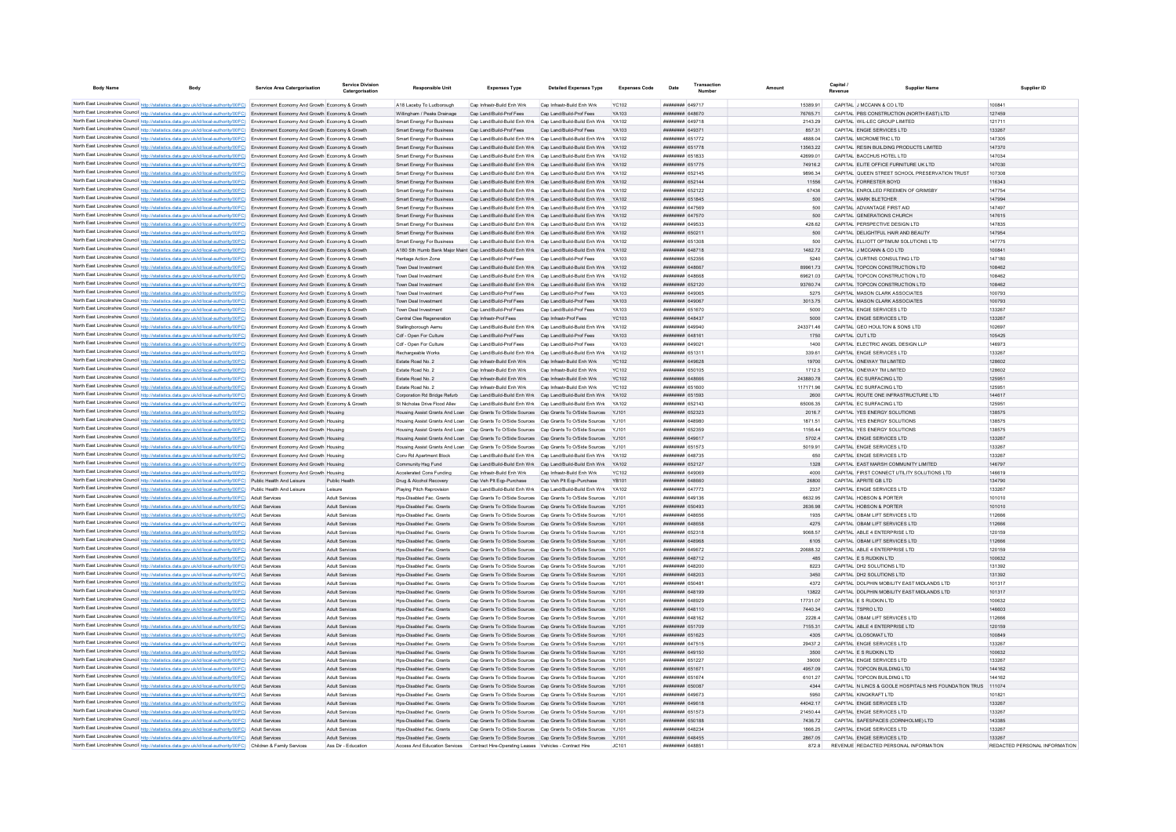| <b>Body Name</b>                     | <b>Body</b>                                                                                                                                                                                                                                                                      | <b>Service Area Catergorisation</b> | Service Division<br>Catergorisation            | <b>Responsible Unit</b>                                                                  | <b>Expenses Type</b>                                                                     | <b>Detailed Expenses Type</b>                                                                                                       | <b>Expenses Code</b> | Date                                    | Transaction<br>Number |                     | Conitol<br>Revenue                                                 | <b>Supplier Name</b>                                         | Supplier ID                   |
|--------------------------------------|----------------------------------------------------------------------------------------------------------------------------------------------------------------------------------------------------------------------------------------------------------------------------------|-------------------------------------|------------------------------------------------|------------------------------------------------------------------------------------------|------------------------------------------------------------------------------------------|-------------------------------------------------------------------------------------------------------------------------------------|----------------------|-----------------------------------------|-----------------------|---------------------|--------------------------------------------------------------------|--------------------------------------------------------------|-------------------------------|
|                                      |                                                                                                                                                                                                                                                                                  |                                     |                                                |                                                                                          |                                                                                          |                                                                                                                                     |                      |                                         |                       |                     |                                                                    |                                                              |                               |
|                                      | North East Lincolnshire Council http://statistics.data.gov.uk/id/local-authority/00FC) Environment Economy And Growth Economy & Growth                                                                                                                                           |                                     |                                                | A18 Laceby To Ludborough                                                                 | Cap Infrastr-Build Enh Wrk                                                               | Cap Infrastr-Build Enh Wrk                                                                                                          | <b>YC102</b>         | <b><i><u>REBREHHH</u></i></b> 649717    |                       | 15389 91            | CAPITAL J MCCANN & CO LTD                                          |                                                              | 100841                        |
|                                      | North East Lincolnshire Council http://statistics.data.gov.uk/id/local-authority/00FC) Environment Economy And Growth Economy & Growth                                                                                                                                           |                                     |                                                | Willingham / Peaks Drainage                                                              | Can Land/Build-Prof Fees                                                                 | Can Land/Build-Prof Fees                                                                                                            | YA103                | <b>HHHHHHH 648670</b>                   |                       | 7676571             | CAPITAL PRS CONSTRUCTION (NORTH FAST) LTD                          |                                                              | 127459                        |
|                                      | North East Lincolnshire Council http://statistics.data.gov.uk/id/local-authority/00FC) Environment Economy And Growth Economy & Growth                                                                                                                                           |                                     |                                                | Smart Energy For Business                                                                | Can Land/Build-Build Enh Wrk Can Land/Build-Build Enh Wrk                                |                                                                                                                                     | YA102                | <b>HHHHHHH 649718</b>                   |                       | 2143.29             | CAPITAL WILL FC GROUP LIMITED                                      |                                                              | 121711                        |
|                                      | North East Lincolnshire Council http://statistics.data.gov.uk/id/local-authority/00FC) Environment Economy And Growth Economy & Growth                                                                                                                                           |                                     |                                                | Smart Energy For Business                                                                | Cap Land/Build-Prof Fees                                                                 | Cap Land/Build-Prof Fees                                                                                                            | YA103                | ######## 649371                         |                       | 857.31              | CAPITAL ENGIE SERVICES LTD                                         |                                                              | 133267                        |
|                                      | North East Lincolnshire Council http://statistics.data.gov.uk/id/local-authority/00FC) Environment Economy And Growth Economy & Growth                                                                                                                                           |                                     |                                                | <b>Smart Energy For Business</b>                                                         |                                                                                          | Cap Land/Build-Build Enh Wrk Cap Land/Build-Build Enh Wrk YA102                                                                     |                      | ######## 651772                         |                       | 4888.04             | CAPITAL MICROMETRIC LTD                                            |                                                              | 147305                        |
|                                      | North East Lincolnshire Council http://statistics.data.gov.uk/id/local-authority/00FC) Environment Economy And Growth Economy & Growth                                                                                                                                           |                                     |                                                | Smart Energy For Business                                                                |                                                                                          | Cap Land/Build-Build Enh Wrk Cap Land/Build-Build Enh Wrk YA102                                                                     |                      | ######## 651778                         |                       | 13563.22            | CAPITAL RESIN BUILDING PRODUCTS LIMITED                            |                                                              | 147370                        |
|                                      | North East Lincolnshire Council http://statistics.data.gov.uk/id/local-authority/00FC) Environment Economy And Growth Economy & Growth                                                                                                                                           |                                     |                                                | <b>Smart Energy For Business</b>                                                         |                                                                                          | Cap Land/Build-Build Enh Wrk Cap Land/Build-Build Enh Wrk<br>Cap Land/Build-Build Enh Wrk Cap Land/Build-Build Enh Wrk              | YA102<br>YA102       | ######## 651833<br>######## 651775      |                       | 42699.01<br>74916.2 | CAPITAL BACCHUS HOTEL LTD<br>CAPITAL ELITE OFFICE FURNITURE UK LTD |                                                              | 147034<br>147030              |
|                                      | North East Lincolnshire Council http://statistics.data.gov.uk/id/local-authority/00FC) Environment Economy And Growth Economy & Growth                                                                                                                                           |                                     |                                                | Smart Energy For Business                                                                |                                                                                          |                                                                                                                                     |                      | ######## 652145                         |                       |                     |                                                                    |                                                              | 107308                        |
|                                      | North East Lincolnshire Council http://statistics.data.gov.uk/id/local-authority/00FC) Environment Economy And Growth Economy & Growth<br>North East Lincolnshire Council http://statistics.data.gov.uk/id/local-authority/00FC) Environment Economy And Growth Economy & Growth |                                     |                                                | Smart Energy For Business<br>Smart Energy For Business                                   | Cap Land/Build-Build Enh Wrk Cap Land/Build-Build Enh Wrk                                | Cap Land/Build-Build Enh Wrk Cap Land/Build-Build Enh Wrk                                                                           | YA102<br>YA102       | ######## 652144                         |                       | 9896.34<br>11556    | CAPITAL FORRESTER BOYD                                             | CAPITAL QUEEN STREET SCHOOL PRESERVATION TRUST               | 116343                        |
|                                      | North East Lincolnshire Council http://statistics.data.gov.uk/id/local-authority/00FC) Environment Economy And Growth Economy & Growth                                                                                                                                           |                                     |                                                | <b>Smart Energy For Business</b>                                                         |                                                                                          | Cap Land/Build-Build Enh Wrk Cap Land/Build-Build Enh Wrk                                                                           | YA102                | ######## 652122                         |                       | 67436               | CAPITAL ENROLLED FREEMEN OF GRIMSBY                                |                                                              | 147754                        |
|                                      | North East Lincolnshire Council http://statistics.data.gov.uk/id/local-authority/00FC) Environment Economy And Growth Economy & Growth                                                                                                                                           |                                     |                                                | Smart Energy For Business                                                                | Cap Land/Build-Build Enh Wrk Cap Land/Build-Build Enh Wrk                                |                                                                                                                                     |                      | ######## 651845                         |                       | 500                 | CAPITAL MARK BLETCHER                                              |                                                              | 147994                        |
|                                      | North East Lincolnshire Council http://statistics.data.gov.uk/id/local-authority/00FC) Environment Economy And Growth Economy & Growth                                                                                                                                           |                                     |                                                | <b>Smart Energy For Business</b>                                                         | Cap Land/Build-Build Enh Wrk Cap Land/Build-Build Enh Wrk                                |                                                                                                                                     |                      | <b>HHHHHHH 647569</b>                   |                       | 500                 | CAPITAL ADVANTAGE FIRST AID                                        |                                                              | 147497                        |
|                                      | North East Lincolnshire Council http://statistics.data.gov.uk/id/local-authority/00FC) Environment Economy And Growth Economy & Growth                                                                                                                                           |                                     |                                                | <b>Smart Energy For Business</b>                                                         |                                                                                          | Cap Land/Build-Build Enh Wrk Cap Land/Build-Build Enh Wrk                                                                           | YA102                | ######## 647570                         |                       | 500                 | CAPITAL GENERATIONS CHURCH                                         |                                                              | 147615                        |
|                                      | North East Lincolnshire Council http://statistics.data.gov.uk/id/local-authority/00FC) Environment Economy And Growth Economy & Growth                                                                                                                                           |                                     |                                                | Smart Energy For Business                                                                | Can Land/Build-Build Enh Wrk Can Land/Build-Build Enh Wrk                                |                                                                                                                                     | YA102                | <b>HHHHHHH 649533</b>                   |                       | 428.62              | CAPITAL PERSPECTIVE DESIGN LTD.                                    |                                                              | 147835                        |
|                                      | North East Lincolnshire Council http://statistics.data.gov.uk/id/local-authority/00FC) Environment Economy And Growth Economy & Growth                                                                                                                                           |                                     |                                                | Smart Energy For Business                                                                | Can Land/Build-Build Enh Wrk Can Land/Build-Build Enh Wrk                                |                                                                                                                                     | YA102                | ######## 65021                          |                       | 500                 | CAPITAL DELIGHTEUL HAIR AND BEAUTY                                 |                                                              | 147954                        |
|                                      | North East Lincolnshire Council http://statistics.data.gov.uk/id/local-authority/00FC) Environment Economy And Growth Economy & Growth                                                                                                                                           |                                     |                                                | Smart Energy For Business                                                                | Cap Land/Build-Build Enh Wrk Cap Land/Build-Build Enh Wrk                                |                                                                                                                                     | YA102                | ######## 651308                         |                       | 500                 | CAPITAL FI LIOTT OPTIMUM SOLUTIONS LTD.                            |                                                              | 147775                        |
|                                      | North East Lincolnshire Council http://statistics.data.gov.uk/id/local-authority/00FC) Environment Economy And Growth Economy & Growth                                                                                                                                           |                                     |                                                |                                                                                          |                                                                                          | A180 Sth Humb Bank Maior Maint Cap Land/Build-Build Enh Wrk Cap Land/Build-Build Enh Wrk YA102                                      |                      | ######## 648718                         |                       | 1482.72             | CAPITAL J MCCANN & CO LTD                                          |                                                              | 100841                        |
|                                      | North East Lincolnshire Council http://statistics.data.gov.uk/id/local-authority/00FC) Environment Economy And Growth Economy & Growth                                                                                                                                           |                                     |                                                | Heritage Action Zone                                                                     | Cap Land/Build-Prof Fees                                                                 | Cap Land/Build-Prof Fees                                                                                                            | YA103                | ######## 652356                         |                       | 5240                | CAPITAL CURTINS CONSULTING LTD                                     |                                                              | 147180                        |
|                                      | North East Lincolnshire Council http://statistics.data.gov.uk/id/local-authority/00FC) Environment Economy And Growth Economy & Growth                                                                                                                                           |                                     |                                                | Town Deal Investment                                                                     | Cap Land/Build-Build Enh Wrk Cap Land/Build-Build Enh Wrk                                |                                                                                                                                     | YA102                | ######## 648667                         |                       | 89961.73            | CAPITAL TOPCON CONSTRUCTION LTD                                    |                                                              | 108462                        |
|                                      | North East Lincolnshire Council http://statistics.data.gov.uk/id/local-authority/00FC) Environment Economy And Growth Economy & Growth                                                                                                                                           |                                     |                                                | Town Deal Investment                                                                     | Cap Land/Build-Build Enh Wrk Cap Land/Build-Build Enh Wrk                                |                                                                                                                                     | YA102                | <b>HHHHHHH GARGGS</b>                   |                       | 69621.03            | CAPITAL TOPCON CONSTRUCTION LTD                                    |                                                              | 108462                        |
|                                      | North East Lincolnshire Council http://statistics.data.gov.uk/id/local-authority/00FC) Environment Economy And Growth Economy & Growth                                                                                                                                           |                                     |                                                | Town Deal Investment                                                                     | Cap Land/Build-Build Enh Wrk Cap Land/Build-Build Enh Wrk                                |                                                                                                                                     | YA102                | ######## 652120                         |                       | 9376074             | CAPITAL TOPCON CONSTRUCTION LTD                                    |                                                              | 108462                        |
|                                      | North East Lincolnshire Council http://statistics.data.gov.uk/id/local-authority/00FC) Environment Economy And Growth Economy & Growth                                                                                                                                           |                                     |                                                | Town Deal Investment                                                                     | Cap Land/Build-Prof Fees                                                                 | Cap Land/Build-Prof Fees                                                                                                            | YA103                | ######## 649065                         |                       | 5275                | CAPITAL MASON CLARK ASSOCIATES                                     |                                                              | 100793                        |
|                                      | North East Lincolnshire Council http://statistics.data.gov.uk/id/local-authority/00FC) Environment Economy And Growth Economy & Growth                                                                                                                                           |                                     |                                                | Town Deal Investment                                                                     | Cap Land/Build-Prof Fees                                                                 | Cap Land/Build-Prof Fees                                                                                                            | YA103                | ######## 649067                         |                       | 3013.75             | CAPITAL MASON CLARK ASSOCIATES                                     |                                                              | 100793                        |
| North East Lincolnshire Council http | itics.data.gov.uk/id/local-authority/00FC) Environment Economy And Growth Economy & Growth                                                                                                                                                                                       |                                     |                                                | Town Deal Investment                                                                     | Cap Land/Build-Prof Fees                                                                 | Cap Land/Build-Prof Fees                                                                                                            | YA103                | ######## 651670                         |                       | 5000                | CAPITAL ENGIE SERVICES LTD                                         |                                                              | 133267                        |
|                                      | North East Lincolnshire Council http://statistics.data.gov.uk/id/local-authority/00FC) Environment Economy And Growth Economy & Growth                                                                                                                                           |                                     |                                                | Central Clee Regeneration                                                                | Cap Infrastr-Prof Fees                                                                   | Cap Infrastr-Prof Fees                                                                                                              | <b>YC103</b>         | ####### 648437                          |                       | 5000                | CAPITAL ENGIE SERVICES LTD                                         |                                                              | 133267                        |
|                                      | North East Lincolnshire Council http://statistics.data.gov.uk/id/local-authority/00FC) Environment Economy And Growth Economy & Growth                                                                                                                                           |                                     |                                                | Stallingborough Aemu                                                                     |                                                                                          | Cap Land/Build-Build Enh Wrk Cap Land/Build-Build Enh Wrk                                                                           | YA102                | HHHHHHH 649940                          |                       | 243371.46           | CAPITAL GEO HOULTON & SONS LTD                                     |                                                              | 102697                        |
|                                      | North East Lincolnshire Council http://statistics.data.gov.uk/id/local-authority/00FC) Environment Economy And Growth Economy & Growth                                                                                                                                           |                                     |                                                | Cdf - Open For Culture                                                                   | Cap Land/Build-Prof Fees                                                                 | Cap Land/Build-Prof Fees                                                                                                            | YA103                | <b>HHHHHHH 648161</b>                   |                       | 1750                | CAPITAL CUT ITD                                                    |                                                              | 105425                        |
|                                      | North East Lincolnshire Council http://statistics.data.gov.uk/id/local-authority/00FC) Environment Economy And Growth Economy & Growth                                                                                                                                           |                                     |                                                | Cdf - Open For Culture                                                                   | Cap Land/Build-Prof Fees                                                                 | Cap Land/Build-Prof Fees                                                                                                            | YA103                | ######## 649021                         |                       | 1400                | CAPITAL ELECTRIC ANGEL DESIGN LLP                                  |                                                              | 146973                        |
|                                      | North East Lincolnshire Council http://statistics.data.gov.uk/id/local-authority/00FC) Environment Economy And Growth Economy & Growth                                                                                                                                           |                                     |                                                | Rechargeable Works                                                                       | Cap Land/Build-Build Enh Wrk Cap Land/Build-Build Enh Wrk                                |                                                                                                                                     | YA102                | ######## 65131                          |                       | 339.61              | CAPITAL ENGIE SERVICES LTD                                         |                                                              | 133267                        |
|                                      | North East Lincolnshire Council http://statistics.data.gov.uk/id/local-authority/00FC) Environment Economy And Growth Economy & Growth                                                                                                                                           |                                     |                                                | Estate Road No. 2                                                                        | Cap Infrastr-Build Enh Wrk                                                               | Cap Infrastr-Build Enh Wrk                                                                                                          | <b>YC102</b>         | ######## 649628                         |                       | 19700               | CAPITAL ONEWAY TM LIMITED                                          |                                                              | 128602                        |
|                                      | North East Lincolnshire Council http://statistics.data.gov.uk/id/local-authority/00FC) Environment Economy And Growth Economy & Growth                                                                                                                                           |                                     |                                                | Estate Road No. 2                                                                        | Cap Infrastr-Build Enh Wrk                                                               | Cap Infrastr-Build Enh Wrk                                                                                                          | YC102                | ######## 650105                         |                       | 1712.5              | CAPITAL ONEWAY TM LIMITED                                          |                                                              | 128602                        |
|                                      | North East Lincolnshire Council http://statistics.data.gov.uk/id/local-authority/00FC) Environment Economy And Growth Economy & Growth                                                                                                                                           |                                     |                                                | Estate Road No. 2                                                                        | Cap Infrastr-Build Enh Wrk                                                               | Cap Infrastr-Build Enh Wrk                                                                                                          | <b>YC102</b>         | ######## 648666                         |                       | 243880.78           | CAPITAL EC SURFACING LTD                                           |                                                              | 125951                        |
|                                      | North East Lincolnshire Council http://statistics.data.gov.uk/id/local-authority/00FC) Environment Economy And Growth Economy & Growth                                                                                                                                           |                                     |                                                | Estate Road No. 2                                                                        | Cap Infrastr-Build Enh Wrk                                                               | Cap Infrastr-Build Enh Wrk                                                                                                          | <b>YC102</b>         | ######## 651600                         |                       | 117171.96           | CAPITAL EC SURFACING LTD                                           |                                                              | 125951                        |
|                                      | North East Lincolnshire Council http://statistics.data.gov.uk/id/local-authority/00FC) Environment Economy And Growth Economy & Growth                                                                                                                                           |                                     |                                                | Comoration Rd Bridge Refurb                                                              | Can Land/Build-Build Enh Wrk Can Land/Build-Build Enh Wrk                                |                                                                                                                                     | YA102                | ######## 651593                         |                       | 2600                | CAPITAL ROUTE ONE INFRASTRUCTURE LTD                               |                                                              | 144617                        |
|                                      | North East Lincolnshire Council http://statistics.data.gov.uk/id/local-authority/00FC) Environment Economy And Growth Economy & Growth                                                                                                                                           |                                     |                                                | St Nicholas Drive Flood Alley                                                            |                                                                                          | Cap Land/Build-Build Enh Wrk Cap Land/Build-Build Enh Wrk                                                                           | YA102                | ######## 652143                         |                       | 65006.35            | CAPITAL EC SURFACING LTD                                           |                                                              | 125951                        |
|                                      | North East Lincolnshire Council http://statistics.data.gov.uk/id/local-authority/00FC) Environment Economy And Growth Housing                                                                                                                                                    |                                     |                                                |                                                                                          |                                                                                          | Housing Assist Grants And Loan Cap Grants To O/Side Sources Cap Grants To O/Side Sources YJ101                                      |                      | ######## 652323                         |                       | 2016.7              | CAPITAL YES ENERGY SOLUTIONS                                       |                                                              | 138575                        |
|                                      | North East Lincolnshire Council http://statistics.data.gov.uk/id/local-authority/00FC) Environment Economy And Growth Housing                                                                                                                                                    |                                     |                                                | Housing Assist Grants And Loan Cap Grants To O/Side Sources Cap Grants To O/Side Sources |                                                                                          |                                                                                                                                     |                      | ######## 64898                          |                       | 1871.51             | CAPITAL YES ENERGY SOLUTIONS                                       |                                                              | 138575                        |
|                                      | North East Lincolnshire Council http://statistics.data.gov.uk/id/local-authority/00FC) Environment Economy And Growth Housing                                                                                                                                                    |                                     |                                                |                                                                                          | Housing Assist Grants And Loan Cap Grants To O/Side Sources Cap Grants To O/Side Sources |                                                                                                                                     |                      | ######## 652359                         |                       | 1156.44             | CAPITAL YES ENERGY SOLUTIONS                                       |                                                              | 138575                        |
|                                      | North East Lincolnshire Council http://statistics.data.gov.uk/id/local-authority/00FC) Environment Economy And Growth Housing                                                                                                                                                    |                                     |                                                | Housing Assist Grants And Loan Cap Grants To O/Side Sources Cap Grants To O/Side Sources |                                                                                          |                                                                                                                                     |                      | ######## 649617                         |                       | 5702.4              | CAPITAL ENGIE SERVICES LTD                                         |                                                              | 133267                        |
|                                      | North East Lincolnshire Council http://statistics.data.gov.uk/id/local-authority/00FC) Environment Economy And Growth Housing                                                                                                                                                    |                                     |                                                | Housing Assist Grants And Loan Cap Grants To O/Side Sources Cap Grants To O/Side Sources |                                                                                          |                                                                                                                                     | Y.1101               | ######## 651573                         |                       | 5019.91             | CAPITAL ENGIF SERVICES LTD                                         |                                                              | 133267                        |
|                                      | North East Lincolnshire Council http://statistics.data.gov.uk/id/local-authority/00FC) Environment Economy And Growth Housing                                                                                                                                                    |                                     |                                                | Conv Rd Apartment Block                                                                  |                                                                                          | Cap Land/Build-Build Enh Wrk Cap Land/Build-Build Enh Wrk YA102                                                                     |                      | ####### 648735                          |                       | 650                 | CAPITAL ENGIE SERVICES LTD                                         |                                                              | 133267                        |
|                                      | North East Lincolnshire Council http://statistics.data.gov.uk/id/local-authority/00FC) Environment Economy And Growth Housing                                                                                                                                                    |                                     |                                                | Community Hsg Fund                                                                       |                                                                                          | Cap Land/Build-Build Enh Wrk Cap Land/Build-Build Enh Wrk YA102                                                                     |                      | ######## 652127                         |                       | 1328                | CAPITAL EAST MARSH COMMUNITY LIMITED                               |                                                              | 146797                        |
|                                      | North East Lincolnshire Council http://statistics.data.gov.uk/id/local-authority/00FC) Environment Economy And Growth Housing                                                                                                                                                    |                                     |                                                | Accelerated Cons Funding                                                                 | Cap Infrastr-Build Enh Wrk                                                               | Cap Infrastr-Build Enh Wrk                                                                                                          | <b>YC102</b>         | ######## 649069                         |                       | 4000                | CAPITAL FIRST CONNECT UTILITY SOLUTIONS LTD                        |                                                              | 146619                        |
|                                      | North East Lincolnshire Council http://statistics.data.gov.uk/id/local-authority/00FC) Public Health And Leisure                                                                                                                                                                 |                                     | Public Health                                  | Drug & Alcohol Recovery                                                                  | Cap Veh Plt Eqp-Purchase                                                                 | Cap Veh Pit Eqp-Purchase                                                                                                            | <b>YB101</b>         | ######## 648660                         |                       | 26800               | CAPITAL APRITE GB LTD                                              |                                                              | 134790                        |
|                                      | North East Lincolnshire Council http://statistics.data.gov.uk/id/local-authority/00FC) Public Health And Leisure                                                                                                                                                                 |                                     | Leisure                                        | Playing Pitch Reprovision                                                                | Cap Land/Build-Build Enh Wrk Cap Land/Build-Build Enh Wrk                                |                                                                                                                                     | YA102                | ######## 647773                         |                       | 2337                | CAPITAL ENGIE SERVICES LTD                                         |                                                              | 133267                        |
|                                      | North East Lincolnshire Council http://statistics.data.gov.uk/id/local-authority/00FC) Adult Services                                                                                                                                                                            |                                     | Adult Services                                 | Hps-Disabled Fac. Grants                                                                 | Cap Grants To O/Side Sources Cap Grants To O/Side Sources                                |                                                                                                                                     | Y.1101               | <b>пппппппп</b> 649136                  |                       | 6632.95             | CAPITAL HOBSON & PORTER                                            |                                                              | 101010                        |
|                                      | North East Lincolnshire Council http://statistics.data.gov.uk/id/local-authority/00FC) Adult Services                                                                                                                                                                            |                                     | <b>Adult Services</b>                          | Hos-Disabled Fac. Grants                                                                 |                                                                                          | Cap Grants To O/Side Sources Cap Grants To O/Side Sources YJ101                                                                     |                      | ######## 650493                         |                       | 2636.98             | CAPITAL HOBSON & PORTER                                            |                                                              | 101010                        |
|                                      | North East Lincolnshire Council http://statistics.data.gov.uk/id/local-authority/00FC) Adult Services                                                                                                                                                                            |                                     | <b>Adult Services</b>                          | Hps-Disabled Fac. Grants                                                                 |                                                                                          | Cap Grants To O/Side Sources Cap Grants To O/Side Sources YJ101                                                                     |                      | ######## 648656                         |                       | 1935                | CAPITAL OBAM LIFT SERVICES LTD                                     |                                                              | 112666                        |
|                                      | North East Lincolnshire Council http://statistics.data.gov.uk/id/local-authority/00FC)                                                                                                                                                                                           | <b>Adult Services</b>               | Adult Services                                 | Hps-Disabled Fac. Grants                                                                 |                                                                                          | Cap Grants To O/Side Sources Cap Grants To O/Side Sources YJ101                                                                     |                      | ######## 648658                         |                       | 4275                | CAPITAL OBAM LIFT SERVICES LTD                                     |                                                              | 112666                        |
|                                      | North East Lincolnshire Council http://statistics.data.gov.uk/id/local-authority/00FC) Adult Services                                                                                                                                                                            |                                     | <b>Adult Services</b>                          | Hps-Disabled Fac. Grant                                                                  |                                                                                          | Cap Grants To O/Side Sources Cap Grants To O/Side Sources                                                                           |                      | ######## 652318                         |                       | 9068.57             | CAPITAL ABLE 4 ENTERPRISE LTD                                      |                                                              | 120159                        |
|                                      | North East Lincolnshire Council http://statistics.data.gov.uk/id/local-authority/00FC)                                                                                                                                                                                           | <b>Adult Services</b>               | <b>Adult Services</b>                          | Hos-Disabled Fac. Grants                                                                 |                                                                                          | Cap Grants To O/Side Sources Cap Grants To O/Side Sources YJ101                                                                     |                      | HHHHHHH 648968<br><b>HHHHHHH GAGG72</b> |                       | 6105<br>20688.32    | CAPITAL OBAM LIFT SERVICES LTD<br>CAPITAL ABLE 4 ENTERPRISE LTD    |                                                              | 112666<br>120159              |
|                                      | North East Lincolnshire Council http://statistics.data.gov.uk/id/local-authority/00FC) Adult Services<br>North East Lincolnshire Council http://statistics.data.gov.uk/id/local-authority/00FC) Adult Services                                                                   |                                     | <b>Adult Services</b><br><b>Adult Services</b> | Hos-Disabled Fac Grants<br>Hos-Disabled Fac Grants                                       |                                                                                          | Cap Grants To O/Side Sources Cap Grants To O/Side Sources YJ101<br>Can Grants To O/Side Sources Can Grants To O/Side Sources Y.1101 |                      | <b>HHHHHHHH 648712</b>                  |                       | 485                 | CAPITAL ES RUDKIN LTD.                                             |                                                              | 100632                        |
|                                      |                                                                                                                                                                                                                                                                                  |                                     | <b>Adult Services</b>                          | Hos-Disabled Fac. Grants                                                                 |                                                                                          | Cap Grants To O/Side Sources Cap Grants To O/Side Sources YJ101                                                                     |                      | <b>HHHHHHH 648200</b>                   |                       | 8223                | CAPITAL DH2 SOLUTIONS LTD                                          |                                                              | 131392                        |
|                                      | North East Lincolnshire Council http://statistics.data.gov.uk/id/local-authority/00FC) Adult Services                                                                                                                                                                            |                                     |                                                |                                                                                          |                                                                                          |                                                                                                                                     |                      | <b>пппппппп</b> 648203                  |                       | 3450                | CAPITAL DH2 SOLUTIONS LTD                                          |                                                              | 131392                        |
|                                      | North East Lincolnshire Council http://statistics.data.gov.uk/id/local-authority/00FC) Adult Services<br>North East Lincolnshire Council http://statistics.data.gov.uk/id/local-authority/00FC) Adult Services                                                                   |                                     | <b>Adult Services</b><br>Adult Services        | Hos-Disabled Fac. Grants<br>Hos-Disabled Fac. Grants                                     |                                                                                          | Cap Grants To O/Side Sources Cap Grants To O/Side Sources YJ101<br>Cap Grants To O/Side Sources Cap Grants To O/Side Sources YJ101  |                      | ######## 65048                          |                       | 4372                | CAPITAL DOLPHIN MOBILITY EAST MIDLANDS LTD                         |                                                              | 101317                        |
|                                      | North East Lincolnshire Council http://statistics.data.gov.uk/id/local-authority/00FC) Adult Services                                                                                                                                                                            |                                     | <b>Adult Services</b>                          | Hps-Disabled Fac. Grants                                                                 |                                                                                          | Cap Grants To O/Side Sources Cap Grants To O/Side Sources YJ101                                                                     |                      | ######## 648199                         |                       | 13822               | CAPITAL DOLPHIN MOBILITY EAST MIDLANDS LTD                         |                                                              | 101317                        |
|                                      | North East Lincolnshire Council http://statistics.data.gov.uk/id/local-authority/00FC) Adult Services                                                                                                                                                                            |                                     | <b>Adult Services</b>                          | Hps-Disabled Fac. Grants                                                                 |                                                                                          | Cap Grants To O/Side Sources Cap Grants To O/Side Sources YJ101                                                                     |                      | ######## 648929                         |                       | 17731.07            | CAPITAL E S RUDKIN LTD                                             |                                                              | 100632                        |
|                                      | North East Lincolnshire Council http://statistics.data.gov.uk/id/local-authority/00FC) Adult Services                                                                                                                                                                            |                                     | <b>Adult Services</b>                          | Hos-Disabled Fac. Grants                                                                 |                                                                                          | Cap Grants To O/Side Sources Cap Grants To O/Side Sources YJ101                                                                     |                      | <b>HHHHHHH 648110</b>                   |                       | 7440.34             | CAPITAL TSPRO LTD                                                  |                                                              | 146603                        |
|                                      | North East Lincolnshire Council http://statistics.data.gov.uk/id/local-authority/00FC) Adult Services                                                                                                                                                                            |                                     | Adult Services                                 | Hos-Disabled Fac. Grants                                                                 |                                                                                          | Cap Grants To O/Side Sources Cap Grants To O/Side Sources YJ101                                                                     |                      | ######## 648162                         |                       | 2228.4              | CAPITAL OBAM LIFT SERVICES LTD                                     |                                                              | 112666                        |
|                                      | North East Lincolnshire Council http://statistics.data.gov.uk/id/local-authority/00FC)                                                                                                                                                                                           | <b>Adult Services</b>               | <b>Adult Services</b>                          | Hos-Disabled Fac. Grants                                                                 |                                                                                          | Cap Grants To O/Side Sources Cap Grants To O/Side Sources YJ101                                                                     |                      | ######## 651709                         |                       | 7155.31             | CAPITAL ABLE 4 ENTERPRISE LTD                                      |                                                              | 120159                        |
|                                      | North East Lincolnshire Council http://statistics.data.gov.uk/id/local-authority/00FC)                                                                                                                                                                                           | <b>Adult Services</b>               | <b>Adult Services</b>                          | Hps-Disabled Fac. Grants                                                                 |                                                                                          | Cap Grants To O/Side Sources Cap Grants To O/Side Sources                                                                           | YJ101                | ######## 651623                         |                       | 4305                | CAPITAL CLOSOMAT LTD                                               |                                                              | 100849                        |
|                                      | North East Lincolnshire Council http://statistics.data.gov.uk/id/local-authority/00FC)                                                                                                                                                                                           | Adult Service                       | Adult Services                                 | Hps-Disabled Fac. Grant                                                                  | Cap Grants To O/Side Sources Cap Grants To O/Side Sources                                |                                                                                                                                     |                      | ######## 647515                         |                       | 29437.2             | CAPITAL ENGIE SERVICES LTD                                         |                                                              | 133267                        |
|                                      | North East Lincolnshire Council http://statistics.data.gov.uk/id/local-authority/00FC).                                                                                                                                                                                          | <b>Adult Services</b>               | Adult Services                                 | Hps-Disabled Fac. Grants                                                                 |                                                                                          | Cap Grants To O/Side Sources Cap Grants To O/Side Sources                                                                           |                      | ######## 649150                         |                       | 3500                | CAPITAL E S RUDKIN LTD                                             |                                                              | 100632                        |
|                                      | North East Lincolnshire Council http://statistics.data.gov.uk/id/local-authority/00FC) Adult Services                                                                                                                                                                            |                                     | Adult Services                                 | Hos-Disabled Fac. Grants                                                                 |                                                                                          | Cap Grants To O/Side Sources Cap Grants To O/Side Sources YJ101                                                                     |                      | <b>HHHHHHH 651227</b>                   |                       | 39000               | CAPITAL FNGIF SERVICES LTD                                         |                                                              | 133267                        |
|                                      | North East Lincolnshire Council http://statistics.data.gov.uk/id/local-authority/00FC) Adult Services                                                                                                                                                                            |                                     | <b>Adult Services</b>                          | Hos-Disabled Fac. Grants                                                                 |                                                                                          | Cap Grants To O/Side Sources Cap Grants To O/Side Sources YJ101                                                                     |                      | ######## 651671                         |                       | 4957.09             | CAPITAL TOPCON BUILDING LTD                                        |                                                              | 144162                        |
|                                      | North East Lincolnshire Council http://statistics.data.gov.uk/id/local-authority/00FC) Adult Services                                                                                                                                                                            |                                     | <b>Adult Services</b>                          | Hos-Disabled Fac. Grants                                                                 |                                                                                          | Cap Grants To O/Side Sources Cap Grants To O/Side Sources YJ101                                                                     |                      | ######## 651674                         |                       | 6101.27             | CAPITAL TOPCON BUILDING LTD                                        |                                                              | 144162                        |
|                                      | North East Lincolnshire Council http://statistics.data.gov.uk/id/local-authority/00FC) Adult Services                                                                                                                                                                            |                                     | Adult Services                                 | Hps-Disabled Fac. Grants                                                                 |                                                                                          | Cap Grants To O/Side Sources Cap Grants To O/Side Sources YJ101                                                                     |                      | ######## 650087                         |                       | 4344                |                                                                    | CAPITAL N LINCS & GOOLE HOSPITALS NHS FOUNDATION TRUS 111074 |                               |
|                                      | North East Lincolnshire Council http://statistics.data.gov.uk/id/local-authority/00FC) Adult Services                                                                                                                                                                            |                                     | Adult Services                                 | Hps-Disabled Fac. Grants                                                                 |                                                                                          | Cap Grants To O/Side Sources Cap Grants To O/Side Sources                                                                           |                      | ######## 649673                         |                       | 5950                | CAPITAL KINGKRAFT LTD                                              |                                                              | 101821                        |
|                                      | North East Lincolnshire Council http://statistics.data.gov.uk/id/local-authority/00FC) Adult Services                                                                                                                                                                            |                                     | Adult Services                                 | Hps-Disabled Fac. Grants                                                                 |                                                                                          | Cap Grants To O/Side Sources Cap Grants To O/Side Sources YJ101                                                                     |                      | ######## 649618                         |                       | 44042.17            | CAPITAL ENGIE SERVICES LTD                                         |                                                              | 133267                        |
|                                      | North East Lincolnshire Council http://statistics.data.gov.uk/id/local-authority/00FC) Adult Services                                                                                                                                                                            |                                     | <b>Adult Services</b>                          | Hos-Disabled Fac. Grants                                                                 | Cap Grants To O/Side Sources Cap Grants To O/Side Sources                                |                                                                                                                                     | Y.1101               | ######## 651573                         |                       | 21450.44            | CAPITAL ENGIE SERVICES LTD                                         |                                                              | 133267                        |
|                                      | North East Lincolnshire Council http://statistics.data.gov.uk/id/local-authority/00FC) Adult Services                                                                                                                                                                            |                                     | <b>Adult Services</b>                          | Hos-Disabled Fac. Grants                                                                 |                                                                                          | Cap Grants To O/Side Sources Cap Grants To O/Side Sources YJ101                                                                     |                      | ######## 650188                         |                       | 743672              | CAPITAL SAFESPACES (CORNHOLME) LTD                                 |                                                              | 143385                        |
|                                      | North East Lincolnshire Council http://statistics.data.gov.uk/id/local-authority/00FC) Adult Services                                                                                                                                                                            |                                     | <b>Adult Services</b>                          | Hos-Disabled Fac Grants                                                                  |                                                                                          | Cap Grants To O/Side Sources Cap Grants To O/Side Sources YJ101                                                                     |                      | <b><i>BREARER 648234</i></b>            |                       | 1866 25             | CAPITAL ENGIF SERVICES LTD                                         |                                                              | 133267                        |
|                                      | North East Lincolnshire Council http://statistics.data.gov.uk/id/local-authority/00FC) Adult Services                                                                                                                                                                            |                                     | <b>Adult Services</b>                          | Hos-Disabled Fac. Grants                                                                 |                                                                                          | Cap Grants To O/Side Sources Cap Grants To O/Side Sources YJ101                                                                     |                      | <b>HHHHHHH 648455</b>                   |                       | 2867.05             | CAPITAL ENGIE SERVICES LTD                                         |                                                              | 133267                        |
|                                      | North East Lincolnshire Council http://statistics.data.gov.uk/id/local-authority/00FC) Children & Family Services                                                                                                                                                                |                                     | Ass Dir - Educatio                             | Access And Education Services                                                            | Contract Hire-Operating Leases Vehicles - Contract Hire                                  |                                                                                                                                     |                      | HHHHHHH 64885                           |                       | 872.8               | REVENUE REDACTED PERSONAL INFORMATION                              |                                                              | REDACTED PERSONAL INFORMATION |
|                                      |                                                                                                                                                                                                                                                                                  |                                     |                                                |                                                                                          |                                                                                          |                                                                                                                                     |                      |                                         |                       |                     |                                                                    |                                                              |                               |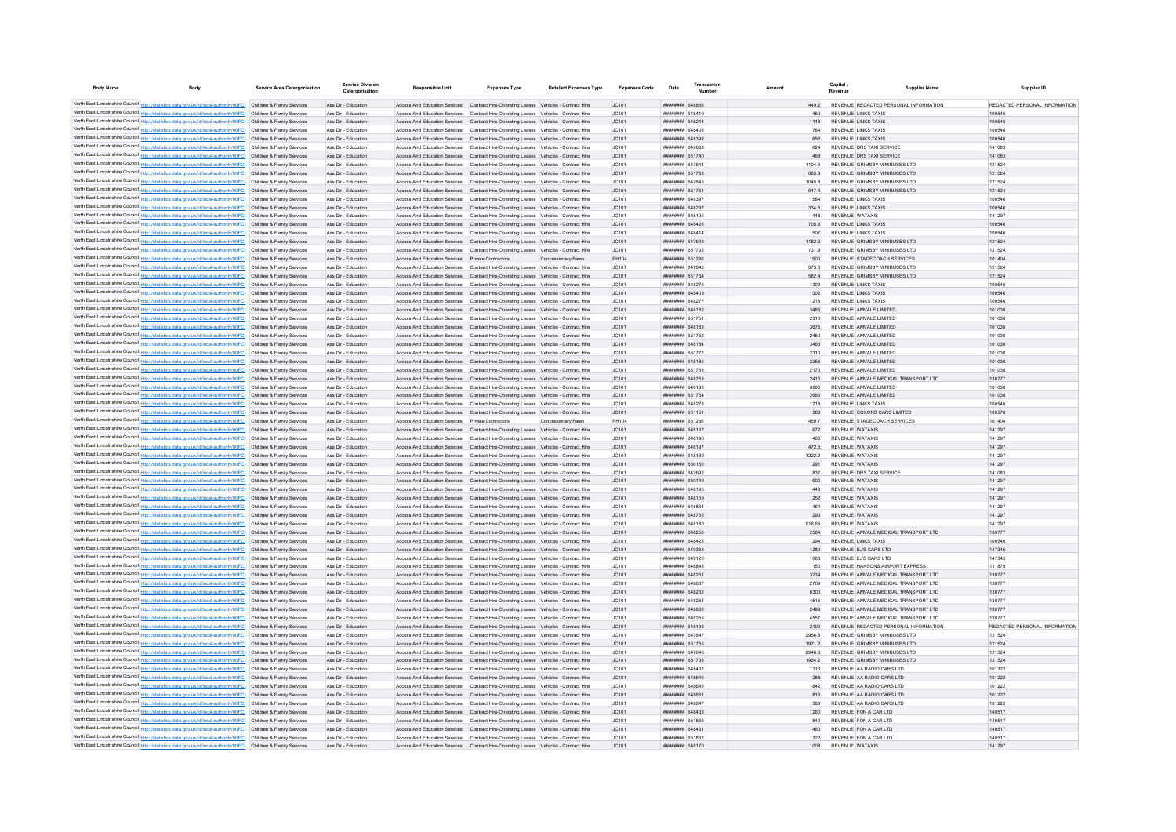| <b>Body Name</b> | Body                                                                                                                                                                                                                                   | <b>Service Area Catergorisation</b> | <b>Service Divisio</b><br>Catergorisation  | <b>Responsible Unit</b>                           | <b>Expenses Type</b>                                                                                                                                                               | <b>Detailed Expenses Type</b> | <b>Expenses Code</b> | Date                                                   |  |               |                                                  | <b>Supplier Name</b>                                         | Supplier ID                             |
|------------------|----------------------------------------------------------------------------------------------------------------------------------------------------------------------------------------------------------------------------------------|-------------------------------------|--------------------------------------------|---------------------------------------------------|------------------------------------------------------------------------------------------------------------------------------------------------------------------------------------|-------------------------------|----------------------|--------------------------------------------------------|--|---------------|--------------------------------------------------|--------------------------------------------------------------|-----------------------------------------|
|                  |                                                                                                                                                                                                                                        |                                     |                                            |                                                   |                                                                                                                                                                                    |                               |                      |                                                        |  |               |                                                  |                                                              |                                         |
|                  | North East Lincolnshire Council http://statistics.data.gov.uk/id/local-authority/00FC) Children & Family Services<br>North East Lincolnshire Council http://statistics.data.gov.uk/id/local-authority/00FC) Children & Family Services |                                     | Ass Dir - Education<br>Ass Dir - Education |                                                   | Access And Education Services Contract Hire-Operating Leases Vehicles - Contract Hire<br>Access And Education Services Contract Hire-Operating Leases Vehicles - Contract Hire     |                               | JC101<br>JC101       | ######## 648856<br><b><i><u>HHHHHHH</u></i></b> 648419 |  | 4492<br>450   |                                                  | REVENUE REDACTED PERSONAL INFORMATION<br>REVENUE LINKS TAXIS | REDACTED PERSONAL INFORMATION<br>100546 |
|                  | North East Lincolnshire Council http://statistics.data.gov.uk/id/local-authority/00FC) Children & Family Services                                                                                                                      |                                     | Ass Dir - Education                        |                                                   | Access And Education Services Contract Hire-Operating Leases Vehicles - Contract Hire                                                                                              |                               | JC101                | пппппппп 648244                                        |  | 1148          |                                                  | <b>REVENUE LINKS TAXIS</b>                                   | 100546                                  |
|                  | North East Lincolnshire Council http://statistics.data.gov.uk/id/local-authority/00FC) Children & Family Services                                                                                                                      |                                     | Ass Dir - Education                        |                                                   | Access And Education Services  Contract Hire-Operating Leases  Vehicles - Contract Hire                                                                                            |                               | IC101                | пппппппп 648406                                        |  | 784           |                                                  | REVENUE LINKS TAXIS                                          | 100546                                  |
|                  | North East Lincolnshire Council http://statistics.data.gov.uk/id/local-authority/00FC) Children & Family Services                                                                                                                      |                                     | Ass Dir - Education                        |                                                   | Access And Education Services Contract Hire-Operating Leases Vehicles - Contract Hire                                                                                              |                               | JC101                | ######## 648398                                        |  | 656           |                                                  | <b>REVENUE LINKS TAXIS</b>                                   | 100546                                  |
|                  | North East Lincolnshire Council http://statistics.data.gov.uk/id/local-authority/00FC) Children & Family Services                                                                                                                      |                                     | Ass Dir - Education                        |                                                   | Access And Education Services   Contract Hire-Operating Leases   Vehicles - Contract Hire                                                                                          |                               | JC101                | <b><i>BREEZER 647688</i></b>                           |  | 624           |                                                  | REVENUE DRS TAXI SERVICE                                     | 141083                                  |
|                  | North East Lincolnshire Council http://statistics.data.gov.uk/id/local-authority/00FC) Children & Family Services                                                                                                                      |                                     | Ass Dir - Education                        |                                                   | Access And Education Services Contract Hire-Operating Leases Vehicles - Contract Hire                                                                                              |                               | JC101                | ######## 651740                                        |  |               |                                                  | REVENUE DRS TAXI SERVICE                                     | 141083                                  |
|                  | North East Lincolnshire Council http://statistics.data.gov.uk/id/local-authority/00FC) Children & Family Services                                                                                                                      |                                     | Ass Dir - Education                        |                                                   | Access And Education Services Contract Hire-Operating Leases Vehicles - Contract Hire                                                                                              |                               | JC101                | ######## 647644                                        |  | 1104.6        |                                                  | REVENUE GRIMSBY MINIBUSES LTD                                | 121524                                  |
|                  | North East Lincolnshire Council http://statistics.data.gov.uk/id/local-authority/00FC) Children & Family Services                                                                                                                      |                                     | Ass Dir - Education                        |                                                   | Access And Education Services Contract Hire-Operating Leases Vehicles - Contract Hire                                                                                              |                               | JC101                | ######## 651733                                        |  | 683.8         |                                                  | REVENUE GRIMSBY MINIBUSES LTD                                | 121524                                  |
|                  | North East Lincolnshire Council http://statistics.data.gov.uk/id/local-authority/00FC) Children & Family Services                                                                                                                      |                                     | Ass Dir - Education                        |                                                   | Access And Education Services  Contract Hire-Operating Leases  Vehicles - Contract Hire                                                                                            |                               | JC101                | <b>пппппппп</b> 647645                                 |  | 10458         |                                                  | REVENUE GRIMSBY MINIBUSES LTD                                | 121524                                  |
|                  | North East Lincolnshire Council http://statistics.data.gov.uk/id/local-authority/00FC) Children & Family Services<br>North East Lincolnshire Council http://statistics.data.gov.uk/id/local-authority/00FC) Children & Family Services |                                     | Ass Dir - Education<br>Ass Dir - Education |                                                   | Access And Education Services  Contract Hire-Operating Leases  Vehicles - Contract Hire<br>Access And Education Services  Contract Hire-Operating Leases  Vehicles - Contract Hire |                               | JC101<br>JC101       | ######## 65173<br>####### 64839                        |  | 647.4<br>1584 |                                                  | REVENUE GRIMSBY MINIBUSES LTD<br>REVENUE LINKS TAXIS         | 121524<br>100546                        |
|                  | North East Lincolnshire Council http://statistics.data.gov.uk/id/local-authority/00FC) Children & Family Services                                                                                                                      |                                     | Ass Dir - Education                        |                                                   | Access And Education Services Contract Hire-Operating Leases Vehicles - Contract Hire                                                                                              |                               | JC101                | ######## 648297                                        |  | 334.5         |                                                  | REVENUE LINKS TAXIS                                          | 100546                                  |
|                  | North East Lincolnshire Council http://statistics.data.gov.uk/id/local-authority/00FC) Children & Family Services                                                                                                                      |                                     | Ass Dir - Education                        |                                                   | Access And Education Services Contract Hire-Operating Leases Vehicles - Contract Hire                                                                                              |                               | JC101                | <b>HUHHHHH 648195</b>                                  |  | 448           | <b>REVENUE WATAXIS</b>                           |                                                              | 141297                                  |
|                  | North East Lincolnshire Council http://statistics.data.gov.uk/id/local-authority/00FC) Children & Family Services                                                                                                                      |                                     | Ass Dir - Education                        |                                                   | Access And Education Services Contract Hire-Operating Leases Vehicles - Contract Hire                                                                                              |                               | JC101                | пппппппп 648426                                        |  | 705.6         |                                                  | REVENUE LINKS TAXIS                                          | 100546                                  |
|                  | North East Lincolnshire Council http://statistics.data.gov.uk/id/local-authority/00FC) Children & Family Services                                                                                                                      |                                     | Ass Dir - Education                        |                                                   | Access And Education Services Contract Hire-Operating Leases Vehicles - Contract Hire                                                                                              |                               | JC101                | <b>пппппппп</b> 648414                                 |  | 507           |                                                  | REVENUE LINKS TAXIS                                          | 100546                                  |
|                  | North East Lincolnshire Council http://statistics.data.gov.uk/id/local-authority/00FC) Children & Family Services                                                                                                                      |                                     | Ass Dir - Education                        |                                                   | Access And Education Services Contract Hire-Operating Leases Vehicles - Contract Hire                                                                                              |                               | JC101                | ######## 647643                                        |  | 1182.3        |                                                  | REVENUE GRIMSBY MINIBUSES LTD                                | 121524                                  |
|                  | North East Lincolnshire Council http://statistics.data.gov.uk/id/local-authority/00FC) Children & Family Services                                                                                                                      |                                     | Ass Dir - Education                        |                                                   | Access And Education Services Contract Hire-Operating Leases Vehicles - Contract Hire                                                                                              |                               | JC101                | ######## 651732                                        |  | 731.9         |                                                  | REVENUE GRIMSBY MINIBUSES LTD                                | 121524                                  |
|                  | North East Lincolnshire Council http://statistics.data.gov.uk/id/local-authority/00FC) Children & Family Services                                                                                                                      |                                     | Ass Dir - Education                        | Access And Education Services Private Contractors |                                                                                                                                                                                    | Concessionary Fares           | PH104                | ######## 651260                                        |  | 1500          |                                                  | REVENUE STAGECOACH SERVICES                                  | 101404                                  |
|                  | North East Lincolnshire Council http://statistics.data.gov.uk/id/local-authority/00FC) Children & Family Services                                                                                                                      |                                     | Ass Dir - Education                        |                                                   | Access And Education Services  Contract Hire-Operating Leases  Vehicles - Contract Hire                                                                                            |                               | JC101                | <b>пппппппп</b> 647642                                 |  | 873.6         |                                                  | REVENUE GRIMSBY MINIBUSES LTD                                | 121524                                  |
|                  | North East Lincolnshire Council http://statistics.data.gov.uk/id/local-authority/00FC) Children & Family Services                                                                                                                      |                                     | Ass Dir - Education                        |                                                   | Access And Education Services  Contract Hire-Operating Leases  Vehicles - Contract Hire                                                                                            |                               | JC101                | <b>пппппппп</b> 651734                                 |  | 5824          |                                                  | REVENUE GRIMSBY MINIBUSES LTD                                | 121524                                  |
|                  | North East Lincolnshire Council http://statistics.data.gov.uk/id/local-authority/00FC) Children & Family Services                                                                                                                      |                                     | Ass Dir - Education                        |                                                   | Access And Education Services  Contract Hire-Operating Leases  Vehicles - Contract Hire                                                                                            |                               | JC101                | <b>пппппппп</b> 648276                                 |  | 1302          |                                                  | <b>REVENUE LINKS TAXIS</b>                                   | 100546                                  |
|                  | North East Lincolnshire Council http://statistics.data.gov.uk/id/local-authority/00FC) Children & Family Services                                                                                                                      |                                     | Ass Dir - Education                        |                                                   | Access And Education Services Contract Hire-Operating Leases Vehicles - Contract Hire                                                                                              |                               | IC.101               | <b>HHHHHHH 648409</b>                                  |  | 1302          |                                                  | <b>REVENUE LINKS TAXIS</b>                                   | 100546<br>100546                        |
|                  | North East Lincolnshire Council http://statistics.data.gov.uk/id/local-authority/00FC) Children & Family Services                                                                                                                      |                                     | Ass Dir - Education                        |                                                   | Access And Education Services  Contract Hire-Operating Leases  Vehicles - Contract Hire                                                                                            |                               | JC101                | пппппппп 648277<br><b>ПЕПИНИН 648182</b>               |  | 1218<br>3465  |                                                  | REVENUE LINKS TAXIS<br>REVENUE AMVALE LIMITED                | 101030                                  |
|                  | North East Lincolnshire Council http://statistics.data.gov.uk/id/local-authority/00FC) Children & Family Services<br>North East Lincolnshire Council http://statistics.data.gov.uk/id/local-authority/00FC) Children & Family Services |                                     | Ass Dir - Education<br>Ass Dir - Education | Access And Education Services                     | Access And Education Services  Contract Hire-Operating Leases  Vehicles - Contract Hire<br>Contract Hire-Operating Leases Vehicles - Contract Hire                                 |                               | JC101<br>JC101       | <b>HUHHHHH 65175</b>                                   |  | 2310          |                                                  | REVENUE AMVALE LIMITED                                       | 101030                                  |
|                  | North East Lincolnshire Council http://statistics.data.gov.uk/id/local-authority/00FC) Children & Family Services                                                                                                                      |                                     | Ass Dir - Education                        |                                                   | Access And Education Services Contract Hire-Operating Leases Vehicles - Contract Hire                                                                                              |                               | JC101                | <b>пппппппп</b> 648183                                 |  | 3675          |                                                  | REVENUE AMVALE LIMITED                                       | 101030                                  |
|                  | North East Lincolnshire Council http://statistics.data.gov.uk/id/local-authority/00FC) Children & Family Services                                                                                                                      |                                     | Ass Dir - Education                        |                                                   | Access And Education Services Contract Hire-Operating Leases Vehicles - Contract Hire                                                                                              |                               | JC101                | <b><i>HHHHHHH 651752</i></b>                           |  | 2450          |                                                  | REVENUE AMVALE LIMITED                                       | 101030                                  |
|                  | North East Lincolnshire Council http://statistics.data.gov.uk/id/local-authority/00FC) Children & Family Services                                                                                                                      |                                     | Ass Dir - Education                        |                                                   | Access And Education Services Contract Hire-Operating Leases Vehicles - Contract Hire                                                                                              |                               | IC.101               | <b><i>BRENHHHH 648184</i></b>                          |  | 3465          |                                                  | REVENUE AMVALE LIMITED                                       | 101030                                  |
|                  | North East Lincolnshire Council http://statistics.data.gov.uk/id/local-authority/00FC) Children & Family Services                                                                                                                      |                                     | Ass Dir - Education                        |                                                   | Access And Education Services   Contract Hire-Operating Leases   Vehicles - Contract Hire                                                                                          |                               | JC101                | ######## 651777                                        |  | 2310          |                                                  | REVENUE AMVALE LIMITED                                       | 101030                                  |
|                  | North East Lincolnshire Council http://statistics.data.gov.uk/id/local-authority/00FC) Children & Family Services                                                                                                                      |                                     | Ass Dir - Education                        |                                                   | Access And Education Services Contract Hire-Operating Leases Vehicles - Contract Hire                                                                                              |                               | JC101                | <b>HHHHHHH 648185</b>                                  |  | 3255          |                                                  | REVENUE AMVALE LIMITED                                       | 101030                                  |
|                  | North East Lincolnshire Council http://statistics.data.gov.uk/id/local-authority/00FC) Children & Family Services                                                                                                                      |                                     | Ass Dir - Education                        |                                                   | Access And Education Services  Contract Hire-Operating Leases  Vehicles - Contract Hire                                                                                            |                               | JC101                | ####### 651753                                         |  | 2170          |                                                  | REVENUE AMVALE LIMITED                                       | 101030                                  |
|                  | North East Lincolnshire Council http://statistics.data.gov.uk/id/local-authority/00FC) Children & Family Services                                                                                                                      |                                     | Ass Dir - Education                        |                                                   | Access And Education Services Contract Hire-Operating Leases Vehicles - Contract Hire                                                                                              |                               | JC101                | ######## 648253                                        |  | 2415          |                                                  | REVENUE AMVALE MEDICAL TRANSPORT LTD                         | 130777                                  |
|                  | North East Lincolnshire Council http://statistics.data.gov.uk/id/local-authority/00FC) Children & Family Services                                                                                                                      |                                     | Ass Dir - Education                        |                                                   | Access And Education Services Contract Hire-Operating Leases Vehicles - Contract Hire                                                                                              |                               | JC101                | ######## 648186                                        |  | 3990          |                                                  | REVENUE AMVALE LIMITED                                       | 101030                                  |
|                  | North East Lincolnshire Council http://statistics.data.gov.uk/id/local-authority/00FC) Children & Family Services                                                                                                                      |                                     | Ass Dir - Education                        |                                                   | Access And Education Services  Contract Hire-Operating Leases  Vehicles - Contract Hire                                                                                            |                               | JC101                | <b>пппппппп</b> 651754                                 |  | 2660          |                                                  | REVENUE AMVALE LIMITED                                       | 101030                                  |
|                  | North East Lincolnshire Council http://statistics.data.gov.uk/id/local-authority/00FC) Children & Family Services                                                                                                                      |                                     | Ass Dir - Education                        |                                                   | Access And Education Services Contract Hire-Operating Leases Vehicles - Contract Hire                                                                                              |                               | JC101                | ####### 648278                                         |  | 1218          |                                                  | <b>REVENUE LINKS TAXIS</b>                                   | 100546                                  |
|                  | North East Lincolnshire Council http://statistics.data.gov.uk/id/local-authority/00FC) Children & Family Services                                                                                                                      |                                     | Ass Dir - Education                        |                                                   | Access And Education Services  Contract Hire-Operating Leases  Vehicles - Contract Hire                                                                                            |                               | JC101                | ######## 651151                                        |  | 588           |                                                  | REVENUE COXONS CARS LIMITED                                  | 100578                                  |
|                  | North East Lincolnshire Council http://statistics.data.gov.uk/id/local-authority/00FC) Children & Family Services                                                                                                                      |                                     | Ass Dir - Education                        | Access And Education Services Private Contractors |                                                                                                                                                                                    | Concessionary Fares           | PH104                | ####### 65126                                          |  | 459.7         |                                                  | REVENUE STAGECOACH SERVICES                                  | 101404                                  |
|                  | North East Lincolnshire Council http://statistics.data.gov.uk/id/local-authority/00FC) Children & Family Services<br>North East Lincolnshire Council http://statistics.data.gov.uk/id/local-authority/00FC) Children & Family Services |                                     | Ass Dir - Education                        |                                                   | Access And Education Services Contract Hire-Operating Leases Vehicles - Contract Hire                                                                                              |                               | JC101                | ######## 648167                                        |  | 672           | <b>REVENUE WATAXIS</b><br><b>REVENUE WATAXIS</b> |                                                              | 141297                                  |
|                  | North East Lincolnshire Council http://statistics.data.gov.uk/id/local-authority/00FC) Children & Family Services                                                                                                                      |                                     | Ass Dir - Education<br>Ass Dir - Education | Access And Education Services                     | Contract Hire-Operating Leases Vehicles - Contract Hire<br>Access And Education Services Contract Hire-Operating Leases Vehicles - Contract Hire                                   |                               | JC101<br>JC101       | ######## 648190<br><b>HHHHHHH 648197</b>               |  | 468<br>472.5  | <b>REVENUE WATAXIS</b>                           |                                                              | 141297<br>141297                        |
|                  | North East Lincolnshire Council http://statistics.data.gov.uk/id/local-authority/00FC) Children & Family Services                                                                                                                      |                                     | Ass Dir - Education                        |                                                   | Access And Education Services  Contract Hire-Operating Leases  Vehicles - Contract Hire                                                                                            |                               | JC101                | ######## 648189                                        |  | 1222.2        | REVENUE WATAXIS                                  |                                                              | 141297                                  |
|                  | North East Lincolnshire Council http://statistics.data.gov.uk/id/local-authority/00FC) Children & Family Services                                                                                                                      |                                     | Ass Dir - Education                        |                                                   | Access And Education Services Contract Hire-Operating Leases Vehicles - Contract Hire                                                                                              |                               | JC101                | ######## 650150                                        |  | 291           | REVENUE WATAXIS                                  |                                                              | 141297                                  |
|                  | North East Lincolnshire Council http://statistics.data.gov.uk/id/local-authority/00FC) Children & Family Services                                                                                                                      |                                     | Ass Dir - Education                        |                                                   | Access And Education Services  Contract Hire-Operating Leases  Vehicles - Contract Hire                                                                                            |                               | JC101                | ######## 647692                                        |  | 837           |                                                  | REVENUE DRS TAXI SERVICE                                     | 141083                                  |
|                  | North East Lincolnshire Council http://statistics.data.gov.uk/id/local-authority/00FC) Children & Family Services                                                                                                                      |                                     | Ass Dir - Education                        |                                                   | Access And Education Services Contract Hire-Operating Leases Vehicles - Contract Hire                                                                                              |                               | JC101                | ######## 650149                                        |  | 600           | REVENUE WATAXIS                                  |                                                              | 141297                                  |
|                  | North East Lincolnshire Council http://statistics.data.gov.uk/id/local-authority/00FC) Children & Family Services                                                                                                                      |                                     | Ass Dir - Education                        |                                                   | Access And Education Services  Contract Hire-Operating Leases  Vehicles - Contract Hire                                                                                            |                               | JC101                | ######## 648195                                        |  | 448           | REVENUE WATAXIS                                  |                                                              | 141297                                  |
|                  | North East Lincolnshire Council http://statistics.data.gov.uk/id/local-authority/00FC) Children & Family Services                                                                                                                      |                                     | Ass Dir - Education                        |                                                   | Access And Education Services  Contract Hire-Operating Leases  Vehicles - Contract Hire                                                                                            |                               | JC101                | <b>HHHHHHH 648159</b>                                  |  | 252           | REVENUE WATAXIS                                  |                                                              | 141297                                  |
|                  | North East Lincolnshire Council http://statistics.data.gov.uk/id/local-authority/00FC) Children & Family Services                                                                                                                      |                                     | Ass Dir - Education                        |                                                   | Access And Education Services Contract Hire-Operating Leases Vehicles - Contract Hire                                                                                              |                               | IC101                | пппннннн 648834                                        |  | 464           | <b>REVENUE WATAXIS</b>                           |                                                              | 141297                                  |
|                  | North East Lincolnshire Council http://statistics.data.gov.uk/id/local-authority/00FC) Children & Family Services                                                                                                                      |                                     | Ass Dir - Education                        |                                                   | Access And Education Services  Contract Hire-Operating Leases  Vehicles - Contract Hire                                                                                            |                               | JC101                | <b>########</b> 648755                                 |  | 290           | <b>REVENUE WATAXIS</b>                           |                                                              | 141297                                  |
|                  | North East Lincolnshire Council http://statistics.data.gov.uk/id/local-authority/00FC) Children & Family Services                                                                                                                      |                                     | Ass Dir - Education                        |                                                   | Access And Education Services  Contract Hire-Operating Leases  Vehicles - Contract Hire                                                                                            |                               | JC101                | <b>пппппппп</b> 648180                                 |  | 916.65        | <b>REVENUE WATAXIS</b>                           |                                                              | 141297                                  |
|                  | North East Lincolnshire Council http://statistics.data.gov.uk/id/local-authority/00FC) Children & Family Services                                                                                                                      |                                     | Ass Dir - Education                        | Access And Education Services                     | Contract Hire-Operating Leases Vehicles - Contract Hire                                                                                                                            |                               | JC101                | ######## 648256<br><b>HHHHHHH</b> GARAOS               |  | 2564          |                                                  | REVENUE AMVALE MEDICAL TRANSPORT LTD                         | 130777                                  |
|                  | North East Lincolnshire Council http://statistics.data.gov.uk/id/local-authority/00FC) Children & Family Services                                                                                                                      |                                     | Ass Dir - Education                        |                                                   | Access And Education Services Contract Hire-Operating Leases Vehicles - Contract Hire                                                                                              |                               | JC101                | пппппппп 649338                                        |  | 294<br>1280   |                                                  | <b>REVENUE LINKS TAXIS</b><br>REVENUE EJ'S CARS LTD          | 100546<br>147345                        |
|                  | North East Lincolnshire Council http://statistics.data.gov.uk/id/local-authority/00FC) Children & Family Services<br>North East Lincolnshire Council http://statistics.data.gov.uk/id/local-authority/00FC) Children & Family Services |                                     | Ass Dir - Education<br>Ass Dir - Education |                                                   | Access And Education Services Contract Hire-Operating Leases Vehicles - Contract Hire<br>Access And Education Services  Contract Hire-Operating Leases  Vehicles - Contract Hire   |                               | JC101<br>IC101       | <b><i>BRENHHHH</i></b> 649120                          |  | 1088          |                                                  | REVENUE EJ'S CARS LTD.                                       | 147345                                  |
|                  | North East Lincolnshire Council http://statistics.data.gov.uk/id/local-authority/00FC) Children & Family Services                                                                                                                      |                                     | Ass Dir - Education                        |                                                   | Access And Education Services  Contract Hire-Operating Leases  Vehicles - Contract Hire                                                                                            |                               | JC101                | <b>HERHHHHH</b> 648848                                 |  | 1150          |                                                  | REVENUE HANSONS AIRPORT EXPRESS                              | 111879                                  |
|                  | North East Lincolnshire Council http://statistics.data.gov.uk/id/local-authority/00FC) Children & Family Services                                                                                                                      |                                     | Ass Dir - Education                        |                                                   | Access And Education Services Contract Hire-Operating Leases Vehicles - Contract Hire                                                                                              |                               | JC101                | <b>ППИНИНИ 648251</b>                                  |  | 3234          |                                                  | REVENUE AMVALE MEDICAL TRANSPORT LTD                         | 130777                                  |
|                  | North East Lincolnshire Council http://statistics.data.gov.uk/id/local-authority/00FC) Children & Family Services                                                                                                                      |                                     | Ass Dir - Education                        |                                                   | Access And Education Services  Contract Hire-Operating Leases  Vehicles - Contract Hire                                                                                            |                               | JC101                | ######## 648637                                        |  | 2709          |                                                  | REVENUE AMVALE MEDICAL TRANSPORT LTD                         | 130777                                  |
|                  | North East Lincolnshire Council http://statistics.data.gov.uk/id/local-authority/00FC) Children & Family Services                                                                                                                      |                                     | Ass Dir - Education                        |                                                   | Access And Education Services Contract Hire-Operating Leases Vehicles - Contract Hire                                                                                              |                               | JC101                | ######## 648262                                        |  | 6300          |                                                  | REVENUE AMVALE MEDICAL TRANSPORT LTD                         | 130777                                  |
|                  | North East Lincolnshire Council http://statistics.data.gov.uk/id/local-authority/00FC) Children & Family Services                                                                                                                      |                                     | Ass Dir - Education                        |                                                   | Access And Education Services Contract Hire-Operating Leases Vehicles - Contract Hire                                                                                              |                               | JC101                | ######## 648254                                        |  | 4515          |                                                  | REVENUE AMVALE MEDICAL TRANSPORT LTD                         | 130777                                  |
|                  | North East Lincolnshire Council http://statistics.data.gov.uk/id/local-authority/00FC) Children & Family Services                                                                                                                      |                                     | Ass Dir - Education                        |                                                   | Access And Education Services  Contract Hire-Operating Leases  Vehicles - Contract Hire                                                                                            |                               | JC101                | пппппппп 648636                                        |  | 2499          |                                                  | REVENUE AMVALE MEDICAL TRANSPORT LTD                         | 130777                                  |
|                  | North East Lincolnshire Council http://statistics.data.gov.uk/id/local-authority/00FC) Children & Family Services                                                                                                                      |                                     | Ass Dir - Education                        |                                                   | Access And Education Services Contract Hire-Operating Leases Vehicles - Contract Hire                                                                                              |                               | JC101                | ####### 648255                                         |  | 4557          |                                                  | REVENUE AMVALE MEDICAL TRANSPORT LTD                         | 130777                                  |
|                  | North East Lincolnshire Council http://statistics.data.gov.uk/id/local-authority/00FC) Children & Family Services                                                                                                                      |                                     | Ass Dir - Education                        |                                                   | Access And Education Services  Contract Hire-Operating Leases  Vehicles - Contract Hire                                                                                            |                               | JC101                | ######## 648198                                        |  | 2100          |                                                  | REVENUE REDACTED PERSONAL INFORMATION                        | REDACTED PERSONAL INFORMATION           |
|                  | North East Lincolnshire Council http://statistics.data.gov.uk/id/local-authority/00FC) Children & Family Services                                                                                                                      |                                     | Ass Dir - Education                        |                                                   | Access And Education Services  Contract Hire-Operating Leases  Vehicles - Contract Hire                                                                                            |                               | JC101                | ####### 64764                                          |  | 2956.8        |                                                  | REVENUE GRIMSBY MINIBUSES LTD                                | 121524                                  |
|                  | North East Lincolnshire Council http://statistics.data.gov.uk/id/local-authority/00FC) Children & Family Services                                                                                                                      |                                     | Ass Dir - Education                        |                                                   | Access And Education Services Contract Hire-Operating Leases Vehicles - Contract Hire                                                                                              |                               | JC101                | ######## 651735                                        |  | 1971.2        |                                                  | REVENUE GRIMSBY MINIBUSES LTD                                | 121524                                  |
|                  | North East Lincolnshire Council http://statistics.data.gov.uk/id/local-authority/00FC) Children & Family Services                                                                                                                      |                                     | Ass Dir - Education                        | Access And Education Services                     | Contract Hire-Operating Leases Vehicles - Contract Hire                                                                                                                            |                               | JC101                | ######## 647646                                        |  | 2946.3        |                                                  | REVENUE GRIMSBY MINIBUSES LTD                                | 121524                                  |
|                  | North East Lincolnshire Council http://statistics.data.gov.uk/id/local-authority/00FC) Children & Family Services                                                                                                                      |                                     | Ass Dir - Education                        |                                                   | Access And Education Services Contract Hire-Operating Leases Vehicles - Contract Hire                                                                                              |                               | JC101                | <b>HHHHHHH 651738</b>                                  |  | 19642         |                                                  | REVENUE GRIMSBY MINIBUSES LTD                                | 121524                                  |
|                  | North East Lincolnshire Council http://statistics.data.gov.uk/id/local-authority/00FC) Children & Family Services                                                                                                                      |                                     | Ass Dir - Education                        |                                                   | Access And Education Services  Contract Hire-Operating Leases  Vehicles - Contract Hire                                                                                            |                               | JC101                | ####### 648407                                         |  | 1113          |                                                  | REVENUE AA RADIO CARS LTD<br>REVENUE AA RADIO CARS LTD       | 101222                                  |
|                  | North East Lincolnshire Council http://statistics.data.gov.uk/id/local-authority/00FC) Children & Family Services<br>North East Lincolnshire Council http://statistics.data.gov.uk/id/local-authority/00FC) Children & Family Services |                                     | Ass Dir - Education<br>Ass Dir - Education |                                                   | Access And Education Services Contract Hire-Operating Leases Vehicles - Contract Hire<br>Access And Education Services Contract Hire-Operating Leases Vehicles - Contract Hire     |                               | JC101<br>JC101       | ######## 648646<br>######## 648645                     |  | 288<br>842    |                                                  | REVENUE AA RADIO CARS LTD                                    | 101222<br>101222                        |
|                  | North East Lincolnshire Council http://statistics.data.gov.uk/id/local-authority/00FC) Children & Family Services                                                                                                                      |                                     | Ass Dir - Education                        |                                                   | Access And Education Services Contract Hire-Operating Leases Vehicles - Contract Hire                                                                                              |                               | JC101                | ######## 64865                                         |  |               |                                                  | REVENUE AA RADIO CARS LTD                                    | 101222                                  |
|                  | North East Lincolnshire Council http://statistics.data.gov.uk/id/local-authority/00FC) Children & Family Services                                                                                                                      |                                     | Ass Dir - Education                        |                                                   | Access And Education Services  Contract Hire-Operating Leases  Vehicles - Contract Hire                                                                                            |                               | JC101                | ######## 648641                                        |  | 383           |                                                  | REVENUE AA RADIO CARS LTD                                    | 101222                                  |
|                  | North East Lincolnshire Council http://statistics.data.gov.uk/id/local-authority/00FC) Children & Family Services                                                                                                                      |                                     | Ass Dir - Education                        |                                                   | Access And Education Services Contract Hire-Operating Leases Vehicles - Contract Hire                                                                                              |                               | JC101                | пппппппп 648433                                        |  | 1260          |                                                  | REVENUE FON A CAR LTD                                        | 140517                                  |
|                  | North East Lincolnshire Council http://statistics.data.gov.uk/id/local-authority/00FC) Children & Family Services                                                                                                                      |                                     | Ass Dir - Education                        |                                                   | Access And Education Services Contract Hire-Operating Leases Vehicles - Contract Hire                                                                                              |                               | IC.101               | ######## 651866                                        |  | 840           |                                                  | REVENUE FON A CAR LTD                                        | 140517                                  |
|                  | North East Lincolnshire Council http://statistics.data.gov.uk/id/local-authority/00FC) Children & Family Services                                                                                                                      |                                     | Ass Dir - Education                        |                                                   | Access And Education Services Contract Hire-Operating Leases Vehicles - Contract Hire                                                                                              |                               | IC101                | <b>ПППННННН</b> 648431                                 |  | 460           |                                                  | REVENUE FON A CAR LTD                                        | 140517                                  |
|                  | North East Lincolnshire Council http://statistics.data.gov.uk/id/local-authority/00FC) Children & Family Services                                                                                                                      |                                     | Ass Dir - Education                        |                                                   | Access And Education Services  Contract Hire-Operating Leases  Vehicles - Contract Hire                                                                                            |                               | IC101                | <b>HUHHHHH</b> 65186                                   |  | 322           |                                                  | REVENUE FON A CAR LTD                                        | 140517                                  |
|                  | North East Lincolnshire Council http://statistics.data.gov.uk/id/local-authority/00FC) Children & Family Services                                                                                                                      |                                     | Ass Dir - Education                        |                                                   | Access And Education Services Contract Hire-Operating Leases Vehicles - Contract Hire                                                                                              |                               | JC101                | <b>ШЕННИНИ 648170</b>                                  |  |               | <b>REVENUE WATAXIS</b>                           |                                                              | 141297                                  |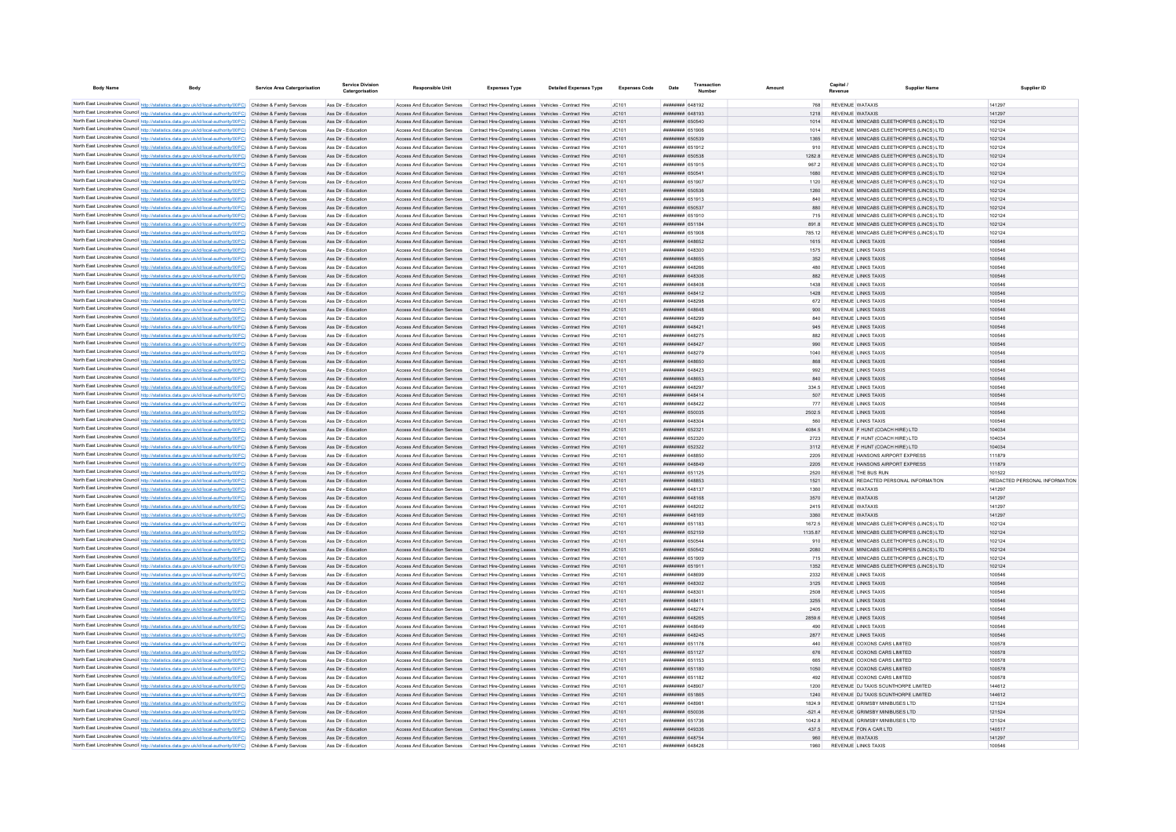| <b>Body Name</b>                                                                                                                                                                                                                       | Body                                                                                                                                                                                                                                   | <b>Service Area Catergorisation</b> | Service Divisio<br>Catergorisation         | <b>Responsible Unit</b>       | <b>Expenses Type</b>                                                                                                                                                             | <b>Detailed Expenses Type</b> | <b>Expenses Code</b> | Date                                             | Numbe |                |                        | <b>Supplier Name</b>                                                                 | Supplier ID                   |
|----------------------------------------------------------------------------------------------------------------------------------------------------------------------------------------------------------------------------------------|----------------------------------------------------------------------------------------------------------------------------------------------------------------------------------------------------------------------------------------|-------------------------------------|--------------------------------------------|-------------------------------|----------------------------------------------------------------------------------------------------------------------------------------------------------------------------------|-------------------------------|----------------------|--------------------------------------------------|-------|----------------|------------------------|--------------------------------------------------------------------------------------|-------------------------------|
|                                                                                                                                                                                                                                        |                                                                                                                                                                                                                                        |                                     |                                            |                               |                                                                                                                                                                                  |                               |                      | <b><i>BRAHHHHH 648192</i></b>                    |       |                |                        |                                                                                      |                               |
| North East Lincolnshire Council http://statistics.data.gov.uk/id/local-authority/00FC) Children & Family Services                                                                                                                      | North East Lincolnshire Council http://statistics.data.gov.uk/id/local-authority/00FC) Children & Family Services                                                                                                                      |                                     | Ass Dir - Education<br>Ass Dir - Education |                               | Access And Education Services  Contract Hire-Operating Leases  Vehicles - Contract Hire<br>Access And Education Services Contract Hire-Operating Leases Vehicles - Contract Hire |                               | JC101<br>JC101       | HHHHHHH GAR103                                   |       | 1218           | <b>REVENUE WATAXIS</b> | <b>REVENUE WATAXIS</b>                                                               | 141297<br>141297              |
|                                                                                                                                                                                                                                        | North East Lincolnshire Council http://statistics.data.gov.uk/id/local-authority/00FC) Children & Family Services                                                                                                                      |                                     | Ass Dir - Education                        |                               | Access And Education Services Contract Hire-Operating Leases Vehicles - Contract Hire                                                                                            |                               | JC101                | ######## 650540                                  |       | 1014           |                        | REVENUE MINICABS CLEETHORPES (LINCS) LTD                                             | 102124                        |
|                                                                                                                                                                                                                                        | North East Lincolnshire Council http://statistics.data.gov.uk/id/local-authority/00FC) Children & Family Services                                                                                                                      |                                     | Ass Dir - Education                        |                               | Access And Education Services Contract Hire-Operating Leases Vehicles - Contract Hire                                                                                            |                               | IC101                | ######## 651906                                  |       | 1014           |                        | REVENUE MINICARS CLEETHORPES (LINCS) LTD.                                            | 102124                        |
|                                                                                                                                                                                                                                        | North East Lincolnshire Council http://statistics.data.gov.uk/id/local-authority/00FC) Children & Family Services                                                                                                                      |                                     | Ass Dir - Education                        |                               | Access And Education Services  Contract Hire-Operating Leases  Vehicles - Contract Hire                                                                                          |                               | JC101                | ######## 650539                                  |       | 1365           |                        | REVENUE MINICABS CLEETHORPES (LINCS) LTD                                             | 102124                        |
|                                                                                                                                                                                                                                        | North East Lincolnshire Council http://statistics.data.gov.uk/id/local-authority/00FC) Children & Family Services                                                                                                                      |                                     | Ass Dir - Education                        |                               | Access And Education Services Contract Hire-Operating Leases Vehicles - Contract Hire                                                                                            |                               | JC101                | ######## 651912                                  |       | 910            |                        | REVENUE MINICARS CLEETHORPES (LINCS) LTD.                                            | 102124                        |
| North East Lincolnshire Council http://statistics.data.gov.uk/id/local-authority/00FC) Children & Family Services                                                                                                                      |                                                                                                                                                                                                                                        |                                     | Ass Dir - Education                        |                               | Access And Education Services  Contract Hire-Operating Leases  Vehicles - Contract Hire                                                                                          |                               | JC101                | ######## 650538                                  |       | 1282.8         |                        | REVENUE MINICABS CLEETHORPES (LINCS) LTD                                             | 102124                        |
|                                                                                                                                                                                                                                        | North East Lincolnshire Council http://statistics.data.gov.uk/id/local-authority/00FC) Children & Family Services                                                                                                                      |                                     | Ass Dir - Education                        |                               | Access And Education Services Contract Hire-Operating Leases Vehicles - Contract Hire                                                                                            |                               | JC101                | ######## 651915                                  |       | 967.2          |                        | REVENUE MINICABS CLEETHORPES (LINCS) LTD                                             | 102124                        |
|                                                                                                                                                                                                                                        | North East Lincolnshire Council http://statistics.data.gov.uk/id/local-authority/00FC) Children & Family Services                                                                                                                      |                                     | Ass Dir - Education                        |                               | Access And Education Services Contract Hire-Operating Leases Vehicles - Contract Hire                                                                                            |                               | JC101                | ######## 65054<br>######## 651907                |       | 1680           |                        | REVENUE MINICABS CLEETHORPES (LINCS) LTD                                             | 102124<br>102124              |
|                                                                                                                                                                                                                                        | North East Lincolnshire Council http://statistics.data.gov.uk/id/local-authority/00FC) Children & Family Services<br>North East Lincolnshire Council http://statistics.data.gov.uk/id/local-authority/00FC) Children & Family Services |                                     | Ass Dir - Education<br>Ass Dir - Education |                               | Access And Education Services Contract Hire-Operating Leases Vehicles - Contract Hire<br>Access And Education Services Contract Hire-Operating Leases Vehicles - Contract Hire   |                               | JC101<br>JC101       | ######## 650536                                  |       | 1120<br>1260   |                        | REVENUE MINICABS CLEETHORPES (LINCS) LTD<br>REVENUE MINICABS CLEETHORPES (LINCS) LTD | 102124                        |
|                                                                                                                                                                                                                                        | North East Lincolnshire Council http://statistics.data.gov.uk/id/local-authority/00FC) Children & Family Services                                                                                                                      |                                     | Ass Dir - Education                        |                               | Access And Education Services Contract Hire-Operating Leases Vehicles - Contract Hire                                                                                            |                               | JC101                | ####### 651913                                   |       | 840            |                        | REVENUE MINICABS CLEETHORPES (LINCS) LTD                                             | 102124                        |
| North East Lincolnshire Council http://statistics.data.gov.uk/id/local-authority/00FC) Children & Family Services                                                                                                                      |                                                                                                                                                                                                                                        |                                     | Ass Dir - Education                        |                               | Access And Education Services Contract Hire-Operating Leases Vehicles - Contract Hire                                                                                            |                               | JC101                | ######## 650537                                  |       | 880            |                        | REVENUE MINICABS CLEETHORPES (LINCS) LTD                                             | 102124                        |
| North East Lincolnshire Council http://statistics.data.gov.uk/id/local-authority/00FC) Children & Family Services                                                                                                                      |                                                                                                                                                                                                                                        |                                     | Ass Dir - Education                        | Access And Education Services | Contract Hire-Operating Leases Vehicles - Contract Hire                                                                                                                          |                               | JC101                | ######## 651910                                  |       |                |                        | REVENUE MINICABS CLEETHORPES (LINCS) LTD                                             | 102124                        |
| North East Lincolnshire Council http://statistics.data.gov.uk/id/local-authority/00FC) Children & Family Services                                                                                                                      |                                                                                                                                                                                                                                        |                                     | Ass Dir - Education                        |                               | Access And Education Services Contract Hire-Operating Leases Vehicles - Contract Hire                                                                                            |                               | JC101                | <b>HHHHHHHH</b> 651184                           |       | 891.8          |                        | REVENUE MINICABS CLEETHORPES (LINCS) LTD                                             | 102124                        |
|                                                                                                                                                                                                                                        | North East Lincolnshire Council http://statistics.data.gov.uk/id/local-authority/00FC) Children & Family Services                                                                                                                      |                                     | Ass Dir - Education                        |                               | Access And Education Services Contract Hire-Operating Leases Vehicles - Contract Hire                                                                                            |                               | JC101                | <b>HHHHHHH 651908</b>                            |       | 785.12         |                        | REVENUE MINICABS CLEETHORPES (LINCS) LTD                                             | 102124                        |
| North East Lincolnshire Council http://statistics.data.gov.uk/id/local-authority/00FC) Children & Family Services                                                                                                                      |                                                                                                                                                                                                                                        |                                     | Ass Dir - Education                        |                               | Access And Education Services Contract Hire-Operating Leases Vehicles - Contract Hire                                                                                            |                               | JC101                | ######## 648652                                  |       | 1615           |                        | <b>REVENUE LINKS TAXIS</b>                                                           | 100546                        |
|                                                                                                                                                                                                                                        | North East Lincolnshire Council http://statistics.data.gov.uk/id/local-authority/00FC) Children & Family Services                                                                                                                      |                                     | Ass Dir - Education                        |                               | Access And Education Services Contract Hire-Operating Leases Vehicles - Contract Hire                                                                                            |                               | JC101                | ######## 648300                                  |       | 1575           |                        | <b>REVENUE LINKS TAXIS</b>                                                           | 100546                        |
| North East Lincolnshire Council http://statistics.data.gov.uk/id/local-authority/00FC) Children & Family Services                                                                                                                      |                                                                                                                                                                                                                                        |                                     | Ass Dir - Education                        |                               | Access And Education Services Contract Hire-Operating Leases Vehicles - Contract Hire                                                                                            |                               | JC101                | HHHHHHH 648655                                   |       | 352            |                        | <b>REVENUE LINKS TAXIS</b>                                                           | 100546                        |
| North East Lincolnshire Council http://statistics.data.gov.uk/id/local-authority/00FC) Children & Family Services                                                                                                                      |                                                                                                                                                                                                                                        |                                     | Ass Dir - Education                        |                               | Access And Education Services  Contract Hire-Operating Leases  Vehicles - Contract Hire                                                                                          |                               | JC101                | ######## 648266                                  |       | 480            |                        | <b>REVENUE LINKS TAXIS</b>                                                           | 100546                        |
| North East Lincolnshire Council http://statistics.data.gov.uk/id/local-authority/00FC) Children & Family Services                                                                                                                      | North East Lincolnshire Council http://statistics.data.gov.uk/id/local-authority/00FC) Children & Family Services                                                                                                                      |                                     | Ass Dir - Education<br>Ass Dir - Education |                               | Access And Education Services Contract Hire-Operating Leases Vehicles - Contract Hire<br>Access And Education Services  Contract Hire-Operating Leases  Vehicles - Contract Hire |                               | JC101                | пппппппп 648306<br>нининин 648408                |       | 882<br>1438    |                        | <b>REVENUE LINKS TAXIS</b><br><b>REVENUE LINKS TAXIS</b>                             | 100546<br>100546              |
| North East Lincolnshire Council http://statistics.data.gov.uk/id/local-authority/00FC) Children & Family Services                                                                                                                      |                                                                                                                                                                                                                                        |                                     | Ass Dir - Education                        |                               | Access And Education Services Contract Hire-Operating Leases Vehicles - Contract Hire                                                                                            |                               | JC101<br>IC101       | <b><i>BRENHHHH 648412</i></b>                    |       | 1428           |                        | <b>REVENUE LINKS TAXIS</b>                                                           | 100546                        |
| North East Lincolnshire Council http://statistics.data.gov.uk/id/local-authority/00FC) Children & Family Services                                                                                                                      |                                                                                                                                                                                                                                        |                                     | Ass Dir - Education                        |                               | Access And Education Services Contract Hire-Operating Leases Vehicles - Contract Hire                                                                                            |                               | IC101                | <b>ПЕВЕЦИИ 648298</b>                            |       | 672            |                        | <b>REVENUE LINKS TAXIS</b>                                                           | 100546                        |
| North East Lincolnshire Council http://statistics.data.gov.uk/id/local-authority/00FC) Children & Family Services                                                                                                                      |                                                                                                                                                                                                                                        |                                     | Ass Dir - Education                        |                               | Access And Education Services Contract Hire-Operating Leases Vehicles - Contract Hire                                                                                            |                               | JC101                | пппппппп 648648                                  |       | 900            |                        | <b>REVENUE LINKS TAXIS</b>                                                           | 100546                        |
| North East Lincolnshire Council http://statistics.data.gov.uk/id/local-authority/00FC) Children & Family Services                                                                                                                      |                                                                                                                                                                                                                                        |                                     | Ass Dir - Education                        | Access And Education Services | Contract Hire-Operating Leases Vehicles - Contract Hire                                                                                                                          |                               | JC101                | ######## 64829                                   |       | 840            |                        | <b>REVENUE LINKS TAXIS</b>                                                           | 100546                        |
| North East Lincolnshire Council http://statistics.data.gov.uk/id/local-authority/00FC) Children & Family Services                                                                                                                      |                                                                                                                                                                                                                                        |                                     | Ass Dir - Education                        |                               | Access And Education Services Contract Hire-Operating Leases Vehicles - Contract Hire                                                                                            |                               | JC101                | <b>ППИНИНИ 648421</b>                            |       | 945            |                        | <b>REVENUE LINKS TAXIS</b>                                                           | 100546                        |
|                                                                                                                                                                                                                                        | North East Lincolnshire Council http://statistics.data.gov.uk/id/local-authority/00FC) Children & Family Services                                                                                                                      |                                     | Ass Dir - Education                        | Access And Education Services | Contract Hire-Operating Leases Vehicles - Contract Hire                                                                                                                          |                               | JC101                | <b>пппппппп</b> 648275                           |       | 882            |                        | <b>REVENUE LINKS TAXIS</b>                                                           | 100546                        |
| North East Lincolnshire Council http://statistics.data.gov.uk/id/local-authority/00FC) Children & Family Services                                                                                                                      |                                                                                                                                                                                                                                        |                                     | Ass Dir - Education                        |                               | Access And Education Services Contract Hire-Operating Leases Vehicles - Contract Hire                                                                                            |                               | IC.101               | <b><i>BRENHHHH 648427</i></b>                    |       | 990            |                        | REVENUE LINKS TAXIS                                                                  | 100546                        |
| North East Lincolnshire Council http://statistics.data.gov.uk/id/local-authority/00FC) Children & Family Services                                                                                                                      |                                                                                                                                                                                                                                        |                                     | Ass Dir - Education                        |                               | Access And Education Services Contract Hire-Operating Leases Vehicles - Contract Hire                                                                                            |                               | JC101                | пппппппп 648279                                  |       | 1040           |                        | <b>REVENUE LINKS TAXIS</b>                                                           | 100546                        |
| North East Lincolnshire Council http://statistics.data.gov.uk/id/local-authority/00FC) Children & Family Services                                                                                                                      |                                                                                                                                                                                                                                        |                                     | Ass Dir - Education                        |                               | Access And Education Services Contract Hire-Operating Leases Vehicles - Contract Hire                                                                                            |                               | JC101                | ######## 648650                                  |       | 868            |                        | <b>REVENUE LINKS TAXIS</b>                                                           | 100546                        |
| North East Lincolnshire Council http://statistics.data.gov.uk/id/local-authority/00FC) Children & Family Services                                                                                                                      |                                                                                                                                                                                                                                        |                                     | Ass Dir - Education                        |                               | Access And Education Services  Contract Hire-Operating Leases  Vehicles - Contract Hire                                                                                          |                               | JC101                | ####### 648423                                   |       | 992            |                        | <b>REVENUE LINKS TAXIS</b>                                                           | 100546                        |
|                                                                                                                                                                                                                                        | North East Lincolnshire Council http://statistics.data.gov.uk/id/local-authority/00FC) Children & Family Services                                                                                                                      |                                     | Ass Dir - Education                        |                               | Access And Education Services Contract Hire-Operating Leases Vehicles - Contract Hire                                                                                            |                               | JC101                | ######## 648653                                  |       | 840            |                        | REVENUE LINKS TAXIS                                                                  | 100546                        |
|                                                                                                                                                                                                                                        | North East Lincolnshire Council http://statistics.data.gov.uk/id/local-authority/00FC) Children & Family Services                                                                                                                      |                                     | Ass Dir - Education                        |                               | Access And Education Services Contract Hire-Operating Leases Vehicles - Contract Hire                                                                                            |                               | JC101                | ####### 648297                                   |       | 334.5          |                        | REVENUE LINKS TAXIS                                                                  | 100546                        |
|                                                                                                                                                                                                                                        | North East Lincolnshire Council http://statistics.data.gov.uk/id/local-authority/00FC) Children & Family Services                                                                                                                      |                                     | Ass Dir - Education<br>Ass Dir - Education |                               | Access And Education Services Contract Hire-Operating Leases Vehicles - Contract Hire<br>Access And Education Services Contract Hire-Operating Leases Vehicles - Contract Hire   |                               | JC101<br>JC101       | <b>пппппппп</b> 648414<br>######## 648422        |       | 507            |                        | <b>REVENUE LINKS TAXIS</b><br><b>REVENUE LINKS TAXIS</b>                             | 100546<br>100546              |
|                                                                                                                                                                                                                                        | North East Lincolnshire Council http://statistics.data.gov.uk/id/local-authority/00FC) Children & Family Services<br>North East Lincolnshire Council http://statistics.data.gov.uk/id/local-authority/00FC) Children & Family Services |                                     | Ass Dir - Education                        |                               | Access And Education Services Contract Hire-Operating Leases Vehicles - Contract Hire                                                                                            |                               | JC101                | ######## 650035                                  |       | 777<br>2502.5  |                        | <b>REVENUE LINKS TAXIS</b>                                                           | 100546                        |
| North East Lincolnshire Council http://statistics.data.gov.uk/id/local-authority/00FC) Children & Family Services                                                                                                                      |                                                                                                                                                                                                                                        |                                     | Ass Dir - Education                        |                               | Access And Education Services  Contract Hire-Operating Leases  Vehicles - Contract Hire                                                                                          |                               | JC101                | ####### 64830+                                   |       | 560            |                        | REVENUE LINKS TAXIS                                                                  | 100546                        |
| North East Lincolnshire Council http://statistics.data.gov.uk/id/local-authority/00FC) Children & Family Services                                                                                                                      |                                                                                                                                                                                                                                        |                                     | Ass Dir - Education                        | Access And Education Services | Contract Hire-Operating Leases Vehicles - Contract Hire                                                                                                                          |                               | JC101                | ######## 65232                                   |       | 4084.5         |                        | REVENUE F HUNT (COACH HIRE) LTD                                                      | 104034                        |
| North East Lincolnshire Council http://statistics.data.gov.uk/id/local-authority/00FC) Children & Family Services                                                                                                                      |                                                                                                                                                                                                                                        |                                     | Ass Dir - Education                        | Access And Education Services | Contract Hire-Operating Leases Vehicles - Contract Hire                                                                                                                          |                               | JC101                | ######## 65232                                   |       | 2723           |                        | REVENUE F HUNT (COACH HIRE) LTD                                                      | 104034                        |
|                                                                                                                                                                                                                                        | North East Lincolnshire Council http://statistics.data.gov.uk/id/local-authority/00FC) Children & Family Services                                                                                                                      |                                     | Ass Dir - Education                        |                               | Access And Education Services  Contract Hire-Operating Leases  Vehicles - Contract Hire                                                                                          |                               | JC101                | <b>HHHHHHHH</b> 652322                           |       | 3112           |                        | REVENUE F HUNT (COACH HIRE) LTD                                                      | 104034                        |
| North East Lincolnshire Council http://statistics.data.gov.uk/id/local-authority/00FC) Children & Family Services                                                                                                                      |                                                                                                                                                                                                                                        |                                     | Ass Dir - Education                        |                               | Access And Education Services Contract Hire-Operating Leases Vehicles - Contract Hire                                                                                            |                               | JC101                | ######## 648850                                  |       | 2205           |                        | REVENUE HANSONS AIRPORT EXPRESS                                                      | 111879                        |
| North East Lincolnshire Council http://statistics.data.gov.uk/id/local-authority/00FC) Children & Family Services                                                                                                                      |                                                                                                                                                                                                                                        |                                     | Ass Dir - Education                        |                               | Access And Education Services Contract Hire-Operating Leases Vehicles - Contract Hire                                                                                            |                               | JC101                | ######## 648849                                  |       | 2205           |                        | REVENUE HANSONS AIRPORT EXPRESS                                                      | 111879                        |
| North East Lincolnshire Council http://statistics.data.gov.uk/id/local-authority/00FC) Children & Family Services                                                                                                                      |                                                                                                                                                                                                                                        |                                     | Ass Dir - Education                        |                               | Access And Education Services Contract Hire-Operating Leases Vehicles - Contract Hire                                                                                            |                               | JC101                | ######## 651125                                  |       | 2520           |                        | REVENUE THE BUS RUN                                                                  | 101522                        |
| North East Lincolnshire Council http://statistics.data.gov.uk/id/local-authority/00FC) Children & Family Services                                                                                                                      |                                                                                                                                                                                                                                        |                                     | Ass Dir - Education                        |                               | Access And Education Services Contract Hire-Operating Leases Vehicles - Contract Hire                                                                                            |                               | JC101                | ######## 648853                                  |       | 1521           |                        | REVENUE REDACTED PERSONAL INFORMATION                                                | REDACTED PERSONAL INFORMATION |
| North East Lincolnshire Council http://statistics.data.gov.uk/id/local-authority/00FC) Children & Family Services                                                                                                                      |                                                                                                                                                                                                                                        |                                     | Ass Dir - Education                        |                               | Access And Education Services Contract Hire-Operating Leases Vehicles - Contract Hire                                                                                            |                               | JC101                | ######## 64813                                   |       | 1360           |                        | REVENUE WATAXIS                                                                      | 14129                         |
|                                                                                                                                                                                                                                        | North East Lincolnshire Council http://statistics.data.gov.uk/id/local-authority/00FC) Children & Family Services                                                                                                                      |                                     | Ass Dir - Education                        |                               | Access And Education Services Contract Hire-Operating Leases Vehicles - Contract Hire                                                                                            |                               | JC101                | ######## 648168                                  |       | 3570           |                        | <b>REVENUE WATAXIS</b>                                                               | 14129                         |
| North East Lincolnshire Council http://statistics.data.gov.uk/id/local-authority/00FC) Children & Family Services<br>North East Lincolnshire Council http://statistics.data.gov.uk/id/local-authority/00FC) Children & Family Services |                                                                                                                                                                                                                                        |                                     | Ass Dir - Education<br>Ass Dir - Education |                               | Access And Education Services Contract Hire-Operating Leases Vehicles - Contract Hire<br>Access And Education Services Contract Hire-Operating Leases Vehicles - Contract Hire   |                               | IC101<br>JC101       | <b>ПППННННН</b> 648202<br><b>HHHHHHH 648169</b>  |       | 2415<br>3360   |                        | <b>REVENUE WATAXIS</b><br><b>REVENUE WATAXIS</b>                                     | 14129<br>141297               |
| North East Lincolnshire Council http://statistics.data.gov.uk/id/local-authority/00FC) Children & Family Services                                                                                                                      |                                                                                                                                                                                                                                        |                                     | Ass Dir - Education                        |                               | Access And Education Services  Contract Hire-Operating Leases  Vehicles - Contract Hire                                                                                          |                               | IC101                | <b>HHHHHHH</b> 651183                            |       | 1672.5         |                        | REVENUE MINICABS CLEETHORPES (LINCS) LTD                                             | 102124                        |
| North East Lincolnshire Council http://statistics.data.gov.uk/id/local-authority/00FC) Children & Family Services                                                                                                                      |                                                                                                                                                                                                                                        |                                     | Ass Dir - Education                        | Access And Education Services | Contract Hire-Operating Leases Vehicles - Contract Hire                                                                                                                          |                               | JC101                | ######## 652159                                  |       | 1135.87        |                        | REVENUE MINICABS CLEETHORPES (LINCS) LTD                                             | 102124                        |
| North East Lincolnshire Council http://statistics.data.gov.uk/id/local-authority/00FC) Children & Family Services                                                                                                                      |                                                                                                                                                                                                                                        |                                     | Ass Dir - Education                        |                               | Access And Education Services Contract Hire-Operating Leases Vehicles - Contract Hire                                                                                            |                               | JC101                | <b>HERHHHH 650544</b>                            |       | 910            |                        | REVENUE MINICABS CLEETHORPES (LINCS) LTD                                             | 102124                        |
| North East Lincolnshire Council http://statistics.data.gov.uk/id/local-authority/00FC) Children & Family Services                                                                                                                      |                                                                                                                                                                                                                                        |                                     | Ass Dir - Education                        |                               | Access And Education Services Contract Hire-Operating Leases Vehicles - Contract Hire                                                                                            |                               | JC101                | <b>пппппппп</b> 650542                           |       | 2080           |                        | REVENUE MINICARS CLEETHORPES (LINCS) LTD                                             | 102124                        |
| North East Lincolnshire Council http://statistics.data.gov.uk/id/local-authority/00FC) Children & Family Services                                                                                                                      |                                                                                                                                                                                                                                        |                                     | Ass Dir - Education                        |                               | Access And Education Services Contract Hire-Operating Leases Vehicles - Contract Hire                                                                                            |                               | IC101                | ######## 651909                                  |       | 715            |                        | REVENUE MINICARS CLEETHORPES (LINCS) LTD.                                            | 102124                        |
|                                                                                                                                                                                                                                        | North East Lincolnshire Council http://statistics.data.gov.uk/id/local-authority/00FC) Children & Family Services                                                                                                                      |                                     | Ass Dir - Education                        |                               | Access And Education Services Contract Hire-Operating Leases Vehicles - Contract Hire                                                                                            |                               | JC101                | ######## 651911                                  |       | 1352           |                        | REVENUE MINICABS CLEETHORPES (LINCS) LTD                                             | 102124                        |
|                                                                                                                                                                                                                                        | North East Lincolnshire Council http://statistics.data.gov.uk/id/local-authority/00FC) Children & Family Services                                                                                                                      |                                     | Ass Dir - Education                        |                               | Access And Education Services Contract Hire-Operating Leases Vehicles - Contract Hire                                                                                            |                               | JC101                | HHHHHHH 648699                                   |       | 2332           |                        | <b>REVENUE LINKS TAXIS</b>                                                           | 100546                        |
| North East Lincolnshire Council http://statistics.data.gov.uk/id/local-authority/00FC) Children & Family Services                                                                                                                      |                                                                                                                                                                                                                                        |                                     | Ass Dir - Education                        |                               | Access And Education Services  Contract Hire-Operating Leases  Vehicles - Contract Hire                                                                                          |                               | JC101                | ######## 648302                                  |       | 3125           |                        | <b>REVENUE LINKS TAXIS</b>                                                           | 100546                        |
| North East Lincolnshire Council http://statistics.data.gov.uk/id/local-authority/00FC) Children & Family Services                                                                                                                      |                                                                                                                                                                                                                                        |                                     | Ass Dir - Education                        |                               | Access And Education Services Contract Hire-Operating Leases Vehicles - Contract Hire                                                                                            |                               | JC101                | ######## 64830                                   |       | 2508           |                        | <b>REVENUE LINKS TAXIS</b>                                                           | 100546                        |
|                                                                                                                                                                                                                                        | North East Lincolnshire Council http://statistics.data.gov.uk/id/local-authority/00FC) Children & Family Services                                                                                                                      |                                     | Ass Dir - Education                        |                               | Access And Education Services Contract Hire-Operating Leases Vehicles - Contract Hire                                                                                            |                               | JC101                | ######## 64841                                   |       | 3255           |                        | <b>REVENUE LINKS TAXIS</b>                                                           | 100546                        |
|                                                                                                                                                                                                                                        | North East Lincolnshire Council http://statistics.data.gov.uk/id/local-authority/00FC) Children & Family Services                                                                                                                      |                                     | Ass Dir - Education<br>Ass Dir - Education |                               | Access And Education Services Contract Hire-Operating Leases Vehicles - Contract Hire                                                                                            |                               | IC101<br>JC101       | пппппппп 648274<br>######## 648265               |       | 2405<br>2859.6 |                        | <b>REVENUE LINKS TAXIS</b><br><b>REVENUE LINKS TAXIS</b>                             | 100546<br>100546              |
| North East Lincolnshire Council http://statistics.data.gov.uk/id/local-authority/00FC) Children & Family Services                                                                                                                      | North East Lincolnshire Council http://statistics.data.gov.uk/id/local-authority/00FC) Children & Family Services                                                                                                                      |                                     | Ass Dir - Education                        |                               | Access And Education Services Contract Hire-Operating Leases Vehicles - Contract Hire<br>Access And Education Services Contract Hire-Operating Leases Vehicles - Contract Hire   |                               | JC101                | ######## 648649                                  |       | 490            |                        | <b>REVENUE LINKS TAXIS</b>                                                           | 100546                        |
| North East Lincolnshire Council http://statistics.data.gov.uk/id/local-authority/00FC) Children & Family Services                                                                                                                      |                                                                                                                                                                                                                                        |                                     | Ass Dir - Education                        |                               | Access And Education Services Contract Hire-Operating Leases Vehicles - Contract Hire                                                                                            |                               | JC101                | ####### 648245                                   |       | 2877           |                        | REVENUE LINKS TAXIS                                                                  | 100546                        |
| North East Lincolnshire Council http://statistics.data.gov.uk/id/local-authority/00FC) Children & Family Services                                                                                                                      |                                                                                                                                                                                                                                        |                                     | Ass Dir - Education                        | Access And Education Services | Contract Hire-Operating Leases Vehicles - Contract Hire                                                                                                                          |                               | JC101                | ######## 651178                                  |       |                |                        | REVENUE COXONS CARS LIMITED                                                          | 100578                        |
|                                                                                                                                                                                                                                        | North East Lincolnshire Council http://statistics.data.gov.uk/id/local-authority/00FC) Children & Family Services                                                                                                                      |                                     | Ass Dir - Education                        | Access And Education Services | Contract Hire-Operating Leases Vehicles - Contract Hire                                                                                                                          |                               | JC101                | ####### 651127                                   |       | 676            |                        | REVENUE COXONS CARS LIMITED                                                          | 100578                        |
|                                                                                                                                                                                                                                        | North East Lincolnshire Council http://statistics.data.gov.uk/id/local-authority/00FC) Children & Family Services                                                                                                                      |                                     | Ass Dir - Education                        |                               | Access And Education Services Contract Hire-Operating Leases Vehicles - Contract Hire                                                                                            |                               | JC101                | <b>HHHHHHH</b> 651153                            |       | 665            |                        | REVENUE COXONS CARS LIMITED                                                          | 100578                        |
| North East Lincolnshire Council http://statistics.data.gov.uk/id/local-authority/00FC) Children & Family Services                                                                                                                      |                                                                                                                                                                                                                                        |                                     | Ass Dir - Education                        |                               | Access And Education Services Contract Hire-Operating Leases Vehicles - Contract Hire                                                                                            |                               | JC101                | ######## 651180                                  |       | 1050           |                        | REVENUE COXONS CARS LIMITED                                                          | 100578                        |
| North East Lincolnshire Council http://statistics.data.gov.uk/id/local-authority/00FC) Children & Family Services                                                                                                                      |                                                                                                                                                                                                                                        |                                     | Ass Dir - Education                        |                               | Access And Education Services  Contract Hire-Operating Leases  Vehicles - Contract Hire                                                                                          |                               | JC101                | ######## 651182                                  |       | 492            |                        | REVENUE COXONS CARS LIMITED                                                          | 100578                        |
| North East Lincolnshire Council http://statistics.data.gov.uk/id/local-authority/00FC) Children & Family Services                                                                                                                      |                                                                                                                                                                                                                                        |                                     | Ass Dir - Education                        |                               | Access And Education Services Contract Hire-Operating Leases Vehicles - Contract Hire                                                                                            |                               | JC101                | ######## 648907                                  |       | 1200           |                        | REVENUE DJ TAXIS SCUNTHORPE LIMITED                                                  | 144612                        |
| North East Lincolnshire Council http://statistics.data.gov.uk/id/local-authority/00FC) Children & Family Services                                                                                                                      |                                                                                                                                                                                                                                        |                                     | Ass Dir - Education                        |                               | Access And Education Services Contract Hire-Operating Leases Vehicles - Contract Hire                                                                                            |                               | JC101                | ######## 651865                                  |       | 1240           |                        | REVENUE DJ TAXIS SCUNTHORPE LIMITED                                                  | 144612                        |
| North East Lincolnshire Council http://statistics.data.gov.uk/id/local-authority/00FC) Children & Family Services                                                                                                                      |                                                                                                                                                                                                                                        |                                     | Ass Dir - Education                        |                               | Access And Education Services Contract Hire-Operating Leases Vehicles - Contract Hire                                                                                            |                               | JC101                | ######## 64898                                   |       | 1824.9         |                        | REVENUE GRIMSBY MINIBUSES LTD                                                        | 121524                        |
|                                                                                                                                                                                                                                        | North East Lincolnshire Council http://statistics.data.gov.uk/id/local-authority/00FC) Children & Family Services                                                                                                                      |                                     | Ass Dir - Education                        |                               | Access And Education Services Contract Hire-Operating Leases Vehicles - Contract Hire                                                                                            |                               | JC101                | ######## 650036                                  |       | $-521.4$       |                        | REVENUE GRIMSBY MINIBUSES LTD                                                        | 121524                        |
| North East Lincolnshire Council http://statistics.data.gov.uk/id/local-authority/00FC) Children & Family Services                                                                                                                      |                                                                                                                                                                                                                                        |                                     | Ass Dir - Education                        |                               | Access And Education Services Contract Hire-Operating Leases Vehicles - Contract Hire                                                                                            |                               | IC101                | ######## 651736                                  |       | 10428          |                        | REVENUE GRIMSBY MINIBUSES LTD.                                                       | 121524                        |
| North East Lincolnshire Council http://statistics.data.gov.uk/id/local-authority/00FC) Children & Family Services<br>North East Lincolnshire Council http://statistics.data.gov.uk/id/local-authority/00FC) Children & Family Services |                                                                                                                                                                                                                                        |                                     | Ass Dir - Education<br>Ass Dir - Education |                               | Access And Education Services Contract Hire-Operating Leases Vehicles - Contract Hire<br>Access And Education Services  Contract Hire-Operating Leases  Vehicles - Contract Hire |                               | IC.101<br>JC101      | <b>######## 649336</b><br><b>пппппппп</b> 648754 |       | 437.5<br>960   |                        | REVENUE FON A CAR LTD<br><b>REVENUE WATAXIS</b>                                      | 140517<br>141297              |
| North East Lincolnshire Council http://statistics.data.gov.uk/id/local-authority/00FC) Children & Family Services                                                                                                                      |                                                                                                                                                                                                                                        |                                     | Ass Dir - Education                        | Access And Education Services | Contract Hire-Operating Leases Vehicles - Contract Hire                                                                                                                          |                               | JC101                | <b><i>BRANNHHH 648421</i></b>                    |       | 1960           |                        | <b>REVENUE LINKS TAXIS</b>                                                           | 100546                        |
|                                                                                                                                                                                                                                        |                                                                                                                                                                                                                                        |                                     |                                            |                               |                                                                                                                                                                                  |                               |                      |                                                  |       |                |                        |                                                                                      |                               |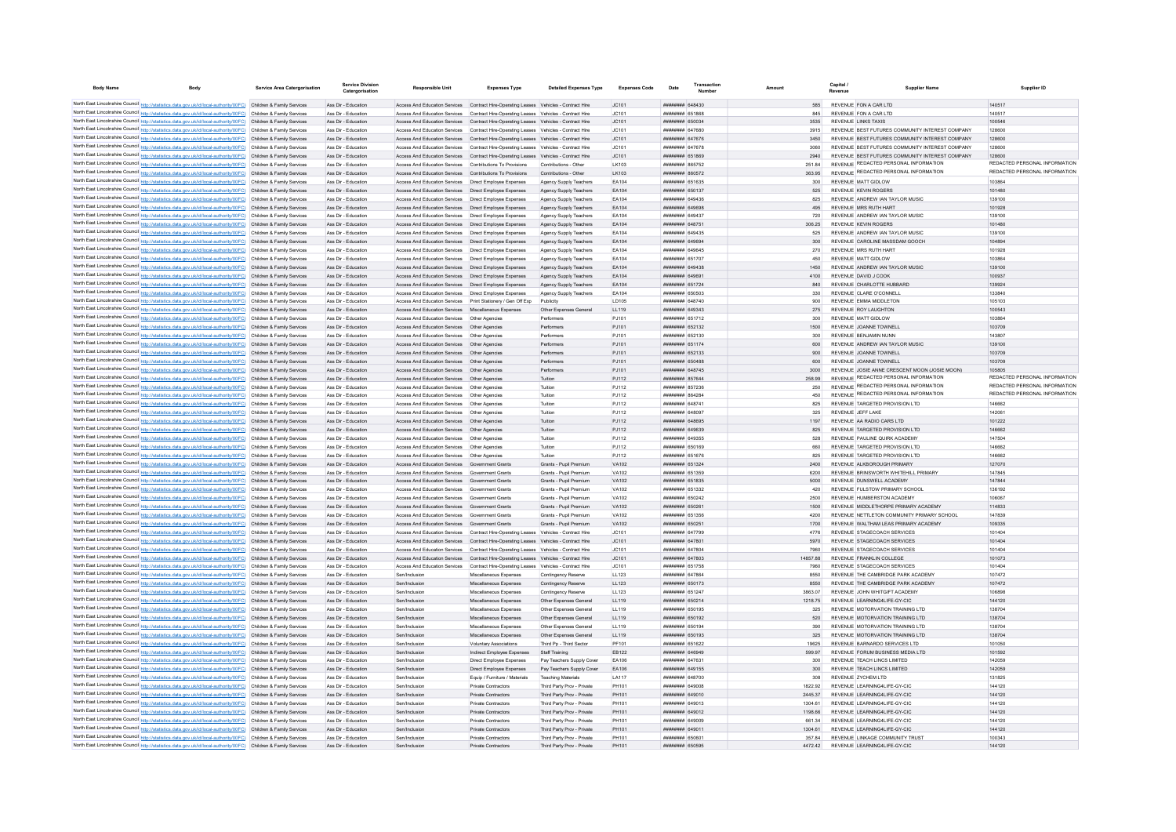| <b>Body Name</b>                                                                                                                                                                                                                       | Body | <b>Service Area Catergorisation</b> | Service Divisio<br>Catergorisation         | <b>Responsible Unit</b>                                                                                                 | <b>Expenses Type</b>                                                                                                                                                           | <b>Detailed Expenses Type</b>                    | <b>Expenses Code</b> | Date                                                    | Numbe | Amount |               | Revenue | <b>Supplier Name</b>                                            | Supplier ID                   |
|----------------------------------------------------------------------------------------------------------------------------------------------------------------------------------------------------------------------------------------|------|-------------------------------------|--------------------------------------------|-------------------------------------------------------------------------------------------------------------------------|--------------------------------------------------------------------------------------------------------------------------------------------------------------------------------|--------------------------------------------------|----------------------|---------------------------------------------------------|-------|--------|---------------|---------|-----------------------------------------------------------------|-------------------------------|
|                                                                                                                                                                                                                                        |      |                                     |                                            |                                                                                                                         |                                                                                                                                                                                |                                                  |                      |                                                         |       |        |               |         |                                                                 |                               |
| North East Lincolnshire Council http://statistics.data.gov.uk/id/local-authority/00FC) Children & Family Services<br>North East Lincolnshire Council http://statistics.data.gov.uk/id/local-authority/00FC) Children & Family Services |      |                                     | Ass Dir - Education<br>Ass Dir - Education |                                                                                                                         | Access And Education Services Contract Hire-Operating Leases Vehicles - Contract Hire<br>Access And Education Services Contract Hire-Operating Leases Vehicles - Contract Hire |                                                  | JC101<br>JC101       | ######## 648430<br><b>HHHHHHH</b> 651868                |       |        | 845           |         | REVENUE FON A CAR LTD<br>REVENUE FON A CAR LTD                  | 140517<br>140517              |
| North East Lincolnshire Council http://statistics.data.gov.uk/id/local-authority/00FC) Children & Family Services                                                                                                                      |      |                                     | Ass Dir - Education                        |                                                                                                                         | Access And Education Services Contract Hire-Operating Leases Vehicles - Contract Hire                                                                                          |                                                  | JC101                | ######## 650034                                         |       |        | 3535          |         | REVENUE LINKS TAXIS                                             | 100546                        |
| North East Lincolnshire Council http://statistics.data.gov.uk/id/local-authority/00FC) Children & Family Services                                                                                                                      |      |                                     | Ass Dir - Education                        |                                                                                                                         | Access And Education Services Contract Hire-Operating Leases Vehicles - Contract Hire                                                                                          |                                                  | IC101                | <b>HHHHHHH 647680</b>                                   |       |        | 3915          |         | REVENUE BEST FUTURES COMMUNITY INTEREST COMPANY                 | 128600                        |
| North East Lincolnshire Council http://statistics.data.gov.uk/id/local-authority/00FC) Children & Family Services                                                                                                                      |      |                                     | Ass Dir - Education                        |                                                                                                                         | Access And Education Services Contract Hire-Operating Leases Vehicles - Contract Hire                                                                                          |                                                  | JC101                | ######## 647676                                         |       |        | 3450          |         | REVENUE BEST FUTURES COMMUNITY INTEREST COMPANY                 | 128600                        |
| North East Lincolnshire Council http://statistics.data.gov.uk/id/local-authority/00FC) Children & Family Services                                                                                                                      |      |                                     | Ass Dir - Education                        |                                                                                                                         | Access And Education Services Contract Hire-Operating Leases Vehicles - Contract Hire                                                                                          |                                                  | JC101                | ######## 647678                                         |       |        | 3060          |         | REVENUE BEST FUTURES COMMUNITY INTEREST COMPANY                 | 128600                        |
| North East Lincolnshire Council http://statistics.data.gov.uk/id/local-authority/00FC) Children & Family Services                                                                                                                      |      |                                     | Ass Dir - Education                        |                                                                                                                         | Access And Education Services Contract Hire-Operating Leases Vehicles - Contract Hire                                                                                          |                                                  | JC101                | ######## 651869                                         |       |        | 2940          |         | REVENUE BEST FUTURES COMMUNITY INTEREST COMPANY                 | 128600                        |
| North East Lincolnshire Council http://statistics.data.gov.uk/id/local-authority/00FC) Children & Family Services                                                                                                                      |      |                                     | Ass Dir - Education                        | Access And Education Services Contributions To Provisions                                                               |                                                                                                                                                                                | Contributions - Other                            | LK103                | ######## 865752                                         |       |        | 251.84        |         | REVENUE REDACTED PERSONAL INFORMATION                           | REDACTED PERSONAL INFORMATION |
| North East Lincolnshire Council http://statistics.data.gov.uk/id/local-authority/00FC) Children & Family Services                                                                                                                      |      |                                     | Ass Dir - Education                        | Access And Education Services Contributions To Provisions                                                               |                                                                                                                                                                                | Contributions - Other                            | LK103                | ######## 860572                                         |       |        | 363.95        |         | REVENUE REDACTED PERSONAL INFORMATION                           | REDACTED PERSONAL INFORMATION |
| North East Lincolnshire Council http://statistics.data.gov.uk/id/local-authority/00FC) Children & Family Services                                                                                                                      |      |                                     | Ass Dir - Education                        | Access And Education Services   Direct Employee Expenses                                                                |                                                                                                                                                                                | Agency Supply Teachers                           | FA104                | ######## 651635                                         |       |        | 300           |         | REVENUE MATT GIDLOW                                             | 103864                        |
| North East Lincolnshire Council http://statistics.data.gov.uk/id/local-authority/00FC) Children & Family Services<br>North East Lincolnshire Council http://statistics.data.gov.uk/id/local-authority/00FC) Children & Family Services |      |                                     | Ass Dir - Education<br>Ass Dir - Education | Access And Education Services  Direct Employee Expenses<br>Access And Education Services                                | Direct Employee Expenses                                                                                                                                                       | Agency Supply Teachers<br>Agency Supply Teachers | EA104<br>EA104       | ######## 650137<br>####### 64943                        |       |        | 525<br>825    |         | REVENUE KEVIN ROGERS<br>REVENUE ANDREW IAN TAYLOR MUSIC         | 101480<br>139100              |
| North East Lincolnshire Council http://statistics.data.gov.uk/id/local-authority/00FC) Children & Family Services                                                                                                                      |      |                                     | Ass Dir - Education                        | Access And Education Services   Direct Employee Expenses                                                                |                                                                                                                                                                                | Agency Supply Teachers                           | EA104                | ######## 649698                                         |       |        | 495           |         | REVENUE MRS RUTH HART                                           | 101928                        |
| North East Lincolnshire Council http://statistics.data.gov.uk/id/local-authority/00FC) Children & Family Services                                                                                                                      |      |                                     | Ass Dir - Education                        | Access And Education Services                                                                                           | Direct Employee Expenses                                                                                                                                                       | Agency Supply Teachers                           | EA104                | HHHHHHH 649437                                          |       |        | 720           |         | REVENUE ANDREW IAN TAYLOR MUSIC                                 | 139100                        |
| North East Lincolnshire Council http://statistics.data.gov.uk/id/local-authority/00FC) Children & Family Services                                                                                                                      |      |                                     | Ass Dir - Education                        | Access And Education Services   Direct Employee Expenses                                                                |                                                                                                                                                                                | Agency Supply Teachers                           | EA104                | ######## 648751                                         |       |        | 306.25        |         | REVENUE KEVIN ROGERS                                            | 101480                        |
| North East Lincolnshire Council http://statistics.data.gov.uk/id/local-authority/00FC) Children & Family Services                                                                                                                      |      |                                     | Ass Dir - Education                        | Access And Education Services                                                                                           | Direct Employee Expenses                                                                                                                                                       | Agency Supply Teachers                           | FA104                | <b>пппппппп</b> 649435                                  |       |        | 525           |         | REVENUE ANDREW JAN TAYLOR MUSIC                                 | 139100                        |
| North East Lincolnshire Council http://statistics.data.gov.uk/id/local-authority/00FC) Children & Family Services                                                                                                                      |      |                                     | Ass Dir - Education                        | Access And Education Services   Direct Employee Expenses                                                                |                                                                                                                                                                                | Agency Supply Teachers                           | EA104                | ######## 649694                                         |       |        | 300           |         | REVENUE CAROLINE MASSDAM GOOCH                                  | 104894                        |
| North East Lincolnshire Council http://statistics.data.gov.uk/id/local-authority/00FC) Children & Family Services                                                                                                                      |      |                                     | Ass Dir - Education                        | Access And Education Services   Direct Employee Expenses                                                                |                                                                                                                                                                                | Agency Supply Teachers                           | EA104                | ######## 649645                                         |       |        | 270           |         | REVENUE MRS RUTH HART                                           | 101928                        |
| North East Lincolnshire Council http://statistics.data.gov.uk/id/local-authority/00FC) Children & Family Services                                                                                                                      |      |                                     | Ass Dir - Education                        | Access And Education Services   Direct Employee Expenses                                                                |                                                                                                                                                                                | Agency Supply Teachers                           | EA104                | ######## 651707                                         |       |        | 450           |         | REVENUE MATT GIDLOW                                             | 103864                        |
| North East Lincolnshire Council http://statistics.data.gov.uk/id/local-authority/00FC) Children & Family Services                                                                                                                      |      |                                     | Ass Dir - Education                        | Access And Education Services   Direct Employee Expenses                                                                |                                                                                                                                                                                | Agency Supply Teachers                           | EA104                | ######## 64943                                          |       |        | 1450          |         | REVENUE ANDREW IAN TAYLOR MUSIC                                 | 139100                        |
| North East Lincolnshire Council http://statistics.data.gov.uk/id/local-authority/00FC) Children & Family Services                                                                                                                      |      |                                     | Ass Dir - Education                        | Access And Education Services   Direct Employee Expenses                                                                |                                                                                                                                                                                | Agency Supply Teachers                           | EA104                | ######## 649691                                         |       |        | 4100          |         | REVENUE DAVID J COOK                                            | 100937                        |
| North East Lincolnshire Council http://statistics.data.gov.uk/id/local-authority/00FC) Children & Family Services                                                                                                                      |      |                                     | Ass Dir - Education                        | Access And Education Services   Direct Employee Expenses                                                                |                                                                                                                                                                                | Agency Supply Teachers                           | EA104                | ######## 651724                                         |       |        | 840           |         | REVENUE CHARLOTTE HUBBARD                                       | 139924                        |
| North East Lincolnshire Council http://statistics.data.gov.uk/id/local-authority/00FC) Children & Family Services                                                                                                                      |      |                                     | Ass Dir - Education                        | Access And Education Services   Direct Employee Expenses                                                                |                                                                                                                                                                                | Agency Supply Teachers                           | EA104<br>LD105       | ######## 650503                                         |       |        | 330           |         | REVENUE CLARE O'CONNELL<br>REVENUE EMMA MIDDLETON               | 133840<br>105103              |
| North East Lincolnshire Council http://statistics.data.gov.uk/id/local-authority/00FC) Children & Family Services<br>North East Lincolnshire Council http://statistics.data.gov.uk/id/local-authority/00FC) Children & Family Services |      |                                     | Ass Dir - Education<br>Ass Dir - Education | Access And Education Services    Print Stationery / Gen Off Exp<br>Access And Education Services Miscellaneous Expenses |                                                                                                                                                                                | Publicity                                        |                      | ######## 648740<br>######## 649343                      |       |        | 900<br>275    |         | REVENUE ROY LAUGHTON                                            | 100543                        |
| North East Lincolnshire Council http://statistics.data.gov.uk/id/local-authority/00FC) Children & Family Services                                                                                                                      |      |                                     | Ass Dir - Education                        | Access And Education Services                                                                                           | Other Agencie                                                                                                                                                                  | Other Expenses General<br>Performers             | LL119<br>PJ101       | ####### 651712                                          |       |        | 300           |         | <b>REVENUE MATT GIDLOW</b>                                      | 103864                        |
| North East Lincolnshire Council http://statistics.data.gov.uk/id/local-authority/00FC) Children & Family Services                                                                                                                      |      |                                     | Ass Dir - Education                        | Access And Education Services   Other Agencies                                                                          |                                                                                                                                                                                | Performers                                       | PJ101                | <b>пппппппп</b> 652132                                  |       |        | 1500          |         | REVENUE JOANNE TOWNELL                                          | 103709                        |
| North East Lincolnshire Council http://statistics.data.gov.uk/id/local-authority/00FC) Children & Family Services                                                                                                                      |      |                                     | Ass Dir - Education                        | Access And Education Services                                                                                           | Other Agencies                                                                                                                                                                 | Performers                                       | PJ101                | <b>HERMAN 652130</b>                                    |       |        | 300           |         | REVENUE REN IAMIN NUNN                                          | 143807                        |
| North East Lincolnshire Council http://statistics.data.gov.uk/id/local-authority/00FC) Children & Family Services                                                                                                                      |      |                                     | Ass Dir - Education                        | Access And Education Services Other Agencies                                                                            |                                                                                                                                                                                | Performers                                       | P.1101               | <b>HHHHHHH</b> 651174                                   |       |        | 600           |         | REVENUE ANDREW JAN TAYLOR MUSIC                                 | 139100                        |
| North East Lincolnshire Council http://statistics.data.gov.uk/id/local-authority/00FC) Children & Family Services                                                                                                                      |      |                                     | Ass Dir - Education                        | Access And Education Services   Other Agencies                                                                          |                                                                                                                                                                                | Performers                                       | PJ101                | ######## 652133                                         |       |        | 900           |         | REVENUE JOANNE TOWNELL                                          | 103709                        |
| North East Lincolnshire Council http://statistics.data.gov.uk/id/local-authority/00FC) Children & Family Services                                                                                                                      |      |                                     | Ass Dir - Education                        | Access And Education Services   Other Agencies                                                                          |                                                                                                                                                                                | Performers                                       | PJ101                | <b>########</b> 650488                                  |       |        | 600           |         | REVENUE JOANNE TOWNELL                                          | 103709                        |
| North East Lincolnshire Council http://statistics.data.gov.uk/id/local-authority/00FC) Children & Family Services                                                                                                                      |      |                                     | Ass Dir - Education                        | Access And Education Services   Other Agencies                                                                          |                                                                                                                                                                                | Performers                                       | PJ101                | ######## 648745                                         |       |        | 3000          |         | REVENUE JOSIE ANNE CRESCENT MOON (JOSIE MOON)                   | 105805                        |
| North East Lincolnshire Council http://statistics.data.gov.uk/id/local-authority/00FC) Children & Family Services                                                                                                                      |      |                                     | Ass Dir - Education                        | Access And Education Services  Other Agencies                                                                           |                                                                                                                                                                                | Tuition                                          | PJ112                | ######## 857644                                         |       |        | 258.99        |         | REVENUE REDACTED PERSONAL INFORMATION                           | REDACTED PERSONAL INFORMATION |
| North East Lincolnshire Council http://statistics.data.gov.uk/id/local-authority/00FC) Children & Family Services                                                                                                                      |      |                                     | Ass Dir - Education                        | Access And Education Services   Other Agencies                                                                          |                                                                                                                                                                                | Tuition                                          | PJ112                | ######## 857236                                         |       |        | 250           |         | REVENUE REDACTED PERSONAL INFORMATION                           | REDACTED PERSONAL INFORMATION |
| North East Lincolnshire Council http://statistics.data.gov.uk/id/local-authority/00FC) Children & Family Services                                                                                                                      |      |                                     | Ass Dir - Education                        | Access And Education Services Other Agencies                                                                            |                                                                                                                                                                                | Tuition                                          | P.I112               | <b>пппппппп</b> 864284                                  |       |        | 450           |         | REVENUE REDACTED PERSONAL INFORMATION                           | REDACTED PERSONAL INFORMATION |
| North East Lincolnshire Council http://statistics.data.gov.uk/id/local-authority/00FC) Children & Family Services                                                                                                                      |      |                                     | Ass Dir - Education                        | Access And Education Services   Other Agencies                                                                          |                                                                                                                                                                                | Tuition                                          | PJ112                | ######## 64874                                          |       |        | 825           |         | REVENUE TARGETED PROVISION LTD                                  | 146662                        |
| North East Lincolnshire Council http://statistics.data.gov.uk/id/local-authority/00FC) Children & Family Services                                                                                                                      |      |                                     | Ass Dir - Education                        | Access And Education Services   Other Agencies                                                                          |                                                                                                                                                                                | Tuition                                          | PJ112                | FRANK HEERHEE                                           |       |        | 325           |         | REVENUE JEEE LAKE                                               | 14206                         |
| North East Lincolnshire Council http://statistics.data.gov.uk/id/local-authority/00FC) Children & Family Services<br>North East Lincolnshire Council http://statistics.data.gov.uk/id/local-authority/00FC) Children & Family Services |      |                                     | Ass Dir - Education                        | Access And Education Services                                                                                           | Other Agencies                                                                                                                                                                 | Tuition                                          | PJ112                | ######## 648695<br><b>пппппппп</b> 649639               |       |        | 1197          |         | REVENUE AA RADIO CARS LTD<br>REVENUE TARGETED PROVISION LTD     | 101222                        |
| North East Lincolnshire Council http://statistics.data.gov.uk/id/local-authority/00FC) Children & Family Services                                                                                                                      |      |                                     | Ass Dir - Education<br>Ass Dir - Education | Access And Education Services<br>Access And Education Services                                                          | Other Agencie<br>Other Agencie                                                                                                                                                 | Tuition<br>Tuition                               | PJ112                | <b>HHHHHHH 649355</b>                                   |       |        | 825<br>528    |         | REVENUE PAULINE QUIRK ACADEMY                                   | 146662<br>147504              |
| North East Lincolnshire Council http://statistics.data.gov.uk/id/local-authority/00FC) Children & Family Services                                                                                                                      |      |                                     | Ass Dir - Education                        | Access And Education Services Other Agencies                                                                            |                                                                                                                                                                                | Tuition                                          | PJ112<br>PJ112       | ######## 650169                                         |       |        | 660           |         | REVENUE TARGETED PROVISION LTD                                  | 146662                        |
| North East Lincolnshire Council http://statistics.data.gov.uk/id/local-authority/00FC) Children & Family Services                                                                                                                      |      |                                     | Ass Dir - Education                        | Access And Education Services   Other Agencies                                                                          |                                                                                                                                                                                | Tuition                                          | PJ112                | ######## 651676                                         |       |        | 825           |         | REVENUE TARGETED PROVISION LTD                                  | 146662                        |
| North East Lincolnshire Council http://statistics.data.gov.uk/id/local-authority/00FC) Children & Family Services                                                                                                                      |      |                                     | Ass Dir - Education                        | Access And Education Services Government Grants                                                                         |                                                                                                                                                                                | Grants - Pupil Premium                           | VA102                | ######## 651324                                         |       |        | 2400          |         | REVENUE ALKBOROUGH PRIMARY                                      | 127070                        |
| North East Lincolnshire Council http://statistics.data.gov.uk/id/local-authority/00FC) Children & Family Services                                                                                                                      |      |                                     | Ass Dir - Education                        | Access And Education Services Government Grants                                                                         |                                                                                                                                                                                | Grants - Pupil Premium                           | VA102                | ######## 651359                                         |       |        | 6200          |         | REVENUE BRINSWORTH WHITEHILL PRIMARY                            | 147845                        |
| North East Lincolnshire Council http://statistics.data.gov.uk/id/local-authority/00FC) Children & Family Services                                                                                                                      |      |                                     | Ass Dir - Education                        | Access And Education Services                                                                                           | Government Grants                                                                                                                                                              | Grants - Pupil Premium                           | VA102                | ######## 651835                                         |       |        | 5000          |         | REVENUE DUNSWELL ACADEMY                                        | 147844                        |
| North East Lincolnshire Council http://statistics.data.gov.uk/id/local-authority/00FC) Children & Family Services                                                                                                                      |      |                                     | Ass Dir - Education                        | Access And Education Services                                                                                           | Government Grants                                                                                                                                                              | Grants - Pupil Premium                           | VA102                | ######## 651332                                         |       |        | 420           |         | REVENUE FULSTOW PRIMARY SCHOOL                                  | 136192                        |
| North East Lincolnshire Council http://statistics.data.gov.uk/id/local-authority/00FC) Children & Family Services                                                                                                                      |      |                                     | Ass Dir - Education                        | Access And Education Services Government Grants                                                                         |                                                                                                                                                                                | Grants - Pupil Premium                           | VA102                | <b>пппппппп</b> 650242                                  |       |        | 2500          |         | REVENUE HUMBERSTON ACADEMY                                      | 106067                        |
| North East Lincolnshire Council http://statistics.data.gov.uk/id/local-authority/00FC) Children & Family Services                                                                                                                      |      |                                     | Ass Dir - Education                        | Access And Education Services                                                                                           | Government Grants                                                                                                                                                              | Grants - Pupil Premium                           | <b>VA102</b>         | ######## 65026                                          |       |        | 1500          |         | REVENUE MIDDLETHORPE PRIMARY ACADEMY                            | 114833                        |
| North East Lincolnshire Council http://statistics.data.gov.uk/id/local-authority/00FC) Children & Family Services                                                                                                                      |      |                                     | Ass Dir - Education                        | <b>Access And Education Services</b>                                                                                    | Government Grants                                                                                                                                                              | Grants - Pupil Premium                           | <b>VA102</b>         | ####### 65135                                           |       |        | 4200          |         | REVENUE NETTLETON COMMUNITY PRIMARY SCHOOL                      | 147839                        |
| North East Lincolnshire Council http://statistics.data.gov.uk/id/local-authority/00FC) Children & Family Services                                                                                                                      |      |                                     | Ass Dir - Education                        | Access And Education Services                                                                                           | Government Grants                                                                                                                                                              | Grants - Pupil Premium                           | <b>VA102</b>         | ######## 65025                                          |       |        | 1700          |         | REVENUE WALTHAM LEAS PRIMARY ACADEMY                            | 109335                        |
| North East Lincolnshire Council http://statistics.data.gov.uk/id/local-authority/00FC) Children & Family Services                                                                                                                      |      |                                     | Ass Dir - Education                        | Access And Education Services                                                                                           | Contract Hire-Operating Leases                                                                                                                                                 | Vehicles - Contract Hire                         | JC101                | <b>HHHHHHH 647799</b><br><b>ППИНИНИ 647801</b>          |       |        | 4776<br>5970  |         | REVENUE STAGECOACH SERVICES                                     | 101404<br>101404              |
| North East Lincolnshire Council http://statistics.data.gov.uk/id/local-authority/00FC) Children & Family Services<br>North East Lincolnshire Council http://statistics.data.gov.uk/id/local-authority/00FC) Children & Family Services |      |                                     | Ass Dir - Education<br>Ass Dir - Education | Access And Education Services                                                                                           | Access And Education Services Contract Hire-Operating Leases Vehicles - Contract Hire<br>Contract Hire-Operating Leases Vehicles - Contract Hire                               |                                                  | JC101<br>JC101       | <b>HHHHHHH 647804</b>                                   |       |        | 7960          |         | REVENUE STAGECOACH SERVICES<br>REVENUE STAGECOACH SERVICES      | 101404                        |
| North East Lincolnshire Council http://statistics.data.gov.uk/id/local-authority/00FC) Children & Family Services                                                                                                                      |      |                                     | Ass Dir - Education                        | Access And Education Services Contract Hire-Operating Leases Vehicles - Contract Hire                                   |                                                                                                                                                                                |                                                  | JC101                | ######## 647803                                         |       |        | 14857.88      |         | REVENUE FRANKLIN COLLEGE                                        | 101073                        |
| North East Lincolnshire Council http://statistics.data.gov.uk/id/local-authority/00FC) Children & Family Services                                                                                                                      |      |                                     | Ass Dir - Education                        |                                                                                                                         | Access And Education Services Contract Hire-Operating Leases Vehicles - Contract Hire                                                                                          |                                                  | JC101                | ######## 651758                                         |       |        | 7960          |         | REVENUE STAGECOACH SERVICES                                     | 101404                        |
| North East Lincolnshire Council http://statistics.data.gov.uk/id/local-authority/00FC) Children & Family Services                                                                                                                      |      |                                     | Ass Dir - Education                        | Sen/Inclusion                                                                                                           | Miscellaneous Expenses                                                                                                                                                         | Contingency Reserve                              | LL123                | ####### 64786                                           |       |        | 8550          |         | REVENUE THE CAMBRIDGE PARK ACADEMY                              | 107472                        |
| North East Lincolnshire Council http://statistics.data.gov.uk/id/local-authority/00FC) Children & Family Services                                                                                                                      |      |                                     | Ass Dir - Education                        | Sen/Inclusion                                                                                                           | Miscellaneous Expenses                                                                                                                                                         | Contingency Reserve                              | LL123                | ######## 650173                                         |       |        | 8550          |         | REVENUE THE CAMBRIDGE PARK ACADEMY                              | 107472                        |
| North East Lincolnshire Council http://statistics.data.gov.uk/id/local-authority/00FC) Children & Family Services                                                                                                                      |      |                                     | Ass Dir - Education                        | Sen/Inclusion                                                                                                           | Miscellaneous Expenses                                                                                                                                                         | Contingency Reserve                              | LL123                | ######## 651247                                         |       |        | 3863.07       |         | REVENUE JOHN WHITGIFT ACADEMY                                   | 106898                        |
| North East Lincolnshire Council http://statistics.data.gov.uk/id/local-authority/00FC) Children & Family Services                                                                                                                      |      |                                     | Ass Dir - Education                        | Sen/Inclusion                                                                                                           | Miscellaneous Expenses                                                                                                                                                         | Other Expenses General                           | LL119                | ######## 650214                                         |       |        | 1218.75       |         | REVENUE LEARNING4LIFE-GY-CIC                                    | 144120                        |
| North East Lincolnshire Council http://statistics.data.gov.uk/id/local-authority/00FC) Children & Family Services                                                                                                                      |      |                                     | Ass Dir - Education                        | Sen/Inclusion                                                                                                           | Miscellaneous Expenses                                                                                                                                                         | Other Expenses General                           | LL119                | ######## 650195                                         |       |        | 325           |         | REVENUE MOTORVATION TRAINING LTD                                | 138704                        |
| North East Lincolnshire Council http://statistics.data.gov.uk/id/local-authority/00FC) Children & Family Services                                                                                                                      |      |                                     | Ass Dir - Education                        | Sen/Inclusion                                                                                                           | Miscellaneous Expenses                                                                                                                                                         | Other Expenses General                           | LL119                | ######## 650192                                         |       |        | 520           |         | REVENUE MOTORVATION TRAINING LTD                                | 138704                        |
| North East Lincolnshire Council http://statistics.data.gov.uk/id/local-authority/00FC) Children & Family Services                                                                                                                      |      |                                     | Ass Dir - Education                        | Sen/Inclusion                                                                                                           | Miscellaneous Expenses                                                                                                                                                         | Other Expenses General                           | LL119                | ######## 65019                                          |       |        | 390           |         | REVENUE MOTORVATION TRAINING LTD                                | 138704                        |
| North East Lincolnshire Council http://statistics.data.gov.uk/id/local-authority/00FC) Children & Family Services                                                                                                                      |      |                                     | Ass Dir - Education                        | Sen/Inclusion                                                                                                           | Miscellaneous Expenses                                                                                                                                                         | Other Expenses General                           | LL119                | ######## 650193                                         |       |        | 325           |         | REVENUE MOTORVATION TRAINING LTD                                | 138704                        |
| North East Lincolnshire Council http://statistics.data.gov.uk/id/local-authority/00FC) Children & Family Services                                                                                                                      |      |                                     | Ass Dir - Education                        | Sen/Inclusion                                                                                                           | <b>Voluntary Associations</b>                                                                                                                                                  | Third Pn - Third Sector                          | <b>PE101</b>         | <b>HHHHHHH</b> 651622                                   |       |        | 19625         |         | REVENUE RARNARDO SERVICES LTD                                   | 101050                        |
| North East Lincolnshire Council http://statistics.data.gov.uk/id/local-authority/00FC) Children & Family Services<br>North East Lincolnshire Council http://statistics.data.gov.uk/id/local-authority/00FC) Children & Family Services |      |                                     | Ass Dir - Education<br>Ass Dir - Education | Sen/Inclusion<br>Sen/Inclusion                                                                                          | Indirect Employee Expenses<br>Direct Employee Expenses                                                                                                                         | Staff Training<br>Pay Teachers Sunnly Cover      | FR122<br>FA106       | <b>HHHHHHHH</b> GAROAQ<br><b><i>BRENHHHH 647631</i></b> |       |        | 599.97<br>300 |         | REVENUE FORUM BUSINESS MEDIA LTD<br>REVENUE TEACH LINCS LIMITED | 101592<br>142059              |
| North East Lincolnshire Council http://statistics.data.gov.uk/id/local-authority/00FC) Children & Family Services                                                                                                                      |      |                                     | Ass Dir - Education                        | Sen/Inclusion                                                                                                           | Direct Employee Expenses                                                                                                                                                       | Pay Teachers Supply Cover                        | EA106                | ####### 649155                                          |       |        | 300           |         | REVENUE TEACH LINCS LIMITED                                     | 142059                        |
| North East Lincolnshire Council http://statistics.data.gov.uk/id/local-authority/00FC) Children & Family Services                                                                                                                      |      |                                     | Ass Dir - Education                        | Sen/Inclusion                                                                                                           | Equip / Furniture / Materials                                                                                                                                                  | <b>Teaching Materials</b>                        | LA117                | ######## 648700                                         |       |        | 308           |         | REVENUE ZYCHEM I TD                                             | 131825                        |
| North East Lincolnshire Council http://statistics.data.gov.uk/id/local-authority/00FC) Children & Family Services                                                                                                                      |      |                                     | Ass Dir - Education                        | Sen/Inclusion                                                                                                           | <b>Private Contractors</b>                                                                                                                                                     | Third Party Prov - Private                       | PH101                | ######## 649001                                         |       |        | 1822.92       |         | REVENUE LEARNING4LIFE-GY-CIC                                    | 144120                        |
| North East Lincolnshire Council http://statistics.data.gov.uk/id/local-authority/00FC) Children & Family Services                                                                                                                      |      |                                     | Ass Dir - Education                        | Sen/Inclusion                                                                                                           | Private Contractors                                                                                                                                                            | Third Party Prov - Private                       | PH101                | ######## 649010                                         |       |        | 2445.37       |         | REVENUE LEARNING4LIFE-GY-CIO                                    | 144120                        |
| North East Lincolnshire Council http://statistics.data.gov.uk/id/local-authority/00FC) Children & Family Services                                                                                                                      |      |                                     | Ass Dir - Education                        | Sen/Inclusion                                                                                                           | Private Contractors                                                                                                                                                            | Third Party Prov - Private                       | PH101                | ######## 649013                                         |       |        | 1304.61       |         | REVENUE LEARNING4LIFE-GY-CIO                                    | 144120                        |
| North East Lincolnshire Council http://statistics.data.gov.uk/id/local-authority/00FC) Children & Family Services                                                                                                                      |      |                                     | Ass Dir - Education                        | Sen/Inclusion                                                                                                           | Private Contractors                                                                                                                                                            | Third Party Prov - Private                       | PH101                | <b>HHHHHHH 649012</b>                                   |       |        | 1198.66       |         | REVENUE LEARNING4LIFE-GY-CIC                                    | 144120                        |
| North East Lincolnshire Council http://statistics.data.gov.uk/id/local-authority/00FC) Children & Family Services                                                                                                                      |      |                                     | Ass Dir - Education                        | Sen/Inclusion                                                                                                           | <b>Private Contractors</b>                                                                                                                                                     | Third Party Prov - Private                       | PH101                | ######## 649009                                         |       |        | 66134         |         | REVENUE LEARNING4LIFE-GY-CIC                                    | 144120                        |
| North East Lincolnshire Council http://statistics.data.gov.uk/id/local-authority/00FC) Children & Family Services                                                                                                                      |      |                                     | Ass Dir - Education                        | Sen/Inclusion                                                                                                           | <b>Private Contractors</b>                                                                                                                                                     | Third Party Prov - Private                       | PH101                | <b>HENHHHHH 64901</b>                                   |       |        | 1304.61       |         | REVENUE LEARNING4LIFE-GY-CIC                                    | 144120                        |
| North East Lincolnshire Council http://statistics.data.gov.uk/id/local-authority/00FC) Children & Family Services                                                                                                                      |      |                                     | Ass Dir - Education                        | Sen/Inclusio                                                                                                            | <b>Private Contractors</b>                                                                                                                                                     | Third Party Prov - Private                       | PH101                | ####### 65060                                           |       |        | 357.84        |         | REVENUE LINKAGE COMMUNITY TRUST                                 | 100343                        |
| North East Lincolnshire Council http://statistics.data.gov.uk/id/local-authority/00FC) Children & Family Services                                                                                                                      |      |                                     | Ass Dir - Education                        | Sen/Inclusion                                                                                                           | <b>Private Contractors</b>                                                                                                                                                     | Third Party Prov - Private                       | PH101                | ######## 650595                                         |       |        | 4472.42       |         | REVENUE LEARNING4LIFE-GY-CIC                                    | 144120                        |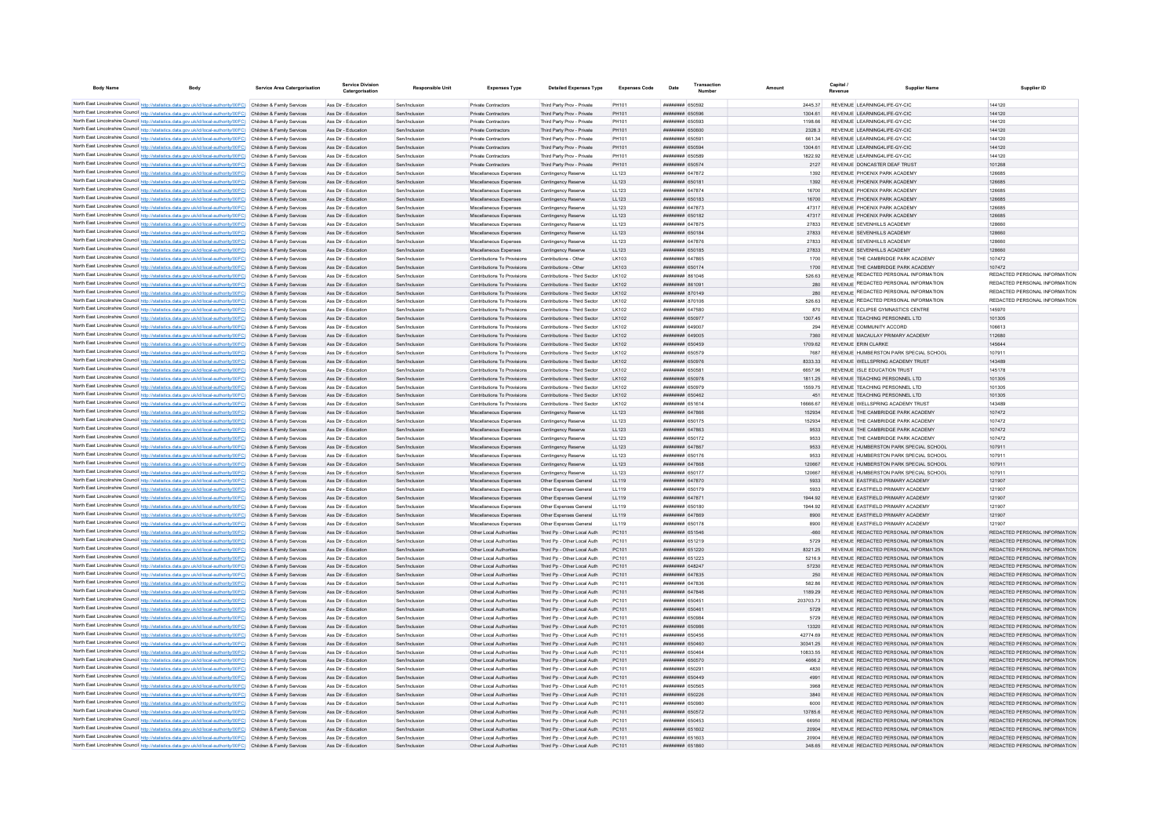| <b>Body Name</b> | <b>Body</b>                                                                                                                                                                                                                            | Service Area Catergorisation | <b>Service Division</b><br>Catergorisation | Responsible Unit               | <b>Expenses Type</b>                                       | <b>Detailed Expenses Type</b>                                | <b>Expenses Code</b> | Date                                     | Transaction | Amount             | Capital<br><b>Supplier Name</b>                                                | Supplier ID                                                    |
|------------------|----------------------------------------------------------------------------------------------------------------------------------------------------------------------------------------------------------------------------------------|------------------------------|--------------------------------------------|--------------------------------|------------------------------------------------------------|--------------------------------------------------------------|----------------------|------------------------------------------|-------------|--------------------|--------------------------------------------------------------------------------|----------------------------------------------------------------|
|                  | North East Lincolnshire Council http://statistics.data.gov.uk/id/local-authority/00FC) Children & Family Services                                                                                                                      |                              | Ass Dir - Education                        | Sen/Inclusion                  | Private Contractors                                        | Third Party Prov - Private                                   | PH101                | ######## 650592                          |             | 244537             | REVENUE I FARNING4LIFE-GY-CIC                                                  | 144120                                                         |
|                  | North East Lincolnshire Council http://statistics.data.gov.uk/id/local-authority/00FC) Children & Family Services                                                                                                                      |                              | Ass Dir - Education                        | Sen/Inclusion                  | Private Contractors                                        | Third Party Prov - Private                                   | PH101                | ######## 650596                          |             | 1304.61            | REVENUE LEARNING4LIFE-GY-CIC                                                   | 144120                                                         |
|                  | North East Lincolnshire Council http://statistics.data.gov.uk/id/local-authority/00FC) Children & Family Services                                                                                                                      |                              | Ass Dir - Education                        | Sen/Inclusion                  | <b>Private Contractors</b>                                 | Third Party Prov - Private                                   | PH101                | ####### 650593                           |             | 1198.66            | REVENUE LEARNING4LIFE-GY-CIC                                                   | 144120                                                         |
|                  | North East Lincolnshire Council http://statistics.data.gov.uk/id/local-authority/00FC) Children & Family Services                                                                                                                      |                              | Ass Dir - Education                        | Sen/Inclusion                  | Private Contractors                                        | Third Party Prov - Private                                   | PH101                | 650600 HBHHHHH                           |             | 2328.3             | REVENUE LEARNING4LIFE-GY-CIC                                                   | 144120                                                         |
|                  | North East Lincolnshire Council http://statistics.data.gov.uk/id/local-authority/00FC) Children & Family Services                                                                                                                      |                              | Ass Dir - Education                        | Sen/Inclusion                  | Private Contractors                                        | Third Party Prov - Private                                   | PH101                | ######## 650591                          |             | 661.34             | REVENUE LEARNING4LIFE-GY-CIC                                                   | 144120                                                         |
|                  | North East Lincolnshire Council http://statistics.data.gov.uk/id/local-authority/00FC) Children & Family Services                                                                                                                      |                              | Ass Dir - Education                        | Sen/Inclusion                  | Private Contractors                                        | Third Party Prov - Private                                   | PH101                | ######## 650594                          |             | 1304.61            | REVENUE LEARNING4LIFE-GY-CIC                                                   | 144120                                                         |
|                  | North East Lincolnshire Council http://statistics.data.gov.uk/id/local-authority/00FC) Children & Family Services                                                                                                                      |                              | Ass Dir - Education                        | Sen/Inclusion                  | Private Contractors                                        | Third Party Prov - Private                                   | PH101                | ######## 650589                          |             | 1822.92            | REVENUE LEARNING4LIFE-GY-CIC                                                   | 144120                                                         |
|                  | North East Lincolnshire Council http://statistics.data.gov.uk/id/local-authority/00FC) Children & Family Services<br>North East Lincolnshire Council http://statistics.data.gov.uk/id/local-authority/00FC) Children & Family Services |                              | Ass Dir - Education                        | Sen/Inclusion                  | Private Contractors                                        | Third Party Prov - Private                                   | PH101                | ######## 650574                          |             | 2127               | REVENUE DONCASTER DEAF TRUST                                                   | 101268                                                         |
|                  | North East Lincolnshire Council http://statistics.data.gov.uk/id/local-authority/00FC) Children & Family Services                                                                                                                      |                              | Ass Dir - Education<br>Ass Dir - Education | Sen/Inclusion<br>Sen/Inclusion | Miscellaneous Expenses<br>Miscellaneous Expenses           | Contingency Reserve<br>Contingency Reserve                   | LL123<br>LL123       | ####### 647872<br>######## 650181        |             | 1392<br>1392       | REVENUE PHOENIX PARK ACADEMY<br>REVENUE PHOENIX PARK ACADEMY                   | 126685<br>126685                                               |
|                  | North East Lincolnshire Council http://statistics.data.gov.uk/id/local-authority/00FC) Children & Family Services                                                                                                                      |                              | Ass Dir - Education                        | Sen/Inclusion                  | Miscellaneous Expenses                                     | Contingency Reserve                                          | 11123                | <b><i>BRENHHHH 647874</i></b>            |             | 16700              | REVENUE PHOENIX PARK ACADEMY                                                   | 126685                                                         |
|                  | North East Lincolnshire Council http://statistics.data.gov.uk/id/local-authority/00FC) Children & Family Services                                                                                                                      |                              | Ass Dir - Education                        | Sen/Inclusion                  | Miscellaneous Expenses                                     | Contingency Reserve                                          | LL123                | ######## 650183                          |             | 16700              | REVENUE PHOENIX PARK ACADEMY                                                   | 126685                                                         |
|                  | North East Lincolnshire Council http://statistics.data.gov.uk/id/local-authority/00FC) Children & Family Services                                                                                                                      |                              | Ass Dir - Education                        | Sen/Inclusion                  | Miscellaneous Expenses                                     | Contingency Reserve                                          | LL123                | ######## 647873                          |             | 47317              | REVENUE PHOENIX PARK ACADEMY                                                   | 126685                                                         |
|                  | North East Lincolnshire Council http://statistics.data.gov.uk/id/local-authority/00FC) Children & Family Services                                                                                                                      |                              | Ass Dir - Education                        | Sen/Inclusion                  | Miscellaneous Expenses                                     | Contingency Reserve                                          | LL123                | ######## 650182                          |             | 47317              | REVENUE PHOENIX PARK ACADEMY                                                   | 126685                                                         |
|                  | North East Lincolnshire Council http://statistics.data.gov.uk/id/local-authority/00FC) Children & Family Services                                                                                                                      |                              | Ass Dir - Education                        | Sen/Inclusion                  | Miscellaneous Expenses                                     | Contingency Reserve                                          | LL123                | <b>пппппппп</b> 647875                   |             | 27833              | REVENUE SEVENHILLS ACADEMY                                                     | 128660                                                         |
|                  | North East Lincolnshire Council http://statistics.data.gov.uk/id/local-authority/00FC) Children & Family Services                                                                                                                      |                              | Ass Dir - Education                        | Sen/Inclusion                  | Miscellaneous Expenses                                     | Contingency Reserve                                          | LL123                | <b>ПЕПЕННИН</b> 650184                   |             | 27833              | REVENUE SEVENHILLS ACADEMY                                                     | 128660                                                         |
|                  | North East Lincolnshire Council http://statistics.data.gov.uk/id/local-authority/00FC) Children & Family Services                                                                                                                      |                              | Ass Dir - Education                        | Sen/Inclusion                  | Miscellaneous Expenses                                     | Contingency Reserve                                          | LL123                | <b>ПЕПЕЦИИ 647876</b>                    |             | 27833              | REVENUE SEVENHILLS ACADEMY                                                     | 128660                                                         |
|                  | North East Lincolnshire Council http://statistics.data.gov.uk/id/local-authority/00FC) Children & Family Services                                                                                                                      |                              | Ass Dir - Education                        | Sen/Inclusion                  | Miscellaneous Expenses                                     | Contingency Reserve                                          | LL123                | ######## 650185                          |             | 27833              | REVENUE SEVENHILLS ACADEMY                                                     | 128660                                                         |
|                  | North East Lincolnshire Council http://statistics.data.gov.uk/id/local-authority/00FC) Children & Family Services                                                                                                                      |                              | Ass Dir - Education                        | Sen/Inclusion                  | Contributions To Provisions                                | Contributions - Other                                        | LK103                | <b><i>BREEZER 647865</i></b>             |             | 1700               | REVENUE THE CAMBRIDGE PARK ACADEMY                                             | 107472                                                         |
|                  | North East Lincolnshire Council http://statistics.data.gov.uk/id/local-authority/00FC) Children & Family Services<br>North East Lincolnshire Council http://statistics.data.gov.uk/id/local-authority/00FC) Children & Family Services |                              | Ass Dir - Education<br>Ass Dir - Education | Sen/Inclusion<br>Sen/Inclusion | Contributions To Provisions<br>Contributions To Provisions | Contributions - Other<br>Contributions - Third Sector        | LK103<br>LK102       | ######## 650174<br>######## 861046       |             | 1700<br>526.63     | REVENUE THE CAMBRIDGE PARK ACADEMY<br>REVENUE REDACTED PERSONAL INFORMATION    | 107472<br>REDACTED PERSONAL INFORMATION                        |
|                  | North East Lincolnshire Council http://statistics.data.gov.uk/id/local-authority/00FC) Children & Family Services                                                                                                                      |                              | Ass Dir - Education                        | Sen/Inclusion                  | Contributions To Provisions                                | Contributions - Third Sector                                 | LK102                | ######## 861091                          |             | 280                | REVENUE REDACTED PERSONAL INFORMATION                                          | REDACTED PERSONAL INFORMATION                                  |
|                  | North East Lincolnshire Council http://statistics.data.gov.uk/id/local-authority/00FC) Children & Family Services                                                                                                                      |                              | Ass Dir - Education                        | Sen/Inclusion                  | Contributions To Provisions                                | Contributions - Third Sector                                 | LK102                | ######## 870149                          |             | 280                | REVENUE REDACTED PERSONAL INFORMATION                                          | REDACTED PERSONAL INFORMATION                                  |
|                  | North East Lincolnshire Council http://statistics.data.gov.uk/id/local-authority/00FC) Children & Family Services                                                                                                                      |                              | Ass Dir - Education                        | Sen/Inclusion                  | Contributions To Provisions                                | Contributions - Third Sector                                 | LK102                | ######## 870106                          |             | 526.63             | REVENUE REDACTED PERSONAL INFORMATION                                          | REDACTED PERSONAL INFORMATION                                  |
|                  | North East Lincolnshire Council http://statistics.data.gov.uk/id/local-authority/00FC) Children & Family Services                                                                                                                      |                              | Ass Dir - Education                        | Sen/Inclusion                  | Contributions To Provisions                                | Contributions - Third Sector                                 | LK102                | ######## 647580                          |             | 870                | REVENUE ECLIPSE GYMNASTICS CENTRE                                              | 145970                                                         |
|                  | North East Lincolnshire Council http://statistics.data.gov.uk/id/local-authority/00FC) Children & Family Services                                                                                                                      |                              | Ass Dir - Education                        | Sen/Inclusion                  | Contributions To Provisions                                | Contributions - Third Sector                                 | LK102                | ######## 65097                           |             | 1307.45            | REVENUE TEACHING PERSONNEL LTD                                                 | 101305                                                         |
|                  | North East Lincolnshire Council http://statistics.data.gov.uk/id/local-authority/00FC) Children & Family Services                                                                                                                      |                              | Ass Dir - Education                        | Sen/Inclusion                  | Contributions To Provisions                                | Contributions - Third Sector                                 | LK102                | ######## 649007                          |             | 294                | REVENUE COMMUNITY ACCORD                                                       | 106613                                                         |
|                  | North East Lincolnshire Council http://statistics.data.gov.uk/id/local-authority/00FC) Children & Family Services                                                                                                                      |                              | Ass Dir - Education                        | Sen/Inclusio                   | Contributions To Provisions                                | Contributions - Third Sector                                 | LK102                | ####### 649005                           |             | 7360               | REVENUE MACAULAY PRIMARY ACADEMY                                               | 112680                                                         |
|                  | North East Lincolnshire Council http://statistics.data.gov.uk/id/local-authority/00FC) Children & Family Services                                                                                                                      |                              | Ass Dir - Education                        | Sen/Inclusion                  | Contributions To Provisions                                | Contributions - Third Sector                                 | LK102                | <b>HHHHHHH</b> 650459                    |             | 1709.62            | REVENUE ERIN CLARKE                                                            | 145644                                                         |
|                  | North East Lincolnshire Council http://statistics.data.gov.uk/id/local-authority/00FC) Children & Family Services                                                                                                                      |                              | Ass Dir - Education                        | Sen/Inclusion                  | Contributions To Provisions                                | Contributions - Third Sector                                 | I K102               | <b>HHHHHHH 650579</b>                    |             | 7687               | REVENUE HUMBERSTON PARK SPECIAL SCHOOL                                         | 107911                                                         |
|                  | North East Lincolnshire Council http://statistics.data.gov.uk/id/local-authority/00FC) Children & Family Services                                                                                                                      |                              | Ass Dir - Education                        | Sen/Inclusion                  | Contributions To Provisions                                | Contributions - Third Sector                                 | I K102               | <b>пппппппп</b> 650976                   |             | 8333 33            | REVENUE WELL SPRING ACADEMY TRUST                                              | 143489                                                         |
|                  | North East Lincolnshire Council http://statistics.data.gov.uk/id/local-authority/00FC) Children & Family Services                                                                                                                      |                              | Ass Dir - Education                        | Sen/Inclusion                  | Contributions To Provisions                                | Contributions - Third Sector                                 | I K102               | ####### 65058                            |             | 6657.96            | REVENUE ISLE EDUCATION TRUST                                                   | 145178                                                         |
|                  | North East Lincolnshire Council http://statistics.data.gov.uk/id/local-authority/00FC) Children & Family Services                                                                                                                      |                              | Ass Dir - Education                        | Sen/Inclusion                  | Contributions To Provisions                                | Contributions - Third Sector                                 | LK102                | ######## 650978                          |             | 1811.25            | REVENUE TEACHING PERSONNEL LTD                                                 | 101305                                                         |
|                  | North East Lincolnshire Council http://statistics.data.gov.uk/id/local-authority/00FC) Children & Family Services                                                                                                                      |                              | Ass Dir - Education                        | Sen/Inclusion                  | Contributions To Provisions                                | Contributions - Third Sector                                 | LK102                | ######## 650979                          |             | 1559.75            | REVENUE TEACHING PERSONNEL LTD                                                 | 101305                                                         |
|                  | North East Lincolnshire Council http://statistics.data.gov.uk/id/local-authority/00FC) Children & Family Services<br>North East Lincolnshire Council http://statistics.data.gov.uk/id/local-authority/00FC) Children & Family Services |                              | Ass Dir - Education<br>Ass Dir - Education | Sen/Inclusion<br>Sen/Inclusion | Contributions To Provisions<br>Contributions To Provisions | Contributions - Third Sector<br>Contributions - Third Sector | LK102<br>I K102      | <b>НИНИНИН 650462</b><br>######## 651614 |             | 451<br>16666.67    | REVENUE TEACHING PERSONNEL LTD<br>REVENUE WELL SPRING ACADEMY TRUST            | 101305<br>143489                                               |
|                  | North East Lincolnshire Council http://statistics.data.gov.uk/id/local-authority/00FC) Children & Family Services                                                                                                                      |                              | Ass Dir - Education                        | Sen/Inclusion                  | Miscellaneous Expenses                                     | Contingency Reserve                                          | 11 123               | <b><i>BRENHHHH 647866</i></b>            |             | 152934             | REVENUE THE CAMBRIDGE PARK ACADEMY                                             | 107472                                                         |
|                  | North East Lincolnshire Council http://statistics.data.gov.uk/id/local-authority/00FC) Children & Family Services                                                                                                                      |                              | Ass Dir - Education                        | Sen/Inclusion                  | Miscellaneous Expenses                                     | Contingency Reserve                                          | LL123                | <b>########</b> 650175                   |             | 152934             | REVENUE THE CAMBRIDGE PARK ACADEMY                                             | 107472                                                         |
|                  | North East Lincolnshire Council http://statistics.data.gov.uk/id/local-authority/00FC) Children & Family Services                                                                                                                      |                              | Ass Dir - Education                        | Sen/Inclusion                  | Miscellaneous Expenses                                     | Contingency Reserve                                          | LL123                | ######## 647863                          |             | 9533               | REVENUE THE CAMBRIDGE PARK ACADEMY                                             | 107472                                                         |
|                  | North East Lincolnshire Council http://statistics.data.gov.uk/id/local-authority/00FC) Children & Family Services                                                                                                                      |                              | Ass Dir - Education                        | Sen/Inclusio                   | Miscellaneous Expenses                                     | Contingency Reserve                                          | LL123                | ######## 650172                          |             | 9533               | REVENUE THE CAMBRIDGE PARK ACADEMY                                             | 107472                                                         |
|                  | North East Lincolnshire Council http://statistics.data.gov.uk/id/local-authority/00FC) Children & Family Services                                                                                                                      |                              | Ass Dir - Education                        | Sen/Inclusion                  | Miscellaneous Expenses                                     | Contingency Reserve                                          | LL123                | <b>пппппппп</b> 647867                   |             | 9533               | REVENUE HUMBERSTON PARK SPECIAL SCHOOL                                         | 107911                                                         |
|                  | North East Lincolnshire Council http://statistics.data.gov.uk/id/local-authority/00FC) Children & Family Services                                                                                                                      |                              | Ass Dir - Education                        | Sen/Inclusion                  | Miscellaneous Expenses                                     | Contingency Reserve                                          | 11123                | ######## 650176                          |             | 9533               | REVENUE HUMBERSTON PARK SPECIAL SCHOOL                                         | 107911                                                         |
|                  | North East Lincolnshire Council http://statistics.data.gov.uk/id/local-authority/00FC) Children & Family Services                                                                                                                      |                              | Ass Dir - Education                        | Sen/Inclusion                  | Miscellaneous Expenses                                     | Contingency Reserve                                          | 11123                | <b>BREADTHE GATRER</b>                   |             | 120667             | REVENUE HUMBERSTON PARK SPECIAL SCHOOL                                         | 107911                                                         |
|                  | North East Lincolnshire Council http://statistics.data.gov.uk/id/local-authority/00FC) Children & Family Services                                                                                                                      |                              | Ass Dir - Education                        | Sen/Inclusion                  | Miscellaneous Expenses                                     | Contingency Reserve                                          | LL123                | ######## 650177                          |             | 120667             | REVENUE HUMBERSTON PARK SPECIAL SCHOOL                                         | 107911                                                         |
|                  | North East Lincolnshire Council http://statistics.data.gov.uk/id/local-authority/00FC) Children & Family Services                                                                                                                      |                              | Ass Dir - Education                        | Sen/Inclusion                  | Miscellaneous Expenses                                     | Other Expenses General                                       | LL119                | ######## 647870                          |             | 5933               | REVENUE EASTFIELD PRIMARY ACADEMY                                              | 121907                                                         |
|                  | North East Lincolnshire Council http://statistics.data.gov.uk/id/local-authority/00FC) Children & Family Services                                                                                                                      |                              | Ass Dir - Education                        | Sen/Inclusion                  | Miscellaneous Expenses                                     | Other Expenses Genera                                        | LL119                | ######## 650179                          |             | 5933               | REVENUE EASTFIELD PRIMARY ACADEMY                                              | 121907                                                         |
|                  | North East Lincolnshire Council http://statistics.data.gov.uk/id/local-authority/00FC) Children & Family Services<br>North East Lincolnshire Council http://statistics.data.gov.uk/id/local-authority/00FC) Children & Family Services |                              | Ass Dir - Education<br>Ass Dir - Education | Sen/Inclusion<br>Sen/Inclusion | Miscellaneous Expenses<br>Miscellaneous Expenses           | Other Expenses General                                       | LL119<br>11119       | ######## 647871<br>######## 650180       |             | 1944.92<br>1944 92 | REVENUE EASTFIELD PRIMARY ACADEMY<br>REVENUE FASTEIELD PRIMARY ACADEMY         | 121907<br>121907                                               |
|                  | North East Lincolnshire Council http://statistics.data.gov.uk/id/local-authority/00FC) Children & Family Services                                                                                                                      |                              | Ass Dir - Education                        | Sen/Inclusion                  | Miscellaneous Expenses                                     | Other Expenses General<br>Other Expenses General             | LL119                | ######## 647869                          |             | 8900               | REVENUE EASTFIELD PRIMARY ACADEMY                                              | 121907                                                         |
|                  | North East Lincolnshire Council http://statistics.data.gov.uk/id/local-authority/00FC) Children & Family Services                                                                                                                      |                              | Ass Dir - Education                        | Sen/Inclusion                  | Miscellaneous Expenses                                     | Other Expenses General                                       | LL119                | ######## 650178                          |             | 8900               | REVENUE EASTFIELD PRIMARY ACADEMY                                              | 121907                                                         |
|                  | North East Lincolnshire Council http://statistics.data.gov.uk/id/local-authority/00FC) Children & Family Services                                                                                                                      |                              | Ass Dir - Education                        | Sen/Inclusion                  | Other Local Authorities                                    | Third Pp - Other Local Auth                                  | PC101                | ######## 651546                          |             | $-660$             | REVENUE REDACTED PERSONAL INFORMATION                                          | REDACTED PERSONAL INFORMATION                                  |
|                  | North East Lincolnshire Council http://statistics.data.gov.uk/id/local-authority/00FC) Children & Family Services                                                                                                                      |                              | Ass Dir - Education                        | Sen/Inclusion                  | Other Local Authorities                                    | Third Pp - Other Local Auth                                  | PC101                | ######## 651219                          |             | 5729               | REVENUE REDACTED PERSONAL INFORMATION                                          | REDACTED PERSONAL INFORMATION                                  |
|                  | North East Lincolnshire Council http://statistics.data.gov.uk/id/local-authority/00FC) Children & Family Services                                                                                                                      |                              | Ass Dir - Education                        | Sen/Inclusion                  | Other Local Authorities                                    | Third Pp - Other Local Auth                                  | PC101                | ######## 651220                          |             | 8321.25            | REVENUE REDACTED PERSONAL INFORMATION                                          | REDACTED PERSONAL INFORMATION                                  |
|                  | North East Lincolnshire Council http://statistics.data.gov.uk/id/local-authority/00FC) Children & Family Services                                                                                                                      |                              | Ass Dir - Education                        | Sen/Inclusion                  | Other Local Authorities                                    | Third Pp - Other Local Auth                                  | PC101                | <b>ППИНИНИ 651223</b>                    |             | 5216.9             | REVENUE REDACTED PERSONAL INFORMATION                                          | REDACTED PERSONAL INFORMATION                                  |
|                  | North East Lincolnshire Council http://statistics.data.gov.uk/id/local-authority/00FC) Children & Family Services                                                                                                                      |                              | Ass Dir - Education                        | Sen/Inclusion                  | Other Local Authorities                                    | Third Po - Other Local Auth                                  | PC101                | ####### 648247                           |             | 57230              | REVENUE REDACTED PERSONAL INFORMATION                                          | REDACTED PERSONAL INFORMATION                                  |
|                  | North East Lincolnshire Council http://statistics.data.gov.uk/id/local-authority/00FC) Children & Family Services                                                                                                                      |                              | Ass Dir - Education                        | Sen/Inclusion                  | Other Local Authorities                                    | Third Pp - Other Local Auth                                  | PC101                | ######## 647835                          |             | 250                | REVENUE REDACTED PERSONAL INFORMATION                                          | REDACTED PERSONAL INFORMATION                                  |
|                  | North East Lincolnshire Council http://statistics.data.gov.uk/id/local-authority/00FC) Children & Family Services                                                                                                                      |                              | Ass Dir - Education                        | Sen/Inclusion                  | Other Local Authorities                                    | Third Po - Other Local Auth                                  | PC101                | ######## 647836                          |             | 582.86             | REVENUE REDACTED PERSONAL INFORMATION                                          | REDACTED PERSONAL INFORMATION                                  |
|                  | North East Lincolnshire Council http://statistics.data.gov.uk/id/local-authority/00FC) Children & Family Services                                                                                                                      |                              | Ass Dir - Education                        | Sen/Inclusion                  | Other Local Authorities                                    | Third Pp - Other Local Auth                                  | PC101                | ######## 647846                          |             | 1189.29            | REVENUE REDACTED PERSONAL INFORMATION                                          | REDACTED PERSONAL INFORMATION                                  |
|                  | North East Lincolnshire Council http://statistics.data.gov.uk/id/local-authority/00FC) Children & Family Services                                                                                                                      |                              | Ass Dir - Education                        | Sen/Inclusion                  | Other Local Authorities                                    | Third Pp - Other Local Auth                                  | PC101                | ######## 65045                           |             | 203703.73          | REVENUE REDACTED PERSONAL INFORMATION                                          | REDACTED PERSONAL INFORMATION                                  |
|                  | North East Lincolnshire Council http://statistics.data.gov.uk/id/local-authority/00FC) Children & Family Services                                                                                                                      |                              | Ass Dir - Education                        | Sen/Inclusion                  | Other Local Authorities                                    | Third Pp - Other Local Auth                                  | PC101                | ######## 650461                          |             | 5729               | REVENUE REDACTED PERSONAL INFORMATION                                          | REDACTED PERSONAL INFORMATION                                  |
|                  | North East Lincolnshire Council http://statistics.data.gov.uk/id/local-authority/00FC) Children & Family Services                                                                                                                      |                              | Ass Dir - Education                        | Sen/Inclusion                  | Other Local Authorities                                    | Third Pp - Other Local Auth                                  | PC101                | ######## 650984                          |             | 5729               | REVENUE REDACTED PERSONAL INFORMATION                                          | REDACTED PERSONAL INFORMATION                                  |
|                  | North East Lincolnshire Council http://statistics.data.gov.uk/id/local-authority/00FC) Children & Family Services<br>North East Lincolnshire Council http://statistics.data.gov.uk/id/local-authority/00FC) Children & Family Services |                              | Ass Dir - Education<br>Ass Dir - Education | Sen/Inclusion<br>Sen/Inclusion | Other Local Authorities<br>Other Local Authorities         | Third Po - Other Local Auth<br>Third Po - Other Local Auth   | PC101<br>PC101       | ######## 650986<br>######## 650456       |             | 13320<br>42774.69  | REVENUE REDACTED PERSONAL INFORMATION<br>REVENUE REDACTED PERSONAL INFORMATION | REDACTED PERSONAL INFORMATION<br>REDACTED PERSONAL INFORMATION |
|                  | North East Lincolnshire Council http://statistics.data.gov.uk/id/local-authority/00FC) Children & Family Services                                                                                                                      |                              | Ass Dir - Education                        | Sen/Inclusion                  | Other Local Authorities                                    | Third Pp - Other Local Auth                                  | PC101                | ######## 650460                          |             | 30341.25           | REVENUE REDACTED PERSONAL INFORMATION                                          | REDACTED PERSONAL INFORMATION                                  |
|                  | North East Lincolnshire Council http://statistics.data.gov.uk/id/local-authority/00FC) Children & Family Services                                                                                                                      |                              | Ass Dir - Education                        | Sen/Inclusio                   | Other Local Authoritie                                     | Third Pp - Other Local Auth                                  | PC101                | ####### 650464                           |             | 10833.55           | REVENUE REDACTED PERSONAL INFORMATION                                          | REDACTED PERSONAL INFORMATION                                  |
|                  | North East Lincolnshire Council http://statistics.data.gov.uk/id/local-authority/00FC) Children & Family Services                                                                                                                      |                              | Ass Dir - Education                        | Sen/Inclusion                  | Other Local Authorities                                    | Third Pp - Other Local Auth                                  | PC101                | <b><i>HHHHHHH 650570</i></b>             |             | 4666.2             | REVENUE REDACTED PERSONAL INFORMATION                                          | REDACTED PERSONAL INFORMATION                                  |
|                  | North East Lincolnshire Council http://statistics.data.gov.uk/id/local-authority/00FC) Children & Family Services                                                                                                                      |                              | Ass Dir - Education                        | Sen/Inclusion                  | Other Local Authorities                                    | Third Pn - Other Local Auth                                  | PC101                | ######## 650291                          |             | 4830               | REVENUE REDACTED PERSONAL INFORMATION                                          | REDACTED PERSONAL INFORMATION                                  |
|                  | North East Lincolnshire Council http://statistics.data.gov.uk/id/local-authority/00FC) Children & Family Services                                                                                                                      |                              | Ass Dir - Education                        | Sen/Inclusion                  | Other Local Authorities                                    | Third Pn - Other Local Auth                                  | PC101                | <b>BREEZER 650449</b>                    |             | 4991               | REVENUE REDACTED PERSONAL INFORMATION                                          | REDACTED PERSONAL INFORMATION                                  |
|                  | North East Lincolnshire Council http://statistics.data.gov.uk/id/local-authority/00FC) Children & Family Services                                                                                                                      |                              | Ass Dir - Education                        | Sen/Inclusion                  | Other Local Authorities                                    | Third Pp - Other Local Auth                                  | PC101                | ######## 650565                          |             | 3968               | REVENUE REDACTED PERSONAL INFORMATION                                          | REDACTED PERSONAL INFORMATION                                  |
|                  | North East Lincolnshire Council http://statistics.data.gov.uk/id/local-authority/00FC) Children & Family Services                                                                                                                      |                              | Ass Dir - Education                        | Sen/Inclusion                  | Other Local Authorities                                    | Third Pp - Other Local Auth                                  | PC101                | ######## 650226                          |             | 3840               | REVENUE REDACTED PERSONAL INFORMATION                                          | REDACTED PERSONAL INFORMATION                                  |
|                  | North East Lincolnshire Council http://statistics.data.gov.uk/id/local-authority/00FC) Children & Family Services                                                                                                                      |                              | Ass Dir - Education                        | Sen/Inclusion                  | Other Local Authorities                                    | Third Pp - Other Local Auth                                  | PC101                | ######## 650980                          |             | 6000               | REVENUE REDACTED PERSONAL INFORMATION                                          | REDACTED PERSONAL INFORMATION                                  |
|                  | North East Lincolnshire Council http://statistics.data.gov.uk/id/local-authority/00FC) Children & Family Services                                                                                                                      |                              | Ass Dir - Education                        | Sen/Inclusion                  | Other Local Authorities                                    | Third Pp - Other Local Auth                                  | PC101                | ######## 650572                          |             | 13785.6            | REVENUE REDACTED PERSONAL INFORMATION                                          | REDACTED PERSONAL INFORMATION                                  |
|                  | North East Lincolnshire Council http://statistics.data.gov.uk/id/local-authority/00FC) Children & Family Services                                                                                                                      |                              | Ass Dir - Education                        | Sen/Inclusion                  | Other Local Authorities                                    | Third Pp - Other Local Auth                                  | PC101                | ######## 650453                          |             | 66950              | REVENUE REDACTED PERSONAL INFORMATION                                          | REDACTED PERSONAL INFORMATION                                  |
|                  | North East Lincolnshire Council http://statistics.data.gov.uk/id/local-authority/00FC) Children & Family Services                                                                                                                      |                              | Ass Dir - Education                        | Sen/Inclusion                  | Other Local Authorities                                    | Third Pp - Other Local Auth                                  | PC101                | ######## 651602                          |             | 20904              | REVENUE REDACTED PERSONAL INFORMATION                                          | REDACTED PERSONAL INFORMATION                                  |
|                  | North East Lincolnshire Council http://statistics.data.gov.uk/id/local-authority/00FC) Children & Family Services                                                                                                                      |                              | Ass Dir - Education                        | Sen/Inclusion                  | Other Local Authorities                                    | Third Pp - Other Local Auth                                  | PC101                | <b>####### 651603</b>                    |             | 20904              | REVENUE REDACTED PERSONAL INFORMATION                                          | REDACTED PERSONAL INFORMATION                                  |
|                  | North East Lincolnshire Council http://statistics.data.gov.uk/id/local-authority/00FC) Children & Family Services                                                                                                                      |                              | Ass Dir - Education                        | Sen/Inclusio                   | Other Local Authoritie                                     | Third Pp - Other Local Auth                                  | PC101                | <b>####### 651860</b>                    |             | 348.65             | REVENUE REDACTED PERSONAL INFORMATION                                          | REDACTED PERSONAL INFORMATION                                  |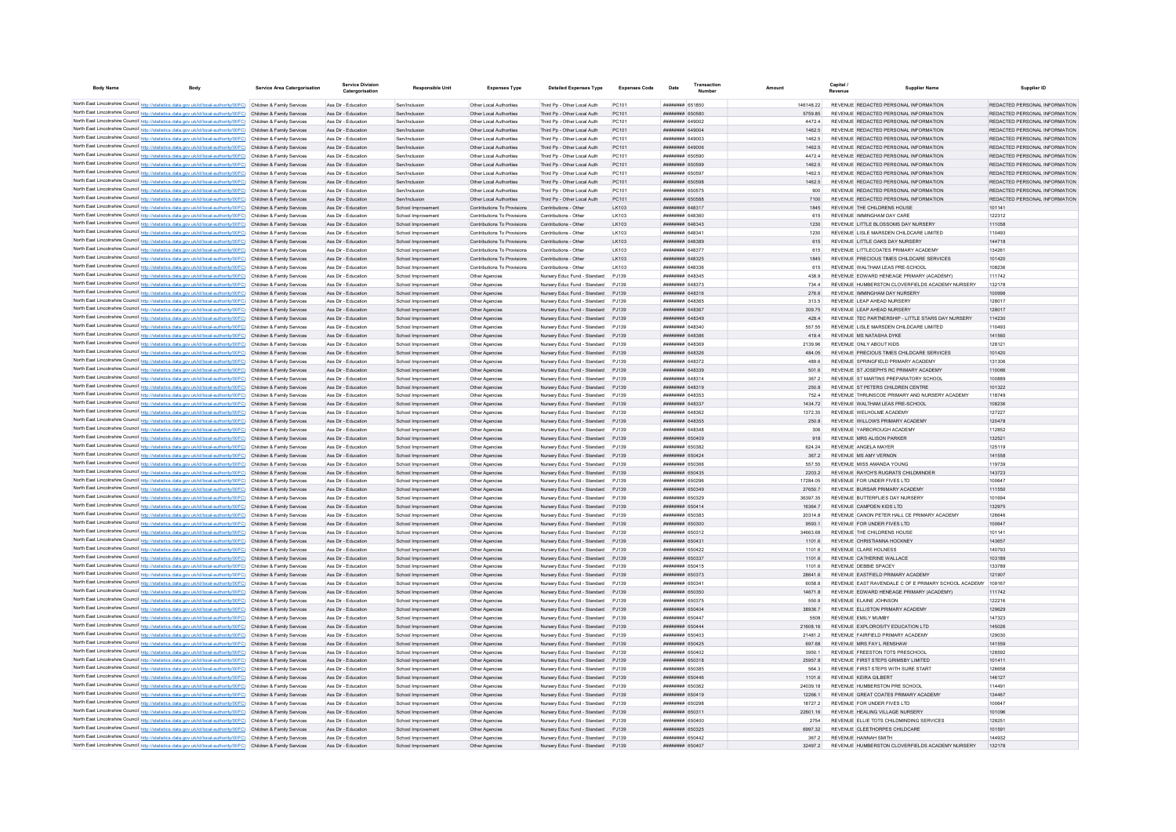| <b>Body Name</b><br>Body                                                                                                                                                                                                               | Service Area Catergorisation | Service Divisio<br>Catergorisation         | <b>Responsible Unit</b>                  | <b>Expenses Type</b>                                       | <b>Detailed Expenses Type</b>                                | <b>Expenses Code</b> | Date                               | Numbe | Amount |                     | Revenue | <b>Supplier Name</b>                                                             | Supplier ID                                                    |
|----------------------------------------------------------------------------------------------------------------------------------------------------------------------------------------------------------------------------------------|------------------------------|--------------------------------------------|------------------------------------------|------------------------------------------------------------|--------------------------------------------------------------|----------------------|------------------------------------|-------|--------|---------------------|---------|----------------------------------------------------------------------------------|----------------------------------------------------------------|
| North East Lincolnshire Council http://statistics.data.gov.uk/id/local-authority/00FC) Children & Family Services                                                                                                                      |                              | Ass Dir - Education                        | Sen/Inclusion                            | Other Local Authorities                                    | Third Pp - Other Local Auth                                  | PC101                | <b>####### 651850</b>              |       |        | 146148.22           |         | REVENUE REDACTED PERSONAL INFORMATION                                            | REDACTED PERSONAL INFORMATION                                  |
| North East Lincolnshire Council http://statistics.data.gov.uk/id/local-authority/00FC) Children & Family Services                                                                                                                      |                              | Ass Dir - Education                        | Sen/Inclusion                            | Other Local Authorities                                    | Third Pp - Other Local Auth                                  | PC101                | ######## 650580                    |       |        | 5759.85             |         | REVENUE REDACTED PERSONAL INFORMATION                                            | REDACTED PERSONAL INFORMATION                                  |
| North East Lincolnshire Council http://statistics.data.gov.uk/id/local-authority/00FC) Children & Family Services                                                                                                                      |                              | Ass Dir - Education                        | Sen/Inclusion                            | Other Local Authorities                                    | Third Pp - Other Local Auth                                  | PC101                | <b>ПЕВЕЦИЕ 649002</b>              |       |        | 4472.4              |         | REVENUE REDACTED PERSONAL INFORMATION                                            | REDACTED PERSONAL INFORMATION                                  |
| North East Lincolnshire Council http://statistics.data.gov.uk/id/local-authority/00FC) Children & Family Services                                                                                                                      |                              | Ass Dir - Education                        | Sen/Inclusion                            | Other Local Authorities                                    | Third Pp - Other Local Auth                                  | PC101                | пппппппп 649004                    |       |        | 1462.5              |         | REVENUE REDACTED PERSONAL INFORMATION                                            | REDACTED PERSONAL INFORMATION                                  |
| North East Lincolnshire Council http://statistics.data.gov.uk/id/local-authority/00FC) Children & Family Services                                                                                                                      |                              | Ass Dir - Education                        | Sen/Inclusion                            | Other Local Authorities                                    | Third Po - Other Local Auth                                  | PC101                | ######## 649003                    |       |        | 1462.5              |         | REVENUE REDACTED PERSONAL INFORMATION                                            | REDACTED PERSONAL INFORMATION                                  |
| North East Lincolnshire Council http://statistics.data.gov.uk/id/local-authority/00FC) Children & Family Services                                                                                                                      |                              | Ass Dir - Education                        | Sen/Inclusion                            | Other Local Authorities                                    | Third Pp - Other Local Auth                                  | PC101                | ######## 649006                    |       |        | 1462.5              |         | REVENUE REDACTED PERSONAL INFORMATION                                            | REDACTED PERSONAL INFORMATION                                  |
| North East Lincolnshire Council http://statistics.data.gov.uk/id/local-authority/00FC) Children & Family Services<br>North East Lincolnshire Council http://statistics.data.gov.uk/id/local-authority/00FC) Children & Family Services |                              | Ass Dir - Education<br>Ass Dir - Education | Sen/Inclusion<br>Sen/Inclusion           | Other Local Authorities<br>Other Local Authorities         | Third Po - Other Local Auth<br>Third Pp - Other Local Auth   | PC101<br>PC101       | ######## 650590<br>######## 650599 |       |        | 4472.4<br>1462.5    |         | REVENUE REDACTED PERSONAL INFORMATION<br>REVENUE REDACTED PERSONAL INFORMATION   | REDACTED PERSONAL INFORMATION<br>REDACTED PERSONAL INFORMATION |
| North East Lincolnshire Council http://statistics.data.gov.uk/id/local-authority/00FC) Children & Family Services                                                                                                                      |                              | Ass Dir - Education                        | Sen/Inclusion                            | Other Local Authorities                                    | Third Pp - Other Local Auth                                  | PC101                | ######## 650597                    |       |        | 1462.5              |         | REVENUE REDACTED PERSONAL INFORMATION                                            | REDACTED PERSONAL INFORMATION                                  |
| North East Lincolnshire Council http://statistics.data.gov.uk/id/local-authority/00FC) Children & Family Services                                                                                                                      |                              | Ass Dir - Education                        | Sen/Inclusion                            | Other Local Authorities                                    | Third Pp - Other Local Auth                                  | PC101                | ######## 650598                    |       |        | 1462.5              |         | REVENUE REDACTED PERSONAL INFORMATION                                            | REDACTED PERSONAL INFORMATION                                  |
| North East Lincolnshire Council http://statistics.data.gov.uk/id/local-authority/00FC) Children & Family Services                                                                                                                      |                              | Ass Dir - Education                        | Sen/Inclusion                            | Other Local Authorities                                    | Third Pn - Other Local Auth                                  | PC101                | ######## 650575                    |       |        | 900                 |         | REVENUE REDACTED PERSONAL INFORMATION                                            | REDACTED PERSONAL INFORMATION                                  |
| North East Lincolnshire Council http://statistics.data.gov.uk/id/local-authority/00FC) Children & Family Services                                                                                                                      |                              | Ass Dir - Education                        | Sen/Inclusion                            | Other Local Authorities                                    | Third Pp - Other Local Auth                                  | PC101                | <b>HHHHHHH 650588</b>              |       |        | 7100                |         | REVENUE REDACTED PERSONAL INFORMATION                                            | REDACTED PERSONAL INFORMATION                                  |
| North East Lincolnshire Council http://statistics.data.gov.uk/id/local-authority/00FC) Children & Family Services                                                                                                                      |                              | Ass Dir - Education                        | School Improvement                       | Contributions To Provisions                                | Contributions - Other                                        | I K103               | пппппппп 648317                    |       |        | 1845                |         | REVENUE THE CHILDRENS HOUSE                                                      | 101141                                                         |
| North East Lincolnshire Council http://statistics.data.gov.uk/id/local-authority/00FC) Children & Family Services                                                                                                                      |                              | Ass Dir - Education                        | School Improvement                       | Contributions To Provisions                                | Contributions - Other                                        | LK103                | <b>####### 648361</b>              |       |        | 615                 |         | REVENUE IMMINGHAM DAY CARE                                                       | 122312                                                         |
| North East Lincolnshire Council http://statistics.data.gov.uk/id/local-authority/00FC) Children & Family Services<br>North East Lincolnshire Council http://statistics.data.gov.uk/id/local-authority/00FC) Children & Family Services |                              | Ass Dir - Education                        | School Improvement                       | Contributions To Provisions<br>Contributions To Provisions | Contributions - Other                                        | LK103                | пппппппп 648343<br>ппиннин сляза-  |       |        | 1230                |         | REVENUE LITTLE BLOSSOMS DAY NURSERY<br>REVENUE   ISLE MARSDEN CHILDCARE LIMITED  | 111058<br>110493                                               |
| North East Lincolnshire Council http://statistics.data.gov.uk/id/local-authority/00FC) Children & Family Services                                                                                                                      |                              | Ass Dir - Education<br>Ass Dir - Education | School Improvement<br>School Improvement | Contributions To Provisions                                | Contributions - Other<br>Contributions - Other               | LK103<br>I K103      | <b>ПЛИНИНИ 648389</b>              |       |        | 1230<br>615         |         | REVENUE LITTLE OAKS DAY NURSERY                                                  | 144718                                                         |
| North East Lincolnshire Council http://statistics.data.gov.uk/id/local-authority/00FC) Children & Family Services                                                                                                                      |                              | Ass Dir - Education                        | School Improvement                       | Contributions To Provisions                                | Contributions - Other                                        | LK103                | <b>пппппппп</b> 648377             |       |        | 615                 |         | REVENUE LITTLECOATES PRIMARY ACADEMY                                             | 134261                                                         |
| North East Lincolnshire Council http://statistics.data.gov.uk/id/local-authority/00FC) Children & Family Services                                                                                                                      |                              | Ass Dir - Education                        | School Improvement                       | Contributions To Provisions                                | Contributions - Other                                        | LK103                | ######## 648325                    |       |        | 1845                |         | REVENUE PRECIOUS TIMES CHILDCARE SERVICES                                        | 101420                                                         |
| North East Lincolnshire Council http://statistics.data.gov.uk/id/local-authority/00FC) Children & Family Services                                                                                                                      |                              | Ass Dir - Education                        | School Improvement                       | Contributions To Provisions                                | Contributions - Other                                        | LK103                | ######## 648336                    |       |        | 615                 |         | REVENUE WALTHAM LEAS PRE-SCHOOL                                                  | 108236                                                         |
| North East Lincolnshire Council http://statistics.data.gov.uk/id/local-authority/00FC) Children & Family Services                                                                                                                      |                              | Ass Dir - Education                        | School Improvement                       | Other Agencies                                             | Nursery Educ Fund - Standard                                 | PJ139                | ######## 648345                    |       |        | 438.9               |         | REVENUE EDWARD HENEAGE PRIMARY (ACADEMY)                                         | 111742                                                         |
| North East Lincolnshire Council http://statistics.data.gov.uk/id/local-authority/00FC) Children & Family Services                                                                                                                      |                              | Ass Dir - Education                        | School Improvement                       | Other Agencies                                             | Nursery Educ Fund - Standard                                 | PJ139                | ####### 648373                     |       |        | 734.4               |         | REVENUE HUMBERSTON CLOVERFIELDS ACADEMY NURSERY                                  | 132178                                                         |
| North East Lincolnshire Council http://statistics.data.gov.uk/id/local-authority/00FC) Children & Family Services                                                                                                                      |                              | Ass Dir - Education                        | School Improvement                       | Other Agencies                                             | Nursery Educ Fund - Standard                                 | PJ139                | ######## 648316                    |       |        | 276.6               |         | REVENUE IMMINGHAM DAY NURSERY                                                    | 100998                                                         |
| North East Lincolnshire Council http://statistics.data.gov.uk/id/local-authority/00FC) Children & Family Services                                                                                                                      |                              | Ass Dir - Education                        | School Improvement                       | Other Agencies                                             | Nursery Educ Fund - Standard                                 | P.1139               | ######## 648365                    |       |        | 313.5               |         | REVENUE LEAP AHEAD NURSERY                                                       | 128017                                                         |
| North East Lincolnshire Council http://statistics.data.gov.uk/id/local-authority/00FC) Children & Family Services<br>North East Lincolnshire Council http://statistics.data.gov.uk/id/local-authority/00FC) Children & Family Services |                              | Ass Dir - Education<br>Ass Dir - Education | School Improvement<br>School Improvement | Other Agencies                                             | Nursery Educ Fund - Standard<br>Nursery Educ Fund - Standard | PJ139<br>PJ139       | ######## 648367<br>######## 648349 |       |        | 309.75<br>428.4     |         | REVENUE LEAP AHEAD NURSERY<br>REVENUE TEC PARTNERSHIP - LITTLE STARS DAY NURSERY | 128017<br>114230                                               |
| North East Lincolnshire Council http://statistics.data.gov.uk/id/local-authority/00FC) Children & Family Services                                                                                                                      |                              | Ass Dir - Education                        | School Improvement                       | Other Agencies<br>Other Agencie                            | Nursery Educ Fund - Standard                                 | P.1139               | пппппппп 648340                    |       |        | 557.55              |         | REVENUE LISLE MARSDEN CHILDCARE LIMITED                                          | 110493                                                         |
| North East Lincolnshire Council http://statistics.data.gov.uk/id/local-authority/00FC) Children & Family Services                                                                                                                      |                              | Ass Dir - Education                        | School Improvement                       | Other Agencies                                             | Nursery Educ Fund - Standard                                 | P.1139               | ####### 648386                     |       |        | 419.4               |         | REVENUE MS NATASHA DYKE                                                          | 141560                                                         |
| North East Lincolnshire Council http://statistics.data.gov.uk/id/local-authority/00FC) Children & Family Services                                                                                                                      |                              | Ass Dir - Education                        | School Improvement                       | Other Agencies                                             | Nursery Educ Fund - Standard                                 | P.1139               | <b>BREASH HUMMHUM</b>              |       |        | 2139.96             |         | REVENUE ONLY AROUT KIDS                                                          | 128121                                                         |
| North East Lincolnshire Council http://statistics.data.gov.uk/id/local-authority/00FC) Children & Family Services                                                                                                                      |                              | Ass Dir - Education                        | School Improvement                       | Other Agencies                                             | Nursery Educ Fund - Standard                                 | P.1139               | <b>ППИНИНИН</b> 648326             |       |        | 484.05              |         | REVENUE PRECIOUS TIMES CHILDCARE SERVICES                                        | 101420                                                         |
| North East Lincolnshire Council http://statistics.data.gov.uk/id/local-authority/00FC) Children & Family Services                                                                                                                      |                              | Ass Dir - Education                        | School Improvement                       | Other Anencies                                             | Nursery Educ Fund - Standard                                 | P.1139               | <b><i>BREEZEEE</i></b> 648372      |       |        | 489.6               |         | REVENUE SPRINGFIELD PRIMARY ACADEMY                                              | 131306                                                         |
| North East Lincolnshire Council http://statistics.data.gov.uk/id/local-authority/00FC) Children & Family Services                                                                                                                      |                              | Ass Dir - Education                        | School Improvement                       | Other Agencies                                             | Nursery Educ Fund - Standard                                 | PJ139                | ######## 648339                    |       |        | 501.6               |         | REVENUE ST JOSEPH'S RC PRIMARY ACADEMY                                           | 110066                                                         |
| North East Lincolnshire Council http://statistics.data.gov.uk/id/local-authority/00FC) Children & Family Services                                                                                                                      |                              | Ass Dir - Education                        | School Improvement                       | Other Agencies                                             | Nursery Educ Fund - Standard                                 | PJ139                | ######## 648314                    |       |        | 367.2               |         | REVENUE ST MARTINS PREPARATORY SCHOOL                                            | 100889                                                         |
| North East Lincolnshire Council http://statistics.data.gov.uk/id/local-authority/00FC) Children & Family Services                                                                                                                      |                              | Ass Dir - Education                        | School Improvement                       | Other Agencies                                             | Nursery Educ Fund - Standard                                 | PJ139                | ######## 648319                    |       |        | 250.8               |         | REVENUE ST PETERS CHILDREN CENTRE                                                | 101322                                                         |
| North East Lincolnshire Council http://statistics.data.gov.uk/id/local-authority/00FC) Children & Family Services                                                                                                                      |                              | Ass Dir - Education                        | School Improvement                       | Other Agencies                                             | Nursery Educ Fund - Standard                                 | PJ139                | ######## 648353                    |       |        | 752.4               |         | REVENUE THRUNSCOE PRIMARY AND NURSERY ACADEMY                                    | 118749                                                         |
| North East Lincolnshire Council http://statistics.data.gov.uk/id/local-authority/00FC) Children & Family Services                                                                                                                      |                              | Ass Dir - Education                        | School Improvement                       | Other Agencies                                             | Nursery Educ Fund - Standard                                 | P.1139               | ######## 648337                    |       |        | 1434.72             |         | REVENUE WAI THAM LEAS PRE-SCHOOL                                                 | 108236                                                         |
| North East Lincolnshire Council http://statistics.data.gov.uk/id/local-authority/00FC) Children & Family Services                                                                                                                      |                              | Ass Dir - Education<br>Ass Dir - Education | School Improvement                       | Other Agencies                                             | Nursery Educ Fund - Standard<br>Nursery Educ Fund - Standard | PJ139<br>PJ139       | пппппппп 648362<br>######## 648355 |       |        | 1372.35             |         | REVENUE WELHOLME ACADEMY<br>REVENUE WILLOWS PRIMARY ACADEMY                      | 127227<br>120478                                               |
| North East Lincolnshire Council http://statistics.data.gov.uk/id/local-authority/00FC) Children & Family Services<br>North East Lincolnshire Council http://statistics.data.gov.uk/id/local-authority/00FC) Children & Family Services |                              | Ass Dir - Education                        | School Improvement<br>School Improvement | Other Agencies<br>Other Agencies                           | Nursery Educ Fund - Standard                                 | PJ139                | ####### 648348                     |       |        | 250.8<br>306        |         | REVENUE YARBOROUGH ACADEMY                                                       | 112852                                                         |
| North East Lincolnshire Council http://statistics.data.gov.uk/id/local-authority/00FC) Children & Family Services                                                                                                                      |                              | Ass Dir - Education                        | School Improvement                       | Other Agencies                                             | Nursery Educ Fund - Standard                                 | PJ139                | ######## 650409                    |       |        | 918                 |         | REVENUE MRS ALISON PARKER                                                        | 132521                                                         |
| North East Lincolnshire Council http://statistics.data.gov.uk/id/local-authority/00FC)                                                                                                                                                 | Children & Family Services   | Ass Dir - Education                        | School Improvement                       | Other Agencie                                              | Nursery Educ Fund - Standard                                 | PJ139                | ######## 650382                    |       |        | 624.24              |         | REVENUE ANGELA MAYER                                                             | 125119                                                         |
| North East Lincolnshire Council http://statistics.data.gov.uk/id/local-authority/00FC) Children & Family Services                                                                                                                      |                              | Ass Dir - Education                        | School Improvement                       | Other Agencies                                             | Nursery Educ Fund - Standard                                 | PJ139                | ######## 650424                    |       |        | 367.2               |         | REVENUE MS AMY VERNON                                                            | 141558                                                         |
| North East Lincolnshire Council http://statistics.data.gov.uk/id/local-authority/00FC) Children & Family Services                                                                                                                      |                              | Ass Dir - Education                        | School Improvement                       | Other Agencies                                             | Nursery Educ Fund - Standard                                 | P.1139               | BROZO BREEZE                       |       |        | 557 55              |         | REVENUE MISS AMANDA YOUNG                                                        | 119739                                                         |
| North East Lincolnshire Council http://statistics.data.gov.uk/id/local-authority/00FC) Children & Family Services                                                                                                                      |                              | Ass Dir - Education                        | School Improvement                       | Other Agencies                                             | Nursery Educ Fund - Standard                                 | P.1139               | ######## 650435                    |       |        | 2203.2              |         | REVENUE RAYCH'S RUGRATS CHILDMINDER                                              | 143723                                                         |
| North East Lincolnshire Council http://statistics.data.gov.uk/id/local-authority/00FC) Children & Family Services                                                                                                                      |                              | Ass Dir - Education                        | School Improvement                       | Other Agencies                                             | Nursery Educ Fund - Standard                                 | P.1139               | ######## 650296                    |       |        | 17284.05            |         | REVENUE FOR UNDER FIVES LTD                                                      | 100647                                                         |
| North East Lincolnshire Council http://statistics.data.gov.uk/id/local-authority/00FC) Children & Family Services                                                                                                                      |                              | Ass Dir - Education                        | School Improvement                       | Other Agencies                                             | Nursery Educ Fund - Standard                                 | P.1139               | ######## 650349                    |       |        | 27650.7             |         | REVENUE BURSAR PRIMARY ACADEMY                                                   | 111550                                                         |
| North East Lincolnshire Council http://statistics.data.gov.uk/id/local-authority/00FC) Children & Family Services                                                                                                                      |                              | Ass Dir - Education                        | School Improvement                       | Other Agencies                                             | Nursery Educ Fund - Standard                                 | PJ139                | ######## 650329                    |       |        | 36397.35            |         | REVENUE BUTTERFLIES DAY NURSERY                                                  | 101694                                                         |
| North East Lincolnshire Council http://statistics.data.gov.uk/id/local-authority/00FC) Children & Family Services                                                                                                                      |                              | Ass Dir - Education<br>Ass Dir - Education | School Improvement<br>School Improvement | Other Agencies<br>Other Agencies                           | Nursery Educ Fund - Standard<br>Nursery Educ Fund - Standard | PJ139<br>P.1139      | ######## 650414<br>######## 650383 |       |        | 16364.7<br>203148   |         | REVENUE CAMPDEN KIDS LTD<br>REVENUE CANON PETER HALL CE PRIMARY ACADEMY          | 132975<br>126646                                               |
| North East Lincolnshire Council http://statistics.data.gov.uk/id/local-authority/00FC) Children & Family Services<br>North East Lincolnshire Council http://statistics.data.gov.uk/id/local-authority/00FC) Children & Family Services |                              | Ass Dir - Education                        | School Improvement                       | Other Agencies                                             | Nursery Educ Fund - Standard                                 | P.1139               | ######## 650300                    |       |        | 95931               |         | REVENUE FOR UNDER FIVES ITD                                                      | 100647                                                         |
| North East Lincolnshire Council http://statistics.data.gov.uk/id/local-authority/00FC) Children & Family Services                                                                                                                      |                              | Ass Dir - Education                        | School Improvement                       | Other Agencies                                             | Nursery Educ Fund - Standard                                 | P.1139               | ####### 650312                     |       |        | 34663.68            |         | REVENUE THE CHILDRENS HOUSE                                                      | 101141                                                         |
| North East Lincolnshire Council http://statistics.data.gov.uk/id/local-authority/00FC) Children & Family Services                                                                                                                      |                              | Ass Dir - Education                        | School Improvement                       | Other Agencies                                             | Nursery Educ Fund - Standard                                 | PJ139                | ######## 65043                     |       |        | 1101.6              |         | REVENUE CHRISTIANNA HOCKNEY                                                      | 143657                                                         |
| North East Lincolnshire Council http://statistics.data.gov.uk/id/local-authority/00FC) Children & Family Services                                                                                                                      |                              | Ass Dir - Education                        | School Improvement                       | Other Agencie                                              | Nursery Educ Fund - Standard                                 | PJ139                | ####### 650422                     |       |        | 1101.6              |         | REVENUE CLARE HOLNESS                                                            | 140793                                                         |
| North East Lincolnshire Council http://statistics.data.gov.uk/id/local-authority/00FC) Children & Family Services                                                                                                                      |                              | Ass Dir - Education                        | School Improvement                       | Other Agencies                                             | Nursery Educ Fund - Standard                                 | PJ139                | ######## 650337                    |       |        | 1101.6              |         | REVENUE CATHERINE WALLACE                                                        | 103189                                                         |
| North East Lincolnshire Council http://statistics.data.gov.uk/id/local-authority/00FC) Children & Family Services                                                                                                                      |                              | Ass Dir - Education                        | School Improvement                       | Other Agencies                                             | Nursery Educ Fund - Standard                                 | PJ139                | ######## 650415                    |       |        | 1101.6              |         | REVENUE DEBBIE SPACEY                                                            | 133789                                                         |
| North East Lincolnshire Council http://statistics.data.gov.uk/id/local-authority/00FC) Children & Family Services                                                                                                                      |                              | Ass Dir - Education                        | School Improvement                       | Other Agencies                                             | Nursery Educ Fund - Standard                                 | P.1139               | ######## 650373                    |       |        | 28641.6             |         | REVENUE EASTFIELD PRIMARY ACADEMY                                                | 121907                                                         |
| North East Lincolnshire Council http://statistics.data.gov.uk/id/local-authority/00FC) Children & Family Services                                                                                                                      |                              | Ass Dir - Education                        | School Improvement                       | Other Agencies                                             | Nursery Educ Fund - Standard                                 | PJ139                | ######## 65034                     |       |        | 6058.8              |         | REVENUE EAST RAVENDALE C OF E PRIMARY SCHOOL ACADEMY 109167                      |                                                                |
| North East Lincolnshire Council http://statistics.data.gov.uk/id/local-authority/00FC) Children & Family Services                                                                                                                      |                              | Ass Dir - Education                        | School Improvement                       | Other Agencies                                             | Nursery Educ Fund - Standard                                 | P.1139               | ######## 650350                    |       |        | 14671.8             |         | REVENUE EDWARD HENEAGE PRIMARY (ACADEMY)                                         | 111742                                                         |
| North East Lincolnshire Council http://statistics.data.gov.uk/id/local-authority/00FC) Children & Family Services                                                                                                                      |                              | Ass Dir - Education<br>Ass Dir - Education | School Improvement<br>School Improvement | Other Agencies<br>Other Agencies                           | Nursery Educ Fund - Standard<br>Nursery Educ Fund - Standard | P.1139<br>PJ139      | ######## 650375<br>######## 650404 |       |        | 550.8<br>38936.7    |         | REVENUE ELAINE JOHNSON<br>REVENUE ELLISTON PRIMARY ACADEMY                       | 122216<br>129629                                               |
| North East Lincolnshire Council http://statistics.data.gov.uk/id/local-authority/00FC) Children & Family Services<br>North East Lincolnshire Council http://statistics.data.gov.uk/id/local-authority/00FC) Children & Family Services |                              | Ass Dir - Education                        | School Improvement                       | Other Agencies                                             | Nursery Educ Fund - Standard                                 | PJ139                | ######## 650447                    |       |        | 5508                |         | REVENUE EMILY MUMBY                                                              | 147323                                                         |
| North East Lincolnshire Council http://statistics.data.gov.uk/id/local-authority/00FC) Children & Family Services                                                                                                                      |                              | Ass Dir - Education                        | School Improvement                       | Other Agencies                                             | Nursery Educ Fund - Standard                                 | PJ139                | ######## 650444                    |       |        | 21608.16            |         | REVENUE EXPLOROSITY EDUCATION LTD                                                | 145026                                                         |
| North East Lincolnshire Council http://statistics.data.gov.uk/id/local-authority/00FC) Children & Family Services                                                                                                                      |                              | Ass Dir - Education                        | School Improvement                       | Other Agencies                                             | Nursery Educ Fund - Standard                                 | P.1139               | <b>########</b> 650403             |       |        | 214812              |         | REVENUE FAIRFIELD PRIMARY ACADEMY                                                | 129030                                                         |
| North East Lincolnshire Council http://statistics.data.gov.uk/id/local-authority/00FC) Children & Family Services                                                                                                                      |                              | Ass Dir - Education                        | School Improvement                       | Other Agencies                                             | Nursery Educ Fund - Standard                                 | P.1139               | ######## 650425                    |       |        | 697.68              |         | REVENUE MRS FAY L RENSHAW                                                        | 141559                                                         |
| North East Lincolnshire Council http://statistics.data.gov.uk/id/local-authority/00FC) Children & Family Services                                                                                                                      |                              | Ass Dir - Education                        | School Improvement                       | Other Agencies                                             | Nursery Educ Fund - Standard                                 | P.1139               | ######## 650402                    |       |        | 3950.1              |         | REVENUE FREESTON TOTS PRESCHOOL                                                  | 128592                                                         |
| North East Lincolnshire Council http://statistics.data.gov.uk/id/local-authority/00FC) Children & Family Services                                                                                                                      |                              | Ass Dir - Education                        | School Improvement                       | Other Agencies                                             | Nursery Educ Fund - Standard                                 | PJ139                | ######## 650318                    |       |        | 25957.8             |         | REVENUE FIRST STEPS GRIMSBY LIMITED                                              | 101411                                                         |
| North East Lincolnshire Council http://statistics.data.gov.uk/id/local-authority/00FC)                                                                                                                                                 | Children & Family Services   | Ass Dir - Education                        | School Improvement                       | Other Agencie                                              | Nursery Educ Fund - Standard                                 | PJ139                | <b>########</b> 650385             |       |        | 564.3               |         | REVENUE FIRST STEPS WITH SURE START                                              | 126658                                                         |
| North East Lincolnshire Council http://statistics.data.gov.uk/id/local-authority/00FC) Children & Family Services                                                                                                                      |                              | Ass Dir - Education                        | School Improvement                       | Other Agencies                                             | Nursery Educ Fund - Standard                                 | PJ139                | ######## 650446                    |       |        | 1101.6              |         | REVENUE KEIRA GILBERT                                                            | 146127                                                         |
| North East Lincolnshire Council http://statistics.data.gov.uk/id/local-authority/00FC) Children & Family Services                                                                                                                      |                              | Ass Dir - Education                        | School Improvement                       | Other Agencies                                             | Nursery Educ Fund - Standard                                 | PJ139                | <b>пппппппп</b> 650362             |       |        | 24039.18            |         | REVENUE HUMBERSTON PRE SCHOOL                                                    | 114491                                                         |
| North East Lincolnshire Council http://statistics.data.gov.uk/id/local-authority/00FC) Children & Family Services                                                                                                                      |                              | Ass Dir - Education                        | School Improvement                       | Other Agencies                                             | Nursery Educ Fund - Standard                                 | PJ139                | ######## 650419                    |       |        | 12266.1             |         | REVENUE GREAT COATES PRIMARY ACADEMY                                             | 134467                                                         |
| North East Lincolnshire Council http://statistics.data.gov.uk/id/local-authority/00FC) Children & Family Services<br>North East Lincolnshire Council http://statistics.data.gov.uk/id/local-authority/00FC) Children & Family Services |                              | Ass Dir - Education<br>Ass Dir - Education | School Improvement<br>School Improvement | Other Agencies<br>Other Agencies                           | Nursery Educ Fund - Standard<br>Nursery Educ Fund - Standard | PJ139<br>PJ139       | ######## 650298<br>######## 65031  |       |        | 18727.2<br>22601.16 |         | REVENUE FOR UNDER FIVES LTD<br>REVENUE HEALING VILLAGE NURSERY                   | 100647<br>101096                                               |
| North East Lincolnshire Council http://statistics.data.gov.uk/id/local-authority/00FC) Children & Family Services                                                                                                                      |                              | Ass Dir - Education                        | School Improvement                       | Other Agencie                                              | Nursery Educ Fund - Standard                                 | PJ139                | ######## 650400                    |       |        | 2754                |         | REVENUE ELLIE TOTS CHILDMINDING SERVICES                                         | 128251                                                         |
| North East Lincolnshire Council http://statistics.data.gov.uk/id/local-authority/00FC) Children & Family Services                                                                                                                      |                              | Ass Dir - Education                        | School Improvement                       | Other Agencies                                             | Nursery Educ Fund - Standard                                 |                      | ######## 65032                     |       |        | 6997.32             |         | REVENUE CLEETHORPES CHILDCARE                                                    | 101591                                                         |
| North East Lincolnshire Council http://statistics.data.gov.uk/id/local-authority/00FC) Children & Family Services                                                                                                                      |                              | Ass Dir - Education                        | School Improvement                       | Other Agencies                                             | Nursery Educ Fund - Standard                                 | P 1139               | <b>ПЕВЕННИН</b> 650442             |       |        | 3672                |         | REVENUE HANNAH SMITH                                                             | 144932                                                         |
| North East Lincolnshire Council http://statistics.data.gov.uk/id/local-authority/00FC)                                                                                                                                                 | Children & Family Services   | Ass Dir - Education                        | School Improvement                       | Other Anencies                                             | Nursery Educ Fund - Standard                                 | P.1139               | <b>########</b> 650407             |       |        | 324972              |         | REVENUE HUMBERSTON CLOVERFIELDS ACADEMY NURSERY                                  | 132178                                                         |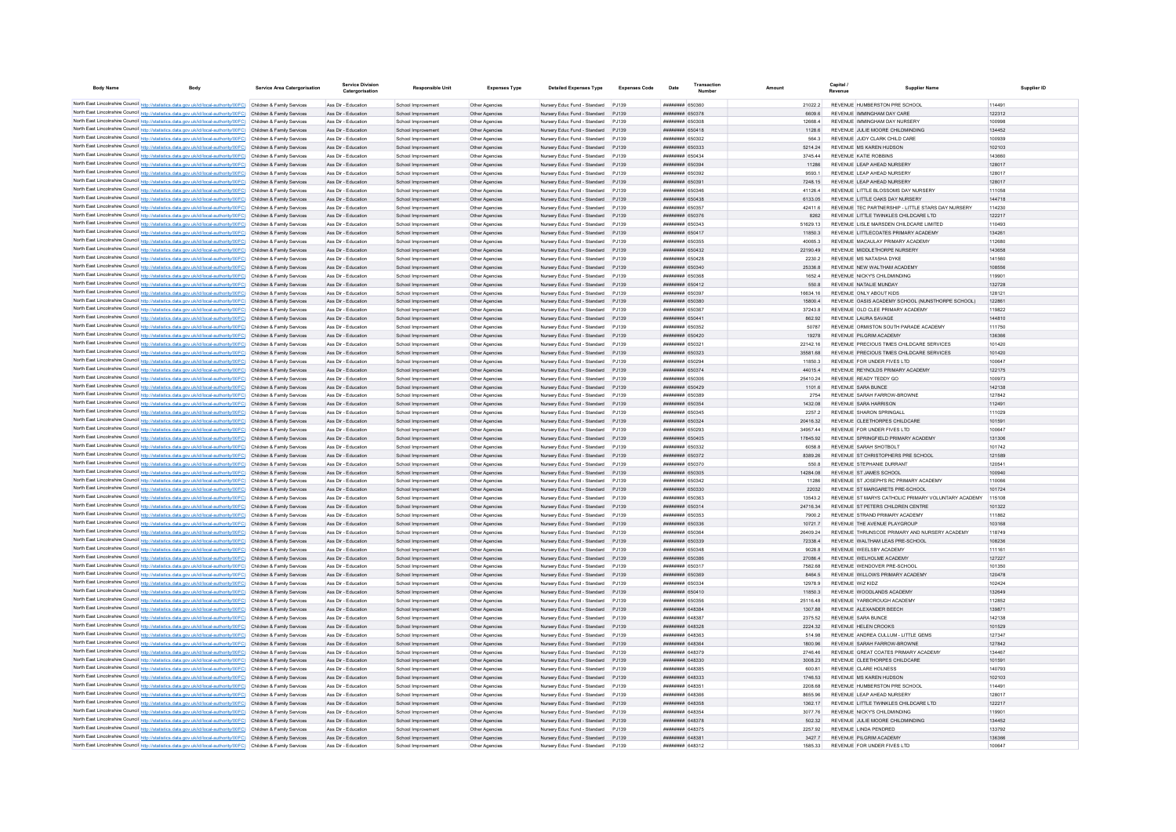| <b>Body Name</b> | Body                                                                                                                                                                                                                                   | <b>Service Area Catergorisation</b> | Service Division<br>Catergorisation        | <b>Responsible Unit</b>                  | <b>Expenses Type</b>             | <b>Detailed Expenses Type</b>                                             | <b>Expenses Code</b> | Date                                      | Amount               | Capital | <b>Supplier Name</b>                                                                   | Supplier ID      |
|------------------|----------------------------------------------------------------------------------------------------------------------------------------------------------------------------------------------------------------------------------------|-------------------------------------|--------------------------------------------|------------------------------------------|----------------------------------|---------------------------------------------------------------------------|----------------------|-------------------------------------------|----------------------|---------|----------------------------------------------------------------------------------------|------------------|
|                  |                                                                                                                                                                                                                                        |                                     |                                            |                                          |                                  |                                                                           |                      |                                           |                      |         | REVENUE HUMBERSTON PRE SCHOOL                                                          |                  |
|                  | North East Lincolnshire Council http://statistics.data.gov.uk/id/local-authority/00FC) Children & Family Services<br>North East Lincolnshire Council http://statistics.data.gov.uk/id/local-authority/00FC) Children & Family Services |                                     | Ass Dir - Education<br>Ass Dir - Education | School Improvement<br>School Improvement | Other Agencies<br>Other Agencies | Nursery Educ Fund - Standard PJ139<br>Nursery Educ Fund - Standard PJ139  |                      | ####### 650360<br><b>########</b> 650378  | 210222<br>660Q 6     |         | REVENUE IMMINICHAM DAY CARE                                                            | 114491<br>122312 |
|                  | North East Lincolnshire Council http://statistics.data.gov.uk/id/local-authority/00FC) Children & Family Services                                                                                                                      |                                     | Ass Dir - Education                        | School Improvement                       | Other Agencie                    | Nursery Educ Fund - Standard PJ139                                        |                      | <b>########</b> 650308                    | 12668.4              |         | REVENUE IMMINGHAM DAY NURSERY                                                          | 100998           |
|                  | North East Lincolnshire Council http://statistics.data.gov.uk/id/local-authority/00FC) Children & Family Services                                                                                                                      |                                     | Ass Dir - Education                        | School Improvement                       | Other Anencies                   | Nursery Educ Fund - Standard P.I139                                       |                      | ######## 650418                           | 1128.6               |         | REVENUE JULIE MOORE CHILDMINDING                                                       | 134452           |
|                  | North East Lincolnshire Council http://statistics.data.gov.uk/id/local-authority/00FC) Children & Family Services                                                                                                                      |                                     | Ass Dir - Education                        | School Improvement                       | Other Agencies                   | Nursery Educ Fund - Standard PJ139                                        |                      | ######## 650302                           | 564.3                |         | REVENUE JUDY CLARK CHILD CARE                                                          | 100939           |
|                  | North East Lincolnshire Council http://statistics.data.gov.uk/id/local-authority/00FC) Children & Family Services                                                                                                                      |                                     | Ass Dir - Education                        | School Improvement                       | Other Agencies                   | Nursery Educ Fund - Standard PJ139                                        |                      | ######## 650333                           | 5214.24              |         | REVENUE MS KAREN HUDSON                                                                | 102103           |
|                  | North East Lincolnshire Council http://statistics.data.gov.uk/id/local-authority/00FC) Children & Family Services                                                                                                                      |                                     | Ass Dir - Education                        | School Improvement                       | Other Agencies                   | Nursery Educ Fund - Standard PJ139                                        |                      | ######## 650434                           | 3745.44              |         | REVENUE KATIE ROBBINS                                                                  | 143660           |
|                  | North East Lincolnshire Council http://statistics.data.gov.uk/id/local-authority/00FC) Children & Family Services                                                                                                                      |                                     | Ass Dir - Education                        | School Improvement                       | Other Agencies                   | Nursery Educ Fund - Standard PJ139                                        |                      | ######## 650394                           | 11286                |         | REVENUE LEAP AHEAD NURSERY                                                             | 128017           |
|                  | North East Lincolnshire Council http://statistics.data.gov.uk/id/local-authority/00FC) Children & Family Services                                                                                                                      |                                     | Ass Dir - Education                        | School Improvement                       | Other Agencies                   | Nursery Educ Fund - Standard PJ139                                        |                      | ######## 650392                           | 9593.1               |         | REVENUE LEAP AHEAD NURSERY                                                             | 128017           |
|                  | North East Lincolnshire Council http://statistics.data.gov.uk/id/local-authority/00FC) Children & Family Services<br>North East Lincolnshire Council http://statistics.data.gov.uk/id/local-authority/00FC) Children & Family Services |                                     | Ass Dir - Education<br>Ass Dir - Education | School Improvement<br>School Improvement | Other Agencies<br>Other Agencies | Nursery Educ Fund - Standard PJ139<br>Nursery Educ Fund - Standard        | PJ139                | ######## 650391<br>######## 650346        | 7248.15<br>41126.4   |         | REVENUE LEAP AHEAD NURSERY<br>REVENUE LITTLE BLOSSOMS DAY NURSERY                      | 128017<br>111058 |
|                  | North East Lincolnshire Council http://statistics.data.gov.uk/id/local-authority/00FC) Children & Family Services                                                                                                                      |                                     | Ass Dir - Education                        | School Improvement                       | Other Agencies                   | Nursery Educ Fund - Standard                                              | PJ139                | ######## 650438                           | 6133.05              |         | REVENUE LITTLE OAKS DAY NURSERY                                                        | 144718           |
|                  | North East Lincolnshire Council http://statistics.data.gov.uk/id/local-authority/00FC)                                                                                                                                                 | Children & Family Services          | Ass Dir - Education                        | School Improvemen                        | Other Agencie                    | Nursery Educ Fund - Standard                                              | PJ139                | ######## 650357                           | 42411.6              |         | REVENUE TEC PARTNERSHIP - LITTLE STARS DAY NURSERY                                     | 114230           |
|                  | North East Lincolnshire Council http://statistics.data.gov.uk/id/local-authority/00FC) Children & Family Services                                                                                                                      |                                     | Ass Dir - Education                        | School Improvement                       | Other Agencie                    | Nursery Educ Fund - Standard                                              | PJ139                | ######## 650376                           | 8262                 |         | REVENUE LITTLE TWINKLES CHILDCARE LTD                                                  | 122217           |
|                  | North East Lincolnshire Council http://statistics.data.gov.uk/id/local-authority/00FC) Children & Family Services                                                                                                                      |                                     | Ass Dir - Education                        | School Improvement                       | Other Agencie                    | Nursery Educ Fund - Standard                                              | P.1139               | <b>########</b> 650343                    | 51629.13             |         | REVENUE LISLE MARSDEN CHILDCARE LIMITED                                                | 110493           |
|                  | North East Lincolnshire Council http://statistics.data.gov.uk/id/local-authority/00FC) Children & Family Services                                                                                                                      |                                     | Ass Dir - Education                        | School Improvement                       | Other Agencies                   | Nursery Educ Fund - Standard                                              | P.1139               | ######## 650417                           | 118503               |         | REVENUE LITTLECOATES PRIMARY ACADEMY                                                   | 134261           |
|                  | North East Lincolnshire Council http://statistics.data.gov.uk/id/local-authority/00FC) Children & Family Services                                                                                                                      |                                     | Ass Dir - Education                        | School Improvement                       | Other Agencies                   | Nursery Educ Fund - Standard PJ139                                        |                      | ######## 650355                           | 40065.3              |         | REVENUE MACAULAY PRIMARY ACADEMY                                                       | 112680           |
|                  | North East Lincolnshire Council http://statistics.data.gov.uk/id/local-authority/00FC)                                                                                                                                                 | Children & Family Services          | Ass Dir - Education                        | School Improvement                       | Other Agencies                   | Nursery Educ Fund - Standard PJ139                                        |                      | ######## 650432<br>######## 650428        | 22190.49             |         | REVENUE MIDDI ETHORPE NURSERY                                                          | 143658           |
|                  | North East Lincolnshire Council http://statistics.data.gov.uk/id/local-authority/00FC) Children & Family Services<br>North East Lincolnshire Council http://statistics.data.gov.uk/id/local-authority/00FC) Children & Family Services |                                     | Ass Dir - Education<br>Ass Dir - Education | School Improvement<br>School Improvement | Other Agencies<br>Other Agencie  | Nursery Educ Fund - Standard<br>Nursery Educ Fund - Standard              | PJ139<br>P.1139      | ######## 650340                           | 2230.2<br>25336.8    |         | REVENUE MS NATASHA DYKE<br>REVENUE NEW WALTHAM ACADEMY                                 | 141560<br>108556 |
|                  | North East Lincolnshire Council http://statistics.data.gov.uk/id/local-authority/00FC) Children & Family Services                                                                                                                      |                                     | Ass Dir - Education                        | School Improvement                       | Other Agencies                   | Nursery Educ Fund - Standard P.I139                                       |                      | BACOZA HHHHHHH                            | 16524                |         | REVENUE NICKY'S CHILDMINDING                                                           | 119901           |
|                  | North East Lincolnshire Council http://statistics.data.gov.uk/id/local-authority/00FC) Children & Family Services                                                                                                                      |                                     | Ass Dir - Education                        | School Improvement                       | Other Agencie                    | Nursery Educ Fund - Standard                                              | P.1139               | ######## 650412                           | 550.8                |         | REVENUE NATALIE MUNDAY                                                                 | 132728           |
|                  | North East Lincolnshire Council http://statistics.data.gov.uk/id/local-authority/00FC) Children & Family Services                                                                                                                      |                                     | Ass Dir - Education                        | School Improvement                       | Other Anencies                   | Nursery Educ Fund - Standard                                              | P.1139               | ######## 650393                           | 16634 16             |         | REVENUE ONLY ABOUT KIDS                                                                | 128121           |
|                  | North East Lincolnshire Council http://statistics.data.gov.uk/id/local-authority/00FC)                                                                                                                                                 | Children & Family Services          | Ass Dir - Education                        | School Improvement                       | Other Agencies                   | Nursery Educ Fund - Standard                                              | P.1139               | ######## 650380                           | 158004               |         | REVENUE OASIS ACADEMY SCHOOL (NUNSTHORPE SCHOOL)                                       | 122861           |
|                  | North East Lincolnshire Council http://statistics.data.gov.uk/id/local-authority/00FC).                                                                                                                                                | Children & Family Services          | Ass Dir - Education                        | School Improvemen                        | Other Agencies                   | Nursery Educ Fund - Standard                                              | P.1139               | <b>пппппппп</b> 650367                    | 372438               |         | REVENUE OLD CLEE PRIMARY ACADEMY                                                       | 119822           |
|                  | North East Lincolnshire Council http://statistics.data.gov.uk/id/local-authority/00FC) Children & Family Services                                                                                                                      |                                     | Ass Dir - Education                        | School Improvemen                        | Other Agencie                    | Nursery Educ Fund - Standard                                              | P.1139               | ######## 65044                            | 862.92               |         | REVENUE LAURA SAVAGE                                                                   | 144810           |
|                  | North East Lincolnshire Council http://statistics.data.gov.uk/id/local-authority/00FC) Children & Family Services                                                                                                                      |                                     | Ass Dir - Education                        | School Improvemen                        | Other Agencie                    | Nursery Educ Fund - Standard PJ139                                        |                      | ######## 650352                           | 50787                |         | REVENUE ORMISTON SOUTH PARADE ACADEMY                                                  | 111750           |
|                  | North East Lincolnshire Council http://statistics.data.gov.uk/id/local-authority/00FC) Children & Family Services                                                                                                                      |                                     | Ass Dir - Education                        | School Improvement                       | Other Agencie                    | Nursery Educ Fund - Standard PJ139                                        |                      | <b>НЕННИНИЯ</b> 650420                    | 19278                |         | REVENUE PILCRIM ACADEMY                                                                | 136366           |
|                  | North East Lincolnshire Council http://statistics.data.gov.uk/id/local-authority/00FC) Children & Family Services<br>North East Lincolnshire Council http://statistics.data.gov.uk/id/local-authority/00FC) Children & Family Services |                                     | Ass Dir - Education<br>Ass Dir - Education | School Improvement<br>School Improvement | Other Anencies<br>Other Agencies | Nursery Educ Fund - Standard P.I139<br>Nursery Educ Fund - Standard PJ139 |                      | ######## 650321<br>######## 650323        | 22142 16<br>35581.68 |         | REVENUE PRECIOUS TIMES CHILDCARE SERVICES<br>REVENUE PRECIOUS TIMES CHILDCARE SERVICES | 101420<br>101420 |
|                  | North East Lincolnshire Council http://statistics.data.gov.uk/id/local-authority/00FC) Children & Family Services                                                                                                                      |                                     | Ass Dir - Education                        | School Improvement                       | Other Agencies                   | Nursery Educ Fund - Standard PJ139                                        |                      | ######## 650294                           | 11850.3              |         | REVENUE FOR UNDER FIVES LTD                                                            | 100647           |
|                  | North East Lincolnshire Council http://statistics.data.gov.uk/id/local-authority/00FC) Children & Family Services                                                                                                                      |                                     | Ass Dir - Education                        | School Improvement                       | Other Agencies                   | Nursery Educ Fund - Standard PJ139                                        |                      | ######## 650374                           | 44015.4              |         | REVENUE REYNOLDS PRIMARY ACADEMY                                                       | 122175           |
|                  | North East Lincolnshire Council http://statistics.data.gov.uk/id/local-authority/00FC) Children & Family Services                                                                                                                      |                                     | Ass Dir - Education                        | School Improvement                       | Other Agencies                   | Nursery Educ Fund - Standard PJ139                                        |                      | ######## 650306                           | 25410.24             |         | REVENUE READY TEDDY GO                                                                 | 100973           |
|                  | North East Lincolnshire Council http://statistics.data.gov.uk/id/local-authority/00FC) Children & Family Services                                                                                                                      |                                     | Ass Dir - Education                        | School Improvement                       | Other Agencies                   | Nursery Educ Fund - Standard PJ139                                        |                      | ######## 650429                           | 1101.6               |         | REVENUE SARA BUNCE                                                                     | 142138           |
|                  | North East Lincolnshire Council http://statistics.data.gov.uk/id/local-authority/00FC) Children & Family Services                                                                                                                      |                                     | Ass Dir - Education                        | School Improvement                       | Other Agencies                   | Nursery Educ Fund - Standard                                              | P.1139               | <b>########</b> 650389                    | 2754                 |         | REVENUE SARAH FARROW-RROWNE                                                            | 127842           |
|                  | North East Lincolnshire Council http://statistics.data.gov.uk/id/local-authority/00FC) Children & Family Services                                                                                                                      |                                     | Ass Dir - Education                        | School Improvement                       | Other Agencies                   | Nursery Educ Fund - Standard                                              | PJ139                | ######## 650354                           | 1432.08              |         | REVENUE SARA HARRISON                                                                  | 112491           |
|                  | North East Lincolnshire Council http://statistics.data.gov.uk/id/local-authority/00FC) Children & Family Services                                                                                                                      |                                     | Ass Dir - Education                        | School Improvement                       | Other Agencies                   | Nursery Educ Fund - Standard                                              | PJ139                | ######## 650345                           | 2257.2               |         | REVENUE SHARON SPRINGALI                                                               | 111029           |
|                  | North East Lincolnshire Council http://statistics.data.gov.uk/id/local-authority/00FC)                                                                                                                                                 | Children & Family Services          | Ass Dir - Education                        | School Improvement                       | Other Agencies                   | Nursery Educ Fund - Standard                                              | PJ139                | ######## 650324                           | 20416.32             |         | REVENUE CLEETHORPES CHILDCARE<br>REVENUE FOR UNDER FIVES LTD                           | 101591           |
|                  | North East Lincolnshire Council http://statistics.data.gov.uk/id/local-authority/00FC) Children & Family Services<br>North East Lincolnshire Council http://statistics.data.gov.uk/id/local-authority/00FC) Children & Family Services |                                     | Ass Dir - Education<br>Ass Dir - Education | School Improvement<br>School Improvement | Other Agencie<br>Other Agencie   | Nursery Educ Fund - Standard<br>Nursery Educ Fund - Standard              | PJ139<br>PJ139       | ######## 650293<br>######## 650405        | 34957.44<br>17845.92 |         | REVENUE SPRINGFIELD PRIMARY ACADEMY                                                    | 100647<br>131306 |
|                  | North East Lincolnshire Council http://statistics.data.gov.uk/id/local-authority/00FC) Children & Family Services                                                                                                                      |                                     | Ass Dir - Education                        | School Improvement                       | Other Agencies                   | Nursery Educ Fund - Standard                                              | P.1139               | ######## 650332                           | 6058.8               |         | REVENUE SARAH SHOTROLT                                                                 | 101742           |
|                  | North East Lincolnshire Council http://statistics.data.gov.uk/id/local-authority/00FC) Children & Family Services                                                                                                                      |                                     | Ass Dir - Education                        | School Improvement                       | Other Agencies                   | Nursery Educ Fund - Standard PJ139                                        |                      | ######## 650372                           | 8389.26              |         | REVENUE ST CHRISTOPHERS PRE SCHOOL                                                     | 121589           |
|                  | North East Lincolnshire Council http://statistics.data.gov.uk/id/local-authority/00FC) Children & Family Services                                                                                                                      |                                     | Ass Dir - Education                        | School Improvement                       | Other Agencies                   | Nursery Educ Fund - Standard PJ139                                        |                      | ######## 650370                           | 550.8                |         | REVENUE STEPHANIE DURRANT                                                              | 120541           |
|                  | North East Lincolnshire Council http://statistics.data.gov.uk/id/local-authority/00FC) Children & Family Services                                                                                                                      |                                     | Ass Dir - Education                        | School Improvement                       | Other Agencies                   | Nursery Educ Fund - Standard PJ139                                        |                      | ######## 650305                           | 14284.08             |         | REVENUE ST JAMES SCHOOL                                                                | 100940           |
|                  | North East Lincolnshire Council http://statistics.data.gov.uk/id/local-authority/00FC) Children & Family Services                                                                                                                      |                                     | Ass Dir - Education                        | School Improvemen                        | Other Agencie                    | Nursery Educ Fund - Standard                                              | P.1139               | ######## 650342                           | 11286                |         | REVENUE ST JOSEPH'S RC PRIMARY ACADEMY                                                 | 110066           |
|                  | North East Lincolnshire Council http://statistics.data.gov.uk/id/local-authority/00FC) Children & Family Services                                                                                                                      |                                     | Ass Dir - Education                        | School Improvement                       | Other Agencie                    | Nursery Educ Fund - Standard PJ139                                        |                      | ######## 650330                           | 22032                |         | REVENUE ST MARGARETS PRE-SCHOOL                                                        | 101724           |
|                  | North East Lincolnshire Council http://statistics.data.gov.uk/id/local-authority/00FC) Children & Family Services                                                                                                                      |                                     | Ass Dir - Education                        | School Improvement                       | Other Agencies                   | Nursery Educ Fund - Standard PJ139                                        |                      | ######## 650363                           | 13543.2              |         | REVENUE ST MARYS CATHOLIC PRIMARY VOLUNTARY ACADEMY                                    | 115108           |
|                  | North East Lincolnshire Council http://statistics.data.gov.uk/id/local-authority/00FC) Children & Family Services<br>North East Lincolnshire Council http://statistics.data.gov.uk/id/local-authority/00FC) Children & Family Services |                                     | Ass Dir - Education<br>Ass Dir - Education | School Improvement<br>School Improvement | Other Anencies<br>Other Agencies | Nursery Educ Fund - Standard<br>Nursery Educ Fund - Standard              | P.1139<br>P.1139     | ######## 650314<br><b>########</b> 650353 | 2471634<br>7900.2    |         | REVENUE ST PETERS CHILDREN CENTRE<br>REVENUE STRAND PRIMARY ACADEMY                    | 101322<br>111862 |
|                  | North East Lincolnshire Council http://statistics.data.gov.uk/id/local-authority/00FC)                                                                                                                                                 | Children & Family Services          | Ass Dir - Education                        | School Improvement                       | Other Agencies                   | Nursery Educ Fund - Standard                                              | P.1139               | <b>пппппппп</b> 650336                    | 10721.7              |         | REVENUE THE AVENUE PLAYGROUP                                                           | 103168           |
|                  | North East Lincolnshire Council http://statistics.data.gov.uk/id/local-authority/00FC) Children & Family Services                                                                                                                      |                                     | Ass Dir - Education                        | School Improvemen                        | Other Agencie                    | Nursery Educ Fund - Standard                                              | P.1139               | ######## 65036                            | 26409.24             |         | REVENUE THRUNSCOE PRIMARY AND NURSERY ACADEMY                                          | 118749           |
|                  | North East Lincolnshire Council http://statistics.data.gov.uk/id/local-authority/00FC) Children & Family Services                                                                                                                      |                                     | Ass Dir - Education                        | School Improvement                       | Other Agencie                    | Nursery Educ Fund - Standard PJ139                                        |                      | ######## 650339                           | 72338.4              |         | REVENUE WALTHAM LEAS PRE-SCHOOL                                                        | 108236           |
|                  | North East Lincolnshire Council http://statistics.data.gov.uk/id/local-authority/00FC) Children & Family Services                                                                                                                      |                                     | Ass Dir - Education                        | School Improvement                       | Other Agencie                    | Nursery Educ Fund - Standard PJ139                                        |                      | ######## 650348                           | 9028.8               |         | REVENUE WEELSBY ACADEMY                                                                | 111161           |
|                  | North East Lincolnshire Council http://statistics.data.gov.uk/id/local-authority/00FC) Children & Family Services                                                                                                                      |                                     | Ass Dir - Education                        | School Improvement                       | Other Anencies                   | Nursery Educ Fund - Standard P.I139                                       |                      | ######## 650386                           | 270864               |         | REVENUE WELHOLME ACADEMY                                                               | 127227           |
|                  | North East Lincolnshire Council http://statistics.data.gov.uk/id/local-authority/00FC) Children & Family Services                                                                                                                      |                                     | Ass Dir - Education                        | School Improvement                       | Other Agencies                   | Nursery Educ Fund - Standard PJ139                                        |                      | ######## 650317                           | 7582.68              |         | REVENUE WENDOVER PRE-SCHOOL                                                            | 101350           |
|                  | North East Lincolnshire Council http://statistics.data.gov.uk/id/local-authority/00FC) Children & Family Services                                                                                                                      |                                     | Ass Dir - Education<br>Ass Dir - Education | School Improvement<br>School Improvement | Other Agencies<br>Other Agencies | Nursery Educ Fund - Standard PJ139<br>Nursery Educ Fund - Standard PJ139  |                      | ######## 650369<br>######## 650334        | 8464.5<br>12978.9    |         | REVENUE WILLOWS PRIMARY ACADEMY<br>REVENUE WIZ KIDZ                                    | 120478<br>102424 |
|                  | North East Lincolnshire Council http://statistics.data.gov.uk/id/local-authority/00FC) Children & Family Services<br>North East Lincolnshire Council http://statistics.data.gov.uk/id/local-authority/00FC) Children & Family Services |                                     | Ass Dir - Education                        | School Improvement                       | Other Agencies                   | Nursery Educ Fund - Standard PJ139                                        |                      | ######## 650410                           | 11850.3              |         | REVENUE WOODLANDS ACADEMY                                                              | 132649           |
|                  | North East Lincolnshire Council http://statistics.data.gov.uk/id/local-authority/00FC) Children & Family Services                                                                                                                      |                                     | Ass Dir - Education                        | School Improvement                       | Other Agencies                   | Nursery Educ Fund - Standard PJ139                                        |                      | ######## 650356                           | 25116.48             |         | REVENUE YARBOROUGH ACADEMY                                                             | 112852           |
|                  | North East Lincolnshire Council http://statistics.data.gov.uk/id/local-authority/00FC) Children & Family Services                                                                                                                      |                                     | Ass Dir - Education                        | School Improvement                       | Other Agencies                   | Nursery Educ Fund - Standard                                              | PJ139                | пппппппп 648384                           | 1307.88              |         | REVENUE ALEXANDER BEECH                                                                | 139871           |
|                  | North East Lincolnshire Council http://statistics.data.gov.uk/id/local-authority/00FC) Children & Family Services                                                                                                                      |                                     | Ass Dir - Education                        | School Improvement                       | Other Agencies                   | Nursery Educ Fund - Standard                                              | PJ139                | ####### 648387                            | 2375.52              |         | REVENUE SARA BUNCE                                                                     | 142138           |
|                  | North East Lincolnshire Council http://statistics.data.gov.uk/id/local-authority/00FC) Children & Family Services                                                                                                                      |                                     | Ass Dir - Education                        | School Improvement                       | Other Agencies                   | Nursery Educ Fund - Standard                                              | PJ139                | ######## 648328                           | 2224.32              |         | REVENUE HELEN CROOKS                                                                   | 101529           |
|                  | North East Lincolnshire Council http://statistics.data.gov.uk/id/local-authority/00FC)                                                                                                                                                 | Children & Family Services          | Ass Dir - Education                        | School Improvemen                        | Other Agencie                    | Nursery Educ Fund - Standard                                              | PJ139                | ######## 64836                            | 514.98               |         | REVENUE ANDREA CULLUM - LITTLE GEMS                                                    | 127347           |
|                  | North East Lincolnshire Council http://statistics.data.gov.uk/id/local-authority/00FC) Children & Family Services                                                                                                                      |                                     | Ass Dir - Education                        | School Improvement                       | Other Agencie                    | Nursery Educ Fund - Standard                                              | PJ139                | ######## 648364                           | 1800.96              |         | REVENUE SARAH FARROW-BROWN                                                             | 127842           |
|                  | North East Lincolnshire Council http://statistics.data.gov.uk/id/local-authority/00FC).                                                                                                                                                | Children & Family Services          | Ass Dir - Education                        | School Improvement                       | Other Agencie                    | Nursery Educ Fund - Standard                                              | PJ139                | ######## 648379                           | 2746.46              |         | REVENUE GREAT COATES PRIMARY ACADEMY                                                   | 134467           |
|                  | North East Lincolnshire Council http://statistics.data.gov.uk/id/local-authority/00FC) Children & Family Services                                                                                                                      |                                     | Ass Dir - Education                        | School Improvement                       | Other Agencies                   | Nursery Educ Fund - Standard                                              | P.1139               | <b>пппппппп</b> 648330<br>######## 648385 | 3008.23              |         | REVENUE CLEETHORPES CHILDCARE                                                          | 101591           |
|                  | North East Lincolnshire Council http://statistics.data.gov.uk/id/local-authority/00FC) Children & Family Services<br>North East Lincolnshire Council http://statistics.data.gov.uk/id/local-authority/00FC) Children & Family Services |                                     | Ass Dir - Education<br>Ass Dir - Education | School Improvement<br>School Improvement | Other Agencies<br>Other Agencies | Nursery Educ Fund - Standard<br>Nursery Educ Fund - Standard PJ139        | PJ139                | ######## 648333                           | 600.81<br>1746.53    |         | REVENUE CLARE HOLNESS<br>REVENUE MS KAREN HUDSON                                       | 140793<br>102103 |
|                  | North East Lincolnshire Council http://statistics.data.gov.uk/id/local-authority/00FC) Children & Family Services                                                                                                                      |                                     | Ass Dir - Education                        | School Improvement                       | Other Agencies                   | Nursery Educ Fund - Standard                                              | PJ139                | ######## 64835                            | 2208.68              |         | REVENUE HUMBERSTON PRE SCHOOL                                                          | 114491           |
|                  | North East Lincolnshire Council http://statistics.data.gov.uk/id/local-authority/00FC) Children & Family Services                                                                                                                      |                                     | Ass Dir - Education                        | School Improvement                       | Other Agencie                    | Nursery Educ Fund - Standard                                              | P.1139               | пппппппп 648366                           | 8655.96              |         | REVENUE LEAP AHEAD NURSERY                                                             | 128017           |
|                  | North East Lincolnshire Council http://statistics.data.gov.uk/id/local-authority/00FC) Children & Family Services                                                                                                                      |                                     | Ass Dir - Education                        | School Improvement                       | Other Agencie                    | Nursery Educ Fund - Standard                                              | PJ139                | ######## 648358                           | 1362.17              |         | REVENUE LITTLE TWINKLES CHILDCARE LTD                                                  | 122217           |
|                  | North East Lincolnshire Council http://statistics.data.gov.uk/id/local-authority/00FC) Children & Family Services                                                                                                                      |                                     | Ass Dir - Education                        | School Improvement                       | Other Agencies                   | Nursery Educ Fund - Standard                                              | P.1139               | <b>HUHHHHH GAR35A</b>                     | 3077 76              |         | REVENUE NICKY'S CHILDMINDING                                                           | 119901           |
|                  | North East Lincolnshire Council http://statistics.data.gov.uk/id/local-authority/00FC) Children & Family Services                                                                                                                      |                                     | Ass Dir - Education                        | School Improvement                       | Other Agencies                   | Nursery Educ Fund - Standard                                              | P.1139               | <b>ППИНИНИ 648378</b>                     | 502.32               |         | REVENUE JULIE MOORE CHILDMINDING                                                       | 134452           |
|                  | North East Lincolnshire Council http://statistics.data.gov.uk/id/local-authority/00FC) Children & Family Services                                                                                                                      |                                     | Ass Dir - Education                        | School Improvement                       | Other Anencie                    | Nursery Educ Fund - Standard                                              | P 1130               | <b><i>BRENHHHH 648375</i></b>             | 2257.92              |         | REVENUE LINDA PENDRED                                                                  | 133792           |
|                  | North East Lincolnshire Council http://statistics.data.gov.uk/id/local-authority/00FC) Children & Family Services                                                                                                                      |                                     | Ass Dir - Education                        | School Improvement                       | Other Agencies                   | Nursery Educ Fund - Standard PJ139                                        | P.1139               | нининин 64838<br><b>пппппппп</b> 648312   | 3427.7               |         | REVENUE PILGRIM ACADEMY<br>REVENUE FOR UNDER FIVES LTD                                 | 136366<br>100647 |
|                  | North East Lincolnshire Council http://statistics.data.gov.uk/id/local-authority/00FC) Children & Family Services                                                                                                                      |                                     | Ass Dir - Educatio                         | School Improvemen                        | Other Agencie                    | Nursery Educ Fund - Standard                                              |                      |                                           | 1585.33              |         |                                                                                        |                  |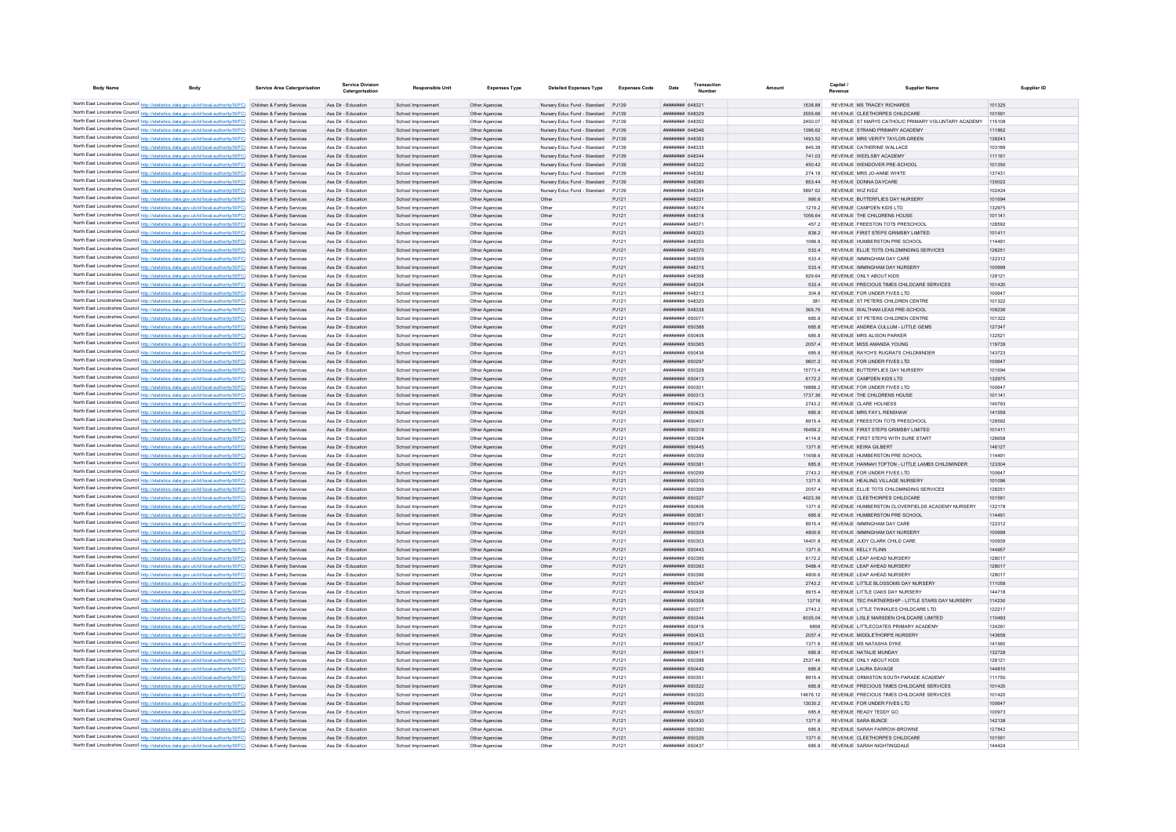| <b>Body Name</b>                             | Body                                                                                                                                                                                                                                   | <b>Service Area Catergorisation</b> | Service Division<br>Catergorisation        | <b>Responsible Unit</b>                  | <b>Expenses Type</b>             | <b>Detailed Expenses Type</b>                                            | <b>Expenses Code</b> | Date                                      | Amount   |                       | Capital<br><b>Supplier Name</b>                                           | Supplier ID      |
|----------------------------------------------|----------------------------------------------------------------------------------------------------------------------------------------------------------------------------------------------------------------------------------------|-------------------------------------|--------------------------------------------|------------------------------------------|----------------------------------|--------------------------------------------------------------------------|----------------------|-------------------------------------------|----------|-----------------------|---------------------------------------------------------------------------|------------------|
|                                              |                                                                                                                                                                                                                                        |                                     |                                            |                                          |                                  |                                                                          |                      |                                           |          |                       |                                                                           |                  |
|                                              | North East Lincolnshire Council http://statistics.data.gov.uk/id/local-authority/00FC) Children & Family Services<br>North East Lincolnshire Council http://statistics.data.gov.uk/id/local-authority/00FC) Children & Family Services |                                     | Ass Dir - Education<br>Ass Dir - Education | School Improvement<br>School Improvement | Other Agencies<br>Other Agencies | Nursery Educ Fund - Standard PJ139<br>Nursery Educ Fund - Standard PJ139 |                      | ######## 648321<br><b>ППИНИНИ 648329</b>  |          | 1538 88<br>3555.66    | REVENUE MS TRACEY RICHARDS<br>REVENUE CLEETHORPES CHILDCARE               | 101325<br>101591 |
|                                              | North East Lincolnshire Council http://statistics.data.gov.uk/id/local-authority/00FC) Children & Family Services                                                                                                                      |                                     | Ass Dir - Education                        | School Improvement                       | Other Agencie                    | Nursery Educ Fund - Standard PJ139                                       |                      | <b>пппппппп</b> 648352                    |          | 2450.07               | REVENUE ST MARYS CATHOLIC PRIMARY VOLUNTARY ACADEMY                       | 115108           |
|                                              | North East Lincolnshire Council http://statistics.data.gov.uk/id/local-authority/00FC) Children & Family Services                                                                                                                      |                                     | Ass Dir - Education                        | School Improvement                       | Other Anencies                   | Nursery Educ Fund - Standard P.J139                                      |                      | пппппппп 648346                           |          | 1396.62               | REVENUE STRAND PRIMARY ACADEMY                                            | 111862           |
|                                              | North East Lincolnshire Council http://statistics.data.gov.uk/id/local-authority/00FC) Children & Family Services                                                                                                                      |                                     | Ass Dir - Education                        | School Improvement                       | Other Agencies                   | Nursery Educ Fund - Standard PJ139                                       |                      | ######## 648383                           |          | 1493.52               | REVENUE MRS VERITY TAYLOR-GREEN                                           | 138243           |
|                                              | North East Lincolnshire Council http://statistics.data.gov.uk/id/local-authority/00FC) Children & Family Services                                                                                                                      |                                     | Ass Dir - Education                        | School Improvement                       | Other Agencies                   | Nursery Educ Fund - Standard PJ139                                       |                      | ######## 648335                           |          | 845.38                | REVENUE CATHERINE WALLACE                                                 | 103189           |
|                                              | North East Lincolnshire Council http://statistics.data.gov.uk/id/local-authority/00FC) Children & Family Services                                                                                                                      |                                     | Ass Dir - Education                        | School Improvement                       | Other Agencies                   | Nursery Educ Fund - Standard PJ139                                       |                      | ######## 648344                           |          | 741.03                | REVENUE WEELSBY ACADEMY                                                   | 111161           |
|                                              | North East Lincolnshire Council http://statistics.data.gov.uk/id/local-authority/00FC) Children & Family Services                                                                                                                      |                                     | Ass Dir - Education                        | School Improvement                       | Other Agencies                   | Nursery Educ Fund - Standard PJ139                                       |                      | ######## 648322                           |          | 450.42                | REVENUE WENDOVER PRE-SCHOOL                                               | 101350           |
|                                              | North East Lincolnshire Council http://statistics.data.gov.uk/id/local-authority/00FC) Children & Family Services                                                                                                                      |                                     | Ass Dir - Education                        | School Improvement                       | Other Agencie                    | Nursery Educ Fund - Standard                                             | PJ139                | ######## 648382                           |          | 274.18                | REVENUE MRS JO-ANNE WHITE                                                 | 137431           |
|                                              | North East Lincolnshire Council http://statistics.data.gov.uk/id/local-authority/00FC) Children & Family Services<br>North East Lincolnshire Council http://statistics.data.gov.uk/id/local-authority/00FC) Children & Family Services |                                     | Ass Dir - Education<br>Ass Dir - Education | School Improvement<br>School Improvement | Other Anencies<br>Other Agencies | Nursery Educ Fund - Standard<br>Nursery Educ Fund - Standard             | P.1139<br>P.1139     | нининны 648380<br>######## 648334         |          | 853 44<br>5897 62     | REVENUE DONNA DAYCARE<br>REVENUE WIZ KIDZ                                 | 135022<br>102424 |
|                                              | North East Lincolnshire Council http://statistics.data.gov.uk/id/local-authority/00FC) Children & Family Services                                                                                                                      |                                     | Ass Dir - Education                        | School Improvement                       | Other Agencie                    |                                                                          | PJ121                | ######## 64833                            |          | 990.6                 | REVENUE BUTTERFLIES DAY NURSERY                                           | 101694           |
|                                              | North East Lincolnshire Council http://statistics.data.gov.uk/id/local-authority/00FC)                                                                                                                                                 | Children & Family Services          | Ass Dir - Education                        | School Improvemen                        | Other Agencie                    | Other                                                                    | PJ121                | ######## 64837                            |          | 1219.2                | REVENUE CAMPDEN KIDS LTD                                                  | 132975           |
|                                              | North East Lincolnshire Council http://statistics.data.gov.uk/id/local-authority/00FC) Children & Family Services                                                                                                                      |                                     | Ass Dir - Education                        | School Improvement                       | Other Agencie                    | Other                                                                    | PJ121                | ######## 648318                           |          | 1056.64               | REVENUE THE CHILDRENS HOUSE                                               | 101141           |
|                                              | North East Lincolnshire Council http://statistics.data.gov.uk/id/local-authority/00FC) Children & Family Services                                                                                                                      |                                     | Ass Dir - Education                        | School Improvement                       | Other Agencies                   | Other                                                                    | P.1121               | пппппппп 64837                            |          | 457.2                 | REVENUE ERFESTON TOTS PRESCHOOL                                           | 128592           |
|                                              | North East Lincolnshire Council http://statistics.data.gov.uk/id/local-authority/00FC) Children & Family Services                                                                                                                      |                                     | Ass Dir - Education                        | School Improvement                       | Other Agencies                   | Other                                                                    | PJ121                | <b>пппппппп</b> 648323                    |          | 8382                  | REVENUE FIRST STEPS GRIMSRY LIMITED                                       | 101411           |
|                                              | North East Lincolnshire Council http://statistics.data.gov.uk/id/local-authority/00FC) Children & Family Services                                                                                                                      |                                     | Ass Dir - Education                        | School Improvement                       | Other Agencies                   | Other                                                                    | PJ121                | ######## 648350                           |          | 1066.8                | REVENUE HUMBERSTON PRE SCHOOL                                             | 114491           |
|                                              | North East Lincolnshire Council http://statistics.data.gov.uk/id/local-authority/00FC)                                                                                                                                                 | Children & Family Services          | Ass Dir - Education                        | School Improvement                       | Other Agencies                   | Other                                                                    | PJ121                | ######## 648370                           |          | 533.4                 | REVENUE ELLIE TOTS CHILDMINDING SERVICES                                  | 128251           |
|                                              | North East Lincolnshire Council http://statistics.data.gov.uk/id/local-authority/00FC) Children & Family Services<br>North East Lincolnshire Council http://statistics.data.gov.uk/id/local-authority/00FC) Children & Family Services |                                     | Ass Dir - Education<br>Ass Dir - Education | School Improvement<br>School Improvemen  | Other Agencie<br>Other Agencie   | Other<br>Other                                                           | PJ121<br>PJ121       | ######## 64835<br>######## 648315         |          | 533.4<br>533.4        | REVENUE IMMINGHAM DAY CARE<br>REVENUE IMMINGHAM DAY NURSERY               | 122312<br>100998 |
|                                              | North East Lincolnshire Council http://statistics.data.gov.uk/id/local-authority/00FC) Children & Family Services                                                                                                                      |                                     | Ass Dir - Education                        | School Improvement                       | Other Agencies                   | Other                                                                    | P.1121               | пппппппп 648368                           |          | 929.64                | REVENUE ONLY ABOUT KIDS                                                   | 128121           |
|                                              | North East Lincolnshire Council http://statistics.data.gov.uk/id/local-authority/00FC) Children & Family Services                                                                                                                      |                                     | Ass Dir - Education                        | School Improvement                       | Other Agencie                    | Other                                                                    | PJ121                | пппппппп 648324                           |          | 533.4                 | REVENUE PRECIOUS TIMES CHILDCARE SERVICES                                 | 101420           |
|                                              | North East Lincolnshire Council http://statistics.data.gov.uk/id/local-authority/00FC) Children & Family Services                                                                                                                      |                                     | Ass Dir - Education                        | School Improvement                       | Other Agencies                   | Other                                                                    | PJ121                | ######## 648313                           |          | 304.8                 | REVENUE FOR UNDER FIVES LTD                                               | 100647           |
|                                              | North East Lincolnshire Council http://statistics.data.gov.uk/id/local-authority/00FC) Children & Family Services                                                                                                                      |                                     | Ass Dir - Education                        | School Improvement                       | Other Agencies                   | Other                                                                    | PJ121                | ######## 648320                           |          | 381                   | REVENUE ST PETERS CHILDREN CENTRE                                         | 101322           |
| North East Lincolnshire Council http://stati | tics.data.gov.uk/id/local-authority/00FC)                                                                                                                                                                                              | Children & Family Services          | Ass Dir - Education                        | School Improvement                       | Other Agencies                   | Other                                                                    | PJ121                | ######## 648338                           |          | 365.76                | REVENUE WALTHAM LEAS PRE-SCHOOL                                           | 108236           |
|                                              | North East Lincolnshire Council http://statistics.data.gov.uk/id/local-authority/00FC) Children & Family Services                                                                                                                      |                                     | Ass Dir - Education                        | School Improvemen                        | Other Agencie                    | Other                                                                    | PJ121                | ######## 65007                            |          | 685.8                 | REVENUE ST PETERS CHILDREN CENTRI                                         | 101322           |
|                                              | North East Lincolnshire Council http://statistics.data.gov.uk/id/local-authority/00FC) Children & Family Services                                                                                                                      |                                     | Ass Dir - Education                        | School Improvement                       | Other Agencie                    | Other                                                                    | PJ121                | ######## 650388                           |          | 685.8                 | REVENUE ANDREA CULLUM - LITTLE GEMS                                       | 127347           |
|                                              | North East Lincolnshire Council http://statistics.data.gov.uk/id/local-authority/00FC) Children & Family Services<br>North East Lincolnshire Council http://statistics.data.gov.uk/id/local-authority/00FC) Children & Family Services |                                     | Ass Dir - Education<br>Ass Dir - Education | School Improvement<br>School Improvement | Other Agencie<br>Other Anencies  | Other<br>Other                                                           | PJ121<br>P.1121      | <b>BOARD BELLER</b><br>######## 650365    |          | <b>685.8</b><br>20574 | REVENUE MRS ALISON PARKER<br>REVENUE MISS AMANDA YOUNG                    | 132521<br>119739 |
|                                              | North East Lincolnshire Council http://statistics.data.gov.uk/id/local-authority/00FC) Children & Family Services                                                                                                                      |                                     | Ass Dir - Education                        | School Improvement                       | Other Agencies                   | Other                                                                    | PJ121                | <b>плинини 650436</b>                     |          | 685.8                 | REVENUE RAYCH'S RUGRATS CHILDMINDER                                       | 143723           |
|                                              | North East Lincolnshire Council http://statistics.data.gov.uk/id/local-authority/00FC) Children & Family Services                                                                                                                      |                                     | Ass Dir - Education                        | School Improvement                       | Other Agencies                   | Other                                                                    | PJ121                | ######## 650297                           |          | 96012                 | REVENUE FOR UNDER FIVES LTD                                               | 100647           |
|                                              | North East Lincolnshire Council http://statistics.data.gov.uk/id/local-authority/00FC) Children & Family Services                                                                                                                      |                                     | Ass Dir - Education                        | School Improvemen                        | Other Agencies                   | Other                                                                    | PJ121                | ######## 650328                           |          | 15773.4               | REVENUE BUTTERFLIES DAY NURSERY                                           | 101694           |
|                                              | North East Lincolnshire Council http://statistics.data.gov.uk/id/local-authority/00FC) Children & Family Services                                                                                                                      |                                     | Ass Dir - Education                        | School Improvement                       | Other Agencies                   | Other                                                                    | PJ121                | ######## 650413                           |          | 6172.2                | REVENUE CAMPDEN KIDS LTD                                                  | 132975           |
|                                              | North East Lincolnshire Council http://statistics.data.gov.uk/id/local-authority/00FC) Children & Family Services                                                                                                                      |                                     | Ass Dir - Education                        | School Improvement                       | Other Agencies                   | Other                                                                    | PJ121                | <b>планинин</b> 65030                     |          | 198882                | REVENUE FOR UNDER FIVES LTD                                               | 100647           |
|                                              | North East Lincolnshire Council http://statistics.data.gov.uk/id/local-authority/00FC) Children & Family Services                                                                                                                      |                                     | Ass Dir - Education                        | School Improvement                       | Other Anencies                   | Other                                                                    | P.1121               | ######## 650313                           |          | 1737.36               | REVENUE THE CHILDRENS HOUSE                                               | 101141           |
|                                              | North East Lincolnshire Council http://statistics.data.gov.uk/id/local-authority/00FC) Children & Family Services                                                                                                                      |                                     | Ass Dir - Education                        | School Improvemen                        | Other Agencies                   | Other                                                                    | PJ121                | <b>пппппппп</b> 650423                    |          | 2743.2                | REVENUE CLARE HOLNESS                                                     | 140793           |
|                                              | North East Lincolnshire Council http://statistics.data.gov.uk/id/local-authority/00FC) Children & Family Services                                                                                                                      |                                     | Ass Dir - Education                        | School Improvement                       | Other Anencies                   | Other                                                                    | PJ121                | <b>ППИНИНИ 650426</b>                     |          | 685.8                 | REVENUE MRS FAY L RENSHAW                                                 | 141559           |
|                                              | North East Lincolnshire Council http://statistics.data.gov.uk/id/local-authority/00FC) Children & Family Services<br>North East Lincolnshire Council http://statistics.data.gov.uk/id/local-authority/00FC) Children & Family Services |                                     | Ass Dir - Education<br>Ass Dir - Education | School Improvemen<br>School Improvement  | Other Agencie<br>Other Agencie   | Other<br>Other                                                           | PJ121<br>PJ121       | ######## 65040<br>######## 650319         |          | 8915.4<br>16459.2     | REVENUE FREESTON TOTS PRESCHOOL<br>REVENUE FIRST STEPS GRIMSBY LIMITED    | 128592<br>101411 |
|                                              | North East Lincolnshire Council http://statistics.data.gov.uk/id/local-authority/00FC) Children & Family Services                                                                                                                      |                                     | Ass Dir - Education                        | School Improvement                       | Other Agencie                    | Other                                                                    | PJ121                | пппппппп 650384                           |          | 4114.8                | REVENUE FIRST STEPS WITH SURE START                                       | 126658           |
|                                              | North East Lincolnshire Council http://statistics.data.gov.uk/id/local-authority/00FC) Children & Family Services                                                                                                                      |                                     | Ass Dir - Education                        | School Improvement                       | Other Anencies                   | Other                                                                    | PJ121                | ######## 650445                           |          | 1371.6                | REVENUE KEIRA GILBERT                                                     | 146127           |
|                                              | North East Lincolnshire Council http://statistics.data.gov.uk/id/local-authority/00FC) Children & Family Services                                                                                                                      |                                     | Ass Dir - Education                        | School Improvement                       | Other Agencies                   | Other                                                                    | PJ121                | ######## 650359                           |          | 11658.6               | REVENUE HUMBERSTON PRE SCHOOL                                             | 114491           |
|                                              | North East Lincolnshire Council http://statistics.data.gov.uk/id/local-authority/00FC) Children & Family Services                                                                                                                      |                                     | Ass Dir - Education                        | School Improvement                       | Other Agencies                   | Other                                                                    | PJ121                | ######## 65038                            |          | 685.8                 | REVENUE HANNAH TOFTON - LITTLE LAMBS CHILDMINDER                          | 123304           |
|                                              | North East Lincolnshire Council http://statistics.data.gov.uk/id/local-authority/00FC) Children & Family Services                                                                                                                      |                                     | Ass Dir - Education                        | School Improvement                       | Other Agencie                    | Other                                                                    | PJ121                | ######## 65029                            |          | 2743.2                | REVENUE FOR UNDER FIVES LTD                                               | 100647           |
|                                              | North East Lincolnshire Council http://statistics.data.gov.uk/id/local-authority/00FC) Children & Family Services                                                                                                                      |                                     | Ass Dir - Education                        | School Improvemen                        | Other Agencies                   | Other                                                                    | PJ121                | ######## 650310                           |          | 1371.6                | REVENUE HEALING VILLAGE NURSERY                                           | 101096           |
|                                              | North East Lincolnshire Council http://statistics.data.gov.uk/id/local-authority/00FC) Children & Family Services<br>North East Lincolnshire Council http://statistics.data.gov.uk/id/local-authority/00FC) Children & Family Services |                                     | Ass Dir - Education<br>Ass Dir - Education | School Improvemen<br>School Improvement  | Other Agencie<br>Other Agencies  | Other<br>Other                                                           | PJ121<br>PJ121       | ######## 650399<br>######## 650327        |          | 2057.4<br>4023.36     | REVENUE ELLIE TOTS CHILDMINDING SERVICES<br>REVENUE CLEETHORPES CHILDCARE | 128251<br>101591 |
|                                              | North East Lincolnshire Council http://statistics.data.gov.uk/id/local-authority/00FC)                                                                                                                                                 | Children & Family Services          | Ass Dir - Education                        | School Improvement                       | Other Agencies                   | Other                                                                    | PJ121                | ######## 650406                           |          | 1371.6                | REVENUE HUMBERSTON CLOVERFIELDS ACADEMY NURSERY                           | 132178           |
|                                              | North East Lincolnshire Council http://statistics.data.gov.uk/id/local-authority/00FC)                                                                                                                                                 | Children & Family Services          | Ass Dir - Education                        | School Improvement                       | Other Agencie                    | Other                                                                    | PJ121                | ######## 65036                            |          | 685.8                 | REVENUE HUMBERSTON PRE SCHOOL                                             | 114491           |
|                                              | North East Lincolnshire Council http://statistics.data.gov.uk/id/local-authority/00FC)                                                                                                                                                 | Children & Family Services          | Ass Dir - Educatio                         | School Improvemen                        | Other Agencie                    | Other                                                                    | PJ121                | ######## 65037                            |          | 8915.4                | REVENUE IMMINGHAM DAY CARE                                                | 122312           |
|                                              | North East Lincolnshire Council http://statistics.data.gov.uk/id/local-authority/00FC) Children & Family Services                                                                                                                      |                                     | Ass Dir - Education                        | School Improvemen                        | Other Agencie                    | Other                                                                    | PJ121                | ######## 650309                           |          | 4800.6                | REVENUE IMMINGHAM DAY NURSERY                                             | 100998           |
|                                              | North East Lincolnshire Council http://statistics.data.gov.uk/id/local-authority/00FC) Children & Family Services                                                                                                                      |                                     | Ass Dir - Education                        | School Improvement                       | Other Agencies                   | Other                                                                    | PJ121                | ######## 650303                           |          | 14401.8               | REVENUE JUDY CLARK CHILD CARE                                             | 100939           |
|                                              | North East Lincolnshire Council http://statistics.data.gov.uk/id/local-authority/00FC) Children & Family Services                                                                                                                      |                                     | Ass Dir - Education                        | School Improvement                       | Other Agencie                    | Other                                                                    | PJ121                | ######## 650443                           |          | 1371.6                | REVENUE KELLY FLINN                                                       | 144957           |
|                                              | North East Lincolnshire Council http://statistics.data.gov.uk/id/local-authority/00FC) Children & Family Services                                                                                                                      |                                     | Ass Dir - Education                        | School Improvement                       | Other Agencies                   | Other<br>Other                                                           | PJ121                | ######## 650395<br>######## 650393        |          | 6172.2<br>5486.4      | REVENUE LEAP AHEAD NURSERY<br>REVENUE LEAP AHEAD NURSERY                  | 128017<br>128017 |
|                                              | North East Lincolnshire Council http://statistics.data.gov.uk/id/local-authority/00FC) Children & Family Services<br>North East Lincolnshire Council http://statistics.data.gov.uk/id/local-authority/00FC) Children & Family Services |                                     | Ass Dir - Education<br>Ass Dir - Education | School Improvement<br>School Improvement | Other Agencies<br>Other Agencies | Other                                                                    | PJ121<br>PJ121       | ######## 650396                           |          | 4800.6                | REVENUE LEAP AHEAD NURSERY                                                | 128017           |
|                                              | North East Lincolnshire Council http://statistics.data.gov.uk/id/local-authority/00FC) Children & Family Services                                                                                                                      |                                     | Ass Dir - Education                        | School Improvemen                        | Other Agencies                   | Other                                                                    | PJ121                | ######## 650347                           |          | 2743.2                | REVENUE LITTLE BLOSSOMS DAY NURSERY                                       | 111058           |
|                                              | North East Lincolnshire Council http://statistics.data.gov.uk/id/local-authority/00FC) Children & Family Services                                                                                                                      |                                     | Ass Dir - Education                        | School Improvement                       | Other Agencies                   | Other                                                                    | PJ121                | ######## 650439                           |          | 8915.4                | REVENUE LITTLE OAKS DAY NURSERY                                           | 144718           |
|                                              | North East Lincolnshire Council http://statistics.data.gov.uk/id/local-authority/00FC) Children & Family Services                                                                                                                      |                                     | Ass Dir - Education                        | School Improvement                       | Other Agencies                   | Other                                                                    | PJ121                | ######## 650358                           |          | 13716                 | REVENUE TEC PARTNERSHIP - LITTLE STARS DAY NURSERY                        | 114230           |
|                                              | North East Lincolnshire Council http://statistics.data.gov.uk/id/local-authority/00FC) Children & Family Services                                                                                                                      |                                     | Ass Dir - Education                        | School Improvement                       | Other Agencies                   | Other                                                                    | PJ121                | ######## 650377                           |          | 2743.2                | REVENUE LITTLE TWINKLES CHILDCARE LTD                                     | 122217           |
|                                              | North East Lincolnshire Council http://statistics.data.gov.uk/id/local-authority/00FC)                                                                                                                                                 | Children & Family Services          | Ass Dir - Education                        | School Improvement                       | Other Agencies                   | Other                                                                    | PJ121                | ######## 650344                           |          | 6035.04               | REVENUE LISLE MARSDEN CHILDCARE LIMITED                                   | 110493           |
|                                              | North East Lincolnshire Council http://statistics.data.gov.uk/id/local-authority/00FC)                                                                                                                                                 | Children & Family Services          | Ass Dir - Education                        | School Improvemen                        | Other Agencies                   | Other                                                                    | PJ121                | ######## 650416                           |          | 6858                  | REVENUE LITTLECOATES PRIMARY ACADEMY                                      | 134261           |
|                                              | North East Lincolnshire Council http://statistics.data.gov.uk/id/local-authority/00FC)                                                                                                                                                 | Children & Family Services          | Ass Dir - Education                        | School Improvement                       | Other Agencies                   | Other                                                                    | PJ121                | ######## 650433<br>HHHHHHH 650427         |          | 2057.4                | REVENUE MIDDLETHORPE NURSERY                                              | 143658<br>141560 |
|                                              | North East Lincolnshire Council http://statistics.data.gov.uk/id/local-authority/00FC) Children & Family Services<br>North East Lincolnshire Council http://statistics.data.gov.uk/id/local-authority/00FC) Children & Family Services |                                     | Ass Dir - Education                        | School Improvement<br>School Improvement | Other Anencie                    | Other                                                                    | P.1121               | <b>ПЛИНИНИ 65041</b>                      |          | 1371.6<br>685.8       | REVENUE MS NATASHA DYKE<br>REVENUE NATALIE MUNDAY                         | 132728           |
|                                              | North East Lincolnshire Council http://statistics.data.gov.uk/id/local-authority/00FC) Children & Family Services                                                                                                                      |                                     | Ass Dir - Education<br>Ass Dir - Education | School Improvement                       | Other Agencies<br>Other Anencies | Other<br>Other                                                           | PJ121<br>P.1121      | ######## 650398                           |          | 2537 46               | REVENUE ONLY ABOUT KIDS                                                   | 128121           |
|                                              | North East Lincolnshire Council http://statistics.data.gov.uk/id/local-authority/00FC)                                                                                                                                                 | Children & Family Services          | Ass Dir - Education                        | School Improvement                       | Other Agencies                   | Other                                                                    | PJ121                | ######## 650440                           |          | 685.8                 | REVENUE I AURA SAVAGE                                                     | 144810           |
|                                              | North East Lincolnshire Council http://statistics.data.gov.uk/id/local-authority/00FC) Children & Family Services                                                                                                                      |                                     | Ass Dir - Education                        | School Improvement                       | Other Agencies                   | Other                                                                    | PJ121                | ######## 65035                            |          | 89154                 | REVENUE ORMISTON SOUTH PARADE ACADEMY                                     | 111750           |
|                                              | North East Lincolnshire Council http://statistics.data.gov.uk/id/local-authority/00FC) Children & Family Services                                                                                                                      |                                     | Ass Dir - Education                        | School Improvement                       | Other Agencies                   | Other                                                                    | PJ121                | ######## 650322                           |          | 685.8                 | REVENUE PRECIOUS TIMES CHILDCARE SERVICES                                 | 101420           |
|                                              | North East Lincolnshire Council http://statistics.data.gov.uk/id/local-authority/00FC) Children & Family Services                                                                                                                      |                                     | Ass Dir - Education                        | School Improvement                       | Other Agencies                   | Other                                                                    | PJ121                | ######## 650320                           | 14676 12 |                       | REVENUE PRECIOUS TIMES CHILDCARE SERVICES                                 | 101420           |
|                                              | North East Lincolnshire Council http://statistics.data.gov.uk/id/local-authority/00FC) Children & Family Services                                                                                                                      |                                     | Ass Dir - Education                        | School Improvemen                        | Other Agencie                    | Other                                                                    | PJ121                | ######## 650295                           |          | 13030.2               | REVENUE FOR UNDER FIVES LTD                                               | 100647           |
|                                              | North East Lincolnshire Council http://statistics.data.gov.uk/id/local-authority/00FC) Children & Family Services                                                                                                                      |                                     | Ass Dir - Education                        | School Improvement                       | Other Anencies                   | Other                                                                    | P.1121               | ######## 650307                           |          | 685.8                 | REVENUE READY TEDDY GO                                                    | 100973           |
|                                              | North East Lincolnshire Council http://statistics.data.gov.uk/id/local-authority/00FC)<br>North East Lincolnshire Council http://statistics.data.gov.uk/id/local-authority/00FC) Children & Family Services                            | Children & Family Services          | Ass Dir - Education                        | School Improvement                       | Other Agencies                   | Other                                                                    | PJ121<br>PJ121       | ######## 650430<br><b>########</b> 650390 |          | 1371.6<br>685.8       | REVENUE SARA BUNCE<br>REVENUE SARAH FARROW-BROWNE                         | 142138<br>127842 |
|                                              | North East Lincolnshire Council http://statistics.data.gov.uk/id/local-authority/00FC) Children & Family Services                                                                                                                      |                                     | Ass Dir - Education<br>Ass Dir - Education | School Improvemen<br>School Improvemen   | Other Agencie<br>Other Agencies  | Other<br>Other                                                           | PJ121                | ######## 650326                           |          | 1371.6                | REVENUE CLEETHORPES CHILDCARE                                             | 101591           |
|                                              | North East Lincolnshire Council http://statistics.data.gov.uk/id/local-authority/00FC) Children & Family Services                                                                                                                      |                                     | Ass Dir - Education                        | School Improvement                       | Other Agencie                    | Other                                                                    | PJ121                | HHHHHHH 650437                            |          | 685.8                 | REVENUE SARAH NIGHTINGDALE                                                | 144424           |
|                                              |                                                                                                                                                                                                                                        |                                     |                                            |                                          |                                  |                                                                          |                      |                                           |          |                       |                                                                           |                  |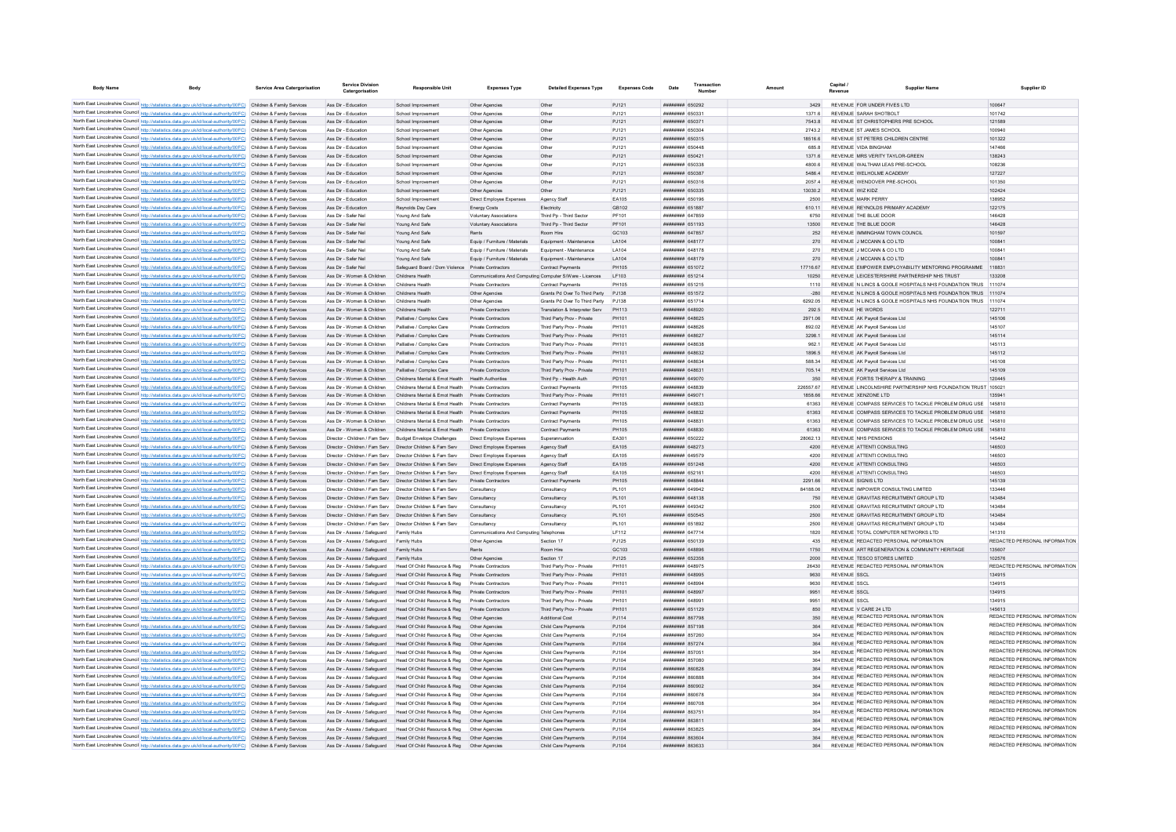| <b>Body Name</b><br><b>Body</b>                                                                                                                                                                                                        | Service Area Catergorisation | <b>Service Division</b><br>Catergorisatio                    | <b>Responsible Unit</b>                                                              | <b>Expenses Type</b>                                    | <b>Detailed Expenses Type</b>                          | <b>Expenses Code</b> | Date                                     | Transaction | Amoun |                      | Capital      | <b>Supplier Name</b>                                                                 | Supplier ID                             |
|----------------------------------------------------------------------------------------------------------------------------------------------------------------------------------------------------------------------------------------|------------------------------|--------------------------------------------------------------|--------------------------------------------------------------------------------------|---------------------------------------------------------|--------------------------------------------------------|----------------------|------------------------------------------|-------------|-------|----------------------|--------------|--------------------------------------------------------------------------------------|-----------------------------------------|
| North East Lincolnshire Council http://statistics.data.gov.uk/id/local-authority/00FC) Children & Family Services                                                                                                                      |                              | Ass Dir - Education                                          | School Improvement                                                                   | Other Agencies                                          | Other                                                  | PJ121                | <b>иннинни</b> 650292                    |             |       | 3429                 |              | REVENUE FOR UNDER FIVES LTD                                                          | 100647                                  |
| North East Lincolnshire Council http://statistics.data.gov.uk/id/local-authority/00FC) Children & Family Services                                                                                                                      |                              | Ass Dir - Education                                          | School Improvement                                                                   | Other Agencies                                          | Other                                                  | PJ121                | FF023 <b>MMMMMM</b>                      |             |       | 1371.6               |              | REVENUE SARAH SHOTBOLT                                                               | 101742                                  |
| North East Lincolnshire Council http://statistics.data.gov.uk/id/local-authority/00FC) Children & Family Services                                                                                                                      |                              | Ass Dir - Education                                          | School Improvement                                                                   | Other Agencies                                          | Other                                                  | PJ121                | ######## 650371                          |             |       | 7543.8               |              | REVENUE ST CHRISTOPHERS PRE SCHOOL                                                   | 121589                                  |
| North East Lincolnshire Council http://statistics.data.gov.uk/id/local-authority/00FC) Children & Family Services                                                                                                                      |                              | Ass Dir - Education                                          | School Improvement                                                                   | Other Agencies                                          | Other                                                  | PJ121                | <b>MARGAN HERBERH</b>                    |             |       | 2743.2               |              | REVENUE ST JAMES SCHOOL                                                              | 100940                                  |
| North East Lincolnshire Council http://statistics.data.gov.uk/id/local-authority/00FC) Children & Family Services                                                                                                                      |                              | Ass Dir - Education                                          | School Improvement                                                                   | Other Agencies                                          | Other                                                  | P.I121               | ######## 650315                          |             |       | 185166               |              | REVENUE ST PETERS CHILDREN CENTRE                                                    | 101322                                  |
| North East Lincolnshire Council http://statistics.data.gov.uk/id/local-authority/00FC) Children & Family Services                                                                                                                      |                              | Ass Dir - Education                                          | School Improvement                                                                   | Other Anencies                                          | Other                                                  | P.I121               | ######## 650448                          |             |       | 685.8                |              | REVENUE VIDA BINGHAM                                                                 | 147466                                  |
| North East Lincolnshire Council http://statistics.data.gov.uk/id/local-authority/00FC) Children & Family Services                                                                                                                      |                              | Ass Dir - Education                                          | School Improvement                                                                   | Other Agencies                                          | Other                                                  | PJ121                | <b>пппппппп</b> 65042                    |             |       | 1371.6               |              | REVENUE MRS VERITY TAYLOR-GREEN                                                      | 138243                                  |
| North East Lincolnshire Council http://statistics.data.gov.uk/id/local-authority/00FC) Children & Family Services                                                                                                                      |                              | Ass Dir - Education                                          | School Improvement                                                                   | Other Agencies                                          | Other                                                  | PJ121                | ######## 650338                          |             |       | 4800.6               |              | REVENUE WALTHAM LEAS PRE-SCHOOL                                                      | 108236                                  |
| North East Lincolnshire Council http://statistics.data.gov.uk/id/local-authority/00FC) Children & Family Services                                                                                                                      |                              | Ass Dir - Education                                          | School Improvement                                                                   | Other Agencies                                          | Other                                                  | PJ121                | ######## 650387                          |             |       | 5486.4               |              | REVENUE WELHOLME ACADEMY                                                             | 127227                                  |
| North East Lincolnshire Council http://statistics.data.gov.uk/id/local-authority/00FC) Children & Family Services                                                                                                                      |                              | Ass Dir - Education                                          | School Improvement                                                                   | Other Agencies                                          | Other                                                  | PJ121                | ####### 650316                           |             |       | 2057.4               |              | REVENUE WENDOVER PRE-SCHOOL                                                          | 101350                                  |
| North East Lincolnshire Council http://statistics.data.gov.uk/id/local-authority/00FC) Children & Family Services<br>North East Lincolnshire Council http://statistics.data.gov.uk/id/local-authority/00FC) Children & Family Services |                              | Ass Dir - Education<br>Ass Dir - Education                   | School Improvement<br>School Improvement                                             | Other Agencies<br>Direct Employee Expenses              | Other<br>Agency Staff                                  | P.I121<br>FA105      | ######## 650335<br>######## 650196       |             |       | 13030.2              |              | REVENUE WIZ KIDZ<br>REVENUE MARK PERRY                                               | 102424<br>138952                        |
| North East Lincolnshire Council http://statistics.data.gov.uk/id/local-authority/00FC) Children & Family Services                                                                                                                      |                              | Ass Dir - Education                                          | Reynolds Day Care                                                                    | <b>Energy Costs</b>                                     | Electricity                                            | GR102                | ######## 651883                          |             |       | 2500<br>610 11       |              | REVENUE REYNOLDS PRIMARY ACADEMY                                                     | 122175                                  |
| North East Lincolnshire Council http://statistics.data.gov.uk/id/local-authority/00FC) Children & Family Services                                                                                                                      |                              | Ass Dir - Safer Nel                                          | Young And Safe                                                                       | <b>Voluntary Associations</b>                           | Third Po - Third Secto                                 | PF101                | ####### 64785                            |             |       | 6750                 |              | REVENUE THE BLUE DOOR                                                                | 146428                                  |
| North East Lincolnshire Council http://statistics.data.gov.uk/id/local-authority/00FC) Children & Family Services                                                                                                                      |                              | Ass Dir - Safer Nel                                          | Young And Safe                                                                       | Voluntary Associations                                  | Third Pp - Third Sector                                | PF101                | ######## 651193                          |             |       | 13500                |              | REVENUE THE BLUE DOOR                                                                | 146428                                  |
| North East Lincolnshire Council http://statistics.data.gov.uk/id/local-authority/00FC) Children & Family Services                                                                                                                      |                              | Ass Dir - Safer Nel                                          | Young And Safe                                                                       | Rents                                                   | Room Hire                                              | GC103                | <b>пппппппп</b> 647857                   |             |       | 252                  |              | REVENUE IMMINGHAM TOWN COUNCIL                                                       | 101597                                  |
| North East Lincolnshire Council http://statistics.data.gov.uk/id/local-authority/00FC) Children & Family Services                                                                                                                      |                              | Ass Dir - Safer Nel                                          | Young And Safe                                                                       | Equip / Furniture / Materials                           | Foujoment - Maintenance                                | <b>LA104</b>         | <b>HUHHHHH 648177</b>                    |             |       | 270                  |              | REVENUE J MCCANN & CO LTD.                                                           | 100841                                  |
| North East Lincolnshire Council http://statistics.data.gov.uk/id/local-authority/00FC) Children & Family Services                                                                                                                      |                              | Ass Dir - Safer Nel                                          | Young And Safe                                                                       | Equip / Furniture / Materials                           | Equipment - Maintenance                                | <b>1 A104</b>        | ######## 648178                          |             |       | 270                  |              | REVENUE J MCCANN & CO LTD                                                            | 100841                                  |
| North East Lincolnshire Council http://statistics.data.gov.uk/id/local-authority/00FC) Children & Family Services                                                                                                                      |                              | Ass Dir - Safer Nel                                          | Young And Safe                                                                       | Equip / Furniture / Materials                           | Equipment - Maintenance                                | LA104                | ######## 648179                          |             |       | 270                  |              | REVENUE J MCCANN & CO LTD                                                            | 100841                                  |
| North East Lincolnshire Council http://statistics.data.gov.uk/id/local-authority/00FC) Children & Family Services                                                                                                                      |                              | Ass Dir - Safer Nel                                          | Safeguard Board / Dom Violence Private Contractors                                   |                                                         | <b>Contract Payments</b>                               | <b>PH105</b>         | ######## 651072                          |             |       | 17716.67             |              | REVENUE EMPOWER EMPLOYABILITY MENTORING PROGRAMME                                    | 11883                                   |
| North East Lincolnshire Council http://statistics.data.gov.uk/id/local-authority/00FC) Children & Family Services                                                                                                                      |                              | Ass Dir - Women & Children                                   | Childrens Health                                                                     | Communications And Computing Computer S/Ware - Licences |                                                        | LF103                | ######## 651214                          |             |       | 10250                |              | REVENUE LEICESTERSHIRE PARTNERSHIP NHS TRUST                                         | 133208                                  |
| North East Lincolnshire Council http://statistics.data.gov.uk/id/local-authority/00FC) Children & Family Services                                                                                                                      |                              | Ass Dir - Women & Children                                   | Childrens Health                                                                     | Private Contractors                                     | Contract Payments                                      | PH105                | ######## 651215                          |             |       | 1110                 |              | REVENUE N LINCS & GOOLE HOSPITALS NHS FOUNDATION TRUS 111074                         |                                         |
| North East Lincolnshire Council http://statistics.data.gov.uk/id/local-authority/00FC) Children & Family Services                                                                                                                      |                              | Ass Dir - Women & Children                                   | Childrens Health                                                                     | Other Agencies                                          | Grants Pd Over To Third Party                          | PJ138                | ######## 651572                          |             |       | $-280$               |              | REVENUE N LINCS & GOOLE HOSPITALS NHS FOUNDATION TRUS 111074                         |                                         |
| North East Lincolnshire Council http://statistics.data.gov.uk/id/local-authority/00FC) Children & Family Services                                                                                                                      |                              | Ass Dir - Women & Children                                   | Childrens Health                                                                     | Other Agencies                                          | Grants Pd Over To Third Party                          | P.1138               | ######## 651714                          |             |       | 6292.05              |              | REVENUE N LINCS & GOOLE HOSPITALS NHS FOUNDATION TRUS 111074                         |                                         |
| North East Lincolnshire Council http://statistics.data.gov.uk/id/local-authority/00FC) Children & Family Services                                                                                                                      |                              | Ass Dir - Women & Children                                   | Childrens Health                                                                     | <b>Private Contractors</b>                              | Translation & Interpreter Serv                         | PH113                | ######## 648920                          |             |       | 292.5                |              | REVENUE HE WORDS                                                                     | 122711                                  |
| North East Lincolnshire Council http://statistics.data.gov.uk/id/local-authority/00FC) Children & Family Services                                                                                                                      |                              | Ass Dir - Women & Children                                   | Palliative / Complex Care                                                            | Private Contractors                                     | Third Party Prov - Private                             | PH101                | ######## 648625                          |             |       | 2971.06              |              | REVENUE AK Payroll Services Ltd                                                      | 145106                                  |
| North East Lincolnshire Council http://statistics.data.gov.uk/id/local-authority/00FC) Children & Family Services                                                                                                                      |                              | Ass Dir - Women & Children                                   | Palliative / Complex Care                                                            | Private Contractors                                     | Third Party Prov - Private                             | PH101                | ниннини 648626                           |             |       | 892.02               |              | REVENUE AK Payroll Services Ltd                                                      | 145107                                  |
| North East Lincolnshire Council http://statistics.data.gov.uk/id/local-authority/00FC) Children & Family Services                                                                                                                      |                              | Ass Dir - Women & Children                                   | Palliative / Complex Care                                                            | Private Contractors                                     | Third Party Prov - Private                             | PH101                | <b>НЕННИНИИ</b> 648627                   |             |       | 3298.1               |              | REVENUE AK Payroll Services Ltd                                                      | 145114                                  |
| North East Lincolnshire Council http://statistics.data.gov.uk/id/local-authority/00FC) Children & Family Services                                                                                                                      |                              | Ass Dir - Women & Children                                   | Palliative / Complex Care                                                            | Private Contractors                                     | Third Party Prov - Private                             | PH101                | <b>ппинини</b> 648638                    |             |       | 9621                 |              | REVENUE AK Payroll Services Ltd.                                                     | 145113                                  |
| North East Lincolnshire Council http://statistics.data.gov.uk/id/local-authority/00FC) Children & Family Services                                                                                                                      |                              | Ass Dir - Women & Children                                   | Palliative / Complex Care                                                            | Private Contractors                                     | Third Party Prov - Private                             | PH101                | ######## 648632                          |             |       | 1896.5               |              | REVENUE AK Pavroll Services Ltd                                                      | 145112                                  |
| North East Lincolnshire Council http://statistics.data.gov.uk/id/local-authority/00FC) Children & Family Services                                                                                                                      |                              | Ass Dir - Women & Children                                   | Palliative / Complex Care                                                            | Private Contractors                                     | Third Party Prov - Private                             | PH101                | ######## 648634                          |             |       | 588.34               |              | REVENUE AK Pavroll Services Ltd                                                      | 145108                                  |
| North East Lincolnshire Council http://statistics.data.gov.uk/id/local-authority/00FC) Children & Family Services                                                                                                                      |                              | Ass Dir - Women & Children                                   | Palliative / Complex Care                                                            | Private Contractors                                     | Third Party Prov - Private                             | PH101                | ######## 64863                           |             |       | 705.14               |              | REVENUE AK Pavroll Services Ltd                                                      | 145109                                  |
| North East Lincolnshire Council http://statistics.data.gov.uk/id/local-authority/00FC) Children & Family Services                                                                                                                      |                              | Ass Dir - Women & Children                                   | Childrens Mental & Emot Health                                                       | <b>Health Authorities</b>                               | Third Pp - Health Auth                                 | PD101                | ######## 649070                          |             |       | 350                  |              | REVENUE FORTIS THERAPY & TRAINING                                                    | 120445                                  |
| North East Lincolnshire Council http://statistics.data.gov.uk/id/local-authority/00FC) Children & Family Services<br>North East Lincolnshire Council http://statistics.data.gov.uk/id/local-authority/00FC) Children & Family Services |                              | Ass Dir - Women & Children<br>Ass Dir - Women & Children     | Childrens Mental & Emot Health<br>Childrens Mental & Emot Health Private Contractors | Private Contractors                                     | Contract Payments                                      | PH105<br>PH101       | ######## 648839<br>######## 64907        |             |       | 226557.67<br>1858.66 |              | REVENUE LINCOLNSHIRE PARTNERSHIP NHS FOUNDATION TRUST 105021<br>REVENUE XENZONE I TD | 135941                                  |
| North East Lincolnshire Council http://statistics.data.gov.uk/id/local-authority/00FC) Children & Family Services                                                                                                                      |                              | Ass Dir - Women & Children                                   | Childrens Mental & Emot Health                                                       | Private Contractors                                     | Third Party Prov - Private<br><b>Contract Payments</b> | PH105                | ######## 648833                          |             |       | 61363                |              | REVENUE COMPASS SERVICES TO TACKLE PROBLEM DRUG USE                                  | 145810                                  |
| North East Lincolnshire Council http://statistics.data.gov.uk/id/local-authority/00FC) Children & Family Services                                                                                                                      |                              | Ass Dir - Women & Children                                   | Childrens Mental & Emot Health Private Contractors                                   |                                                         | <b>Contract Payments</b>                               | <b>PH105</b>         | ######## 648832                          |             |       | 61363                |              | REVENUE COMPASS SERVICES TO TACKLE PROBLEM DRUG USE                                  | 145810                                  |
| North East Lincolnshire Council http://statistics.data.gov.uk/id/local-authority/00FC) Children & Family Services                                                                                                                      |                              | Ass Dir - Women & Children                                   | Childrens Mental & Emot Health                                                       | Private Contractors                                     | Contract Payments                                      | PH105                | ####### 64883                            |             |       | 61363                |              | REVENUE COMPASS SERVICES TO TACKLE PROBLEM DRUG USE                                  | 145810                                  |
| North East Lincolnshire Council http://statistics.data.gov.uk/id/local-authority/00FC)                                                                                                                                                 | Children & Family Services   | Ass Dir - Women & Children                                   | Childrens Mental & Emot Health                                                       | Private Contractors                                     | Contract Payments                                      | PH105                | ######## 648830                          |             |       | 61363                |              | REVENUE COMPASS SERVICES TO TACKLE PROBLEM DRUG USE                                  | 145810                                  |
| North East Lincolnshire Council http://statistics.data.gov.uk/id/local-authority/00FC) Children & Family Services                                                                                                                      |                              | Director - Children / Fam Serv                               | <b>Budget Envelope Challenges</b>                                                    | Direct Employee Expenses                                | Superannuation                                         | EA301                | ######## 650222                          |             |       | 28062.13             |              | REVENUE NHS PENSIONS                                                                 | 145442                                  |
| North East Lincolnshire Council http://statistics.data.gov.uk/id/local-authority/00FC) Children & Family Services                                                                                                                      |                              | Director - Children / Fam Serv                               | Director Children & Fam Serv                                                         | Direct Employee Expenses                                | Agency Staff                                           | EA105                | <b>HHHHHHHH</b> 648273                   |             |       | 4200                 |              | REVENUE ATTENTI CONSULTING                                                           | 146503                                  |
| North East Lincolnshire Council http://statistics.data.gov.uk/id/local-authority/00FC) Children & Family Services                                                                                                                      |                              | Director - Children / Fam Serv  Director Children & Fam Serv |                                                                                      | Direct Employee Expenses                                | Agency Staff                                           | EA105                | ######## 649579                          |             |       | 4200                 |              | REVENUE ATTENTI CONSULTING                                                           | 146503                                  |
| North East Lincolnshire Council http://statistics.data.gov.uk/id/local-authority/00FC) Children & Family Services                                                                                                                      |                              | Director - Children / Fam Serv  Director Children & Fam Serv |                                                                                      | Direct Employee Expenses                                | Agency Staff                                           | EA105                | ######## 651248                          |             |       | 4200                 |              | REVENUE ATTENTI CONSULTING                                                           | 146503                                  |
| North East Lincolnshire Council http://statistics.data.gov.uk/id/local-authority/00FC) Children & Family Services                                                                                                                      |                              | Director - Children / Fam Serv  Director Children & Fam Serv |                                                                                      | Direct Employee Expenses                                | Agency Staff                                           | EA105                | ####### 65216                            |             |       | 4200                 |              | REVENUE ATTENTI CONSULTING                                                           | 146503                                  |
| North East Lincolnshire Council http://statistics.data.gov.uk/id/local-authority/00FC) Children & Family Services                                                                                                                      |                              | Director - Children / Fam Serv                               | Director Children & Fam Serv                                                         | Private Contractors                                     | Contract Payments                                      | PH105                | ######## 648844                          |             |       | 2291.66              |              | <b>REVENUE SIGNIS LTD</b>                                                            | 145139                                  |
| North East Lincolnshire Council http://statistics.data.gov.uk/id/local-authority/00FC) Children & Family Services                                                                                                                      |                              | Director - Children / Fam Serv                               | Director Children & Fam Serv                                                         | Consultancy                                             | Consultancy                                            | PL101                | ######## 649942                          |             |       | 84188.06             |              | REVENUE IMPOWER CONSULTING LIMITED                                                   | 133446                                  |
| North East Lincolnshire Council http://statistics.data.gov.uk/id/local-authority/00FC) Children & Family Services                                                                                                                      |                              | Director - Children / Fam Serv  Director Children & Fam Serv |                                                                                      | Consultancy                                             | Consultancy                                            | PL101                | ######## 648138                          |             |       | 750                  |              | REVENUE GRAVITAS RECRUITMENT GROUP LTD                                               | 143484                                  |
| North East Lincolnshire Council http://statistics.data.gov.uk/id/local-authority/00FC) Children & Family Services                                                                                                                      |                              | Director - Children / Fam Serv  Director Children & Fam Serv |                                                                                      | Consultancy                                             | Consultancy                                            | PL101                | ######## 649342                          |             |       | 2500                 |              | REVENUE GRAVITAS RECRUITMENT GROUP LTD                                               | 143484                                  |
| North East Lincolnshire Council http://statistics.data.gov.uk/id/local-authority/00FC) Children & Family Services                                                                                                                      |                              | Director - Children / Fam Serv  Director Children & Fam Serv |                                                                                      | Consultancy                                             | Consultancy                                            | PL101                | ######## 650545                          |             |       | 2500                 |              | REVENUE GRAVITAS RECRUITMENT GROUP LTD                                               | 143484                                  |
| North East Lincolnshire Council http://statistics.data.gov.uk/id/local-authority/00FC) Children & Family Services                                                                                                                      |                              | Director - Children / Fam Serv                               | Director Children & Fam Serv                                                         | Consultancy                                             | Consultancy                                            | PL101                | ####### 651892                           |             |       | 2500                 |              | REVENUE GRAVITAS RECRUITMENT GROUP LTD                                               | 143484                                  |
| North East Lincolnshire Council http://statistics.data.gov.uk/id/local-authority/00FC) Children & Family Services                                                                                                                      |                              | Ass Dir - Assess / Safeguard                                 | Family Hubs                                                                          | Communications And Computing Telephone                  |                                                        | LF112                | ######## 647714                          |             |       | 1820                 |              | REVENUE TOTAL COMPUTER NETWORKS LTD                                                  | 141310                                  |
| North East Lincolnshire Council http://statistics.data.gov.uk/id/local-authority/00FC) Children & Family Services                                                                                                                      |                              | Ass Dir - Assess / Safeguard                                 | Family Hubs                                                                          | Other Agencie                                           | Section 17                                             | PJ125                | <b>MARABAR 650139</b>                    |             |       | 435                  |              | REVENUE REDACTED PERSONAL INFORMATION                                                | REDACTED PERSONAL INFORMATION           |
| North East Lincolnshire Council http://statistics.data.gov.uk/id/local-authority/00FC) Children & Family Services                                                                                                                      |                              | Ass Dir - Assess / Safeguard                                 | Family Hube                                                                          | <b>Rente</b>                                            | <b>Room Hire</b>                                       | GC103                | <b>HHHHHHH</b> GARROR                    |             |       | 1750                 |              | REVENUE ART REGENERATION & COMMUNITY HERITAGE                                        | 135607                                  |
| North East Lincolnshire Council http://statistics.data.gov.uk/id/local-authority/00FC) Children & Family Services                                                                                                                      |                              | Ass Dir - Assess / Saferward                                 | Family Hubs                                                                          | Other Agencies                                          | Section 17                                             | P.1125               | ######## 652358                          |             |       | 2000                 |              | REVENUE TESCO STORES LIMITED                                                         | 102576                                  |
| North East Lincolnshire Council http://statistics.data.gov.uk/id/local-authority/00FC) Children & Family Services                                                                                                                      |                              | Ass Dir - Assess / Safeguard                                 | Head Of Child Resource & Reg                                                         | <b>Private Contractors</b>                              | Third Party Prov - Private                             | PH101                | <b>HUHHHHH 648975</b>                    |             |       | 26430                |              | REVENUE REDACTED PERSONAL INFORMATION                                                | REDACTED PERSONAL INFORMATION           |
| North East Lincolnshire Council http://statistics.data.gov.uk/id/local-authority/00FC) Children & Family Services                                                                                                                      |                              |                                                              | Ass Dir - Assess / Safeguard Head Of Child Resource & Reg                            | Private Contractors                                     | Third Party Prov - Private                             | PH101                | <b>HHHHHHHH</b> 648995                   |             |       | 9630                 | REVENUE SSCI |                                                                                      | 134915                                  |
| North East Lincolnshire Council http://statistics.data.gov.uk/id/local-authority/00FC) Children & Family Services                                                                                                                      |                              | Ass Dir - Assess / Safeguard                                 | Head Of Child Resource & Reg                                                         | Private Contractors                                     | Third Party Prov - Private                             | PH101                | ######## 64899                           |             |       | 9630                 | REVENUE SSCI |                                                                                      | 134915                                  |
| North East Lincolnshire Council http://statistics.data.gov.uk/id/local-authority/00FC) Children & Family Services                                                                                                                      |                              | Ass Dir - Assess / Safeguard                                 | Head Of Child Resource & Reg                                                         | Private Contractors                                     | Third Party Prov - Private                             | PH101                | пппппппп 648993                          |             |       | 9951                 | REVENUE SSCI |                                                                                      | 134915                                  |
| North East Lincolnshire Council http://statistics.data.gov.uk/id/local-authority/00FC) Children & Family Services                                                                                                                      |                              | Ass Dir - Assess / Safeguard                                 | Head Of Child Resource & Reg                                                         | Private Contractors                                     | Third Party Prov - Private                             | <b>PH101</b>         | FRAND BERNHEIME                          |             |       | 9951                 | REVENUE SSCI |                                                                                      | 134915                                  |
| North East Lincolnshire Council http://statistics.data.gov.uk/id/local-authority/00FC) Children & Family Services                                                                                                                      |                              | Ass Dir - Assess / Safeguard<br>Ass Dir - Assess / Safeguard | Head Of Child Resource & Reg<br>Head Of Child Resource & Reg                         | Private Contractors<br>Other Anencies                   | Third Party Prov - Private<br>Additional Cost          | PH101<br>P.1114      | ######## 651129<br><b>ПЕПЕЦИИ 867798</b> |             |       | 850<br>350           |              | REVENUE V CARE 24 I TD<br>REVENUE REDACTED PERSONAL INFORMATION                      | 145613<br>REDACTED PERSONAL INFORMATION |
| North East Lincolnshire Council http://statistics.data.gov.uk/id/local-authority/00FC) Children & Family Services<br>North East Lincolnshire Council http://statistics.data.gov.uk/id/local-authority/00FC) Children & Family Services |                              | Ass Dir - Assess / Safeguard                                 | Head Of Child Resource & Reg                                                         | Other Anencies                                          | Child Care Payments                                    | PJ104                | ######## 857198                          |             |       | 364                  |              | REVENUE REDACTED PERSONAL INFORMATION                                                | REDACTED PERSONAL INFORMATION           |
| North East Lincolnshire Council http://statistics.data.gov.uk/id/local-authority/00FC) Children & Family Services                                                                                                                      |                              | Ass Dir - Assess / Safeguard                                 | Head Of Child Resource & Reg                                                         |                                                         | Child Care Payments                                    | PJ104                | <b>####### 857261</b>                    |             |       |                      |              | REVENUE REDACTED PERSONAL INFORMATION                                                | REDACTED PERSONAL INFORMATION           |
| North East Lincolnshire Council http://statistics.data.gov.uk/id/local-authority/00FC) Children & Family Services                                                                                                                      |                              | Ass Dir - Assess / Safeguard                                 | Head Of Child Resource & Reg                                                         | Other Agencies                                          | Child Care Payments                                    | PJ104                | <b>пппппппп</b> 857274                   |             |       | 364                  |              | REVENUE REDACTED PERSONAL INFORMATION                                                | REDACTED PERSONAL INFORMATION           |
| North East Lincolnshire Council http://statistics.data.gov.uk/id/local-authority/00FC) Children & Family Services                                                                                                                      |                              | Ass Dir - Assess / Safeguard                                 | Head Of Child Resource & Reg                                                         | Other Anencie                                           | Child Care Payments                                    | PJ104                | ######## 85705                           |             |       | 364                  |              | REVENUE REDACTED PERSONAL INFORMATION                                                | REDACTED PERSONAL INFORMATION           |
| North East Lincolnshire Council http://statistics.data.gov.uk/id/local-authority/00FC) Children & Family Services                                                                                                                      |                              | Ass Dir - Assess / Safeguard                                 | Head Of Child Resource & Reg.                                                        | Other Anencies                                          | Child Care Payments                                    | P.1104               | ######## 857080                          |             |       | 364                  |              | REVENUE REDACTED PERSONAL INFORMATION                                                | REDACTED PERSONAL INFORMATION           |
| North East Lincolnshire Council http://statistics.data.gov.uk/id/local-authority/00FC) Children & Family Services                                                                                                                      |                              | Ass Dir - Assess / Safeguard                                 | Head Of Child Resource & Reg                                                         | Other Anencies                                          | Child Care Payments                                    | PJ104                | ######## 860828                          |             |       | 364                  |              | REVENUE REDACTED PERSONAL INFORMATION                                                | REDACTED PERSONAL INFORMATION           |
| North East Lincolnshire Council http://statistics.data.gov.uk/id/local-authority/00FC) Children & Family Services                                                                                                                      |                              | Ass Dir - Assess / Safeguard                                 | Head Of Child Resource & Reg                                                         | Other Anencies                                          | Child Care Payments                                    | PJ104                | <b>HUHHHHH SGORRS</b>                    |             |       | 364                  |              | REVENUE REDACTED PERSONAL INFORMATION                                                | REDACTED PERSONAL INFORMATION           |
| North East Lincolnshire Council http://statistics.data.gov.uk/id/local-authority/00FC) Children & Family Services                                                                                                                      |                              | Ass Dir - Assess / Safeguard                                 | Head Of Child Resource & Reg                                                         | Other Agencies                                          | Child Care Payments                                    | PJ104                | ######## 860902                          |             |       | 364                  |              | REVENUE REDACTED PERSONAL INFORMATION                                                | REDACTED PERSONAL INFORMATION           |
| North East Lincolnshire Council http://statistics.data.gov.uk/id/local-authority/00FC) Children & Family Services                                                                                                                      |                              | Ass Dir - Assess / Safeguard                                 | Head Of Child Resource & Reg                                                         | Other Agencies                                          | Child Care Payments                                    | PJ104                | <b>HHHHHHH 860678</b>                    |             |       | 364                  |              | REVENUE REDACTED PERSONAL INFORMATION                                                | REDACTED PERSONAL INFORMATION           |
| North East Lincolnshire Council http://statistics.data.gov.uk/id/local-authority/00FC) Children & Family Services                                                                                                                      |                              | Ass Dir - Assess / Safeguard                                 | Head Of Child Resource & Reg                                                         | Other Agencies                                          | Child Care Payments                                    | PJ104                | ######## 860708                          |             |       | 364                  |              | REVENUE REDACTED PERSONAL INFORMATION                                                | REDACTED PERSONAL INFORMATION           |
| North East Lincolnshire Council http://statistics.data.gov.uk/id/local-authority/00FC) Children & Family Services                                                                                                                      |                              | Ass Dir - Assess / Safeguard                                 | Head Of Child Resource & Reg.                                                        | Other Anencies                                          | Child Care Payments                                    | P.1104               | <b>HRHHHHH 86375</b>                     |             |       | 364                  |              | REVENUE REDACTED PERSONAL INFORMATION                                                | REDACTED PERSONAL INFORMATION           |
| North East Lincolnshire Council http://statistics.data.gov.uk/id/local-authority/00FC) Children & Family Services                                                                                                                      |                              | Ass Dir - Assess / Safeguard                                 | Head Of Child Resource & Reg                                                         | Other Agencies                                          | Child Care Payments                                    | PJ104                | ######## 86381                           |             |       | 364                  |              | REVENUE REDACTED PERSONAL INFORMATION                                                | REDACTED PERSONAL INFORMATION           |
| North East Lincolnshire Council http://statistics.data.gov.uk/id/local-authority/00FC) Children & Family Services                                                                                                                      |                              | Ass Dir - Assess / Safeguard                                 | Head Of Child Resource & Reg                                                         | Other Anencie                                           | Child Care Payments                                    | P.1104               | <b>пппппппп</b> 863825                   |             |       | 364                  |              | REVENUE REDACTED PERSONAL INFORMATION                                                | REDACTED PERSONAL INFORMATION           |
| North East Lincolnshire Council http://statistics.data.gov.uk/id/local-authority/00FC) Children & Family Services                                                                                                                      |                              | Ass Dir - Assess / Safeguard                                 | Head Of Child Resource & Reg                                                         | Other Agencies                                          | Child Care Payments                                    | PJ104                | ######## 863604                          |             |       |                      |              | REVENUE REDACTED PERSONAL INFORMATION                                                | REDACTED PERSONAL INFORMATION           |
| North East Lincolnshire Council http://statistics.data.gov.uk/id/local-authority/00FC) Children & Family Services                                                                                                                      |                              | Ass Dir - Assess / Safeguard                                 | Head Of Child Resource & Reg                                                         | Other Agencie                                           | Child Care Payments                                    | P.1104               | <b>пппппппп</b> 863633                   |             |       | 364                  |              | REVENUE REDACTED PERSONAL INFORMATION                                                | REDACTED PERSONAL INFORMATION           |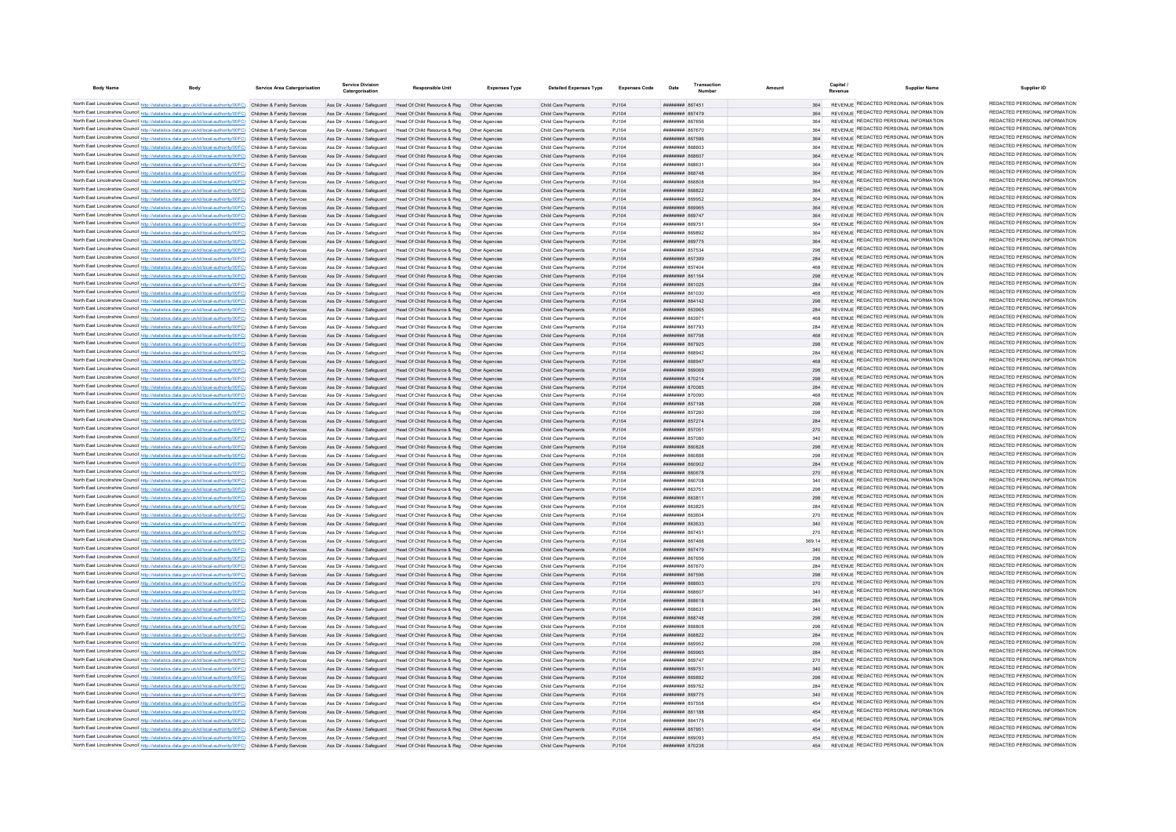| <b>Body Name</b> | <b>Body</b>                                                                                                                                                                                                                            | Service Area Catergorisation | <b>Service Division</b>                                      | Responsible Unit                                                                                          | <b>Expenses Type</b>           | <b>Detailed Expenses Type</b>              | Expenses Code   | Date                                            | Transaction | Amount |            | Capital | Supplier Name                                                                  | Supplier ID                                                    |
|------------------|----------------------------------------------------------------------------------------------------------------------------------------------------------------------------------------------------------------------------------------|------------------------------|--------------------------------------------------------------|-----------------------------------------------------------------------------------------------------------|--------------------------------|--------------------------------------------|-----------------|-------------------------------------------------|-------------|--------|------------|---------|--------------------------------------------------------------------------------|----------------------------------------------------------------|
|                  | North East Lincolnshire Council http://statistics.data.gov.uk/id/local-authority/00FC) Children & Family Services                                                                                                                      |                              |                                                              | Ass Dir - Assess / Safeguard Head Of Child Resource & Reg. Other Agencies                                 |                                | Child Care Payments                        | P.1104          | ######## 867451                                 |             |        | 364        |         | REVENUE REDACTED PERSONAL INFORMATION                                          | REDACTED PERSONAL INFORMATION                                  |
|                  | North East Lincolnshire Council http://statistics.data.gov.uk/id/local-authority/00FC) Children & Family Services                                                                                                                      |                              | Ass Dir - Assess / Safeguard                                 | Head Of Child Resource & Reg                                                                              |                                | Child Care Payments                        | PJ104           | <b>ПЕВЕЦИЕ 867479</b>                           |             |        |            |         | REVENUE REDACTED PERSONAL INFORMATION                                          | REDACTED PERSONAL INFORMATION                                  |
|                  | North East Lincolnshire Council http://statistics.data.gov.uk/id/local-authority/00FC) Children & Family Services                                                                                                                      |                              | Ass Dir - Assess / Safeguard                                 | Head Of Child Resource & Reg                                                                              | Other Agencies                 | Child Care Payments                        | PJ104           | ####### 867656                                  |             |        |            |         | REVENUE REDACTED PERSONAL INFORMATION                                          | REDACTED PERSONAL INFORMATION                                  |
|                  | North East Lincolnshire Council http://statistics.data.gov.uk/id/local-authority/00FC) Children & Family Services                                                                                                                      |                              |                                                              | Ass Dir - Assess / Safeguard Head Of Child Resource & Reg Other Agencies                                  |                                | Child Care Payments                        | P.1104          | <b><i>BREAMANH</i></b> 867670                   |             |        | 364        |         | REVENUE REDACTED PERSONAL INFORMATION                                          | REDACTED PERSONAL INFORMATION                                  |
|                  | North East Lincolnshire Council http://statistics.data.gov.uk/id/local-authority/00FC) Children & Family Services                                                                                                                      |                              |                                                              | Ass Dir - Assess / Safeguard Head Of Child Resource & Reg. Other Agencies                                 |                                | Child Care Payments                        | P.1104          | <b>######## 867596</b>                          |             |        | 364        |         | REVENUE REDACTED PERSONAL INFORMATION                                          | REDACTED PERSONAL INFORMATION                                  |
|                  | North East Lincolnshire Council http://statistics.data.gov.uk/id/local-authority/00FC) Children & Family Services                                                                                                                      |                              |                                                              | Ass Dir - Assess / Safeguard Head Of Child Resource & Reg. Other Agencies                                 |                                | Child Care Payments                        | P.1104          | EORRAR MENNING                                  |             |        | 364        |         | REVENUE REDACTED PERSONAL INFORMATION                                          | REDACTED PERSONAL INFORMATION                                  |
|                  | North East Lincolnshire Council http://statistics.data.gov.uk/id/local-authority/00FC) Children & Family Services                                                                                                                      |                              |                                                              | Ass Dir - Assess / Safeguard Head Of Child Resource & Reg Other Agencies                                  |                                | Child Care Payments                        | PJ104           | <b>плиннин</b> 868607                           |             |        | 364        |         | REVENUE REDACTED PERSONAL INFORMATION                                          | REDACTED PERSONAL INFORMATION                                  |
|                  | North East Lincolnshire Council http://statistics.data.gov.uk/id/local-authority/00FC) Children & Family Services                                                                                                                      |                              | Ass Dir - Assess / Safeguard                                 | Head Of Child Resource & Reg   Other Agencies                                                             |                                | Child Care Payments                        | PJ104           | ######## 868631                                 |             |        |            |         | REVENUE REDACTED PERSONAL INFORMATION                                          | REDACTED PERSONAL INFORMATION                                  |
|                  | North East Lincolnshire Council http://statistics.data.gov.uk/id/local-authority/00FC) Children & Family Services                                                                                                                      |                              |                                                              | Ass Dir - Assess / Safeguard Head Of Child Resource & Reg Other Agencies                                  |                                | Child Care Payments                        | PJ104           | ######## 868748                                 |             |        | 364        |         | REVENUE REDACTED PERSONAL INFORMATION                                          | REDACTED PERSONAL INFORMATION                                  |
|                  | North East Lincolnshire Council http://statistics.data.gov.uk/id/local-authority/00FC) Children & Family Services                                                                                                                      |                              | Ass Dir - Assess / Safeguard                                 | Head Of Child Resource & Reg   Other Agencies                                                             |                                | Child Care Payments                        | PJ104           | BORRAR MEMBERS                                  |             |        | 364        |         | REVENUE REDACTED PERSONAL INFORMATION                                          | REDACTED PERSONAL INFORMATION<br>REDACTED PERSONAL INFORMATION |
|                  | North East Lincolnshire Council http://statistics.data.gov.uk/id/local-authority/00FC) Children & Family Services                                                                                                                      |                              |                                                              | Ass Dir - Assess / Safeguard Head Of Child Resource & Reg Other Agencies                                  |                                | Child Care Payments                        | P.1104          | пппннннн 868822                                 |             |        | 364        |         | REVENUE REDACTED PERSONAL INFORMATION<br>REVENUE REDACTED PERSONAL INFORMATION | REDACTED PERSONAL INFORMATION                                  |
|                  | North East Lincolnshire Council http://statistics.data.gov.uk/id/local-authority/00FC) Children & Family Services                                                                                                                      |                              | Ass Dir - Assess / Safeguard                                 | Head Of Child Resource & Reg                                                                              | Other Anencies                 | Child Care Payments                        | P.1104          | ######## 869952                                 |             |        | 364        |         | REVENUE REDACTED PERSONAL INFORMATION                                          | REDACTED PERSONAL INFORMATION                                  |
|                  | North East Lincolnshire Council http://statistics.data.gov.uk/id/local-authority/00FC) Children & Family Services                                                                                                                      |                              | Ass Dir - Assess / Safeguard                                 | Head Of Child Resource & Reg                                                                              | Other Agencies                 | Child Care Payments                        | PJ104           | ######## 869965                                 |             |        | 364        |         | REVENUE REDACTED PERSONAL INFORMATION                                          | REDACTED PERSONAL INFORMATION                                  |
|                  | North East Lincolnshire Council http://statistics.data.gov.uk/id/local-authority/00FC) Children & Family Services<br>North East Lincolnshire Council http://statistics.data.gov.uk/id/local-authority/00FC) Children & Family Services |                              | Ass Dir - Assess / Safeguard<br>Ass Dir - Assess / Safeguard | Head Of Child Resource & Reg<br>Head Of Child Resource & Reg                                              | Other Agencies                 | Child Care Payments<br>Child Care Payments | PJ104<br>PJ104  | ######## 869747<br>######## 869751              |             |        | 364        |         | REVENUE REDACTED PERSONAL INFORMATION                                          | REDACTED PERSONAL INFORMATION                                  |
|                  | North East Lincolnshire Council http://statistics.data.gov.uk/id/local-authority/00FC) Children & Family Services                                                                                                                      |                              | Ass Dir - Assess / Safeguard                                 | Head Of Child Resource & Reg                                                                              | Other Agencie                  | Child Care Payments                        | PJ104           | <b>плиннин</b> 869892                           |             |        | 364        |         | REVENUE REDACTED PERSONAL INFORMATION                                          | REDACTED PERSONAL INFORMATION                                  |
|                  | North East Lincolnshire Council http://statistics.data.gov.uk/id/local-authority/00FC) Children & Family Services                                                                                                                      |                              | Ass Dir - Assess / Safeguard                                 | Head Of Child Resource & Reg                                                                              | Other Anencies                 | Child Care Payments                        | PJ104           | <b>HUBHHHHH 869775</b>                          |             |        | 364        |         | REVENUE REDACTED PERSONAL INFORMATION                                          | REDACTED PERSONAL INFORMATION                                  |
|                  | North East Lincolnshire Council http://statistics.data.gov.uk/id/local-authority/00FC) Children & Family Services                                                                                                                      |                              | Ass Dir - Assess / Safeguard                                 | Head Of Child Resource & Reg                                                                              | Other Anencies                 | Child Care Payments                        | PJ104           | ######## 857534                                 |             |        | 298        |         | REVENUE REDACTED PERSONAL INFORMATION                                          | REDACTED PERSONAL INFORMATION                                  |
|                  | North East Lincolnshire Council http://statistics.data.gov.uk/id/local-authority/00FC) Children & Family Services                                                                                                                      |                              |                                                              | Ass Dir - Assess / Safeguard Head Of Child Resource & Reg Other Agencies                                  |                                | Child Care Payments                        | PJ104           | ######## 857399                                 |             |        | 284        |         | REVENUE REDACTED PERSONAL INFORMATION                                          | REDACTED PERSONAL INFORMATION                                  |
|                  | North East Lincolnshire Council http://statistics.data.gov.uk/id/local-authority/00FC) Children & Family Services                                                                                                                      |                              | Ass Dir - Assess / Safeguard                                 | Head Of Child Resource & Reg                                                                              | Other Agencie                  | Child Care Payments                        | PJ104           | ######## 857404                                 |             |        |            |         | REVENUE REDACTED PERSONAL INFORMATION                                          | REDACTED PERSONAL INFORMATION                                  |
|                  | North East Lincolnshire Council http://statistics.data.gov.uk/id/local-authority/00FC) Children & Family Services                                                                                                                      |                              | Ass Dir - Assess / Safeguard                                 | Head Of Child Resource & Reg                                                                              | Other Agencie                  | Child Care Payments                        | PJ104           | ######## 861164                                 |             |        | 298        |         | REVENUE REDACTED PERSONAL INFORMATION                                          | REDACTED PERSONAL INFORMATION                                  |
|                  | North East Lincolnshire Council http://statistics.data.gov.uk/id/local-authority/00FC) Children & Family Services                                                                                                                      |                              | Ass Dir - Assess / Safeguard                                 | Head Of Child Resource & Reg                                                                              | Other Agencie                  | Child Care Payments                        | PJ104           | ######## 861025                                 |             |        | 284        |         | REVENUE REDACTED PERSONAL INFORMATION                                          | REDACTED PERSONAL INFORMATION                                  |
|                  | North East Lincolnshire Council http://statistics.data.gov.uk/id/local-authority/00FC) Children & Family Services                                                                                                                      |                              | Ass Dir - Assess / Safeguard                                 | Head Of Child Resource & Reg                                                                              | Other Anencie                  | Child Care Payments                        | P.1104          | 020138 BEBBERRY                                 |             |        | 468        |         | REVENUE REDACTED PERSONAL INFORMATION                                          | REDACTED PERSONAL INFORMATION                                  |
|                  | North East Lincolnshire Council http://statistics.data.gov.uk/id/local-authority/00FC) Children & Family Services                                                                                                                      |                              | Ass Dir - Assess / Safeguard                                 | Head Of Child Resource & Reg                                                                              | Other Agencies                 | Child Care Payments                        | PJ104           | ######## 864142                                 |             |        | 298        |         | REVENUE REDACTED PERSONAL INFORMATION                                          | REDACTED PERSONAL INFORMATION                                  |
|                  | North East Lincolnshire Council http://statistics.data.gov.uk/id/local-authority/00FC) Children & Family Services                                                                                                                      |                              | Ass Dir - Assess / Safeguard                                 | Head Of Child Resource & Reg                                                                              | Other Anencie                  | Child Care Payments                        | PJ104           | ######## 863965                                 |             | 284    |            |         | REVENUE REDACTED PERSONAL INFORMATION                                          | REDACTED PERSONAL INFORMATION                                  |
|                  | North East Lincolnshire Council http://statistics.data.gov.uk/id/local-authority/00FC) Children & Family Services                                                                                                                      |                              | Ass Dir - Assess / Safeguard                                 | Head Of Child Resource & Reg                                                                              | Other Agencie                  | Child Care Payments                        | PJ104           | ######## 86397                                  |             |        | 468        |         | REVENUE REDACTED PERSONAL INFORMATION                                          | REDACTED PERSONAL INFORMATION<br>REDACTED PERSONAL INFORMATION |
|                  | North East Lincolnshire Council http://statistics.data.gov.uk/id/local-authority/00FC) Children & Family Services                                                                                                                      |                              | Ass Dir - Assess / Safeguard                                 | Head Of Child Resource & Reg                                                                              | Other Agencie                  | Child Care Payments                        | PJ104           | ######## 867793                                 |             |        | 284        |         | REVENUE REDACTED PERSONAL INFORMATION                                          | REDACTED PERSONAL INFORMATION                                  |
|                  | North East Lincolnshire Council http://statistics.data.gov.uk/id/local-authority/00FC) Children & Family Services                                                                                                                      |                              | Ass Dir - Assess / Safeguard                                 | Head Of Child Resource & Reg                                                                              |                                | Child Care Payments                        | PJ104           | ######## 867798                                 |             |        | 468        |         | REVENUE REDACTED PERSONAL INFORMATION<br>REVENUE REDACTED PERSONAL INFORMATION | REDACTED PERSONAL INFORMATION                                  |
|                  | North East Lincolnshire Council http://statistics.data.gov.uk/id/local-authority/00FC) Children & Family Services                                                                                                                      |                              | Ass Dir - Assess / Safeguard                                 | Head Of Child Resource & Reg<br>Ass Dir - Assess / Safeguard Head Of Child Resource & Reg. Other Agencies | Other Anencies                 | Child Care Payments<br>Child Care Payments | PJ104<br>P.1104 | <b><i>HHHHHHHH 867925</i></b><br>ппиннин 868942 |             |        | 208<br>284 |         | REVENUE REDACTED PERSONAL INFORMATION                                          | REDACTED PERSONAL INFORMATION                                  |
|                  | North East Lincolnshire Council http://statistics.data.gov.uk/id/local-authority/00FC) Children & Family Services<br>North East Lincolnshire Council http://statistics.data.gov.uk/id/local-authority/00FC) Children & Family Services |                              |                                                              | Ass Dir - Assess / Safeguard Head Of Child Resource & Reg. Other Agencies                                 |                                | Child Care Payments                        | P.1104          | ######## 868947                                 |             |        | 468        |         | REVENUE REDACTED PERSONAL INFORMATION                                          | REDACTED PERSONAL INFORMATION                                  |
|                  | North East Lincolnshire Council http://statistics.data.gov.uk/id/local-authority/00FC) Children & Family Services                                                                                                                      |                              |                                                              | Ass Dir - Assess / Safeguard Head Of Child Resource & Reg Other Agencies                                  |                                | Child Care Payments                        | P.1104          | <b>########</b> 869069                          |             |        | 298        |         | REVENUE REDACTED PERSONAL INFORMATION                                          | REDACTED PERSONAL INFORMATION                                  |
|                  | North East Lincolnshire Council http://statistics.data.gov.uk/id/local-authority/00FC) Children & Family Services                                                                                                                      |                              | Ass Dir - Assess / Safeguard                                 | Head Of Child Resource & Reg  Other Agencies                                                              |                                | Child Care Payments                        | PJ104           | ######## 870214                                 |             |        | 298        |         | REVENUE REDACTED PERSONAL INFORMATION                                          | REDACTED PERSONAL INFORMATION                                  |
|                  | North East Lincolnshire Council http://statistics.data.gov.uk/id/local-authority/00FC) Children & Family Services                                                                                                                      |                              |                                                              | Ass Dir - Assess / Safeguard Head Of Child Resource & Reg                                                 | Other Anencies                 | Child Care Payments                        | PJ104           | ######## 870085                                 |             |        | 284        |         | REVENUE REDACTED PERSONAL INFORMATION                                          | REDACTED PERSONAL INFORMATION                                  |
|                  | North East Lincolnshire Council http://statistics.data.gov.uk/id/local-authority/00FC) Children & Family Services                                                                                                                      |                              | Ass Dir - Assess / Safeguard                                 | Head Of Child Resource & Reg                                                                              | Other Anencies                 | Child Care Payments                        | P.1104          | <b>BRENHHHH 870090</b>                          |             |        | 468        |         | REVENUE REDACTED PERSONAL INFORMATION                                          | REDACTED PERSONAL INFORMATION                                  |
|                  | North East Lincolnshire Council http://statistics.data.gov.uk/id/local-authority/00FC) Children & Family Services                                                                                                                      |                              | Ass Dir - Assess / Safeguard                                 | Head Of Child Resource & Reg                                                                              | Other Anencies                 | Child Care Payments                        | P.1104          | ######## 857198                                 |             |        | 298        |         | REVENUE REDACTED PERSONAL INFORMATION                                          | REDACTED PERSONAL INFORMATION                                  |
|                  | North East Lincolnshire Council http://statistics.data.gov.uk/id/local-authority/00FC) Children & Family Services                                                                                                                      |                              | Ass Dir - Assess / Safeguard                                 | Head Of Child Resource & Reg. Other Agencies                                                              |                                | Child Care Payments                        | P.1104          | <b>НЕННИИИ 857260</b>                           |             |        | 298        |         | REVENUE REDACTED PERSONAL INFORMATION                                          | REDACTED PERSONAL INFORMATION                                  |
|                  | North East Lincolnshire Council http://statistics.data.gov.uk/id/local-authority/00FC) Children & Family Services                                                                                                                      |                              | Ass Dir - Assess / Safeguard                                 | Head Of Child Resource & Reg                                                                              | Other Anencies                 | Child Care Payments                        | PJ104           | ######## 857274                                 |             |        | 284        |         | REVENUE REDACTED PERSONAL INFORMATION                                          | REDACTED PERSONAL INFORMATION                                  |
|                  | North East Lincolnshire Council http://statistics.data.gov.uk/id/local-authority/00FC) Children & Family Services                                                                                                                      |                              | Ass Dir - Assess / Safeguard                                 | Head Of Child Resource & Reg                                                                              |                                | Child Care Payments                        | PJ104           | ######## 857051                                 |             | 270    |            |         | REVENUE REDACTED PERSONAL INFORMATION                                          | REDACTED PERSONAL INFORMATION                                  |
|                  | North East Lincolnshire Council http://statistics.data.gov.uk/id/local-authority/00FC) Children & Family Services                                                                                                                      |                              | Ass Dir - Assess / Safeguard                                 | Head Of Child Resource & Reg                                                                              |                                | Child Care Payments                        | PJ104           | ######## 857080                                 |             |        |            |         | REVENUE REDACTED PERSONAL INFORMATION                                          | REDACTED PERSONAL INFORMATION                                  |
|                  | North East Lincolnshire Council http://statistics.data.gov.uk/id/local-authority/00FC) Children & Family Services                                                                                                                      |                              | Ass Dir - Assess / Safeguard                                 | Head Of Child Resource & Reg                                                                              | Other Anencies                 | Child Care Payments                        | PJ104           | <b>HUHHHHH 860828</b>                           |             |        | 298        |         | REVENUE REDACTED PERSONAL INFORMATION                                          | REDACTED PERSONAL INFORMATION<br>REDACTED PERSONAL INFORMATION |
|                  | North East Lincolnshire Council http://statistics.data.gov.uk/id/local-authority/00FC) Children & Family Services                                                                                                                      |                              | Ass Dir - Assess / Safeguard                                 | Head Of Child Resource & Reg                                                                              | Other Anencies                 | Child Care Payments                        | P.1104          | HHHHHHH 860888                                  |             |        | 298        |         | REVENUE REDACTED PERSONAL INFORMATION<br>REVENUE REDACTED PERSONAL INFORMATION | REDACTED PERSONAL INFORMATION                                  |
|                  | North East Lincolnshire Council http://statistics.data.gov.uk/id/local-authority/00FC) Children & Family Services                                                                                                                      |                              | Ass Dir - Assess / Safeguard                                 | Head Of Child Resource & Reg                                                                              | Other Anencies                 | Child Care Payments                        | P.1104          | COPORA MENULIA                                  |             |        | 284        |         | REVENUE REDACTED PERSONAL INFORMATION                                          | REDACTED PERSONAL INFORMATION                                  |
|                  | North East Lincolnshire Council http://statistics.data.gov.uk/id/local-authority/00FC) Children & Family Services                                                                                                                      |                              |                                                              | Ass Dir - Assess / Safeguard Head Of Child Resource & Reg Other Agencies                                  |                                | Child Care Payments                        | PJ104           | <b>########</b> 860678                          |             |        | 270        |         | REVENUE REDACTED PERSONAL INFORMATION                                          | REDACTED PERSONAL INFORMATION                                  |
|                  | North East Lincolnshire Council http://statistics.data.gov.uk/id/local-authority/00FC) Children & Family Services                                                                                                                      |                              | Ass Dir - Assess / Safeguard                                 | Head Of Child Resource & Reg                                                                              | Other Agencies                 | Child Care Payments                        | PJ104           | ######## 860708                                 |             |        |            |         | REVENUE REDACTED PERSONAL INFORMATION                                          | REDACTED PERSONAL INFORMATION                                  |
|                  | North East Lincolnshire Council http://statistics.data.gov.uk/id/local-authority/00FC) Children & Family Services<br>North East Lincolnshire Council http://statistics.data.gov.uk/id/local-authority/00FC) Children & Family Services |                              | Ass Dir - Assess / Safeguard<br>Ass Dir - Assess / Safeguard | Head Of Child Resource & Reg<br>Head Of Child Resource & Reg                                              | Other Agencie<br>Other Agencie | Child Care Payments<br>Child Care Payments | PJ104<br>PJ104  | ######## 863751<br>######## 863811              |             |        | 298<br>298 |         | REVENUE REDACTED PERSONAL INFORMATION                                          | REDACTED PERSONAL INFORMATION                                  |
|                  | North East Lincolnshire Council http://statistics.data.gov.uk/id/local-authority/00FC) Children & Family Services                                                                                                                      |                              | Ass Dir - Assess / Saferward                                 | Head Of Child Resource & Reg                                                                              | Other Anencies                 | Child Care Payments                        | P.1104          | пппннннн 863825                                 |             |        | 284        |         | REVENUE REDACTED PERSONAL INFORMATION                                          | REDACTED PERSONAL INFORMATION                                  |
|                  | North East Lincolnshire Council http://statistics.data.gov.uk/id/local-authority/00FC) Children & Family Services                                                                                                                      |                              | Ass Dir - Assess / Safeguard                                 | Head Of Child Resource & Reg                                                                              | Other Agencie                  | Child Care Payments                        | PJ104           | <b>плинини везео</b>                            |             |        | 270        |         | REVENUE REDACTED PERSONAL INFORMATION                                          | REDACTED PERSONAL INFORMATION                                  |
|                  | North East Lincolnshire Council http://statistics.data.gov.uk/id/local-authority/00FC) Children & Family Services                                                                                                                      |                              | Ass Dir - Assess / Safeguard                                 | Head Of Child Resource & Reg                                                                              | Other Agencie                  | Child Care Payments                        | PJ104           | ######## 863633                                 |             |        | 340        |         | REVENUE REDACTED PERSONAL INFORMATION                                          | REDACTED PERSONAL INFORMATION                                  |
|                  | North East Lincolnshire Council http://statistics.data.gov.uk/id/local-authority/00FC) Children & Family Services                                                                                                                      |                              | Ass Dir - Assess / Safeguard                                 | Head Of Child Resource & Reg                                                                              |                                | Child Care Payments                        | PJ104           | ######## 867451                                 |             |        | 270        |         | REVENUE REDACTED PERSONAL INFORMATION                                          | REDACTED PERSONAL INFORMATION                                  |
|                  | North East Lincolnshire Council http://statistics.data.gov.uk/id/local-authority/00FC) Children & Family Services                                                                                                                      |                              | Ass Dir - Assess / Safeguard                                 | Head Of Child Resource & Reg                                                                              | Other Agencie                  | Child Care Payments                        | PJ104           | <b>плиннин</b> 867466                           |             | 369.14 |            |         | REVENUE REDACTED PERSONAL INFORMATION                                          | REDACTED PERSONAL INFORMATION                                  |
|                  | North East Lincolnshire Council http://statistics.data.gov.uk/id/local-authority/00FC) Children & Family Services                                                                                                                      |                              | Ass Dir - Assess / Safeguard                                 | Head Of Child Resource & Reg                                                                              | Other Agencie                  | Child Care Payments                        | PJ104           | ######## 867479                                 |             |        | 340        |         | REVENUE REDACTED PERSONAL INFORMATION                                          | REDACTED PERSONAL INFORMATION                                  |
|                  | North East Lincolnshire Council http://statistics.data.gov.uk/id/local-authority/00FC) Children & Family Services                                                                                                                      |                              | Ass Dir - Assess / Safeguard                                 | Head Of Child Resource & Reg                                                                              | Other Anencies                 | Child Care Payments                        | P.1104          | <b>######## 867656</b>                          |             |        | 298        |         | REVENUE REDACTED PERSONAL INFORMATION                                          | REDACTED PERSONAL INFORMATION                                  |
|                  | North East Lincolnshire Council http://statistics.data.gov.uk/id/local-authority/00FC) Children & Family Services                                                                                                                      |                              |                                                              | Ass Dir - Assess / Safeguard Head Of Child Resource & Reg Other Agencies                                  |                                | Child Care Payments                        | PJ104           | ######## 867670                                 |             |        | 284        |         | REVENUE REDACTED PERSONAL INFORMATION                                          | REDACTED PERSONAL INFORMATION                                  |
|                  | North East Lincolnshire Council http://statistics.data.gov.uk/id/local-authority/00FC) Children & Family Services                                                                                                                      |                              |                                                              | Ass Dir - Assess / Safeguard Head Of Child Resource & Reg Other Agencies                                  |                                | Child Care Payments                        | PJ104           | ######## 867596                                 |             |        | 298        |         | REVENUE REDACTED PERSONAL INFORMATION                                          | REDACTED PERSONAL INFORMATION                                  |
|                  | North East Lincolnshire Council http://statistics.data.gov.uk/id/local-authority/00FC) Children & Family Services                                                                                                                      |                              |                                                              | Ass Dir - Assess / Safeguard Head Of Child Resource & Reg Other Agencies                                  |                                | Child Care Payments                        | PJ104           | ######## 868603                                 |             |        | 270        |         | REVENUE REDACTED PERSONAL INFORMATION                                          | REDACTED PERSONAL INFORMATION                                  |
|                  | North East Lincolnshire Council http://statistics.data.gov.uk/id/local-authority/00FC) Children & Family Services                                                                                                                      |                              | Ass Dir - Assess / Safeguard                                 | Head Of Child Resource & Reg   Other Agencies                                                             |                                | Child Care Payments                        | PJ104           | ######## 868607                                 |             |        | 340        |         | REVENUE REDACTED PERSONAL INFORMATION                                          | REDACTED PERSONAL INFORMATION<br>REDACTED PERSONAL INFORMATION |
|                  | North East Lincolnshire Council http://statistics.data.gov.uk/id/local-authority/00FC) Children & Family Services                                                                                                                      |                              |                                                              | Ass Dir - Assess / Safeguard Head Of Child Resource & Reg Other Agencies                                  |                                | Child Care Payments                        | PJ104           | ######## 868618                                 |             |        | 284        |         | REVENUE REDACTED PERSONAL INFORMATION<br>REVENUE REDACTED PERSONAL INFORMATION | REDACTED PERSONAL INFORMATION                                  |
|                  | North East Lincolnshire Council http://statistics.data.gov.uk/id/local-authority/00FC) Children & Family Services                                                                                                                      |                              | Ass Dir - Assess / Safeguard                                 | Head Of Child Resource & Reg<br>Head Of Child Resource & Reg   Other Agencies                             | Other Anencies                 | Child Care Payments                        | P.1104<br>PJ104 | 123838 BUBBBBBB                                 |             | 298    | 340        |         | REVENUE REDACTED PERSONAL INFORMATION                                          | REDACTED PERSONAL INFORMATION                                  |
|                  | North East Lincolnshire Council http://statistics.data.gov.uk/id/local-authority/00FC) Children & Family Services<br>North East Lincolnshire Council http://statistics.data.gov.uk/id/local-authority/00FC) Children & Family Services |                              | Ass Dir - Assess / Safeguard<br>Ass Dir - Assess / Safeguard | Head Of Child Resource & Reg   Other Agencies                                                             |                                | Child Care Payments<br>Child Care Payments | PJ104           | ######## 868748<br>######## 868808              |             |        | 298        |         | REVENUE REDACTED PERSONAL INFORMATION                                          | REDACTED PERSONAL INFORMATION                                  |
|                  | North East Lincolnshire Council http://statistics.data.gov.uk/id/local-authority/00FC) Children & Family Services                                                                                                                      |                              | Ass Dir - Assess / Safeguard                                 | Head Of Child Resource & Reg                                                                              | Other Agencies                 | Child Care Payments                        | PJ104           | ######## 868822                                 |             |        | 284        |         | REVENUE REDACTED PERSONAL INFORMATION                                          | REDACTED PERSONAL INFORMATION                                  |
|                  | North East Lincolnshire Council http://statistics.data.gov.uk/id/local-authority/00FC) Children & Family Services                                                                                                                      |                              | Ass Dir - Assess / Safeguard                                 | Head Of Child Resource & Reg                                                                              | Other Agencie                  | Child Care Payments                        | PJ104           | ######## 869952                                 |             |        |            |         | <b>REVENUE REDACTED PERSONAL INFORMATION</b>                                   | REDACTED PERSONAL INFORMATION                                  |
|                  | North East Lincolnshire Council http://statistics.data.gov.uk/id/local-authority/00FC) Children & Family Services                                                                                                                      |                              | Ass Dir - Assess / Safeguard                                 | Head Of Child Resource & Reg                                                                              | Other Agencies                 | Child Care Payments                        | PJ104           | ######## 869965                                 |             |        | 284        |         | REVENUE REDACTED PERSONAL INFORMATION                                          | REDACTED PERSONAL INFORMATION                                  |
|                  | North East Lincolnshire Council http://statistics.data.gov.uk/id/local-authority/00FC) Children & Family Services                                                                                                                      |                              | Ass Dir - Assess / Safeguard                                 | Head Of Child Resource & Reg                                                                              | Other Anencies                 | Child Care Payments                        | <b>P1104</b>    | <b>HHHHHHH</b> 869747                           |             |        | 270        |         | REVENUE REDACTED PERSONAL INFORMATION                                          | REDACTED PERSONAL INFORMATION                                  |
|                  | North East Lincolnshire Council http://statistics.data.gov.uk/id/local-authority/00FC) Children & Family Services                                                                                                                      |                              | Ass Dir - Assess / Safeguard                                 | Head Of Child Resource & Reg. Other Agencies                                                              |                                | Child Care Payments                        | P.1104          | ######## 869751                                 |             |        | 340        |         | REVENUE REDACTED PERSONAL INFORMATION                                          | REDACTED PERSONAL INFORMATION                                  |
|                  | North East Lincolnshire Council http://statistics.data.gov.uk/id/local-authority/00FC) Children & Family Services                                                                                                                      |                              |                                                              | Ass Dir - Assess / Safeguard Head Of Child Resource & Reg                                                 | Other Anencies                 | Child Care Payments                        | P.1104          | плинини 869892                                  |             |        | 298        |         | REVENUE REDACTED PERSONAL INFORMATION                                          | REDACTED PERSONAL INFORMATION                                  |
|                  | North East Lincolnshire Council http://statistics.data.gov.uk/id/local-authority/00FC) Children & Family Services                                                                                                                      |                              | Ass Dir - Assess / Saferward                                 | Head Of Child Resource & Reg                                                                              | Other Anencies                 | Child Care Payments                        | P.1104          | <b>пппппппп</b> 869762                          |             |        | 284        |         | REVENUE REDACTED PERSONAL INFORMATION                                          | REDACTED PERSONAL INFORMATION                                  |
|                  | North East Lincolnshire Council http://statistics.data.gov.uk/id/local-authority/00FC) Children & Family Services                                                                                                                      |                              | Ass Dir - Assess / Safeguard                                 | Head Of Child Resource & Reg                                                                              | Other Agencie                  | Child Care Payments                        | PJ104           | ######## 869775                                 |             |        |            |         | REVENUE REDACTED PERSONAL INFORMATION                                          | REDACTED PERSONAL INFORMATION                                  |
|                  | North East Lincolnshire Council http://statistics.data.gov.uk/id/local-authority/00FC) Children & Family Services                                                                                                                      |                              | Ass Dir - Assess / Safeguard                                 | Head Of Child Resource & Reg                                                                              | Other Agencie                  | Child Care Payments                        | PJ104           | ######## 857558                                 |             |        | 454        |         | REVENUE REDACTED PERSONAL INFORMATION                                          | REDACTED PERSONAL INFORMATION                                  |
|                  | North East Lincolnshire Council http://statistics.data.gov.uk/id/local-authority/00FC) Children & Family Services                                                                                                                      |                              |                                                              | Ass Dir - Assess / Safeguard Head Of Child Resource & Reg                                                 | Other Agencies                 | Child Care Payments                        | PJ104           | ######## 861188                                 |             |        | 45A        |         | REVENUE REDACTED PERSONAL INFORMATION                                          | REDACTED PERSONAL INFORMATION                                  |
|                  | North East Lincolnshire Council http://statistics.data.gov.uk/id/local-authority/00FC) Children & Family Services                                                                                                                      |                              | Ass Dir - Assess / Safeguard                                 | Head Of Child Resource & Reg                                                                              | Other Anencie                  | Child Care Payments                        | P.1104          | <b>BREEZERS 864175</b>                          |             |        | 45A        |         | REVENUE REDACTED PERSONAL INFORMATION                                          | REDACTED PERSONAL INFORMATION                                  |
|                  | North East Lincolnshire Council http://statistics.data.gov.uk/id/local-authority/00FC) Children & Family Services                                                                                                                      |                              |                                                              | Ass Dir - Assess / Safeguard Head Of Child Resource & Reg                                                 | Other Anencie                  | Child Care Payments                        | P.1104          | ######## 867951                                 |             |        | 454        |         | REVENUE REDACTED PERSONAL INFORMATION<br>REVENUE REDACTED PERSONAL INFORMATION | REDACTED PERSONAL INFORMATION<br>REDACTED PERSONAL INFORMATION |
|                  | North East Lincolnshire Council http://statistics.data.gov.uk/id/local-authority/00FC) Children & Family Services                                                                                                                      |                              |                                                              | Ass Dir - Assess / Safeguard Head Of Child Resource & Reg Other Agencies                                  |                                | Child Care Payments                        | P.1104          | <b>ллиннин</b> ввяза:                           |             |        | 454        |         | REVENUE REDACTED PERSONAL INFORMATION                                          | REDACTED PERSONAL INFORMATION                                  |
|                  | North East Lincolnshire Council http://statistics.data.gov.uk/id/local-authority/00FC) Children & Family Services                                                                                                                      |                              |                                                              | Ass Dir - Assess / Safeguard Head Of Child Resource & Reg                                                 |                                | Child Care Payments                        | PJ104           | <b>ПЕВЕЦИИ 870238</b>                           |             |        | 454        |         |                                                                                |                                                                |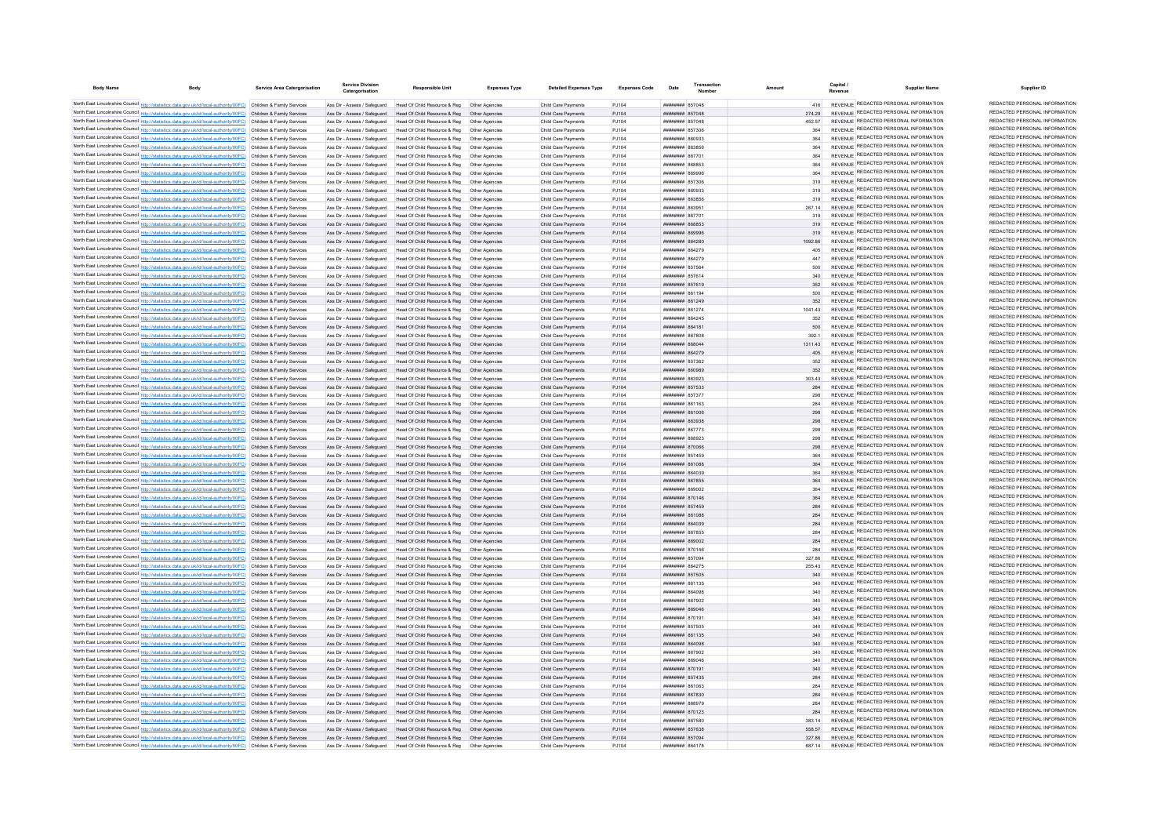| <b>Body Name</b> |                                                                                                                                                                                                                                        | <b>Service Area Catergorisation</b> | <b>Service Division</b><br>Catergorisation                   | <b>Responsible Unit</b>                                                                                   | <b>Expenses Type</b> | <b>Detailed Expenses Type</b>              | <b>Expenses Code</b> | Date                                      | Transaction |                  | Capital | <b>Supplier Name</b>                                                           | Supplier ID                                                    |
|------------------|----------------------------------------------------------------------------------------------------------------------------------------------------------------------------------------------------------------------------------------|-------------------------------------|--------------------------------------------------------------|-----------------------------------------------------------------------------------------------------------|----------------------|--------------------------------------------|----------------------|-------------------------------------------|-------------|------------------|---------|--------------------------------------------------------------------------------|----------------------------------------------------------------|
|                  | North East Lincolnshire Council http://statistics.data.gov.uk/id/local-authority/00FC) Children & Family Services                                                                                                                      |                                     |                                                              | Ass Dir - Assess / Safeguard Head Of Child Resource & Reg. Other Agencies                                 |                      | Child Care Payments                        | P.1104               | <b>########</b> 857048                    |             | A16              |         | REVENUE REDACTED PERSONAL INFORMATION                                          | REDACTED PERSONAL INFORMATION                                  |
|                  | North East Lincolnshire Council http://statistics.data.gov.uk/id/local-authority/00FC) Children & Family Services                                                                                                                      |                                     | Ass Dir - Assess / Safeguard                                 | Head Of Child Resource & Reg   Other Agencies                                                             |                      | Child Care Payments                        | P.1104               | ######## 857048                           |             | 274.29           |         | REVENUE REDACTED PERSONAL INFORMATION                                          | REDACTED PERSONAL INFORMATION                                  |
|                  | North East Lincolnshire Council http://statistics.data.gov.uk/id/local-authority/00FC) Children & Family Services                                                                                                                      |                                     | Ass Dir - Assess / Saferward                                 | Head Of Child Resource & Reg. Other Agencies                                                              |                      | Child Care Payments                        | P.1104               | ######## 857048                           |             | 452.57           |         | REVENUE REDACTED PERSONAL INFORMATION                                          | REDACTED PERSONAL INFORMATION                                  |
|                  | North East Lincolnshire Council http://statistics.data.gov.uk/id/local-authority/00FC) Children & Family Services                                                                                                                      |                                     | Ass Dir - Assess / Safeguard                                 | Head Of Child Resource & Reg                                                                              | Other Agencies       | Child Care Payments                        | PJ104                | ######## 857306                           |             | 364              |         | REVENUE REDACTED PERSONAL INFORMATION                                          | REDACTED PERSONAL INFORMATION                                  |
|                  | North East Lincolnshire Council http://statistics.data.gov.uk/id/local-authority/00FC) Children & Family Services                                                                                                                      |                                     | Ass Dir - Assess / Safeguard                                 | Head Of Child Resource & Reg   Other Agencies                                                             |                      | Child Care Payments                        | PJ104                | EEGOAR MANABRA                            |             | 364              |         | REVENUE REDACTED PERSONAL INFORMATION                                          | REDACTED PERSONAL INFORMATION                                  |
|                  | North East Lincolnshire Council http://statistics.data.gov.uk/id/local-authority/00FC) Children & Family Services                                                                                                                      |                                     | Ass Dir - Assess / Safeguard                                 | Head Of Child Resource & Reg                                                                              | Other Anencies       | Child Care Payments                        | PJ104                | BRASSAR MMMMMMM                           |             | 364              |         | REVENUE REDACTED PERSONAL INFORMATION                                          | REDACTED PERSONAL INFORMATION                                  |
|                  | North East Lincolnshire Council http://statistics.data.gov.uk/id/local-authority/00FC) Children & Family Services                                                                                                                      |                                     |                                                              | Ass Dir - Assess / Safeguard Head Of Child Resource & Reg. Other Agencies                                 |                      | Child Care Payments                        | P.1104               | ######## 867701                           |             | 364              |         | REVENUE REDACTED PERSONAL INFORMATION                                          | REDACTED PERSONAL INFORMATION                                  |
|                  | North East Lincolnshire Council http://statistics.data.gov.uk/id/local-authority/00FC) Children & Family Services                                                                                                                      |                                     |                                                              | Ass Dir - Assess / Safeguard Head Of Child Resource & Reg Other Agencies                                  |                      | Child Care Payments                        | PJ104                | ######## 868853                           |             | 364              |         | REVENUE REDACTED PERSONAL INFORMATION                                          | REDACTED PERSONAL INFORMATION                                  |
|                  | North East Lincolnshire Council http://statistics.data.gov.uk/id/local-authority/00FC) Children & Family Services                                                                                                                      |                                     |                                                              | Ass Dir - Assess / Safeguard Head Of Child Resource & Reg Other Agencies                                  |                      | Child Care Payments                        | PJ104                | ######## 869996                           |             | 364              |         | REVENUE REDACTED PERSONAL INFORMATION                                          | REDACTED PERSONAL INFORMATION                                  |
|                  | North East Lincolnshire Council http://statistics.data.gov.uk/id/local-authority/00FC) Children & Family Services                                                                                                                      |                                     | Ass Dir - Assess / Safeguard                                 | Head Of Child Resource & Reg   Other Agencies                                                             |                      | Child Care Payments                        | PJ104                | ######## 857306                           |             | 319              |         | REVENUE REDACTED PERSONAL INFORMATION                                          | REDACTED PERSONAL INFORMATION<br>REDACTED PERSONAL INFORMATION |
|                  | North East Lincolnshire Council http://statistics.data.gov.uk/id/local-authority/00FC) Children & Family Services                                                                                                                      |                                     | Ass Dir - Assess / Safeguard                                 | Head Of Child Resource & Reg                                                                              | Other Agencies       | Child Care Payments                        | PJ104                | EEROAR MUNICIPAL                          |             | 319              |         | REVENUE REDACTED PERSONAL INFORMATION<br>REVENUE REDACTED PERSONAL INFORMATION | REDACTED PERSONAL INFORMATION                                  |
|                  | North East Lincolnshire Council http://statistics.data.gov.uk/id/local-authority/00FC) Children & Family Services                                                                                                                      |                                     | Ass Dir - Assess / Saferruard                                | Head Of Child Resource & Reg                                                                              | Other Anencies       | Child Care Payments                        | P.1104               | <b>пппппппп</b> 863856                    |             | 319              |         | REVENUE REDACTED PERSONAL INFORMATION                                          | REDACTED PERSONAL INFORMATION                                  |
|                  | North East Lincolnshire Council http://statistics.data.gov.uk/id/local-authority/00FC) Children & Family Services                                                                                                                      |                                     | Ass Dir - Assess / Safeguard                                 | Head Of Child Resource & Reg. Other Agencies                                                              | Other Anencies       | Child Care Payments                        | P.1104<br>P.1104     | ######## 863951<br><b>пппппппп</b> 86770  |             | 267 14           |         | REVENUE REDACTED PERSONAL INFORMATION                                          | REDACTED PERSONAL INFORMATION                                  |
|                  | North East Lincolnshire Council http://statistics.data.gov.uk/id/local-authority/00FC) Children & Family Services<br>North East Lincolnshire Council http://statistics.data.gov.uk/id/local-authority/00FC) Children & Family Services |                                     | Ass Dir - Assess / Safeguard<br>Ass Dir - Assess / Safeguard | Head Of Child Resource & Reg<br>Head Of Child Resource & Reg                                              |                      | Child Care Payments<br>Child Care Payments | PJ104                | ######## 868853                           |             | 319<br>319       |         | REVENUE REDACTED PERSONAL INFORMATION                                          | REDACTED PERSONAL INFORMATION                                  |
|                  | North East Lincolnshire Council http://statistics.data.gov.uk/id/local-authority/00FC) Children & Family Services                                                                                                                      |                                     | Ass Dir - Assess / Safeguard                                 | Head Of Child Resource & Reg                                                                              |                      | Child Care Payments                        | PJ104                | ######## 869996                           |             | 319              |         | REVENUE REDACTED PERSONAL INFORMATION                                          | REDACTED PERSONAL INFORMATION                                  |
|                  | North East Lincolnshire Council http://statistics.data.gov.uk/id/local-authority/00FC) Children & Family Services                                                                                                                      |                                     | Ass Dir - Assess / Safeguard                                 | Head Of Child Resource & Reg                                                                              | Other Anencies       | Child Care Payments                        | PJ104                | ######## 864280                           |             | 1092.86          |         | REVENUE REDACTED PERSONAL INFORMATION                                          | REDACTED PERSONAL INFORMATION                                  |
|                  | North East Lincolnshire Council http://statistics.data.gov.uk/id/local-authority/00FC) Children & Family Services                                                                                                                      |                                     | Ass Dir - Assess / Safeguard                                 | Head Of Child Resource & Reg. Other Agencies                                                              |                      | Child Care Payments                        | P.1104               | <b>HUBHHHHH 864279</b>                    |             | 405              |         | <b>REVENUE REDACTED PERSONAL INFORMATION</b>                                   | REDACTED PERSONAL INFORMATION                                  |
|                  | North East Lincolnshire Council http://statistics.data.gov.uk/id/local-authority/00FC) Children & Family Services                                                                                                                      |                                     | Ass Dir - Assess / Safeguard                                 | Head Of Child Resource & Reg                                                                              | Other Anencies       | Child Care Payments                        | P.1104               | <b><i>BRENHHHH 864279</i></b>             |             | 447              |         | REVENUE REDACTED PERSONAL INFORMATION                                          | REDACTED PERSONAL INFORMATION                                  |
|                  | North East Lincolnshire Council http://statistics.data.gov.uk/id/local-authority/00FC) Children & Family Services                                                                                                                      |                                     | Ass Dir - Assess / Safeguard                                 | Head Of Child Resource & Reg                                                                              | Other Anencies       | Child Care Payments                        | PJ104                | ######## 857564                           |             | 500              |         | REVENUE REDACTED PERSONAL INFORMATION                                          | REDACTED PERSONAL INFORMATION                                  |
|                  | North East Lincolnshire Council http://statistics.data.gov.uk/id/local-authority/00FC) Children & Family Services                                                                                                                      |                                     | Ass Dir - Assess / Safeguard                                 | Head Of Child Resource & Reg                                                                              | Other Agencie        | Child Care Payments                        | PJ104                | ######## 857614                           |             |                  |         | REVENUE REDACTED PERSONAL INFORMATION                                          | REDACTED PERSONAL INFORMATION                                  |
|                  | North East Lincolnshire Council http://statistics.data.gov.uk/id/local-authority/00FC) Children & Family Services                                                                                                                      |                                     | Ass Dir - Assess / Safeguard                                 | Head Of Child Resource & Reg                                                                              | Other Agencie        | Child Care Payments                        | PJ104                | ######## 857619                           |             | 352              |         | REVENUE REDACTED PERSONAL INFORMATION                                          | REDACTED PERSONAL INFORMATION                                  |
|                  | North East Lincolnshire Council http://statistics.data.gov.uk/id/local-authority/00FC) Children & Family Services                                                                                                                      |                                     | Ass Dir - Assess / Safeguard                                 | Head Of Child Resource & Reg                                                                              | Other Agencie        | Child Care Payments                        | PJ104                | <b>плиннин</b> 861194                     |             | 500              |         | REVENUE REDACTED PERSONAL INFORMATION                                          | REDACTED PERSONAL INFORMATION                                  |
|                  | North East Lincolnshire Council http://statistics.data.gov.uk/id/local-authority/00FC) Children & Family Services                                                                                                                      |                                     | Ass Dir - Assess / Safeguard                                 | Head Of Child Resource & Reg                                                                              | Other Anencies       | Child Care Payments                        | P.1104               | <b>HHHHHHH 861249</b>                     |             | 352              |         | REVENUE REDACTED PERSONAL INFORMATION                                          | REDACTED PERSONAL INFORMATION                                  |
|                  | North East Lincolnshire Council http://statistics.data.gov.uk/id/local-authority/00FC) Children & Family Services                                                                                                                      |                                     | Ass Dir - Assess / Saferward                                 | Head Of Child Resource & Reg.                                                                             | Other Anencie        | Child Care Payments                        | P.1104               | <b><i>BRENHHHH</i></b> 861274             |             | 1041 43          |         | REVENUE REDACTED PERSONAL INFORMATION                                          | REDACTED PERSONAL INFORMATION                                  |
|                  | North East Lincolnshire Council http://statistics.data.gov.uk/id/local-authority/00FC) Children & Family Services                                                                                                                      |                                     | Ass Dir - Assess / Safeguard                                 | Head Of Child Resource & Reg                                                                              | Other Anencie        | Child Care Payments                        | PJ104                | ####### 864245                            |             | 352              |         | REVENUE REDACTED PERSONAL INFORMATION                                          | REDACTED PERSONAL INFORMATION<br>REDACTED PERSONAL INFORMATION |
|                  | North East Lincolnshire Council http://statistics.data.gov.uk/id/local-authority/00FC) Children & Family Services                                                                                                                      |                                     | Ass Dir - Assess / Safeguard                                 | Head Of Child Resource & Reg                                                                              | Other Agencie        | Child Care Payments                        | PJ104                | ######## 864181                           |             | 500              |         | REVENUE REDACTED PERSONAL INFORMATION<br>REVENUE REDACTED PERSONAL INFORMATION | REDACTED PERSONAL INFORMATION                                  |
|                  | North East Lincolnshire Council http://statistics.data.gov.uk/id/local-authority/00FC) Children & Family Services                                                                                                                      |                                     | Ass Dir - Assess / Safeguard                                 | Head Of Child Resource & Reg                                                                              |                      | Child Care Payments                        | PJ104                | ######## 867808<br>ппиннин 868044         |             | 392.1            |         | REVENUE REDACTED PERSONAL INFORMATION                                          | REDACTED PERSONAL INFORMATION                                  |
|                  | North East Lincolnshire Council http://statistics.data.gov.uk/id/local-authority/00FC) Children & Family Services<br>North East Lincolnshire Council http://statistics.data.gov.uk/id/local-authority/00FC) Children & Family Services |                                     | Ass Dir - Assess / Safeguard                                 | Head Of Child Resource & Reg<br>Ass Dir - Assess / Safeguard Head Of Child Resource & Reg Other Agencies  | Other Agencies       | Child Care Payments<br>Child Care Payments | PJ104<br>P.1104      | <b>HUBHHHHH 864279</b>                    |             | 1311.43<br>405   |         | REVENUE REDACTED PERSONAL INFORMATION                                          | REDACTED PERSONAL INFORMATION                                  |
|                  | North East Lincolnshire Council http://statistics.data.gov.uk/id/local-authority/00FC) Children & Family Services                                                                                                                      |                                     | Ass Dir - Assess / Safeguard                                 | Head Of Child Resource & Reg. Other Agencies                                                              |                      | Child Care Payments                        | P.1104               | <b>пппппппп</b> 857362                    |             | 352              |         | REVENUE REDACTED PERSONAL INFORMATION                                          | REDACTED PERSONAL INFORMATION                                  |
|                  | North East Lincolnshire Council http://statistics.data.gov.uk/id/local-authority/00FC) Children & Family Services                                                                                                                      |                                     |                                                              | Ass Dir - Assess / Safeguard Head Of Child Resource & Reg  Other Agencies                                 |                      | Child Care Payments                        | PJ104                | ######## 860989                           |             | 352              |         | REVENUE REDACTED PERSONAL INFORMATION                                          | REDACTED PERSONAL INFORMATION                                  |
|                  | North East Lincolnshire Council http://statistics.data.gov.uk/id/local-authority/00FC) Children & Family Services                                                                                                                      |                                     | Ass Dir - Assess / Safeguard                                 | Head Of Child Resource & Reg   Other Agencies                                                             |                      | Child Care Payments                        | PJ104                | ######## 863923                           |             | 303.43           |         | REVENUE REDACTED PERSONAL INFORMATION                                          | REDACTED PERSONAL INFORMATION                                  |
|                  | North East Lincolnshire Council http://statistics.data.gov.uk/id/local-authority/00FC) Children & Family Services                                                                                                                      |                                     |                                                              | Ass Dir - Assess / Safeguard Head Of Child Resource & Reg Other Agencies                                  |                      | Child Care Payments                        | PJ104                | ######## 857533                           |             | 284              |         | REVENUE REDACTED PERSONAL INFORMATION                                          | REDACTED PERSONAL INFORMATION                                  |
|                  | North East Lincolnshire Council http://statistics.data.gov.uk/id/local-authority/00FC) Children & Family Services                                                                                                                      |                                     | Ass Dir - Assess / Safeguard                                 |                                                                                                           |                      | Child Care Payments                        | PJ104                | ######## 857377                           |             | 298              |         | REVENUE REDACTED PERSONAL INFORMATION                                          | REDACTED PERSONAL INFORMATION                                  |
|                  | North East Lincolnshire Council http://statistics.data.gov.uk/id/local-authority/00FC) Children & Family Services                                                                                                                      |                                     | Ass Dir - Assess / Safeguard                                 | Head Of Child Resource & Reg  Other Agencies                                                              |                      | Child Care Payments                        | P.1104               | <b>пппппппп</b> 861163                    |             | 284              |         | REVENUE REDACTED PERSONAL INFORMATION                                          | REDACTED PERSONAL INFORMATION                                  |
|                  | North East Lincolnshire Council http://statistics.data.gov.uk/id/local-authority/00FC) Children & Family Services                                                                                                                      |                                     | Ass Dir - Assess / Safeguard                                 | Head Of Child Resource & Reg                                                                              | Other Anencies       | Child Care Payments                        | P.1104               | ######## 861006                           |             | 298              |         | REVENUE REDACTED PERSONAL INFORMATION                                          | REDACTED PERSONAL INFORMATION                                  |
|                  | North East Lincolnshire Council http://statistics.data.gov.uk/id/local-authority/00FC) Children & Family Services                                                                                                                      |                                     | Ass Dir - Assess / Safeguard                                 | Head Of Child Resource & Reg                                                                              | Other Anencies       | Child Care Payments                        | PJ104                | ######## 863938                           |             | 298              |         | REVENUE REDACTED PERSONAL INFORMATION                                          | REDACTED PERSONAL INFORMATION                                  |
|                  | North East Lincolnshire Council http://statistics.data.gov.uk/id/local-authority/00FC) Children & Family Services                                                                                                                      |                                     | Ass Dir - Assess / Safeguard                                 | Head Of Child Resource & Reg                                                                              |                      | Child Care Payments                        | PJ104                | <b>####### 867773</b>                     |             | 298              |         | REVENUE REDACTED PERSONAL INFORMATION                                          | REDACTED PERSONAL INFORMATION                                  |
|                  | North East Lincolnshire Council http://statistics.data.gov.uk/id/local-authority/00FC) Children & Family Services                                                                                                                      |                                     | Ass Dir - Assess / Safeguard                                 | Head Of Child Resource & Reg                                                                              |                      | Child Care Payments                        | PJ104                | ######## 868923                           |             | 298              |         | REVENUE REDACTED PERSONAL INFORMATION                                          | REDACTED PERSONAL INFORMATION                                  |
|                  | North East Lincolnshire Council http://statistics.data.gov.uk/id/local-authority/00FC) Children & Family Services                                                                                                                      |                                     | Ass Dir - Assess / Safeguard                                 | Head Of Child Resource & Reg                                                                              | Other Agencies       | Child Care Payments                        | PJ104                | ######## 870066                           |             | 298              |         | REVENUE REDACTED PERSONAL INFORMATION                                          | REDACTED PERSONAL INFORMATION<br>REDACTED PERSONAL INFORMATION |
|                  | North East Lincolnshire Council http://statistics.data.gov.uk/id/local-authority/00FC) Children & Family Services                                                                                                                      |                                     | Ass Dir - Assess / Safeguard                                 | Head Of Child Resource & Reg                                                                              | Other Anencies       | Child Care Payments                        | P.1104               | <b>HUBHHHHH 857459</b>                    |             |                  |         | REVENUE REDACTED PERSONAL INFORMATION<br>REVENUE REDACTED PERSONAL INFORMATION | REDACTED PERSONAL INFORMATION                                  |
|                  | North East Lincolnshire Council http://statistics.data.gov.uk/id/local-authority/00FC) Children & Family Services                                                                                                                      |                                     | Ass Dir - Assess / Safeguard                                 | Head Of Child Resource & Reg                                                                              | Other Anencies       | Child Care Payments                        | PJ104                | <b>HRUBBER SE1088</b>                     |             | 364              |         | REVENUE REDACTED PERSONAL INFORMATION                                          | REDACTED PERSONAL INFORMATION                                  |
|                  | North East Lincolnshire Council http://statistics.data.gov.uk/id/local-authority/00FC) Children & Family Services                                                                                                                      |                                     | Ass Dir - Assess / Safeguard<br>Ass Dir - Assess / Safeguard | Head Of Child Resource & Reg   Other Agencies<br>Head Of Child Resource & Reg                             | Other Agencies       | Child Care Payments<br>Child Care Payments | PJ104<br>PJ104       | ######## 864039<br>######## 867855        |             | 364<br>364       |         | REVENUE REDACTED PERSONAL INFORMATION                                          | REDACTED PERSONAL INFORMATION                                  |
|                  | North East Lincolnshire Council http://statistics.data.gov.uk/id/local-authority/00FC) Children & Family Services<br>North East Lincolnshire Council http://statistics.data.gov.uk/id/local-authority/00FC) Children & Family Services |                                     | Ass Dir - Assess / Safeguard                                 | Head Of Child Resource & Reg                                                                              | Other Agencie        | Child Care Payments                        | PJ104                | ######## 869002                           |             | 364              |         | REVENUE REDACTED PERSONAL INFORMATION                                          | REDACTED PERSONAL INFORMATION                                  |
|                  | North East Lincolnshire Council http://statistics.data.gov.uk/id/local-authority/00FC) Children & Family Services                                                                                                                      |                                     | Ass Dir - Assess / Safeguard                                 | Head Of Child Resource & Reg                                                                              | Other Agencie        | Child Care Payments                        | PJ104                | ######## 870146                           |             | 364              |         | REVENUE REDACTED PERSONAL INFORMATION                                          | REDACTED PERSONAL INFORMATION                                  |
|                  | North East Lincolnshire Council http://statistics.data.gov.uk/id/local-authority/00FC) Children & Family Services                                                                                                                      |                                     | Ass Dir - Assess / Safeguard                                 | Head Of Child Resource & Reg                                                                              | Other Agencies       | Child Care Payments                        | PJ104                | ######## 857459                           |             | 284              |         | REVENUE REDACTED PERSONAL INFORMATION                                          | REDACTED PERSONAL INFORMATION                                  |
|                  | North East Lincolnshire Council http://statistics.data.gov.uk/id/local-authority/00FC) Children & Family Services                                                                                                                      |                                     | Ass Dir - Assess / Safeguard                                 | Head Of Child Resource & Reg                                                                              | Other Agencies       | Child Care Payments                        | PJ104                | ######## 861088                           |             | 284              |         | REVENUE REDACTED PERSONAL INFORMATION                                          | REDACTED PERSONAL INFORMATION                                  |
|                  | North East Lincolnshire Council http://statistics.data.gov.uk/id/local-authority/00FC) Children & Family Services                                                                                                                      |                                     | Ass Dir - Assess / Safeguard                                 | Head Of Child Resource & Reg                                                                              | Other Anencie        | Child Care Payments                        | PJ104                | ######## 864039                           |             | 284              |         | REVENUE REDACTED PERSONAL INFORMATION                                          | REDACTED PERSONAL INFORMATION                                  |
|                  | North East Lincolnshire Council http://statistics.data.gov.uk/id/local-authority/00FC) Children & Family Services                                                                                                                      |                                     | Ass Dir - Assess / Safeguard                                 | Head Of Child Resource & Reg                                                                              | Other Agencie        | Child Care Payments                        | PJ104                | ######## 867855                           |             | 284              |         | REVENUE REDACTED PERSONAL INFORMATION                                          | REDACTED PERSONAL INFORMATION                                  |
|                  | North East Lincolnshire Council http://statistics.data.gov.uk/id/local-authority/00FC) Children & Family Services                                                                                                                      |                                     | Ass Dir - Assess / Safeguard                                 | Head Of Child Resource & Reg                                                                              | Other Agencie        | Child Care Payments                        | PJ104                | ######## 869002                           |             | 284              |         | REVENUE REDACTED PERSONAL INFORMATION                                          | REDACTED PERSONAL INFORMATION                                  |
|                  | North East Lincolnshire Council http://statistics.data.gov.uk/id/local-authority/00FC) Children & Family Services                                                                                                                      |                                     | Ass Dir - Assess / Safeguard                                 | Head Of Child Resource & Reg                                                                              |                      | Child Care Payments                        | PJ104                | ####### 870146                            |             | 284              |         | REVENUE REDACTED PERSONAL INFORMATION                                          | REDACTED PERSONAL INFORMATION                                  |
|                  | North East Lincolnshire Council http://statistics.data.gov.uk/id/local-authority/00FC) Children & Family Services                                                                                                                      |                                     | Ass Dir - Assess / Safeguard                                 | Head Of Child Resource & Reg                                                                              | Other Anencies       | Child Care Payments                        | PJ104                | <b><i>BREADTHER 857004</i></b>            |             | 327.86           |         | REVENUE REDACTED PERSONAL INFORMATION                                          | REDACTED PERSONAL INFORMATION                                  |
|                  | North East Lincolnshire Council http://statistics.data.gov.uk/id/local-authority/00FC) Children & Family Services                                                                                                                      |                                     |                                                              | Ass Dir - Assess / Safeguard Head Of Child Resource & Reg Other Agencies                                  |                      | Child Care Payments                        | PJ104                | ######## 864275                           |             | 255.43           |         | REVENUE REDACTED PERSONAL INFORMATION                                          | REDACTED PERSONAL INFORMATION                                  |
|                  | North East Lincolnshire Council http://statistics.data.gov.uk/id/local-authority/00FC) Children & Family Services                                                                                                                      |                                     |                                                              | Ass Dir - Assess / Safeguard Head Of Child Resource & Reg Other Agencies                                  |                      | Child Care Payments                        | PJ104                | ######## 857505                           |             | 340              |         | REVENUE REDACTED PERSONAL INFORMATION                                          | REDACTED PERSONAL INFORMATION<br>REDACTED PERSONAL INFORMATION |
|                  | North East Lincolnshire Council http://statistics.data.gov.uk/id/local-authority/00FC) Children & Family Services                                                                                                                      |                                     |                                                              | Ass Dir - Assess / Safeguard Head Of Child Resource & Reg Other Agencies                                  |                      | Child Care Payments                        | PJ104                | ####### 861135                            |             | 340              |         | REVENUE REDACTED PERSONAL INFORMATION                                          | REDACTED PERSONAL INFORMATION                                  |
|                  | North East Lincolnshire Council http://statistics.data.gov.uk/id/local-authority/00FC) Children & Family Services                                                                                                                      |                                     | Ass Dir - Assess / Safeguard                                 | Head Of Child Resource & Reg   Other Agencies                                                             |                      | Child Care Payments                        | PJ104                | ######## 864098                           |             | 340              |         | REVENUE REDACTED PERSONAL INFORMATION<br>REVENUE REDACTED PERSONAL INFORMATION | REDACTED PERSONAL INFORMATION                                  |
|                  | North East Lincolnshire Council http://statistics.data.gov.uk/id/local-authority/00FC) Children & Family Services                                                                                                                      |                                     | Ass Dir - Assess / Safeguard                                 | Head Of Child Resource & Reg   Other Agencie                                                              |                      | Child Care Payments                        | PJ104                | ####### 867902                            |             | 340<br>340       |         | REVENUE REDACTED PERSONAL INFORMATION                                          | REDACTED PERSONAL INFORMATION                                  |
|                  | North East Lincolnshire Council http://statistics.data.gov.uk/id/local-authority/00FC) Children & Family Services<br>North East Lincolnshire Council http://statistics.data.gov.uk/id/local-authority/00FC) Children & Family Services |                                     | Ass Dir - Assess / Safeguard                                 | Ass Dir - Assess / Safeguard Head Of Child Resource & Reg<br>Head Of Child Resource & Reg. Other Agencies | Other Anencies       | Child Care Payments<br>Child Care Payments | P.1104<br>P.1104     | BAGGS HEBBERH<br><b>HUHHHHH 870191</b>    |             | 340              |         | REVENUE REDACTED PERSONAL INFORMATION                                          | REDACTED PERSONAL INFORMATION                                  |
|                  | North East Lincolnshire Council http://statistics.data.gov.uk/id/local-authority/00FC) Children & Family Services                                                                                                                      |                                     | Ass Dir - Assess / Safeguard                                 | Head Of Child Resource & Reg. Other Agencies                                                              |                      | Child Care Payments                        | P.1104               | <b>######## 857505</b>                    |             | 340              |         | REVENUE REDACTED PERSONAL INFORMATION                                          | REDACTED PERSONAL INFORMATION                                  |
|                  | North East Lincolnshire Council http://statistics.data.gov.uk/id/local-authority/00FC) Children & Family Services                                                                                                                      |                                     | Ass Dir - Assess / Safeguard                                 | Head Of Child Resource & Reg.                                                                             | Other Anencies       | Child Care Payments                        | P.1104               | <b>пппппппп</b> 861135                    |             | 340              |         | REVENUE REDACTED PERSONAL INFORMATION                                          | REDACTED PERSONAL INFORMATION                                  |
|                  | North East Lincolnshire Council http://statistics.data.gov.uk/id/local-authority/00FC) Children & Family Services                                                                                                                      |                                     | Ass Dir - Assess / Safeguard                                 | Head Of Child Resource & Reg                                                                              |                      | Child Care Payments                        | PJ104                | ######## 864098                           |             |                  |         | REVENUE REDACTED PERSONAL INFORMATION                                          | REDACTED PERSONAL INFORMATION                                  |
|                  | North East Lincolnshire Council http://statistics.data.gov.uk/id/local-authority/00FC) Children & Family Services                                                                                                                      |                                     | Ass Dir - Assess / Safeguard                                 | Head Of Child Resource & Reg                                                                              |                      | Child Care Payments                        | PJ104                | ######## 867902                           |             | 340              |         | REVENUE REDACTED PERSONAL INFORMATION                                          | REDACTED PERSONAL INFORMATION                                  |
|                  | North East Lincolnshire Council http://statistics.data.gov.uk/id/local-authority/00FC) Children & Family Services                                                                                                                      |                                     | Ass Dir - Assess / Safeguard                                 | Head Of Child Resource & Reg                                                                              | Other Anencies       | Child Care Payments                        | P.1104               | <b>HHHHHHH</b> RROOAR                     |             | 340              |         | REVENUE REDACTED PERSONAL INFORMATION                                          | REDACTED PERSONAL INFORMATION                                  |
|                  | North East Lincolnshire Council http://statistics.data.gov.uk/id/local-authority/00FC) Children & Family Services                                                                                                                      |                                     | Ass Dir - Assess / Safeguard                                 | Head Of Child Resource & Reg. Other Agencies                                                              |                      | Child Care Payments                        | P.1104               | ######## 870191                           |             | 340              |         | REVENUE REDACTED PERSONAL INFORMATION                                          | REDACTED PERSONAL INFORMATION                                  |
|                  | North East Lincolnshire Council http://statistics.data.gov.uk/id/local-authority/00FC) Children & Family Services                                                                                                                      |                                     |                                                              | Ass Dir - Assess / Safeguard Head Of Child Resource & Reg                                                 | Other Anencies       | Child Care Payments                        | P.1104               | <b>HUBHHHHH 857435</b>                    |             | 284              |         | REVENUE REDACTED PERSONAL INFORMATION                                          | REDACTED PERSONAL INFORMATION                                  |
|                  | North East Lincolnshire Council http://statistics.data.gov.uk/id/local-authority/00FC) Children & Family Services                                                                                                                      |                                     | Ass Dir - Assess / Safeguard                                 | Head Of Child Resource & Reg                                                                              | Other Anencies       | Child Care Payments                        | P.1104               | E20138 HUMMHURS                           |             | 284              |         | REVENUE REDACTED PERSONAL INFORMATION                                          | REDACTED PERSONAL INFORMATION                                  |
|                  | North East Lincolnshire Council http://statistics.data.gov.uk/id/local-authority/00FC) Children & Family Services                                                                                                                      |                                     | Ass Dir - Assess / Safeguard                                 | Head Of Child Resource & Reg                                                                              | Other Agencies       | Child Care Payments                        | PJ104                | ######## 867830                           |             | 284              |         | REVENUE REDACTED PERSONAL INFORMATION                                          | REDACTED PERSONAL INFORMATION                                  |
|                  | North East Lincolnshire Council http://statistics.data.gov.uk/id/local-authority/00FC) Children & Family Services                                                                                                                      |                                     | Ass Dir - Assess / Safeguard                                 | Head Of Child Resource & Reg                                                                              | Other Agencie        | Child Care Payments                        | PJ104                | ######## 868979                           |             | 284              |         | REVENUE REDACTED PERSONAL INFORMATION                                          | REDACTED PERSONAL INFORMATION                                  |
|                  | North East Lincolnshire Council http://statistics.data.gov.uk/id/local-authority/00FC) Children & Family Services                                                                                                                      |                                     |                                                              | Ass Dir - Assess / Safeguard Head Of Child Resource & Reg                                                 | Other Agencies       | Child Care Payments                        | PJ104                | ######## 870123                           |             | 284              |         | REVENUE REDACTED PERSONAL INFORMATION                                          | REDACTED PERSONAL INFORMATION<br>REDACTED PERSONAL INFORMATION |
|                  | North East Lincolnshire Council http://statistics.data.gov.uk/id/local-authority/00FC) Children & Family Services                                                                                                                      |                                     | Ass Dir - Assess / Saferruard                                | Head Of Child Resource & Reg                                                                              | Other Anencie        | Child Care Payments                        | P.1104               | ######## 867580                           |             | 383 14           |         | REVENUE REDACTED PERSONAL INFORMATION<br>REVENUE REDACTED PERSONAL INFORMATION | REDACTED PERSONAL INFORMATION                                  |
|                  | North East Lincolnshire Council http://statistics.data.gov.uk/id/local-authority/00FC) Children & Family Services                                                                                                                      |                                     |                                                              | Ass Dir - Assess / Safeguard Head Of Child Resource & Reg. Other Agencies                                 |                      | Child Care Payments                        | P.1104               | <b>######## 857638</b>                    |             | 558.57           |         | REVENUE REDACTED PERSONAL INFORMATION                                          | REDACTED PERSONAL INFORMATION                                  |
|                  | North East Lincolnshire Council http://statistics.data.gov.uk/id/local-authority/00FC) Children & Family Services<br>North East Lincolnshire Council http://statistics.data.gov.uk/id/local-authority/00FC) Children & Family Services |                                     | Ass Dir - Assess / Safeguard                                 | Ass Dir - Assess / Safeguard Head Of Child Resource & Reg Other Agencies<br>Head Of Child Resource & Reg  |                      | Child Care Payments<br>Child Care Payments | PJ104<br>PJ104       | ######## 857094<br><b>пппппппп</b> 864178 |             | 327.86<br>887.14 |         | REVENUE REDACTED PERSONAL INFORMATION                                          | REDACTED PERSONAL INFORMATION                                  |
|                  |                                                                                                                                                                                                                                        |                                     |                                                              |                                                                                                           |                      |                                            |                      |                                           |             |                  |         |                                                                                |                                                                |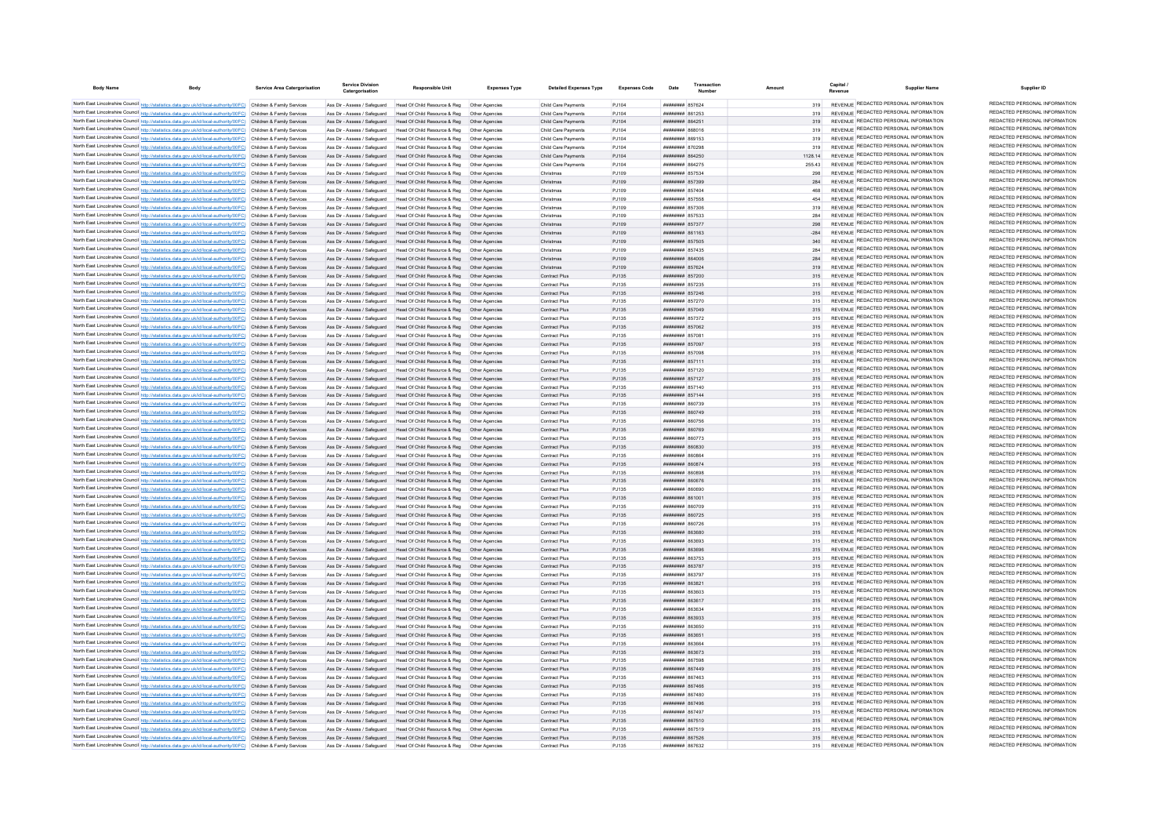| <b>Body Name</b> |                                                                                                                                                                                                                                        | <b>Service Area Catergorisation</b> | <b>Service Division</b><br>Catergorisation                   | <b>Responsible Unit</b>                                                                                                   | <b>Expenses Type</b> | <b>Detailed Expenses Type</b>  | <b>Expenses Code</b> | Date                                | Transaction |            | Capital | <b>Supplier Name</b>                                                           | Supplier ID                                                    |
|------------------|----------------------------------------------------------------------------------------------------------------------------------------------------------------------------------------------------------------------------------------|-------------------------------------|--------------------------------------------------------------|---------------------------------------------------------------------------------------------------------------------------|----------------------|--------------------------------|----------------------|-------------------------------------|-------------|------------|---------|--------------------------------------------------------------------------------|----------------------------------------------------------------|
|                  | North East Lincolnshire Council http://statistics.data.gov.uk/id/local-authority/00FC) Children & Family Services                                                                                                                      |                                     |                                                              | Ass Dir - Assess / Safeguard Head Of Child Resource & Reg. Other Agencies                                                 |                      | Child Care Payments            | P.1104               | <b>HUBHHHHH 857624</b>              |             | 319        |         | REVENUE REDACTED PERSONAL INFORMATION                                          | REDACTED PERSONAL INFORMATION                                  |
|                  | North East Lincolnshire Council http://statistics.data.gov.uk/id/local-authority/00FC) Children & Family Services                                                                                                                      |                                     | Ass Dir - Assess / Safeguard                                 | Head Of Child Resource & Reg   Other Agencies                                                                             |                      | Child Care Payments            | P.1104               | <b>иннинин</b> 861253               |             |            |         | REVENUE REDACTED PERSONAL INFORMATION                                          | REDACTED PERSONAL INFORMATION                                  |
|                  | North East Lincolnshire Council http://statistics.data.gov.uk/id/local-authority/00FC) Children & Family Services                                                                                                                      |                                     | Ass Dir - Assess / Saferruard                                | Head Of Child Resource & Reg. Other Agencies                                                                              |                      | Child Care Payments            | P.1104               | <b>пппппппп</b> 864251              |             |            |         | REVENUE REDACTED PERSONAL INFORMATION                                          | REDACTED PERSONAL INFORMATION                                  |
|                  | North East Lincolnshire Council http://statistics.data.gov.uk/id/local-authority/00FC) Children & Family Services                                                                                                                      |                                     | Ass Dir - Assess / Safeguard                                 | Head Of Child Resource & Reg                                                                                              | Other Agencies       | Child Care Payments            | PJ104                | ####### 868016                      |             | 319        |         | REVENUE REDACTED PERSONAL INFORMATION                                          | REDACTED PERSONAL INFORMATION                                  |
|                  | North East Lincolnshire Council http://statistics.data.gov.uk/id/local-authority/00FC) Children & Family Services                                                                                                                      |                                     | Ass Dir - Assess / Safeguard                                 | Head Of Child Resource & Reg   Other Agencies                                                                             |                      | Child Care Payments            | PJ104                | <b>плиннин</b> 869153               |             | 319        |         | REVENUE REDACTED PERSONAL INFORMATION                                          | REDACTED PERSONAL INFORMATION                                  |
|                  | North East Lincolnshire Council http://statistics.data.gov.uk/id/local-authority/00FC) Children & Family Services                                                                                                                      |                                     | Ass Dir - Assess / Safeguard                                 | Head Of Child Resource & Reg                                                                                              | Other Anencies       | Child Care Payments            | PJ104                | <b>HRHHHHH 870298</b>               |             | 319        |         | REVENUE REDACTED PERSONAL INFORMATION                                          | REDACTED PERSONAL INFORMATION                                  |
|                  | North East Lincolnshire Council http://statistics.data.gov.uk/id/local-authority/00FC) Children & Family Services                                                                                                                      |                                     |                                                              | Ass Dir - Assess / Safeguard Head Of Child Resource & Reg. Other Agencies                                                 |                      | Child Care Payments            | P.1104               | <b>HUBHHHHH 864250</b>              |             | 1128 14    |         | REVENUE REDACTED PERSONAL INFORMATION                                          | REDACTED PERSONAL INFORMATION                                  |
|                  | North East Lincolnshire Council http://statistics.data.gov.uk/id/local-authority/00FC) Children & Family Services                                                                                                                      |                                     |                                                              | Ass Dir - Assess / Safeguard Head Of Child Resource & Reg Other Agencies                                                  |                      | Child Care Payments            | PJ104                | ######## 864275                     |             | 255.43     |         | REVENUE REDACTED PERSONAL INFORMATION                                          | REDACTED PERSONAL INFORMATION                                  |
|                  | North East Lincolnshire Council http://statistics.data.gov.uk/id/local-authority/00FC) Children & Family Services                                                                                                                      |                                     |                                                              | Ass Dir - Assess / Safeguard Head Of Child Resource & Reg Other Agencies                                                  |                      | Christmas                      | PJ109                | <b>HHHHHHHH</b> 857534              |             | 298        |         | REVENUE REDACTED PERSONAL INFORMATION                                          | REDACTED PERSONAL INFORMATION<br>REDACTED PERSONAL INFORMATION |
|                  | North East Lincolnshire Council http://statistics.data.gov.uk/id/local-authority/00FC) Children & Family Services                                                                                                                      |                                     |                                                              | Ass Dir - Assess / Safeguard Head Of Child Resource & Reg Other Agencies                                                  |                      | Christmas                      | PJ109                | ######## 857399                     |             | 284        |         | REVENUE REDACTED PERSONAL INFORMATION<br>REVENUE REDACTED PERSONAL INFORMATION | REDACTED PERSONAL INFORMATION                                  |
|                  | North East Lincolnshire Council http://statistics.data.gov.uk/id/local-authority/00FC) Children & Family Services                                                                                                                      |                                     | Ass Dir - Assess / Safeguard                                 | Head Of Child Resource & Reg   Other Agencies                                                                             |                      | Christmas                      | PJ109                | ######## 857404                     |             | 468        |         | REVENUE REDACTED PERSONAL INFORMATION                                          | REDACTED PERSONAL INFORMATION                                  |
|                  | North East Lincolnshire Council http://statistics.data.gov.uk/id/local-authority/00FC) Children & Family Services                                                                                                                      |                                     | Ass Dir - Assess / Safeguard<br>Ass Dir - Assess / Safeguard | Head Of Child Resource & Reg  Other Agencies<br>Head Of Child Resource & Reg. Other Agencies                              |                      | Christmas<br>Christmas         | P.1109               | ######## 857558<br>######## 857306  |             | 454<br>319 |         | REVENUE REDACTED PERSONAL INFORMATION                                          | REDACTED PERSONAL INFORMATION                                  |
|                  | North East Lincolnshire Council http://statistics.data.gov.uk/id/local-authority/00FC) Children & Family Services<br>North East Lincolnshire Council http://statistics.data.gov.uk/id/local-authority/00FC) Children & Family Services |                                     | Ass Dir - Assess / Safeguard                                 | Head Of Child Resource & Reg                                                                                              | Other Anencies       | Christmas                      | PJ109<br>PJ109       | ######## 857533                     |             | 284        |         | REVENUE REDACTED PERSONAL INFORMATION                                          | REDACTED PERSONAL INFORMATION                                  |
|                  | North East Lincolnshire Council http://statistics.data.gov.uk/id/local-authority/00FC) Children & Family Services                                                                                                                      |                                     | Ass Dir - Assess / Safeguard                                 | Head Of Child Resource & Reg                                                                                              |                      | Christmas                      | PJ109                | ######## 85737                      |             | 298        |         | REVENUE REDACTED PERSONAL INFORMATION                                          | REDACTED PERSONAL INFORMATION                                  |
|                  | North East Lincolnshire Council http://statistics.data.gov.uk/id/local-authority/00FC) Children & Family Services                                                                                                                      |                                     | Ass Dir - Assess / Safeguard                                 | Head Of Child Resource & Reg                                                                                              |                      | Christmas                      | PJ109                | ######## 861163                     |             | $-284$     |         | REVENUE REDACTED PERSONAL INFORMATION                                          | REDACTED PERSONAL INFORMATION                                  |
|                  | North East Lincolnshire Council http://statistics.data.gov.uk/id/local-authority/00FC) Children & Family Services                                                                                                                      |                                     | Ass Dir - Assess / Safeguard                                 | Head Of Child Resource & Reg                                                                                              | Other Agencies       | Christmas                      | PJ109                | ######## 857505                     |             | 340        |         | REVENUE REDACTED PERSONAL INFORMATION                                          | REDACTED PERSONAL INFORMATION                                  |
|                  | North East Lincolnshire Council http://statistics.data.gov.uk/id/local-authority/00FC) Children & Family Services                                                                                                                      |                                     | Ass Dir - Assess / Safeguard                                 | Head Of Child Resource & Reg                                                                                              | Other Anencies       | Christmas                      | P.1109               | <b><i><u>HRHHHHH</u></i></b> 857435 |             | 284        |         | REVENUE REDACTED PERSONAL INFORMATION                                          | REDACTED PERSONAL INFORMATION                                  |
|                  | North East Lincolnshire Council http://statistics.data.gov.uk/id/local-authority/00FC) Children & Family Services                                                                                                                      |                                     | Ass Dir - Assess / Safeguard                                 | Head Of Child Resource & Reg                                                                                              | Other Anencies       | Christmas                      | PJ109                | HHHHHHH 864006                      |             | 284        |         | REVENUE REDACTED PERSONAL INFORMATION                                          | REDACTED PERSONAL INFORMATION                                  |
|                  | North East Lincolnshire Council http://statistics.data.gov.uk/id/local-authority/00FC) Children & Family Services                                                                                                                      |                                     | Ass Dir - Assess / Safeguard                                 | Head Of Child Resource & Reg                                                                                              | Other Agencies       | Christmas                      | PJ109                | ######## 857624                     |             | 319        |         | REVENUE REDACTED PERSONAL INFORMATION                                          | REDACTED PERSONAL INFORMATION                                  |
|                  | North East Lincolnshire Council http://statistics.data.gov.uk/id/local-authority/00FC) Children & Family Services                                                                                                                      |                                     | Ass Dir - Assess / Safeguard                                 | Head Of Child Resource & Reg                                                                                              | Other Agencies       | Contract Plus                  | PJ135                | ######## 857200                     |             | 315        |         | REVENUE REDACTED PERSONAL INFORMATION                                          | REDACTED PERSONAL INFORMATION                                  |
|                  | North East Lincolnshire Council http://statistics.data.gov.uk/id/local-authority/00FC) Children & Family Services                                                                                                                      |                                     | Ass Dir - Assess / Safeguard                                 | Head Of Child Resource & Reg                                                                                              | Other Agencies       | Contract Plus                  | PJ135                | ######## 857235                     |             | 315        |         | REVENUE REDACTED PERSONAL INFORMATION                                          | REDACTED PERSONAL INFORMATION                                  |
|                  | North East Lincolnshire Council http://statistics.data.gov.uk/id/local-authority/00FC) Children & Family Services                                                                                                                      |                                     | Ass Dir - Assess / Safeguard                                 | Head Of Child Resource & Reg                                                                                              | Other Agencie        | Contract Plus                  | PJ135                | ######## 857246                     |             | 315        |         | REVENUE REDACTED PERSONAL INFORMATION                                          | REDACTED PERSONAL INFORMATION                                  |
|                  | North East Lincolnshire Council http://statistics.data.gov.uk/id/local-authority/00FC) Children & Family Services                                                                                                                      |                                     | Ass Dir - Assess / Safeguard                                 | Head Of Child Resource & Reg                                                                                              | Other Anencies       | Contract Plus                  | P.1135               | <b><i>HHHHHHH</i></b> 857270        |             | 315        |         | REVENUE REDACTED PERSONAL INFORMATION                                          | REDACTED PERSONAL INFORMATION                                  |
|                  | North East Lincolnshire Council http://statistics.data.gov.uk/id/local-authority/00FC) Children & Family Services                                                                                                                      |                                     | Ass Dir - Assess / Safeguard                                 | Head Of Child Resource & Reg                                                                                              | Other Anencie        | Contract Plus                  | PJ135                | <b>HUBHHHHH 857049</b>              |             | 315        |         | REVENUE REDACTED PERSONAL INFORMATION                                          | REDACTED PERSONAL INFORMATION                                  |
|                  | North East Lincolnshire Council http://statistics.data.gov.uk/id/local-authority/00FC) Children & Family Services                                                                                                                      |                                     | Ass Dir - Assess / Safeguard                                 | Head Of Child Resource & Reg                                                                                              | Other Anencies       | Contract Plus                  | P.1135               | <b>HUHHHHH 857372</b>               |             | 315        |         | REVENUE REDACTED PERSONAL INFORMATION                                          | REDACTED PERSONAL INFORMATION<br>REDACTED PERSONAL INFORMATION |
|                  | North East Lincolnshire Council http://statistics.data.gov.uk/id/local-authority/00FC) Children & Family Services                                                                                                                      |                                     | Ass Dir - Assess / Safeguard                                 | Head Of Child Resource & Reg                                                                                              | Other Agencies       | Contract Plus                  | PJ135                | <b>######## 857062</b>              |             | 315        |         | REVENUE REDACTED PERSONAL INFORMATION<br>REVENUE REDACTED PERSONAL INFORMATION | REDACTED PERSONAL INFORMATION                                  |
|                  | North East Lincolnshire Council http://statistics.data.gov.uk/id/local-authority/00FC) Children & Family Services                                                                                                                      |                                     | Ass Dir - Assess / Saferward                                 | Head Of Child Resource & Reg.                                                                                             | Other Anencie        | Contract Plus                  | PJ135                | <b>HHHHHHH</b> 85708                |             | 315        |         | REVENUE REDACTED PERSONAL INFORMATION                                          | REDACTED PERSONAL INFORMATION                                  |
|                  | North East Lincolnshire Council http://statistics.data.gov.uk/id/local-authority/00FC) Children & Family Services<br>North East Lincolnshire Council http://statistics.data.gov.uk/id/local-authority/00FC) Children & Family Services |                                     | Ass Dir - Assess / Safeguard<br>Ass Dir - Assess / Safeguard | Head Of Child Resource & Reg<br>Head Of Child Resource & Reg                                                              | Other Anencies       | Contract Plus<br>Contract Plus | PJ135<br>PJ135       | ######## 857097<br>######## 857098  |             | 315<br>315 |         | REVENUE REDACTED PERSONAL INFORMATION                                          | REDACTED PERSONAL INFORMATION                                  |
|                  | North East Lincolnshire Council http://statistics.data.gov.uk/id/local-authority/00FC) Children & Family Services                                                                                                                      |                                     | Ass Dir - Assess / Safeguard                                 | Head Of Child Resource & Reg                                                                                              | Other Anencies       | Contract Plus                  | PJ135                | <b>HUHHHHH 857111</b>               |             | 315        |         | REVENUE REDACTED PERSONAL INFORMATION                                          | REDACTED PERSONAL INFORMATION                                  |
|                  | North East Lincolnshire Council http://statistics.data.gov.uk/id/local-authority/00FC) Children & Family Services                                                                                                                      |                                     |                                                              | Ass Dir - Assess / Safeguard Head Of Child Resource & Reg. Other Agencies                                                 |                      | Contract Plus                  | P.1135               | <b>HUBHHHHH</b> 857120              |             | 315        |         | REVENUE REDACTED PERSONAL INFORMATION                                          | REDACTED PERSONAL INFORMATION                                  |
|                  | North East Lincolnshire Council http://statistics.data.gov.uk/id/local-authority/00FC) Children & Family Services                                                                                                                      |                                     |                                                              | Ass Dir - Assess / Safeguard Head Of Child Resource & Reg  Other Agencies                                                 |                      | Contract Plus                  | PJ135                | ######## 857127                     |             | 315        |         | REVENUE REDACTED PERSONAL INFORMATION                                          | REDACTED PERSONAL INFORMATION                                  |
|                  | North East Lincolnshire Council http://statistics.data.gov.uk/id/local-authority/00FC) Children & Family Services                                                                                                                      |                                     |                                                              | Ass Dir - Assess / Safeguard Head Of Child Resource & Reg Other Agencies                                                  |                      | Contract Plus                  | PJ135                | ######## 857140                     |             | 315        |         | REVENUE REDACTED PERSONAL INFORMATION                                          | REDACTED PERSONAL INFORMATION                                  |
|                  | North East Lincolnshire Council http://statistics.data.gov.uk/id/local-authority/00FC) Children & Family Services                                                                                                                      |                                     |                                                              | Ass Dir - Assess / Safeguard Head Of Child Resource & Reg Other Agencies                                                  |                      | Contract Plus                  | PJ135                | ######## 857144                     |             |            |         | REVENUE REDACTED PERSONAL INFORMATION                                          | REDACTED PERSONAL INFORMATION                                  |
|                  | North East Lincolnshire Council http://statistics.data.gov.uk/id/local-authority/00FC) Children & Family Services                                                                                                                      |                                     | Ass Dir - Assess / Safeguard                                 |                                                                                                                           |                      | Contract Plus                  | PJ135                | ######## 860739                     |             | 315        |         | REVENUE REDACTED PERSONAL INFORMATION                                          | REDACTED PERSONAL INFORMATION                                  |
|                  | North East Lincolnshire Council http://statistics.data.gov.uk/id/local-authority/00FC) Children & Family Services                                                                                                                      |                                     |                                                              | Ass Dir - Assess / Safeguard Head Of Child Resource & Reg Other Agencies                                                  |                      | Contract Plus                  | PJ135                | ######## 860749                     |             | 315        |         | REVENUE REDACTED PERSONAL INFORMATION                                          | REDACTED PERSONAL INFORMATION                                  |
|                  | North East Lincolnshire Council http://statistics.data.gov.uk/id/local-authority/00FC) Children & Family Services                                                                                                                      |                                     | Ass Dir - Assess / Safeguard                                 | Head Of Child Resource & Reg  Other Agencies                                                                              |                      | Contract Plus                  | P.1135               | <b>пппппппп</b> 860756              |             | 315        |         | REVENUE REDACTED PERSONAL INFORMATION                                          | REDACTED PERSONAL INFORMATION                                  |
|                  | North East Lincolnshire Council http://statistics.data.gov.uk/id/local-authority/00FC) Children & Family Services                                                                                                                      |                                     |                                                              | Ass Dir - Assess / Safeguard Head Of Child Resource & Reg                                                                 | Other Anencies       | Contract Plus                  | PJ135                | ######## 860769                     |             | 315        |         | REVENUE REDACTED PERSONAL INFORMATION                                          | REDACTED PERSONAL INFORMATION                                  |
|                  | North East Lincolnshire Council http://statistics.data.gov.uk/id/local-authority/00FC) Children & Family Services                                                                                                                      |                                     | Ass Dir - Assess / Safeguard                                 | Head Of Child Resource & Reg   Other Agencies                                                                             |                      | Contract Plus                  | PJ135                | ######## 860773                     |             | 315        |         | REVENUE REDACTED PERSONAL INFORMATION                                          | REDACTED PERSONAL INFORMATION                                  |
|                  | North East Lincolnshire Council http://statistics.data.gov.uk/id/local-authority/00FC) Children & Family Services                                                                                                                      |                                     | Ass Dir - Assess / Safeguard                                 | Head Of Child Resource & Reg                                                                                              |                      | Contract Plus                  | PJ135                | ######## 860830                     |             |            |         | REVENUE REDACTED PERSONAL INFORMATION<br>REVENUE REDACTED PERSONAL INFORMATION | REDACTED PERSONAL INFORMATION<br>REDACTED PERSONAL INFORMATION |
|                  | North East Lincolnshire Council http://statistics.data.gov.uk/id/local-authority/00FC) Children & Family Services                                                                                                                      |                                     | Ass Dir - Assess / Safeguard                                 | Head Of Child Resource & Reg                                                                                              | Other Agencie        | Contract Plus                  | PJ135                | SROAR BERREER                       |             | 315        |         | REVENUE REDACTED PERSONAL INFORMATION                                          | REDACTED PERSONAL INFORMATION                                  |
|                  | North East Lincolnshire Council http://statistics.data.gov.uk/id/local-authority/00FC) Children & Family Services                                                                                                                      |                                     | Ass Dir - Assess / Safeguard                                 | Head Of Child Resource & Reg                                                                                              | Other Agencies       | Contract Plus                  | PJ135                | ######## 860874                     |             | 315        |         | REVENUE REDACTED PERSONAL INFORMATION                                          | REDACTED PERSONAL INFORMATION                                  |
|                  | North East Lincolnshire Council http://statistics.data.gov.uk/id/local-authority/00FC) Children & Family Services<br>North East Lincolnshire Council http://statistics.data.gov.uk/id/local-authority/00FC) Children & Family Services |                                     | Ass Dir - Assess / Safeguard                                 | Head Of Child Resource & Reg<br>Ass Dir - Assess / Safeguard Head Of Child Resource & Reg Other Agencies                  | Other Anencies       | Contract Plus                  | PJ135<br>PJ135       | BRAGAR MEMBERSH<br>######## 860676  |             | 315<br>315 |         | REVENUE REDACTED PERSONAL INFORMATION                                          | REDACTED PERSONAL INFORMATION                                  |
|                  | North East Lincolnshire Council http://statistics.data.gov.uk/id/local-authority/00FC) Children & Family Services                                                                                                                      |                                     | Ass Dir - Assess / Safeguard                                 | Head Of Child Resource & Reg   Other Agencies                                                                             |                      | Contract Plus<br>Contract Plus | PJ135                | ######## 860690                     |             | 315        |         | REVENUE REDACTED PERSONAL INFORMATION                                          | REDACTED PERSONAL INFORMATION                                  |
|                  | North East Lincolnshire Council http://statistics.data.gov.uk/id/local-authority/00FC) Children & Family Services                                                                                                                      |                                     |                                                              | Ass Dir - Assess / Safeguard Head Of Child Resource & Reg. Other Agencies                                                 |                      | Contract Plus                  | PJ135                | ######## 861001                     |             | 315        |         | REVENUE REDACTED PERSONAL INFORMATION                                          | REDACTED PERSONAL INFORMATION                                  |
|                  | North East Lincolnshire Council http://statistics.data.gov.uk/id/local-authority/00FC) Children & Family Services                                                                                                                      |                                     | Ass Dir - Assess / Safeguard                                 | Head Of Child Resource & Reg   Other Agencie                                                                              |                      | Contract Plus                  | P.1135               | <b>HUHHHHH 860709</b>               |             | 315        |         | REVENUE REDACTED PERSONAL INFORMATION                                          | REDACTED PERSONAL INFORMATION                                  |
|                  | North East Lincolnshire Council http://statistics.data.gov.uk/id/local-authority/00FC) Children & Family Services                                                                                                                      |                                     | Ass Dir - Assess / Safeguard                                 | Head Of Child Resource & Reg                                                                                              | Other Agencies       | Contract Plus                  | P.1135               | ######## 860725                     |             | 315        |         | REVENUE REDACTED PERSONAL INFORMATION                                          | REDACTED PERSONAL INFORMATION                                  |
|                  | North East Lincolnshire Council http://statistics.data.gov.uk/id/local-authority/00FC) Children & Family Services                                                                                                                      |                                     | Ass Dir - Assess / Safeguard                                 | Head Of Child Resource & Reg                                                                                              | Other Anencie        | Contract Plus                  | PJ135                | <b><i>BRAHHHHH 860726</i></b>       |             | 315        |         | REVENUE REDACTED PERSONAL INFORMATION                                          | REDACTED PERSONAL INFORMATION                                  |
|                  | North East Lincolnshire Council http://statistics.data.gov.uk/id/local-authority/00FC) Children & Family Services                                                                                                                      |                                     | Ass Dir - Assess / Safeguard                                 | Head Of Child Resource & Reg                                                                                              | Other Agencies       | Contract Plus                  | P.1135               | <b>######## 863680</b>              |             | 315        |         | REVENUE REDACTED PERSONAL INFORMATION                                          | REDACTED PERSONAL INFORMATION                                  |
|                  | North East Lincolnshire Council http://statistics.data.gov.uk/id/local-authority/00FC) Children & Family Services                                                                                                                      |                                     | Ass Dir - Assess / Safeguard                                 | Head Of Child Resource & Reg                                                                                              | Other Anencie        | Contract Plus                  | P.1135               | плинини ввзвоз                      |             | 315        |         | REVENUE REDACTED PERSONAL INFORMATION                                          | REDACTED PERSONAL INFORMATION                                  |
|                  | North East Lincolnshire Council http://statistics.data.gov.uk/id/local-authority/00FC) Children & Family Services                                                                                                                      |                                     | Ass Dir - Assess / Safeguard                                 | Head Of Child Resource & Reg                                                                                              | Other Agencie        | Contract Plus                  | PJ135                | ######## 863696                     |             | 315        |         | REVENUE REDACTED PERSONAL INFORMATION                                          | REDACTED PERSONAL INFORMATION                                  |
|                  | North East Lincolnshire Council http://statistics.data.gov.uk/id/local-authority/00FC) Children & Family Services                                                                                                                      |                                     | Ass Dir - Assess / Safeguard                                 | Head Of Child Resource & Reg                                                                                              |                      | Contract Plus                  | PJ135                | <b>HUHHHHH 863753</b>               |             | 315        |         | REVENUE REDACTED PERSONAL INFORMATION                                          | REDACTED PERSONAL INFORMATION                                  |
|                  | North East Lincolnshire Council http://statistics.data.gov.uk/id/local-authority/00FC) Children & Family Services                                                                                                                      |                                     | Ass Dir - Assess / Safeguard                                 | Head Of Child Resource & Reg                                                                                              | Other Agencies       | Contract Plus                  | PJ135                | ######## 863787                     |             | 315        |         | REVENUE REDACTED PERSONAL INFORMATION                                          | REDACTED PERSONAL INFORMATION                                  |
|                  | North East Lincolnshire Council http://statistics.data.gov.uk/id/local-authority/00FC) Children & Family Services                                                                                                                      |                                     | Ass Dir - Assess / Safeguard                                 | Head Of Child Resource & Reg                                                                                              | Other Anencies       | Contract Plus                  | PJ135                | <b><i>HHHHHHH</i></b> 863797        |             | 315        |         | REVENUE REDACTED PERSONAL INFORMATION                                          | REDACTED PERSONAL INFORMATION<br>REDACTED PERSONAL INFORMATION |
|                  | North East Lincolnshire Council http://statistics.data.gov.uk/id/local-authority/00FC) Children & Family Services                                                                                                                      |                                     |                                                              | Ass Dir - Assess / Safeguard Head Of Child Resource & Reg. Other Agencies                                                 |                      | Contract Plus                  | P.1135               | плинини 863821                      |             | 315        |         | REVENUE REDACTED PERSONAL INFORMATION                                          | REDACTED PERSONAL INFORMATION                                  |
|                  | North East Lincolnshire Council http://statistics.data.gov.uk/id/local-authority/00FC) Children & Family Services                                                                                                                      |                                     |                                                              | Ass Dir - Assess / Safeguard Head Of Child Resource & Reg Other Agencies                                                  |                      | Contract Plus                  | PJ135                | <b>иннинины</b> ввзвоз              |             | 315        |         | REVENUE REDACTED PERSONAL INFORMATION<br>REVENUE REDACTED PERSONAL INFORMATION | REDACTED PERSONAL INFORMATION                                  |
|                  | North East Lincolnshire Council http://statistics.data.gov.uk/id/local-authority/00FC) Children & Family Services                                                                                                                      |                                     |                                                              | Ass Dir - Assess / Safeguard Head Of Child Resource & Reg Other Agencies                                                  |                      | Contract Plus                  | PJ135                | ######## 863617                     |             | 315        |         | REVENUE REDACTED PERSONAL INFORMATION                                          | REDACTED PERSONAL INFORMATION                                  |
|                  | North East Lincolnshire Council http://statistics.data.gov.uk/id/local-authority/00FC) Children & Family Services<br>North East Lincolnshire Council http://statistics.data.gov.uk/id/local-authority/00FC) Children & Family Services |                                     | Ass Dir - Assess / Safeguard                                 | Head Of Child Resource & Reg   Other Agencies<br>Ass Dir - Assess / Safeguard Head Of Child Resource & Reg Other Agencies |                      | Contract Plus<br>Contract Plus | PJ135<br>PJ135       | ######## 863634<br>######## 863933  |             | 315<br>315 |         | REVENUE REDACTED PERSONAL INFORMATION                                          | REDACTED PERSONAL INFORMATION                                  |
|                  | North East Lincolnshire Council http://statistics.data.gov.uk/id/local-authority/00FC) Children & Family Services                                                                                                                      |                                     | Ass Dir - Assess / Safeguard                                 | Head Of Child Resource & Reg                                                                                              | Other Agencies       | Contract Plus                  | PJ135                | ######## 863650                     |             | 315        |         | REVENUE REDACTED PERSONAL INFORMATION                                          | REDACTED PERSONAL INFORMATION                                  |
|                  | North East Lincolnshire Council http://statistics.data.gov.uk/id/local-authority/00FC) Children & Family Services                                                                                                                      |                                     |                                                              | Ass Dir - Assess / Safeguard Head Of Child Resource & Reg                                                                 | Other Anencies       | Contract Plus                  | PJ135                | ######## 863651                     |             | 315        |         | REVENUE REDACTED PERSONAL INFORMATION                                          | REDACTED PERSONAL INFORMATION                                  |
|                  | North East Lincolnshire Council http://statistics.data.gov.uk/id/local-authority/00FC) Children & Family Services                                                                                                                      |                                     | Ass Dir - Assess / Safeguard                                 | Head Of Child Resource & Reg                                                                                              | Other Agencies       | Contract Plus                  | PJ135                | ######## 863664                     |             | 315        |         | REVENUE REDACTED PERSONAL INFORMATION                                          | REDACTED PERSONAL INFORMATION                                  |
|                  | North East Lincolnshire Council http://statistics.data.gov.uk/id/local-authority/00FC) Children & Family Services                                                                                                                      |                                     |                                                              | Ass Dir - Assess / Safeguard Head Of Child Resource & Reg                                                                 | Other Anencies       | Contract Plus                  | PJ135                | ######## 863673                     |             | 315        |         | REVENUE REDACTED PERSONAL INFORMATION                                          | REDACTED PERSONAL INFORMATION                                  |
|                  | North East Lincolnshire Council http://statistics.data.gov.uk/id/local-authority/00FC) Children & Family Services                                                                                                                      |                                     | Ass Dir - Assess / Safeguard                                 | Head Of Child Resource & Reg                                                                                              |                      | Contract Plus                  | PJ135                | ####### 86759                       |             |            |         | REVENUE REDACTED PERSONAL INFORMATION                                          | REDACTED PERSONAL INFORMATION                                  |
|                  | North East Lincolnshire Council http://statistics.data.gov.uk/id/local-authority/00FC) Children & Family Services                                                                                                                      |                                     | Ass Dir - Assess / Safeguard                                 | Head Of Child Resource & Reg                                                                                              | Other Agencies       | Contract Plus                  | PJ135                | ######## 867449                     |             | 315        |         | REVENUE REDACTED PERSONAL INFORMATION                                          | REDACTED PERSONAL INFORMATION                                  |
|                  | North East Lincolnshire Council http://statistics.data.gov.uk/id/local-authority/00FC) Children & Family Services                                                                                                                      |                                     | Ass Dir - Assess / Safeguard                                 | Head Of Child Resource & Reg                                                                                              | Other Agencie        | Contract Plus                  | PJ135                | ######## 867463                     |             | 315        |         | REVENUE REDACTED PERSONAL INFORMATION                                          | REDACTED PERSONAL INFORMATION                                  |
|                  | North East Lincolnshire Council http://statistics.data.gov.uk/id/local-authority/00FC) Children & Family Services                                                                                                                      |                                     |                                                              | Ass Dir - Assess / Safeguard Head Of Child Resource & Reg                                                                 | Other Agencies       | Contract Plus                  | PJ135                | <b>HUBHHHHH 867466</b>              |             | 315        |         | REVENUE REDACTED PERSONAL INFORMATION                                          | REDACTED PERSONAL INFORMATION                                  |
|                  | North East Lincolnshire Council http://statistics.data.gov.uk/id/local-authority/00FC) Children & Family Services                                                                                                                      |                                     |                                                              | Ass Dir - Assess / Safeguard Head Of Child Resource & Reg Other Agencies                                                  |                      | Contract Plus                  | PJ135                | ######## 867480                     |             | 315        |         | REVENUE REDACTED PERSONAL INFORMATION                                          | REDACTED PERSONAL INFORMATION                                  |
|                  | North East Lincolnshire Council http://statistics.data.gov.uk/id/local-authority/00FC) Children & Family Services                                                                                                                      |                                     |                                                              | Ass Dir - Assess / Safeguard Head Of Child Resource & Reg Other Agencies                                                  |                      | Contract Plus                  | PJ135                | ######## 867496                     |             | 315        |         | REVENUE REDACTED PERSONAL INFORMATION                                          | REDACTED PERSONAL INFORMATION                                  |
|                  | North East Lincolnshire Council http://statistics.data.gov.uk/id/local-authority/00FC) Children & Family Services                                                                                                                      |                                     | Ass Dir - Assess / Safeguard                                 | Head Of Child Resource & Reg                                                                                              | Other Agencies       | Contract Plus                  | PJ135                | ######## 867497                     |             | 315        |         | REVENUE REDACTED PERSONAL INFORMATION                                          | REDACTED PERSONAL INFORMATION                                  |
|                  | North East Lincolnshire Council http://statistics.data.gov.uk/id/local-authority/00FC) Children & Family Services                                                                                                                      |                                     |                                                              | Ass Dir - Assess / Safeguard Head Of Child Resource & Reg                                                                 |                      | Contract Plus                  | PJ135                | ######## 867510                     |             | 315        |         | REVENUE REDACTED PERSONAL INFORMATION                                          | REDACTED PERSONAL INFORMATION<br>REDACTED PERSONAL INFORMATION |
|                  | North East Lincolnshire Council http://statistics.data.gov.uk/id/local-authority/00FC) Children & Family Services                                                                                                                      |                                     |                                                              | Ass Dir - Assess / Safeguard Head Of Child Resource & Reg Other Agencie                                                   |                      | Contract Plus                  | PJ135                | <b>HUHHHHH 867519</b>               |             | 315        |         | REVENUE REDACTED PERSONAL INFORMATION<br>REVENUE REDACTED PERSONAL INFORMATION | REDACTED PERSONAL INFORMATION                                  |
|                  | North East Lincolnshire Council http://statistics.data.gov.uk/id/local-authority/00FC) Children & Family Services<br>North East Lincolnshire Council http://statistics.data.gov.uk/id/local-authority/00FC) Children & Family Services |                                     |                                                              | Ass Dir - Assess / Safeguard Head Of Child Resource & Reg Other Agencies                                                  |                      | Contract Plus                  | PJ135                | <b>ППИНИНИ 867526</b>               |             | 315        |         | REVENUE REDACTED PERSONAL INFORMATION                                          | REDACTED PERSONAL INFORMATION                                  |
|                  |                                                                                                                                                                                                                                        |                                     |                                                              | Ass Dir - Assess / Safeguard Head Of Child Resource & Reg Other Agencies                                                  |                      | Contract Plus                  | P.1135               | <b><i>BRENHHHH 867632</i></b>       |             | 315        |         |                                                                                |                                                                |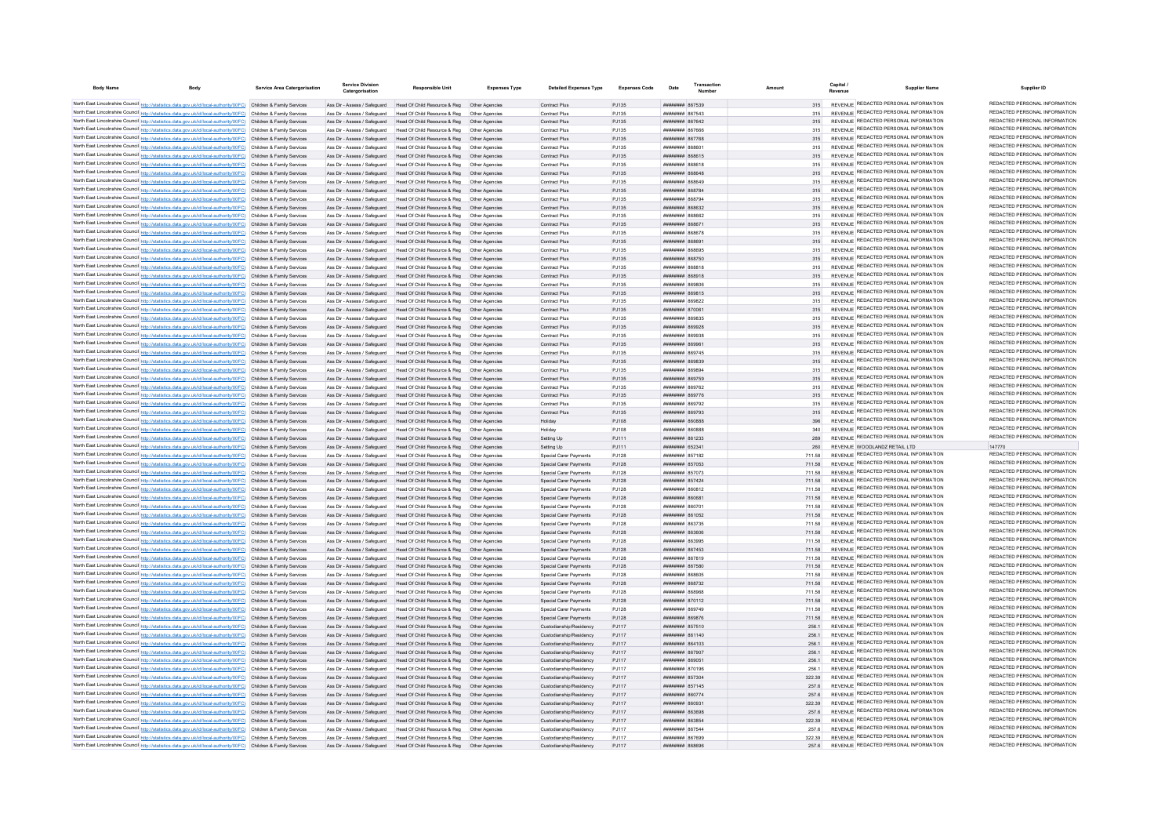| <b>Body Name</b> | <b>Body</b>                                                                                                                                                                                                                            | Service Area Catergorisation | Service Divisio              | Responsible Unit                                                                                                                      | <b>Expenses Type</b> | <b>Detailed Expenses Type</b>                      | <b>Expenses Code</b> | Date                                                   | Transactio |                  | Capital | <b>Supplier Name</b>                                                           | Supplier ID                                                    |
|------------------|----------------------------------------------------------------------------------------------------------------------------------------------------------------------------------------------------------------------------------------|------------------------------|------------------------------|---------------------------------------------------------------------------------------------------------------------------------------|----------------------|----------------------------------------------------|----------------------|--------------------------------------------------------|------------|------------------|---------|--------------------------------------------------------------------------------|----------------------------------------------------------------|
|                  | North East Lincolnshire Council http://statistics.data.gov.uk/id/local-authority/00FC) Children & Family Services                                                                                                                      |                              |                              | Ass Dir - Assess / Safeguard Head Of Child Resource & Reg Other Agencies                                                              |                      | Contract Plus                                      | PJ135                | ######## 867539                                        |            | 315              |         | REVENUE REDACTED PERSONAL INFORMATION                                          | REDACTED PERSONAL INFORMATION                                  |
|                  | North East Lincolnshire Council http://statistics.data.gov.uk/id/local-authority/00FC) Children & Family Services                                                                                                                      |                              |                              | Ass Dir - Assess / Safeguard Head Of Child Resource & Reg Other Agencie                                                               |                      | Contract Plus                                      | PJ135                | <b>пппппппп</b> 867543                                 |            |                  |         | REVENUE REDACTED PERSONAL INFORMATION                                          | REDACTED PERSONAL INFORMATION                                  |
|                  | North East Lincolnshire Council http://statistics.data.gov.uk/id/local-authority/00FC) Children & Family Services                                                                                                                      |                              |                              | Ass Dir - Assess / Safeguard Head Of Child Resource & Reg Other Agencies                                                              |                      | Contract Plus                                      | PJ135                | ######## 867642                                        |            |                  |         | REVENUE REDACTED PERSONAL INFORMATION                                          | REDACTED PERSONAL INFORMATION                                  |
|                  | North East Lincolnshire Council http://statistics.data.gov.uk/id/local-authority/00FC) Children & Family Services                                                                                                                      |                              |                              | Ass Dir - Assess / Safeguard Head Of Child Resource & Reg. Other Agencies                                                             |                      | Contract Plus                                      | PJ135                | <b>HHHHHHH RG7666</b>                                  |            | 315              |         | REVENUE REDACTED PERSONAL INFORMATION                                          | REDACTED PERSONAL INFORMATION                                  |
|                  | North East Lincolnshire Council http://statistics.data.gov.uk/id/local-authority/00FC) Children & Family Services                                                                                                                      |                              |                              | Ass Dir - Assess / Safeguard Head Of Child Resource & Reg. Other Agencies                                                             |                      | Contract Plus                                      | P.1135               | <b><i>BRENHHHH 867768</i></b>                          |            | 315              |         | REVENUE REDACTED PERSONAL INFORMATION                                          | REDACTED PERSONAL INFORMATION                                  |
|                  | North East Lincolnshire Council http://statistics.data.gov.uk/id/local-authority/00FC) Children & Family Services                                                                                                                      |                              |                              | Ass Dir - Assess / Safeguard Head Of Child Resource & Reg. Other Agencies                                                             |                      | Contract Plus                                      | P.1135               | планинин вевер                                         |            | 315              |         | REVENUE REDACTED PERSONAL INFORMATION                                          | REDACTED PERSONAL INFORMATION                                  |
|                  | North East Lincolnshire Council http://statistics.data.gov.uk/id/local-authority/00FC) Children & Family Services                                                                                                                      |                              |                              | Ass Dir - Assess / Safeguard Head Of Child Resource & Reg Other Agencies                                                              |                      | Contract Plus                                      | PJ135                | ######## 868615                                        |            | 315              |         | REVENUE REDACTED PERSONAL INFORMATION                                          | REDACTED PERSONAL INFORMATION                                  |
|                  | North East Lincolnshire Council http://statistics.data.gov.uk/id/local-authority/00FC) Children & Family Services                                                                                                                      |                              |                              | Ass Dir - Assess / Safeguard Head Of Child Resource & Reg  Other Agencies                                                             |                      | Contract Plus                                      | PJ135                | ######## 868618                                        |            | 315              |         | REVENUE REDACTED PERSONAL INFORMATION                                          | REDACTED PERSONAL INFORMATION                                  |
|                  | North East Lincolnshire Council http://statistics.data.gov.uk/id/local-authority/00FC) Children & Family Services                                                                                                                      |                              |                              | Ass Dir - Assess / Safeguard Head Of Child Resource & Reg Other Agencies                                                              |                      | Contract Plus                                      | PJ135                | ######## 868648                                        |            | 315              |         | REVENUE REDACTED PERSONAL INFORMATION                                          | REDACTED PERSONAL INFORMATION                                  |
|                  | North East Lincolnshire Council http://statistics.data.gov.uk/id/local-authority/00FC) Children & Family Services                                                                                                                      |                              |                              | Ass Dir - Assess / Safeguard Head Of Child Resource & Reg  Other Agencies                                                             |                      | Contract Plus                                      | PJ135                | <b>HHHHHHH RGSS49</b>                                  |            | 315              |         | REVENUE REDACTED PERSONAL INFORMATION                                          | REDACTED PERSONAL INFORMATION                                  |
|                  | North East Lincolnshire Council http://statistics.data.gov.uk/id/local-authority/00FC) Children & Family Services                                                                                                                      |                              |                              | Ass Dir - Assess / Safeguard Head Of Child Resource & Reg Other Agencies                                                              |                      | Contract Plus                                      | PJ135                | HHHHHHH 868784                                         |            | 315              |         | REVENUE REDACTED PERSONAL INFORMATION                                          | REDACTED PERSONAL INFORMATION                                  |
|                  | North East Lincolnshire Council http://statistics.data.gov.uk/id/local-authority/00FC) Children & Family Services                                                                                                                      |                              |                              | Ass Dir - Assess / Safeguard Head Of Child Resource & Reg                                                                             | Other Anencies       | Contract Plus                                      | PJ135                | <b>плинини 868794</b>                                  |            | 315              |         | REVENUE REDACTED PERSONAL INFORMATION                                          | REDACTED PERSONAL INFORMATION                                  |
|                  | North East Lincolnshire Council http://statistics.data.gov.uk/id/local-authority/00FC) Children & Family Services                                                                                                                      |                              |                              | Ass Dir - Assess / Safeguard Head Of Child Resource & Reg Other Agencies                                                              |                      | Contract Plus                                      | PJ135                | <b>пппппппп</b> 868632                                 |            | 315              |         | REVENUE REDACTED PERSONAL INFORMATION                                          | REDACTED PERSONAL INFORMATION                                  |
|                  | North East Lincolnshire Council http://statistics.data.gov.uk/id/local-authority/00FC) Children & Family Services                                                                                                                      |                              | Ass Dir - Assess / Safeguard | Head Of Child Resource & Reg                                                                                                          |                      | Contract Plus                                      | PJ135                | ######## 868662                                        |            |                  |         | REVENUE REDACTED PERSONAL INFORMATION                                          | REDACTED PERSONAL INFORMATION                                  |
|                  | North East Lincolnshire Council http://statistics.data.gov.uk/id/local-authority/00FC) Children & Family Services                                                                                                                      |                              |                              | Ass Dir - Assess / Safeguard Head Of Child Resource & Reg Other Agencies                                                              |                      | Contract Plus                                      | PJ135                | ######## 868671                                        |            | 315              |         | REVENUE REDACTED PERSONAL INFORMATION                                          | REDACTED PERSONAL INFORMATION                                  |
|                  | North East Lincolnshire Council http://statistics.data.gov.uk/id/local-authority/00FC) Children & Family Services                                                                                                                      |                              | Ass Dir - Assess / Safeguard | Head Of Child Resource & Reg                                                                                                          | Other Agencie        | Contract Plus                                      | PJ135                | <b>HHHHHHH</b> RGRG78                                  |            | 315              |         | REVENUE REDACTED PERSONAL INFORMATION                                          | REDACTED PERSONAL INFORMATION                                  |
|                  | North East Lincolnshire Council http://statistics.data.gov.uk/id/local-authority/00FC) Children & Family Services                                                                                                                      |                              |                              | Ass Dir - Assess / Safeguard Head Of Child Resource & Reg                                                                             | Other Anencies       | Contract Plus                                      | PJ135                | плинини вевер                                          |            | 315              |         | REVENUE REDACTED PERSONAL INFORMATION                                          | REDACTED PERSONAL INFORMATION                                  |
|                  | North East Lincolnshire Council http://statistics.data.gov.uk/id/local-authority/00FC) Children & Family Services                                                                                                                      |                              | Ass Dir - Assess / Safeguard | Head Of Child Resource & Reg                                                                                                          | Other Agencies       | Contract Plus                                      | PJ135                | HHHHHHH RGRGS                                          |            | 315              |         | REVENUE REDACTED PERSONAL INFORMATION                                          | REDACTED PERSONAL INFORMATION<br>REDACTED PERSONAL INFORMATION |
|                  | North East Lincolnshire Council http://statistics.data.gov.uk/id/local-authority/00FC) Children & Family Services                                                                                                                      |                              |                              | Ass Dir - Assess / Safeguard Head Of Child Resource & Reg Other Agencies                                                              |                      | Contract Plus                                      | PJ135                | ######## 868750                                        |            | 315              |         | REVENUE REDACTED PERSONAL INFORMATION<br>REVENUE REDACTED PERSONAL INFORMATION | REDACTED PERSONAL INFORMATION                                  |
|                  | North East Lincolnshire Council http://statistics.data.gov.uk/id/local-authority/00FC) Children & Family Services                                                                                                                      |                              | Ass Dir - Assess / Safeguard | Head Of Child Resource & Reg                                                                                                          | Other Agencies       | Contract Plus                                      | PJ135                | ######## 868818                                        |            | 315              |         | REVENUE REDACTED PERSONAL INFORMATION                                          | REDACTED PERSONAL INFORMATION                                  |
|                  | North East Lincolnshire Council http://statistics.data.gov.uk/id/local-authority/00FC) Children & Family Services                                                                                                                      |                              |                              | Ass Dir - Assess / Safeguard Head Of Child Resource & Reg Other Agencies                                                              |                      | Contract Plus                                      | PJ135                | ######## 868918                                        |            | 315              |         | REVENUE REDACTED PERSONAL INFORMATION                                          | REDACTED PERSONAL INFORMATION                                  |
|                  | North East Lincolnshire Council http://statistics.data.gov.uk/id/local-authority/00FC) Children & Family Services                                                                                                                      |                              | Ass Dir - Assess / Safeguard | Head Of Child Resource & Reg                                                                                                          | Other Agencie        | Contract Plus                                      | PJ135                | ######## 869806                                        |            | 315              |         | REVENUE REDACTED PERSONAL INFORMATION                                          | REDACTED PERSONAL INFORMATION                                  |
|                  | North East Lincolnshire Council http://statistics.data.gov.uk/id/local-authority/00FC) Children & Family Services                                                                                                                      |                              |                              | Ass Dir - Assess / Safeguard Head Of Child Resource & Reg<br>Ass Dir - Assess / Safeguard Head Of Child Resource & Reg Other Agencies | Other Agencies       | Contract Plus                                      | PJ135                | <b>HUBHHHHH 869815</b>                                 |            | 315              |         | REVENUE REDACTED PERSONAL INFORMATION                                          | REDACTED PERSONAL INFORMATION                                  |
|                  | North East Lincolnshire Council http://statistics.data.gov.uk/id/local-authority/00FC) Children & Family Services                                                                                                                      |                              |                              |                                                                                                                                       |                      | Contract Plus                                      | PJ135                | ######## 869822                                        |            | 315              |         | REVENUE REDACTED PERSONAL INFORMATION                                          | REDACTED PERSONAL INFORMATION                                  |
|                  | North East Lincolnshire Council http://statistics.data.gov.uk/id/local-authority/00FC) Children & Family Services<br>North East Lincolnshire Council http://statistics.data.gov.uk/id/local-authority/00FC) Children & Family Services |                              | Ass Dir - Assess / Safeguard | Ass Dir - Assess / Safeguard Head Of Child Resource & Reg<br>Head Of Child Resource & Reg                                             | Other Agencies       | Contract Plus<br>Contract Plus                     | PJ135<br>PJ135       | ######## 870061<br>######## 86983                      |            | 315<br>315       |         | REVENUE REDACTED PERSONAL INFORMATION                                          | REDACTED PERSONAL INFORMATION                                  |
|                  | North East Lincolnshire Council http://statistics.data.gov.uk/id/local-authority/00FC) Children & Family Services                                                                                                                      |                              |                              |                                                                                                                                       | Other Agencie        |                                                    |                      | ######## 869928                                        |            | 315              |         | REVENUE REDACTED PERSONAL INFORMATION                                          | REDACTED PERSONAL INFORMATION                                  |
|                  | North East Lincolnshire Council http://statistics.data.gov.uk/id/local-authority/00FC) Children & Family Services                                                                                                                      |                              |                              | Ass Dir - Assess / Safeguard Head Of Child Resource & Reg<br>Head Of Child Resource & Reg                                             |                      | Contract Plus                                      | PJ135                | <b>REPORA MUMMUM</b>                                   |            | 315              |         | REVENUE REDACTED PERSONAL INFORMATION                                          | REDACTED PERSONAL INFORMATION                                  |
|                  | North East Lincolnshire Council http://statistics.data.gov.uk/id/local-authority/00FC) Children & Family Services                                                                                                                      |                              | Ass Dir - Assess / Safeguard | Ass Dir - Assess / Safeguard Head Of Child Resource & Reg                                                                             | Other Anencies       | Contract Plus<br>Contract Plus                     | PJ135<br>PJ135       | <b>HHHHHHH RGOOG1</b>                                  |            | 315              |         | REVENUE REDACTED PERSONAL INFORMATION                                          | REDACTED PERSONAL INFORMATION                                  |
|                  | North East Lincolnshire Council http://statistics.data.gov.uk/id/local-authority/00FC) Children & Family Services                                                                                                                      |                              |                              | Ass Dir - Assess / Safeguard Head Of Child Resource & Reg. Other Agencies                                                             |                      | Contract Plus                                      | P.1135               | ######## 869745                                        |            | 315              |         | REVENUE REDACTED PERSONAL INFORMATION                                          | REDACTED PERSONAL INFORMATION                                  |
|                  | North East Lincolnshire Council http://statistics.data.gov.uk/id/local-authority/00FC) Children & Family Services                                                                                                                      |                              |                              | Ass Dir - Assess / Safeguard Head Of Child Resource & Reg. Other Agencies                                                             |                      | Contract Plus                                      | P.1135               | PERRAR MUNICIPAL                                       |            | 315              |         | REVENUE REDACTED PERSONAL INFORMATION                                          | REDACTED PERSONAL INFORMATION                                  |
|                  | North East Lincolnshire Council http://statistics.data.gov.uk/id/local-authority/00FC) Children & Family Services                                                                                                                      |                              |                              | Ass Dir - Assess / Safeguard Head Of Child Resource & Reg. Other Agencies                                                             |                      | Contract Plus                                      | PJ135                | HHHHHHH 869894                                         |            | 315              |         | REVENUE REDACTED PERSONAL INFORMATION                                          | REDACTED PERSONAL INFORMATION                                  |
|                  | North East Lincolnshire Council http://statistics.data.gov.uk/id/local-authority/00FC) Children & Family Services                                                                                                                      |                              |                              | Ass Dir - Assess / Safeguard Head Of Child Resource & Reg  Other Agencies                                                             |                      | Contract Plus                                      | PJ135                | ######## 869759                                        |            | 315              |         | REVENUE REDACTED PERSONAL INFORMATION                                          | REDACTED PERSONAL INFORMATION                                  |
|                  | North East Lincolnshire Council http://statistics.data.gov.uk/id/local-authority/00FC) Children & Family Services                                                                                                                      |                              |                              | Ass Dir - Assess / Safeguard Head Of Child Resource & Reg  Other Agencies                                                             |                      | Contract Plus                                      | PJ135                | <b>######## 869762</b>                                 |            | 315              |         | REVENUE REDACTED PERSONAL INFORMATION                                          | REDACTED PERSONAL INFORMATION                                  |
|                  | North East Lincolnshire Council http://statistics.data.gov.uk/id/local-authority/00FC) Children & Family Services                                                                                                                      |                              |                              | Ass Dir - Assess / Safeguard Head Of Child Resource & Reg Other Agencies                                                              |                      | Contract Plus                                      | PJ135                | <b>######## 869776</b>                                 |            | 315              |         | REVENUE REDACTED PERSONAL INFORMATION                                          | REDACTED PERSONAL INFORMATION                                  |
|                  | North East Lincolnshire Council http://statistics.data.gov.uk/id/local-authority/00FC) Children & Family Services                                                                                                                      |                              |                              | Ass Dir - Assess / Safeguard Head Of Child Resource & Reg. Other Agencies                                                             |                      | Contract Plus                                      | P.1135               | <b>плинини 869792</b>                                  |            | 315              |         | REVENUE REDACTED PERSONAL INFORMATION                                          | REDACTED PERSONAL INFORMATION                                  |
|                  | North East Lincolnshire Council http://statistics.data.gov.uk/id/local-authority/00FC) Children & Family Services                                                                                                                      |                              |                              | Ass Dir - Assess / Safeguard Head Of Child Resource & Reg. Other Agencies                                                             |                      | Contract Plus                                      | P.1135               | <b>HHHHHHH 869793</b>                                  |            | 315              |         | REVENUE REDACTED PERSONAL INFORMATION                                          | REDACTED PERSONAL INFORMATION                                  |
|                  | North East Lincolnshire Council http://statistics.data.gov.uk/id/local-authority/00FC) Children & Family Services                                                                                                                      |                              |                              | Ass Dir - Assess / Safeguard Head Of Child Resource & Reg                                                                             | Other Anencies       | Holiday                                            | PJ108                | HHHHHHH 860888                                         |            | 396              |         | REVENUE REDACTED PERSONAL INFORMATION                                          | REDACTED PERSONAL INFORMATION                                  |
|                  | North East Lincolnshire Council http://statistics.data.gov.uk/id/local-authority/00FC) Children & Family Services                                                                                                                      |                              | Ass Dir - Assess / Safeguard | Head Of Child Resource & Reg                                                                                                          |                      | Holidav                                            | PJ108                | BAGGAR MARBARA                                         |            |                  |         | REVENUE REDACTED PERSONAL INFORMATION                                          | REDACTED PERSONAL INFORMATION                                  |
|                  | North East Lincolnshire Council http://statistics.data.gov.uk/id/local-authority/00FC) Children & Family Services                                                                                                                      |                              | Ass Dir - Assess / Safeguard | Head Of Child Resource & Reg                                                                                                          |                      | Setting Up                                         | PJ111                | ######## 861233                                        |            | 289              |         | REVENUE REDACTED PERSONAL INFORMATION                                          | REDACTED PERSONAL INFORMATION                                  |
|                  | North East Lincolnshire Council http://statistics.data.gov.uk/id/local-authority/00FC) Children & Family Services                                                                                                                      |                              |                              | Ass Dir - Assess / Safeguard Head Of Child Resource & Reg                                                                             | Other Anencies       | Setting Up                                         | PJ111                | ######## 652341                                        |            | 260              |         | REVENUE WOODLANDZ RETAIL LTD                                                   | 147770                                                         |
|                  | North East Lincolnshire Council http://statistics.data.gov.uk/id/local-authority/00FC) Children & Family Services                                                                                                                      |                              |                              | Ass Dir - Assess / Safeguard Head Of Child Resource & Reg. Other Agencies                                                             |                      | Special Carer Payments                             | P.1128               | <b>HUBHHHHH</b> 857182                                 |            | 711.58           |         | REVENUE REDACTED PERSONAL INFORMATION                                          | REDACTED PERSONAL INFORMATION                                  |
|                  | North East Lincolnshire Council http://statistics.data.gov.uk/id/local-authority/00FC) Children & Family Services                                                                                                                      |                              |                              | Ass Dir - Assess / Safeguard Head Of Child Resource & Reg. Other Agencies                                                             |                      | Snecial Carer Payments                             | P.1128               | ######## 857053                                        |            | 711.58           |         | REVENUE REDACTED PERSONAL INFORMATION                                          | REDACTED PERSONAL INFORMATION                                  |
|                  | North East Lincolnshire Council http://statistics.data.gov.uk/id/local-authority/00FC) Children & Family Services                                                                                                                      |                              |                              | Ass Dir - Assess / Safeguard Head Of Child Resource & Reg                                                                             | Other Anencies       | Special Carer Payments                             | PJ128                | <b><i>BRESHHHH 857073</i></b>                          |            | 711.58           |         | REVENUE REDACTED PERSONAL INFORMATION                                          | REDACTED PERSONAL INFORMATION                                  |
|                  | North East Lincolnshire Council http://statistics.data.gov.uk/id/local-authority/00FC) Children & Family Services                                                                                                                      |                              |                              | Ass Dir - Assess / Safeguard Head Of Child Resource & Reg                                                                             | Other Agencies       | Special Carer Payments                             | PJ128                | ######## 857424                                        |            | 711.58           |         | REVENUE REDACTED PERSONAL INFORMATION                                          | REDACTED PERSONAL INFORMATION                                  |
|                  | North East Lincolnshire Council http://statistics.data.gov.uk/id/local-authority/00FC) Children & Family Services                                                                                                                      |                              |                              | Ass Dir - Assess / Safeguard Head Of Child Resource & Reg                                                                             | Other Agencie        | Special Carer Payments                             | PJ128                | ######## 860812                                        |            | 711.58           |         | REVENUE REDACTED PERSONAL INFORMATION                                          | REDACTED PERSONAL INFORMATION                                  |
|                  | North East Lincolnshire Council http://statistics.data.gov.uk/id/local-authority/00FC) Children & Family Services                                                                                                                      |                              |                              | Ass Dir - Assess / Safeguard Head Of Child Resource & Reg                                                                             | Other Agencies       | Special Carer Payments                             | PJ128                | ######## 860681                                        |            | 711.58           |         | REVENUE REDACTED PERSONAL INFORMATION<br>REVENUE REDACTED PERSONAL INFORMATION | REDACTED PERSONAL INFORMATION<br>REDACTED PERSONAL INFORMATION |
|                  | North East Lincolnshire Council http://statistics.data.gov.uk/id/local-authority/00FC) Children & Family Services                                                                                                                      |                              | Ass Dir - Assess / Safeguard | Head Of Child Resource & Reg                                                                                                          | Other Anencies       | Special Carer Payments                             | P.1128               | ######## 860701                                        |            | 711.58           |         | REVENUE REDACTED PERSONAL INFORMATION                                          | REDACTED PERSONAL INFORMATION                                  |
|                  | North East Lincolnshire Council http://statistics.data.gov.uk/id/local-authority/00FC) Children & Family Services                                                                                                                      |                              | Ass Dir - Assess / Safeguard | Head Of Child Resource & Reg                                                                                                          | Other Agencies       | Special Carer Payments                             | PJ128                | ######## 861052                                        |            | 711.58           |         | REVENUE REDACTED PERSONAL INFORMATION                                          | REDACTED PERSONAL INFORMATION                                  |
|                  | North East Lincolnshire Council http://statistics.data.gov.uk/id/local-authority/00FC) Children & Family Services                                                                                                                      |                              | Ass Dir - Assess / Safeguard | Head Of Child Resource & Reg                                                                                                          | Other Anencie        | Special Carer Payments                             | PJ128                | ######## 863735                                        |            | 711.58           |         | REVENUE REDACTED PERSONAL INFORMATION                                          | REDACTED PERSONAL INFORMATION                                  |
|                  | North East Lincolnshire Council http://statistics.data.gov.uk/id/local-authority/00FC) Children & Family Services                                                                                                                      |                              | Ass Dir - Assess / Safeguard | Head Of Child Resource & Reg                                                                                                          | Other Agencies       | Special Carer Payments                             | PJ128                | ######## 863606<br>######## 863995                     |            | 711.58           |         | REVENUE REDACTED PERSONAL INFORMATION                                          | REDACTED PERSONAL INFORMATION                                  |
|                  | North East Lincolnshire Council http://statistics.data.gov.uk/id/local-authority/00FC) Children & Family Services                                                                                                                      |                              |                              | Ass Dir - Assess / Safeguard Head Of Child Resource & Reg<br>Ass Dir - Assess / Safeguard Head Of Child Resource & Reg                | Other Agencies       | Special Carer Payments                             | PJ128                | ######## 867453                                        |            | 711.58           |         | REVENUE REDACTED PERSONAL INFORMATION                                          | REDACTED PERSONAL INFORMATION                                  |
|                  | North East Lincolnshire Council http://statistics.data.gov.uk/id/local-authority/00FC) Children & Family Services<br>North East Lincolnshire Council http://statistics.data.gov.uk/id/local-authority/00FC) Children & Family Services |                              |                              | Ass Dir - Assess / Safeguard Head Of Child Resource & Reg                                                                             | Other Anencies       | Special Carer Payments<br>Special Carer Payments   | PJ128<br>P.1128      | <b>########</b> 867819                                 |            | 711.58<br>711.58 |         | REVENUE REDACTED PERSONAL INFORMATION                                          | REDACTED PERSONAL INFORMATION                                  |
|                  | North East Lincolnshire Council http://statistics.data.gov.uk/id/local-authority/00FC) Children & Family Services                                                                                                                      |                              |                              | Ass Dir - Assess / Safeguard Head Of Child Resource & Reg  Other Agencies                                                             |                      | Special Carer Payments                             | PJ128                | ######## 867580                                        |            | 711.58           |         | REVENUE REDACTED PERSONAL INFORMATION                                          | REDACTED PERSONAL INFORMATION                                  |
|                  | North East Lincolnshire Council http://statistics.data.gov.uk/id/local-authority/00FC) Children & Family Services                                                                                                                      |                              |                              | Ass Dir - Assess / Safeguard Head Of Child Resource & Reg Other Agencies                                                              |                      | Special Carer Payments                             | PJ128                | HHHHHHH 868605                                         |            | 711.58           |         | REVENUE REDACTED PERSONAL INFORMATION                                          | REDACTED PERSONAL INFORMATION                                  |
|                  | North East Lincolnshire Council http://statistics.data.gov.uk/id/local-authority/00FC) Children & Family Services                                                                                                                      |                              |                              | Ass Dir - Assess / Safeguard Head Of Child Resource & Reg Other Agencies                                                              |                      | Special Carer Payments                             | PJ128                | ######## 868732                                        |            | 711.58           |         | REVENUE REDACTED PERSONAL INFORMATION                                          | REDACTED PERSONAL INFORMATION                                  |
|                  | North East Lincolnshire Council http://statistics.data.gov.uk/id/local-authority/00FC) Children & Family Services                                                                                                                      |                              |                              | Ass Dir - Assess / Safeguard Head Of Child Resource & Reg Other Agencies                                                              |                      | Special Carer Payments                             | PJ128                | ######## 868968                                        |            | 711.58           |         | REVENUE REDACTED PERSONAL INFORMATION                                          | REDACTED PERSONAL INFORMATION                                  |
|                  | North East Lincolnshire Council http://statistics.data.gov.uk/id/local-authority/00FC) Children & Family Services                                                                                                                      |                              |                              | Ass Dir - Assess / Safeguard Head Of Child Resource & Reg Other Agencies                                                              |                      | Special Carer Payments                             | PJ128                | ######## 870112                                        |            | 711.58           |         | REVENUE REDACTED PERSONAL INFORMATION                                          | REDACTED PERSONAL INFORMATION                                  |
|                  | North East Lincolnshire Council http://statistics.data.gov.uk/id/local-authority/00FC) Children & Family Services                                                                                                                      |                              |                              | Ass Dir - Assess / Safeguard Head Of Child Resource & Reg Other Agencies                                                              |                      | Special Carer Payments                             | P.1128               | <b>пппппппп</b> 869749                                 |            | 711.58           |         | REVENUE REDACTED PERSONAL INFORMATION                                          | REDACTED PERSONAL INFORMATION                                  |
|                  | North East Lincolnshire Council http://statistics.data.gov.uk/id/local-authority/00FC) Children & Family Services                                                                                                                      |                              |                              | Ass Dir - Assess / Safeguard Head Of Child Resource & Reg Other Agencies                                                              |                      | Special Carer Payments                             | PJ128                | ######## 869876                                        |            | 711.58           |         | REVENUE REDACTED PERSONAL INFORMATION                                          | REDACTED PERSONAL INFORMATION                                  |
|                  | North East Lincolnshire Council http://statistics.data.gov.uk/id/local-authority/00FC) Children & Family Services                                                                                                                      |                              |                              | Ass Dir - Assess / Safeguard Head Of Child Resource & Reg Other Agencies                                                              |                      | Custodianship/Residency                            | PJ117                | ######## 857510                                        |            | 256.1            |         | REVENUE REDACTED PERSONAL INFORMATION                                          | REDACTED PERSONAL INFORMATION                                  |
|                  | North East Lincolnshire Council http://statistics.data.gov.uk/id/local-authority/00FC) Children & Family Services                                                                                                                      |                              | Ass Dir - Assess / Safeguard | Head Of Child Resource & Reg                                                                                                          | Other Agencies       | Custodianship/Residency                            | PJ117                | ######## 861140                                        |            | 256.1            |         | REVENUE REDACTED PERSONAL INFORMATION                                          | REDACTED PERSONAL INFORMATION                                  |
|                  | North East Lincolnshire Council http://statistics.data.gov.uk/id/local-authority/00FC) Children & Family Services                                                                                                                      |                              | Ass Dir - Assess / Safeguard | Head Of Child Resource & Reg                                                                                                          |                      | Custodianship/Residency                            | PJ117                | ######## 864103                                        |            | 256.             |         | <b>REVENUE REDACTED PERSONAL INFORMATION</b>                                   | REDACTED PERSONAL INFORMATION                                  |
|                  | North East Lincolnshire Council http://statistics.data.gov.uk/id/local-authority/00FC) Children & Family Services                                                                                                                      |                              | Ass Dir - Assess / Safeguard | Head Of Child Resource & Reg                                                                                                          | Other Agencie        | Custodianship/Residency                            | PJ117                | ######## 867907                                        |            | 256.             |         | REVENUE REDACTED PERSONAL INFORMATION                                          | REDACTED PERSONAL INFORMATION                                  |
|                  | North East Lincolnshire Council http://statistics.data.gov.uk/id/local-authority/00FC) Children & Family Services                                                                                                                      |                              |                              | Ass Dir - Assess / Safeguard Head Of Child Resource & Reg                                                                             | Other Anencies       | Custodianship/Residency                            | P.I117               | <b>HHHHHHH 869051</b>                                  |            | 2561             |         | REVENUE REDACTED PERSONAL INFORMATION                                          | REDACTED PERSONAL INFORMATION                                  |
|                  | North East Lincolnshire Council http://statistics.data.gov.uk/id/local-authority/00FC) Children & Family Services                                                                                                                      |                              |                              | Ass Dir - Assess / Safeguard Head Of Child Resource & Reg. Other Agencies                                                             |                      | Custodianship/Residency                            | P.1117               | <b>HHHHHHH</b> 870196                                  |            | 2561             |         | REVENUE REDACTED PERSONAL INFORMATION                                          | REDACTED PERSONAL INFORMATION                                  |
|                  | North East Lincolnshire Council http://statistics.data.gov.uk/id/local-authority/00FC) Children & Family Services                                                                                                                      |                              | Ass Dir - Assess / Safeguard | Head Of Child Resource & Reg                                                                                                          | Other Anencies       | Custodianship/Residency                            | P.I117               | ######## 857304                                        |            | 322.39           |         | REVENUE REDACTED PERSONAL INFORMATION                                          | REDACTED PERSONAL INFORMATION                                  |
|                  | North East Lincolnshire Council http://statistics.data.gov.uk/id/local-authority/00FC) Children & Family Services                                                                                                                      |                              | Ass Dir - Assess / Saferward | Head Of Child Resource & Reg                                                                                                          | Other Anencies       | Custodianship/Residency                            | P.I117               | ######## 857145                                        |            | 257.6            |         | REVENUE REDACTED PERSONAL INFORMATION                                          | REDACTED PERSONAL INFORMATION                                  |
|                  | North East Lincolnshire Council http://statistics.data.gov.uk/id/local-authority/00FC) Children & Family Services                                                                                                                      |                              | Ass Dir - Assess / Safeguard | Head Of Child Resource & Reg                                                                                                          |                      | Custodianship/Residency                            | PJ117                | <b>HHHHHHHH</b> 860774                                 |            | 257.6            |         | REVENUE REDACTED PERSONAL INFORMATION                                          | REDACTED PERSONAL INFORMATION                                  |
|                  | North East Lincolnshire Council http://statistics.data.gov.uk/id/local-authority/00FC) Children & Family Services                                                                                                                      |                              |                              | Ass Dir - Assess / Safeguard Head Of Child Resource & Reg                                                                             |                      | Custodianship/Residency                            | PJ117                | ######## 860931                                        |            | 322 39           |         | REVENUE REDACTED PERSONAL INFORMATION                                          | REDACTED PERSONAL INFORMATION                                  |
|                  | North East Lincolnshire Council http://statistics.data.gov.uk/id/local-authority/00FC) Children & Family Services                                                                                                                      |                              |                              | Ass Dir - Assess / Safeguard Head Of Child Resource & Reg                                                                             | Other Agencies       | Custodianship/Residency                            | PJ117                | HHHHHHH R63698                                         |            | 257.6            |         | REVENUE REDACTED PERSONAL INFORMATION<br>REVENUE REDACTED PERSONAL INFORMATION | REDACTED PERSONAL INFORMATION<br>REDACTED PERSONAL INFORMATION |
|                  | North East Lincolnshire Council http://statistics.data.gov.uk/id/local-authority/00FC) Children & Family Services                                                                                                                      |                              |                              | Ass Dir - Assess / Safeguard Head Of Child Resource & Reg                                                                             | Other Anencies       | Custodianship/Residency                            | PJ117                | <b>BREEZER 863854</b>                                  |            | 322.39           |         | REVENUE REDACTED PERSONAL INFORMATION                                          | REDACTED PERSONAL INFORMATION                                  |
|                  | North East Lincolnshire Council http://statistics.data.gov.uk/id/local-authority/00FC) Children & Family Services<br>North East Lincolnshire Council http://statistics.data.gov.uk/id/local-authority/00FC) Children & Family Services |                              |                              | Ass Dir - Assess / Safeguard Head Of Child Resource & Reg. Other Agencies                                                             |                      | Custodianship/Residency                            | P.1117<br>P.I117     | <b><i>BREEZEEE</i></b> 867544<br><b>плинини 867699</b> |            | 257.6            |         | REVENUE REDACTED PERSONAL INFORMATION                                          | REDACTED PERSONAL INFORMATION                                  |
|                  | North East Lincolnshire Council http://statistics.data.gov.uk/id/local-authority/00FC) Children & Family Services                                                                                                                      |                              |                              | Ass Dir - Assess / Safeguard Head Of Child Resource & Reg Other Agencies<br>Ass Dir - Assess / Safeguard Head Of Child Resource & Reg |                      | Custodianship/Residency<br>Custodianship/Residency | PJ117                | PASAR MEMBERS                                          |            | 322.39<br>257.6  |         | REVENUE REDACTED PERSONAL INFORMATION                                          | REDACTED PERSONAL INFORMATION                                  |
|                  |                                                                                                                                                                                                                                        |                              |                              |                                                                                                                                       |                      |                                                    |                      |                                                        |            |                  |         |                                                                                |                                                                |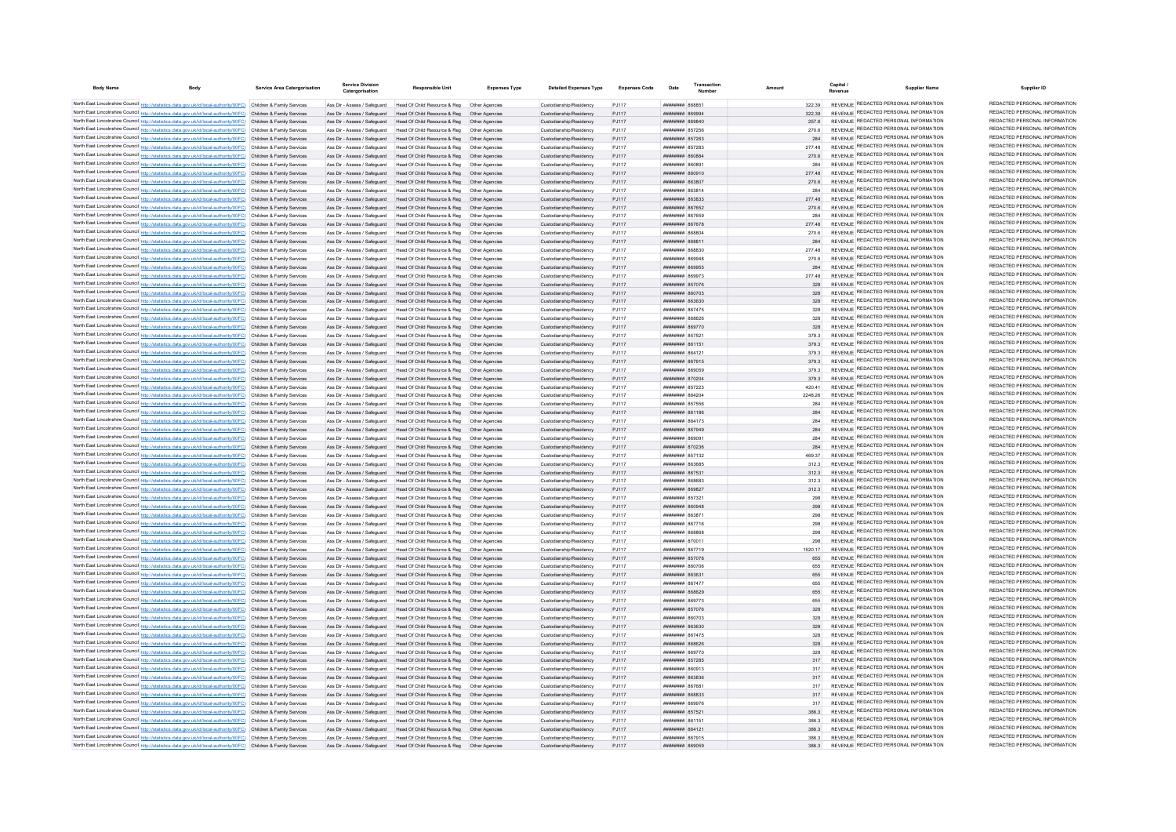| <b>Body Name</b> |                                                                                                                                                                                                                                        | Service Area Catergorisation | <b>Service Division</b><br>Catergorisation                   | <b>Responsible Unit</b>                                                                                                   | <b>Expenses Type</b> | <b>Detailed Expenses Type</b>                      | <b>Expenses Code</b> | Date                                                   | Transaction |                | Capital | <b>Supplier Name</b>                                                           | Supplier ID                                                    |
|------------------|----------------------------------------------------------------------------------------------------------------------------------------------------------------------------------------------------------------------------------------|------------------------------|--------------------------------------------------------------|---------------------------------------------------------------------------------------------------------------------------|----------------------|----------------------------------------------------|----------------------|--------------------------------------------------------|-------------|----------------|---------|--------------------------------------------------------------------------------|----------------------------------------------------------------|
|                  | North East Lincolnshire Council http://statistics.data.gov.uk/id/local-authority/00FC) Children & Family Services                                                                                                                      |                              |                                                              | Ass Dir - Assess / Safeguard Head Of Child Resource & Reg. Other Agencies                                                 |                      | Custodianship/Residency                            | P.I117               | <b>HUHHHHH 868851</b>                                  |             | 322.39         |         | REVENUE REDACTED PERSONAL INFORMATION                                          | REDACTED PERSONAL INFORMATION                                  |
|                  | North East Lincolnshire Council http://statistics.data.gov.uk/id/local-authority/00FC) Children & Family Services                                                                                                                      |                              | Ass Dir - Assess / Safeguard                                 | Head Of Child Resource & Reg   Other Agencies                                                                             |                      | Custodianship/Residency                            | P.I117               | BRRASS HHHHHH                                          |             | 322 39         |         | REVENUE REDACTED PERSONAL INFORMATION                                          | REDACTED PERSONAL INFORMATION                                  |
|                  | North East Lincolnshire Council http://statistics.data.gov.uk/id/local-authority/00FC) Children & Family Services                                                                                                                      |                              | Ass Dir - Assess / Safeguard                                 | Head Of Child Resource & Reg                                                                                              | Other Agencies       | Custodianship/Residency                            | P.I117               | OPSOSS HERBERT                                         |             | 257.6          |         | REVENUE REDACTED PERSONAL INFORMATION                                          | REDACTED PERSONAL INFORMATION                                  |
|                  | North East Lincolnshire Council http://statistics.data.gov.uk/id/local-authority/00FC) Children & Family Services                                                                                                                      |                              | Ass Dir - Assess / Safeguard                                 | Head Of Child Resource & Reg                                                                                              |                      | Custodianship/Residency                            | PJ117                | <b>######## 857256</b>                                 |             | 270.6          |         | REVENUE REDACTED PERSONAL INFORMATION                                          | REDACTED PERSONAL INFORMATION                                  |
|                  | North East Lincolnshire Council http://statistics.data.gov.uk/id/local-authority/00FC) Children & Family Services                                                                                                                      |                              | Ass Dir - Assess / Safeguard                                 | Head Of Child Resource & Reg   Other Agencies                                                                             |                      | Custodianship/Residency                            | PJ117                | <b>пппппппп</b> 857263                                 |             | 284            |         | REVENUE REDACTED PERSONAL INFORMATION                                          | REDACTED PERSONAL INFORMATION                                  |
|                  | North East Lincolnshire Council http://statistics.data.gov.uk/id/local-authority/00FC) Children & Family Services                                                                                                                      |                              | Ass Dir - Assess / Safeguard                                 | Head Of Child Resource & Reg                                                                                              | Other Anencies       | Custodianship/Residency                            | P.I117               | <b>HHHHHHH</b> 857283                                  |             | 277 48         |         | REVENUE REDACTED PERSONAL INFORMATION                                          | REDACTED PERSONAL INFORMATION                                  |
|                  | North East Lincolnshire Council http://statistics.data.gov.uk/id/local-authority/00FC) Children & Family Services                                                                                                                      |                              |                                                              | Ass Dir - Assess / Safeguard Head Of Child Resource & Reg. Other Agencies                                                 |                      | Custodianship/Residency                            | P.I117               | HHHHHHH 860884                                         |             | 270.6          |         | REVENUE REDACTED PERSONAL INFORMATION                                          | REDACTED PERSONAL INFORMATION                                  |
|                  | North East Lincolnshire Council http://statistics.data.gov.uk/id/local-authority/00FC) Children & Family Services                                                                                                                      |                              |                                                              | Ass Dir - Assess / Safeguard Head Of Child Resource & Reg Other Agencies                                                  |                      | Custodianship/Residency                            | P.I117               | нининни вбово-                                         |             | 284            |         | REVENUE REDACTED PERSONAL INFORMATION                                          | REDACTED PERSONAL INFORMATION                                  |
|                  | North East Lincolnshire Council http://statistics.data.gov.uk/id/local-authority/00FC) Children & Family Services                                                                                                                      |                              |                                                              | Ass Dir - Assess / Safeguard Head Of Child Resource & Reg. Other Agencies                                                 |                      | Custodianship/Residency                            | PJ117                | <b>HUHHHHH 860910</b>                                  |             | 277.48         |         | REVENUE REDACTED PERSONAL INFORMATION                                          | REDACTED PERSONAL INFORMATION                                  |
|                  | North East Lincolnshire Council http://statistics.data.gov.uk/id/local-authority/00FC) Children & Family Services                                                                                                                      |                              |                                                              | Ass Dir - Assess / Safeguard Head Of Child Resource & Reg  Other Agencies                                                 |                      | Custodianship/Residency                            | PJ117                | ######## 863807                                        |             | 270.6          |         | REVENUE REDACTED PERSONAL INFORMATION                                          | REDACTED PERSONAL INFORMATION<br>REDACTED PERSONAL INFORMATION |
|                  | North East Lincolnshire Council http://statistics.data.gov.uk/id/local-authority/00FC) Children & Family Services                                                                                                                      |                              | Ass Dir - Assess / Safeguard                                 | Head Of Child Resource & Reg  Other Agencies                                                                              |                      | Custodianship/Residency                            | PJ117                | ######## 863814                                        |             | 284            |         | REVENUE REDACTED PERSONAL INFORMATION<br>REVENUE REDACTED PERSONAL INFORMATION | REDACTED PERSONAL INFORMATION                                  |
|                  | North East Lincolnshire Council http://statistics.data.gov.uk/id/local-authority/00FC) Children & Family Services                                                                                                                      |                              | Ass Dir - Assess / Saferward                                 | Head Of Child Resource & Reg                                                                                              | Other Anencies       | Custodianship/Residency                            | P.I117               | <i><b>HHHHHHH 863833</b></i>                           |             | 277 48         |         | REVENUE REDACTED PERSONAL INFORMATION                                          | REDACTED PERSONAL INFORMATION                                  |
|                  | North East Lincolnshire Council http://statistics.data.gov.uk/id/local-authority/00FC) Children & Family Services                                                                                                                      |                              |                                                              | Ass Dir - Assess / Safeguard Head Of Child Resource & Reg                                                                 | Other Anencies       | Custodianship/Residency                            | P.I117<br>P.I117     | <b><i>BREARBAR</i></b> 867652<br><b>HHHHHHH 867659</b> |             | 270.6<br>284   |         | REVENUE REDACTED PERSONAL INFORMATION                                          | REDACTED PERSONAL INFORMATION                                  |
|                  | North East Lincolnshire Council http://statistics.data.gov.uk/id/local-authority/00FC) Children & Family Services<br>North East Lincolnshire Council http://statistics.data.gov.uk/id/local-authority/00FC) Children & Family Services |                              | Ass Dir - Assess / Safeguard<br>Ass Dir - Assess / Safeguard | Head Of Child Resource & Reg<br>Head Of Child Resource & Reg                                                              | Other Anencies       | Custodianship/Residency<br>Custodianship/Residency | PJ117                | ######## 867678                                        |             | 277.48         |         | <b>REVENLIE REDACTED PERSONAL INFORMATION</b>                                  | REDACTED PERSONAL INFORMATION                                  |
|                  | North East Lincolnshire Council http://statistics.data.gov.uk/id/local-authority/00FC) Children & Family Services                                                                                                                      |                              | Ass Dir - Assess / Safeguard                                 | Head Of Child Resource & Reg                                                                                              |                      | Custodianship/Residency                            | PJ117                |                                                        |             | 270.6          |         | REVENUE REDACTED PERSONAL INFORMATION                                          | REDACTED PERSONAL INFORMATION                                  |
|                  | North East Lincolnshire Council http://statistics.data.gov.uk/id/local-authority/00FC) Children & Family Services                                                                                                                      |                              | Ass Dir - Assess / Safeguard                                 | Head Of Child Resource & Reg                                                                                              | Other Agencies       | Custodianship/Residency                            | PJ117                | <b>HHHHHHH 868811</b>                                  |             | 284            |         | REVENUE REDACTED PERSONAL INFORMATION                                          | REDACTED PERSONAL INFORMATION                                  |
|                  | North East Lincolnshire Council http://statistics.data.gov.uk/id/local-authority/00FC) Children & Family Services                                                                                                                      |                              | Ass Dir - Assess / Saferward                                 | Head Of Child Resource & Reg. Other Agencies                                                                              |                      | Custodianship/Residency                            | P.I117               | BERRAN BERREE                                          |             | 277 48         |         | <b>REVENUE REDACTED PERSONAL INFORMATION</b>                                   | REDACTED PERSONAL INFORMATION                                  |
|                  | North East Lincolnshire Council http://statistics.data.gov.uk/id/local-authority/00FC) Children & Family Services                                                                                                                      |                              | Ass Dir - Assess / Safeguard                                 | Head Of Child Resource & Reg                                                                                              | Other Anencies       | Custodianship/Residency                            | P.I117               | HHHHHHH 869948                                         |             | 270.6          |         | REVENUE REDACTED PERSONAL INFORMATION                                          | REDACTED PERSONAL INFORMATION                                  |
|                  | North East Lincolnshire Council http://statistics.data.gov.uk/id/local-authority/00FC) Children & Family Services                                                                                                                      |                              | Ass Dir - Assess / Safeguard                                 | Head Of Child Resource & Reg  Other Agencies                                                                              |                      | Custodianship/Residency                            | PJ117                | ######## 869955                                        |             | 284            |         | REVENUE REDACTED PERSONAL INFORMATION                                          | REDACTED PERSONAL INFORMATION                                  |
|                  | North East Lincolnshire Council http://statistics.data.gov.uk/id/local-authority/00FC) Children & Family Services                                                                                                                      |                              | Ass Dir - Assess / Safeguard                                 | Head Of Child Resource & Reg   Other Agencie                                                                              |                      | Custodianship/Residency                            | PJ117                | ######## 869973                                        |             | 277.48         |         | REVENUE REDACTED PERSONAL INFORMATION                                          | REDACTED PERSONAL INFORMATION                                  |
|                  | North East Lincolnshire Council http://statistics.data.gov.uk/id/local-authority/00FC) Children & Family Services                                                                                                                      |                              | Ass Dir - Assess / Safeguard                                 | Head Of Child Resource & Reg  Other Agencie                                                                               |                      | Custodianship/Residency                            | PJ117                | ######## 857076                                        |             | 328            |         | REVENUE REDACTED PERSONAL INFORMATION                                          | REDACTED PERSONAL INFORMATION                                  |
|                  | North East Lincolnshire Council http://statistics.data.gov.uk/id/local-authority/00FC) Children & Family Services                                                                                                                      |                              | Ass Dir - Assess / Safeguard                                 | Head Of Child Resource & Reg                                                                                              | Other Agencies       | Custodianship/Residency                            | PJ117                | ######## 860703                                        |             | 328            |         | REVENUE REDACTED PERSONAL INFORMATION                                          | REDACTED PERSONAL INFORMATION                                  |
|                  | North East Lincolnshire Council http://statistics.data.gov.uk/id/local-authority/00FC) Children & Family Services                                                                                                                      |                              | Ass Dir - Assess / Safeguard                                 | Head Of Child Resource & Reg                                                                                              | Other Anencies       | Custodianship/Residency                            | PJ117                | ######## 863630                                        |             | 328            |         | REVENUE REDACTED PERSONAL INFORMATION                                          | REDACTED PERSONAL INFORMATION                                  |
|                  | North East Lincolnshire Council http://statistics.data.gov.uk/id/local-authority/00FC) Children & Family Services                                                                                                                      |                              | Ass Dir - Assess / Safeguard                                 | Head Of Child Resource & Reg                                                                                              | Other Anencies       | Custodianship/Residency                            | PJ117                | <b><i>BRENHHHH</i></b> 867475                          |             | 328            |         | REVENUE REDACTED PERSONAL INFORMATION                                          | REDACTED PERSONAL INFORMATION                                  |
|                  | North East Lincolnshire Council http://statistics.data.gov.uk/id/local-authority/00FC) Children & Family Services                                                                                                                      |                              | Ass Dir - Assess / Safeguard                                 | Head Of Child Resource & Reg                                                                                              | Other Anencies       | Custodianship/Residency                            | PJ117                | ниннини вевере                                         |             | 328            |         | REVENUE REDACTED PERSONAL INFORMATION                                          | REDACTED PERSONAL INFORMATION<br>REDACTED PERSONAL INFORMATION |
|                  | North East Lincolnshire Council http://statistics.data.gov.uk/id/local-authority/00FC) Children & Family Services                                                                                                                      |                              | Ass Dir - Assess / Safeguard                                 | Head Of Child Resource & Reg                                                                                              | Other Agencies       | Custodianship/Residency                            | PJ117                | ######## 869770                                        |             | 328            |         | REVENUE REDACTED PERSONAL INFORMATION                                          | REDACTED PERSONAL INFORMATION                                  |
|                  | North East Lincolnshire Council http://statistics.data.gov.uk/id/local-authority/00FC) Children & Family Services                                                                                                                      |                              | Ass Dir - Assess / Safeguard                                 | Head Of Child Resource & Reg                                                                                              |                      | Custodianship/Residency                            | PJ117                | ####### 85752                                          |             | 379.3          |         | REVENUE REDACTED PERSONAL INFORMATION<br>REVENUE REDACTED PERSONAL INFORMATION | REDACTED PERSONAL INFORMATION                                  |
|                  | North East Lincolnshire Council http://statistics.data.gov.uk/id/local-authority/00FC) Children & Family Services<br>North East Lincolnshire Council http://statistics.data.gov.uk/id/local-authority/00FC) Children & Family Services |                              | Ass Dir - Assess / Safeguard<br>Ass Dir - Assess / Safeguard | Head Of Child Resource & Reg<br>Head Of Child Resource & Reg  Other Agencies                                              |                      | Custodianship/Residency<br>Custodianship/Residency | PJ117<br>P.I117      | <b>HHHHHHH</b> 861151<br><b>ППИНИНИ 864121</b>         |             | 379.3<br>379.3 |         | REVENUE REDACTED PERSONAL INFORMATION                                          | REDACTED PERSONAL INFORMATION                                  |
|                  | North East Lincolnshire Council http://statistics.data.gov.uk/id/local-authority/00FC) Children & Family Services                                                                                                                      |                              |                                                              | Ass Dir - Assess / Safeguard Head Of Child Resource & Reg. Other Agencies                                                 |                      | Custodianship/Residency                            | PJ117                | <b>HHHHHHH 867915</b>                                  |             | 3793           |         | REVENUE REDACTED PERSONAL INFORMATION                                          | REDACTED PERSONAL INFORMATION                                  |
|                  | North East Lincolnshire Council http://statistics.data.gov.uk/id/local-authority/00FC) Children & Family Services                                                                                                                      |                              |                                                              | Ass Dir - Assess / Safeguard Head Of Child Resource & Reg  Other Agencies                                                 |                      | Custodianship/Residency                            | PJ117                | <b>####### 869059</b>                                  |             | 379.3          |         | REVENUE REDACTED PERSONAL INFORMATION                                          | REDACTED PERSONAL INFORMATION                                  |
|                  | North East Lincolnshire Council http://statistics.data.gov.uk/id/local-authority/00FC) Children & Family Services                                                                                                                      |                              |                                                              | Ass Dir - Assess / Safeguard Head Of Child Resource & Reg  Other Agencies                                                 |                      | Custodianship/Residency                            | PJ117                | ####### 870204                                         |             | 379.3          |         | REVENUE REDACTED PERSONAL INFORMATION                                          | REDACTED PERSONAL INFORMATION                                  |
|                  | North East Lincolnshire Council http://statistics.data.gov.uk/id/local-authority/00FC) Children & Family Services                                                                                                                      |                              |                                                              | Ass Dir - Assess / Safeguard Head Of Child Resource & Reg Other Agencies                                                  |                      | Custodianship/Residency                            | PJ117                | ######## 857223                                        |             | 420.41         |         | REVENUE REDACTED PERSONAL INFORMATION                                          | REDACTED PERSONAL INFORMATION                                  |
|                  | North East Lincolnshire Council http://statistics.data.gov.uk/id/local-authority/00FC) Children & Family Services                                                                                                                      |                              |                                                              | Ass Dir - Assess / Safeguard Head Of Child Resource & Reg Other Agencies                                                  |                      | Custodianship/Residency                            | PJ117                | ######## 864204                                        |             | 2248.26        |         | REVENUE REDACTED PERSONAL INFORMATION                                          | REDACTED PERSONAL INFORMATION                                  |
|                  | North East Lincolnshire Council http://statistics.data.gov.uk/id/local-authority/00FC) Children & Family Services                                                                                                                      |                              | Ass Dir - Assess / Safeguard                                 | Head Of Child Resource & Reg                                                                                              | Other Anencies       | Custodianship/Residency                            | PJ117                | ####### 857556                                         |             | 284            |         | REVENUE REDACTED PERSONAL INFORMATION                                          | REDACTED PERSONAL INFORMATION                                  |
|                  | North East Lincolnshire Council http://statistics.data.gov.uk/id/local-authority/00FC) Children & Family Services                                                                                                                      |                              |                                                              | Ass Dir - Assess / Safeguard Head Of Child Resource & Reg. Other Agencies                                                 |                      | Custodianship/Residency                            | P.I117               | <b>пппппппп</b> 861186                                 |             | 284            |         | REVENUE REDACTED PERSONAL INFORMATION                                          | REDACTED PERSONAL INFORMATION                                  |
|                  | North East Lincolnshire Council http://statistics.data.gov.uk/id/local-authority/00FC) Children & Family Services                                                                                                                      |                              | Ass Dir - Assess / Safeguard                                 | Head Of Child Resource & Reg                                                                                              | Other Anencies       | Custodianship/Residency                            | PJ117                | ####### 864173                                         |             | 284            |         | REVENUE REDACTED PERSONAL INFORMATION                                          | REDACTED PERSONAL INFORMATION                                  |
|                  | North East Lincolnshire Council http://statistics.data.gov.uk/id/local-authority/00FC) Children & Family Services                                                                                                                      |                              | Ass Dir - Assess / Safeguard                                 | Head Of Child Resource & Reg                                                                                              |                      | Custodianship/Residency                            | PJ117                | ######## 867949                                        |             | 284            |         | REVENUE REDACTED PERSONAL INFORMATION                                          | REDACTED PERSONAL INFORMATION                                  |
|                  | North East Lincolnshire Council http://statistics.data.gov.uk/id/local-authority/00FC) Children & Family Services                                                                                                                      |                              | Ass Dir - Assess / Safeguard                                 | Head Of Child Resource & Reg                                                                                              |                      | Custodianship/Residency                            | PJ117                |                                                        |             | 284            |         | REVENUE REDACTED PERSONAL INFORMATION                                          | REDACTED PERSONAL INFORMATION                                  |
|                  | North East Lincolnshire Council http://statistics.data.gov.uk/id/local-authority/00FC) Children & Family Services                                                                                                                      |                              | Ass Dir - Assess / Safeguard                                 | Head Of Child Resource & Reg                                                                                              |                      | Custodianship/Residency                            | PJ117                | ######## 870236                                        |             | 284            |         | REVENUE REDACTED PERSONAL INFORMATION                                          | REDACTED PERSONAL INFORMATION                                  |
|                  | North East Lincolnshire Council http://statistics.data.gov.uk/id/local-authority/00FC) Children & Family Services                                                                                                                      |                              | Ass Dir - Assess / Safeguard                                 | Head Of Child Resource & Reg                                                                                              | Other Anencies       | Custodianship/Residency                            | PJ117                | <b>HHHHHHH 857132</b>                                  |             | 469.37         |         | REVENUE REDACTED PERSONAL INFORMATION<br>REVENUE REDACTED PERSONAL INFORMATION | REDACTED PERSONAL INFORMATION<br>REDACTED PERSONAL INFORMATION |
|                  | North East Lincolnshire Council http://statistics.data.gov.uk/id/local-authority/00FC). Children & Family Services                                                                                                                     |                              | Ass Dir - Assess / Safeguard                                 | Head Of Child Resource & Reg                                                                                              | Other Anencies       | Custodianship/Residency                            | PJ117                | <b>пппппппп</b> 863685                                 |             | 312.3          |         | REVENUE REDACTED PERSONAL INFORMATION                                          | REDACTED PERSONAL INFORMATION                                  |
|                  | North East Lincolnshire Council http://statistics.data.gov.uk/id/local-authority/00FC) Children & Family Services                                                                                                                      |                              | Ass Dir - Assess / Safeguard<br>Ass Dir - Assess / Safeguard | Head Of Child Resource & Reg  Other Agencies<br>Head Of Child Resource & Reg   Other Agencies                             |                      | Custodianship/Residency<br>Custodianship/Residency | PJ117<br>PJ117       | ######## 867531<br>######## 868683                     |             | 312.3<br>312.3 |         | REVENUE REDACTED PERSONAL INFORMATION                                          | REDACTED PERSONAL INFORMATION                                  |
|                  | North East Lincolnshire Council http://statistics.data.gov.uk/id/local-authority/00FC) Children & Family Services<br>North East Lincolnshire Council http://statistics.data.gov.uk/id/local-authority/00FC) Children & Family Services |                              |                                                              | Ass Dir - Assess / Safeguard Head Of Child Resource & Reg Other Agencies                                                  |                      | Custodianship/Residency                            | PJ117                | ######## 86982                                         |             | 312.3          |         | REVENUE REDACTED PERSONAL INFORMATION                                          | REDACTED PERSONAL INFORMATION                                  |
|                  | North East Lincolnshire Council http://statistics.data.gov.uk/id/local-authority/00FC) Children & Family Services                                                                                                                      |                              | Ass Dir - Assess / Safeguard                                 | Head Of Child Resource & Reg                                                                                              | Other Agencie        | Custodianship/Residency                            | PJ117                | ######## 85732                                         |             | 298            |         | REVENUE REDACTED PERSONAL INFORMATION                                          | REDACTED PERSONAL INFORMATION                                  |
|                  | North East Lincolnshire Council http://statistics.data.gov.uk/id/local-authority/00FC) Children & Family Services                                                                                                                      |                              | Ass Dir - Assess / Safeguard                                 | Head Of Child Resource & Reg                                                                                              | Other Agencies       | Custodianship/Residency                            | PJ117                | ######## 860948                                        |             | 298            |         | REVENUE REDACTED PERSONAL INFORMATION                                          | REDACTED PERSONAL INFORMATION                                  |
|                  | North East Lincolnshire Council http://statistics.data.gov.uk/id/local-authority/00FC) Children & Family Services                                                                                                                      |                              | Ass Dir - Assess / Safeguard                                 | Head Of Child Resource & Reg                                                                                              | Other Agencies       | Custodianship/Residency                            | PJ117                | ######## 86387                                         |             | 298            |         | REVENUE REDACTED PERSONAL INFORMATION                                          | REDACTED PERSONAL INFORMATION                                  |
|                  | North East Lincolnshire Council http://statistics.data.gov.uk/id/local-authority/00FC) Children & Family Services                                                                                                                      |                              | Ass Dir - Assess / Safeguard                                 | Head Of Child Resource & Reg                                                                                              | Other Agencies       | Custodianship/Residency                            | PJ117                | ######## 867716                                        |             | 298            |         | REVENUE REDACTED PERSONAL INFORMATION                                          | REDACTED PERSONAL INFORMATION                                  |
|                  | North East Lincolnshire Council http://statistics.data.gov.uk/id/local-authority/00FC) Children & Family Services                                                                                                                      |                              | Ass Dir - Assess / Safeguard                                 | Head Of Child Resource & Reg                                                                                              | Other Agencies       | Custodianship/Residency                            | PJ117                | ####### 868861                                         |             | 298            |         | REVENUE REDACTED PERSONAL INFORMATION                                          | REDACTED PERSONAL INFORMATION                                  |
|                  | North East Lincolnshire Council http://statistics.data.gov.uk/id/local-authority/00FC) Children & Family Services                                                                                                                      |                              | Ass Dir - Assess / Safeguard                                 | Head Of Child Resource & Reg                                                                                              |                      | Custodianship/Residency                            | PJ117                | ######## 87001                                         |             | 298            |         | REVENUE REDACTED PERSONAL INFORMATION                                          | REDACTED PERSONAL INFORMATION                                  |
|                  | North East Lincolnshire Council http://statistics.data.gov.uk/id/local-authority/00FC) Children & Family Services                                                                                                                      |                              | Ass Dir - Assess / Safeguard                                 | Head Of Child Resource & Reg                                                                                              |                      | Custodianship/Residency                            | PJ117                | ####### 867719                                         |             | 1520.17        |         | REVENUE REDACTED PERSONAL INFORMATION                                          | REDACTED PERSONAL INFORMATION                                  |
|                  | North East Lincolnshire Council http://statistics.data.gov.uk/id/local-authority/00FC) Children & Family Services                                                                                                                      |                              | Ass Dir - Assess / Safeguard                                 | Head Of Child Resource & Reg                                                                                              | Other Anencies       | Custodianship/Residency                            | PJ117                | <b><i>HHHHHHHH 857078</i></b>                          |             | 655            |         | REVENUE REDACTED PERSONAL INFORMATION                                          | REDACTED PERSONAL INFORMATION                                  |
|                  | North East Lincolnshire Council http://statistics.data.gov.uk/id/local-authority/00FC) Children & Family Services                                                                                                                      |                              |                                                              | Ass Dir - Assess / Safeguard Head Of Child Resource & Reg  Other Agencies                                                 |                      | Custodianship/Residency                            | PJ117                | ######## 860706                                        |             | 655            |         | REVENUE REDACTED PERSONAL INFORMATION                                          | REDACTED PERSONAL INFORMATION                                  |
|                  | North East Lincolnshire Council http://statistics.data.gov.uk/id/local-authority/00FC) Children & Family Services                                                                                                                      |                              |                                                              | Ass Dir - Assess / Safeguard Head Of Child Resource & Reg  Other Agencies                                                 |                      | Custodianship/Residency                            | PJ117                | ######## 86363                                         |             | 655            |         | REVENUE REDACTED PERSONAL INFORMATION                                          | REDACTED PERSONAL INFORMATION                                  |
|                  | North East Lincolnshire Council http://statistics.data.gov.uk/id/local-authority/00FC) Children & Family Services                                                                                                                      |                              |                                                              | Ass Dir - Assess / Safeguard Head Of Child Resource & Reg Other Agencies                                                  |                      | Custodianship/Residency                            | PJ117                | ####### 86747                                          |             | 655            |         | REVENUE REDACTED PERSONAL INFORMATION                                          | REDACTED PERSONAL INFORMATION<br>REDACTED PERSONAL INFORMATION |
|                  | North East Lincolnshire Council http://statistics.data.gov.uk/id/local-authority/00FC) Children & Family Services                                                                                                                      |                              |                                                              | Ass Dir - Assess / Safeguard Head Of Child Resource & Reg Other Agencies                                                  |                      | Custodianship/Residency                            | PJ117                | ######## 868629                                        |             | 655            |         | REVENUE REDACTED PERSONAL INFORMATION<br>REVENUE REDACTED PERSONAL INFORMATION | REDACTED PERSONAL INFORMATION                                  |
|                  | North East Lincolnshire Council http://statistics.data.gov.uk/id/local-authority/00FC) Children & Family Services                                                                                                                      |                              | Ass Dir - Assess / Safeguard                                 | Head Of Child Resource & Reg   Other Agencies                                                                             |                      | Custodianship/Residency                            | PJ117                | ######## 869773                                        |             | 655<br>328     |         | REVENUE REDACTED PERSONAL INFORMATION                                          | REDACTED PERSONAL INFORMATION                                  |
|                  | North East Lincolnshire Council http://statistics.data.gov.uk/id/local-authority/00FC) Children & Family Services<br>North East Lincolnshire Council http://statistics.data.gov.uk/id/local-authority/00FC) Children & Family Services |                              | Ass Dir - Assess / Safeguard                                 | Ass Dir - Assess / Safeguard Head Of Child Resource & Reg Other Agencies<br>Head Of Child Resource & Reg   Other Agencies |                      | Custodianship/Residency<br>Custodianship/Residency | P.I117<br>P.I117     | <b>HHHHHHH 857076</b><br>E07038 HHHHHHH                |             | 328            |         | REVENUE REDACTED PERSONAL INFORMATION                                          | REDACTED PERSONAL INFORMATION                                  |
|                  | North East Lincolnshire Council http://statistics.data.gov.uk/id/local-authority/00FC) Children & Family Services                                                                                                                      |                              |                                                              | Ass Dir - Assess / Safeguard Head Of Child Resource & Reg. Other Agencies                                                 |                      | Custodianship/Residency                            | P.I117               | FRACAS MARBARA                                         |             | 328            |         | REVENUE REDACTED PERSONAL INFORMATION                                          | REDACTED PERSONAL INFORMATION                                  |
|                  | North East Lincolnshire Council http://statistics.data.gov.uk/id/local-authority/00FC) Children & Family Services                                                                                                                      |                              | Ass Dir - Assess / Safeguard                                 | Head Of Child Resource & Reg                                                                                              | Other Anencies       | Custodianship/Residency                            | P.I117               |                                                        |             | 328            |         | REVENUE REDACTED PERSONAL INFORMATION                                          | REDACTED PERSONAL INFORMATION                                  |
|                  | North East Lincolnshire Council http://statistics.data.gov.uk/id/local-authority/00FC) Children & Family Services                                                                                                                      |                              | Ass Dir - Assess / Safeguard                                 | Head Of Child Resource & Reg                                                                                              |                      | Custodianship/Residency                            | PJ117                | ######## 868626                                        |             | 328            |         | REVENUE REDACTED PERSONAL INFORMATION                                          | REDACTED PERSONAL INFORMATION                                  |
|                  | North East Lincolnshire Council http://statistics.data.gov.uk/id/local-authority/00FC) Children & Family Services                                                                                                                      |                              | Ass Dir - Assess / Safeguard                                 | Head Of Child Resource & Reg                                                                                              |                      | Custodianship/Residency                            | PJ117                | <b>HANNAHA RAST70</b>                                  |             |                |         | REVENUE REDACTED PERSONAL INFORMATION                                          | REDACTED PERSONAL INFORMATION                                  |
|                  | North East Lincolnshire Council http://statistics.data.gov.uk/id/local-authority/00FC) Children & Family Services                                                                                                                      |                              | Ass Dir - Assess / Safeguard                                 | Head Of Child Resource & Reg                                                                                              | Other Anencies       | Custodianship/Residency                            | P.I117               | ######## 857285                                        |             | 317            |         | REVENUE REDACTED PERSONAL INFORMATION                                          | REDACTED PERSONAL INFORMATION                                  |
|                  | North East Lincolnshire Council http://statistics.data.gov.uk/id/local-authority/00FC) Children & Family Services                                                                                                                      |                              | Ass Dir - Assess / Saferward                                 | Head Of Child Resource & Reg. Other Agencies                                                                              |                      | Custodianship/Residency                            | P.I117               | ######## 860913                                        |             | 317            |         | REVENUE REDACTED PERSONAL INFORMATION                                          | REDACTED PERSONAL INFORMATION                                  |
|                  | North East Lincolnshire Council http://statistics.data.gov.uk/id/local-authority/00FC) Children & Family Services                                                                                                                      |                              |                                                              | Ass Dir - Assess / Safeguard Head Of Child Resource & Reg. Other Agencies                                                 |                      | Custodianship/Residency                            | P.I117               |                                                        |             | 317            |         | REVENUE REDACTED PERSONAL INFORMATION                                          | REDACTED PERSONAL INFORMATION                                  |
|                  | North East Lincolnshire Council http://statistics.data.gov.uk/id/local-authority/00FC) Children & Family Services                                                                                                                      |                              | Ass Dir - Assess / Safeguard                                 | Head Of Child Resource & Reg   Other Agencies                                                                             |                      | Custodianship/Residency                            | P.1117               | <b>пппппппп</b> 86768                                  |             | 317            |         | REVENUE REDACTED PERSONAL INFORMATION                                          | REDACTED PERSONAL INFORMATION                                  |
|                  | North East Lincolnshire Council http://statistics.data.gov.uk/id/local-authority/00FC) Children & Family Services                                                                                                                      |                              |                                                              | Ass Dir - Assess / Safeguard Head Of Child Resource & Reg Other Agencies                                                  |                      | Custodianship/Residency                            | PJ117                | ######## 868833                                        |             | 317            |         | REVENUE REDACTED PERSONAL INFORMATION                                          | REDACTED PERSONAL INFORMATION                                  |
|                  | North East Lincolnshire Council http://statistics.data.gov.uk/id/local-authority/00FC) Children & Family Services                                                                                                                      |                              | Ass Dir - Assess / Safeguard                                 | Head Of Child Resource & Reg   Other Agencie                                                                              |                      | Custodianship/Residency                            | PJ117                | ######## 869976                                        |             | 317            |         | REVENUE REDACTED PERSONAL INFORMATION                                          | REDACTED PERSONAL INFORMATION                                  |
|                  | North East Lincolnshire Council http://statistics.data.gov.uk/id/local-authority/00FC) Children & Family Services                                                                                                                      |                              |                                                              | Ass Dir - Assess / Safeguard Head Of Child Resource & Reg                                                                 | Other Agencies       | Custodianship/Residency                            | PJ117                | ######## 85752                                         |             | 3863           |         | REVENUE REDACTED PERSONAL INFORMATION                                          | REDACTED PERSONAL INFORMATION                                  |
|                  | North East Lincolnshire Council http://statistics.data.gov.uk/id/local-authority/00FC) Children & Family Services                                                                                                                      |                              | Ass Dir - Assess / Saferward                                 | Head Of Child Resource & Reg                                                                                              | Other Anencies       | Custodianship/Residency                            | P.I117               | ######## 86115                                         |             | 3863           |         | REVENUE REDACTED PERSONAL INFORMATION                                          | REDACTED PERSONAL INFORMATION                                  |
|                  | North East Lincolnshire Council http://statistics.data.gov.uk/id/local-authority/00FC) Children & Family Services                                                                                                                      |                              |                                                              | Ass Dir - Assess / Safeguard Head Of Child Resource & Reg. Other Agencies                                                 |                      | Custodianship/Residency                            | P.I117               | <b>HHHHHHHH 864121</b>                                 |             | 3863           |         | REVENUE REDACTED PERSONAL INFORMATION                                          | REDACTED PERSONAL INFORMATION                                  |
|                  | North East Lincolnshire Council http://statistics.data.gov.uk/id/local-authority/00FC) Children & Family Services                                                                                                                      |                              |                                                              | Ass Dir - Assess / Safeguard Head Of Child Resource & Reg Other Agencies                                                  |                      | Custodianship/Residency                            | P.I117               | <b>HHHHHHH 867915</b>                                  |             | 3863           |         | REVENUE REDACTED PERSONAL INFORMATION                                          | REDACTED PERSONAL INFORMATION<br>REDACTED PERSONAL INFORMATION |
|                  | North East Lincolnshire Council http://statistics.data.gov.uk/id/local-authority/00FC) Children & Family Services                                                                                                                      |                              | Ass Dir - Assess / Safeguard                                 | Head Of Child Resource & Reg                                                                                              | Other Agencie        | Custodianship/Residency                            | PJ117                |                                                        |             | 386.3          |         | REVENUE REDACTED PERSONAL INFORMATION                                          |                                                                |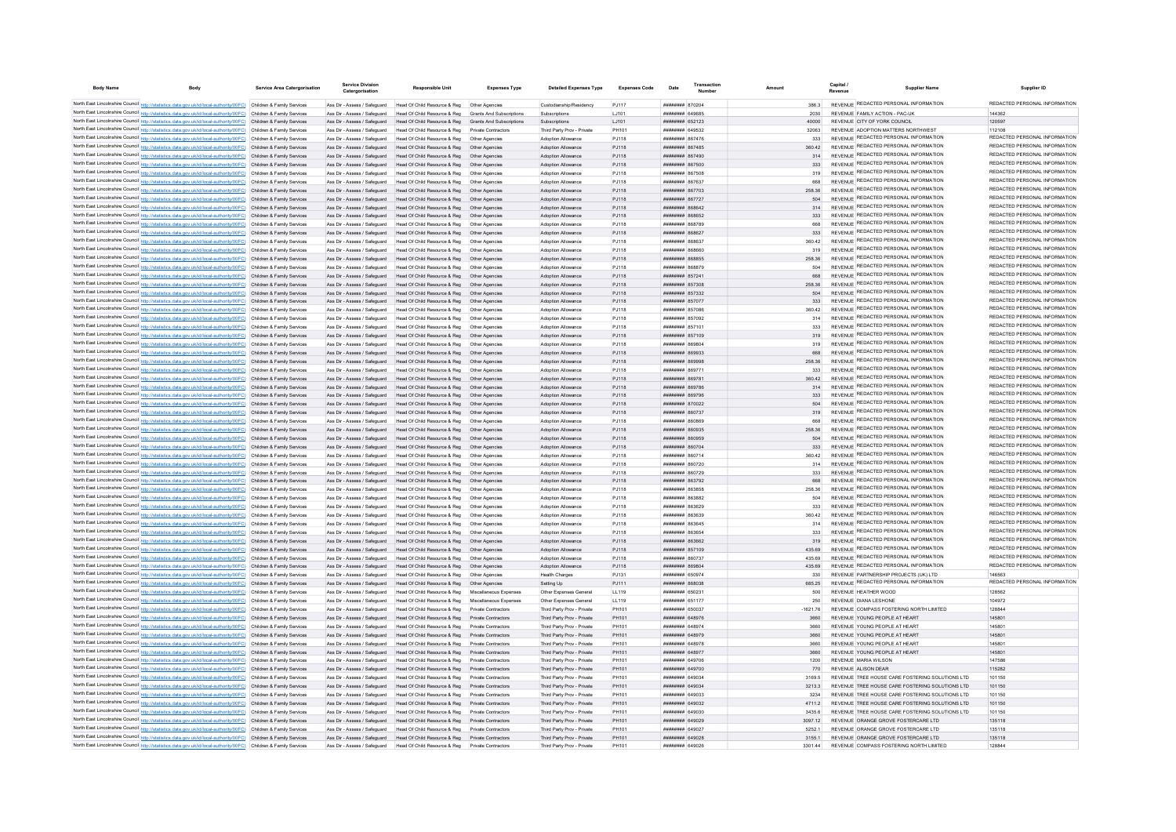| <b>Body Name</b> | <b>Body</b>                                                                                                                                                                                                                            | <b>Service Area Catergorisation</b> | <b>Service Division</b><br>Catergorisatio                    | <b>Responsible Unit</b>                                                                                  | <b>Expenses Type</b>                       | <b>Detailed Expenses Type</b>                            | <b>Expenses Code</b> | Date                                      | Transaction | Amount |               | Capital | <b>Supplier Name</b>                                                                  | Supplier ID                                                    |
|------------------|----------------------------------------------------------------------------------------------------------------------------------------------------------------------------------------------------------------------------------------|-------------------------------------|--------------------------------------------------------------|----------------------------------------------------------------------------------------------------------|--------------------------------------------|----------------------------------------------------------|----------------------|-------------------------------------------|-------------|--------|---------------|---------|---------------------------------------------------------------------------------------|----------------------------------------------------------------|
|                  |                                                                                                                                                                                                                                        |                                     |                                                              |                                                                                                          |                                            |                                                          |                      |                                           |             |        |               |         | REVENUE REDACTED PERSONAL INFORMATION                                                 | REDACTED PERSONAL INFORMATION                                  |
|                  | North East Lincolnshire Council http://statistics.data.gov.uk/id/local-authority/00FC) Children & Family Services<br>North East Lincolnshire Council http://statistics.data.gov.uk/id/local-authority/00FC) Children & Family Services |                                     | Ass Dir - Assess / Safeguard                                 | Ass Dir - Assess / Safeguard Head Of Child Resource & Reg Other Agencies<br>Head Of Child Resource & Reg | <b>Grants And Subscriptions</b>            | Custodianship/Residency<br>Subscriptions                 | P.I117<br>LJ101      | ######## 870204<br>BARAN HEEBHEER         |             |        | 3863<br>2030  |         | REVENUE FAMILY ACTION - PAC-UK                                                        | 144362                                                         |
|                  | North East Lincolnshire Council http://statistics.data.gov.uk/id/local-authority/00FC) Children & Family Services                                                                                                                      |                                     | Ass Dir - Assess / Safeguard                                 | Head Of Child Resource & Reg                                                                             | Grants And Subscriptions                   | Subscriptions                                            | LJ101                | ####### 652123                            |             |        | 40000         |         | REVENUE CITY OF YORK COUNCIL                                                          | 120597                                                         |
|                  | North East Lincolnshire Council http://statistics.data.gov.uk/id/local-authority/00FC) Children & Family Services                                                                                                                      |                                     | Ass Dir - Assess / Safeguard                                 | Head Of Child Resource & Reg                                                                             | Private Contractors                        | Third Party Prov - Private                               | PH101                | <b>ПЕВЕЦИЕ 649532</b>                     |             |        | 32063         |         | REVENUE ADOPTION MATTERS NORTHWEST                                                    | 112108                                                         |
|                  | North East Lincolnshire Council http://statistics.data.gov.uk/id/local-authority/00FC) Children & Family Services                                                                                                                      |                                     |                                                              | Ass Dir - Assess / Safeguard Head Of Child Resource & Reg. Other Agencies                                |                                            | <b>Adoption Allowance</b>                                | P.I118               | <b>пппппппп</b> 867476                    |             |        | 333           |         | REVENUE REDACTED PERSONAL INFORMATION                                                 | REDACTED PERSONAL INFORMATION                                  |
|                  | North East Lincolnshire Council http://statistics.data.gov.uk/id/local-authority/00FC) Children & Family Services                                                                                                                      |                                     | Ass Dir - Assess / Safeguard                                 | Head Of Child Resource & Reg. Other Agencies                                                             |                                            | Adoption Allowance                                       | PJ118                | <b>пппппппп</b> 867485                    |             |        | 360.42        |         | REVENUE REDACTED PERSONAL INFORMATION                                                 | REDACTED PERSONAL INFORMATION                                  |
|                  | North East Lincolnshire Council http://statistics.data.gov.uk/id/local-authority/00FC) Children & Family Services                                                                                                                      |                                     |                                                              | Ass Dir - Assess / Safeguard Head Of Child Resource & Reg Other Agencies                                 |                                            | <b>Adoption Allowance</b>                                | PJ118                | <b>HHHHHHH 867490</b>                     |             |        | 314           |         | REVENUE REDACTED PERSONAL INFORMATION                                                 | REDACTED PERSONAL INFORMATION                                  |
|                  | North East Lincolnshire Council http://statistics.data.gov.uk/id/local-authority/00FC) Children & Family Services                                                                                                                      |                                     |                                                              | Ass Dir - Assess / Safeguard Head Of Child Resource & Reg  Other Agencies                                |                                            | Adoption Allowance                                       | PJ118                | ######## 867500                           |             |        | 333           |         | REVENUE REDACTED PERSONAL INFORMATION                                                 | REDACTED PERSONAL INFORMATION                                  |
|                  | North East Lincolnshire Council http://statistics.data.gov.uk/id/local-authority/00FC) Children & Family Services                                                                                                                      |                                     |                                                              | Ass Dir - Assess / Safeguard Head Of Child Resource & Reg Other Agencies                                 |                                            | Adoption Allowance                                       | PJ118                | ######## 867508                           |             |        | 319           |         | REVENUE REDACTED PERSONAL INFORMATION                                                 | REDACTED PERSONAL INFORMATION                                  |
|                  | North East Lincolnshire Council http://statistics.data.gov.uk/id/local-authority/00FC) Children & Family Services                                                                                                                      |                                     | Ass Dir - Assess / Safeguard                                 | Head Of Child Resource & Reg                                                                             | Other Agencies                             | Adoption Allowance                                       | PJ118                | ######## 867637                           |             |        | 668           |         | REVENUE REDACTED PERSONAL INFORMATION                                                 | REDACTED PERSONAL INFORMATION                                  |
|                  | North East Lincolnshire Council http://statistics.data.gov.uk/id/local-authority/00FC) Children & Family Services                                                                                                                      |                                     | Ass Dir - Assess / Safeguard                                 | Head Of Child Resource & Reg                                                                             | Other Agencies                             | Adoption Allowance                                       | P.I118               | <b>пппппппп</b> 867703                    |             |        | 258.36        |         | REVENUE REDACTED PERSONAL INFORMATION                                                 | REDACTED PERSONAL INFORMATION                                  |
|                  | North East Lincolnshire Council http://statistics.data.gov.uk/id/local-authority/00FC) Children & Family Services                                                                                                                      |                                     | Ass Dir - Assess / Safeguard                                 | Head Of Child Resource & Reg                                                                             | Other Agencies                             | Adoption Allowance                                       | PJ118                | ######## 867727                           |             |        | 504           |         | REVENUE REDACTED PERSONAL INFORMATION                                                 | REDACTED PERSONAL INFORMATION                                  |
|                  | North East Lincolnshire Council http://statistics.data.gov.uk/id/local-authority/00FC) Children & Family Services                                                                                                                      |                                     | Ass Dir - Assess / Safeguard                                 | Head Of Child Resource & Reg                                                                             | Other Anencies                             | Adoption Allowance                                       | PJ118                | ######## 868642                           |             |        | 314           |         | REVENUE REDACTED PERSONAL INFORMATION                                                 | REDACTED PERSONAL INFORMATION<br>REDACTED PERSONAL INFORMATION |
|                  | North East Lincolnshire Council http://statistics.data.gov.uk/id/local-authority/00FC) Children & Family Services                                                                                                                      |                                     | Ass Dir - Assess / Safeguard                                 | Head Of Child Resource & Reg                                                                             | Other Agencies                             | Adoption Allowance                                       | PJ118                | ######## 868652                           |             |        | 333           |         | REVENUE REDACTED PERSONAL INFORMATION<br><b>REVENUE REDACTED PERSONAL INFORMATION</b> | REDACTED PERSONAL INFORMATION                                  |
|                  | North East Lincolnshire Council http://statistics.data.gov.uk/id/local-authority/00FC) Children & Family Services                                                                                                                      |                                     | Ass Dir - Assess / Safeguard                                 | Head Of Child Resource & Reg                                                                             |                                            | Adoption Allowance                                       | PJ118                | ######## 868789                           |             |        | 668           |         | REVENUE REDACTED PERSONAL INFORMATION                                                 | REDACTED PERSONAL INFORMATION                                  |
|                  | North East Lincolnshire Council http://statistics.data.gov.uk/id/local-authority/00FC) Children & Family Services                                                                                                                      |                                     | Ass Dir - Assess / Safeguard<br>Ass Dir - Assess / Safeguard | Head Of Child Resource & Reg<br>Head Of Child Resource & Reg                                             | Other Anencies                             | Adoption Allowance                                       | PJ118<br>PJ118       | ######## 868627<br><b>пппппппп</b> 868637 |             |        | 333<br>360.42 |         | REVENUE REDACTED PERSONAL INFORMATION                                                 | REDACTED PERSONAL INFORMATION                                  |
|                  | North East Lincolnshire Council http://statistics.data.gov.uk/id/local-authority/00FC) Children & Family Services<br>North East Lincolnshire Council http://statistics.data.gov.uk/id/local-authority/00FC) Children & Family Services |                                     | Ass Dir - Assess / Safeguard                                 | Head Of Child Resource & Reg                                                                             | Other Agencies                             | Adoption Allowance<br>Adoption Allowance                 | PJ118                | ######## 868660                           |             |        | 319           |         | REVENUE REDACTED PERSONAL INFORMATION                                                 | REDACTED PERSONAL INFORMATION                                  |
|                  | North East Lincolnshire Council http://statistics.data.gov.uk/id/local-authority/00FC) Children & Family Services                                                                                                                      |                                     | Ass Dir - Assess / Safeguard                                 | Head Of Child Resource & Reg  Other Agencies                                                             |                                            | Adoption Allowance                                       | PJ118                | ######## 868855                           |             |        | 258.36        |         | REVENUE REDACTED PERSONAL INFORMATION                                                 | REDACTED PERSONAL INFORMATION                                  |
|                  | North East Lincolnshire Council http://statistics.data.gov.uk/id/local-authority/00FC) Children & Family Services                                                                                                                      |                                     | Ass Dir - Assess / Safeguard                                 | Head Of Child Resource & Reg                                                                             | Other Agencies                             | Adoption Allowance                                       | PJ118                | ######## 868879                           |             |        | 504           |         | REVENUE REDACTED PERSONAL INFORMATION                                                 | REDACTED PERSONAL INFORMATION                                  |
|                  | North East Lincolnshire Council http://statistics.data.gov.uk/id/local-authority/00FC) Children & Family Services                                                                                                                      |                                     | Ass Dir - Assess / Safeguard                                 | Head Of Child Resource & Reg                                                                             | Other Agencie                              | Adoption Allowance                                       | PJ118                | ######## 85724                            |             |        | 888           |         | REVENUE REDACTED PERSONAL INFORMATION                                                 | REDACTED PERSONAL INFORMATION                                  |
|                  | North East Lincolnshire Council http://statistics.data.gov.uk/id/local-authority/00FC) Children & Family Services                                                                                                                      |                                     | Ass Dir - Assess / Safeguard                                 | Head Of Child Resource & Reg                                                                             | Other Agencie                              | Adoption Allowance                                       | PJ118                | ######## 857301                           |             |        | 258.36        |         | REVENUE REDACTED PERSONAL INFORMATION                                                 | REDACTED PERSONAL INFORMATION                                  |
|                  | North East Lincolnshire Council http://statistics.data.gov.uk/id/local-authority/00FC) Children & Family Services                                                                                                                      |                                     | Ass Dir - Assess / Safeguard                                 | Head Of Child Resource & Reg                                                                             | Other Agencies                             | Adoption Allowance                                       | PJ118                | <b>пппппппп</b> 857332                    |             |        | 504           |         | REVENUE REDACTED PERSONAL INFORMATION                                                 | REDACTED PERSONAL INFORMATION                                  |
|                  | North East Lincolnshire Council http://statistics.data.gov.uk/id/local-authority/00FC) Children & Family Services                                                                                                                      |                                     | Ass Dir - Assess / Safeguard                                 | Head Of Child Resource & Reg                                                                             | Other Anencies                             | Adoption Allowance                                       | PJ118                | <b>HUHHHHH 857077</b>                     |             |        | 333           |         | REVENUE REDACTED PERSONAL INFORMATION                                                 | REDACTED PERSONAL INFORMATION                                  |
|                  | North East Lincolnshire Council http://statistics.data.gov.uk/id/local-authority/00FC) Children & Family Services                                                                                                                      |                                     | Ass Dir - Assess / Safeguard                                 | Head Of Child Resource & Reg.                                                                            | Other Anencies                             | <b>Adoption Allowance</b>                                | P.I118               | ######## 857086                           |             |        | 360.42        |         | REVENUE REDACTED PERSONAL INFORMATION                                                 | REDACTED PERSONAL INFORMATION                                  |
|                  | North East Lincolnshire Council http://statistics.data.gov.uk/id/local-authority/00FC) Children & Family Services                                                                                                                      |                                     | Ass Dir - Assess / Safeguard                                 | Head Of Child Resource & Reg                                                                             | Other Anencies                             | <b>Adoption Allowance</b>                                | PJ118                | <b>пппппппп</b> 857092                    |             |        | 314           |         | REVENUE REDACTED PERSONAL INFORMATION                                                 | REDACTED PERSONAL INFORMATION                                  |
|                  | North East Lincolnshire Council http://statistics.data.gov.uk/id/local-authority/00FC) Children & Family Services                                                                                                                      |                                     | Ass Dir - Assess / Safeguard                                 | Head Of Child Resource & Reg                                                                             | Other Agencie                              | Adoption Allowanc-                                       | PJ118                | ######## 85710                            |             |        | 333           |         | REVENUE REDACTED PERSONAL INFORMATION                                                 | REDACTED PERSONAL INFORMATION                                  |
|                  | North East Lincolnshire Council http://statistics.data.gov.uk/id/local-authority/00FC) Children & Family Services                                                                                                                      |                                     | Ass Dir - Assess / Safeguard                                 | Head Of Child Resource & Reg                                                                             |                                            | Adoption Allowance                                       | PJ118                | ######## 857109                           |             |        | 319           |         | REVENUE REDACTED PERSONAL INFORMATION                                                 | REDACTED PERSONAL INFORMATION                                  |
|                  | North East Lincolnshire Council http://statistics.data.gov.uk/id/local-authority/00FC) Children & Family Services                                                                                                                      |                                     | Ass Dir - Assess / Safeguard                                 | Head Of Child Resource & Reg                                                                             | Other Anencies                             | <b>Adoption Allowance</b>                                | PJ118                | <b>HHHHHHH</b> RGOROA                     |             |        | 319           |         | REVENUE REDACTED PERSONAL INFORMATION                                                 | REDACTED PERSONAL INFORMATION                                  |
|                  | North East Lincolnshire Council http://statistics.data.gov.uk/id/local-authority/00FC) Children & Family Services                                                                                                                      |                                     | Ass Dir - Assess / Saferward                                 | Head Of Child Resource & Reg  Other Agencies                                                             |                                            | Adoption Allowance                                       | PJ118                | <b>HHHHHHH 869933</b>                     |             |        | 668           |         | REVENUE REDACTED PERSONAL INFORMATION                                                 | REDACTED PERSONAL INFORMATION                                  |
|                  | North East Lincolnshire Council http://statistics.data.gov.uk/id/local-authority/00FC) Children & Family Services                                                                                                                      |                                     |                                                              | Ass Dir - Assess / Safeguard Head Of Child Resource & Reg. Other Agencies                                |                                            | Adoption Allowance                                       | PJ118                | HHHHHHH 869998                            |             |        | 258.36        |         | REVENUE REDACTED PERSONAL INFORMATION                                                 | REDACTED PERSONAL INFORMATION                                  |
|                  | North East Lincolnshire Council http://statistics.data.gov.uk/id/local-authority/00FC) Children & Family Services                                                                                                                      |                                     | Ass Dir - Assess / Safeguard                                 | Head Of Child Resource & Reg   Other Agencies                                                            |                                            | <b>Adoption Allowance</b>                                | PJ118                | <b>пппппппп</b> 86977                     |             |        | 333           |         | REVENUE REDACTED PERSONAL INFORMATION                                                 | REDACTED PERSONAL INFORMATION                                  |
|                  | North East Lincolnshire Council http://statistics.data.gov.uk/id/local-authority/00FC) Children & Family Services                                                                                                                      |                                     | Ass Dir - Assess / Safeguard                                 | Head Of Child Resource & Reg  Other Agencies                                                             |                                            | Adoption Allowance                                       | PJ118                | ######## 86978                            |             |        | 360.42        |         | REVENUE REDACTED PERSONAL INFORMATION                                                 | REDACTED PERSONAL INFORMATION<br>REDACTED PERSONAL INFORMATION |
|                  | North East Lincolnshire Council http://statistics.data.gov.uk/id/local-authority/00FC) Children & Family Services                                                                                                                      |                                     | Ass Dir - Assess / Safeguard                                 | Head Of Child Resource & Reg   Other Agencies                                                            |                                            | Adoption Allowance                                       | PJ118                | ####### 86978                             |             |        | 314           |         | REVENUE REDACTED PERSONAL INFORMATION                                                 | REDACTED PERSONAL INFORMATION                                  |
|                  | North East Lincolnshire Council http://statistics.data.gov.uk/id/local-authority/00FC) Children & Family Services                                                                                                                      |                                     | Ass Dir - Assess / Safeguard                                 | Head Of Child Resource & Reg   Other Agencies                                                            |                                            | Adoption Allowance                                       | PJ118                | ######## 869796                           |             |        | 333           |         | REVENUE REDACTED PERSONAL INFORMATION<br>REVENUE REDACTED PERSONAL INFORMATION        | REDACTED PERSONAL INFORMATION                                  |
|                  | North East Lincolnshire Council http://statistics.data.gov.uk/id/local-authority/00FC) Children & Family Services                                                                                                                      |                                     | Ass Dir - Assess / Safeguard                                 | Head Of Child Resource & Reg                                                                             | Other Agencies                             | Adoption Allowance                                       | PJ118                | <b>пппппппп</b> 870022                    |             |        | 504           |         | REVENUE REDACTED PERSONAL INFORMATION                                                 | REDACTED PERSONAL INFORMATION                                  |
|                  | North East Lincolnshire Council http://statistics.data.gov.uk/id/local-authority/00FC) Children & Family Services                                                                                                                      |                                     |                                                              | Ass Dir - Assess / Safeguard Head Of Child Resource & Reg                                                | Other Anencies                             | Adoption Allowance                                       | PJ118                | <b>пппппппп</b> 860737                    |             |        | 319           |         | REVENUE REDACTED PERSONAL INFORMATION                                                 | REDACTED PERSONAL INFORMATION                                  |
|                  | North East Lincolnshire Council http://statistics.data.gov.uk/id/local-authority/00FC) Children & Family Services<br>North East Lincolnshire Council http://statistics.data.gov.uk/id/local-authority/00FC) Children & Family Services |                                     | Ass Dir - Assess / Safeguard<br>Ass Dir - Assess / Safeguard | Head Of Child Resource & Reg<br>Head Of Child Resource & Reg                                             | Other Anencies<br>Other Agencies           | Adoption Allowance<br>Adoption Allowance                 | PJ118<br>PJ118       | ######## 860869<br>######## 860935        |             |        | 668<br>258.36 |         | REVENUE REDACTED PERSONAL INFORMATION                                                 | REDACTED PERSONAL INFORMATION                                  |
|                  | North East Lincolnshire Council http://statistics.data.gov.uk/id/local-authority/00FC) Children & Family Services                                                                                                                      |                                     | Ass Dir - Assess / Safeguard                                 | Head Of Child Resource & Reg                                                                             |                                            | Adoption Allowance                                       | PJ118                | ######## 860959                           |             |        | 504           |         | REVENUE REDACTED PERSONAL INFORMATION                                                 | REDACTED PERSONAL INFORMATION                                  |
|                  | North East Lincolnshire Council http://statistics.data.gov.uk/id/local-authority/00FC) Children & Family Services                                                                                                                      |                                     | Ass Dir - Assess / Safeguard                                 | Head Of Child Resource & Reg                                                                             |                                            | Adoption Allowance                                       | PJ118                | ######## 860704                           |             |        | 333           |         | REVENUE REDACTED PERSONAL INFORMATION                                                 | REDACTED PERSONAL INFORMATION                                  |
|                  | North East Lincolnshire Council http://statistics.data.gov.uk/id/local-authority/00FC) Children & Family Services                                                                                                                      |                                     | Ass Dir - Assess / Safeguard                                 | Head Of Child Resource & Reg                                                                             | Other Anencies                             | Adoption Allowance                                       | PJ118                | <b>пппппппп</b> 860714                    |             |        | 360.42        |         | REVENUE REDACTED PERSONAL INFORMATION                                                 | REDACTED PERSONAL INFORMATION                                  |
|                  | North East Lincolnshire Council http://statistics.data.gov.uk/id/local-authority/00FC) Children & Family Services                                                                                                                      |                                     | Ass Dir - Assess / Safeguard                                 | Head Of Child Resource & Reg                                                                             | Other Anencies                             | Adoption Allowance                                       | PJ118                | <b>пппппппп</b> 860720                    |             |        | 314           |         | REVENUE REDACTED PERSONAL INFORMATION                                                 | REDACTED PERSONAL INFORMATION                                  |
|                  | North East Lincolnshire Council http://statistics.data.gov.uk/id/local-authority/00FC) Children & Family Services                                                                                                                      |                                     | Ass Dir - Assess / Safeguard                                 | Head Of Child Resource & Reg                                                                             | Other Agencies                             | Adoption Allowance                                       | PJ118                | ######## 860729                           |             |        | 333           |         | REVENUE REDACTED PERSONAL INFORMATION                                                 | REDACTED PERSONAL INFORMATION                                  |
|                  | North East Lincolnshire Council http://statistics.data.gov.uk/id/local-authority/00FC) Children & Family Services                                                                                                                      |                                     | Ass Dir - Assess / Safeguard                                 | Head Of Child Resource & Reg   Other Agencies                                                            |                                            | Adoption Allowance                                       | PJ118                | ######## 863792                           |             |        | 668           |         | REVENUE REDACTED PERSONAL INFORMATION                                                 | REDACTED PERSONAL INFORMATION                                  |
|                  | North East Lincolnshire Council http://statistics.data.gov.uk/id/local-authority/00FC) Children & Family Services                                                                                                                      |                                     | Ass Dir - Assess / Safeguard                                 | Head Of Child Resource & Reg   Other Agencies                                                            |                                            | Adoption Allowance                                       | PJ118                | ######## 863858                           |             |        | 258.36        |         | REVENUE REDACTED PERSONAL INFORMATION                                                 | REDACTED PERSONAL INFORMATION                                  |
|                  | North East Lincolnshire Council http://statistics.data.gov.uk/id/local-authority/00FC) Children & Family Services                                                                                                                      |                                     | Ass Dir - Assess / Safeguard                                 | Head Of Child Resource & Reg                                                                             | Other Agencie                              | Adoption Allowance                                       | PJ118                | ######## 863882                           |             |        | 504           |         | REVENUE REDACTED PERSONAL INFORMATION                                                 | REDACTED PERSONAL INFORMATION                                  |
|                  | North East Lincolnshire Council http://statistics.data.gov.uk/id/local-authority/00FC) Children & Family Services                                                                                                                      |                                     | Ass Dir - Assess / Safeguard                                 | Head Of Child Resource & Reg                                                                             | Other Agencies                             | Adoption Allowance                                       | PJ118                | <b>пппппппп</b> 863629                    |             |        | 333           |         | REVENUE REDACTED PERSONAL INFORMATION                                                 | REDACTED PERSONAL INFORMATION                                  |
|                  | North East Lincolnshire Council http://statistics.data.gov.uk/id/local-authority/00FC) Children & Family Services                                                                                                                      |                                     | Ass Dir - Assess / Safeguard                                 | Head Of Child Resource & Reg                                                                             | Other Anencies                             | <b>Adoption Allowance</b>                                | P.I118               | <b>######## 863639</b>                    |             |        | 360.42        |         | REVENUE REDACTED PERSONAL INFORMATION                                                 | REDACTED PERSONAL INFORMATION                                  |
|                  | North East Lincolnshire Council http://statistics.data.gov.uk/id/local-authority/00FC) Children & Family Services                                                                                                                      |                                     | Ass Dir - Assess / Safeguard                                 | Head Of Child Resource & Reg                                                                             | Other Anencies                             | <b>Adoption Allowance</b>                                | P.I118               | <b><i>BRENHHHH 863645</i></b>             |             |        | 314           |         | REVENUE REDACTED PERSONAL INFORMATION                                                 | REDACTED PERSONAL INFORMATION                                  |
|                  | North East Lincolnshire Council http://statistics.data.gov.uk/id/local-authority/00FC) Children & Family Services                                                                                                                      |                                     | Ass Dir - Assess / Safeguard                                 | Head Of Child Resource & Reg                                                                             | Other Anencies                             | Adoption Allowance                                       | PJ118                | <b>лининин 86365</b>                      |             |        | 333           |         | REVENUE REDACTED PERSONAL INFORMATION                                                 | REDACTED PERSONAL INFORMATION                                  |
|                  | North East Lincolnshire Council http://statistics.data.gov.uk/id/local-authority/00FC) Children & Family Services                                                                                                                      |                                     | Ass Dir - Assess / Safeguard                                 | Head Of Child Resource & Reg                                                                             | Other Agencie                              | Adoption Allowanc-                                       | PJ118                | ######## 863662                           |             |        | 319           |         | REVENUE REDACTED PERSONAL INFORMATION                                                 | REDACTED PERSONAL INFORMATION                                  |
|                  | North East Lincolnshire Council http://statistics.data.gov.uk/id/local-authority/00FC) Children & Family Services                                                                                                                      |                                     | Ass Dir - Assess / Safeguard                                 | Head Of Child Resource & Reg                                                                             |                                            | Adoption Allowance                                       | PJ118                | ######## 857109                           |             |        | 435.69        |         | REVENUE REDACTED PERSONAL INFORMATION                                                 | REDACTED PERSONAL INFORMATION                                  |
|                  | North East Lincolnshire Council http://statistics.data.gov.uk/id/local-authority/00FC) Children & Family Services                                                                                                                      |                                     | Ass Dir - Assess / Safeguard                                 | Head Of Child Resource & Reg                                                                             | Other Agencies                             | Adoption Allowance                                       | PJ118                | <b><i>BRENHHHH</i></b> 860737             |             |        | 435.69        |         | REVENUE REDACTED PERSONAL INFORMATION                                                 | REDACTED PERSONAL INFORMATION                                  |
|                  | North East Lincolnshire Council http://statistics.data.gov.uk/id/local-authority/00FC) Children & Family Services                                                                                                                      |                                     |                                                              | Ass Dir - Assess / Safeguard Head Of Child Resource & Reg Other Agencies                                 |                                            | Adoption Allowance                                       | PJ118                | HHHHHHH 869804                            |             |        | 435.69        |         | REVENUE REDACTED PERSONAL INFORMATION                                                 | REDACTED PERSONAL INFORMATION                                  |
|                  | North East Lincolnshire Council http://statistics.data.gov.uk/id/local-authority/00FC) Children & Family Services                                                                                                                      |                                     |                                                              | Ass Dir - Assess / Safeguard Head Of Child Resource & Reg. Other Agencies                                |                                            | Health Charges                                           | P.1131               | ######## 650974                           |             |        | 330           |         | REVENUE PARTNERSHIP PROJECTS (UK) LTD.                                                | 146563                                                         |
|                  | North East Lincolnshire Council http://statistics.data.gov.uk/id/local-authority/00FC) Children & Family Services                                                                                                                      |                                     |                                                              | Ass Dir - Assess / Safeguard Head Of Child Resource & Reg Other Agencies                                 |                                            | Setting Up                                               | PJ111                | ниннини вввозя                            |             |        | 685.25        |         | REVENUE REDACTED PERSONAL INFORMATION                                                 | REDACTED PERSONAL INFORMATION                                  |
|                  | North East Lincolnshire Council http://statistics.data.gov.uk/id/local-authority/00FC) Children & Family Services                                                                                                                      |                                     |                                                              | Ass Dir - Assess / Safeguard Head Of Child Resource & Reg Miscellaneous Expenses                         |                                            | Other Expenses General                                   | LL119                | ######## 65023                            |             |        | 500           |         | REVENUE HEATHER WOOD                                                                  | 128562                                                         |
|                  | North East Lincolnshire Council http://statistics.data.gov.uk/id/local-authority/00FC) Children & Family Services                                                                                                                      |                                     |                                                              | Ass Dir - Assess / Safeguard Head Of Child Resource & Reg Miscellaneous Expenses                         |                                            | Other Expenses General                                   | LL119                | ######## 65117                            |             |        | 250           |         | REVENUE DIANA LESHONE                                                                 | 104972                                                         |
|                  | North East Lincolnshire Council http://statistics.data.gov.uk/id/local-authority/00FC) Children & Family Services                                                                                                                      |                                     | Ass Dir - Assess / Safeguard                                 | Head Of Child Resource & Reg                                                                             | Private Contractors                        | Third Party Prov - Private                               | PH101                | ######## 650037                           |             |        | $-1621.76$    |         | REVENUE COMPASS FOSTERING NORTH LIMITED                                               | 128844                                                         |
|                  | North East Lincolnshire Council http://statistics.data.gov.uk/id/local-authority/00FC) Children & Family Services                                                                                                                      |                                     |                                                              | Ass Dir - Assess / Safeguard Head Of Child Resource & Reg                                                | Private Contractors                        | Third Party Prov - Private                               | PH101                | пппппппп 648976                           |             |        | 3660          |         | REVENUE YOUNG PEOPLE AT HEART                                                         | 145801                                                         |
|                  | North East Lincolnshire Council http://statistics.data.gov.uk/id/local-authority/00FC) Children & Family Services                                                                                                                      |                                     | Ass Dir - Assess / Safeguard                                 | Head Of Child Resource & Reg<br>Ass Dir - Assess / Safeguard Head Of Child Resource & Reg                | Private Contractors                        | Third Party Prov - Private                               | PH101<br>PH101       | пппппппп 648974                           |             |        | 3660          |         | REVENUE YOUNG PEOPLE AT HEART<br>REVENUE YOUNG PEOPLE AT HEART                        | 145801<br>145801                                               |
|                  | North East Lincolnshire Council http://statistics.data.gov.uk/id/local-authority/00FC) Children & Family Services<br>North East Lincolnshire Council http://statistics.data.gov.uk/id/local-authority/00FC) Children & Family Services |                                     | Ass Dir - Assess / Safeguard                                 | Head Of Child Resource & Reg                                                                             | Private Contractors<br>Private Contractors | Third Party Prov - Private<br>Third Party Prov - Private | PH101                | ######## 648979<br>######## 64897         |             |        | 3660<br>3660  |         | REVENUE YOUNG PEOPLE AT HEAR'                                                         | 14580                                                          |
|                  | North East Lincolnshire Council http://statistics.data.gov.uk/id/local-authority/00FC) Children & Family Services                                                                                                                      |                                     | Ass Dir - Assess / Safeguard                                 | Head Of Child Resource & Reg                                                                             | Private Contractors                        |                                                          | PH101                | ######## 64897                            |             |        | 3660          |         | REVENUE YOUNG PEOPLE AT HEART                                                         | 145801                                                         |
|                  | North East Lincolnshire Council http://statistics.data.gov.uk/id/local-authority/00FC) Children & Family Services                                                                                                                      |                                     | Ass Dir - Assess / Safeguard                                 | Head Of Child Resource & Reg                                                                             |                                            | Third Party Prov - Private<br>Third Party Prov - Private | PH101                | <b>пппппппп</b> 649706                    |             |        | 1200          |         | REVENUE MARIA WILSON                                                                  | 147586                                                         |
|                  | North East Lincolnshire Council http://statistics.data.gov.uk/id/local-authority/00FC) Children & Family Services                                                                                                                      |                                     | Ass Dir - Assess / Safeguard                                 | Head Of Child Resource & Reg                                                                             | Private Contractors                        | Third Party Prov - Private                               | PH101                | <b>######## 649700</b>                    |             |        | 770           |         | REVENUE ALISON DEAR                                                                   | 115282                                                         |
|                  | North East Lincolnshire Council http://statistics.data.gov.uk/id/local-authority/00FC). Children & Family Services                                                                                                                     |                                     | Ass Dir - Assess / Safeguard                                 | Head Of Child Resource & Reg                                                                             | Private Contractors                        | Third Party Prov - Private                               | PH101                | нининин 649034                            |             |        | 3169.5        |         | REVENUE TREE HOUSE CARE FOSTERING SOLUTIONS LTD                                       | 101150                                                         |
|                  | North East Lincolnshire Council http://statistics.data.gov.uk/id/local-authority/00FC) Children & Family Services                                                                                                                      |                                     |                                                              | Ass Dir - Assess / Safeguard Head Of Child Resource & Reg Private Contractors                            |                                            | Third Party Prov - Private                               | PH101                | ######## 649034                           |             |        | 3213.3        |         | REVENUE TREE HOUSE CARE FOSTERING SOLUTIONS LTD                                       | 101150                                                         |
|                  | North East Lincolnshire Council http://statistics.data.gov.uk/id/local-authority/00FC) Children & Family Services                                                                                                                      |                                     | Ass Dir - Assess / Safeguard                                 | Head Of Child Resource & Reg                                                                             | Private Contractors                        | Third Party Prov - Private                               | PH101                | ######## 649033                           |             |        | 3234          |         | REVENUE TREE HOUSE CARE FOSTERING SOLUTIONS LTD                                       | 101150                                                         |
|                  | North East Lincolnshire Council http://statistics.data.gov.uk/id/local-authority/00FC) Children & Family Services                                                                                                                      |                                     |                                                              | Ass Dir - Assess / Safeguard Head Of Child Resource & Reg Private Contractors                            |                                            | Third Party Prov - Private                               | PH101                | ######## 649032                           |             |        | 4711.2        |         | REVENUE TREE HOUSE CARE FOSTERING SOLUTIONS LTD                                       | 101150                                                         |
|                  | North East Lincolnshire Council http://statistics.data.gov.uk/id/local-authority/00FC) Children & Family Services                                                                                                                      |                                     | Ass Dir - Assess / Safeguard                                 | Head Of Child Resource & Reg                                                                             | Private Contractors                        | Third Party Prov - Private                               | PH101                | ######## 649030                           |             |        | 3435.6        |         | REVENUE TREE HOUSE CARE FOSTERING SOLUTIONS LTD                                       | 101150                                                         |
|                  | North East Lincolnshire Council http://statistics.data.gov.uk/id/local-authority/00FC) Children & Family Services                                                                                                                      |                                     |                                                              | Ass Dir - Assess / Safeguard Head Of Child Resource & Reg                                                | Private Contractors                        | Third Party Prov - Private                               | PH101                | ######## 649029                           |             |        | 3097.12       |         | REVENUE ORANGE GROVE FOSTERCARE LTD                                                   | 135118                                                         |
|                  | North East Lincolnshire Council http://statistics.data.gov.uk/id/local-authority/00FC) Children & Family Services                                                                                                                      |                                     |                                                              | Ass Dir - Assess / Safeguard Head Of Child Resource & Reg                                                | Private Contractors                        | Third Party Prov - Private                               | PH101                | пппппппп 649023                           |             |        | 52521         |         | REVENUE ORANGE GROVE FOSTERCARE LTD                                                   | 135118                                                         |
|                  | North East Lincolnshire Council http://statistics.data.gov.uk/id/local-authority/00FC) Children & Family Services                                                                                                                      |                                     |                                                              | Ass Dir - Assess / Safeguard Head Of Child Resource & Reg. Private Contractors                           |                                            | Third Party Prov - Private                               | PH101                | <b>ПППНИНИН</b> 649028                    |             |        | 31551         |         | REVENUE ORANGE GROVE FOSTERCARE LTD.                                                  | 135118                                                         |
|                  | North East Lincolnshire Council http://statistics.data.gov.uk/id/local-authority/00FC) Children & Family Services                                                                                                                      |                                     | Ass Dir - Assess / Safeguard                                 | Head Of Child Resource & Reg                                                                             | Private Contractors                        | Third Party Prov - Private                               | PH101                | пппппппп 649026                           |             |        | 3301 44       |         | REVENUE COMPASS FOSTERING NORTH LIMITED                                               | 128844                                                         |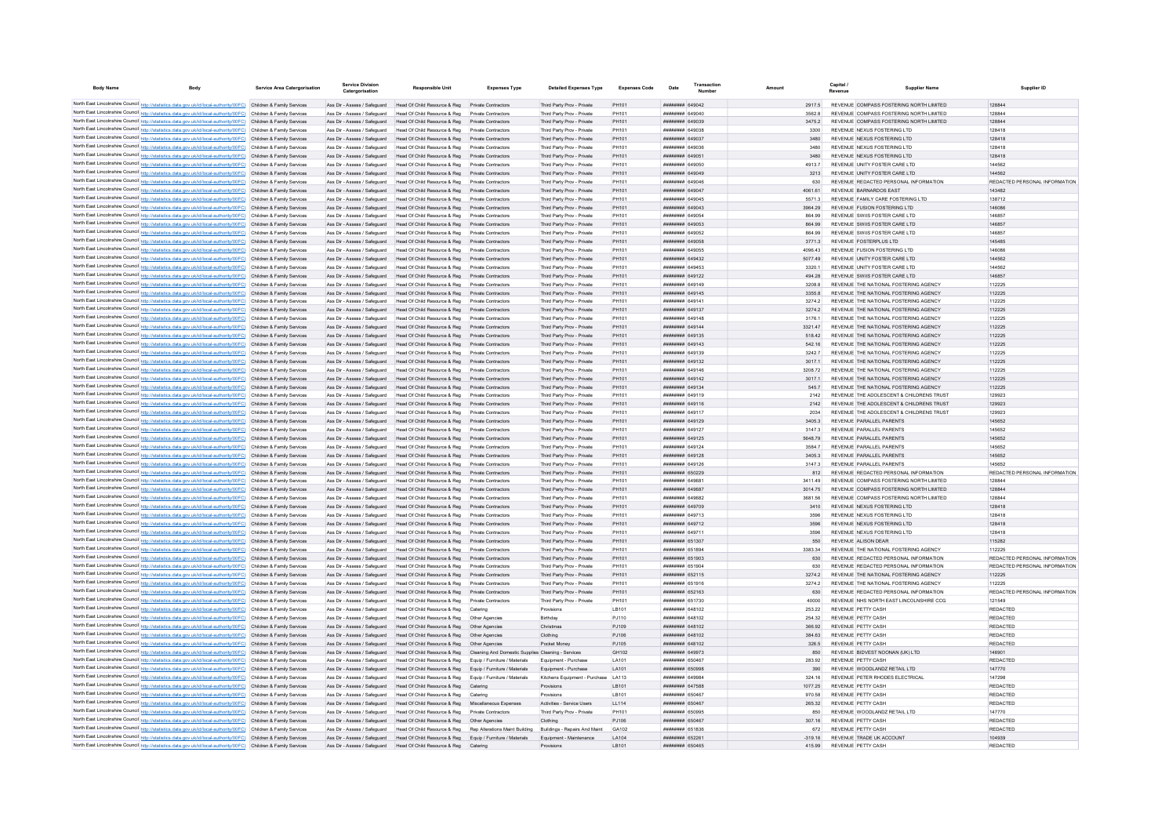| <b>Body Name</b> | <b>Body</b>                                                                                                                                                                                                                            | <b>Service Area Catergorisation</b> | <b>Service Division</b><br>Catergorisatio                    | Responsible Unit                                                                                              | <b>Expenses Type</b>                               | <b>Detailed Expenses Type</b>                               | <b>Expenses Code</b>   | Date                                                  | Transaction |                 | Capital                                                                        | <b>Supplier Name</b> | Supplier ID                             |
|------------------|----------------------------------------------------------------------------------------------------------------------------------------------------------------------------------------------------------------------------------------|-------------------------------------|--------------------------------------------------------------|---------------------------------------------------------------------------------------------------------------|----------------------------------------------------|-------------------------------------------------------------|------------------------|-------------------------------------------------------|-------------|-----------------|--------------------------------------------------------------------------------|----------------------|-----------------------------------------|
|                  | North East Lincolnshire Council http://statistics.data.gov.uk/id/local-authority/00FC) Children & Family Services                                                                                                                      |                                     |                                                              | Ass Dir - Assess / Safeguard Head Of Child Resource & Reg Private Contractors                                 |                                                    | Third Party Prov - Private                                  | PH101                  | пппппппп 649042                                       |             | 29175           | REVENUE COMPASS FOSTERING NORTH LIMITED                                        |                      | 128844                                  |
|                  | North East Lincolnshire Council http://statistics.data.gov.uk/id/local-authority/00FC) Children & Family Services                                                                                                                      |                                     | Ass Dir - Assess / Safeguard                                 | Head Of Child Resource & Reg                                                                                  | Private Contractor                                 | Third Party Prov - Private                                  | PH101                  | <b>BRANCH HERBERG</b>                                 |             | 35628           | REVENUE COMPASS FOSTERING NORTH LIMITED                                        |                      | 128844                                  |
|                  | North East Lincolnshire Council http://statistics.data.gov.uk/id/local-authority/00FC) Children & Family Services                                                                                                                      |                                     | Ass Dir - Assess / Safeguard                                 | Head Of Child Resource & Reg                                                                                  | Private Contractors                                | Third Party Prov - Private                                  | PH101                  |                                                       |             | 3475.2          | REVENUE COMPASS FOSTERING NORTH LIMITED                                        |                      | 128844                                  |
|                  | North East Lincolnshire Council http://statistics.data.gov.uk/id/local-authority/00FC) Children & Family Services                                                                                                                      |                                     | Ass Dir - Assess / Safeguard                                 | Head Of Child Resource & Reg                                                                                  | Private Contractors                                | Third Party Prov - Private                                  | PH101                  | <b>HERHHHH GAONSR</b>                                 |             | 3300            | REVENUE NEXUS FOSTERING LTD                                                    |                      | 128418                                  |
|                  | North East Lincolnshire Council http://statistics.data.gov.uk/id/local-authority/00FC) Children & Family Services                                                                                                                      |                                     |                                                              | Ass Dir - Assess / Safeguard Head Of Child Resource & Reg                                                     | Private Contractors                                | Third Party Prov - Private                                  | PH101                  | ######## 649037                                       |             | 3480            | REVENUE NEXUS FOSTERING LTD.                                                   |                      | 128418                                  |
|                  | North East Lincolnshire Council http://statistics.data.gov.uk/id/local-authority/00FC) Children & Family Services                                                                                                                      |                                     |                                                              | Ass Dir - Assess / Safeguard Head Of Child Resource & Reg                                                     | Private Contractors                                | Third Party Prov - Private                                  | PH101                  | ######## 649036                                       |             | 3480            | REVENUE NEXUS FOSTERING LTD.                                                   |                      | 128418                                  |
|                  | North East Lincolnshire Council http://statistics.data.gov.uk/id/local-authority/00FC) Children & Family Services                                                                                                                      |                                     |                                                              | Ass Dir - Assess / Safeguard Head Of Child Resource & Reg Private Contractors                                 |                                                    | Third Party Prov - Private                                  | PH101                  | пппппппп 64905                                        |             | 3480            | REVENUE NEXUS FOSTERING LTD                                                    |                      | 128418                                  |
|                  | North East Lincolnshire Council http://statistics.data.gov.uk/id/local-authority/00FC) Children & Family Services                                                                                                                      |                                     | Ass Dir - Assess / Safeguard                                 | Head Of Child Resource & Reg                                                                                  | Private Contractors                                | Third Party Prov - Private                                  | PH101                  | ######## 649050                                       |             | 4913.7          | REVENUE UNITY FOSTER CARE LTD                                                  |                      | 144562                                  |
|                  | North East Lincolnshire Council http://statistics.data.gov.uk/id/local-authority/00FC) Children & Family Services                                                                                                                      |                                     |                                                              | Ass Dir - Assess / Safeguard Head Of Child Resource & Reg Private Contractors<br>Head Of Child Resource & Reg |                                                    | Third Party Prov - Private                                  | PH101<br>PH101         | ######## 649049<br>######## 649046                    |             | 3213            | REVENUE UNITY FOSTER CARE LTD<br>REVENUE REDACTED PERSONAL INFORMATION         |                      | 144562<br>REDACTED PERSONAL INFORMATION |
|                  | North East Lincolnshire Council http://statistics.data.gov.uk/id/local-authority/00FC) Children & Family Services<br>North East Lincolnshire Council http://statistics.data.gov.uk/id/local-authority/00FC) Children & Family Services |                                     | Ass Dir - Assess / Safeguard<br>Ass Dir - Assess / Safeguard | Head Of Child Resource & Reg                                                                                  | Private Contractors<br>Private Contractors         | Third Party Prov - Private<br>Third Party Prov - Private    | PH101                  | пппппппп 649041                                       |             | 630<br>4061.61  | REVENUE BARNARDOS FAST                                                         |                      | 143482                                  |
|                  | North East Lincolnshire Council http://statistics.data.gov.uk/id/local-authority/00FC) Children & Family Services                                                                                                                      |                                     | Ass Dir - Assess / Safeguard                                 | Head Of Child Resource & Reg                                                                                  | Private Contractors                                | Third Party Prov - Private                                  | PH101                  | <b><i>BREEBBER</i></b> 649045                         |             | 55713           | REVENUE FAMILY CARE FOSTERING LTD                                              |                      | 138712                                  |
|                  | North East Lincolnshire Council http://statistics.data.gov.uk/id/local-authority/00FC) Children & Family Services                                                                                                                      |                                     | Ass Dir - Assess / Safeguard                                 | Head Of Child Resource & Reg                                                                                  | Private Contractors                                | Third Party Prov - Private                                  | PH101                  | <b>HHHHHHH 649043</b>                                 |             | 3964.29         | REVENUE FUSION FOSTERING LTD                                                   |                      | 146086                                  |
|                  | North East Lincolnshire Council http://statistics.data.gov.uk/id/local-authority/00FC) Children & Family Services                                                                                                                      |                                     | Ass Dir - Assess / Safeguard                                 | Head Of Child Resource & Reg                                                                                  | Private Contractors                                | Third Party Prov - Private                                  | PH101                  |                                                       |             | 864.99          | REVENUE SWIIS FOSTER CARE LTD                                                  |                      | 146857                                  |
|                  | North East Lincolnshire Council http://statistics.data.gov.uk/id/local-authority/00FC) Children & Family Services                                                                                                                      |                                     | Ass Dir - Assess / Safeguard                                 | Head Of Child Resource & Reg                                                                                  | Private Contractors                                | Third Party Prov - Private                                  | PH101                  | <b><i>BREEZEEE</i></b> 649053                         |             | 864.99          | REVENUE SWIIS FOSTER CARE LTD                                                  |                      | 146857                                  |
|                  | North East Lincolnshire Council http://statistics.data.gov.uk/id/local-authority/00FC) Children & Family Services                                                                                                                      |                                     | Ass Dir - Assess / Safeguard                                 | Head Of Child Resource & Reg                                                                                  | Private Contractors                                | Third Party Prov - Private                                  | PH101                  | <b>C2008-MHHHHHH</b>                                  |             | 864 99          | REVENUE SWIIS FOSTER CARE LTD                                                  |                      | 146857                                  |
|                  | North East Lincolnshire Council http://statistics.data.gov.uk/id/local-authority/00FC) Children & Family Services                                                                                                                      |                                     | Ass Dir - Assess / Saferward                                 | Head Of Child Resource & Reg                                                                                  | Private Contractors                                | Third Party Prov - Private                                  | PH101                  | ######## 649058                                       |             | 37713           | REVENUE FOSTERPLUS LTD                                                         |                      | 145485                                  |
|                  | North East Lincolnshire Council http://statistics.data.gov.uk/id/local-authority/00FC) Children & Family Services                                                                                                                      |                                     | Ass Dir - Assess / Safeguard                                 | Head Of Child Resource & Reg                                                                                  | Private Contractors                                | Third Party Prov - Private                                  | PH101                  | ######## 649055                                       |             | 409643          | REVENUE FUSION FOSTERING LTD                                                   |                      | 146086                                  |
|                  | North East Lincolnshire Council http://statistics.data.gov.uk/id/local-authority/00FC) Children & Family Services                                                                                                                      |                                     | Ass Dir - Assess / Safeguard                                 | Head Of Child Resource & Reg Private Contractors                                                              |                                                    | Third Party Prov - Private                                  | PH101                  | <b>пппппппп</b> 649432                                |             | 5077.49         | REVENUE UNITY FOSTER CARE LTD                                                  |                      | 144562                                  |
|                  | North East Lincolnshire Council http://statistics.data.gov.uk/id/local-authority/00FC) Children & Family Services                                                                                                                      |                                     | Ass Dir - Assess / Safeguard                                 | Head Of Child Resource & Reg                                                                                  | Private Contractors                                | Third Party Prov - Private                                  | PH101                  | ######## 649453                                       |             | 3320.1          | REVENUE UNITY FOSTER CARE LTD                                                  |                      | 144562                                  |
|                  | North East Lincolnshire Council http://statistics.data.gov.uk/id/local-authority/00FC) Children & Family Services                                                                                                                      |                                     | Ass Dir - Assess / Safeguard                                 | Head Of Child Resource & Reg                                                                                  | Private Contractors                                | Third Party Prov - Private                                  | PH101                  | ######## 649122                                       |             | 494.28          | REVENUE SWIIS FOSTER CARE LTD                                                  |                      | 146857                                  |
|                  | North East Lincolnshire Council http://statistics.data.gov.uk/id/local-authority/00FC) Children & Family Services<br>North East Lincolnshire Council http://statistics.data.gov.uk/id/local-authority/00FC) Children & Family Services |                                     | Ass Dir - Assess / Safeguard<br>Ass Dir - Assess / Safeguard | Head Of Child Resource & Reg<br>Head Of Child Resource & Reg                                                  | Private Contractors                                | Third Party Prov - Private                                  | PH101<br>PH101         | ######## 649149<br><b>пппппппп</b> 649145             |             | 3208.8<br>33558 | REVENUE THE NATIONAL FOSTERING AGENCY<br>REVENUE THE NATIONAL EOSTERING AGENCY |                      | 112225<br>112225                        |
|                  | North East Lincolnshire Council http://statistics.data.gov.uk/id/local-authority/00FC) Children & Family Services                                                                                                                      |                                     | Ass Dir - Assess / Safeguard                                 | Head Of Child Resource & Reg                                                                                  | Private Contractors<br>Private Contractors         | Third Party Prov - Private<br>Third Party Prov - Private    | PH101                  | пппппппп 64914                                        |             | 3274.2          | REVENUE THE NATIONAL FOSTERING AGENCY                                          |                      | 112225                                  |
|                  | North East Lincolnshire Council http://statistics.data.gov.uk/id/local-authority/00FC) Children & Family Services                                                                                                                      |                                     | Ass Dir - Assess / Safeguard                                 | Head Of Child Resource & Reg                                                                                  | Private Contractors                                | Third Party Prov - Private                                  | PH101                  | ######## 649137                                       |             | 3274.2          | REVENUE THE NATIONAL FOSTERING AGENCY                                          |                      | 112225                                  |
|                  | North East Lincolnshire Council http://statistics.data.gov.uk/id/local-authority/00FC) Children & Family Services                                                                                                                      |                                     | Ass Dir - Assess / Safeguard                                 | Head Of Child Resource & Reg                                                                                  | <b>Private Contractors</b>                         | Third Party Prov - Private                                  | PH101                  | ####### 649141                                        |             | 3176.1          | REVENUE THE NATIONAL FOSTERING AGENCY                                          |                      | 112225                                  |
|                  | North East Lincolnshire Council http://statistics.data.gov.uk/id/local-authority/00FC) Children & Family Services                                                                                                                      |                                     | Ass Dir - Assess / Safeguard                                 | Head Of Child Resource & Reg                                                                                  | Private Contractors                                | Third Party Prov - Private                                  | PH101                  | <b>ПЕПИЛИН 649144</b>                                 |             | 3321.47         | REVENUE THE NATIONAL FOSTERING AGENCY                                          |                      | 112225                                  |
|                  | North East Lincolnshire Council http://statistics.data.gov.uk/id/local-authority/00FC) Children & Family Services                                                                                                                      |                                     | Ass Dir - Assess / Safeguard                                 | Head Of Child Resource & Reg                                                                                  | Private Contractors                                | Third Party Prov - Private                                  | PH101                  | <b>ПЕПИЛИН 649135</b>                                 |             | 518.42          | REVENUE THE NATIONAL FOSTERING AGENCY                                          |                      | 112225                                  |
|                  | North East Lincolnshire Council http://statistics.data.gov.uk/id/local-authority/00FC) Children & Family Services                                                                                                                      |                                     | Ass Dir - Assess / Safeguard                                 | Head Of Child Resource & Reg                                                                                  | Private Contractors                                | Third Party Prov - Private                                  | PH101                  | <b>ПЕПИЛИН 649143</b>                                 |             | 542.16          | REVENUE THE NATIONAL EOSTERING AGENCY                                          |                      | 112225                                  |
|                  | North East Lincolnshire Council http://statistics.data.gov.uk/id/local-authority/00FC) Children & Family Services                                                                                                                      |                                     | Ass Dir - Assess / Safeguard                                 | Head Of Child Resource & Reg                                                                                  | Private Contractors                                | Third Party Prov - Private                                  | PH101                  | ######## 649139                                       |             | 3242.7          | REVENUE THE NATIONAL FOSTERING AGENCY                                          |                      | 112225                                  |
|                  | North East Lincolnshire Council http://statistics.data.gov.uk/id/local-authority/00FC) Children & Family Services                                                                                                                      |                                     |                                                              | Ass Dir - Assess / Safeguard Head Of Child Resource & Reg Private Contractors                                 |                                                    | Third Party Prov - Private                                  | PH101                  | ######## 649132                                       |             | 3017.1          | REVENUE THE NATIONAL FOSTERING AGENCY                                          |                      | 112225                                  |
|                  | North East Lincolnshire Council http://statistics.data.gov.uk/id/local-authority/00FC) Children & Family Services                                                                                                                      |                                     | Ass Dir - Assess / Safeguard                                 | Head Of Child Resource & Reg                                                                                  | Private Contractors                                | Third Party Prov - Private                                  | PH101                  | ####### 649146                                        |             | 3208.72         | REVENUE THE NATIONAL FOSTERING AGENCY                                          |                      | 112225                                  |
|                  | North East Lincolnshire Council http://statistics.data.gov.uk/id/local-authority/00FC) Children & Family Services                                                                                                                      |                                     | Ass Dir - Assess / Safeguard                                 | Head Of Child Resource & Reg                                                                                  | Private Contractors                                | Third Party Prov - Private                                  | PH101                  | ######## 649142                                       |             | 3017.1          | REVENUE THE NATIONAL FOSTERING AGENCY                                          |                      | 112225                                  |
|                  | North East Lincolnshire Council http://statistics.data.gov.uk/id/local-authority/00FC) Children & Family Services                                                                                                                      |                                     | Ass Dir - Assess / Safeguard                                 | Head Of Child Resource & Reg                                                                                  | Private Contractors                                | Third Party Prov - Private                                  | PH101                  | ######## 649134                                       |             | 545.7           | REVENUE THE NATIONAL FOSTERING AGENCY                                          |                      | 112225                                  |
|                  | North East Lincolnshire Council http://statistics.data.gov.uk/id/local-authority/00FC) Children & Family Services                                                                                                                      |                                     | Ass Dir - Assess / Safeguard                                 | Head Of Child Resource & Reg                                                                                  | Private Contractors                                | Third Party Prov - Private                                  | PH101                  | <b><i>BRENHHHH</i></b> 649119                         |             | 2142            | REVENUE THE ADOLESCENT & CHILDRENS TRUST                                       |                      | 129923                                  |
|                  | North East Lincolnshire Council http://statistics.data.gov.uk/id/local-authority/00FC) Children & Family Services                                                                                                                      |                                     | Ass Dir - Assess / Safeguard                                 | Head Of Child Resource & Reg                                                                                  | Private Contractors                                | Third Party Prov - Private                                  | PH101                  | ######## 649116                                       |             | 2142            | REVENUE THE ADOLESCENT & CHILDRENS TRUST                                       |                      | 129923                                  |
|                  | North East Lincolnshire Council http://statistics.data.gov.uk/id/local-authority/00FC) Children & Family Services<br>North East Lincolnshire Council http://statistics.data.gov.uk/id/local-authority/00FC) Children & Family Services |                                     | Ass Dir - Assess / Safeguard<br>Ass Dir - Assess / Safeguard | Head Of Child Resource & Reg<br>Head Of Child Resource & Reg                                                  | Private Contractors<br>Private Contractors         | Third Party Prov - Private<br>Third Party Prov - Private    | PH101<br>PH101         | ####### 64911<br>####### 649129                       |             | 2034<br>3405.3  | REVENUE THE ADOLESCENT & CHILDRENS TRUST<br>REVENUE PARALLEL PARENTS           |                      | 129923<br>145652                        |
|                  | North East Lincolnshire Council http://statistics.data.gov.uk/id/local-authority/00FC) Children & Family Services                                                                                                                      |                                     | Ass Dir - Assess / Safeguard                                 | Head Of Child Resource & Reg                                                                                  |                                                    | Third Party Prov - Private                                  | PH101                  | ####### 649127                                        |             | 3147.3          | REVENUE PARALLEL PARENTS                                                       |                      | 145652                                  |
|                  | North East Lincolnshire Council http://statistics.data.gov.uk/id/local-authority/00FC) Children & Family Services                                                                                                                      |                                     | Ass Dir - Assess / Safeguard                                 | Head Of Child Resource & Reg                                                                                  |                                                    | Third Party Prov - Private                                  | PH101                  | ####### 649125                                        |             | 5648.79         | REVENUE PARALLEL PARENTS                                                       |                      | 145652                                  |
|                  | North East Lincolnshire Council http://statistics.data.gov.uk/id/local-authority/00FC) Children & Family Services                                                                                                                      |                                     | Ass Dir - Assess / Safeguard                                 | Head Of Child Resource & Reg                                                                                  | Private Contractors                                | Third Party Prov - Private                                  | PH101                  | <b>пппппппп</b> 649124                                |             | 35847           | REVENUE PARALLEL PARENTS                                                       |                      | 145652                                  |
|                  | North East Lincolnshire Council http://statistics.data.gov.uk/id/local-authority/00FC) Children & Family Services                                                                                                                      |                                     | Ass Dir - Assess / Safeguard                                 | Head Of Child Resource & Reg                                                                                  | Private Contractors                                | Third Party Prov - Private                                  | PH101                  | ######## 649128                                       |             | 3405.3          | REVENUE PARALLEL PARENTS                                                       |                      | 145652                                  |
|                  | North East Lincolnshire Council http://statistics.data.gov.uk/id/local-authority/00FC) Children & Family Services                                                                                                                      |                                     | Ass Dir - Assess / Safeguard                                 | Head Of Child Resource & Reg                                                                                  | Private Contractors                                | Third Party Prov - Private                                  | PH101                  | ######## 649126                                       |             | 3147.3          | REVENUE PARALLEL PARENTS                                                       |                      | 145652                                  |
|                  | North East Lincolnshire Council http://statistics.data.gov.uk/id/local-authority/00FC) Children & Family Services                                                                                                                      |                                     | Ass Dir - Assess / Safeguard                                 | Head Of Child Resource & Reg                                                                                  | Private Contractors                                | Third Party Prov - Private                                  | PH101                  | ######## 650229                                       |             | 812             | REVENUE REDACTED PERSONAL INFORMATION                                          |                      | REDACTED PERSONAL INFORMATION           |
|                  | North East Lincolnshire Council http://statistics.data.gov.uk/id/local-authority/00FC) Children & Family Services                                                                                                                      |                                     | Ass Dir - Assess / Safeguard                                 | Head Of Child Resource & Reg                                                                                  | Private Contractors                                | Third Party Prov - Private                                  | PH101                  | ######## 64968                                        |             | 3411.49         | REVENUE COMPASS FOSTERING NORTH LIMITED                                        |                      | 128844                                  |
|                  | North East Lincolnshire Council http://statistics.data.gov.uk/id/local-authority/00FC) Children & Family Services                                                                                                                      |                                     | Ass Dir - Assess / Safeguard                                 | Head Of Child Resource & Reg                                                                                  | Private Contractors                                | Third Party Prov - Private                                  | PH101                  | ######## 649687                                       |             | 3014.75         | REVENUE COMPASS FOSTERING NORTH LIMITED                                        |                      | 12884                                   |
|                  | North East Lincolnshire Council http://statistics.data.gov.uk/id/local-authority/00FC) Children & Family Services                                                                                                                      |                                     | Ass Dir - Assess / Safeguard                                 | Head Of Child Resource & Reg                                                                                  | Private Contractors                                | Third Party Prov - Private                                  | PH101                  | пппппппп 649682                                       |             | 3681.56         | REVENUE COMPASS FOSTERING NORTH LIMITED                                        |                      | 128844                                  |
|                  | North East Lincolnshire Council http://statistics.data.gov.uk/id/local-authority/00FC) Children & Family Services                                                                                                                      |                                     | Ass Dir - Assess / Safeguard                                 | Head Of Child Resource & Reg                                                                                  | Private Contractors                                | Third Party Prov - Private                                  | PH101                  | ######## 649709                                       |             | 3410            | REVENUE NEXUS FOSTERING LTD                                                    |                      | 128418                                  |
|                  | North East Lincolnshire Council http://statistics.data.gov.uk/id/local-authority/00FC) Children & Family Services                                                                                                                      |                                     | Ass Dir - Assess / Safeguard                                 | Head Of Child Resource & Reg                                                                                  | Private Contractors                                | Third Party Prov - Private                                  | PH101                  | ######## 649713                                       |             | 3596            | REVENUE NEXUS FOSTERING LTD                                                    |                      | 128418                                  |
|                  | North East Lincolnshire Council http://statistics.data.gov.uk/id/local-authority/00FC) Children & Family Services                                                                                                                      |                                     | Ass Dir - Assess / Safeguard                                 | Head Of Child Resource & Reg                                                                                  | Private Contractors                                | Third Party Prov - Private                                  | PH101                  | ######## 649712<br><b><i><u>RRAHHHH</u></i></b> 64971 |             | 3596            | REVENUE NEXUS FOSTERING LTD                                                    |                      | 128418                                  |
|                  | North East Lincolnshire Council http://statistics.data.gov.uk/id/local-authority/00FC) Children & Family Services<br>North East Lincolnshire Council http://statistics.data.gov.uk/id/local-authority/00FC) Children & Family Services |                                     | Ass Dir - Assess / Safeguard                                 | Head Of Child Resource & Reg<br>Head Of Child Resource & Reg                                                  | Private Contractors<br>Private Contractors         | Third Party Prov - Private<br>Third Party Prov - Private    | PH101                  | <b><i>HHHHHHHH 651307</i></b>                         |             | 3596<br>550     | REVENUE NEXUS FOSTERING LTD<br>REVENUE ALISON DEAR                             |                      | 128418<br>115282                        |
|                  | North East Lincolnshire Council http://statistics.data.gov.uk/id/local-authority/00FC) Children & Family Services                                                                                                                      |                                     | Ass Dir - Assess / Safeguard<br>Ass Dir - Assess / Safeguard | Head Of Child Resource & Reg                                                                                  | Private Contractors                                | Third Party Prov - Private                                  | PH101<br><b>PH101</b>  | <b>HHHHHHH</b> 651804                                 |             | 3383.34         | REVENUE THE NATIONAL FOSTERING AGENCY                                          |                      | 112225                                  |
|                  | North East Lincolnshire Council http://statistics.data.gov.uk/id/local-authority/00FC) Children & Family Services                                                                                                                      |                                     |                                                              | Ass Dir - Assess / Safeguard Head Of Child Resource & Reg. Private Contractors                                |                                                    | Third Party Prov - Private                                  | PH101                  | ######## 651903                                       |             | 630             | REVENUE REDACTED PERSONAL INFORMATION                                          |                      | REDACTED PERSONAL INFORMATION           |
|                  | North East Lincolnshire Council http://statistics.data.gov.uk/id/local-authority/00FC) Children & Family Services                                                                                                                      |                                     |                                                              | Ass Dir - Assess / Safeguard Head Of Child Resource & Reg Private Contractors                                 |                                                    | Third Party Prov - Private                                  | PH101                  | ######## 651904                                       |             | 630             | REVENUE REDACTED PERSONAL INFORMATION                                          |                      | REDACTED PERSONAL INFORMATION           |
|                  | North East Lincolnshire Council http://statistics.data.gov.uk/id/local-authority/00FC) Children & Family Services                                                                                                                      |                                     |                                                              | Ass Dir - Assess / Safeguard Head Of Child Resource & Reg Private Contractors                                 |                                                    | Third Party Prov - Private                                  | PH101                  | ######## 652115                                       |             | 32742           | REVENUE THE NATIONAL EOSTERING AGENCY                                          |                      | 112225                                  |
|                  | North East Lincolnshire Council http://statistics.data.gov.uk/id/local-authority/00FC) Children & Family Services                                                                                                                      |                                     | Ass Dir - Assess / Safeguard                                 | Head Of Child Resource & Reg                                                                                  | Private Contractors                                | Third Party Prov - Private                                  | PH101                  | ######## 651916                                       |             | 3274.2          | REVENUE THE NATIONAL FOSTERING AGENCY                                          |                      | 112225                                  |
|                  | North East Lincolnshire Council http://statistics.data.gov.uk/id/local-authority/00FC) Children & Family Services                                                                                                                      |                                     | Ass Dir - Assess / Safeguard                                 | Head Of Child Resource & Reg                                                                                  | Private Contractors                                | Third Party Prov - Private                                  | PH101                  | <b>ППИНИНИ 652163</b>                                 |             | 630             | REVENUE REDACTED PERSONAL INFORMATION                                          |                      | REDACTED PERSONAL INFORMATION           |
|                  | North East Lincolnshire Council http://statistics.data.gov.uk/id/local-authority/00FC) Children & Family Services                                                                                                                      |                                     | Ass Dir - Assess / Safeguard                                 | Head Of Child Resource & Reg                                                                                  | Private Contractors                                | Third Party Prov - Private                                  | PH101                  | ######## 651730                                       |             | 40000           | REVENUE NHS NORTH FAST LINCOLNSHIRE CCC                                        |                      | 121549                                  |
|                  | North East Lincolnshire Council http://statistics.data.gov.uk/id/local-authority/00FC) Children & Family Services                                                                                                                      |                                     | Ass Dir - Assess / Saferward                                 | Head Of Child Resource & Reg                                                                                  | Catering                                           | Provisions                                                  | I R101                 | <b>ПЕПЕННИН 648102</b>                                |             | 253 22          | REVENUE PETTY CASH                                                             |                      | <b>REDACTED</b>                         |
|                  | North East Lincolnshire Council http://statistics.data.gov.uk/id/local-authority/00FC) Children & Family Services                                                                                                                      |                                     | Ass Dir - Assess / Safeguard                                 | Head Of Child Resource & Reg                                                                                  | Other Anencies                                     | Birthday                                                    | P.I110                 | <b>пппппппп</b> 648102                                |             | 254.32          | REVENUE PETTY CASH                                                             |                      | <b>REDACTED</b>                         |
|                  | North East Lincolnshire Council http://statistics.data.gov.uk/id/local-authority/00FC) Children & Family Services                                                                                                                      |                                     | Ass Dir - Assess / Safeguard                                 | Head Of Child Resource & Reg                                                                                  | Other Anencies                                     | Christmas                                                   | P.1109                 | <b>НЕНИНИН 648102</b>                                 |             | 366.92          | REVENUE PETTY CASH                                                             |                      | <b>REDACTED</b>                         |
|                  | North East Lincolnshire Council http://statistics.data.gov.uk/id/local-authority/00FC) Children & Family Services                                                                                                                      |                                     | Ass Dir - Assess / Safeguard                                 | Head Of Child Resource & Reg                                                                                  |                                                    | Clothing                                                    | PJ106                  | <b>пппппппп</b> 648102                                |             | 384.63          | REVENUE PETTY CASE                                                             |                      | <b>REDACTED</b>                         |
|                  | North East Lincolnshire Council http://statistics.data.gov.uk/id/local-authority/00FC) Children & Family Services                                                                                                                      |                                     | Ass Dir - Assess / Safeguard                                 | Head Of Child Resource & Reg                                                                                  | Other Agencies                                     | Pocket Money                                                | PJ105                  | <b><i>HHHHHHHH GARIN?</i></b>                         |             | 326.5           | REVENUE PETTY CASH                                                             |                      | <b>REDACTED</b>                         |
|                  | North East Lincolnshire Council http://statistics.data.gov.uk/id/local-authority/00FC). Children & Family Services                                                                                                                     |                                     | Ass Dir - Assess / Safeguard                                 | Head Of Child Resource & Reg                                                                                  | Cleaning And Domestic Supplies Cleaning - Services |                                                             | GH102                  | <b>HHHHHHH GAGG73</b>                                 |             | 850             | REVENUE BIDVEST NOONAN (UK) LTD                                                |                      | 146901                                  |
|                  | North East Lincolnshire Council http://statistics.data.gov.uk/id/local-authority/00FC) Children & Family Services                                                                                                                      |                                     | Ass Dir - Assess / Safeguard                                 | Head Of Child Resource & Reg<br>Head Of Child Resource & Reg Equip / Furniture / Materials                    | Foujo / Furniture / Materials                      | Foujoment - Purchase                                        | <b>I A101</b><br>LA101 | ######## 650467<br>######## 650998                    |             | 283.92<br>390   | REVENUE PETTY CASH<br>REVENUE WOODLANDZ RETAIL LTD                             |                      | <b>REDACTED</b><br>147770               |
|                  | North East Lincolnshire Council http://statistics.data.gov.uk/id/local-authority/00FC) Children & Family Services<br>North East Lincolnshire Council http://statistics.data.gov.uk/id/local-authority/00FC) Children & Family Services |                                     | Ass Dir - Assess / Safeguard<br>Ass Dir - Assess / Safeguard | Head Of Child Resource & Reg Equip / Furniture / Materials                                                    |                                                    | Equipment - Purchase<br>Kitchens Equipment - Purchase LA113 |                        | ниннини 649984                                        |             | 324 16          | REVENUE PETER RHODES ELECTRICAL                                                |                      | 147298                                  |
|                  | North East Lincolnshire Council http://statistics.data.gov.uk/id/local-authority/00FC) Children & Family Services                                                                                                                      |                                     | Ass Dir - Assess / Safeguard                                 | Head Of Child Resource & Reg Catering                                                                         |                                                    | Provisions                                                  | LB101                  | ######## 647588                                       |             | 1077.25         | REVENUE PETTY CASH                                                             |                      | <b>REDACTED</b>                         |
|                  | North East Lincolnshire Council http://statistics.data.gov.uk/id/local-authority/00FC) Children & Family Services                                                                                                                      |                                     | Ass Dir - Assess / Safeguard                                 | Head Of Child Resource & Reg                                                                                  | Catering                                           | Provisions                                                  | LB101                  | <b>плинини</b> 650467                                 |             | 970.58          | REVENUE PETTY CASH                                                             |                      | <b>REDACTED</b>                         |
|                  | North East Lincolnshire Council http://statistics.data.gov.uk/id/local-authority/00FC) Children & Family Services                                                                                                                      |                                     | Ass Dir - Assess / Safeguard                                 | Head Of Child Resource & Reg                                                                                  | Miscellaneous Expense                              | Activities - Service Users                                  | LL114                  | ######## 650467                                       |             | 265.32          | REVENUE PETTY CASH                                                             |                      | <b>REDACTED</b>                         |
|                  | North East Lincolnshire Council http://statistics.data.gov.uk/id/local-authority/00FC) Children & Family Services                                                                                                                      |                                     | Ass Dir - Assess / Saferward                                 | Head Of Child Resource & Reg                                                                                  | Private Contractors                                | Third Party Prov - Private                                  | PH101                  | ######## 650995                                       |             | 850             | REVENUE WOODLANDZ RETAIL LTD                                                   |                      | 147770                                  |
|                  | North East Lincolnshire Council http://statistics.data.gov.uk/id/local-authority/00FC) Children & Family Services                                                                                                                      |                                     | Ass Dir - Assess / Safeguard                                 | Head Of Child Resource & Reg                                                                                  | Other Agencies                                     | Clothing                                                    | PJ106                  | ######## 650467                                       |             | 307.16          | REVENUE PETTY CASH                                                             |                      | <b>REDACTED</b>                         |
|                  | North East Lincolnshire Council http://statistics.data.gov.uk/id/local-authority/00FC) Children & Family Services                                                                                                                      |                                     | Ass Dir - Assess / Safeguard                                 | Head Of Child Resource & Reg Rep Alterations Maint Building                                                   |                                                    | Buildings - Repairs And Maint                               | GA102                  | ######## 651836                                       |             | 672             | REVENUE PETTY CASH                                                             |                      | <b>REDACTED</b>                         |
|                  | North East Lincolnshire Council http://statistics.data.gov.uk/id/local-authority/00FC) Children & Family Services                                                                                                                      |                                     |                                                              | Ass Dir - Assess / Safeguard Head Of Child Resource & Reg                                                     | Equip / Furniture / Materials                      | Equipment - Maintenance                                     | LA104                  | ######## 65226                                        |             | $-319.16$       | REVENUE TRADE UK ACCOUN                                                        |                      | 104939                                  |
|                  | North East Lincolnshire Council http://statistics.data.gov.uk/id/local-authority/00FC) Children & Family Services                                                                                                                      |                                     |                                                              | Ass Dir - Assess / Safeguard Head Of Child Resource & Reg                                                     | Caterin                                            |                                                             | I B101                 | <b><i>HHHHHHHH 650465</i></b>                         |             | 415.99          | REVENUE PETTY CASH                                                             |                      | <b>REDACTED</b>                         |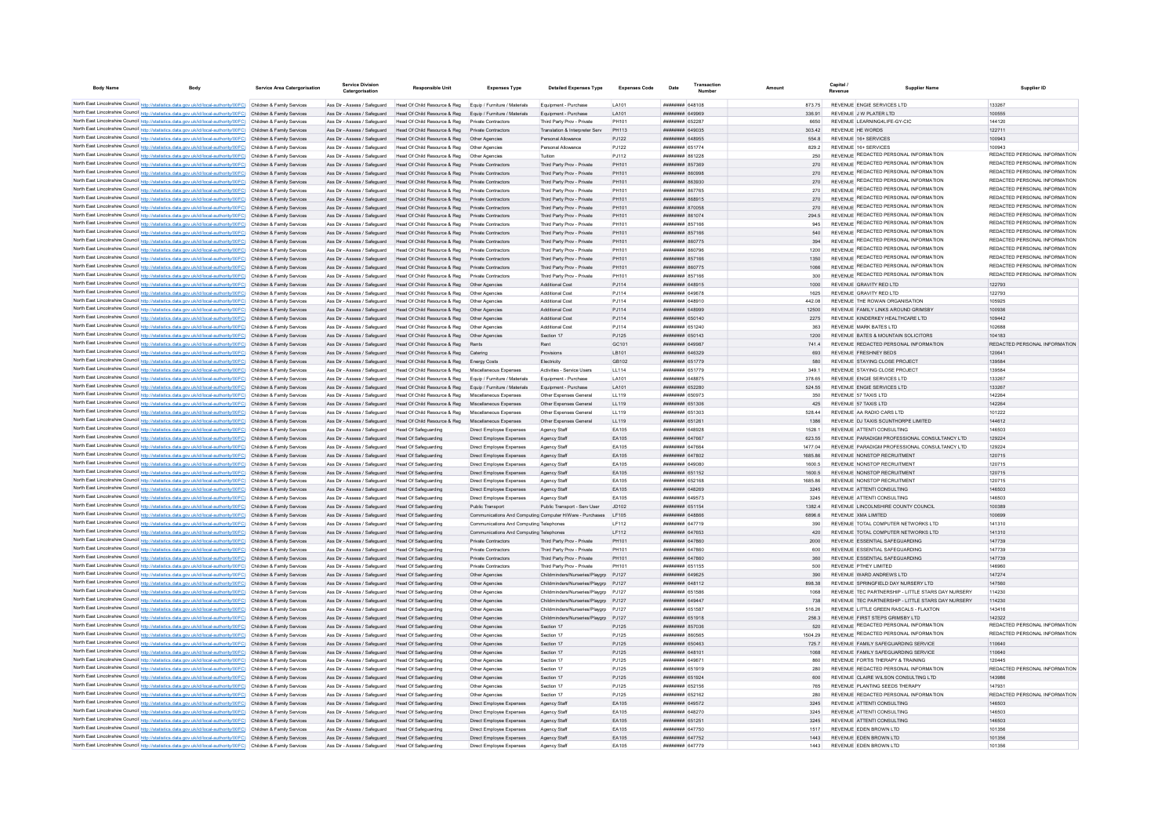| <b>Body Name</b> | Body                                                                                                                                                                                                                                   | <b>Service Area Catergorisation</b> | Catergorisation                                                                   | <b>Responsible Unit</b>                                                                    | <b>Expenses Type</b>                                     | <b>Detailed Expenses Type</b>                                                | <b>Expenses Code</b> | Date                                            | Numbe | Amount |                    | Revenue | <b>Supplier Name</b>                                                           | Supplier ID                                                    |
|------------------|----------------------------------------------------------------------------------------------------------------------------------------------------------------------------------------------------------------------------------------|-------------------------------------|-----------------------------------------------------------------------------------|--------------------------------------------------------------------------------------------|----------------------------------------------------------|------------------------------------------------------------------------------|----------------------|-------------------------------------------------|-------|--------|--------------------|---------|--------------------------------------------------------------------------------|----------------------------------------------------------------|
|                  |                                                                                                                                                                                                                                        |                                     |                                                                                   |                                                                                            |                                                          |                                                                              |                      |                                                 |       |        |                    |         |                                                                                |                                                                |
|                  | North East Lincolnshire Council http://statistics.data.gov.uk/id/local-authority/00FC) Children & Family Services<br>North East Lincolnshire Council http://statistics.data.gov.uk/id/local-authority/00FC) Children & Family Services |                                     | Ass Dir - Assess / Safeguard<br>Ass Dir - Assess / Safeguard                      | Head Of Child Resource & Reg<br>Head Of Child Resource & Reg Equip / Furniture / Materials | Equip / Furniture / Materials                            | Equipment - Purchase<br>Equipment - Purchase                                 | LA101<br>I A101      | <b>ПЕВЕЦИИ 648108</b><br><b>HHHHHHHH</b> GAGGGG |       |        | 873 75<br>336.91   |         | REVENUE ENGIE SERVICES LTD<br>REVENUE J W PLATER LTD                           | 133267<br>100555                                               |
|                  | North East Lincolnshire Council http://statistics.data.gov.uk/id/local-authority/00FC) Children & Family Services                                                                                                                      |                                     | Ass Dir - Assess / Safeguard                                                      | Head Of Child Resource & Reg                                                               | Private Contractors                                      | Third Party Prov - Private                                                   | PH101                | <b>HHHHHHH 652287</b>                           |       |        | 6650               |         | REVENUE LEARNING4LIFE-GY-CIC                                                   | 144120                                                         |
|                  | North East Lincolnshire Council http://statistics.data.gov.uk/id/local-authority/00FC) Children & Family Services                                                                                                                      |                                     |                                                                                   | Ass Dir - Assess / Safeguard Head Of Child Resource & Reg. Private Contractors             |                                                          | Translation & Internreter Serv                                               | PH113                | ######## 649035                                 |       |        | 303.42             |         | REVENUE HE WORDS                                                               | 122711                                                         |
|                  | North East Lincolnshire Council http://statistics.data.gov.uk/id/local-authority/00FC) Children & Family Services                                                                                                                      |                                     |                                                                                   | Ass Dir - Assess / Safeguard Head Of Child Resource & Reg Other Agencies                   |                                                          | Personal Allowance                                                           | PJ122                | ######## 648955                                 |       |        | 554.8              |         | REVENUE 16+ SERVICES                                                           | 100943                                                         |
|                  | North East Lincolnshire Council http://statistics.data.gov.uk/id/local-authority/00FC) Children & Family Services                                                                                                                      |                                     |                                                                                   | Ass Dir - Assess / Safeguard Head Of Child Resource & Reg Other Agencies                   |                                                          | Personal Allowance                                                           | PJ122                | ######## 651774                                 |       |        | 829.2              |         | REVENUE 16+ SERVICES                                                           | 100943                                                         |
|                  | North East Lincolnshire Council http://statistics.data.gov.uk/id/local-authority/00FC) Children & Family Services                                                                                                                      |                                     | Ass Dir - Assess / Safeguard                                                      | Head Of Child Resource & Reg   Other Agencies                                              |                                                          | Tuition                                                                      | PJ112                | ####### 861228                                  |       |        | 250                |         | REVENUE REDACTED PERSONAL INFORMATION                                          | REDACTED PERSONAL INFORMATION                                  |
|                  | North East Lincolnshire Council http://statistics.data.gov.uk/id/local-authority/00FC) Children & Family Services                                                                                                                      |                                     | Ass Dir - Assess / Safeguard                                                      | Head Of Child Resource & Reg                                                               | Private Contractors                                      | Third Party Prov - Private                                                   | PH101                | ######## 857369                                 |       |        | 270                |         | REVENUE REDACTED PERSONAL INFORMATION                                          | REDACTED PERSONAL INFORMATION                                  |
|                  | North East Lincolnshire Council http://statistics.data.gov.uk/id/local-authority/00FC) Children & Family Services                                                                                                                      |                                     | Ass Dir - Assess / Safeguard                                                      | Head Of Child Resource & Reg                                                               | Private Contractors                                      | Third Party Prov - Private                                                   | PH101                | ######## 860998                                 |       |        | 270                |         | REVENUE REDACTED PERSONAL INFORMATION                                          | REDACTED PERSONAL INFORMATION<br>REDACTED PERSONAL INFORMATION |
|                  | North East Lincolnshire Council http://statistics.data.gov.uk/id/local-authority/00FC) Children & Family Services                                                                                                                      |                                     | Ass Dir - Assess / Safeguard                                                      | Head Of Child Resource & Reg                                                               | Private Contractors                                      | Third Party Prov - Private                                                   | PH101                | <b>плиннин</b> 863930                           |       |        | 270                |         | REVENUE REDACTED PERSONAL INFORMATION<br>REVENUE REDACTED PERSONAL INFORMATION | REDACTED PERSONAL INFORMATION                                  |
|                  | North East Lincolnshire Council http://statistics.data.gov.uk/id/local-authority/00FC) Children & Family Services<br>North East Lincolnshire Council http://statistics.data.gov.uk/id/local-authority/00FC) Children & Family Services |                                     | Ass Dir - Assess / Safeguard<br>Ass Dir - Assess / Safeguard                      | Head Of Child Resource & Reg<br>Head Of Child Resource & Reg                               | Private Contractors<br>Private Contractors               | Third Party Prov - Private<br>Third Party Prov - Private                     | PH101<br>PH101       | ######## 867765<br>######## 868915              |       |        | 270<br>270         |         | REVENUE REDACTED PERSONAL INFORMATION                                          | REDACTED PERSONAL INFORMATION                                  |
|                  | North East Lincolnshire Council http://statistics.data.gov.uk/id/local-authority/00FC) Children & Family Services                                                                                                                      |                                     | Ass Dir - Assess / Safeguard                                                      | Head Of Child Resource & Reg                                                               | Private Contractors                                      | Third Party Prov - Private                                                   | PH101                | ####### 87005                                   |       |        | 270                |         | REVENUE REDACTED PERSONAL INFORMATION                                          | REDACTED PERSONAL INFORMATION                                  |
|                  | North East Lincolnshire Council http://statistics.data.gov.uk/id/local-authority/00FC) Children & Family Services                                                                                                                      |                                     | Ass Dir - Assess / Safeguard                                                      | Head Of Child Resource & Reg                                                               |                                                          | Third Party Prov - Private                                                   | PH101                | ######## 861074                                 |       |        | 294.5              |         | REVENUE REDACTED PERSONAL INFORMATION                                          | REDACTED PERSONAL INFORMATION                                  |
|                  | North East Lincolnshire Council http://statistics.data.gov.uk/id/local-authority/00FC) Children & Family Services                                                                                                                      |                                     | Ass Dir - Assess / Safeguard                                                      | Head Of Child Resource & Reg                                                               | Private Contractors                                      | Third Party Prov - Private                                                   | PH101                | <b>HHHHHHH 857166</b>                           |       |        | 945                |         | REVENUE REDACTED PERSONAL INFORMATION                                          | REDACTED PERSONAL INFORMATION                                  |
|                  | North East Lincolnshire Council http://statistics.data.gov.uk/id/local-authority/00FC) Children & Family Services                                                                                                                      |                                     | Ass Dir - Assess / Safeguard                                                      | Head Of Child Resource & Reg                                                               | Private Contractors                                      | Third Party Prov - Private                                                   | PH101                | <b>####### 857166</b>                           |       |        | 540                |         | REVENUE REDACTED PERSONAL INFORMATION                                          | REDACTED PERSONAL INFORMATION                                  |
|                  | North East Lincolnshire Council http://statistics.data.gov.uk/id/local-authority/00FC) Children & Family Services                                                                                                                      |                                     | Ass Dir - Assess / Safeguard                                                      | Head Of Child Resource & Reg                                                               | Private Contractors                                      | Third Party Prov - Private                                                   | PH101                | ######## 860775                                 |       |        | 394                |         | REVENUE REDACTED PERSONAL INFORMATION                                          | REDACTED PERSONAL INFORMATION                                  |
|                  | North East Lincolnshire Council http://statistics.data.gov.uk/id/local-authority/00FC) Children & Family Services                                                                                                                      |                                     | Ass Dir - Assess / Safeguard                                                      | Head Of Child Resource & Reg                                                               | Private Contractors                                      | Third Party Prov - Private                                                   | PH101                | ######## 860796                                 |       |        | 1200               |         | REVENUE REDACTED PERSONAL INFORMATION                                          | REDACTED PERSONAL INFORMATION                                  |
|                  | North East Lincolnshire Council http://statistics.data.gov.uk/id/local-authority/00FC) Children & Family Services                                                                                                                      |                                     | Ass Dir - Assess / Safeguard                                                      | Head Of Child Resource & Reg                                                               | Private Contractors                                      | Third Party Prov - Private                                                   | PH101                | ######## 857166                                 |       |        | 1350               |         | REVENUE REDACTED PERSONAL INFORMATION                                          | REDACTED PERSONAL INFORMATION                                  |
|                  | North East Lincolnshire Council http://statistics.data.gov.uk/id/local-authority/00FC) Children & Family Services                                                                                                                      |                                     | Ass Dir - Assess / Safeguard                                                      | Head Of Child Resource & Reg                                                               | Private Contractors                                      | Third Party Prov - Private                                                   | PH101                | ######## 860775                                 |       |        | 1066               |         | REVENUE REDACTED PERSONAL INFORMATION                                          | REDACTED PERSONAL INFORMATION                                  |
|                  | North East Lincolnshire Council http://statistics.data.gov.uk/id/local-authority/00FC) Children & Family Services                                                                                                                      |                                     | Ass Dir - Assess / Safeguard                                                      | Head Of Child Resource & Reg                                                               | Private Contractors                                      | Third Party Prov - Private                                                   | <b>PH101</b>         | <b>######## 857166</b>                          |       |        | 300                |         | REVENUE REDACTED PERSONAL INFORMATION                                          | REDACTED PERSONAL INFORMATION                                  |
|                  | North East Lincolnshire Council http://statistics.data.gov.uk/id/local-authority/00FC) Children & Family Services                                                                                                                      |                                     | Ass Dir - Assess / Safeguard                                                      | Head Of Child Resource & Reg                                                               | Other Anencies                                           | <b>Additional Cost</b>                                                       | PJ114                | <b>HHHHHHHH</b> 648915                          |       |        | 1000               |         | REVENUE GRAVITY RED I TD                                                       | 122793                                                         |
|                  | North East Lincolnshire Council http://statistics.data.gov.uk/id/local-authority/00FC) Children & Family Services                                                                                                                      |                                     | Ass Dir - Assess / Safeguard                                                      | Head Of Child Resource & Reg.                                                              | Other Anencies                                           | Additional Cost                                                              | P.1114               | <b>BREADER SAGG78</b>                           |       |        | 1625               |         | REVENUE GRAVITY RED LTD                                                        | 122793                                                         |
|                  | North East Lincolnshire Council http://statistics.data.gov.uk/id/local-authority/00FC) Children & Family Services                                                                                                                      |                                     | Ass Dir - Assess / Safeguard                                                      | Head Of Child Resource & Reg                                                               | Other Anencies                                           | Additional Cost                                                              | P.1114               | <b>HERBER HERBERT</b>                           |       |        | 442.08             |         | REVENUE THE ROWAN ORGANISATION                                                 | 105925                                                         |
|                  | North East Lincolnshire Council http://statistics.data.gov.uk/id/local-authority/00FC) Children & Family Services                                                                                                                      |                                     | Ass Dir - Assess / Safeguard                                                      | Head Of Child Resource & Reg                                                               | Other Anencies                                           | <b>Additional Cost</b>                                                       | PJ114                | <b>HHHHHHH 648999</b>                           |       |        | 12500              |         | REVENUE FAMILY LINKS AROUND GRIMSBY                                            | 100936                                                         |
|                  | North East Lincolnshire Council http://statistics.data.gov.uk/id/local-authority/00FC) Children & Family Services<br>North East Lincolnshire Council http://statistics.data.gov.uk/id/local-authority/00FC) Children & Family Services |                                     | Ass Dir - Assess / Safeguard<br>Ass Dir - Assess / Safeguard                      | Head Of Child Resource & Reg<br>Head Of Child Resource & Reg                               | Other Agencies<br>Other Agencie                          | Additional Cost<br>Additional Cost                                           | PJ114<br>PJ114       | ######## 650140<br><b>HHHHHHH</b> 651240        |       |        | 2275<br>363        |         | REVENUE KINDERKEY HEALTHCARE LTD<br>REVENUE MARK BATES LTD                     | 109442<br>102688                                               |
|                  | North East Lincolnshire Council http://statistics.data.gov.uk/id/local-authority/00FC) Children & Family Services                                                                                                                      |                                     | Ass Dir - Assess / Safeguard                                                      | Head Of Child Resource & Reg                                                               | Other Agencie                                            | Section 17                                                                   | PJ125                | <b>HHHHHHH 650143</b>                           |       |        | 1200               |         | REVENUE BATES & MOUNTAIN SOLICITORS                                            | 104183                                                         |
|                  | North East Lincolnshire Council http://statistics.data.gov.uk/id/local-authority/00FC) Children & Family Services                                                                                                                      |                                     | Ass Dir - Assess / Saferward                                                      | Head Of Child Resource & Reg                                                               | <b>Rents</b>                                             | Rent                                                                         | GC101                | <b>HHHHHHH 649987</b>                           |       |        | 7414               |         | REVENUE REDACTED PERSONAL INFORMATION                                          | REDACTED PERSONAL INFORMATION                                  |
|                  | North East Lincolnshire Council http://statistics.data.gov.uk/id/local-authority/00FC) Children & Family Services                                                                                                                      |                                     |                                                                                   | Ass Dir - Assess / Safeguard Head Of Child Resource & Reg Catering                         |                                                          | Provisions                                                                   | LB101                | <b>ППИНИНИ 646329</b>                           |       |        | 693                |         | REVENUE FRESHNEY BEDS                                                          | 120641                                                         |
|                  | North East Lincolnshire Council http://statistics.data.gov.uk/id/local-authority/00FC) Children & Family Services                                                                                                                      |                                     |                                                                                   | Ass Dir - Assess / Safeguard Head Of Child Resource & Reg Energy Costs                     |                                                          | Electricity                                                                  | GR102                | ######## 651779                                 |       |        | 580                |         | REVENUE STAYING CLOSE PROJECT                                                  | 139584                                                         |
|                  | North East Lincolnshire Council http://statistics.data.gov.uk/id/local-authority/00FC) Children & Family Services                                                                                                                      |                                     | Ass Dir - Assess / Safeguard                                                      | Head Of Child Resource & Reg Miscellaneous Expenses                                        |                                                          | Activities - Service Users                                                   | LL114                | ####### 651779                                  |       |        | 349.1              |         | REVENUE STAYING CLOSE PROJECT                                                  | 139584                                                         |
|                  | North East Lincolnshire Council http://statistics.data.gov.uk/id/local-authority/00FC) Children & Family Services                                                                                                                      |                                     | Ass Dir - Assess / Safeguard                                                      | Head Of Child Resource & Reg Equip / Furniture / Materials                                 |                                                          | Equipment - Purchase                                                         | LA101                | ######## 648875                                 |       |        | 378.65             |         | REVENUE ENGIE SERVICES LTD                                                     | 133267                                                         |
|                  | North East Lincolnshire Council http://statistics.data.gov.uk/id/local-authority/00FC) Children & Family Services                                                                                                                      |                                     |                                                                                   | Ass Dir - Assess / Safeguard Head Of Child Resource & Reg Equip / Furniture / Materials    |                                                          | Equipment - Purchase                                                         | LA101                | ######## 652280                                 |       |        | 524.55             |         | REVENUE ENGIE SERVICES LTD                                                     | 133267                                                         |
|                  | North East Lincolnshire Council http://statistics.data.gov.uk/id/local-authority/00FC) Children & Family Services                                                                                                                      |                                     | Ass Dir - Assess / Safeguard                                                      | Head Of Child Resource & Reg                                                               | Miscellaneous Expenses                                   | Other Expenses General                                                       | LL119                | ######## 650973                                 |       |        | 350                |         | REVENUE 57 TAXIS I TD                                                          | 142264                                                         |
|                  | North East Lincolnshire Council http://statistics.data.gov.uk/id/local-authority/00FC) Children & Family Services                                                                                                                      |                                     | Ass Dir - Assess / Safeguard                                                      | Head Of Child Resource & Reg Miscellaneous Expenses                                        |                                                          | Other Expenses General                                                       | LL119                | ######## 651306                                 |       |        | 425                |         | REVENUE 57 TAXIS LTD                                                           | 142264                                                         |
|                  | North East Lincolnshire Council http://statistics.data.gov.uk/id/local-authority/00FC) Children & Family Services                                                                                                                      |                                     | Ass Dir - Assess / Safeguard                                                      | Head Of Child Resource & Reg Miscellaneous Expenses                                        |                                                          | Other Expenses General                                                       | LL119                | ######## 651303                                 |       |        | 528.44             |         | REVENUE AA RADIO CARS LTD                                                      | 101222                                                         |
|                  | North East Lincolnshire Council http://statistics.data.gov.uk/id/local-authority/00FC) Children & Family Services                                                                                                                      |                                     | Ass Dir - Assess / Safeguard                                                      | Head Of Child Resource & Reg                                                               | Miscellaneous Expenses                                   | Other Expenses General                                                       | LL119                | ######## 65126                                  |       |        | 1386               |         | REVENUE DJ TAXIS SCUNTHORPE LIMITED                                            | 144612                                                         |
|                  | North East Lincolnshire Council http://statistics.data.gov.uk/id/local-authority/00FC) Children & Family Services                                                                                                                      |                                     | Ass Dir - Assess / Safeguard                                                      | Head Of Safeguarding                                                                       | Direct Employee Expenses                                 | Agency Staff                                                                 | EA105                | ######## 648928                                 |       |        | 1528.1             |         | REVENUE ATTENTI CONSULTING                                                     | 146503                                                         |
|                  | North East Lincolnshire Council http://statistics.data.gov.uk/id/local-authority/00FC) Children & Family Services                                                                                                                      |                                     | Ass Dir - Assess / Safeguard                                                      | <b>Head Of Safeguarding</b>                                                                | Direct Employee Expenses                                 | Agency Staff                                                                 | EA105                | ######## 647667                                 |       |        | 623.55             |         | REVENUE PARADIGM PROFESSIONAL CONSULTANCY LTD                                  | 129224                                                         |
|                  | North East Lincolnshire Council http://statistics.data.gov.uk/id/local-authority/00FC) Children & Family Services<br>North East Lincolnshire Council http://statistics.data.gov.uk/id/local-authority/00FC) Children & Family Services |                                     | Ass Dir - Assess / Safeguard<br>Ass Dir - Assess / Safeguard                      | Head Of Safeguarding<br>Head Of Safeguarding                                               | Direct Employee Expenses<br>Direct Employee Expenses     | Agency Staff                                                                 | EA105<br>EA105       | <b>пппппппп</b> 647664<br>######## 647802       |       |        | 1477.04<br>1685.86 |         | REVENUE PARADIGM PROFESSIONAL CONSULTANCY LTD<br>REVENUE NONSTOP RECRUITMENT   | 129224<br>120715                                               |
|                  | North East Lincolnshire Council http://statistics.data.gov.uk/id/local-authority/00FC) Children & Family Services                                                                                                                      |                                     | Ass Dir - Assess / Safeguard                                                      | Head Of Safeguarding                                                                       | Direct Employee Expenses                                 | Agency Staff<br>Agency Staff                                                 | EA105                | ######## 649080                                 |       |        | 1600.5             |         | REVENUE NONSTOP RECRUITMENT                                                    | 120715                                                         |
|                  | North East Lincolnshire Council http://statistics.data.gov.uk/id/local-authority/00FC) Children & Family Services                                                                                                                      |                                     | Ass Dir - Assess / Safeguard                                                      | Head Of Safeguarding                                                                       | Direct Employee Expenses                                 | Agency Staff                                                                 | EA105                | ######## 651152                                 |       |        | 1600.5             |         | REVENUE NONSTOP RECRUITMENT                                                    | 120715                                                         |
|                  | North East Lincolnshire Council http://statistics.data.gov.uk/id/local-authority/00FC) Children & Family Services                                                                                                                      |                                     | Ass Dir - Assess / Safeguard                                                      | Head Of Safeguarding                                                                       | Direct Employee Expenses                                 | Agency Staff                                                                 | FA105                | <b>HHHHHHH 652168</b>                           |       |        | 168586             |         | REVENUE NONSTOP RECRUITMENT                                                    | 120715                                                         |
|                  | North East Lincolnshire Council http://statistics.data.gov.uk/id/local-authority/00FC) Children & Family Services                                                                                                                      |                                     | Ass Dir - Assess / Safeguard                                                      | Head Of Safeguarding                                                                       | Direct Employee Expenses                                 | Agency Staff                                                                 | EA105                | ######## 648269                                 |       |        | 3245               |         | REVENUE ATTENTI CONSULTING                                                     | 146503                                                         |
|                  | North East Lincolnshire Council http://statistics.data.gov.uk/id/local-authority/00FC) Children & Family Services                                                                                                                      |                                     | Ass Dir - Assess / Safeguard                                                      | Head Of Safeguarding                                                                       | Direct Employee Expenses                                 | Agency Staff                                                                 | FA105                | <b>HHHHHHH 649573</b>                           |       |        | 3245               |         | REVENUE ATTENTI CONSULTING                                                     | 146503                                                         |
|                  | North East Lincolnshire Council http://statistics.data.gov.uk/id/local-authority/00FC) Children & Family Services                                                                                                                      |                                     | Ass Dir - Assess / Safeguard                                                      | Head Of Safeguarding                                                                       | Public Transport                                         | Public Transport - Serv User                                                 | J <sub>D102</sub>    | ######## 651154                                 |       |        | 13824              |         | REVENUE LINCOLNSHIRE COUNTY COUNCIL                                            | 100389                                                         |
|                  | North East Lincolnshire Council http://statistics.data.gov.uk/id/local-authority/00FC) Children & Family Services                                                                                                                      |                                     | Ass Dir - Assess / Safeguard                                                      | Head Of Safeguarding                                                                       | Communications And Computing Computer H/Ware - Purchases |                                                                              | I F105               | <b>ППИНИНИ 648866</b>                           |       |        | 6896.6             |         | REVENUE XMA LIMITED                                                            | 100699                                                         |
|                  | North East Lincolnshire Council http://statistics.data.gov.uk/id/local-authority/00FC) Children & Family Services                                                                                                                      |                                     | Ass Dir - Assess / Safeguard                                                      | Head Of Safeguarding                                                                       | Communications And Computing Telephones                  |                                                                              | I F112               | <b>HHHHHHH</b> 647719                           |       |        | 390                |         | REVENUE TOTAL COMPUTER NETWORKS LTD                                            | 141310                                                         |
|                  | North East Lincolnshire Council http://statistics.data.gov.uk/id/local-authority/00FC) Children & Family Services                                                                                                                      |                                     | Ass Dir - Assess / Safeguard                                                      | Head Of Safeguarding                                                                       | Communications And Computing Telephone                   |                                                                              | <b>LF112</b>         | ######## 647653                                 |       |        | 420                |         | REVENUE TOTAL COMPUTER NETWORKS LTD                                            | 141310                                                         |
|                  | North East Lincolnshire Council http://statistics.data.gov.uk/id/local-authority/00FC) Children & Family Services                                                                                                                      |                                     | Ass Dir - Assess / Safeguard                                                      | Head Of Safeguarding                                                                       | Private Contractors                                      | Third Party Prov - Private                                                   | PH101                | <b>ППИНИНИ 647860</b>                           |       |        | 2000               |         | REVENUE ESSENTIAL SAFEGUARDING                                                 | 147739                                                         |
|                  | North East Lincolnshire Council http://statistics.data.gov.uk/id/local-authority/00FC) Children & Family Services                                                                                                                      |                                     | Ass Dir - Assess / Safeguard                                                      | Head Of Safeguarding                                                                       | Private Contractors                                      | Third Party Prov - Private                                                   | PH101                | <b>HHHHHHH</b> 647860                           |       |        | 600                |         | REVENUE ESSENTIAL SAFEGUARDING                                                 | 147739                                                         |
|                  | North East Lincolnshire Council http://statistics.data.gov.uk/id/local-authority/00FC) Children & Family Services                                                                                                                      |                                     | Ass Dir - Assess / Saferward                                                      | Head Of Safeguarding                                                                       | Private Contractors                                      | Third Party Prov - Private                                                   | PH101                | <b><i>BRENHHHH 647860</i></b>                   |       |        | 360                |         | REVENUE ESSENTIAL SAFEGUARDING<br>REVENUE PTHEY LIMITED                        | 147739                                                         |
|                  | North East Lincolnshire Council http://statistics.data.gov.uk/id/local-authority/00FC) Children & Family Services                                                                                                                      |                                     | Ass Dir - Assess / Safeguard                                                      | Head Of Safeguarding                                                                       | Private Contractors                                      | Third Party Prov - Private                                                   | PH101                | <b>HHHHHHH</b> 651155                           |       |        | 500                |         |                                                                                | 146960                                                         |
|                  | North East Lincolnshire Council http://statistics.data.gov.uk/id/local-authority/00FC) Children & Family Services<br>North East Lincolnshire Council http://statistics.data.gov.uk/id/local-authority/00FC) Children & Family Services |                                     | Ass Dir - Assess / Safeguard<br>Ass Dir - Assess / Safeguard Head Of Safeguarding | Head Of Safeguarding                                                                       | Other Agencies<br>Other Agencies                         | Childminders/Nurseries/Playarp PJ127<br>Childminders/Nurseries/Playgrp PJ127 |                      | <b>HHHHHHHH 649625</b><br>######## 648112       |       |        | 390<br>898.38      |         | REVENUE WARD ANDREWS LTD<br>REVENUE SPRINGFIELD DAY NURSERY LTD                | 147274<br>147560                                               |
|                  | North East Lincolnshire Council http://statistics.data.gov.uk/id/local-authority/00FC) Children & Family Services                                                                                                                      |                                     | Ass Dir - Assess / Safeguard                                                      | Head Of Safeguarding                                                                       | Other Agencies                                           | Childminders/Nurseries/Playgrp PJ127                                         |                      | ######## 651586                                 |       |        | 1068               |         | REVENUE TEC PARTNERSHIP - LITTLE STARS DAY NURSERY                             | 114230                                                         |
|                  | North East Lincolnshire Council http://statistics.data.gov.uk/id/local-authority/00FC) Children & Family Services                                                                                                                      |                                     | Ass Dir - Assess / Safeguard                                                      | Head Of Safeguarding                                                                       | Other Agencies                                           | Childminders/Nurseries/Playgrp PJ127                                         |                      | ######## 649447                                 |       |        | 738                |         | REVENUE TEC PARTNERSHIP - LITTLE STARS DAY NURSERY                             | 114230                                                         |
|                  | North East Lincolnshire Council http://statistics.data.gov.uk/id/local-authority/00FC) Children & Family Services                                                                                                                      |                                     | Ass Dir - Assess / Safeguard                                                      | Head Of Safeguarding                                                                       | Other Agencies                                           | Childminders/Nurseries/Playgrp PJ127                                         |                      | ######## 651587                                 |       |        | 516.26             |         | REVENUE LITTLE GREEN RASCALS - ELAXTON                                         | 143416                                                         |
|                  | North East Lincolnshire Council http://statistics.data.gov.uk/id/local-authority/00FC) Children & Family Services                                                                                                                      |                                     | Ass Dir - Assess / Safeguard                                                      | Head Of Safeguarding                                                                       | Other Agencies                                           | Childminders/Nurseries/Playarp PJ127                                         |                      | ######## 651918                                 |       |        | 258.3              |         | REVENUE FIRST STEPS GRIMSBY LTD                                                | 142322                                                         |
|                  | North East Lincolnshire Council http://statistics.data.gov.uk/id/local-authority/00FC) Children & Family Services                                                                                                                      |                                     | Ass Dir - Assess / Safeguard                                                      | Head Of Safeguarding                                                                       | Other Agencies                                           | Section 17                                                                   | PJ125                | ######## 857036                                 |       |        | 520                |         | REVENUE REDACTED PERSONAL INFORMATION                                          | REDACTED PERSONAL INFORMATION                                  |
|                  | North East Lincolnshire Council http://statistics.data.gov.uk/id/local-authority/00FC) Children & Family Services                                                                                                                      |                                     | Ass Dir - Assess / Safeguard                                                      | Head Of Safeguarding                                                                       | Other Agencies                                           | Section 17                                                                   | PJ125                | ######## 86056                                  |       |        | 1504.29            |         | REVENUE REDACTED PERSONAL INFORMATION                                          | REDACTED PERSONAL INFORMATION                                  |
|                  | North East Lincolnshire Council http://statistics.data.gov.uk/id/local-authority/00FC)                                                                                                                                                 | Children & Family Services          | Ass Dir - Assess / Safeguard                                                      | Head Of Safeguarding                                                                       | Other Agencies                                           | Section 17                                                                   | PJ125                | ######## 650463                                 |       |        | 725.7              |         | REVENUE FAMILY SAFEGUARDING SERVICE                                            | 110640                                                         |
|                  | North East Lincolnshire Council http://statistics.data.gov.uk/id/local-authority/00FC) Children & Family Services                                                                                                                      |                                     | Ass Dir - Assess / Safeguard                                                      | Head Of Safeguarding                                                                       | Other Agencies                                           | Section 17                                                                   | PJ125                | ######## 64810                                  |       |        | 1068               |         | REVENUE FAMILY SAFEGUARDING SERVICE                                            | 110640                                                         |
|                  | North East Lincolnshire Council http://statistics.data.gov.uk/id/local-authority/00FC) Children & Family Services                                                                                                                      |                                     | Ass Dir - Assess / Safeguard                                                      | Head Of Safeguarding                                                                       | Other Agencies                                           | Section 17                                                                   | PJ125                | ппинини 64967                                   |       |        | 860                |         | REVENUE FORTIS THERAPY & TRAINING                                              | 120445                                                         |
|                  | North East Lincolnshire Council http://statistics.data.gov.uk/id/local-authority/00FC) Children & Family Services                                                                                                                      |                                     | Ass Dir - Assess / Safeguard                                                      | Head Of Safeguarding                                                                       | Other Agencies                                           | Section 17                                                                   | PJ125                | ######## 651919                                 |       |        | 280                |         | REVENUE REDACTED PERSONAL INFORMATION                                          | REDACTED PERSONAL INFORMATION                                  |
|                  | North East Lincolnshire Council http://statistics.data.gov.uk/id/local-authority/00FC) Children & Family Services                                                                                                                      |                                     | Ass Dir - Assess / Safeguard                                                      | Head Of Safeguarding                                                                       | Other Agencies                                           | Section 17                                                                   | PJ125                | ######## 651924                                 |       |        | 600                |         | REVENUE CLAIRE WILSON CONSULTING LTD                                           | 143986                                                         |
|                  | North East Lincolnshire Council http://statistics.data.gov.uk/id/local-authority/00FC) Children & Family Services                                                                                                                      |                                     | Ass Dir - Assess / Safeguard                                                      | Head Of Safeguarding                                                                       | Other Agencies                                           | Section 17                                                                   | PJ125                | ######## 652156                                 |       |        | 765                |         | REVENUE PLANTING SEEDS THERAPY                                                 | 147931                                                         |
|                  | North East Lincolnshire Council http://statistics.data.gov.uk/id/local-authority/00FC) Children & Family Services                                                                                                                      |                                     | Ass Dir - Assess / Safeguard                                                      | Head Of Safeguarding                                                                       | Other Agencies                                           | Section 17                                                                   | PJ125                | <b>ппинини 652162</b>                           |       |        | 280                |         | REVENUE REDACTED PERSONAL INFORMATION                                          | REDACTED PERSONAL INFORMATION                                  |
|                  | North East Lincolnshire Council http://statistics.data.gov.uk/id/local-authority/00FC) Children & Family Services                                                                                                                      |                                     | Ass Dir - Assess / Safeguard                                                      | Head Of Safeguarding                                                                       | Direct Employee Expenses                                 | Agency Staff                                                                 | EA105                | ######## 649572                                 |       |        | 3245               |         | REVENUE ATTENTI CONSULTING                                                     | 14650<br>146503                                                |
|                  | North East Lincolnshire Council http://statistics.data.gov.uk/id/local-authority/00FC) Children & Family Services<br>North East Lincolnshire Council http://statistics.data.gov.uk/id/local-authority/00FC) Children & Family Services |                                     | Ass Dir - Assess / Safeguard                                                      | Head Of Safeguarding                                                                       | Direct Employee Expenses                                 | Agency Staff                                                                 | FA105                | <b>ППИНИНИ 648270</b><br>######## 65125         |       |        | 3245<br>3245       |         | REVENUE ATTENTI CONSULTING<br>REVENUE ATTENTI CONSULTING                       | 146503                                                         |
|                  | North East Lincolnshire Council http://statistics.data.gov.uk/id/local-authority/00FC) Children & Family Services                                                                                                                      |                                     | Ass Dir - Assess / Safeguard<br>Ass Dir - Assess / Safeguard                      | Head Of Safeguarding<br>Head Of Safeguarding                                               | Direct Employee Expenses<br>Direct Employee Expenses     | Agency Staff<br>Anency Staff                                                 | EA105<br>FA105       | <b><i>BBBBBBBB</i></b> 647750                   |       |        | 1517               |         | REVENUE FDEN BROWN LTD                                                         | 101356                                                         |
|                  | North East Lincolnshire Council http://statistics.data.gov.uk/id/local-authority/00FC) Children & Family Services                                                                                                                      |                                     | Ass Dir - Assess / Safeguard Head Of Safeguarding                                 |                                                                                            | Direct Employee Expenses                                 | Agency Staff                                                                 | EA105                | <b>ППИНИНИ 647752</b>                           |       |        | 1443               |         | REVENUE FDEN BROWN LTD                                                         | 101356                                                         |
|                  | North East Lincolnshire Council http://statistics.data.gov.uk/id/local-authority/00FC) Children & Family Services                                                                                                                      |                                     | Ass Dir - Assess / Safeguard                                                      | Head Of Safeguarding                                                                       | Direct Employee Expenses                                 | Agency Staff                                                                 | EA105                | <b><i>BRENHHHH 647779</i></b>                   |       |        | 1443               |         | REVENUE FDEN BROWN LTD                                                         | 101356                                                         |
|                  |                                                                                                                                                                                                                                        |                                     |                                                                                   |                                                                                            |                                                          |                                                                              |                      |                                                 |       |        |                    |         |                                                                                |                                                                |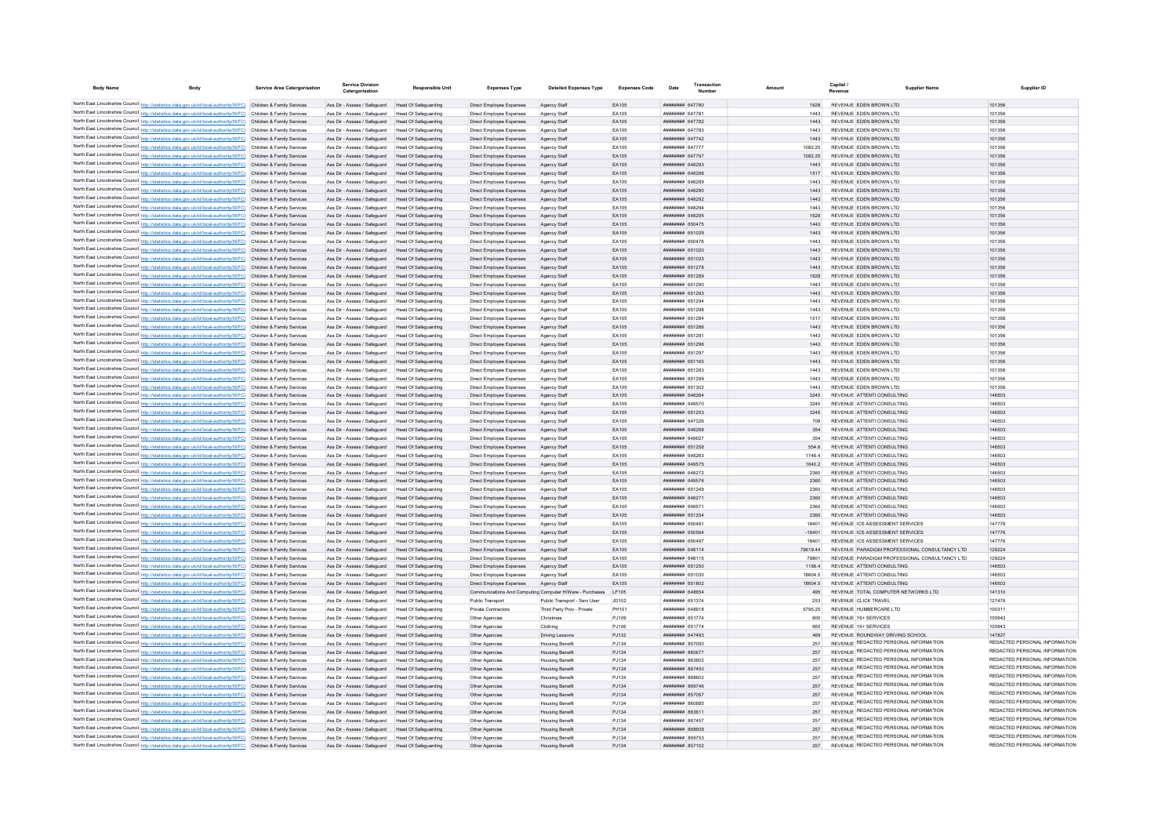| <b>Body Name</b> | Body                                                                                                                                                                                                                                   | <b>Service Area Catergorisation</b> | <b>Service Divisio</b><br>Catergorisation                                                              | <b>Responsible Unit</b>                                    | <b>Expenses Type</b>                                     | <b>Detailed Expenses Type</b>                    | <b>Expenses Code</b> | Date                                                   | Amount            | <b>Supplier Name</b>                                                     | Supplier ID                             |
|------------------|----------------------------------------------------------------------------------------------------------------------------------------------------------------------------------------------------------------------------------------|-------------------------------------|--------------------------------------------------------------------------------------------------------|------------------------------------------------------------|----------------------------------------------------------|--------------------------------------------------|----------------------|--------------------------------------------------------|-------------------|--------------------------------------------------------------------------|-----------------------------------------|
|                  |                                                                                                                                                                                                                                        |                                     |                                                                                                        |                                                            |                                                          |                                                  |                      | <b>НЕННИНИ 647780</b>                                  | 1628              |                                                                          |                                         |
|                  | North East Lincolnshire Council http://statistics.data.gov.uk/id/local-authority/00FC) Children & Family Services<br>North East Lincolnshire Council http://statistics.data.gov.uk/id/local-authority/00FC) Children & Family Services |                                     | Ass Dir - Assess / Safeguard Head Of Safeguarding<br>Ass Dir - Assess / Safeguard Head Of Safeguarding |                                                            | Direct Employee Expenses<br>Direct Employee Expenses     | Agency Staff<br>Agency Staff                     | EA105<br>FA105       | <b><i><u>HHHHHHH</u></i></b> 647781                    | 1443              | REVENUE EDEN BROWN LTD<br>REVENUE EDEN BROWN LTD                         | 101356<br>101356                        |
|                  | North East Lincolnshire Council http://statistics.data.gov.uk/id/local-authority/00FC) Children & Family Services                                                                                                                      |                                     | Ass Dir - Assess / Safeguard Head Of Safeguarding                                                      |                                                            | Direct Employee Expenses                                 | Agency Staff                                     | FA105                | <b>НИННИНН 647782</b>                                  | 1443              | REVENUE FDEN BROWN LTD                                                   | 101356                                  |
|                  | North East Lincolnshire Council http://statistics.data.gov.uk/id/local-authority/00FC) Children & Family Services                                                                                                                      |                                     | Ass Dir - Assess / Safeguard Head Of Safeguarding                                                      |                                                            | Direct Employee Expenses                                 | Agency Staff                                     | FA105                | <b>пппппппп</b> 647783                                 | 1443              | REVENUE FDEN BROWN LTD                                                   | 101356                                  |
|                  | North East Lincolnshire Council http://statistics.data.gov.uk/id/local-authority/00FC) Children & Family Services                                                                                                                      |                                     | Ass Dir - Assess / Safeguard Head Of Safeguarding                                                      |                                                            | Direct Employee Expenses                                 | Agency Staff                                     | EA105                | ######## 647742                                        | 1443              | REVENUE EDEN BROWN LTD                                                   | 101356                                  |
|                  | North East Lincolnshire Council http://statistics.data.gov.uk/id/local-authority/00FC) Children & Family Services                                                                                                                      |                                     | Ass Dir - Assess / Safeguard Head Of Safeguarding                                                      |                                                            | Direct Employee Expenses                                 | Agency Staff                                     | EA105                | <b>иннинин</b> 647777                                  | 1082.25           | REVENUE FDEN BROWN LTD                                                   | 101356                                  |
|                  | North East Lincolnshire Council http://statistics.data.gov.uk/id/local-authority/00FC) Children & Family Services                                                                                                                      |                                     | Ass Dir - Assess / Safeguard                                                                           | Head Of Safeguarding                                       | Direct Employee Expenses                                 | Agency Staff                                     | EA105                | ######## 647797                                        | 1082.25           | REVENUE EDEN BROWN LTD                                                   | 101356                                  |
|                  | North East Lincolnshire Council http://statistics.data.gov.uk/id/local-authority/00FC) Children & Family Services                                                                                                                      |                                     | Ass Dir - Assess / Safeguard                                                                           | <b>Head Of Safeguarding</b>                                | Direct Employee Expenses                                 | Agency Staff                                     | EA105                | ######## 648293                                        | 1443              | REVENUE EDEN BROWN LTD                                                   | 101356                                  |
|                  | North East Lincolnshire Council http://statistics.data.gov.uk/id/local-authority/00FC) Children & Family Services                                                                                                                      |                                     | Ass Dir - Assess / Safeguard                                                                           | Head Of Safeguarding                                       | Direct Employee Expenses                                 | Agency Staff                                     | EA105                | ######## 648288                                        | 1517              | REVENUE EDEN BROWN LTD                                                   | 101356                                  |
|                  | North East Lincolnshire Council http://statistics.data.gov.uk/id/local-authority/00FC) Children & Family Services                                                                                                                      |                                     | Ass Dir - Assess / Safeguard                                                                           | Head Of Safeguarding                                       | Direct Employee Expenses                                 | Agency Staff                                     | EA105                | пппннннн 648289                                        | 1443              | REVENUE FDEN BROWN LTD                                                   | 101356                                  |
|                  | North East Lincolnshire Council http://statistics.data.gov.uk/id/local-authority/00FC) Children & Family Services<br>North East Lincolnshire Council http://statistics.data.gov.uk/id/local-authority/00FC) Children & Family Services |                                     | Ass Dir - Assess / Safeguard<br>Ass Dir - Assess / Safeguard                                           | Head Of Safeguarding<br>Head Of Safeguarding               | Direct Employee Expenses<br>Direct Employee Expenses     | Agency Staff                                     | EA105<br>EA105       | ######## 648290<br>######## 648292                     | 1443<br>1443      | REVENUE EDEN BROWN LTD<br>REVENUE EDEN BROWN LTD                         | 101356<br>101356                        |
|                  | North East Lincolnshire Council http://statistics.data.gov.uk/id/local-authority/00FC) Children & Family Services                                                                                                                      |                                     | Ass Dir - Assess / Safeguard                                                                           | Head Of Safeguarding                                       | Direct Employee Expenses                                 | Agency Staff<br>Agency Staff                     | EA105                | ####### 64829                                          | 1443              | REVENUE EDEN BROWN LTD                                                   | 101356                                  |
|                  | North East Lincolnshire Council http://statistics.data.gov.uk/id/local-authority/00FC) Children & Family Services                                                                                                                      |                                     | Ass Dir - Assess / Safeguard                                                                           | <b>Head Of Safeguarding</b>                                | Direct Employee Expenses                                 | Agency Staff                                     | EA105                | <b>HUHHHHH 648295</b>                                  | 1628              | REVENUE FDEN BROWN LTD                                                   | 101356                                  |
|                  | North East Lincolnshire Council http://statistics.data.gov.uk/id/local-authority/00FC) Children & Family Services                                                                                                                      |                                     | Ass Dir - Assess / Safeguard                                                                           | Head Of Safeguarding                                       | Direct Employee Expenses                                 | Agency Staff                                     | FA105                | <b>HHHHHHH 650475</b>                                  | 1443              | REVENUE EDEN BROWN LTD                                                   | 101356                                  |
|                  | North East Lincolnshire Council http://statistics.data.gov.uk/id/local-authority/00FC) Children & Family Services                                                                                                                      |                                     | Ass Dir - Assess / Safeguard                                                                           | Head Of Safeguarding                                       | Direct Employee Expenses                                 | Agency Staff                                     | EA105                | <b><i>BRENHHHH</i></b> 651029                          | 1443              | REVENUE EDEN BROWN LTD                                                   | 101356                                  |
|                  | North East Lincolnshire Council http://statistics.data.gov.uk/id/local-authority/00FC) Children & Family Services                                                                                                                      |                                     | Ass Dir - Assess / Safeguard                                                                           | Head Of Safeguarding                                       | Direct Employee Expenses                                 | Agency Staff                                     | EA105                | <b>########</b> 650476                                 | 1443              | REVENUE FDEN BROWN LTD                                                   | 101356                                  |
|                  | North East Lincolnshire Council http://statistics.data.gov.uk/id/local-authority/00FC) Children & Family Services                                                                                                                      |                                     | Ass Dir - Assess / Safeguard                                                                           | Head Of Safeguarding                                       | Direct Employee Expenses                                 | Agency Staff                                     | EA105                | ######## 651020                                        | 1443              | REVENUE EDEN BROWN LTD                                                   | 101356                                  |
|                  | North East Lincolnshire Council http://statistics.data.gov.uk/id/local-authority/00FC) Children & Family Services                                                                                                                      |                                     | Ass Dir - Assess / Safeguard                                                                           | Head Of Safeguarding                                       | Direct Employee Expenses                                 | Agency Staff                                     | EA105                | ######## 651023                                        | 1443              | REVENUE EDEN BROWN LTD                                                   | 101356                                  |
|                  | North East Lincolnshire Council http://statistics.data.gov.uk/id/local-authority/00FC) Children & Family Services                                                                                                                      |                                     | Ass Dir - Assess / Safeguard                                                                           | Head Of Safeguarding                                       | Direct Employee Expenses                                 | Agency Staff                                     | EA105                | ######## 651278                                        | 1443              | REVENUE EDEN BROWN LTD                                                   | 101356                                  |
|                  | North East Lincolnshire Council http://statistics.data.gov.uk/id/local-authority/00FC) Children & Family Services                                                                                                                      |                                     | Ass Dir - Assess / Safeguard                                                                           | Head Of Safeguarding                                       | Direct Employee Expenses                                 | Agency Staff                                     | EA105                | <b>ППИНИНИ 651289</b>                                  | 1628              | REVENUE FDEN BROWN LTD                                                   | 101356                                  |
|                  | North East Lincolnshire Council http://statistics.data.gov.uk/id/local-authority/00FC) Children & Family Services                                                                                                                      |                                     | Ass Dir - Assess / Safeguard                                                                           | Head Of Safeguarding                                       | Direct Employee Expenses                                 | Agency Staff                                     | EA105                | ######## 651290                                        | 1443              | REVENUE EDEN BROWN LTD                                                   | 101356                                  |
|                  | North East Lincolnshire Council http://statistics.data.gov.uk/id/local-authority/00FC) Children & Family Services                                                                                                                      |                                     | Ass Dir - Assess / Safeguard                                                                           | Head Of Safeguarding                                       | Direct Employee Expenses                                 | Agency Staff                                     | EA105<br>EA105       | ######## 651293<br>######## 651294                     | 1443              | REVENUE EDEN BROWN LTD<br>REVENUE EDEN BROWN LTD                         | 101356<br>101356                        |
|                  | North East Lincolnshire Council http://statistics.data.gov.uk/id/local-authority/00FC) Children & Family Services<br>North East Lincolnshire Council http://statistics.data.gov.uk/id/local-authority/00FC) Children & Family Services |                                     | Ass Dir - Assess / Safeguard<br>Ass Dir - Assess / Safeguard                                           | Head Of Safeguarding                                       | Direct Employee Expenses                                 | Agency Staff                                     | EA105                | ######## 651298                                        | 1443              | REVENUE EDEN BROWN LTD                                                   | 101356                                  |
|                  | North East Lincolnshire Council http://statistics.data.gov.uk/id/local-authority/00FC) Children & Family Services                                                                                                                      |                                     | Ass Dir - Assess / Safeguard                                                                           | <b>Head Of Safeguarding</b><br><b>Head Of Safeguarding</b> | Direct Employee Expenses<br>Direct Employee Expenses     | Agency Staff<br>Agency Staff                     | EA105                | ######## 651284                                        | 1443<br>1517      | REVENUE EDEN BROWN LTD                                                   | 101356                                  |
|                  | North East Lincolnshire Council http://statistics.data.gov.uk/id/local-authority/00FC) Children & Family Services                                                                                                                      |                                     | Ass Dir - Assess / Safeguard                                                                           | <b>Head Of Safeguarding</b>                                | Direct Employee Expenses                                 | Agency Staff                                     | FA105                | <b>HHHHHHH 651286</b>                                  | 1443              | REVENUE EDEN BROWN LTD                                                   | 101356                                  |
|                  | North East Lincolnshire Council http://statistics.data.gov.uk/id/local-authority/00FC) Children & Family Services                                                                                                                      |                                     | Ass Dir - Assess / Safeguard                                                                           | Head Of Saferwarding                                       | Direct Employee Expenses                                 | Agency Staff                                     | EA105                | <b>HRRHHHHH</b> 651291                                 | 1443              | REVENUE EDEN BROWN LTD                                                   | 101356                                  |
|                  | North East Lincolnshire Council http://statistics.data.gov.uk/id/local-authority/00FC) Children & Family Services                                                                                                                      |                                     | Ass Dir - Assess / Safeguard Head Of Safeguarding                                                      |                                                            | Direct Employee Expenses                                 | Anency Staff                                     | FA105                | <b>ППИНИНИ 651296</b>                                  | 1443              | REVENUE FDEN BROWN LTD                                                   | 101356                                  |
|                  | North East Lincolnshire Council http://statistics.data.gov.uk/id/local-authority/00FC) Children & Family Services                                                                                                                      |                                     | Ass Dir - Assess / Safeguard                                                                           | Head Of Safeguarding                                       | Direct Employee Expenses                                 | Agency Staff                                     | EA105                | ######## 651297                                        | 1443              | REVENUE FDEN BROWN LTD                                                   | 101356                                  |
|                  | North East Lincolnshire Council http://statistics.data.gov.uk/id/local-authority/00FC) Children & Family Services                                                                                                                      |                                     | Ass Dir - Assess / Safeguard Head Of Safeguarding                                                      |                                                            | Direct Employee Expenses                                 | Agency Staff                                     | FA105                | ######## 651165                                        | 1443              | REVENUE FDEN BROWN LTD                                                   | 101356                                  |
|                  | North East Lincolnshire Council http://statistics.data.gov.uk/id/local-authority/00FC) Children & Family Services                                                                                                                      |                                     | Ass Dir - Assess / Safeguard                                                                           | Head Of Safeguarding                                       | Direct Employee Expenses                                 | Agency Staff                                     | EA105                | ######## 651283                                        | 1443              | REVENUE EDEN BROWN LTD                                                   | 101356                                  |
|                  | North East Lincolnshire Council http://statistics.data.gov.uk/id/local-authority/00FC) Children & Family Services                                                                                                                      |                                     | Ass Dir - Assess / Safeguard                                                                           | Head Of Safeguarding                                       | Direct Employee Expenses                                 | Agency Staff                                     | EA105                | <b>HUHHHHH 651299</b>                                  | 1443              | REVENUE FDEN BROWN LTD                                                   | 101356                                  |
|                  | North East Lincolnshire Council http://statistics.data.gov.uk/id/local-authority/00FC) Children & Family Services                                                                                                                      |                                     | Ass Dir - Assess / Safeguard                                                                           | Head Of Safeguarding                                       | Direct Employee Expenses                                 | Agency Staff                                     | EA105                | <b>пппппппп</b> 651302                                 | 1443              | REVENUE FDEN BROWN LTD                                                   | 101356                                  |
|                  | North East Lincolnshire Council http://statistics.data.gov.uk/id/local-authority/00FC) Children & Family Services                                                                                                                      |                                     | Ass Dir - Assess / Safeguard                                                                           | Head Of Safeguarding                                       | Direct Employee Expenses                                 | Agency Staff                                     | FA105                | пппннннн 648264                                        | 3245              | REVENUE ATTENTI CONSULTING                                               | 146503                                  |
|                  | North East Lincolnshire Council http://statistics.data.gov.uk/id/local-authority/00FC) Children & Family Services                                                                                                                      |                                     | Ass Dir - Assess / Safeguard                                                                           | Head Of Safeguarding                                       | Direct Employee Expenses                                 | Agency Staff                                     | FA105                | <b>HUHHHHH 649570</b>                                  | 3245              | REVENUE ATTENTI CONSULTING                                               | 146503                                  |
|                  | North East Lincolnshire Council http://statistics.data.gov.uk/id/local-authority/00FC) Children & Family Services                                                                                                                      |                                     | Ass Dir - Assess / Safeguard                                                                           | Head Of Safeguarding                                       | Direct Employee Expenses                                 | Agency Staff                                     | FA105                | <b>пппппппп</b> 651253                                 | 3245              | REVENUE ATTENTI CONSULTING                                               | 146503                                  |
|                  | North East Lincolnshire Council http://statistics.data.gov.uk/id/local-authority/00FC) Children & Family Services<br>North East Lincolnshire Council http://statistics.data.gov.uk/id/local-authority/00FC) Children & Family Services |                                     | Ass Dir - Assess / Safeguard                                                                           | Head Of Safeguarding                                       | Direct Employee Expenses                                 | Agency Staf                                      | EA105<br>EA105       | ######## 647326<br><b>ППИНИНИ 648268</b>               | 708               | REVENUE ATTENTI CONSULTING<br>REVENUE ATTENTI CONSULTING                 | 146503<br>146503                        |
|                  | North East Lincolnshire Council http://statistics.data.gov.uk/id/local-authority/00FC) Children & Family Services                                                                                                                      |                                     | Ass Dir - Assess / Safeguard<br>Ass Dir - Assess / Safeguard                                           | Head Of Safeguarding<br>Head Of Safeguarding               | Direct Employee Expenses                                 | Agency Staff                                     | EA105                | <b><i><u>HHHHHHH</u></i></b> 649627                    | 354<br>354        | REVENUE ATTENTI CONSULTING                                               | 146503                                  |
|                  | North East Lincolnshire Council http://statistics.data.gov.uk/id/local-authority/00FC) Children & Family Services                                                                                                                      |                                     | Ass Dir - Assess / Safeguard                                                                           | Head Of Safeguarding                                       | Direct Employee Expenses<br>Direct Employee Expenses     | Agency Staff<br>Agency Staff                     | FA105                | <b><i>BRENHHHH 651258</i></b>                          | 554.6             | REVENUE ATTENTI CONSULTING                                               | 146503                                  |
|                  | North East Lincolnshire Council http://statistics.data.gov.uk/id/local-authority/00FC) Children & Family Services                                                                                                                      |                                     | Ass Dir - Assess / Safeguard                                                                           | Head Of Safeguarding                                       | Direct Employee Expenses                                 | Agency Staff                                     | EA105                | <b><i>BREEZER 648263</i></b>                           | 17464             | REVENUE ATTENTI CONSULTING                                               | 146503                                  |
|                  | North East Lincolnshire Council http://statistics.data.gov.uk/id/local-authority/00FC) Children & Family Services                                                                                                                      |                                     | Ass Dir - Assess / Safeguard                                                                           | Head Of Safeguarding                                       | Direct Employee Expenses                                 | Agency Staff                                     | EA105                | <b><i>BREEZER 649575</i></b>                           | 1640.2            | REVENUE ATTENTI CONSULTING                                               | 146503                                  |
|                  | North East Lincolnshire Council http://statistics.data.gov.uk/id/local-authority/00FC) Children & Family Services                                                                                                                      |                                     | Ass Dir - Assess / Safeguard                                                                           | <b>Head Of Safeguarding</b>                                | Direct Employee Expenses                                 | Agency Staf                                      | EA105                | ######## 648272                                        | 2360              | REVENUE ATTENTI CONSULTING                                               | 146503                                  |
|                  | North East Lincolnshire Council http://statistics.data.gov.uk/id/local-authority/00FC) Children & Family Services                                                                                                                      |                                     | Ass Dir - Assess / Safeguard                                                                           | <b>Head Of Safeguarding</b>                                | Direct Employee Expenses                                 | Agency Staff                                     | EA105                | ######## 649576                                        | 2360              | REVENUE ATTENTI CONSULTING                                               | 146503                                  |
|                  | North East Lincolnshire Council http://statistics.data.gov.uk/id/local-authority/00FC) Children & Family Services                                                                                                                      |                                     | Ass Dir - Assess / Safeguard                                                                           | Head Of Safeguarding                                       | Direct Employee Expenses                                 | Agency Staff                                     | EA105                | ######## 651249                                        | 2360              | REVENUE ATTENTI CONSULTING                                               | 146503                                  |
|                  | North East Lincolnshire Council http://statistics.data.gov.uk/id/local-authority/00FC) Children & Family Services                                                                                                                      |                                     | Ass Dir - Assess / Safeguard                                                                           | Head Of Safeguarding                                       | Direct Employee Expenses                                 | Agency Staff                                     | EA105                | ннинини 648271                                         | 2360              | REVENUE ATTENTI CONSULTING                                               | 146503                                  |
|                  | North East Lincolnshire Council http://statistics.data.gov.uk/id/local-authority/00FC) Children & Family Services                                                                                                                      |                                     | Ass Dir - Assess / Safeguard                                                                           | Head Of Safeguarding                                       | Direct Employee Expenses                                 | Agency Staff                                     | EA105                | <b>пппппппп</b> 64957                                  | 2360              | REVENUE ATTENTI CONSULTING                                               | 146503                                  |
|                  | North East Lincolnshire Council http://statistics.data.gov.uk/id/local-authority/00FC) Children & Family Services                                                                                                                      |                                     | Ass Dir - Assess / Safeguard                                                                           | Head Of Safeguarding                                       | Direct Employee Expenses                                 | Agency Staff                                     | EA105                | ######## 651254                                        | 2360              | REVENUE ATTENTI CONSULTING                                               | 146503                                  |
|                  | North East Lincolnshire Council http://statistics.data.gov.uk/id/local-authority/00FC) Children & Family Services                                                                                                                      |                                     | Ass Dir - Assess / Safeguard                                                                           | Head Of Safeguarding                                       | Direct Employee Expenses                                 | Agency Staff                                     | EA105                | ####### 65049                                          | 18401             | REVENUE ICS ASSESSMENT SERVICES                                          | 147776                                  |
|                  | North East Lincolnshire Council http://statistics.data.gov.uk/id/local-authority/00FC) Children & Family Services<br>North East Lincolnshire Council http://statistics.data.gov.uk/id/local-authority/00FC) Children & Family Services |                                     | Ass Dir - Assess / Safeguard                                                                           | Head Of Safeguarding<br>Head Of Safeguarding               | Direct Employee Expenses                                 | Agency Staff                                     | EA105<br>FA105       | <b>пппппппп</b> 650564<br><b>HHHHHHH 650497</b>        | $-18401$<br>18401 | REVENUE ICS ASSESSMENT SERVICES<br>REVENUE ICS ASSESSMENT SERVICES       | 147776<br>147776                        |
|                  | North East Lincolnshire Council http://statistics.data.gov.uk/id/local-authority/00FC) Children & Family Services                                                                                                                      |                                     | Ass Dir - Assess / Safeguard<br>Ass Dir - Assess / Safeguard                                           | Head Of Safeguarding                                       | Direct Employee Expenses<br>Direct Employee Expenses     | Agency Staff                                     | FA105                | <b>HHHHHHH 648114</b>                                  | 7961944           | REVENUE PARADIGM PROFESSIONAL CONSULTANCY LTD                            | 129224                                  |
|                  | North East Lincolnshire Council http://statistics.data.gov.uk/id/local-authority/00FC) Children & Family Services                                                                                                                      |                                     | Ass Dir - Assess / Safeguard                                                                           | Head Of Safeguarding                                       | Direct Employee Expenses                                 | Agency Staff<br>Agency Staff                     | EA105                | <b>HUHHHHH 648115</b>                                  | 79801             | REVENUE PARADIGM PROFESSIONAL CONSULTANCY LTD                            | 129224                                  |
|                  | North East Lincolnshire Council http://statistics.data.gov.uk/id/local-authority/00FC) Children & Family Services                                                                                                                      |                                     | Ass Dir - Assess / Safeguard Head Of Safeguarding                                                      |                                                            | Direct Employee Expenses                                 | Agency Staff                                     | EA105                | ######## 651250                                        | 1156.4            | REVENUE ATTENTI CONSULTING                                               | 146503                                  |
|                  | North East Lincolnshire Council http://statistics.data.gov.uk/id/local-authority/00FC) Children & Family Services                                                                                                                      |                                     | Ass Dir - Assess / Safeguard                                                                           | Head Of Safeguarding                                       | Direct Employee Expenses                                 | Agency Staf                                      | EA105                | ######## 651030                                        | 18604.5           | REVENUE ATTENTI CONSULTING                                               | 146503                                  |
|                  | North East Lincolnshire Council http://statistics.data.gov.uk/id/local-authority/00FC) Children & Family Services                                                                                                                      |                                     | Ass Dir - Assess / Safeguard                                                                           | Head Of Safeguarding                                       | Direct Employee Expenses                                 | Agency Staff                                     | EA105                | ######## 651802                                        | 18604.5           | REVENUE ATTENTI CONSULTING                                               | 146503                                  |
|                  | North East Lincolnshire Council http://statistics.data.gov.uk/id/local-authority/00FC) Children & Family Services                                                                                                                      |                                     | Ass Dir - Assess / Safeguard                                                                           | <b>Head Of Safeguarding</b>                                | Communications And Computing Computer H/Ware - Purchases |                                                  | I F105               | пппппппп 648654                                        | 495               | REVENUE TOTAL COMPUTER NETWORKS LTD                                      | 141310                                  |
|                  | North East Lincolnshire Council http://statistics.data.gov.uk/id/local-authority/00FC) Children & Family Services                                                                                                                      |                                     | Ass Dir - Assess / Safeguard                                                                           | Head Of Safeguarding                                       | Public Transport                                         | Public Transport - Serv User                     | JD102                | <b>HHHHHHH</b> 651374                                  | 253               | REVENUE CLICK TRAVEL                                                     | 127476                                  |
|                  | North East Lincolnshire Council http://statistics.data.gov.uk/id/local-authority/00FC) Children & Family Services                                                                                                                      |                                     | Ass Dir - Assess / Safeguard                                                                           | Head Of Safeguarding                                       | Private Contractors                                      | Third Party Prov - Private                       | PH101                | ######## 648918                                        | 5795.25           | REVENUE HUMBERCARE LTD                                                   | 100311                                  |
|                  | North East Lincolnshire Council http://statistics.data.gov.uk/id/local-authority/00FC) Children & Family Services                                                                                                                      |                                     | Ass Dir - Assess / Safeguard                                                                           | <b>Head Of Safeguarding</b>                                | Other Agencies                                           | Christmas                                        | PJ109                | ######## 651774                                        | 600               | REVENUE 16+ SERVICES                                                     | 100943                                  |
|                  | North East Lincolnshire Council http://statistics.data.gov.uk/id/local-authority/00FC) Children & Family Services                                                                                                                      |                                     | Ass Dir - Assess / Safeguard                                                                           | <b>Head Of Safeguarding</b>                                | Other Agencies                                           | Clothing                                         | PJ106                | ######## 651774                                        | 665               | REVENUE 16+ SERVICES                                                     | 100943                                  |
|                  | North East Lincolnshire Council http://statistics.data.gov.uk/id/local-authority/00FC) Children & Family Services                                                                                                                      |                                     | Ass Dir - Assess / Safeguard                                                                           | <b>Head Of Safeguarding</b>                                | Other Agencies                                           | <b>Driving Lessons</b>                           | PJ132                | ######## 647493                                        | 469               | REVENUE ROUNDWAY DRIVING SCHOOL<br>REVENUE REDACTED PERSONAL INFORMATION | 147827<br>REDACTED PERSONAL INFORMATION |
|                  | North East Lincolnshire Council http://statistics.data.gov.uk/id/local-authority/00FC) Children & Family Services                                                                                                                      |                                     | Ass Dir - Assess / Safeguard                                                                           | Head Of Safeguarding                                       | Other Anencies                                           | <b>Housing Benefit</b>                           | P.1134               | <b>########</b> 857050                                 | 257               | REVENUE REDACTED PERSONAL INFORMATION                                    | REDACTED PERSONAL INFORMATION           |
|                  | North East Lincolnshire Council http://statistics.data.gov.uk/id/local-authority/00FC) Children & Family Services                                                                                                                      |                                     | Ass Dir - Assess / Safeguard                                                                           | Head Of Saferwarding                                       | Other Agencies                                           | <b>Housing Benefit</b>                           | PJ134                | <b><i>HHHHHHH BROSTT</i></b><br><b>пппппппп</b> 863602 | 257<br>257        | REVENUE REDACTED PERSONAL INFORMATION                                    | REDACTED PERSONAL INFORMATION           |
|                  | North East Lincolnshire Council http://statistics.data.gov.uk/id/local-authority/00FC) Children & Family Services<br>North East Lincolnshire Council http://statistics.data.gov.uk/id/local-authority/00FC) Children & Family Services |                                     | Ass Dir - Assess / Safeguard<br>Ass Dir - Assess / Safeguard                                           | Head Of Safeguarding<br><b>Head Of Safeguarding</b>        | Other Agencies<br>Other Agencies                         | <b>Housing Benefit</b><br><b>Housing Benefit</b> | P.1134<br>PJ134      | ######## 867450                                        | 257               | REVENUE REDACTED PERSONAL INFORMATION                                    | REDACTED PERSONAL INFORMATION           |
|                  | North East Lincolnshire Council http://statistics.data.gov.uk/id/local-authority/00FC) Children & Family Services                                                                                                                      |                                     | Ass Dir - Assess / Safeguard                                                                           | Head Of Safeguarding                                       | Other Anencies                                           | <b>Housing Benefit</b>                           | PJ134                | <b>иннинин</b> 868602                                  | 257               | REVENUE REDACTED PERSONAL INFORMATION                                    | REDACTED PERSONAL INFORMATION           |
|                  | North East Lincolnshire Council http://statistics.data.gov.uk/id/local-authority/00FC) Children & Family Services                                                                                                                      |                                     | Ass Dir - Assess / Safeguard                                                                           | Head Of Safeguarding                                       | Other Agencies                                           | <b>Housing Benefit</b>                           | PJ134                | ######## 869746                                        | 257               | REVENUE REDACTED PERSONAL INFORMATION                                    | REDACTED PERSONAL INFORMATION           |
|                  | North East Lincolnshire Council http://statistics.data.gov.uk/id/local-authority/00FC) Children & Family Services                                                                                                                      |                                     | Ass Dir - Assess / Safeguard                                                                           | Head Of Safeguarding                                       | Other Agencies                                           | <b>Housing Benefit</b>                           | PJ134                | ######## 857057                                        | 257               | REVENUE REDACTED PERSONAL INFORMATION                                    | REDACTED PERSONAL INFORMATION           |
|                  | North East Lincolnshire Council http://statistics.data.gov.uk/id/local-authority/00FC) Children & Family Services                                                                                                                      |                                     | Ass Dir - Assess / Safeguard                                                                           | Head Of Safeguarding                                       | Other Agencies                                           | <b>Housing Benefit</b>                           | PJ134                | 182028 BURBERRY                                        | 257               | REVENUE REDACTED PERSONAL INFORMATION                                    | REDACTED PERSONAL INFORMATION           |
|                  | North East Lincolnshire Council http://statistics.data.gov.uk/id/local-authority/00FC) Children & Family Services                                                                                                                      |                                     | Ass Dir - Assess / Safeguard                                                                           | Head Of Safeguarding                                       | Other Anencies                                           | <b>Housing Benefit</b>                           | P.1134               | ######## 863611                                        | 257               | REVENUE REDACTED PERSONAL INFORMATION                                    | REDACTED PERSONAL INFORMATION           |
|                  | North East Lincolnshire Council http://statistics.data.gov.uk/id/local-authority/00FC) Children & Family Services                                                                                                                      |                                     | Ass Dir - Assess / Safeguard                                                                           | Head Of Safeguarding                                       | Other Agencies                                           | <b>Housing Benefit</b>                           | P.1134               | <b>пппппппп</b> 867457                                 | 257               | REVENUE REDACTED PERSONAL INFORMATION                                    | REDACTED PERSONAL INFORMATION           |
|                  | North East Lincolnshire Council http://statistics.data.gov.uk/id/local-authority/00FC) Children & Family Services                                                                                                                      |                                     | Ass Dir - Assess / Safeguard                                                                           | Head Of Safeguarding                                       | Other Agencies                                           | <b>Housing Benefit</b>                           | PJ134                | BASSAR MEMBERS                                         | 257               | REVENUE REDACTED PERSONAL INFORMATION                                    | REDACTED PERSONAL INFORMATION           |
|                  | North East Lincolnshire Council http://statistics.data.gov.uk/id/local-authority/00FC) Children & Family Services                                                                                                                      |                                     | Ass Dir - Assess / Safeguard                                                                           | Head Of Safeguarding                                       | Other Agencies                                           | <b>Housing Benefit</b>                           | PJ134                | <b>BRENHHHH 869753</b>                                 | 257               | REVENUE REDACTED PERSONAL INFORMATION                                    | REDACTED PERSONAL INFORMATION           |
|                  | North East Lincolnshire Council http://statistics.data.gov.uk/id/local-authority/00FC) Children & Family Services                                                                                                                      |                                     | Ass Dir - Assess / Safeguard Head Of Safeguarding                                                      |                                                            | Other Agencie                                            | <b>Housing Benefit</b>                           | P.1134               | <b>ПЕПИЛИН 857102</b>                                  | 257               | REVENUE REDACTED PERSONAL INFORMATION                                    | REDACTED PERSONAL INFORMATION           |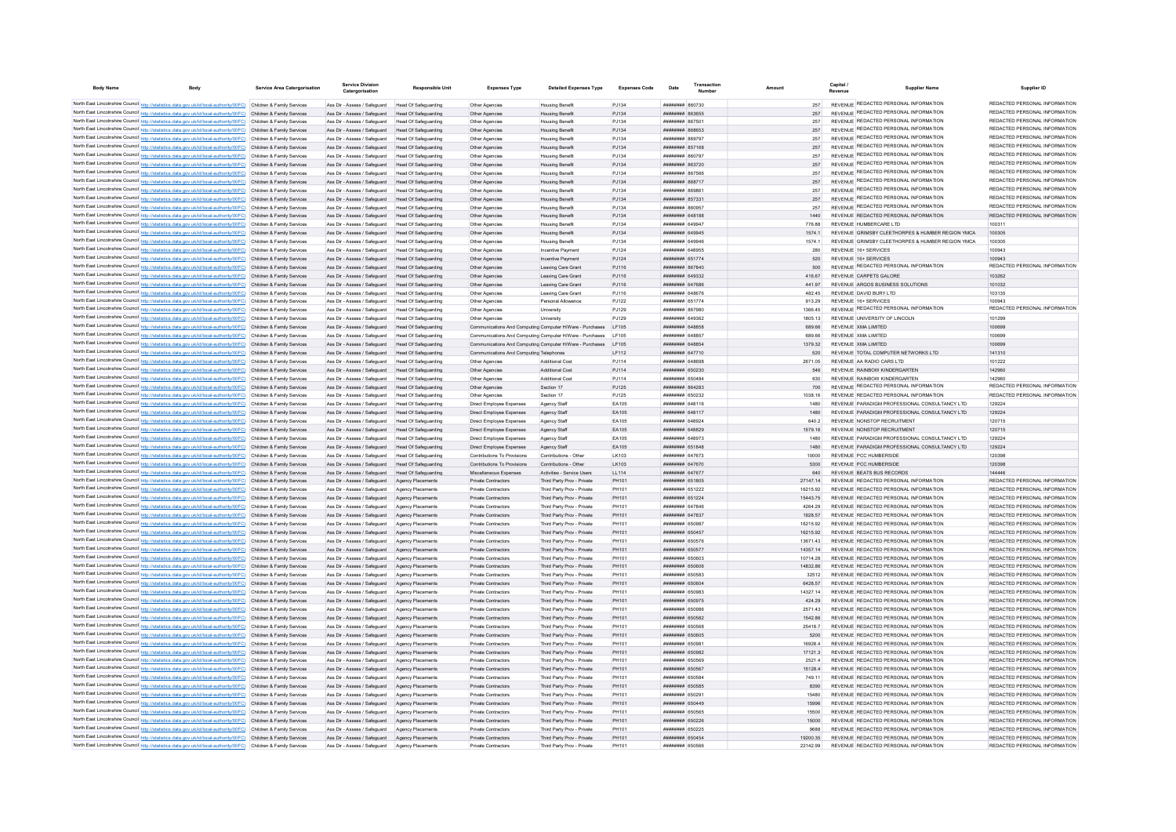| <b>Body Name</b>                                                                                                                                                                                                                       | Service Area Catergorisation                                        | <b>Service Division</b><br>Catergorisation                                        | <b>Responsible Unit</b>                             | <b>Expenses Type</b>                                                       | <b>Detailed Expenses Type</b>                            | <b>Expenses Code</b>  | Date                                             | Transaction |                    | Capital<br>Revenue | <b>Supplier Name</b>                                                                                 | Supplier ID                                                    |
|----------------------------------------------------------------------------------------------------------------------------------------------------------------------------------------------------------------------------------------|---------------------------------------------------------------------|-----------------------------------------------------------------------------------|-----------------------------------------------------|----------------------------------------------------------------------------|----------------------------------------------------------|-----------------------|--------------------------------------------------|-------------|--------------------|--------------------|------------------------------------------------------------------------------------------------------|----------------------------------------------------------------|
|                                                                                                                                                                                                                                        |                                                                     |                                                                                   |                                                     |                                                                            |                                                          |                       |                                                  |             | 257                |                    | REVENUE REDACTED PERSONAL INFORMATION                                                                | REDACTED PERSONAL INFORMATION                                  |
| North East Lincolnshire Council http://statistics.data.gov.uk/id/local-authority/00FC) Children & Family Services<br>North East Lincolnshire Council http://statistics.data.gov.uk/id/local-authority/00FC) Children & Family Services |                                                                     | Ass Dir - Assess / Safeguard<br>Ass Dir - Assess / Safeguard                      | Head Of Safeguarding<br><b>Head Of Safeguarding</b> | Other Anencies<br>Other Agencies                                           | <b>Housing Benefit</b><br><b>Housing Benefit</b>         | P.1134<br>PJ134       | 027038 #######<br><b>ПЛИНИНИ 863655</b>          |             | 257                |                    | REVENUE REDACTED PERSONAL INFORMATION                                                                | REDACTED PERSONAL INFORMATION                                  |
| North East Lincolnshire Council http://statistics.data.gov.uk/id/local-authority/00FC) Children & Family Services                                                                                                                      |                                                                     | Ass Dir - Assess / Safeguard                                                      | Head Of Safeguarding                                | Other Agencies                                                             | <b>Housing Benefit</b>                                   | P.1134                | <b>CASS NUMBER</b>                               |             | 257                |                    | REVENUE REDACTED PERSONAL INFORMATION                                                                | REDACTED PERSONAL INFORMATION                                  |
| North East Lincolnshire Council http://statistics.data.gov.uk/id/local-authority/00FC) Children & Family Services                                                                                                                      |                                                                     | Ass Dir - Assess / Safeguard                                                      | Head Of Safeguarding                                | Other Agencies                                                             | <b>Housing Benefit</b>                                   | PJ134                 | ######## 868653                                  |             | 257                |                    | REVENUE REDACTED PERSONAL INFORMATION                                                                | REDACTED PERSONAL INFORMATION                                  |
| North East Lincolnshire Council http://statistics.data.gov.uk/id/local-authority/00FC) Children & Family Services                                                                                                                      |                                                                     | Ass Dir - Assess / Safeguard                                                      | Head Of Safeguarding                                | Other Agencies                                                             | <b>Housing Benefit</b>                                   | PJ134                 | <b>HHHHHHH 860707</b>                            |             | 257                |                    | REVENUE REDACTED PERSONAL INFORMATION                                                                | REDACTED PERSONAL INFORMATION                                  |
| North East Lincolnshire Council http://statistics.data.gov.uk/id/local-authority/00FC) Children & Family Services                                                                                                                      |                                                                     | Ass Dir - Assess / Safeguard                                                      | Head Of Safeguarding                                | Other Agencies                                                             | <b>Housing Benefit</b>                                   | PJ134                 | <b>HHHHHHH</b> 857168                            |             | 257                |                    | REVENUE REDACTED PERSONAL INFORMATION                                                                | REDACTED PERSONAL INFORMATION                                  |
| North East Lincolnshire Council http://statistics.data.gov.uk/id/local-authority/00FC) Children & Family Services                                                                                                                      |                                                                     | Ass Dir - Assess / Safeguard                                                      | Head Of Safeguarding                                | Other Anencies                                                             | <b>Housing Benefit</b>                                   | P.1134                | <b>HHHHHHH 860797</b>                            |             | 257                |                    | REVENUE REDACTED PERSONAL INFORMATION<br>REVENUE REDACTED PERSONAL INFORMATION                       | REDACTED PERSONAL INFORMATION<br>REDACTED PERSONAL INFORMATION |
| North East Lincolnshire Council http://statistics.data.gov.uk/id/local-authority/00FC) Children & Family Services<br>North East Lincolnshire Council http://statistics.data.gov.uk/id/local-authority/00FC) Children & Family Services |                                                                     | Ass Dir - Assess / Safeguard Head Of Safeguarding<br>Ass Dir - Assess / Safeguard | Head Of Safeguarding                                | Other Agencies                                                             | <b>Housing Benefit</b>                                   | PJ134<br>PJ134        | <b>пппппппп</b> 863720<br><b>####### 867566</b>  |             | 257<br>257         |                    | REVENUE REDACTED PERSONAL INFORMATION                                                                | REDACTED PERSONAL INFORMATION                                  |
| North East Lincolnshire Council http://statistics.data.gov.uk/id/local-authority/00FC) Children & Family Services                                                                                                                      |                                                                     | Ass Dir - Assess / Safeguard                                                      | Head Of Safeguarding                                | Other Agencies<br>Other Agencies                                           | <b>Housing Benefit</b><br><b>Housing Benefit</b>         | PJ134                 | ######## 868717                                  |             | 257                |                    | REVENUE REDACTED PERSONAL INFORMATION                                                                | REDACTED PERSONAL INFORMATION                                  |
| North East Lincolnshire Council http://statistics.data.gov.uk/id/local-authority/00FC) Children & Family Services                                                                                                                      |                                                                     | Ass Dir - Assess / Safeguard                                                      | Head Of Safeguarding                                | Other Agencies                                                             | <b>Housing Benefit</b>                                   | PJ134                 | ######## 86986                                   |             | 257                |                    | REVENUE REDACTED PERSONAL INFORMATION                                                                | REDACTED PERSONAL INFORMATION                                  |
| North East Lincolnshire Council http://statistics.data.gov.uk/id/local-authority/00FC) Children & Family Services                                                                                                                      |                                                                     | Ass Dir - Assess / Safeguard                                                      | Head Of Safeguarding                                | Other Agencies                                                             | <b>Housing Benefit</b>                                   | P.1134                | ######## 857331                                  |             | 257                |                    | REVENUE REDACTED PERSONAL INFORMATION                                                                | REDACTED PERSONAL INFORMATION                                  |
| North East Lincolnshire Council http://statistics.data.gov.uk/id/local-authority/00FC) Children & Family Services                                                                                                                      |                                                                     | Ass Dir - Assess / Safeguard                                                      | Head Of Safeguarding                                | Other Agencies                                                             | <b>Housing Benefit</b>                                   | P.1134                | ######## 860957                                  |             | 257                |                    | REVENUE REDACTED PERSONAL INFORMATION                                                                | REDACTED PERSONAL INFORMATION                                  |
| North East Lincolnshire Council http://statistics.data.gov.uk/id/local-authority/00FC) Children & Family Services                                                                                                                      |                                                                     | Ass Dir - Assess / Safeguard                                                      | Head Of Safeguarding                                | Other Agencies                                                             | <b>Housing Benefit</b>                                   | PJ134                 | <b>HHHHHHH 648188</b>                            |             | 1440               |                    | REVENUE REDACTED PERSONAL INFORMATION                                                                | REDACTED PERSONAL INFORMATION                                  |
| North East Lincolnshire Council http://statistics.data.gov.uk/id/local-authority/00FC) Children & Family Services                                                                                                                      |                                                                     | Ass Dir - Assess / Safeguard                                                      | Head Of Safeguarding                                | Other Agencie                                                              | <b>Housing Benefit</b>                                   | PJ134                 | ####### 64994                                    |             | 776.88             |                    | REVENUE HUMBERCARE LTD                                                                               |                                                                |
| North East Lincolnshire Council http://statistics.data.gov.uk/id/local-authority/00FC) Children & Family Services<br>North East Lincolnshire Council http://statistics.data.gov.uk/id/local-authority/00FC) Children & Family Services |                                                                     | Ass Dir - Assess / Safeguard<br>Ass Dir - Assess / Safeguard                      | <b>Head Of Safeguarding</b><br>Head Of Safeguarding | Other Agencies<br>Other Agencies                                           | <b>Housing Benefit</b><br><b>Housing Benefit</b>         | PJ134<br>PJ134        | ######## 649945<br><b>HHHHHHH</b> GAGGAR         |             | 1574.1<br>1574.1   |                    | REVENUE GRIMSBY CLEETHORPES & HUMBER REGION YMCA<br>REVENUE GRIMSBY CLEETHORPES & HUMBER REGION YMCA | 100305<br>100305                                               |
| North East Lincolnshire Council http://statistics.data.gov.uk/id/local-authority/00FC) Children & Family Services                                                                                                                      |                                                                     | Ass Dir - Assess / Safeguard                                                      | Head Of Safeguarding                                | Other Agencies                                                             | <b>Incentive Payment</b>                                 | P.1124                | <b><i>BRENHHHH 648955</i></b>                    |             | 280                |                    | REVENUE 16+ SERVICES                                                                                 | 100943                                                         |
| North East Lincolnshire Council http://statistics.data.gov.uk/id/local-authority/00FC) Children & Family Services                                                                                                                      |                                                                     | Ass Dir - Assess / Safeguard                                                      | Head Of Safeguarding                                | Other Agencies                                                             | Incentive Payment                                        | PJ124                 | <b><i>BRENHHHH 651774</i></b>                    |             | 520                |                    | REVENUE 16+ SERVICES                                                                                 | 100943                                                         |
| North East Lincolnshire Council http://statistics.data.gov.uk/id/local-authority/00FC) Children & Family Services                                                                                                                      |                                                                     | Ass Dir - Assess / Safeguard                                                      | Head Of Safeguarding                                | Other Agencies                                                             | Leaving Care Grant                                       | PJ116                 | ######## 867840                                  |             | 500                |                    | REVENUE REDACTED PERSONAL INFORMATION                                                                | REDACTED PERSONAL INFORMATION                                  |
| North East Lincolnshire Council http://statistics.data.gov.uk/id/local-authority/00FC) Children & Family Services                                                                                                                      |                                                                     | Ass Dir - Assess / Safeguard                                                      | Head Of Safeguarding                                | Other Agencies                                                             | Leaving Care Grant                                       | PJ116                 | ######## 649332                                  |             | 416.67             |                    | REVENUE CARPETS GALORE                                                                               | 103262                                                         |
| North East Lincolnshire Council http://statistics.data.gov.uk/id/local-authority/00FC) Children & Family Services                                                                                                                      |                                                                     | Ass Dir - Assess / Safeguard                                                      | Head Of Safeguarding                                | Other Agencies                                                             | Leaving Care Grant                                       | PJ116                 | ######## 647686                                  |             | 441.97             |                    | REVENUE ARGOS BUSINESS SOLUTIONS                                                                     | 101032                                                         |
| North East Lincolnshire Council http://statistics.data.gov.uk/id/local-authority/00FC) Children & Family Services                                                                                                                      |                                                                     | Ass Dir - Assess / Safeguard                                                      | Head Of Safeguarding                                | Other Agencies                                                             | Leaving Care Grant                                       | PJ116                 | ######## 648676                                  |             | 482.45             |                    | REVENUE DAVID BURY LTD                                                                               | 103135                                                         |
| North East Lincolnshire Council http://statistics.data.gov.uk/id/local-authority/00FC) Children & Family Services                                                                                                                      |                                                                     | Ass Dir - Assess / Safeguard                                                      | Head Of Safeguarding                                | Other Agencies                                                             | Personal Allowance                                       | P.1122                | <b><i>BREEZERE 651774</i></b>                    |             | 913.29             |                    | REVENUE 16+ SERVICES<br>REVENUE REDACTED PERSONAL INFORMATION                                        | 100943<br>REDACTED PERSONAL INFORMATION                        |
| North East Lincolnshire Council http://statistics.data.gov.uk/id/local-authority/00FC) Children & Family Services<br>North East Lincolnshire Council http://statistics.data.gov.uk/id/local-authority/00FC) Children & Family Services |                                                                     | Ass Dir - Assess / Safeguard<br>Ass Dir - Assess / Safeguard                      | Head Of Safeguarding                                | Other Agencies                                                             | <b>University</b>                                        | P.1129<br>PJ129       | <b><i>BRENHHHH</i></b> 867980<br>######## 649362 |             | 1366 45<br>1805 13 |                    | REVENUE UNIVERSITY OF LINCOLN                                                                        | 101299                                                         |
| North East Lincolnshire Council http://statistics.data.gov.uk/id/local-authority/00FC) Children & Family Services                                                                                                                      |                                                                     | Ass Dir - Assess / Safeguard                                                      | Head Of Safeguarding<br>Head Of Safeguarding        | Other Agencies<br>Communications And Computing Computer H/Ware - Purchases | University                                               | LF105                 | ######## 648858                                  |             | 689.66             |                    | REVENUE XMA LIMITED                                                                                  | 100699                                                         |
| North East Lincolnshire Council http://statistics.data.gov.uk/id/local-authority/00FC) Children & Family Services                                                                                                                      |                                                                     | Ass Dir - Assess / Safeguard                                                      | <b>Head Of Safeguarding</b>                         | Communications And Computing Computer H/Ware - Purchases                   |                                                          | <b>LF105</b>          | ####### 648857                                   |             | 689.66             |                    | REVENUE XMA LIMITED                                                                                  | 100699                                                         |
| North East Lincolnshire Council http://statistics.data.gov.uk/id/local-authority/00FC) Children & Family Services                                                                                                                      |                                                                     | Ass Dir - Assess / Safeguard                                                      | Head Of Safeguarding                                | Communications And Computing Computer H/Ware - Purchases                   |                                                          | LF105                 | <b>HUHHHHHH 648854</b>                           |             | 1379.32            |                    | REVENUE XMA LIMITED                                                                                  | 100699                                                         |
| North East Lincolnshire Council http://statistics.data.gov.uk/id/local-authority/00FC) Children & Family Services                                                                                                                      |                                                                     | Ass Dir - Assess / Safeguard                                                      | Head Of Safeguarding                                | Communications And Computing Telephones                                    |                                                          | LF112                 | <b>HUNHHHH 647710</b>                            |             | 520                |                    | REVENUE TOTAL COMPUTER NETWORKS LTD                                                                  | 141310                                                         |
| North East Lincolnshire Council http://statistics.data.gov.uk/id/local-authority/00FC) Children & Family Services                                                                                                                      |                                                                     | Ass Dir - Assess / Safeguard                                                      | Head Of Safeguarding                                | Other Anencies                                                             | Additional Cost                                          | PJ114                 | ппининин 648698                                  |             | 2671.05            |                    | REVENUE AA RADIO CARS LTD                                                                            | 101222                                                         |
| North East Lincolnshire Council http://statistics.data.gov.uk/id/local-authority/00FC) Children & Family Services                                                                                                                      |                                                                     | Ass Dir - Assess / Safeguard                                                      | Head Of Safeguarding                                | Other Agencies                                                             | Additional Cost                                          | PJ114                 | ######## 650230                                  |             | 546                |                    | REVENUE RAINBOW KINDERGARTEN                                                                         | 142960                                                         |
| North East Lincolnshire Council http://statistics.data.gov.uk/id/local-authority/00FC) Children & Family Services                                                                                                                      |                                                                     | Ass Dir - Assess / Safeguard                                                      | Head Of Safeguarding                                | Other Agencies                                                             | <b>Additional Cost</b>                                   | PJ114                 | ######## 650484                                  |             | 630                |                    | REVENUE RAINBOW KINDERGARTEN                                                                         | 142960                                                         |
| North East Lincolnshire Council http://statistics.data.gov.uk/id/local-authority/00FC) Children & Family Services                                                                                                                      |                                                                     | Ass Dir - Assess / Safeguard                                                      | Head Of Safeguarding                                | Other Agencies                                                             | Section 17                                               | PJ125                 | ######## 864283                                  |             | 700                |                    | REVENUE REDACTED PERSONAL INFORMATION                                                                | REDACTED PERSONAL INFORMATION                                  |
| North East Lincolnshire Council http://statistics.data.gov.uk/id/local-authority/00FC) Children & Family Services                                                                                                                      |                                                                     | Ass Dir - Assess / Safeguard                                                      | Head Of Safeguarding                                | Other Agencies                                                             | Section 17                                               | PJ125                 | ######## 650232                                  |             | 1038.16            |                    | REVENUE REDACTED PERSONAL INFORMATION                                                                | REDACTED PERSONAL INFORMATION                                  |
| North East Lincolnshire Council http://statistics.data.gov.uk/id/local-authority/00FC) Children & Family Services                                                                                                                      |                                                                     | Ass Dir - Assess / Safeguard                                                      | Head Of Safeguarding                                | Direct Employee Expenses                                                   | Agency Staff                                             | EA105                 | <b>HHHHHHH 648116</b>                            |             | 1480               |                    | REVENUE PARADIGM PROFESSIONAL CONSULTANCY LTD                                                        | 129224                                                         |
| North East Lincolnshire Council http://statistics.data.gov.uk/id/local-authority/00FC) Children & Family Services                                                                                                                      |                                                                     | Ass Dir - Assess / Safeguard                                                      | Head Of Safeguarding                                | Direct Employee Expenses                                                   | Agency Staff                                             | FA105                 | <b>HHHHHHH 648117</b>                            |             | 1480               |                    | REVENUE PARADIGM PROFESSIONAL CONSULTANCY LTD<br>REVENUE NONSTOP RECRUITMENT                         | 129224                                                         |
| North East Lincolnshire Council http://statistics.data.gov.uk/id/local-authority/00FC) Children & Family Services<br>North East Lincolnshire Council http://statistics.data.gov.uk/id/local-authority/00FC) Children & Family Services |                                                                     | Ass Dir - Assess / Safeguard<br>Ass Dir - Assess / Safeguard                      | <b>Head Of Safeguarding</b><br>Head Of Safeguarding | Direct Employee Expenses<br>Direct Employee Expenses                       | Agency Staff<br>Agency Staff                             | EA105<br>EA105        | ######## 648924<br>######## 648829               |             | 640.2<br>1579.16   |                    | REVENUE NONSTOP RECRUITMENT                                                                          | 120715<br>120715                                               |
| North East Lincolnshire Council http://stat                                                                                                                                                                                            | ics.data.gov.uk/id/local-authority/00FC) Children & Family Services | Ass Dir - Assess / Safeguard                                                      | <b>Head Of Safeguarding</b>                         | Direct Employee Expenses                                                   | Agency Staff                                             | EA105                 | ######## 64897                                   |             | 1480               |                    | REVENUE PARADIGM PROFESSIONAL CONSULTANCY LTD                                                        | 129224                                                         |
| North East Lincolnshire Council http://statistics.data.gov.uk/id/local-authority/00FC) Children & Family Services                                                                                                                      |                                                                     | Ass Dir - Assess / Safeguard                                                      | Head Of Safeguarding                                | Direct Employee Expenses                                                   | Agency Staff                                             | EA105                 | ######## 651848                                  |             | 1480               |                    | REVENUE PARADIGM PROFESSIONAL CONSULTANCY LTD                                                        | 129224                                                         |
| North East Lincolnshire Council http://statistics.data.gov.uk/id/local-authority/00FC) Children & Family Services                                                                                                                      |                                                                     | Ass Dir - Assess / Safeguard                                                      | Head Of Safeguarding                                | Contributions To Provisions                                                | Contributions - Other                                    | I K103                | <b><i>BREEZEEE 647673</i></b>                    |             | 10000              |                    | REVENUE PCC HUMBERSIDE                                                                               | 120398                                                         |
| North East Lincolnshire Council http://statistics.data.gov.uk/id/local-authority/00FC). Children & Family Services                                                                                                                     |                                                                     | Ass Dir - Assess / Safeguard                                                      | Head Of Safeguarding                                | Contributions To Provisions                                                | Contributions - Other                                    | I K103                | <b>######## 647670</b>                           |             | 5300               |                    | REVENUE PCC HUMBERSIDE                                                                               | 120398                                                         |
| North East Lincolnshire Council http://statistics.data.gov.uk/id/local-authority/00FC) Children & Family Services                                                                                                                      |                                                                     | Ass Dir - Assess / Safeguard                                                      | Head Of Safeguarding                                | Miscellaneous Expenses                                                     | Activities - Service Users                               | LL114                 | ######## 647677                                  |             | 640                |                    | REVENUE BEATS BUS RECORDS                                                                            | 144446                                                         |
| North East Lincolnshire Council http://statistics.data.gov.uk/id/local-authority/00FC) Children & Family Services                                                                                                                      |                                                                     | Ass Dir - Assess / Safeguard                                                      | Agency Placements                                   | Private Contractors                                                        | Third Party Prov - Private                               | PH101                 | ######## 651805                                  |             | 27147.14           |                    | REVENUE REDACTED PERSONAL INFORMATION                                                                | REDACTED PERSONAL INFORMATION                                  |
| North East Lincolnshire Council http://statistics.data.gov.uk/id/local-authority/00FC) Children & Family Services                                                                                                                      |                                                                     | Ass Dir - Assess / Safeguard                                                      | Agency Placements                                   | Private Contractors                                                        | Third Party Prov - Private                               | PH101                 | ######## 651222                                  |             | 16215.92           |                    | REVENUE REDACTED PERSONAL INFORMATION                                                                | REDACTED PERSONAL INFORMATION                                  |
| North East Lincolnshire Council http://statistics.data.gov.uk/id/local-authority/00FC) Children & Family Services                                                                                                                      |                                                                     | Ass Dir - Assess / Safeguard                                                      | Agency Placements                                   | Private Contractors                                                        | Third Party Prov - Private                               | PH101                 | ######## 651224                                  |             | 15443.75           |                    | REVENUE REDACTED PERSONAL INFORMATION                                                                | REDACTED PERSONAL INFORMATION                                  |
| North East Lincolnshire Council http://statistics.data.gov.uk/id/local-authority/00FC) Children & Family Services<br>North East Lincolnshire Council http://statistics.data.gov.uk/id/local-authority/00FC) Children & Family Services |                                                                     | Ass Dir - Assess / Safeguard<br>Ass Dir - Assess / Safeguard                      | Agency Placements<br>Agency Placements              | Private Contractors<br>Private Contractors                                 | Third Party Prov - Private<br>Third Party Prov - Private | PH101<br>PH101        | пппппппп 647846<br>######## 647837               |             | 4264.29<br>1928.57 |                    | REVENUE REDACTED PERSONAL INFORMATION<br>REVENUE REDACTED PERSONAL INFORMATION                       | REDACTED PERSONAL INFORMATION<br>REDACTED PERSONAL INFORMATION |
| North East Lincolnshire Council http://statistics.data.gov.uk/id/local-authority/00FC) Children & Family Services                                                                                                                      |                                                                     | Ass Dir - Assess / Safeguard                                                      | Agency Placements                                   | Private Contractors                                                        | Third Party Prov - Private                               | PH101                 | ######## 650987                                  |             | 16215.92           |                    | REVENUE REDACTED PERSONAL INFORMATION                                                                | REDACTED PERSONAL INFORMATION                                  |
| North East Lincolnshire Council http://statistics.data.gov.uk/id/local-authority/00FC) Children & Family Services                                                                                                                      |                                                                     | Ass Dir - Assess / Safeguard                                                      | Agency Placements                                   | Private Contractors                                                        | Third Party Prov - Private                               | PH101                 | ######## 650457                                  |             | 16215.92           |                    | REVENUE REDACTED PERSONAL INFORMATION                                                                | REDACTED PERSONAL INFORMATION                                  |
| North East Lincolnshire Council http://statistics.data.gov.uk/id/local-authority/00FC) Children & Family Services                                                                                                                      |                                                                     | Ass Dir - Assess / Safeguard                                                      | Agency Placement                                    | Private Contractors                                                        | Third Party Prov - Private                               | PH101                 | ######## 650576                                  |             | 13671.43           |                    | REVENUE REDACTED PERSONAL INFORMATION                                                                | REDACTED PERSONAL INFORMATION                                  |
| North East Lincolnshire Council http://statistics.data.gov.uk/id/local-authority/00FC) Children & Family Services                                                                                                                      |                                                                     | Ass Dir - Assess / Safeguard                                                      |                                                     | Private Contractors                                                        | Third Party Prov - Private                               | PH101                 | ######## 650577                                  |             | 14357.14           |                    | REVENUE REDACTED PERSONAL INFORMATION                                                                | REDACTED PERSONAL INFORMATION                                  |
| North East Lincolnshire Council http://statistics.data.gov.uk/id/local-authority/00FC) Children & Family Services                                                                                                                      |                                                                     | Ass Dir - Assess / Safeguard                                                      | Agency Placements                                   | Private Contractors                                                        | Third Party Prov - Private                               | <b>PH101</b>          | FORD HEBRET                                      |             | 10714.28           |                    | REVENUE REDACTED PERSONAL INFORMATION                                                                | REDACTED PERSONAL INFORMATION                                  |
| North East Lincolnshire Council http://statistics.data.gov.uk/id/local-authority/00FC) Children & Family Services                                                                                                                      |                                                                     | Ass Dir - Assess / Safeguard                                                      | Agency Placements                                   | Private Contractors                                                        | Third Party Prov - Private                               | PH101                 | ######## 650606                                  |             | 14832.86           |                    | REVENUE REDACTED PERSONAL INFORMATION                                                                | REDACTED PERSONAL INFORMATION                                  |
| North East Lincolnshire Council http://statistics.data.gov.uk/id/local-authority/00FC) Children & Family Services                                                                                                                      |                                                                     | Ass Dir - Assess / Safeguard                                                      | Agency Placements                                   | Private Contractors                                                        | Third Party Prov - Private                               | PH101                 | ######## 650583                                  |             | 32512              |                    | REVENUE REDACTED PERSONAL INFORMATION                                                                | REDACTED PERSONAL INFORMATION                                  |
| North East Lincolnshire Council http://statistics.data.gov.uk/id/local-authority/00FC) Children & Family Services                                                                                                                      |                                                                     | Ass Dir - Assess / Safeguard                                                      | Agency Placements                                   | Private Contractors                                                        | Third Party Prov - Private                               | PH101                 | ######## 650604                                  |             | 6428.57            |                    | REVENUE REDACTED PERSONAL INFORMATION                                                                | REDACTED PERSONAL INFORMATION                                  |
| North East Lincolnshire Council http://statistics.data.gov.uk/id/local-authority/00FC) Children & Family Services                                                                                                                      |                                                                     | Ass Dir - Assess / Safeguard                                                      | Agency Placements                                   | Private Contractors                                                        | Third Party Prov - Private                               | PH101                 | ######## 650983                                  |             | 14327.14           |                    | REVENUE REDACTED PERSONAL INFORMATION                                                                | REDACTED PERSONAL INFORMATION                                  |
| North East Lincolnshire Council http://statistics.data.gov.uk/id/local-authority/00FC) Children & Family Services<br>North East Lincolnshire Council http://statistics.data.gov.uk/id/local-authority/00FC) Children & Family Services |                                                                     | Ass Dir - Assess / Safeguard<br>Ass Dir - Assess / Safeguard                      | Agency Placements<br>Agency Placements              | Private Contractors<br>Private Contractors                                 | Third Party Prov - Private<br>Third Party Prov - Private | PH101<br><b>PH101</b> | ######## 650975<br><b>########</b> 650986        |             | 424.29<br>2571.43  |                    | REVENUE REDACTED PERSONAL INFORMATION<br>REVENUE REDACTED PERSONAL INFORMATION                       | REDACTED PERSONAL INFORMATION<br>REDACTED PERSONAL INFORMATION |
| North East Lincolnshire Council http://statistics.data.gov.uk/id/local-authority/00FC) Children & Family Services                                                                                                                      |                                                                     | Ass Dir - Assess / Safeguard                                                      | Agency Placements                                   | Private Contractors                                                        | Third Party Prov - Private                               | PH101                 | ######## 650582                                  |             | 154286             |                    | REVENUE REDACTED PERSONAL INFORMATION                                                                | REDACTED PERSONAL INFORMATION                                  |
| North East Lincolnshire Council http://statistics.data.gov.uk/id/local-authority/00FC) Children & Family Services                                                                                                                      |                                                                     | Ass Dir - Assess / Safeguard                                                      | Anency Placements                                   | Private Contractors                                                        | Third Party Prov - Private                               | PH101                 | <b>########</b> 650568                           |             | 25418.7            |                    | REVENUE REDACTED PERSONAL INFORMATION                                                                | REDACTED PERSONAL INFORMATION                                  |
| North East Lincolnshire Council http://statistics.data.gov.uk/id/local-authority/00FC) Children & Family Services                                                                                                                      |                                                                     | Ass Dir - Assess / Safeguard                                                      | Agency Placements                                   | Private Contractors                                                        | Third Party Prov - Private                               | PH101                 | <b>######## 650605</b>                           |             | 5200               |                    | REVENUE REDACTED PERSONAL INFORMATION                                                                | REDACTED PERSONAL INFORMATION                                  |
| North East Lincolnshire Council http://statistics.data.gov.uk/id/local-authority/00FC) Children & Family Services                                                                                                                      |                                                                     | Ass Dir - Assess / Safeguard                                                      | Agency Placement                                    | <b>Private Contractors</b>                                                 | Third Party Prov - Private                               | PH101                 | RPO29 BEBBERH                                    |             | 16928.4            |                    | REVENUE REDACTED PERSONAL INFORMATION                                                                | REDACTED PERSONAL INFORMATION                                  |
| North East Lincolnshire Council http://statistics.data.gov.uk/id/local-authority/00FC) Children & Family Services                                                                                                                      |                                                                     | Ass Dir - Assess / Safeguard                                                      | Agency Placements                                   | Private Contractors                                                        | Third Party Prov - Private                               | PH101                 | ######## 650982                                  |             | 17121.3            |                    | REVENUE REDACTED PERSONAL INFORMATION                                                                | REDACTED PERSONAL INFORMATION                                  |
| North East Lincolnshire Council http://statistics.data.gov.uk/id/local-authority/00FC) Children & Family Services                                                                                                                      |                                                                     | Ass Dir - Assess / Safeguard                                                      | Anency Placements                                   | Private Contractors                                                        | Third Party Prov - Private                               | <b>PH101</b>          | <b>HHHHHHH</b> 650569                            |             | 25214              |                    | REVENUE REDACTED PERSONAL INFORMATION                                                                | REDACTED PERSONAL INFORMATION                                  |
| North East Lincolnshire Council http://statistics.data.gov.uk/id/local-authority/00FC) Children & Family Services                                                                                                                      |                                                                     | Ass Dir - Assess / Saferward                                                      | Agency Placements                                   | Private Contractors                                                        | Third Party Prov - Private                               | PH101                 | ######## 650567                                  |             | 151284             |                    | REVENUE REDACTED PERSONAL INFORMATION                                                                | REDACTED PERSONAL INFORMATION                                  |
| North East Lincolnshire Council http://statistics.data.gov.uk/id/local-authority/00FC) Children & Family Services                                                                                                                      |                                                                     | Ass Dir - Assess / Safeguard                                                      | Anency Placements                                   | Private Contractors                                                        | Third Party Prov - Private                               | PH101                 | ######## 650584                                  |             | 749 11             |                    | REVENUE REDACTED PERSONAL INFORMATION                                                                | REDACTED PERSONAL INFORMATION                                  |
| North East Lincolnshire Council http://statistics.data.gov.uk/id/local-authority/00FC) Children & Family Services                                                                                                                      |                                                                     | Ass Dir - Assess / Safeguard                                                      | Agency Placements                                   | Private Contractors                                                        | Third Party Prov - Private                               | PH101                 | ######## 650585                                  |             | 8390               |                    | REVENUE REDACTED PERSONAL INFORMATION                                                                | REDACTED PERSONAL INFORMATION                                  |
| North East Lincolnshire Council http://statistics.data.gov.uk/id/local-authority/00FC) Children & Family Services<br>North East Lincolnshire Council http://statistics.data.gov.uk/id/local-authority/00FC) Children & Family Services |                                                                     | Ass Dir - Assess / Safeguard<br>Ass Dir - Assess / Safeguard                      | Agency Placements<br>Agency Placements              | Private Contractors<br>Private Contractors                                 | Third Party Prov - Private<br>Third Party Prov - Private | PH101<br>PH101        | ######## 65029<br>######## 650449                |             | 15480<br>15996     |                    | REVENUE REDACTED PERSONAL INFORMATION<br>REVENUE REDACTED PERSONAL INFORMATION                       | REDACTED PERSONAL INFORMATION<br>REDACTED PERSONAL INFORMATION |
| North East Lincolnshire Council http://statistics.data.gov.uk/id/local-authority/00FC) Children & Family Services                                                                                                                      |                                                                     | Ass Dir - Assess / Safeguard                                                      | Agency Placements                                   | Private Contractors                                                        | Third Party Prov - Private                               | PH101                 | <b>####### 650565</b>                            |             | 15500              |                    | REVENUE REDACTED PERSONAL INFORMATION                                                                | REDACTED PERSONAL INFORMATION                                  |
| North East Lincolnshire Council http://statistics.data.gov.uk/id/local-authority/00FC) Children & Family Services                                                                                                                      |                                                                     | Ass Dir - Assess / Safeguard                                                      | Agency Placements                                   | Private Contractors                                                        | Third Party Prov - Private                               | PH101                 | <b>ППИНИНИ 650226</b>                            |             | 15000              |                    | REVENUE REDACTED PERSONAL INFORMATION                                                                | REDACTED PERSONAL INFORMATION                                  |
| North East Lincolnshire Council http://statistics.data.gov.uk/id/local-authority/00FC) Children & Family Services                                                                                                                      |                                                                     | Ass Dir - Assess / Saferward                                                      | Anency Placements                                   | Private Contractors                                                        | Third Party Prov - Private                               | PH101                 | ######## 650225                                  |             | 9688               |                    | REVENUE REDACTED PERSONAL INFORMATION                                                                | REDACTED PERSONAL INFORMATION                                  |
| North East Lincolnshire Council http://statistics.data.gov.uk/id/local-authority/00FC) Children & Family Services                                                                                                                      |                                                                     | Ass Dir - Assess / Safeguard Agency Placements                                    |                                                     | Private Contractors                                                        | Third Party Prov - Private                               | PH101                 | ######## 650454                                  |             | 19200 35           |                    | REVENUE REDACTED PERSONAL INFORMATION                                                                | REDACTED PERSONAL INFORMATION                                  |
| North East Lincolnshire Council http://statistics.data.gov.uk/id/local-authority/00FC) Children & Family Services                                                                                                                      |                                                                     | Ass Dir - Assess / Safeguard                                                      | Agency Placement                                    | Private Contractor                                                         | Third Party Prov - Private                               | PH101                 | ####### 65056                                    |             | 22142.99           |                    | REVENUE REDACTED PERSONAL INFORMATION                                                                | REDACTED PERSONAL INFORMATION                                  |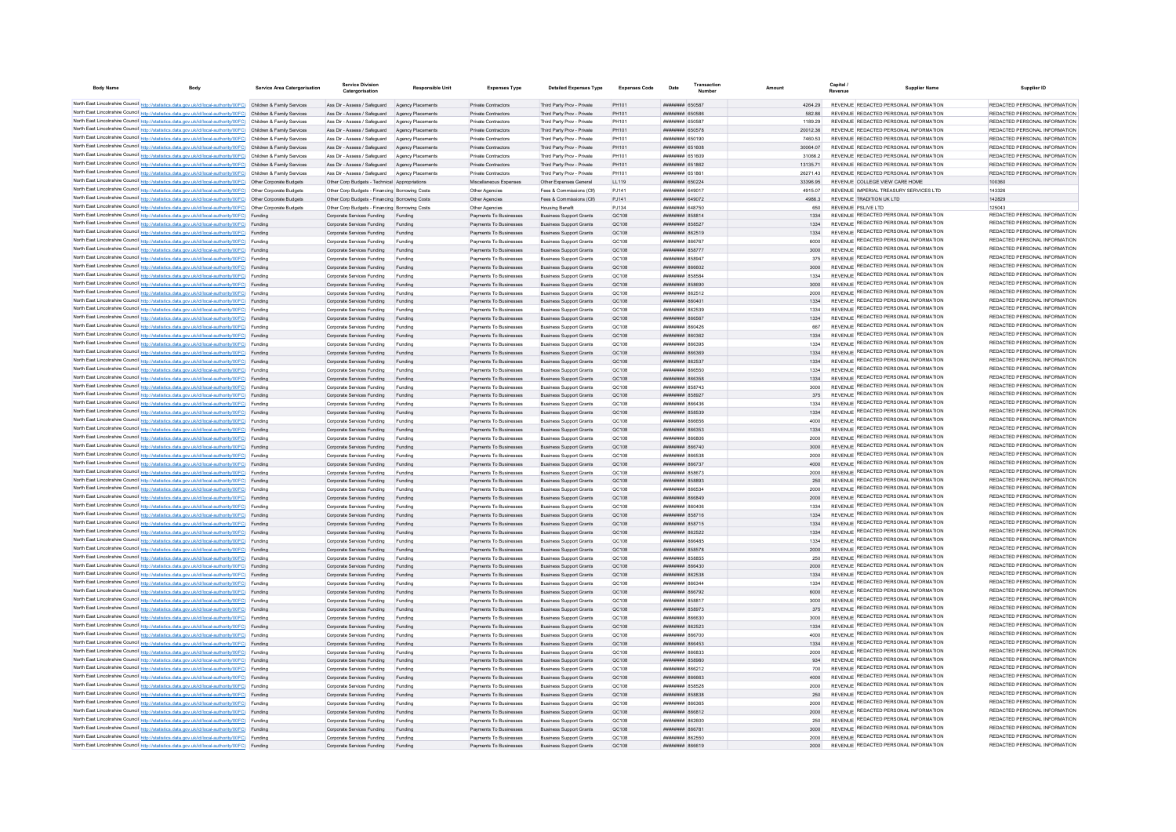| <b>Body Name</b> | Body                                                                                                                                                                                                                                   | <b>Service Area Catergorisation</b> | <b>Service Divisio</b><br>Catergorisation                                      | <b>Responsible Unit</b> | <b>Expenses Type</b>                              | <b>Detailed Expenses Type</b>                                    | <b>Expenses Code</b> | Date                                             | Amount            |     | <b>Supplier Name</b>                                                                  | Supplier ID                                                    |
|------------------|----------------------------------------------------------------------------------------------------------------------------------------------------------------------------------------------------------------------------------------|-------------------------------------|--------------------------------------------------------------------------------|-------------------------|---------------------------------------------------|------------------------------------------------------------------|----------------------|--------------------------------------------------|-------------------|-----|---------------------------------------------------------------------------------------|----------------------------------------------------------------|
|                  |                                                                                                                                                                                                                                        |                                     |                                                                                |                         |                                                   |                                                                  |                      |                                                  |                   |     |                                                                                       |                                                                |
|                  | North East Lincolnshire Council http://statistics.data.gov.uk/id/local-authority/00FC) Children & Family Services<br>North East Lincolnshire Council http://statistics.data.gov.uk/id/local-authority/00FC) Children & Family Services |                                     | Ass Dir - Assess / Safeguard Agency Placements                                 |                         | Private Contractors                               | Third Party Prov - Private                                       | PH101<br>PH101       | <b>НИНИНИН 650587</b><br><b>HHHHHHH</b> 650586   | 4264.29<br>582.86 |     | REVENUE REDACTED PERSONAL INFORMATION<br>REVENUE REDACTED PERSONAL INFORMATION        | REDACTED PERSONAL INFORMATION<br>REDACTED PERSONAL INFORMATION |
|                  | North East Lincolnshire Council http://statistics.data.oov.uk/id/local-authority/00EC) Children & Family Services                                                                                                                      |                                     | Ass Dir - Assess / Safeguard<br>Ass Dir - Assess / Safeguard Agency Placements | Agency Placements       | <b>Private Contractors</b><br>Private Contractors | Third Party Prov - Private<br>Third Party Prov - Private         | <b>PH101</b>         | <b><i>HHHHHHH 650587</i></b>                     | 1189.29           |     | REVENUE REDACTED PERSONAL INFORMATION                                                 | REDACTED PERSONAL INFORMATION                                  |
|                  | North East Lincolnshire Council http://statistics.data.gov.uk/id/local-authority/00FC) Children & Family Services                                                                                                                      |                                     | Ass Dir - Assess / Safeguard Agency Placements                                 |                         | Private Contractors                               | Third Party Prov - Private                                       | PH101                | ######## 650578                                  | 2001236           |     | REVENUE REDACTED PERSONAL INFORMATION                                                 | REDACTED PERSONAL INFORMATION                                  |
|                  | North East Lincolnshire Council http://statistics.data.gov.uk/id/local-authority/00FC) Children & Family Services                                                                                                                      |                                     | Ass Dir - Assess / Safeguard Agency Placements                                 |                         | Private Contractors                               | Third Party Prov - Private                                       | PH101                | ######## 650190                                  | 7460.53           |     | REVENUE REDACTED PERSONAL INFORMATION                                                 | REDACTED PERSONAL INFORMATION                                  |
|                  | North East Lincolnshire Council http://statistics.data.gov.uk/id/local-authority/00FC) Children & Family Services                                                                                                                      |                                     | Ass Dir - Assess / Safeguard Agency Placements                                 |                         | Private Contractors                               | Third Party Prov - Private                                       | PH101                | ######## 651608                                  | 30064.07          |     | REVENUE REDACTED PERSONAL INFORMATION                                                 | REDACTED PERSONAL INFORMATION                                  |
|                  | North East Lincolnshire Council http://statistics.data.gov.uk/id/local-authority/00FC) Children & Family Services                                                                                                                      |                                     | Ass Dir - Assess / Safeguard                                                   | Agency Placements       | Private Contractors                               | Third Party Prov - Private                                       | PH101                | ####### 651609                                   | 31066.2           |     | REVENUE REDACTED PERSONAL INFORMATION                                                 | REDACTED PERSONAL INFORMATION                                  |
|                  | North East Lincolnshire Council http://statistics.data.gov.uk/id/local-authority/00FC) Children & Family Services                                                                                                                      |                                     | Ass Dir - Assess / Safeguard Agency Placements                                 |                         | <b>Private Contractors</b>                        | Third Party Prov - Private                                       | PH101                | <b>ПЛИНИНИ 651862</b>                            | 13135.71          |     | REVENUE REDACTED PERSONAL INFORMATION                                                 | REDACTED PERSONAL INFORMATION                                  |
|                  | North East Lincolnshire Council http://statistics.data.gov.uk/id/local-authority/00FC) Children & Family Services                                                                                                                      |                                     | Ass Dir - Assess / Safeguard Agency Placements                                 |                         | Private Contractors                               | Third Party Prov - Private                                       | PH101                | ######## 651861                                  | 2627143           |     | REVENUE REDACTED PERSONAL INFORMATION                                                 | REDACTED PERSONAL INFORMATION                                  |
|                  | North East Lincolnshire Council http://statistics.data.gov.uk/id/local-authority/00FC) Other Corporate Budgets                                                                                                                         |                                     | Other Corp Budgets - Technical Appropriations                                  |                         | Miscellaneous Expenses                            | Other Expenses General                                           | 11119                | <b>ПППННННН</b> 650224                           | 33396 95          |     | REVENUE COLLEGE VIEW CARE HOME                                                        | 100360                                                         |
|                  | North East Lincolnshire Council http://statistics.data.gov.uk/id/local-authority/00FC) Other Corporate Budgets                                                                                                                         |                                     | Other Corp Budgets - Financing Borrowing Costs                                 |                         | Other Agencies                                    | Fees & Commissions (Clf)                                         | P.1141               | ######## 64901                                   | 4915.07           |     | REVENUE IMPERIAL TREASURY SERVICES LTD.                                               | 143326                                                         |
|                  | North East Lincolnshire Council http://statistics.data.gov.uk/id/local-authority/00FC) Other Corporate Budgets                                                                                                                         |                                     | Other Corp Budgets - Financing Borrowing Costs                                 |                         | Other Agencies                                    | Fees & Commissions (Clf)                                         | PJ141                | ######## 649072<br><b><i>BRENHHHH 648750</i></b> | 4986.3            |     | REVENUE TRADITION UK I TD                                                             | 142829<br>125043                                               |
|                  | North East Lincolnshire Council http://statistics.data.gov.uk/id/local-authority/00FC) Other Corporate Budgets<br>North East Lincolnshire Council http://statistics.data.gov.uk/id/local-authority/00FC) Funding                       |                                     | Other Corp Budgets - Financing Borrowing Cost<br>Corporate Services Funding    | Funding                 | Other Agencies<br>Payments To Businesses          | <b>Housing Benefit</b><br><b>Business Support Grants</b>         | PJ134<br>OC108       | <b><i>HHHHHHHH 858814</i></b>                    | 650<br>1334       |     | REVENUE PSLIVE LTD<br>REVENUE REDACTED PERSONAL INFORMATION                           | REDACTED PERSONAL INFORMATION                                  |
|                  | North East Lincolnshire Council http://statistics.data.gov.uk/id/local-authority/00FC) Funding                                                                                                                                         |                                     | Corporate Services Funding                                                     | Funding                 | Payments To Businesses                            | <b>Business Support Grants</b>                                   | OC108                | ######## 858527                                  | 1334              |     | <b>REVENUE REDACTED PERSONAL INFORMATION</b>                                          | REDACTED PERSONAL INFORMATION                                  |
|                  | North East Lincolnshire Council http://statistics.data.gov.uk/id/local-authority/00FC) Funding                                                                                                                                         |                                     | Corporate Services Funding                                                     | Funding                 | Payments To Businesses                            | <b>Business Sunnort Grants</b>                                   | OC108                | ######## 862519                                  | 1334              |     | REVENUE REDACTED PERSONAL INFORMATION                                                 | REDACTED PERSONAL INFORMATION                                  |
|                  | North East Lincolnshire Council http://statistics.data.gov.uk/id/local-authority/00FC) Funding                                                                                                                                         |                                     | Corporate Services Funding                                                     | Funding                 | Payments To Businesses                            | <b>Business Support Grants</b>                                   | OC108                | <b>иннинии</b> 86676                             | 6000              |     | REVENUE REDACTED PERSONAL INFORMATION                                                 | REDACTED PERSONAL INFORMATION                                  |
|                  | North East Lincolnshire Council http://statistics.data.gov.uk/id/local-authority/00FC) Funding                                                                                                                                         |                                     | Corporate Services Funding                                                     | Funding                 | Payments To Businesses                            | <b>Business Support Grants</b>                                   | QC108                | ######## 858777                                  |                   |     | REVENUE REDACTED PERSONAL INFORMATION                                                 | REDACTED PERSONAL INFORMATION                                  |
|                  | North East Lincolnshire Council http://statistics.data.gov.uk/id/local-authority/00FC) Funding                                                                                                                                         |                                     | Corporate Services Funding                                                     | Funding                 | Payments To Businesses                            | <b>Business Support Grants</b>                                   | QC108                | ######## 858947                                  | 375               |     | REVENUE REDACTED PERSONAL INFORMATION                                                 | REDACTED PERSONAL INFORMATION                                  |
|                  | North East Lincolnshire Council http://statistics.data.gov.uk/id/local-authority/00FC) Funding                                                                                                                                         |                                     | Corporate Services Funding                                                     | Funding                 | Payments To Businesses                            | <b>Business Support Grants</b>                                   | QC108                | ######## 866602                                  | 3000              |     | REVENUE REDACTED PERSONAL INFORMATION                                                 | REDACTED PERSONAL INFORMATION                                  |
|                  | North East Lincolnshire Council http://statistics.data.gov.uk/id/local-authority/00FC) Funding                                                                                                                                         |                                     | Corporate Services Funding                                                     | Funding                 | Payments To Businesses                            | <b>Business Support Grants</b>                                   | OC108                | <b><i>BREEZEEE 858584</i></b>                    | 1334              |     | REVENUE REDACTED PERSONAL INFORMATION                                                 | REDACTED PERSONAL INFORMATION                                  |
|                  | North East Lincolnshire Council http://statistics.data.gov.uk/id/local-authority/00FC) Funding                                                                                                                                         |                                     | Corporate Services Funding                                                     | Funding                 | Payments To Businesses                            | <b>Business Support Grants</b>                                   | OC108                | ######## 858690                                  | 3000              |     | REVENUE REDACTED PERSONAL INFORMATION                                                 | REDACTED PERSONAL INFORMATION<br>REDACTED PERSONAL INFORMATION |
|                  | North East Lincolnshire Council http://statistics.data.gov.uk/id/local-authority/00FC) Funding                                                                                                                                         |                                     | Corporate Services Funding                                                     | Funding                 | Payments To Businesses                            | <b>Business Support Grants</b>                                   | OC108                | <b>ПЛИНИНИ 862512</b>                            | 2000              |     | REVENUE REDACTED PERSONAL INFORMATION<br>REVENUE REDACTED PERSONAL INFORMATION        | REDACTED PERSONAL INFORMATION                                  |
|                  | North East Lincolnshire Council http://statistics.data.gov.uk/id/local-authority/00FC) Funding                                                                                                                                         |                                     | Corporate Services Funding                                                     | Funding                 | Payments To Businesses                            | <b>Business Support Grants</b>                                   | QC108                | ####### 86040                                    | 1334              |     | REVENUE REDACTED PERSONAL INFORMATION                                                 | REDACTED PERSONAL INFORMATION                                  |
|                  | North East Lincolnshire Council http://statistics.data.gov.uk/id/local-authority/00FC) Funding                                                                                                                                         |                                     | Corporate Services Funding                                                     | Funding                 | Payments To Businesses                            | <b>Business Support Grants</b>                                   | QC108                | ####### 862539<br><b>ПИПИНИН</b> 866567          | 1334<br>1334      |     | REVENUE REDACTED PERSONAL INFORMATION                                                 | REDACTED PERSONAL INFORMATION                                  |
|                  | North East Lincolnshire Council http://statistics.data.gov.uk/id/local-authority/00FC) Funding<br>North East Lincolnshire Council http://statistics.data.gov.uk/id/local-authority/00FC) Funding                                       |                                     | Corporate Services Funding<br>Corporate Services Funding                       | Funding<br>Funding      | Payments To Businesses<br>Payments To Businesses  | <b>Business Support Grants</b><br><b>Business Support Grants</b> | QC108<br>OC108       | <b>ПЕПЕННИИ ВБЛАРБ</b>                           | 667               |     | REVENUE REDACTED PERSONAL INFORMATION                                                 | REDACTED PERSONAL INFORMATION                                  |
|                  | North East Lincolnshire Council http://statistics.data.gov.uk/id/local-authority/00FC) Funding                                                                                                                                         |                                     | Corporate Services Funding                                                     | Funding                 | Payments To Businesses                            | <b>Business Sunnort Grants</b>                                   | OC108                | <b>пппнннн</b> 860362                            | 1334              |     | REVENUE REDACTED PERSONAL INFORMATION                                                 | REDACTED PERSONAL INFORMATION                                  |
|                  | North East Lincolnshire Council http://statistics.data.gov.uk/id/local-authority/00FC) Funding                                                                                                                                         |                                     | Corporate Services Funding                                                     | Funding                 | Payments To Businesses                            | <b>Business Support Grants</b>                                   | OC108                | пининин 866395                                   | 1334              |     | REVENUE REDACTED PERSONAL INFORMATION                                                 | REDACTED PERSONAL INFORMATION                                  |
|                  | North East Lincolnshire Council http://statistics.data.gov.uk/id/local-authority/00FC) Funding                                                                                                                                         |                                     | Corporate Services Funding                                                     | Funding                 | Payments To Businesses                            | <b>Business Support Grants</b>                                   | QC108                | ######## 866369                                  | 1334              |     | REVENUE REDACTED PERSONAL INFORMATION                                                 | REDACTED PERSONAL INFORMATION                                  |
|                  | North East Lincolnshire Council http://statistics.data.gov.uk/id/local-authority/00FC) Funding                                                                                                                                         |                                     | Corporate Services Funding Funding                                             |                         | Payments To Businesses                            | <b>Business Support Grants</b>                                   | QC108                | ######## 862537                                  | 1334              |     | REVENUE REDACTED PERSONAL INFORMATION                                                 | REDACTED PERSONAL INFORMATION                                  |
|                  | North East Lincolnshire Council http://statistics.data.gov.uk/id/local-authority/00FC) Funding                                                                                                                                         |                                     | Corporate Services Funding                                                     | Funding                 | Payments To Businesses                            | <b>Business Support Grants</b>                                   | QC108                | ######## 866550                                  | 1334              |     | REVENUE REDACTED PERSONAL INFORMATION                                                 | REDACTED PERSONAL INFORMATION                                  |
|                  | North East Lincolnshire Council http://statistics.data.gov.uk/id/local-authority/00FC) Funding                                                                                                                                         |                                     | Corporate Services Funding                                                     | Funding                 | Payments To Businesses                            | <b>Business Support Grants</b>                                   | OC108                | ######## 866358                                  | 1334              |     | REVENUE REDACTED PERSONAL INFORMATION                                                 | REDACTED PERSONAL INFORMATION                                  |
|                  | North East Lincolnshire Council http://statistics.data.gov.uk/id/local-authority/00FC) Funding                                                                                                                                         |                                     | Corporate Services Funding                                                     | Funding                 | Payments To Businesses                            | <b>Business Support Grants</b>                                   | OC108                | ######## 858743                                  | 3000              |     | REVENUE REDACTED PERSONAL INFORMATION                                                 | REDACTED PERSONAL INFORMATION                                  |
|                  | North East Lincolnshire Council http://statistics.data.gov.uk/id/local-authority/00FC) Funding                                                                                                                                         |                                     | Corporate Services Funding                                                     | Funding                 | Payments To Businesses                            | <b>Business Support Grants</b>                                   | OC108                | <b>ПИПИНИН 85892</b>                             | 375               |     | REVENUE REDACTED PERSONAL INFORMATION                                                 | REDACTED PERSONAL INFORMATION                                  |
|                  | North East Lincolnshire Council http://statistics.data.gov.uk/id/local-authority/00FC) Funding                                                                                                                                         |                                     | Corporate Services Funding                                                     |                         | Payments To Businesses                            | <b>Business Support Grants</b>                                   | OC108                | ####### 866436                                   | 1334              |     | REVENUE REDACTED PERSONAL INFORMATION                                                 | REDACTED PERSONAL INFORMATION                                  |
|                  | North East Lincolnshire Council http://statistics.data.gov.uk/id/local-authority/00FC) Funding                                                                                                                                         |                                     | Corporate Services Funding                                                     |                         | Payments To Businesses                            | <b>Business Support Grants</b>                                   | QC108                | ######## 858539                                  | 1334              |     | REVENUE REDACTED PERSONAL INFORMATION                                                 | REDACTED PERSONAL INFORMATION<br>REDACTED PERSONAL INFORMATION |
|                  | North East Lincolnshire Council http://statistics.data.gov.uk/id/local-authority/00FC) Funding                                                                                                                                         |                                     | Corporate Services Funding                                                     | Funding                 | Payments To Businesses                            | <b>Business Support Grants</b>                                   | QC108                | <b>HHHHHHH RGGGSG</b>                            | 4000              |     | REVENUE REDACTED PERSONAL INFORMATION<br>REVENUE REDACTED PERSONAL INFORMATION        | REDACTED PERSONAL INFORMATION                                  |
|                  | North East Lincolnshire Council http://statistics.data.gov.uk/id/local-authority/00FC) Funding<br>North East Lincolnshire Council http://statistics.data.gov.uk/id/local-authority/00FC) Funding                                       |                                     | Corporate Services Funding<br>Corporate Services Funding                       | Funding<br>Funding      | Payments To Businesses<br>Payments To Businesses  | <b>Business Support Grants</b><br><b>Business Sunnort Grants</b> | OC108<br>OC108       | ######## 866353<br>BORAND BERNHERI               | 1334<br>2000      |     | REVENUE REDACTED PERSONAL INFORMATION                                                 | REDACTED PERSONAL INFORMATION                                  |
|                  | North East Lincolnshire Council http://statistics.data.gov.uk/id/local-authority/00FC) Funding                                                                                                                                         |                                     | Corporate Services Funding                                                     | Funding                 | Payments To Businesses                            | <b>Business Support Grants</b>                                   | QC108                | <b>HHHHHHH 866740</b>                            | 3000              |     | REVENUE REDACTED PERSONAL INFORMATION                                                 | REDACTED PERSONAL INFORMATION                                  |
|                  | North East Lincolnshire Council http://statistics.data.gov.uk/id/local-authority/00FC) Funding                                                                                                                                         |                                     | Corporate Services Funding                                                     | Funding                 | Payments To Businesses                            | <b>Business Support Grants</b>                                   | QC108                | <b>иннинии</b> 866538                            | 2000              |     | REVENUE REDACTED PERSONAL INFORMATION                                                 | REDACTED PERSONAL INFORMATION                                  |
|                  | North East Lincolnshire Council http://statistics.data.gov.uk/id/local-authority/00FC) Funding                                                                                                                                         |                                     | Corporate Services Funding Funding                                             |                         | Payments To Businesses                            | <b>Business Support Grants</b>                                   | QC108                | ######## 866737                                  | 4000              |     | REVENUE REDACTED PERSONAL INFORMATION                                                 | REDACTED PERSONAL INFORMATION                                  |
|                  | North East Lincolnshire Council http://statistics.data.gov.uk/id/local-authority/00FC) Funding                                                                                                                                         |                                     | Corporate Services Funding                                                     | Funding                 | Payments To Businesses                            | <b>Business Support Grants</b>                                   | QC108                | <b>пппппппп</b> 858673                           | 2000              |     | REVENUE REDACTED PERSONAL INFORMATION                                                 | REDACTED PERSONAL INFORMATION                                  |
|                  | North East Lincolnshire Council http://statistics.data.gov.uk/id/local-authority/00FC) Funding                                                                                                                                         |                                     | Corporate Services Funding                                                     | Funding                 | Payments To Businesses                            | <b>Business Support Grants</b>                                   | OC108                | ######## 858893                                  | 250               |     | REVENUE REDACTED PERSONAL INFORMATION                                                 | REDACTED PERSONAL INFORMATION                                  |
|                  | North East Lincolnshire Council http://statistics.data.gov.uk/id/local-authority/00FC) Funding                                                                                                                                         |                                     | Corporate Services Funding                                                     | Funding                 | Payments To Businesses                            | <b>Business Support Grants</b>                                   | OC108                | ######## 866534                                  | 2000              |     | REVENUE REDACTED PERSONAL INFORMATION                                                 | REDACTED PERSONAL INFORMATION                                  |
|                  | North East Lincolnshire Council http://statistics.data.gov.uk/id/local-authority/00FC) Funding                                                                                                                                         |                                     | Corporate Services Funding                                                     | Funding                 | Payments To Businesses                            | <b>Business Support Grants</b>                                   | OC108                | пининни васвая                                   | 2000              |     | REVENUE REDACTED PERSONAL INFORMATION                                                 | REDACTED PERSONAL INFORMATION                                  |
|                  | North East Lincolnshire Council http://statistics.data.gov.uk/id/local-authority/00FC) Funding                                                                                                                                         |                                     | Corporate Services Funding                                                     | Funding                 | Payments To Businesses                            | <b>Business Support Grants</b>                                   | QC108                | <b>####### 860406</b>                            | 1334              |     | REVENUE REDACTED PERSONAL INFORMATION                                                 | REDACTED PERSONAL INFORMATION<br>REDACTED PERSONAL INFORMATION |
|                  | North East Lincolnshire Council http://statistics.data.gov.uk/id/local-authority/00FC) Funding                                                                                                                                         |                                     | Corporate Services Funding                                                     | Funding                 | Payments To Businesses                            | <b>Business Support Grants</b>                                   | QC108                | ######## 858716                                  | 1334              |     | <b>REVENUE REDACTED PERSONAL INFORMATION</b><br>REVENUE REDACTED PERSONAL INFORMATION | REDACTED PERSONAL INFORMATION                                  |
|                  | North East Lincolnshire Council http://statistics.data.gov.uk/id/local-authority/00FC) Funding<br>North East Lincolnshire Council http://statistics.data.gov.uk/id/local-authority/00FC) Funding                                       |                                     | Corporate Services Funding                                                     | Funding                 | Payments To Businesses                            | <b>Business Support Grants</b>                                   | QC108                | <b><i>HHHHHHHH 858715</i></b>                    | 1334              |     | REVENUE REDACTED PERSONAL INFORMATION                                                 | REDACTED PERSONAL INFORMATION                                  |
|                  | North East Lincolnshire Council http://statistics.data.gov.uk/id/local-authority/00FC) Funding                                                                                                                                         |                                     | Corporate Services Funding                                                     | Funding<br>Funding      | Payments To Businesses<br>Payments To Businesses  | <b>Business Support Grants</b>                                   | OC108<br>OC108       | <b>ПППНИНИН</b> 862522<br>HUHHHHH 866485         | 1334<br>1334      |     | REVENUE REDACTED PERSONAL INFORMATION                                                 | REDACTED PERSONAL INFORMATION                                  |
|                  | North East Lincolnshire Council http://statistics.data.gov.uk/id/local-authority/00FC) Funding                                                                                                                                         |                                     | Corporate Services Funding                                                     | Funding                 | Payments To Businesses                            | <b>Business Support Grants</b>                                   | OC108                | <b>HHHHHHH 858578</b>                            | 2000              |     | REVENUE REDACTED PERSONAL INFORMATION                                                 | REDACTED PERSONAL INFORMATION                                  |
|                  | North East Lincolnshire Council http://statistics.data.gov.uk/id/local-authority/00FC) Funding                                                                                                                                         |                                     | Corporate Services Funding<br>Corporate Services Funding                       | Funding                 | Payments To Businesses                            | <b>Business Support Grants</b><br><b>Business Support Grants</b> | QC108                | ####### 858855                                   | 250               |     | REVENUE REDACTED PERSONAL INFORMATION                                                 | REDACTED PERSONAL INFORMATION                                  |
|                  | North East Lincolnshire Council http://statistics.data.gov.uk/id/local-authority/00FC) Funding                                                                                                                                         |                                     | Corporate Services Funding                                                     | Funding                 | Payments To Businesses                            | <b>Business Support Grants</b>                                   | QC108                | ######## 866430                                  | 2000              |     | REVENUE REDACTED PERSONAL INFORMATION                                                 | REDACTED PERSONAL INFORMATION                                  |
|                  | North East Lincolnshire Council http://statistics.data.gov.uk/id/local-authority/00FC) Funding                                                                                                                                         |                                     | Corporate Services Funding                                                     | Funding                 | Payments To Businesses                            | <b>Business Support Grants</b>                                   | OC108                | ######## 862538                                  | 1334              |     | REVENUE REDACTED PERSONAL INFORMATION                                                 | REDACTED PERSONAL INFORMATION                                  |
|                  | North East Lincolnshire Council http://statistics.data.gov.uk/id/local-authority/00FC) Funding                                                                                                                                         |                                     | Corporate Services Funding                                                     | Funding                 | Payments To Businesses                            | <b>Business Support Grants</b>                                   | OC108                | <b>иллинны а</b> явин                            | 1334              |     | REVENUE REDACTED PERSONAL INFORMATION                                                 | REDACTED PERSONAL INFORMATION                                  |
|                  | North East Lincolnshire Council http://statistics.data.gov.uk/id/local-authority/00FC) Funding                                                                                                                                         |                                     | Corporate Services Funding                                                     | Funding                 | Payments To Businesses                            | <b>Business Support Grants</b>                                   | OC108                | ######## 866792                                  | 6000              |     | REVENUE REDACTED PERSONAL INFORMATION                                                 | REDACTED PERSONAL INFORMATION                                  |
|                  | North East Lincolnshire Council http://statistics.data.gov.uk/id/local-authority/00FC) Funding                                                                                                                                         |                                     | Corporate Services Funding                                                     | Funding                 | Payments To Businesses                            | <b>Business Support Grants</b>                                   | OC108                | <b><i>BRANNAH 85881</i></b>                      | 3000              |     | REVENUE REDACTED PERSONAL INFORMATION                                                 | REDACTED PERSONAL INFORMATION                                  |
|                  | North East Lincolnshire Council http://statistics.data.gov.uk/id/local-authority/00FC) Funding                                                                                                                                         |                                     | Corporate Services Funding                                                     | Funding                 | Payments To Businesses                            | <b>Business Support Grants</b>                                   | QC108                | ######## 858973                                  | 375               |     | REVENUE REDACTED PERSONAL INFORMATION                                                 | REDACTED PERSONAL INFORMATION                                  |
|                  | North East Lincolnshire Council http://statistics.data.gov.uk/id/local-authority/00FC) Funding                                                                                                                                         |                                     | Corporate Services Funding                                                     | Funding                 | Payments To Businesses                            | <b>Business Support Grants</b>                                   | QC108                | nFAAAR HHHHHHH                                   | 3000              |     | REVENUE REDACTED PERSONAL INFORMATION                                                 | REDACTED PERSONAL INFORMATION                                  |
|                  | North East Lincolnshire Council http://statistics.data.gov.uk/id/local-authority/00FC) Funding                                                                                                                                         |                                     | Corporate Services Funding                                                     | Funding                 | Payments To Businesses                            | <b>Business Support Grants</b>                                   | QC108                | <b>ПППНИНИН</b> 862523                           | 1334              |     | REVENUE REDACTED PERSONAL INFORMATION                                                 | REDACTED PERSONAL INFORMATION                                  |
|                  | North East Lincolnshire Council http://statistics.data.gov.uk/id/local-authority/00FC) Funding                                                                                                                                         |                                     | Corporate Services Funding                                                     | Funding                 | Payments To Businesses                            | <b>Business Support Grants</b>                                   | OC108                |                                                  | 4000              |     | REVENUE REDACTED PERSONAL INFORMATION                                                 | REDACTED PERSONAL INFORMATION<br>REDACTED PERSONAL INFORMATION |
|                  | North East Lincolnshire Council http://statistics.data.gov.uk/id/local-authority/00FC) Funding                                                                                                                                         |                                     | Corporate Services Funding                                                     | Funding                 | Payments To Businesses                            | <b>Business Support Grants</b>                                   | QC108                | <b>пппппппп</b> 866453                           | 1334              |     | REVENUE REDACTED PERSONAL INFORMATION<br>REVENUE REDACTED PERSONAL INFORMATION        | REDACTED PERSONAL INFORMATION                                  |
|                  | North East Lincolnshire Council http://statistics.data.gov.uk/id/local-authority/00FC) Funding                                                                                                                                         |                                     | Corporate Services Funding                                                     | Funding                 | Payments To Businesses                            | <b>Business Support Grants</b>                                   | QC108                | ссязаа иминини                                   | 2000              |     | REVENUE REDACTED PERSONAL INFORMATION                                                 | REDACTED PERSONAL INFORMATION                                  |
|                  | North East Lincolnshire Council http://statistics.data.gov.uk/id/local-authority/00FC) Funding<br>North East Lincolnshire Council http://statistics.data.gov.uk/id/local-authority/00FC) Funding                                       |                                     | Corporate Services Funding                                                     | Funding<br>Funding      | Payments To Businesses<br>Payments To Businesses  | <b>Business Support Grants</b>                                   | QC108<br>QC108       | ######## 858980<br><b>HHHHHHH 866212</b>         | 934               | 700 | REVENUE REDACTED PERSONAL INFORMATION                                                 | REDACTED PERSONAL INFORMATION                                  |
|                  | North East Lincolnshire Council http://statistics.data.gov.uk/id/local-authority/00FC) Funding                                                                                                                                         |                                     | Corporate Services Funding                                                     |                         |                                                   | <b>Business Support Grants</b>                                   |                      |                                                  | 4000              |     | REVENUE REDACTED PERSONAL INFORMATION                                                 | REDACTED PERSONAL INFORMATION                                  |
|                  | North East Lincolnshire Council http://statistics.data.gov.uk/id/local-authority/00FC) Funding                                                                                                                                         |                                     | Corporate Services Funding<br>Corporate Services Funding                       | Funding<br>Funding      | Payments To Businesses<br>Payments To Businesses  | <b>Business Support Grants</b><br><b>Business Support Grants</b> | QC108<br>OC108       | ######## 866663<br><b><i>BREEZEEE 858528</i></b> | 2000              |     | REVENUE REDACTED PERSONAL INFORMATION                                                 | REDACTED PERSONAL INFORMATION                                  |
|                  | North East Lincolnshire Council http://statistics.data.gov.uk/id/local-authority/00FC) Funding                                                                                                                                         |                                     | Corporate Services Funding                                                     | Funding                 | Payments To Businesses                            | <b>Business Support Grants</b>                                   | OC108                | ######## 858838                                  | 250               |     | REVENUE REDACTED PERSONAL INFORMATION                                                 | REDACTED PERSONAL INFORMATION                                  |
|                  | North East Lincolnshire Council http://statistics.data.gov.uk/id/local-authority/00FC) Funding                                                                                                                                         |                                     | Corporate Services Funding                                                     | Funding                 | Payments To Businesses                            | <b>Business Support Grants</b>                                   | OC108                | 186388 BURNHURH                                  | 2000              |     | REVENUE REDACTED PERSONAL INFORMATION                                                 | REDACTED PERSONAL INFORMATION                                  |
|                  | North East Lincolnshire Council http://statistics.data.gov.uk/id/local-authority/00FC) Funding                                                                                                                                         |                                     | Corporate Services Funding                                                     | Funding                 | Payments To Businesses                            | <b>Business Support Grants</b>                                   | QC108                | ####### 866812                                   | 2000              |     | REVENUE REDACTED PERSONAL INFORMATION                                                 | REDACTED PERSONAL INFORMATION                                  |
|                  | North East Lincolnshire Council http://statistics.data.gov.uk/id/local-authority/00FC) Funding                                                                                                                                         |                                     | Corporate Services Funding                                                     | Funding                 | Payments To Businesses                            | <b>Business Support Grants</b>                                   | QC108                | ######## 862600                                  | 250               |     | REVENUE REDACTED PERSONAL INFORMATION                                                 | REDACTED PERSONAL INFORMATION                                  |
|                  | North East Lincolnshire Council http://statistics.data.gov.uk/id/local-authority/00FC) Funding                                                                                                                                         |                                     | Corporate Services Funding                                                     | Funding                 | Payments To Businesses                            | <b>Business Support Grants</b>                                   | QC108                | <b>BREEZER SABRAGE</b>                           | 3000              |     | REVENUE REDACTED PERSONAL INFORMATION                                                 | REDACTED PERSONAL INFORMATION                                  |
|                  | North East Lincolnshire Council http://statistics.data.gov.uk/id/local-authority/00FC) Funding                                                                                                                                         |                                     | Comorate Services Funding Funding                                              |                         | Payments To Businesses                            | <b>Business Support Grants</b>                                   | OC108                | ######## 862550                                  | 2000              |     | REVENUE REDACTED PERSONAL INFORMATION                                                 | REDACTED PERSONAL INFORMATION                                  |
|                  | North East Lincolnshire Council http://statistics.data.gov.uk/id/local-authority/00FC) Funding                                                                                                                                         |                                     | Corporate Services Funding Funding                                             |                         | Payments To Businesses                            | <b>Business Support Grants</b>                                   | OC108                | <b>REGISTER HERBERT</b>                          | 2000              |     | REVENUE REDACTED PERSONAL INFORMATION                                                 | REDACTED PERSONAL INFORMATION                                  |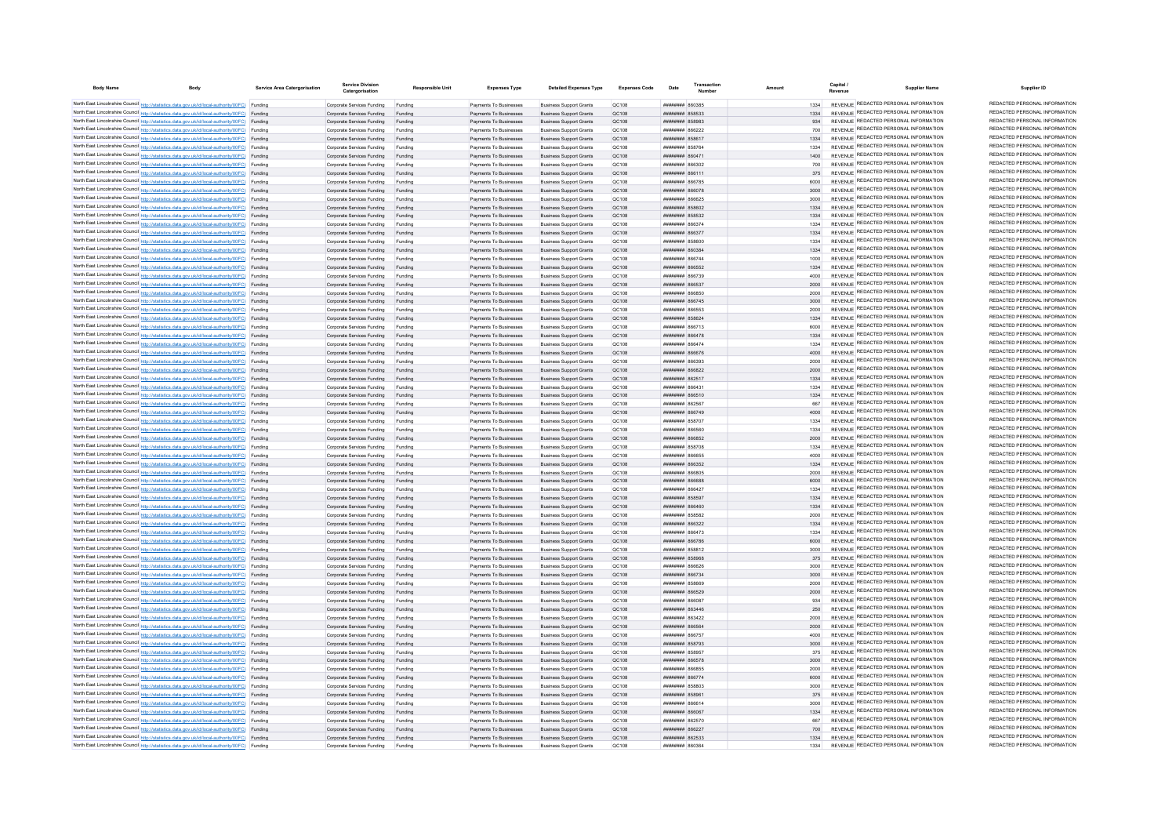| <b>Body Name</b> | <b>Body</b>                                                                                                                                                                                      | Service Area Catergorisatio | <b>Service Division</b><br>Catergorisation               | <b>Responsible Unit</b> | <b>Expenses Type</b>                             | <b>Detailed Expenses Type</b>                                    | <b>Expenses Code</b> | Date                                                    | Transaction |              | Capital /<br><b>Supplier Name</b><br>Revenue                                   | Supplier ID                                                    |
|------------------|--------------------------------------------------------------------------------------------------------------------------------------------------------------------------------------------------|-----------------------------|----------------------------------------------------------|-------------------------|--------------------------------------------------|------------------------------------------------------------------|----------------------|---------------------------------------------------------|-------------|--------------|--------------------------------------------------------------------------------|----------------------------------------------------------------|
|                  | North East Lincolnshire Council http://statistics.data.gov.uk/id/local-authority/00FC) Funding                                                                                                   |                             | Comorate Services Funding                                | Funding                 | Payments To Businesses                           | <b>Business Support Grants</b>                                   | OC108                | <b>282028 HUBBURG</b>                                   |             | 1334         | REVENUE REDACTED PERSONAL INFORMATION                                          | REDACTED PERSONAL INFORMATION                                  |
|                  | North East Lincolnshire Council http://statistics.data.gov.uk/id/local-authority/00FC) Funding                                                                                                   |                             | Corporate Services Funding                               | Funding                 | Payments To Businesses                           | <b>Business Support Grants</b>                                   | OC108                |                                                         |             | 1334         | REVENUE REDACTED PERSONAL INFORMATION                                          | REDACTED PERSONAL INFORMATION                                  |
|                  | North East Lincolnshire Council http://statistics.data.gov.uk/id/local-authority/00FC) Funding                                                                                                   |                             | Corporate Services Funding                               | Funding                 | Payments To Businesses                           | <b>Business Support Grants</b>                                   | OC108                | <b>HHHHHHH 858983</b>                                   |             |              | REVENUE REDACTED PERSONAL INFORMATION                                          | REDACTED PERSONAL INFORMATION                                  |
|                  | North East Lincolnshire Council http://statistics.data.gov.uk/id/local-authority/00FC) Funding                                                                                                   |                             | Corporate Services Funding                               | Funding                 | Payments To Businesses                           | <b>Business Support Grants</b>                                   | QC108                | <b>иннинин явроро</b>                                   |             | 700          | REVENUE REDACTED PERSONAL INFORMATION                                          | REDACTED PERSONAL INFORMATION                                  |
|                  | North East Lincolnshire Council http://statistics.data.gov.uk/id/local-authority/00FC) Funding                                                                                                   |                             | Corporate Services Funding                               | Funding                 | Payments To Businesses                           | <b>Business Support Grants</b>                                   | QC108                | <b>ПЛИНИНИ 858617</b>                                   |             | 1334         | REVENUE REDACTED PERSONAL INFORMATION                                          | REDACTED PERSONAL INFORMATION                                  |
|                  | North East Lincolnshire Council http://statistics.data.gov.uk/id/local-authority/00FC) Funding                                                                                                   |                             | Corporate Services Funding                               | Funding                 | Payments To Businesses                           | <b>Business Support Grants</b>                                   | QC108                | <del>пппинни</del> 858764                               |             | 1334         | REVENUE REDACTED PERSONAL INFORMATION<br>REVENUE REDACTED PERSONAL INFORMATION | REDACTED PERSONAL INFORMATION<br>REDACTED PERSONAL INFORMATION |
|                  | North East Lincolnshire Council http://statistics.data.gov.uk/id/local-authority/00FC) Funding<br>North East Lincolnshire Council http://statistics.data.gov.uk/id/local-authority/00FC) Funding |                             | Comorate Services Funding<br>Corporate Services Funding  | Funding<br>Funding      | Payments To Businesses<br>Payments To Businesses | <b>Business Sunnort Grants</b><br><b>Business Support Grants</b> | OC:108<br>OC108      | ######## 860471<br>плиннин в66302                       |             | 1400<br>700  | REVENUE REDACTED PERSONAL INFORMATION                                          | REDACTED PERSONAL INFORMATION                                  |
|                  | North East Lincolnshire Council http://statistics.data.gov.uk/id/local-authority/00FC) Funding                                                                                                   |                             | Corporate Services Funding Funding                       |                         | Payments To Businesses                           | <b>Business Support Grants</b>                                   | OC108                | <b>планинин</b> 866111                                  |             | 375          | REVENUE REDACTED PERSONAL INFORMATION                                          | REDACTED PERSONAL INFORMATION                                  |
|                  | North East Lincolnshire Council http://statistics.data.gov.uk/id/local-authority/00FC) Funding                                                                                                   |                             | Corporate Services Funding                               | Funding                 | Payments To Businesses                           | <b>Business Support Grants</b>                                   | QC108                | ####### 866785                                          |             |              | REVENUE REDACTED PERSONAL INFORMATION                                          | REDACTED PERSONAL INFORMATION                                  |
|                  | North East Lincolnshire Council http://statistics.data.gov.uk/id/local-authority/00FC) Funding                                                                                                   |                             | Corporate Services Funding Funding                       |                         | Payments To Businesses                           | <b>Business Support Grants</b>                                   | QC108                | ######## 866078                                         |             | 3000         | REVENUE REDACTED PERSONAL INFORMATION                                          | REDACTED PERSONAL INFORMATION                                  |
|                  | North East Lincolnshire Council http://statistics.data.gov.uk/id/local-authority/00FC) Funding                                                                                                   |                             | Corporate Services Funding                               | Funding                 | Payments To Businesses                           | <b>Business Support Grants</b>                                   | <b>OC108</b>         | ######## 866625                                         |             | 3000         | REVENUE REDACTED PERSONAL INFORMATION                                          | REDACTED PERSONAL INFORMATION                                  |
|                  | North East Lincolnshire Council http://statistics.data.gov.uk/id/local-authority/00FC) Funding                                                                                                   |                             | Corporate Services Funding                               | Funding                 | Payments To Businesses                           | <b>Business Sunnort Grants</b>                                   | OC108                | ######## 858602                                         |             | 1334         | REVENUE REDACTED PERSONAL INFORMATION                                          | REDACTED PERSONAL INFORMATION                                  |
|                  | North East Lincolnshire Council http://statistics.data.gov.uk/id/local-authority/00FC) Funding                                                                                                   |                             | Corporate Services Funding                               | Funding                 | Payments To Businesses                           | <b>Business Support Grants</b>                                   | QC108                | <b>######## 858532</b>                                  |             | 1334         | REVENUE REDACTED PERSONAL INFORMATION                                          | REDACTED PERSONAL INFORMATION                                  |
|                  | North East Lincolnshire Council http://statistics.data.gov.uk/id/local-authority/00FC) Funding                                                                                                   |                             | Corporate Services Funding                               |                         | Payments To Businesses                           | <b>Business Support Grants</b>                                   | QC108                | <b>ляннини ябб37</b>                                    |             | 1334         | <b>REVENUE REDACTED PERSONAL INFORMATION</b>                                   | REDACTED PERSONAL INFORMATION                                  |
|                  | North East Lincolnshire Council http://statistics.data.gov.uk/id/local-authority/00FC) Funding                                                                                                   |                             | Corporate Services Funding                               |                         | Payments To Businesses                           | <b>Business Support Grants</b>                                   | QC108                | ####### 866377                                          |             | 1334         | REVENUE REDACTED PERSONAL INFORMATION                                          | REDACTED PERSONAL INFORMATION                                  |
|                  | North East Lincolnshire Council http://statistics.data.gov.uk/id/local-authority/00FC) Funding                                                                                                   |                             | Corporate Services Funding                               |                         | Payments To Businesses                           | <b>Business Support Grants</b>                                   | QC108                | <del>----------</del> 858800                            |             | 1334         | REVENUE REDACTED PERSONAL INFORMATION<br>REVENUE REDACTED PERSONAL INFORMATION | REDACTED PERSONAL INFORMATION<br>REDACTED PERSONAL INFORMATION |
|                  | North East Lincolnshire Council http://statistics.data.gov.uk/id/local-authority/00FC) Funding                                                                                                   |                             | Corporate Services Funding                               | Funding                 | Payments To Businesses                           | <b>Business Support Grants</b>                                   | OC108                | вянинны ввозва                                          |             | 1334         | REVENUE REDACTED PERSONAL INFORMATION                                          | REDACTED PERSONAL INFORMATION                                  |
|                  | North East Lincolnshire Council http://statistics.data.gov.uk/id/local-authority/00FC) Funding<br>North East Lincolnshire Council http://statistics.data.gov.uk/id/local-authority/00FC) Funding |                             | Corporate Services Funding<br>Corporate Services Funding | Funding<br>Funding      | Payments To Businesses<br>Payments To Businesses | <b>Business Sunnort Grants</b><br><b>Business Support Grants</b> | OC108<br>QC108       | <b>BRENHHHH 866744</b><br><b>НИНИНИН 866552</b>         |             | 1000<br>1334 | REVENUE REDACTED PERSONAL INFORMATION                                          | REDACTED PERSONAL INFORMATION                                  |
|                  | North East Lincolnshire Council http://statistics.data.gov.uk/id/local-authority/00FC) Funding                                                                                                   |                             | Corporate Services Funding                               | Funding                 | Payments To Businesses                           | <b>Business Support Grants</b>                                   | QC108                | <b>########</b> 866739                                  |             | 4000         | REVENUE REDACTED PERSONAL INFORMATION                                          | REDACTED PERSONAL INFORMATION                                  |
|                  | North East Lincolnshire Council http://statistics.data.gov.uk/id/local-authority/00FC) Funding                                                                                                   |                             | Corporate Services Funding                               | Funding                 | Payments To Businesses                           | <b>Business Support Grants</b>                                   | QC108                | ######## 86653                                          |             | 2000         | REVENUE REDACTED PERSONAL INFORMATION                                          | REDACTED PERSONAL INFORMATION                                  |
|                  | North East Lincolnshire Council http://statistics.data.gov.uk/id/local-authority/00FC) Funding                                                                                                   |                             | Corporate Services Funding                               | Funding                 | Payments To Businesses                           | <b>Business Support Grants</b>                                   | QC108                | <b>########</b> 866850                                  |             | 2000         | REVENUE REDACTED PERSONAL INFORMATION                                          | REDACTED PERSONAL INFORMATION                                  |
|                  | North East Lincolnshire Council http://statistics.data.gov.uk/id/local-authority/00FC) Funding                                                                                                   |                             | Corporate Services Funding                               | Funding                 | Payments To Businesses                           | <b>Business Support Grants</b>                                   | QC108                | <b>########</b> 866745                                  |             | 3000         | REVENUE REDACTED PERSONAL INFORMATION                                          | REDACTED PERSONAL INFORMATION                                  |
|                  | North East Lincolnshire Council http://statistics.data.gov.uk/id/local-authority/00FC) Funding                                                                                                   |                             | Corporate Services Funding                               | Funding                 | Payments To Businesses                           | <b>Business Support Grants</b>                                   | OC108                | <i><b>BRANNE BRANNE</b></i>                             |             | 2000         | REVENUE REDACTED PERSONAL INFORMATION                                          | REDACTED PERSONAL INFORMATION                                  |
|                  | North East Lincolnshire Council http://statistics.data.gov.uk/id/local-authority/00FC) Funding                                                                                                   |                             | Corporate Services Funding                               | Funding                 | Payments To Businesses                           | <b>Business Support Grants</b>                                   | QC108                | ######## 858624                                         |             | 1334         | REVENUE REDACTED PERSONAL INFORMATION                                          | REDACTED PERSONAL INFORMATION                                  |
|                  | North East Lincolnshire Council http://statistics.data.gov.uk/id/local-authority/00FC) Funding                                                                                                   |                             | Corporate Services Funding                               | Funding                 | Payments To Businesse                            | <b>Business Support Grants</b>                                   | QC108                | ######## 866713                                         |             | 6000         | REVENUE REDACTED PERSONAL INFORMATION                                          | REDACTED PERSONAL INFORMATION                                  |
|                  | North East Lincolnshire Council http://statistics.data.gov.uk/id/local-authority/00FC) Funding                                                                                                   |                             | Corporate Services Funding                               | Funding                 | Payments To Businesses                           | <b>Business Support Grants</b>                                   | <b>QC108</b>         | ######## 866478                                         |             | 1334         | REVENUE REDACTED PERSONAL INFORMATION                                          | REDACTED PERSONAL INFORMATION                                  |
|                  | North East Lincolnshire Council http://statistics.data.gov.uk/id/local-authority/00FC) Funding                                                                                                   |                             | Corporate Services Funding                               | Funding                 | Payments To Businesses                           | <b>Business Support Grants</b>                                   | QC108                | <b>плинини яб6474</b>                                   |             | 1334         | REVENUE REDACTED PERSONAL INFORMATION<br>REVENUE REDACTED PERSONAL INFORMATION | REDACTED PERSONAL INFORMATION<br>REDACTED PERSONAL INFORMATION |
|                  | North East Lincolnshire Council http://statistics.data.gov.uk/id/local-authority/00FC) Funding<br>North East Lincolnshire Council http://statistics.data.gov.uk/id/local-authority/00FC) Funding |                             | Corporate Services Funding                               | Funding                 | Payments To Businesses                           | <b>Business Support Grants</b>                                   | OC108                | <b>лининин 866676</b>                                   |             | 4000         | REVENUE REDACTED PERSONAL INFORMATION                                          | REDACTED PERSONAL INFORMATION                                  |
|                  | North East Lincolnshire Council http://statistics.data.gov.uk/id/local-authority/00FC) Funding                                                                                                   |                             | Comorate Services Funding<br>Corporate Services Funding  | Funding<br>Funding      | Payments To Businesses<br>Payments To Businesses | <b>Business Support Grants</b><br><b>Business Support Grants</b> | OC108<br>QC108       | пининин васзоз<br><b>ПЕЦИИНИЯ</b> 866822                |             | 2000<br>2000 | REVENUE REDACTED PERSONAL INFORMATION                                          | REDACTED PERSONAL INFORMATION                                  |
|                  | North East Lincolnshire Council http://statistics.data.gov.uk/id/local-authority/00FC) Funding                                                                                                   |                             | Corporate Services Funding Funding                       |                         | Payments To Businesses                           | <b>Business Support Grants</b>                                   | QC108                | ####### 86251                                           |             |              | REVENUE REDACTED PERSONAL INFORMATION                                          | REDACTED PERSONAL INFORMATION                                  |
|                  | North East Lincolnshire Council http://statistics.data.gov.uk/id/local-authority/00FC) Funding                                                                                                   |                             | Corporate Services Funding                               | Funding                 | Payments To Businesses                           | <b>Business Support Grants</b>                                   | QC108                | ####### 86643                                           |             |              | REVENUE REDACTED PERSONAL INFORMATION                                          | REDACTED PERSONAL INFORMATION                                  |
|                  | North East Lincolnshire Council http://statistics.data.gov.uk/id/local-authority/00FC) Funding                                                                                                   |                             | Corporate Services Funding Funding                       |                         | Payments To Businesses                           | <b>Business Support Grants</b>                                   | QC108                | ######## 866510                                         |             | 1334         | REVENUE REDACTED PERSONAL INFORMATION                                          | REDACTED PERSONAL INFORMATION                                  |
|                  | North East Lincolnshire Council http://statistics.data.gov.uk/id/local-authority/00FC) Funding                                                                                                   |                             | Corporate Services Funding                               | Funding                 | Payments To Businesses                           | <b>Business Support Grants</b>                                   | OC108                | <b>плинини 862567</b>                                   |             | 667          | REVENUE REDACTED PERSONAL INFORMATION                                          | REDACTED PERSONAL INFORMATION                                  |
|                  | North East Lincolnshire Council http://statistics.data.gov.uk/id/local-authority/00FC) Funding                                                                                                   |                             | Corporate Services Funding                               | Funding                 | Payments To Businesses                           | <b>Business Support Grants</b>                                   | OC108                | <b>плинини 866749</b>                                   |             | 4000         | REVENUE REDACTED PERSONAL INFORMATION                                          | REDACTED PERSONAL INFORMATION                                  |
|                  | North East Lincolnshire Council http://statistics.data.gov.uk/id/local-authority/00FC) Funding                                                                                                   |                             | Corporate Services Funding                               | Funding                 | Payments To Businesses                           | <b>Business Support Grants</b>                                   | QC108                | ####### 858707                                          |             | 1334         | REVENUE REDACTED PERSONAL INFORMATION                                          | REDACTED PERSONAL INFORMATION                                  |
|                  | North East Lincolnshire Council http://statistics.data.gov.uk/id/local-authority/00FC) Funding                                                                                                   |                             | Corporate Services Funding                               | Funding                 | Payments To Businesses                           | <b>Business Support Grants</b>                                   | QC108                |                                                         |             | 1334         | REVENUE REDACTED PERSONAL INFORMATION                                          | REDACTED PERSONAL INFORMATION                                  |
|                  | North East Lincolnshire Council http://statistics.data.gov.uk/id/local-authority/00FC) Funding                                                                                                   |                             | Corporate Services Funding                               | Funding                 | Payments To Businesses                           | <b>Business Support Grants</b>                                   | <b>QC108</b>         | ####### 866852                                          |             | 2000         | REVENUE REDACTED PERSONAL INFORMATION<br>REVENUE REDACTED PERSONAL INFORMATION | REDACTED PERSONAL INFORMATION<br>REDACTED PERSONAL INFORMATION |
|                  | North East Lincolnshire Council http://statistics.data.gov.uk/id/local-authority/00FC) Funding<br>North East Lincolnshire Council http://statistics.data.gov.uk/id/local-authority/00FC) Funding |                             | Corporate Services Funding                               |                         | Payments To Businesses<br>Payments To Businesses | <b>Business Support Grants</b>                                   | QC108<br>OC108       | <b>########</b> 858708<br>####### 866655                |             | 1334<br>4000 | REVENUE REDACTED PERSONAL INFORMATION                                          | REDACTED PERSONAL INFORMATION                                  |
|                  | North East Lincolnshire Council http://statistics.data.gov.uk/id/local-authority/00FC) Funding                                                                                                   |                             | Corporate Services Funding<br>Corporate Services Funding | Funding<br>Funding      | Payments To Businesses                           | <b>Business Support Grants</b><br><b>Business Support Grants</b> | OC108                | <b>######## 866352</b>                                  |             | 1334         | REVENUE REDACTED PERSONAL INFORMATION                                          | REDACTED PERSONAL INFORMATION                                  |
|                  | North East Lincolnshire Council http://statistics.data.gov.uk/id/local-authority/00FC) Funding                                                                                                   |                             | Corporate Services Funding                               | Funding                 | Payments To Businesses                           | <b>Business Support Grants</b>                                   | QC108                | <b>#######</b> 866805                                   |             | 2000         | REVENUE REDACTED PERSONAL INFORMATION                                          | REDACTED PERSONAL INFORMATION                                  |
|                  | North East Lincolnshire Council http://statistics.data.gov.uk/id/local-authority/00FC) Funding                                                                                                   |                             | Corporate Services Funding                               | Funding                 | Payments To Businesses                           | <b>Business Support Grants</b>                                   | QC108                | ######## 866688                                         |             | 6000         | REVENUE REDACTED PERSONAL INFORMATION                                          | REDACTED PERSONAL INFORMATION                                  |
|                  | North East Lincolnshire Council http://statistics.data.gov.uk/id/local-authority/00FC) Funding                                                                                                   |                             | Corporate Services Funding                               | Funding                 | Payments To Businesses                           | <b>Business Support Grants</b>                                   | QC108                | ####### 86642                                           |             | 1334         | REVENUE REDACTED PERSONAL INFORMATION                                          | REDACTED PERSONAL INFORMATION                                  |
|                  | North East Lincolnshire Council http://statistics.data.gov.uk/id/local-authority/00FC) Funding                                                                                                   |                             | Corporate Services Funding                               | Funding                 | Payments To Businesses                           | <b>Business Support Grants</b>                                   | QC108                | ######## 858597                                         |             | 1334         | REVENUE REDACTED PERSONAL INFORMATION                                          | REDACTED PERSONAL INFORMATION                                  |
|                  | North East Lincolnshire Council http://statistics.data.gov.uk/id/local-authority/00FC) Funding                                                                                                   |                             | Corporate Services Funding                               | Funding                 | Payments To Businesses                           | <b>Business Support Grants</b>                                   | QC108                | GAASAR MARIANAN                                         |             | 1334         | REVENUE REDACTED PERSONAL INFORMATION                                          | REDACTED PERSONAL INFORMATION                                  |
|                  | North East Lincolnshire Council http://statistics.data.gov.uk/id/local-authority/00FC) Funding                                                                                                   |                             | Corporate Services Funding                               | Funding                 | Payments To Businesses                           | <b>Business Support Grants</b>                                   | QC108                | ######## 858582                                         |             | 2000         | REVENUE REDACTED PERSONAL INFORMATION                                          | REDACTED PERSONAL INFORMATION                                  |
|                  | North East Lincolnshire Council http://statistics.data.gov.uk/id/local-authority/00FC) Funding                                                                                                   |                             | Corporate Services Funding                               | Funding                 | Payments To Businesses                           | <b>Business Support Grants</b>                                   | QC108                | ######## 866322                                         |             | 1334         | REVENUE REDACTED PERSONAL INFORMATION                                          | REDACTED PERSONAL INFORMATION                                  |
|                  | North East Lincolnshire Council http://statistics.data.gov.uk/id/local-authority/00FC) Funding                                                                                                   |                             | Corporate Services Funding                               | Funding                 | Payments To Businesses                           | <b>Business Support Grants</b>                                   | QC108                | ######## 866473                                         |             | 1334         | REVENUE REDACTED PERSONAL INFORMATION                                          | REDACTED PERSONAL INFORMATION<br>REDACTED PERSONAL INFORMATION |
|                  | North East Lincolnshire Council http://statistics.data.gov.uk/id/local-authority/00FC) Funding                                                                                                   |                             | Corporate Services Funding                               | Funding                 | Payments To Businesses                           | <b>Business Support Grants</b>                                   | QC108                | ####### 866786                                          |             | 6000         | REVENUE REDACTED PERSONAL INFORMATION<br>REVENUE REDACTED PERSONAL INFORMATION | REDACTED PERSONAL INFORMATION                                  |
|                  | North East Lincolnshire Council http://statistics.data.gov.uk/id/local-authority/00FC) Funding<br>North East Lincolnshire Council http://statistics.data.gov.uk/id/local-authority/00FC) Funding |                             | Corporate Services Funding<br>Corporate Services Funding | Funding                 | Payments To Businesses<br>Payments To Businesses | <b>Business Support Grants</b><br><b>Business Support Grants</b> | QC108<br>QC108       | <b>######## 858812</b><br><b><i>HHHHHHHH B58068</i></b> |             | 3000<br>375  | REVENUE REDACTED PERSONAL INFORMATION                                          | REDACTED PERSONAL INFORMATION                                  |
|                  | North East Lincolnshire Council http://statistics.data.gov.uk/id/local-authority/00FC) Funding                                                                                                   |                             | Corporate Services Funding                               | Funding                 | Payments To Businesses                           | <b>Business Support Grants</b>                                   | QC108                | BERRAR HHHHHH                                           |             | 3000         | <b>REVENUE REDACTED PERSONAL INFORMATION</b>                                   | REDACTED PERSONAL INFORMATION                                  |
|                  | North East Lincolnshire Council http://statistics.data.gov.uk/id/local-authority/00FC) Funding                                                                                                   |                             | Corporate Services Funding Funding                       |                         | Payments To Businesses                           | <b>Business Support Grants</b>                                   | QC108                | ######## 866734                                         |             | 3000         | REVENUE REDACTED PERSONAL INFORMATION                                          | REDACTED PERSONAL INFORMATION                                  |
|                  | North East Lincolnshire Council http://statistics.data.gov.uk/id/local-authority/00FC) Funding                                                                                                   |                             | Corporate Services Funding                               | Funding                 | Payments To Businesses                           | <b>Business Support Grants</b>                                   | QC108                | <b>####### 858669</b>                                   |             | 2000         | REVENUE REDACTED PERSONAL INFORMATION                                          | REDACTED PERSONAL INFORMATION                                  |
|                  | North East Lincolnshire Council http://statistics.data.gov.uk/id/local-authority/00FC) Funding                                                                                                   |                             | Corporate Services Funding Funding                       |                         | Payments To Businesses                           | <b>Business Support Grants</b>                                   | QC108                | ######## 866529                                         |             | 2000         | REVENUE REDACTED PERSONAL INFORMATION                                          | REDACTED PERSONAL INFORMATION                                  |
|                  | North East Lincolnshire Council http://statistics.data.gov.uk/id/local-authority/00FC) Funding                                                                                                   |                             | Corporate Services Funding Funding                       |                         | Payments To Businesses                           | <b>Business Support Grants</b>                                   | QC108                | ######## 866087                                         |             | 934          | REVENUE REDACTED PERSONAL INFORMATION                                          | REDACTED PERSONAL INFORMATION                                  |
|                  | North East Lincolnshire Council http://statistics.data.gov.uk/id/local-authority/00FC) Funding                                                                                                   |                             | Corporate Services Funding                               | Funding                 | Payments To Businesses                           | <b>Business Support Grants</b>                                   | QC108                | <b>пипинни 863446</b>                                   |             | 250          | REVENUE REDACTED PERSONAL INFORMATION                                          | REDACTED PERSONAL INFORMATION                                  |
|                  | North East Lincolnshire Council http://statistics.data.gov.uk/id/local-authority/00FC) Funding                                                                                                   |                             | Corporate Services Funding                               | Funding                 | Payments To Businesses                           | <b>Business Sunnort Grants</b>                                   | <b>OC108</b>         | ######## 863422                                         |             | 2000         | REVENUE REDACTED PERSONAL INFORMATION                                          | REDACTED PERSONAL INFORMATION                                  |
|                  | North East Lincolnshire Council http://statistics.data.gov.uk/id/local-authority/00FC) Funding                                                                                                   |                             | Corporate Services Funding                               | Funding                 | Payments To Businesses                           | <b>Business Sunnort Grants</b>                                   | OC108                | ######## 866564                                         |             | 2000         | REVENUE REDACTED PERSONAL INFORMATION                                          | REDACTED PERSONAL INFORMATION                                  |
|                  | North East Lincolnshire Council http://statistics.data.gov.uk/id/local-authority/00FC) Funding                                                                                                   |                             | Corporate Services Funding                               | Funding                 | Payments To Businesses                           | <b>Business Support Grants</b>                                   | OC108                | <b>плинини 866757</b>                                   |             | 4000         | REVENUE REDACTED PERSONAL INFORMATION<br>REVENUE REDACTED PERSONAL INFORMATION | REDACTED PERSONAL INFORMATION<br>REDACTED PERSONAL INFORMATION |
|                  | North East Lincolnshire Council http://statistics.data.gov.uk/id/local-authority/00FC) Funding                                                                                                   |                             | Corporate Services Funding                               |                         | Payments To Businesses                           | <b>Business Support Grants</b>                                   | QC108                | <b>######## 858793</b>                                  |             | 3000         | REVENUE REDACTED PERSONAL INFORMATION                                          | REDACTED PERSONAL INFORMATION                                  |
|                  | North East Lincolnshire Council http://statistics.data.gov.uk/id/local-authority/00FC) Funding<br>North East Lincolnshire Council http://statistics.data.gov.uk/id/local-authority/00FC) Funding |                             | Corporate Services Funding                               | Funding                 | Payments To Businesses<br>Payments To Businesses | <b>Business Support Grants</b><br><b>Business Support Grants</b> | QC108<br>QC108       | BRANNER REAGE<br><b><i>HHHHHHHH BGGS78</i></b>          |             | 3000         | REVENUE REDACTED PERSONAL INFORMATION                                          | REDACTED PERSONAL INFORMATION                                  |
|                  | North East Lincolnshire Council http://statistics.data.gov.uk/id/local-authority/00FC) Funding                                                                                                   |                             | Corporate Services Funding<br>Corporate Services Funding | Funding                 | Payments To Businesses                           | <b>Business Sunnort Grants</b>                                   | OC108                | <b>########</b> 866855                                  |             | 2000         | REVENUE REDACTED PERSONAL INFORMATION                                          | REDACTED PERSONAL INFORMATION                                  |
|                  | North East Lincolnshire Council http://statistics.data.gov.uk/id/local-authority/00FC) Funding                                                                                                   |                             | Corporate Services Funding                               | Funding                 | Payments To Businesses                           | <b>Business Sunnort Grants</b>                                   | OC108                | <b>HHHHHHHH</b> 866774                                  |             | 6000         | REVENUE REDACTED PERSONAL INFORMATION                                          | REDACTED PERSONAL INFORMATION                                  |
|                  | North East Lincolnshire Council http://statistics.data.gov.uk/id/local-authority/00FC) Funding                                                                                                   |                             | Corporate Services Funding                               | Funding                 | Payments To Businesses                           | <b>Business Support Grants</b>                                   | OC108                | ######## 858803                                         |             | 3000         | REVENUE REDACTED PERSONAL INFORMATION                                          | REDACTED PERSONAL INFORMATION                                  |
|                  | North East Lincolnshire Council http://statistics.data.gov.uk/id/local-authority/00FC) Funding                                                                                                   |                             | Corporate Services Funding                               | Funding                 | Payments To Businesses                           | <b>Business Support Grants</b>                                   | QC108                | ######## 85896                                          |             | 375          | REVENUE REDACTED PERSONAL INFORMATION                                          | REDACTED PERSONAL INFORMATION                                  |
|                  | North East Lincolnshire Council http://statistics.data.gov.uk/id/local-authority/00FC) Funding                                                                                                   |                             | Corporate Services Funding                               | Funding                 | Payments To Businesses                           | <b>Business Support Grants</b>                                   | QC108                | ######## 86661                                          |             | 3000         | REVENUE REDACTED PERSONAL INFORMATION                                          | REDACTED PERSONAL INFORMATION                                  |
|                  | North East Lincolnshire Council http://statistics.data.gov.uk/id/local-authority/00FC) Funding                                                                                                   |                             | Corporate Services Funding                               | Funding                 | Payments To Businesses                           | <b>Business Support Grants</b>                                   | QC108                | гаоааа ввевници                                         |             | 1334         | REVENUE REDACTED PERSONAL INFORMATION                                          | REDACTED PERSONAL INFORMATION                                  |
|                  | North East Lincolnshire Council http://statistics.data.gov.uk/id/local-authority/00FC) Funding                                                                                                   |                             | Corporate Services Funding                               | Funding                 | Payments To Businesses                           | <b>Business Support Grants</b>                                   | OC108                | ######## 86257(                                         |             | 667          | REVENUE REDACTED PERSONAL INFORMATION                                          | REDACTED PERSONAL INFORMATION                                  |
|                  | North East Lincolnshire Council http://statistics.data.gov.uk/id/local-authority/00FC) Funding                                                                                                   |                             | Corporate Services Funding                               | Funding                 | Payments To Businesses                           | <b>Business Sunnort Grants</b>                                   | OC108                | ######## 866221                                         |             | 700          | REVENUE REDACTED PERSONAL INFORMATION                                          | REDACTED PERSONAL INFORMATION                                  |
|                  | North East Lincolnshire Council http://statistics.data.gov.uk/id/local-authority/00FC) Funding                                                                                                   |                             | Corporate Services Funding                               | Funding                 | Payments To Businesses                           | <b>Business Support Grants</b>                                   | OC108                | ######## 862533                                         |             | 1334         | REVENUE REDACTED PERSONAL INFORMATION<br>REVENUE REDACTED PERSONAL INFORMATION | REDACTED PERSONAL INFORMATION<br>REDACTED PERSONAL INFORMATION |
|                  | North East Lincolnshire Council http://statistics.data.gov.uk/id/local-authority/00FC) Funding                                                                                                   |                             | Corporate Services Funding                               |                         | Payments To Businesses                           | <b>Business Support Grants</b>                                   | OC108                | acoaa <b><i>mmmmmm</i></b>                              |             | 1334         |                                                                                |                                                                |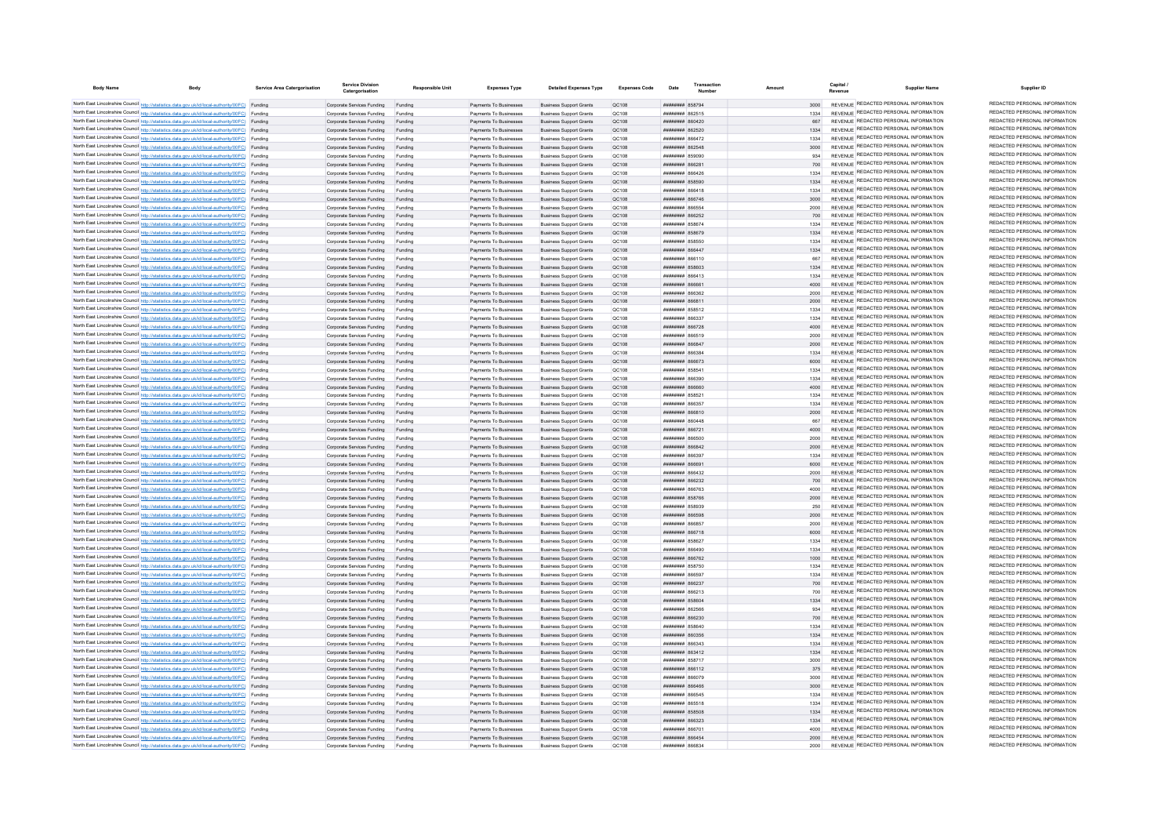| <b>Body Name</b> | <b>Body</b>                                                                                                                                                                                      | Service Area Catergorisation | <b>Service Division</b><br>Catergorisation                       | Responsible Unit   | <b>Expenses Type</b>                             | <b>Detailed Expenses Type</b>                                    | Expenses Code  | Date                                                         | Transaction | Amount       | Capital | <b>Supplier Name</b>                                                           | Supplier ID                                                    |
|------------------|--------------------------------------------------------------------------------------------------------------------------------------------------------------------------------------------------|------------------------------|------------------------------------------------------------------|--------------------|--------------------------------------------------|------------------------------------------------------------------|----------------|--------------------------------------------------------------|-------------|--------------|---------|--------------------------------------------------------------------------------|----------------------------------------------------------------|
|                  | North East Lincolnshire Council http://statistics.data.gov.uk/id/local-authority/00FC) Funding                                                                                                   |                              | Corporate Services Funding Funding                               |                    | Payments To Businesses                           | <b>Business Support Grants</b>                                   | OC108          | ######## 858794                                              |             | 3000         |         | REVENUE REDACTED PERSONAL INFORMATION                                          | REDACTED PERSONAL INFORMATION                                  |
|                  | North East Lincolnshire Council http://statistics.data.gov.uk/id/local-authority/00FC) Funding                                                                                                   |                              | Corporate Services Funding                                       |                    | Payments To Businesses                           | <b>Business Support Grants</b>                                   | QC108          | <b>ПЕНИНИН 862515</b>                                        |             |              |         | REVENUE REDACTED PERSONAL INFORMATION                                          | REDACTED PERSONAL INFORMATION                                  |
|                  | North East Lincolnshire Council http://statistics.data.gov.uk/id/local-authority/00FC) Funding                                                                                                   |                              | Corporate Services Funding                                       | Funding            | Payments To Businesses                           | <b>Business Support Grants</b>                                   | QC108          | ####### 860420                                               |             | 667          |         | REVENUE REDACTED PERSONAL INFORMATION                                          | REDACTED PERSONAL INFORMATION                                  |
|                  | North East Lincolnshire Council http://statistics.data.gov.uk/id/local-authority/00FC) Funding                                                                                                   |                              | Corporate Services Funding                                       | Funding            | Payments To Businesses                           | <b>Business Support Grants</b>                                   | OC108          | <b>ПЕПЕЦИИ 862520</b>                                        |             | 1334         |         | REVENUE REDACTED PERSONAL INFORMATION                                          | REDACTED PERSONAL INFORMATION                                  |
|                  | North East Lincolnshire Council http://statistics.data.gov.uk/id/local-authority/00FC) Funding                                                                                                   |                              | Corporate Services Funding                                       | Funding            | Payments To Businesses                           | <b>Business Support Grants</b>                                   | OC108          | <b><i>BRENHHHH 866472</i></b>                                |             | 1334         |         | REVENUE REDACTED PERSONAL INFORMATION                                          | REDACTED PERSONAL INFORMATION                                  |
|                  | North East Lincolnshire Council http://statistics.data.gov.uk/id/local-authority/00FC) Funding                                                                                                   |                              | Corporate Services Funding                                       | Funding            | Payments To Businesses                           | <b>Business Sunnort Grants</b>                                   | OC108          | <b><i>BRENHHHH 862548</i></b>                                |             | 3000         |         | REVENUE REDACTED PERSONAL INFORMATION<br>REVENUE REDACTED PERSONAL INFORMATION | REDACTED PERSONAL INFORMATION<br>REDACTED PERSONAL INFORMATION |
|                  | North East Lincolnshire Council http://statistics.data.gov.uk/id/local-authority/00FC) Funding                                                                                                   |                              | Corporate Services Funding                                       | Funding            | Payments To Businesses                           | <b>Business Support Grants</b>                                   | OC108          | ######## 859090                                              |             | 934          |         | REVENUE REDACTED PERSONAL INFORMATION                                          | REDACTED PERSONAL INFORMATION                                  |
|                  | North East Lincolnshire Council http://statistics.data.gov.uk/id/local-authority/00FC) Funding<br>North East Lincolnshire Council http://statistics.data.gov.uk/id/local-authority/00FC) Funding |                              | Corporate Services Funding Funding<br>Corporate Services Funding | Funding            | Payments To Businesses<br>Payments To Businesses | <b>Business Support Grants</b><br><b>Business Support Grants</b> | QC108<br>QC108 | ####### 86628<br>####### 866426                              |             | 1334         |         | REVENUE REDACTED PERSONAL INFORMATION                                          | REDACTED PERSONAL INFORMATION                                  |
|                  | North East Lincolnshire Council http://statistics.data.gov.uk/id/local-authority/00FC) Funding                                                                                                   |                              | Corporate Services Funding                                       | Funding            | Payments To Businesses                           | <b>Business Support Grants</b>                                   | QC108          | ######## 858590                                              |             | 1334         |         | REVENUE REDACTED PERSONAL INFORMATION                                          | REDACTED PERSONAL INFORMATION                                  |
|                  | North East Lincolnshire Council http://statistics.data.gov.uk/id/local-authority/00FC) Funding                                                                                                   |                              | Corporate Services Funding                                       | Funding            | Payments To Businesses                           | <b>Business Support Grants</b>                                   | OC108          |                                                              |             | 1334         |         | REVENUE REDACTED PERSONAL INFORMATION                                          | REDACTED PERSONAL INFORMATION                                  |
|                  | North East Lincolnshire Council http://statistics.data.gov.uk/id/local-authority/00FC) Funding                                                                                                   |                              | Corporate Services Funding                                       | Funding            | Payments To Businesses                           | <b>Business Support Grants</b>                                   | OC108          | ######## 866746                                              |             | 3000         |         | REVENUE REDACTED PERSONAL INFORMATION                                          | REDACTED PERSONAL INFORMATION                                  |
|                  | North East Lincolnshire Council http://statistics.data.gov.uk/id/local-authority/00FC) Funding                                                                                                   |                              | Corporate Services Funding                                       | Funding            | Payments To Businesses                           | <b>Business Support Grants</b>                                   | OC108          | <b>HUHHHHH 866554</b>                                        |             | 2000         |         | REVENUE REDACTED PERSONAL INFORMATION                                          | REDACTED PERSONAL INFORMATION                                  |
|                  | North East Lincolnshire Council http://statistics.data.gov.uk/id/local-authority/00FC) Funding                                                                                                   |                              | Corporate Services Funding                                       | Funding            | Payments To Businesses                           | <b>Business Support Grants</b>                                   | QC108          | ######## 866252                                              |             | 700          |         | REVENUE REDACTED PERSONAL INFORMATION                                          | REDACTED PERSONAL INFORMATION                                  |
|                  | North East Lincolnshire Council http://statistics.data.gov.uk/id/local-authority/00FC) Funding                                                                                                   |                              | Corporate Services Funding                                       |                    | Payments To Businesses                           | <b>Business Support Grants</b>                                   | QC108          | <b>пппппппп</b> 858674                                       |             | 1334         |         | <b>REVENUE REDACTED PERSONAL INFORMATION</b>                                   | REDACTED PERSONAL INFORMATION                                  |
|                  | North East Lincolnshire Council http://statistics.data.gov.uk/id/local-authority/00FC) Funding                                                                                                   |                              | Corporate Services Funding                                       |                    | Payments To Businesses                           | <b>Business Support Grants</b>                                   | QC108          | <b>НИНИНИН 858679</b>                                        |             | 1334         |         | REVENUE REDACTED PERSONAL INFORMATION<br>REVENUE REDACTED PERSONAL INFORMATION | REDACTED PERSONAL INFORMATION<br>REDACTED PERSONAL INFORMATION |
|                  | North East Lincolnshire Council http://statistics.data.gov.uk/id/local-authority/00FC) Funding<br>North East Lincolnshire Council http://statistics.data.gov.uk/id/local-authority/00FC) Funding |                              | Corporate Services Funding                                       | Funding            | Payments To Businesses<br>Payments To Businesses | <b>Business Support Grants</b><br><b>Business Support Grants</b> | OC108<br>QC108 | ######## 858550<br>######## 866447                           |             | 1334<br>1334 |         | REVENUE REDACTED PERSONAL INFORMATION                                          | REDACTED PERSONAL INFORMATION                                  |
|                  | North East Lincolnshire Council http://statistics.data.gov.uk/id/local-authority/00FC) Funding                                                                                                   |                              | Corporate Services Funding<br>Corporate Services Funding         | Funding<br>Funding | Payments To Businesses                           | <b>Business Support Grants</b>                                   | QC108          | ######## 866110                                              |             | 667          |         | REVENUE REDACTED PERSONAL INFORMATION                                          | REDACTED PERSONAL INFORMATION                                  |
|                  | North East Lincolnshire Council http://statistics.data.gov.uk/id/local-authority/00FC) Funding                                                                                                   |                              | Corporate Services Funding                                       | Funding            | Payments To Businesses                           | <b>Business Support Grants</b>                                   | QC108          | ######## 858603                                              |             | 1334         |         | REVENUE REDACTED PERSONAL INFORMATION                                          | REDACTED PERSONAL INFORMATION                                  |
|                  | North East Lincolnshire Council http://statistics.data.gov.uk/id/local-authority/00FC) Funding                                                                                                   |                              | Corporate Services Funding                                       | Funding            | Payments To Businesses                           | <b>Business Support Grants</b>                                   | QC108          | ######## 866413                                              |             | 1334         |         | REVENUE REDACTED PERSONAL INFORMATION                                          | REDACTED PERSONAL INFORMATION                                  |
|                  | North East Lincolnshire Council http://statistics.data.gov.uk/id/local-authority/00FC) Funding                                                                                                   |                              | Corporate Services Funding Funding                               |                    | Payments To Businesses                           | <b>Business Support Grants</b>                                   | QC108          | ######## 86666                                               |             | 4000         |         | REVENUE REDACTED PERSONAL INFORMATION                                          | REDACTED PERSONAL INFORMATION                                  |
|                  | North East Lincolnshire Council http://statistics.data.gov.uk/id/local-authority/00FC) Funding                                                                                                   |                              | Corporate Services Funding                                       | Funding            | Payments To Businesses                           | <b>Business Support Grants</b>                                   | QC108          | плиннин васза?                                               |             | 2000         |         | REVENUE REDACTED PERSONAL INFORMATION                                          | REDACTED PERSONAL INFORMATION                                  |
|                  | North East Lincolnshire Council http://statistics.data.gov.uk/id/local-authority/00FC) Funding                                                                                                   |                              | Corporate Services Funding                                       | Funding            | Payments To Businesses                           | <b>Business Support Grants</b>                                   | <b>QC108</b>   | ######## 866811                                              |             | 2000         |         | REVENUE REDACTED PERSONAL INFORMATION                                          | REDACTED PERSONAL INFORMATION                                  |
|                  | North East Lincolnshire Council http://statistics.data.gov.uk/id/local-authority/00FC) Funding                                                                                                   |                              | Corporate Services Funding                                       | Funding            | Payments To Businesses                           | <b>Business Support Grants</b>                                   | QC108          | ######## 858512                                              |             | 1334         |         | REVENUE REDACTED PERSONAL INFORMATION                                          | REDACTED PERSONAL INFORMATION                                  |
|                  | North East Lincolnshire Council http://statistics.data.gov.uk/id/local-authority/00FC) Funding                                                                                                   |                              | Corporate Services Funding                                       | Funding            | Payments To Businesses                           | <b>Business Support Grants</b>                                   | QC108          | ####### 866337                                               |             | 1334         |         | REVENUE REDACTED PERSONAL INFORMATION                                          | REDACTED PERSONAL INFORMATION<br>REDACTED PERSONAL INFORMATION |
|                  | North East Lincolnshire Council http://statistics.data.gov.uk/id/local-authority/00FC) Funding                                                                                                   |                              | Corporate Services Funding                                       | Funding            | Payments To Businesses                           | <b>Business Support Grants</b>                                   | QC108          | ######## 866728                                              |             | 4000         |         | REVENUE REDACTED PERSONAL INFORMATION<br>REVENUE REDACTED PERSONAL INFORMATION | REDACTED PERSONAL INFORMATION                                  |
|                  | North East Lincolnshire Council http://statistics.data.gov.uk/id/local-authority/00FC) Funding<br>North East Lincolnshire Council http://statistics.data.gov.uk/id/local-authority/00FC) Funding |                              | Corporate Services Funding                                       | Funding            | Payments To Businesses<br>Payments To Businesses | <b>Business Support Grants</b>                                   | QC108<br>QC108 | <b>####### 866519</b><br><b><i><u>HHHHHHH</u></i></b> 866847 |             | 2000<br>2000 |         | REVENUE REDACTED PERSONAL INFORMATION                                          | REDACTED PERSONAL INFORMATION                                  |
|                  | North East Lincolnshire Council http://statistics.data.gov.uk/id/local-authority/00FC) Funding                                                                                                   |                              | Corporate Services Funding<br>Corporate Services Funding         | Funding<br>Funding | Payments To Businesses                           | <b>Business Support Grants</b><br><b>Business Support Grants</b> | OC108          | ######## 866384                                              |             | 1334         |         | REVENUE REDACTED PERSONAL INFORMATION                                          | REDACTED PERSONAL INFORMATION                                  |
|                  | North East Lincolnshire Council http://statistics.data.gov.uk/id/local-authority/00FC) Funding                                                                                                   |                              | Corporate Services Funding                                       | Funding            | Payments To Businesses                           | <b>Business Sunnort Grants</b>                                   | OC108          | <b>пппппппп</b> 866673                                       |             | 6000         |         | REVENUE REDACTED PERSONAL INFORMATION                                          | REDACTED PERSONAL INFORMATION                                  |
|                  | North East Lincolnshire Council http://statistics.data.gov.uk/id/local-authority/00FC) Funding                                                                                                   |                              | Corporate Services Funding                                       | Funding            | Payments To Businesses                           | <b>Business Support Grants</b>                                   | OC108          | <b>пппппппп</b> 85854                                        |             | 1334         |         | REVENUE REDACTED PERSONAL INFORMATION                                          | REDACTED PERSONAL INFORMATION                                  |
|                  | North East Lincolnshire Council http://statistics.data.gov.uk/id/local-authority/00FC) Funding                                                                                                   |                              | Corporate Services Funding                                       | Funding            | Payments To Businesses                           | <b>Business Support Grants</b>                                   | OC108          | ######## 866390                                              |             | 1334         |         | REVENUE REDACTED PERSONAL INFORMATION                                          | REDACTED PERSONAL INFORMATION                                  |
|                  | North East Lincolnshire Council http://statistics.data.gov.uk/id/local-authority/00FC) Funding                                                                                                   |                              | Corporate Services Funding Funding                               |                    | Payments To Businesses                           | <b>Business Support Grants</b>                                   | OC108          | ######## 866660                                              |             | 4000         |         | REVENUE REDACTED PERSONAL INFORMATION                                          | REDACTED PERSONAL INFORMATION                                  |
|                  | North East Lincolnshire Council http://statistics.data.gov.uk/id/local-authority/00FC) Funding                                                                                                   |                              | Corporate Services Funding                                       | Funding            | Payments To Businesses                           | <b>Business Support Grants</b>                                   | OC108          | <b>пппппппп</b> 858521                                       |             | 1334         |         | REVENUE REDACTED PERSONAL INFORMATION                                          | REDACTED PERSONAL INFORMATION                                  |
|                  | North East Lincolnshire Council http://statistics.data.gov.uk/id/local-authority/00FC) Funding                                                                                                   |                              | Corporate Services Funding                                       | Funding            | Payments To Businesses                           | <b>Business Support Grants</b>                                   | QC108          | ######## 866357                                              |             | 1334         |         | REVENUE REDACTED PERSONAL INFORMATION                                          | REDACTED PERSONAL INFORMATION                                  |
|                  | North East Lincolnshire Council http://statistics.data.gov.uk/id/local-authority/00FC) Funding                                                                                                   |                              | Corporate Services Funding                                       | Funding            | Payments To Businesses                           | <b>Business Sunnort Grants</b>                                   | OC108          | <b>BRANCH MANAGEMENT</b>                                     |             | 2000         |         | REVENUE REDACTED PERSONAL INFORMATION<br>REVENUE REDACTED PERSONAL INFORMATION | REDACTED PERSONAL INFORMATION<br>REDACTED PERSONAL INFORMATION |
|                  | North East Lincolnshire Council http://statistics.data.gov.uk/id/local-authority/00FC) Funding                                                                                                   |                              | Corporate Services Funding                                       | Funding            | Payments To Businesses                           | <b>Business Support Grants</b>                                   | OC108          | <b>плинини вболая</b>                                        |             | 667          |         | REVENUE REDACTED PERSONAL INFORMATION                                          | REDACTED PERSONAL INFORMATION                                  |
|                  | North East Lincolnshire Council http://statistics.data.gov.uk/id/local-authority/00FC) Funding<br>North East Lincolnshire Council http://statistics.data.gov.uk/id/local-authority/00FC) Funding |                              | Corporate Services Funding<br>Corporate Services Funding         | Funding            | Payments To Businesses<br>Payments To Businesses | <b>Business Support Grants</b><br><b>Business Support Grants</b> | QC108<br>QC108 | ######## 866721<br><b>####### 866500</b>                     |             | 4000<br>2000 |         | REVENUE REDACTED PERSONAL INFORMATION                                          | REDACTED PERSONAL INFORMATION                                  |
|                  | North East Lincolnshire Council http://statistics.data.gov.uk/id/local-authority/00FC) Funding                                                                                                   |                              | Corporate Services Funding                                       | Funding            | Payments To Businesses                           | <b>Business Support Grants</b>                                   | OC108          | ######## 866842                                              |             | 2000         |         | REVENUE REDACTED PERSONAL INFORMATION                                          | REDACTED PERSONAL INFORMATION                                  |
|                  | North East Lincolnshire Council http://statistics.data.gov.uk/id/local-authority/00FC) Funding                                                                                                   |                              | Corporate Services Funding                                       | Funding            | Payments To Businesses                           | <b>Business Support Grants</b>                                   | OC108          | FREEZA MANAMAR                                               |             | 1334         |         | REVENUE REDACTED PERSONAL INFORMATION                                          | REDACTED PERSONAL INFORMATION                                  |
|                  | North East Lincolnshire Council http://statistics.data.gov.uk/id/local-authority/00FC) Funding                                                                                                   |                              | Corporate Services Funding                                       | Funding            | Payments To Businesses                           | <b>Business Sunnort Grants</b>                                   | OC108          | <b>HHHHHHH 866691</b>                                        |             | 6000         |         | REVENUE REDACTED PERSONAL INFORMATION                                          | REDACTED PERSONAL INFORMATION                                  |
|                  | North East Lincolnshire Council http://statistics.data.gov.uk/id/local-authority/00FC) Funding                                                                                                   |                              | Corporate Services Funding                                       | Funding            | Payments To Businesses                           | <b>Business Support Grants</b>                                   | OC108          | <b>пппппппп</b> 866432                                       |             | 2000         |         | REVENUE REDACTED PERSONAL INFORMATION                                          | REDACTED PERSONAL INFORMATION                                  |
|                  | North East Lincolnshire Council http://statistics.data.gov.uk/id/local-authority/00FC) Funding                                                                                                   |                              | Corporate Services Funding                                       | Funding            | Payments To Businesses                           | <b>Business Support Grants</b>                                   | QC108          | ######## 866232                                              |             |              |         | REVENUE REDACTED PERSONAL INFORMATION                                          | REDACTED PERSONAL INFORMATION                                  |
|                  | North East Lincolnshire Council http://statistics.data.gov.uk/id/local-authority/00FC) Funding                                                                                                   |                              | Corporate Services Funding                                       | Funding            | Payments To Businesses                           | <b>Business Support Grants</b>                                   | QC108          | ######## 866763                                              |             | 4000         |         | REVENUE REDACTED PERSONAL INFORMATION                                          | REDACTED PERSONAL INFORMATION<br>REDACTED PERSONAL INFORMATION |
|                  | North East Lincolnshire Council http://statistics.data.gov.uk/id/local-authority/00FC) Funding<br>North East Lincolnshire Council http://statistics.data.gov.uk/id/local-authority/00FC) Funding |                              | Corporate Services Funding                                       | Funding            | Payments To Businesses                           | <b>Business Support Grants</b>                                   | QC108          | ######## 858766                                              |             | 2000         |         | REVENUE REDACTED PERSONAL INFORMATION<br>REVENUE REDACTED PERSONAL INFORMATION | REDACTED PERSONAL INFORMATION                                  |
|                  | North East Lincolnshire Council http://statistics.data.gov.uk/id/local-authority/00FC) Funding                                                                                                   |                              | Corporate Services Funding<br>Corporate Services Funding         | Funding<br>Funding | Payments To Businesses<br>Payments To Businesses | <b>Business Support Grants</b><br><b>Business Support Grants</b> | OC108<br>QC108 | <b>BERNHAMM R58939</b><br>######## 866598                    |             | 250<br>2000  |         | REVENUE REDACTED PERSONAL INFORMATION                                          | REDACTED PERSONAL INFORMATION                                  |
|                  | North East Lincolnshire Council http://statistics.data.gov.uk/id/local-authority/00FC) Funding                                                                                                   |                              | Corporate Services Funding                                       | Funding            | Payments To Businesses                           | <b>Business Support Grants</b>                                   | OC108          | TRABA BERREE                                                 |             | 2000         |         | REVENUE REDACTED PERSONAL INFORMATION                                          | REDACTED PERSONAL INFORMATION                                  |
|                  | North East Lincolnshire Council http://statistics.data.gov.uk/id/local-authority/00FC) Funding                                                                                                   |                              | Corporate Services Funding                                       | Funding            | Payments To Businesses                           | <b>Business Support Grants</b>                                   | QC108          | ######## 866718                                              |             | 6000         |         | REVENUE REDACTED PERSONAL INFORMATION                                          | REDACTED PERSONAL INFORMATION                                  |
|                  | North East Lincolnshire Council http://statistics.data.gov.uk/id/local-authority/00FC) Funding                                                                                                   |                              | Corporate Services Funding                                       | Funding            | Payments To Businesses                           | <b>Business Support Grants</b>                                   | QC108          | ######## 858627                                              |             | 1334         |         | REVENUE REDACTED PERSONAL INFORMATION                                          | REDACTED PERSONAL INFORMATION                                  |
|                  | North East Lincolnshire Council http://statistics.data.gov.uk/id/local-authority/00FC) Funding                                                                                                   |                              | Corporate Services Funding                                       | Funding            | Payments To Businesses                           | <b>Business Support Grants</b>                                   | QC108          | 026388 HHHHHHH                                               |             | 1334         |         | REVENUE REDACTED PERSONAL INFORMATION                                          | REDACTED PERSONAL INFORMATION                                  |
|                  | North East Lincolnshire Council http://statistics.data.gov.uk/id/local-authority/00FC) Funding                                                                                                   |                              | Corporate Services Funding                                       | Funding            | Payments To Businesses                           | <b>Business Support Grants</b>                                   | OC108          | <b>пппппппп</b> 866762                                       |             | 1000         |         | REVENUE REDACTED PERSONAL INFORMATION                                          | REDACTED PERSONAL INFORMATION                                  |
|                  | North East Lincolnshire Council http://statistics.data.gov.uk/id/local-authority/00FC) Funding                                                                                                   |                              | Corporate Services Funding                                       | Funding            | Payments To Businesses                           | <b>Business Support Grants</b>                                   | OC108          | ######## 858750                                              |             | 1334         |         | REVENUE REDACTED PERSONAL INFORMATION                                          | REDACTED PERSONAL INFORMATION                                  |
|                  | North East Lincolnshire Council http://statistics.data.gov.uk/id/local-authority/00FC) Funding                                                                                                   |                              | Corporate Services Funding                                       | Funding            | Payments To Businesses                           | <b>Business Support Grants</b>                                   | QC108          | FRAAR MUNICIPAL                                              |             | 1334         |         | REVENUE REDACTED PERSONAL INFORMATION                                          | REDACTED PERSONAL INFORMATION<br>REDACTED PERSONAL INFORMATION |
|                  | North East Lincolnshire Council http://statistics.data.gov.uk/id/local-authority/00FC) Funding                                                                                                   |                              | Corporate Services Funding Funding                               |                    | Payments To Businesses                           | <b>Business Support Grants</b>                                   | QC108<br>QC108 | ######## 866237<br>######## 866213                           |             | 700          |         | REVENUE REDACTED PERSONAL INFORMATION<br>REVENUE REDACTED PERSONAL INFORMATION | REDACTED PERSONAL INFORMATION                                  |
|                  | North East Lincolnshire Council http://statistics.data.gov.uk/id/local-authority/00FC) Funding<br>North East Lincolnshire Council http://statistics.data.gov.uk/id/local-authority/00FC) Funding |                              | Corporate Services Funding<br>Corporate Services Funding Funding | Funding            | Payments To Businesses<br>Payments To Businesses | <b>Business Support Grants</b><br><b>Business Support Grants</b> | QC108          | ######## 858604                                              |             | 1334         |         | REVENUE REDACTED PERSONAL INFORMATION                                          | REDACTED PERSONAL INFORMATION                                  |
|                  | North East Lincolnshire Council http://statistics.data.gov.uk/id/local-authority/00FC) Funding                                                                                                   |                              | Corporate Services Funding                                       | Funding            | Payments To Businesses                           | <b>Business Support Grants</b>                                   | OC108          | ######## 862566                                              |             | 934          |         | REVENUE REDACTED PERSONAL INFORMATION                                          | REDACTED PERSONAL INFORMATION                                  |
|                  | North East Lincolnshire Council http://statistics.data.gov.uk/id/local-authority/00FC) Funding                                                                                                   |                              | Corporate Services Funding                                       | Funding            | Payments To Businesses                           | <b>Business Support Grants</b>                                   | OC108          | ######## 866230                                              |             | 700          |         | REVENUE REDACTED PERSONAL INFORMATION                                          | REDACTED PERSONAL INFORMATION                                  |
|                  | North East Lincolnshire Council http://statistics.data.gov.uk/id/local-authority/00FC) Funding                                                                                                   |                              | Corporate Services Funding                                       | Funding            | Payments To Businesses                           | <b>Business Support Grants</b>                                   | OC108          | ####### 858640                                               |             | 1334         |         | REVENUE REDACTED PERSONAL INFORMATION                                          | REDACTED PERSONAL INFORMATION                                  |
|                  | North East Lincolnshire Council http://statistics.data.gov.uk/id/local-authority/00FC) Funding                                                                                                   |                              | Corporate Services Funding                                       | Funding            | Payments To Businesses                           | <b>Business Support Grants</b>                                   | QC108          | ####### 860356                                               |             | 1334         |         | REVENUE REDACTED PERSONAL INFORMATION                                          | REDACTED PERSONAL INFORMATION                                  |
|                  | North East Lincolnshire Council http://statistics.data.gov.uk/id/local-authority/00FC) Funding                                                                                                   |                              | Corporate Services Funding                                       |                    | Payments To Businesses                           | <b>Business Support Grants</b>                                   | QC108          | ######## 866343                                              |             | 1334         |         | REVENUE REDACTED PERSONAL INFORMATION                                          | REDACTED PERSONAL INFORMATION                                  |
|                  | North East Lincolnshire Council http://statistics.data.gov.uk/id/local-authority/00FC) Funding                                                                                                   |                              | Corporate Services Funding                                       |                    | Payments To Businesses                           | <b>Business Support Grants</b>                                   | QC108          | ######## 863412                                              |             | 1334         |         | REVENUE REDACTED PERSONAL INFORMATION                                          | REDACTED PERSONAL INFORMATION                                  |
|                  | North East Lincolnshire Council http://statistics.data.gov.uk/id/local-authority/00FC) Funding                                                                                                   |                              | Corporate Services Funding                                       | Funding            | Payments To Businesses                           | <b>Business Support Grants</b>                                   | OC108          | <b><i>HHHHHHH</i></b> 858717                                 |             | 3000         |         | REVENUE REDACTED PERSONAL INFORMATION                                          | REDACTED PERSONAL INFORMATION<br>REDACTED PERSONAL INFORMATION |
|                  | North East Lincolnshire Council http://statistics.data.gov.uk/id/local-authority/00FC) Funding                                                                                                   |                              | Corporate Services Funding                                       | Funding            | Payments To Businesses                           | <b>Business Sunnort Grants</b>                                   | OC108          | <b>пппппппп</b> 866112                                       |             | 375          |         | REVENUE REDACTED PERSONAL INFORMATION<br>REVENUE REDACTED PERSONAL INFORMATION | REDACTED PERSONAL INFORMATION                                  |
|                  | North East Lincolnshire Council http://statistics.data.gov.uk/id/local-authority/00FC) Funding<br>North East Lincolnshire Council http://statistics.data.gov.uk/id/local-authority/00FC) Funding |                              | Corporate Services Funding<br>Corporate Services Funding         | Funding<br>Funding | Payments To Businesses<br>Payments To Businesses | <b>Business Sunnort Grants</b><br><b>Business Support Grants</b> | OC108<br>OC108 | ниннини в <b>являет</b><br><b>лининин</b> 866466             |             | 3000<br>3000 |         | REVENUE REDACTED PERSONAL INFORMATION                                          | REDACTED PERSONAL INFORMATION                                  |
|                  | North East Lincolnshire Council http://statistics.data.gov.uk/id/local-authority/00FC) Funding                                                                                                   |                              | Corporate Services Funding                                       | Funding            | Payments To Businesses                           | <b>Business Support Grants</b>                                   | QC108          | ######## 866545                                              |             | 1334         |         | REVENUE REDACTED PERSONAL INFORMATION                                          | REDACTED PERSONAL INFORMATION                                  |
|                  | North East Lincolnshire Council http://statistics.data.gov.uk/id/local-authority/00FC) Funding                                                                                                   |                              | Corporate Services Funding                                       | Funding            | Payments To Businesses                           | <b>Business Support Grants</b>                                   | QC108          | ######## 865518                                              |             | 1334         |         | REVENUE REDACTED PERSONAL INFORMATION                                          | REDACTED PERSONAL INFORMATION                                  |
|                  | North East Lincolnshire Council http://statistics.data.gov.uk/id/local-authority/00FC) Funding                                                                                                   |                              | Corporate Services Funding                                       | Funding            | Payments To Businesses                           | <b>Business Support Grants</b>                                   | QC108          | ######## 858508                                              |             | 1334         |         | REVENUE REDACTED PERSONAL INFORMATION                                          | REDACTED PERSONAL INFORMATION                                  |
|                  | North East Lincolnshire Council http://statistics.data.gov.uk/id/local-authority/00FC) Funding                                                                                                   |                              | Corporate Services Funding                                       | Funding            | Payments To Businesses                           | <b>Business Support Grants</b>                                   | OC108          | <b>######## 866323</b>                                       |             | 1334         |         | REVENUE REDACTED PERSONAL INFORMATION                                          | REDACTED PERSONAL INFORMATION                                  |
|                  | North East Lincolnshire Council http://statistics.data.gov.uk/id/local-authority/00FC) Funding                                                                                                   |                              | Corporate Services Funding                                       | Funding            | Payments To Businesses                           | <b>Business Support Grants</b>                                   | OC108          | ######## 86670                                               |             | 4000         |         | REVENUE REDACTED PERSONAL INFORMATION                                          | REDACTED PERSONAL INFORMATION                                  |
|                  | North East Lincolnshire Council http://statistics.data.gov.uk/id/local-authority/00FC) Funding                                                                                                   |                              | Corporate Services Funding                                       | Funding            | Payments To Businesses                           | <b>Business Support Grants</b>                                   | OC108          | <b>пппппппп</b> 866454                                       |             | 2000         |         | REVENUE REDACTED PERSONAL INFORMATION                                          | REDACTED PERSONAL INFORMATION<br>REDACTED PERSONAL INFORMATION |
|                  | North East Lincolnshire Council http://statistics.data.gov.uk/id/local-authority/00FC) Funding                                                                                                   |                              | Corporate Services Funding                                       |                    | Payments To Businesse                            | <b>Business Support Grants</b>                                   | OC108          | FRAAR HHHHHH                                                 |             | 2000         |         | REVENUE REDACTED PERSONAL INFORMATION                                          |                                                                |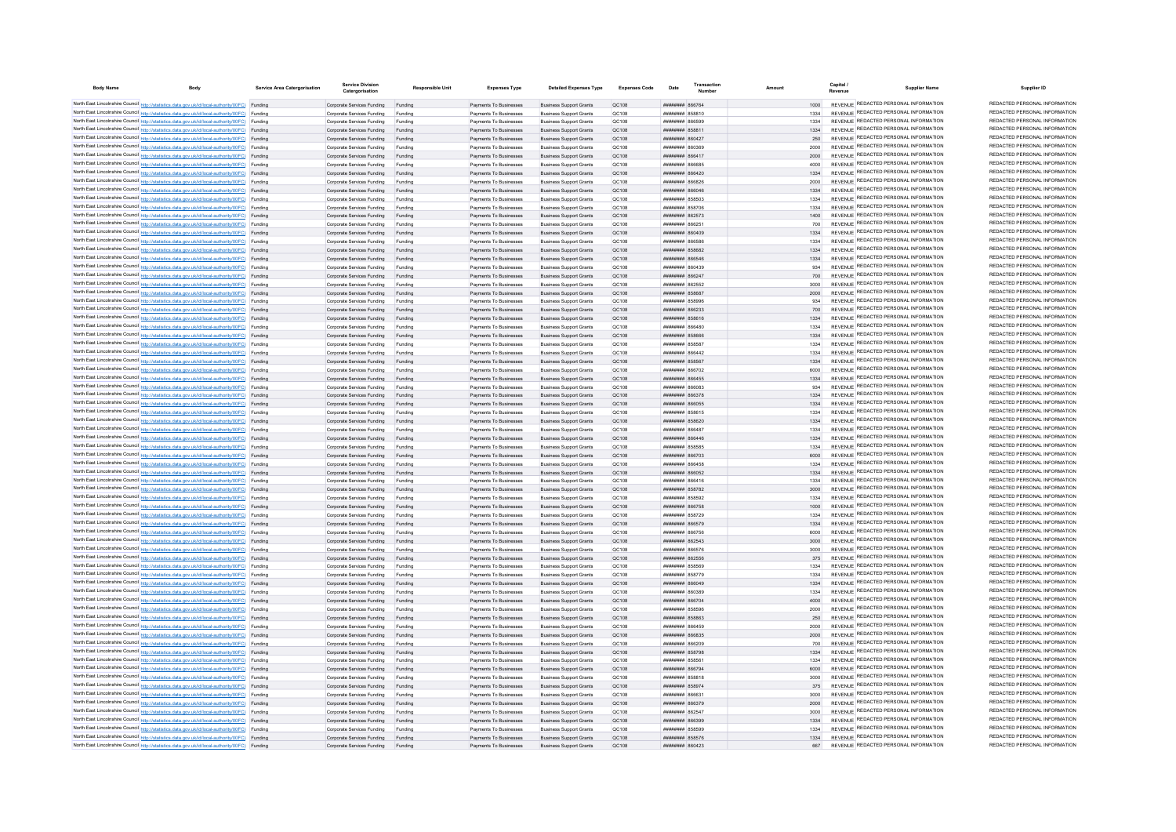| <b>Body Name</b> | <b>Body</b>                                                                                                                                                                                      | Service Area Catergorisation | <b>Service Division</b><br>Catergorisation                       | <b>Responsible Unit</b> | <b>Expenses Type</b>                             | <b>Detailed Expenses Type</b>                                    | <b>Expenses Code</b> | Date                                             | Transaction |              | Capital<br><b>Supplier Name</b><br>Revenue                                     | Supplier ID                                                    |
|------------------|--------------------------------------------------------------------------------------------------------------------------------------------------------------------------------------------------|------------------------------|------------------------------------------------------------------|-------------------------|--------------------------------------------------|------------------------------------------------------------------|----------------------|--------------------------------------------------|-------------|--------------|--------------------------------------------------------------------------------|----------------------------------------------------------------|
|                  | North East Lincolnshire Council http://statistics.data.gov.uk/id/local-authority/00FC) Funding                                                                                                   |                              | Comorate Services Funding Funding                                |                         | Payments To Businesses                           | <b>Business Support Grants</b>                                   | OC108                | <b>########</b> 866764                           |             | 1000         | REVENUE REDACTED PERSONAL INFORMATION                                          | REDACTED PERSONAL INFORMATION                                  |
|                  | North East Lincolnshire Council http://statistics.data.gov.uk/id/local-authority/00FC) Funding                                                                                                   |                              | Corporate Services Funding                                       | Funding                 | Payments To Businesses                           | <b>Business Support Grants</b>                                   | OC108                | <b>01588 HUBBERRY</b>                            |             | 1334         | REVENUE REDACTED PERSONAL INFORMATION                                          | REDACTED PERSONAL INFORMATION                                  |
|                  | North East Lincolnshire Council http://statistics.data.gov.uk/id/local-authority/00FC) Funding                                                                                                   |                              | Corporate Services Funding                                       | Funding                 | Payments To Businesses                           | <b>Business Support Grants</b>                                   | OC108                | <b>02338 REBUILDED</b>                           |             | 1334         | REVENUE REDACTED PERSONAL INFORMATION                                          | REDACTED PERSONAL INFORMATION                                  |
|                  | North East Lincolnshire Council http://statistics.data.gov.uk/id/local-authority/00FC) Funding                                                                                                   |                              | Corporate Services Funding                                       | Funding                 | Payments To Businesses                           | <b>Business Support Grants</b>                                   | QC108                | ####### 85881                                    |             | 1334         | REVENUE REDACTED PERSONAL INFORMATION                                          | REDACTED PERSONAL INFORMATION                                  |
|                  | North East Lincolnshire Council http://statistics.data.gov.uk/id/local-authority/00FC) Funding                                                                                                   |                              | Corporate Services Funding                                       | Funding                 | Payments To Businesses                           | <b>Business Support Grants</b>                                   | QC108                | ппинини 860427                                   |             | 250          | REVENUE REDACTED PERSONAL INFORMATION                                          | REDACTED PERSONAL INFORMATION                                  |
|                  | North East Lincolnshire Council http://statistics.data.gov.uk/id/local-authority/00FC) Funding                                                                                                   |                              | Corporate Services Funding                                       | Funding                 | Payments To Businesses                           | <b>Business Support Grants</b>                                   | QC108                | <b>PACOAR MMMMMMM</b>                            |             | 2000         | REVENUE REDACTED PERSONAL INFORMATION                                          | REDACTED PERSONAL INFORMATION<br>REDACTED PERSONAL INFORMATION |
|                  | North East Lincolnshire Council http://statistics.data.gov.uk/id/local-authority/00FC) Funding                                                                                                   |                              | Corporate Services Funding                                       | Funding                 | Payments To Businesses                           | <b>Business Sunnort Grants</b>                                   | OC:108               | <b><i>BRENHHHH</i></b> 866417<br>ERSABA BERNHEIT |             | 2000         | REVENUE REDACTED PERSONAL INFORMATION<br>REVENUE REDACTED PERSONAL INFORMATION | REDACTED PERSONAL INFORMATION                                  |
|                  | North East Lincolnshire Council http://statistics.data.gov.uk/id/local-authority/00FC) Funding<br>North East Lincolnshire Council http://statistics.data.gov.uk/id/local-authority/00FC) Funding |                              | Corporate Services Funding<br>Corporate Services Funding Funding | Funding                 | Payments To Businesses<br>Payments To Businesses | <b>Business Support Grants</b><br><b>Business Support Grants</b> | QC108<br>OC108       | ######## 866420                                  |             | 4000<br>1334 | REVENUE REDACTED PERSONAL INFORMATION                                          | REDACTED PERSONAL INFORMATION                                  |
|                  | North East Lincolnshire Council http://statistics.data.gov.uk/id/local-authority/00FC) Funding                                                                                                   |                              | Corporate Services Funding                                       | Funding                 | Payments To Businesses                           | <b>Business Support Grants</b>                                   | QC108                | ######## 866826                                  |             |              | REVENUE REDACTED PERSONAL INFORMATION                                          | REDACTED PERSONAL INFORMATION                                  |
|                  | North East Lincolnshire Council http://statistics.data.gov.uk/id/local-authority/00FC) Funding                                                                                                   |                              | Corporate Services Funding Funding                               |                         | Payments To Businesses                           | <b>Business Support Grants</b>                                   | QC108                | ######## 866046                                  |             | 1334         | REVENUE REDACTED PERSONAL INFORMATION                                          | REDACTED PERSONAL INFORMATION                                  |
|                  | North East Lincolnshire Council http://statistics.data.gov.uk/id/local-authority/00FC) Funding                                                                                                   |                              | Corporate Services Funding                                       | Funding                 | Payments To Businesses                           | <b>Business Support Grants</b>                                   | QC108                | <b>######## 858503</b>                           |             | 1334         | REVENUE REDACTED PERSONAL INFORMATION                                          | REDACTED PERSONAL INFORMATION                                  |
|                  | North East Lincolnshire Council http://statistics.data.gov.uk/id/local-authority/00FC) Funding                                                                                                   |                              | Corporate Services Funding                                       | Funding                 | Payments To Businesses                           | <b>Business Support Grants</b>                                   | OC108                | <b>######## 858706</b>                           |             | 1334         | REVENUE REDACTED PERSONAL INFORMATION                                          | REDACTED PERSONAL INFORMATION                                  |
|                  | North East Lincolnshire Council http://statistics.data.gov.uk/id/local-authority/00FC) Funding                                                                                                   |                              | Corporate Services Funding                                       | Funding                 | Payments To Businesses                           | <b>Business Support Grants</b>                                   | OC108                | ######## 862573                                  |             | 1400         | REVENUE REDACTED PERSONAL INFORMATION                                          | REDACTED PERSONAL INFORMATION                                  |
|                  | North East Lincolnshire Council http://statistics.data.gov.uk/id/local-authority/00FC) Funding                                                                                                   |                              | Corporate Services Funding                                       | Funding                 | Payments To Businesses                           | <b>Business Support Grants</b>                                   | QC108                | ####### 86625                                    |             | 700          | REVENUE REDACTED PERSONAL INFORMATION                                          | REDACTED PERSONAL INFORMATION<br>REDACTED PERSONAL INFORMATION |
|                  | North East Lincolnshire Council http://statistics.data.gov.uk/id/local-authority/00FC) Funding                                                                                                   |                              | Corporate Services Funding                                       | Funding                 | Payments To Businesses                           | <b>Business Support Grants</b>                                   | <b>QC108</b>         | <b>####### 860409</b>                            |             | 1334         | REVENUE REDACTED PERSONAL INFORMATION<br>REVENUE REDACTED PERSONAL INFORMATION | REDACTED PERSONAL INFORMATION                                  |
|                  | North East Lincolnshire Council http://statistics.data.gov.uk/id/local-authority/00FC) Funding<br>North East Lincolnshire Council http://statistics.data.gov.uk/id/local-authority/00FC) Funding |                              | Corporate Services Funding<br>Corporate Services Funding         | Funding                 | Payments To Businesses<br>Payments To Businesses | <b>Business Support Grants</b><br><b>Business Support Grants</b> | QC108<br>QC108       | 88888 HHHHHH<br><b>НИНИНИН 858682</b>            |             | 1334<br>1334 | REVENUE REDACTED PERSONAL INFORMATION                                          | REDACTED PERSONAL INFORMATION                                  |
|                  | North East Lincolnshire Council http://statistics.data.gov.uk/id/local-authority/00FC) Funding                                                                                                   |                              | Corporate Services Funding                                       | Funding                 | Payments To Businesses                           | <b>Business Support Grants</b>                                   | OC108                | <b>пипинни 866546</b>                            |             | 1334         | REVENUE REDACTED PERSONAL INFORMATION                                          | REDACTED PERSONAL INFORMATION                                  |
|                  | North East Lincolnshire Council http://statistics.data.gov.uk/id/local-authority/00FC) Funding                                                                                                   |                              | Corporate Services Funding                                       | Funding                 | Payments To Businesses                           | <b>Business Support Grants</b>                                   | QC108                | ######## 860439                                  |             | 934          | REVENUE REDACTED PERSONAL INFORMATION                                          | REDACTED PERSONAL INFORMATION                                  |
|                  | North East Lincolnshire Council http://statistics.data.gov.uk/id/local-authority/00FC) Funding                                                                                                   |                              | Corporate Services Funding                                       | Funding                 | Payments To Businesses                           | <b>Business Support Grants</b>                                   | QC108                | ######## 86624                                   |             | 700          | REVENUE REDACTED PERSONAL INFORMATION                                          | REDACTED PERSONAL INFORMATION                                  |
|                  | North East Lincolnshire Council http://statistics.data.gov.uk/id/local-authority/00FC) Funding                                                                                                   |                              | Corporate Services Funding                                       | Funding                 | Payments To Businesses                           | <b>Business Support Grants</b>                                   | QC108                | ######## 862552                                  |             | 3000         | REVENUE REDACTED PERSONAL INFORMATION                                          | REDACTED PERSONAL INFORMATION                                  |
|                  | North East Lincolnshire Council http://statistics.data.gov.uk/id/local-authority/00FC) Funding                                                                                                   |                              | Corporate Services Funding                                       | Funding                 | Payments To Businesses                           | <b>Business Support Grants</b>                                   | QC108                | ######## 85868                                   |             | 2000         | REVENUE REDACTED PERSONAL INFORMATION                                          | REDACTED PERSONAL INFORMATION                                  |
|                  | North East Lincolnshire Council http://statistics.data.gov.uk/id/local-authority/00FC) Funding                                                                                                   |                              | Corporate Services Funding                                       | Funding                 | Payments To Businesses                           | <b>Business Support Grants</b>                                   | OC108                | <b>########</b> 858996                           |             | 034          | REVENUE REDACTED PERSONAL INFORMATION                                          | REDACTED PERSONAL INFORMATION                                  |
|                  | North East Lincolnshire Council http://statistics.data.gov.uk/id/local-authority/00FC) Funding                                                                                                   |                              | Corporate Services Funding                                       | Funding                 | Payments To Businesses                           | <b>Business Support Grants</b>                                   | QC108                | <b>пининин</b> 866233                            |             | 700          | REVENUE REDACTED PERSONAL INFORMATION                                          | REDACTED PERSONAL INFORMATION<br>REDACTED PERSONAL INFORMATION |
|                  | North East Lincolnshire Council http://statistics.data.gov.uk/id/local-authority/00FC) Funding                                                                                                   |                              | Corporate Services Funding                                       | Funding                 | Payments To Businesses                           | <b>Business Support Grants</b>                                   | OC108                | ######## 858616                                  |             | 1334         | REVENUE REDACTED PERSONAL INFORMATION<br>REVENUE REDACTED PERSONAL INFORMATION | REDACTED PERSONAL INFORMATION                                  |
|                  | North East Lincolnshire Council http://statistics.data.gov.uk/id/local-authority/00FC) Funding<br>North East Lincolnshire Council http://statistics.data.gov.uk/id/local-authority/00FC) Funding |                              | Corporate Services Funding<br>Corporate Services Funding         | Funding<br>Funding      | Payments To Businesses<br>Payments To Businesses | <b>Business Support Grants</b><br><b>Business Support Grants</b> | OC108<br>OC108       | BASSAR MMMMMMM<br>858828 HHHHHH                  |             | 1334<br>1334 | REVENUE REDACTED PERSONAL INFORMATION                                          | REDACTED PERSONAL INFORMATION                                  |
|                  | North East Lincolnshire Council http://statistics.data.gov.uk/id/local-authority/00FC) Funding                                                                                                   |                              | Corporate Services Funding                                       | Funding                 | Payments To Businesses                           | <b>Business Support Grants</b>                                   | QC108                | ####### 85858                                    |             | 1334         | REVENUE REDACTED PERSONAL INFORMATION                                          | REDACTED PERSONAL INFORMATION                                  |
|                  | North East Lincolnshire Council http://statistics.data.gov.uk/id/local-authority/00FC) Funding                                                                                                   |                              | Corporate Services Funding                                       | Funding                 | Payments To Businesses                           | <b>Business Support Grants</b>                                   | QC108                | ####### 866442                                   |             | 1334         | REVENUE REDACTED PERSONAL INFORMATION                                          | REDACTED PERSONAL INFORMATION                                  |
|                  | North East Lincolnshire Council http://statistics.data.gov.uk/id/local-authority/00FC) Funding                                                                                                   |                              | Corporate Services Funding                                       |                         | Payments To Businesses                           | <b>Business Support Grants</b>                                   | QC108                | <b>########</b> 858567                           |             | 1334         | REVENUE REDACTED PERSONAL INFORMATION                                          | REDACTED PERSONAL INFORMATION                                  |
|                  | North East Lincolnshire Council http://statistics.data.gov.uk/id/local-authority/00FC) Funding                                                                                                   |                              | Corporate Services Funding                                       | Funding                 | Payments To Businesses                           | <b>Business Support Grants</b>                                   | OC108                | <b>######## 866702</b>                           |             | 6000         | REVENUE REDACTED PERSONAL INFORMATION                                          | REDACTED PERSONAL INFORMATION                                  |
|                  | North East Lincolnshire Council http://statistics.data.gov.uk/id/local-authority/00FC) Funding                                                                                                   |                              | Corporate Services Funding Funding                               |                         | Payments To Businesses                           | <b>Business Support Grants</b>                                   | QC108                | ######## 866455                                  |             | 1334         | REVENUE REDACTED PERSONAL INFORMATION                                          | REDACTED PERSONAL INFORMATION                                  |
|                  | North East Lincolnshire Council http://statistics.data.gov.uk/id/local-authority/00FC) Funding                                                                                                   |                              | Corporate Services Funding                                       | Funding                 | Payments To Businesses                           | <b>Business Support Grants</b>                                   | QC108                | EROBAR MMMMMMM                                   |             | 934          | REVENUE REDACTED PERSONAL INFORMATION                                          | REDACTED PERSONAL INFORMATION<br>REDACTED PERSONAL INFORMATION |
|                  | North East Lincolnshire Council http://statistics.data.gov.uk/id/local-authority/00FC) Funding                                                                                                   |                              | Corporate Services Funding                                       | Funding                 | Payments To Businesses                           | <b>Business Support Grants</b>                                   | QC108                | ######## 866378                                  |             | 1334         | REVENUE REDACTED PERSONAL INFORMATION<br>REVENUE REDACTED PERSONAL INFORMATION | REDACTED PERSONAL INFORMATION                                  |
|                  | North East Lincolnshire Council http://statistics.data.gov.uk/id/local-authority/00FC) Funding<br>North East Lincolnshire Council http://statistics.data.gov.uk/id/local-authority/00FC) Funding |                              | Corporate Services Funding Funding                               |                         | Payments To Businesses                           | <b>Business Support Grants</b>                                   | QC108                | ######## 866055                                  |             | 1334         | REVENUE REDACTED PERSONAL INFORMATION                                          | REDACTED PERSONAL INFORMATION                                  |
|                  | North East Lincolnshire Council http://statistics.data.gov.uk/id/local-authority/00FC) Funding                                                                                                   |                              | Corporate Services Funding<br>Corporate Services Funding         | Funding<br>Funding      | Payments To Businesses<br>Payments To Businesses | <b>Business Support Grants</b><br><b>Business Support Grants</b> | QC108<br>OC108       | ####### 858615<br><b>ШИНИНИН</b> 858620          |             | 1334<br>1334 | REVENUE REDACTED PERSONAL INFORMATION                                          | REDACTED PERSONAL INFORMATION                                  |
|                  | North East Lincolnshire Council http://statistics.data.gov.uk/id/local-authority/00FC) Funding                                                                                                   |                              | Corporate Services Funding                                       | Funding                 | Payments To Businesses                           | <b>Business Support Grants</b>                                   | QC108                | ####### 866487                                   |             | 1334         | REVENUE REDACTED PERSONAL INFORMATION                                          | REDACTED PERSONAL INFORMATION                                  |
|                  | North East Lincolnshire Council http://statistics.data.gov.uk/id/local-authority/00FC) Funding                                                                                                   |                              | Corporate Services Funding                                       | Funding                 | Payments To Businesses                           | <b>Business Support Grants</b>                                   | OC108                | ######## 866446                                  |             | 1334         | REVENUE REDACTED PERSONAL INFORMATION                                          | REDACTED PERSONAL INFORMATION                                  |
|                  | North East Lincolnshire Council http://statistics.data.gov.uk/id/local-authority/00FC) Funding                                                                                                   |                              | Corporate Services Funding                                       | Funding                 | Payments To Businesses                           | <b>Business Support Grants</b>                                   | QC108                | ######## 858585                                  |             | 1334         | REVENUE REDACTED PERSONAL INFORMATION                                          | REDACTED PERSONAL INFORMATION                                  |
|                  | North East Lincolnshire Council http://statistics.data.gov.uk/id/local-authority/00FC) Funding                                                                                                   |                              | Corporate Services Funding                                       |                         | Payments To Businesses                           | <b>Business Support Grants</b>                                   | QC108                | ######## 866703                                  |             | 6000         | REVENUE REDACTED PERSONAL INFORMATION                                          | REDACTED PERSONAL INFORMATION                                  |
|                  | North East Lincolnshire Council http://statistics.data.gov.uk/id/local-authority/00FC) Funding                                                                                                   |                              | Corporate Services Funding                                       |                         | Payments To Businesses                           | <b>Business Support Grants</b>                                   | QC108                | ####### 866458                                   |             | 1334         | REVENUE REDACTED PERSONAL INFORMATION                                          | REDACTED PERSONAL INFORMATION                                  |
|                  | North East Lincolnshire Council http://statistics.data.gov.uk/id/local-authority/00FC) Funding                                                                                                   |                              | Corporate Services Funding                                       | Funding                 | Payments To Businesses                           | <b>Business Support Grants</b>                                   | QC108                | <b>НИНИНИН 866052</b>                            |             | 1334         | REVENUE REDACTED PERSONAL INFORMATION<br>REVENUE REDACTED PERSONAL INFORMATION | REDACTED PERSONAL INFORMATION<br>REDACTED PERSONAL INFORMATION |
|                  | North East Lincolnshire Council http://statistics.data.gov.uk/id/local-authority/00FC) Funding<br>North East Lincolnshire Council http://statistics.data.gov.uk/id/local-authority/00FC) Funding |                              | Corporate Services Funding                                       | Funding                 | Payments To Businesses                           | <b>Business Support Grants</b>                                   | QC108                | ######## 866416                                  |             | 1334         | REVENUE REDACTED PERSONAL INFORMATION                                          | REDACTED PERSONAL INFORMATION                                  |
|                  | North East Lincolnshire Council http://statistics.data.gov.uk/id/local-authority/00FC) Funding                                                                                                   |                              | Corporate Services Funding<br>Corporate Services Funding         | Funding<br>Funding      | Payments To Businesses<br>Payments To Businesses | <b>Business Support Grants</b><br><b>Business Support Grants</b> | QC108<br>QC108       | ######## 858782<br>######## 858592               |             | 3000<br>1334 | REVENUE REDACTED PERSONAL INFORMATION                                          | REDACTED PERSONAL INFORMATION                                  |
|                  | North East Lincolnshire Council http://statistics.data.gov.uk/id/local-authority/00FC) Funding                                                                                                   |                              | Corporate Services Funding Funding                               |                         | Payments To Businesses                           | <b>Business Support Grants</b>                                   | QC108                | ######## 866758                                  |             | 1000         | REVENUE REDACTED PERSONAL INFORMATION                                          | REDACTED PERSONAL INFORMATION                                  |
|                  | North East Lincolnshire Council http://statistics.data.gov.uk/id/local-authority/00FC) Funding                                                                                                   |                              | Corporate Services Funding                                       | Funding                 | Payments To Businesses                           | <b>Business Support Grants</b>                                   | OC108                | <b><i>HHHHHHHH</i></b> 858729                    |             | 1334         | REVENUE REDACTED PERSONAL INFORMATION                                          | REDACTED PERSONAL INFORMATION                                  |
|                  | North East Lincolnshire Council http://statistics.data.gov.uk/id/local-authority/00FC) Funding                                                                                                   |                              | Corporate Services Funding                                       | Funding                 | Payments To Businesses                           | <b>Business Support Grants</b>                                   | QC108                | <b>пппппппп</b> 866579                           |             | 1334         | REVENUE REDACTED PERSONAL INFORMATION                                          | REDACTED PERSONAL INFORMATION                                  |
|                  | North East Lincolnshire Council http://statistics.data.gov.uk/id/local-authority/00FC) Funding                                                                                                   |                              | Corporate Services Funding                                       | Funding                 | Payments To Businesses                           | <b>Business Sunnort Grants</b>                                   | OC108                | ######## 866756                                  |             | 6000         | REVENUE REDACTED PERSONAL INFORMATION                                          | REDACTED PERSONAL INFORMATION                                  |
|                  | North East Lincolnshire Council http://statistics.data.gov.uk/id/local-authority/00FC) Funding                                                                                                   |                              | Corporate Services Funding                                       | Funding                 | Payments To Businesses                           | <b>Business Support Grants</b>                                   | OC108                | ######## 862543                                  |             | 3000         | REVENUE REDACTED PERSONAL INFORMATION                                          | REDACTED PERSONAL INFORMATION                                  |
|                  | North East Lincolnshire Council http://statistics.data.gov.uk/id/local-authority/00FC) Funding                                                                                                   |                              | Corporate Services Funding                                       | Funding                 | Payments To Businesses                           | <b>Business Support Grants</b>                                   | OC108                | <b>иннинни 866576</b>                            |             | 3000         | REVENUE REDACTED PERSONAL INFORMATION<br>REVENUE REDACTED PERSONAL INFORMATION | REDACTED PERSONAL INFORMATION<br>REDACTED PERSONAL INFORMATION |
|                  | North East Lincolnshire Council http://statistics.data.gov.uk/id/local-authority/00FC) Funding                                                                                                   |                              | Corporate Services Funding                                       | Funding                 | Payments To Businesses                           | <b>Business Support Grants</b>                                   | QC108                | ######## 862556<br><b>######## 858569</b>        |             | 375          | <b>REVENUE REDACTED PERSONAL INFORMATION</b>                                   | REDACTED PERSONAL INFORMATION                                  |
|                  | North East Lincolnshire Council http://statistics.data.gov.uk/id/local-authority/00FC) Funding<br>North East Lincolnshire Council http://statistics.data.gov.uk/id/local-authority/00FC) Funding |                              | Corporate Services Funding<br>Corporate Services Funding         | Funding<br>Funding      | Payments To Businesses<br>Payments To Businesses | <b>Business Support Grants</b><br><b>Business Support Grants</b> | QC108<br>QC108       | ######## 858779                                  |             | 1334<br>1334 | REVENUE REDACTED PERSONAL INFORMATION                                          | REDACTED PERSONAL INFORMATION                                  |
|                  | North East Lincolnshire Council http://statistics.data.gov.uk/id/local-authority/00FC) Funding                                                                                                   |                              | Corporate Services Funding                                       | Funding                 | Payments To Businesses                           | <b>Business Sunnort Grants</b>                                   | OC:108               | <b>BAGGSS MARBERS</b>                            |             | 1334         | REVENUE REDACTED PERSONAL INFORMATION                                          | REDACTED PERSONAL INFORMATION                                  |
|                  | North East Lincolnshire Council http://statistics.data.gov.uk/id/local-authority/00FC) Funding                                                                                                   |                              | Corporate Services Funding                                       | Funding                 | Payments To Businesses                           | <b>Business Support Grants</b>                                   | OC108                | RECORD MARBARA                                   |             | 1334         | REVENUE REDACTED PERSONAL INFORMATION                                          | REDACTED PERSONAL INFORMATION                                  |
|                  | North East Lincolnshire Council http://statistics.data.gov.uk/id/local-authority/00FC) Funding                                                                                                   |                              | Corporate Services Funding Funding                               |                         | Payments To Businesses                           | <b>Business Support Grants</b>                                   | OC108                | ######## 866704                                  |             | 4000         | REVENUE REDACTED PERSONAL INFORMATION                                          | REDACTED PERSONAL INFORMATION                                  |
|                  | North East Lincolnshire Council http://statistics.data.gov.uk/id/local-authority/00FC) Funding                                                                                                   |                              | Corporate Services Funding                                       | Funding                 | Payments To Businesses                           | <b>Business Support Grants</b>                                   | QC108                | ######## 858596                                  |             | 2000         | REVENUE REDACTED PERSONAL INFORMATION                                          | REDACTED PERSONAL INFORMATION                                  |
|                  | North East Lincolnshire Council http://statistics.data.gov.uk/id/local-authority/00FC) Funding                                                                                                   |                              | Corporate Services Funding Funding                               |                         | Payments To Businesses                           | <b>Business Support Grants</b>                                   | QC108                | ######## 858863                                  |             | 250          | REVENUE REDACTED PERSONAL INFORMATION                                          | REDACTED PERSONAL INFORMATION                                  |
|                  | North East Lincolnshire Council http://statistics.data.gov.uk/id/local-authority/00FC) Funding                                                                                                   |                              | Corporate Services Funding                                       | Funding                 | Payments To Businesses                           | <b>Business Support Grants</b>                                   | QC108                | ####### 866459                                   |             | 2000         | REVENUE REDACTED PERSONAL INFORMATION                                          | REDACTED PERSONAL INFORMATION                                  |
|                  | North East Lincolnshire Council http://statistics.data.gov.uk/id/local-authority/00FC) Funding                                                                                                   |                              | Corporate Services Funding                                       | Funding                 | Payments To Businesses                           | <b>Business Support Grants</b>                                   | OC108                | ######## 866835                                  |             | 2000         | REVENUE REDACTED PERSONAL INFORMATION<br>REVENUE REDACTED PERSONAL INFORMATION | REDACTED PERSONAL INFORMATION<br>REDACTED PERSONAL INFORMATION |
|                  | North East Lincolnshire Council http://statistics.data.gov.uk/id/local-authority/00FC) Funding<br>North East Lincolnshire Council http://statistics.data.gov.uk/id/local-authority/00FC) Funding |                              | Corporate Services Funding<br>Corporate Services Funding Funding | Funding                 | Payments To Businesses<br>Payments To Businesses | <b>Business Support Grants</b><br><b>Business Support Grants</b> | OC108<br>OC108       | <b>####### 866209</b><br>######## 858798         |             | 700<br>1334  | REVENUE REDACTED PERSONAL INFORMATION                                          | REDACTED PERSONAL INFORMATION                                  |
|                  | North East Lincolnshire Council http://statistics.data.gov.uk/id/local-authority/00FC) Funding                                                                                                   |                              | Corporate Services Funding                                       | Funding                 | Payments To Businesses                           | <b>Business Support Grants</b>                                   | QC108                | ####### 85856                                    |             | 1334         | REVENUE REDACTED PERSONAL INFORMATION                                          | REDACTED PERSONAL INFORMATION                                  |
|                  | North East Lincolnshire Council http://statistics.data.gov.uk/id/local-authority/00FC) Funding                                                                                                   |                              | Corporate Services Funding                                       |                         | Payments To Businesses                           | <b>Business Support Grants</b>                                   | QC108                | ######## 866794                                  |             | 6000         | REVENUE REDACTED PERSONAL INFORMATION                                          | REDACTED PERSONAL INFORMATION                                  |
|                  | North East Lincolnshire Council http://statistics.data.gov.uk/id/local-authority/00FC) Funding                                                                                                   |                              | Corporate Services Funding                                       |                         | Payments To Businesses                           | <b>Business Support Grants</b>                                   | QC108                | ####### 858818                                   |             | 3000         | REVENUE REDACTED PERSONAL INFORMATION                                          | REDACTED PERSONAL INFORMATION                                  |
|                  | North East Lincolnshire Council http://statistics.data.gov.uk/id/local-authority/00FC) Funding                                                                                                   |                              | Corporate Services Funding                                       | Funding                 | Payments To Businesses                           | <b>Business Support Grants</b>                                   | QC108                | <b>НИНИНИН</b> 858974                            |             | 375          | REVENUE REDACTED PERSONAL INFORMATION                                          | REDACTED PERSONAL INFORMATION                                  |
|                  | North East Lincolnshire Council http://statistics.data.gov.uk/id/local-authority/00FC) Funding                                                                                                   |                              | Corporate Services Funding                                       | Funding                 | Payments To Businesses                           | <b>Business Support Grants</b>                                   | QC108                | ######## 866631                                  |             | 3000         | REVENUE REDACTED PERSONAL INFORMATION                                          | REDACTED PERSONAL INFORMATION                                  |
|                  | North East Lincolnshire Council http://statistics.data.gov.uk/id/local-authority/00FC) Funding                                                                                                   |                              | Corporate Services Funding                                       | Funding                 | Payments To Businesses                           | <b>Business Support Grants</b>                                   | QC108                | ######## 866379                                  |             | 2000         | REVENUE REDACTED PERSONAL INFORMATION                                          | REDACTED PERSONAL INFORMATION                                  |
|                  | North East Lincolnshire Council http://statistics.data.gov.uk/id/local-authority/00FC) Funding                                                                                                   |                              | Corporate Services Funding                                       | Funding                 | Payments To Businesses                           | <b>Business Support Grants</b>                                   | QC108                | ######## 86254                                   |             | 3000         | REVENUE REDACTED PERSONAL INFORMATION<br>REVENUE REDACTED PERSONAL INFORMATION | REDACTED PERSONAL INFORMATION<br>REDACTED PERSONAL INFORMATION |
|                  | North East Lincolnshire Council http://statistics.data.gov.uk/id/local-authority/00FC) Funding<br>North East Lincolnshire Council http://statistics.data.gov.uk/id/local-authority/00FC) Funding |                              | Corporate Services Funding                                       | Funding                 | Payments To Businesses                           | <b>Business Support Grants</b>                                   | QC108                | ######## 866399<br><b>########</b> 858599        |             | 1334         | REVENUE REDACTED PERSONAL INFORMATION                                          | REDACTED PERSONAL INFORMATION                                  |
|                  | North East Lincolnshire Council http://statistics.data.gov.uk/id/local-authority/00FC) Funding                                                                                                   |                              | Corporate Services Funding<br>Corporate Services Funding         | Funding                 | Payments To Businesses<br>Payments To Businesses | <b>Business Support Grants</b><br><b>Business Support Grants</b> | QC108<br>QC108       | <b>НИНИНИН 858576</b>                            |             | 1334         | REVENUE REDACTED PERSONAL INFORMATION                                          | REDACTED PERSONAL INFORMATION                                  |
|                  | North East Lincolnshire Council http://statistics.data.gov.uk/id/local-authority/00FC) Funding                                                                                                   |                              | Corporate Services Funding                                       | Funding                 | Payments To Businesses                           | <b>Business Support Grants</b>                                   | <b>OC108</b>         | <b>ППИНИНИ 860423</b>                            |             | 667          | REVENUE REDACTED PERSONAL INFORMATION                                          | REDACTED PERSONAL INFORMATION                                  |
|                  |                                                                                                                                                                                                  |                              |                                                                  |                         |                                                  |                                                                  |                      |                                                  |             |              |                                                                                |                                                                |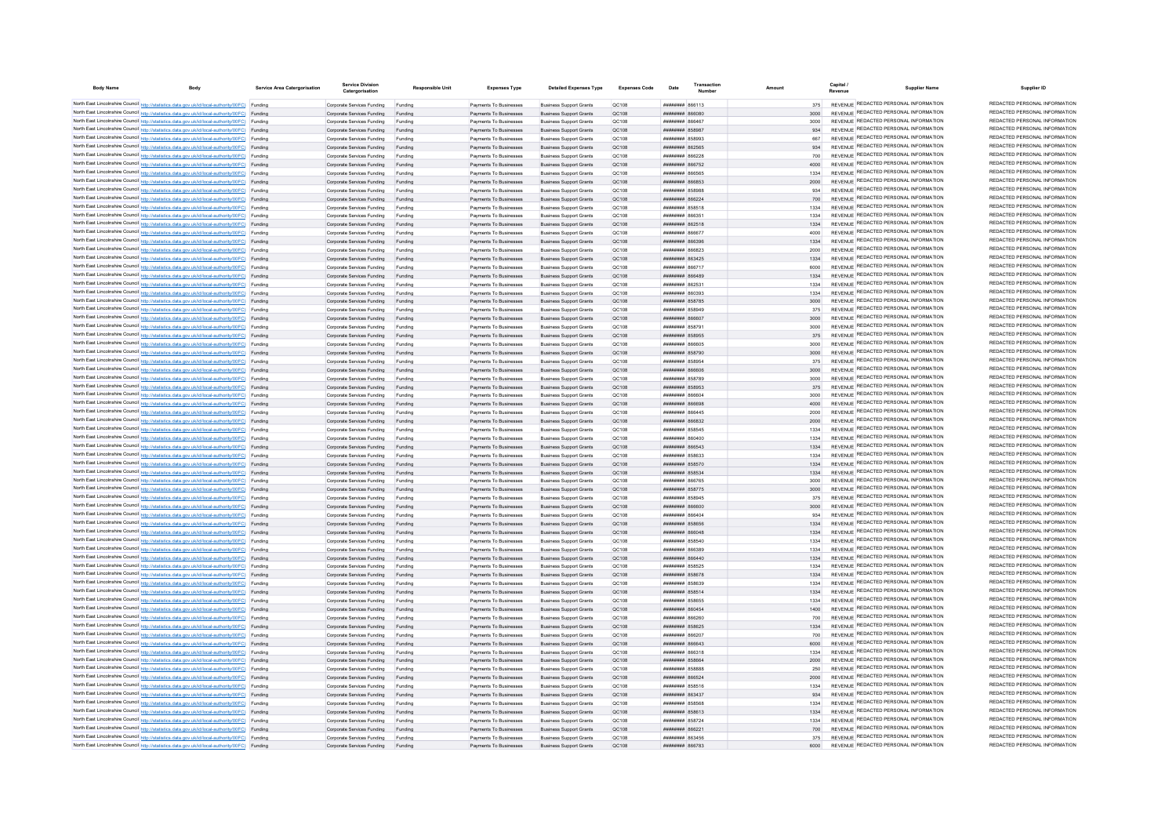| <b>Body Name</b> | Body                                                                                                                                                                                             | Service Area Catergorisation | <b>Service Division</b><br>Catergorisation                       | <b>Responsible Unit</b> | <b>Expenses Type</b>                             | <b>Detailed Expenses Type</b>                                    | <b>Expenses Code</b>  | Date                                            | Transaction |              | Capital<br><b>Supplier Name</b>                                                | Supplier ID                                                    |
|------------------|--------------------------------------------------------------------------------------------------------------------------------------------------------------------------------------------------|------------------------------|------------------------------------------------------------------|-------------------------|--------------------------------------------------|------------------------------------------------------------------|-----------------------|-------------------------------------------------|-------------|--------------|--------------------------------------------------------------------------------|----------------------------------------------------------------|
|                  | North East Lincolnshire Council http://statistics.data.gov.uk/id/local-authority/00FC) Funding                                                                                                   |                              | Comorate Services Funding                                        | Funding                 | Payments To Businesses                           | <b>Business Support Grants</b>                                   | OC108                 | EL1388 BERNHER                                  |             | 375          | REVENUE REDACTED PERSONAL INFORMATION                                          | REDACTED PERSONAL INFORMATION                                  |
|                  | North East Lincolnshire Council http://statistics.data.gov.uk/id/local-authority/00FC) Funding                                                                                                   |                              | Corporate Services Funding                                       | Funding                 | Payments To Businesses                           | <b>Business Support Grants</b>                                   | OC108                 | 080888 #######                                  |             |              | REVENUE REDACTED PERSONAL INFORMATION                                          | REDACTED PERSONAL INFORMATION                                  |
|                  | North East Lincolnshire Council http://statistics.data.gov.uk/id/local-authority/00FC) Funding                                                                                                   |                              | Corporate Services Funding                                       | Funding                 | Payments To Businesses                           | <b>Business Support Grants</b>                                   | OC108                 | 30538 BURNHUR                                   |             | 3000         | REVENUE REDACTED PERSONAL INFORMATION                                          | REDACTED PERSONAL INFORMATION                                  |
|                  | North East Lincolnshire Council http://statistics.data.gov.uk/id/local-authority/00FC) Funding                                                                                                   |                              | Corporate Services Funding                                       | Funding                 | Payments To Businesses                           | <b>Business Support Grants</b>                                   | QC108                 | ######## 858987                                 |             | 934          | REVENUE REDACTED PERSONAL INFORMATION                                          | REDACTED PERSONAL INFORMATION                                  |
|                  | North East Lincolnshire Council http://statistics.data.gov.uk/id/local-authority/00FC) Funding                                                                                                   |                              | Corporate Services Funding                                       | Funding                 | Payments To Businesses                           | <b>Business Support Grants</b>                                   | QC108                 | <b>FOORPR HHHHHHH</b>                           |             | 667          | REVENUE REDACTED PERSONAL INFORMATION                                          | REDACTED PERSONAL INFORMATION                                  |
|                  | North East Lincolnshire Council http://statistics.data.gov.uk/id/local-authority/00FC) Funding                                                                                                   |                              | Corporate Services Funding                                       | Funding                 | Payments To Businesses                           | <b>Business Support Grants</b>                                   | OC108                 | <b>HHHHHHH SA2585</b>                           |             | 034          | REVENUE REDACTED PERSONAL INFORMATION<br>REVENUE REDACTED PERSONAL INFORMATION | REDACTED PERSONAL INFORMATION<br>REDACTED PERSONAL INFORMATION |
|                  | North East Lincolnshire Council http://statistics.data.gov.uk/id/local-authority/00FC) Funding<br>North East Lincolnshire Council http://statistics.data.gov.uk/id/local-authority/00FC) Funding |                              | Corporate Services Funding                                       | Funding                 | Payments To Businesses                           | <b>Business Support Grants</b>                                   | OC108<br>OC108        | ппинини вборов<br><b>НИНИНИН 866752</b>         |             | 700<br>4000  | REVENUE REDACTED PERSONAL INFORMATION                                          | REDACTED PERSONAL INFORMATION                                  |
|                  | North East Lincolnshire Council http://statistics.data.gov.uk/id/local-authority/00FC) Funding                                                                                                   |                              | Corporate Services Funding Funding<br>Corporate Services Funding | Funding                 | Payments To Businesses<br>Payments To Businesses | <b>Business Support Grants</b><br><b>Business Support Grants</b> | OC108                 | ####### 866565                                  |             | 1334         | REVENUE REDACTED PERSONAL INFORMATION                                          | REDACTED PERSONAL INFORMATION                                  |
|                  | North East Lincolnshire Council http://statistics.data.gov.uk/id/local-authority/00FC) Funding                                                                                                   |                              | Corporate Services Funding Funding                               |                         | Payments To Businesses                           | <b>Business Support Grants</b>                                   | QC108                 | ####### 866853                                  |             | 2000         | REVENUE REDACTED PERSONAL INFORMATION                                          | REDACTED PERSONAL INFORMATION                                  |
|                  | North East Lincolnshire Council http://statistics.data.gov.uk/id/local-authority/00FC) Funding                                                                                                   |                              | Corporate Services Funding                                       | Funding                 | Payments To Businesses                           | <b>Business Support Grants</b>                                   | QC108                 | ######## 858988                                 |             | 934          | REVENUE REDACTED PERSONAL INFORMATION                                          | REDACTED PERSONAL INFORMATION                                  |
|                  | North East Lincolnshire Council http://statistics.data.gov.uk/id/local-authority/00FC) Funding                                                                                                   |                              | Corporate Services Funding                                       | Funding                 | Payments To Businesses                           | <b>Business Support Grants</b>                                   | OC108                 | <b>ПЕПЕННИИ 866224</b>                          |             | 700          | REVENUE REDACTED PERSONAL INFORMATION                                          | REDACTED PERSONAL INFORMATION                                  |
|                  | North East Lincolnshire Council http://statistics.data.gov.uk/id/local-authority/00FC) Funding                                                                                                   |                              | Corporate Services Funding                                       | Funding                 | Payments To Businesses                           | <b>Business Sunnort Grants</b>                                   | OC108                 | <b><i>BRENHHHH</i></b> 858518                   |             | 1334         | REVENUE REDACTED PERSONAL INFORMATION                                          | REDACTED PERSONAL INFORMATION                                  |
|                  | North East Lincolnshire Council http://statistics.data.gov.uk/id/local-authority/00FC) Funding                                                                                                   |                              | Corporate Services Funding                                       | Funding                 | Payments To Businesses                           | <b>Business Support Grants</b>                                   | OC108                 | 22338 BUBBURG                                   |             | 1334         | REVENUE REDACTED PERSONAL INFORMATION                                          | REDACTED PERSONAL INFORMATION                                  |
|                  | North East Lincolnshire Council http://statistics.data.gov.uk/id/local-authority/00FC) Funding                                                                                                   |                              | Corporate Services Funding                                       | Funding                 | Payments To Businesses                           | <b>Business Support Grants</b>                                   | QC108                 | ######## 862518                                 |             | 1334         | <b>REVENUE REDACTED PERSONAL INFORMATION</b>                                   | REDACTED PERSONAL INFORMATION                                  |
|                  | North East Lincolnshire Council http://statistics.data.gov.uk/id/local-authority/00FC) Funding                                                                                                   |                              | Corporate Services Funding                                       |                         | Payments To Businesses                           | <b>Business Support Grants</b>                                   | QC108                 | Taaaa <b><i>uuuuuu</i></b>                      |             | 4000         | REVENUE REDACTED PERSONAL INFORMATION                                          | REDACTED PERSONAL INFORMATION                                  |
|                  | North East Lincolnshire Council http://statistics.data.gov.uk/id/local-authority/00FC) Funding                                                                                                   |                              | Corporate Services Funding                                       | Funding                 | Payments To Businesses                           | <b>Business Support Grants</b>                                   | QC108                 | <b>BREASA MARBARAGE</b>                         |             | 1334         | REVENUE REDACTED PERSONAL INFORMATION                                          | REDACTED PERSONAL INFORMATION                                  |
|                  | North East Lincolnshire Council http://statistics.data.gov.uk/id/local-authority/00FC) Funding                                                                                                   |                              | Corporate Services Funding                                       | Funding                 | Payments To Businesses                           | <b>Business Support Grants</b>                                   | OC108                 | ппинини 866823                                  |             | 2000         | REVENUE REDACTED PERSONAL INFORMATION                                          | REDACTED PERSONAL INFORMATION<br>REDACTED PERSONAL INFORMATION |
|                  | North East Lincolnshire Council http://statistics.data.gov.uk/id/local-authority/00FC) Funding                                                                                                   |                              | Corporate Services Funding                                       | Funding                 | Payments To Businesses                           | <b>Business Sunnort Grants</b>                                   | OC108                 | <b>пппннннн</b> 863425                          |             | 1334         | REVENUE REDACTED PERSONAL INFORMATION<br>REVENUE REDACTED PERSONAL INFORMATION | REDACTED PERSONAL INFORMATION                                  |
|                  | North East Lincolnshire Council http://statistics.data.gov.uk/id/local-authority/00FC) Funding                                                                                                   |                              | Corporate Services Funding<br>Corporate Services Funding         | Funding                 | Payments To Businesses<br>Payments To Businesses | <b>Business Support Grants</b><br><b>Business Support Grants</b> | OC108<br>QC108        | плинини 866717<br>######## 866489               |             | 6000         | REVENUE REDACTED PERSONAL INFORMATION                                          | REDACTED PERSONAL INFORMATION                                  |
|                  | North East Lincolnshire Council http://statistics.data.gov.uk/id/local-authority/00FC) Funding<br>North East Lincolnshire Council http://statistics.data.gov.uk/id/local-authority/00FC) Funding |                              | Corporate Services Funding                                       | Funding<br>Funding      | Payments To Businesses                           | <b>Business Support Grants</b>                                   | QC108                 | ######## 86253                                  |             | 1334         | REVENUE REDACTED PERSONAL INFORMATION                                          | REDACTED PERSONAL INFORMATION                                  |
|                  | North East Lincolnshire Council http://statistics.data.gov.uk/id/local-authority/00FC) Funding                                                                                                   |                              | Corporate Services Funding                                       | Funding                 | Payments To Businesses                           | <b>Business Support Grants</b>                                   | QC108                 | ######## 860393                                 |             | 1334         | REVENUE REDACTED PERSONAL INFORMATION                                          | REDACTED PERSONAL INFORMATION                                  |
|                  | North East Lincolnshire Council http://statistics.data.gov.uk/id/local-authority/00FC) Funding                                                                                                   |                              | Corporate Services Funding                                       | Funding                 | Payments To Businesses                           | <b>Business Support Grants</b>                                   | OC108                 | ######## 858785                                 |             | 3000         | REVENUE REDACTED PERSONAL INFORMATION                                          | REDACTED PERSONAL INFORMATION                                  |
|                  | North East Lincolnshire Council http://statistics.data.gov.uk/id/local-authority/00FC) Funding                                                                                                   |                              | Corporate Services Funding                                       | Funding                 | Payments To Businesses                           | <b>Business Support Grants</b>                                   | OC108                 | ######## 858949                                 |             | 375          | REVENUE REDACTED PERSONAL INFORMATION                                          | REDACTED PERSONAL INFORMATION                                  |
|                  | North East Lincolnshire Council http://statistics.data.gov.uk/id/local-authority/00FC) Funding                                                                                                   |                              | Corporate Services Funding                                       | Funding                 | Payments To Businesses                           | <b>Business Support Grants</b>                                   | QC108                 | ######## 866607                                 |             | 3000         | REVENUE REDACTED PERSONAL INFORMATION                                          | REDACTED PERSONAL INFORMATION                                  |
|                  | North East Lincolnshire Council http://statistics.data.gov.uk/id/local-authority/00FC) Funding                                                                                                   |                              | Corporate Services Funding                                       | Funding                 | Payments To Businesse                            | <b>Business Support Grants</b>                                   | QC108                 | ####### 85879                                   |             | 3000         | REVENUE REDACTED PERSONAL INFORMATION                                          | REDACTED PERSONAL INFORMATION                                  |
|                  | North East Lincolnshire Council http://statistics.data.gov.uk/id/local-authority/00FC) Funding                                                                                                   |                              | Corporate Services Funding                                       | Funding                 | Payments To Businesses                           | <b>Business Support Grants</b>                                   | QC108                 | ######## 858955                                 |             | 375          | REVENUE REDACTED PERSONAL INFORMATION                                          | REDACTED PERSONAL INFORMATION                                  |
|                  | North East Lincolnshire Council http://statistics.data.gov.uk/id/local-authority/00FC) Funding                                                                                                   |                              | Corporate Services Funding                                       | Funding                 | Payments To Businesses                           | <b>Business Support Grants</b>                                   | QC108                 | <b>HRENHHHH</b> RGGGOS                          |             | 3000         | REVENUE REDACTED PERSONAL INFORMATION                                          | REDACTED PERSONAL INFORMATION                                  |
|                  | North East Lincolnshire Council http://statistics.data.gov.uk/id/local-authority/00FC) Funding                                                                                                   |                              | Corporate Services Funding                                       | Funding                 | Payments To Businesses                           | <b>Business Support Grants</b>                                   | OC108                 | ######## 858790                                 |             | 3000         | REVENUE REDACTED PERSONAL INFORMATION                                          | REDACTED PERSONAL INFORMATION                                  |
|                  | North East Lincolnshire Council http://statistics.data.gov.uk/id/local-authority/00FC) Funding                                                                                                   |                              | Corporate Services Funding                                       | Funding                 | Payments To Businesses                           | <b>Business Support Grants</b>                                   | OC108                 | ######## 858954                                 |             | 375          | REVENUE REDACTED PERSONAL INFORMATION                                          | REDACTED PERSONAL INFORMATION                                  |
|                  | North East Lincolnshire Council http://statistics.data.gov.uk/id/local-authority/00FC) Funding                                                                                                   |                              | Corporate Services Funding Funding                               |                         | Payments To Businesses                           | <b>Business Support Grants</b>                                   | QC108                 | ######## 866606                                 |             | 3000         | REVENUE REDACTED PERSONAL INFORMATION                                          | REDACTED PERSONAL INFORMATION<br>REDACTED PERSONAL INFORMATION |
|                  | North East Lincolnshire Council http://statistics.data.gov.uk/id/local-authority/00FC) Funding                                                                                                   |                              | Corporate Services Funding                                       | Funding                 | Payments To Businesses                           | <b>Business Support Grants</b>                                   | QC108                 | <b>####### 858789</b>                           |             | 3000         | REVENUE REDACTED PERSONAL INFORMATION<br>REVENUE REDACTED PERSONAL INFORMATION | REDACTED PERSONAL INFORMATION                                  |
|                  | North East Lincolnshire Council http://statistics.data.gov.uk/id/local-authority/00FC) Funding                                                                                                   |                              | Corporate Services Funding Funding                               |                         | Payments To Businesses                           | <b>Business Support Grants</b>                                   | QC108                 | ######## 858953                                 |             | 375          | REVENUE REDACTED PERSONAL INFORMATION                                          | REDACTED PERSONAL INFORMATION                                  |
|                  | North East Lincolnshire Council http://statistics.data.gov.uk/id/local-authority/00FC) Funding<br>North East Lincolnshire Council http://statistics.data.gov.uk/id/local-authority/00FC) Funding |                              | Corporate Services Funding<br>Corporate Services Funding         | Funding<br>Funding      | Payments To Businesses<br>Payments To Businesses | <b>Business Support Grants</b><br><b>Business Support Grants</b> | QC108<br>OC108        | ######## 866604<br>ROGGAR MUNICIPAL             |             | 3000<br>4000 | REVENUE REDACTED PERSONAL INFORMATION                                          | REDACTED PERSONAL INFORMATION                                  |
|                  | North East Lincolnshire Council http://statistics.data.gov.uk/id/local-authority/00FC) Funding                                                                                                   |                              | Corporate Services Funding                                       | Funding                 | Payments To Businesses                           | <b>Business Support Grants</b>                                   | OC108                 | <b>пипинин</b> 866445                           |             | 2000         | REVENUE REDACTED PERSONAL INFORMATION                                          | REDACTED PERSONAL INFORMATION                                  |
|                  | North East Lincolnshire Council http://statistics.data.gov.uk/id/local-authority/00FC) Funding                                                                                                   |                              | Corporate Services Funding                                       | Funding                 | Payments To Businesses                           | <b>Business Support Grants</b>                                   | OC108                 | ######## 866832                                 |             | 2000         | REVENUE REDACTED PERSONAL INFORMATION                                          | REDACTED PERSONAL INFORMATION                                  |
|                  | North East Lincolnshire Council http://statistics.data.gov.uk/id/local-authority/00FC) Funding                                                                                                   |                              | Corporate Services Funding                                       | Funding                 | Payments To Businesses                           | <b>Business Support Grants</b>                                   | QC108                 | ######## 858545                                 |             | 1334         | REVENUE REDACTED PERSONAL INFORMATION                                          | REDACTED PERSONAL INFORMATION                                  |
|                  | North East Lincolnshire Council http://statistics.data.gov.uk/id/local-authority/00FC) Funding                                                                                                   |                              | Corporate Services Funding                                       | Funding                 | Payments To Businesses                           | <b>Business Support Grants</b>                                   | QC108                 | ######## 860400                                 |             | 1334         | REVENUE REDACTED PERSONAL INFORMATION                                          | REDACTED PERSONAL INFORMATION                                  |
|                  | North East Lincolnshire Council http://statistics.data.gov.uk/id/local-authority/00FC) Funding                                                                                                   |                              | Corporate Services Funding                                       |                         | Payments To Businesses                           | <b>Business Support Grants</b>                                   | QC108                 | ######## 866543                                 |             | 1334         | REVENUE REDACTED PERSONAL INFORMATION                                          | REDACTED PERSONAL INFORMATION                                  |
|                  | North East Lincolnshire Council http://statistics.data.gov.uk/id/local-authority/00FC) Funding                                                                                                   |                              | Corporate Services Funding                                       | Funding                 | Payments To Businesses                           | <b>Business Support Grants</b>                                   | OC108                 | <b>########</b> 858633                          |             | 1334         | REVENUE REDACTED PERSONAL INFORMATION                                          | REDACTED PERSONAL INFORMATION                                  |
|                  | North East Lincolnshire Council http://statistics.data.gov.uk/id/local-authority/00FC) Funding                                                                                                   |                              | Corporate Services Funding                                       | Funding                 | Payments To Businesses                           | <b>Business Support Grants</b>                                   | OC108                 | ######## 858570                                 |             | 1334         | REVENUE REDACTED PERSONAL INFORMATION                                          | REDACTED PERSONAL INFORMATION                                  |
|                  | North East Lincolnshire Council http://statistics.data.gov.uk/id/local-authority/00FC) Funding                                                                                                   |                              | Corporate Services Funding                                       | Funding                 | Payments To Businesses                           | <b>Business Support Grants</b>                                   | <b>QC108</b>          | ######## 858534                                 |             | 1334         | REVENUE REDACTED PERSONAL INFORMATION                                          | REDACTED PERSONAL INFORMATION                                  |
|                  | North East Lincolnshire Council http://statistics.data.gov.uk/id/local-authority/00FC) Funding                                                                                                   |                              | Corporate Services Funding                                       | Funding                 | Payments To Businesses                           | <b>Business Support Grants</b>                                   | QC108                 | ######## 866765                                 |             | 3000         | REVENUE REDACTED PERSONAL INFORMATION<br>REVENUE REDACTED PERSONAL INFORMATION | REDACTED PERSONAL INFORMATION<br>REDACTED PERSONAL INFORMATION |
|                  | North East Lincolnshire Council http://statistics.data.gov.uk/id/local-authority/00FC) Funding                                                                                                   |                              | Corporate Services Funding                                       | Funding                 | Payments To Businesses                           | <b>Business Support Grants</b>                                   | QC108                 | ######## 858775                                 |             | 3000         | REVENUE REDACTED PERSONAL INFORMATION                                          | REDACTED PERSONAL INFORMATION                                  |
|                  | North East Lincolnshire Council http://statistics.data.gov.uk/id/local-authority/00FC) Funding<br>North East Lincolnshire Council http://statistics.data.gov.uk/id/local-authority/00FC) Funding |                              | Corporate Services Funding<br>Corporate Services Funding         | Funding<br>Funding      | Payments To Businesses<br>Payments To Businesses | <b>Business Support Grants</b><br><b>Business Support Grants</b> | QC108<br><b>QC108</b> | ######## 858945<br>noaaaa <b>Huunnin</b>        |             | 375<br>3000  | REVENUE REDACTED PERSONAL INFORMATION                                          | REDACTED PERSONAL INFORMATION                                  |
|                  | North East Lincolnshire Council http://statistics.data.gov.uk/id/local-authority/00FC) Funding                                                                                                   |                              | Corporate Services Funding                                       | Funding                 | Payments To Businesses                           | <b>Business Support Grants</b>                                   | OC108                 | ######## 866404                                 |             | 934          | REVENUE REDACTED PERSONAL INFORMATION                                          | REDACTED PERSONAL INFORMATION                                  |
|                  | North East Lincolnshire Council http://statistics.data.gov.uk/id/local-authority/00FC) Funding                                                                                                   |                              | Corporate Services Funding                                       | Funding                 | Payments To Businesses                           | <b>Business Support Grants</b>                                   | QC108                 | ######## 858656                                 |             | 1334         | REVENUE REDACTED PERSONAL INFORMATION                                          | REDACTED PERSONAL INFORMATION                                  |
|                  | North East Lincolnshire Council http://statistics.data.gov.uk/id/local-authority/00FC) Funding                                                                                                   |                              | Corporate Services Funding                                       | Funding                 | Payments To Businesses                           | <b>Business Support Grants</b>                                   | QC108                 | ######## 866048                                 |             | 1334         | REVENUE REDACTED PERSONAL INFORMATION                                          | REDACTED PERSONAL INFORMATION                                  |
|                  | North East Lincolnshire Council http://statistics.data.gov.uk/id/local-authority/00FC) Funding                                                                                                   |                              | Corporate Services Funding                                       | Funding                 | Payments To Businesses                           | <b>Business Support Grants</b>                                   | QC108                 | ####### 858540                                  |             | 1334         | REVENUE REDACTED PERSONAL INFORMATION                                          | REDACTED PERSONAL INFORMATION                                  |
|                  | North East Lincolnshire Council http://statistics.data.gov.uk/id/local-authority/00FC) Funding                                                                                                   |                              | Corporate Services Funding                                       | Funding                 | Payments To Businesses                           | <b>Business Support Grants</b>                                   | QC108                 | ####### 866389                                  |             | 1334         | REVENUE REDACTED PERSONAL INFORMATION                                          | REDACTED PERSONAL INFORMATION                                  |
|                  | North East Lincolnshire Council http://statistics.data.gov.uk/id/local-authority/00FC) Funding                                                                                                   |                              | Corporate Services Funding                                       | Funding                 | Payments To Businesses                           | <b>Business Support Grants</b>                                   | QC108                 | <b>HRRHHHHH SGG440</b>                          |             | 1334         | REVENUE REDACTED PERSONAL INFORMATION                                          | REDACTED PERSONAL INFORMATION                                  |
|                  | North East Lincolnshire Council http://statistics.data.gov.uk/id/local-authority/00FC) Funding                                                                                                   |                              | Corporate Services Funding                                       | Funding                 | Payments To Businesses                           | <b>Business Support Grants</b>                                   | QC108                 | ######## 858525                                 |             | 1334         | REVENUE REDACTED PERSONAL INFORMATION                                          | REDACTED PERSONAL INFORMATION                                  |
|                  | North East Lincolnshire Council http://statistics.data.gov.uk/id/local-authority/00FC) Funding                                                                                                   |                              | Corporate Services Funding                                       | Funding                 | Payments To Businesses                           | <b>Business Support Grants</b>                                   | QC108                 | ######## 858678                                 |             | 1334         | REVENUE REDACTED PERSONAL INFORMATION                                          | REDACTED PERSONAL INFORMATION                                  |
|                  | North East Lincolnshire Council http://statistics.data.gov.uk/id/local-authority/00FC) Funding                                                                                                   |                              | Corporate Services Funding                                       | Funding                 | Payments To Businesses                           | <b>Business Support Grants</b>                                   | QC108                 | ######## 858639                                 |             | 1334         | REVENUE REDACTED PERSONAL INFORMATION                                          | REDACTED PERSONAL INFORMATION<br>REDACTED PERSONAL INFORMATION |
|                  | North East Lincolnshire Council http://statistics.data.gov.uk/id/local-authority/00FC) Funding                                                                                                   |                              | Corporate Services Funding Funding                               |                         | Payments To Businesses                           | <b>Business Support Grants</b>                                   | OC108                 | ######## 858514                                 |             | 1334         | REVENUE REDACTED PERSONAL INFORMATION<br>REVENUE REDACTED PERSONAL INFORMATION | REDACTED PERSONAL INFORMATION                                  |
|                  | North East Lincolnshire Council http://statistics.data.gov.uk/id/local-authority/00FC) Funding                                                                                                   |                              | Corporate Services Funding Funding                               |                         | Payments To Businesses                           | <b>Business Support Grants</b>                                   | QC108<br>QC108        | ######## 858655<br><b>НИНИНИН</b> 860454        |             | 1334<br>1400 | REVENUE REDACTED PERSONAL INFORMATION                                          | REDACTED PERSONAL INFORMATION                                  |
|                  | North East Lincolnshire Council http://statistics.data.gov.uk/id/local-authority/00FC) Funding<br>North East Lincolnshire Council http://statistics.data.gov.uk/id/local-authority/00FC) Funding |                              | Corporate Services Funding                                       | Funding<br>Funding      | Payments To Businesses<br>Payments To Businesses | <b>Business Support Grants</b><br><b>Business Support Grants</b> | OC108                 | 18S88 <del>WWWWWW</del>                         |             | 700          | REVENUE REDACTED PERSONAL INFORMATION                                          | REDACTED PERSONAL INFORMATION                                  |
|                  | North East Lincolnshire Council http://statistics.data.gov.uk/id/local-authority/00FC) Funding                                                                                                   |                              | Corporate Services Funding<br>Comorate Services Funding          | Funding                 | Payments To Businesses                           | <b>Business Support Grants</b>                                   | OC108                 | ######## 858625                                 |             | 1334         | REVENUE REDACTED PERSONAL INFORMATION                                          | REDACTED PERSONAL INFORMATION                                  |
|                  | North East Lincolnshire Council http://statistics.data.gov.uk/id/local-authority/00FC) Funding                                                                                                   |                              | Corporate Services Funding                                       | Funding                 | Payments To Businesses                           | <b>Business Support Grants</b>                                   | OC108                 | 0S88 HHHHHH                                     |             | 700          | REVENUE REDACTED PERSONAL INFORMATION                                          | REDACTED PERSONAL INFORMATION                                  |
|                  | North East Lincolnshire Council http://statistics.data.gov.uk/id/local-authority/00FC) Funding                                                                                                   |                              | Corporate Services Funding                                       |                         | Payments To Businesses                           | <b>Business Support Grants</b>                                   | OC108                 | пининин ваза                                    |             | 6000         | REVENUE REDACTED PERSONAL INFORMATION                                          | REDACTED PERSONAL INFORMATION                                  |
|                  | North East Lincolnshire Council http://statistics.data.gov.uk/id/local-authority/00FC) Funding                                                                                                   |                              | Corporate Services Funding                                       |                         | Payments To Businesses                           | <b>Business Support Grants</b>                                   | QC108                 | <b>иллинны</b> ввезая                           |             | 1334         | REVENUE REDACTED PERSONAL INFORMATION                                          | REDACTED PERSONAL INFORMATION                                  |
|                  | North East Lincolnshire Council http://statistics.data.gov.uk/id/local-authority/00FC) Funding                                                                                                   |                              | Corporate Services Funding                                       | Funding                 | Payments To Businesses                           | <b>Business Support Grants</b>                                   | OC108                 | <b>HHHHHHHH</b> R58664                          |             | 2000         | REVENUE REDACTED PERSONAL INFORMATION                                          | REDACTED PERSONAL INFORMATION                                  |
|                  | North East Lincolnshire Council http://statistics.data.gov.uk/id/local-authority/00FC) Funding                                                                                                   |                              | Corporate Services Funding                                       | Funding                 | Payments To Businesses                           | <b>Business Support Grants</b>                                   | OC108                 | <b>HUHHHHH RSARRR</b>                           |             | 250          | REVENUE REDACTED PERSONAL INFORMATION                                          | REDACTED PERSONAL INFORMATION                                  |
|                  | North East Lincolnshire Council http://statistics.data.gov.uk/id/local-authority/00FC) Funding                                                                                                   |                              | Corporate Services Funding                                       | Funding                 | Payments To Businesses                           | <b>Business Sunnort Grants</b>                                   | OC108                 | <b>пппппппп</b> 866524                          |             | 2000         | REVENUE REDACTED PERSONAL INFORMATION                                          | REDACTED PERSONAL INFORMATION                                  |
|                  | North East Lincolnshire Council http://statistics.data.gov.uk/id/local-authority/00FC) Funding                                                                                                   |                              | Corporate Services Funding                                       | Funding                 | Payments To Businesses                           | <b>Business Support Grants</b>                                   | OC108                 | ######## 858516                                 |             | 1334         | REVENUE REDACTED PERSONAL INFORMATION                                          | REDACTED PERSONAL INFORMATION                                  |
|                  | North East Lincolnshire Council http://statistics.data.gov.uk/id/local-authority/00FC) Funding                                                                                                   |                              | Corporate Services Funding                                       | Funding                 | Payments To Businesses                           | <b>Business Support Grants</b>                                   | QC108                 | ######## 863437                                 |             | 934          | REVENUE REDACTED PERSONAL INFORMATION                                          | REDACTED PERSONAL INFORMATION                                  |
|                  | North East Lincolnshire Council http://statistics.data.gov.uk/id/local-authority/00FC) Funding                                                                                                   |                              | Corporate Services Funding                                       | Funding                 | Payments To Businesses                           | <b>Business Support Grants</b>                                   | QC108                 | ######## 858561                                 |             | 1334         | REVENUE REDACTED PERSONAL INFORMATION                                          | REDACTED PERSONAL INFORMATION                                  |
|                  | North East Lincolnshire Council http://statistics.data.gov.uk/id/local-authority/00FC) Funding                                                                                                   |                              | Corporate Services Funding                                       | Funding                 | Payments To Businesses                           | <b>Business Support Grants</b>                                   | QC108                 | ######## 858613                                 |             | 1334         | REVENUE REDACTED PERSONAL INFORMATION<br>REVENUE REDACTED PERSONAL INFORMATION | REDACTED PERSONAL INFORMATION<br>REDACTED PERSONAL INFORMATION |
|                  | North East Lincolnshire Council http://statistics.data.gov.uk/id/local-authority/00FC) Funding                                                                                                   |                              | Corporate Services Funding                                       | Funding                 | Payments To Businesses                           | <b>Business Support Grants</b>                                   | OC108                 | <b><i>BRENHHHH 858724</i></b>                   |             | 1334         | REVENUE REDACTED PERSONAL INFORMATION                                          | REDACTED PERSONAL INFORMATION                                  |
|                  | North East Lincolnshire Council http://statistics.data.gov.uk/id/local-authority/00FC) Funding<br>North East Lincolnshire Council http://statistics.data.gov.uk/id/local-authority/00FC) Funding |                              | Corporate Services Funding<br>Corporate Services Funding         | Funding<br>Funding      | Payments To Businesses<br>Payments To Businesses | <b>Business Support Grants</b><br><b>Business Support Grants</b> | OC108<br>OC108        | <b>ППИНИНИ 866221</b><br><b>пппппппп</b> 863456 |             | 700<br>375   | REVENUE REDACTED PERSONAL INFORMATION                                          | REDACTED PERSONAL INFORMATION                                  |
|                  | North East Lincolnshire Council http://statistics.data.gov.uk/id/local-authority/00FC) Funding                                                                                                   |                              | Corporate Services Funding                                       | Funding                 | Payments To Businesses                           | <b>Business Support Grants</b>                                   | OC108                 | сятеля <b>иннини</b>                            |             | 6000         | REVENUE REDACTED PERSONAL INFORMATION                                          | REDACTED PERSONAL INFORMATION                                  |
|                  |                                                                                                                                                                                                  |                              |                                                                  |                         |                                                  |                                                                  |                       |                                                 |             |              |                                                                                |                                                                |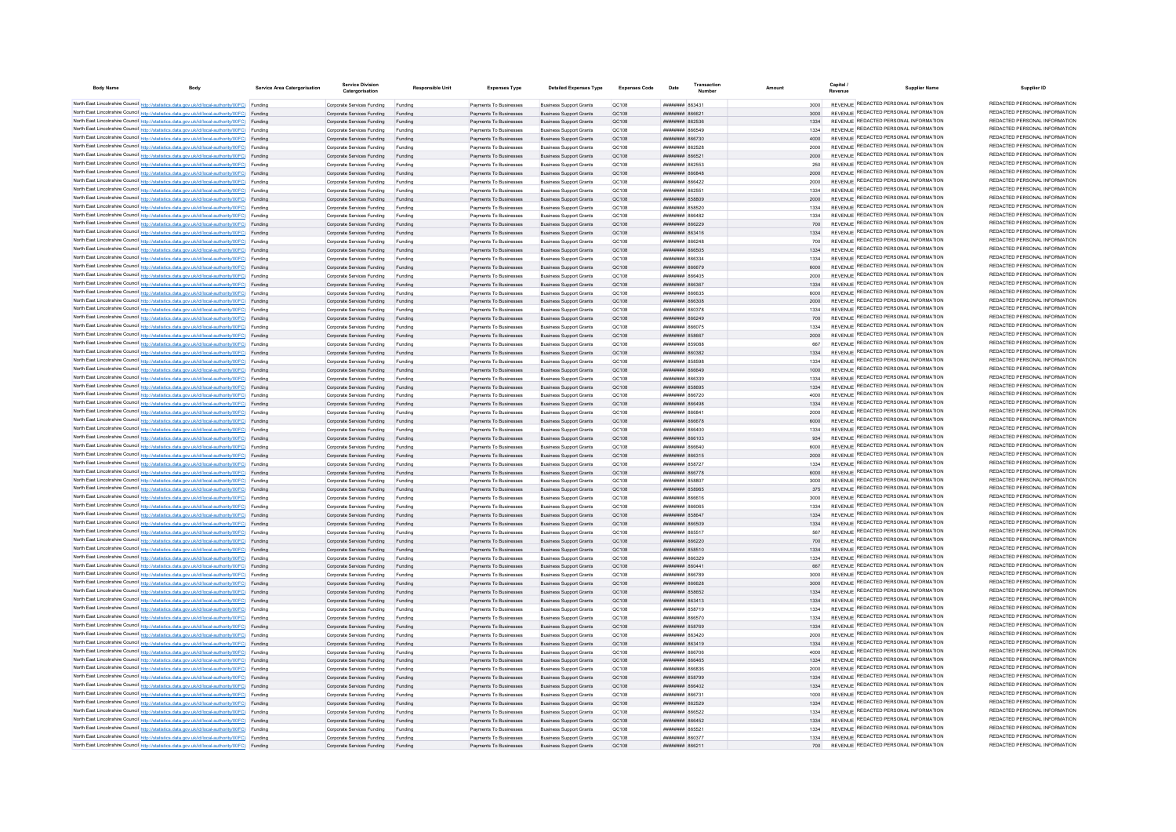| <b>Body Name</b> | <b>Body</b>                                                                                                                                                                                      | Service Area Catergorisatio | <b>Service Division</b><br>Catergorisation                       | <b>Responsible Unit</b> | <b>Expenses Type</b>                             | <b>Detailed Expenses Type</b>                                    | <b>Expenses Code</b>  | Date                                            | Transaction |              | Capital /<br><b>Supplier Name</b><br>Revenue                                   | Supplier ID                                                    |
|------------------|--------------------------------------------------------------------------------------------------------------------------------------------------------------------------------------------------|-----------------------------|------------------------------------------------------------------|-------------------------|--------------------------------------------------|------------------------------------------------------------------|-----------------------|-------------------------------------------------|-------------|--------------|--------------------------------------------------------------------------------|----------------------------------------------------------------|
|                  | North East Lincolnshire Council http://statistics.data.gov.uk/id/local-authority/00FC) Funding                                                                                                   |                             | Comorate Services Funding                                        | Funding                 | Payments To Businesses                           | <b>Business Support Grants</b>                                   | OC108                 | <b>CESSA MERRIAN</b>                            |             | 3000         | REVENUE REDACTED PERSONAL INFORMATION                                          | REDACTED PERSONAL INFORMATION                                  |
|                  | North East Lincolnshire Council http://statistics.data.gov.uk/id/local-authority/00FC) Funding                                                                                                   |                             | Corporate Services Funding                                       | Funding                 | Payments To Businesses                           | <b>Business Support Grants</b>                                   | OC108                 |                                                 |             | 3000         | REVENUE REDACTED PERSONAL INFORMATION                                          | REDACTED PERSONAL INFORMATION                                  |
|                  | North East Lincolnshire Council http://statistics.data.gov.uk/id/local-authority/00FC) Funding                                                                                                   |                             | Corporate Services Funding                                       | Funding                 | Payments To Businesses                           | <b>Business Support Grants</b>                                   | OC108                 | <b>ПЕДЕЛЯ НЕВИВЕЛ</b>                           |             | 1334         | REVENUE REDACTED PERSONAL INFORMATION                                          | REDACTED PERSONAL INFORMATION                                  |
|                  | North East Lincolnshire Council http://statistics.data.gov.uk/id/local-authority/00FC) Funding                                                                                                   |                             | Corporate Services Funding                                       | Funding                 | Payments To Businesses                           | <b>Business Support Grants</b>                                   | QC108                 | <b>иннинни вбебле</b>                           |             | 1334         | REVENUE REDACTED PERSONAL INFORMATION                                          | REDACTED PERSONAL INFORMATION                                  |
|                  | North East Lincolnshire Council http://statistics.data.gov.uk/id/local-authority/00FC) Funding                                                                                                   |                             | Corporate Services Funding                                       | Funding                 | Payments To Businesses                           | <b>Business Support Grants</b>                                   | QC108                 | петивини в <b>канин</b>                         |             | 4000         | REVENUE REDACTED PERSONAL INFORMATION                                          | REDACTED PERSONAL INFORMATION                                  |
|                  | North East Lincolnshire Council http://statistics.data.gov.uk/id/local-authority/00FC) Funding                                                                                                   |                             | Corporate Services Funding                                       | Funding                 | Payments To Businesses                           | <b>Business Support Grants</b>                                   | QC108                 | ######## 862528                                 |             | 2000         | REVENUE REDACTED PERSONAL INFORMATION<br>REVENUE REDACTED PERSONAL INFORMATION | REDACTED PERSONAL INFORMATION<br>REDACTED PERSONAL INFORMATION |
|                  | North East Lincolnshire Council http://statistics.data.gov.uk/id/local-authority/00FC) Funding<br>North East Lincolnshire Council http://statistics.data.gov.uk/id/local-authority/00FC) Funding |                             | Corporate Services Funding                                       | Funding                 | Payments To Businesses<br>Payments To Businesses | <b>Business Sunnort Grants</b><br><b>Business Support Grants</b> | OC:108<br>OC108       | ######## 866521<br><b>пппппппп</b> 862553       |             | 2000<br>250  | REVENUE REDACTED PERSONAL INFORMATION                                          | REDACTED PERSONAL INFORMATION                                  |
|                  | North East Lincolnshire Council http://statistics.data.gov.uk/id/local-authority/00FC) Funding                                                                                                   |                             | Corporate Services Funding<br>Corporate Services Funding Funding | Funding                 | Payments To Businesses                           | <b>Business Support Grants</b>                                   | OC108                 | пининни весела                                  |             | 2000         | REVENUE REDACTED PERSONAL INFORMATION                                          | REDACTED PERSONAL INFORMATION                                  |
|                  | North East Lincolnshire Council http://statistics.data.gov.uk/id/local-authority/00FC) Funding                                                                                                   |                             | Corporate Services Funding Funding                               |                         | Payments To Businesses                           | <b>Business Support Grants</b>                                   | QC108                 | ####### 866422                                  |             |              | REVENUE REDACTED PERSONAL INFORMATION                                          | REDACTED PERSONAL INFORMATION                                  |
|                  | North East Lincolnshire Council http://statistics.data.gov.uk/id/local-authority/00FC) Funding                                                                                                   |                             | Corporate Services Funding                                       | Funding                 | Payments To Businesses                           | <b>Business Support Grants</b>                                   | QC108                 | <b>####### 862551</b>                           |             | 1334         | REVENUE REDACTED PERSONAL INFORMATION                                          | REDACTED PERSONAL INFORMATION                                  |
|                  | North East Lincolnshire Council http://statistics.data.gov.uk/id/local-authority/00FC) Funding                                                                                                   |                             | Corporate Services Funding                                       | Funding                 | Payments To Businesses                           | <b>Business Support Grants</b>                                   | OC108                 | ######## 858809                                 |             | 2000         | REVENUE REDACTED PERSONAL INFORMATION                                          | REDACTED PERSONAL INFORMATION                                  |
|                  | North East Lincolnshire Council http://statistics.data.gov.uk/id/local-authority/00FC) Funding                                                                                                   |                             | Corporate Services Funding                                       | Funding                 | Payments To Businesses                           | <b>Business Support Grants</b>                                   | OC108                 | ######## 858520                                 |             | 1334         | REVENUE REDACTED PERSONAL INFORMATION                                          | REDACTED PERSONAL INFORMATION                                  |
|                  | North East Lincolnshire Council http://statistics.data.gov.uk/id/local-authority/00FC) Funding                                                                                                   |                             | Corporate Services Funding                                       | Funding                 | Payments To Businesses                           | <b>Business Support Grants</b>                                   | OC108                 | сяьзая <del>нимини</del>                        |             | 1334         | REVENUE REDACTED PERSONAL INFORMATION                                          | REDACTED PERSONAL INFORMATION                                  |
|                  | North East Lincolnshire Council http://statistics.data.gov.uk/id/local-authority/00FC) Funding                                                                                                   |                             | Corporate Services Funding                                       | Funding                 | Payments To Businesses                           | <b>Business Support Grants</b>                                   | QC108                 | ######## 866229                                 |             | 700          | REVENUE REDACTED PERSONAL INFORMATION                                          | REDACTED PERSONAL INFORMATION                                  |
|                  | North East Lincolnshire Council http://statistics.data.gov.uk/id/local-authority/00FC) Funding                                                                                                   |                             | Corporate Services Funding                                       | Funding                 | Payments To Businesses                           | <b>Business Support Grants</b>                                   | <b>QC108</b>          | ######## 863416                                 |             | 1334         | REVENUE REDACTED PERSONAL INFORMATION                                          | REDACTED PERSONAL INFORMATION                                  |
|                  | North East Lincolnshire Council http://statistics.data.gov.uk/id/local-authority/00FC) Funding                                                                                                   |                             | Corporate Services Funding                                       |                         | Payments To Businesses                           | <b>Business Support Grants</b>                                   | QC108                 | 86C888 HHHHHH                                   |             | 700          | REVENUE REDACTED PERSONAL INFORMATION<br>REVENUE REDACTED PERSONAL INFORMATION | REDACTED PERSONAL INFORMATION<br>REDACTED PERSONAL INFORMATION |
|                  | North East Lincolnshire Council http://statistics.data.gov.uk/id/local-authority/00FC) Funding                                                                                                   |                             | Corporate Services Funding                                       | Funding                 | Payments To Businesses                           | <b>Business Support Grants</b>                                   | OC108                 | <b>плинини 866505</b>                           |             | 1334         | REVENUE REDACTED PERSONAL INFORMATION                                          | REDACTED PERSONAL INFORMATION                                  |
|                  | North East Lincolnshire Council http://statistics.data.gov.uk/id/local-authority/00FC) Funding<br>North East Lincolnshire Council http://statistics.data.gov.uk/id/local-authority/00FC) Funding |                             | Corporate Services Funding<br>Corporate Services Funding         | Funding<br>Funding      | Payments To Businesses<br>Payments To Businesses | <b>Business Sunnort Grants</b><br><b>Business Support Grants</b> | OC108<br>QC108        | веказа нанивши<br>######## 866679               |             | 1334<br>6000 | REVENUE REDACTED PERSONAL INFORMATION                                          | REDACTED PERSONAL INFORMATION                                  |
|                  | North East Lincolnshire Council http://statistics.data.gov.uk/id/local-authority/00FC) Funding                                                                                                   |                             | Corporate Services Funding                                       | Funding                 | Payments To Businesses                           | <b>Business Support Grants</b>                                   | QC108                 | ######## 866405                                 |             |              | REVENUE REDACTED PERSONAL INFORMATION                                          | REDACTED PERSONAL INFORMATION                                  |
|                  | North East Lincolnshire Council http://statistics.data.gov.uk/id/local-authority/00FC) Funding                                                                                                   |                             | Corporate Services Funding                                       | Funding                 | Payments To Businesses                           | <b>Business Support Grants</b>                                   | QC108                 | ######## 86636                                  |             |              | REVENUE REDACTED PERSONAL INFORMATION                                          | REDACTED PERSONAL INFORMATION                                  |
|                  | North East Lincolnshire Council http://statistics.data.gov.uk/id/local-authority/00FC) Funding                                                                                                   |                             | Corporate Services Funding                                       | Funding                 | Payments To Businesses                           | <b>Business Support Grants</b>                                   | QC108                 | ######## 866635                                 |             | 6000         | REVENUE REDACTED PERSONAL INFORMATION                                          | REDACTED PERSONAL INFORMATION                                  |
|                  | North East Lincolnshire Council http://statistics.data.gov.uk/id/local-authority/00FC) Funding                                                                                                   |                             | Corporate Services Funding                                       | Funding                 | Payments To Businesses                           | <b>Business Support Grants</b>                                   | QC108                 | планинин васхов                                 |             | 2000         | REVENUE REDACTED PERSONAL INFORMATION                                          | REDACTED PERSONAL INFORMATION                                  |
|                  | North East Lincolnshire Council http://statistics.data.gov.uk/id/local-authority/00FC) Funding                                                                                                   |                             | Corporate Services Funding                                       | Funding                 | Payments To Businesses                           | <b>Business Support Grants</b>                                   | QC108                 | <b>пппппппп</b> 860378                          |             | 1334         | REVENUE REDACTED PERSONAL INFORMATION                                          | REDACTED PERSONAL INFORMATION                                  |
|                  | North East Lincolnshire Council http://statistics.data.gov.uk/id/local-authority/00FC) Funding                                                                                                   |                             | Corporate Services Funding                                       | Funding                 | Payments To Businesses                           | <b>Business Support Grants</b>                                   | QC108                 | ######## 866249                                 |             | 700          | REVENUE REDACTED PERSONAL INFORMATION                                          | REDACTED PERSONAL INFORMATION                                  |
|                  | North East Lincolnshire Council http://statistics.data.gov.uk/id/local-authority/00FC) Funding                                                                                                   |                             | Corporate Services Funding                                       | Funding                 | Payments To Businesses                           | <b>Business Support Grants</b>                                   | <b>QC108</b>          | ####### 86607                                   |             | 1334         | REVENUE REDACTED PERSONAL INFORMATION                                          | REDACTED PERSONAL INFORMATION                                  |
|                  | North East Lincolnshire Council http://statistics.data.gov.uk/id/local-authority/00FC) Funding                                                                                                   |                             | Corporate Services Funding                                       | Funding                 | Payments To Businesses                           | <b>Business Support Grants</b>                                   | QC108                 | ######## 858667                                 |             | 2000         | REVENUE REDACTED PERSONAL INFORMATION                                          | REDACTED PERSONAL INFORMATION<br>REDACTED PERSONAL INFORMATION |
|                  | North East Lincolnshire Council http://statistics.data.gov.uk/id/local-authority/00FC) Funding                                                                                                   |                             | Corporate Services Funding                                       | Funding                 | Payments To Businesses                           | <b>Business Support Grants</b>                                   | QC108                 | ####### 859088                                  |             | 667          | REVENUE REDACTED PERSONAL INFORMATION                                          | REDACTED PERSONAL INFORMATION                                  |
|                  | North East Lincolnshire Council http://statistics.data.gov.uk/id/local-authority/00FC) Funding                                                                                                   |                             | Corporate Services Funding                                       | Funding                 | Payments To Businesses                           | <b>Business Support Grants</b>                                   | QC108                 | CREORS HHHHHHH                                  |             | 1334         | REVENUE REDACTED PERSONAL INFORMATION<br>REVENUE REDACTED PERSONAL INFORMATION | REDACTED PERSONAL INFORMATION                                  |
|                  | North East Lincolnshire Council http://statistics.data.gov.uk/id/local-authority/00FC) Funding<br>North East Lincolnshire Council http://statistics.data.gov.uk/id/local-authority/00FC) Funding |                             | Corporate Services Funding<br>Comorate Services Funding Funding  | Eunding                 | Payments To Businesses<br>Payments To Businesses | <b>Business Support Grants</b><br><b>Business Sunnort Grants</b> | QC108<br>OC108        | <b>HHHHHHH</b> 858508<br><b>BASSAR MERHANDE</b> |             | 1334<br>1000 | REVENUE REDACTED PERSONAL INFORMATION                                          | REDACTED PERSONAL INFORMATION                                  |
|                  | North East Lincolnshire Council http://statistics.data.gov.uk/id/local-authority/00FC) Funding                                                                                                   |                             | Corporate Services Funding                                       | Funding                 | Payments To Businesses                           | <b>Business Support Grants</b>                                   | OC108                 | <b>REEAR MUNICIPAL</b>                          |             | 1334         | REVENUE REDACTED PERSONAL INFORMATION                                          | REDACTED PERSONAL INFORMATION                                  |
|                  | North East Lincolnshire Council http://statistics.data.gov.uk/id/local-authority/00FC) Funding                                                                                                   |                             | Corporate Services Funding Funding                               |                         | Payments To Businesses                           | <b>Business Support Grants</b>                                   | OC108                 | ######## 858695                                 |             | 1334         | REVENUE REDACTED PERSONAL INFORMATION                                          | REDACTED PERSONAL INFORMATION                                  |
|                  | North East Lincolnshire Council http://statistics.data.gov.uk/id/local-authority/00FC) Funding                                                                                                   |                             | Corporate Services Funding                                       | Funding                 | Payments To Businesses                           | <b>Business Support Grants</b>                                   | QC108                 | ####### 866720                                  |             | 4000         | REVENUE REDACTED PERSONAL INFORMATION                                          | REDACTED PERSONAL INFORMATION                                  |
|                  | North East Lincolnshire Council http://statistics.data.gov.uk/id/local-authority/00FC) Funding                                                                                                   |                             | Corporate Services Funding Funding                               |                         | Payments To Businesses                           | <b>Business Support Grants</b>                                   | OC108                 | ######## 866498                                 |             | 1334         | REVENUE REDACTED PERSONAL INFORMATION                                          | REDACTED PERSONAL INFORMATION                                  |
|                  | North East Lincolnshire Council http://statistics.data.gov.uk/id/local-authority/00FC) Funding                                                                                                   |                             | Corporate Services Funding                                       | Funding                 | Payments To Businesses                           | <b>Business Support Grants</b>                                   | QC108                 | 14838 BURNHUR                                   |             | 2000         | REVENUE REDACTED PERSONAL INFORMATION                                          | REDACTED PERSONAL INFORMATION                                  |
|                  | North East Lincolnshire Council http://statistics.data.gov.uk/id/local-authority/00FC) Funding                                                                                                   |                             | Corporate Services Funding                                       | Funding                 | Payments To Businesses                           | <b>Business Sunnort Grants</b>                                   | OC108                 | <b>######## 866678</b>                          |             | 6000         | REVENUE REDACTED PERSONAL INFORMATION                                          | REDACTED PERSONAL INFORMATION                                  |
|                  | North East Lincolnshire Council http://statistics.data.gov.uk/id/local-authority/00FC) Funding                                                                                                   |                             | Corporate Services Funding                                       | Funding                 | Payments To Businesses                           | <b>Business Support Grants</b>                                   | OC108                 | 104338 BURNHURB                                 |             | 1334         | REVENUE REDACTED PERSONAL INFORMATION                                          | REDACTED PERSONAL INFORMATION                                  |
|                  | North East Lincolnshire Council http://statistics.data.gov.uk/id/local-authority/00FC) Funding                                                                                                   |                             | Corporate Services Funding                                       | Funding                 | Payments To Businesses                           | <b>Business Support Grants</b>                                   | OC108                 | <b>плиннин</b> 866103                           |             | 934          | REVENUE REDACTED PERSONAL INFORMATION<br>REVENUE REDACTED PERSONAL INFORMATION | REDACTED PERSONAL INFORMATION<br>REDACTED PERSONAL INFORMATION |
|                  | North East Lincolnshire Council http://statistics.data.gov.uk/id/local-authority/00FC) Funding                                                                                                   |                             | Corporate Services Funding                                       | Funding                 | Payments To Businesses                           | <b>Business Support Grants</b>                                   | QC108                 | <b>A3338 HUBBBBBB</b>                           |             | 6000         | REVENUE REDACTED PERSONAL INFORMATION                                          | REDACTED PERSONAL INFORMATION                                  |
|                  | North East Lincolnshire Council http://statistics.data.gov.uk/id/local-authority/00FC) Funding<br>North East Lincolnshire Council http://statistics.data.gov.uk/id/local-authority/00FC) Funding |                             | Corporate Services Funding                                       | Funding<br>Funding      | Payments To Businesses                           | <b>Business Support Grants</b><br><b>Business Support Grants</b> | QC108                 | ######## 866315<br><b>######## 858727</b>       |             | 2000<br>1334 | REVENUE REDACTED PERSONAL INFORMATION                                          | REDACTED PERSONAL INFORMATION                                  |
|                  | North East Lincolnshire Council http://statistics.data.gov.uk/id/local-authority/00FC) Funding                                                                                                   |                             | Corporate Services Funding<br>Corporate Services Funding         | Funding                 | Payments To Businesses<br>Payments To Businesses | <b>Business Sunnort Grants</b>                                   | QC108<br>OC108        | <b>######## 866778</b>                          |             | 6000         | REVENUE REDACTED PERSONAL INFORMATION                                          | REDACTED PERSONAL INFORMATION                                  |
|                  | North East Lincolnshire Council http://statistics.data.gov.uk/id/local-authority/00FC) Funding                                                                                                   |                             | Corporate Services Funding                                       | Funding                 | Payments To Businesses                           | <b>Business Support Grants</b>                                   | OC108                 | <b>######## 858807</b>                          |             | 3000         | REVENUE REDACTED PERSONAL INFORMATION                                          | REDACTED PERSONAL INFORMATION                                  |
|                  | North East Lincolnshire Council http://statistics.data.gov.uk/id/local-authority/00FC) Funding                                                                                                   |                             | Corporate Services Funding                                       | Funding                 | Payments To Businesses                           | <b>Business Support Grants</b>                                   | QC108                 | ######## 858965                                 |             | 375          | REVENUE REDACTED PERSONAL INFORMATION                                          | REDACTED PERSONAL INFORMATION                                  |
|                  | North East Lincolnshire Council http://statistics.data.gov.uk/id/local-authority/00FC) Funding                                                                                                   |                             | Corporate Services Funding                                       | Funding                 | Payments To Businesses                           | <b>Business Support Grants</b>                                   | QC108                 | ####### 866616                                  |             |              | REVENUE REDACTED PERSONAL INFORMATION                                          | REDACTED PERSONAL INFORMATION                                  |
|                  | North East Lincolnshire Council http://statistics.data.gov.uk/id/local-authority/00FC) Funding                                                                                                   |                             | Corporate Services Funding                                       | Funding                 | Payments To Businesses                           | <b>Business Support Grants</b>                                   | QC108                 | 18088 BURBERRY                                  |             | 1334         | REVENUE REDACTED PERSONAL INFORMATION                                          | REDACTED PERSONAL INFORMATION                                  |
|                  | North East Lincolnshire Council http://statistics.data.gov.uk/id/local-authority/00FC) Funding                                                                                                   |                             | Corporate Services Funding                                       | Funding                 | Payments To Businesses                           | <b>Business Support Grants</b>                                   | OC108                 | <b>######## 858647</b>                          |             | 1334         | REVENUE REDACTED PERSONAL INFORMATION                                          | REDACTED PERSONAL INFORMATION                                  |
|                  | North East Lincolnshire Council http://statistics.data.gov.uk/id/local-authority/00FC) Funding                                                                                                   |                             | Corporate Services Funding                                       | Funding                 | Payments To Businesses                           | <b>Business Support Grants</b>                                   | OC108                 | <b>########</b> 866509                          |             | 1334         | REVENUE REDACTED PERSONAL INFORMATION                                          | REDACTED PERSONAL INFORMATION                                  |
|                  | North East Lincolnshire Council http://statistics.data.gov.uk/id/local-authority/00FC) Funding                                                                                                   |                             | Corporate Services Funding                                       | Funding                 | Payments To Businesses                           | <b>Business Support Grants</b>                                   | QC108                 | <b>CARS MANAGEMENT</b>                          |             | 567          | REVENUE REDACTED PERSONAL INFORMATION                                          | REDACTED PERSONAL INFORMATION                                  |
|                  | North East Lincolnshire Council http://statistics.data.gov.uk/id/local-authority/00FC) Funding                                                                                                   |                             | Corporate Services Funding                                       | Funding                 | Payments To Businesses                           | <b>Business Support Grants</b>                                   | <b>QC108</b>          | ######## 866220                                 |             | 700          | REVENUE REDACTED PERSONAL INFORMATION<br>REVENUE REDACTED PERSONAL INFORMATION | REDACTED PERSONAL INFORMATION<br>REDACTED PERSONAL INFORMATION |
|                  | North East Lincolnshire Council http://statistics.data.gov.uk/id/local-authority/00FC) Funding<br>North East Lincolnshire Council http://statistics.data.gov.uk/id/local-authority/00FC) Funding |                             | Corporate Services Funding<br>Corporate Services Funding         | Funding<br>Funding      | Payments To Businesses<br>Payments To Businesses | <b>Business Support Grants</b>                                   | <b>QC108</b><br>QC108 | ####### 858510<br><b>PCC2338 HUBBURG</b>        |             | 1334<br>1334 | REVENUE REDACTED PERSONAL INFORMATION                                          | REDACTED PERSONAL INFORMATION                                  |
|                  | North East Lincolnshire Council http://statistics.data.gov.uk/id/local-authority/00FC) Funding                                                                                                   |                             | Corporate Services Funding                                       | Funding                 | Payments To Businesses                           | <b>Business Support Grants</b><br><b>Business Support Grants</b> | OC108                 | <b>ПЕНИНИН 860441</b>                           |             | 667          | REVENUE REDACTED PERSONAL INFORMATION                                          | REDACTED PERSONAL INFORMATION                                  |
|                  | North East Lincolnshire Council http://statistics.data.gov.uk/id/local-authority/00FC) Funding                                                                                                   |                             | Corporate Services Funding                                       | Funding                 | Payments To Businesses                           | <b>Business Support Grants</b>                                   | OC108                 | <b>HUHHHHH RGG789</b>                           |             | 3000         | REVENUE REDACTED PERSONAL INFORMATION                                          | REDACTED PERSONAL INFORMATION                                  |
|                  | North East Lincolnshire Council http://statistics.data.gov.uk/id/local-authority/00FC) Funding                                                                                                   |                             | Corporate Services Funding                                       | Funding                 | Payments To Businesses                           | <b>Business Support Grants</b>                                   | QC108                 | ######## 866628                                 |             | 3000         | REVENUE REDACTED PERSONAL INFORMATION                                          | REDACTED PERSONAL INFORMATION                                  |
|                  | North East Lincolnshire Council http://statistics.data.gov.uk/id/local-authority/00FC) Funding                                                                                                   |                             | Corporate Services Funding                                       | Funding                 | Payments To Businesses                           | <b>Business Support Grants</b>                                   | QC108                 | ######## 858652                                 |             | 1334         | REVENUE REDACTED PERSONAL INFORMATION                                          | REDACTED PERSONAL INFORMATION                                  |
|                  | North East Lincolnshire Council http://statistics.data.gov.uk/id/local-authority/00FC) Funding                                                                                                   |                             | Corporate Services Funding                                       | Funding                 | Payments To Businesses                           | <b>Business Support Grants</b>                                   | QC108                 | ######## 863413                                 |             | 1334         | REVENUE REDACTED PERSONAL INFORMATION                                          | REDACTED PERSONAL INFORMATION                                  |
|                  | North East Lincolnshire Council http://statistics.data.gov.uk/id/local-authority/00FC) Funding                                                                                                   |                             | Corporate Services Funding                                       | Funding                 | Payments To Businesses                           | <b>Business Support Grants</b>                                   | QC108                 | ######## 858719                                 |             | 1334         | REVENUE REDACTED PERSONAL INFORMATION                                          | REDACTED PERSONAL INFORMATION                                  |
|                  | North East Lincolnshire Council http://statistics.data.gov.uk/id/local-authority/00FC) Funding                                                                                                   |                             | Corporate Services Funding                                       | Funding                 | Payments To Businesses                           | <b>Business Support Grants</b>                                   | QC108                 | ####### 866570                                  |             | 1334         | REVENUE REDACTED PERSONAL INFORMATION                                          | REDACTED PERSONAL INFORMATION                                  |
|                  | North East Lincolnshire Council http://statistics.data.gov.uk/id/local-authority/00FC) Funding                                                                                                   |                             | Corporate Services Funding                                       | Funding                 | Payments To Businesses                           | <b>Business Support Grants</b>                                   | OC108                 | ######## 858769                                 |             | 1334         | REVENUE REDACTED PERSONAL INFORMATION                                          | REDACTED PERSONAL INFORMATION<br>REDACTED PERSONAL INFORMATION |
|                  | North East Lincolnshire Council http://statistics.data.gov.uk/id/local-authority/00FC) Funding                                                                                                   |                             | Corporate Services Funding                                       | Funding                 | Payments To Businesses                           | <b>Business Support Grants</b>                                   | QC108                 | ####### 863420                                  |             | 2000         | REVENUE REDACTED PERSONAL INFORMATION<br>REVENUE REDACTED PERSONAL INFORMATION | REDACTED PERSONAL INFORMATION                                  |
|                  | North East Lincolnshire Council http://statistics.data.gov.uk/id/local-authority/00FC) Funding                                                                                                   |                             | Corporate Services Funding                                       | Funding                 | Payments To Businesses                           | <b>Business Support Grants</b>                                   | <b>QC108</b>          | ####### 863419                                  |             | 1334         | REVENUE REDACTED PERSONAL INFORMATION                                          | REDACTED PERSONAL INFORMATION                                  |
|                  | North East Lincolnshire Council http://statistics.data.gov.uk/id/local-authority/00FC) Funding                                                                                                   |                             | Corporate Services Funding                                       | Funding                 | Payments To Businesses                           | <b>Business Support Grants</b>                                   | QC108                 | ######## 866706                                 |             | 4000         | REVENUE REDACTED PERSONAL INFORMATION                                          | REDACTED PERSONAL INFORMATION                                  |
|                  | North East Lincolnshire Council http://statistics.data.gov.uk/id/local-authority/00FC) Funding<br>North East Lincolnshire Council http://statistics.data.gov.uk/id/local-authority/00FC) Funding |                             | Corporate Services Funding<br>Corporate Services Funding         | Funding                 | Payments To Businesses<br>Payments To Businesses | <b>Business Support Grants</b><br><b>Business Support Grants</b> | QC108<br>QC108        | ######## 866465<br>BERRAR HHHHHHH               |             | 1334<br>2000 | REVENUE REDACTED PERSONAL INFORMATION                                          | REDACTED PERSONAL INFORMATION                                  |
|                  | North East Lincolnshire Council http://statistics.data.gov.uk/id/local-authority/00FC) Funding                                                                                                   |                             | Corporate Services Funding                                       | Funding                 | Payments To Businesses                           | <b>Business Support Grants</b>                                   | QC108                 | <b><i>HHHHHHHH 858700</i></b>                   |             | 1334         | REVENUE REDACTED PERSONAL INFORMATION                                          | REDACTED PERSONAL INFORMATION                                  |
|                  | North East Lincolnshire Council http://statistics.data.gov.uk/id/local-authority/00FC) Funding                                                                                                   |                             | Corporate Services Funding                                       | Funding                 | Payments To Businesses                           | <b>Business Sunnort Grants</b>                                   | OC108                 | <b>HHHHHHH 866402</b>                           |             | 1334         | REVENUE REDACTED PERSONAL INFORMATION                                          | REDACTED PERSONAL INFORMATION                                  |
|                  | North East Lincolnshire Council http://statistics.data.gov.uk/id/local-authority/00FC) Funding                                                                                                   |                             | Corporate Services Funding                                       | Funding                 | Payments To Businesses                           | <b>Business Support Grants</b>                                   | OC108                 | <b>плиннин</b> 866731                           |             | 1000         | REVENUE REDACTED PERSONAL INFORMATION                                          | REDACTED PERSONAL INFORMATION                                  |
|                  | North East Lincolnshire Council http://statistics.data.gov.uk/id/local-authority/00FC) Funding                                                                                                   |                             | Corporate Services Funding                                       | Funding                 | Payments To Businesses                           | <b>Business Support Grants</b>                                   | OC108                 | <b>пппппппп</b> 862529                          |             | 1334         | REVENUE REDACTED PERSONAL INFORMATION                                          | REDACTED PERSONAL INFORMATION                                  |
|                  | North East Lincolnshire Council http://statistics.data.gov.uk/id/local-authority/00FC) Funding                                                                                                   |                             | Corporate Services Funding                                       |                         | Payments To Businesses                           | <b>Business Support Grants</b>                                   | QC108                 | ######## 866522                                 |             | 1334         | REVENUE REDACTED PERSONAL INFORMATION                                          | REDACTED PERSONAL INFORMATION                                  |
|                  | North East Lincolnshire Council http://statistics.data.gov.uk/id/local-authority/00FC) Funding                                                                                                   |                             | Corporate Services Funding                                       | Funding                 | Payments To Businesses                           | <b>Business Support Grants</b>                                   | QC108                 | <b>ПИПИНИН</b> 866452                           |             | 1334         | REVENUE REDACTED PERSONAL INFORMATION                                          | REDACTED PERSONAL INFORMATION                                  |
|                  | North East Lincolnshire Council http://statistics.data.gov.uk/id/local-authority/00FC) Funding                                                                                                   |                             | Corporate Services Funding                                       | Funding                 | Payments To Businesses                           | <b>Business Support Grants</b>                                   | QC108                 | ######## 865521                                 |             | 1334         | REVENUE REDACTED PERSONAL INFORMATION                                          | REDACTED PERSONAL INFORMATION                                  |
|                  | North East Lincolnshire Council http://statistics.data.gov.uk/id/local-authority/00FC) Funding                                                                                                   |                             | Corporate Services Funding                                       | Funding                 | Payments To Businesses                           | <b>Business Sunnort Grants</b>                                   | <b>OC108</b>          | ######## 860377                                 |             | 1334         | REVENUE REDACTED PERSONAL INFORMATION<br>REVENUE REDACTED PERSONAL INFORMATION | REDACTED PERSONAL INFORMATION<br>REDACTED PERSONAL INFORMATION |
|                  | North East Lincolnshire Council http://statistics.data.gov.uk/id/local-authority/00FC)                                                                                                           | Funding                     | Corporate Services Funding                                       | Funding                 | Payments To Businesses                           | <b>Business Support Grants</b>                                   | OC108                 | 11Caa8 RRRHBRA                                  |             | 700          |                                                                                |                                                                |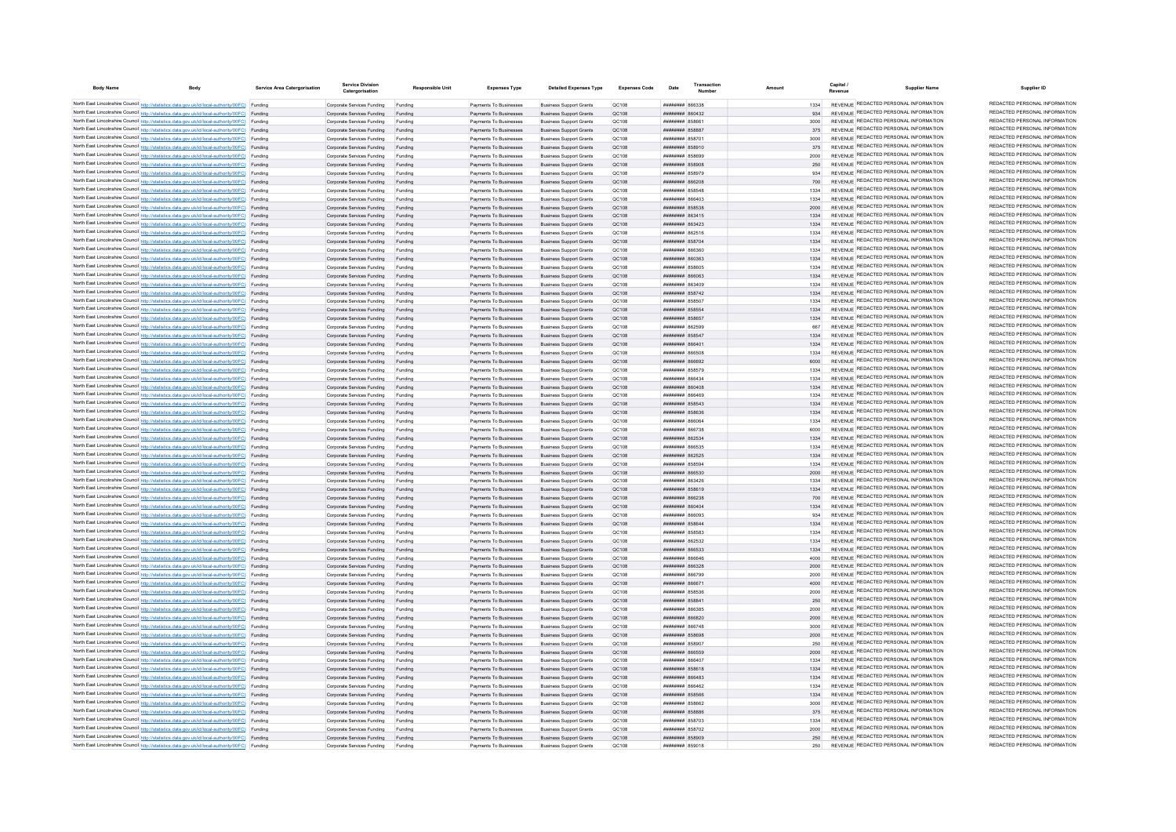| <b>Body Name</b> | Body                                                                                                                                                                                             | Service Area Catergorisation | <b>Service Division</b><br>Catergorisation                       | <b>Responsible Unit</b> | <b>Expenses Type</b>                             | <b>Detailed Expenses Type</b>                                    | <b>Expenses Code</b> | Date                                                    | Transaction |              | Capital<br><b>Supplier Name</b>                                                | Supplier ID                                                    |
|------------------|--------------------------------------------------------------------------------------------------------------------------------------------------------------------------------------------------|------------------------------|------------------------------------------------------------------|-------------------------|--------------------------------------------------|------------------------------------------------------------------|----------------------|---------------------------------------------------------|-------------|--------------|--------------------------------------------------------------------------------|----------------------------------------------------------------|
|                  | North East Lincolnshire Council http://statistics.data.gov.uk/id/local-authority/00FC) Funding                                                                                                   |                              | Comorate Services Funding                                        | Funding                 | Payments To Businesses                           | <b>Business Support Grants</b>                                   | OC108                | 8FF388 BBBBBBBB                                         |             | 1334         | REVENUE REDACTED PERSONAL INFORMATION                                          | REDACTED PERSONAL INFORMATION                                  |
|                  | North East Lincolnshire Council http://statistics.data.gov.uk/id/local-authority/00FC) Funding                                                                                                   |                              | Corporate Services Funding                                       | Funding                 | Payments To Businesses                           | <b>Business Support Grants</b>                                   | OC108                | CENOSA HERBERT                                          |             |              | REVENUE REDACTED PERSONAL INFORMATION                                          | REDACTED PERSONAL INFORMATION                                  |
|                  | North East Lincolnshire Council http://statistics.data.gov.uk/id/local-authority/00FC) Funding                                                                                                   |                              | Corporate Services Funding                                       | Funding                 | Payments To Businesses                           | <b>Business Support Grants</b>                                   | OC108                | aasaa wwww                                              |             | 3000         | REVENUE REDACTED PERSONAL INFORMATION                                          | REDACTED PERSONAL INFORMATION                                  |
|                  | North East Lincolnshire Council http://statistics.data.gov.uk/id/local-authority/00FC) Funding                                                                                                   |                              | Corporate Services Funding                                       | Funding                 | Payments To Businesses                           | <b>Business Support Grants</b>                                   | QC108                | ######## 858887                                         |             | 375          | REVENUE REDACTED PERSONAL INFORMATION<br>REVENUE REDACTED PERSONAL INFORMATION | REDACTED PERSONAL INFORMATION<br>REDACTED PERSONAL INFORMATION |
|                  | North East Lincolnshire Council http://statistics.data.gov.uk/id/local-authority/00FC) Funding<br>North East Lincolnshire Council http://statistics.data.gov.uk/id/local-authority/00FC) Funding |                              | Corporate Services Funding                                       | Funding                 | Payments To Businesses                           | <b>Business Support Grants</b>                                   | QC108                | <b><i>BRENHHHH</i></b> 858701<br><b>HRHHHHHH</b> 858910 |             | 3000         | REVENUE REDACTED PERSONAL INFORMATION                                          | REDACTED PERSONAL INFORMATION                                  |
|                  | North East Lincolnshire Council http://statistics.data.gov.uk/id/local-authority/00FC) Funding                                                                                                   |                              | Corporate Services Funding<br>Corporate Services Funding         | Funding<br>Funding      | Payments To Businesses<br>Payments To Businesses | <b>Business Support Grants</b><br><b>Business Support Grants</b> | OC108<br>OC108       | HHHHHHH 858699                                          |             | 375<br>2000  | REVENUE REDACTED PERSONAL INFORMATION                                          | REDACTED PERSONAL INFORMATION                                  |
|                  | North East Lincolnshire Council http://statistics.data.gov.uk/id/local-authority/00FC) Funding                                                                                                   |                              | Corporate Services Funding Funding                               |                         | Payments To Businesses                           | <b>Business Support Grants</b>                                   | OC108                | ######## 858908                                         |             | 250          | REVENUE REDACTED PERSONAL INFORMATION                                          | REDACTED PERSONAL INFORMATION                                  |
|                  | North East Lincolnshire Council http://statistics.data.gov.uk/id/local-authority/00FC) Funding                                                                                                   |                              | Corporate Services Funding                                       | Funding                 | Payments To Businesses                           | <b>Business Support Grants</b>                                   | OC108                | <b>########</b> 858979                                  |             | 934          | REVENUE REDACTED PERSONAL INFORMATION                                          | REDACTED PERSONAL INFORMATION                                  |
|                  | North East Lincolnshire Council http://statistics.data.gov.uk/id/local-authority/00FC) Funding                                                                                                   |                              | Corporate Services Funding Funding                               |                         | Payments To Businesses                           | <b>Business Support Grants</b>                                   | QC108                | ######## 866208                                         |             |              | REVENUE REDACTED PERSONAL INFORMATION                                          | REDACTED PERSONAL INFORMATION                                  |
|                  | North East Lincolnshire Council http://statistics.data.gov.uk/id/local-authority/00FC) Funding                                                                                                   |                              | Corporate Services Funding                                       | Funding                 | Payments To Businesses                           | <b>Business Support Grants</b>                                   | QC108                | ######## 858548                                         |             | 1334         | REVENUE REDACTED PERSONAL INFORMATION                                          | REDACTED PERSONAL INFORMATION                                  |
|                  | North East Lincolnshire Council http://statistics.data.gov.uk/id/local-authority/00FC) Funding                                                                                                   |                              | Corporate Services Funding                                       | Funding                 | Payments To Businesses                           | <b>Business Support Grants</b>                                   | OC108                | <b>BRANCH SERMINANT</b>                                 |             | 1334         | REVENUE REDACTED PERSONAL INFORMATION                                          | REDACTED PERSONAL INFORMATION                                  |
|                  | North East Lincolnshire Council http://statistics.data.gov.uk/id/local-authority/00FC) Funding                                                                                                   |                              | Corporate Services Funding                                       | Funding                 | Payments To Businesses                           | <b>Business Support Grants</b>                                   | OC108                | <b>######## 858538</b>                                  |             | 2000         | REVENUE REDACTED PERSONAL INFORMATION                                          | REDACTED PERSONAL INFORMATION                                  |
|                  | North East Lincolnshire Council http://statistics.data.gov.uk/id/local-authority/00FC) Funding                                                                                                   |                              | Corporate Services Funding                                       | Funding                 | Payments To Businesses                           | <b>Business Support Grants</b>                                   | OC108                | ######## 863415                                         |             | 1334         | REVENUE REDACTED PERSONAL INFORMATION                                          | REDACTED PERSONAL INFORMATION<br>REDACTED PERSONAL INFORMATION |
|                  | North East Lincolnshire Council http://statistics.data.gov.uk/id/local-authority/00FC) Funding                                                                                                   |                              | Corporate Services Funding                                       | Funding                 | Payments To Businesses                           | <b>Business Support Grants</b>                                   | QC108                | ######## 863423                                         |             | 1334         | REVENUE REDACTED PERSONAL INFORMATION<br>REVENUE REDACTED PERSONAL INFORMATION | REDACTED PERSONAL INFORMATION                                  |
|                  | North East Lincolnshire Council http://statistics.data.gov.uk/id/local-authority/00FC) Funding<br>North East Lincolnshire Council http://statistics.data.gov.uk/id/local-authority/00FC) Funding |                              | Corporate Services Funding<br>Corporate Services Funding         | Funding<br>Funding      | Payments To Businesses<br>Payments To Businesses | <b>Business Support Grants</b><br><b>Business Support Grants</b> | QC108<br>QC108       | ######## 862516<br><b>НИНИНИН 858704</b>                |             | 1334<br>1334 | REVENUE REDACTED PERSONAL INFORMATION                                          | REDACTED PERSONAL INFORMATION                                  |
|                  | North East Lincolnshire Council http://statistics.data.gov.uk/id/local-authority/00FC) Funding                                                                                                   |                              | Corporate Services Funding                                       | Funding                 | Payments To Businesses                           | <b>Business Support Grants</b>                                   | OC108                | 086388 BBBBBBBBB                                        |             | 1334         | REVENUE REDACTED PERSONAL INFORMATION                                          | REDACTED PERSONAL INFORMATION                                  |
|                  | North East Lincolnshire Council http://statistics.data.gov.uk/id/local-authority/00FC) Funding                                                                                                   |                              | Corporate Services Funding                                       | Funding                 | Payments To Businesses                           | <b>Business Support Grants</b>                                   | OC108                | <b>пппппппп</b> 860363                                  |             | 1334         | REVENUE REDACTED PERSONAL INFORMATION                                          | REDACTED PERSONAL INFORMATION                                  |
|                  | North East Lincolnshire Council http://statistics.data.gov.uk/id/local-authority/00FC) Funding                                                                                                   |                              | Corporate Services Funding                                       | Funding                 | Payments To Businesses                           | <b>Business Support Grants</b>                                   | QC108                | ######## 858605                                         |             | 1334         | REVENUE REDACTED PERSONAL INFORMATION                                          | REDACTED PERSONAL INFORMATION                                  |
|                  | North East Lincolnshire Council http://statistics.data.gov.uk/id/local-authority/00FC) Funding                                                                                                   |                              | Corporate Services Funding                                       | Funding                 | Payments To Businesses                           | <b>Business Support Grants</b>                                   | QC108                | ######## 866063                                         |             | 1334         | REVENUE REDACTED PERSONAL INFORMATION                                          | REDACTED PERSONAL INFORMATION                                  |
|                  | North East Lincolnshire Council http://statistics.data.gov.uk/id/local-authority/00FC) Funding                                                                                                   |                              | Corporate Services Funding                                       | Funding                 | Payments To Businesses                           | <b>Business Support Grants</b>                                   | QC108                | ######## 863409                                         |             | 1334         | REVENUE REDACTED PERSONAL INFORMATION                                          | REDACTED PERSONAL INFORMATION                                  |
|                  | North East Lincolnshire Council http://statistics.data.gov.uk/id/local-authority/00FC) Funding                                                                                                   |                              | Corporate Services Funding                                       | Funding                 | Payments To Businesses                           | <b>Business Support Grants</b>                                   | QC108                | ######## 858742                                         |             | 1334         | REVENUE REDACTED PERSONAL INFORMATION                                          | REDACTED PERSONAL INFORMATION                                  |
|                  | North East Lincolnshire Council http://statistics.data.gov.uk/id/local-authority/00FC) Funding                                                                                                   |                              | Corporate Services Funding                                       | Funding                 | Payments To Businesses                           | <b>Business Support Grants</b>                                   | OC108                | ######## 858507                                         |             | 1334         | REVENUE REDACTED PERSONAL INFORMATION                                          | REDACTED PERSONAL INFORMATION                                  |
|                  | North East Lincolnshire Council http://statistics.data.gov.uk/id/local-authority/00FC) Funding                                                                                                   |                              | Corporate Services Funding                                       | Funding                 | Payments To Businesses                           | <b>Business Support Grants</b>                                   | QC108                | ######## 858554                                         |             | 1334         | REVENUE REDACTED PERSONAL INFORMATION                                          | REDACTED PERSONAL INFORMATION<br>REDACTED PERSONAL INFORMATION |
|                  | North East Lincolnshire Council http://statistics.data.gov.uk/id/local-authority/00FC) Funding                                                                                                   |                              | Corporate Services Funding                                       | Funding                 | Payments To Businesses                           | <b>Business Support Grants</b>                                   | QC108                | ######## 858657                                         |             | 1334         | REVENUE REDACTED PERSONAL INFORMATION<br>REVENUE REDACTED PERSONAL INFORMATION | REDACTED PERSONAL INFORMATION                                  |
|                  | North East Lincolnshire Council http://statistics.data.gov.uk/id/local-authority/00FC) Funding<br>North East Lincolnshire Council http://statistics.data.gov.uk/id/local-authority/00FC) Funding |                              | Corporate Services Funding<br>Corporate Services Funding         | Funding<br>Funding      | Payments To Businesses<br>Payments To Businesses | <b>Business Support Grants</b><br><b>Business Support Grants</b> | QC108<br>QC108       | ####### 86259!<br>####### 858547                        |             | 667<br>1334  | REVENUE REDACTED PERSONAL INFORMATION                                          | REDACTED PERSONAL INFORMATION                                  |
|                  | North East Lincolnshire Council http://statistics.data.gov.uk/id/local-authority/00FC) Funding                                                                                                   |                              | Corporate Services Funding                                       |                         | Payments To Businesses                           | <b>Business Support Grants</b>                                   | QC108                | ######## 866401                                         |             | 1334         | REVENUE REDACTED PERSONAL INFORMATION                                          | REDACTED PERSONAL INFORMATION                                  |
|                  | North East Lincolnshire Council http://statistics.data.gov.uk/id/local-authority/00FC) Funding                                                                                                   |                              | Corporate Services Funding                                       | Funding                 | Payments To Businesses                           | <b>Business Support Grants</b>                                   | OC108                | <b>HERHHHH RASSOR</b>                                   |             | 1334         | REVENUE REDACTED PERSONAL INFORMATION                                          | REDACTED PERSONAL INFORMATION                                  |
|                  | North East Lincolnshire Council http://statistics.data.gov.uk/id/local-authority/00FC) Funding                                                                                                   |                              | Corporate Services Funding                                       | Funding                 | Payments To Businesses                           | <b>Business Support Grants</b>                                   | QC108                | <b>HHHHHHH SAGGO2</b>                                   |             | 6000         | REVENUE REDACTED PERSONAL INFORMATION                                          | REDACTED PERSONAL INFORMATION                                  |
|                  | North East Lincolnshire Council http://statistics.data.gov.uk/id/local-authority/00FC) Funding                                                                                                   |                              | Comorate Services Funding                                        | Funding                 | Payments To Businesses                           | <b>Business Support Grants</b>                                   | OC108                | ######## 858579                                         |             | 1334         | REVENUE REDACTED PERSONAL INFORMATION                                          | REDACTED PERSONAL INFORMATION                                  |
|                  | North East Lincolnshire Council http://statistics.data.gov.uk/id/local-authority/00FC) Funding                                                                                                   |                              | Corporate Services Funding                                       | Funding                 | Payments To Businesses                           | <b>Business Support Grants</b>                                   | OC108                | виннини вббаза                                          |             | 1334         | REVENUE REDACTED PERSONAL INFORMATION                                          | REDACTED PERSONAL INFORMATION                                  |
|                  | North East Lincolnshire Council http://statistics.data.gov.uk/id/local-authority/00FC) Funding                                                                                                   |                              | Corporate Services Funding Funding                               |                         | Payments To Businesses                           | <b>Business Support Grants</b>                                   | OC108                | <b>########</b> 860408                                  |             | 1334         | REVENUE REDACTED PERSONAL INFORMATION                                          | REDACTED PERSONAL INFORMATION                                  |
|                  | North East Lincolnshire Council http://statistics.data.gov.uk/id/local-authority/00FC) Funding                                                                                                   |                              | Corporate Services Funding                                       | Funding                 | Payments To Businesses                           | <b>Business Support Grants</b>                                   | QC108                | ####### 866469                                          |             | 1334         | REVENUE REDACTED PERSONAL INFORMATION                                          | REDACTED PERSONAL INFORMATION                                  |
|                  | North East Lincolnshire Council http://statistics.data.gov.uk/id/local-authority/00FC) Funding                                                                                                   |                              | Corporate Services Funding                                       | Funding                 | Payments To Businesses                           | <b>Business Support Grants</b>                                   | OC108                | <b>пппппппп</b> 858543                                  |             | 1334         | REVENUE REDACTED PERSONAL INFORMATION                                          | REDACTED PERSONAL INFORMATION<br>REDACTED PERSONAL INFORMATION |
|                  | North East Lincolnshire Council http://statistics.data.gov.uk/id/local-authority/00FC) Funding<br>North East Lincolnshire Council http://statistics.data.gov.uk/id/local-authority/00FC) Funding |                              | Corporate Services Funding                                       | Funding                 | Payments To Businesses                           | <b>Business Support Grants</b>                                   | OC108                | ######## 858636                                         |             | 1334<br>1334 | REVENUE REDACTED PERSONAL INFORMATION<br>REVENUE REDACTED PERSONAL INFORMATION | REDACTED PERSONAL INFORMATION                                  |
|                  | North East Lincolnshire Council http://statistics.data.gov.uk/id/local-authority/00FC) Funding                                                                                                   |                              | Corporate Services Funding<br>Corporate Services Funding         | Funding<br>Funding      | Payments To Businesses<br>Payments To Businesses | <b>Business Support Grants</b><br><b>Business Support Grants</b> | OC108<br>OC108       | BORNE MERHANIA<br><b>иллинны веклини</b>                |             | 6000         | REVENUE REDACTED PERSONAL INFORMATION                                          | REDACTED PERSONAL INFORMATION                                  |
|                  | North East Lincolnshire Council http://statistics.data.gov.uk/id/local-authority/00FC) Funding                                                                                                   |                              | Corporate Services Funding                                       | Funding                 | Payments To Businesses                           | <b>Business Support Grants</b>                                   | OC108                | нининин 862534                                          |             | 1334         | REVENUE REDACTED PERSONAL INFORMATION                                          | REDACTED PERSONAL INFORMATION                                  |
|                  | North East Lincolnshire Council http://statistics.data.gov.uk/id/local-authority/00FC) Funding                                                                                                   |                              | Corporate Services Funding                                       | Funding                 | Payments To Businesses                           | <b>Business Support Grants</b>                                   | QC108                | <b>FERRA MUNUMENT</b>                                   |             | 1334         | REVENUE REDACTED PERSONAL INFORMATION                                          | REDACTED PERSONAL INFORMATION                                  |
|                  | North East Lincolnshire Council http://statistics.data.gov.uk/id/local-authority/00FC) Funding                                                                                                   |                              | Corporate Services Funding                                       | Funding                 | Payments To Businesses                           | <b>Business Support Grants</b>                                   | QC108                | <b>ППИНИНИ 862525</b>                                   |             | 1334         | REVENUE REDACTED PERSONAL INFORMATION                                          | REDACTED PERSONAL INFORMATION                                  |
|                  | North East Lincolnshire Council http://statistics.data.gov.uk/id/local-authority/00FC) Funding                                                                                                   |                              | Corporate Services Funding                                       | Funding                 | Payments To Businesses                           | <b>Business Support Grants</b>                                   | QC108                | <b><i>HHHHHHH</i></b> 85850/                            |             | 1334         | REVENUE REDACTED PERSONAL INFORMATION                                          | REDACTED PERSONAL INFORMATION                                  |
|                  | North East Lincolnshire Council http://statistics.data.gov.uk/id/local-authority/00FC) Funding                                                                                                   |                              | Corporate Services Funding                                       | Funding                 | Payments To Businesses                           | <b>Business Support Grants</b>                                   | OC108                | ####### 866530                                          |             | 2000         | REVENUE REDACTED PERSONAL INFORMATION                                          | REDACTED PERSONAL INFORMATION                                  |
|                  | North East Lincolnshire Council http://statistics.data.gov.uk/id/local-authority/00FC) Funding                                                                                                   |                              | Corporate Services Funding                                       | Funding                 | Payments To Businesses                           | <b>Business Support Grants</b>                                   | OC108                | <b>пппппппп</b> 863426                                  |             | 1334         | REVENUE REDACTED PERSONAL INFORMATION                                          | REDACTED PERSONAL INFORMATION                                  |
|                  | North East Lincolnshire Council http://statistics.data.gov.uk/id/local-authority/00FC) Funding                                                                                                   |                              | Corporate Services Funding                                       | Funding                 | Payments To Businesses                           | <b>Business Support Grants</b>                                   | OC108                | <b>иннинни</b> 858619                                   |             | 1334         | REVENUE REDACTED PERSONAL INFORMATION<br>REVENUE REDACTED PERSONAL INFORMATION | REDACTED PERSONAL INFORMATION<br>REDACTED PERSONAL INFORMATION |
|                  | North East Lincolnshire Council http://statistics.data.gov.uk/id/local-authority/00FC) Funding                                                                                                   |                              | Corporate Services Funding                                       | Funding                 | Payments To Businesses                           | <b>Business Support Grants</b>                                   | QC108                | ######## 866238                                         |             | 700          | REVENUE REDACTED PERSONAL INFORMATION                                          | REDACTED PERSONAL INFORMATION                                  |
|                  | North East Lincolnshire Council http://statistics.data.gov.uk/id/local-authority/00FC) Funding<br>North East Lincolnshire Council http://statistics.data.gov.uk/id/local-authority/00FC) Funding |                              | Corporate Services Funding<br>Corporate Services Funding         | Funding<br>Funding      | Payments To Businesses<br>Payments To Businesses | <b>Business Support Grants</b><br><b>Business Support Grants</b> | QC108<br>OC108       | ######## 860404<br>EPO88 MMMMMMM                        |             | 1334<br>934  | REVENUE REDACTED PERSONAL INFORMATION                                          | REDACTED PERSONAL INFORMATION                                  |
|                  | North East Lincolnshire Council http://statistics.data.gov.uk/id/local-authority/00FC) Funding                                                                                                   |                              | Corporate Services Funding                                       | Funding                 | Payments To Businesses                           | <b>Business Support Grants</b>                                   | OC108                | <b><i>BREEZEEE SSSS44</i></b>                           |             | 1334         | REVENUE REDACTED PERSONAL INFORMATION                                          | REDACTED PERSONAL INFORMATION                                  |
|                  | North East Lincolnshire Council http://statistics.data.gov.uk/id/local-authority/00FC) Funding                                                                                                   |                              | Corporate Services Funding                                       | Funding                 | Payments To Businesses                           | <b>Business Support Grants</b>                                   | OC108                | ######## 858583                                         |             | 1334         | REVENUE REDACTED PERSONAL INFORMATION                                          | REDACTED PERSONAL INFORMATION                                  |
|                  | North East Lincolnshire Council http://statistics.data.gov.uk/id/local-authority/00FC) Funding                                                                                                   |                              | Corporate Services Funding                                       | Funding                 | Payments To Businesse                            | <b>Business Support Grants</b>                                   | QC108                | ######## 862532                                         |             | 1334         | REVENUE REDACTED PERSONAL INFORMATION                                          | REDACTED PERSONAL INFORMATION                                  |
|                  | North East Lincolnshire Council http://statistics.data.gov.uk/id/local-authority/00FC) Funding                                                                                                   |                              | Corporate Services Funding                                       | Funding                 | Payments To Businesses                           | <b>Business Support Grants</b>                                   | QC108                | ####### 866533                                          |             | 1334         | REVENUE REDACTED PERSONAL INFORMATION                                          | REDACTED PERSONAL INFORMATION                                  |
|                  | North East Lincolnshire Council http://statistics.data.gov.uk/id/local-authority/00FC) Funding                                                                                                   |                              | Corporate Services Funding                                       | Funding                 | Payments To Businesses                           | <b>Business Support Grants</b>                                   | QC108                | <b>HERHHHHH RGGGAG</b>                                  |             | 4000         | REVENUE REDACTED PERSONAL INFORMATION                                          | REDACTED PERSONAL INFORMATION                                  |
|                  | North East Lincolnshire Council http://statistics.data.gov.uk/id/local-authority/00FC) Funding                                                                                                   |                              | Corporate Services Funding                                       | Funding                 | Payments To Businesses                           | <b>Business Support Grants</b>                                   | OC108                | ппинини 866328                                          |             | 2000         | REVENUE REDACTED PERSONAL INFORMATION                                          | REDACTED PERSONAL INFORMATION                                  |
|                  | North East Lincolnshire Council http://statistics.data.gov.uk/id/local-authority/00FC) Funding                                                                                                   |                              | Corporate Services Funding                                       | Funding                 | Payments To Businesses                           | <b>Business Support Grants</b>                                   | OC108                | <b>HUHHHHH RG6799</b>                                   |             | 2000         | REVENUE REDACTED PERSONAL INFORMATION                                          | REDACTED PERSONAL INFORMATION                                  |
|                  | North East Lincolnshire Council http://statistics.data.gov.uk/id/local-authority/00FC) Funding                                                                                                   |                              | Corporate Services Funding                                       | Funding                 | Payments To Businesses                           | <b>Business Support Grants</b>                                   | QC108                | ######## 866671                                         |             | 4000         | REVENUE REDACTED PERSONAL INFORMATION<br>REVENUE REDACTED PERSONAL INFORMATION | REDACTED PERSONAL INFORMATION<br>REDACTED PERSONAL INFORMATION |
|                  | North East Lincolnshire Council http://statistics.data.gov.uk/id/local-authority/00FC) Funding<br>North East Lincolnshire Council http://statistics.data.gov.uk/id/local-authority/00FC) Funding |                              | Corporate Services Funding                                       | Funding                 | Payments To Businesses<br>Payments To Businesses | <b>Business Support Grants</b><br><b>Business Support Grants</b> | QC108<br>QC108       | ######## 858536<br>######## 85884                       |             | 2000<br>250  | REVENUE REDACTED PERSONAL INFORMATION                                          | REDACTED PERSONAL INFORMATION                                  |
|                  | North East Lincolnshire Council http://statistics.data.gov.uk/id/local-authority/00FC) Funding                                                                                                   |                              | Corporate Services Funding Funding<br>Corporate Services Funding | Funding                 | Payments To Businesses                           | <b>Business Support Grants</b>                                   | QC108                | ######## 866385                                         |             | 2000         | REVENUE REDACTED PERSONAL INFORMATION                                          | REDACTED PERSONAL INFORMATION                                  |
|                  | North East Lincolnshire Council http://statistics.data.gov.uk/id/local-authority/00FC) Funding                                                                                                   |                              | Corporate Services Funding                                       | Funding                 | Payments To Businesses                           | <b>Business Support Grants</b>                                   | OC108                | ######## 866820                                         |             | 2000         | REVENUE REDACTED PERSONAL INFORMATION                                          | REDACTED PERSONAL INFORMATION                                  |
|                  | North East Lincolnshire Council http://statistics.data.gov.uk/id/local-authority/00FC) Funding                                                                                                   |                              | Corporate Services Funding                                       | Funding                 | Payments To Businesses                           | <b>Business Support Grants</b>                                   | QC108                | <b>пппппппп</b> 866748                                  |             | 3000         | REVENUE REDACTED PERSONAL INFORMATION                                          | REDACTED PERSONAL INFORMATION                                  |
|                  | North East Lincolnshire Council http://statistics.data.gov.uk/id/local-authority/00FC) Funding                                                                                                   |                              | Corporate Services Funding                                       | Funding                 | Payments To Businesses                           | <b>Business Support Grants</b>                                   | OC108                | ######## 858698                                         |             | 2000         | REVENUE REDACTED PERSONAL INFORMATION                                          | REDACTED PERSONAL INFORMATION                                  |
|                  | North East Lincolnshire Council http://statistics.data.gov.uk/id/local-authority/00FC) Funding                                                                                                   |                              | Corporate Services Funding                                       | Funding                 | Payments To Businesses                           | <b>Business Support Grants</b>                                   | QC108                | ####### 85890                                           |             | 250          | REVENUE REDACTED PERSONAL INFORMATION                                          | REDACTED PERSONAL INFORMATION                                  |
|                  | North East Lincolnshire Council http://statistics.data.gov.uk/id/local-authority/00FC) Funding                                                                                                   |                              | Corporate Services Funding                                       | Funding                 | Payments To Businesses                           | <b>Business Support Grants</b>                                   | QC108                | ######## 866559                                         |             | 2000         | REVENUE REDACTED PERSONAL INFORMATION                                          | REDACTED PERSONAL INFORMATION                                  |
|                  | North East Lincolnshire Council http://statistics.data.gov.uk/id/local-authority/00FC) Funding                                                                                                   |                              | Corporate Services Funding                                       |                         | Payments To Businesses                           | <b>Business Support Grants</b>                                   | QC108                | <b>CONSIGN HERMAN</b>                                   |             | 1334         | <b>REVENUE REDACTED PERSONAL INFORMATION</b>                                   | REDACTED PERSONAL INFORMATION                                  |
|                  | North East Lincolnshire Council http://statistics.data.gov.uk/id/local-authority/00FC) Funding                                                                                                   |                              | Corporate Services Funding                                       | Funding                 | Payments To Businesses                           | <b>Business Support Grants</b>                                   | QC108                | <b>HHHHHHH</b> 858618                                   |             | 1334         | REVENUE REDACTED PERSONAL INFORMATION                                          | REDACTED PERSONAL INFORMATION                                  |
|                  | North East Lincolnshire Council http://statistics.data.gov.uk/id/local-authority/00FC) Funding                                                                                                   |                              | Corporate Services Funding                                       | Funding                 | Payments To Businesses                           | <b>Business Support Grants</b>                                   | QC108                | FRAAR HHHHHHH                                           |             | 1334         | REVENUE REDACTED PERSONAL INFORMATION<br>REVENUE REDACTED PERSONAL INFORMATION | REDACTED PERSONAL INFORMATION<br>REDACTED PERSONAL INFORMATION |
|                  | North East Lincolnshire Council http://statistics.data.gov.uk/id/local-authority/00FC) Funding<br>North East Lincolnshire Council http://statistics.data.gov.uk/id/local-authority/00FC) Funding |                              | Corporate Services Funding                                       | Funding<br>Funding      | Payments To Businesses                           | <b>Business Support Grants</b><br><b>Business Support Grants</b> | OC108<br>OC108       | <b>пппппппп</b> 866462<br>######## 858566               |             | 1334<br>1334 | REVENUE REDACTED PERSONAL INFORMATION                                          | REDACTED PERSONAL INFORMATION                                  |
|                  | North East Lincolnshire Council http://statistics.data.gov.uk/id/local-authority/00FC) Funding                                                                                                   |                              | Corporate Services Funding<br>Corporate Services Funding         | Funding                 | Payments To Businesses<br>Payments To Businesses | <b>Business Support Grants</b>                                   | OC108                | <b>иннинин</b> 858662                                   |             | 3000         | REVENUE REDACTED PERSONAL INFORMATION                                          | REDACTED PERSONAL INFORMATION                                  |
|                  | North East Lincolnshire Council http://statistics.data.gov.uk/id/local-authority/00FC) Funding                                                                                                   |                              | Corporate Services Funding                                       | Funding                 | Payments To Businesses                           | <b>Business Support Grants</b>                                   | QC108                | ######## 85888                                          |             | 375          | REVENUE REDACTED PERSONAL INFORMATION                                          | REDACTED PERSONAL INFORMATION                                  |
|                  | North East Lincolnshire Council http://statistics.data.gov.uk/id/local-authority/00FC) Funding                                                                                                   |                              | Corporate Services Funding                                       | Funding                 | Payments To Businesses                           | <b>Business Support Grants</b>                                   | OC108                | <b>########</b> 858703                                  |             | 1334         | REVENUE REDACTED PERSONAL INFORMATION                                          | REDACTED PERSONAL INFORMATION                                  |
|                  | North East Lincolnshire Council http://statistics.data.gov.uk/id/local-authority/00FC) Funding                                                                                                   |                              | Corporate Services Funding                                       | Funding                 | Payments To Businesses                           | <b>Business Support Grants</b>                                   | QC108                | <b><i>BREEZEEE</i></b> 858702                           |             | 2000         | REVENUE REDACTED PERSONAL INFORMATION                                          | REDACTED PERSONAL INFORMATION                                  |
|                  | North East Lincolnshire Council http://statistics.data.gov.uk/id/local-authority/00FC) Funding                                                                                                   |                              | Corporate Services Funding Funding                               |                         | Payments To Businesses                           | <b>Business Support Grants</b>                                   | OC108                | ######## 858909                                         |             | 250          | REVENUE REDACTED PERSONAL INFORMATION                                          | REDACTED PERSONAL INFORMATION                                  |
|                  | North East Lincolnshire Council http://statistics.data.gov.uk/id/local-authority/00FC) Funding                                                                                                   |                              | Corporate Services Funding                                       | Funding                 | Payments To Businesses                           | <b>Business Support Grants</b>                                   | OC108                | ######## 859018                                         |             | 250          | REVENUE REDACTED PERSONAL INFORMATION                                          | REDACTED PERSONAL INFORMATION                                  |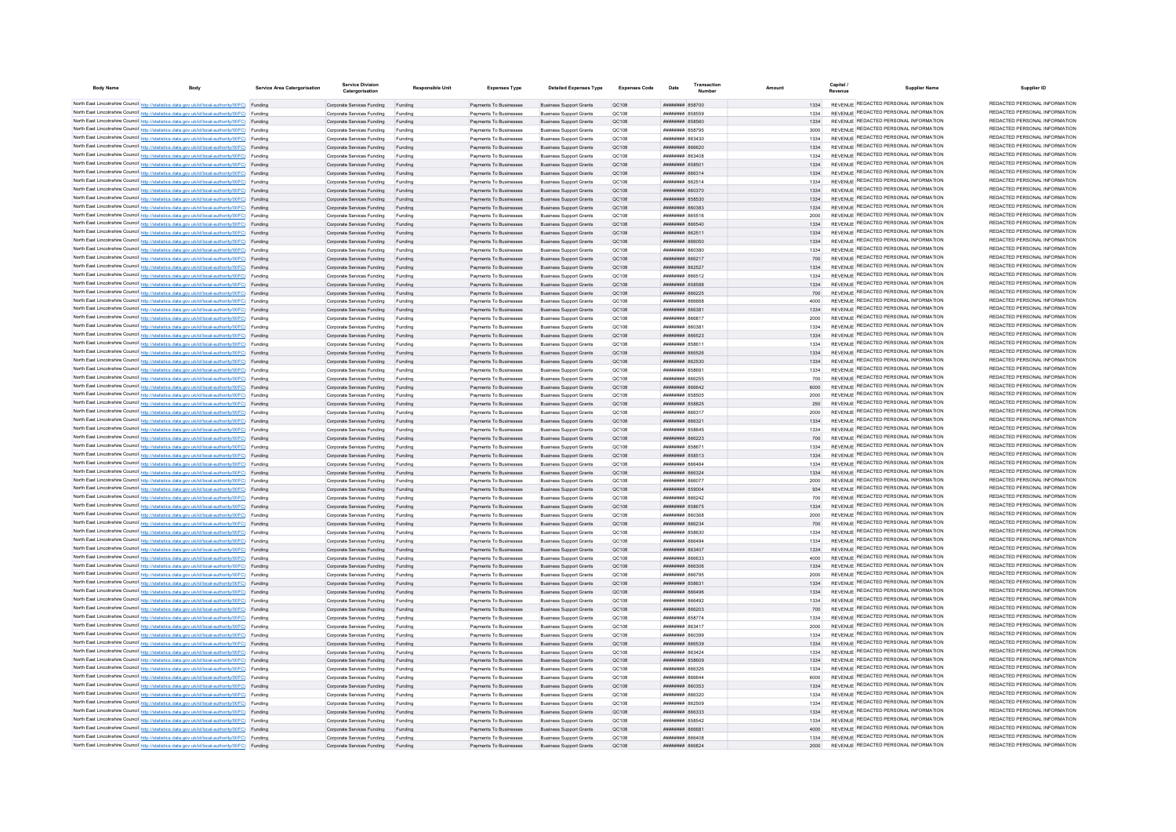| <b>Body Name</b> | <b>Body</b>                                                                                                                                                                                      | Service Area Catergorisation | <b>Service Division</b><br>Catergorisation                       | Responsible Unit   | <b>Expenses Type</b>                             | <b>Detailed Expenses Type</b>                                    | Expenses Code  | Date                                           | Transaction | Amount       | Capital | <b>Supplier Name</b>                                                           | Supplier ID                                                    |
|------------------|--------------------------------------------------------------------------------------------------------------------------------------------------------------------------------------------------|------------------------------|------------------------------------------------------------------|--------------------|--------------------------------------------------|------------------------------------------------------------------|----------------|------------------------------------------------|-------------|--------------|---------|--------------------------------------------------------------------------------|----------------------------------------------------------------|
|                  | North East Lincolnshire Council http://statistics.data.gov.uk/id/local-authority/00FC) Funding                                                                                                   |                              | Corporate Services Funding Funding                               |                    | Payments To Businesses                           | <b>Business Support Grants</b>                                   | OC108          | ######## 858700                                |             | 1334         |         | REVENUE REDACTED PERSONAL INFORMATION                                          | REDACTED PERSONAL INFORMATION                                  |
|                  | North East Lincolnshire Council http://statistics.data.gov.uk/id/local-authority/00FC) Funding                                                                                                   |                              | Corporate Services Funding                                       |                    | Payments To Businesses                           | <b>Business Support Grants</b>                                   | QC108          | <b>########</b> 858559                         |             |              |         | REVENUE REDACTED PERSONAL INFORMATION                                          | REDACTED PERSONAL INFORMATION                                  |
|                  | North East Lincolnshire Council http://statistics.data.gov.uk/id/local-authority/00FC) Funding                                                                                                   |                              | Corporate Services Funding                                       | Funding            | Payments To Businesses                           | <b>Business Support Grants</b>                                   | QC108          | ************* 858560                           |             | 1334         |         | REVENUE REDACTED PERSONAL INFORMATION                                          | REDACTED PERSONAL INFORMATION                                  |
|                  | North East Lincolnshire Council http://statistics.data.gov.uk/id/local-authority/00FC) Funding                                                                                                   |                              | Corporate Services Funding                                       | Funding            | Payments To Businesses                           | <b>Business Support Grants</b>                                   | OC108          | <b><i>HHHHHHH</i></b> 858795                   |             | 3000         |         | REVENUE REDACTED PERSONAL INFORMATION                                          | REDACTED PERSONAL INFORMATION                                  |
|                  | North East Lincolnshire Council http://statistics.data.gov.uk/id/local-authority/00FC) Funding                                                                                                   |                              | Corporate Services Funding                                       | Funding            | Payments To Businesses                           | <b>Business Support Grants</b>                                   | OC108          | <b>плинини 863430</b>                          |             | 1334         |         | REVENUE REDACTED PERSONAL INFORMATION                                          | REDACTED PERSONAL INFORMATION                                  |
|                  | North East Lincolnshire Council http://statistics.data.gov.uk/id/local-authority/00FC) Funding                                                                                                   |                              | Corporate Services Funding                                       | Funding            | Payments To Businesses                           | <b>Business Sunnort Grants</b>                                   | OC108          | <b>HHHHHHH RGGG20</b>                          |             | 1334         |         | REVENUE REDACTED PERSONAL INFORMATION<br>REVENUE REDACTED PERSONAL INFORMATION | REDACTED PERSONAL INFORMATION<br>REDACTED PERSONAL INFORMATION |
|                  | North East Lincolnshire Council http://statistics.data.gov.uk/id/local-authority/00FC) Funding                                                                                                   |                              | Corporate Services Funding                                       | Funding            | Payments To Businesses                           | <b>Business Support Grants</b>                                   | OC108          | <b>плинини 863408</b>                          |             | 1334         |         | REVENUE REDACTED PERSONAL INFORMATION                                          | REDACTED PERSONAL INFORMATION                                  |
|                  | North East Lincolnshire Council http://statistics.data.gov.uk/id/local-authority/00FC) Funding<br>North East Lincolnshire Council http://statistics.data.gov.uk/id/local-authority/00FC) Funding |                              | Corporate Services Funding<br>Corporate Services Funding Funding | Funding            | Payments To Businesses<br>Payments To Businesses | <b>Business Support Grants</b><br><b>Business Support Grants</b> | QC108<br>QC108 | ######## 85850<br>######## 866314              |             | 1334<br>1334 |         | REVENUE REDACTED PERSONAL INFORMATION                                          | REDACTED PERSONAL INFORMATION                                  |
|                  | North East Lincolnshire Council http://statistics.data.gov.uk/id/local-authority/00FC) Funding                                                                                                   |                              | Corporate Services Funding                                       | Funding            | Payments To Businesses                           | <b>Business Support Grants</b>                                   | QC108          | ######## 862514                                |             | 1334         |         | REVENUE REDACTED PERSONAL INFORMATION                                          | REDACTED PERSONAL INFORMATION                                  |
|                  | North East Lincolnshire Council http://statistics.data.gov.uk/id/local-authority/00FC) Funding                                                                                                   |                              | Corporate Services Funding                                       | Funding            | Payments To Businesses                           | <b>Business Support Grants</b>                                   | OC108          | ######## 860370                                |             | 1334         |         | REVENUE REDACTED PERSONAL INFORMATION                                          | REDACTED PERSONAL INFORMATION                                  |
|                  | North East Lincolnshire Council http://statistics.data.gov.uk/id/local-authority/00FC) Funding                                                                                                   |                              | Corporate Services Funding                                       | Funding            | Payments To Businesses                           | <b>Business Support Grants</b>                                   | OC108          | ######## 858530                                |             | 1334         |         | REVENUE REDACTED PERSONAL INFORMATION                                          | REDACTED PERSONAL INFORMATION                                  |
|                  | North East Lincolnshire Council http://statistics.data.gov.uk/id/local-authority/00FC) Funding                                                                                                   |                              | Corporate Services Funding                                       | Funding            | Payments To Businesses                           | <b>Business Support Grants</b>                                   | OC108          | ######## 860383                                |             | 1334         |         | REVENUE REDACTED PERSONAL INFORMATION                                          | REDACTED PERSONAL INFORMATION                                  |
|                  | North East Lincolnshire Council http://statistics.data.gov.uk/id/local-authority/00FC) Funding                                                                                                   |                              | Corporate Services Funding                                       | Funding            | Payments To Businesses                           | <b>Business Support Grants</b>                                   | QC108          | ####### 865516                                 |             | 2000         |         | REVENUE REDACTED PERSONAL INFORMATION                                          | REDACTED PERSONAL INFORMATION                                  |
|                  | North East Lincolnshire Council http://statistics.data.gov.uk/id/local-authority/00FC) Funding                                                                                                   |                              | Corporate Services Funding                                       | Funding            | Payments To Businesses                           | <b>Business Support Grants</b>                                   | QC108          | <b>пининин</b> 866540                          |             | 1334         |         | <b>REVENUE REDACTED PERSONAL INFORMATION</b>                                   | REDACTED PERSONAL INFORMATION                                  |
|                  | North East Lincolnshire Council http://statistics.data.gov.uk/id/local-authority/00FC) Funding                                                                                                   |                              | Corporate Services Funding                                       |                    | Payments To Businesses                           | <b>Business Support Grants</b>                                   | QC108          | <b>ПЕПИЛИН 862511</b>                          |             | 1334         |         | REVENUE REDACTED PERSONAL INFORMATION<br>REVENUE REDACTED PERSONAL INFORMATION | REDACTED PERSONAL INFORMATION<br>REDACTED PERSONAL INFORMATION |
|                  | North East Lincolnshire Council http://statistics.data.gov.uk/id/local-authority/00FC) Funding<br>North East Lincolnshire Council http://statistics.data.gov.uk/id/local-authority/00FC) Funding |                              | Corporate Services Funding                                       | Funding            | Payments To Businesses                           | <b>Business Support Grants</b><br><b>Business Support Grants</b> | OC108<br>OC108 | <b>HHHHHHH 866050</b><br>пининин в60380        |             | 1334<br>1334 |         | REVENUE REDACTED PERSONAL INFORMATION                                          | REDACTED PERSONAL INFORMATION                                  |
|                  | North East Lincolnshire Council http://statistics.data.gov.uk/id/local-authority/00FC) Funding                                                                                                   |                              | Corporate Services Funding<br>Corporate Services Funding         | Funding<br>Funding | Payments To Businesses<br>Payments To Businesses | <b>Business Support Grants</b>                                   | QC108          | ниннини 866217                                 |             | 700          |         | REVENUE REDACTED PERSONAL INFORMATION                                          | REDACTED PERSONAL INFORMATION                                  |
|                  | North East Lincolnshire Council http://statistics.data.gov.uk/id/local-authority/00FC) Funding                                                                                                   |                              | Corporate Services Funding                                       | Funding            | Payments To Businesses                           | <b>Business Support Grants</b>                                   | QC108          | ######## 862527                                |             | 1334         |         | REVENUE REDACTED PERSONAL INFORMATION                                          | REDACTED PERSONAL INFORMATION                                  |
|                  | North East Lincolnshire Council http://statistics.data.gov.uk/id/local-authority/00FC) Funding                                                                                                   |                              | Corporate Services Funding                                       | Funding            | Payments To Businesses                           | <b>Business Support Grants</b>                                   | QC108          | ######## 866512                                |             | 1334         |         | REVENUE REDACTED PERSONAL INFORMATION                                          | REDACTED PERSONAL INFORMATION                                  |
|                  | North East Lincolnshire Council http://statistics.data.gov.uk/id/local-authority/00FC) Funding                                                                                                   |                              | Corporate Services Funding                                       | Funding            | Payments To Businesses                           | <b>Business Support Grants</b>                                   | QC108          | ######## 858581                                |             | 1334         |         | REVENUE REDACTED PERSONAL INFORMATION                                          | REDACTED PERSONAL INFORMATION                                  |
|                  | North East Lincolnshire Council http://statistics.data.gov.uk/id/local-authority/00FC) Funding                                                                                                   |                              | Corporate Services Funding                                       | Funding            | Payments To Businesses                           | <b>Business Support Grants</b>                                   | <b>QC108</b>   | <b>пппппппп</b> 866225                         |             | 700          |         | REVENUE REDACTED PERSONAL INFORMATION                                          | REDACTED PERSONAL INFORMATION                                  |
|                  | North East Lincolnshire Council http://statistics.data.gov.uk/id/local-authority/00FC) Funding                                                                                                   |                              | Corporate Services Funding                                       | Funding            | Payments To Businesses                           | <b>Business Support Grants</b>                                   | QC108          | ######## 866668                                |             | 4000         |         | REVENUE REDACTED PERSONAL INFORMATION                                          | REDACTED PERSONAL INFORMATION                                  |
|                  | North East Lincolnshire Council http://statistics.data.gov.uk/id/local-authority/00FC) Funding                                                                                                   |                              | Corporate Services Funding                                       | Funding            | Payments To Businesses                           | <b>Business Support Grants</b>                                   | QC108          | ######## 866381                                |             | 1334         |         | REVENUE REDACTED PERSONAL INFORMATION                                          | REDACTED PERSONAL INFORMATION                                  |
|                  | North East Lincolnshire Council http://statistics.data.gov.uk/id/local-authority/00FC) Funding                                                                                                   |                              | Corporate Services Funding                                       | Funding            | Payments To Businesses                           | <b>Business Support Grants</b>                                   | QC108          | ####### 86681                                  |             | 2000         |         | REVENUE REDACTED PERSONAL INFORMATION                                          | REDACTED PERSONAL INFORMATION<br>REDACTED PERSONAL INFORMATION |
|                  | North East Lincolnshire Council http://statistics.data.gov.uk/id/local-authority/00FC) Funding                                                                                                   |                              | Corporate Services Funding                                       | Funding            | Payments To Businesses                           | <b>Business Support Grants</b>                                   | QC108          | ####### 86038                                  |             | 1334         |         | REVENUE REDACTED PERSONAL INFORMATION<br>REVENUE REDACTED PERSONAL INFORMATION | REDACTED PERSONAL INFORMATION                                  |
|                  | North East Lincolnshire Council http://statistics.data.gov.uk/id/local-authority/00FC) Funding<br>North East Lincolnshire Council http://statistics.data.gov.uk/id/local-authority/00FC) Funding |                              | Corporate Services Funding<br>Corporate Services Funding         | Eunding            | Payments To Businesses<br>Payments To Businesses | <b>Business Support Grants</b>                                   | QC108<br>QC108 | ####### 866523<br><b><i>HHHHHHH</i></b> 858611 |             | 1334<br>1334 |         | REVENUE REDACTED PERSONAL INFORMATION                                          | REDACTED PERSONAL INFORMATION                                  |
|                  | North East Lincolnshire Council http://statistics.data.gov.uk/id/local-authority/00FC) Funding                                                                                                   |                              | Corporate Services Funding                                       | Funding            | Payments To Businesses                           | <b>Business Support Grants</b><br><b>Business Support Grants</b> | OC108          | <b>пппппппп</b> 866526                         |             | 1334         |         | REVENUE REDACTED PERSONAL INFORMATION                                          | REDACTED PERSONAL INFORMATION                                  |
|                  | North East Lincolnshire Council http://statistics.data.gov.uk/id/local-authority/00FC) Funding                                                                                                   |                              | Corporate Services Funding                                       | Funding            | Payments To Businesses                           | <b>Business Sunnort Grants</b>                                   | OC108          | <b>пппппппп</b> 862530                         |             | 1334         |         | REVENUE REDACTED PERSONAL INFORMATION                                          | REDACTED PERSONAL INFORMATION                                  |
|                  | North East Lincolnshire Council http://statistics.data.gov.uk/id/local-authority/00FC) Funding                                                                                                   |                              | Corporate Services Funding                                       | Funding            | Payments To Businesses                           | <b>Business Support Grants</b>                                   | OC108          | ######## 85869                                 |             | 1334         |         | REVENUE REDACTED PERSONAL INFORMATION                                          | REDACTED PERSONAL INFORMATION                                  |
|                  | North East Lincolnshire Council http://statistics.data.gov.uk/id/local-authority/00FC) Funding                                                                                                   |                              | Corporate Services Funding                                       | Funding            | Payments To Businesses                           | <b>Business Support Grants</b>                                   | OC108          | ######## 866255                                |             | 700          |         | REVENUE REDACTED PERSONAL INFORMATION                                          | REDACTED PERSONAL INFORMATION                                  |
|                  | North East Lincolnshire Council http://statistics.data.gov.uk/id/local-authority/00FC) Funding                                                                                                   |                              | Corporate Services Funding Funding                               |                    | Payments To Businesses                           | <b>Business Support Grants</b>                                   | OC108          | ######## 866642                                |             | 6000         |         | REVENUE REDACTED PERSONAL INFORMATION                                          | REDACTED PERSONAL INFORMATION                                  |
|                  | North East Lincolnshire Council http://statistics.data.gov.uk/id/local-authority/00FC) Funding                                                                                                   |                              | Corporate Services Funding                                       | Funding            | Payments To Businesses                           | <b>Business Support Grants</b>                                   | QC108          | ######## 858505                                |             | 2000         |         | REVENUE REDACTED PERSONAL INFORMATION                                          | REDACTED PERSONAL INFORMATION                                  |
|                  | North East Lincolnshire Council http://statistics.data.gov.uk/id/local-authority/00FC) Funding                                                                                                   |                              | Corporate Services Funding                                       | Funding            | Payments To Businesses                           | <b>Business Support Grants</b>                                   | OC108          | <b>ПППННННН</b> 858825                         |             | 250          |         | REVENUE REDACTED PERSONAL INFORMATION                                          | REDACTED PERSONAL INFORMATION                                  |
|                  | North East Lincolnshire Council http://statistics.data.gov.uk/id/local-authority/00FC) Funding                                                                                                   |                              | Corporate Services Funding                                       | Funding            | Payments To Businesses                           | <b>Business Support Grants</b>                                   | OC108          | "REAR MANUTURE                                 |             | 2000         |         | REVENUE REDACTED PERSONAL INFORMATION<br>REVENUE REDACTED PERSONAL INFORMATION | REDACTED PERSONAL INFORMATION<br>REDACTED PERSONAL INFORMATION |
|                  | North East Lincolnshire Council http://statistics.data.gov.uk/id/local-authority/00FC) Funding                                                                                                   |                              | Corporate Services Funding                                       | Funding            | Payments To Businesses                           | <b>Business Support Grants</b>                                   | OC108          | «каза иминин<br><b>########</b> 85864          |             | 1334<br>1334 |         | REVENUE REDACTED PERSONAL INFORMATION                                          | REDACTED PERSONAL INFORMATION                                  |
|                  | North East Lincolnshire Council http://statistics.data.gov.uk/id/local-authority/00FC) Funding<br>North East Lincolnshire Council http://statistics.data.gov.uk/id/local-authority/00FC) Funding |                              | Corporate Services Funding<br>Corporate Services Funding         |                    | Payments To Businesses<br>Payments To Businesses | <b>Business Support Grants</b><br><b>Business Support Grants</b> | QC108<br>QC108 | ####### 866223                                 |             | 700          |         | REVENUE REDACTED PERSONAL INFORMATION                                          | REDACTED PERSONAL INFORMATION                                  |
|                  | North East Lincolnshire Council http://statistics.data.gov.uk/id/local-authority/00FC) Funding                                                                                                   |                              | Corporate Services Funding                                       | Funding            | Payments To Businesses                           | <b>Business Support Grants</b>                                   | QC108          | <b><i>HHHHHHHH 858671</i></b>                  |             | 1334         |         | REVENUE REDACTED PERSONAL INFORMATION                                          | REDACTED PERSONAL INFORMATION                                  |
|                  | North East Lincolnshire Council http://statistics.data.gov.uk/id/local-authority/00FC) Funding                                                                                                   |                              | Corporate Services Funding                                       | Funding            | Payments To Businesses                           | <b>Business Support Grants</b>                                   | OC108          | ######## 858513                                |             | 1334         |         | REVENUE REDACTED PERSONAL INFORMATION                                          | REDACTED PERSONAL INFORMATION                                  |
|                  | North East Lincolnshire Council http://statistics.data.gov.uk/id/local-authority/00FC) Funding                                                                                                   |                              | Corporate Services Funding                                       | Funding            | Payments To Businesses                           | <b>Business Support Grants</b>                                   | OC108          | BRASH BREADTH                                  |             | 1334         |         | REVENUE REDACTED PERSONAL INFORMATION                                          | REDACTED PERSONAL INFORMATION                                  |
|                  | North East Lincolnshire Council http://statistics.data.gov.uk/id/local-authority/00FC) Funding                                                                                                   |                              | Corporate Services Funding                                       | Funding            | Payments To Businesses                           | <b>Business Support Grants</b>                                   | QC108          | иннинин вб6324                                 |             | 1334         |         | REVENUE REDACTED PERSONAL INFORMATION                                          | REDACTED PERSONAL INFORMATION                                  |
|                  | North East Lincolnshire Council http://statistics.data.gov.uk/id/local-authority/00FC) Funding                                                                                                   |                              | Corporate Services Funding                                       | Funding            | Payments To Businesses                           | <b>Business Support Grants</b>                                   | QC108          | ######## 866077                                |             | 2000         |         | REVENUE REDACTED PERSONAL INFORMATION                                          | REDACTED PERSONAL INFORMATION                                  |
|                  | North East Lincolnshire Council http://statistics.data.gov.uk/id/local-authority/00FC) Funding                                                                                                   |                              | Corporate Services Funding                                       | Funding            | Payments To Businesses                           | <b>Business Support Grants</b>                                   | QC108          | ######## 859004                                |             | 934          |         | REVENUE REDACTED PERSONAL INFORMATION                                          | REDACTED PERSONAL INFORMATION<br>REDACTED PERSONAL INFORMATION |
|                  | North East Lincolnshire Council http://statistics.data.gov.uk/id/local-authority/00FC) Funding<br>North East Lincolnshire Council http://statistics.data.gov.uk/id/local-authority/00FC) Funding |                              | Corporate Services Funding                                       | Funding            | Payments To Businesses                           | <b>Business Support Grants</b>                                   | QC108          | ######## 866242                                |             | 700          |         | REVENUE REDACTED PERSONAL INFORMATION<br>REVENUE REDACTED PERSONAL INFORMATION | REDACTED PERSONAL INFORMATION                                  |
|                  | North East Lincolnshire Council http://statistics.data.gov.uk/id/local-authority/00FC) Funding                                                                                                   |                              | Corporate Services Funding<br>Corporate Services Funding         | Funding<br>Funding | Payments To Businesses<br>Payments To Businesses | <b>Business Support Grants</b><br><b>Business Support Grants</b> | OC108<br>OC108 | <b>########</b> 858675<br>38038 BURNHURH       |             | 1334<br>2000 |         | REVENUE REDACTED PERSONAL INFORMATION                                          | REDACTED PERSONAL INFORMATION                                  |
|                  | North East Lincolnshire Council http://statistics.data.gov.uk/id/local-authority/00FC) Funding                                                                                                   |                              | Corporate Services Funding                                       | Funding            | Payments To Businesses                           | <b>Business Support Grants</b>                                   | OC108          | ######## 866234                                |             | 700          |         | REVENUE REDACTED PERSONAL INFORMATION                                          | REDACTED PERSONAL INFORMATION                                  |
|                  | North East Lincolnshire Council http://statistics.data.gov.uk/id/local-authority/00FC) Funding                                                                                                   |                              | Corporate Services Funding                                       | Funding            | Payments To Businesses                           | <b>Business Support Grants</b>                                   | QC108          | ######## 858630                                |             | 1334         |         | REVENUE REDACTED PERSONAL INFORMATION                                          | REDACTED PERSONAL INFORMATION                                  |
|                  | North East Lincolnshire Council http://statistics.data.gov.uk/id/local-authority/00FC) Funding                                                                                                   |                              | Corporate Services Funding                                       | Funding            | Payments To Businesses                           | <b>Business Support Grants</b>                                   | QC108          | BRASA BERNHEIT                                 |             | 1334         |         | <b>REVENUE REDACTED PERSONAL INFORMATION</b>                                   | REDACTED PERSONAL INFORMATION                                  |
|                  | North East Lincolnshire Council http://statistics.data.gov.uk/id/local-authority/00FC) Funding                                                                                                   |                              | Corporate Services Funding                                       | Funding            | Payments To Businesses                           | <b>Business Support Grants</b>                                   | QC108          | ####### 863407                                 |             | 1334         |         | REVENUE REDACTED PERSONAL INFORMATION                                          | REDACTED PERSONAL INFORMATION                                  |
|                  | North East Lincolnshire Council http://statistics.data.gov.uk/id/local-authority/00FC) Funding                                                                                                   |                              | Corporate Services Funding                                       | Funding            | Payments To Businesses                           | <b>Business Support Grants</b>                                   | OC108          | плиннин вассаз                                 |             | 4000         |         | REVENUE REDACTED PERSONAL INFORMATION                                          | REDACTED PERSONAL INFORMATION                                  |
|                  | North East Lincolnshire Council http://statistics.data.gov.uk/id/local-authority/00FC) Funding                                                                                                   |                              | Corporate Services Funding                                       | Funding            | Payments To Businesses                           | <b>Business Support Grants</b>                                   | QC108          | ######## 866306                                |             | 1334         |         | REVENUE REDACTED PERSONAL INFORMATION                                          | REDACTED PERSONAL INFORMATION                                  |
|                  | North East Lincolnshire Council http://statistics.data.gov.uk/id/local-authority/00FC) Funding                                                                                                   |                              | Corporate Services Funding                                       | Funding            | Payments To Businesses                           | <b>Business Support Grants</b>                                   | QC108          | <b>плинини 866795</b>                          |             | 2000         |         | REVENUE REDACTED PERSONAL INFORMATION                                          | REDACTED PERSONAL INFORMATION<br>REDACTED PERSONAL INFORMATION |
|                  | North East Lincolnshire Council http://statistics.data.gov.uk/id/local-authority/00FC) Funding                                                                                                   |                              | Corporate Services Funding                                       | Funding            | Payments To Businesses                           | <b>Business Support Grants</b>                                   | QC108<br>QC108 | ######## 85863                                 |             | 1334<br>1334 |         | REVENUE REDACTED PERSONAL INFORMATION<br>REVENUE REDACTED PERSONAL INFORMATION | REDACTED PERSONAL INFORMATION                                  |
|                  | North East Lincolnshire Council http://statistics.data.gov.uk/id/local-authority/00FC) Funding<br>North East Lincolnshire Council http://statistics.data.gov.uk/id/local-authority/00FC) Funding |                              | Corporate Services Funding Funding<br>Corporate Services Funding | Funding            | Payments To Businesses<br>Payments To Businesses | <b>Business Support Grants</b><br><b>Business Support Grants</b> | QC108          | ######## 866496<br>######## 866492             |             | 1334         |         | REVENUE REDACTED PERSONAL INFORMATION                                          | REDACTED PERSONAL INFORMATION                                  |
|                  | North East Lincolnshire Council http://statistics.data.gov.uk/id/local-authority/00FC) Funding                                                                                                   |                              | Corporate Services Funding                                       | Funding            | Payments To Businesses                           | <b>Business Support Grants</b>                                   | OC108          | ######## 866203                                |             | 700          |         | REVENUE REDACTED PERSONAL INFORMATION                                          | REDACTED PERSONAL INFORMATION                                  |
|                  | North East Lincolnshire Council http://statistics.data.gov.uk/id/local-authority/00FC) Funding                                                                                                   |                              | Corporate Services Funding                                       | Funding            | Payments To Businesses                           | <b>Business Support Grants</b>                                   | OC108          | ######## 858774                                |             | 1334         |         | REVENUE REDACTED PERSONAL INFORMATION                                          | REDACTED PERSONAL INFORMATION                                  |
|                  | North East Lincolnshire Council http://statistics.data.gov.uk/id/local-authority/00FC) Funding                                                                                                   |                              | Corporate Services Funding                                       | Funding            | Payments To Businesses                           | <b>Business Support Grants</b>                                   | OC108          | ######## 863417                                |             | 2000         |         | REVENUE REDACTED PERSONAL INFORMATION                                          | REDACTED PERSONAL INFORMATION                                  |
|                  | North East Lincolnshire Council http://statistics.data.gov.uk/id/local-authority/00FC) Funding                                                                                                   |                              | Corporate Services Funding                                       | Funding            | Payments To Businesses                           | <b>Business Support Grants</b>                                   | QC108          | ######## 860399                                |             | 1334         |         | REVENUE REDACTED PERSONAL INFORMATION                                          | REDACTED PERSONAL INFORMATION                                  |
|                  | North East Lincolnshire Council http://statistics.data.gov.uk/id/local-authority/00FC) Funding                                                                                                   |                              | Corporate Services Funding                                       |                    | Payments To Businesses                           | <b>Business Support Grants</b>                                   | QC108          | ######## 866539                                |             | 1334         |         | REVENUE REDACTED PERSONAL INFORMATION                                          | REDACTED PERSONAL INFORMATION                                  |
|                  | North East Lincolnshire Council http://statistics.data.gov.uk/id/local-authority/00FC) Funding                                                                                                   |                              | Corporate Services Funding                                       |                    | Payments To Businesses                           | <b>Business Support Grants</b>                                   | QC108          | ####### 863424                                 |             | 1334         |         | REVENUE REDACTED PERSONAL INFORMATION                                          | REDACTED PERSONAL INFORMATION                                  |
|                  | North East Lincolnshire Council http://statistics.data.gov.uk/id/local-authority/00FC) Funding                                                                                                   |                              | Corporate Services Funding                                       | Funding            | Payments To Businesses                           | <b>Business Support Grants</b>                                   | OC108          | <b>HHHHHHHH</b> 858609                         |             | 1334         |         | REVENUE REDACTED PERSONAL INFORMATION<br>REVENUE REDACTED PERSONAL INFORMATION | REDACTED PERSONAL INFORMATION<br>REDACTED PERSONAL INFORMATION |
|                  | North East Lincolnshire Council http://statistics.data.gov.uk/id/local-authority/00FC) Funding                                                                                                   |                              | Corporate Services Funding                                       | Funding            | Payments To Businesses                           | <b>Business Sunnort Grants</b>                                   | OC108          | ######## 866326                                |             | 1334         |         | REVENUE REDACTED PERSONAL INFORMATION                                          | REDACTED PERSONAL INFORMATION                                  |
|                  | North East Lincolnshire Council http://statistics.data.gov.uk/id/local-authority/00FC) Funding<br>North East Lincolnshire Council http://statistics.data.gov.uk/id/local-authority/00FC) Funding |                              | Corporate Services Funding<br>Corporate Services Funding         | Funding<br>Funding | Payments To Businesses<br>Payments To Businesses | <b>Business Sunnort Grants</b><br><b>Business Support Grants</b> | OC108<br>OC108 | ######## 866644<br>######## 860353             |             | 6000<br>1334 |         | REVENUE REDACTED PERSONAL INFORMATION                                          | REDACTED PERSONAL INFORMATION                                  |
|                  | North East Lincolnshire Council http://statistics.data.gov.uk/id/local-authority/00FC) Funding                                                                                                   |                              | Corporate Services Funding                                       | Funding            | Payments To Businesses                           | <b>Business Support Grants</b>                                   | QC108          | ######## 866320                                |             | 1334         |         | REVENUE REDACTED PERSONAL INFORMATION                                          | REDACTED PERSONAL INFORMATION                                  |
|                  | North East Lincolnshire Council http://statistics.data.gov.uk/id/local-authority/00FC) Funding                                                                                                   |                              | Corporate Services Funding                                       | Funding            | Payments To Businesses                           | <b>Business Support Grants</b>                                   | QC108          | ######## 862509                                |             | 1334         |         | REVENUE REDACTED PERSONAL INFORMATION                                          | REDACTED PERSONAL INFORMATION                                  |
|                  | North East Lincolnshire Council http://statistics.data.gov.uk/id/local-authority/00FC) Funding                                                                                                   |                              | Corporate Services Funding                                       | Funding            | Payments To Businesses                           | <b>Business Support Grants</b>                                   | QC108          | <b>пппппппп</b> 866333                         |             | 1334         |         | REVENUE REDACTED PERSONAL INFORMATION                                          | REDACTED PERSONAL INFORMATION                                  |
|                  | North East Lincolnshire Council http://statistics.data.gov.uk/id/local-authority/00FC) Funding                                                                                                   |                              | Corporate Services Funding                                       | Funding            | Payments To Businesses                           | <b>Business Support Grants</b>                                   | OC108          | ######## 858542                                |             | 1334         |         | REVENUE REDACTED PERSONAL INFORMATION                                          | REDACTED PERSONAL INFORMATION                                  |
|                  | North East Lincolnshire Council http://statistics.data.gov.uk/id/local-authority/00FC) Funding                                                                                                   |                              | Corporate Services Funding                                       | Funding            | Payments To Businesses                           | <b>Business Support Grants</b>                                   | OC108          | ######## 866681                                |             | 4000         |         | REVENUE REDACTED PERSONAL INFORMATION                                          | REDACTED PERSONAL INFORMATION                                  |
|                  | North East Lincolnshire Council http://statistics.data.gov.uk/id/local-authority/00FC) Funding                                                                                                   |                              | Corporate Services Funding                                       | Funding            | Payments To Businesses                           | <b>Business Support Grants</b>                                   | OC108          | 304338 BERNHER                                 |             | 1334         |         | REVENUE REDACTED PERSONAL INFORMATION                                          | REDACTED PERSONAL INFORMATION<br>REDACTED PERSONAL INFORMATION |
|                  | North East Lincolnshire Council http://statistics.data.gov.uk/id/local-authority/00FC) Funding                                                                                                   |                              | Corporate Services Funding                                       | Funding            | Payments To Businesses                           | <b>Business Support Grants</b>                                   | OC108          | SA338 BEBRANDE                                 |             | 2000         |         | REVENUE REDACTED PERSONAL INFORMATION                                          |                                                                |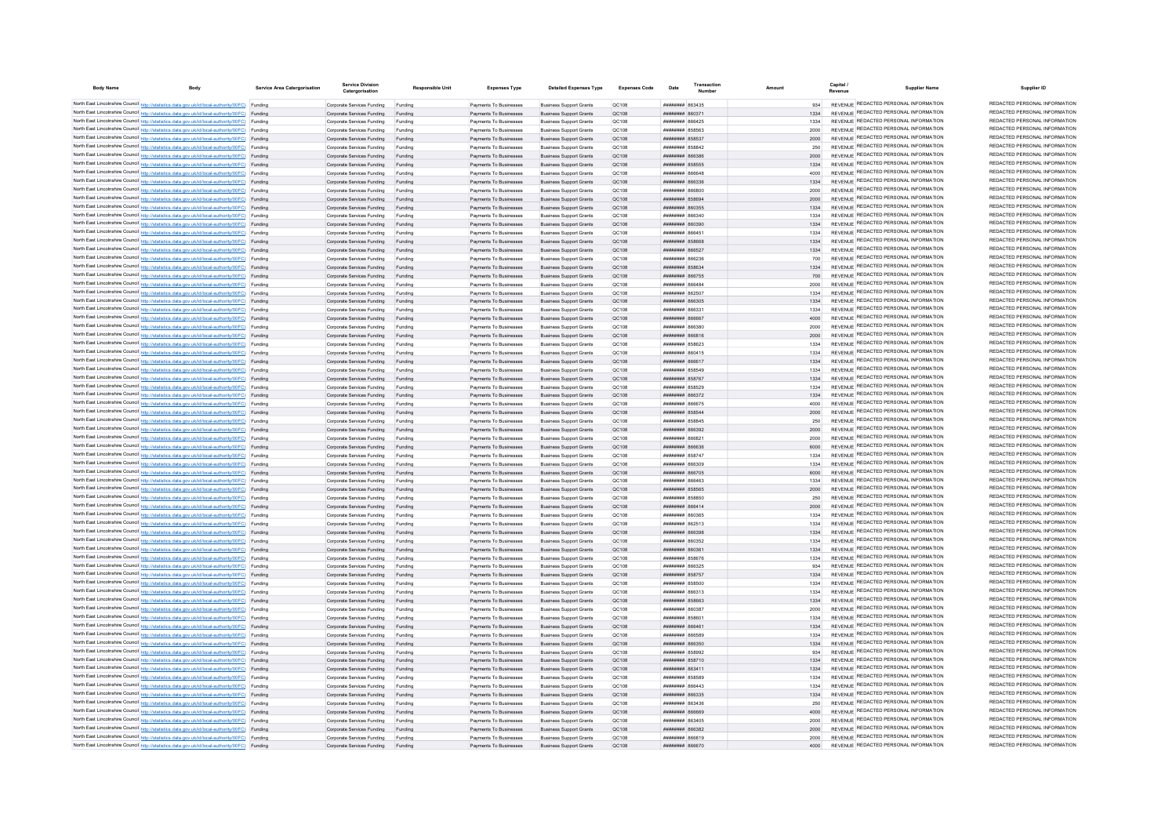| <b>Body Name</b> | Body                                                                                                                                                                                             | Service Area Catergorisation | <b>Service Division</b><br>Catergorisation                       | <b>Responsible Unit</b> | <b>Expenses Type</b>                             | <b>Detailed Expenses Type</b>                                    | <b>Expenses Code</b>  | Date                                            | Transaction |              | Capital | <b>Supplier Name</b>                                                           | Supplier ID                                                    |
|------------------|--------------------------------------------------------------------------------------------------------------------------------------------------------------------------------------------------|------------------------------|------------------------------------------------------------------|-------------------------|--------------------------------------------------|------------------------------------------------------------------|-----------------------|-------------------------------------------------|-------------|--------------|---------|--------------------------------------------------------------------------------|----------------------------------------------------------------|
|                  | North East Lincolnshire Council http://statistics.data.gov.uk/id/local-authority/00FC) Funding                                                                                                   |                              | Comorate Services Funding                                        | Funding                 | Payments To Businesses                           | <b>Business Support Grants</b>                                   | OC108                 | <b>BELGER MERSHER</b>                           |             | 934          |         | REVENUE REDACTED PERSONAL INFORMATION                                          | REDACTED PERSONAL INFORMATION                                  |
|                  | North East Lincolnshire Council http://statistics.data.gov.uk/id/local-authority/00FC) Funding                                                                                                   |                              | Corporate Services Funding                                       | Funding                 | Payments To Businesses                           | <b>Business Support Grants</b>                                   | OC108                 | FE038 <b>BERNHER</b>                            |             |              |         | REVENUE REDACTED PERSONAL INFORMATION                                          | REDACTED PERSONAL INFORMATION                                  |
|                  | North East Lincolnshire Council http://statistics.data.gov.uk/id/local-authority/00FC) Funding                                                                                                   |                              | Corporate Services Funding                                       | Funding                 | Payments To Businesses                           | <b>Business Support Grants</b>                                   | OC108                 | <b>плинини яб6425</b>                           |             | 1334         |         | REVENUE REDACTED PERSONAL INFORMATION                                          | REDACTED PERSONAL INFORMATION                                  |
|                  | North East Lincolnshire Council http://statistics.data.gov.uk/id/local-authority/00FC) Funding                                                                                                   |                              | Corporate Services Funding                                       | Funding                 | Payments To Businesses                           | <b>Business Support Grants</b>                                   | QC108                 | ####### 858563                                  |             | 2000         |         | REVENUE REDACTED PERSONAL INFORMATION                                          | REDACTED PERSONAL INFORMATION                                  |
|                  | North East Lincolnshire Council http://statistics.data.gov.uk/id/local-authority/00FC) Funding                                                                                                   |                              | Corporate Services Funding                                       | Funding                 | Payments To Businesses                           | <b>Business Support Grants</b>                                   | QC108                 | <b>ПИПИНИН</b> 858537                           |             | 2000         |         | REVENUE REDACTED PERSONAL INFORMATION                                          | REDACTED PERSONAL INFORMATION<br>REDACTED PERSONAL INFORMATION |
|                  | North East Lincolnshire Council http://statistics.data.gov.uk/id/local-authority/00FC) Funding                                                                                                   |                              | Corporate Services Funding                                       | Funding                 | Payments To Businesses                           | <b>Business Support Grants</b>                                   | OC108                 | <b>HHHHHHH</b> 858842                           |             | 250          |         | REVENUE REDACTED PERSONAL INFORMATION<br>REVENUE REDACTED PERSONAL INFORMATION | REDACTED PERSONAL INFORMATION                                  |
|                  | North East Lincolnshire Council http://statistics.data.gov.uk/id/local-authority/00FC) Funding<br>North East Lincolnshire Council http://statistics.data.gov.uk/id/local-authority/00FC) Funding |                              | Corporate Services Funding<br>Corporate Services Funding         | Funding<br>Funding      | Payments To Businesses<br>Payments To Businesses | <b>Business Support Grants</b><br><b>Business Support Grants</b> | OC108<br>OC108        | <b>плиннин</b> 866386<br><b>######## 858555</b> |             | 2000<br>1334 |         | REVENUE REDACTED PERSONAL INFORMATION                                          | REDACTED PERSONAL INFORMATION                                  |
|                  | North East Lincolnshire Council http://statistics.data.gov.uk/id/local-authority/00FC) Funding                                                                                                   |                              | Corporate Services Funding                                       | Funding                 | Payments To Businesses                           | <b>Business Support Grants</b>                                   | OC108                 | BASSA HERBERT                                   |             | 4000         |         | REVENUE REDACTED PERSONAL INFORMATION                                          | REDACTED PERSONAL INFORMATION                                  |
|                  | North East Lincolnshire Council http://statistics.data.gov.uk/id/local-authority/00FC) Funding                                                                                                   |                              | Corporate Services Funding Funding                               |                         | Payments To Businesses                           | <b>Business Support Grants</b>                                   | QC108                 | ######## 866336                                 |             | 1334         |         | REVENUE REDACTED PERSONAL INFORMATION                                          | REDACTED PERSONAL INFORMATION                                  |
|                  | North East Lincolnshire Council http://statistics.data.gov.uk/id/local-authority/00FC) Funding                                                                                                   |                              | Corporate Services Funding                                       | Funding                 | Payments To Businesses                           | <b>Business Support Grants</b>                                   | QC108                 | ######## 866800                                 |             | 2000         |         | REVENUE REDACTED PERSONAL INFORMATION                                          | REDACTED PERSONAL INFORMATION                                  |
|                  | North East Lincolnshire Council http://statistics.data.gov.uk/id/local-authority/00FC) Funding                                                                                                   |                              | Corporate Services Funding                                       | Funding                 | Payments To Businesses                           | <b>Business Support Grants</b>                                   | OC108                 | <b>######## 858694</b>                          |             | 2000         |         | REVENUE REDACTED PERSONAL INFORMATION                                          | REDACTED PERSONAL INFORMATION                                  |
|                  | North East Lincolnshire Council http://statistics.data.gov.uk/id/local-authority/00FC) Funding                                                                                                   |                              | Corporate Services Funding                                       | Funding                 | Payments To Businesses                           | <b>Business Sunnort Grants</b>                                   | OC108                 | ######## 860355                                 |             | 1334         |         | REVENUE REDACTED PERSONAL INFORMATION                                          | REDACTED PERSONAL INFORMATION                                  |
|                  | North East Lincolnshire Council http://statistics.data.gov.uk/id/local-authority/00FC) Funding                                                                                                   |                              | Corporate Services Funding                                       | Funding                 | Payments To Businesses                           | <b>Business Support Grants</b>                                   | OC108                 | 145338 HHHHHHH                                  |             | 1334         |         | REVENUE REDACTED PERSONAL INFORMATION                                          | REDACTED PERSONAL INFORMATION                                  |
|                  | North East Lincolnshire Council http://statistics.data.gov.uk/id/local-authority/00FC) Funding                                                                                                   |                              | Corporate Services Funding                                       | Funding                 | Payments To Businesses                           | <b>Business Support Grants</b>                                   | QC108                 | ######## 860390                                 |             | 1334         |         | <b>REVENUE REDACTED PERSONAL INFORMATION</b>                                   | REDACTED PERSONAL INFORMATION                                  |
|                  | North East Lincolnshire Council http://statistics.data.gov.uk/id/local-authority/00FC) Funding                                                                                                   |                              | Corporate Services Funding                                       |                         | Payments To Businesses                           | <b>Business Support Grants</b>                                   | QC108                 | BASS NUMBER                                     |             | 1334         |         | REVENUE REDACTED PERSONAL INFORMATION                                          | REDACTED PERSONAL INFORMATION                                  |
|                  | North East Lincolnshire Council http://statistics.data.gov.uk/id/local-authority/00FC) Funding                                                                                                   |                              | Corporate Services Funding                                       | Funding                 | Payments To Businesses                           | <b>Business Support Grants</b>                                   | QC108                 | <b><i>HHHHHHHH BERGAR</i></b>                   |             | 1334         |         | REVENUE REDACTED PERSONAL INFORMATION                                          | REDACTED PERSONAL INFORMATION<br>REDACTED PERSONAL INFORMATION |
|                  | North East Lincolnshire Council http://statistics.data.gov.uk/id/local-authority/00FC) Funding                                                                                                   |                              | Corporate Services Funding                                       | Funding                 | Payments To Businesses                           | <b>Business Support Grants</b>                                   | OC108                 | ######## 866527                                 |             | 1334         |         | REVENUE REDACTED PERSONAL INFORMATION<br>REVENUE REDACTED PERSONAL INFORMATION | REDACTED PERSONAL INFORMATION                                  |
|                  | North East Lincolnshire Council http://statistics.data.gov.uk/id/local-authority/00FC) Funding                                                                                                   |                              | Corporate Services Funding                                       | Funding                 | Payments To Businesses                           | <b>Business Support Grants</b>                                   | OC108<br>OC108        | <b>плинини 866236</b><br>######## 858634        |             | 700<br>1334  |         | REVENUE REDACTED PERSONAL INFORMATION                                          | REDACTED PERSONAL INFORMATION                                  |
|                  | North East Lincolnshire Council http://statistics.data.gov.uk/id/local-authority/00FC) Funding<br>North East Lincolnshire Council http://statistics.data.gov.uk/id/local-authority/00FC) Funding |                              | Corporate Services Funding<br>Corporate Services Funding         | Funding<br>Funding      | Payments To Businesses<br>Payments To Businesses | <b>Business Support Grants</b><br><b>Business Support Grants</b> | QC108                 | ######## 866755                                 |             |              |         | REVENUE REDACTED PERSONAL INFORMATION                                          | REDACTED PERSONAL INFORMATION                                  |
|                  | North East Lincolnshire Council http://statistics.data.gov.uk/id/local-authority/00FC) Funding                                                                                                   |                              | Corporate Services Funding                                       | Funding                 | Payments To Businesses                           | <b>Business Support Grants</b>                                   | QC108                 | ######## 866484                                 |             |              |         | REVENUE REDACTED PERSONAL INFORMATION                                          | REDACTED PERSONAL INFORMATION                                  |
|                  | North East Lincolnshire Council http://statistics.data.gov.uk/id/local-authority/00FC) Funding                                                                                                   |                              | Corporate Services Funding                                       | Funding                 | Payments To Businesses                           | <b>Business Support Grants</b>                                   | QC108                 | ######## 862507                                 |             | 1334         |         | REVENUE REDACTED PERSONAL INFORMATION                                          | REDACTED PERSONAL INFORMATION                                  |
|                  | North East Lincolnshire Council http://statistics.data.gov.uk/id/local-authority/00FC) Funding                                                                                                   |                              | Corporate Services Funding                                       | Funding                 | Payments To Businesses                           | <b>Business Support Grants</b>                                   | OC108                 | ######## 866305                                 |             | 1334         |         | REVENUE REDACTED PERSONAL INFORMATION                                          | REDACTED PERSONAL INFORMATION                                  |
|                  | North East Lincolnshire Council http://statistics.data.gov.uk/id/local-authority/00FC) Funding                                                                                                   |                              | Corporate Services Funding                                       | Funding                 | Payments To Businesses                           | <b>Business Support Grants</b>                                   | OC108                 | ггаан минини                                    |             | 1334         |         | REVENUE REDACTED PERSONAL INFORMATION                                          | REDACTED PERSONAL INFORMATION                                  |
|                  | North East Lincolnshire Council http://statistics.data.gov.uk/id/local-authority/00FC) Funding                                                                                                   |                              | Corporate Services Funding                                       | Funding                 | Payments To Businesses                           | <b>Business Support Grants</b>                                   | QC108                 | ######## 866667                                 |             | 4000         |         | REVENUE REDACTED PERSONAL INFORMATION                                          | REDACTED PERSONAL INFORMATION                                  |
|                  | North East Lincolnshire Council http://statistics.data.gov.uk/id/local-authority/00FC) Funding                                                                                                   |                              | Corporate Services Funding                                       | Funding                 | Payments To Businesse                            | <b>Business Support Grants</b>                                   | QC108                 | ####### 86638                                   |             | 2000         |         | REVENUE REDACTED PERSONAL INFORMATION                                          | REDACTED PERSONAL INFORMATION                                  |
|                  | North East Lincolnshire Council http://statistics.data.gov.uk/id/local-authority/00FC) Funding                                                                                                   |                              | Corporate Services Funding                                       | Funding                 | Payments To Businesses                           | <b>Business Support Grants</b>                                   | QC108                 | ####### 866816                                  |             | 2000         |         | REVENUE REDACTED PERSONAL INFORMATION                                          | REDACTED PERSONAL INFORMATION                                  |
|                  | North East Lincolnshire Council http://statistics.data.gov.uk/id/local-authority/00FC) Funding                                                                                                   |                              | Corporate Services Funding                                       | Funding                 | Payments To Businesses                           | <b>Business Support Grants</b>                                   | QC108                 | <b>пппппппп</b> 858623                          |             | 1334         |         | REVENUE REDACTED PERSONAL INFORMATION                                          | REDACTED PERSONAL INFORMATION                                  |
|                  | North East Lincolnshire Council http://statistics.data.gov.uk/id/local-authority/00FC) Funding                                                                                                   |                              | Corporate Services Funding                                       | Funding                 | Payments To Businesses                           | <b>Business Support Grants</b>                                   | OC108                 | <b>ПЕПЕННИН</b> 860415                          |             | 1334         |         | REVENUE REDACTED PERSONAL INFORMATION                                          | REDACTED PERSONAL INFORMATION                                  |
|                  | North East Lincolnshire Council http://statistics.data.gov.uk/id/local-authority/00FC) Funding                                                                                                   |                              | Corporate Services Funding                                       | Funding                 | Payments To Businesses                           | <b>Business Support Grants</b>                                   | OC108                 | плинини 866617                                  |             | 1334         |         | REVENUE REDACTED PERSONAL INFORMATION                                          | REDACTED PERSONAL INFORMATION<br>REDACTED PERSONAL INFORMATION |
|                  | North East Lincolnshire Council http://statistics.data.gov.uk/id/local-authority/00FC) Funding                                                                                                   |                              | Corporate Services Funding                                       | Funding                 | Payments To Businesses                           | <b>Business Support Grants</b>                                   | QC108                 | ######## 858549                                 |             | 1334         |         | REVENUE REDACTED PERSONAL INFORMATION<br>REVENUE REDACTED PERSONAL INFORMATION | REDACTED PERSONAL INFORMATION                                  |
|                  | North East Lincolnshire Council http://statistics.data.gov.uk/id/local-authority/00FC) Funding                                                                                                   |                              | Corporate Services Funding Funding                               |                         | Payments To Businesses                           | <b>Business Support Grants</b>                                   | QC108                 | ######## 858767                                 |             |              |         | REVENUE REDACTED PERSONAL INFORMATION                                          | REDACTED PERSONAL INFORMATION                                  |
|                  | North East Lincolnshire Council http://statistics.data.gov.uk/id/local-authority/00FC) Funding<br>North East Lincolnshire Council http://statistics.data.gov.uk/id/local-authority/00FC) Funding |                              | Corporate Services Funding<br>Corporate Services Funding Funding | Funding                 | Payments To Businesses<br>Payments To Businesses | <b>Business Support Grants</b><br><b>Business Support Grants</b> | QC108<br>QC108        | ######## 858529<br>######## 866372              |             | 1334<br>1334 |         | REVENUE REDACTED PERSONAL INFORMATION                                          | REDACTED PERSONAL INFORMATION                                  |
|                  | North East Lincolnshire Council http://statistics.data.gov.uk/id/local-authority/00FC) Funding                                                                                                   |                              | Corporate Services Funding                                       | Funding                 | Payments To Businesses                           | <b>Business Support Grants</b>                                   | OC108                 | <b>плиннин</b> 866675                           |             | 4000         |         | REVENUE REDACTED PERSONAL INFORMATION                                          | REDACTED PERSONAL INFORMATION                                  |
|                  | North East Lincolnshire Council http://statistics.data.gov.uk/id/local-authority/00FC) Funding                                                                                                   |                              | Corporate Services Funding                                       | Funding                 | Payments To Businesses                           | <b>Business Support Grants</b>                                   | OC108                 | <b>пппппппп</b> 858544                          |             | 2000         |         | REVENUE REDACTED PERSONAL INFORMATION                                          | REDACTED PERSONAL INFORMATION                                  |
|                  | North East Lincolnshire Council http://statistics.data.gov.uk/id/local-authority/00FC) Funding                                                                                                   |                              | Corporate Services Funding                                       | Funding                 | Payments To Businesses                           | <b>Business Support Grants</b>                                   | OC108                 | ####### 858845                                  |             | 250          |         | REVENUE REDACTED PERSONAL INFORMATION                                          | REDACTED PERSONAL INFORMATION                                  |
|                  | North East Lincolnshire Council http://statistics.data.gov.uk/id/local-authority/00FC) Funding                                                                                                   |                              | Corporate Services Funding                                       | Funding                 | Payments To Businesses                           | <b>Business Support Grants</b>                                   | QC108                 | ######## 866392                                 |             | 2000         |         | REVENUE REDACTED PERSONAL INFORMATION                                          | REDACTED PERSONAL INFORMATION                                  |
|                  | North East Lincolnshire Council http://statistics.data.gov.uk/id/local-authority/00FC) Funding                                                                                                   |                              | Corporate Services Funding                                       | Funding                 | Payments To Businesses                           | <b>Business Support Grants</b>                                   | QC108                 | ####### 86682                                   |             | 2000         |         | REVENUE REDACTED PERSONAL INFORMATION                                          | REDACTED PERSONAL INFORMATION                                  |
|                  | North East Lincolnshire Council http://statistics.data.gov.uk/id/local-authority/00FC) Funding                                                                                                   |                              | Corporate Services Funding                                       |                         | Payments To Businesses                           | <b>Business Support Grants</b>                                   | QC108                 | ######## 866636                                 |             | 6000         |         | REVENUE REDACTED PERSONAL INFORMATION                                          | REDACTED PERSONAL INFORMATION                                  |
|                  | North East Lincolnshire Council http://statistics.data.gov.uk/id/local-authority/00FC) Funding                                                                                                   |                              | Corporate Services Funding                                       | Funding                 | Payments To Businesses                           | <b>Business Support Grants</b>                                   | OC108                 | <b>пппппппп</b> 858747                          |             | 1334         |         | REVENUE REDACTED PERSONAL INFORMATION                                          | REDACTED PERSONAL INFORMATION                                  |
|                  | North East Lincolnshire Council http://statistics.data.gov.uk/id/local-authority/00FC) Funding                                                                                                   |                              | Corporate Services Funding                                       | Funding                 | Payments To Businesses                           | <b>Business Support Grants</b>                                   | QC108                 | ROS338 BRBBBBBB                                 |             | 1334         |         | REVENUE REDACTED PERSONAL INFORMATION                                          | REDACTED PERSONAL INFORMATION                                  |
|                  | North East Lincolnshire Council http://statistics.data.gov.uk/id/local-authority/00FC) Funding                                                                                                   |                              | Corporate Services Funding                                       | Funding                 | Payments To Businesses                           | <b>Business Support Grants</b>                                   | QC108                 | ######## 866705                                 |             | 6000         |         | REVENUE REDACTED PERSONAL INFORMATION                                          | REDACTED PERSONAL INFORMATION                                  |
|                  | North East Lincolnshire Council http://statistics.data.gov.uk/id/local-authority/00FC) Funding                                                                                                   |                              | Corporate Services Funding                                       | Funding                 | Payments To Businesses                           | <b>Business Support Grants</b>                                   | QC108                 | ######## 866463                                 |             | 1334         |         | REVENUE REDACTED PERSONAL INFORMATION<br>REVENUE REDACTED PERSONAL INFORMATION | REDACTED PERSONAL INFORMATION<br>REDACTED PERSONAL INFORMATION |
|                  | North East Lincolnshire Council http://statistics.data.gov.uk/id/local-authority/00FC) Funding                                                                                                   |                              | Corporate Services Funding                                       | Funding                 | Payments To Businesses                           | <b>Business Support Grants</b>                                   | QC108                 | ####### 858565                                  |             | 2000         |         | REVENUE REDACTED PERSONAL INFORMATION                                          | REDACTED PERSONAL INFORMATION                                  |
|                  | North East Lincolnshire Council http://statistics.data.gov.uk/id/local-authority/00FC) Funding<br>North East Lincolnshire Council http://statistics.data.gov.uk/id/local-authority/00FC) Funding |                              | Corporate Services Funding<br>Corporate Services Funding         | Funding<br>Funding      | Payments To Businesses<br>Payments To Businesses | <b>Business Support Grants</b><br><b>Business Support Grants</b> | QC108<br><b>QC108</b> | ######## 858850<br>######## 866414              |             | 250<br>2000  |         | REVENUE REDACTED PERSONAL INFORMATION                                          | REDACTED PERSONAL INFORMATION                                  |
|                  | North East Lincolnshire Council http://statistics.data.gov.uk/id/local-authority/00FC) Funding                                                                                                   |                              | Corporate Services Funding                                       | Funding                 | Payments To Businesses                           | <b>Business Support Grants</b>                                   | QC10R                 | ######## 860365                                 |             | 1334         |         | REVENUE REDACTED PERSONAL INFORMATION                                          | REDACTED PERSONAL INFORMATION                                  |
|                  | North East Lincolnshire Council http://statistics.data.gov.uk/id/local-authority/00FC) Funding                                                                                                   |                              | Corporate Services Funding                                       | Funding                 | Payments To Businesses                           | <b>Business Support Grants</b>                                   | QC108                 | ######## 862513                                 |             | 1334         |         | REVENUE REDACTED PERSONAL INFORMATION                                          | REDACTED PERSONAL INFORMATION                                  |
|                  | North East Lincolnshire Council http://statistics.data.gov.uk/id/local-authority/00FC) Funding                                                                                                   |                              | Corporate Services Funding                                       | Funding                 | Payments To Businesses                           | <b>Business Support Grants</b>                                   | QC108                 | ######## 866398                                 |             | 1334         |         | REVENUE REDACTED PERSONAL INFORMATION                                          | REDACTED PERSONAL INFORMATION                                  |
|                  | North East Lincolnshire Council http://statistics.data.gov.uk/id/local-authority/00FC) Funding                                                                                                   |                              | Corporate Services Funding                                       | Funding                 | Payments To Businesses                           | <b>Business Support Grants</b>                                   | QC108                 | ######## 860352                                 |             | 1334         |         | REVENUE REDACTED PERSONAL INFORMATION                                          | REDACTED PERSONAL INFORMATION                                  |
|                  | North East Lincolnshire Council http://statistics.data.gov.uk/id/local-authority/00FC) Funding                                                                                                   |                              | Corporate Services Funding                                       |                         | Payments To Businesses                           | <b>Business Support Grants</b>                                   | QC108                 | ######## 860361                                 |             | 1334         |         | REVENUE REDACTED PERSONAL INFORMATION                                          | REDACTED PERSONAL INFORMATION                                  |
|                  | North East Lincolnshire Council http://statistics.data.gov.uk/id/local-authority/00FC) Funding                                                                                                   |                              | Corporate Services Funding                                       | Funding                 | Payments To Businesses                           | <b>Business Support Grants</b>                                   | QC108                 | <b><i>HHHHHHH 858676</i></b>                    |             | 1334         |         | REVENUE REDACTED PERSONAL INFORMATION                                          | REDACTED PERSONAL INFORMATION                                  |
|                  | North East Lincolnshire Council http://statistics.data.gov.uk/id/local-authority/00FC) Funding                                                                                                   |                              | Corporate Services Funding                                       | Funding                 | Payments To Businesses                           | <b>Business Support Grants</b>                                   | QC108                 | ######## 866325                                 |             | 934          |         | REVENUE REDACTED PERSONAL INFORMATION                                          | REDACTED PERSONAL INFORMATION                                  |
|                  | North East Lincolnshire Council http://statistics.data.gov.uk/id/local-authority/00FC) Funding                                                                                                   |                              | Corporate Services Funding                                       | Funding                 | Payments To Businesses                           | <b>Business Support Grants</b>                                   | QC108                 | ######## 858757                                 |             | 1334         |         | REVENUE REDACTED PERSONAL INFORMATION                                          | REDACTED PERSONAL INFORMATION                                  |
|                  | North East Lincolnshire Council http://statistics.data.gov.uk/id/local-authority/00FC) Funding                                                                                                   |                              | Corporate Services Funding                                       | Funding                 | Payments To Businesses                           | <b>Business Support Grants</b>                                   | QC108                 | ######## 858500                                 |             | 1334         |         | REVENUE REDACTED PERSONAL INFORMATION                                          | REDACTED PERSONAL INFORMATION<br>REDACTED PERSONAL INFORMATION |
|                  | North East Lincolnshire Council http://statistics.data.gov.uk/id/local-authority/00FC) Funding                                                                                                   |                              | Corporate Services Funding                                       | Funding                 | Payments To Businesses                           | <b>Business Support Grants</b>                                   | OC108                 | ######## 866313                                 |             | 1334         |         | REVENUE REDACTED PERSONAL INFORMATION<br>REVENUE REDACTED PERSONAL INFORMATION | REDACTED PERSONAL INFORMATION                                  |
|                  | North East Lincolnshire Council http://statistics.data.gov.uk/id/local-authority/00FC) Funding                                                                                                   |                              | Corporate Services Funding Funding                               |                         | Payments To Businesses                           | <b>Business Support Grants</b>                                   | OC108                 | ######## 858663<br>тягола вванные               |             | 1334<br>2000 |         | REVENUE REDACTED PERSONAL INFORMATION                                          | REDACTED PERSONAL INFORMATION                                  |
|                  | North East Lincolnshire Council http://statistics.data.gov.uk/id/local-authority/00FC) Funding<br>North East Lincolnshire Council http://statistics.data.gov.uk/id/local-authority/00FC) Funding |                              | Corporate Services Funding                                       | Funding<br>Funding      | Payments To Businesses<br>Payments To Businesses | <b>Business Support Grants</b><br><b>Business Support Grants</b> | OC108<br>QC108        | ######## 85860                                  |             | 1334         |         | REVENUE REDACTED PERSONAL INFORMATION                                          | REDACTED PERSONAL INFORMATION                                  |
|                  | North East Lincolnshire Council http://statistics.data.gov.uk/id/local-authority/00FC) Funding                                                                                                   |                              | Corporate Services Funding<br>Comorate Services Funding          | Funding                 | Payments To Businesses                           | <b>Business Support Grants</b>                                   | OC108                 | ######## 866461                                 |             | 1334         |         | REVENUE REDACTED PERSONAL INFORMATION                                          | REDACTED PERSONAL INFORMATION                                  |
|                  | North East Lincolnshire Council http://statistics.data.gov.uk/id/local-authority/00FC) Funding                                                                                                   |                              | Corporate Services Funding                                       | Funding                 | Payments To Businesses                           | <b>Business Support Grants</b>                                   | OC108                 | <b>CA2338 REBUILDER</b>                         |             | 1334         |         | REVENUE REDACTED PERSONAL INFORMATION                                          | REDACTED PERSONAL INFORMATION                                  |
|                  | North East Lincolnshire Council http://statistics.data.gov.uk/id/local-authority/00FC) Funding                                                                                                   |                              | Corporate Services Funding                                       |                         | Payments To Businesses                           | <b>Business Support Grants</b>                                   | QC108                 | <b>лининин</b> 866350                           |             | 1334         |         | REVENUE REDACTED PERSONAL INFORMATION                                          | REDACTED PERSONAL INFORMATION                                  |
|                  | North East Lincolnshire Council http://statistics.data.gov.uk/id/local-authority/00FC) Funding                                                                                                   |                              | Corporate Services Funding                                       |                         | Payments To Businesses                           | <b>Business Support Grants</b>                                   | OC108                 | <b>########</b> 858993                          |             | 934          |         | REVENUE REDACTED PERSONAL INFORMATION                                          | REDACTED PERSONAL INFORMATION                                  |
|                  | North East Lincolnshire Council http://statistics.data.gov.uk/id/local-authority/00FC) Funding                                                                                                   |                              | Corporate Services Funding                                       | Funding                 | Payments To Businesses                           | <b>Business Support Grants</b>                                   | OC108                 | <b><i>HHHHHHHH 858710</i></b>                   |             | 1334         |         | REVENUE REDACTED PERSONAL INFORMATION                                          | REDACTED PERSONAL INFORMATION                                  |
|                  | North East Lincolnshire Council http://statistics.data.gov.uk/id/local-authority/00FC) Funding                                                                                                   |                              | Corporate Services Funding                                       | Funding                 | Payments To Businesses                           | <b>Business Support Grants</b>                                   | OC108                 | <b>пппппппп</b> 863411                          |             | 1334         |         | REVENUE REDACTED PERSONAL INFORMATION                                          | REDACTED PERSONAL INFORMATION                                  |
|                  | North East Lincolnshire Council http://statistics.data.gov.uk/id/local-authority/00FC) Funding                                                                                                   |                              | Corporate Services Funding                                       | Funding                 | Payments To Businesses                           | <b>Business Sunnort Grants</b>                                   | OC108                 | <b>HHHHHHH 858589</b>                           |             | 1334         |         | REVENUE REDACTED PERSONAL INFORMATION                                          | REDACTED PERSONAL INFORMATION                                  |
|                  | North East Lincolnshire Council http://statistics.data.gov.uk/id/local-authority/00FC) Funding                                                                                                   |                              | Corporate Services Funding                                       | Funding                 | Payments To Businesses                           | <b>Business Support Grants</b>                                   | OC108                 | <b>пининин</b> 866443                           |             | 1334         |         | REVENUE REDACTED PERSONAL INFORMATION                                          | REDACTED PERSONAL INFORMATION                                  |
|                  | North East Lincolnshire Council http://statistics.data.gov.uk/id/local-authority/00FC) Funding                                                                                                   |                              | Corporate Services Funding                                       | Funding                 | Payments To Businesses                           | <b>Business Support Grants</b>                                   | QC108                 | ######## 866335                                 |             | 1334         |         | REVENUE REDACTED PERSONAL INFORMATION                                          | REDACTED PERSONAL INFORMATION                                  |
|                  | North East Lincolnshire Council http://statistics.data.gov.uk/id/local-authority/00FC) Funding                                                                                                   |                              | Corporate Services Funding                                       | Funding                 | Payments To Businesses                           | <b>Business Support Grants</b>                                   | QC108                 | ######## 863436                                 |             | 250          |         | REVENUE REDACTED PERSONAL INFORMATION                                          | REDACTED PERSONAL INFORMATION                                  |
|                  | North East Lincolnshire Council http://statistics.data.gov.uk/id/local-authority/00FC) Funding                                                                                                   |                              | Corporate Services Funding                                       | Funding                 | Payments To Businesses                           | <b>Business Support Grants</b>                                   | QC108                 | RASAR MMMMMMM                                   |             | 4000         |         | REVENUE REDACTED PERSONAL INFORMATION<br>REVENUE REDACTED PERSONAL INFORMATION | REDACTED PERSONAL INFORMATION<br>REDACTED PERSONAL INFORMATION |
|                  | North East Lincolnshire Council http://statistics.data.gov.uk/id/local-authority/00FC) Funding                                                                                                   |                              | Corporate Services Funding                                       | Funding                 | Payments To Businesses                           | <b>Business Support Grants</b>                                   | OC108                 | ######## 863405                                 |             | 2000         |         | REVENUE REDACTED PERSONAL INFORMATION                                          | REDACTED PERSONAL INFORMATION                                  |
|                  | North East Lincolnshire Council http://statistics.data.gov.uk/id/local-authority/00FC) Funding<br>North East Lincolnshire Council http://statistics.data.gov.uk/id/local-authority/00FC) Funding |                              | Corporate Services Funding<br>Corporate Services Funding         | Funding<br>Funding      | Payments To Businesses<br>Payments To Businesses | <b>Business Support Grants</b><br><b>Business Support Grants</b> | OC108<br>OC108        | <b>ПЕПЕЦИИ ВЕСЗВ?</b><br><b>RASAR MENSIONER</b> |             | 2000<br>2000 |         | REVENUE REDACTED PERSONAL INFORMATION                                          | REDACTED PERSONAL INFORMATION                                  |
|                  | North East Lincolnshire Council http://statistics.data.gov.uk/id/local-authority/00FC) Funding                                                                                                   |                              | Corporate Services Funding                                       | Funding                 | Payments To Businesses                           | <b>Business Support Grants</b>                                   | OC108                 | <b>NASA NEBRUARES</b>                           |             | 4000         |         | REVENUE REDACTED PERSONAL INFORMATION                                          | REDACTED PERSONAL INFORMATION                                  |
|                  |                                                                                                                                                                                                  |                              |                                                                  |                         |                                                  |                                                                  |                       |                                                 |             |              |         |                                                                                |                                                                |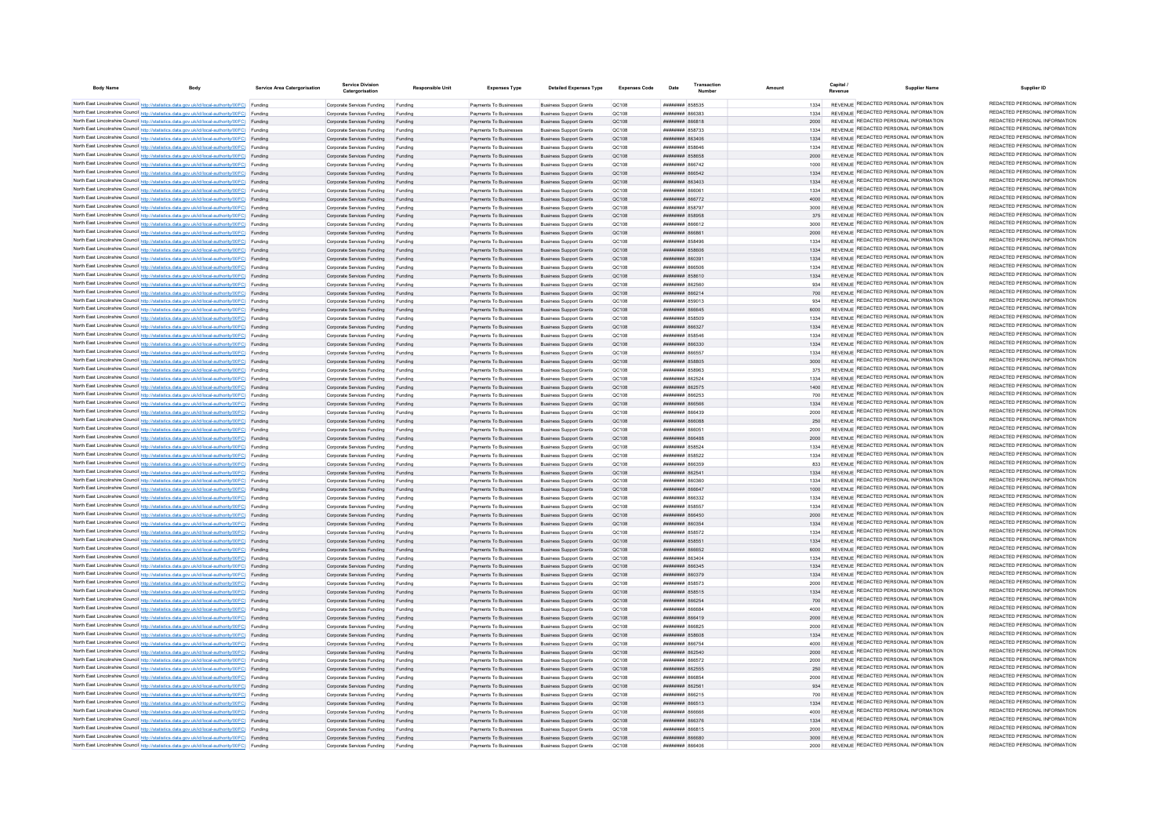| <b>Body Name</b> | <b>Body</b>                                                                                                                                                                                      | Service Area Catergorisatio | <b>Service Division</b><br>Catergorisation               | <b>Responsible Unit</b> | <b>Expenses Type</b>                             | <b>Detailed Expenses Type</b>                                    | <b>Expenses Code</b>         | Date                                             | Transaction |              | Capital /<br><b>Supplier Name</b><br>Revenue                                   | Supplier ID                                                    |
|------------------|--------------------------------------------------------------------------------------------------------------------------------------------------------------------------------------------------|-----------------------------|----------------------------------------------------------|-------------------------|--------------------------------------------------|------------------------------------------------------------------|------------------------------|--------------------------------------------------|-------------|--------------|--------------------------------------------------------------------------------|----------------------------------------------------------------|
|                  | North East Lincolnshire Council http://statistics.data.gov.uk/id/local-authority/00FC) Funding                                                                                                   |                             | Comorate Services Funding                                | Funding                 | Payments To Businesses                           | <b>Business Support Grants</b>                                   | OC108                        | <b>####### 858535</b>                            |             | 1334         | REVENUE REDACTED PERSONAL INFORMATION                                          | REDACTED PERSONAL INFORMATION                                  |
|                  | North East Lincolnshire Council http://statistics.data.gov.uk/id/local-authority/00FC) Funding                                                                                                   |                             | Corporate Services Funding                               | Funding                 | Payments To Businesses                           | <b>Business Support Grants</b>                                   | OC108                        | EREAR NUNNUN                                     |             | 1334         | REVENUE REDACTED PERSONAL INFORMATION                                          | REDACTED PERSONAL INFORMATION                                  |
|                  | North East Lincolnshire Council http://statistics.data.gov.uk/id/local-authority/00FC) Funding                                                                                                   |                             | Corporate Services Funding                               | Funding                 | Payments To Businesses                           | <b>Business Support Grants</b>                                   | OC108                        | 818888 #######                                   |             | 2000         | REVENUE REDACTED PERSONAL INFORMATION                                          | REDACTED PERSONAL INFORMATION                                  |
|                  | North East Lincolnshire Council http://statistics.data.gov.uk/id/local-authority/00FC) Funding                                                                                                   |                             | Corporate Services Funding                               | Funding                 | Payments To Businesses                           | <b>Business Support Grants</b>                                   | QC108                        | <b>########</b> 858733                           |             | 1334         | REVENUE REDACTED PERSONAL INFORMATION                                          | REDACTED PERSONAL INFORMATION                                  |
|                  | North East Lincolnshire Council http://statistics.data.gov.uk/id/local-authority/00FC) Funding                                                                                                   |                             | Corporate Services Funding                               | Funding                 | Payments To Businesses                           | <b>Business Support Grants</b>                                   | QC108                        | <b>аливини в калении</b>                         |             | 1334         | REVENUE REDACTED PERSONAL INFORMATION                                          | REDACTED PERSONAL INFORMATION                                  |
|                  | North East Lincolnshire Council http://statistics.data.gov.uk/id/local-authority/00FC) Funding                                                                                                   |                             | Corporate Services Funding                               | Funding                 | Payments To Businesses                           | <b>Business Support Grants</b>                                   | QC108                        | ####### 858646                                   |             | 1334         | REVENUE REDACTED PERSONAL INFORMATION<br>REVENUE REDACTED PERSONAL INFORMATION | REDACTED PERSONAL INFORMATION<br>REDACTED PERSONAL INFORMATION |
|                  | North East Lincolnshire Council http://statistics.data.gov.uk/id/local-authority/00FC) Funding<br>North East Lincolnshire Council http://statistics.data.gov.uk/id/local-authority/00FC) Funding |                             | Corporate Services Funding                               | Funding<br>Funding      | Payments To Businesses<br>Payments To Businesses | <b>Business Sunnort Grants</b><br><b>Business Support Grants</b> | OC:108<br>OC108              | <b>######## 858658</b><br><b>пппппппп</b> 866742 |             | 2000<br>1000 | REVENUE REDACTED PERSONAL INFORMATION                                          | REDACTED PERSONAL INFORMATION                                  |
|                  | North East Lincolnshire Council http://statistics.data.gov.uk/id/local-authority/00FC) Funding                                                                                                   |                             | Corporate Services Funding<br>Corporate Services Funding | Funding                 | Payments To Businesses                           | <b>Business Support Grants</b>                                   | OC108                        | <b>пппппппп</b> 866542                           |             | 1334         | REVENUE REDACTED PERSONAL INFORMATION                                          | REDACTED PERSONAL INFORMATION                                  |
|                  | North East Lincolnshire Council http://statistics.data.gov.uk/id/local-authority/00FC) Funding                                                                                                   |                             | Corporate Services Funding Funding                       |                         | Payments To Businesses                           | <b>Business Support Grants</b>                                   | QC108                        | <b>########</b> 863403                           |             | 1334         | REVENUE REDACTED PERSONAL INFORMATION                                          | REDACTED PERSONAL INFORMATION                                  |
|                  | North East Lincolnshire Council http://statistics.data.gov.uk/id/local-authority/00FC) Funding                                                                                                   |                             | Corporate Services Funding                               | Funding                 | Payments To Businesses                           | <b>Business Support Grants</b>                                   | QC108                        | ####### 866061                                   |             | 1334         | REVENUE REDACTED PERSONAL INFORMATION                                          | REDACTED PERSONAL INFORMATION                                  |
|                  | North East Lincolnshire Council http://statistics.data.gov.uk/id/local-authority/00FC) Funding                                                                                                   |                             | Corporate Services Funding                               | Funding                 | Payments To Businesses                           | <b>Business Support Grants</b>                                   | OC108                        | <b><i>BRENHHHH</i></b> 866772                    |             | 4000         | REVENUE REDACTED PERSONAL INFORMATION                                          | REDACTED PERSONAL INFORMATION                                  |
|                  | North East Lincolnshire Council http://statistics.data.gov.uk/id/local-authority/00FC) Funding                                                                                                   |                             | Corporate Services Funding                               | Funding                 | Payments To Businesses                           | <b>Business Support Grants</b>                                   | <b>OC108</b>                 | <i>88888888 858797</i>                           |             | 3000         | REVENUE REDACTED PERSONAL INFORMATION                                          | REDACTED PERSONAL INFORMATION                                  |
|                  | North East Lincolnshire Council http://statistics.data.gov.uk/id/local-authority/00FC) Funding                                                                                                   |                             | Corporate Services Funding                               | Funding                 | Payments To Businesses                           | <b>Business Support Grants</b>                                   | OC108                        | ######## 858958                                  |             | 375          | REVENUE REDACTED PERSONAL INFORMATION                                          | REDACTED PERSONAL INFORMATION                                  |
|                  | North East Lincolnshire Council http://statistics.data.gov.uk/id/local-authority/00FC) Funding                                                                                                   |                             | Corporate Services Funding                               | Funding                 | Payments To Businesses                           | <b>Business Support Grants</b>                                   | QC108                        | ######## 866612                                  |             |              | REVENUE REDACTED PERSONAL INFORMATION                                          | REDACTED PERSONAL INFORMATION                                  |
|                  | North East Lincolnshire Council http://statistics.data.gov.uk/id/local-authority/00FC) Funding                                                                                                   |                             | Corporate Services Funding                               | Funding                 | Payments To Businesses                           | <b>Business Support Grants</b>                                   | <b>QC108</b>                 | 8668 HHHHHH                                      |             | 2000         | REVENUE REDACTED PERSONAL INFORMATION                                          | REDACTED PERSONAL INFORMATION<br>REDACTED PERSONAL INFORMATION |
|                  | North East Lincolnshire Council http://statistics.data.gov.uk/id/local-authority/00FC) Funding                                                                                                   |                             | Corporate Services Funding                               |                         | Payments To Businesses                           | <b>Business Support Grants</b>                                   | QC108                        |                                                  |             | 1334         | REVENUE REDACTED PERSONAL INFORMATION<br>REVENUE REDACTED PERSONAL INFORMATION | REDACTED PERSONAL INFORMATION                                  |
|                  | North East Lincolnshire Council http://statistics.data.gov.uk/id/local-authority/00FC) Funding<br>North East Lincolnshire Council http://statistics.data.gov.uk/id/local-authority/00FC) Funding |                             | Corporate Services Funding                               | Funding                 | Payments To Businesses<br>Payments To Businesses | <b>Business Support Grants</b><br><b>Business Support Grants</b> | OC108<br>OC108               | <b>######## 858606</b><br>планинин вбозо:        |             | 1334<br>1334 | REVENUE REDACTED PERSONAL INFORMATION                                          | REDACTED PERSONAL INFORMATION                                  |
|                  | North East Lincolnshire Council http://statistics.data.gov.uk/id/local-authority/00FC) Funding                                                                                                   |                             | Corporate Services Funding<br>Corporate Services Funding | Funding<br>Funding      | Payments To Businesses                           | <b>Business Support Grants</b>                                   | QC108                        | <b>ллиннин</b> 866506                            |             | 1334         | REVENUE REDACTED PERSONAL INFORMATION                                          | REDACTED PERSONAL INFORMATION                                  |
|                  | North East Lincolnshire Council http://statistics.data.gov.uk/id/local-authority/00FC) Funding                                                                                                   |                             | Corporate Services Funding                               | Funding                 | Payments To Businesses                           | <b>Business Support Grants</b>                                   | QC108                        | ######## 858610                                  |             |              | REVENUE REDACTED PERSONAL INFORMATION                                          | REDACTED PERSONAL INFORMATION                                  |
|                  | North East Lincolnshire Council http://statistics.data.gov.uk/id/local-authority/00FC) Funding                                                                                                   |                             | Corporate Services Funding                               | Funding                 | Payments To Businesses                           | <b>Business Support Grants</b>                                   | QC108                        | ######## 862560                                  |             | 934          | REVENUE REDACTED PERSONAL INFORMATION                                          | REDACTED PERSONAL INFORMATION                                  |
|                  | North East Lincolnshire Council http://statistics.data.gov.uk/id/local-authority/00FC) Funding                                                                                                   |                             | Corporate Services Funding                               |                         | Payments To Businesses                           | <b>Business Support Grants</b>                                   | QC108                        | ######## 866214                                  |             | 700          | REVENUE REDACTED PERSONAL INFORMATION                                          | REDACTED PERSONAL INFORMATION                                  |
|                  | North East Lincolnshire Council http://statistics.data.gov.uk/id/local-authority/00FC) Funding                                                                                                   |                             | Corporate Services Funding                               | Funding                 | Payments To Businesses                           | <b>Business Support Grants</b>                                   | OC108                        | ######## 859013                                  |             | 934          | REVENUE REDACTED PERSONAL INFORMATION                                          | REDACTED PERSONAL INFORMATION                                  |
|                  | North East Lincolnshire Council http://statistics.data.gov.uk/id/local-authority/00FC) Funding                                                                                                   |                             | Corporate Services Funding                               | Funding                 | Payments To Businesses                           | <b>Business Support Grants</b>                                   | QC108                        | <b>пипинни 866645</b>                            |             | 6000         | REVENUE REDACTED PERSONAL INFORMATION                                          | REDACTED PERSONAL INFORMATION                                  |
|                  | North East Lincolnshire Council http://statistics.data.gov.uk/id/local-authority/00FC) Funding                                                                                                   |                             | Corporate Services Funding                               | Funding                 | Payments To Businesses                           | <b>Business Support Grants</b>                                   | QC108                        | ####### 858509                                   |             | 1334         | REVENUE REDACTED PERSONAL INFORMATION                                          | REDACTED PERSONAL INFORMATION                                  |
|                  | North East Lincolnshire Council http://statistics.data.gov.uk/id/local-authority/00FC) Funding                                                                                                   |                             | Corporate Services Funding                               | Funding                 | Payments To Businesses                           | <b>Business Support Grants</b>                                   | QC108                        | ######## 866327                                  |             | 1334         | REVENUE REDACTED PERSONAL INFORMATION                                          | REDACTED PERSONAL INFORMATION                                  |
|                  | North East Lincolnshire Council http://statistics.data.gov.uk/id/local-authority/00FC) Funding                                                                                                   |                             | Corporate Services Funding                               | Funding                 | Payments To Businesses                           | <b>Business Support Grants</b>                                   | QC108                        | ####### 85854                                    |             | 1334         | REVENUE REDACTED PERSONAL INFORMATION<br>REVENUE REDACTED PERSONAL INFORMATION | REDACTED PERSONAL INFORMATION<br>REDACTED PERSONAL INFORMATION |
|                  | North East Lincolnshire Council http://statistics.data.gov.uk/id/local-authority/00FC) Funding                                                                                                   |                             | Corporate Services Funding                               |                         | Payments To Businesses                           | <b>Business Support Grants</b>                                   | QC108                        | HHHHHHH RGGSS7                                   |             | 1334         | REVENUE REDACTED PERSONAL INFORMATION                                          | REDACTED PERSONAL INFORMATION                                  |
|                  | North East Lincolnshire Council http://statistics.data.gov.uk/id/local-authority/00FC) Funding<br>North East Lincolnshire Council http://statistics.data.gov.uk/id/local-authority/00FC) Funding |                             | Corporate Services Funding                               | Funding                 | Payments To Businesses                           | <b>Business Support Grants</b>                                   | QC108                        | <b><i>HHHHHHHH 858805</i></b>                    |             | 1334<br>3000 | REVENUE REDACTED PERSONAL INFORMATION                                          | REDACTED PERSONAL INFORMATION                                  |
|                  | North East Lincolnshire Council http://statistics.data.gov.uk/id/local-authority/00FC) Funding                                                                                                   |                             | Corporate Services Funding<br>Comorate Services Funding  | Funding<br>Funding      | Payments To Businesses<br>Payments To Businesses | <b>Business Support Grants</b><br><b>Business Sunnort Grants</b> | QC108<br><b>OC108</b>        | <b>HUHHHHH 858963</b>                            |             | 375          | REVENUE REDACTED PERSONAL INFORMATION                                          | REDACTED PERSONAL INFORMATION                                  |
|                  | North East Lincolnshire Council http://statistics.data.gov.uk/id/local-authority/00FC) Funding                                                                                                   |                             | Corporate Services Funding                               | Funding                 | Payments To Businesses                           | <b>Business Support Grants</b>                                   | OC108                        | <b>ШИИНИН 862524</b>                             |             | 1334         | REVENUE REDACTED PERSONAL INFORMATION                                          | REDACTED PERSONAL INFORMATION                                  |
|                  | North East Lincolnshire Council http://statistics.data.gov.uk/id/local-authority/00FC) Funding                                                                                                   |                             | Corporate Services Funding Funding                       |                         | Payments To Businesses                           | <b>Business Support Grants</b>                                   | OC108                        | ######## 862575                                  |             | 1400         | REVENUE REDACTED PERSONAL INFORMATION                                          | REDACTED PERSONAL INFORMATION                                  |
|                  | North East Lincolnshire Council http://statistics.data.gov.uk/id/local-authority/00FC) Funding                                                                                                   |                             | Corporate Services Funding                               | Funding                 | Payments To Businesses                           | <b>Business Support Grants</b>                                   | QC108                        | ####### 866253                                   |             |              | REVENUE REDACTED PERSONAL INFORMATION                                          | REDACTED PERSONAL INFORMATION                                  |
|                  | North East Lincolnshire Council http://statistics.data.gov.uk/id/local-authority/00FC) Funding                                                                                                   |                             | Corporate Services Funding Funding                       |                         | Payments To Businesses                           | <b>Business Support Grants</b>                                   | OC108                        | ######## 866566                                  |             | 1334         | REVENUE REDACTED PERSONAL INFORMATION                                          | REDACTED PERSONAL INFORMATION                                  |
|                  | North East Lincolnshire Council http://statistics.data.gov.uk/id/local-authority/00FC) Funding                                                                                                   |                             | Corporate Services Funding                               | Funding                 | Payments To Businesses                           | <b>Business Support Grants</b>                                   | QC108                        | <b>PEASAR MENUTION</b>                           |             | 2000         | REVENUE REDACTED PERSONAL INFORMATION                                          | REDACTED PERSONAL INFORMATION                                  |
|                  | North East Lincolnshire Council http://statistics.data.gov.uk/id/local-authority/00FC) Funding                                                                                                   |                             | Corporate Services Funding                               | Funding                 | Payments To Businesses                           | <b>Business Sunnort Grants</b>                                   | OC108                        | BAGGAR BERNHERE                                  |             | 250          | REVENUE REDACTED PERSONAL INFORMATION                                          | REDACTED PERSONAL INFORMATION                                  |
|                  | North East Lincolnshire Council http://statistics.data.gov.uk/id/local-authority/00FC) Funding                                                                                                   |                             | Corporate Services Funding                               | Funding                 | Payments To Businesses                           | <b>Business Support Grants</b>                                   | OC108                        | 20888 <b>BURNER</b>                              |             | 2000         | REVENUE REDACTED PERSONAL INFORMATION                                          | REDACTED PERSONAL INFORMATION                                  |
|                  | North East Lincolnshire Council http://statistics.data.gov.uk/id/local-authority/00FC) Funding                                                                                                   |                             | Corporate Services Funding                               | Funding                 | Payments To Businesses                           | <b>Business Support Grants</b>                                   | OC108                        | RAbaan HEEBHEE                                   |             | 2000         | REVENUE REDACTED PERSONAL INFORMATION<br>REVENUE REDACTED PERSONAL INFORMATION | REDACTED PERSONAL INFORMATION<br>REDACTED PERSONAL INFORMATION |
|                  | North East Lincolnshire Council http://statistics.data.gov.uk/id/local-authority/00FC) Funding<br>North East Lincolnshire Council http://statistics.data.gov.uk/id/local-authority/00FC) Funding |                             | Corporate Services Funding                               | Funding                 | Payments To Businesses                           | <b>Business Support Grants</b><br><b>Business Support Grants</b> | QC108                        | ####### 85852<br>######## 858522                 |             | 1334<br>1334 | REVENUE REDACTED PERSONAL INFORMATION                                          | REDACTED PERSONAL INFORMATION                                  |
|                  | North East Lincolnshire Council http://statistics.data.gov.uk/id/local-authority/00FC) Funding                                                                                                   |                             | Corporate Services Funding<br>Corporate Services Funding | Funding                 | Payments To Businesses<br>Payments To Businesses | <b>Business Support Grants</b>                                   | QC108<br>QC108               | <b>OPPRONEMENTAL</b>                             |             | 833          | REVENUE REDACTED PERSONAL INFORMATION                                          | REDACTED PERSONAL INFORMATION                                  |
|                  | North East Lincolnshire Council http://statistics.data.gov.uk/id/local-authority/00FC) Funding                                                                                                   |                             | Corporate Services Funding                               | Funding                 | Payments To Businesses                           | <b>Business Sunnort Grants</b>                                   | OC108                        | <b>ППИНИНИ 862541</b>                            |             | 1334         | REVENUE REDACTED PERSONAL INFORMATION                                          | REDACTED PERSONAL INFORMATION                                  |
|                  | North East Lincolnshire Council http://statistics.data.gov.uk/id/local-authority/00FC) Funding                                                                                                   |                             | Corporate Services Funding                               | Funding                 | Payments To Businesses                           | <b>Business Support Grants</b>                                   | OC108                        | 036038 BBBBBBBBB                                 |             | 1334         | REVENUE REDACTED PERSONAL INFORMATION                                          | REDACTED PERSONAL INFORMATION                                  |
|                  | North East Lincolnshire Council http://statistics.data.gov.uk/id/local-authority/00FC) Funding                                                                                                   |                             | Corporate Services Funding                               | Funding                 | Payments To Businesses                           | <b>Business Support Grants</b>                                   | QC108                        | вазаа вывивши                                    |             | 1000         | REVENUE REDACTED PERSONAL INFORMATION                                          | REDACTED PERSONAL INFORMATION                                  |
|                  | North East Lincolnshire Council http://statistics.data.gov.uk/id/local-authority/00FC) Funding                                                                                                   |                             | Corporate Services Funding                               | Funding                 | Payments To Businesses                           | <b>Business Support Grants</b>                                   | QC108                        | ######## 866332                                  |             | 1334         | REVENUE REDACTED PERSONAL INFORMATION                                          | REDACTED PERSONAL INFORMATION                                  |
|                  | North East Lincolnshire Council http://statistics.data.gov.uk/id/local-authority/00FC) Funding                                                                                                   |                             | Corporate Services Funding                               | Funding                 | Payments To Businesses                           | <b>Business Support Grants</b>                                   | QC108                        | ######## 858557                                  |             | 1334         | REVENUE REDACTED PERSONAL INFORMATION                                          | REDACTED PERSONAL INFORMATION                                  |
|                  | North East Lincolnshire Council http://statistics.data.gov.uk/id/local-authority/00FC) Funding                                                                                                   |                             | Corporate Services Funding                               | Funding                 | Payments To Businesses                           | <b>Business Support Grants</b>                                   | OC108                        | <b>########</b> 866450                           |             | 2000         | REVENUE REDACTED PERSONAL INFORMATION                                          | REDACTED PERSONAL INFORMATION                                  |
|                  | North East Lincolnshire Council http://statistics.data.gov.uk/id/local-authority/00FC) Funding                                                                                                   |                             | Corporate Services Funding                               | Funding                 | Payments To Businesses                           | <b>Business Support Grants</b>                                   | OC108                        | ######## 860354                                  |             | 1334         | REVENUE REDACTED PERSONAL INFORMATION                                          | REDACTED PERSONAL INFORMATION<br>REDACTED PERSONAL INFORMATION |
|                  | North East Lincolnshire Council http://statistics.data.gov.uk/id/local-authority/00FC) Funding                                                                                                   |                             | Corporate Services Funding                               | Funding                 | Payments To Businesses                           | <b>Business Support Grants</b>                                   | QC108                        | <b>########</b> 858572                           |             | 1334         | REVENUE REDACTED PERSONAL INFORMATION<br>REVENUE REDACTED PERSONAL INFORMATION | REDACTED PERSONAL INFORMATION                                  |
|                  | North East Lincolnshire Council http://statistics.data.gov.uk/id/local-authority/00FC) Funding                                                                                                   |                             | Corporate Services Funding<br>Corporate Services Funding | Funding                 | Payments To Businesses<br>Payments To Businesses | <b>Business Support Grants</b><br><b>Business Support Grants</b> | <b>QC108</b><br><b>QC108</b> | ####### 85855<br>####### 866652                  |             | 1334<br>6000 | REVENUE REDACTED PERSONAL INFORMATION                                          | REDACTED PERSONAL INFORMATION                                  |
|                  | North East Lincolnshire Council http://statistics.data.gov.uk/id/local-authority/00FC) Funding<br>North East Lincolnshire Council http://statistics.data.gov.uk/id/local-authority/00FC) Funding |                             | Corporate Services Funding                               | Funding<br>Funding      | Payments To Businesses                           | <b>Business Support Grants</b>                                   | QC108                        | <b>AOACAR HEBREHER</b>                           |             | 1334         | REVENUE REDACTED PERSONAL INFORMATION                                          | REDACTED PERSONAL INFORMATION                                  |
|                  | North East Lincolnshire Council http://statistics.data.gov.uk/id/local-authority/00FC) Funding                                                                                                   |                             | Corporate Services Funding                               | Funding                 | Payments To Businesses                           | <b>Business Support Grants</b>                                   | OC108                        | <b>пипинни 866345</b>                            |             | 1334         | REVENUE REDACTED PERSONAL INFORMATION                                          | REDACTED PERSONAL INFORMATION                                  |
|                  | North East Lincolnshire Council http://statistics.data.gov.uk/id/local-authority/00FC) Funding                                                                                                   |                             | Corporate Services Funding                               | Funding                 | Payments To Businesses                           | <b>Business Support Grants</b>                                   | OC108                        | <b>пппппппп</b> 860379                           |             | 1334         | REVENUE REDACTED PERSONAL INFORMATION                                          | REDACTED PERSONAL INFORMATION                                  |
|                  | North East Lincolnshire Council http://statistics.data.gov.uk/id/local-authority/00FC) Funding                                                                                                   |                             | Corporate Services Funding                               | Funding                 | Payments To Businesses                           | <b>Business Support Grants</b>                                   | QC108                        | ######## 858573                                  |             | 2000         | REVENUE REDACTED PERSONAL INFORMATION                                          | REDACTED PERSONAL INFORMATION                                  |
|                  | North East Lincolnshire Council http://statistics.data.gov.uk/id/local-authority/00FC) Funding                                                                                                   |                             | Corporate Services Funding                               | Funding                 | Payments To Businesses                           | <b>Business Support Grants</b>                                   | QC108                        | ######## 858515                                  |             | 1334         | REVENUE REDACTED PERSONAL INFORMATION                                          | REDACTED PERSONAL INFORMATION                                  |
|                  | North East Lincolnshire Council http://statistics.data.gov.uk/id/local-authority/00FC) Funding                                                                                                   |                             | Corporate Services Funding                               | Funding                 | Payments To Businesses                           | <b>Business Support Grants</b>                                   | QC108                        | ######## 866254                                  |             |              | REVENUE REDACTED PERSONAL INFORMATION                                          | REDACTED PERSONAL INFORMATION                                  |
|                  | North East Lincolnshire Council http://statistics.data.gov.uk/id/local-authority/00FC) Funding                                                                                                   |                             | Corporate Services Funding                               | Funding                 | Payments To Businesses                           | <b>Business Support Grants</b>                                   | QC108                        | ####### 866684                                   |             | 4000         | REVENUE REDACTED PERSONAL INFORMATION                                          | REDACTED PERSONAL INFORMATION                                  |
|                  | North East Lincolnshire Council http://statistics.data.gov.uk/id/local-authority/00FC) Funding                                                                                                   |                             | Corporate Services Funding                               | Funding                 | Payments To Businesses                           | <b>Business Support Grants</b>                                   | QC108                        | ######## 866419                                  |             | 2000         | REVENUE REDACTED PERSONAL INFORMATION                                          | REDACTED PERSONAL INFORMATION                                  |
|                  | North East Lincolnshire Council http://statistics.data.gov.uk/id/local-authority/00FC) Funding                                                                                                   |                             | Corporate Services Funding                               | Funding                 | Payments To Businesses                           | <b>Business Support Grants</b>                                   | QC108                        | <b>RESAAR MENSION</b>                            |             | 2000         | REVENUE REDACTED PERSONAL INFORMATION                                          | REDACTED PERSONAL INFORMATION<br>REDACTED PERSONAL INFORMATION |
|                  | North East Lincolnshire Council http://statistics.data.gov.uk/id/local-authority/00FC) Funding                                                                                                   |                             | Corporate Services Funding                               | Funding                 | Payments To Businesses                           | <b>Business Support Grants</b>                                   | QC108                        | ######## 858608                                  |             | 1334         | REVENUE REDACTED PERSONAL INFORMATION<br>REVENUE REDACTED PERSONAL INFORMATION | REDACTED PERSONAL INFORMATION                                  |
|                  | North East Lincolnshire Council http://statistics.data.gov.uk/id/local-authority/00FC) Funding                                                                                                   |                             | Corporate Services Funding                               | Funding                 | Payments To Businesses                           | <b>Business Support Grants</b>                                   | QC108                        | ######## 866754                                  |             | 4000         | REVENUE REDACTED PERSONAL INFORMATION                                          | REDACTED PERSONAL INFORMATION                                  |
|                  | North East Lincolnshire Council http://statistics.data.gov.uk/id/local-authority/00FC) Funding<br>North East Lincolnshire Council http://statistics.data.gov.uk/id/local-authority/00FC) Funding |                             | Corporate Services Funding<br>Corporate Services Funding | Funding                 | Payments To Businesses<br>Payments To Businesses | <b>Business Support Grants</b><br><b>Business Support Grants</b> | <b>QC108</b><br>QC108        | ####### 862540<br><b><i>HRRHHHHH 866575</i></b>  |             | 2000<br>2000 | <b>REVENUE REDACTED PERSONAL INFORMATION</b>                                   | REDACTED PERSONAL INFORMATION                                  |
|                  | North East Lincolnshire Council http://statistics.data.gov.uk/id/local-authority/00FC) Funding                                                                                                   |                             | Corporate Services Funding                               | Funding                 | Payments To Businesses                           | <b>Business Support Grants</b>                                   | QC108                        | <b><i>HHHHHHH</i></b> 862555                     |             | 250          | REVENUE REDACTED PERSONAL INFORMATION                                          | REDACTED PERSONAL INFORMATION                                  |
|                  | North East Lincolnshire Council http://statistics.data.gov.uk/id/local-authority/00FC) Funding                                                                                                   |                             | Corporate Services Funding                               | Funding                 | Payments To Businesses                           | <b>Business Support Grants</b>                                   | QC108                        | HHHHHHH RGGR54                                   |             | 2000         | REVENUE REDACTED PERSONAL INFORMATION                                          | REDACTED PERSONAL INFORMATION                                  |
|                  | North East Lincolnshire Council http://statistics.data.gov.uk/id/local-authority/00FC) Funding                                                                                                   |                             | Comorate Services Funding                                | Funding                 | Payments To Businesses                           | <b>Business Sunnort Grants</b>                                   | OC:108                       | <b>ПЛИНИНИ 862561</b>                            |             | 934          | REVENUE REDACTED PERSONAL INFORMATION                                          | REDACTED PERSONAL INFORMATION                                  |
|                  | North East Lincolnshire Council http://statistics.data.gov.uk/id/local-authority/00FC) Funding                                                                                                   |                             | Corporate Services Funding                               | Funding                 | Payments To Businesses                           | <b>Business Support Grants</b>                                   | OC108                        | <b>пппппппп</b> 866215                           |             | 700          | REVENUE REDACTED PERSONAL INFORMATION                                          | REDACTED PERSONAL INFORMATION                                  |
|                  | North East Lincolnshire Council http://statistics.data.gov.uk/id/local-authority/00FC) Funding                                                                                                   |                             | Corporate Services Funding                               | Funding                 | Payments To Businesses                           | <b>Business Support Grants</b>                                   | OC108                        | ######## 866513                                  |             | 1334         | REVENUE REDACTED PERSONAL INFORMATION                                          | REDACTED PERSONAL INFORMATION                                  |
|                  | North East Lincolnshire Council http://statistics.data.gov.uk/id/local-authority/00FC) Funding                                                                                                   |                             | Corporate Services Funding                               |                         | Payments To Businesses                           | <b>Business Support Grants</b>                                   | QC108                        | 18888 HHHHHH                                     |             | 4000         | REVENUE REDACTED PERSONAL INFORMATION                                          | REDACTED PERSONAL INFORMATION                                  |
|                  | North East Lincolnshire Council http://statistics.data.gov.uk/id/local-authority/00FC) Funding                                                                                                   |                             | Corporate Services Funding                               | Funding                 | Payments To Businesses                           | <b>Business Support Grants</b>                                   | QC108                        | <b>плинини 866376</b>                            |             | 1334         | REVENUE REDACTED PERSONAL INFORMATION                                          | REDACTED PERSONAL INFORMATION                                  |
|                  | North East Lincolnshire Council http://statistics.data.gov.uk/id/local-authority/00FC) Funding                                                                                                   |                             | Corporate Services Funding                               | Funding                 | Payments To Businesses                           | <b>Business Support Grants</b>                                   | QC108                        | <b>########</b> 866815                           |             | 2000         | REVENUE REDACTED PERSONAL INFORMATION<br>REVENUE REDACTED PERSONAL INFORMATION | REDACTED PERSONAL INFORMATION<br>REDACTED PERSONAL INFORMATION |
|                  | North East Lincolnshire Council http://statistics.data.gov.uk/id/local-authority/00FC) Funding<br>North East Lincolnshire Council http://statistics.data.gov.uk/id/local-authority/00FC) Funding |                             | Corporate Services Funding Funding                       |                         | Payments To Businesses<br>Payments To Businesses | <b>Business Sunnort Grants</b>                                   | OC108<br>OC108               | naaaaa www.ww<br>104338 BERNHER                  |             | 3000<br>2000 | REVENUE REDACTED PERSONAL INFORMATION                                          | REDACTED PERSONAL INFORMATION                                  |
|                  |                                                                                                                                                                                                  |                             | Corporate Services Funding                               | Funding                 |                                                  | <b>Business Support Grants</b>                                   |                              |                                                  |             |              |                                                                                |                                                                |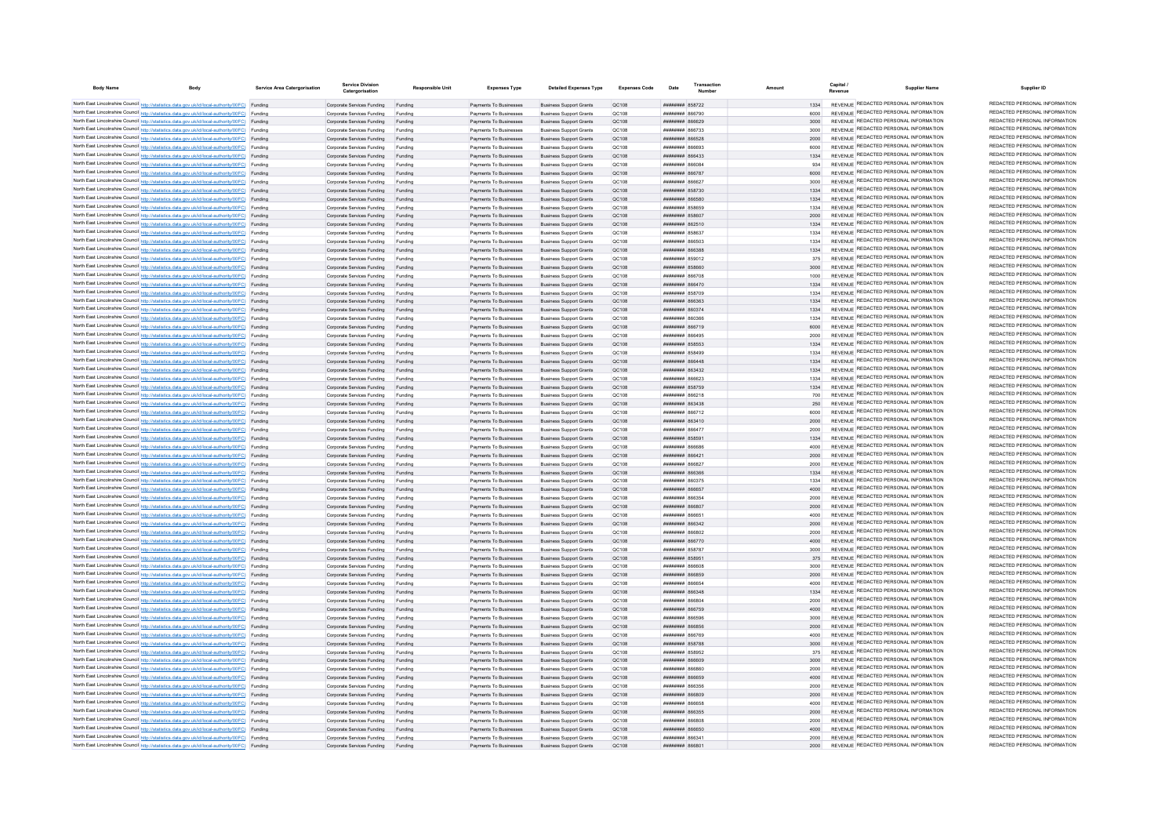| <b>Body Name</b> | <b>Body</b>                                                                                                                                                                                      | Service Area Catergorisation | <b>Service Division</b><br>Catergorisation                       | Responsible Unit   | <b>Expenses Type</b>                             | <b>Detailed Expenses Type</b>                                    | Expenses Code  | Date                                            | Transaction | Amount       | Capital<br><b>Supplier Name</b>                                                | Supplier ID                                                    |
|------------------|--------------------------------------------------------------------------------------------------------------------------------------------------------------------------------------------------|------------------------------|------------------------------------------------------------------|--------------------|--------------------------------------------------|------------------------------------------------------------------|----------------|-------------------------------------------------|-------------|--------------|--------------------------------------------------------------------------------|----------------------------------------------------------------|
|                  | North East Lincolnshire Council http://statistics.data.gov.uk/id/local-authority/00FC) Funding                                                                                                   |                              | Corporate Services Funding Funding                               |                    | Payments To Businesses                           | <b>Business Support Grants</b>                                   | OC108          | <b>пппппппп</b> 858722                          |             | 1334         | REVENUE REDACTED PERSONAL INFORMATION                                          | REDACTED PERSONAL INFORMATION                                  |
|                  | North East Lincolnshire Council http://statistics.data.gov.uk/id/local-authority/00FC) Funding                                                                                                   |                              | Corporate Services Funding                                       |                    | Payments To Businesses                           | <b>Business Support Grants</b>                                   | QC108          | 127338 <b>HHHHHH</b>                            |             |              | REVENUE REDACTED PERSONAL INFORMATION                                          | REDACTED PERSONAL INFORMATION                                  |
|                  | North East Lincolnshire Council http://statistics.data.gov.uk/id/local-authority/00FC) Funding                                                                                                   |                              | Corporate Services Funding                                       | Funding            | Payments To Businesses                           | <b>Business Support Grants</b>                                   | QC108          | ************* 866629                            |             | 3000         | REVENUE REDACTED PERSONAL INFORMATION                                          | REDACTED PERSONAL INFORMATION                                  |
|                  | North East Lincolnshire Council http://statistics.data.gov.uk/id/local-authority/00FC) Funding                                                                                                   |                              | Corporate Services Funding                                       | Funding            | Payments To Businesses                           | <b>Business Support Grants</b>                                   | OC108          | <b>HHHHHHH</b> 866733                           |             | 3000         | REVENUE REDACTED PERSONAL INFORMATION                                          | REDACTED PERSONAL INFORMATION                                  |
|                  | North East Lincolnshire Council http://statistics.data.gov.uk/id/local-authority/00FC) Funding                                                                                                   |                              | Corporate Services Funding                                       | Funding            | Payments To Businesses                           | <b>Business Support Grants</b>                                   | OC108          | <b>######## 866528</b>                          |             | 2000         | REVENUE REDACTED PERSONAL INFORMATION                                          | REDACTED PERSONAL INFORMATION                                  |
|                  | North East Lincolnshire Council http://statistics.data.gov.uk/id/local-authority/00FC) Funding                                                                                                   |                              | Corporate Services Funding                                       | Funding            | Payments To Businesses                           | <b>Business Support Grants</b>                                   | OC108          | EPARA MANUFILM                                  |             | 6000         | REVENUE REDACTED PERSONAL INFORMATION<br>REVENUE REDACTED PERSONAL INFORMATION | REDACTED PERSONAL INFORMATION<br>REDACTED PERSONAL INFORMATION |
|                  | North East Lincolnshire Council http://statistics.data.gov.uk/id/local-authority/00FC) Funding                                                                                                   |                              | Corporate Services Funding Funding                               |                    | Payments To Businesses                           | <b>Business Support Grants</b>                                   | OC108          | <b>пппппппп</b> 866433                          |             | 1334         | REVENUE REDACTED PERSONAL INFORMATION                                          | REDACTED PERSONAL INFORMATION                                  |
|                  | North East Lincolnshire Council http://statistics.data.gov.uk/id/local-authority/00FC) Funding<br>North East Lincolnshire Council http://statistics.data.gov.uk/id/local-authority/00FC) Funding |                              | Corporate Services Funding<br>Corporate Services Funding Funding | Funding            | Payments To Businesses<br>Payments To Businesses | <b>Business Support Grants</b><br><b>Business Support Grants</b> | QC108<br>QC108 | ####### 866084<br>######## 866787               |             | 934<br>6000  | REVENUE REDACTED PERSONAL INFORMATION                                          | REDACTED PERSONAL INFORMATION                                  |
|                  | North East Lincolnshire Council http://statistics.data.gov.uk/id/local-authority/00FC) Funding                                                                                                   |                              | Corporate Services Funding                                       | Funding            | Payments To Businesses                           | <b>Business Support Grants</b>                                   | QC108          | ######## 866627                                 |             | 3000         | REVENUE REDACTED PERSONAL INFORMATION                                          | REDACTED PERSONAL INFORMATION                                  |
|                  | North East Lincolnshire Council http://statistics.data.gov.uk/id/local-authority/00FC) Funding                                                                                                   |                              | Corporate Services Funding                                       | Funding            | Payments To Businesses                           | <b>Business Support Grants</b>                                   | OC108          | ######## 858730                                 |             | 1334         | REVENUE REDACTED PERSONAL INFORMATION                                          | REDACTED PERSONAL INFORMATION                                  |
|                  | North East Lincolnshire Council http://statistics.data.gov.uk/id/local-authority/00FC) Funding                                                                                                   |                              | Corporate Services Funding                                       | Funding            | Payments To Businesses                           | <b>Business Support Grants</b>                                   | OC108          | ######## 866580                                 |             | 1334         | REVENUE REDACTED PERSONAL INFORMATION                                          | REDACTED PERSONAL INFORMATION                                  |
|                  | North East Lincolnshire Council http://statistics.data.gov.uk/id/local-authority/00FC) Funding                                                                                                   |                              | Corporate Services Funding                                       | Funding            | Payments To Businesses                           | <b>Business Support Grants</b>                                   | OC108          |                                                 |             | 1334         | REVENUE REDACTED PERSONAL INFORMATION                                          | REDACTED PERSONAL INFORMATION                                  |
|                  | North East Lincolnshire Council http://statistics.data.gov.uk/id/local-authority/00FC) Funding                                                                                                   |                              | Corporate Services Funding                                       | Funding            | Payments To Businesses                           | <b>Business Support Grants</b>                                   | QC108          | ######## 858607                                 |             | 2000         | REVENUE REDACTED PERSONAL INFORMATION                                          | REDACTED PERSONAL INFORMATION                                  |
|                  | North East Lincolnshire Council http://statistics.data.gov.uk/id/local-authority/00FC) Funding                                                                                                   |                              | Corporate Services Funding                                       |                    | Payments To Businesses                           | <b>Business Support Grants</b>                                   | QC108          | <b>ПЛИНИНИ 862510</b>                           |             | 1334         | <b>REVENUE REDACTED PERSONAL INFORMATION</b>                                   | REDACTED PERSONAL INFORMATION                                  |
|                  | North East Lincolnshire Council http://statistics.data.gov.uk/id/local-authority/00FC) Funding                                                                                                   |                              | Corporate Services Funding                                       |                    | Payments To Businesses                           | <b>Business Support Grants</b>                                   | QC108          | ######## 858637                                 |             | 1334         | REVENUE REDACTED PERSONAL INFORMATION<br>REVENUE REDACTED PERSONAL INFORMATION | REDACTED PERSONAL INFORMATION<br>REDACTED PERSONAL INFORMATION |
|                  | North East Lincolnshire Council http://statistics.data.gov.uk/id/local-authority/00FC) Funding<br>North East Lincolnshire Council http://statistics.data.gov.uk/id/local-authority/00FC) Funding |                              | Corporate Services Funding                                       | Funding            | Payments To Businesses<br>Payments To Businesses | <b>Business Support Grants</b><br><b>Business Support Grants</b> | OC108<br>QC108 | пининин 866503<br>######## 866388               |             | 1334<br>1334 | REVENUE REDACTED PERSONAL INFORMATION                                          | REDACTED PERSONAL INFORMATION                                  |
|                  | North East Lincolnshire Council http://statistics.data.gov.uk/id/local-authority/00FC) Funding                                                                                                   |                              | Corporate Services Funding<br>Corporate Services Funding         | Funding<br>Funding | Payments To Businesses                           | <b>Business Support Grants</b>                                   | QC108          | ######## 859012                                 |             | 375          | REVENUE REDACTED PERSONAL INFORMATION                                          | REDACTED PERSONAL INFORMATION                                  |
|                  | North East Lincolnshire Council http://statistics.data.gov.uk/id/local-authority/00FC) Funding                                                                                                   |                              | Corporate Services Funding                                       | Funding            | Payments To Businesses                           | <b>Business Support Grants</b>                                   | QC108          | ######## 858660                                 |             | 3000         | REVENUE REDACTED PERSONAL INFORMATION                                          | REDACTED PERSONAL INFORMATION                                  |
|                  | North East Lincolnshire Council http://statistics.data.gov.uk/id/local-authority/00FC) Funding                                                                                                   |                              | Corporate Services Funding                                       | Funding            | Payments To Businesses                           | <b>Business Support Grants</b>                                   | QC108          | ######## 866708                                 |             | 1000         | REVENUE REDACTED PERSONAL INFORMATION                                          | REDACTED PERSONAL INFORMATION                                  |
|                  | North East Lincolnshire Council http://statistics.data.gov.uk/id/local-authority/00FC) Funding                                                                                                   |                              | Corporate Services Funding                                       | Funding            | Payments To Businesses                           | <b>Business Support Grants</b>                                   | QC108          | ######## 866470                                 |             | 1334         | REVENUE REDACTED PERSONAL INFORMATION                                          | REDACTED PERSONAL INFORMATION                                  |
|                  | North East Lincolnshire Council http://statistics.data.gov.uk/id/local-authority/00FC) Funding                                                                                                   |                              | Corporate Services Funding                                       | Funding            | Payments To Businesses                           | <b>Business Support Grants</b>                                   | OC108          | <b>########</b> 858709                          |             | 1334         | REVENUE REDACTED PERSONAL INFORMATION                                          | REDACTED PERSONAL INFORMATION                                  |
|                  | North East Lincolnshire Council http://statistics.data.gov.uk/id/local-authority/00FC) Funding                                                                                                   |                              | Corporate Services Funding                                       | Funding            | Payments To Businesses                           | <b>Business Support Grants</b>                                   | QC108          | ######## 866363                                 |             | 1334         | REVENUE REDACTED PERSONAL INFORMATION                                          | REDACTED PERSONAL INFORMATION                                  |
|                  | North East Lincolnshire Council http://statistics.data.gov.uk/id/local-authority/00FC) Funding                                                                                                   |                              | Corporate Services Funding                                       | Funding            | Payments To Businesses                           | <b>Business Support Grants</b>                                   | QC108          | ######## 860374                                 |             | 1334         | REVENUE REDACTED PERSONAL INFORMATION                                          | REDACTED PERSONAL INFORMATION                                  |
|                  | North East Lincolnshire Council http://statistics.data.gov.uk/id/local-authority/00FC) Funding                                                                                                   |                              | Corporate Services Funding                                       | Funding            | Payments To Businesses                           | <b>Business Support Grants</b>                                   | QC108          | ######## 860366                                 |             | 1334         | REVENUE REDACTED PERSONAL INFORMATION                                          | REDACTED PERSONAL INFORMATION<br>REDACTED PERSONAL INFORMATION |
|                  | North East Lincolnshire Council http://statistics.data.gov.uk/id/local-authority/00FC) Funding                                                                                                   |                              | Corporate Services Funding                                       | Funding            | Payments To Businesses                           | <b>Business Support Grants</b>                                   | QC108          | ######## 866719                                 |             | 6000         | REVENUE REDACTED PERSONAL INFORMATION<br>REVENUE REDACTED PERSONAL INFORMATION | REDACTED PERSONAL INFORMATION                                  |
|                  | North East Lincolnshire Council http://statistics.data.gov.uk/id/local-authority/00FC) Funding<br>North East Lincolnshire Council http://statistics.data.gov.uk/id/local-authority/00FC) Funding |                              | Corporate Services Funding<br>Corporate Services Funding         | Funding            | Payments To Businesses<br>Payments To Businesses | <b>Business Support Grants</b>                                   | QC108<br>QC108 | ####### 866495<br><b>HHHHHHH</b> 858553         |             | 2000<br>1334 | REVENUE REDACTED PERSONAL INFORMATION                                          | REDACTED PERSONAL INFORMATION                                  |
|                  | North East Lincolnshire Council http://statistics.data.gov.uk/id/local-authority/00FC) Funding                                                                                                   |                              | Corporate Services Funding                                       | Funding<br>Funding | Payments To Businesses                           | <b>Business Support Grants</b><br><b>Business Support Grants</b> | OC108          | <b>HUHHHHH 858499</b>                           |             | 1334         | REVENUE REDACTED PERSONAL INFORMATION                                          | REDACTED PERSONAL INFORMATION                                  |
|                  | North East Lincolnshire Council http://statistics.data.gov.uk/id/local-authority/00FC) Funding                                                                                                   |                              | Corporate Services Funding                                       | Funding            | Payments To Businesses                           | <b>Business Support Grants</b>                                   | OC108          | пппппппп 866448                                 |             | 1334         | REVENUE REDACTED PERSONAL INFORMATION                                          | REDACTED PERSONAL INFORMATION                                  |
|                  | North East Lincolnshire Council http://statistics.data.gov.uk/id/local-authority/00FC) Funding                                                                                                   |                              | Corporate Services Funding                                       | Funding            | Payments To Businesses                           | <b>Business Support Grants</b>                                   | OC108          | <b>пппппппп</b> 863432                          |             | 1334         | REVENUE REDACTED PERSONAL INFORMATION                                          | REDACTED PERSONAL INFORMATION                                  |
|                  | North East Lincolnshire Council http://statistics.data.gov.uk/id/local-authority/00FC) Funding                                                                                                   |                              | Corporate Services Funding                                       | Funding            | Payments To Businesses                           | <b>Business Support Grants</b>                                   | OC108          | ######## 866623                                 |             | 1334         | REVENUE REDACTED PERSONAL INFORMATION                                          | REDACTED PERSONAL INFORMATION                                  |
|                  | North East Lincolnshire Council http://statistics.data.gov.uk/id/local-authority/00FC) Funding                                                                                                   |                              | Corporate Services Funding Funding                               |                    | Payments To Businesses                           | <b>Business Support Grants</b>                                   | OC108          | ######## 858759                                 |             | 1334         | REVENUE REDACTED PERSONAL INFORMATION                                          | REDACTED PERSONAL INFORMATION                                  |
|                  | North East Lincolnshire Council http://statistics.data.gov.uk/id/local-authority/00FC) Funding                                                                                                   |                              | Corporate Services Funding                                       | Funding            | Payments To Businesses                           | <b>Business Support Grants</b>                                   | QC108          | <b>плиннин</b> 866218                           |             | 700          | REVENUE REDACTED PERSONAL INFORMATION                                          | REDACTED PERSONAL INFORMATION                                  |
|                  | North East Lincolnshire Council http://statistics.data.gov.uk/id/local-authority/00FC) Funding                                                                                                   |                              | Corporate Services Funding                                       | Funding            | Payments To Businesses                           | <b>Business Support Grants</b>                                   | OC108          | <b>пппппппп</b> 863438                          |             | 250          | REVENUE REDACTED PERSONAL INFORMATION                                          | REDACTED PERSONAL INFORMATION                                  |
|                  | North East Lincolnshire Council http://statistics.data.gov.uk/id/local-authority/00FC) Funding                                                                                                   |                              | Corporate Services Funding                                       | Funding            | Payments To Businesses                           | <b>Business Support Grants</b>                                   | OC108          | ######## 866712                                 |             | 6000         | REVENUE REDACTED PERSONAL INFORMATION<br>REVENUE REDACTED PERSONAL INFORMATION | REDACTED PERSONAL INFORMATION<br>REDACTED PERSONAL INFORMATION |
|                  | North East Lincolnshire Council http://statistics.data.gov.uk/id/local-authority/00FC) Funding                                                                                                   |                              | Corporate Services Funding                                       | Funding            | Payments To Businesses                           | <b>Business Support Grants</b>                                   | OC108          | <b>плинини 863410</b><br>TA338 BEBBBBBB         |             | 2000         | REVENUE REDACTED PERSONAL INFORMATION                                          | REDACTED PERSONAL INFORMATION                                  |
|                  | North East Lincolnshire Council http://statistics.data.gov.uk/id/local-authority/00FC) Funding<br>North East Lincolnshire Council http://statistics.data.gov.uk/id/local-authority/00FC) Funding |                              | Corporate Services Funding<br>Corporate Services Funding         |                    | Payments To Businesses<br>Payments To Businesses | <b>Business Support Grants</b><br><b>Business Support Grants</b> | QC108<br>QC108 | ######## 858591                                 |             | 2000<br>1334 | REVENUE REDACTED PERSONAL INFORMATION                                          | REDACTED PERSONAL INFORMATION                                  |
|                  | North East Lincolnshire Council http://statistics.data.gov.uk/id/local-authority/00FC) Funding                                                                                                   |                              | Corporate Services Funding                                       | Funding            | Payments To Businesses                           | <b>Business Support Grants</b>                                   | QC108          | <b>HHHHHHHH RGGGRG</b>                          |             | 4000         | REVENUE REDACTED PERSONAL INFORMATION                                          | REDACTED PERSONAL INFORMATION                                  |
|                  | North East Lincolnshire Council http://statistics.data.gov.uk/id/local-authority/00FC) Funding                                                                                                   |                              | Corporate Services Funding                                       | Funding            | Payments To Businesses                           | <b>Business Support Grants</b>                                   | OC108          | <b>ПППНИНИН</b> 866421                          |             | 2000         | REVENUE REDACTED PERSONAL INFORMATION                                          | REDACTED PERSONAL INFORMATION                                  |
|                  | North East Lincolnshire Council http://statistics.data.gov.uk/id/local-authority/00FC) Funding                                                                                                   |                              | Corporate Services Funding                                       | Funding            | Payments To Businesses                           | <b>Business Support Grants</b>                                   | OC108          | ######## 866827                                 |             | 2000         | REVENUE REDACTED PERSONAL INFORMATION                                          | REDACTED PERSONAL INFORMATION                                  |
|                  | North East Lincolnshire Council http://statistics.data.gov.uk/id/local-authority/00FC) Funding                                                                                                   |                              | Corporate Services Funding                                       | Funding            | Payments To Businesses                           | <b>Business Support Grants</b>                                   | QC108          | <b>лининин 866366</b>                           |             | 1334         | REVENUE REDACTED PERSONAL INFORMATION                                          | REDACTED PERSONAL INFORMATION                                  |
|                  | North East Lincolnshire Council http://statistics.data.gov.uk/id/local-authority/00FC) Funding                                                                                                   |                              | Corporate Services Funding                                       | Funding            | Payments To Businesses                           | <b>Business Support Grants</b>                                   | QC108          | ######## 86037                                  |             |              | REVENUE REDACTED PERSONAL INFORMATION                                          | REDACTED PERSONAL INFORMATION                                  |
|                  | North East Lincolnshire Council http://statistics.data.gov.uk/id/local-authority/00FC) Funding                                                                                                   |                              | Corporate Services Funding                                       | Funding            | Payments To Businesses                           | <b>Business Support Grants</b>                                   | QC108          | ######## 866657                                 |             | 4000         | REVENUE REDACTED PERSONAL INFORMATION<br>REVENUE REDACTED PERSONAL INFORMATION | REDACTED PERSONAL INFORMATION<br>REDACTED PERSONAL INFORMATION |
|                  | North East Lincolnshire Council http://statistics.data.gov.uk/id/local-authority/00FC) Funding<br>North East Lincolnshire Council http://statistics.data.gov.uk/id/local-authority/00FC) Funding |                              | Corporate Services Funding                                       | Funding            | Payments To Businesses                           | <b>Business Support Grants</b>                                   | QC108          | ######## 866354                                 |             | 2000         | REVENUE REDACTED PERSONAL INFORMATION                                          | REDACTED PERSONAL INFORMATION                                  |
|                  | North East Lincolnshire Council http://statistics.data.gov.uk/id/local-authority/00FC) Funding                                                                                                   |                              | Corporate Services Funding<br>Corporate Services Funding         | Funding<br>Funding | Payments To Businesses<br>Payments To Businesses | <b>Business Support Grants</b><br><b>Business Support Grants</b> | OC108<br>OC108 | ######## 866807<br>BASSA MUMMUM                 |             | 2000<br>4000 | REVENUE REDACTED PERSONAL INFORMATION                                          | REDACTED PERSONAL INFORMATION                                  |
|                  | North East Lincolnshire Council http://statistics.data.gov.uk/id/local-authority/00FC) Funding                                                                                                   |                              | Corporate Services Funding                                       | Funding            | Payments To Businesses                           | <b>Business Support Grants</b>                                   | OC108          | ######## 866342                                 |             | 2000         | REVENUE REDACTED PERSONAL INFORMATION                                          | REDACTED PERSONAL INFORMATION                                  |
|                  | North East Lincolnshire Council http://statistics.data.gov.uk/id/local-authority/00FC) Funding                                                                                                   |                              | Corporate Services Funding                                       | Funding            | Payments To Businesses                           | <b>Business Support Grants</b>                                   | QC108          | ######## 866802                                 |             | 2000         | REVENUE REDACTED PERSONAL INFORMATION                                          | REDACTED PERSONAL INFORMATION                                  |
|                  | North East Lincolnshire Council http://statistics.data.gov.uk/id/local-authority/00FC) Funding                                                                                                   |                              | Corporate Services Funding                                       | Funding            | Payments To Businesses                           | <b>Business Support Grants</b>                                   | QC108          | ######## 866770                                 |             | 4000         | <b>REVENUE REDACTED PERSONAL INFORMATION</b>                                   | REDACTED PERSONAL INFORMATION                                  |
|                  | North East Lincolnshire Council http://statistics.data.gov.uk/id/local-authority/00FC) Funding                                                                                                   |                              | Corporate Services Funding                                       | Funding            | Payments To Businesses                           | <b>Business Support Grants</b>                                   | QC108          | <b>########</b> 858787                          |             | 3000         | REVENUE REDACTED PERSONAL INFORMATION                                          | REDACTED PERSONAL INFORMATION                                  |
|                  | North East Lincolnshire Council http://statistics.data.gov.uk/id/local-authority/00FC) Funding                                                                                                   |                              | Corporate Services Funding                                       | Funding            | Payments To Businesses                           | <b>Business Support Grants</b>                                   | OC108          | ######## 858951                                 |             | 375          | REVENUE REDACTED PERSONAL INFORMATION                                          | REDACTED PERSONAL INFORMATION                                  |
|                  | North East Lincolnshire Council http://statistics.data.gov.uk/id/local-authority/00FC) Funding                                                                                                   |                              | Corporate Services Funding                                       | Funding            | Payments To Businesses                           | <b>Business Support Grants</b>                                   | QC108          | ROBBR MUNICIPAL                                 |             | 3000         | REVENUE REDACTED PERSONAL INFORMATION                                          | REDACTED PERSONAL INFORMATION<br>REDACTED PERSONAL INFORMATION |
|                  | North East Lincolnshire Council http://statistics.data.gov.uk/id/local-authority/00FC) Funding                                                                                                   |                              | Corporate Services Funding Funding                               |                    | Payments To Businesses                           | <b>Business Support Grants</b>                                   | QC108          | ######## 866859                                 |             | 2000         | REVENUE REDACTED PERSONAL INFORMATION<br>REVENUE REDACTED PERSONAL INFORMATION | REDACTED PERSONAL INFORMATION                                  |
|                  | North East Lincolnshire Council http://statistics.data.gov.uk/id/local-authority/00FC) Funding<br>North East Lincolnshire Council http://statistics.data.gov.uk/id/local-authority/00FC) Funding |                              | Corporate Services Funding<br>Corporate Services Funding Funding | Funding            | Payments To Businesses<br>Payments To Businesses | <b>Business Support Grants</b><br><b>Business Support Grants</b> | QC108<br>QC108 | ####### 866654<br>######## 866348               |             | 4000<br>1334 | REVENUE REDACTED PERSONAL INFORMATION                                          | REDACTED PERSONAL INFORMATION                                  |
|                  | North East Lincolnshire Council http://statistics.data.gov.uk/id/local-authority/00FC) Funding                                                                                                   |                              | Corporate Services Funding                                       | Funding            | Payments To Businesses                           | <b>Business Support Grants</b>                                   | QC108          | ######## 866804                                 |             | 2000         | REVENUE REDACTED PERSONAL INFORMATION                                          | REDACTED PERSONAL INFORMATION                                  |
|                  | North East Lincolnshire Council http://statistics.data.gov.uk/id/local-authority/00FC) Funding                                                                                                   |                              | Corporate Services Funding                                       | Funding            | Payments To Businesses                           | <b>Business Support Grants</b>                                   | OC108          | ######## 866759                                 |             | 4000         | REVENUE REDACTED PERSONAL INFORMATION                                          | REDACTED PERSONAL INFORMATION                                  |
|                  | North East Lincolnshire Council http://statistics.data.gov.uk/id/local-authority/00FC) Funding                                                                                                   |                              | Corporate Services Funding                                       | Funding            | Payments To Businesses                           | <b>Business Support Grants</b>                                   | OC108          | ######## 866596                                 |             | 3000         | REVENUE REDACTED PERSONAL INFORMATION                                          | REDACTED PERSONAL INFORMATION                                  |
|                  | North East Lincolnshire Council http://statistics.data.gov.uk/id/local-authority/00FC) Funding                                                                                                   |                              | Corporate Services Funding                                       | Funding            | Payments To Businesses                           | <b>Business Support Grants</b>                                   | OC108          | ######## 866856                                 |             | 2000         | REVENUE REDACTED PERSONAL INFORMATION                                          | REDACTED PERSONAL INFORMATION                                  |
|                  | North East Lincolnshire Council http://statistics.data.gov.uk/id/local-authority/00FC) Funding                                                                                                   |                              | Corporate Services Funding                                       | Funding            | Payments To Businesses                           | <b>Business Support Grants</b>                                   | QC108          | <b>#######</b> 866769                           |             | 4000         | REVENUE REDACTED PERSONAL INFORMATION                                          | REDACTED PERSONAL INFORMATION                                  |
|                  | North East Lincolnshire Council http://statistics.data.gov.uk/id/local-authority/00FC) Funding                                                                                                   |                              | Corporate Services Funding                                       |                    | Payments To Businesses                           | <b>Business Support Grants</b>                                   | QC108          | ######## 858788                                 |             | 3000         | REVENUE REDACTED PERSONAL INFORMATION                                          | REDACTED PERSONAL INFORMATION                                  |
|                  | North East Lincolnshire Council http://statistics.data.gov.uk/id/local-authority/00FC) Funding                                                                                                   |                              | Corporate Services Funding                                       |                    | Payments To Businesses                           | <b>Business Support Grants</b>                                   | QC108          | ######## 858952                                 |             | 375          | REVENUE REDACTED PERSONAL INFORMATION                                          | REDACTED PERSONAL INFORMATION<br>REDACTED PERSONAL INFORMATION |
|                  | North East Lincolnshire Council http://statistics.data.gov.uk/id/local-authority/00FC) Funding                                                                                                   |                              | Corporate Services Funding                                       | Funding            | Payments To Businesses                           | <b>Business Support Grants</b>                                   | OC108          | <b>HHHHHHH</b> BRASO                            |             | 3000         | REVENUE REDACTED PERSONAL INFORMATION<br>REVENUE REDACTED PERSONAL INFORMATION | REDACTED PERSONAL INFORMATION                                  |
|                  | North East Lincolnshire Council http://statistics.data.gov.uk/id/local-authority/00FC) Funding<br>North East Lincolnshire Council http://statistics.data.gov.uk/id/local-authority/00FC) Funding |                              | Corporate Services Funding<br>Corporate Services Funding         | Funding<br>Funding | Payments To Businesses<br>Payments To Businesses | <b>Business Sunnort Grants</b><br><b>Business Sunnort Grants</b> | OC108<br>OC108 | nasaaa <b>susususu</b><br><b>HHHHHHH 866659</b> |             | 2000<br>4000 | REVENUE REDACTED PERSONAL INFORMATION                                          | REDACTED PERSONAL INFORMATION                                  |
|                  | North East Lincolnshire Council http://statistics.data.gov.uk/id/local-authority/00FC) Funding                                                                                                   |                              | Corporate Services Funding                                       | Funding            | Payments To Businesses                           | <b>Business Support Grants</b>                                   | OC108          | <b>ллиннин</b> 866356                           |             | 2000         | REVENUE REDACTED PERSONAL INFORMATION                                          | REDACTED PERSONAL INFORMATION                                  |
|                  | North East Lincolnshire Council http://statistics.data.gov.uk/id/local-authority/00FC) Funding                                                                                                   |                              | Corporate Services Funding                                       | Funding            | Payments To Businesses                           | <b>Business Support Grants</b>                                   | QC108          | ######## 866809                                 |             | 2000         | REVENUE REDACTED PERSONAL INFORMATION                                          | REDACTED PERSONAL INFORMATION                                  |
|                  | North East Lincolnshire Council http://statistics.data.gov.uk/id/local-authority/00FC) Funding                                                                                                   |                              | Corporate Services Funding                                       | Funding            | Payments To Businesses                           | <b>Business Support Grants</b>                                   | QC108          | ######## 866658                                 |             | 4000         | REVENUE REDACTED PERSONAL INFORMATION                                          | REDACTED PERSONAL INFORMATION                                  |
|                  | North East Lincolnshire Council http://statistics.data.gov.uk/id/local-authority/00FC) Funding                                                                                                   |                              | Corporate Services Funding                                       | Funding            | Payments To Businesses                           | <b>Business Support Grants</b>                                   | QC108          | <b>####### 866355</b>                           |             | 2000         | REVENUE REDACTED PERSONAL INFORMATION                                          | REDACTED PERSONAL INFORMATION                                  |
|                  | North East Lincolnshire Council http://statistics.data.gov.uk/id/local-authority/00FC) Funding                                                                                                   |                              | Corporate Services Funding                                       | Funding            | Payments To Businesses                           | <b>Business Support Grants</b>                                   | OC108          | <b>BREAKERS</b> RESAN                           |             | 2000         | REVENUE REDACTED PERSONAL INFORMATION                                          | REDACTED PERSONAL INFORMATION                                  |
|                  | North East Lincolnshire Council http://statistics.data.gov.uk/id/local-authority/00FC) Funding                                                                                                   |                              | Corporate Services Funding                                       | Funding            | Payments To Businesses                           | <b>Business Support Grants</b>                                   | OC108          | <b>BRANCH MANAGEMENT</b>                        |             | 4000         | REVENUE REDACTED PERSONAL INFORMATION                                          | REDACTED PERSONAL INFORMATION                                  |
|                  | North East Lincolnshire Council http://statistics.data.gov.uk/id/local-authority/00FC) Funding                                                                                                   |                              | Corporate Services Funding                                       | Funding            | Payments To Businesses                           | <b>Business Support Grants</b>                                   | OC108          | реаав нинини                                    |             | 2000         | REVENUE REDACTED PERSONAL INFORMATION<br>REVENUE REDACTED PERSONAL INFORMATION | REDACTED PERSONAL INFORMATION<br>REDACTED PERSONAL INFORMATION |
|                  | North East Lincolnshire Council http://statistics.data.gov.uk/id/local-authority/00FC) Funding                                                                                                   |                              | Corporate Services Funding                                       | Funding            | Payments To Businesses                           | <b>Business Support Grants</b>                                   | OC108          | 08888 HHHHHH                                    |             | 2000         |                                                                                |                                                                |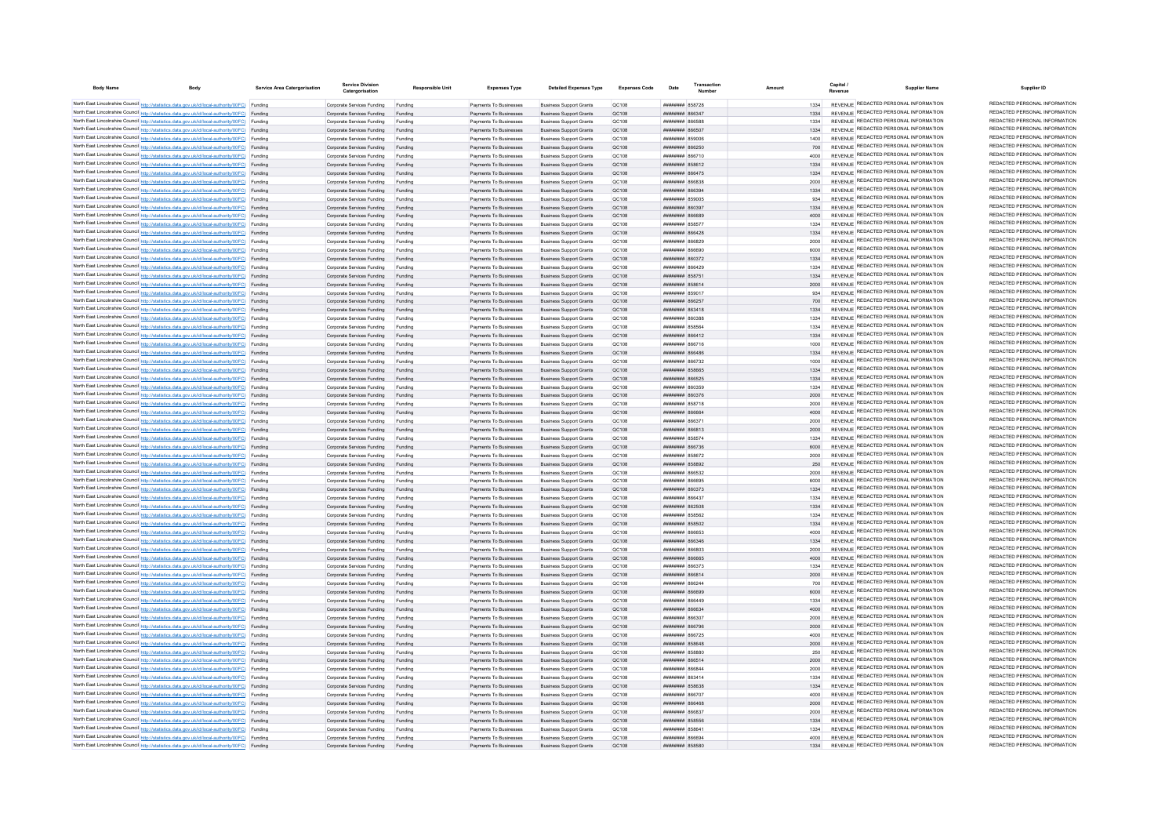| <b>Body Name</b> | <b>Body</b>                                                                                                                                                                                      | Service Area Catergorisatio | <b>Service Division</b><br>Catergorisation               | <b>Responsible Unit</b> | <b>Expenses Type</b>                             | <b>Detailed Expenses Type</b>                                    | <b>Expenses Code</b>  | Date                                           | Transaction |                 | Capital /<br><b>Supplier Name</b><br>Revenue                                   | Supplier ID                                                    |
|------------------|--------------------------------------------------------------------------------------------------------------------------------------------------------------------------------------------------|-----------------------------|----------------------------------------------------------|-------------------------|--------------------------------------------------|------------------------------------------------------------------|-----------------------|------------------------------------------------|-------------|-----------------|--------------------------------------------------------------------------------|----------------------------------------------------------------|
|                  | North East Lincolnshire Council http://statistics.data.gov.uk/id/local-authority/00FC) Funding                                                                                                   |                             | Comorate Services Funding                                | Funding                 | Payments To Businesses                           | <b>Business Support Grants</b>                                   | OC108                 | <b><i>BREADER 858728</i></b>                   |             | 1334            | REVENUE REDACTED PERSONAL INFORMATION                                          | REDACTED PERSONAL INFORMATION                                  |
|                  | North East Lincolnshire Council http://statistics.data.gov.uk/id/local-authority/00FC) Funding                                                                                                   |                             | Corporate Services Funding                               | Funding                 | Payments To Businesses                           | <b>Business Support Grants</b>                                   | OC108                 | <b>сьезая</b> нинини                           |             |                 | REVENUE REDACTED PERSONAL INFORMATION                                          | REDACTED PERSONAL INFORMATION                                  |
|                  | North East Lincolnshire Council http://statistics.data.gov.uk/id/local-authority/00FC) Funding                                                                                                   |                             | Corporate Services Funding                               | Funding                 | Payments To Businesses                           | <b>Business Support Grants</b>                                   | OC108                 | <b>182338 NHHHHH</b>                           |             | 1334            | REVENUE REDACTED PERSONAL INFORMATION                                          | REDACTED PERSONAL INFORMATION                                  |
|                  | North East Lincolnshire Council http://statistics.data.gov.uk/id/local-authority/00FC) Funding                                                                                                   |                             | Corporate Services Funding                               | Funding                 | Payments To Businesses                           | <b>Business Support Grants</b>                                   | QC108                 | ####### 866507                                 |             | 1334            | REVENUE REDACTED PERSONAL INFORMATION                                          | REDACTED PERSONAL INFORMATION                                  |
|                  | North East Lincolnshire Council http://statistics.data.gov.uk/id/local-authority/00FC) Funding                                                                                                   |                             | Corporate Services Funding                               | Funding                 | Payments To Businesses                           | <b>Business Support Grants</b>                                   | QC108                 | <del>----------</del> 850006                   |             | 1400            | REVENUE REDACTED PERSONAL INFORMATION                                          | REDACTED PERSONAL INFORMATION                                  |
|                  | North East Lincolnshire Council http://statistics.data.gov.uk/id/local-authority/00FC) Funding<br>North East Lincolnshire Council http://statistics.data.gov.uk/id/local-authority/00FC) Funding |                             | Corporate Services Funding                               | Funding                 | Payments To Businesses                           | <b>Business Support Grants</b>                                   | QC108                 | <b>ПЕНИНИН 866250</b>                          |             |                 | REVENUE REDACTED PERSONAL INFORMATION<br>REVENUE REDACTED PERSONAL INFORMATION | REDACTED PERSONAL INFORMATION<br>REDACTED PERSONAL INFORMATION |
|                  | North East Lincolnshire Council http://statistics.data.gov.uk/id/local-authority/00FC) Funding                                                                                                   |                             | Corporate Services Funding<br>Corporate Services Funding | Funding<br>Funding      | Payments To Businesses<br>Payments To Businesses | <b>Business Sunnort Grants</b><br><b>Business Support Grants</b> | <b>OC108</b><br>QC108 | <b>HUHHHHH 866710</b><br><b>ПЕПИЛИН 858612</b> |             | 4000<br>1334    | REVENUE REDACTED PERSONAL INFORMATION                                          | REDACTED PERSONAL INFORMATION                                  |
|                  | North East Lincolnshire Council http://statistics.data.gov.uk/id/local-authority/00FC) Funding                                                                                                   |                             | Corporate Services Funding Funding                       |                         | Payments To Businesses                           | <b>Business Support Grants</b>                                   | OC108                 | <b>НИНИНИН 866475</b>                          |             | 1334            | REVENUE REDACTED PERSONAL INFORMATION                                          | REDACTED PERSONAL INFORMATION                                  |
|                  | North East Lincolnshire Council http://statistics.data.gov.uk/id/local-authority/00FC) Funding                                                                                                   |                             | Corporate Services Funding                               | Funding                 | Payments To Businesses                           | <b>Business Support Grants</b>                                   | QC108                 | ####### 866838                                 |             | 2000            | REVENUE REDACTED PERSONAL INFORMATION                                          | REDACTED PERSONAL INFORMATION                                  |
|                  | North East Lincolnshire Council http://statistics.data.gov.uk/id/local-authority/00FC) Funding                                                                                                   |                             | Corporate Services Funding Funding                       |                         | Payments To Businesses                           | <b>Business Support Grants</b>                                   | QC108                 | ######## 866394                                |             | 1334            | REVENUE REDACTED PERSONAL INFORMATION                                          | REDACTED PERSONAL INFORMATION                                  |
|                  | North East Lincolnshire Council http://statistics.data.gov.uk/id/local-authority/00FC) Funding                                                                                                   |                             | Corporate Services Funding                               | Funding                 | Payments To Businesses                           | <b>Business Support Grants</b>                                   | OC108                 | ######## 859005                                |             | 934             | REVENUE REDACTED PERSONAL INFORMATION                                          | REDACTED PERSONAL INFORMATION                                  |
|                  | North East Lincolnshire Council http://statistics.data.gov.uk/id/local-authority/00FC) Funding                                                                                                   |                             | Corporate Services Funding                               | Funding                 | Payments To Businesses                           | <b>Business Support Grants</b>                                   | OC108                 | F <i>PEORR <del>BBBBBBBB</del></i>             |             | 1334            | REVENUE REDACTED PERSONAL INFORMATION                                          | REDACTED PERSONAL INFORMATION                                  |
|                  | North East Lincolnshire Council http://statistics.data.gov.uk/id/local-authority/00FC) Funding                                                                                                   |                             | Corporate Services Funding                               | Funding                 | Payments To Businesses                           | <b>Business Support Grants</b>                                   | OC108                 | ######## 866689                                |             | 4000            | REVENUE REDACTED PERSONAL INFORMATION                                          | REDACTED PERSONAL INFORMATION                                  |
|                  | North East Lincolnshire Council http://statistics.data.gov.uk/id/local-authority/00FC) Funding                                                                                                   |                             | Corporate Services Funding                               | Funding                 | Payments To Businesses                           | <b>Business Support Grants</b>                                   | QC108                 | <b>####### 85857</b>                           |             |                 | REVENUE REDACTED PERSONAL INFORMATION<br>REVENUE REDACTED PERSONAL INFORMATION | REDACTED PERSONAL INFORMATION<br>REDACTED PERSONAL INFORMATION |
|                  | North East Lincolnshire Council http://statistics.data.gov.uk/id/local-authority/00FC) Funding<br>North East Lincolnshire Council http://statistics.data.gov.uk/id/local-authority/00FC) Funding |                             | Corporate Services Funding<br>Corporate Services Funding | Funding                 | Payments To Businesses<br>Payments To Businesses | <b>Business Support Grants</b><br><b>Business Support Grants</b> | <b>QC108</b><br>QC108 | ####### 866428<br><b>PCRAAR HUUHUUH</b>        |             | 1334<br>2000    | REVENUE REDACTED PERSONAL INFORMATION                                          | REDACTED PERSONAL INFORMATION                                  |
|                  | North East Lincolnshire Council http://statistics.data.gov.uk/id/local-authority/00FC) Funding                                                                                                   |                             | Corporate Services Funding                               | Funding                 | Payments To Businesses                           | <b>Business Support Grants</b>                                   | OC108                 | neaaaa <b>susuusuu</b>                         |             | 6000            | REVENUE REDACTED PERSONAL INFORMATION                                          | REDACTED PERSONAL INFORMATION                                  |
|                  | North East Lincolnshire Council http://statistics.data.gov.uk/id/local-authority/00FC) Funding                                                                                                   |                             | Corporate Services Funding                               | Funding                 | Payments To Businesses                           | <b>Business Support Grants</b>                                   | OC108                 | <b>НИНИНИН 860372</b>                          |             | 1334            | REVENUE REDACTED PERSONAL INFORMATION                                          | REDACTED PERSONAL INFORMATION                                  |
|                  | North East Lincolnshire Council http://statistics.data.gov.uk/id/local-authority/00FC) Funding                                                                                                   |                             | Corporate Services Funding                               | Funding                 | Payments To Businesses                           | <b>Business Support Grants</b>                                   | QC108                 | <b>плиннин</b> 866429                          |             | 1334            | REVENUE REDACTED PERSONAL INFORMATION                                          | REDACTED PERSONAL INFORMATION                                  |
|                  | North East Lincolnshire Council http://statistics.data.gov.uk/id/local-authority/00FC) Funding                                                                                                   |                             | Corporate Services Funding                               | Funding                 | Payments To Businesses                           | <b>Business Support Grants</b>                                   | QC108                 | ####### 85875                                  |             |                 | REVENUE REDACTED PERSONAL INFORMATION                                          | REDACTED PERSONAL INFORMATION                                  |
|                  | North East Lincolnshire Council http://statistics.data.gov.uk/id/local-authority/00FC) Funding                                                                                                   |                             | Corporate Services Funding                               | Funding                 | Payments To Businesses                           | <b>Business Support Grants</b>                                   | QC108                 | ######## 858614                                |             | 2000            | REVENUE REDACTED PERSONAL INFORMATION                                          | REDACTED PERSONAL INFORMATION                                  |
|                  | North East Lincolnshire Council http://statistics.data.gov.uk/id/local-authority/00FC) Funding                                                                                                   |                             | Corporate Services Funding                               | Funding                 | Payments To Businesses                           | <b>Business Support Grants</b>                                   | QC108                 | ######## 859017                                |             | 934             | REVENUE REDACTED PERSONAL INFORMATION                                          | REDACTED PERSONAL INFORMATION                                  |
|                  | North East Lincolnshire Council http://statistics.data.gov.uk/id/local-authority/00FC) Funding                                                                                                   |                             | Corporate Services Funding                               | Funding                 | Payments To Businesses                           | <b>Business Support Grants</b>                                   | QC108                 | <b>пппппппп</b> 866257                         |             | 700             | REVENUE REDACTED PERSONAL INFORMATION                                          | REDACTED PERSONAL INFORMATION                                  |
|                  | North East Lincolnshire Council http://statistics.data.gov.uk/id/local-authority/00FC) Funding                                                                                                   |                             | Corporate Services Funding                               | Funding                 | Payments To Businesses                           | <b>Business Support Grants</b>                                   | QC108                 | <b>пппппппп</b> 863418                         |             | 1334            | REVENUE REDACTED PERSONAL INFORMATION<br>REVENUE REDACTED PERSONAL INFORMATION | REDACTED PERSONAL INFORMATION<br>REDACTED PERSONAL INFORMATION |
|                  | North East Lincolnshire Council http://statistics.data.gov.uk/id/local-authority/00FC) Funding<br>North East Lincolnshire Council http://statistics.data.gov.uk/id/local-authority/00FC) Funding |                             | Corporate Services Funding<br>Corporate Services Funding | Funding<br>Funding      | Payments To Businesses<br>Payments To Businesses | <b>Business Support Grants</b><br><b>Business Support Grants</b> | QC108<br><b>QC108</b> | ######## 860388<br>####### 85856               |             | 1334<br>1334    | REVENUE REDACTED PERSONAL INFORMATION                                          | REDACTED PERSONAL INFORMATION                                  |
|                  | North East Lincolnshire Council http://statistics.data.gov.uk/id/local-authority/00FC) Funding                                                                                                   |                             | Corporate Services Funding                               | Funding                 | Payments To Businesses                           | <b>Business Support Grants</b>                                   | <b>QC108</b>          | ####### 866412                                 |             | 1334            | REVENUE REDACTED PERSONAL INFORMATION                                          | REDACTED PERSONAL INFORMATION                                  |
|                  | North East Lincolnshire Council http://statistics.data.gov.uk/id/local-authority/00FC) Funding                                                                                                   |                             | Corporate Services Funding                               | Funding                 | Payments To Businesses                           | <b>Business Support Grants</b>                                   | QC108                 | ####### 866716                                 |             | 1000            | REVENUE REDACTED PERSONAL INFORMATION                                          | REDACTED PERSONAL INFORMATION                                  |
|                  | North East Lincolnshire Council http://statistics.data.gov.uk/id/local-authority/00FC) Funding                                                                                                   |                             | Corporate Services Funding                               | Funding                 | Payments To Businesses                           | <b>Business Support Grants</b>                                   | QC108                 | <b>HHHHHHH RGGARG</b>                          |             | 1334            | REVENUE REDACTED PERSONAL INFORMATION                                          | REDACTED PERSONAL INFORMATION                                  |
|                  | North East Lincolnshire Council http://statistics.data.gov.uk/id/local-authority/00FC) Funding                                                                                                   |                             | Corporate Services Funding                               | Funding                 | Payments To Businesses                           | <b>Business Support Grants</b>                                   | QC108                 | <b>HHHHHHH</b> 866732                          |             | 1000            | REVENUE REDACTED PERSONAL INFORMATION                                          | REDACTED PERSONAL INFORMATION                                  |
|                  | North East Lincolnshire Council http://statistics.data.gov.uk/id/local-authority/00FC) Funding                                                                                                   |                             | Corporate Services Funding                               | Funding                 | Payments To Businesses                           | <b>Business Sunnort Grants</b>                                   | OC108                 | <b>########</b> 858665                         |             | 1334            | REVENUE REDACTED PERSONAL INFORMATION                                          | REDACTED PERSONAL INFORMATION                                  |
|                  | North East Lincolnshire Council http://statistics.data.gov.uk/id/local-authority/00FC) Funding                                                                                                   |                             | Corporate Services Funding                               | Funding                 | Payments To Businesses                           | <b>Business Support Grants</b>                                   | OC108                 | ######## 866525                                |             | 1334            | REVENUE REDACTED PERSONAL INFORMATION                                          | REDACTED PERSONAL INFORMATION                                  |
|                  | North East Lincolnshire Council http://statistics.data.gov.uk/id/local-authority/00FC) Funding                                                                                                   |                             | Corporate Services Funding                               | Funding                 | Payments To Businesses                           | <b>Business Support Grants</b>                                   | OC108                 |                                                |             | 1334            | REVENUE REDACTED PERSONAL INFORMATION                                          | REDACTED PERSONAL INFORMATION<br>REDACTED PERSONAL INFORMATION |
|                  | North East Lincolnshire Council http://statistics.data.gov.uk/id/local-authority/00FC) Funding<br>North East Lincolnshire Council http://statistics.data.gov.uk/id/local-authority/00FC) Funding |                             | Corporate Services Funding Funding                       |                         | Payments To Businesses                           | <b>Business Support Grants</b>                                   | QC108                 | ######## 860376                                |             | 2000            | REVENUE REDACTED PERSONAL INFORMATION<br>REVENUE REDACTED PERSONAL INFORMATION | REDACTED PERSONAL INFORMATION                                  |
|                  | North East Lincolnshire Council http://statistics.data.gov.uk/id/local-authority/00FC) Funding                                                                                                   |                             | Corporate Services Funding<br>Corporate Services Funding | Funding<br>Funding      | Payments To Businesses<br>Payments To Businesses | <b>Business Support Grants</b><br><b>Business Support Grants</b> | QC108<br>OC108        | <b>########</b> 858718<br>SASAR MARINER        |             | 2000<br>$A$ 000 | REVENUE REDACTED PERSONAL INFORMATION                                          | REDACTED PERSONAL INFORMATION                                  |
|                  | North East Lincolnshire Council http://statistics.data.gov.uk/id/local-authority/00FC) Funding                                                                                                   |                             | Corporate Services Funding                               | Funding                 | Payments To Businesses                           | <b>Business Sunnort Grants</b>                                   | <b>OC108</b>          | FFAAR MMMMMMM                                  |             | 2000            | REVENUE REDACTED PERSONAL INFORMATION                                          | REDACTED PERSONAL INFORMATION                                  |
|                  | North East Lincolnshire Council http://statistics.data.gov.uk/id/local-authority/00FC) Funding                                                                                                   |                             | Corporate Services Funding                               | Funding                 | Payments To Businesses                           | <b>Business Support Grants</b>                                   | QC108                 | E18888 HUBBURG                                 |             | 2000            | REVENUE REDACTED PERSONAL INFORMATION                                          | REDACTED PERSONAL INFORMATION                                  |
|                  | North East Lincolnshire Council http://statistics.data.gov.uk/id/local-authority/00FC) Funding                                                                                                   |                             | Corporate Services Funding                               | Funding                 | Payments To Businesses                           | <b>Business Support Grants</b>                                   | OC108                 | <b>########</b> 858574                         |             | 1334            | REVENUE REDACTED PERSONAL INFORMATION                                          | REDACTED PERSONAL INFORMATION                                  |
|                  | North East Lincolnshire Council http://statistics.data.gov.uk/id/local-authority/00FC) Funding                                                                                                   |                             | Corporate Services Funding                               | Funding                 | Payments To Businesses                           | <b>Business Support Grants</b>                                   | QC108                 | ####### 866736                                 |             | 6000            | REVENUE REDACTED PERSONAL INFORMATION                                          | REDACTED PERSONAL INFORMATION                                  |
|                  | North East Lincolnshire Council http://statistics.data.gov.uk/id/local-authority/00FC) Funding                                                                                                   |                             | Corporate Services Funding                               |                         | Payments To Businesses                           | <b>Business Support Grants</b>                                   | OC108                 | <del>пппиннн</del> 858672                      |             | 2000            | REVENUE REDACTED PERSONAL INFORMATION                                          | REDACTED PERSONAL INFORMATION                                  |
|                  | North East Lincolnshire Council http://statistics.data.gov.uk/id/local-authority/00FC) Funding                                                                                                   |                             | Corporate Services Funding                               |                         | Payments To Businesses                           | <b>Business Support Grants</b>                                   | QC108                 | <b>HHHHHHHH</b> 858892                         |             | 250             | REVENUE REDACTED PERSONAL INFORMATION                                          | REDACTED PERSONAL INFORMATION<br>REDACTED PERSONAL INFORMATION |
|                  | North East Lincolnshire Council http://statistics.data.gov.uk/id/local-authority/00FC) Funding                                                                                                   |                             | Corporate Services Funding                               | Funding                 | Payments To Businesses                           | <b>Business Sunnort Grants</b>                                   | OC108                 | <b>пппппппп</b> 866532                         |             | 2000            | REVENUE REDACTED PERSONAL INFORMATION<br>REVENUE REDACTED PERSONAL INFORMATION | REDACTED PERSONAL INFORMATION                                  |
|                  | North East Lincolnshire Council http://statistics.data.gov.uk/id/local-authority/00FC) Funding<br>North East Lincolnshire Council http://statistics.data.gov.uk/id/local-authority/00FC) Funding |                             | Corporate Services Funding<br>Corporate Services Funding | Funding<br>Funding      | Payments To Businesses<br>Payments To Businesses | <b>Business Support Grants</b><br><b>Business Support Grants</b> | QC108<br>OC108        | 103338 BURNHURH<br><b>########</b> 860373      |             | 6000<br>1334    | REVENUE REDACTED PERSONAL INFORMATION                                          | REDACTED PERSONAL INFORMATION                                  |
|                  | North East Lincolnshire Council http://statistics.data.gov.uk/id/local-authority/00FC) Funding                                                                                                   |                             | Corporate Services Funding                               | Funding                 | Payments To Businesses                           | <b>Business Support Grants</b>                                   | QC108                 | ####### 866437                                 |             | 1334            | REVENUE REDACTED PERSONAL INFORMATION                                          | REDACTED PERSONAL INFORMATION                                  |
|                  | North East Lincolnshire Council http://statistics.data.gov.uk/id/local-authority/00FC) Funding                                                                                                   |                             | Corporate Services Funding Funding                       |                         | Payments To Businesses                           | <b>Business Support Grants</b>                                   | QC108                 | ######## 862508                                |             | 1334            | REVENUE REDACTED PERSONAL INFORMATION                                          | REDACTED PERSONAL INFORMATION                                  |
|                  | North East Lincolnshire Council http://statistics.data.gov.uk/id/local-authority/00FC) Funding                                                                                                   |                             | Corporate Services Funding                               | Funding                 | Payments To Businesses                           | <b>Business Support Grants</b>                                   | OC108                 | <b>######## 858562</b>                         |             | 1334            | REVENUE REDACTED PERSONAL INFORMATION                                          | REDACTED PERSONAL INFORMATION                                  |
|                  | North East Lincolnshire Council http://statistics.data.gov.uk/id/local-authority/00FC) Funding                                                                                                   |                             | Corporate Services Funding                               | Funding                 | Payments To Businesses                           | <b>Business Support Grants</b>                                   | OC108                 | ######## 858502                                |             | 1334            | REVENUE REDACTED PERSONAL INFORMATION                                          | REDACTED PERSONAL INFORMATION                                  |
|                  | North East Lincolnshire Council http://statistics.data.gov.uk/id/local-authority/00FC) Funding                                                                                                   |                             | Corporate Services Funding                               | Funding                 | Payments To Businesses                           | <b>Business Support Grants</b>                                   | OC108                 | E23338 <b>MMMMM</b>                            |             | 4000            | REVENUE REDACTED PERSONAL INFORMATION                                          | REDACTED PERSONAL INFORMATION                                  |
|                  | North East Lincolnshire Council http://statistics.data.gov.uk/id/local-authority/00FC) Funding                                                                                                   |                             | Corporate Services Funding                               | Funding                 | Payments To Businesses                           | <b>Business Support Grants</b>                                   | <b>QC108</b>          | ######## 866346                                |             | 1334            | REVENUE REDACTED PERSONAL INFORMATION                                          | REDACTED PERSONAL INFORMATION                                  |
|                  | North East Lincolnshire Council http://statistics.data.gov.uk/id/local-authority/00FC) Funding                                                                                                   |                             | Corporate Services Funding                               | Funding                 | Payments To Businesses                           | <b>Business Support Grants</b>                                   | QC108                 |                                                |             | 2000            | REVENUE REDACTED PERSONAL INFORMATION<br>REVENUE REDACTED PERSONAL INFORMATION | REDACTED PERSONAL INFORMATION<br>REDACTED PERSONAL INFORMATION |
|                  | North East Lincolnshire Council http://statistics.data.gov.uk/id/local-authority/00FC) Funding<br>North East Lincolnshire Council http://statistics.data.gov.uk/id/local-authority/00FC) Funding |                             | Corporate Services Funding<br>Corporate Services Funding | Funding                 | Payments To Businesses<br>Payments To Businesses | <b>Business Support Grants</b><br><b>Business Support Grants</b> | QC108<br>OC108        | <b>233338 HUBBURG</b><br><b>пипинни 866373</b> |             | 4000<br>1334    | REVENUE REDACTED PERSONAL INFORMATION                                          | REDACTED PERSONAL INFORMATION                                  |
|                  | North East Lincolnshire Council http://statistics.data.gov.uk/id/local-authority/00FC) Funding                                                                                                   |                             | Corporate Services Funding                               | Funding                 | Payments To Businesses                           | <b>Business Support Grants</b>                                   | OC108                 | <b>плиннин</b> 866814                          |             | 2000            | REVENUE REDACTED PERSONAL INFORMATION                                          | REDACTED PERSONAL INFORMATION                                  |
|                  | North East Lincolnshire Council http://statistics.data.gov.uk/id/local-authority/00FC) Funding                                                                                                   |                             | Corporate Services Funding                               | Funding                 | Payments To Businesses                           | <b>Business Support Grants</b>                                   | QC108                 | <b>пипинни 866244</b>                          |             | 700             | REVENUE REDACTED PERSONAL INFORMATION                                          | REDACTED PERSONAL INFORMATION                                  |
|                  | North East Lincolnshire Council http://statistics.data.gov.uk/id/local-authority/00FC) Funding                                                                                                   |                             | Corporate Services Funding Funding                       |                         | Payments To Businesses                           | <b>Business Support Grants</b>                                   | QC108                 | ######## 866699                                |             | 6000            | REVENUE REDACTED PERSONAL INFORMATION                                          | REDACTED PERSONAL INFORMATION                                  |
|                  | North East Lincolnshire Council http://statistics.data.gov.uk/id/local-authority/00FC) Funding                                                                                                   |                             | Corporate Services Funding                               | Funding                 | Payments To Businesses                           | <b>Business Support Grants</b>                                   | QC108                 | <b>####### 866449</b>                          |             | 1334            | REVENUE REDACTED PERSONAL INFORMATION                                          | REDACTED PERSONAL INFORMATION                                  |
|                  | North East Lincolnshire Council http://statistics.data.gov.uk/id/local-authority/00FC) Funding                                                                                                   |                             | Corporate Services Funding Funding                       |                         | Payments To Businesses                           | <b>Business Support Grants</b>                                   | QC108                 | ######## 866634                                |             | 4000            | REVENUE REDACTED PERSONAL INFORMATION                                          | REDACTED PERSONAL INFORMATION                                  |
|                  | North East Lincolnshire Council http://statistics.data.gov.uk/id/local-authority/00FC) Funding                                                                                                   |                             | Corporate Services Funding                               | Funding                 | Payments To Businesses                           | <b>Business Support Grants</b>                                   | QC108                 | TOFAR <b>HUBBURG</b>                           |             | 2000            | REVENUE REDACTED PERSONAL INFORMATION                                          | REDACTED PERSONAL INFORMATION                                  |
|                  | North East Lincolnshire Council http://statistics.data.gov.uk/id/local-authority/00FC) Funding                                                                                                   |                             | Corporate Services Funding                               | Funding                 | Payments To Businesses                           | <b>Business Support Grants</b>                                   | OC108                 | ######## 866796                                |             | 2000            | REVENUE REDACTED PERSONAL INFORMATION                                          | REDACTED PERSONAL INFORMATION<br>REDACTED PERSONAL INFORMATION |
|                  | North East Lincolnshire Council http://statistics.data.gov.uk/id/local-authority/00FC) Funding                                                                                                   |                             | Corporate Services Funding                               | Funding                 | Payments To Businesses                           | <b>Business Support Grants</b>                                   | QC108<br><b>QC108</b> | ####### 866725<br>######## 858648              |             | 4000<br>2000    | REVENUE REDACTED PERSONAL INFORMATION<br>REVENUE REDACTED PERSONAL INFORMATION | REDACTED PERSONAL INFORMATION                                  |
|                  | North East Lincolnshire Council http://statistics.data.gov.uk/id/local-authority/00FC) Funding<br>North East Lincolnshire Council http://statistics.data.gov.uk/id/local-authority/00FC) Funding |                             | Corporate Services Funding<br>Corporate Services Funding | Funding<br>Funding      | Payments To Businesses<br>Payments To Businesses | <b>Business Support Grants</b><br><b>Business Support Grants</b> | QC108                 | ######## 858880                                |             | 250             | REVENUE REDACTED PERSONAL INFORMATION                                          | REDACTED PERSONAL INFORMATION                                  |
|                  | North East Lincolnshire Council http://statistics.data.gov.uk/id/local-authority/00FC) Funding                                                                                                   |                             | Corporate Services Funding                               |                         | Payments To Businesses                           | <b>Business Support Grants</b>                                   | QC108                 | ####### 866514                                 |             | 2000            | REVENUE REDACTED PERSONAL INFORMATION                                          | REDACTED PERSONAL INFORMATION                                  |
|                  | North East Lincolnshire Council http://statistics.data.gov.uk/id/local-authority/00FC) Funding                                                                                                   |                             | Corporate Services Funding                               | Funding                 | Payments To Businesses                           | <b>Business Support Grants</b>                                   | QC108                 | <b>HRHHHHHH</b> RGGRAA                         |             | 2000            | REVENUE REDACTED PERSONAL INFORMATION                                          | REDACTED PERSONAL INFORMATION                                  |
|                  | North East Lincolnshire Council http://statistics.data.gov.uk/id/local-authority/00FC) Funding                                                                                                   |                             | Corporate Services Funding                               | Funding                 | Payments To Businesses                           | <b>Business Support Grants</b>                                   | QC108                 | <b>пппппппп</b> 863414                         |             | 1334            | REVENUE REDACTED PERSONAL INFORMATION                                          | REDACTED PERSONAL INFORMATION                                  |
|                  | North East Lincolnshire Council http://statistics.data.gov.uk/id/local-authority/00FC) Funding                                                                                                   |                             | Comorate Services Funding                                | Funding                 | Payments To Businesses                           | <b>Business Sunnort Grants</b>                                   | OC108                 | <b>######## 858638</b>                         |             | 1334            | REVENUE REDACTED PERSONAL INFORMATION                                          | REDACTED PERSONAL INFORMATION                                  |
|                  | North East Lincolnshire Council http://statistics.data.gov.uk/id/local-authority/00FC) Funding                                                                                                   |                             | Corporate Services Funding                               | Funding                 | Payments To Businesses                           | <b>Business Support Grants</b>                                   | OC108                 | <b>плиннин</b> 866707                          |             | 4000            | REVENUE REDACTED PERSONAL INFORMATION                                          | REDACTED PERSONAL INFORMATION                                  |
|                  | North East Lincolnshire Council http://statistics.data.gov.uk/id/local-authority/00FC) Funding                                                                                                   |                             | Corporate Services Funding                               | Funding                 | Payments To Businesses                           | <b>Business Support Grants</b>                                   | OC108                 | BASSAR MARINE                                  |             | 2000            | REVENUE REDACTED PERSONAL INFORMATION                                          | REDACTED PERSONAL INFORMATION                                  |
|                  | North East Lincolnshire Council http://statistics.data.gov.uk/id/local-authority/00FC) Funding                                                                                                   |                             | Corporate Services Funding                               |                         | Payments To Businesses                           | <b>Business Support Grants</b>                                   | QC108                 | телаан ининин                                  |             | 2000            | REVENUE REDACTED PERSONAL INFORMATION<br>REVENUE REDACTED PERSONAL INFORMATION | REDACTED PERSONAL INFORMATION<br>REDACTED PERSONAL INFORMATION |
|                  | North East Lincolnshire Council http://statistics.data.gov.uk/id/local-authority/00FC) Funding<br>North East Lincolnshire Council http://statistics.data.gov.uk/id/local-authority/00FC) Funding |                             | Corporate Services Funding                               | Funding                 | Payments To Businesses                           | <b>Business Support Grants</b>                                   | QC108                 | ######## 858556                                |             | 1334<br>1334    | REVENUE REDACTED PERSONAL INFORMATION                                          | REDACTED PERSONAL INFORMATION                                  |
|                  | North East Lincolnshire Council http://statistics.data.gov.uk/id/local-authority/00FC) Funding                                                                                                   |                             | Corporate Services Funding<br>Corporate Services Funding | Funding<br>Funding      | Payments To Businesses<br>Payments To Businesses | <b>Business Support Grants</b><br><b>Business Sunnort Grants</b> | QC108<br><b>OC108</b> | ######## 858641<br><b>BPARE MMMMMMM</b>        |             | 4000            | REVENUE REDACTED PERSONAL INFORMATION                                          | REDACTED PERSONAL INFORMATION                                  |
|                  | North East Lincolnshire Council http://statistics.data.gov.uk/id/local-authority/00FC)                                                                                                           | Funding                     | Corporate Services Funding                               | Funding                 | Payments To Businesses                           | <b>Business Support Grants</b>                                   | OC108                 | <b>######## 858580</b>                         |             | 1334            | REVENUE REDACTED PERSONAL INFORMATION                                          | REDACTED PERSONAL INFORMATION                                  |
|                  |                                                                                                                                                                                                  |                             |                                                          |                         |                                                  |                                                                  |                       |                                                |             |                 |                                                                                |                                                                |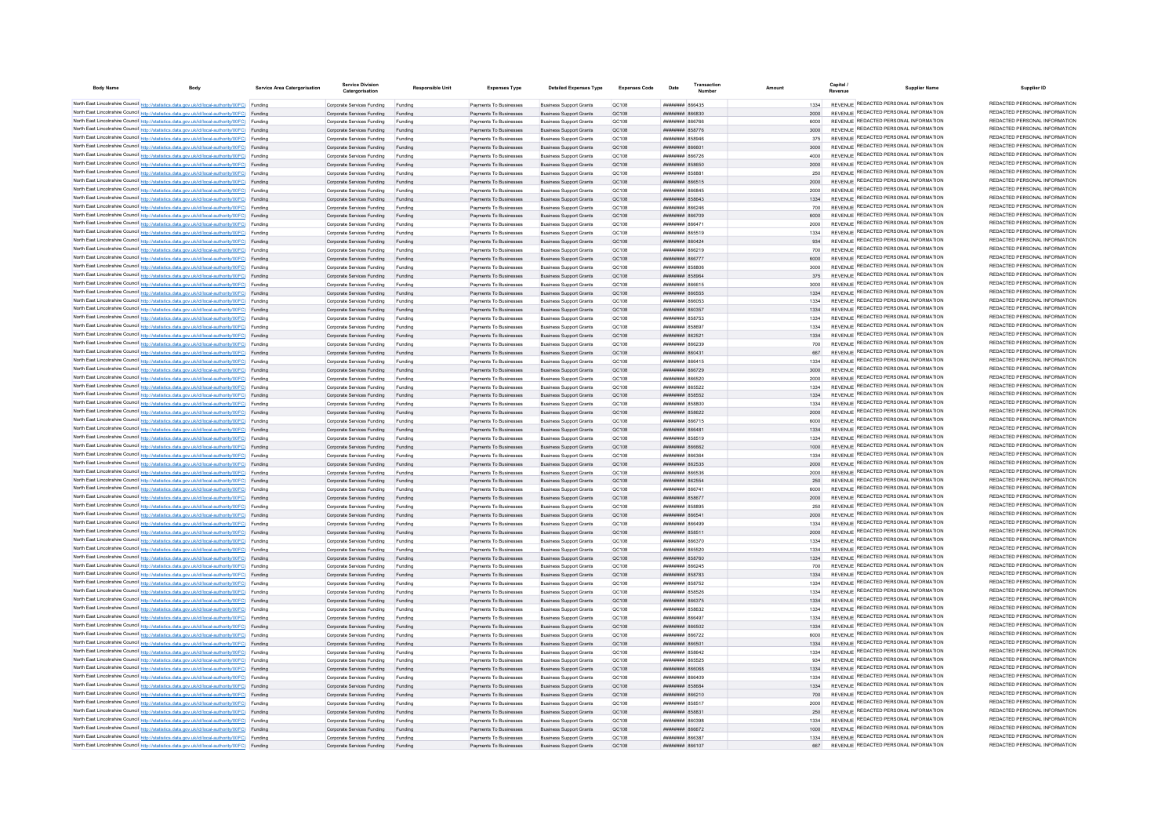| <b>Body Name</b> | <b>Body</b>                                                                                                                                                                                      | Service Area Catergorisation | <b>Service Division</b><br>Catergorisation                       | Responsible Unit   | <b>Expenses Type</b>                             | <b>Detailed Expenses Type</b>                                    | Expenses Code  | Date                                     | Transaction | Amoun        | Capital<br><b>Supplier Name</b>                                                | Supplier ID                                                    |
|------------------|--------------------------------------------------------------------------------------------------------------------------------------------------------------------------------------------------|------------------------------|------------------------------------------------------------------|--------------------|--------------------------------------------------|------------------------------------------------------------------|----------------|------------------------------------------|-------------|--------------|--------------------------------------------------------------------------------|----------------------------------------------------------------|
|                  | North East Lincolnshire Council http://statistics.data.gov.uk/id/local-authority/00FC) Funding                                                                                                   |                              | Corporate Services Funding                                       | Funding            | Payments To Businesses                           | <b>Business Support Grants</b>                                   | OC108          | <b>плиннин 866435</b>                    |             | 1334         | REVENUE REDACTED PERSONAL INFORMATION                                          | REDACTED PERSONAL INFORMATION                                  |
|                  | North East Lincolnshire Council http://statistics.data.gov.uk/id/local-authority/00FC) Funding                                                                                                   |                              | Corporate Services Funding                                       | Funding            | Payments To Businesses                           | <b>Business Support Grants</b>                                   | QC108          | 028888 HHHHHH                            |             |              | REVENUE REDACTED PERSONAL INFORMATION                                          | REDACTED PERSONAL INFORMATION                                  |
|                  | North East Lincolnshire Council http://statistics.data.gov.uk/id/local-authority/00FC) Funding                                                                                                   |                              | Corporate Services Funding                                       |                    | Payments To Businesses                           | <b>Business Support Grants</b>                                   | QC108          | 887888 <b>Huunnun</b>                    |             | 6000         | REVENUE REDACTED PERSONAL INFORMATION                                          | REDACTED PERSONAL INFORMATION                                  |
|                  | North East Lincolnshire Council http://statistics.data.gov.uk/id/local-authority/00FC) Funding                                                                                                   |                              | Corporate Services Funding                                       | Funding            | Payments To Businesses                           | <b>Business Support Grants</b>                                   | QC108          | <b>ПЕПИЛИН 858776</b>                    |             | 3000         | REVENUE REDACTED PERSONAL INFORMATION                                          | REDACTED PERSONAL INFORMATION                                  |
|                  | North East Lincolnshire Council http://statistics.data.gov.uk/id/local-authority/00FC) Funding                                                                                                   |                              | Corporate Services Funding                                       | Funding            | Payments To Businesses                           | <b>Business Sunnort Grants</b>                                   | <b>OC108</b>   | <b>########</b> 858946                   |             | 375          | REVENUE REDACTED PERSONAL INFORMATION                                          | REDACTED PERSONAL INFORMATION                                  |
|                  | North East Lincolnshire Council http://statistics.data.gov.uk/id/local-authority/00FC) Funding                                                                                                   |                              | Corporate Services Funding                                       | Funding            | Payments To Businesses                           | <b>Business Sunnort Grants</b>                                   | OC:108         | ######## 866601                          |             | 3000         | REVENUE REDACTED PERSONAL INFORMATION                                          | REDACTED PERSONAL INFORMATION                                  |
|                  | North East Lincolnshire Council http://statistics.data.gov.uk/id/local-authority/00FC) Funding                                                                                                   |                              | Corporate Services Funding                                       | Funding            | Payments To Businesses                           | <b>Business Support Grants</b>                                   | QC108          | 865888 HHHHHH                            |             | 4000         | REVENUE REDACTED PERSONAL INFORMATION<br>REVENUE REDACTED PERSONAL INFORMATION | REDACTED PERSONAL INFORMATION<br>REDACTED PERSONAL INFORMATION |
|                  | North East Lincolnshire Council http://statistics.data.gov.uk/id/local-authority/00FC) Funding                                                                                                   |                              | Corporate Services Funding Funding                               |                    | Payments To Businesses                           | <b>Business Support Grants</b>                                   | QC108          | ####### 858650                           |             |              | REVENUE REDACTED PERSONAL INFORMATION                                          | REDACTED PERSONAL INFORMATION                                  |
|                  | North East Lincolnshire Council http://statistics.data.gov.uk/id/local-authority/00FC) Funding<br>North East Lincolnshire Council http://statistics.data.gov.uk/id/local-authority/00FC) Funding |                              | Corporate Services Funding<br>Corporate Services Funding Funding | Funding            | Payments To Businesses<br>Payments To Businesses | <b>Business Support Grants</b><br><b>Business Support Grants</b> | QC108<br>QC108 | ####### 85888<br>######## 866515         |             | 250<br>2000  | REVENUE REDACTED PERSONAL INFORMATION                                          | REDACTED PERSONAL INFORMATION                                  |
|                  | North East Lincolnshire Council http://statistics.data.gov.uk/id/local-authority/00FC) Funding                                                                                                   |                              | Corporate Services Funding                                       | Funding            | Payments To Businesses                           | <b>Business Support Grants</b>                                   | OC108          |                                          |             | 2000         | REVENUE REDACTED PERSONAL INFORMATION                                          | REDACTED PERSONAL INFORMATION                                  |
|                  | North East Lincolnshire Council http://statistics.data.gov.uk/id/local-authority/00FC) Funding                                                                                                   |                              | Corporate Services Funding                                       | Funding            | Payments To Businesses                           | <b>Business Support Grants</b>                                   | OC108          | ######## 858643                          |             | 1334         | REVENUE REDACTED PERSONAL INFORMATION                                          | REDACTED PERSONAL INFORMATION                                  |
|                  | North East Lincolnshire Council http://statistics.data.gov.uk/id/local-authority/00FC) Funding                                                                                                   |                              | Corporate Services Funding                                       | Funding            | Payments To Businesses                           | <b>Business Support Grants</b>                                   | OC108          | ######## 866246                          |             | 700          | REVENUE REDACTED PERSONAL INFORMATION                                          | REDACTED PERSONAL INFORMATION                                  |
|                  | North East Lincolnshire Council http://statistics.data.gov.uk/id/local-authority/00FC) Funding                                                                                                   |                              | Corporate Services Funding                                       | Funding            | Payments To Businesses                           | <b>Business Support Grants</b>                                   | <b>QC108</b>   |                                          |             | 6000         | REVENUE REDACTED PERSONAL INFORMATION                                          | REDACTED PERSONAL INFORMATION                                  |
|                  | North East Lincolnshire Council http://statistics.data.gov.uk/id/local-authority/00FC) Funding                                                                                                   |                              | Corporate Services Funding                                       |                    | Payments To Businesses                           | <b>Business Support Grants</b>                                   | QC108          | <b>пининин</b> 866471                    |             | 2000         | <b>REVENUE REDACTED PERSONAL INFORMATION</b>                                   | REDACTED PERSONAL INFORMATION                                  |
|                  | North East Lincolnshire Council http://statistics.data.gov.uk/id/local-authority/00FC) Funding                                                                                                   |                              | Corporate Services Funding                                       |                    | Payments To Businesses                           | <b>Business Support Grants</b>                                   | QC108          | <b>012238 HEBRUARE</b>                   |             | 1334         | REVENUE REDACTED PERSONAL INFORMATION                                          | REDACTED PERSONAL INFORMATION                                  |
|                  | North East Lincolnshire Council http://statistics.data.gov.uk/id/local-authority/00FC) Funding                                                                                                   |                              | Corporate Services Funding                                       | Funding            | Payments To Businesses                           | <b>Business Support Grants</b>                                   | OC108          | пппппппп 860424                          |             | 934          | REVENUE REDACTED PERSONAL INFORMATION<br>REVENUE REDACTED PERSONAL INFORMATION | REDACTED PERSONAL INFORMATION<br>REDACTED PERSONAL INFORMATION |
|                  | North East Lincolnshire Council http://statistics.data.gov.uk/id/local-authority/00FC) Funding<br>North East Lincolnshire Council http://statistics.data.gov.uk/id/local-authority/00FC) Funding |                              | Corporate Services Funding                                       | Funding            | Payments To Businesses                           | <b>Business Support Grants</b>                                   | QC108          | ######## 866219<br>######## 866777       |             | 700<br>6000  | REVENUE REDACTED PERSONAL INFORMATION                                          | REDACTED PERSONAL INFORMATION                                  |
|                  | North East Lincolnshire Council http://statistics.data.gov.uk/id/local-authority/00FC) Funding                                                                                                   |                              | Corporate Services Funding<br>Corporate Services Funding         | Funding<br>Funding | Payments To Businesses<br>Payments To Businesses | <b>Business Support Grants</b><br><b>Business Support Grants</b> | QC108<br>QC108 | ######## 858806                          |             | 3000         | REVENUE REDACTED PERSONAL INFORMATION                                          | REDACTED PERSONAL INFORMATION                                  |
|                  | North East Lincolnshire Council http://statistics.data.gov.uk/id/local-authority/00FC) Funding                                                                                                   |                              | Corporate Services Funding                                       |                    | Payments To Businesses                           | <b>Business Support Grants</b>                                   | QC108          | ######## 858964                          |             | 375          | REVENUE REDACTED PERSONAL INFORMATION                                          | REDACTED PERSONAL INFORMATION                                  |
|                  | North East Lincolnshire Council http://statistics.data.gov.uk/id/local-authority/00FC) Funding                                                                                                   |                              | Corporate Services Funding                                       | Funding            | Payments To Businesses                           | <b>Business Support Grants</b>                                   | QC108          | ######## 866615                          |             | 3000         | REVENUE REDACTED PERSONAL INFORMATION                                          | REDACTED PERSONAL INFORMATION                                  |
|                  | North East Lincolnshire Council http://statistics.data.gov.uk/id/local-authority/00FC) Funding                                                                                                   |                              | Corporate Services Funding                                       | Funding            | Payments To Businesses                           | <b>Business Support Grants</b>                                   | QC108          | <b>########</b> 866555                   |             | 1334         | REVENUE REDACTED PERSONAL INFORMATION                                          | REDACTED PERSONAL INFORMATION                                  |
|                  | North East Lincolnshire Council http://statistics.data.gov.uk/id/local-authority/00FC) Funding                                                                                                   |                              | Corporate Services Funding                                       | Funding            | Payments To Businesses                           | <b>Business Support Grants</b>                                   | QC108          | ######## 866053                          |             | 1334         | REVENUE REDACTED PERSONAL INFORMATION                                          | REDACTED PERSONAL INFORMATION                                  |
|                  | North East Lincolnshire Council http://statistics.data.gov.uk/id/local-authority/00FC) Funding                                                                                                   |                              | Corporate Services Funding                                       | Funding            | Payments To Businesses                           | <b>Business Support Grants</b>                                   | QC108          | ######## 860357                          |             | 1334         | REVENUE REDACTED PERSONAL INFORMATION                                          | REDACTED PERSONAL INFORMATION                                  |
|                  | North East Lincolnshire Council http://statistics.data.gov.uk/id/local-authority/00FC) Funding                                                                                                   |                              | Corporate Services Funding                                       | Funding            | Payments To Businesses                           | <b>Business Support Grants</b>                                   | <b>QC108</b>   | ####### 858753                           |             | 1334         | REVENUE REDACTED PERSONAL INFORMATION                                          | REDACTED PERSONAL INFORMATION                                  |
|                  | North East Lincolnshire Council http://statistics.data.gov.uk/id/local-authority/00FC) Funding                                                                                                   |                              | Corporate Services Funding                                       |                    | Payments To Businesses                           | <b>Business Support Grants</b>                                   | QC108          | ####### 85869                            |             | 1334         | REVENUE REDACTED PERSONAL INFORMATION<br>REVENUE REDACTED PERSONAL INFORMATION | REDACTED PERSONAL INFORMATION<br>REDACTED PERSONAL INFORMATION |
|                  | North East Lincolnshire Council http://statistics.data.gov.uk/id/local-authority/00FC) Funding                                                                                                   |                              | Corporate Services Funding                                       |                    | Payments To Businesses                           | <b>Business Support Grants</b>                                   | QC108          | ######## 862521<br>BECAAR HHHHHHH        |             | 1334         | REVENUE REDACTED PERSONAL INFORMATION                                          | REDACTED PERSONAL INFORMATION                                  |
|                  | North East Lincolnshire Council http://statistics.data.gov.uk/id/local-authority/00FC) Funding<br>North East Lincolnshire Council http://statistics.data.gov.uk/id/local-authority/00FC) Funding |                              | Corporate Services Funding<br>Comorate Services Funding Funding  | Funding            | Payments To Businesses<br>Payments To Businesses | <b>Business Support Grants</b><br><b>Business Sunnort Grants</b> | QC108<br>OC108 | <b>BRAHHHHH 860431</b>                   |             | 700<br>667   | REVENUE REDACTED PERSONAL INFORMATION                                          | REDACTED PERSONAL INFORMATION                                  |
|                  | North East Lincolnshire Council http://statistics.data.gov.uk/id/local-authority/00FC) Funding                                                                                                   |                              | Corporate Services Funding                                       | Funding            | Payments To Businesses                           | <b>Business Sunnort Grants</b>                                   | OC108          | <b>пппппппп</b> 866415                   |             | 1334         | REVENUE REDACTED PERSONAL INFORMATION                                          | REDACTED PERSONAL INFORMATION                                  |
|                  | North East Lincolnshire Council http://statistics.data.gov.uk/id/local-authority/00FC) Funding                                                                                                   |                              | Corporate Services Funding Funding                               |                    | Payments To Businesses                           | <b>Business Support Grants</b>                                   | OC108          | <b>плинини 866729</b>                    |             | 3000         | REVENUE REDACTED PERSONAL INFORMATION                                          | REDACTED PERSONAL INFORMATION                                  |
|                  | North East Lincolnshire Council http://statistics.data.gov.uk/id/local-authority/00FC) Funding                                                                                                   |                              | Corporate Services Funding                                       | Funding            | Payments To Businesses                           | <b>Business Support Grants</b>                                   | QC108          | ####### 866520                           |             |              | REVENUE REDACTED PERSONAL INFORMATION                                          | REDACTED PERSONAL INFORMATION                                  |
|                  | North East Lincolnshire Council http://statistics.data.gov.uk/id/local-authority/00FC) Funding                                                                                                   |                              | Corporate Services Funding                                       | Funding            | Payments To Businesses                           | <b>Business Support Grants</b>                                   | QC108          | ####### 865522                           |             | 1334         | REVENUE REDACTED PERSONAL INFORMATION                                          | REDACTED PERSONAL INFORMATION                                  |
|                  | North East Lincolnshire Council http://statistics.data.gov.uk/id/local-authority/00FC) Funding                                                                                                   |                              | Corporate Services Funding                                       | Funding            | Payments To Businesses                           | <b>Business Support Grants</b>                                   | OC108          | ######## 858552                          |             | 1334         | REVENUE REDACTED PERSONAL INFORMATION                                          | REDACTED PERSONAL INFORMATION                                  |
|                  | North East Lincolnshire Council http://statistics.data.gov.uk/id/local-authority/00FC) Funding                                                                                                   |                              | Corporate Services Funding                                       | Funding            | Payments To Businesses                           | <b>Business Sunnort Grants</b>                                   | OC108          | <i><b>BRAHHHHH 858800</b></i>            |             | 1334         | REVENUE REDACTED PERSONAL INFORMATION                                          | REDACTED PERSONAL INFORMATION                                  |
|                  | North East Lincolnshire Council http://statistics.data.gov.uk/id/local-authority/00FC) Funding                                                                                                   |                              | Comorate Services Funding Funding                                |                    | Payments To Businesses                           | <b>Business Sunnort Grants</b>                                   | OC108          | <b><i>BBBBBBBB</i></b> 858622            |             | 2000         | REVENUE REDACTED PERSONAL INFORMATION                                          | REDACTED PERSONAL INFORMATION<br>REDACTED PERSONAL INFORMATION |
|                  | North East Lincolnshire Council http://statistics.data.gov.uk/id/local-authority/00FC) Funding                                                                                                   |                              | Corporate Services Funding                                       | Funding            | Payments To Businesses                           | <b>Business Support Grants</b>                                   | OC108          | <b>####### 866715</b>                    |             | 6000         | REVENUE REDACTED PERSONAL INFORMATION<br>REVENUE REDACTED PERSONAL INFORMATION | REDACTED PERSONAL INFORMATION                                  |
|                  | North East Lincolnshire Council http://statistics.data.gov.uk/id/local-authority/00FC) Funding<br>North East Lincolnshire Council http://statistics.data.gov.uk/id/local-authority/00FC) Funding |                              | Corporate Services Funding<br>Corporate Services Funding         | Funding            | Payments To Businesses<br>Payments To Businesses | <b>Business Support Grants</b><br><b>Business Support Grants</b> | QC108<br>QC108 | ####### 86648<br><b>####### 858519</b>   |             | 1334<br>1334 | REVENUE REDACTED PERSONAL INFORMATION                                          | REDACTED PERSONAL INFORMATION                                  |
|                  | North East Lincolnshire Council http://statistics.data.gov.uk/id/local-authority/00FC) Funding                                                                                                   |                              | Corporate Services Funding                                       | Funding            | Payments To Businesses                           | <b>Business Support Grants</b>                                   | QC108          | HHHHHHH BARRA?                           |             | 1000         | REVENUE REDACTED PERSONAL INFORMATION                                          | REDACTED PERSONAL INFORMATION                                  |
|                  | North East Lincolnshire Council http://statistics.data.gov.uk/id/local-authority/00FC) Funding                                                                                                   |                              | Corporate Services Funding                                       | Funding            | Payments To Businesses                           | <b>Business Sunnort Grants</b>                                   | OC108          | <b>плинини вбезба</b>                    |             | 1334         | REVENUE REDACTED PERSONAL INFORMATION                                          | REDACTED PERSONAL INFORMATION                                  |
|                  | North East Lincolnshire Council http://statistics.data.gov.uk/id/local-authority/00FC) Funding                                                                                                   |                              | Corporate Services Funding                                       | Funding            | Payments To Businesses                           | <b>Business Sunnort Grants</b>                                   | OC108          | ######## 862535                          |             | 2000         | REVENUE REDACTED PERSONAL INFORMATION                                          | REDACTED PERSONAL INFORMATION                                  |
|                  | North East Lincolnshire Council http://statistics.data.gov.uk/id/local-authority/00FC) Funding                                                                                                   |                              | Corporate Services Funding                                       | Funding            | Payments To Businesses                           | <b>Business Support Grants</b>                                   | QC108          | <b>лининин</b> 866536                    |             | 2000         | REVENUE REDACTED PERSONAL INFORMATION                                          | REDACTED PERSONAL INFORMATION                                  |
|                  | North East Lincolnshire Council http://statistics.data.gov.uk/id/local-authority/00FC) Funding                                                                                                   |                              | Corporate Services Funding                                       | Funding            | Payments To Businesses                           | <b>Business Support Grants</b>                                   | QC108          | ####### 86255                            |             |              | REVENUE REDACTED PERSONAL INFORMATION                                          | REDACTED PERSONAL INFORMATION                                  |
|                  | North East Lincolnshire Council http://statistics.data.gov.uk/id/local-authority/00FC) Funding                                                                                                   |                              | Corporate Services Funding                                       | Funding            | Payments To Businesses                           | <b>Business Support Grants</b>                                   | QC108          | ####### 86674                            |             | 6000         | REVENUE REDACTED PERSONAL INFORMATION                                          | REDACTED PERSONAL INFORMATION<br>REDACTED PERSONAL INFORMATION |
|                  | North East Lincolnshire Council http://statistics.data.gov.uk/id/local-authority/00FC) Funding                                                                                                   |                              | Corporate Services Funding                                       | Funding            | Payments To Businesses                           | <b>Business Support Grants</b>                                   | QC108          | ######## 858677                          |             | 2000         | REVENUE REDACTED PERSONAL INFORMATION<br>REVENUE REDACTED PERSONAL INFORMATION | REDACTED PERSONAL INFORMATION                                  |
|                  | North East Lincolnshire Council http://statistics.data.gov.uk/id/local-authority/00FC) Funding<br>North East Lincolnshire Council http://statistics.data.gov.uk/id/local-authority/00FC) Funding |                              | Corporate Services Funding<br>Corporate Services Funding         | Funding<br>Funding | Payments To Businesses<br>Payments To Businesses | <b>Business Support Grants</b><br><b>Business Support Grants</b> | OC108<br>QC108 | ######## 858895<br>######## 86654        |             | 250<br>2000  | REVENUE REDACTED PERSONAL INFORMATION                                          | REDACTED PERSONAL INFORMATION                                  |
|                  | North East Lincolnshire Council http://statistics.data.gov.uk/id/local-authority/00FC) Funding                                                                                                   |                              | Corporate Services Funding                                       | Funding            | Payments To Businesses                           | <b>Business Support Grants</b>                                   | OC108          | <b>RRAGA MERMERIA</b>                    |             | 1334         | REVENUE REDACTED PERSONAL INFORMATION                                          | REDACTED PERSONAL INFORMATION                                  |
|                  | North East Lincolnshire Council http://statistics.data.gov.uk/id/local-authority/00FC) Funding                                                                                                   |                              | Corporate Services Funding                                       | Funding            | Payments To Businesses                           | <b>Business Support Grants</b>                                   | <b>QC108</b>   | ####### 85851                            |             | 2000         | REVENUE REDACTED PERSONAL INFORMATION                                          | REDACTED PERSONAL INFORMATION                                  |
|                  | North East Lincolnshire Council http://statistics.data.gov.uk/id/local-authority/00FC) Funding                                                                                                   |                              | Corporate Services Funding                                       |                    | Payments To Businesses                           | <b>Business Support Grants</b>                                   | QC108          | 05688 HHHHHH                             |             | 1334         | <b>REVENUE REDACTED PERSONAL INFORMATION</b>                                   | REDACTED PERSONAL INFORMATION                                  |
|                  | North East Lincolnshire Council http://statistics.data.gov.uk/id/local-authority/00FC) Funding                                                                                                   |                              | Corporate Services Funding                                       | Funding            | Payments To Businesses                           | <b>Business Support Grants</b>                                   | QC108          | 05538 HHHHHH                             |             | 1334         | REVENUE REDACTED PERSONAL INFORMATION                                          | REDACTED PERSONAL INFORMATION                                  |
|                  | North East Lincolnshire Council http://statistics.data.gov.uk/id/local-authority/00FC) Funding                                                                                                   |                              | Corporate Services Funding                                       | Funding            | Payments To Businesses                           | <b>Business Support Grants</b>                                   | OC108          | <b>######## 858760</b>                   |             | 1334         | REVENUE REDACTED PERSONAL INFORMATION                                          | REDACTED PERSONAL INFORMATION                                  |
|                  | North East Lincolnshire Council http://statistics.data.gov.uk/id/local-authority/00FC) Funding                                                                                                   |                              | Corporate Services Funding                                       | Funding            | Payments To Businesses                           | <b>Business Support Grants</b>                                   | QC108          | <b>пппппппп</b> 866245                   |             | 700          | REVENUE REDACTED PERSONAL INFORMATION                                          | REDACTED PERSONAL INFORMATION                                  |
|                  | North East Lincolnshire Council http://statistics.data.gov.uk/id/local-authority/00FC) Funding                                                                                                   |                              | Corporate Services Funding Funding                               |                    | Payments To Businesses                           | <b>Business Support Grants</b>                                   | QC108          | ######## 858783                          |             | 1334         | REVENUE REDACTED PERSONAL INFORMATION<br>REVENUE REDACTED PERSONAL INFORMATION | REDACTED PERSONAL INFORMATION<br>REDACTED PERSONAL INFORMATION |
|                  | North East Lincolnshire Council http://statistics.data.gov.uk/id/local-authority/00FC) Funding                                                                                                   |                              | Corporate Services Funding                                       | Funding            | Payments To Businesses                           | <b>Business Support Grants</b>                                   | QC108<br>QC108 | <b>####### 858752</b><br>######## 858526 |             | 1334         | REVENUE REDACTED PERSONAL INFORMATION                                          | REDACTED PERSONAL INFORMATION                                  |
|                  | North East Lincolnshire Council http://statistics.data.gov.uk/id/local-authority/00FC) Funding<br>North East Lincolnshire Council http://statistics.data.gov.uk/id/local-authority/00FC) Funding |                              | Corporate Services Funding<br>Corporate Services Funding Funding | Funding            | Payments To Businesses<br>Payments To Businesses | <b>Business Support Grants</b><br><b>Business Support Grants</b> | QC108          | ######## 866375                          |             | 1334         | REVENUE REDACTED PERSONAL INFORMATION                                          | REDACTED PERSONAL INFORMATION                                  |
|                  | North East Lincolnshire Council http://statistics.data.gov.uk/id/local-authority/00FC) Funding                                                                                                   |                              | Corporate Services Funding                                       | Funding            | Payments To Businesses                           | <b>Business Support Grants</b>                                   | QC108          | ####### 858632                           |             | 1334         | REVENUE REDACTED PERSONAL INFORMATION                                          | REDACTED PERSONAL INFORMATION                                  |
|                  | North East Lincolnshire Council http://statistics.data.gov.uk/id/local-authority/00FC) Funding                                                                                                   |                              | Corporate Services Funding                                       | Funding            | Payments To Businesses                           | <b>Business Support Grants</b>                                   | QC108          | ####### 866497                           |             | 1334         | REVENUE REDACTED PERSONAL INFORMATION                                          | REDACTED PERSONAL INFORMATION                                  |
|                  | North East Lincolnshire Council http://statistics.data.gov.uk/id/local-authority/00FC) Funding                                                                                                   |                              | Corporate Services Funding                                       | Funding            | Payments To Businesses                           | <b>Business Support Grants</b>                                   | OC108          | ######## 866502                          |             | 1334         | REVENUE REDACTED PERSONAL INFORMATION                                          | REDACTED PERSONAL INFORMATION                                  |
|                  | North East Lincolnshire Council http://statistics.data.gov.uk/id/local-authority/00FC) Funding                                                                                                   |                              | Corporate Services Funding                                       | Funding            | Payments To Businesses                           | <b>Business Support Grants</b>                                   | QC108          | <b>####### 866722</b>                    |             | 6000         | REVENUE REDACTED PERSONAL INFORMATION                                          | REDACTED PERSONAL INFORMATION                                  |
|                  | North East Lincolnshire Council http://statistics.data.gov.uk/id/local-authority/00FC) Funding                                                                                                   |                              | Corporate Services Funding                                       |                    | Payments To Businesses                           | <b>Business Support Grants</b>                                   | QC108          | ######## 86650                           |             | 1334         | REVENUE REDACTED PERSONAL INFORMATION                                          | REDACTED PERSONAL INFORMATION                                  |
|                  | North East Lincolnshire Council http://statistics.data.gov.uk/id/local-authority/00FC) Funding                                                                                                   |                              | Corporate Services Funding                                       |                    | Payments To Businesses                           | <b>Business Support Grants</b>                                   | QC108          | ######## 858642                          |             | 1334         | REVENUE REDACTED PERSONAL INFORMATION                                          | REDACTED PERSONAL INFORMATION                                  |
|                  | North East Lincolnshire Council http://statistics.data.gov.uk/id/local-authority/00FC) Funding                                                                                                   |                              | Corporate Services Funding                                       | Funding            | Payments To Businesses                           | <b>Business Support Grants</b>                                   | OC108          | <b>HHHHHHH</b> 865525                    |             | 934          | REVENUE REDACTED PERSONAL INFORMATION                                          | REDACTED PERSONAL INFORMATION<br>REDACTED PERSONAL INFORMATION |
|                  | North East Lincolnshire Council http://statistics.data.gov.uk/id/local-authority/00FC) Funding                                                                                                   |                              | Corporate Services Funding                                       | Funding            | Payments To Businesses                           | <b>Business Sunnort Grants</b>                                   | OC108          | HHHHHHH RGGOGS                           |             | 1334         | REVENUE REDACTED PERSONAL INFORMATION<br>REVENUE REDACTED PERSONAL INFORMATION | REDACTED PERSONAL INFORMATION                                  |
|                  | North East Lincolnshire Council http://statistics.data.gov.uk/id/local-authority/00FC) Funding<br>North East Lincolnshire Council http://statistics.data.gov.uk/id/local-authority/00FC) Funding |                              | Corporate Services Funding<br>Corporate Services Funding         | Funding<br>Funding | Payments To Businesses<br>Payments To Businesses | <b>Business Sunnort Grants</b><br><b>Business Support Grants</b> | OC108<br>OC108 | ROBAR MEMMENT<br><b>########</b> 858684  |             | 1334<br>1334 | REVENUE REDACTED PERSONAL INFORMATION                                          | REDACTED PERSONAL INFORMATION                                  |
|                  | North East Lincolnshire Council http://statistics.data.gov.uk/id/local-authority/00FC) Funding                                                                                                   |                              | Corporate Services Funding                                       | Funding            | Payments To Businesses                           | <b>Business Support Grants</b>                                   | QC108          | ######## 866210                          |             | 700          | REVENUE REDACTED PERSONAL INFORMATION                                          | REDACTED PERSONAL INFORMATION                                  |
|                  | North East Lincolnshire Council http://statistics.data.gov.uk/id/local-authority/00FC) Funding                                                                                                   |                              | Corporate Services Funding                                       | Funding            | Payments To Businesses                           | <b>Business Support Grants</b>                                   | QC108          | ####### 858517                           |             | 2000         | REVENUE REDACTED PERSONAL INFORMATION                                          | REDACTED PERSONAL INFORMATION                                  |
|                  | North East Lincolnshire Council http://statistics.data.gov.uk/id/local-authority/00FC) Funding                                                                                                   |                              | Corporate Services Funding                                       | Funding            | Payments To Businesses                           | <b>Business Support Grants</b>                                   | QC108          | <b>########</b> 858831                   |             | 250          | REVENUE REDACTED PERSONAL INFORMATION                                          | REDACTED PERSONAL INFORMATION                                  |
|                  | North East Lincolnshire Council http://statistics.data.gov.uk/id/local-authority/00FC) Funding                                                                                                   |                              | Corporate Services Funding                                       | Funding            | Payments To Businesses                           | <b>Business Support Grants</b>                                   | OC108          | ######## 860398                          |             | 1334         | REVENUE REDACTED PERSONAL INFORMATION                                          | REDACTED PERSONAL INFORMATION                                  |
|                  | North East Lincolnshire Council http://statistics.data.gov.uk/id/local-authority/00FC) Funding                                                                                                   |                              | Corporate Services Funding                                       | Funding            | Payments To Businesses                           | <b>Business Sunnort Grants</b>                                   | OC108          | <b>######## 866672</b>                   |             | 1000         | REVENUE REDACTED PERSONAL INFORMATION                                          | REDACTED PERSONAL INFORMATION                                  |
|                  | North East Lincolnshire Council http://statistics.data.gov.uk/id/local-authority/00FC) Funding                                                                                                   |                              | Corporate Services Funding                                       | Funding            | Payments To Businesses                           | <b>Business Support Grants</b>                                   | OC108          | 85338 #######                            |             | 1334         | REVENUE REDACTED PERSONAL INFORMATION                                          | REDACTED PERSONAL INFORMATION<br>REDACTED PERSONAL INFORMATION |
|                  | North East Lincolnshire Council http://statistics.data.gov.uk/id/local-authority/00FC) Funding                                                                                                   |                              | Corporate Services Funding                                       | Funding            | Payments To Businesses                           | <b>Business Support Grants</b>                                   | OC108          | CO1338 RRENNER                           |             | 667          | REVENUE REDACTED PERSONAL INFORMATION                                          |                                                                |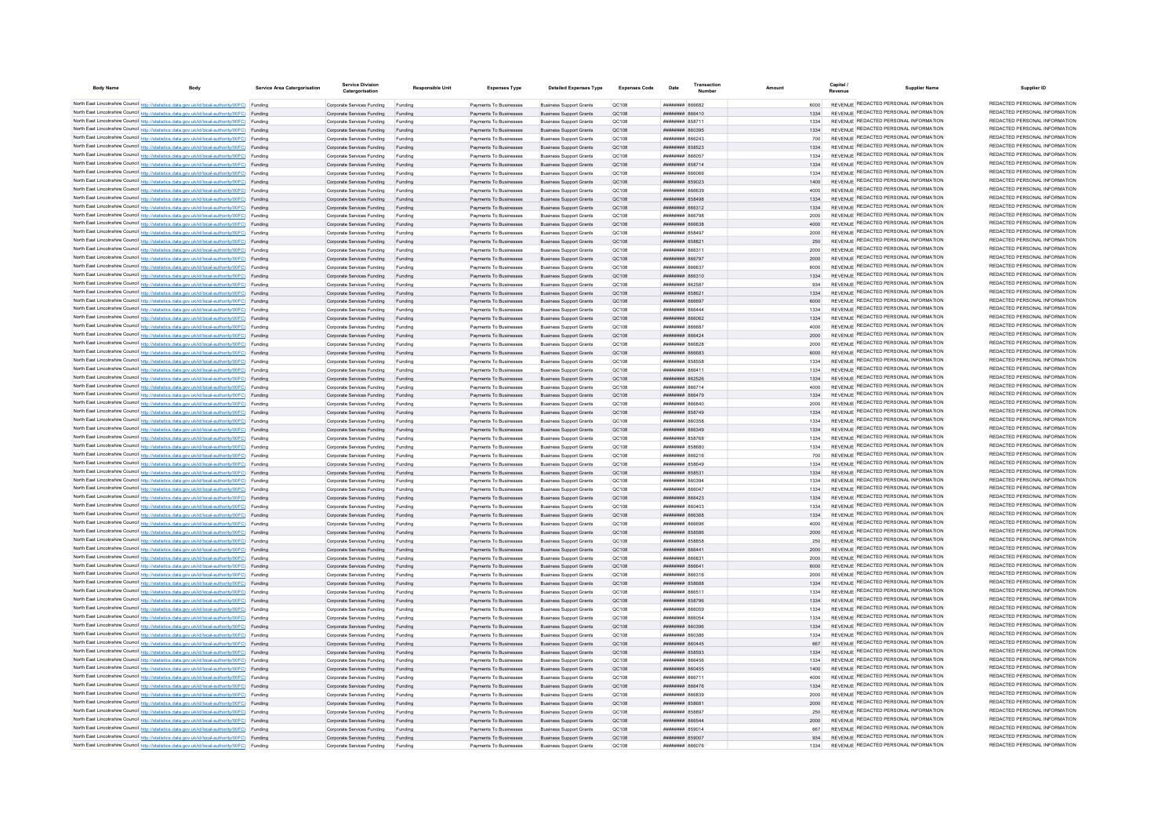| <b>Body Name</b> | <b>Body</b>                                                                                                                                                                                      | Service Area Catergorisatio | <b>Service Division</b><br>Catergorisation                       | <b>Responsible Unit</b> | <b>Expenses Type</b>                             | <b>Detailed Expenses Type</b>                                    | <b>Expenses Code</b>  | Date                                            | Transaction |              | Capital /<br><b>Supplier Name</b><br>Revenue                                   | Supplier ID                                                    |
|------------------|--------------------------------------------------------------------------------------------------------------------------------------------------------------------------------------------------|-----------------------------|------------------------------------------------------------------|-------------------------|--------------------------------------------------|------------------------------------------------------------------|-----------------------|-------------------------------------------------|-------------|--------------|--------------------------------------------------------------------------------|----------------------------------------------------------------|
|                  | North East Lincolnshire Council http://statistics.data.gov.uk/id/local-authority/00FC) Funding                                                                                                   |                             | Comorate Services Funding                                        | Funding                 | Payments To Businesses                           | <b>Business Support Grants</b>                                   | OC108                 | CRAAAR HUUHUUH                                  |             | 6000         | REVENUE REDACTED PERSONAL INFORMATION                                          | REDACTED PERSONAL INFORMATION                                  |
|                  | North East Lincolnshire Council http://statistics.data.gov.uk/id/local-authority/00FC) Funding                                                                                                   |                             | Corporate Services Funding                                       | Funding                 | Payments To Businesses                           | <b>Business Support Grants</b>                                   | OC108                 | 011538 Huunnun                                  |             |              | REVENUE REDACTED PERSONAL INFORMATION                                          | REDACTED PERSONAL INFORMATION                                  |
|                  | North East Lincolnshire Council http://statistics.data.gov.uk/id/local-authority/00FC) Funding                                                                                                   |                             | Corporate Services Funding                                       | Funding                 | Payments To Businesses                           | <b>Business Support Grants</b>                                   | OC108                 | <b>########</b> 858711                          |             | 1334         | REVENUE REDACTED PERSONAL INFORMATION                                          | REDACTED PERSONAL INFORMATION                                  |
|                  | North East Lincolnshire Council http://statistics.data.gov.uk/id/local-authority/00FC) Funding                                                                                                   |                             | Corporate Services Funding                                       | Funding                 | Payments To Businesses                           | <b>Business Support Grants</b>                                   | QC108                 | ####### 860395                                  |             | 1334         | REVENUE REDACTED PERSONAL INFORMATION                                          | REDACTED PERSONAL INFORMATION                                  |
|                  | North East Lincolnshire Council http://statistics.data.gov.uk/id/local-authority/00FC) Funding                                                                                                   |                             | Corporate Services Funding                                       | Funding                 | Payments To Businesses                           | <b>Business Support Grants</b>                                   | QC108                 | гьсаар <del>шиннин</del>                        |             | 700          | REVENUE REDACTED PERSONAL INFORMATION                                          | REDACTED PERSONAL INFORMATION                                  |
|                  | North East Lincolnshire Council http://statistics.data.gov.uk/id/local-authority/00FC) Funding                                                                                                   |                             | Corporate Services Funding                                       | Funding                 | Payments To Businesses                           | <b>Business Support Grants</b>                                   | QC108                 | <b>пппппппп</b> 858523                          |             | 1334         | REVENUE REDACTED PERSONAL INFORMATION<br>REVENUE REDACTED PERSONAL INFORMATION | REDACTED PERSONAL INFORMATION<br>REDACTED PERSONAL INFORMATION |
|                  | North East Lincolnshire Council http://statistics.data.gov.uk/id/local-authority/00FC) Funding                                                                                                   |                             | Corporate Services Funding                                       | Funding                 | Payments To Businesses                           | <b>Business Sunnort Grants</b>                                   | <b>OC108</b><br>OC108 | <b>########</b> 866057                          |             | 1334<br>1334 | REVENUE REDACTED PERSONAL INFORMATION                                          | REDACTED PERSONAL INFORMATION                                  |
|                  | North East Lincolnshire Council http://statistics.data.gov.uk/id/local-authority/00FC) Funding<br>North East Lincolnshire Council http://statistics.data.gov.uk/id/local-authority/00FC) Funding |                             | Corporate Services Funding Funding<br>Corporate Services Funding | Funding                 | Payments To Businesses<br>Payments To Businesses | <b>Business Support Grants</b><br><b>Business Support Grants</b> | QC108                 | ######## 858714<br><b>нививив</b> ябосе         |             | 1334         | REVENUE REDACTED PERSONAL INFORMATION                                          | REDACTED PERSONAL INFORMATION                                  |
|                  | North East Lincolnshire Council http://statistics.data.gov.uk/id/local-authority/00FC) Funding                                                                                                   |                             | Corporate Services Funding Funding                               |                         | Payments To Businesses                           | <b>Business Support Grants</b>                                   | QC108                 | ####### 859023                                  |             | 1400         | REVENUE REDACTED PERSONAL INFORMATION                                          | REDACTED PERSONAL INFORMATION                                  |
|                  | North East Lincolnshire Council http://statistics.data.gov.uk/id/local-authority/00FC) Funding                                                                                                   |                             | Corporate Services Funding                                       | Funding                 | Payments To Businesses                           | <b>Business Support Grants</b>                                   | QC108                 | ####### 866639                                  |             | 4000         | REVENUE REDACTED PERSONAL INFORMATION                                          | REDACTED PERSONAL INFORMATION                                  |
|                  | North East Lincolnshire Council http://statistics.data.gov.uk/id/local-authority/00FC) Funding                                                                                                   |                             | Corporate Services Funding                                       | Funding                 | Payments To Businesses                           | <b>Business Support Grants</b>                                   | OC108                 | <b><i>BRAHHHHH 858498</i></b>                   |             | 1334         | REVENUE REDACTED PERSONAL INFORMATION                                          | REDACTED PERSONAL INFORMATION                                  |
|                  | North East Lincolnshire Council http://statistics.data.gov.uk/id/local-authority/00FC) Funding                                                                                                   |                             | Corporate Services Funding                                       | Funding                 | Payments To Businesses                           | <b>Business Support Grants</b>                                   | OC108                 | ######## 866312                                 |             | 1334         | REVENUE REDACTED PERSONAL INFORMATION                                          | REDACTED PERSONAL INFORMATION                                  |
|                  | North East Lincolnshire Council http://statistics.data.gov.uk/id/local-authority/00FC) Funding                                                                                                   |                             | Corporate Services Funding                                       | Funding                 | Payments To Businesses                           | <b>Business Support Grants</b>                                   | OC108                 | <b>####### 866798</b>                           |             | 2000         | REVENUE REDACTED PERSONAL INFORMATION                                          | REDACTED PERSONAL INFORMATION                                  |
|                  | North East Lincolnshire Council http://statistics.data.gov.uk/id/local-authority/00FC) Funding                                                                                                   |                             | Corporate Services Funding                                       | Funding                 | Payments To Businesses                           | <b>Business Support Grants</b>                                   | <b>QC108</b>          | ######## 866638                                 |             | 4000         | REVENUE REDACTED PERSONAL INFORMATION                                          | REDACTED PERSONAL INFORMATION<br>REDACTED PERSONAL INFORMATION |
|                  | North East Lincolnshire Council http://statistics.data.gov.uk/id/local-authority/00FC) Funding                                                                                                   |                             | Corporate Services Funding                                       | Funding                 | Payments To Businesses                           | <b>Business Support Grants</b>                                   | QC108                 | ####### 85849                                   |             | 2000         | REVENUE REDACTED PERSONAL INFORMATION<br>REVENUE REDACTED PERSONAL INFORMATION | REDACTED PERSONAL INFORMATION                                  |
|                  | North East Lincolnshire Council http://statistics.data.gov.uk/id/local-authority/00FC) Funding<br>North East Lincolnshire Council http://statistics.data.gov.uk/id/local-authority/00FC) Funding |                             | Corporate Services Funding<br>Corporate Services Funding         | Funding                 | Payments To Businesses<br>Payments To Businesses | <b>Business Support Grants</b><br><b>Business Support Grants</b> | QC108<br>OC108        | ######## 858821<br>10238 NUMBER                 |             | 250<br>2000  | REVENUE REDACTED PERSONAL INFORMATION                                          | REDACTED PERSONAL INFORMATION                                  |
|                  | North East Lincolnshire Council http://statistics.data.gov.uk/id/local-authority/00FC) Funding                                                                                                   |                             | Corporate Services Funding                                       | Funding                 | Payments To Businesses                           | <b>Business Support Grants</b>                                   | OC108                 | <b>НИНИНИН</b> 866797                           |             | 2000         | REVENUE REDACTED PERSONAL INFORMATION                                          | REDACTED PERSONAL INFORMATION                                  |
|                  | North East Lincolnshire Council http://statistics.data.gov.uk/id/local-authority/00FC) Funding                                                                                                   |                             | Corporate Services Funding                                       | Funding                 | Payments To Businesses                           | <b>Business Support Grants</b>                                   | QC108                 | FFARR MUNICIPAL                                 |             | 6000         | REVENUE REDACTED PERSONAL INFORMATION                                          | REDACTED PERSONAL INFORMATION                                  |
|                  | North East Lincolnshire Council http://statistics.data.gov.uk/id/local-authority/00FC) Funding                                                                                                   |                             | Corporate Services Funding                                       | Funding                 | Payments To Businesses                           | <b>Business Support Grants</b>                                   | QC108                 | ######## 866310                                 |             |              | REVENUE REDACTED PERSONAL INFORMATION                                          | REDACTED PERSONAL INFORMATION                                  |
|                  | North East Lincolnshire Council http://statistics.data.gov.uk/id/local-authority/00FC) Funding                                                                                                   |                             | Corporate Services Funding                                       | Funding                 | Payments To Businesses                           | <b>Business Support Grants</b>                                   | QC108                 | ####### 86258                                   |             | 934          | REVENUE REDACTED PERSONAL INFORMATION                                          | REDACTED PERSONAL INFORMATION                                  |
|                  | North East Lincolnshire Council http://statistics.data.gov.uk/id/local-authority/00FC) Funding                                                                                                   |                             | Corporate Services Funding                                       | Funding                 | Payments To Businesses                           | <b>Business Support Grants</b>                                   | QC108                 | ######## 85862                                  |             | 1334         | REVENUE REDACTED PERSONAL INFORMATION                                          | REDACTED PERSONAL INFORMATION                                  |
|                  | North East Lincolnshire Council http://statistics.data.gov.uk/id/local-authority/00FC) Funding                                                                                                   |                             | Corporate Services Funding                                       | Funding                 | Payments To Businesses                           | <b>Business Support Grants</b>                                   | QC108                 | геааав иннинин                                  |             | 6000         | REVENUE REDACTED PERSONAL INFORMATION                                          | REDACTED PERSONAL INFORMATION                                  |
|                  | North East Lincolnshire Council http://statistics.data.gov.uk/id/local-authority/00FC) Funding                                                                                                   |                             | Corporate Services Funding                                       | Funding                 | Payments To Businesses                           | <b>Business Support Grants</b>                                   | QC108                 | <b>пипинни 866444</b>                           |             | 1334         | REVENUE REDACTED PERSONAL INFORMATION<br>REVENUE REDACTED PERSONAL INFORMATION | REDACTED PERSONAL INFORMATION<br>REDACTED PERSONAL INFORMATION |
|                  | North East Lincolnshire Council http://statistics.data.gov.uk/id/local-authority/00FC) Funding                                                                                                   |                             | Corporate Services Funding                                       | Funding                 | Payments To Businesses                           | <b>Business Support Grants</b>                                   | QC108<br><b>QC108</b> | ######## 866062<br>8668 HMHHHH                  |             | 1334<br>4000 | REVENUE REDACTED PERSONAL INFORMATION                                          | REDACTED PERSONAL INFORMATION                                  |
|                  | North East Lincolnshire Council http://statistics.data.gov.uk/id/local-authority/00FC) Funding<br>North East Lincolnshire Council http://statistics.data.gov.uk/id/local-authority/00FC) Funding |                             | Corporate Services Funding<br>Corporate Services Funding         | Funding<br>Funding      | Payments To Businesses<br>Payments To Businesses | <b>Business Support Grants</b><br><b>Business Support Grants</b> | QC108                 | ####### 866424                                  |             | 2000         | REVENUE REDACTED PERSONAL INFORMATION                                          | REDACTED PERSONAL INFORMATION                                  |
|                  | North East Lincolnshire Council http://statistics.data.gov.uk/id/local-authority/00FC) Funding                                                                                                   |                             | Corporate Services Funding                                       | Funding                 | Payments To Businesses                           | <b>Business Support Grants</b>                                   | QC108                 | «сязая <del>мминиц</del>                        |             | 2000         | REVENUE REDACTED PERSONAL INFORMATION                                          | REDACTED PERSONAL INFORMATION                                  |
|                  | North East Lincolnshire Council http://statistics.data.gov.uk/id/local-authority/00FC) Funding                                                                                                   |                             | Corporate Services Funding                                       | Funding                 | Payments To Businesses                           | <b>Business Support Grants</b>                                   | QC108                 | FRAAR HHHHHHH                                   |             | 6000         | REVENUE REDACTED PERSONAL INFORMATION                                          | REDACTED PERSONAL INFORMATION                                  |
|                  | North East Lincolnshire Council http://statistics.data.gov.uk/id/local-authority/00FC) Funding                                                                                                   |                             | Corporate Services Funding                                       | Eunding                 | Payments To Businesses                           | <b>Business Support Grants</b>                                   | QC108                 | <b><i>HHHHHHH</i></b> 858558                    |             | 1334         | REVENUE REDACTED PERSONAL INFORMATION                                          | REDACTED PERSONAL INFORMATION                                  |
|                  | North East Lincolnshire Council http://statistics.data.gov.uk/id/local-authority/00FC) Funding                                                                                                   |                             | Comorate Services Funding                                        | Funding                 | Payments To Businesses                           | <b>Business Sunnort Grants</b>                                   | OC108                 | 111068 BURBERRY                                 |             | 1334         | REVENUE REDACTED PERSONAL INFORMATION                                          | REDACTED PERSONAL INFORMATION                                  |
|                  | North East Lincolnshire Council http://statistics.data.gov.uk/id/local-authority/00FC) Funding                                                                                                   |                             | Corporate Services Funding Funding                               |                         | Payments To Businesses                           | <b>Business Support Grants</b>                                   | OC108                 | <b>НИНИНИН 862526</b>                           |             | 1334         | REVENUE REDACTED PERSONAL INFORMATION                                          | REDACTED PERSONAL INFORMATION                                  |
|                  | North East Lincolnshire Council http://statistics.data.gov.uk/id/local-authority/00FC) Funding                                                                                                   |                             | Corporate Services Funding                                       | Funding                 | Payments To Businesses                           | <b>Business Support Grants</b>                                   | OC108                 | <b>HUHHHHH</b> 866714                           |             | 4000         | REVENUE REDACTED PERSONAL INFORMATION                                          | REDACTED PERSONAL INFORMATION<br>REDACTED PERSONAL INFORMATION |
|                  | North East Lincolnshire Council http://statistics.data.gov.uk/id/local-authority/00FC) Funding<br>North East Lincolnshire Council http://statistics.data.gov.uk/id/local-authority/00FC) Funding |                             | Corporate Services Funding Funding                               |                         | Payments To Businesses                           | <b>Business Support Grants</b>                                   | QC108                 | ####### 866479                                  |             | 1334         | REVENUE REDACTED PERSONAL INFORMATION<br>REVENUE REDACTED PERSONAL INFORMATION | REDACTED PERSONAL INFORMATION                                  |
|                  | North East Lincolnshire Council http://statistics.data.gov.uk/id/local-authority/00FC) Funding                                                                                                   |                             | Corporate Services Funding<br>Corporate Services Funding         | Funding<br>Funding      | Payments To Businesses<br>Payments To Businesses | <b>Business Support Grants</b><br><b>Business Support Grants</b> | QC108<br>OC108        | 048888 HHHHHH<br><b>НИНИНИН 858749</b>          |             | 2000<br>1334 | REVENUE REDACTED PERSONAL INFORMATION                                          | REDACTED PERSONAL INFORMATION                                  |
|                  | North East Lincolnshire Council http://statistics.data.gov.uk/id/local-authority/00FC) Funding                                                                                                   |                             | Corporate Services Funding                                       | Funding                 | Payments To Businesses                           | <b>Business Sunnort Grants</b>                                   | <b>OC108</b>          | 82CO3A ########                                 |             | 1334         | REVENUE REDACTED PERSONAL INFORMATION                                          | REDACTED PERSONAL INFORMATION                                  |
|                  | North East Lincolnshire Council http://statistics.data.gov.uk/id/local-authority/00FC) Funding                                                                                                   |                             | Corporate Services Funding                                       | Funding                 | Payments To Businesses                           | <b>Business Support Grants</b>                                   | QC108                 | <b>плиннин</b> васлан                           |             | 1334         | REVENUE REDACTED PERSONAL INFORMATION                                          | REDACTED PERSONAL INFORMATION                                  |
|                  | North East Lincolnshire Council http://statistics.data.gov.uk/id/local-authority/00FC) Funding                                                                                                   |                             | Corporate Services Funding                                       | Funding                 | Payments To Businesses                           | <b>Business Support Grants</b>                                   | OC108                 | <b>########</b> 858768                          |             | 1334         | REVENUE REDACTED PERSONAL INFORMATION                                          | REDACTED PERSONAL INFORMATION                                  |
|                  | North East Lincolnshire Council http://statistics.data.gov.uk/id/local-authority/00FC) Funding                                                                                                   |                             | Corporate Services Funding                                       | Funding                 | Payments To Businesses                           | <b>Business Support Grants</b>                                   | QC108                 | ####### 858680                                  |             | 1334         | REVENUE REDACTED PERSONAL INFORMATION                                          | REDACTED PERSONAL INFORMATION                                  |
|                  | North East Lincolnshire Council http://statistics.data.gov.uk/id/local-authority/00FC) Funding                                                                                                   |                             | Corporate Services Funding                                       | Funding                 | Payments To Businesses                           | <b>Business Support Grants</b>                                   | QC108                 | ######## 866216                                 |             | 700          | REVENUE REDACTED PERSONAL INFORMATION                                          | REDACTED PERSONAL INFORMATION                                  |
|                  | North East Lincolnshire Council http://statistics.data.gov.uk/id/local-authority/00FC) Funding                                                                                                   |                             | Corporate Services Funding                                       | Funding                 | Payments To Businesses                           | <b>Business Support Grants</b>                                   | QC108                 | <del>пппиннн</del> я5яла                        |             | 1334         | REVENUE REDACTED PERSONAL INFORMATION                                          | REDACTED PERSONAL INFORMATION<br>REDACTED PERSONAL INFORMATION |
|                  | North East Lincolnshire Council http://statistics.data.gov.uk/id/local-authority/00FC) Funding                                                                                                   |                             | Corporate Services Funding                                       | Funding                 | Payments To Businesses                           | <b>Business Sunnort Grants</b>                                   | OC:108                | ######## 858531                                 |             | 1334         | REVENUE REDACTED PERSONAL INFORMATION<br>REVENUE REDACTED PERSONAL INFORMATION | REDACTED PERSONAL INFORMATION                                  |
|                  | North East Lincolnshire Council http://statistics.data.gov.uk/id/local-authority/00FC) Funding<br>North East Lincolnshire Council http://statistics.data.gov.uk/id/local-authority/00FC) Funding |                             | Corporate Services Funding<br>Corporate Services Funding         | Funding<br>Funding      | Payments To Businesses<br>Payments To Businesses | <b>Business Support Grants</b><br><b>Business Support Grants</b> | QC108<br>QC108        | $0.0208$ <b>HUBBERT</b><br>возая нинини         |             | 1334<br>1334 | REVENUE REDACTED PERSONAL INFORMATION                                          | REDACTED PERSONAL INFORMATION                                  |
|                  | North East Lincolnshire Council http://statistics.data.gov.uk/id/local-authority/00FC) Funding                                                                                                   |                             | Corporate Services Funding                                       | Funding                 | Payments To Businesses                           | <b>Business Support Grants</b>                                   | QC108                 | ######## 866423                                 |             | 1334         | REVENUE REDACTED PERSONAL INFORMATION                                          | REDACTED PERSONAL INFORMATION                                  |
|                  | North East Lincolnshire Council http://statistics.data.gov.uk/id/local-authority/00FC) Funding                                                                                                   |                             | Corporate Services Funding                                       | Funding                 | Payments To Businesses                           | <b>Business Support Grants</b>                                   | QC108                 | <b>BRAHAMA REGACA</b>                           |             | 1334         | REVENUE REDACTED PERSONAL INFORMATION                                          | REDACTED PERSONAL INFORMATION                                  |
|                  | North East Lincolnshire Council http://statistics.data.gov.uk/id/local-authority/00FC) Funding                                                                                                   |                             | Corporate Services Funding                                       | Funding                 | Payments To Businesses                           | <b>Business Support Grants</b>                                   | OC108                 |                                                 |             | 1334         | REVENUE REDACTED PERSONAL INFORMATION                                          | REDACTED PERSONAL INFORMATION                                  |
|                  | North East Lincolnshire Council http://statistics.data.gov.uk/id/local-authority/00FC) Funding                                                                                                   |                             | Corporate Services Funding                                       | Funding                 | Payments To Businesses                           | <b>Business Support Grants</b>                                   | OC108                 | BRASAN BREEZER                                  |             | 4000         | REVENUE REDACTED PERSONAL INFORMATION                                          | REDACTED PERSONAL INFORMATION                                  |
|                  | North East Lincolnshire Council http://statistics.data.gov.uk/id/local-authority/00FC) Funding                                                                                                   |                             | Corporate Services Funding                                       | Funding                 | Payments To Businesses                           | <b>Business Support Grants</b>                                   | QC108                 | ######## 858586                                 |             | 2000         | REVENUE REDACTED PERSONAL INFORMATION                                          | REDACTED PERSONAL INFORMATION                                  |
|                  | North East Lincolnshire Council http://statistics.data.gov.uk/id/local-authority/00FC) Funding                                                                                                   |                             | Corporate Services Funding                                       | Funding                 | Payments To Businesses                           | <b>Business Support Grants</b>                                   | QC108                 | ####### 85885                                   |             | 250          | REVENUE REDACTED PERSONAL INFORMATION                                          | REDACTED PERSONAL INFORMATION                                  |
|                  | North East Lincolnshire Council http://statistics.data.gov.uk/id/local-authority/00FC) Funding                                                                                                   |                             | Corporate Services Funding                                       | Funding                 | Payments To Businesses                           | <b>Business Support Grants</b>                                   | <b>QC108</b>          | ######## 866441                                 |             | 2000         | REVENUE REDACTED PERSONAL INFORMATION<br>REVENUE REDACTED PERSONAL INFORMATION | REDACTED PERSONAL INFORMATION<br>REDACTED PERSONAL INFORMATION |
|                  | North East Lincolnshire Council http://statistics.data.gov.uk/id/local-authority/00FC) Funding<br>North East Lincolnshire Council http://statistics.data.gov.uk/id/local-authority/00FC) Funding |                             | Corporate Services Funding<br>Corporate Services Funding         | Funding<br>Funding      | Payments To Businesses<br>Payments To Businesses | <b>Business Support Grants</b><br><b>Business Support Grants</b> | QC108<br>OC108        | <b>FRAAR MMMMMMM</b><br>плиннин 866641          |             | 2000<br>6000 | REVENUE REDACTED PERSONAL INFORMATION                                          | REDACTED PERSONAL INFORMATION                                  |
|                  | North East Lincolnshire Council http://statistics.data.gov.uk/id/local-authority/00FC) Funding                                                                                                   |                             | Corporate Services Funding                                       | Funding                 | Payments To Businesses                           | <b>Business Support Grants</b>                                   | OC108                 | пининин 866316                                  |             | 2000         | REVENUE REDACTED PERSONAL INFORMATION                                          | REDACTED PERSONAL INFORMATION                                  |
|                  | North East Lincolnshire Council http://statistics.data.gov.uk/id/local-authority/00FC) Funding                                                                                                   |                             | Corporate Services Funding Funding                               |                         | Payments To Businesses                           | <b>Business Support Grants</b>                                   | QC108                 | ######## 858688                                 |             | 1334         | REVENUE REDACTED PERSONAL INFORMATION                                          | REDACTED PERSONAL INFORMATION                                  |
|                  | North East Lincolnshire Council http://statistics.data.gov.uk/id/local-authority/00FC) Funding                                                                                                   |                             | Corporate Services Funding                                       | Funding                 | Payments To Businesses                           | <b>Business Support Grants</b>                                   | QC108                 | ####### 866511                                  |             | 1334         | REVENUE REDACTED PERSONAL INFORMATION                                          | REDACTED PERSONAL INFORMATION                                  |
|                  | North East Lincolnshire Council http://statistics.data.gov.uk/id/local-authority/00FC) Funding                                                                                                   |                             | Corporate Services Funding Funding                               |                         | Payments To Businesses                           | <b>Business Support Grants</b>                                   | QC108                 | ######## 858796                                 |             | 1334         | REVENUE REDACTED PERSONAL INFORMATION                                          | REDACTED PERSONAL INFORMATION                                  |
|                  | North East Lincolnshire Council http://statistics.data.gov.uk/id/local-authority/00FC) Funding                                                                                                   |                             | Corporate Services Funding Funding                               |                         | Payments To Businesses                           | <b>Business Support Grants</b>                                   | QC108                 | ######## 866059                                 |             | 1334         | REVENUE REDACTED PERSONAL INFORMATION                                          | REDACTED PERSONAL INFORMATION                                  |
|                  | North East Lincolnshire Council http://statistics.data.gov.uk/id/local-authority/00FC) Funding                                                                                                   |                             | Corporate Services Funding                                       | Funding                 | Payments To Businesses                           | <b>Business Support Grants</b>                                   | QC108                 | <b>BRASS HERBERT</b>                            |             | 1334         | REVENUE REDACTED PERSONAL INFORMATION                                          | REDACTED PERSONAL INFORMATION                                  |
|                  | North East Lincolnshire Council http://statistics.data.gov.uk/id/local-authority/00FC) Funding                                                                                                   |                             | Corporate Services Funding                                       | Funding                 | Payments To Businesses                           | <b>Business Support Grants</b>                                   | QC108                 | <b>лининин 860396</b>                           |             | 1334         | REVENUE REDACTED PERSONAL INFORMATION<br>REVENUE REDACTED PERSONAL INFORMATION | REDACTED PERSONAL INFORMATION<br>REDACTED PERSONAL INFORMATION |
|                  | North East Lincolnshire Council http://statistics.data.gov.uk/id/local-authority/00FC) Funding                                                                                                   |                             | Corporate Services Funding                                       | Funding                 | Payments To Businesses<br>Payments To Businesses | <b>Business Support Grants</b>                                   | QC108<br><b>QC108</b> | ######## 860386<br>####### 860445               |             | 1334<br>667  | REVENUE REDACTED PERSONAL INFORMATION                                          | REDACTED PERSONAL INFORMATION                                  |
|                  | North East Lincolnshire Council http://statistics.data.gov.uk/id/local-authority/00FC) Funding<br>North East Lincolnshire Council http://statistics.data.gov.uk/id/local-authority/00FC) Funding |                             | Corporate Services Funding<br>Corporate Services Funding         | Funding<br>Funding      | Payments To Businesses                           | <b>Business Support Grants</b><br><b>Business Support Grants</b> | <b>QC108</b>          | ######## 858593                                 |             | 1334         | REVENUE REDACTED PERSONAL INFORMATION                                          | REDACTED PERSONAL INFORMATION                                  |
|                  | North East Lincolnshire Council http://statistics.data.gov.uk/id/local-authority/00FC) Funding                                                                                                   |                             | Corporate Services Funding                                       |                         | Payments To Businesses                           | <b>Business Support Grants</b>                                   | QC108                 | <b><i><u>RRANHHHH</u></i></b> 866456            |             | 1334         | REVENUE REDACTED PERSONAL INFORMATION                                          | REDACTED PERSONAL INFORMATION                                  |
|                  | North East Lincolnshire Council http://statistics.data.gov.uk/id/local-authority/00FC) Funding                                                                                                   |                             | Corporate Services Funding                                       | Funding                 | Payments To Businesses                           | <b>Business Support Grants</b>                                   | QC108                 | <b><i>HHHHHHHH SGOASS</i></b>                   |             | 1400         | REVENUE REDACTED PERSONAL INFORMATION                                          | REDACTED PERSONAL INFORMATION                                  |
|                  | North East Lincolnshire Council http://statistics.data.gov.uk/id/local-authority/00FC) Funding                                                                                                   |                             | Corporate Services Funding                                       | Funding                 | Payments To Businesses                           | <b>Business Support Grants</b>                                   | QC108                 | <b>HRRHHHHH</b> 866711                          |             | 4000         | REVENUE REDACTED PERSONAL INFORMATION                                          | REDACTED PERSONAL INFORMATION                                  |
|                  | North East Lincolnshire Council http://statistics.data.gov.uk/id/local-authority/00FC) Funding                                                                                                   |                             | Comorate Services Funding Funding                                |                         | Payments To Businesses                           | <b>Business Sunnort Grants</b>                                   | OC:108                | <b>######## 866476</b>                          |             | 1334         | REVENUE REDACTED PERSONAL INFORMATION                                          | REDACTED PERSONAL INFORMATION                                  |
|                  | North East Lincolnshire Council http://statistics.data.gov.uk/id/local-authority/00FC) Funding                                                                                                   |                             | Corporate Services Funding                                       | Funding                 | Payments To Businesses                           | <b>Business Support Grants</b>                                   | OC108                 | <b>PERRA MUNICIPAL</b>                          |             | 2000         | REVENUE REDACTED PERSONAL INFORMATION                                          | REDACTED PERSONAL INFORMATION                                  |
|                  | North East Lincolnshire Council http://statistics.data.gov.uk/id/local-authority/00FC) Funding                                                                                                   |                             | Corporate Services Funding                                       | Funding                 | Payments To Businesses                           | <b>Business Support Grants</b>                                   | OC108                 | ######## 858681                                 |             | 2000         | REVENUE REDACTED PERSONAL INFORMATION<br>REVENUE REDACTED PERSONAL INFORMATION | REDACTED PERSONAL INFORMATION<br>REDACTED PERSONAL INFORMATION |
|                  | North East Lincolnshire Council http://statistics.data.gov.uk/id/local-authority/00FC) Funding                                                                                                   |                             | Corporate Services Funding                                       |                         | Payments To Businesses                           | <b>Business Support Grants</b>                                   | QC108                 | HHHHHHH 858897                                  |             | 250          | REVENUE REDACTED PERSONAL INFORMATION                                          | REDACTED PERSONAL INFORMATION                                  |
|                  | North East Lincolnshire Council http://statistics.data.gov.uk/id/local-authority/00FC) Funding<br>North East Lincolnshire Council http://statistics.data.gov.uk/id/local-authority/00FC) Funding |                             | Corporate Services Funding<br>Corporate Services Funding         | Funding<br>Funding      | Payments To Businesses<br>Payments To Businesses | <b>Business Support Grants</b><br><b>Business Support Grants</b> | QC108<br>QC108        | <b>пининин</b> 866544<br><b>BRENHAMM 859014</b> |             | 2000<br>667  | REVENUE REDACTED PERSONAL INFORMATION                                          | REDACTED PERSONAL INFORMATION                                  |
|                  | North East Lincolnshire Council http://statistics.data.gov.uk/id/local-authority/00FC) Funding                                                                                                   |                             | Corporate Services Funding Funding                               |                         | Payments To Businesses                           | <b>Business Sunnort Grants</b>                                   | OC108                 | ######## 859007                                 |             | 934          | REVENUE REDACTED PERSONAL INFORMATION                                          | REDACTED PERSONAL INFORMATION                                  |
|                  | North East Lincolnshire Council http://statistics.data.gov.uk/id/local-authority/00FC) Funding                                                                                                   |                             | Corporate Services Funding                                       | Funding                 | Payments To Businesses                           | <b>Business Support Grants</b>                                   | OC108                 | <b>NO 186076</b>                                |             | 1334         | REVENUE REDACTED PERSONAL INFORMATION                                          | REDACTED PERSONAL INFORMATION                                  |
|                  |                                                                                                                                                                                                  |                             |                                                                  |                         |                                                  |                                                                  |                       |                                                 |             |              |                                                                                |                                                                |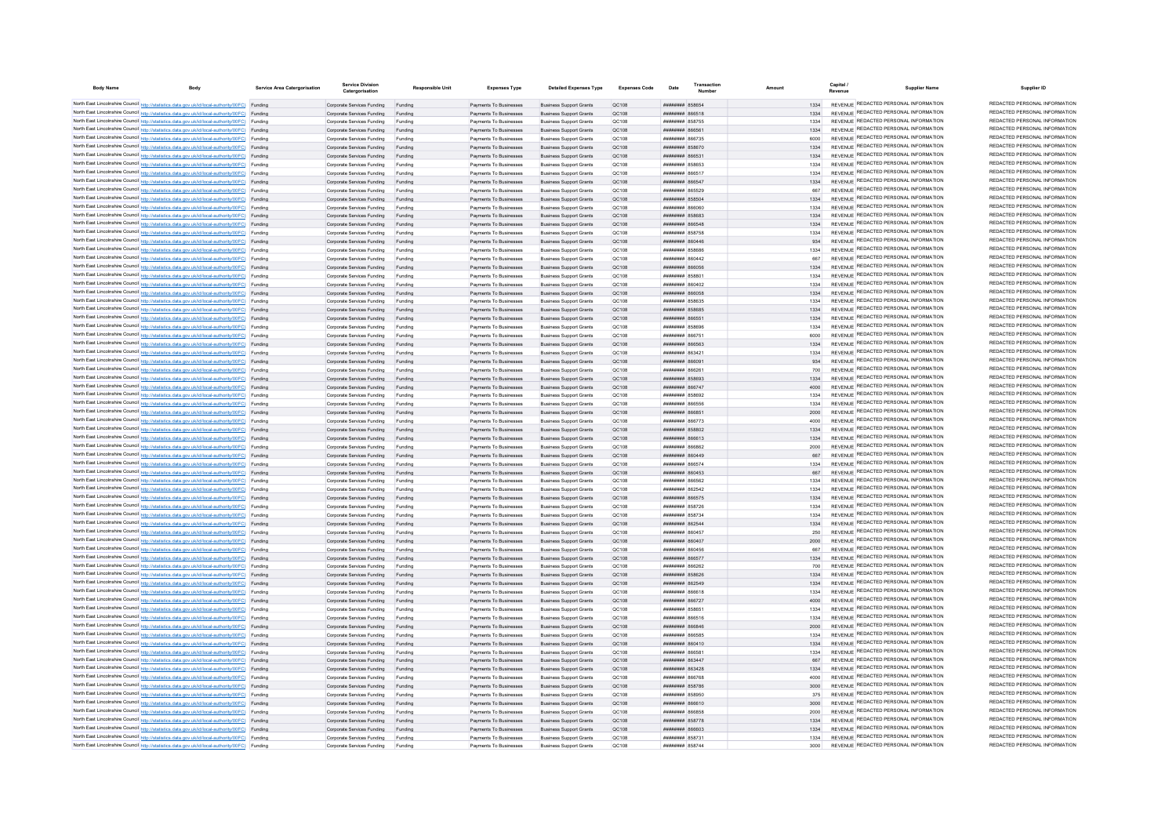| <b>Body Name</b> | <b>Body</b>                                                                                                                                                                                      | Service Area Catergorisation | <b>Service Division</b><br>Catergorisation                               | Responsible Unit   | <b>Expenses Type</b>                             | <b>Detailed Expenses Type</b>                                    | Expenses Code  | Date                                     | Transaction | Amount       | Capital | <b>Supplier Name</b>                                                           | Supplier ID                                                    |
|------------------|--------------------------------------------------------------------------------------------------------------------------------------------------------------------------------------------------|------------------------------|--------------------------------------------------------------------------|--------------------|--------------------------------------------------|------------------------------------------------------------------|----------------|------------------------------------------|-------------|--------------|---------|--------------------------------------------------------------------------------|----------------------------------------------------------------|
|                  | North East Lincolnshire Council http://statistics.data.gov.uk/id/local-authority/00FC) Funding                                                                                                   |                              | Corporate Services Funding                                               | Funding            | Payments To Businesses                           | <b>Business Support Grants</b>                                   | OC108          | ######## 858654                          |             | 1334         |         | REVENUE REDACTED PERSONAL INFORMATION                                          | REDACTED PERSONAL INFORMATION                                  |
|                  | North East Lincolnshire Council http://statistics.data.gov.uk/id/local-authority/00FC) Funding                                                                                                   |                              | Corporate Services Funding                                               | Funding            | Payments To Businesses                           | <b>Business Support Grants</b>                                   | QC108          | 86518 HEEFTHEE                           |             |              |         | REVENUE REDACTED PERSONAL INFORMATION                                          | REDACTED PERSONAL INFORMATION                                  |
|                  | North East Lincolnshire Council http://statistics.data.gov.uk/id/local-authority/00FC) Funding                                                                                                   |                              | Corporate Services Funding                                               | Funding            | Payments To Businesses                           | <b>Business Support Grants</b>                                   | QC108          | <b>########</b> 858755                   |             | 1334         |         | REVENUE REDACTED PERSONAL INFORMATION                                          | REDACTED PERSONAL INFORMATION                                  |
|                  | North East Lincolnshire Council http://statistics.data.gov.uk/id/local-authority/00FC) Funding                                                                                                   |                              | Corporate Services Funding                                               | Funding            | Payments To Businesses                           | <b>Business Support Grants</b>                                   | QC108          | <b>плиннин</b> 866561                    |             | 1334         |         | REVENUE REDACTED PERSONAL INFORMATION                                          | REDACTED PERSONAL INFORMATION                                  |
|                  | North East Lincolnshire Council http://statistics.data.gov.uk/id/local-authority/00FC) Funding                                                                                                   |                              | Corporate Services Funding                                               | Funding            | Payments To Businesses                           | <b>Business Support Grants</b>                                   | OC108          | <b>########</b> 866735                   |             | 6000         |         | REVENUE REDACTED PERSONAL INFORMATION                                          | REDACTED PERSONAL INFORMATION<br>REDACTED PERSONAL INFORMATION |
|                  | North East Lincolnshire Council http://statistics.data.gov.uk/id/local-authority/00FC) Funding                                                                                                   |                              | Corporate Services Funding                                               | Funding            | Payments To Businesses                           | <b>Business Support Grants</b>                                   | OC108          | ######## 858670                          |             | 1334         |         | REVENUE REDACTED PERSONAL INFORMATION                                          | REDACTED PERSONAL INFORMATION                                  |
|                  | North East Lincolnshire Council http://statistics.data.gov.uk/id/local-authority/00FC) Funding<br>North East Lincolnshire Council http://statistics.data.gov.uk/id/local-authority/00FC) Funding |                              | Corporate Services Funding Funding<br>Corporate Services Funding         | Funding            | Payments To Businesses<br>Payments To Businesses | <b>Business Support Grants</b><br><b>Business Support Grants</b> | OC108<br>QC108 | ####### 866531<br>####### 858653         |             | 1334         |         | REVENUE REDACTED PERSONAL INFORMATION<br>REVENUE REDACTED PERSONAL INFORMATION | REDACTED PERSONAL INFORMATION                                  |
|                  | North East Lincolnshire Council http://statistics.data.gov.uk/id/local-authority/00FC) Funding                                                                                                   |                              | Corporate Services Funding                                               | Funding            | Payments To Businesses                           | <b>Business Support Grants</b>                                   | QC108          | <b>####### 866517</b>                    |             | 1334         |         | REVENUE REDACTED PERSONAL INFORMATION                                          | REDACTED PERSONAL INFORMATION                                  |
|                  | North East Lincolnshire Council http://statistics.data.gov.uk/id/local-authority/00FC) Funding                                                                                                   |                              | Corporate Services Funding                                               | Funding            | Payments To Businesses                           | <b>Business Support Grants</b>                                   | QC108          | ######## 866547                          |             | 1334         |         | REVENUE REDACTED PERSONAL INFORMATION                                          | REDACTED PERSONAL INFORMATION                                  |
|                  | North East Lincolnshire Council http://statistics.data.gov.uk/id/local-authority/00FC) Funding                                                                                                   |                              | Corporate Services Funding                                               | Funding            | Payments To Businesses                           | <b>Business Support Grants</b>                                   | OC108          | ######## 865529                          |             | 667          |         | REVENUE REDACTED PERSONAL INFORMATION                                          | REDACTED PERSONAL INFORMATION                                  |
|                  | North East Lincolnshire Council http://statistics.data.gov.uk/id/local-authority/00FC) Funding                                                                                                   |                              | Corporate Services Funding                                               | Funding            | Payments To Businesses                           | <b>Business Support Grants</b>                                   | OC108          | ######## 858504                          |             | 1334         |         | REVENUE REDACTED PERSONAL INFORMATION                                          | REDACTED PERSONAL INFORMATION                                  |
|                  | North East Lincolnshire Council http://statistics.data.gov.uk/id/local-authority/00FC) Funding                                                                                                   |                              | Corporate Services Funding                                               | Funding            | Payments To Businesses                           | <b>Business Support Grants</b>                                   | OC108          | ######## 866060                          |             | 1334         |         | REVENUE REDACTED PERSONAL INFORMATION                                          | REDACTED PERSONAL INFORMATION                                  |
|                  | North East Lincolnshire Council http://statistics.data.gov.uk/id/local-authority/00FC) Funding                                                                                                   |                              | Corporate Services Funding                                               | Funding            | Payments To Businesses                           | <b>Business Support Grants</b>                                   | QC108          | ######## 858683                          |             | 1334         |         | REVENUE REDACTED PERSONAL INFORMATION                                          | REDACTED PERSONAL INFORMATION                                  |
|                  | North East Lincolnshire Council http://statistics.data.gov.uk/id/local-authority/00FC) Funding                                                                                                   |                              | Corporate Services Funding                                               |                    | Payments To Businesses                           | <b>Business Support Grants</b>                                   | QC108          | <b>плинини 866548</b>                    |             | 1334         |         | <b>REVENUE REDACTED PERSONAL INFORMATION</b>                                   | REDACTED PERSONAL INFORMATION                                  |
|                  | North East Lincolnshire Council http://statistics.data.gov.uk/id/local-authority/00FC) Funding                                                                                                   |                              | Corporate Services Funding                                               |                    | Payments To Businesses                           | <b>Business Support Grants</b>                                   | QC108          | <b>########</b> 858758                   |             | 1334         |         | REVENUE REDACTED PERSONAL INFORMATION                                          | REDACTED PERSONAL INFORMATION                                  |
|                  | North East Lincolnshire Council http://statistics.data.gov.uk/id/local-authority/00FC) Funding                                                                                                   |                              | Corporate Services Funding                                               | Funding            | Payments To Businesses                           | <b>Business Support Grants</b>                                   | OC108          | пппппппп 860446                          |             | 934          |         | REVENUE REDACTED PERSONAL INFORMATION                                          | REDACTED PERSONAL INFORMATION<br>REDACTED PERSONAL INFORMATION |
|                  | North East Lincolnshire Council http://statistics.data.gov.uk/id/local-authority/00FC) Funding                                                                                                   |                              | Corporate Services Funding                                               | Funding            | Payments To Businesses                           | <b>Business Support Grants</b>                                   | QC108          | <b>HHHHHHH 858686</b>                    |             | 1334         |         | REVENUE REDACTED PERSONAL INFORMATION<br>REVENUE REDACTED PERSONAL INFORMATION | REDACTED PERSONAL INFORMATION                                  |
|                  | North East Lincolnshire Council http://statistics.data.gov.uk/id/local-authority/00FC) Funding<br>North East Lincolnshire Council http://statistics.data.gov.uk/id/local-authority/00FC) Funding |                              | Corporate Services Funding                                               | Funding<br>Funding | Payments To Businesses<br>Payments To Businesses | <b>Business Support Grants</b>                                   | QC108<br>QC108 | <b>пппппппп</b> 860442<br>####### 866056 |             | 667<br>1334  |         | REVENUE REDACTED PERSONAL INFORMATION                                          | REDACTED PERSONAL INFORMATION                                  |
|                  | North East Lincolnshire Council http://statistics.data.gov.uk/id/local-authority/00FC) Funding                                                                                                   |                              | Corporate Services Funding<br>Corporate Services Funding                 | Funding            | Payments To Businesses                           | <b>Business Support Grants</b><br><b>Business Support Grants</b> | QC108          | ######## 85880                           |             | 1334         |         | REVENUE REDACTED PERSONAL INFORMATION                                          | REDACTED PERSONAL INFORMATION                                  |
|                  | North East Lincolnshire Council http://statistics.data.gov.uk/id/local-authority/00FC) Funding                                                                                                   |                              | Corporate Services Funding                                               | Funding            | Payments To Businesses                           | <b>Business Support Grants</b>                                   | QC108          | ######## 860402                          |             | 1334         |         | REVENUE REDACTED PERSONAL INFORMATION                                          | REDACTED PERSONAL INFORMATION                                  |
|                  | North East Lincolnshire Council http://statistics.data.gov.uk/id/local-authority/00FC) Funding                                                                                                   |                              | Corporate Services Funding                                               | Funding            | Payments To Businesses                           | <b>Business Support Grants</b>                                   | <b>QC108</b>   | <b>HHHHHHH 866058</b>                    |             | 1334         |         | REVENUE REDACTED PERSONAL INFORMATION                                          | REDACTED PERSONAL INFORMATION                                  |
|                  | North East Lincolnshire Council http://statistics.data.gov.uk/id/local-authority/00FC) Funding                                                                                                   |                              | Corporate Services Funding                                               | Funding            | Payments To Businesses                           | <b>Business Support Grants</b>                                   | QC108          | ######## 858635                          |             | 1334         |         | REVENUE REDACTED PERSONAL INFORMATION                                          | REDACTED PERSONAL INFORMATION                                  |
|                  | North East Lincolnshire Council http://statistics.data.gov.uk/id/local-authority/00FC) Funding                                                                                                   |                              | Corporate Services Funding                                               | Funding            | Payments To Businesses                           | <b>Business Support Grants</b>                                   | QC108          | ######## 858685                          |             | 1334         |         | REVENUE REDACTED PERSONAL INFORMATION                                          | REDACTED PERSONAL INFORMATION                                  |
|                  | North East Lincolnshire Council http://statistics.data.gov.uk/id/local-authority/00FC) Funding                                                                                                   |                              | Corporate Services Funding                                               | Funding            | Payments To Businesses                           | <b>Business Support Grants</b>                                   | QC108          | ######## 86655                           |             | 1334         |         | REVENUE REDACTED PERSONAL INFORMATION                                          | REDACTED PERSONAL INFORMATION                                  |
|                  | North East Lincolnshire Council http://statistics.data.gov.uk/id/local-authority/00FC) Funding                                                                                                   |                              | Corporate Services Funding                                               | Funding            | Payments To Businesses                           | <b>Business Support Grants</b>                                   | QC108          | <b>########</b> 858696                   |             | 1334         |         | REVENUE REDACTED PERSONAL INFORMATION                                          | REDACTED PERSONAL INFORMATION                                  |
|                  | North East Lincolnshire Council http://statistics.data.gov.uk/id/local-authority/00FC) Funding                                                                                                   |                              | Corporate Services Funding                                               |                    | Payments To Businesses                           | <b>Business Support Grants</b>                                   | QC108          | ####### 86675                            |             | 6000         |         | REVENUE REDACTED PERSONAL INFORMATION                                          | REDACTED PERSONAL INFORMATION                                  |
|                  | North East Lincolnshire Council http://statistics.data.gov.uk/id/local-authority/00FC) Funding                                                                                                   |                              | Corporate Services Funding                                               | Funding            | Payments To Businesses                           | <b>Business Support Grants</b>                                   | QC108          | FRARE HHHHHHH                            |             | 1334         |         | REVENUE REDACTED PERSONAL INFORMATION                                          | REDACTED PERSONAL INFORMATION                                  |
|                  | North East Lincolnshire Council http://statistics.data.gov.uk/id/local-authority/00FC) Funding                                                                                                   |                              | Corporate Services Funding                                               | Funding            | Payments To Businesses                           | <b>Business Support Grants</b>                                   | OC108          | <b>пппппппп</b> 863421                   |             | 1334         |         | REVENUE REDACTED PERSONAL INFORMATION                                          | REDACTED PERSONAL INFORMATION                                  |
|                  | North East Lincolnshire Council http://statistics.data.gov.uk/id/local-authority/00FC) Funding                                                                                                   |                              | Corporate Services Funding                                               | Funding            | Payments To Businesses                           | <b>Business Sunnort Grants</b>                                   | OC108          | созаа ввенных                            |             | 034          |         | REVENUE REDACTED PERSONAL INFORMATION<br>REVENUE REDACTED PERSONAL INFORMATION | REDACTED PERSONAL INFORMATION<br>REDACTED PERSONAL INFORMATION |
|                  | North East Lincolnshire Council http://statistics.data.gov.uk/id/local-authority/00FC) Funding                                                                                                   |                              | Corporate Services Funding                                               | Funding            | Payments To Businesses                           | <b>Business Support Grants</b>                                   | OC108          | 86888 HUBBUR                             |             | 700          |         | REVENUE REDACTED PERSONAL INFORMATION                                          | REDACTED PERSONAL INFORMATION                                  |
|                  | North East Lincolnshire Council http://statistics.data.gov.uk/id/local-authority/00FC) Funding<br>North East Lincolnshire Council http://statistics.data.gov.uk/id/local-authority/00FC) Funding |                              | Corporate Services Funding Funding<br>Corporate Services Funding Funding |                    | Payments To Businesses<br>Payments To Businesses | <b>Business Support Grants</b><br><b>Business Support Grants</b> | OC108<br>OC108 | ######## 858693<br>######## 866747       |             | 1334<br>4000 |         | REVENUE REDACTED PERSONAL INFORMATION                                          | REDACTED PERSONAL INFORMATION                                  |
|                  | North East Lincolnshire Council http://statistics.data.gov.uk/id/local-authority/00FC) Funding                                                                                                   |                              | Corporate Services Funding Funding                                       |                    | Payments To Businesses                           | <b>Business Support Grants</b>                                   | QC108          | <b>ПЕПЕННИН</b> 858692                   |             | 1334         |         | REVENUE REDACTED PERSONAL INFORMATION                                          | REDACTED PERSONAL INFORMATION                                  |
|                  | North East Lincolnshire Council http://statistics.data.gov.uk/id/local-authority/00FC) Funding                                                                                                   |                              | Corporate Services Funding                                               | Funding            | Payments To Businesses                           | <b>Business Support Grants</b>                                   | QC108          | ######## 866556                          |             | 1334         |         | REVENUE REDACTED PERSONAL INFORMATION                                          | REDACTED PERSONAL INFORMATION                                  |
|                  | North East Lincolnshire Council http://statistics.data.gov.uk/id/local-authority/00FC) Funding                                                                                                   |                              | Corporate Services Funding                                               | Funding            | Payments To Businesses                           | <b>Business Sunnort Grants</b>                                   | OC108          | ######## 866851                          |             | 2000         |         | REVENUE REDACTED PERSONAL INFORMATION                                          | REDACTED PERSONAL INFORMATION                                  |
|                  | North East Lincolnshire Council http://statistics.data.gov.uk/id/local-authority/00FC) Funding                                                                                                   |                              | Corporate Services Funding                                               | Funding            | Payments To Businesses                           | <b>Business Support Grants</b>                                   | OC108          | <b>EXECUTE HERBERGE</b>                  |             | 4000         |         | REVENUE REDACTED PERSONAL INFORMATION                                          | REDACTED PERSONAL INFORMATION                                  |
|                  | North East Lincolnshire Council http://statistics.data.gov.uk/id/local-authority/00FC) Funding                                                                                                   |                              | Corporate Services Funding                                               | Funding            | Payments To Businesses                           | <b>Business Support Grants</b>                                   | QC108          | ######## 858802                          |             | 1334         |         | REVENUE REDACTED PERSONAL INFORMATION                                          | REDACTED PERSONAL INFORMATION                                  |
|                  | North East Lincolnshire Council http://statistics.data.gov.uk/id/local-authority/00FC) Funding                                                                                                   |                              | Corporate Services Funding                                               |                    | Payments To Businesses                           | <b>Business Support Grants</b>                                   | QC108          | ######## 866613                          |             | 1334         |         | REVENUE REDACTED PERSONAL INFORMATION                                          | REDACTED PERSONAL INFORMATION                                  |
|                  | North East Lincolnshire Council http://statistics.data.gov.uk/id/local-authority/00FC) Funding                                                                                                   |                              | Corporate Services Funding                                               | Funding            | Payments To Businesses                           | <b>Business Support Grants</b>                                   | QC108          | <b><i><u>HHHHHHH</u></i> RGGRG2</b>      |             | 2000         |         | REVENUE REDACTED PERSONAL INFORMATION                                          | REDACTED PERSONAL INFORMATION                                  |
|                  | North East Lincolnshire Council http://statistics.data.gov.uk/id/local-authority/00FC) Funding                                                                                                   |                              | Corporate Services Funding                                               | Funding            | Payments To Businesses                           | <b>Business Support Grants</b>                                   | OC108          | <b>HHHHHHHH</b> 860449                   |             | 667          |         | REVENUE REDACTED PERSONAL INFORMATION                                          | REDACTED PERSONAL INFORMATION                                  |
|                  | North East Lincolnshire Council http://statistics.data.gov.uk/id/local-authority/00FC) Funding                                                                                                   |                              | Corporate Services Funding                                               | Funding            | Payments To Businesses                           | <b>Business Support Grants</b>                                   | OC108          | <b><i>BRENHHHH 866574</i></b>            |             | 1334         |         | REVENUE REDACTED PERSONAL INFORMATION                                          | REDACTED PERSONAL INFORMATION<br>REDACTED PERSONAL INFORMATION |
|                  | North East Lincolnshire Council http://statistics.data.gov.uk/id/local-authority/00FC) Funding                                                                                                   |                              | Corporate Services Funding                                               | Funding            | Payments To Businesses                           | <b>Business Support Grants</b>                                   | QC108          | <b>пппппппп</b> 860453                   |             | 667          |         | REVENUE REDACTED PERSONAL INFORMATION<br>REVENUE REDACTED PERSONAL INFORMATION | REDACTED PERSONAL INFORMATION                                  |
|                  | North East Lincolnshire Council http://statistics.data.gov.uk/id/local-authority/00FC) Funding<br>North East Lincolnshire Council http://statistics.data.gov.uk/id/local-authority/00FC) Funding |                              | Corporate Services Funding                                               | Funding            | Payments To Businesses                           | <b>Business Support Grants</b>                                   | QC108          | ######## 866562                          |             |              |         | REVENUE REDACTED PERSONAL INFORMATION                                          | REDACTED PERSONAL INFORMATION                                  |
|                  | North East Lincolnshire Council http://statistics.data.gov.uk/id/local-authority/00FC) Funding                                                                                                   |                              | Corporate Services Funding<br>Corporate Services Funding                 | Funding<br>Funding | Payments To Businesses<br>Payments To Businesses | <b>Business Support Grants</b><br><b>Business Support Grants</b> | QC108<br>QC108 | ######## 862542<br>######## 866575       |             | 1334<br>1334 |         | REVENUE REDACTED PERSONAL INFORMATION                                          | REDACTED PERSONAL INFORMATION                                  |
|                  | North East Lincolnshire Council http://statistics.data.gov.uk/id/local-authority/00FC) Funding                                                                                                   |                              | Corporate Services Funding                                               | Funding            | Payments To Businesses                           | <b>Business Support Grants</b>                                   | OC108          | <b><i>BREEZEEE</i></b> 858726            |             | 1334         |         | REVENUE REDACTED PERSONAL INFORMATION                                          | REDACTED PERSONAL INFORMATION                                  |
|                  | North East Lincolnshire Council http://statistics.data.gov.uk/id/local-authority/00FC) Funding                                                                                                   |                              | Corporate Services Funding                                               | Funding            | Payments To Businesses                           | <b>Business Support Grants</b>                                   | OC108          | <b>пппппппп</b> 858734                   |             | 1334         |         | REVENUE REDACTED PERSONAL INFORMATION                                          | REDACTED PERSONAL INFORMATION                                  |
|                  | North East Lincolnshire Council http://statistics.data.gov.uk/id/local-authority/00FC) Funding                                                                                                   |                              | Corporate Services Funding                                               | Funding            | Payments To Businesses                           | <b>Business Support Grants</b>                                   | OC108          | ######## 862544                          |             | 1334         |         | REVENUE REDACTED PERSONAL INFORMATION                                          | REDACTED PERSONAL INFORMATION                                  |
|                  | North East Lincolnshire Council http://statistics.data.gov.uk/id/local-authority/00FC) Funding                                                                                                   |                              | Corporate Services Funding                                               | Funding            | Payments To Businesses                           | <b>Business Support Grants</b>                                   | QC108          | ####### 860457                           |             | 250          |         | REVENUE REDACTED PERSONAL INFORMATION                                          | REDACTED PERSONAL INFORMATION                                  |
|                  | North East Lincolnshire Council http://statistics.data.gov.uk/id/local-authority/00FC) Funding                                                                                                   |                              | Corporate Services Funding                                               | Funding            | Payments To Businesses                           | <b>Business Support Grants</b>                                   | QC108          | ######## 860407                          |             | 2000         |         | REVENUE REDACTED PERSONAL INFORMATION                                          | REDACTED PERSONAL INFORMATION                                  |
|                  | North East Lincolnshire Council http://statistics.data.gov.uk/id/local-authority/00FC) Funding                                                                                                   |                              | Corporate Services Funding                                               | Funding            | Payments To Businesses                           | <b>Business Support Grants</b>                                   | QC108          | 86008 HEBBRARY                           |             | 667          |         | REVENUE REDACTED PERSONAL INFORMATION                                          | REDACTED PERSONAL INFORMATION                                  |
|                  | North East Lincolnshire Council http://statistics.data.gov.uk/id/local-authority/00FC) Funding                                                                                                   |                              | Corporate Services Funding                                               | Funding            | Payments To Businesses                           | <b>Business Support Grants</b>                                   | OC108          | <b>НИНИНИН 866577</b>                    |             | 1334         |         | REVENUE REDACTED PERSONAL INFORMATION                                          | REDACTED PERSONAL INFORMATION                                  |
|                  | North East Lincolnshire Council http://statistics.data.gov.uk/id/local-authority/00FC) Funding                                                                                                   |                              | Corporate Services Funding                                               | Funding            | Payments To Businesses                           | <b>Business Support Grants</b>                                   | OC108          | пининни 866262                           |             | 700          |         | REVENUE REDACTED PERSONAL INFORMATION                                          | REDACTED PERSONAL INFORMATION                                  |
|                  | North East Lincolnshire Council http://statistics.data.gov.uk/id/local-authority/00FC) Funding                                                                                                   |                              | Corporate Services Funding                                               | Funding            | Payments To Businesses                           | <b>Business Support Grants</b>                                   | QC108          | <b>ППИНИНИ 858626</b>                    |             | 1334         |         | REVENUE REDACTED PERSONAL INFORMATION<br>REVENUE REDACTED PERSONAL INFORMATION | REDACTED PERSONAL INFORMATION<br>REDACTED PERSONAL INFORMATION |
|                  | North East Lincolnshire Council http://statistics.data.gov.uk/id/local-authority/00FC) Funding                                                                                                   |                              | Corporate Services Funding Funding                                       |                    | Payments To Businesses                           | <b>Business Support Grants</b>                                   | QC108          | ######## 862549                          |             |              |         | REVENUE REDACTED PERSONAL INFORMATION                                          | REDACTED PERSONAL INFORMATION                                  |
|                  | North East Lincolnshire Council http://statistics.data.gov.uk/id/local-authority/00FC) Funding<br>North East Lincolnshire Council http://statistics.data.gov.uk/id/local-authority/00FC) Funding |                              | Corporate Services Funding<br>Corporate Services Funding Funding         | Funding            | Payments To Businesses<br>Payments To Businesses | <b>Business Support Grants</b><br><b>Business Support Grants</b> | QC108<br>QC108 | ######## 866618<br>######## 866727       |             | 1334<br>4000 |         | REVENUE REDACTED PERSONAL INFORMATION                                          | REDACTED PERSONAL INFORMATION                                  |
|                  | North East Lincolnshire Council http://statistics.data.gov.uk/id/local-authority/00FC) Funding                                                                                                   |                              | Corporate Services Funding                                               | Funding            | Payments To Businesses                           | <b>Business Support Grants</b>                                   | OC108          | ######## 858651                          |             | 1334         |         | REVENUE REDACTED PERSONAL INFORMATION                                          | REDACTED PERSONAL INFORMATION                                  |
|                  | North East Lincolnshire Council http://statistics.data.gov.uk/id/local-authority/00FC) Funding                                                                                                   |                              | Corporate Services Funding                                               | Funding            | Payments To Businesses                           | <b>Business Support Grants</b>                                   | OC108          | ######## 866516                          |             | 1334         |         | REVENUE REDACTED PERSONAL INFORMATION                                          | REDACTED PERSONAL INFORMATION                                  |
|                  | North East Lincolnshire Council http://statistics.data.gov.uk/id/local-authority/00FC) Funding                                                                                                   |                              | Corporate Services Funding                                               | Funding            | Payments To Businesses                           | <b>Business Support Grants</b>                                   | OC108          | ######## 866846                          |             | 2000         |         | REVENUE REDACTED PERSONAL INFORMATION                                          | REDACTED PERSONAL INFORMATION                                  |
|                  | North East Lincolnshire Council http://statistics.data.gov.uk/id/local-authority/00FC) Funding                                                                                                   |                              | Corporate Services Funding                                               | Funding            | Payments To Businesses                           | <b>Business Support Grants</b>                                   | QC108          | ######## 866585                          |             | 1334         |         | REVENUE REDACTED PERSONAL INFORMATION                                          | REDACTED PERSONAL INFORMATION                                  |
|                  | North East Lincolnshire Council http://statistics.data.gov.uk/id/local-authority/00FC) Funding                                                                                                   |                              | Corporate Services Funding                                               |                    | Payments To Businesses                           | <b>Business Support Grants</b>                                   | QC108          | ######## 860410                          |             | 1334         |         | REVENUE REDACTED PERSONAL INFORMATION                                          | REDACTED PERSONAL INFORMATION                                  |
|                  | North East Lincolnshire Council http://statistics.data.gov.uk/id/local-authority/00FC) Funding                                                                                                   |                              | Corporate Services Funding                                               |                    | Payments To Businesses                           | <b>Business Support Grants</b>                                   | QC108          | ####### 86658                            |             | 1334         |         | REVENUE REDACTED PERSONAL INFORMATION                                          | REDACTED PERSONAL INFORMATION                                  |
|                  | North East Lincolnshire Council http://statistics.data.gov.uk/id/local-authority/00FC) Funding                                                                                                   |                              | Corporate Services Funding                                               | Funding            | Payments To Businesses                           | <b>Business Support Grants</b>                                   | OC108          | пининни ввздат                           |             | 667          |         | REVENUE REDACTED PERSONAL INFORMATION                                          | REDACTED PERSONAL INFORMATION                                  |
|                  | North East Lincolnshire Council http://statistics.data.gov.uk/id/local-authority/00FC) Funding                                                                                                   |                              | Corporate Services Funding                                               | Funding            | Payments To Businesses                           | <b>Business Sunnort Grants</b>                                   | OC108          | <b>пппппппп</b> 863428                   |             | 1334         |         | REVENUE REDACTED PERSONAL INFORMATION                                          | REDACTED PERSONAL INFORMATION                                  |
|                  | North East Lincolnshire Council http://statistics.data.gov.uk/id/local-authority/00FC) Funding                                                                                                   |                              | Corporate Services Funding                                               | Funding            | Payments To Businesses                           | <b>Business Sunnort Grants</b>                                   | OC108          | <b>плиннин</b> 866768                    |             | 4000         |         | REVENUE REDACTED PERSONAL INFORMATION                                          | REDACTED PERSONAL INFORMATION                                  |
|                  | North East Lincolnshire Council http://statistics.data.gov.uk/id/local-authority/00FC) Funding                                                                                                   |                              | Corporate Services Funding                                               | Funding            | Payments To Businesses                           | <b>Business Support Grants</b>                                   | OC108          | ######## 858786                          |             | 3000         |         | REVENUE REDACTED PERSONAL INFORMATION<br>REVENUE REDACTED PERSONAL INFORMATION | REDACTED PERSONAL INFORMATION<br>REDACTED PERSONAL INFORMATION |
|                  | North East Lincolnshire Council http://statistics.data.gov.uk/id/local-authority/00FC) Funding                                                                                                   |                              | Corporate Services Funding                                               | Funding            | Payments To Businesses                           | <b>Business Support Grants</b>                                   | QC108          | <b>########</b> 858950                   |             | 375          |         | REVENUE REDACTED PERSONAL INFORMATION                                          | REDACTED PERSONAL INFORMATION                                  |
|                  | North East Lincolnshire Council http://statistics.data.gov.uk/id/local-authority/00FC) Funding<br>North East Lincolnshire Council http://statistics.data.gov.uk/id/local-authority/00FC) Funding |                              | Corporate Services Funding Funding<br>Corporate Services Funding         | Funding            | Payments To Businesses<br>Payments To Businesses | <b>Business Support Grants</b><br><b>Business Support Grants</b> | QC108<br>QC108 | ######## 866610<br>BRASA MARIANA         |             | 3000<br>2000 |         | REVENUE REDACTED PERSONAL INFORMATION                                          | REDACTED PERSONAL INFORMATION                                  |
|                  | North East Lincolnshire Council http://statistics.data.gov.uk/id/local-authority/00FC) Funding                                                                                                   |                              | Corporate Services Funding                                               | Funding            | Payments To Businesses                           | <b>Business Support Grants</b>                                   | OC108          | <b><i>BRENHHHH</i></b> 858778            |             | 1334         |         | REVENUE REDACTED PERSONAL INFORMATION                                          | REDACTED PERSONAL INFORMATION                                  |
|                  | North East Lincolnshire Council http://statistics.data.gov.uk/id/local-authority/00FC) Funding                                                                                                   |                              | Corporate Services Funding                                               | Funding            | Payments To Businesses                           | <b>Business Support Grants</b>                                   | OC108          | E03334 REEFER                            |             | 1334         |         | REVENUE REDACTED PERSONAL INFORMATION                                          | REDACTED PERSONAL INFORMATION                                  |
|                  | North East Lincolnshire Council http://statistics.data.gov.uk/id/local-authority/00FC) Funding                                                                                                   |                              | Corporate Services Funding                                               | Funding            | Payments To Businesses                           | <b>Business Support Grants</b>                                   | OC108          | <b>пппппппп</b> 85873                    |             | 1334         |         | REVENUE REDACTED PERSONAL INFORMATION                                          | REDACTED PERSONAL INFORMATION                                  |
|                  | North East Lincolnshire Council http://statistics.data.gov.uk/id/local-authority/00FC) Funding                                                                                                   |                              | Corporate Services Funding                                               |                    | Payments To Businesse                            | <b>Business Support Grants</b>                                   | OC108          | <b><i>BRENHHHH 858744</i></b>            |             | 3000         |         | REVENUE REDACTED PERSONAL INFORMATION                                          | REDACTED PERSONAL INFORMATION                                  |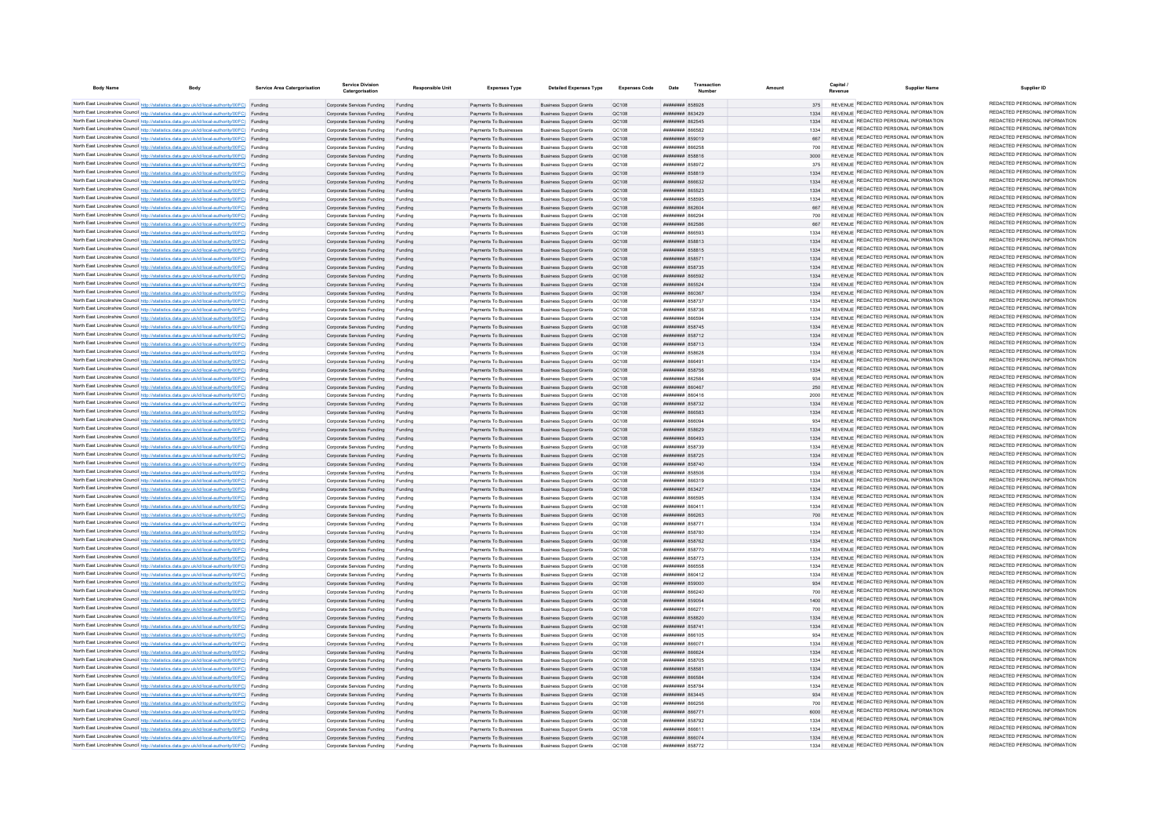| <b>Body Name</b> | <b>Body</b>                                                                                                                                                                                      | Service Area Catergorisation | <b>Service Division</b>                                          | Responsible Unit   | <b>Expenses Type</b>                             | <b>Detailed Expenses Type</b>                                    | Expenses Code         | Date                                            | Transaction | Amoun        | Capital<br><b>Supplier Name</b>                                                | Supplier ID                                                    |
|------------------|--------------------------------------------------------------------------------------------------------------------------------------------------------------------------------------------------|------------------------------|------------------------------------------------------------------|--------------------|--------------------------------------------------|------------------------------------------------------------------|-----------------------|-------------------------------------------------|-------------|--------------|--------------------------------------------------------------------------------|----------------------------------------------------------------|
|                  | North East Lincolnshire Council http://statistics.data.gov.uk/id/local-authority/00FC) Funding                                                                                                   |                              | Corporate Services Funding                                       | Funding            | Payments To Businesses                           | <b>Business Support Grants</b>                                   | OC108                 | <b>######## 858928</b>                          |             | 375          | REVENUE REDACTED PERSONAL INFORMATION                                          | REDACTED PERSONAL INFORMATION                                  |
|                  | North East Lincolnshire Council http://statistics.data.gov.uk/id/local-authority/00FC) Funding                                                                                                   |                              | Corporate Services Funding                                       |                    | Payments To Businesses                           | <b>Business Support Grants</b>                                   | QC108                 | <b>плинини 863429</b>                           |             | 1334         | REVENUE REDACTED PERSONAL INFORMATION                                          | REDACTED PERSONAL INFORMATION                                  |
|                  | North East Lincolnshire Council http://statistics.data.gov.uk/id/local-authority/00FC) Funding                                                                                                   |                              | Corporate Services Funding                                       | Funding            | Payments To Businesses                           | <b>Business Support Grants</b>                                   | QC108                 | ####### 862545                                  |             | 1334         | REVENUE REDACTED PERSONAL INFORMATION                                          | REDACTED PERSONAL INFORMATION                                  |
|                  | North East Lincolnshire Council http://statistics.data.gov.uk/id/local-authority/00FC) Funding                                                                                                   |                              | Corporate Services Funding                                       | Funding            | Payments To Businesses                           | <b>Business Support Grants</b>                                   | QC108                 | <b>CR2AN MMMMMMM</b>                            |             | 1334         | REVENUE REDACTED PERSONAL INFORMATION                                          | REDACTED PERSONAL INFORMATION                                  |
|                  | North East Lincolnshire Council http://statistics.data.gov.uk/id/local-authority/00FC) Funding                                                                                                   |                              | Corporate Services Funding                                       | Funding            | Payments To Businesses                           | <b>Business Sunnort Grants</b>                                   | OC108                 | ######## 859019                                 |             | 667          | REVENUE REDACTED PERSONAL INFORMATION                                          | REDACTED PERSONAL INFORMATION                                  |
|                  | North East Lincolnshire Council http://statistics.data.gov.uk/id/local-authority/00FC) Funding                                                                                                   |                              | Corporate Services Funding                                       | Funding            | Payments To Businesses                           | <b>Business Support Grants</b>                                   | OC108                 | ######## 866258                                 |             | 700          | REVENUE REDACTED PERSONAL INFORMATION                                          | REDACTED PERSONAL INFORMATION<br>REDACTED PERSONAL INFORMATION |
|                  | North East Lincolnshire Council http://statistics.data.gov.uk/id/local-authority/00FC) Funding                                                                                                   |                              | Corporate Services Funding Funding                               |                    | Payments To Businesses                           | <b>Business Support Grants</b>                                   | QC108                 | <b>########</b> 858816                          |             | 3000         | REVENUE REDACTED PERSONAL INFORMATION<br>REVENUE REDACTED PERSONAL INFORMATION | REDACTED PERSONAL INFORMATION                                  |
|                  | North East Lincolnshire Council http://statistics.data.gov.uk/id/local-authority/00FC) Funding                                                                                                   |                              | Corporate Services Funding                                       | Funding            | Payments To Businesses                           | <b>Business Support Grants</b>                                   | QC108                 | ####### 858972                                  |             | 375          | REVENUE REDACTED PERSONAL INFORMATION                                          | REDACTED PERSONAL INFORMATION                                  |
|                  | North East Lincolnshire Council http://statistics.data.gov.uk/id/local-authority/00FC) Funding<br>North East Lincolnshire Council http://statistics.data.gov.uk/id/local-authority/00FC) Funding |                              | Corporate Services Funding<br>Corporate Services Funding         | Funding<br>Funding | Payments To Businesses<br>Payments To Businesses | <b>Business Support Grants</b><br><b>Business Support Grants</b> | QC108<br>QC108        | <b>########</b> 85881<br>######## 866632        |             | 1334<br>1334 | REVENUE REDACTED PERSONAL INFORMATION                                          | REDACTED PERSONAL INFORMATION                                  |
|                  | North East Lincolnshire Council http://statistics.data.gov.uk/id/local-authority/00FC) Funding                                                                                                   |                              | Corporate Services Funding                                       | Funding            | Payments To Businesses                           | <b>Business Support Grants</b>                                   | OC108                 | ######## 865523                                 |             | 1334         | REVENUE REDACTED PERSONAL INFORMATION                                          | REDACTED PERSONAL INFORMATION                                  |
|                  | North East Lincolnshire Council http://statistics.data.gov.uk/id/local-authority/00FC) Funding                                                                                                   |                              | Corporate Services Funding                                       | Funding            | Payments To Businesses                           | <b>Business Support Grants</b>                                   | OC108                 | ####### 858595                                  |             | 1334         | REVENUE REDACTED PERSONAL INFORMATION                                          | REDACTED PERSONAL INFORMATION                                  |
|                  | North East Lincolnshire Council http://statistics.data.gov.uk/id/local-authority/00FC) Funding                                                                                                   |                              | Corporate Services Funding                                       | Funding            | Payments To Businesses                           | <b>Business Support Grants</b>                                   | OC108                 | ######## 862604                                 |             | 667          | REVENUE REDACTED PERSONAL INFORMATION                                          | REDACTED PERSONAL INFORMATION                                  |
|                  | North East Lincolnshire Council http://statistics.data.gov.uk/id/local-authority/00FC) Funding                                                                                                   |                              | Corporate Services Funding                                       | Funding            | Payments To Businesses                           | <b>Business Support Grants</b>                                   | QC108                 | ####### 86629                                   |             | 700          | REVENUE REDACTED PERSONAL INFORMATION                                          | REDACTED PERSONAL INFORMATION                                  |
|                  | North East Lincolnshire Council http://statistics.data.gov.uk/id/local-authority/00FC) Funding                                                                                                   |                              | Corporate Services Funding                                       |                    | Payments To Businesses                           | <b>Business Support Grants</b>                                   | QC108                 | ######## 862586                                 |             | 667          | <b>REVENUE REDACTED PERSONAL INFORMATION</b>                                   | REDACTED PERSONAL INFORMATION                                  |
|                  | North East Lincolnshire Council http://statistics.data.gov.uk/id/local-authority/00FC) Funding                                                                                                   |                              | Corporate Services Funding                                       |                    | Payments To Businesses                           | <b>Business Support Grants</b>                                   | QC108                 | CO2338 RRENNER                                  |             | 1334         | REVENUE REDACTED PERSONAL INFORMATION                                          | REDACTED PERSONAL INFORMATION                                  |
|                  | North East Lincolnshire Council http://statistics.data.gov.uk/id/local-authority/00FC) Funding                                                                                                   |                              | Corporate Services Funding                                       | Funding            | Payments To Businesses                           | <b>Business Support Grants</b>                                   | OC108                 | ######## 858813                                 |             | 1334         | REVENUE REDACTED PERSONAL INFORMATION<br>REVENUE REDACTED PERSONAL INFORMATION | REDACTED PERSONAL INFORMATION<br>REDACTED PERSONAL INFORMATION |
|                  | North East Lincolnshire Council http://statistics.data.gov.uk/id/local-authority/00FC) Funding                                                                                                   |                              | Corporate Services Funding                                       | Funding            | Payments To Businesses                           | <b>Business Support Grants</b>                                   | QC108                 | ######## 858815<br><b>пппппппп</b> 85857        |             | 1334<br>1334 | REVENUE REDACTED PERSONAL INFORMATION                                          | REDACTED PERSONAL INFORMATION                                  |
|                  | North East Lincolnshire Council http://statistics.data.gov.uk/id/local-authority/00FC) Funding<br>North East Lincolnshire Council http://statistics.data.gov.uk/id/local-authority/00FC) Funding |                              | Corporate Services Funding<br>Corporate Services Funding         | Funding<br>Funding | Payments To Businesses<br>Payments To Businesses | <b>Business Support Grants</b><br><b>Business Support Grants</b> | QC108<br>QC108        | ######## 858735                                 |             | 1334         | REVENUE REDACTED PERSONAL INFORMATION                                          | REDACTED PERSONAL INFORMATION                                  |
|                  | North East Lincolnshire Council http://statistics.data.gov.uk/id/local-authority/00FC) Funding                                                                                                   |                              | Corporate Services Funding                                       |                    | Payments To Businesses                           | <b>Business Support Grants</b>                                   | QC108                 | ######## 866592                                 |             | 1334         | REVENUE REDACTED PERSONAL INFORMATION                                          | REDACTED PERSONAL INFORMATION                                  |
|                  | North East Lincolnshire Council http://statistics.data.gov.uk/id/local-authority/00FC) Funding                                                                                                   |                              | Corporate Services Funding                                       |                    | Payments To Businesses                           | <b>Business Support Grants</b>                                   | QC108                 | ######## 865524                                 |             | 1334         | REVENUE REDACTED PERSONAL INFORMATION                                          | REDACTED PERSONAL INFORMATION                                  |
|                  | North East Lincolnshire Council http://statistics.data.gov.uk/id/local-authority/00FC) Funding                                                                                                   |                              | Corporate Services Funding                                       | Funding            | Payments To Businesses                           | <b>Business Support Grants</b>                                   | QC108                 | <b>плинини 860367</b>                           |             | 1334         | REVENUE REDACTED PERSONAL INFORMATION                                          | REDACTED PERSONAL INFORMATION                                  |
|                  | North East Lincolnshire Council http://statistics.data.gov.uk/id/local-authority/00FC) Funding                                                                                                   |                              | Corporate Services Funding                                       | Funding            | Payments To Businesses                           | <b>Business Support Grants</b>                                   | QC108                 | ######## 858737                                 |             | 1334         | REVENUE REDACTED PERSONAL INFORMATION                                          | REDACTED PERSONAL INFORMATION                                  |
|                  | North East Lincolnshire Council http://statistics.data.gov.uk/id/local-authority/00FC) Funding                                                                                                   |                              | Corporate Services Funding                                       | Funding            | Payments To Businesses                           | <b>Business Support Grants</b>                                   | QC108                 | ####### 858736                                  |             | 1334         | REVENUE REDACTED PERSONAL INFORMATION                                          | REDACTED PERSONAL INFORMATION                                  |
|                  | North East Lincolnshire Council http://statistics.data.gov.uk/id/local-authority/00FC) Funding                                                                                                   |                              | Corporate Services Funding                                       | Funding            | Payments To Businesses                           | <b>Business Support Grants</b>                                   | <b>QC108</b>          | ####### 86659                                   |             | 1334         | REVENUE REDACTED PERSONAL INFORMATION                                          | REDACTED PERSONAL INFORMATION                                  |
|                  | North East Lincolnshire Council http://statistics.data.gov.uk/id/local-authority/00FC) Funding                                                                                                   |                              | Corporate Services Funding                                       | Funding            | Payments To Businesses                           | <b>Business Support Grants</b>                                   | QC108                 | ####### 858745                                  |             | 1334         | REVENUE REDACTED PERSONAL INFORMATION<br>REVENUE REDACTED PERSONAL INFORMATION | REDACTED PERSONAL INFORMATION<br>REDACTED PERSONAL INFORMATION |
|                  | North East Lincolnshire Council http://statistics.data.gov.uk/id/local-authority/00FC) Funding                                                                                                   |                              | Corporate Services Funding                                       |                    | Payments To Businesses                           | <b>Business Support Grants</b>                                   | QC108                 | ####### 858712<br><b><i>HHHHHHHH 858713</i></b> |             | 1334<br>1334 | REVENUE REDACTED PERSONAL INFORMATION                                          | REDACTED PERSONAL INFORMATION                                  |
|                  | North East Lincolnshire Council http://statistics.data.gov.uk/id/local-authority/00FC) Funding<br>North East Lincolnshire Council http://statistics.data.gov.uk/id/local-authority/00FC) Funding |                              | Corporate Services Funding<br>Comorate Services Funding          | Funding<br>Funding | Payments To Businesses<br>Payments To Businesses | <b>Business Support Grants</b><br><b>Business Sunnort Grants</b> | QC108<br><b>OC108</b> | <b>######## 858628</b>                          |             | 1334         | REVENUE REDACTED PERSONAL INFORMATION                                          | REDACTED PERSONAL INFORMATION                                  |
|                  | North East Lincolnshire Council http://statistics.data.gov.uk/id/local-authority/00FC) Funding                                                                                                   |                              | Corporate Services Funding                                       | Funding            | Payments To Businesses                           | <b>Business Sunnort Grants</b>                                   | OC108                 | 100338 BURNHURH                                 |             | 1334         | REVENUE REDACTED PERSONAL INFORMATION                                          | REDACTED PERSONAL INFORMATION                                  |
|                  | North East Lincolnshire Council http://statistics.data.gov.uk/id/local-authority/00FC) Funding                                                                                                   |                              | Corporate Services Funding Funding                               |                    | Payments To Businesses                           | <b>Business Support Grants</b>                                   | OC108                 | <b>######## 858756</b>                          |             | 1334         | REVENUE REDACTED PERSONAL INFORMATION                                          | REDACTED PERSONAL INFORMATION                                  |
|                  | North East Lincolnshire Council http://statistics.data.gov.uk/id/local-authority/00FC) Funding                                                                                                   |                              | Corporate Services Funding                                       | Funding            | Payments To Businesses                           | <b>Business Support Grants</b>                                   | QC108                 | ####### 862584                                  |             | 934          | REVENUE REDACTED PERSONAL INFORMATION                                          | REDACTED PERSONAL INFORMATION                                  |
|                  | North East Lincolnshire Council http://statistics.data.gov.uk/id/local-authority/00FC) Funding                                                                                                   |                              | Corporate Services Funding Funding                               |                    | Payments To Businesses                           | <b>Business Support Grants</b>                                   | QC108                 | ######## 860467                                 |             | 250          | REVENUE REDACTED PERSONAL INFORMATION                                          | REDACTED PERSONAL INFORMATION                                  |
|                  | North East Lincolnshire Council http://statistics.data.gov.uk/id/local-authority/00FC) Funding                                                                                                   |                              | Corporate Services Funding                                       | Funding            | Payments To Businesses                           | <b>Business Support Grants</b>                                   | QC108                 | 860416 HEEBHEER                                 |             | 2000         | REVENUE REDACTED PERSONAL INFORMATION                                          | REDACTED PERSONAL INFORMATION                                  |
|                  | North East Lincolnshire Council http://statistics.data.gov.uk/id/local-authority/00FC) Funding                                                                                                   |                              | Corporate Services Funding                                       | Funding            | Payments To Businesses                           | <b>Business Support Grants</b>                                   | QC108                 | ######## 858732                                 |             | 1334         | REVENUE REDACTED PERSONAL INFORMATION                                          | REDACTED PERSONAL INFORMATION                                  |
|                  | North East Lincolnshire Council http://statistics.data.gov.uk/id/local-authority/00FC) Funding                                                                                                   |                              | Comorate Services Funding                                        | Funding            | Payments To Businesses                           | <b>Business Sunnort Grants</b>                                   | QC108                 | ######## 866583                                 |             | 1334         | REVENUE REDACTED PERSONAL INFORMATION                                          | REDACTED PERSONAL INFORMATION<br>REDACTED PERSONAL INFORMATION |
|                  | North East Lincolnshire Council http://statistics.data.gov.uk/id/local-authority/00FC) Funding                                                                                                   |                              | Corporate Services Funding                                       | Funding            | Payments To Businesses                           | <b>Business Support Grants</b>                                   | OC108                 | POBR <b>HUBBBBBB</b>                            |             | 934          | REVENUE REDACTED PERSONAL INFORMATION<br>REVENUE REDACTED PERSONAL INFORMATION | REDACTED PERSONAL INFORMATION                                  |
|                  | North East Lincolnshire Council http://statistics.data.gov.uk/id/local-authority/00FC) Funding<br>North East Lincolnshire Council http://statistics.data.gov.uk/id/local-authority/00FC) Funding |                              | Corporate Services Funding<br>Corporate Services Funding         | Funding            | Payments To Businesses<br>Payments To Businesses | <b>Business Support Grants</b><br><b>Business Support Grants</b> | QC108<br>QC108        | ######## 858629<br>####### 866493               |             | 1334<br>1334 | REVENUE REDACTED PERSONAL INFORMATION                                          | REDACTED PERSONAL INFORMATION                                  |
|                  | North East Lincolnshire Council http://statistics.data.gov.uk/id/local-authority/00FC) Funding                                                                                                   |                              | Corporate Services Funding                                       | Funding            | Payments To Businesses                           | <b>Business Support Grants</b>                                   | QC108                 | <del>лллинны</del> ябя730                       |             | 1334         | REVENUE REDACTED PERSONAL INFORMATION                                          | REDACTED PERSONAL INFORMATION                                  |
|                  | North East Lincolnshire Council http://statistics.data.gov.uk/id/local-authority/00FC) Funding                                                                                                   |                              | Corporate Services Funding                                       | Funding            | Payments To Businesses                           | <b>Business Sunnort Grants</b>                                   | OC108                 | <b>НИНИНИН 858725</b>                           |             | 1334         | REVENUE REDACTED PERSONAL INFORMATION                                          | REDACTED PERSONAL INFORMATION                                  |
|                  | North East Lincolnshire Council http://statistics.data.gov.uk/id/local-authority/00FC) Funding                                                                                                   |                              | Corporate Services Funding                                       | Funding            | Payments To Businesses                           | <b>Business Sunnort Grants</b>                                   | OC108                 | ######## 858740                                 |             | 1334         | REVENUE REDACTED PERSONAL INFORMATION                                          | REDACTED PERSONAL INFORMATION                                  |
|                  | North East Lincolnshire Council http://statistics.data.gov.uk/id/local-authority/00FC) Funding                                                                                                   |                              | Corporate Services Funding                                       | Funding            | Payments To Businesses                           | <b>Business Support Grants</b>                                   | QC108                 | <b>######## 858506</b>                          |             | 1334         | REVENUE REDACTED PERSONAL INFORMATION                                          | REDACTED PERSONAL INFORMATION                                  |
|                  | North East Lincolnshire Council http://statistics.data.gov.uk/id/local-authority/00FC) Funding                                                                                                   |                              | Corporate Services Funding                                       | Funding            | Payments To Businesses                           | <b>Business Support Grants</b>                                   | QC108                 | <b>####### 866319</b>                           |             |              | REVENUE REDACTED PERSONAL INFORMATION                                          | REDACTED PERSONAL INFORMATION                                  |
|                  | North East Lincolnshire Council http://statistics.data.gov.uk/id/local-authority/00FC) Funding                                                                                                   |                              | Corporate Services Funding                                       | Funding            | Payments To Businesses                           | <b>Business Support Grants</b>                                   | QC108                 | ######## 86342                                  |             |              | REVENUE REDACTED PERSONAL INFORMATION                                          | REDACTED PERSONAL INFORMATION<br>REDACTED PERSONAL INFORMATION |
|                  | North East Lincolnshire Council http://statistics.data.gov.uk/id/local-authority/00FC) Funding                                                                                                   |                              | Corporate Services Funding                                       | Funding            | Payments To Businesses                           | <b>Business Support Grants</b>                                   | QC108                 | ######## 866595                                 |             | 1334         | REVENUE REDACTED PERSONAL INFORMATION<br>REVENUE REDACTED PERSONAL INFORMATION | REDACTED PERSONAL INFORMATION                                  |
|                  | North East Lincolnshire Council http://statistics.data.gov.uk/id/local-authority/00FC) Funding<br>North East Lincolnshire Council http://statistics.data.gov.uk/id/local-authority/00FC) Funding |                              | Corporate Services Funding                                       | Funding            | Payments To Businesses<br>Payments To Businesses | <b>Business Support Grants</b><br><b>Business Support Grants</b> | OC108<br>QC108        | <b>BRENHAMM 860411</b><br>######## 866263       |             | 1334<br>700  | REVENUE REDACTED PERSONAL INFORMATION                                          | REDACTED PERSONAL INFORMATION                                  |
|                  | North East Lincolnshire Council http://statistics.data.gov.uk/id/local-authority/00FC) Funding                                                                                                   |                              | Corporate Services Funding<br>Corporate Services Funding         | Funding<br>Funding | Payments To Businesses                           | <b>Business Support Grants</b>                                   | QC108                 | <b>########</b> 858771                          |             | 1334         | REVENUE REDACTED PERSONAL INFORMATION                                          | REDACTED PERSONAL INFORMATION                                  |
|                  | North East Lincolnshire Council http://statistics.data.gov.uk/id/local-authority/00FC) Funding                                                                                                   |                              | Corporate Services Funding                                       | Funding            | Payments To Businesses                           | <b>Business Support Grants</b>                                   | QC108                 | ######## 858780                                 |             | 1334         | REVENUE REDACTED PERSONAL INFORMATION                                          | REDACTED PERSONAL INFORMATION                                  |
|                  | North East Lincolnshire Council http://statistics.data.gov.uk/id/local-authority/00FC) Funding                                                                                                   |                              | Corporate Services Funding                                       |                    | Payments To Businesses                           | <b>Business Support Grants</b>                                   | QC108                 | ######## 858762                                 |             | 1334         | <b>REVENUE REDACTED PERSONAL INFORMATION</b>                                   | REDACTED PERSONAL INFORMATION                                  |
|                  | North East Lincolnshire Council http://statistics.data.gov.uk/id/local-authority/00FC) Funding                                                                                                   |                              | Corporate Services Funding                                       | Funding            | Payments To Businesses                           | <b>Business Support Grants</b>                                   | QC108                 | <b>########</b> 858770                          |             | 1334         | REVENUE REDACTED PERSONAL INFORMATION                                          | REDACTED PERSONAL INFORMATION                                  |
|                  | North East Lincolnshire Council http://statistics.data.gov.uk/id/local-authority/00FC) Funding                                                                                                   |                              | Corporate Services Funding                                       | Funding            | Payments To Businesses                           | <b>Business Support Grants</b>                                   | QC108                 | <b>HUHHHHH 858773</b>                           |             | 1334         | REVENUE REDACTED PERSONAL INFORMATION                                          | REDACTED PERSONAL INFORMATION                                  |
|                  | North East Lincolnshire Council http://statistics.data.gov.uk/id/local-authority/00FC) Funding                                                                                                   |                              | Corporate Services Funding                                       | Funding            | Payments To Businesses                           | <b>Business Support Grants</b>                                   | QC108                 | ######## 866558                                 |             | 1334         | REVENUE REDACTED PERSONAL INFORMATION                                          | REDACTED PERSONAL INFORMATION                                  |
|                  | North East Lincolnshire Council http://statistics.data.gov.uk/id/local-authority/00FC) Funding                                                                                                   |                              | Corporate Services Funding                                       | Funding            | Payments To Businesses                           | <b>Business Support Grants</b>                                   | QC108                 | ######## 860412                                 |             | 1334         | REVENUE REDACTED PERSONAL INFORMATION                                          | REDACTED PERSONAL INFORMATION<br>REDACTED PERSONAL INFORMATION |
|                  | North East Lincolnshire Council http://statistics.data.gov.uk/id/local-authority/00FC) Funding                                                                                                   |                              | Corporate Services Funding Funding                               |                    | Payments To Businesses                           | <b>Business Support Grants</b>                                   | QC108                 | ######## 859000                                 |             | 934          | REVENUE REDACTED PERSONAL INFORMATION<br>REVENUE REDACTED PERSONAL INFORMATION | REDACTED PERSONAL INFORMATION                                  |
|                  | North East Lincolnshire Council http://statistics.data.gov.uk/id/local-authority/00FC) Funding<br>North East Lincolnshire Council http://statistics.data.gov.uk/id/local-authority/00FC) Funding |                              | Corporate Services Funding<br>Corporate Services Funding Funding | Funding            | Payments To Businesses<br>Payments To Businesses | <b>Business Support Grants</b><br><b>Business Support Grants</b> | QC108<br>QC108        | ######## 866240<br>######## 859054              |             | 700<br>1400  | REVENUE REDACTED PERSONAL INFORMATION                                          | REDACTED PERSONAL INFORMATION                                  |
|                  | North East Lincolnshire Council http://statistics.data.gov.uk/id/local-authority/00FC) Funding                                                                                                   |                              | Corporate Services Funding                                       | Funding            | Payments To Businesses                           | <b>Business Support Grants</b>                                   | QC108                 | <b>####### 866271</b>                           |             | 700          | REVENUE REDACTED PERSONAL INFORMATION                                          | REDACTED PERSONAL INFORMATION                                  |
|                  | North East Lincolnshire Council http://statistics.data.gov.uk/id/local-authority/00FC) Funding                                                                                                   |                              | Corporate Services Funding                                       | Funding            | Payments To Businesses                           | <b>Business Support Grants</b>                                   | QC108                 | ####### 858820                                  |             | 1334         | REVENUE REDACTED PERSONAL INFORMATION                                          | REDACTED PERSONAL INFORMATION                                  |
|                  | North East Lincolnshire Council http://statistics.data.gov.uk/id/local-authority/00FC) Funding                                                                                                   |                              | Corporate Services Funding                                       | Funding            | Payments To Businesses                           | <b>Business Support Grants</b>                                   | OC108                 | ######## 858741                                 |             | 1334         | REVENUE REDACTED PERSONAL INFORMATION                                          | REDACTED PERSONAL INFORMATION                                  |
|                  | North East Lincolnshire Council http://statistics.data.gov.uk/id/local-authority/00FC) Funding                                                                                                   |                              | Corporate Services Funding                                       | Funding            | Payments To Businesses                           | <b>Business Support Grants</b>                                   | <b>QC108</b>          | ####### 866105                                  |             | 934          | REVENUE REDACTED PERSONAL INFORMATION                                          | REDACTED PERSONAL INFORMATION                                  |
|                  | North East Lincolnshire Council http://statistics.data.gov.uk/id/local-authority/00FC) Funding                                                                                                   |                              | Corporate Services Funding                                       |                    | Payments To Businesses                           | <b>Business Support Grants</b>                                   | QC108                 | ####### 86607                                   |             | 1334         | REVENUE REDACTED PERSONAL INFORMATION                                          | REDACTED PERSONAL INFORMATION                                  |
|                  | North East Lincolnshire Council http://statistics.data.gov.uk/id/local-authority/00FC) Funding                                                                                                   |                              | Corporate Services Funding                                       |                    | Payments To Businesses                           | <b>Business Support Grants</b>                                   | QC108                 | ######## 866624                                 |             | 1334         | REVENUE REDACTED PERSONAL INFORMATION                                          | REDACTED PERSONAL INFORMATION                                  |
|                  | North East Lincolnshire Council http://statistics.data.gov.uk/id/local-authority/00FC) Funding                                                                                                   |                              | Corporate Services Funding                                       | Funding            | Payments To Businesses                           | <b>Business Support Grants</b>                                   | <b>OC108</b>          | <b><i>HHHHHHH</i></b> 858705                    |             | 1334         | REVENUE REDACTED PERSONAL INFORMATION                                          | REDACTED PERSONAL INFORMATION<br>REDACTED PERSONAL INFORMATION |
|                  | North East Lincolnshire Council http://statistics.data.gov.uk/id/local-authority/00FC) Funding                                                                                                   |                              | Corporate Services Funding                                       | Funding            | Payments To Businesses                           | <b>Business Sunnort Grants</b>                                   | OC108                 | ######## 858581                                 |             | 1334         | REVENUE REDACTED PERSONAL INFORMATION<br>REVENUE REDACTED PERSONAL INFORMATION | REDACTED PERSONAL INFORMATION                                  |
|                  | North East Lincolnshire Council http://statistics.data.gov.uk/id/local-authority/00FC) Funding                                                                                                   |                              | Corporate Services Funding                                       | Funding            | Payments To Businesses<br>Payments To Businesses | <b>Business Sunnort Grants</b>                                   | OC108<br>OC108        | нининни ввезве<br><b>пппппппп</b> 858784        |             | 1334<br>1334 | REVENUE REDACTED PERSONAL INFORMATION                                          | REDACTED PERSONAL INFORMATION                                  |
|                  | North East Lincolnshire Council http://statistics.data.gov.uk/id/local-authority/00FC) Funding<br>North East Lincolnshire Council http://statistics.data.gov.uk/id/local-authority/00FC) Funding |                              | Corporate Services Funding<br>Corporate Services Funding Funding | Funding            | Payments To Businesses                           | <b>Business Support Grants</b><br><b>Business Support Grants</b> | QC108                 | ######## 863445                                 |             | 934          | REVENUE REDACTED PERSONAL INFORMATION                                          | REDACTED PERSONAL INFORMATION                                  |
|                  | North East Lincolnshire Council http://statistics.data.gov.uk/id/local-authority/00FC) Funding                                                                                                   |                              | Corporate Services Funding                                       | Funding            | Payments To Businesses                           | <b>Business Support Grants</b>                                   | QC108                 | ######## 866256                                 |             | 700          | REVENUE REDACTED PERSONAL INFORMATION                                          | REDACTED PERSONAL INFORMATION                                  |
|                  | North East Lincolnshire Council http://statistics.data.gov.uk/id/local-authority/00FC) Funding                                                                                                   |                              | Corporate Services Funding                                       | Funding            | Payments To Businesses                           | <b>Business Support Grants</b>                                   | QC108                 | ######## 866771                                 |             | 6000         | REVENUE REDACTED PERSONAL INFORMATION                                          | REDACTED PERSONAL INFORMATION                                  |
|                  | North East Lincolnshire Council http://statistics.data.gov.uk/id/local-authority/00FC) Funding                                                                                                   |                              | Corporate Services Funding                                       | Funding            | Payments To Businesses                           | <b>Business Support Grants</b>                                   | OC108                 | <b><i>BREEZEEE</i></b> 858792                   |             | 1334         | REVENUE REDACTED PERSONAL INFORMATION                                          | REDACTED PERSONAL INFORMATION                                  |
|                  | North East Lincolnshire Council http://statistics.data.gov.uk/id/local-authority/00FC) Funding                                                                                                   |                              | Comorate Services Funding                                        | Funding            | Payments To Businesses                           | <b>Business Sunnort Grants</b>                                   | <b>OC108</b>          | 113368 HABBARD                                  |             | 1334         | REVENUE REDACTED PERSONAL INFORMATION                                          | REDACTED PERSONAL INFORMATION                                  |
|                  | North East Lincolnshire Council http://statistics.data.gov.uk/id/local-authority/00FC) Funding                                                                                                   |                              | Corporate Services Funding                                       | Funding            | Payments To Businesses                           | <b>Business Support Grants</b>                                   | OC108                 | <b>ATOSSS</b> HEEBER                            |             | 1334         | REVENUE REDACTED PERSONAL INFORMATION                                          | REDACTED PERSONAL INFORMATION<br>REDACTED PERSONAL INFORMATION |
|                  | North East Lincolnshire Council http://statistics.data.gov.uk/id/local-authority/00FC) Funding                                                                                                   |                              | Corporate Services Funding                                       |                    | Payments To Businesses                           | <b>Business Support Grants</b>                                   | OC108                 | <b>######## 858772</b>                          |             | 1334         | REVENUE REDACTED PERSONAL INFORMATION                                          |                                                                |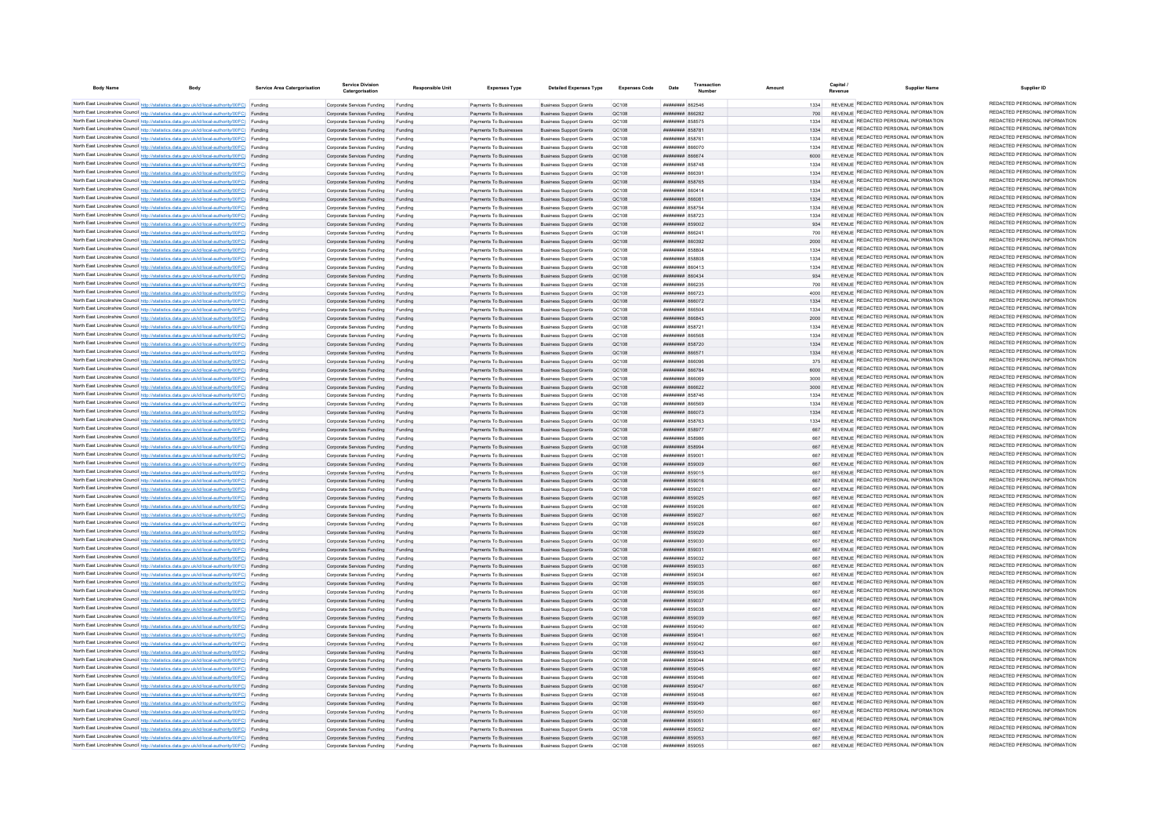| <b>Body Name</b> | Body                                                                                                                                                                                             | Service Area Catergorisatio | <b>Service Division</b><br>Catergorisation               | <b>Responsible Unit</b> | <b>Expenses Type</b>                             | <b>Detailed Expenses Type</b>                                    | <b>Expenses Code</b> | Date                                                          | Transaction |              | Capital<br><b>Supplier Name</b>                                                | Supplier ID                                                    |
|------------------|--------------------------------------------------------------------------------------------------------------------------------------------------------------------------------------------------|-----------------------------|----------------------------------------------------------|-------------------------|--------------------------------------------------|------------------------------------------------------------------|----------------------|---------------------------------------------------------------|-------------|--------------|--------------------------------------------------------------------------------|----------------------------------------------------------------|
|                  | North East Lincolnshire Council http://statistics.data.gov.uk/id/local-authority/00FC) Funding                                                                                                   |                             | Comorate Services Funding                                | Funding                 | Payments To Businesses                           | <b>Business Support Grants</b>                                   | OC108                | <b>пппппппп</b> 862546                                        |             | 1334         | REVENUE REDACTED PERSONAL INFORMATION                                          | REDACTED PERSONAL INFORMATION                                  |
|                  | North East Lincolnshire Council http://statistics.data.gov.uk/id/local-authority/00FC) Funding                                                                                                   |                             | Corporate Services Funding                               | Funding                 | Payments To Businesses                           | <b>Business Support Grants</b>                                   | OC108                | <b>CACOON HEEBERH</b>                                         |             |              | REVENUE REDACTED PERSONAL INFORMATION                                          | REDACTED PERSONAL INFORMATION                                  |
|                  | North East Lincolnshire Council http://statistics.data.gov.uk/id/local-authority/00FC) Funding                                                                                                   |                             | Corporate Services Funding                               | Funding                 | Payments To Businesses                           | <b>Business Support Grants</b>                                   | OC108                | <b>########</b> 858575                                        |             | 1334         | REVENUE REDACTED PERSONAL INFORMATION                                          | REDACTED PERSONAL INFORMATION                                  |
|                  | North East Lincolnshire Council http://statistics.data.gov.uk/id/local-authority/00FC) Funding                                                                                                   |                             | Corporate Services Funding                               | Funding                 | Payments To Businesses                           | <b>Business Support Grants</b>                                   | QC108                | <b>########</b> 858781                                        |             | 1334         | REVENUE REDACTED PERSONAL INFORMATION                                          | REDACTED PERSONAL INFORMATION                                  |
|                  | North East Lincolnshire Council http://statistics.data.gov.uk/id/local-authority/00FC) Funding                                                                                                   |                             | Corporate Services Funding                               | Funding                 | Payments To Businesses                           | <b>Business Support Grants</b>                                   | QC108                | <b>########</b> 858761                                        |             | 1334         | REVENUE REDACTED PERSONAL INFORMATION                                          | REDACTED PERSONAL INFORMATION<br>REDACTED PERSONAL INFORMATION |
|                  | North East Lincolnshire Council http://statistics.data.gov.uk/id/local-authority/00FC) Funding<br>North East Lincolnshire Council http://statistics.data.gov.uk/id/local-authority/00FC) Funding |                             | Corporate Services Funding                               | Funding                 | Payments To Businesses                           | <b>Business Support Grants</b>                                   | QC108                | 070888 #######                                                |             | 1334         | REVENUE REDACTED PERSONAL INFORMATION<br>REVENUE REDACTED PERSONAL INFORMATION | REDACTED PERSONAL INFORMATION                                  |
|                  | North East Lincolnshire Council http://statistics.data.gov.uk/id/local-authority/00FC) Funding                                                                                                   |                             | Corporate Services Funding<br>Corporate Services Funding | Funding                 | Payments To Businesses<br>Payments To Businesses | <b>Business Support Grants</b><br><b>Business Support Grants</b> | OC108<br>OC108       | <b><i>BRENHHHH 866674</i></b><br><b><i>BREEZER 858748</i></b> |             | 6000<br>1334 | REVENUE REDACTED PERSONAL INFORMATION                                          | REDACTED PERSONAL INFORMATION                                  |
|                  | North East Lincolnshire Council http://statistics.data.gov.uk/id/local-authority/00FC) Funding                                                                                                   |                             | Corporate Services Funding                               | Funding<br>Funding      | Payments To Businesses                           | <b>Business Support Grants</b>                                   | QC108                | ссаав инциници                                                |             | 1334         | REVENUE REDACTED PERSONAL INFORMATION                                          | REDACTED PERSONAL INFORMATION                                  |
|                  | North East Lincolnshire Council http://statistics.data.gov.uk/id/local-authority/00FC) Funding                                                                                                   |                             | Corporate Services Funding Funding                       |                         | Payments To Businesses                           | <b>Business Support Grants</b>                                   | QC108                | ######## 858765                                               |             |              | REVENUE REDACTED PERSONAL INFORMATION                                          | REDACTED PERSONAL INFORMATION                                  |
|                  | North East Lincolnshire Council http://statistics.data.gov.uk/id/local-authority/00FC) Funding                                                                                                   |                             | Corporate Services Funding                               | Funding                 | Payments To Businesses                           | <b>Business Support Grants</b>                                   | QC108                | ######## 860414                                               |             | 1334         | REVENUE REDACTED PERSONAL INFORMATION                                          | REDACTED PERSONAL INFORMATION                                  |
|                  | North East Lincolnshire Council http://statistics.data.gov.uk/id/local-authority/00FC) Funding                                                                                                   |                             | Corporate Services Funding                               | Funding                 | Payments To Businesses                           | <b>Business Support Grants</b>                                   | OC108                | воава нинини                                                  |             | 1334         | REVENUE REDACTED PERSONAL INFORMATION                                          | REDACTED PERSONAL INFORMATION                                  |
|                  | North East Lincolnshire Council http://statistics.data.gov.uk/id/local-authority/00FC) Funding                                                                                                   |                             | Corporate Services Funding                               | Funding                 | Payments To Businesses                           | <b>Business Support Grants</b>                                   | OC108                | <b>пппппппп</b> 858754                                        |             | 1334         | REVENUE REDACTED PERSONAL INFORMATION                                          | REDACTED PERSONAL INFORMATION                                  |
|                  | North East Lincolnshire Council http://statistics.data.gov.uk/id/local-authority/00FC) Funding                                                                                                   |                             | Corporate Services Funding                               | Funding                 | Payments To Businesses                           | <b>Business Support Grants</b>                                   | OC108                | ####### 858723                                                |             | 1334         | REVENUE REDACTED PERSONAL INFORMATION                                          | REDACTED PERSONAL INFORMATION                                  |
|                  | North East Lincolnshire Council http://statistics.data.gov.uk/id/local-authority/00FC) Funding                                                                                                   |                             | Corporate Services Funding                               | Funding                 | Payments To Businesses                           | <b>Business Support Grants</b>                                   | QC108                | ####### 859002                                                |             | 934          | REVENUE REDACTED PERSONAL INFORMATION                                          | REDACTED PERSONAL INFORMATION                                  |
|                  | North East Lincolnshire Council http://statistics.data.gov.uk/id/local-authority/00FC) Funding                                                                                                   |                             | Corporate Services Funding                               | Funding                 | Payments To Businesses                           | <b>Business Support Grants</b>                                   | QC108                | ####### 86624                                                 |             | 700          | REVENUE REDACTED PERSONAL INFORMATION                                          | REDACTED PERSONAL INFORMATION                                  |
|                  | North East Lincolnshire Council http://statistics.data.gov.uk/id/local-authority/00FC) Funding                                                                                                   |                             | Corporate Services Funding                               |                         | Payments To Businesses                           | <b>Business Support Grants</b>                                   | QC108                | ######## 860392                                               |             | 2000         | REVENUE REDACTED PERSONAL INFORMATION                                          | REDACTED PERSONAL INFORMATION                                  |
|                  | North East Lincolnshire Council http://statistics.data.gov.uk/id/local-authority/00FC) Funding                                                                                                   |                             | Corporate Services Funding                               | Funding                 | Payments To Businesses                           | <b>Business Support Grants</b>                                   | QC108                | <b>HUHHHHHH</b> 858804                                        |             | 1334         | REVENUE REDACTED PERSONAL INFORMATION<br>REVENUE REDACTED PERSONAL INFORMATION | REDACTED PERSONAL INFORMATION<br>REDACTED PERSONAL INFORMATION |
|                  | North East Lincolnshire Council http://statistics.data.gov.uk/id/local-authority/00FC) Funding                                                                                                   |                             | Corporate Services Funding                               | Funding                 | Payments To Businesses                           | <b>Business Support Grants</b>                                   | QC108                | <b>HUHHHHH 858808</b>                                         |             | 1334         | REVENUE REDACTED PERSONAL INFORMATION                                          | REDACTED PERSONAL INFORMATION                                  |
|                  | North East Lincolnshire Council http://statistics.data.gov.uk/id/local-authority/00FC) Funding<br>North East Lincolnshire Council http://statistics.data.gov.uk/id/local-authority/00FC) Funding |                             | Corporate Services Funding<br>Corporate Services Funding | Funding<br>Funding      | Payments To Businesses<br>Payments To Businesses | <b>Business Support Grants</b><br><b>Business Support Grants</b> | QC108<br>QC108       | ######## 860413<br>######## 860434                            |             | 1334<br>934  | REVENUE REDACTED PERSONAL INFORMATION                                          | REDACTED PERSONAL INFORMATION                                  |
|                  | North East Lincolnshire Council http://statistics.data.gov.uk/id/local-authority/00FC) Funding                                                                                                   |                             | Corporate Services Funding                               | Funding                 | Payments To Businesses                           | <b>Business Support Grants</b>                                   | QC108                | ######## 866235                                               |             | 700          | REVENUE REDACTED PERSONAL INFORMATION                                          | REDACTED PERSONAL INFORMATION                                  |
|                  | North East Lincolnshire Council http://statistics.data.gov.uk/id/local-authority/00FC) Funding                                                                                                   |                             | Corporate Services Funding                               | Funding                 | Payments To Businesses                           | <b>Business Support Grants</b>                                   | QC108                | <b>пппппппп</b> 866723                                        |             | 4000         | REVENUE REDACTED PERSONAL INFORMATION                                          | REDACTED PERSONAL INFORMATION                                  |
|                  | North East Lincolnshire Council http://statistics.data.gov.uk/id/local-authority/00FC) Funding                                                                                                   |                             | Corporate Services Funding                               | Funding                 | Payments To Businesses                           | <b>Business Support Grants</b>                                   | <b>QC108</b>         | <b>пппппппп</b> 866072                                        |             | 1334         | REVENUE REDACTED PERSONAL INFORMATION                                          | REDACTED PERSONAL INFORMATION                                  |
|                  | North East Lincolnshire Council http://statistics.data.gov.uk/id/local-authority/00FC) Funding                                                                                                   |                             | Corporate Services Funding                               | Funding                 | Payments To Businesses                           | <b>Business Support Grants</b>                                   | QC108                | BASSAR MUMMUM                                                 |             | 1334         | REVENUE REDACTED PERSONAL INFORMATION                                          | REDACTED PERSONAL INFORMATION                                  |
|                  | North East Lincolnshire Council http://statistics.data.gov.uk/id/local-authority/00FC) Funding                                                                                                   |                             | Corporate Services Funding                               | Funding                 | Payments To Businesses                           | <b>Business Support Grants</b>                                   | OC108                | <b>HHHHHHH 866843</b>                                         |             | 2000         | REVENUE REDACTED PERSONAL INFORMATION                                          | REDACTED PERSONAL INFORMATION                                  |
|                  | North East Lincolnshire Council http://statistics.data.gov.uk/id/local-authority/00FC) Funding                                                                                                   |                             | Corporate Services Funding                               | Funding                 | Payments To Businesses                           | <b>Business Support Grants</b>                                   | OC108                | <b>пппппппп</b> 85872                                         |             | 1334         | REVENUE REDACTED PERSONAL INFORMATION                                          | REDACTED PERSONAL INFORMATION                                  |
|                  | North East Lincolnshire Council http://statistics.data.gov.uk/id/local-authority/00FC) Funding                                                                                                   |                             | Corporate Services Funding                               | Funding                 | Payments To Businesses                           | <b>Business Support Grants</b>                                   | OC108                | 182888 BURNHUN                                                |             | 1334         | REVENUE REDACTED PERSONAL INFORMATION                                          | REDACTED PERSONAL INFORMATION                                  |
|                  | North East Lincolnshire Council http://statistics.data.gov.uk/id/local-authority/00FC) Funding                                                                                                   |                             | Corporate Services Funding                               | Funding                 | Payments To Businesses                           | <b>Business Support Grants</b>                                   | QC108                | ####### 858720                                                |             | 1334         | REVENUE REDACTED PERSONAL INFORMATION                                          | REDACTED PERSONAL INFORMATION                                  |
|                  | North East Lincolnshire Council http://statistics.data.gov.uk/id/local-authority/00FC) Funding                                                                                                   |                             | Corporate Services Funding                               | Funding                 | Payments To Businesses                           | <b>Business Support Grants</b>                                   | QC108                | ######## 866571                                               |             | 1334         | REVENUE REDACTED PERSONAL INFORMATION                                          | REDACTED PERSONAL INFORMATION                                  |
|                  | North East Lincolnshire Council http://statistics.data.gov.uk/id/local-authority/00FC) Funding                                                                                                   |                             | Corporate Services Funding                               | Funding                 | Payments To Businesses                           | <b>Business Support Grants</b>                                   | QC108                | <b>HRENHHHH</b> RGSOOF                                        |             | 375          | REVENUE REDACTED PERSONAL INFORMATION                                          | REDACTED PERSONAL INFORMATION                                  |
|                  | North East Lincolnshire Council http://statistics.data.gov.uk/id/local-authority/00FC) Funding                                                                                                   |                             | Corporate Services Funding                               | Funding                 | Payments To Businesses                           | <b>Business Support Grants</b>                                   | OC108                | <b><i>BRENHHHH</i></b> 866784                                 |             | 6000         | REVENUE REDACTED PERSONAL INFORMATION                                          | REDACTED PERSONAL INFORMATION<br>REDACTED PERSONAL INFORMATION |
|                  | North East Lincolnshire Council http://statistics.data.gov.uk/id/local-authority/00FC) Funding                                                                                                   |                             | Corporate Services Funding                               | Funding                 | Payments To Businesses                           | <b>Business Support Grants</b>                                   | OC108                | Ranaa <b>HHHHHH</b>                                           |             | 3000         | REVENUE REDACTED PERSONAL INFORMATION<br>REVENUE REDACTED PERSONAL INFORMATION | REDACTED PERSONAL INFORMATION                                  |
|                  | North East Lincolnshire Council http://statistics.data.gov.uk/id/local-authority/00FC) Funding                                                                                                   |                             | Corporate Services Funding                               | Funding                 | Payments To Businesses<br>Payments To Businesses | <b>Business Support Grants</b><br><b>Business Support Grants</b> | OC108<br>QC108       | <b>пппппппп</b> 866622<br><b>####### 858746</b>               |             | 3000         | REVENUE REDACTED PERSONAL INFORMATION                                          | REDACTED PERSONAL INFORMATION                                  |
|                  | North East Lincolnshire Council http://statistics.data.gov.uk/id/local-authority/00FC) Funding<br>North East Lincolnshire Council http://statistics.data.gov.uk/id/local-authority/00FC) Funding |                             | Corporate Services Funding<br>Corporate Services Funding | Funding<br>Funding      | Payments To Businesses                           | <b>Business Support Grants</b>                                   | QC108                | ######## 866569                                               |             | 1334         | REVENUE REDACTED PERSONAL INFORMATION                                          | REDACTED PERSONAL INFORMATION                                  |
|                  | North East Lincolnshire Council http://statistics.data.gov.uk/id/local-authority/00FC) Funding                                                                                                   |                             | Corporate Services Funding Funding                       |                         | Payments To Businesses                           | <b>Business Support Grants</b>                                   | QC108                | ######## 866073                                               |             | 1334         | REVENUE REDACTED PERSONAL INFORMATION                                          | REDACTED PERSONAL INFORMATION                                  |
|                  | North East Lincolnshire Council http://statistics.data.gov.uk/id/local-authority/00FC) Funding                                                                                                   |                             | Corporate Services Funding                               | Funding                 | Payments To Businesses                           | <b>Business Support Grants</b>                                   | QC108                | <b>######## 858763</b>                                        |             | 1334         | REVENUE REDACTED PERSONAL INFORMATION                                          | REDACTED PERSONAL INFORMATION                                  |
|                  | North East Lincolnshire Council http://statistics.data.gov.uk/id/local-authority/00FC) Funding                                                                                                   |                             | Corporate Services Funding                               | Funding                 | Payments To Businesses                           | <b>Business Support Grants</b>                                   | OC108                | ######## 858977                                               |             | 667          | REVENUE REDACTED PERSONAL INFORMATION                                          | REDACTED PERSONAL INFORMATION                                  |
|                  | North East Lincolnshire Council http://statistics.data.gov.uk/id/local-authority/00FC) Funding                                                                                                   |                             | Corporate Services Funding                               | Funding                 | Payments To Businesses                           | <b>Business Support Grants</b>                                   | OC108                | <b>########</b> 858986                                        |             | 667          | REVENUE REDACTED PERSONAL INFORMATION                                          | REDACTED PERSONAL INFORMATION                                  |
|                  | North East Lincolnshire Council http://statistics.data.gov.uk/id/local-authority/00FC) Funding                                                                                                   |                             | Corporate Services Funding                               | Funding                 | Payments To Businesses                           | <b>Business Support Grants</b>                                   | QC108                | ######## 858994                                               |             | 667          | REVENUE REDACTED PERSONAL INFORMATION                                          | REDACTED PERSONAL INFORMATION                                  |
|                  | North East Lincolnshire Council http://statistics.data.gov.uk/id/local-authority/00FC) Funding                                                                                                   |                             | Corporate Services Funding                               |                         | Payments To Businesses                           | <b>Business Support Grants</b>                                   | QC108                | 0028 HHBHHH                                                   |             | 667          | REVENUE REDACTED PERSONAL INFORMATION                                          | REDACTED PERSONAL INFORMATION                                  |
|                  | North East Lincolnshire Council http://statistics.data.gov.uk/id/local-authority/00FC) Funding                                                                                                   |                             | Corporate Services Funding                               |                         | Payments To Businesses                           | <b>Business Support Grants</b>                                   | QC108                | ######## 859009                                               |             | 667          | REVENUE REDACTED PERSONAL INFORMATION                                          | REDACTED PERSONAL INFORMATION                                  |
|                  | North East Lincolnshire Council http://statistics.data.gov.uk/id/local-authority/00FC) Funding                                                                                                   |                             | Corporate Services Funding                               | Funding                 | Payments To Businesses                           | <b>Business Support Grants</b>                                   | QC108                | ######## 859015                                               |             | 667          | REVENUE REDACTED PERSONAL INFORMATION                                          | REDACTED PERSONAL INFORMATION                                  |
|                  | North East Lincolnshire Council http://statistics.data.gov.uk/id/local-authority/00FC) Funding                                                                                                   |                             | Corporate Services Funding                               | Funding                 | Payments To Businesses                           | <b>Business Support Grants</b>                                   | QC108                | ######## 859016                                               |             | 667          | REVENUE REDACTED PERSONAL INFORMATION                                          | REDACTED PERSONAL INFORMATION                                  |
|                  | North East Lincolnshire Council http://statistics.data.gov.uk/id/local-authority/00FC) Funding                                                                                                   |                             | Corporate Services Funding                               | Funding                 | Payments To Businesses                           | <b>Business Support Grants</b>                                   | QC108                | ######## 85902                                                |             | 667          | REVENUE REDACTED PERSONAL INFORMATION<br>REVENUE REDACTED PERSONAL INFORMATION | REDACTED PERSONAL INFORMATION<br>REDACTED PERSONAL INFORMATION |
|                  | North East Lincolnshire Council http://statistics.data.gov.uk/id/local-authority/00FC) Funding                                                                                                   |                             | Corporate Services Funding                               | Funding                 | Payments To Businesses                           | <b>Business Support Grants</b>                                   | QC108                | ######## 859025                                               |             | 667          | REVENUE REDACTED PERSONAL INFORMATION                                          | REDACTED PERSONAL INFORMATION                                  |
|                  | North East Lincolnshire Council http://statistics.data.gov.uk/id/local-authority/00FC) Funding<br>North East Lincolnshire Council http://statistics.data.gov.uk/id/local-authority/00FC) Funding |                             | Corporate Services Funding<br>Corporate Services Funding | Funding<br>Funding      | Payments To Businesses<br>Payments To Businesses | <b>Business Support Grants</b>                                   | QC108<br>QC108       | ####### 859026<br>######## 859027                             |             | 667          | REVENUE REDACTED PERSONAL INFORMATION                                          | REDACTED PERSONAL INFORMATION                                  |
|                  | North East Lincolnshire Council http://statistics.data.gov.uk/id/local-authority/00FC) Funding                                                                                                   |                             | Corporate Services Funding                               | Funding                 | Payments To Businesses                           | <b>Business Support Grants</b><br><b>Business Support Grants</b> | OC108                | <b>НИНИНИН 859028</b>                                         |             | 667          | REVENUE REDACTED PERSONAL INFORMATION                                          | REDACTED PERSONAL INFORMATION                                  |
|                  | North East Lincolnshire Council http://statistics.data.gov.uk/id/local-authority/00FC) Funding                                                                                                   |                             | Corporate Services Funding                               | Funding                 | Payments To Businesses                           | <b>Business Support Grants</b>                                   | OC108                | ######## 859029                                               |             | 667          | REVENUE REDACTED PERSONAL INFORMATION                                          | REDACTED PERSONAL INFORMATION                                  |
|                  | North East Lincolnshire Council http://statistics.data.gov.uk/id/local-authority/00FC) Funding                                                                                                   |                             | Corporate Services Funding                               | Funding                 | Payments To Businesses                           | <b>Business Support Grants</b>                                   | OC108                | ######## 859030                                               |             | 667          | REVENUE REDACTED PERSONAL INFORMATION                                          | REDACTED PERSONAL INFORMATION                                  |
|                  | North East Lincolnshire Council http://statistics.data.gov.uk/id/local-authority/00FC) Funding                                                                                                   |                             | Corporate Services Funding                               | Funding                 | Payments To Businesses                           | <b>Business Support Grants</b>                                   | OC108                | ######## 859031                                               |             |              | REVENUE REDACTED PERSONAL INFORMATION                                          | REDACTED PERSONAL INFORMATION                                  |
|                  | North East Lincolnshire Council http://statistics.data.gov.uk/id/local-authority/00FC) Funding                                                                                                   |                             | Corporate Services Funding                               | Funding                 | Payments To Businesses                           | <b>Business Support Grants</b>                                   | QC108                | ######## 85903;                                               |             | 667          | REVENUE REDACTED PERSONAL INFORMATION                                          | REDACTED PERSONAL INFORMATION                                  |
|                  | North East Lincolnshire Council http://statistics.data.gov.uk/id/local-authority/00FC) Funding                                                                                                   |                             | Corporate Services Funding                               | Funding                 | Payments To Businesses                           | <b>Business Support Grants</b>                                   | QC108                | ######## 859033                                               |             | 667          | <b>REVENUE REDACTED PERSONAL INFORMATION</b>                                   | REDACTED PERSONAL INFORMATION                                  |
|                  | North East Lincolnshire Council http://statistics.data.gov.uk/id/local-authority/00FC) Funding                                                                                                   |                             | Corporate Services Funding                               | Funding                 | Payments To Businesses                           | <b>Business Support Grants</b>                                   | QC108                | ######## 859034                                               |             | 667          | REVENUE REDACTED PERSONAL INFORMATION                                          | REDACTED PERSONAL INFORMATION                                  |
|                  | North East Lincolnshire Council http://statistics.data.gov.uk/id/local-authority/00FC) Funding                                                                                                   |                             | Corporate Services Funding                               | Funding                 | Payments To Businesses                           | <b>Business Support Grants</b>                                   | OC108                | ######## 859035                                               |             |              | REVENUE REDACTED PERSONAL INFORMATION                                          | REDACTED PERSONAL INFORMATION                                  |
|                  | North East Lincolnshire Council http://statistics.data.gov.uk/id/local-authority/00FC) Funding                                                                                                   |                             | Corporate Services Funding                               | Funding                 | Payments To Businesses                           | <b>Business Support Grants</b>                                   | OC108                | <b>######## 859036</b>                                        |             | 667          | REVENUE REDACTED PERSONAL INFORMATION                                          | REDACTED PERSONAL INFORMATION                                  |
|                  | North East Lincolnshire Council http://statistics.data.gov.uk/id/local-authority/00FC) Funding                                                                                                   |                             | Corporate Services Funding Funding                       |                         | Payments To Businesses                           | <b>Business Support Grants</b>                                   | OC108                | ######## 859037                                               |             | 667          | REVENUE REDACTED PERSONAL INFORMATION<br>REVENUE REDACTED PERSONAL INFORMATION | REDACTED PERSONAL INFORMATION<br>REDACTED PERSONAL INFORMATION |
|                  | North East Lincolnshire Council http://statistics.data.gov.uk/id/local-authority/00FC) Funding                                                                                                   |                             | Corporate Services Funding                               | Funding                 | Payments To Businesses                           | <b>Business Support Grants</b>                                   | QC108                | ######## 859038                                               |             | 667          | REVENUE REDACTED PERSONAL INFORMATION                                          | REDACTED PERSONAL INFORMATION                                  |
|                  | North East Lincolnshire Council http://statistics.data.gov.uk/id/local-authority/00FC) Funding<br>North East Lincolnshire Council http://statistics.data.gov.uk/id/local-authority/00FC) Funding |                             | Corporate Services Funding Funding                       |                         | Payments To Businesses                           | <b>Business Support Grants</b>                                   | QC108<br>QC108       | ######## 859039<br>######## 859040                            |             | 667          | REVENUE REDACTED PERSONAL INFORMATION                                          | REDACTED PERSONAL INFORMATION                                  |
|                  | North East Lincolnshire Council http://statistics.data.gov.uk/id/local-authority/00FC) Funding                                                                                                   |                             | Corporate Services Funding<br>Corporate Services Funding | Funding<br>Funding      | Payments To Businesses<br>Payments To Businesses | <b>Business Support Grants</b><br><b>Business Support Grants</b> | OC108                | ######## 859041                                               |             | 667          | REVENUE REDACTED PERSONAL INFORMATION                                          | REDACTED PERSONAL INFORMATION                                  |
|                  | North East Lincolnshire Council http://statistics.data.gov.uk/id/local-authority/00FC) Funding                                                                                                   |                             | Corporate Services Funding                               | Funding                 | Payments To Businesses                           | <b>Business Support Grants</b>                                   | OC108                | ######## 859042                                               |             | 667          | REVENUE REDACTED PERSONAL INFORMATION                                          | REDACTED PERSONAL INFORMATION                                  |
|                  | North East Lincolnshire Council http://statistics.data.gov.uk/id/local-authority/00FC) Funding                                                                                                   |                             | Corporate Services Funding                               | Funding                 | Payments To Businesses                           | <b>Business Support Grants</b>                                   | OC108                | ######## 859043                                               |             | 667          | REVENUE REDACTED PERSONAL INFORMATION                                          | REDACTED PERSONAL INFORMATION                                  |
|                  | North East Lincolnshire Council http://statistics.data.gov.uk/id/local-authority/00FC) Funding                                                                                                   |                             | Corporate Services Funding                               | Funding                 | Payments To Businesses                           | <b>Business Support Grants</b>                                   | QC108                | ######## 85904                                                |             |              | REVENUE REDACTED PERSONAL INFORMATION                                          | REDACTED PERSONAL INFORMATION                                  |
|                  | North East Lincolnshire Council http://statistics.data.gov.uk/id/local-authority/00FC) Funding                                                                                                   |                             | Corporate Services Funding                               |                         | Payments To Businesses                           | <b>Business Support Grants</b>                                   | QC108                | ######## 859045                                               |             | 667          | REVENUE REDACTED PERSONAL INFORMATION                                          | REDACTED PERSONAL INFORMATION                                  |
|                  | North East Lincolnshire Council http://statistics.data.gov.uk/id/local-authority/00FC) Funding                                                                                                   |                             | Corporate Services Funding                               |                         | Payments To Businesses                           | <b>Business Support Grants</b>                                   | QC108                | ####### 859046                                                |             | 667          | REVENUE REDACTED PERSONAL INFORMATION                                          | REDACTED PERSONAL INFORMATION                                  |
|                  | North East Lincolnshire Council http://statistics.data.gov.uk/id/local-authority/00FC) Funding                                                                                                   |                             | Corporate Services Funding                               | Funding                 | Payments To Businesses                           | <b>Business Support Grants</b>                                   | QC108                | ######## 859047                                               |             | 667          | REVENUE REDACTED PERSONAL INFORMATION                                          | REDACTED PERSONAL INFORMATION                                  |
|                  | North East Lincolnshire Council http://statistics.data.gov.uk/id/local-authority/00FC) Funding                                                                                                   |                             | Corporate Services Funding                               | Funding                 | Payments To Businesses                           | <b>Business Support Grants</b>                                   | QC108                | ######## 859048                                               |             | 667          | REVENUE REDACTED PERSONAL INFORMATION                                          | REDACTED PERSONAL INFORMATION                                  |
|                  | North East Lincolnshire Council http://statistics.data.gov.uk/id/local-authority/00FC) Funding                                                                                                   |                             | Corporate Services Funding                               | Funding                 | Payments To Businesses                           | <b>Business Support Grants</b>                                   | QC108                | ######## 859049                                               |             | 667          | REVENUE REDACTED PERSONAL INFORMATION                                          | REDACTED PERSONAL INFORMATION                                  |
|                  | North East Lincolnshire Council http://statistics.data.gov.uk/id/local-authority/00FC) Funding                                                                                                   |                             | Corporate Services Funding                               | Funding                 | Payments To Businesses                           | <b>Business Support Grants</b>                                   | QC108                | ######## 859050                                               |             |              | REVENUE REDACTED PERSONAL INFORMATION                                          | REDACTED PERSONAL INFORMATION                                  |
|                  | North East Lincolnshire Council http://statistics.data.gov.uk/id/local-authority/00FC) Funding                                                                                                   |                             | Corporate Services Funding                               | Funding                 | Payments To Businesses                           | <b>Business Support Grants</b>                                   | QC108                | ######## 85905                                                |             |              | REVENUE REDACTED PERSONAL INFORMATION                                          | REDACTED PERSONAL INFORMATION<br>REDACTED PERSONAL INFORMATION |
|                  | North East Lincolnshire Council http://statistics.data.gov.uk/id/local-authority/00FC) Funding                                                                                                   |                             | Corporate Services Funding                               | Funding                 | Payments To Businesses                           | <b>Business Support Grants</b>                                   | QC108                | ######## 859052                                               |             | 667          | REVENUE REDACTED PERSONAL INFORMATION<br>REVENUE REDACTED PERSONAL INFORMATION | REDACTED PERSONAL INFORMATION                                  |
|                  | North East Lincolnshire Council http://statistics.data.gov.uk/id/local-authority/00FC) Funding<br>North East Lincolnshire Council http://statistics.data.gov.uk/id/local-authority/00FC) Funding |                             | Corporate Services Funding Funding                       |                         | Payments To Businesses                           | <b>Business Support Grants</b>                                   | QC108                | ######## 859053                                               |             | 667          | REVENUE REDACTED PERSONAL INFORMATION                                          | REDACTED PERSONAL INFORMATION                                  |
|                  |                                                                                                                                                                                                  |                             | Corporate Services Funding                               | Funding                 | Payments To Businesses                           | <b>Business Support Grants</b>                                   | OC108                | ######## 859055                                               |             | 667          |                                                                                |                                                                |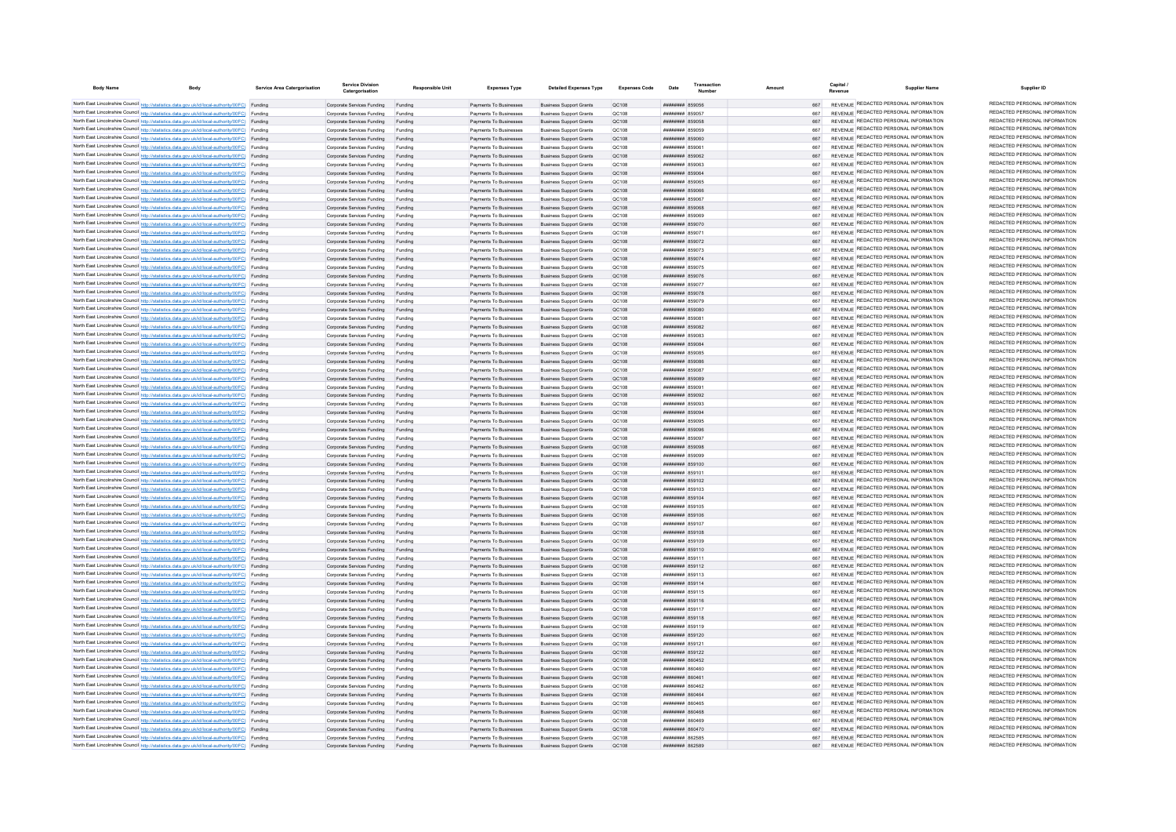| <b>Body Name</b> | <b>Body</b>                                                                                                                                                                                      | Service Area Catergorisation | <b>Service Division</b>                                         | <b>Responsible Unit</b> | <b>Expenses Type</b>                             | <b>Detailed Expenses Type</b>                                    | Expenses Code         | Date                                             | Transaction | Amoun      | Capital<br><b>Supplier Name</b>                                                | Supplier ID                                                    |
|------------------|--------------------------------------------------------------------------------------------------------------------------------------------------------------------------------------------------|------------------------------|-----------------------------------------------------------------|-------------------------|--------------------------------------------------|------------------------------------------------------------------|-----------------------|--------------------------------------------------|-------------|------------|--------------------------------------------------------------------------------|----------------------------------------------------------------|
|                  | North East Lincolnshire Council http://statistics.data.gov.uk/id/local-authority/00FC) Funding                                                                                                   |                              | Corporate Services Funding Funding                              |                         | Payments To Businesses                           | <b>Business Support Grants</b>                                   | OC108                 | ######## 859056                                  |             | 667        | REVENUE REDACTED PERSONAL INFORMATION                                          | REDACTED PERSONAL INFORMATION                                  |
|                  | North East Lincolnshire Council http://statistics.data.gov.uk/id/local-authority/00FC) Funding                                                                                                   |                              | Corporate Services Funding                                      |                         | Payments To Businesses                           | <b>Business Support Grants</b>                                   | QC108                 | <b>######## 859057</b>                           |             |            | REVENUE REDACTED PERSONAL INFORMATION                                          | REDACTED PERSONAL INFORMATION                                  |
|                  | North East Lincolnshire Council http://statistics.data.gov.uk/id/local-authority/00FC) Funding                                                                                                   |                              | Corporate Services Funding                                      | Funding                 | Payments To Businesses                           | <b>Business Support Grants</b>                                   | QC108                 | ####### 859058                                   |             |            | REVENUE REDACTED PERSONAL INFORMATION                                          | REDACTED PERSONAL INFORMATION                                  |
|                  | North East Lincolnshire Council http://statistics.data.gov.uk/id/local-authority/00FC) Funding                                                                                                   |                              | Corporate Services Funding                                      | Funding                 | Payments To Businesses                           | <b>Business Support Grants</b>                                   | QC108                 | <del>лллинны</del> яволво                        |             | 667        | REVENUE REDACTED PERSONAL INFORMATION                                          | REDACTED PERSONAL INFORMATION                                  |
|                  | North East Lincolnshire Council http://statistics.data.gov.uk/id/local-authority/00FC) Funding                                                                                                   |                              | Corporate Services Funding                                      | Funding                 | Payments To Businesses                           | <b>Business Sunnort Grants</b>                                   | OC108                 | ######## 859060                                  |             | 667        | REVENUE REDACTED PERSONAL INFORMATION                                          | REDACTED PERSONAL INFORMATION                                  |
|                  | North East Lincolnshire Council http://statistics.data.gov.uk/id/local-authority/00FC) Funding                                                                                                   |                              | Corporate Services Funding                                      | Funding                 | Payments To Businesses                           | <b>Business Support Grants</b>                                   | OC108                 | ####### 859061                                   |             | 667        | REVENUE REDACTED PERSONAL INFORMATION                                          | REDACTED PERSONAL INFORMATION                                  |
|                  | North East Lincolnshire Council http://statistics.data.gov.uk/id/local-authority/00FC) Funding                                                                                                   |                              | Corporate Services Funding Funding                              |                         | Payments To Businesses                           | <b>Business Support Grants</b>                                   | OC108                 | <b>НИНИНИН 859062</b>                            |             |            | REVENUE REDACTED PERSONAL INFORMATION                                          | REDACTED PERSONAL INFORMATION                                  |
|                  | North East Lincolnshire Council http://statistics.data.gov.uk/id/local-authority/00FC) Funding                                                                                                   |                              | Corporate Services Funding                                      | Funding                 | Payments To Businesses                           | <b>Business Support Grants</b>                                   | QC108                 | ######## 859063                                  |             |            | REVENUE REDACTED PERSONAL INFORMATION<br>REVENUE REDACTED PERSONAL INFORMATION | REDACTED PERSONAL INFORMATION<br>REDACTED PERSONAL INFORMATION |
|                  | North East Lincolnshire Council http://statistics.data.gov.uk/id/local-authority/00FC) Funding                                                                                                   |                              | Corporate Services Funding Funding                              |                         | Payments To Businesses                           | <b>Business Support Grants</b>                                   | QC108                 | ######## 859064                                  |             | 667        | REVENUE REDACTED PERSONAL INFORMATION                                          | REDACTED PERSONAL INFORMATION                                  |
|                  | North East Lincolnshire Council http://statistics.data.gov.uk/id/local-authority/00FC) Funding<br>North East Lincolnshire Council http://statistics.data.gov.uk/id/local-authority/00FC) Funding |                              | Corporate Services Funding                                      | Funding<br>Funding      | Payments To Businesses<br>Payments To Businesses | <b>Business Support Grants</b><br><b>Business Support Grants</b> | QC108<br>OC108        | ######## 859065<br>######## 859066               |             | 667<br>667 | REVENUE REDACTED PERSONAL INFORMATION                                          | REDACTED PERSONAL INFORMATION                                  |
|                  | North East Lincolnshire Council http://statistics.data.gov.uk/id/local-authority/00FC) Funding                                                                                                   |                              | Corporate Services Funding<br>Corporate Services Funding        | Funding                 | Payments To Businesses                           | <b>Business Support Grants</b>                                   | OC108                 | ######## 859067                                  |             | 667        | REVENUE REDACTED PERSONAL INFORMATION                                          | REDACTED PERSONAL INFORMATION                                  |
|                  | North East Lincolnshire Council http://statistics.data.gov.uk/id/local-authority/00FC) Funding                                                                                                   |                              | Corporate Services Funding                                      | Funding                 | Payments To Businesses                           | <b>Business Support Grants</b>                                   | OC108                 | ######## 859068                                  |             | 667        | REVENUE REDACTED PERSONAL INFORMATION                                          | REDACTED PERSONAL INFORMATION                                  |
|                  | North East Lincolnshire Council http://statistics.data.gov.uk/id/local-authority/00FC) Funding                                                                                                   |                              | Corporate Services Funding                                      | Funding                 | Payments To Businesses                           | <b>Business Support Grants</b>                                   | QC108                 | <b>####### 85906</b>                             |             |            | REVENUE REDACTED PERSONAL INFORMATION                                          | REDACTED PERSONAL INFORMATION                                  |
|                  | North East Lincolnshire Council http://statistics.data.gov.uk/id/local-authority/00FC) Funding                                                                                                   |                              | Corporate Services Funding                                      |                         | Payments To Businesses                           | <b>Business Support Grants</b>                                   | QC108                 | ######## 859070                                  |             | 667        | <b>REVENUE REDACTED PERSONAL INFORMATION</b>                                   | REDACTED PERSONAL INFORMATION                                  |
|                  | North East Lincolnshire Council http://statistics.data.gov.uk/id/local-authority/00FC) Funding                                                                                                   |                              | Corporate Services Funding                                      |                         | Payments To Businesses                           | <b>Business Support Grants</b>                                   | QC108                 | <b>########</b> 85907                            |             | 667        | REVENUE REDACTED PERSONAL INFORMATION                                          | REDACTED PERSONAL INFORMATION                                  |
|                  | North East Lincolnshire Council http://statistics.data.gov.uk/id/local-authority/00FC) Funding                                                                                                   |                              | Corporate Services Funding                                      | Funding                 | Payments To Businesses                           | <b>Business Support Grants</b>                                   | OC108                 | <b>НИНИНИН 859072</b>                            |             | 667        | REVENUE REDACTED PERSONAL INFORMATION                                          | REDACTED PERSONAL INFORMATION                                  |
|                  | North East Lincolnshire Council http://statistics.data.gov.uk/id/local-authority/00FC) Funding                                                                                                   |                              | Corporate Services Funding                                      | Funding                 | Payments To Businesses                           | <b>Business Support Grants</b>                                   | QC108                 | ######## 859073                                  |             | 667        | REVENUE REDACTED PERSONAL INFORMATION                                          | REDACTED PERSONAL INFORMATION<br>REDACTED PERSONAL INFORMATION |
|                  | North East Lincolnshire Council http://statistics.data.gov.uk/id/local-authority/00FC) Funding                                                                                                   |                              | Corporate Services Funding                                      | Funding                 | Payments To Businesses                           | <b>Business Support Grants</b>                                   | QC108                 | ######## 859074                                  |             | 667        | REVENUE REDACTED PERSONAL INFORMATION<br>REVENUE REDACTED PERSONAL INFORMATION | REDACTED PERSONAL INFORMATION                                  |
|                  | North East Lincolnshire Council http://statistics.data.gov.uk/id/local-authority/00FC) Funding<br>North East Lincolnshire Council http://statistics.data.gov.uk/id/local-authority/00FC) Funding |                              | Corporate Services Funding<br>Corporate Services Funding        | Funding<br>Funding      | Payments To Businesses<br>Payments To Businesses | <b>Business Support Grants</b><br><b>Business Support Grants</b> | QC108<br>QC108        | ######## 859075<br>######## 859076               |             | 667        | REVENUE REDACTED PERSONAL INFORMATION                                          | REDACTED PERSONAL INFORMATION                                  |
|                  | North East Lincolnshire Council http://statistics.data.gov.uk/id/local-authority/00FC) Funding                                                                                                   |                              | Corporate Services Funding                                      | Funding                 | Payments To Businesses                           | <b>Business Support Grants</b>                                   | QC108                 | ######## 859077                                  |             | 667        | REVENUE REDACTED PERSONAL INFORMATION                                          | REDACTED PERSONAL INFORMATION                                  |
|                  | North East Lincolnshire Council http://statistics.data.gov.uk/id/local-authority/00FC) Funding                                                                                                   |                              | Corporate Services Funding                                      | Funding                 | Payments To Businesses                           | <b>Business Support Grants</b>                                   | QC108                 | ######## 859078                                  |             | 667        | REVENUE REDACTED PERSONAL INFORMATION                                          | REDACTED PERSONAL INFORMATION                                  |
|                  | North East Lincolnshire Council http://statistics.data.gov.uk/id/local-authority/00FC) Funding                                                                                                   |                              | Corporate Services Funding                                      | Funding                 | Payments To Businesses                           | <b>Business Support Grants</b>                                   | QC108                 | ######## 859079                                  |             | 667        | REVENUE REDACTED PERSONAL INFORMATION                                          | REDACTED PERSONAL INFORMATION                                  |
|                  | North East Lincolnshire Council http://statistics.data.gov.uk/id/local-authority/00FC) Funding                                                                                                   |                              | Corporate Services Funding                                      | Funding                 | Payments To Businesses                           | <b>Business Support Grants</b>                                   | QC108                 | ######## 859080                                  |             | 667        | REVENUE REDACTED PERSONAL INFORMATION                                          | REDACTED PERSONAL INFORMATION                                  |
|                  | North East Lincolnshire Council http://statistics.data.gov.uk/id/local-authority/00FC) Funding                                                                                                   |                              | Corporate Services Funding                                      | Funding                 | Payments To Businesses                           | <b>Business Support Grants</b>                                   | <b>QC108</b>          | ####### 85908                                    |             | 667        | REVENUE REDACTED PERSONAL INFORMATION                                          | REDACTED PERSONAL INFORMATION                                  |
|                  | North East Lincolnshire Council http://statistics.data.gov.uk/id/local-authority/00FC) Funding                                                                                                   |                              | Corporate Services Funding                                      | Funding                 | Payments To Businesses                           | <b>Business Support Grants</b>                                   | QC108                 | ####### 859082                                   |             | 667        | REVENUE REDACTED PERSONAL INFORMATION                                          | REDACTED PERSONAL INFORMATION                                  |
|                  | North East Lincolnshire Council http://statistics.data.gov.uk/id/local-authority/00FC) Funding                                                                                                   |                              | Corporate Services Funding                                      |                         | Payments To Businesses                           | <b>Business Support Grants</b>                                   | QC108                 | ######## 859083                                  |             | 667        | REVENUE REDACTED PERSONAL INFORMATION                                          | REDACTED PERSONAL INFORMATION                                  |
|                  | North East Lincolnshire Council http://statistics.data.gov.uk/id/local-authority/00FC) Funding                                                                                                   |                              | Corporate Services Funding                                      | Funding                 | Payments To Businesses                           | <b>Business Support Grants</b>                                   | QC108                 | $HHHHHHHH$ 850084                                |             |            | REVENUE REDACTED PERSONAL INFORMATION<br>REVENUE REDACTED PERSONAL INFORMATION | REDACTED PERSONAL INFORMATION<br>REDACTED PERSONAL INFORMATION |
|                  | North East Lincolnshire Council http://statistics.data.gov.uk/id/local-authority/00FC) Funding                                                                                                   |                              | Comorate Services Funding                                       | Funding                 | Payments To Businesses                           | <b>Business Sunnort Grants</b>                                   | OC108                 | ######## 859085                                  |             | 667<br>667 | REVENUE REDACTED PERSONAL INFORMATION                                          | REDACTED PERSONAL INFORMATION                                  |
|                  | North East Lincolnshire Council http://statistics.data.gov.uk/id/local-authority/00FC) Funding<br>North East Lincolnshire Council http://statistics.data.gov.uk/id/local-authority/00FC) Funding |                              | Comorate Services Funding Funding<br>Corporate Services Funding | Funding                 | Payments To Businesses<br>Payments To Businesses | <b>Business Sunnort Grants</b><br><b>Business Support Grants</b> | OC108<br>OC108        | ######## 859086<br><b>########</b> 859087        |             | 667        | REVENUE REDACTED PERSONAL INFORMATION                                          | REDACTED PERSONAL INFORMATION                                  |
|                  | North East Lincolnshire Council http://statistics.data.gov.uk/id/local-authority/00FC) Funding                                                                                                   |                              | Corporate Services Funding Funding                              |                         | Payments To Businesses                           | <b>Business Support Grants</b>                                   | QC108                 | <b>########</b> 859089                           |             | 667        | REVENUE REDACTED PERSONAL INFORMATION                                          | REDACTED PERSONAL INFORMATION                                  |
|                  | North East Lincolnshire Council http://statistics.data.gov.uk/id/local-authority/00FC) Funding                                                                                                   |                              | Corporate Services Funding                                      | Funding                 | Payments To Businesses                           | <b>Business Support Grants</b>                                   | QC108                 | ####### 85909                                    |             | 667        | REVENUE REDACTED PERSONAL INFORMATION                                          | REDACTED PERSONAL INFORMATION                                  |
|                  | North East Lincolnshire Council http://statistics.data.gov.uk/id/local-authority/00FC) Funding                                                                                                   |                              | Corporate Services Funding                                      | Funding                 | Payments To Businesses                           | <b>Business Support Grants</b>                                   | OC108                 | ######## 859092                                  |             | 667        | REVENUE REDACTED PERSONAL INFORMATION                                          | REDACTED PERSONAL INFORMATION                                  |
|                  | North East Lincolnshire Council http://statistics.data.gov.uk/id/local-authority/00FC) Funding                                                                                                   |                              | Corporate Services Funding                                      | Funding                 | Payments To Businesses                           | <b>Business Sunnort Grants</b>                                   | OC108                 | ######## 859093                                  |             | 667        | REVENUE REDACTED PERSONAL INFORMATION                                          | REDACTED PERSONAL INFORMATION                                  |
|                  | North East Lincolnshire Council http://statistics.data.gov.uk/id/local-authority/00FC) Funding                                                                                                   |                              | Comorate Services Funding Funding                               |                         | Payments To Businesses                           | <b>Business Sunnort Grants</b>                                   | OC108                 | ######## 859094                                  |             | 667        | REVENUE REDACTED PERSONAL INFORMATION                                          | REDACTED PERSONAL INFORMATION                                  |
|                  | North East Lincolnshire Council http://statistics.data.gov.uk/id/local-authority/00FC) Funding                                                                                                   |                              | Corporate Services Funding                                      | Funding                 | Payments To Businesses                           | <b>Business Support Grants</b>                                   | OC108                 | <b>########</b> 859095                           |             | 667        | REVENUE REDACTED PERSONAL INFORMATION                                          | REDACTED PERSONAL INFORMATION                                  |
|                  | North East Lincolnshire Council http://statistics.data.gov.uk/id/local-authority/00FC) Funding                                                                                                   |                              | Corporate Services Funding                                      | Funding                 | Payments To Businesses                           | <b>Business Support Grants</b>                                   | QC108                 | ####### 859096                                   |             | 667        | REVENUE REDACTED PERSONAL INFORMATION                                          | REDACTED PERSONAL INFORMATION<br>REDACTED PERSONAL INFORMATION |
|                  | North East Lincolnshire Council http://statistics.data.gov.uk/id/local-authority/00FC) Funding                                                                                                   |                              | Corporate Services Funding                                      |                         | Payments To Businesses                           | <b>Business Support Grants</b>                                   | QC108                 | <b>########</b> 85909                            |             |            | REVENUE REDACTED PERSONAL INFORMATION<br>REVENUE REDACTED PERSONAL INFORMATION | REDACTED PERSONAL INFORMATION                                  |
|                  | North East Lincolnshire Council http://statistics.data.gov.uk/id/local-authority/00FC) Funding<br>North East Lincolnshire Council http://statistics.data.gov.uk/id/local-authority/00FC) Funding |                              | Corporate Services Funding<br>Corporate Services Funding        | Funding<br>Funding      | Payments To Businesses<br>Payments To Businesses | <b>Business Support Grants</b><br><b>Business Sunnort Grants</b> | QC108<br>OC108        | ######## 859098<br><b><i>BRAHHHHH 859099</i></b> |             | 667<br>667 | REVENUE REDACTED PERSONAL INFORMATION                                          | REDACTED PERSONAL INFORMATION                                  |
|                  | North East Lincolnshire Council http://statistics.data.gov.uk/id/local-authority/00FC) Funding                                                                                                   |                              | Corporate Services Funding                                      | Funding                 | Payments To Businesses                           | <b>Business Sunnort Grants</b>                                   | OC108                 | ######## 859100                                  |             | 667        | REVENUE REDACTED PERSONAL INFORMATION                                          | REDACTED PERSONAL INFORMATION                                  |
|                  | North East Lincolnshire Council http://statistics.data.gov.uk/id/local-authority/00FC) Funding                                                                                                   |                              | Corporate Services Funding                                      | Funding                 | Payments To Businesses                           | <b>Business Support Grants</b>                                   | QC108                 | <b>########</b> 859101                           |             | 667        | REVENUE REDACTED PERSONAL INFORMATION                                          | REDACTED PERSONAL INFORMATION                                  |
|                  | North East Lincolnshire Council http://statistics.data.gov.uk/id/local-authority/00FC) Funding                                                                                                   |                              | Corporate Services Funding                                      | Funding                 | Payments To Businesses                           | <b>Business Support Grants</b>                                   | QC108                 | ######## 859102                                  |             |            | REVENUE REDACTED PERSONAL INFORMATION                                          | REDACTED PERSONAL INFORMATION                                  |
|                  | North East Lincolnshire Council http://statistics.data.gov.uk/id/local-authority/00FC) Funding                                                                                                   |                              | Corporate Services Funding                                      | Funding                 | Payments To Businesses                           | <b>Business Support Grants</b>                                   | QC108                 | ######## 859103                                  |             | 667        | REVENUE REDACTED PERSONAL INFORMATION                                          | REDACTED PERSONAL INFORMATION                                  |
|                  | North East Lincolnshire Council http://statistics.data.gov.uk/id/local-authority/00FC) Funding                                                                                                   |                              | Corporate Services Funding                                      | Funding                 | Payments To Businesses                           | <b>Business Support Grants</b>                                   | QC108                 | ######## 859104                                  |             | 667        | REVENUE REDACTED PERSONAL INFORMATION                                          | REDACTED PERSONAL INFORMATION                                  |
|                  | North East Lincolnshire Council http://statistics.data.gov.uk/id/local-authority/00FC) Funding                                                                                                   |                              | Corporate Services Funding                                      | Funding                 | Payments To Businesses                           | <b>Business Support Grants</b>                                   | OC108                 | ######## 859105                                  |             | 667        | REVENUE REDACTED PERSONAL INFORMATION                                          | REDACTED PERSONAL INFORMATION<br>REDACTED PERSONAL INFORMATION |
|                  | North East Lincolnshire Council http://statistics.data.gov.uk/id/local-authority/00FC) Funding                                                                                                   |                              | Corporate Services Funding                                      | Funding                 | Payments To Businesses                           | <b>Business Support Grants</b>                                   | QC108                 | ######## 859106                                  |             | 667        | REVENUE REDACTED PERSONAL INFORMATION<br>REVENUE REDACTED PERSONAL INFORMATION | REDACTED PERSONAL INFORMATION                                  |
|                  | North East Lincolnshire Council http://statistics.data.gov.uk/id/local-authority/00FC) Funding<br>North East Lincolnshire Council http://statistics.data.gov.uk/id/local-authority/00FC) Funding |                              | Corporate Services Funding<br>Corporate Services Funding        | Funding<br>Funding      | Payments To Businesses<br>Payments To Businesses | <b>Business Support Grants</b><br><b>Business Support Grants</b> | OC108<br><b>QC108</b> | ####### 859107<br>######## 859108                |             | 667        | REVENUE REDACTED PERSONAL INFORMATION                                          | REDACTED PERSONAL INFORMATION                                  |
|                  | North East Lincolnshire Council http://statistics.data.gov.uk/id/local-authority/00FC) Funding                                                                                                   |                              | Corporate Services Funding                                      | Funding                 | Payments To Businesses                           | <b>Business Support Grants</b>                                   | QC108                 | <b>########</b> 859109                           |             | 667        | <b>REVENUE REDACTED PERSONAL INFORMATION</b>                                   | REDACTED PERSONAL INFORMATION                                  |
|                  | North East Lincolnshire Council http://statistics.data.gov.uk/id/local-authority/00FC) Funding                                                                                                   |                              | Corporate Services Funding                                      |                         | Payments To Businesses                           | <b>Business Support Grants</b>                                   | QC108                 | ######## 859110                                  |             |            | REVENUE REDACTED PERSONAL INFORMATION                                          | REDACTED PERSONAL INFORMATION                                  |
|                  | North East Lincolnshire Council http://statistics.data.gov.uk/id/local-authority/00FC) Funding                                                                                                   |                              | Corporate Services Funding                                      | Funding                 | Payments To Businesses                           | <b>Business Support Grants</b>                                   | OC108                 | <b>HUHHHHH 859111</b>                            |             | 667        | REVENUE REDACTED PERSONAL INFORMATION                                          | REDACTED PERSONAL INFORMATION                                  |
|                  | North East Lincolnshire Council http://statistics.data.gov.uk/id/local-authority/00FC) Funding                                                                                                   |                              | Corporate Services Funding Funding                              |                         | Payments To Businesses                           | <b>Business Support Grants</b>                                   | QC108                 | ######## 859112                                  |             | 667        | REVENUE REDACTED PERSONAL INFORMATION                                          | REDACTED PERSONAL INFORMATION                                  |
|                  | North East Lincolnshire Council http://statistics.data.gov.uk/id/local-authority/00FC) Funding                                                                                                   |                              | Corporate Services Funding                                      | Funding                 | Payments To Businesses                           | <b>Business Support Grants</b>                                   | QC108                 | ######## 859113                                  |             | 667        | REVENUE REDACTED PERSONAL INFORMATION                                          | REDACTED PERSONAL INFORMATION                                  |
|                  | North East Lincolnshire Council http://statistics.data.gov.uk/id/local-authority/00FC) Funding                                                                                                   |                              | Corporate Services Funding Funding                              |                         | Payments To Businesses                           | <b>Business Support Grants</b>                                   | QC108                 | ######## 859114                                  |             |            | REVENUE REDACTED PERSONAL INFORMATION                                          | REDACTED PERSONAL INFORMATION                                  |
|                  | North East Lincolnshire Council http://statistics.data.gov.uk/id/local-authority/00FC) Funding                                                                                                   |                              | Corporate Services Funding                                      | Funding                 | Payments To Businesses                           | <b>Business Support Grants</b>                                   | QC108                 | ######## 859115                                  |             | 667        | REVENUE REDACTED PERSONAL INFORMATION                                          | REDACTED PERSONAL INFORMATION                                  |
|                  | North East Lincolnshire Council http://statistics.data.gov.uk/id/local-authority/00FC) Funding                                                                                                   |                              | Corporate Services Funding Funding                              |                         | Payments To Businesses                           | <b>Business Support Grants</b>                                   | QC108                 | ######## 859116                                  |             | 667        | REVENUE REDACTED PERSONAL INFORMATION<br>REVENUE REDACTED PERSONAL INFORMATION | REDACTED PERSONAL INFORMATION<br>REDACTED PERSONAL INFORMATION |
|                  | North East Lincolnshire Council http://statistics.data.gov.uk/id/local-authority/00FC) Funding<br>North East Lincolnshire Council http://statistics.data.gov.uk/id/local-authority/00FC) Funding |                              | Corporate Services Funding                                      | Funding                 | Payments To Businesses<br>Payments To Businesses | <b>Business Support Grants</b>                                   | QC108<br>QC108        | ####### 859117<br>######## 859118                |             | 667<br>667 | REVENUE REDACTED PERSONAL INFORMATION                                          | REDACTED PERSONAL INFORMATION                                  |
|                  | North East Lincolnshire Council http://statistics.data.gov.uk/id/local-authority/00FC) Funding                                                                                                   |                              | Corporate Services Funding<br>Corporate Services Funding        | Funding<br>Funding      | Payments To Businesses                           | <b>Business Support Grants</b><br><b>Business Support Grants</b> | QC108                 | ####### 859119                                   |             | 667        | REVENUE REDACTED PERSONAL INFORMATION                                          | REDACTED PERSONAL INFORMATION                                  |
|                  | North East Lincolnshire Council http://statistics.data.gov.uk/id/local-authority/00FC) Funding                                                                                                   |                              | Corporate Services Funding                                      | Funding                 | Payments To Businesses                           | <b>Business Support Grants</b>                                   | <b>QC108</b>          | ####### 859120                                   |             | 667        | REVENUE REDACTED PERSONAL INFORMATION                                          | REDACTED PERSONAL INFORMATION                                  |
|                  | North East Lincolnshire Council http://statistics.data.gov.uk/id/local-authority/00FC) Funding                                                                                                   |                              | Corporate Services Funding                                      |                         | Payments To Businesses                           | <b>Business Support Grants</b>                                   | QC108                 | <b>####### 859121</b>                            |             | 667        | REVENUE REDACTED PERSONAL INFORMATION                                          | REDACTED PERSONAL INFORMATION                                  |
|                  | North East Lincolnshire Council http://statistics.data.gov.uk/id/local-authority/00FC) Funding                                                                                                   |                              | Corporate Services Funding                                      |                         | Payments To Businesses                           | <b>Business Support Grants</b>                                   | QC108                 | ####### 859122                                   |             | 667        | REVENUE REDACTED PERSONAL INFORMATION                                          | REDACTED PERSONAL INFORMATION                                  |
|                  | North East Lincolnshire Council http://statistics.data.gov.uk/id/local-authority/00FC) Funding                                                                                                   |                              | Corporate Services Funding                                      | Funding                 | Payments To Businesses                           | <b>Business Support Grants</b>                                   | OC108                 | <b>HHHHHHH 860452</b>                            |             | 667        | REVENUE REDACTED PERSONAL INFORMATION                                          | REDACTED PERSONAL INFORMATION                                  |
|                  | North East Lincolnshire Council http://statistics.data.gov.uk/id/local-authority/00FC) Funding                                                                                                   |                              | Corporate Services Funding                                      | Funding                 | Payments To Businesses                           | <b>Business Sunnort Grants</b>                                   | OC108                 | nanaan sansanaa                                  |             | 667        | REVENUE REDACTED PERSONAL INFORMATION                                          | REDACTED PERSONAL INFORMATION                                  |
|                  | North East Lincolnshire Council http://statistics.data.gov.uk/id/local-authority/00FC) Funding                                                                                                   |                              | Corporate Services Funding                                      | Funding                 | Payments To Businesses                           | <b>Business Sunnort Grants</b>                                   | OC108                 | танинны вераст                                   |             | 667        | REVENUE REDACTED PERSONAL INFORMATION                                          | REDACTED PERSONAL INFORMATION                                  |
|                  | North East Lincolnshire Council http://statistics.data.gov.uk/id/local-authority/00FC) Funding                                                                                                   |                              | Corporate Services Funding                                      | Funding                 | Payments To Businesses                           | <b>Business Support Grants</b>                                   | OC108                 | <b>плиннин</b> вболб2                            |             |            | REVENUE REDACTED PERSONAL INFORMATION<br>REVENUE REDACTED PERSONAL INFORMATION | REDACTED PERSONAL INFORMATION<br>REDACTED PERSONAL INFORMATION |
|                  | North East Lincolnshire Council http://statistics.data.gov.uk/id/local-authority/00FC) Funding<br>North East Lincolnshire Council http://statistics.data.gov.uk/id/local-authority/00FC) Funding |                              | Corporate Services Funding Funding                              |                         | Payments To Businesses                           | <b>Business Support Grants</b>                                   | QC108                 | ######## 860464                                  |             | 667        | REVENUE REDACTED PERSONAL INFORMATION                                          | REDACTED PERSONAL INFORMATION                                  |
|                  | North East Lincolnshire Council http://statistics.data.gov.uk/id/local-authority/00FC) Funding                                                                                                   |                              | Corporate Services Funding<br>Corporate Services Funding        | Funding<br>Funding      | Payments To Businesses<br>Payments To Businesses | <b>Business Support Grants</b><br><b>Business Support Grants</b> | QC108<br>QC108        | ######## 860465<br>BANAS MEMBERS                 |             | 667        | REVENUE REDACTED PERSONAL INFORMATION                                          | REDACTED PERSONAL INFORMATION                                  |
|                  | North East Lincolnshire Council http://statistics.data.gov.uk/id/local-authority/00FC) Funding                                                                                                   |                              | Corporate Services Funding                                      | Funding                 | Payments To Businesses                           | <b>Business Sunnort Grants</b>                                   | OC108                 | RANGE MARBARA                                    |             | 667        | REVENUE REDACTED PERSONAL INFORMATION                                          | REDACTED PERSONAL INFORMATION                                  |
|                  | North East Lincolnshire Council http://statistics.data.gov.uk/id/local-authority/00FC) Funding                                                                                                   |                              | Corporate Services Funding                                      | Funding                 | Payments To Businesses                           | <b>Business Sunnort Grants</b>                                   | OC108                 | ######## 860470                                  |             | 667        | REVENUE REDACTED PERSONAL INFORMATION                                          | REDACTED PERSONAL INFORMATION                                  |
|                  | North East Lincolnshire Council http://statistics.data.gov.uk/id/local-authority/00FC) Funding                                                                                                   |                              | Corporate Services Funding                                      | Funding                 | Payments To Businesses                           | <b>Business Support Grants</b>                                   | OC108                 | <b>####### 862585</b>                            |             | 667        | REVENUE REDACTED PERSONAL INFORMATION                                          | REDACTED PERSONAL INFORMATION                                  |
|                  | North East Lincolnshire Council http://statistics.data.gov.uk/id/local-authority/00FC) Funding                                                                                                   |                              | Corporate Services Funding                                      | Funding                 | Payments To Businesses                           | <b>Business Support Grants</b>                                   | OC108                 | <b>ШИНИНИН 862589</b>                            |             | 667        | REVENUE REDACTED PERSONAL INFORMATION                                          | REDACTED PERSONAL INFORMATION                                  |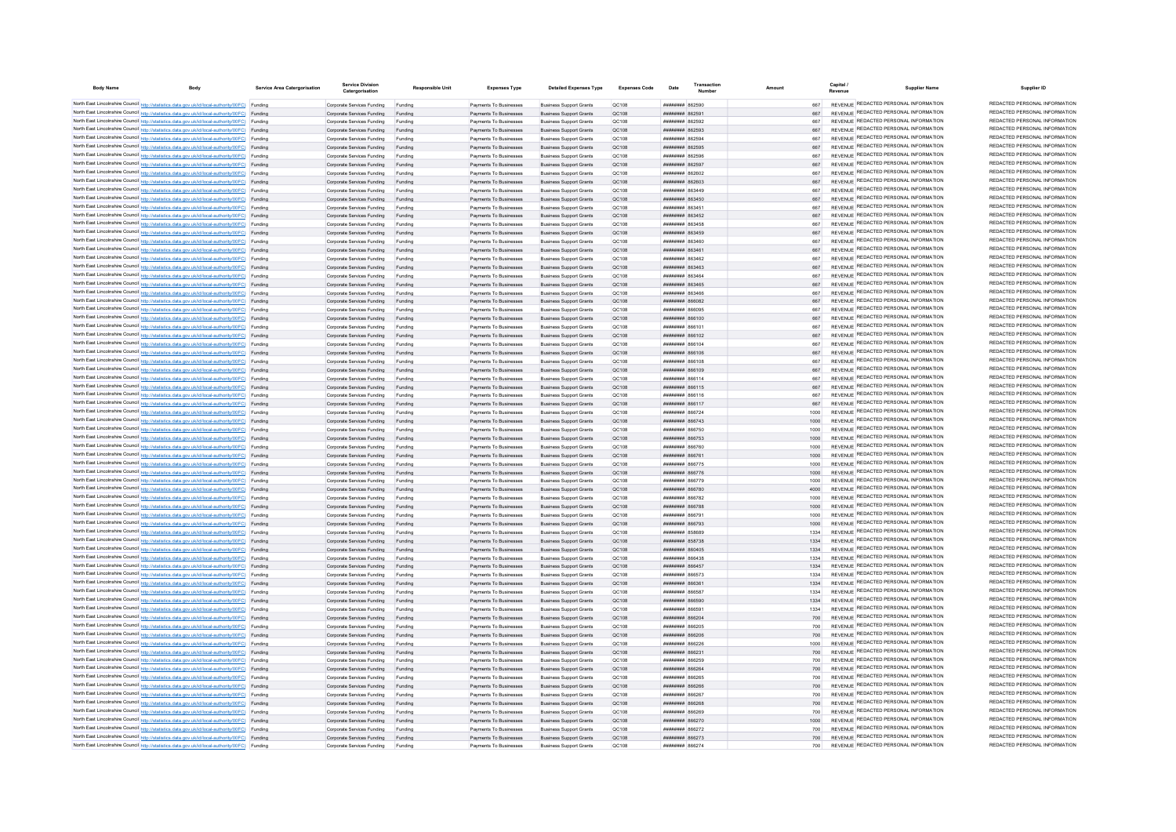| <b>Body Name</b> | Body                                                                                                                                                                                             | Service Area Catergorisation | <b>Service Division</b><br>Catergorisation                       | <b>Responsible Unit</b> | <b>Expenses Type</b>                             | <b>Detailed Expenses Type</b>                                    | <b>Expenses Code</b> | Date                                             | Transaction |              | Capital<br><b>Supplier Name</b>                                                | Supplier ID                                                    |
|------------------|--------------------------------------------------------------------------------------------------------------------------------------------------------------------------------------------------|------------------------------|------------------------------------------------------------------|-------------------------|--------------------------------------------------|------------------------------------------------------------------|----------------------|--------------------------------------------------|-------------|--------------|--------------------------------------------------------------------------------|----------------------------------------------------------------|
|                  | North East Lincolnshire Council http://statistics.data.gov.uk/id/local-authority/00FC) Funding                                                                                                   |                              | Comorate Services Funding                                        | Funding                 | Payments To Businesses                           | <b>Business Support Grants</b>                                   | OC108                | 002598 BBBBBBBB                                  |             | 667          | REVENUE REDACTED PERSONAL INFORMATION                                          | REDACTED PERSONAL INFORMATION                                  |
|                  | North East Lincolnshire Council http://statistics.data.gov.uk/id/local-authority/00FC) Funding                                                                                                   |                              | Corporate Services Funding                                       | Funding                 | Payments To Businesses                           | <b>Business Support Grants</b>                                   | OC108                | <b>BRANCH HERMANY</b>                            |             |              | REVENUE REDACTED PERSONAL INFORMATION                                          | REDACTED PERSONAL INFORMATION                                  |
|                  | North East Lincolnshire Council http://statistics.data.gov.uk/id/local-authority/00FC) Funding                                                                                                   |                              | Corporate Services Funding                                       | Funding                 | Payments To Businesses                           | <b>Business Support Grants</b>                                   | OC108                | ######## 862592                                  |             | 667          | REVENUE REDACTED PERSONAL INFORMATION                                          | REDACTED PERSONAL INFORMATION                                  |
|                  | North East Lincolnshire Council http://statistics.data.gov.uk/id/local-authority/00FC) Funding                                                                                                   |                              | Corporate Services Funding                                       | Funding                 | Payments To Businesses                           | <b>Business Support Grants</b>                                   | QC108                | ####### 862593                                   |             |              | REVENUE REDACTED PERSONAL INFORMATION                                          | REDACTED PERSONAL INFORMATION                                  |
|                  | North East Lincolnshire Council http://statistics.data.gov.uk/id/local-authority/00FC) Funding                                                                                                   |                              | Corporate Services Funding                                       | Funding                 | Payments To Businesses                           | <b>Business Support Grants</b>                                   | QC108                | ######## 862594                                  |             | 667          | REVENUE REDACTED PERSONAL INFORMATION<br>REVENUE REDACTED PERSONAL INFORMATION | REDACTED PERSONAL INFORMATION<br>REDACTED PERSONAL INFORMATION |
|                  | North East Lincolnshire Council http://statistics.data.gov.uk/id/local-authority/00FC) Funding<br>North East Lincolnshire Council http://statistics.data.gov.uk/id/local-authority/00FC) Funding |                              | Corporate Services Funding                                       | Funding                 | Payments To Businesses                           | <b>Business Support Grants</b>                                   | QC108                | <b>ППИНИНИ 862595</b>                            |             |              | REVENUE REDACTED PERSONAL INFORMATION                                          | REDACTED PERSONAL INFORMATION                                  |
|                  | North East Lincolnshire Council http://statistics.data.gov.uk/id/local-authority/00FC) Funding                                                                                                   |                              | Corporate Services Funding<br>Corporate Services Funding Funding | Funding                 | Payments To Businesses<br>Payments To Businesses | <b>Business Support Grants</b><br><b>Business Support Grants</b> | OC108<br>OC108       | <b>ПЕПЕННИИ 862596</b><br>######## 862597        |             | 667<br>667   | REVENUE REDACTED PERSONAL INFORMATION                                          | REDACTED PERSONAL INFORMATION                                  |
|                  | North East Lincolnshire Council http://statistics.data.gov.uk/id/local-authority/00FC) Funding                                                                                                   |                              | Corporate Services Funding                                       | Funding                 | Payments To Businesses                           | <b>Business Support Grants</b>                                   | OC108                | <b>плинини 862602</b>                            |             | 667          | REVENUE REDACTED PERSONAL INFORMATION                                          | REDACTED PERSONAL INFORMATION                                  |
|                  | North East Lincolnshire Council http://statistics.data.gov.uk/id/local-authority/00FC) Funding                                                                                                   |                              | Corporate Services Funding Funding                               |                         | Payments To Businesses                           | <b>Business Support Grants</b>                                   | QC108                | ######## 862603                                  |             |              | REVENUE REDACTED PERSONAL INFORMATION                                          | REDACTED PERSONAL INFORMATION                                  |
|                  | North East Lincolnshire Council http://statistics.data.gov.uk/id/local-authority/00FC) Funding                                                                                                   |                              | Corporate Services Funding                                       | Funding                 | Payments To Businesses                           | <b>Business Support Grants</b>                                   | QC108                | ######## 863449                                  |             | 667          | REVENUE REDACTED PERSONAL INFORMATION                                          | REDACTED PERSONAL INFORMATION                                  |
|                  | North East Lincolnshire Council http://statistics.data.gov.uk/id/local-authority/00FC) Funding                                                                                                   |                              | Corporate Services Funding                                       | Funding                 | Payments To Businesses                           | <b>Business Support Grants</b>                                   | OC108                | <b>пппппппп</b> 863450                           |             | 667          | REVENUE REDACTED PERSONAL INFORMATION                                          | REDACTED PERSONAL INFORMATION                                  |
|                  | North East Lincolnshire Council http://statistics.data.gov.uk/id/local-authority/00FC) Funding                                                                                                   |                              | Corporate Services Funding                                       | Funding                 | Payments To Businesses                           | <b>Business Support Grants</b>                                   | OC108                | <b>пппппппп</b> 863451                           |             | 667          | REVENUE REDACTED PERSONAL INFORMATION                                          | REDACTED PERSONAL INFORMATION                                  |
|                  | North East Lincolnshire Council http://statistics.data.gov.uk/id/local-authority/00FC) Funding                                                                                                   |                              | Corporate Services Funding                                       | Funding                 | Payments To Businesses                           | <b>Business Support Grants</b>                                   | OC108                | ######## 863452                                  |             | 667          | REVENUE REDACTED PERSONAL INFORMATION                                          | REDACTED PERSONAL INFORMATION                                  |
|                  | North East Lincolnshire Council http://statistics.data.gov.uk/id/local-authority/00FC) Funding                                                                                                   |                              | Corporate Services Funding                                       | Funding                 | Payments To Businesses                           | <b>Business Support Grants</b>                                   | QC108                | <b>####### 863458</b>                            |             |              | REVENUE REDACTED PERSONAL INFORMATION                                          | REDACTED PERSONAL INFORMATION                                  |
|                  | North East Lincolnshire Council http://statistics.data.gov.uk/id/local-authority/00FC) Funding                                                                                                   |                              | Corporate Services Funding                                       | Funding                 | Payments To Businesses                           | <b>Business Support Grants</b>                                   | QC108                | ######## 863459                                  |             | 667          | REVENUE REDACTED PERSONAL INFORMATION                                          | REDACTED PERSONAL INFORMATION                                  |
|                  | North East Lincolnshire Council http://statistics.data.gov.uk/id/local-authority/00FC) Funding                                                                                                   |                              | Corporate Services Funding                                       |                         | Payments To Businesses                           | <b>Business Support Grants</b>                                   | QC108                | <b>лаксая</b> <del>инници</del>                  |             | 667          | REVENUE REDACTED PERSONAL INFORMATION                                          | REDACTED PERSONAL INFORMATION                                  |
|                  | North East Lincolnshire Council http://statistics.data.gov.uk/id/local-authority/00FC) Funding                                                                                                   |                              | Corporate Services Funding                                       | Funding                 | Payments To Businesses                           | <b>Business Support Grants</b>                                   | OC108                | <b>плинини 863461</b>                            |             | 667          | REVENUE REDACTED PERSONAL INFORMATION<br>REVENUE REDACTED PERSONAL INFORMATION | REDACTED PERSONAL INFORMATION<br>REDACTED PERSONAL INFORMATION |
|                  | North East Lincolnshire Council http://statistics.data.gov.uk/id/local-authority/00FC) Funding                                                                                                   |                              | Corporate Services Funding                                       | Funding                 | Payments To Businesses                           | <b>Business Support Grants</b>                                   | QC108                | <b>пининин</b> 863462                            |             | 667          | REVENUE REDACTED PERSONAL INFORMATION                                          | REDACTED PERSONAL INFORMATION                                  |
|                  | North East Lincolnshire Council http://statistics.data.gov.uk/id/local-authority/00FC) Funding<br>North East Lincolnshire Council http://statistics.data.gov.uk/id/local-authority/00FC) Funding |                              | Corporate Services Funding<br>Corporate Services Funding         | Funding<br>Funding      | Payments To Businesses<br>Payments To Businesses | <b>Business Support Grants</b><br><b>Business Support Grants</b> | QC108<br>QC108       | ######## 863463<br>######## 863464               |             | 667          | REVENUE REDACTED PERSONAL INFORMATION                                          | REDACTED PERSONAL INFORMATION                                  |
|                  | North East Lincolnshire Council http://statistics.data.gov.uk/id/local-authority/00FC) Funding                                                                                                   |                              | Corporate Services Funding                                       | Funding                 | Payments To Businesses                           | <b>Business Support Grants</b>                                   | QC108                | ####### 863465                                   |             |              | REVENUE REDACTED PERSONAL INFORMATION                                          | REDACTED PERSONAL INFORMATION                                  |
|                  | North East Lincolnshire Council http://statistics.data.gov.uk/id/local-authority/00FC) Funding                                                                                                   |                              | Corporate Services Funding                                       |                         | Payments To Businesses                           | <b>Business Support Grants</b>                                   | OC108                | нининин ввзде                                    |             | 667          | REVENUE REDACTED PERSONAL INFORMATION                                          | REDACTED PERSONAL INFORMATION                                  |
|                  | North East Lincolnshire Council http://statistics.data.gov.uk/id/local-authority/00FC) Funding                                                                                                   |                              | Corporate Services Funding                                       | Funding                 | Payments To Businesses                           | <b>Business Support Grants</b>                                   | OC108                | ппинини 866082                                   |             | 667          | REVENUE REDACTED PERSONAL INFORMATION                                          | REDACTED PERSONAL INFORMATION                                  |
|                  | North East Lincolnshire Council http://statistics.data.gov.uk/id/local-authority/00FC) Funding                                                                                                   |                              | Corporate Services Funding                                       | Funding                 | Payments To Businesses                           | <b>Business Support Grants</b>                                   | QC108                | 10038 BURBERRY                                   |             | 667          | REVENUE REDACTED PERSONAL INFORMATION                                          | REDACTED PERSONAL INFORMATION                                  |
|                  | North East Lincolnshire Council http://statistics.data.gov.uk/id/local-authority/00FC) Funding                                                                                                   |                              | Corporate Services Funding                                       | Funding                 | Payments To Businesses                           | <b>Business Support Grants</b>                                   | OC108                | <b>HHHHHHH 866100</b>                            |             | 667          | REVENUE REDACTED PERSONAL INFORMATION                                          | REDACTED PERSONAL INFORMATION                                  |
|                  | North East Lincolnshire Council http://statistics.data.gov.uk/id/local-authority/00FC) Funding                                                                                                   |                              | Corporate Services Funding                                       | Funding                 | Payments To Businesses                           | <b>Business Support Grants</b>                                   | OC108                | 01338 BERNHURT                                   |             | 667          | REVENUE REDACTED PERSONAL INFORMATION                                          | REDACTED PERSONAL INFORMATION                                  |
|                  | North East Lincolnshire Council http://statistics.data.gov.uk/id/local-authority/00FC) Funding                                                                                                   |                              | Corporate Services Funding                                       | Funding                 | Payments To Businesses                           | <b>Business Support Grants</b>                                   | OC108                | <b>плиннин</b> 866102                            |             | 667          | REVENUE REDACTED PERSONAL INFORMATION                                          | REDACTED PERSONAL INFORMATION                                  |
|                  | North East Lincolnshire Council http://statistics.data.gov.uk/id/local-authority/00FC) Funding                                                                                                   |                              | Corporate Services Funding                                       | Funding                 | Payments To Businesses                           | <b>Business Support Grants</b>                                   | QC108                | 01388 <b><i>BREEFFEED</i></b>                    |             | 667          | REVENUE REDACTED PERSONAL INFORMATION                                          | REDACTED PERSONAL INFORMATION                                  |
|                  | North East Lincolnshire Council http://statistics.data.gov.uk/id/local-authority/00FC) Funding                                                                                                   |                              | Corporate Services Funding                                       | Funding                 | Payments To Businesses                           | <b>Business Support Grants</b>                                   | QC108                | <b>######## 866106</b>                           |             | 667          | REVENUE REDACTED PERSONAL INFORMATION                                          | REDACTED PERSONAL INFORMATION                                  |
|                  | North East Lincolnshire Council http://statistics.data.gov.uk/id/local-authority/00FC) Funding                                                                                                   |                              | Corporate Services Funding                                       | Funding                 | Payments To Businesses                           | <b>Business Support Grants</b>                                   | QC108                | BOTARE HHHHHHH                                   |             | 667          | REVENUE REDACTED PERSONAL INFORMATION                                          | REDACTED PERSONAL INFORMATION                                  |
|                  | North East Lincolnshire Council http://statistics.data.gov.uk/id/local-authority/00FC) Funding                                                                                                   |                              | Corporate Services Funding                                       | Funding                 | Payments To Businesses                           | <b>Business Support Grants</b>                                   | OC108                | <b>HEHHHHH S66109</b>                            |             |              | REVENUE REDACTED PERSONAL INFORMATION                                          | REDACTED PERSONAL INFORMATION<br>REDACTED PERSONAL INFORMATION |
|                  | North East Lincolnshire Council http://statistics.data.gov.uk/id/local-authority/00FC) Funding                                                                                                   |                              | Corporate Services Funding                                       | Funding                 | Payments To Businesses                           | <b>Business Support Grants</b>                                   | OC108                | ######## 866114                                  |             | 667          | REVENUE REDACTED PERSONAL INFORMATION<br>REVENUE REDACTED PERSONAL INFORMATION | REDACTED PERSONAL INFORMATION                                  |
|                  | North East Lincolnshire Council http://statistics.data.gov.uk/id/local-authority/00FC) Funding                                                                                                   |                              | Corporate Services Funding Funding<br>Corporate Services Funding |                         | Payments To Businesses<br>Payments To Businesses | <b>Business Support Grants</b><br><b>Business Support Grants</b> | OC108<br>QC108       | ######## 866115<br>####### 866116                |             | 667          | REVENUE REDACTED PERSONAL INFORMATION                                          | REDACTED PERSONAL INFORMATION                                  |
|                  | North East Lincolnshire Council http://statistics.data.gov.uk/id/local-authority/00FC) Funding<br>North East Lincolnshire Council http://statistics.data.gov.uk/id/local-authority/00FC) Funding |                              | Corporate Services Funding Funding                               | Funding                 | Payments To Businesses                           | <b>Business Support Grants</b>                                   | QC108                | ######## 866117                                  |             | 667          | REVENUE REDACTED PERSONAL INFORMATION                                          | REDACTED PERSONAL INFORMATION                                  |
|                  | North East Lincolnshire Council http://statistics.data.gov.uk/id/local-authority/00FC) Funding                                                                                                   |                              | Corporate Services Funding                                       | Funding                 | Payments To Businesses                           | <b>Business Support Grants</b>                                   | QC108                | ######## 866724                                  |             | 1000         | REVENUE REDACTED PERSONAL INFORMATION                                          | REDACTED PERSONAL INFORMATION                                  |
|                  | North East Lincolnshire Council http://statistics.data.gov.uk/id/local-authority/00FC) Funding                                                                                                   |                              | Corporate Services Funding                                       | Funding                 | Payments To Businesses                           | <b>Business Support Grants</b>                                   | OC108                | <b>пипинни 866743</b>                            |             | 1000         | REVENUE REDACTED PERSONAL INFORMATION                                          | REDACTED PERSONAL INFORMATION                                  |
|                  | North East Lincolnshire Council http://statistics.data.gov.uk/id/local-authority/00FC) Funding                                                                                                   |                              | Corporate Services Funding                                       | Funding                 | Payments To Businesses                           | <b>Business Support Grants</b>                                   | OC108                | ####### 866750                                   |             | 1000         | REVENUE REDACTED PERSONAL INFORMATION                                          | REDACTED PERSONAL INFORMATION                                  |
|                  | North East Lincolnshire Council http://statistics.data.gov.uk/id/local-authority/00FC) Funding                                                                                                   |                              | Corporate Services Funding                                       | Funding                 | Payments To Businesses                           | <b>Business Support Grants</b>                                   | OC108                | ######## 866753                                  |             | 1000         | REVENUE REDACTED PERSONAL INFORMATION                                          | REDACTED PERSONAL INFORMATION                                  |
|                  | North East Lincolnshire Council http://statistics.data.gov.uk/id/local-authority/00FC) Funding                                                                                                   |                              | Corporate Services Funding                                       | Funding                 | Payments To Businesses                           | <b>Business Support Grants</b>                                   | QC108                | ######## 866760                                  |             | 1000         | REVENUE REDACTED PERSONAL INFORMATION                                          | REDACTED PERSONAL INFORMATION                                  |
|                  | North East Lincolnshire Council http://statistics.data.gov.uk/id/local-authority/00FC) Funding                                                                                                   |                              | Corporate Services Funding                                       |                         | Payments To Businesses                           | <b>Business Support Grants</b>                                   | QC108                | ######## 866761                                  |             | 1000         | REVENUE REDACTED PERSONAL INFORMATION                                          | REDACTED PERSONAL INFORMATION                                  |
|                  | North East Lincolnshire Council http://statistics.data.gov.uk/id/local-authority/00FC) Funding                                                                                                   |                              | Corporate Services Funding                                       |                         | Payments To Businesses                           | <b>Business Support Grants</b>                                   | QC108                | ######## 866775                                  |             | 1000         | REVENUE REDACTED PERSONAL INFORMATION                                          | REDACTED PERSONAL INFORMATION                                  |
|                  | North East Lincolnshire Council http://statistics.data.gov.uk/id/local-authority/00FC) Funding                                                                                                   |                              | Corporate Services Funding                                       | Funding                 | Payments To Businesses                           | <b>Business Support Grants</b>                                   | QC108                | <b>пппппппп</b> 866776                           |             | 1000         | REVENUE REDACTED PERSONAL INFORMATION                                          | REDACTED PERSONAL INFORMATION                                  |
|                  | North East Lincolnshire Council http://statistics.data.gov.uk/id/local-authority/00FC) Funding                                                                                                   |                              | Corporate Services Funding                                       | Funding                 | Payments To Businesses                           | <b>Business Support Grants</b>                                   | QC108                | ######## 866779                                  |             | 1000         | REVENUE REDACTED PERSONAL INFORMATION                                          | REDACTED PERSONAL INFORMATION                                  |
|                  | North East Lincolnshire Council http://statistics.data.gov.uk/id/local-authority/00FC) Funding                                                                                                   |                              | Corporate Services Funding                                       | Funding                 | Payments To Businesses                           | <b>Business Support Grants</b>                                   | <b>QC108</b>         | ######## 866780                                  |             | 4000         | REVENUE REDACTED PERSONAL INFORMATION<br>REVENUE REDACTED PERSONAL INFORMATION | REDACTED PERSONAL INFORMATION<br>REDACTED PERSONAL INFORMATION |
|                  | North East Lincolnshire Council http://statistics.data.gov.uk/id/local-authority/00FC) Funding                                                                                                   |                              | Corporate Services Funding                                       | Funding                 | Payments To Businesses                           | <b>Business Support Grants</b>                                   | QC108                | ######## 866782                                  |             | 1000<br>1000 | REVENUE REDACTED PERSONAL INFORMATION                                          | REDACTED PERSONAL INFORMATION                                  |
|                  | North East Lincolnshire Council http://statistics.data.gov.uk/id/local-authority/00FC) Funding<br>North East Lincolnshire Council http://statistics.data.gov.uk/id/local-authority/00FC) Funding |                              | Corporate Services Funding Funding<br>Corporate Services Funding | Funding                 | Payments To Businesses<br>Payments To Businesses | <b>Business Support Grants</b><br><b>Business Support Grants</b> | QC108<br>OC108       | ######## 866788<br><b>плиннин</b> 866791         |             | 1000         | REVENUE REDACTED PERSONAL INFORMATION                                          | REDACTED PERSONAL INFORMATION                                  |
|                  | North East Lincolnshire Council http://statistics.data.gov.uk/id/local-authority/00FC) Funding                                                                                                   |                              | Corporate Services Funding                                       | Funding                 | Payments To Businesses                           | <b>Business Support Grants</b>                                   | <b>QC108</b>         | <b>пппппппп</b> 866793                           |             | 1000         | REVENUE REDACTED PERSONAL INFORMATION                                          | REDACTED PERSONAL INFORMATION                                  |
|                  | North East Lincolnshire Council http://statistics.data.gov.uk/id/local-authority/00FC) Funding                                                                                                   |                              | Corporate Services Funding                                       | Funding                 | Payments To Businesses                           | <b>Business Support Grants</b>                                   | OC108                | <b><i>BRAHHHHH 858689</i></b>                    |             | 1334         | REVENUE REDACTED PERSONAL INFORMATION                                          | REDACTED PERSONAL INFORMATION                                  |
|                  | North East Lincolnshire Council http://statistics.data.gov.uk/id/local-authority/00FC) Funding                                                                                                   |                              | Corporate Services Funding                                       | Funding                 | Payments To Businesses                           | <b>Business Support Grants</b>                                   | OC108                | <b>########</b> 858738                           |             | 1334         | REVENUE REDACTED PERSONAL INFORMATION                                          | REDACTED PERSONAL INFORMATION                                  |
|                  | North East Lincolnshire Council http://statistics.data.gov.uk/id/local-authority/00FC) Funding                                                                                                   |                              | Corporate Services Funding                                       | Funding                 | Payments To Businesses                           | <b>Business Support Grants</b>                                   | OC108                | ######## 860405                                  |             | 1334         | REVENUE REDACTED PERSONAL INFORMATION                                          | REDACTED PERSONAL INFORMATION                                  |
|                  | North East Lincolnshire Council http://statistics.data.gov.uk/id/local-authority/00FC) Funding                                                                                                   |                              | Corporate Services Funding                                       | Funding                 | Payments To Businesses                           | <b>Business Support Grants</b>                                   | QC108                | зграза <del>инципин</del>                        |             | 1334         | REVENUE REDACTED PERSONAL INFORMATION                                          | REDACTED PERSONAL INFORMATION                                  |
|                  | North East Lincolnshire Council http://statistics.data.gov.uk/id/local-authority/00FC) Funding                                                                                                   |                              | Corporate Services Funding                                       | Funding                 | Payments To Businesses                           | <b>Business Support Grants</b>                                   | QC108                | <b><i>BRENHHHH</i></b> 866457                    |             | 1334         | <b>REVENUE REDACTED PERSONAL INFORMATION</b>                                   | REDACTED PERSONAL INFORMATION                                  |
|                  | North East Lincolnshire Council http://statistics.data.gov.uk/id/local-authority/00FC) Funding                                                                                                   |                              | Corporate Services Funding                                       | Funding                 | Payments To Businesses                           | <b>Business Support Grants</b>                                   | QC108                | ######## 866573                                  |             | 1334         | REVENUE REDACTED PERSONAL INFORMATION                                          | REDACTED PERSONAL INFORMATION                                  |
|                  | North East Lincolnshire Council http://statistics.data.gov.uk/id/local-authority/00FC) Funding                                                                                                   |                              | Corporate Services Funding                                       | Funding                 | Payments To Businesses                           | <b>Business Support Grants</b>                                   | OC108                | ######## 866361                                  |             | 1334         | REVENUE REDACTED PERSONAL INFORMATION                                          | REDACTED PERSONAL INFORMATION                                  |
|                  | North East Lincolnshire Council http://statistics.data.gov.uk/id/local-authority/00FC) Funding                                                                                                   |                              | Corporate Services Funding                                       | Funding                 | Payments To Businesses                           | <b>Business Support Grants</b>                                   | OC108                | плинини весса:                                   |             | 1334         | REVENUE REDACTED PERSONAL INFORMATION                                          | REDACTED PERSONAL INFORMATION                                  |
|                  | North East Lincolnshire Council http://statistics.data.gov.uk/id/local-authority/00FC) Funding                                                                                                   |                              | Corporate Services Funding Funding                               |                         | Payments To Businesses                           | <b>Business Support Grants</b>                                   | OC108                | <b>HHHHHHH 866590</b>                            |             | 1334         | REVENUE REDACTED PERSONAL INFORMATION<br>REVENUE REDACTED PERSONAL INFORMATION | REDACTED PERSONAL INFORMATION<br>REDACTED PERSONAL INFORMATION |
|                  | North East Lincolnshire Council http://statistics.data.gov.uk/id/local-authority/00FC) Funding                                                                                                   |                              | Corporate Services Funding                                       | Funding                 | Payments To Businesses                           | <b>Business Support Grants</b>                                   | QC108                | ####### 86659                                    |             | 1334         | REVENUE REDACTED PERSONAL INFORMATION                                          | REDACTED PERSONAL INFORMATION                                  |
|                  | North East Lincolnshire Council http://statistics.data.gov.uk/id/local-authority/00FC) Funding<br>North East Lincolnshire Council http://statistics.data.gov.uk/id/local-authority/00FC) Funding |                              | Corporate Services Funding Funding                               |                         | Payments To Businesses                           | <b>Business Support Grants</b>                                   | QC108<br>QC108       | ######## 866204<br>######## 866205               |             | 700<br>700   | REVENUE REDACTED PERSONAL INFORMATION                                          | REDACTED PERSONAL INFORMATION                                  |
|                  | North East Lincolnshire Council http://statistics.data.gov.uk/id/local-authority/00FC) Funding                                                                                                   |                              | Corporate Services Funding<br>Corporate Services Funding         | Funding<br>Funding      | Payments To Businesses<br>Payments To Businesses | <b>Business Support Grants</b><br><b>Business Support Grants</b> | OC108                | пининин 866206                                   |             | 700          | REVENUE REDACTED PERSONAL INFORMATION                                          | REDACTED PERSONAL INFORMATION                                  |
|                  | North East Lincolnshire Council http://statistics.data.gov.uk/id/local-authority/00FC) Funding                                                                                                   |                              | Corporate Services Funding                                       | Funding                 | Payments To Businesses                           | <b>Business Support Grants</b>                                   | OC108                | ######## 866226                                  |             | 1000         | REVENUE REDACTED PERSONAL INFORMATION                                          | REDACTED PERSONAL INFORMATION                                  |
|                  | North East Lincolnshire Council http://statistics.data.gov.uk/id/local-authority/00FC) Funding                                                                                                   |                              | Corporate Services Funding                                       | Funding                 | Payments To Businesses                           | <b>Business Support Grants</b>                                   | OC108                | ######## 866231                                  |             | 700          | REVENUE REDACTED PERSONAL INFORMATION                                          | REDACTED PERSONAL INFORMATION                                  |
|                  | North East Lincolnshire Council http://statistics.data.gov.uk/id/local-authority/00FC) Funding                                                                                                   |                              | Corporate Services Funding                                       | Funding                 | Payments To Businesses                           | <b>Business Support Grants</b>                                   | QC108                | ######## 866259                                  |             | 700          | REVENUE REDACTED PERSONAL INFORMATION                                          | REDACTED PERSONAL INFORMATION                                  |
|                  | North East Lincolnshire Council http://statistics.data.gov.uk/id/local-authority/00FC) Funding                                                                                                   |                              | Corporate Services Funding                                       |                         | Payments To Businesses                           | <b>Business Support Grants</b>                                   | QC108                | ######## 866264                                  |             | 700          | REVENUE REDACTED PERSONAL INFORMATION                                          | REDACTED PERSONAL INFORMATION                                  |
|                  | North East Lincolnshire Council http://statistics.data.gov.uk/id/local-authority/00FC) Funding                                                                                                   |                              | Corporate Services Funding                                       |                         | Payments To Businesses                           | <b>Business Support Grants</b>                                   | QC108                | ####### 866265                                   |             | 700          | REVENUE REDACTED PERSONAL INFORMATION                                          | REDACTED PERSONAL INFORMATION                                  |
|                  | North East Lincolnshire Council http://statistics.data.gov.uk/id/local-authority/00FC) Funding                                                                                                   |                              | Corporate Services Funding                                       | Funding                 | Payments To Businesses                           | <b>Business Support Grants</b>                                   | QC108                | <b>лининин 866266</b>                            |             | 700          | REVENUE REDACTED PERSONAL INFORMATION                                          | REDACTED PERSONAL INFORMATION                                  |
|                  | North East Lincolnshire Council http://statistics.data.gov.uk/id/local-authority/00FC) Funding                                                                                                   |                              | Corporate Services Funding                                       | Funding                 | Payments To Businesses                           | <b>Business Support Grants</b>                                   | QC108                | ######## 866267                                  |             | 700          | REVENUE REDACTED PERSONAL INFORMATION                                          | REDACTED PERSONAL INFORMATION                                  |
|                  | North East Lincolnshire Council http://statistics.data.gov.uk/id/local-authority/00FC) Funding                                                                                                   |                              | Corporate Services Funding                                       | Funding                 | Payments To Businesses                           | <b>Business Support Grants</b>                                   | QC108                | ######## 866268                                  |             | 700          | REVENUE REDACTED PERSONAL INFORMATION                                          | REDACTED PERSONAL INFORMATION                                  |
|                  | North East Lincolnshire Council http://statistics.data.gov.uk/id/local-authority/00FC) Funding                                                                                                   |                              | Corporate Services Funding                                       | Funding                 | Payments To Businesses                           | <b>Business Support Grants</b>                                   | QC108                | ######## 866269                                  |             | 700          | REVENUE REDACTED PERSONAL INFORMATION                                          | REDACTED PERSONAL INFORMATION                                  |
|                  | North East Lincolnshire Council http://statistics.data.gov.uk/id/local-authority/00FC) Funding                                                                                                   |                              | Corporate Services Funding                                       | Funding                 | Payments To Businesses                           | <b>Business Support Grants</b>                                   | QC108                | ######## 866270                                  |             |              | REVENUE REDACTED PERSONAL INFORMATION                                          | REDACTED PERSONAL INFORMATION<br>REDACTED PERSONAL INFORMATION |
|                  | North East Lincolnshire Council http://statistics.data.gov.uk/id/local-authority/00FC) Funding                                                                                                   |                              | Corporate Services Funding                                       | Funding                 | Payments To Businesses                           | <b>Business Support Grants</b>                                   | QC108                | ######## 866272                                  |             | 700          | REVENUE REDACTED PERSONAL INFORMATION<br>REVENUE REDACTED PERSONAL INFORMATION | REDACTED PERSONAL INFORMATION                                  |
|                  | North East Lincolnshire Council http://statistics.data.gov.uk/id/local-authority/00FC) Funding<br>North East Lincolnshire Council http://statistics.data.gov.uk/id/local-authority/00FC) Funding |                              | Corporate Services Funding Funding                               |                         | Payments To Businesses<br>Payments To Businesses | <b>Business Support Grants</b><br><b>Business Support Grants</b> | QC108<br>OC108       | <b>пппппппп</b> 866273<br><b>пппппппп</b> 866274 |             | 700<br>700   | REVENUE REDACTED PERSONAL INFORMATION                                          | REDACTED PERSONAL INFORMATION                                  |
|                  |                                                                                                                                                                                                  |                              | Corporate Services Funding                                       | Funding                 |                                                  |                                                                  |                      |                                                  |             |              |                                                                                |                                                                |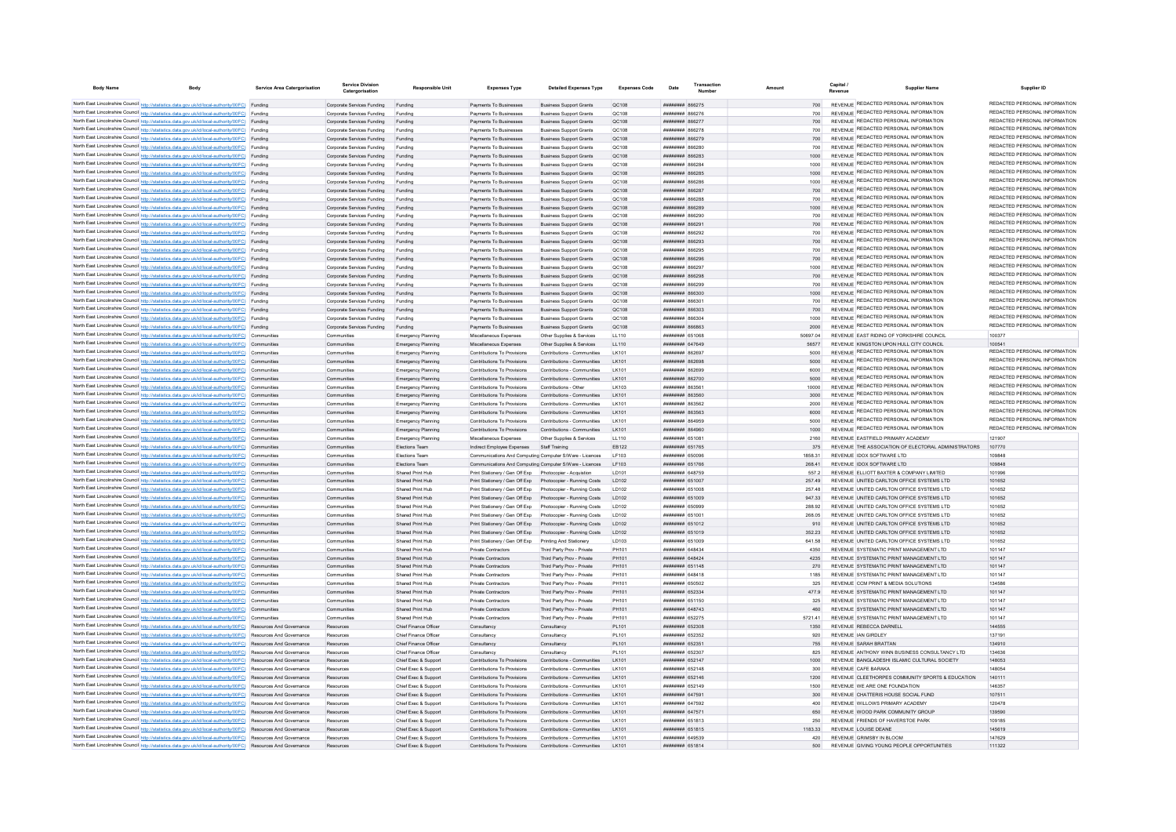| <b>Body Name</b> | Body                                                                                                            | <b>Service Area Catergorisation</b> | Catergorisation                    | <b>Responsible Unit</b>   | <b>Expenses Type</b>                                     | <b>Detailed Expenses Type</b>  | <b>Expenses Code</b> | Date                                | Amount   | Revenue | <b>Supplier Name</b>                                | Supplier ID                                                    |
|------------------|-----------------------------------------------------------------------------------------------------------------|-------------------------------------|------------------------------------|---------------------------|----------------------------------------------------------|--------------------------------|----------------------|-------------------------------------|----------|---------|-----------------------------------------------------|----------------------------------------------------------------|
|                  |                                                                                                                 |                                     |                                    |                           |                                                          |                                |                      |                                     |          |         |                                                     | REDACTED PERSONAL INFORMATION                                  |
|                  | North East Lincolnshire Council http://statistics.data.gov.uk/id/local-authority/00FC) Funding                  |                                     | Corporate Services Funding         | Funding                   | Payments To Businesses                                   | <b>Business Support Grants</b> | QC108                | ######## 866275                     |          |         | REVENUE REDACTED PERSONAL INFORMATION               | REDACTED PERSONAL INFORMATION                                  |
|                  | North East Lincolnshire Council http://statistics.data.gov.uk/id/local-authority/00FC) Funding                  |                                     | Corporate Services Funding         | Funding                   | Payments To Businesses                                   | <b>Business Support Grants</b> | QC108                | <b>HHHHHHH SGG276</b>               | 700      |         | REVENUE REDACTED PERSONAL INFORMATION               |                                                                |
|                  | North East Lincolnshire Council http://statistics.data.gov.uk/id/local-authority/00FC) Funding                  |                                     | Corporate Services Funding         | Funding                   | Payments To Businesses                                   | <b>Business Support Grants</b> | QC108                | <b>НИНИНИН 866277</b>               |          |         | REVENUE REDACTED PERSONAL INFORMATION               | REDACTED PERSONAL INFORMATION<br>REDACTED PERSONAL INFORMATION |
|                  | North East Lincolnshire Council http://statistics.data.gov.uk/id/local-authority/00FC) Funding                  |                                     | Corporate Services Funding         | Funding                   | Payments To Businesses                                   | <b>Business Support Grants</b> | OC108                | <b>пппппппп</b> 866278              | 700      |         | REVENUE REDACTED PERSONAL INFORMATION               | REDACTED PERSONAL INFORMATION                                  |
|                  | North East Lincolnshire Council http://statistics.data.gov.uk/id/local-authority/00FC) Funding                  |                                     | Corporate Services Funding         | Funding                   | Payments To Businesses                                   | <b>Business Support Grants</b> | QC108                | ######## 866279                     | 700      |         | REVENUE REDACTED PERSONAL INFORMATION               | REDACTED PERSONAL INFORMATION                                  |
|                  | North East Lincolnshire Council http://statistics.data.gov.uk/id/local-authority/00FC) Funding                  |                                     | Corporate Services Funding         | Funding                   | Payments To Businesses                                   | <b>Business Support Grants</b> | QC108                | ######## 866280                     | 700      |         | REVENUE REDACTED PERSONAL INFORMATION               | REDACTED PERSONAL INFORMATION                                  |
|                  | North East Lincolnshire Council http://statistics.data.gov.uk/id/local-authority/00FC) Funding                  |                                     | Corporate Services Funding         | Funding                   | Payments To Businesses                                   | <b>Business Support Grants</b> | QC108                | ######## 866283                     |          |         | REVENUE REDACTED PERSONAL INFORMATION               | REDACTED PERSONAL INFORMATION                                  |
|                  | North East Lincolnshire Council http://statistics.data.gov.uk/id/local-authority/00FC) Funding                  |                                     | Corporate Services Funding         | Funding                   | Payments To Businesses                                   | <b>Business Support Grants</b> | QC108                | ######## 866284                     | 1000     |         | REVENUE REDACTED PERSONAL INFORMATION               |                                                                |
|                  | North East Lincolnshire Council http://statistics.data.gov.uk/id/local-authority/00FC) Funding                  |                                     | Corporate Services Funding Funding |                           | Payments To Businesses                                   | <b>Business Support Grants</b> | QC108                | ######## 866285                     | 1000     |         | REVENUE REDACTED PERSONAL INFORMATION               | REDACTED PERSONAL INFORMATION                                  |
|                  | North East Lincolnshire Council http://statistics.data.gov.uk/id/local-authority/00FC) Funding                  |                                     | Corporate Services Funding         | Funding                   | Payments To Businesses                                   | <b>Business Support Grants</b> | QC108                | ######## 866286                     | 1000     |         | REVENUE REDACTED PERSONAL INFORMATION               | REDACTED PERSONAL INFORMATION                                  |
|                  | North East Lincolnshire Council http://statistics.data.gov.uk/id/local-authority/00FC) Funding                  |                                     | Corporate Services Funding         | Funding                   | Payments To Businesses                                   | <b>Business Support Grants</b> | OC108                | : 8688 инциници                     | 700      |         | REVENUE REDACTED PERSONAL INFORMATION               | REDACTED PERSONAL INFORMATION                                  |
|                  | North East Lincolnshire Council http://statistics.data.gov.uk/id/local-authority/00FC) Funding                  |                                     | Corporate Services Funding         | Funding                   | Payments To Businesses                                   | <b>Business Support Grants</b> | OC108                | зясаая <del>мминиц</del>            | 700      |         | REVENUE REDACTED PERSONAL INFORMATION               | REDACTED PERSONAL INFORMATION                                  |
|                  | North East Lincolnshire Council http://statistics.data.gov.uk/id/local-authority/00FC) Funding                  |                                     | Corporate Services Funding         | Funding                   | Payments To Businesses                                   | <b>Business Support Grants</b> | OC108                | иннинин васов                       | 1000     |         | REVENUE REDACTED PERSONAL INFORMATION               | REDACTED PERSONAL INFORMATION                                  |
|                  | North East Lincolnshire Council http://statistics.data.gov.uk/id/local-authority/00FC) Funding                  |                                     | Corporate Services Funding         | Funding                   | Payments To Businesses                                   | <b>Business Support Grants</b> | QC108                | 10038 HHHHHH                        |          |         | REVENUE REDACTED PERSONAL INFORMATION               | REDACTED PERSONAL INFORMATION                                  |
|                  | North East Lincolnshire Council http://statistics.data.gov.uk/id/local-authority/00FC) Funding                  |                                     | Corporate Services Funding         | Funding                   | Payments To Businesses                                   | <b>Business Support Grants</b> | OC108                | ######## 866291                     | 700      |         | REVENUE REDACTED PERSONAL INFORMATION               | REDACTED PERSONAL INFORMATION                                  |
|                  | North East Lincolnshire Council http://statistics.data.gov.uk/id/local-authority/00FC) Funding                  |                                     | Corporate Services Funding         |                           | Payments To Businesses                                   | <b>Business Support Grants</b> | QC108                | <b>THRHHHHH SAR202</b>              | 700      |         | REVENUE REDACTED PERSONAL INFORMATION               | REDACTED PERSONAL INFORMATION                                  |
|                  | North East Lincolnshire Council http://statistics.data.gov.uk/id/local-authority/00FC) Funding                  |                                     | Corporate Services Funding         | Funding                   | Payments To Businesses                                   | <b>Business Support Grants</b> | OC108                | <i><b>HHHHHHH 866293</b></i>        | 700      |         | REVENUE REDACTED PERSONAL INFORMATION               | REDACTED PERSONAL INFORMATION                                  |
|                  | North East Lincolnshire Council http://statistics.data.gov.uk/id/local-authority/00FC) Funding                  |                                     | Corporate Services Funding         | Funding                   | Payments To Businesses                                   | <b>Business Support Grants</b> | QC108                | <b>пппппппп</b> 866295              | 700      |         | REVENUE REDACTED PERSONAL INFORMATION               | REDACTED PERSONAL INFORMATION                                  |
|                  | North East Lincolnshire Council http://statistics.data.gov.uk/id/local-authority/00FC) Funding                  |                                     | Corporate Services Funding         | Funding                   | Payments To Businesses                                   | <b>Business Support Grants</b> | QC108                | <b>лининин</b> 866296               | 700      |         | REVENUE REDACTED PERSONAL INFORMATION               | REDACTED PERSONAL INFORMATION                                  |
|                  | North East Lincolnshire Council http://statistics.data.gov.uk/id/local-authority/00FC) Funding                  |                                     | Corporate Services Funding         | Funding                   | Payments To Businesses                                   | <b>Business Support Grants</b> | QC108                | ######## 866297                     | 1000     |         | REVENUE REDACTED PERSONAL INFORMATION               | REDACTED PERSONAL INFORMATION                                  |
|                  | North East Lincolnshire Council http://statistics.data.gov.uk/id/local-authority/00FC) Funding                  |                                     | Corporate Services Funding         | Funding                   | Payments To Businesses                                   | <b>Business Support Grants</b> | QC108                | ######## 866298                     | 700      |         | REVENUE REDACTED PERSONAL INFORMATION               | REDACTED PERSONAL INFORMATION                                  |
|                  | North East Lincolnshire Council http://statistics.data.gov.uk/id/local-authority/00FC) Funding                  |                                     | Corporate Services Funding         | Funding                   | Payments To Businesses                                   | <b>Business Support Grants</b> | QC108                | ######## 866299                     | 700      |         | REVENUE REDACTED PERSONAL INFORMATION               | REDACTED PERSONAL INFORMATION                                  |
|                  | North East Lincolnshire Council http://statistics.data.gov.uk/id/local-authority/00FC) Funding                  |                                     | Corporate Services Funding         | Funding                   | Payments To Businesses                                   | <b>Business Support Grants</b> | <b>QC108</b>         | посаза выввавая                     | 1000     |         | REVENUE REDACTED PERSONAL INFORMATION               | REDACTED PERSONAL INFORMATION                                  |
|                  | North East Lincolnshire Council http://statistics.data.gov.uk/id/local-authority/00FC) Funding                  |                                     | Corporate Services Funding         | Funding                   | Payments To Businesses                                   | <b>Business Support Grants</b> | QC108                | ######## 86630                      | 700      |         | REVENUE REDACTED PERSONAL INFORMATION               | REDACTED PERSONAL INFORMATION                                  |
|                  | North East Lincolnshire Council http://statistics.data.gov.uk/id/local-authority/00FC) Funding                  |                                     | Corporate Services Funding         | Funding                   | Payments To Businesses                                   | <b>Business Support Grants</b> | QC108                | ######## 866303                     | 700      |         | REVENUE REDACTED PERSONAL INFORMATION               | REDACTED PERSONAL INFORMATION                                  |
|                  | North East Lincolnshire Council http://statistics.data.gov.uk/id/local-authority/00FC) Funding                  |                                     | Corporate Services Funding         | Funding                   | Payments To Businesses                                   | <b>Business Support Grants</b> | QC108                | ####### 86630+                      | 1000     |         | REVENUE REDACTED PERSONAL INFORMATION               | REDACTED PERSONAL INFORMATION                                  |
|                  | North East Lincolnshire Council http://statistics.data.gov.uk/id/local-authority/00FC) Funding                  |                                     | Corporate Services Funding Funding |                           | Payments To Businesses                                   | <b>Business Support Grants</b> | QC108                | <b>пининин</b> 866863               | 2000     |         | REVENUE REDACTED PERSONAL INFORMATION               | REDACTED PERSONAL INFORMATION                                  |
|                  | North East Lincolnshire Council http://statistics.data.gov.uk/id/local-authority/00FC) Communitie               |                                     | Communitie                         | Emergency Planning        | Miscellaneous Expenses                                   | Other Supplies & Services      | LL110                | 851068 RHBHHHH                      | 50697.04 |         | REVENUE FAST RIDING OF YORKSHIRE COUNCIL            | 100377                                                         |
|                  | North East Lincolnshire Council http://statistics.data.gov.uk/id/local-authority/00FC) Communities              |                                     | Communities                        | <b>Emergency Planning</b> | Miscellaneous Expenses                                   | Other Sunnlies & Services      | 11110                | <b><i><u>HHHHHHH</u></i></b> 647649 | 56577    |         | REVENUE KINGSTON UPON HULL CITY COUNCIL             | 100541                                                         |
|                  | North East Lincolnshire Council http://statistics.data.gov.uk/id/local-authority/00FC) Communities              |                                     | Communities                        | Emergency Planning        | Contributions To Provisions                              | Contributions - Communities    | I K101               | пянинин возвол                      | 5000     |         | REVENUE REDACTED PERSONAL INFORMATION               | REDACTED PERSONAL INFORMATION                                  |
|                  | North East Lincolnshire Council http://statistics.data.gov.uk/id/local-authority/00FC) Communities              |                                     | Communities                        | Emergency Planning        | Contributions To Provisions                              | Contributions - Communities    | I K101               | <b>пппппппп</b> 862698              | 5000     |         | REVENUE REDACTED PERSONAL INFORMATION               | REDACTED PERSONAL INFORMATION                                  |
|                  | North East Lincolnshire Council http://statistics.data.gov.uk/id/local-authority/00FC) Communities              |                                     | Communities                        | Emergency Planning        | Contributions To Provisions                              | Contributions - Communities    | I K101               | <b>HUHHHHH</b> 862699               | 6000     |         | REVENUE REDACTED PERSONAL INFORMATION               | REDACTED PERSONAL INFORMATION                                  |
|                  | North East Lincolnshire Council http://statistics.data.gov.uk/id/local-authority/00FC) Communities              |                                     | Communities                        | <b>Emergency Planning</b> | Contributions To Provisions                              | Contributions - Communities    | LK101                | ######## 862700                     | 5000     |         | REVENUE REDACTED PERSONAL INFORMATION               | REDACTED PERSONAL INFORMATION                                  |
|                  | North East Lincolnshire Council http://statistics.data.gov.uk/id/local-authority/00FC) Communities              |                                     | Communities                        | Emergency Planning        | Contributions To Provisions                              | Contributions - Other          | LK103                | ######## 86356                      | 10000    |         | REVENUE REDACTED PERSONAL INFORMATION               | REDACTED PERSONAL INFORMATION                                  |
|                  | North East Lincolnshire Council http://statistics.data.gov.uk/id/local-authority/00FC) Communities              |                                     | Communities                        | <b>Emergency Planning</b> | Contributions To Provisions                              | Contributions - Communities    | LK101                | ######## 863560                     | 3000     |         | REVENUE REDACTED PERSONAL INFORMATION               | REDACTED PERSONAL INFORMATION                                  |
|                  | North East Lincolnshire Council http://statistics.data.gov.uk/id/local-authority/00FC) Communities              |                                     | Communities                        | <b>Emergency Planning</b> | Contributions To Provisions                              | Contributions - Communities    | I K101               | <b>пипинни 863562</b>               | 2000     |         | REVENUE REDACTED PERSONAL INFORMATION               | REDACTED PERSONAL INFORMATION                                  |
|                  | North East Lincolnshire Council http://statistics.data.gov.uk/id/local-authority/00FC) Communities              |                                     | Communities                        | <b>Emergency Planning</b> | Contributions To Provisions                              | Contributions - Communities    | I K101               | <b>пппппппп</b> 863563              | 6000     |         | REVENUE REDACTED PERSONAL INFORMATION               | REDACTED PERSONAL INFORMATION                                  |
|                  | North East Lincolnshire Council http://statistics.data.gov.uk/id/local-authority/00FC) Communities              |                                     | Communities                        | Emergency Planning        | Contributions To Provisions                              | Contributions - Communities    | I K101               | <b>########</b> 864959              | 5000     |         | REVENUE REDACTED PERSONAL INFORMATION               | REDACTED PERSONAL INFORMATION                                  |
|                  | North East Lincolnshire Council http://statistics.data.gov.uk/id/local-authority/00FC) Communities              |                                     | Communities                        | <b>Emergency Planning</b> | Contributions To Provisions                              | Contributions - Communities    | LK101                | ######## 864960                     | 1000     |         | REVENUE REDACTED PERSONAL INFORMATION               | REDACTED PERSONAL INFORMATION                                  |
|                  | North East Lincolnshire Council http://statistics.data.gov.uk/id/local-authority/00FC) Communities              |                                     | Communities                        | <b>Emergency Planning</b> | Miscellaneous Expenses                                   | Other Supplies & Services      | LL110                | ####### 65108                       | 2160     |         | REVENUE EASTFIELD PRIMARY ACADEMY                   | 12190                                                          |
|                  | North East Lincolnshire Council http://statistics.data.gov.uk/id/local-authority/00FC) Communities              |                                     | Communities                        | Elections Team            | Indirect Employee Expenses                               | Staff Training                 | EB122                | ######## 651765                     | 375      |         | REVENUE THE ASSOCIATION OF ELECTORAL ADMINISTRATORS | 107770                                                         |
|                  | North East Lincolnshire Council http://statistics.data.gov.uk/id/local-authority/00FC) Communities              |                                     | Communities                        | Flections Team            | Communications And Computing Computer S/Mare - Licences  |                                | LE103                | <b>HERHHHHH</b> 650096              | 1858 31  |         | REVENUE IDOX SOFTWARE LTD                           | 109848                                                         |
|                  | North East Lincolnshire Council http://statistics.data.gov.uk/id/local-authority/00FC) Communities              |                                     | Communities                        | Flections Team            | Communications And Computing Computer S/Ware - Licences  |                                | <b>IF103</b>         | <b><i>HHHHHHH 651766</i></b>        | 268.41   |         | REVENUE IDOX SOFTWARE I TD                          | 109848                                                         |
|                  | North East Lincolnshire Council http://statistics.data.gov.uk/id/local-authority/00FC) Communities              |                                     | Communities                        | Shared Print Hub          | Print Stationery / Gen Off Exp. Photocopier - Acquistion |                                | ID101                | <b>HHHHHHH 648759</b>               | 5572     |         | REVENUE FLUOTT BAXTER & COMPANY LIMITED             | 101996                                                         |
|                  | North East Lincolnshire Council http://statistics.data.gov.uk/id/local-authority/00FC) Communities              |                                     | Communities                        | Shared Print Hub          | Print Stationery / Gen Off Exp                           | Photocopier - Running Costs    | <b>ID102</b>         | ######## 651007                     | 257.49   |         | REVENUE UNITED CARLTON OFFICE SYSTEMS LTD           | 101652                                                         |
|                  | North East Lincolnshire Council http://statistics.data.gov.uk/id/local-authority/00FC) Communities              |                                     | Communities                        | Shared Print Hub          | Print Stationery / Gen Off Exp                           | Photocopier - Running Costs    | <b>ID102</b>         | ######## 651008                     | 257 48   |         | REVENUE UNITED CARLTON OFFICE SYSTEMS LTD           | 101652                                                         |
|                  | North East Lincolnshire Council http://statistics.data.gov.uk/id/local-authority/00FC) Communities              |                                     | Communities                        | Shared Print Hub          | Print Stationery / Gen Off Exp                           | Photocopier - Running Costs    | LD102                | ######## 651009                     | 947.33   |         | REVENUE UNITED CARLTON OFFICE SYSTEMS LTD           | 101652                                                         |
|                  | North East Lincolnshire Council http://statistics.data.gov.uk/id/local-authority/00FC) Communities              |                                     | Communities                        | Shared Print Hub          | Print Stationery / Gen Off Exp                           | Photocopier - Running Costs    | LD102                | <b>HUHHHHH 650999</b>               | 288.92   |         | REVENUE UNITED CARLTON OFFICE SYSTEMS LTD           | 101652                                                         |
|                  | North East Lincolnshire Council http://statistics.data.gov.uk/id/local-authority/00FC) Communities              |                                     | Communities                        | Shared Print Hub          | Print Stationery / Gen Off Exn                           | Photocopier - Running Costs    | <b>ID102</b>         | ######## 651001                     | 268.05   |         | REVENUE UNITED CARLTON OFFICE SYSTEMS LTD           | 101652                                                         |
|                  | North East Lincolnshire Council http://statistics.data.gov.uk/id/local-authority/00FC) Communities              |                                     | Communities                        | Shared Print Hub          | Print Stationery / Gen Off Exp.                          | Photocopier - Running Costs    | <b>ID102</b>         | ######## 651012                     | 910      |         | REVENUE UNITED CARLTON OFFICE SYSTEMS LTD           | 101652                                                         |
|                  | North East Lincolnshire Council http://statistics.data.gov.uk/id/local-authority/00FC) Communities              |                                     | Communities                        | Shared Print Hub          | Print Stationery / Gen Off Exp                           | Photocopier - Running Costs    | <b>ID102</b>         | ######## 651019                     | 352 23   |         | REVENUE UNITED CARLTON OFFICE SYSTEMS LTD           | 101652                                                         |
|                  | North East Lincolnshire Council http://statistics.data.gov.uk/id/local-authority/00FC) Communities              |                                     | Communitie                         | Shared Print Hub          | Print Stationery / Gen Off Exp                           | Printing And Stationery        | LD103                | ######## 651009                     | 641.58   |         | REVENUE UNITED CARLTON OFFICE SYSTEMS LTD           | 101652                                                         |
|                  | North East Lincolnshire Council http://statistics.data.gov.uk/id/local-authority/00FC) Communities              |                                     | Communitie                         | Shared Print Hub          | Private Contractors                                      | Third Party Prov - Private     | PH101                | ######## 64843                      | 4350     |         | REVENUE SYSTEMATIC PRINT MANAGEMENT LTD             | 101147                                                         |
|                  | North East Lincolnshire Council http://statistics.data.gov.uk/id/local-authority/00FC) Communities              |                                     | Communitie                         | Shared Print Hub          | Private Contractors                                      | Third Party Prov - Private     | PH101                | ####### 648424                      | 4235     |         | REVENUE SYSTEMATIC PRINT MANAGEMENT LTD             | 101147                                                         |
|                  | North East Lincolnshire Council http://statistics.data.gov.uk/id/local-authority/00FC) Communities              |                                     | Communities                        | Shared Print Hub          | Private Contractors                                      | Third Party Prov - Private     | PH101                | <b><i>BRENHHHH</i></b> 651148       | 270      |         | REVENUE SYSTEMATIC PRINT MANAGEMENT LTD             | 101147                                                         |
|                  | North East Lincolnshire Council http://statistics.data.gov.uk/id/local-authority/00FC) Communities              |                                     | Communities                        | Shared Print Hub          | Private Contractors                                      | Third Party Prov - Private     | PH101                | <b>ПЕПЕННИН</b> 648418              | 1185     |         | REVENUE SYSTEMATIC PRINT MANAGEMENT I TD            | 101147                                                         |
|                  | North East Lincolnshire Council http://statistics.data.gov.uk/id/local-authority/00FC) Communities              |                                     | Communities                        | Shared Print Hub          | Private Contractors                                      | Third Party Prov - Private     | PH101                | ######## 650502                     | 325      |         | REVENUE CCM PRINT & MEDIA SOLUTIONS                 | 134586                                                         |
|                  | North East Lincolnshire Council http://statistics.data.gov.uk/id/local-authority/00FC) Communities              |                                     | Communities                        | Shared Print Hub          | Private Contractors                                      | Third Party Prov - Private     | PH101                | <b>пппппппп</b> 652334              | 4779     |         | REVENUE SYSTEMATIC PRINT MANAGEMENT I TD            | 101147                                                         |
|                  | North East Lincolnshire Council http://statistics.data.gov.uk/id/local-authority/00FC) Communities              |                                     | Communities                        | Shared Print Hub          | Private Contractors                                      | Third Party Prov - Private     | PH101                | ######## 651150                     | 325      |         | REVENUE SYSTEMATIC PRINT MANAGEMENT I TD            | 101147                                                         |
|                  | North East Lincolnshire Council http://statistics.data.gov.uk/id/local-authority/00FC) Communities              |                                     | Communities                        | Shared Print Hub          | Private Contractors                                      | Third Party Prov - Private     | PH101                | ######## 648743                     | 460      |         | REVENUE SYSTEMATIC PRINT MANAGEMENT LTD             | 101147                                                         |
|                  | North East Lincolnshire Council http://statistics.data.gov.uk/id/local-authority/00FC) Communities              |                                     | Communities                        | Shared Print Hub          | Private Contractors                                      | Third Party Prov - Private     | PH101                | <b>пппппппп</b> 652275              | 5721.41  |         | REVENUE SYSTEMATIC PRINT MANAGEMENT I TD            | 101147                                                         |
|                  | North East Lincolnshire Council http://statistics.data.gov.uk/id/local-authority/00FC) Resources And Governance |                                     | Resources                          | Chief Finance Office      | Consultancy                                              | Consultancy                    | PL101                | ######## 652308                     | 1350     |         | REVENUE REBECCA DARNELL                             | 144555                                                         |
|                  | North East Lincolnshire Council http://statistics.data.gov.uk/id/local-authority/00FC) Resources And Governance |                                     | Resources                          | Chief Finance Officer     | Consultancy                                              | Consultancy                    | PI 101               | ######## 652352                     | 920      |         | REVENUE JAN GIRDLEY                                 | 137191                                                         |
|                  | North East Lincolnshire Council http://statistics.data.gov.uk/id/local-authority/00FC) Resources And Governance |                                     | Resources                          | Chief Finance Officer     | Consultancy                                              | Consultancy                    | PI 101               | ######## 65235                      | 755      |         | REVENUE SARAH BRATTAN                               | 134910                                                         |
|                  | North East Lincolnshire Council http://statistics.data.gov.uk/id/local-authority/00FC) Resources And Governance |                                     | Resources                          | Chief Finance Officer     | Consultancy                                              | Consultancy                    | PI 101               | ######## 65230                      | 825      |         | REVENUE ANTHONY WINN BUSINESS CONSULTANCY LTD       | 134636                                                         |
|                  | North East Lincolnshire Council http://statistics.data.gov.uk/id/local-authority/00FC) Resources And Governance |                                     | Resources                          | Chief Exec & Support      | Contributions To Provisions                              | Contributions - Communities    | LK101                | ######## 652147                     | 1000     |         | REVENUE BANGLADESHI ISLAMIC CULTURAL SOCIETY        | 148053                                                         |
|                  | North East Lincolnshire Council http://statistics.data.gov.uk/id/local-authority/00FC) Resources And Governance |                                     | Resources                          | Chief Exec & Support      | Contributions To Provisions                              | Contributions - Communities    | LK101                | ######## 652148                     | 300      |         | REVENUE CAFE BARAKA                                 | 148054                                                         |
|                  | North East Lincolnshire Council http://statistics.data.gov.uk/id/local-authority/00FC) Resources And Governance |                                     | Resources                          | Chief Exec & Support      | Contributions To Provisions                              | Contributions - Communities    | LK101                | ######## 652146                     | 1200     |         | REVENUE CLEETHORPES COMMUNITY SPORTS & EDUCATION    | 140111                                                         |
|                  | North East Lincolnshire Council http://statistics.data.gov.uk/id/local-authority/00FC) Resources And Governance |                                     | Resources                          | Chief Exec & Support      | Contributions To Provisions                              | Contributions - Communities    | I K101               | <b>ПЕПИЛИН 652149</b>               | 1500     |         | REVENUE WE ARE ONE FOUNDATION                       | 146357                                                         |
|                  | North East Lincolnshire Council http://statistics.data.gov.uk/id/local-authority/00FC) Resources And Governance |                                     | Resources                          | Chief Exec & Support      | Contributions To Provisions                              | Contributions - Communities    | LK101                | ######## 647591                     | 300      |         | REVENUE CHATTERIS HOUSE SOCIAL FUND                 | 107511                                                         |
|                  | North East Lincolnshire Council http://statistics.data.gov.uk/id/local-authority/00FC) Resources And Governance |                                     |                                    | Chief Exec & Support      | Contributions To Provisions                              | Contributions - Communities    | LK101                | ######## 647592                     | 400      |         | REVENUE WILLOWS PRIMARY ACADEMY                     | 120478                                                         |
|                  |                                                                                                                 |                                     | Resources                          | Chief Exec & Support      | Contributions To Provisions                              |                                |                      | ######## 64757                      |          |         | REVENUE WOOD PARK COMMUNITY GROUP                   | 139590                                                         |
|                  | North East Lincolnshire Council http://statistics.data.gov.uk/id/local-authority/00FC) Resources And Governance |                                     | Resources                          |                           |                                                          | Contributions - Communities    | LK101                |                                     | 650      |         |                                                     | 109185                                                         |
|                  | North East Lincolnshire Council http://statistics.data.gov.uk/id/local-authority/00FC) Resources And Governance |                                     | Resources                          | Chief Exec & Support      | Contributions To Provisions                              | Contributions - Communities    | LK101                | ######## 651813                     | 250      |         | REVENUE FRIENDS OF HAVERSTOE PARK                   |                                                                |
|                  | North East Lincolnshire Council http://statistics.data.gov.uk/id/local-authority/00FC) Resources And Governance |                                     | Resources                          | Chief Exec & Support      | Contributions To Provisions                              | Contributions - Communities    |                      | ######## 651815                     | 1183.33  |         | REVENUE LOUISE DEANE                                | 145619                                                         |
|                  | North East Lincolnshire Council http://statistics.data.gov.uk/id/local-authority/00FC) Resources And Governance |                                     | Resources                          | Chief Exec & Support      | Contributions To Provisions                              | Contributions - Communities    | <b>LK101</b>         | BERGAN HHHHHHH                      | 420      |         | REVENUE GRIMSBY IN BLOOM                            | 147620                                                         |
|                  | North East Lincolnshire Council http://statistics.data.gov.uk/id/local-authority/00FC)                          | <b>Resources And Governance</b>     | Resources                          | Chief Exec & Sunnort      | Contributions To Provisions                              | Contributions - Communities    | I K101               | <b>HHHHHHHH</b> 651814              | 500      |         | REVENUE GIVING YOUNG PEOPLE OPPORTUNITIES           | 111322                                                         |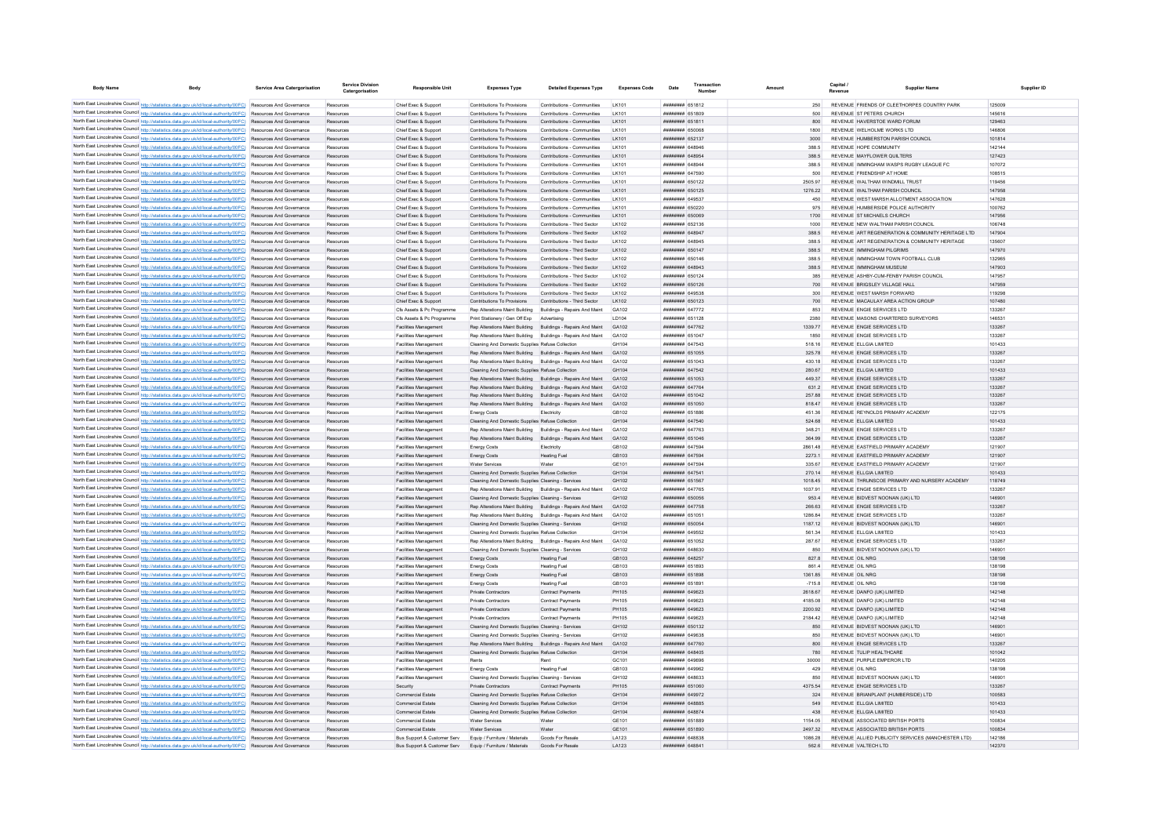| <b>Body Name</b>                            | Body                                                                                                                                                                                                                               | <b>Service Area Catergorisation</b>                  | Service Divisio<br>Catergorisation | <b>Responsible Unit</b>                               | <b>Expenses Type</b>                                                                                               | <b>Detailed Expenses Type</b>                                | <b>Expenses Code</b>         | Date                                                    | Amount             | Capital                                                               | <b>Supplier Name</b>                               | Supplier ID      |
|---------------------------------------------|------------------------------------------------------------------------------------------------------------------------------------------------------------------------------------------------------------------------------------|------------------------------------------------------|------------------------------------|-------------------------------------------------------|--------------------------------------------------------------------------------------------------------------------|--------------------------------------------------------------|------------------------------|---------------------------------------------------------|--------------------|-----------------------------------------------------------------------|----------------------------------------------------|------------------|
|                                             | North East Lincolnshire Council http://statistics.data.gov.uk/id/local-authority/00FC) Resources And Governance                                                                                                                    |                                                      | Resources                          | Chief Exec & Support                                  | Contributions To Provisions                                                                                        | Contributions - Communities                                  | LK101                        | <b>HHHHHHH 651812</b>                                   |                    | REVENUE FRIENDS OF CLEETHORPES COUNTRY PARK                           |                                                    | 125009           |
|                                             | North East Lincolnshire Council http://statistics.data.gov.uk/id/local-authority/00FC) Resources And Governance                                                                                                                    |                                                      | Resources                          | Chief Exec & Support                                  | Contributions To Provisions                                                                                        | Contributions - Communities                                  | I K101                       | <b>HHHHHHH</b> 651809                                   | 500                | REVENUE ST PETERS CHURCH                                              |                                                    | 145616           |
|                                             | North East Lincolnshire Council http://statistics.data.gov.uk/id/local-authority/00FC) Resources And Governance                                                                                                                    |                                                      | Resources                          | Chief Exec & Support                                  | Contributions To Provisions                                                                                        | Contributions - Communities                                  | LK101                        | <b>HHHHHHH</b> 651811                                   | nns                | REVENUE HAVERSTOF WARD FORUM                                          |                                                    | 129463           |
|                                             | North East Lincolnshire Council http://statistics.data.gov.uk/id/local-authority/00FC) Resources And Governance                                                                                                                    |                                                      | Resources                          | Chief Exec & Sunnort                                  | Contributions To Provisions                                                                                        | Contributions - Communities                                  | I K101                       | ######## 650068                                         | 1800               | REVENUE WELHOLME WORKS LTD                                            |                                                    | 146806           |
|                                             | North East Lincolnshire Council http://statistics.data.gov.uk/id/local-authority/00FC) Resources And Governance                                                                                                                    |                                                      | Resources                          | Chief Exec & Support                                  | Contributions To Provisions                                                                                        | Contributions - Communities                                  | LK101                        | ######## 652137                                         | 3000               | REVENUE HUMBERSTON PARISH COUNCIL                                     |                                                    | 101814           |
|                                             | North East Lincolnshire Council http://statistics.data.gov.uk/id/local-authority/00FC) Resources And Governance                                                                                                                    |                                                      | Resources                          | Chief Exec & Support                                  | Contributions To Provisions                                                                                        | Contributions - Communities                                  | LK101                        | ниннини 648946                                          | 388.5              | REVENUE HOPE COMMUNITY                                                |                                                    | 142144           |
|                                             | North East Lincolnshire Council http://statistics.data.gov.uk/id/local-authority/00FC) Resources And Governance                                                                                                                    |                                                      | Resources                          | Chief Exec & Support                                  | Contributions To Provisions                                                                                        | Contributions - Communities                                  | LK101                        | ######## 648954<br>пппппппп 648944                      | 388.5              | REVENUE MAYFLOWER QUILTERS                                            |                                                    | 127423           |
|                                             | North East Lincolnshire Council http://statistics.data.gov.uk/id/local-authority/00FC) Resources And Governance<br>North East Lincolnshire Council http://statistics.data.gov.uk/id/local-authority/00FC) Resources And Governance |                                                      | Resources                          | Chief Exec & Support                                  | Contributions To Provisions<br>Contributions To Provisions                                                         | Contributions - Communities                                  | LK101                        | ######## 647590                                         | 388.5              | REVENUE IMMINGHAM WASPS RUGBY LEAGUE FC<br>REVENUE FRIENDSHIP AT HOME |                                                    | 107072<br>108515 |
|                                             | North East Lincolnshire Council http://statistics.data.gov.uk/id/local-authority/00FC) Resources And Governance                                                                                                                    |                                                      | Resources<br>Resources             | Chief Exec & Support<br>Chief Exec & Sunnort          | Contributions To Provisions                                                                                        | Contributions - Communities<br>Contributions - Communities   | LK101<br>I K101              | ######## 650122                                         | 500<br>2505.97     | REVENUE WAI THAM WINDMILL TRUST                                       |                                                    | 119456           |
|                                             | North East Lincolnshire Council http://statistics.data.gov.uk/id/local-authority/00FC) Resources And Governance                                                                                                                    |                                                      | Resources                          | Chief Exec & Support                                  | Contributions To Provisions                                                                                        | Contributions - Communities                                  | I K101                       | ######## 650125                                         | 1276 22            | REVENUE WALTHAM PARISH COUNCIL                                        |                                                    | 147958           |
|                                             | North East Lincolnshire Council http://statistics.data.gov.uk/id/local-authority/00FC)                                                                                                                                             | Resources And Governance                             | Resources                          | Chief Exec & Support                                  | Contributions To Provisions                                                                                        | Contributions - Communities                                  |                              | ######## 649537                                         |                    | REVENUE WEST MARSH ALLOTMENT ASSOCIATION                              |                                                    | 147628           |
|                                             | North East Lincolnshire Council http://statistics.data.gov.uk/id/local-authority/00FC) Resources And Governance                                                                                                                    |                                                      | Resources                          | Chief Exec & Support                                  | Contributions To Provisions                                                                                        | Contributions - Communities                                  | LK101                        | ######## 650220                                         | 975                | REVENUE HUMBERSIDE POLICE AUTHORIT                                    |                                                    | 100762           |
|                                             | North East Lincolnshire Council http://statistics.data.gov.uk/id/local-authority/00FC) Resources And Governance                                                                                                                    |                                                      | Resources                          | Chief Exec & Support                                  | Contributions To Provisions                                                                                        | Contributions - Communities                                  | LK101                        | <b>########</b> 650069                                  | 1700               | REVENUE ST MICHAELS CHURCH                                            |                                                    | 147956           |
|                                             | North East Lincolnshire Council http://statistics.data.gov.uk/id/local-authority/00FC) Resources And Governance                                                                                                                    |                                                      | Resources                          | Chief Exec & Support                                  | Contributions To Provisions                                                                                        | Contributions - Third Sector                                 | I K102                       | <b>BREEZER 652136</b>                                   | 1000               | REVENUE NEW WAI THAM PARISH COUNCIL                                   |                                                    | 106748           |
|                                             | North East Lincolnshire Council http://statistics.data.gov.uk/id/local-authority/00FC) Resources And Governance                                                                                                                    |                                                      | Resources                          | Chief Exec & Support                                  | Contributions To Provisions                                                                                        | Contributions - Third Sector                                 | I K102                       | <b>BREAZER 648947</b>                                   | 388.5              |                                                                       | REVENUE ART REGENERATION & COMMUNITY HERITAGE LTD. | 147904           |
|                                             | North East Lincolnshire Council http://statistics.data.gov.uk/id/local-authority/00FC) Resources And Governance                                                                                                                    |                                                      | Resources                          | Chief Exec & Support                                  | Contributions To Provisions                                                                                        | Contributions - Third Sector                                 | LK102                        | ######## 648945                                         | 388.5              |                                                                       | REVENUE ART REGENERATION & COMMUNITY HERITAGE      | 135607           |
|                                             | North East Lincolnshire Council http://statistics.data.gov.uk/id/local-authority/00FC)<br>North East Lincolnshire Council http://statistics.data.gov.uk/id/local-authority/00FC) Resources And Governance                          | Resources And Governance                             | Resources<br>Resources             | Chief Exec & Support<br>Chief Exec & Support          | Contributions To Provisions<br>Contributions To Provisions                                                         | Contributions - Third Sector<br>Contributions - Third Sector | LK102<br>LK102               | ####### 650147<br>######## 650146                       | 388.5<br>388.5     | REVENUE IMMINGHAM PILGRIMS<br>REVENUE IMMINGHAM TOWN FOOTBALL CLUB    |                                                    | 147970<br>132965 |
|                                             | North East Lincolnshire Council http://statistics.data.gov.uk/id/local-authority/00FC) Resources And Governance                                                                                                                    |                                                      | Resources                          | Chief Exec & Support                                  | Contributions To Provisions                                                                                        | Contributions - Third Sector                                 | LK102                        | ######## 648943                                         | 388.5              | REVENUE IMMINGHAM MUSEUM                                              |                                                    | 147903           |
|                                             | North East Lincolnshire Council http://statistics.data.gov.uk/id/local-authority/00FC) Resources And Governance                                                                                                                    |                                                      | Resources                          | Chief Exec & Support                                  | Contributions To Provisions                                                                                        | Contributions - Third Sector                                 | I K102                       | <b>BREEZER 650124</b>                                   | 385                | REVENUE ASHRY-CUM-FENRY PARISH COUNCIL                                |                                                    | 147957           |
|                                             | North East Lincolnshire Council http://statistics.data.gov.uk/id/local-authority/00FC) Resources And Governance                                                                                                                    |                                                      | Resources                          | Chief Exec & Support                                  | Contributions To Provisions                                                                                        | Contributions - Third Sector                                 | LK102                        | ######## 650126                                         | 700                | REVENUE BRIGSLEY VILLAGE HALL                                         |                                                    | 147959           |
|                                             | North East Lincolnshire Council http://statistics.data.gov.uk/id/local-authority/00FC) Resources And Governance                                                                                                                    |                                                      | Resources                          | Chief Exec & Support                                  | Contributions To Provisions                                                                                        | Contributions - Third Sector                                 | LK102                        | ######## 649538                                         | 300                | REVENUE WEST MARSH FORWARD                                            |                                                    | 119298           |
|                                             | North East Lincolnshire Council http://statistics.data.gov.uk/id/local-authority/00FC)                                                                                                                                             | Resources And Governance                             | Resources                          | Chief Exec & Support                                  | Contributions To Provisions                                                                                        | Contributions - Third Sector                                 | LK102                        | ######## 650123                                         | 700                | REVENUE MACAULAY AREA ACTION GROUP                                    |                                                    | 107480           |
| North East Lincolnshire Council http://stat | lics.data.gov.uk/id/local-authority/00FC) Resources And Governance                                                                                                                                                                 |                                                      | Resources                          | Cfs Assets & Pc Programme                             | Rep Alterations Maint Building                                                                                     | Buildings - Repairs And Maint                                | GA102                        | ######## 647772                                         | 853                | REVENUE ENGIE SERVICES LTD                                            |                                                    | 133267           |
|                                             | North East Lincolnshire Council http://statistics.data.gov.uk/id/local-authority/00FC) Resources And Governance                                                                                                                    |                                                      | Resources                          | Cfs Assets & Pc Programm                              | Print Stationery / Gen Off Exp                                                                                     | Advertising                                                  | LD104                        | ######## 651128                                         | 2380               | REVENUE MASONS CHARTERED SURVEYORS                                    |                                                    | 146531           |
|                                             | North East Lincolnshire Council http://statistics.data.gov.uk/id/local-authority/00FC) Resources And Governance                                                                                                                    |                                                      | Resources                          | Facilities Management                                 | Rep Alterations Maint Building                                                                                     | Buildings - Repairs And Maint                                | 0.4102                       | <b><i>BRENHHHH 647762</i></b>                           | 1330.77            | REVENUE ENGIE SERVICES LTD                                            |                                                    | 133267           |
|                                             | North East Lincolnshire Council http://statistics.data.gov.uk/id/local-authority/00FC) Resources And Governance                                                                                                                    |                                                      | Resources                          | Facilities Management                                 | Rep Alterations Maint Building Buildings - Repairs And Maint                                                       |                                                              | 0.4102                       | <b>BRENHHHH</b> 651047                                  | 1850               | REVENUE ENGIE SERVICES LTD                                            |                                                    | 133267           |
|                                             | North East Lincolnshire Council http://statistics.data.gov.uk/id/local-authority/00FC) Resources And Governance<br>North East Lincolnshire Council http://statistics.data.gov.uk/id/local-authority/00FC) Resources And Governance |                                                      | Resources<br>Resources             | Facilities Management<br>Facilities Management        | Cleaning And Domestic Supplies Refuse Collection<br>Rep Alterations Maint Building Buildings - Repairs And Maint   |                                                              | GH104<br>GA102               | <b><i>BREERERH 647543</i></b><br>######## 651055        | 518 16<br>325 78   | REVENUE FLLGIA LIMITED<br>REVENUE ENGIE SERVICES LTD                  |                                                    | 101433<br>133267 |
|                                             | North East Lincolnshire Council http://statistics.data.gov.uk/id/local-authority/00FC) Resources And Governance                                                                                                                    |                                                      | Resources                          | Facilities Management                                 | Rep Alterations Maint Building Buildings - Repairs And Maint                                                       |                                                              | GA102                        | ######## 651043                                         | 430.18             | REVENUE ENGIE SERVICES LTD                                            |                                                    | 133267           |
|                                             | North East Lincolnshire Council http://statistics.data.gov.uk/id/local-authority/00FC) Resources And Governance                                                                                                                    |                                                      | Resources                          | Facilities Management                                 | Cleaning And Domestic Supplies Refuse Collection                                                                   |                                                              | GH104                        | ######## 647542                                         | 280.67             | REVENUE ELLGIA LIMITED                                                |                                                    | 101433           |
|                                             | North East Lincolnshire Council http://statistics.data.gov.uk/id/local-authority/00FC) Resources And Governance                                                                                                                    |                                                      | Resources                          | Facilities Management                                 | Rep Alterations Maint Building Buildings - Repairs And Maint                                                       |                                                              | GA102                        | ######## 651053                                         | 44937              | REVENUE ENGIE SERVICES LTD                                            |                                                    | 133267           |
|                                             | North East Lincolnshire Council http://statistics.data.gov.uk/id/local-authority/00FC) Resources And Governance                                                                                                                    |                                                      | Resources                          | Facilities Management                                 | Rep Alterations Maint Building Buildings - Repairs And Maint                                                       |                                                              | GA102                        | <b>HHHHHHHH</b> GA7764                                  | 6312               | REVENUE ENGIE SERVICES LTD                                            |                                                    | 133267           |
|                                             | North East Lincolnshire Council http://statistics.data.gov.uk/id/local-authority/00FC) Resources And Governance                                                                                                                    |                                                      | Resources                          | <b>Facilities Management</b>                          | Rep Alterations Maint Building Buildings - Repairs And Maint                                                       |                                                              | GA102                        | ######## 651042                                         | 25788              | REVENUE ENGIE SERVICES LTD                                            |                                                    | 133267           |
|                                             | North East Lincolnshire Council http://statistics.data.gov.uk/id/local-authority/00FC) Resources And Governance                                                                                                                    |                                                      | Resources                          | <b>Facilities Management</b>                          | Rep Alterations Maint Building Buildings - Repairs And Maint                                                       |                                                              | GA102                        | ######## 651050                                         | 818.47             | REVENUE ENGIE SERVICES LTD                                            |                                                    | 133267           |
|                                             | North East Lincolnshire Council http://statistics.data.gov.uk/id/local-authority/00FC) Resources And Governance                                                                                                                    |                                                      | Resources                          | <b>Facilities Management</b>                          | <b>Enemy Costs</b>                                                                                                 | Flectricity                                                  | GR102                        | ######## 651886                                         | 451.36             | REVENUE REYNOLDS PRIMARY ACADEMY                                      |                                                    | 122175           |
|                                             | North East Lincolnshire Council http://statistics.data.gov.uk/id/local-authority/00FC)                                                                                                                                             | Resources And Governance                             | Resources                          | <b>Facilities Management</b>                          | Cleaning And Domestic Supplies Refuse Collection                                                                   |                                                              | GH104                        | ######## 647540                                         | 524.68             | REVENUE ELLGIA LIMITED                                                |                                                    | 101433           |
|                                             | North East Lincolnshire Council http://statistics.data.gov.uk/id/local-authority/00FC) Resources And Governance<br>North East Lincolnshire Council http://statistics.data.gov.uk/id/local-authority/00FC) Resources And Governance |                                                      | Resources                          | Facilities Management                                 | Rep Alterations Maint Building Buildings - Repairs And Maint                                                       |                                                              | GA102<br>GA102               | <b>пппппппп</b> 647763<br><b>####### 651046</b>         | 348.21             | REVENUE ENGIE SERVICES LTD<br>REVENUE ENGIE SERVICES LTD              |                                                    | 133267<br>133267 |
|                                             | North East Lincolnshire Council http://statistics.data.gov.uk/id/local-authority/00FC) Resources And Governance                                                                                                                    |                                                      | Resources<br>Resources             | Facilities Management<br><b>Facilities Management</b> | Rep Alterations Maint Building Buildings - Repairs And Maint<br><b>Energy Costs</b>                                | Flectricity                                                  | GR102                        | <b><i>BREEZER 647594</i></b>                            | 364 99<br>2861 48  | REVENUE EASTEIELD PRIMARY ACADEMY                                     |                                                    | 121907           |
|                                             | North East Lincolnshire Council http://statistics.data.gov.uk/id/local-authority/00FC) Resources And Governance                                                                                                                    |                                                      | Resources                          | Facilities Management                                 | <b>Energy Costs</b>                                                                                                | <b>Heating Fuel</b>                                          | GB103                        | ######## 647594                                         | 2273.1             | REVENUE EASTFIELD PRIMARY ACADEMY                                     |                                                    | 121907           |
|                                             | North East Lincolnshire Council http://statistics.data.gov.uk/id/local-authority/00FC) Resources And Governance                                                                                                                    |                                                      | Resources                          | <b>Facilities Management</b>                          | <b>Water Services</b>                                                                                              | Water                                                        | GE101                        | <b>HUBHHHH 647594</b>                                   | 335.67             | REVENUE EASTEIELD PRIMARY ACADEMY                                     |                                                    | 121907           |
|                                             | North East Lincolnshire Council http://statistics.data.gov.uk/id/local-authority/00FC) Resources And Governance                                                                                                                    |                                                      | Resources                          | Facilities Management                                 | Cleaning And Domestic Supplies Refuse Collection                                                                   |                                                              | GH104                        | ######## 64754                                          | 270.14             | REVENUE ELLGIA LIMITED                                                |                                                    | 101433           |
|                                             | North East Lincolnshire Council http://statistics.data.gov.uk/id/local-authority/00FC) Resources And Governance                                                                                                                    |                                                      | Resources                          | <b>Facilities Management</b>                          | Cleaning And Domestic Supplies Cleaning - Services                                                                 |                                                              | GH102                        | ######## 651567                                         | 1018.45            |                                                                       | REVENUE THRUNSCOE PRIMARY AND NURSERY ACADEMY      | 118749           |
|                                             | North East Lincolnshire Council http://statistics.data.gov.uk/id/local-authority/00FC) Resources And Governance                                                                                                                    |                                                      | Resources                          | Facilities Management                                 | Rep Alterations Maint Building Buildings - Repairs And Maint                                                       |                                                              | GA102                        | ######## 647765                                         | 1037.91            | REVENUE ENGIE SERVICES LTD                                            |                                                    | 133267           |
|                                             | North East Lincolnshire Council http://statistics.data.gov.uk/id/local-authority/00FC) Resources And Governance                                                                                                                    |                                                      | Resources                          | <b>Facilities Management</b>                          | Cleaning And Domestic Supplies Cleaning - Services                                                                 |                                                              | GH102                        | ######## 650056                                         | 953.4              | REVENUE BIDVEST NOONAN (UK) I TD                                      |                                                    | 146901           |
|                                             | North East Lincolnshire Council http://statistics.data.gov.uk/id/local-authority/00FC) Resources And Governance                                                                                                                    |                                                      | Resources                          | Facilities Management                                 | Rep Alterations Maint Building Buildings - Repairs And Maint                                                       |                                                              | GA102                        | ######## 647758                                         | 266.63             | REVENUE ENGIE SERVICES LTD                                            |                                                    | 133267           |
|                                             | North East Lincolnshire Council http://statistics.data.gov.uk/id/local-authority/00FC)<br>North East Lincolnshire Council http://statistics.data.gov.uk/id/local-authority/00FC)                                                   | Resources And Governance<br>Resources And Governance | Resources<br>Resources             | Facilities Managemen<br>Facilities Management         | Rep Alterations Maint Building Buildings - Repairs And Maint<br>Cleaning And Domestic Supplies Cleaning - Services |                                                              | GA102<br>GH102               | ####### 65105<br>######## 650054                        | 1286.84<br>1187.12 | REVENUE ENGIE SERVICES LTD<br>REVENUE BIDVEST NOONAN (UK) LTD         |                                                    | 133267<br>146901 |
|                                             | North East Lincolnshire Council http://statistics.data.gov.uk/id/local-authority/00FC) Resources And Governance                                                                                                                    |                                                      | Resources                          | Facilities Management                                 | Cleaning And Domestic Supplies Refuse Collection                                                                   |                                                              | GH104                        | <b>HHHHHHH 649552</b>                                   | 561.34             | REVENUE ELLGIA LIMITED                                                |                                                    | 101433           |
|                                             | North East Lincolnshire Council http://statistics.data.gov.uk/id/local-authority/00FC) Resources And Governance                                                                                                                    |                                                      | Resources                          | Facilities Management                                 | Rep Alterations Maint Building Buildings - Repairs And Maint                                                       |                                                              | GA102                        | <b>BREEZER 651052</b>                                   | 287 67             | REVENUE ENGIE SERVICES LTD                                            |                                                    | 133267           |
|                                             | North East Lincolnshire Council http://statistics.data.gov.uk/id/local-authority/00FC) Resources And Governance                                                                                                                    |                                                      | Resources                          | Facilities Management                                 | Cleaning And Domestic Supplies Cleaning - Services                                                                 |                                                              | GH102                        | нининин 648630                                          | 850                | REVENUE BIDVEST NOONAN (UK) LTD                                       |                                                    | 146901           |
|                                             | North East Lincolnshire Council http://statistics.data.gov.uk/id/local-authority/00FC) Resources And Governance                                                                                                                    |                                                      | Resources                          | Facilities Management                                 | Energy Costs                                                                                                       | <b>Heating Fuel</b>                                          | GB103                        | ######## 648257                                         | 827.8              | REVENUE OIL NRG                                                       |                                                    | 138198           |
|                                             | North East Lincolnshire Council http://statistics.data.gov.uk/id/local-authority/00FC) Resources And Governance                                                                                                                    |                                                      | Resources                          | Facilities Management                                 | <b>Energy Costs</b>                                                                                                | <b>Heating Fuel</b>                                          | GB103                        | ######## 651893                                         | 861.4              | REVENUE OIL NRG                                                       |                                                    | 138198           |
|                                             | North East Lincolnshire Council http://statistics.data.gov.uk/id/local-authority/00FC) Resources And Governance                                                                                                                    |                                                      | Resources                          | Facilities Management                                 | <b>Energy Costs</b>                                                                                                | <b>Heating Fuel</b>                                          | GB103                        | ######## 651898                                         | 1361.85            | REVENUE OIL NRG                                                       |                                                    | 138198           |
|                                             | North East Lincolnshire Council http://statistics.data.gov.uk/id/local-authority/00FC) Resources And Governance                                                                                                                    |                                                      | Resources                          | Facilities Management                                 | <b>Energy Costs</b>                                                                                                | <b>Heating Fuel</b>                                          | GB103                        | ######## 651891                                         | $-715.8$           | REVENUE OIL NRG                                                       |                                                    | 138198           |
|                                             | North East Lincolnshire Council http://statistics.data.gov.uk/id/local-authority/00FC) Resources And Governance                                                                                                                    |                                                      | Resources                          | <b>Facilities Management</b>                          | Private Contractors                                                                                                | Contract Payments                                            | PH105                        | <b>ппининин</b> 649623                                  | 2618.67            | REVENUE DANFO (UK) LIMITED                                            |                                                    | 142148           |
|                                             | North East Lincolnshire Council http://statistics.data.gov.uk/id/local-authority/00FC) Resources And Governance<br>North East Lincolnshire Council http://statistics.data.gov.uk/id/local-authority/00FC) Resources And Governance |                                                      | Resources<br>Resources             | Facilities Management<br><b>Facilities Management</b> | Private Contractors<br><b>Private Contractors</b>                                                                  | Contract Payments<br>Contract Payments                       | <b>PH105</b><br><b>PH105</b> | <b>ппинини 649623</b><br>######## 649623                | 4185.08<br>2200.92 | REVENUE DANFO (UK) LIMITED<br>REVENUE DANFO (UK) LIMITED              |                                                    | 142148<br>142148 |
|                                             | North East Lincolnshire Council http://statistics.data.gov.uk/id/local-authority/00FC) Resources And Governance                                                                                                                    |                                                      | Resources                          | <b>Facilities Management</b>                          | Private Contractors                                                                                                | Contract Payments                                            | <b>PH105</b>                 | ######## 649623                                         | 2184.42            | REVENUE DANFO (UK) LIMITED                                            |                                                    | 142148           |
|                                             | North East Lincolnshire Council http://statistics.data.gov.uk/id/local-authority/00FC) Resources And Governance                                                                                                                    |                                                      | Resources                          | Facilities Management                                 | Cleaning And Domestic Supplies Cleaning - Services                                                                 |                                                              | GH102                        | ######## 650132                                         | 850                | REVENUE BIDVEST NOONAN (UK) LTD                                       |                                                    | 146901           |
|                                             | North East Lincolnshire Council http://statistics.data.gov.uk/id/local-authority/00FC) Resources And Governance                                                                                                                    |                                                      | Resources                          | Facilities Managemen                                  | Cleaning And Domestic Supplies Cleaning - Services                                                                 |                                                              | GH102                        | ######## 649638                                         | 850                | REVENUE BIDVEST NOONAN (UK) LTD                                       |                                                    | 14690            |
|                                             | North East Lincolnshire Council http://statistics.data.gov.uk/id/local-authority/00FC) Resources And Governance                                                                                                                    |                                                      | Resources                          | Facilities Management                                 | Rep Alterations Maint Building Buildings - Repairs And Maint                                                       |                                                              | GA102                        | <b>HHHHHHHH GA7760</b>                                  | 800                | REVENUE ENGIE SERVICES LTD                                            |                                                    | 133267           |
|                                             | North East Lincolnshire Council http://statistics.data.gov.uk/id/local-authority/00FC) Resources And Governance                                                                                                                    |                                                      | Resources                          | Facilities Management                                 | Cleaning And Domestic Supplies Refuse Collection                                                                   |                                                              | GH104                        | <b>HENHHHHH GARADS</b>                                  | 780                | REVENUE TULIP HEALTHCARE                                              |                                                    | 101042           |
|                                             | North East Lincolnshire Council http://statistics.data.gov.uk/id/local-authority/00FC) Resources And Governance                                                                                                                    |                                                      | Resources                          | Facilities Management                                 | Rents                                                                                                              | Rent                                                         | GC <sub>101</sub>            | <b>BREADERS</b> 649696                                  | 30000              | REVENUE PURPLE EMPEROR LTD                                            |                                                    | 140205           |
|                                             | North East Lincolnshire Council http://statistics.data.gov.uk/id/local-authority/00FC)                                                                                                                                             | Resources And Governance                             | Resources                          | Facilities Management                                 | Energy Costs                                                                                                       | <b>Heating Fuel</b>                                          | GR103                        | ######## 649962                                         | 429                | REVENUE OIL NRG                                                       |                                                    | 138198           |
|                                             | North East Lincolnshire Council http://statistics.data.gov.uk/id/local-authority/00FC) Resources And Governance                                                                                                                    |                                                      | Resources                          | <b>Facilities Management</b>                          | Cleaning And Domestic Supplies Cleaning - Services                                                                 |                                                              | GH102                        | ниннини 648633                                          | 850                | REVENUE BIDVEST NOONAN (UK) I TD                                      |                                                    | 146901           |
|                                             | North East Lincolnshire Council http://statistics.data.gov.uk/id/local-authority/00FC) Resources And Governance                                                                                                                    |                                                      | Resources                          | Security                                              | Private Contractors                                                                                                | Contract Payment                                             | <b>PH105</b>                 | ######## 651060<br><b><i><u>RHRHHHHH</u></i></b> 649972 | 4375.54<br>324     | REVENUE ENGIE SERVICES LTD                                            |                                                    | 133267<br>100583 |
|                                             | North East Lincolnshire Council http://statistics.data.gov.uk/id/local-authority/00FC) Resources And Governance<br>North East Lincolnshire Council http://statistics.data.gov.uk/id/local-authority/00FC) Resources And Governance |                                                      | Resources<br>Resources             | Commercial Estate<br>Commercial Estate                | Cleaning And Domestic Supplies Refuse Collection<br>Cleaning And Domestic Supplies Refuse Collection               |                                                              | GH104<br>GH104               | <b>HHHHHHHH</b> GARRRS                                  | 549                | REVENUE BRIANPLANT (HUMBERSIDE) LTD<br>REVENUE ELLGIA LIMITED         |                                                    | 101433           |
|                                             | North East Lincolnshire Council http://statistics.data.gov.uk/id/local-authority/00FC) Resources And Governance                                                                                                                    |                                                      | Resources                          | Commercial Estate                                     | Cleaning And Domestic Supplies Refuse Collection                                                                   |                                                              | GH104                        | <b>HHHHHHHH 648874</b>                                  | 438                | REVENUE ELLGIA LIMITED                                                |                                                    | 101433           |
|                                             | North East Lincolnshire Council http://statistics.data.gov.uk/id/local-authority/00FC) Resources And Governance                                                                                                                    |                                                      | Resources                          | Commercial Estate                                     | <b>Water Services</b>                                                                                              | Water                                                        | GF101                        | <b>HHHHHHH 651889</b>                                   | 1154.05            | REVENUE ASSOCIATED BRITISH PORTS                                      |                                                    | 100834           |
|                                             | North East Lincolnshire Council http://statistics.data.gov.uk/id/local-authority/00FC) Resources And Governance                                                                                                                    |                                                      | Resources                          | Commercial Estate                                     | <b>Water Services</b>                                                                                              | Water                                                        | GF101                        | ######## 651890                                         | 249732             | REVENUE ASSOCIATED BRITISH PORTS                                      |                                                    | 100834           |
|                                             | North East Lincolnshire Council http://statistics.data.gov.uk/id/local-authority/00FC) Resources And Governance                                                                                                                    |                                                      | Resources                          | Bus Support & Customer Serv                           | Equip / Furniture / Materials                                                                                      | Goods For Resale                                             | LA123                        | плинини баявзі                                          | 1086.28            |                                                                       | REVENUE ALLIED PUBLICITY SERVICES (MANCHESTER LTD) | 142186           |
|                                             | North East Lincolnshire Council http://statistics.data.gov.uk/id/local-authority/00FC) Resources And Governance                                                                                                                    |                                                      |                                    | Bus Support & Customer Serv                           | Equip / Furniture / Materials                                                                                      | Goods For Resale                                             | I A123                       | <b><i><u>HHHHHHHH</u></i></b> 648841                    | 562.6              | REVENUE VALTECH LTD                                                   |                                                    | 142370           |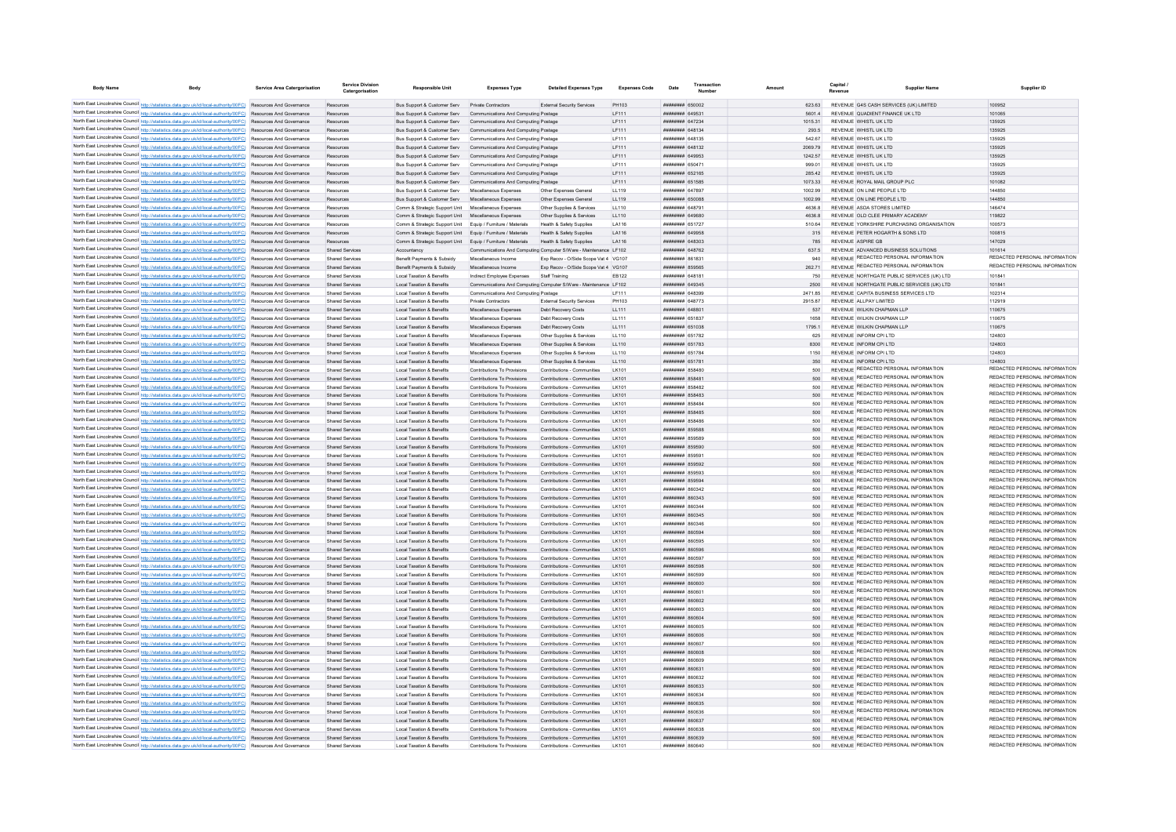| <b>Body Name</b> | <b>Body</b>                                                                                                                                                                                                                        | Service Area Catergorisation | <b>Service Division</b><br>Catergorisation       | <b>Responsible Unit</b>                                                                         | <b>Expenses Type</b>                                               | <b>Detailed Expenses Type</b>                                    | <b>Expenses Code</b> | Date                                           | Transaction<br>Numbe | Amount |                    | Capital<br>Revenue | <b>Supplier Name</b>                                                           | Supplier ID                                                    |
|------------------|------------------------------------------------------------------------------------------------------------------------------------------------------------------------------------------------------------------------------------|------------------------------|--------------------------------------------------|-------------------------------------------------------------------------------------------------|--------------------------------------------------------------------|------------------------------------------------------------------|----------------------|------------------------------------------------|----------------------|--------|--------------------|--------------------|--------------------------------------------------------------------------------|----------------------------------------------------------------|
|                  | North East Lincolnshire Council http://statistics.data.gov.uk/id/local-authority/00FC) Resources And Governance                                                                                                                    |                              | Resources                                        | Bus Support & Customer Serv Private Contractors                                                 |                                                                    | External Security Services                                       | PH103                | COOOS BERRHAM                                  |                      |        | <b>623.63</b>      |                    | REVENUE G4S CASH SERVICES (UK) LIMITED                                         | 100952                                                         |
|                  | North East Lincolnshire Council http://statistics.data.gov.uk/id/local-authority/00FC) Resources And Governance                                                                                                                    |                              | Resources                                        | Bus Support & Customer Serv                                                                     | Communications And Computing Postage                               |                                                                  | IF111                | ######## 649531                                |                      |        | 5601.4             |                    | REVENUE QUADIENT FINANCE UK LTD                                                | 101065                                                         |
|                  | North East Lincolnshire Council http://statistics.data.gov.uk/id/local-authority/00FC) Resources And Governance                                                                                                                    |                              | Resources                                        | <b>Bus Support &amp; Customer Serv Communications And Computing Postage</b>                     |                                                                    |                                                                  | IF111                | <b>ПЕНИНИН 647234</b>                          |                      |        | 1015 31            |                    | REVENUE WHISTLUK I TD                                                          | 135925                                                         |
|                  | North East Lincolnshire Council http://statistics.data.gov.uk/id/local-authority/00FC) Resources And Governance                                                                                                                    |                              | Resources                                        | Bus Support & Customer Serv Communications And Computing Postage                                |                                                                    |                                                                  | LF111                | ######## 648134                                |                      |        | 293.5              |                    | REVENUE WHISTL UK LTD                                                          | 135925                                                         |
|                  | North East Lincolnshire Council http://statistics.data.gov.uk/id/local-authority/00FC) Resources And Governance                                                                                                                    |                              | Resources                                        | Bus Support & Customer Serv                                                                     | Communications And Computing Postage                               |                                                                  | LF111                | ####### 648135                                 |                      |        | 542.67             |                    | REVENUE WHISTL UK LTD                                                          | 135925                                                         |
|                  | North East Lincolnshire Council http://statistics.data.gov.uk/id/local-authority/00FC) Resources And Governance                                                                                                                    |                              | Resources                                        |                                                                                                 | Bus Support & Customer Serv Communications And Computing Postage   |                                                                  | LF111                | ######## 648132                                |                      |        | 2069.79            |                    | REVENUE WHISTL UK LTD                                                          | 135925                                                         |
|                  | North East Lincolnshire Council http://statistics.data.gov.uk/id/local-authority/00FC) Resources And Governance                                                                                                                    |                              | Resources                                        |                                                                                                 | Bus Support & Customer Serv Communications And Computing Postage   |                                                                  | LF111                | ######## 649953                                |                      |        | 1242.57            |                    | REVENUE WHISTL UK LTD                                                          | 135925                                                         |
|                  | North East Lincolnshire Council http://statistics.data.gov.uk/id/local-authority/00FC) Resources And Governance                                                                                                                    |                              | Resources                                        | <b>Bus Support &amp; Customer Serv</b>                                                          | Communications And Computing Postage                               |                                                                  | LF111                | ппинини 65047                                  |                      |        | 999.01             |                    | REVENUE WHISTL UK LTD                                                          | 135925                                                         |
|                  | North East Lincolnshire Council http://statistics.data.gov.uk/id/local-authority/00FC) Resources And Governance                                                                                                                    |                              | Resources                                        |                                                                                                 | Bus Support & Customer Serv Communications And Computing Postage   |                                                                  | LF111                | <b>HHHHHHH 652165</b>                          |                      |        | 285.42             |                    | REVENUE WHISTLUK I TD                                                          | 135925                                                         |
|                  | North East Lincolnshire Council http://statistics.data.gov.uk/id/local-authority/00FC) Resources And Governance<br>North East Lincolnshire Council http://statistics.data.gov.uk/id/local-authority/00FC) Resources And Governance |                              | Resources                                        | Bus Support & Customer Serv Communications And Computing Postage<br>Bus Support & Customer Serv | Miscellaneous Expenses                                             | Other Expenses General                                           | LF111<br>LL119       | ######## 651585<br>####### 64789               |                      |        | 1073.33<br>1002.99 |                    | REVENUE ROYAL MAIL GROUP PLC<br>REVENUE ON LINE PEOPLE LTD                     | 101082<br>144850                                               |
|                  | North East Lincolnshire Council http://statistics.data.gov.uk/id/local-authority/00FC) Resources And Governance                                                                                                                    |                              | Resources                                        | Bus Support & Customer Serv                                                                     | Miscellaneous Expenses                                             | Other Expenses General                                           | LL119                | ######## 650088                                |                      |        | 1002.99            |                    | REVENUE ON LINE PEOPLE LTD                                                     | 144850                                                         |
|                  | North East Lincolnshire Council http://statistics.data.gov.uk/id/local-authority/00FC) Resources And Governance                                                                                                                    |                              | Resources                                        | Comm & Strategic Support Unit                                                                   | Miscellaneous Expenses                                             | Other Supplies & Services                                        | LL110                | ппинини 64879-                                 |                      |        | 4636.8             |                    | REVENUE ASDA STORES LIMITED                                                    | 146474                                                         |
|                  | North East Lincolnshire Council http://statistics.data.gov.uk/id/local-authority/00FC) Resources And Governance                                                                                                                    |                              | Resources                                        | Comm & Strategic Support Unit                                                                   | Miscellaneous Expenses                                             | Other Supplies & Services                                        | LL110                | HHHHHHH 649680                                 |                      |        | 46368              |                    | REVENUE OLD CLEE PRIMARY ACADEMY                                               | 119822                                                         |
|                  | North East Lincolnshire Council http://statistics.data.gov.uk/id/local-authority/00FC) Resources And Governance                                                                                                                    |                              | Resources                                        | Comm & Strategic Support Unit Equip / Furniture / Materials                                     |                                                                    | Health & Safety Supplies                                         | LA116                | ######## 651727                                |                      |        | 510.64             |                    | REVENUE YORKSHIRE PURCHASING ORGANISATION                                      | 100573                                                         |
|                  | North East Lincolnshire Council http://statistics.data.gov.uk/id/local-authority/00FC) Resources And Governance                                                                                                                    |                              | Resources                                        | Comm & Strategic Support Unit Equip / Furniture / Materials                                     |                                                                    | Health & Safety Supplies                                         | LA116                | ######## 649958                                |                      |        | 315                |                    | REVENUE PETER HOGARTH & SONS LTD                                               | 100815                                                         |
|                  | North East Lincolnshire Council http://statistics.data.gov.uk/id/local-authority/00FC) Resources And Governance                                                                                                                    |                              | Resources                                        | Comm & Strategic Support Unit                                                                   | Equip / Furniture / Materials                                      | Health & Safety Supplies                                         | LA116                | ######## 648303                                |                      |        | 785                |                    | REVENUE ASPIRE GB                                                              | 147029                                                         |
|                  | North East Lincolnshire Council http://statistics.data.gov.uk/id/local-authority/00FC) Resources And Governance                                                                                                                    |                              | <b>Shared Services</b>                           | Accountancy                                                                                     |                                                                    | Communications And Computing Computer S/Ware - Maintenance LF102 |                      | ######## 648762                                |                      |        | 637.5              |                    | REVENUE ADVANCED BUSINESS SOLUTIONS                                            | 101614                                                         |
|                  | North East Lincolnshire Council http://statistics.data.gov.uk/id/local-authority/00FC) Resources And Governance                                                                                                                    |                              | <b>Shared Services</b>                           | Benefit Payments & Subsidy                                                                      | Miscellaneous Income                                               | Exp Recov - O/Side Scope Vat 4 VG107                             |                      | ####### 86183                                  |                      |        | 940                |                    | REVENUE REDACTED PERSONAL INFORMATION                                          | REDACTED PERSONAL INFORMATION                                  |
|                  | North East Lincolnshire Council http://statistics.data.gov.uk/id/local-authority/00FC) Resources And Governance                                                                                                                    |                              | <b>Shared Services</b>                           | Benefit Payments & Subsidy                                                                      | Miscellaneous Income                                               | Exp Recov - O/Side Scope Vat 4 VG107                             |                      | ######## 859565                                |                      |        | 26271              |                    | REVENUE REDACTED PERSONAL INFORMATION                                          | REDACTED PERSONAL INFORMATION                                  |
|                  | North East Lincolnshire Council http://statistics.data.gov.uk/id/local-authority/00FC) Resources And Governance                                                                                                                    |                              | Shared Services                                  | Local Taxation & Benefits                                                                       | Indirect Employee Expenses                                         | Staff Training                                                   | FR122                | <b>HARBARA 64818</b>                           |                      |        | 750                |                    | REVENUE NORTHGATE PUBLIC SERVICES (UK) I TD                                    | 101841                                                         |
|                  | North East Lincolnshire Council http://statistics.data.gov.uk/id/local-authority/00FC) Resources And Governance                                                                                                                    |                              | Shared Services                                  | Local Taxation & Benefits                                                                       |                                                                    | Communications And Computing Computer S/Ware - Maintenance LE102 |                      | пппппппп 649345                                |                      |        | 2500               |                    | REVENUE NORTHGATE PUBLIC SERVICES (UK) LTD                                     | 10184                                                          |
|                  | North East Lincolnshire Council http://statistics.data.gov.uk/id/local-authority/00FC) Resources And Governance<br>North East Lincolnshire Council http://statistics.data.gov.uk/id/local-authority/00FC) Resources And Governance |                              | <b>Shared Services</b><br><b>Shared Servicer</b> | <b>Local Taxation &amp; Benefits</b><br><b>Local Taxation &amp; Benefits</b>                    | Communications And Computing Postage<br><b>Private Contractors</b> | <b>External Security Services</b>                                | IF111<br>PH103       | ппининин 648399<br>######## 648773             |                      |        | 247185<br>2915.87  |                    | REVENUE CAPITA BUSINESS SERVICES LTD<br>REVENUE ALLPAY LIMITED                 | 102314<br>112919                                               |
|                  | North East Lincolnshire Council http://statistics.data.gov.uk/id/local-authority/00FC) Resources And Governance                                                                                                                    |                              | <b>Shared Services</b>                           | <b>Local Taxation &amp; Benefits</b>                                                            | Miscellaneous Expenses                                             | Debt Recovery Costs                                              | LL111                | ######## 64880                                 |                      |        | 537                |                    | REVENUE WILKIN CHAPMAN LLP                                                     | 110675                                                         |
|                  | North East Lincolnshire Council http://statistics.data.gov.uk/id/local-authority/00FC) Resources And Governance                                                                                                                    |                              | Shared Services                                  | Local Taxation & Benefits                                                                       | Miscellaneous Expenses                                             | Debt Recovery Costs                                              | LL111                | <b><i>HHHHHHH 651837</i></b>                   |                      |        | 1658               |                    | REVENUE WILKIN CHAPMAN LLP                                                     | 110675                                                         |
|                  | North East Lincolnshire Council http://statistics.data.gov.uk/id/local-authority/00FC) Resources And Governance                                                                                                                    |                              | Shared Services                                  | Local Taxation & Benefits                                                                       | Miscellaneous Expenses                                             | Debt Recovery Costs                                              | LL111                | ######## 651038                                |                      |        | 1795 1             |                    | REVENUE WILKIN CHAPMAN LLP                                                     | 110675                                                         |
|                  | North East Lincolnshire Council http://statistics.data.gov.uk/id/local-authority/00FC) Resources And Governance                                                                                                                    |                              | Shared Services                                  | Local Taxation & Benefits                                                                       | Miscellaneous Expenses                                             | Other Sunnlies & Services                                        | 11110                | ######## 651782                                |                      |        | 625                |                    | REVENUE INFORM CPLLTD.                                                         | 124803                                                         |
|                  | North East Lincolnshire Council http://statistics.data.gov.uk/id/local-authority/00FC) Resources And Governance                                                                                                                    |                              | <b>Shared Services</b>                           | Local Taxation & Benefits                                                                       | Miscellaneous Expenses                                             | Other Supplies & Services                                        | LL110                | ######## 651783                                |                      |        | 8300               |                    | REVENUE INFORM CPI LTD                                                         | 124803                                                         |
|                  | North East Lincolnshire Council http://statistics.data.gov.uk/id/local-authority/00FC) Resources And Governance                                                                                                                    |                              | Shared Services                                  | <b>Local Taxation &amp; Benefits</b>                                                            | Miscellaneous Expenses                                             | Other Supplies & Services                                        | LL110                | ######## 651784                                |                      |        | 1150               |                    | REVENUE INFORM CPI LTD                                                         | 124803                                                         |
|                  | North East Lincolnshire Council http://statistics.data.gov.uk/id/local-authority/00FC) Resources And Governance                                                                                                                    |                              | Shared Services                                  | <b>Local Taxation &amp; Benefits</b>                                                            | Miscellaneous Expenses                                             | Other Supplies & Services                                        | LL110                | ######## 65178                                 |                      |        | 350                |                    | REVENUE INFORM CPI LTD                                                         | 124803                                                         |
|                  | North East Lincolnshire Council http://statistics.data.gov.uk/id/local-authority/00FC) Resources And Governance                                                                                                                    |                              | Shared Services                                  | <b>Local Taxation &amp; Benefits</b>                                                            | Contributions To Provisions                                        | Contributions - Communities                                      | LK101                | ######## 858480                                |                      |        | 500                |                    | REVENUE REDACTED PERSONAL INFORMATION                                          | REDACTED PERSONAL INFORMATION                                  |
|                  | North East Lincolnshire Council http://statistics.data.gov.uk/id/local-authority/00FC) Resources And Governance                                                                                                                    |                              | Shared Services                                  | Local Taxation & Benefits                                                                       | Contributions To Provisions                                        | Contributions - Communities                                      | I K101               | пппппппп 85848                                 |                      |        | 500                |                    | REVENUE REDACTED PERSONAL INFORMATION                                          | REDACTED PERSONAL INFORMATION                                  |
|                  | North East Lincolnshire Council http://statistics.data.gov.uk/id/local-authority/00FC) Resources And Governance                                                                                                                    |                              | Shared Services                                  | Local Taxation & Benefits                                                                       | Contributions To Provisions                                        | Contributions - Communities                                      | I K101               | <b>пппппппп</b> 858482                         |                      |        | 500                |                    | REVENUE REDACTED PERSONAL INFORMATION                                          | REDACTED PERSONAL INFORMATION                                  |
|                  | North East Lincolnshire Council http://statistics.data.gov.uk/id/local-authority/00FC) Resources And Governance                                                                                                                    |                              | <b>Shared Services</b>                           | <b>Local Taxation &amp; Benefits</b>                                                            | Contributions To Provisions                                        | Contributions - Communities                                      | I K101               | ######## 858483                                |                      |        | 500                |                    | REVENUE REDACTED PERSONAL INFORMATION<br>REVENUE REDACTED PERSONAL INFORMATION | REDACTED PERSONAL INFORMATION<br>REDACTED PERSONAL INFORMATION |
|                  | North East Lincolnshire Council http://statistics.data.gov.uk/id/local-authority/00FC) Resources And Governance                                                                                                                    |                              | <b>Shared Services</b>                           | <b>Local Taxation &amp; Benefits</b>                                                            | Contributions To Provisions                                        | Contributions - Communities                                      | <b>LK101</b>         | ####### 85848                                  |                      |        | 500                |                    | REVENUE REDACTED PERSONAL INFORMATION                                          | REDACTED PERSONAL INFORMATION                                  |
|                  | North East Lincolnshire Council http://statistics.data.gov.uk/id/local-authority/00FC) Resources And Governance                                                                                                                    |                              | <b>Shared Services</b>                           | <b>Local Taxation &amp; Benefits</b>                                                            | Contributions To Provisions                                        | Contributions - Communities                                      | LK101                | ######## 858485                                |                      |        | 500                |                    | REVENUE REDACTED PERSONAL INFORMATION                                          | REDACTED PERSONAL INFORMATION                                  |
|                  | North East Lincolnshire Council http://statistics.data.gov.uk/id/local-authority/00FC) Resources And Governance<br>North East Lincolnshire Council http://statistics.data.gov.uk/id/local-authority/00FC) Resources And Governance |                              | Shared Services<br><b>Shared Services</b>        | <b>Local Taxation &amp; Benefits</b><br>Local Taxation & Benefits                               | Contributions To Provisions<br>Contributions To Provisions         | Contributions - Communities<br>Contributions - Communities       | LK101<br>I K101      | <b>ПЕВЕЦИЕ 858486</b><br><b>HHHHHHH</b> 859588 |                      |        | 500                |                    | REVENUE REDACTED PERSONAL INFORMATION                                          | REDACTED PERSONAL INFORMATION                                  |
|                  | North East Lincolnshire Council http://statistics.data.gov.uk/id/local-authority/00FC) Resources And Governance                                                                                                                    |                              | <b>Shared Services</b>                           | <b>Local Taxation &amp; Benefits</b>                                                            | Contributions To Provisions                                        | Contributions - Communities                                      | I K101               | <b>HHHHHHH 859589</b>                          |                      |        | 500                |                    | REVENUE REDACTED PERSONAL INFORMATION                                          | REDACTED PERSONAL INFORMATION                                  |
|                  | North East Lincolnshire Council http://statistics.data.gov.uk/id/local-authority/00FC) Resources And Governance                                                                                                                    |                              | <b>Shared Services</b>                           | Local Taxation & Benefits                                                                       | Contributions To Provisions                                        | Contributions - Communities                                      | LK101                | ######## 859590                                |                      |        | 500                |                    | REVENUE REDACTED PERSONAL INFORMATION                                          | REDACTED PERSONAL INFORMATION                                  |
|                  | North East Lincolnshire Council http://statistics.data.gov.uk/id/local-authority/00FC) Resources And Governance                                                                                                                    |                              | Shared Services                                  | <b>Local Taxation &amp; Benefits</b>                                                            | Contributions To Provisions                                        | Contributions - Communities                                      | LK101                | ######## 85959                                 |                      |        | 500                |                    | REVENUE REDACTED PERSONAL INFORMATION                                          | REDACTED PERSONAL INFORMATION                                  |
|                  | North East Lincolnshire Council http://statistics.data.gov.uk/id/local-authority/00FC) Resources And Governance                                                                                                                    |                              | Shared Services                                  | Local Taxation & Benefits                                                                       | Contributions To Provisions                                        | Contributions - Communities                                      | LK101                | ######## 859592                                |                      |        | 500                |                    | REVENUE REDACTED PERSONAL INFORMATION                                          | REDACTED PERSONAL INFORMATION                                  |
|                  | North East Lincolnshire Council http://statistics.data.gov.uk/id/local-authority/00FC) Resources And Governance                                                                                                                    |                              | <b>Shared Services</b>                           | <b>Local Taxation &amp; Benefits</b>                                                            | Contributions To Provisions                                        | Contributions - Communities                                      | I K101               | ######## 859593                                |                      |        | 500                |                    | REVENUE REDACTED PERSONAL INFORMATION                                          | REDACTED PERSONAL INFORMATION                                  |
|                  | North East Lincolnshire Council http://statistics.data.gov.uk/id/local-authority/00FC) Resources And Governance                                                                                                                    |                              | <b>Shared Services</b>                           | Local Taxation & Benefits                                                                       | Contributions To Provisions                                        | Contributions - Communities                                      | I K101               | ######## 859594                                |                      |        | 500                |                    | REVENUE REDACTED PERSONAL INFORMATION                                          | REDACTED PERSONAL INFORMATION                                  |
|                  | North East Lincolnshire Council http://statistics.data.gov.uk/id/local-authority/00FC) Resources And Governance                                                                                                                    |                              | Shared Services                                  | <b>Local Taxation &amp; Benefits</b>                                                            | Contributions To Provisions                                        | Contributions - Communities                                      | I K101               | <b>пппппппп</b> 860342                         |                      |        | 500                |                    | REVENUE REDACTED PERSONAL INFORMATION                                          | REDACTED PERSONAL INFORMATION                                  |
|                  | North East Lincolnshire Council http://statistics.data.gov.uk/id/local-authority/00FC) Resources And Governance                                                                                                                    |                              | Shared Services                                  | Local Taxation & Benefits                                                                       | Contributions To Provisions                                        | Contributions - Communities                                      | I K101               | <b>HHHHHHH 860343</b>                          |                      |        | 500                |                    | REVENUE REDACTED PERSONAL INFORMATION                                          | REDACTED PERSONAL INFORMATION                                  |
|                  | North East Lincolnshire Council http://statistics.data.gov.uk/id/local-authority/00FC) Resources And Governance                                                                                                                    |                              | Shared Services                                  | Local Taxation & Benefits                                                                       | Contributions To Provisions                                        | Contributions - Communities                                      | I K101               | 48038 BREEZE                                   |                      |        | 500                |                    | REVENUE REDACTED PERSONAL INFORMATION                                          | REDACTED PERSONAL INFORMATION<br>REDACTED PERSONAL INFORMATION |
|                  | North East Lincolnshire Council http://statistics.data.gov.uk/id/local-authority/00FC) Resources And Governance                                                                                                                    |                              | <b>Shared Services</b>                           | <b>Local Taxation &amp; Benefits</b>                                                            | Contributions To Provisions                                        | Contributions - Communities                                      | I K101               | ######## 860345                                |                      |        | 500                |                    | REVENUE REDACTED PERSONAL INFORMATION<br>REVENUE REDACTED PERSONAL INFORMATION | REDACTED PERSONAL INFORMATION                                  |
|                  | North East Lincolnshire Council http://statistics.data.gov.uk/id/local-authority/00FC) Resources And Governance                                                                                                                    |                              | <b>Shared Servicer</b>                           | <b>Local Taxation &amp; Benefits</b>                                                            | Contributions To Provisions                                        | Contributions - Communities                                      | I K101               | <b>плинини всозае</b><br>HHHHHHH 860504        |                      |        | 500                |                    | REVENUE REDACTED PERSONAL INFORMATION                                          | REDACTED PERSONAL INFORMATION                                  |
|                  | North East Lincolnshire Council http://statistics.data.gov.uk/id/local-authority/00FC) Resources And Governance<br>North East Lincolnshire Council http://statistics.data.gov.uk/id/local-authority/00FC) Resources And Governance |                              | <b>Shared Services</b><br>Shared Services        | <b>Local Taxation &amp; Benefits</b><br>Local Taxation & Benefits                               | Contributions To Provisions<br>Contributions To Provisions         | Contributions - Communities<br>Contributions - Communities       | I K101<br>I K101     | ######## 860595                                |                      |        | 500<br>500         |                    | REVENUE REDACTED PERSONAL INFORMATION                                          | REDACTED PERSONAL INFORMATION                                  |
|                  | North East Lincolnshire Council http://statistics.data.gov.uk/id/local-authority/00FC) Resources And Governance                                                                                                                    |                              | Shared Services                                  | Local Taxation & Benefits                                                                       | Contributions To Provisions                                        | Contributions - Communities                                      | I K101               | ######## 860596                                |                      |        | 500                |                    | REVENUE REDACTED PERSONAL INFORMATION                                          | REDACTED PERSONAL INFORMATION                                  |
|                  | North East Lincolnshire Council http://statistics.data.gov.uk/id/local-authority/00FC) Resources And Governance                                                                                                                    |                              | Shared Services                                  | <b>Local Taxation &amp; Benefits</b>                                                            | Contributions To Provisions                                        | Contributions - Communities                                      | I K101               | ######## 860593                                |                      |        | 500                |                    | REVENUE REDACTED PERSONAL INFORMATION                                          | REDACTED PERSONAL INFORMATION                                  |
|                  | North East Lincolnshire Council http://statistics.data.gov.uk/id/local-authority/00FC) Resources And Governance                                                                                                                    |                              | Shared Services                                  | <b>Local Taxation &amp; Benefits</b>                                                            | Contributions To Provisions                                        | Contributions - Communities                                      | LK101                | ######## 860598                                |                      |        | 500                |                    | REVENUE REDACTED PERSONAL INFORMATION                                          | REDACTED PERSONAL INFORMATION                                  |
|                  | North East Lincolnshire Council http://statistics.data.gov.uk/id/local-authority/00FC) Resources And Governance                                                                                                                    |                              | Shared Services                                  | <b>Local Taxation &amp; Benefits</b>                                                            | Contributions To Provisions                                        | Contributions - Communities                                      | LK101                | ######## 860599                                |                      |        | 500                |                    | REVENUE REDACTED PERSONAL INFORMATION                                          | REDACTED PERSONAL INFORMATION                                  |
|                  | North East Lincolnshire Council http://statistics.data.gov.uk/id/local-authority/00FC) Resources And Governance                                                                                                                    |                              | <b>Shared Services</b>                           | <b>Local Taxation &amp; Benefits</b>                                                            | Contributions To Provisions                                        | Contributions - Communities                                      | LK101                | ######## 860600                                |                      |        | 500                |                    | REVENUE REDACTED PERSONAL INFORMATION                                          | REDACTED PERSONAL INFORMATION                                  |
|                  | North East Lincolnshire Council http://statistics.data.gov.uk/id/local-authority/00FC) Resources And Governance                                                                                                                    |                              | Shared Services                                  | Local Taxation & Benefits                                                                       | Contributions To Provisions                                        | Contributions - Communities                                      | I K101               | nanamama sana                                  |                      |        | 500                |                    | REVENUE REDACTED PERSONAL INFORMATION                                          | REDACTED PERSONAL INFORMATION                                  |
|                  | North East Lincolnshire Council http://statistics.data.gov.uk/id/local-authority/00FC) Resources And Governance                                                                                                                    |                              | Shared Services                                  | Local Taxation & Benefits                                                                       | Contributions To Provisions                                        | Contributions - Communities                                      | I K101               | <b>пппппппп</b> 860602                         |                      |        | 500                |                    | REVENUE REDACTED PERSONAL INFORMATION                                          | REDACTED PERSONAL INFORMATION                                  |
|                  | North East Lincolnshire Council http://statistics.data.gov.uk/id/local-authority/00FC) Resources And Governance                                                                                                                    |                              | <b>Shared Services</b>                           | <b>Local Taxation &amp; Benefits</b>                                                            | Contributions To Provisions                                        | Contributions - Communities                                      | I K101               | ######## 860603                                |                      |        | 500                |                    | REVENUE REDACTED PERSONAL INFORMATION                                          | REDACTED PERSONAL INFORMATION                                  |
|                  | North East Lincolnshire Council http://statistics.data.gov.uk/id/local-authority/00FC) Resources And Governance                                                                                                                    |                              | <b>Shared Services</b>                           | <b>Local Taxation &amp; Benefits</b>                                                            | Contributions To Provisions                                        | Contributions - Communities                                      |                      | ####### 86060-                                 |                      |        | 500                |                    | REVENUE REDACTED PERSONAL INFORMATION                                          | REDACTED PERSONAL INFORMATION                                  |
|                  | North East Lincolnshire Council http://statistics.data.gov.uk/id/local-authority/00FC) Resources And Governance                                                                                                                    |                              | Shared Services                                  | <b>Local Taxation &amp; Benefits</b>                                                            | Contributions To Provisions                                        | Contributions - Communities                                      | <b>LK101</b>         | ######## 860605                                |                      |        | 500                |                    | REVENUE REDACTED PERSONAL INFORMATION<br>REVENUE REDACTED PERSONAL INFORMATION | REDACTED PERSONAL INFORMATION<br>REDACTED PERSONAL INFORMATION |
|                  | North East Lincolnshire Council http://statistics.data.gov.uk/id/local-authority/00FC) Resources And Governance                                                                                                                    |                              | <b>Shared Services</b>                           | <b>Local Taxation &amp; Benefits</b>                                                            | Contributions To Provisions                                        | Contributions - Communities                                      | LK101                | ######## 860606                                |                      |        | 500                |                    | REVENUE REDACTED PERSONAL INFORMATION                                          | REDACTED PERSONAL INFORMATION                                  |
|                  | North East Lincolnshire Council http://statistics.data.gov.uk/id/local-authority/00FC) Resources And Governance<br>North East Lincolnshire Council http://statistics.data.gov.uk/id/local-authority/00FC) Resources And Governance |                              | Shared Services                                  | Local Taxation & Benefits                                                                       | Contributions To Provisions                                        | Contributions - Communities                                      | I K101               | <b>плинини 860607</b>                          |                      |        | 500                |                    | REVENUE REDACTED PERSONAL INFORMATION                                          | REDACTED PERSONAL INFORMATION                                  |
|                  | North East Lincolnshire Council http://statistics.data.gov.uk/id/local-authority/00FC) Resources And Governance                                                                                                                    |                              | <b>Shared Services</b><br><b>Shared Services</b> | Local Taxation & Benefits<br>Local Taxation & Benefits                                          | Contributions To Provisions<br>Contributions To Provisions         | Contributions - Communities<br>Contributions - Communities       | I K101<br>I K101     | HHHHHHH 860608<br>######## 860609              |                      |        | 500<br>500         |                    | REVENUE REDACTED PERSONAL INFORMATION                                          | REDACTED PERSONAL INFORMATION                                  |
|                  | North East Lincolnshire Council http://statistics.data.gov.uk/id/local-authority/00FC) Resources And Governance                                                                                                                    |                              | Shared Services                                  | Local Taxation & Benefits                                                                       | Contributions To Provisions                                        | Contributions - Communities                                      | LK101                | ######## 86063                                 |                      |        | 500                |                    | REVENUE REDACTED PERSONAL INFORMATION                                          | REDACTED PERSONAL INFORMATION                                  |
|                  | North East Lincolnshire Council http://statistics.data.gov.uk/id/local-authority/00FC) Resources And Governance                                                                                                                    |                              | Shared Services                                  | Local Taxation & Benefits                                                                       | Contributions To Provisions                                        | Contributions - Communities                                      | LK101                | ######## 860632                                |                      |        | 500                |                    | REVENUE REDACTED PERSONAL INFORMATION                                          | REDACTED PERSONAL INFORMATION                                  |
|                  | North East Lincolnshire Council http://statistics.data.gov.uk/id/local-authority/00FC) Resources And Governance                                                                                                                    |                              | <b>Shared Services</b>                           | <b>Local Taxation &amp; Benefits</b>                                                            | Contributions To Provisions                                        | Contributions - Communities                                      | I K101               | ######## 860633                                |                      |        | 500                |                    | REVENUE REDACTED PERSONAL INFORMATION                                          | REDACTED PERSONAL INFORMATION                                  |
|                  | North East Lincolnshire Council http://statistics.data.gov.uk/id/local-authority/00FC) Resources And Governance                                                                                                                    |                              | Shared Services                                  | Local Taxation & Benefits                                                                       | Contributions To Provisions                                        | Contributions - Communities                                      | LK101                | вниннин ввовза                                 |                      |        | 500                |                    | REVENUE REDACTED PERSONAL INFORMATION                                          | REDACTED PERSONAL INFORMATION                                  |
|                  | North East Lincolnshire Council http://statistics.data.gov.uk/id/local-authority/00FC) Resources And Governance                                                                                                                    |                              | <b>Shared Services</b>                           | Local Taxation & Benefits                                                                       | Contributions To Provisions                                        | Contributions - Communities                                      | I K101               | ######## 860635                                |                      |        | 500                |                    | REVENUE REDACTED PERSONAL INFORMATION                                          | REDACTED PERSONAL INFORMATION                                  |
|                  | North East Lincolnshire Council http://statistics.data.gov.uk/id/local-authority/00FC) Resources And Governance                                                                                                                    |                              | Shared Services                                  | Local Taxation & Benefits                                                                       | Contributions To Provisions                                        | Contributions - Communities                                      | I K101               | 86008 MMHHAMAR                                 |                      |        | 500                |                    | REVENUE REDACTED PERSONAL INFORMATION                                          | REDACTED PERSONAL INFORMATION                                  |
|                  | North East Lincolnshire Council http://statistics.data.gov.uk/id/local-authority/00FC) Resources And Governance                                                                                                                    |                              | <b>Shared Services</b>                           | Local Taxation & Benefits                                                                       | Contributions To Provisions                                        | Contributions - Communities                                      | I K101               | тининни ввоез:                                 |                      |        | 500                |                    | REVENUE REDACTED PERSONAL INFORMATION                                          | REDACTED PERSONAL INFORMATION                                  |
|                  | North East Lincolnshire Council http://statistics.data.gov.uk/id/local-authority/00FC) Resources And Governance                                                                                                                    |                              | Shared Services                                  | <b>Local Taxation &amp; Benefits</b>                                                            | Contributions To Provisions                                        | Contributions - Communities                                      | I K101               | <b>иннинин</b> вбобзя                          |                      |        | 500                |                    | REVENUE REDACTED PERSONAL INFORMATION                                          | REDACTED PERSONAL INFORMATION                                  |
|                  | North East Lincolnshire Council http://statistics.data.gov.uk/id/local-authority/00FC) Resources And Governance                                                                                                                    |                              | <b>Shared Services</b>                           | <b>Local Taxation &amp; Benefits</b>                                                            | Contributions To Provisions                                        | Contributions - Communities                                      |                      | ######## 860639                                |                      |        | 500                |                    | REVENUE REDACTED PERSONAL INFORMATION                                          | REDACTED PERSONAL INFORMATION                                  |
|                  | North East Lincolnshire Council http://statistics.data.gov.uk/id/local-authority/00FC) Resources And Governance                                                                                                                    |                              | Shared Services                                  | Local Taxation & Benefits                                                                       | Contributions To Provisions                                        | Contributions - Communities                                      | LK101                | <b>BRENHHHH</b> BROSAD                         |                      |        | 500                |                    | REVENUE REDACTED PERSONAL INFORMATION                                          | REDACTED PERSONAL INFORMATION                                  |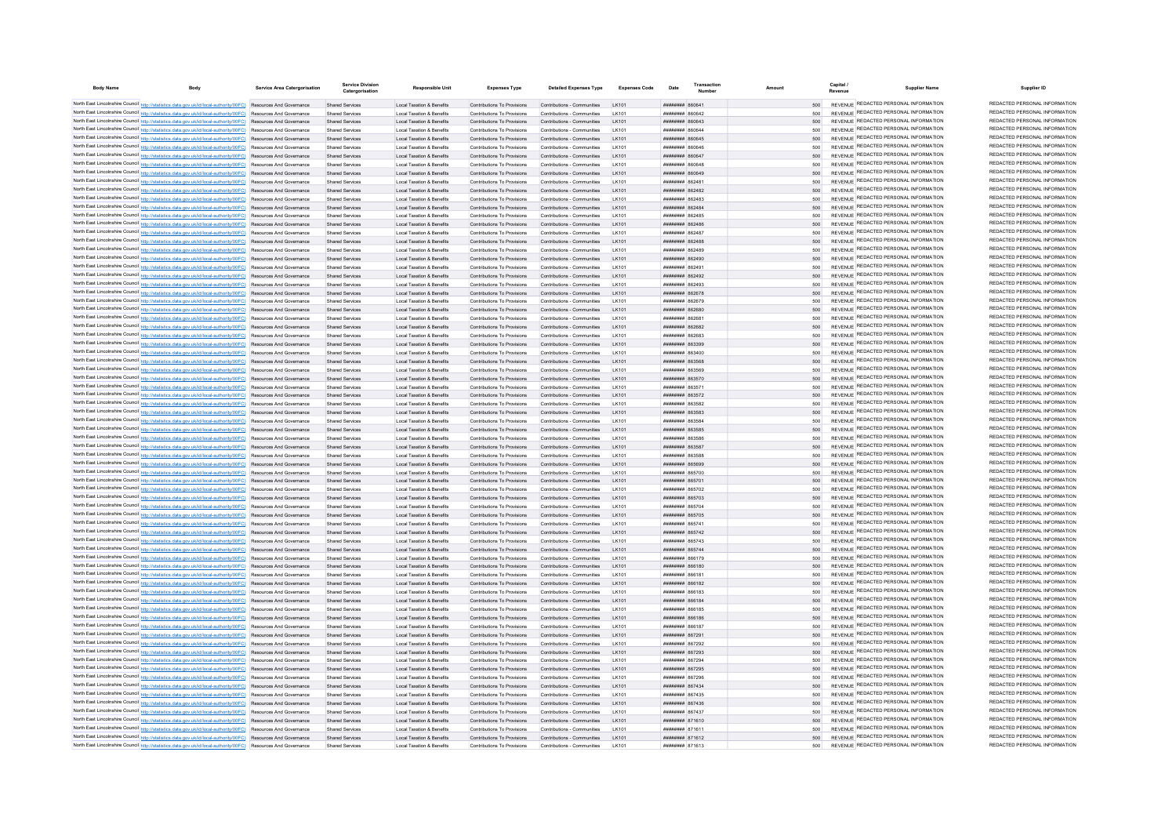| <b>Body Name</b><br><b>Body</b>                                                                                                                                                                                                    | Service Area Catergorisation | <b>Service Division</b><br>Catergorisation       | Responsible Unit                                                             | <b>Expenses Type</b>                                       | <b>Detailed Expenses Type</b>                              | Expenses Code        | Date                                                    | Transaction | Amount     | Capital | <b>Supplier Name</b>                                                                  | Supplier ID                                                    |
|------------------------------------------------------------------------------------------------------------------------------------------------------------------------------------------------------------------------------------|------------------------------|--------------------------------------------------|------------------------------------------------------------------------------|------------------------------------------------------------|------------------------------------------------------------|----------------------|---------------------------------------------------------|-------------|------------|---------|---------------------------------------------------------------------------------------|----------------------------------------------------------------|
| North East Lincolnshire Council http://statistics.data.gov.uk/id/local-authority/00FC) Resources And Governance                                                                                                                    |                              | Shared Services                                  | Local Taxation & Benefits                                                    | Contributions To Provisions                                | Contributions - Communities LK101                          |                      | ######## 860641                                         |             | 500        |         | REVENUE REDACTED PERSONAL INFORMATION                                                 | REDACTED PERSONAL INFORMATION                                  |
| North East Lincolnshire Council http://statistics.data.gov.uk/id/local-authority/00FC) Resources And Governance                                                                                                                    |                              | Shared Service                                   | <b>Local Taxation &amp; Benefits</b>                                         | Contributions To Provisions                                | Contributions - Communities                                | I K101               | <b>ПЕВЕЦИЯ</b> R60642                                   |             |            |         | REVENUE REDACTED PERSONAL INFORMATION                                                 | REDACTED PERSONAL INFORMATION                                  |
| North East Lincolnshire Council http://statistics.data.gov.uk/id/local-authority/00FC) Resources And Governance                                                                                                                    |                              | <b>Shared Services</b>                           | <b>Local Taxation &amp; Benefits</b>                                         | Contributions To Provisions                                | Contributions - Communities                                | I K101               | ####### 860643                                          |             |            |         | REVENUE REDACTED PERSONAL INFORMATION                                                 | REDACTED PERSONAL INFORMATION                                  |
| North East Lincolnshire Council http://statistics.data.gov.uk/id/local-authority/00FC) Resources And Governance                                                                                                                    |                              | Shared Services                                  | Local Taxation & Benefits                                                    | Contributions To Provisions                                | Contributions - Communities                                | $I$ K <sub>101</sub> | <b>BRENHHHH</b> BROSAA                                  |             | 500        |         | REVENUE REDACTED PERSONAL INFORMATION                                                 | REDACTED PERSONAL INFORMATION                                  |
| North East Lincolnshire Council http://statistics.data.gov.uk/id/local-authority/00FC) Resources And Governance                                                                                                                    |                              | Shared Services                                  | Local Taxation & Benefits                                                    | Contributions To Provisions                                | Contributions - Communities                                | <b>IK101</b>         | ######## 860645                                         |             | 500        |         | REVENUE REDACTED PERSONAL INFORMATION                                                 | REDACTED PERSONAL INFORMATION                                  |
| North East Lincolnshire Council http://statistics.data.gov.uk/id/local-authority/00FC) Resources And Governance                                                                                                                    |                              | Shared Services                                  | Local Taxation & Benefits                                                    | Contributions To Provisions                                | Contributions - Communities                                | <b>IK101</b>         | BAGGARDEN BROAD                                         |             | 500        |         | REVENUE REDACTED PERSONAL INFORMATION                                                 | REDACTED PERSONAL INFORMATION                                  |
| North East Lincolnshire Council http://statistics.data.gov.uk/id/local-authority/00FC) Resources And Governance                                                                                                                    |                              | <b>Shared Services</b>                           | Local Taxation & Benefits                                                    | Contributions To Provisions                                | Contributions - Communities                                | I K101               | ######## 860647                                         |             | 500        |         | REVENUE REDACTED PERSONAL INFORMATION                                                 | REDACTED PERSONAL INFORMATION                                  |
| North East Lincolnshire Council http://statistics.data.gov.uk/id/local-authority/00FC) Resources And Governance                                                                                                                    |                              | Shared Services                                  | <b>Local Taxation &amp; Benefits</b>                                         | Contributions To Provisions                                | Contributions - Communities                                | LK101                | ####### 860648                                          |             | 500        |         | REVENUE REDACTED PERSONAL INFORMATION                                                 | REDACTED PERSONAL INFORMATION                                  |
| North East Lincolnshire Council http://statistics.data.gov.uk/id/local-authority/00FC) Resources And Governance                                                                                                                    |                              | Shared Services                                  | <b>Local Taxation &amp; Benefits</b>                                         | Contributions To Provisions                                | Contributions - Communities                                | LK101                | ######## 860649                                         |             | 500        |         | REVENUE REDACTED PERSONAL INFORMATION                                                 | REDACTED PERSONAL INFORMATION                                  |
| North East Lincolnshire Council http://statistics.data.gov.uk/id/local-authority/00FC) Resources And Governance                                                                                                                    |                              | <b>Shared Services</b>                           | <b>Local Taxation &amp; Benefits</b>                                         | Contributions To Provisions                                | Contributions - Communities                                | I K101               | ######## 86248                                          |             | 500        |         | REVENUE REDACTED PERSONAL INFORMATION<br>REVENUE REDACTED PERSONAL INFORMATION        | REDACTED PERSONAL INFORMATION<br>REDACTED PERSONAL INFORMATION |
| North East Lincolnshire Council http://statistics.data.gov.uk/id/local-authority/00FC) Resources And Governance                                                                                                                    |                              | Shared Services                                  | Local Taxation & Benefits<br>Local Taxation & Benefits                       | Contributions To Provisions<br>Contributions To Provisions | Contributions - Communities                                | I K101<br>I K101     | <b>ПППННННН</b> 862482                                  |             | 500<br>500 |         | REVENUE REDACTED PERSONAL INFORMATION                                                 | REDACTED PERSONAL INFORMATION                                  |
| North East Lincolnshire Council http://statistics.data.gov.uk/id/local-authority/00FC) Resources And Governance                                                                                                                    |                              | Shared Services                                  | <b>Local Taxation &amp; Benefits</b>                                         | Contributions To Provisions                                | Contributions - Communities<br>Contributions - Communities | I K101               | ######## 862483<br>######## 862484                      |             | 500        |         | REVENUE REDACTED PERSONAL INFORMATION                                                 | REDACTED PERSONAL INFORMATION                                  |
| North East Lincolnshire Council http://statistics.data.gov.uk/id/local-authority/00FC) Resources And Governance<br>North East Lincolnshire Council http://statistics.data.gov.uk/id/local-authority/00FC) Resources And Governance |                              | Shared Services<br><b>Shared Services</b>        | <b>Local Taxation &amp; Benefits</b>                                         | Contributions To Provisions                                | Contributions - Communities                                | LK101                | ####### 862485                                          |             | 500        |         | REVENUE REDACTED PERSONAL INFORMATION                                                 | REDACTED PERSONAL INFORMATION                                  |
| North East Lincolnshire Council http://statistics.data.gov.uk/id/local-authority/00FC) Resources And Governance                                                                                                                    |                              | <b>Shared Services</b>                           | Local Taxation & Benefits                                                    | Contributions To Provisions                                | Contributions - Communities                                | I K101               | <b>пппппппп</b> 862486                                  |             | 500        |         | REVENUE REDACTED PERSONAL INFORMATION                                                 | REDACTED PERSONAL INFORMATION                                  |
| North East Lincolnshire Council http://statistics.data.gov.uk/id/local-authority/00FC) Resources And Governance                                                                                                                    |                              | Shared Services                                  | <b>Local Taxation &amp; Benefits</b>                                         | Contributions To Provisions                                | Contributions - Communities                                | I K101               | <b>пппппппп</b> 862487                                  |             | 500        |         | REVENUE REDACTED PERSONAL INFORMATION                                                 | REDACTED PERSONAL INFORMATION                                  |
| North East Lincolnshire Council http://statistics.data.gov.uk/id/local-authority/00FC) Resources And Governance                                                                                                                    |                              | Shared Services                                  | Local Taxation & Benefits                                                    | Contributions To Provisions                                | Contributions - Communities                                | I K101               | <b>ППИНИНИ RG2488</b>                                   |             | 500        |         | REVENUE REDACTED PERSONAL INFORMATION                                                 | REDACTED PERSONAL INFORMATION                                  |
| North East Lincolnshire Council http://statistics.data.gov.uk/id/local-authority/00FC) Resources And Governance                                                                                                                    |                              | Shared Services                                  | Local Taxation & Benefits                                                    | Contributions To Provisions                                | Contributions - Communities                                | I K101               | ######## 862489                                         |             | 500        |         | REVENUE REDACTED PERSONAL INFORMATION                                                 | REDACTED PERSONAL INFORMATION                                  |
| North East Lincolnshire Council http://statistics.data.gov.uk/id/local-authority/00FC) Resources And Governance                                                                                                                    |                              | Shared Services                                  | Local Taxation & Benefits                                                    | Contributions To Provisions                                | Contributions - Communities                                | I K101               | ######## 862490                                         |             | 500        |         | REVENUE REDACTED PERSONAL INFORMATION                                                 | REDACTED PERSONAL INFORMATION                                  |
| North East Lincolnshire Council http://statistics.data.gov.uk/id/local-authority/00FC) Resources And Governance                                                                                                                    |                              | Shared Services                                  | Local Taxation & Benefits                                                    | Contributions To Provisions                                | Contributions - Communities                                |                      | ######## 86249                                          |             | 500        |         | REVENUE REDACTED PERSONAL INFORMATION                                                 | REDACTED PERSONAL INFORMATION                                  |
| North East Lincolnshire Council http://statistics.data.gov.uk/id/local-authority/00FC) Resources And Governance                                                                                                                    |                              | <b>Shared Services</b>                           | Local Taxation & Benefits                                                    | Contributions To Provisions                                | Contributions - Communities                                | LK101                | ######## 862492                                         |             | 500        |         | REVENUE REDACTED PERSONAL INFORMATION                                                 | REDACTED PERSONAL INFORMATION                                  |
| North East Lincolnshire Council http://statistics.data.gov.uk/id/local-authority/00FC) Resources And Governance                                                                                                                    |                              | Shared Services                                  | <b>Local Taxation &amp; Benefits</b>                                         | Contributions To Provisions                                | Contributions - Communities                                | LK101                | ######## 862493                                         |             | 500        |         | REVENUE REDACTED PERSONAL INFORMATION                                                 | REDACTED PERSONAL INFORMATION                                  |
| North East Lincolnshire Council http://statistics.data.gov.uk/id/local-authority/00FC) Resources And Governance                                                                                                                    |                              | <b>Shared Services</b>                           | Local Taxation & Benefits                                                    | Contributions To Provisions                                | Contributions - Communities                                | I K101               | ######## 862678                                         |             | 500        |         | REVENUE REDACTED PERSONAL INFORMATION<br>REVENUE REDACTED PERSONAL INFORMATION        | REDACTED PERSONAL INFORMATION<br>REDACTED PERSONAL INFORMATION |
| North East Lincolnshire Council http://statistics.data.gov.uk/id/local-authority/00FC) Resources And Governance                                                                                                                    |                              | <b>Shared Services</b>                           | <b>Local Taxation &amp; Benefits</b>                                         | Contributions To Provisions                                | Contributions - Communities                                | I K101               | ######## 862679                                         |             | 500        |         | REVENUE REDACTED PERSONAL INFORMATION                                                 | REDACTED PERSONAL INFORMATION                                  |
| North East Lincolnshire Council http://statistics.data.gov.uk/id/local-authority/00FC) Resources And Governance                                                                                                                    |                              | Shared Services                                  | Local Taxation & Benefits                                                    | Contributions To Provisions                                | Contributions - Communities                                | I K101               | ######## 862680                                         |             | 500        |         | REVENUE REDACTED PERSONAL INFORMATION                                                 | REDACTED PERSONAL INFORMATION                                  |
| North East Lincolnshire Council http://statistics.data.gov.uk/id/local-authority/00FC) Resources And Governance<br>North East Lincolnshire Council http://statistics.data.gov.uk/id/local-authority/00FC) Resources And Governance |                              | <b>Shared Services</b><br><b>Shared Services</b> | <b>Local Taxation &amp; Benefits</b><br><b>Local Taxation &amp; Benefits</b> | Contributions To Provisions<br>Contributions To Provisions | Contributions - Communities<br>Contributions - Communities | LK101                | ####### 86268<br>######## 862682                        |             | 500<br>500 |         | REVENUE REDACTED PERSONAL INFORMATION                                                 | REDACTED PERSONAL INFORMATION                                  |
| North East Lincolnshire Council http://statistics.data.gov.uk/id/local-authority/00FC) Resources And Governance                                                                                                                    |                              | Shared Service                                   | <b>Local Taxation &amp; Benefits</b>                                         | Contributions To Provisions                                | Contributions - Communities                                | LK101                | ######## 862683                                         |             | 500        |         | REVENUE REDACTED PERSONAL INFORMATION                                                 | REDACTED PERSONAL INFORMATION                                  |
| North East Lincolnshire Council http://statistics.data.gov.uk/id/local-authority/00FC) Resources And Governance                                                                                                                    |                              | <b>Shared Services</b>                           | Local Taxation & Benefits                                                    | Contributions To Provisions                                | Contributions - Communities                                | LK101                | <b>MHHHHHH</b> 863300                                   |             | 500        |         | REVENUE REDACTED PERSONAL INFORMATION                                                 | REDACTED PERSONAL INFORMATION                                  |
| North East Lincolnshire Council http://statistics.data.gov.uk/id/local-authority/00FC) Resources And Governance                                                                                                                    |                              | Shared Services                                  | Local Taxation & Benefits                                                    | Contributions To Provisions                                | Contributions - Communities                                | I K101               | <b>HHHHHHH</b> 863400                                   |             | 500        |         | REVENUE REDACTED PERSONAL INFORMATION                                                 | REDACTED PERSONAL INFORMATION                                  |
| North East Lincolnshire Council http://statistics.data.gov.uk/id/local-authority/00FC) Resources And Governance                                                                                                                    |                              | Shared Services                                  | Local Taxation & Benefits                                                    | Contributions To Provisions                                | Contributions - Communities                                | LK101                | <b>######## 863568</b>                                  |             | 500        |         | REVENUE REDACTED PERSONAL INFORMATION                                                 | REDACTED PERSONAL INFORMATION                                  |
| North East Lincolnshire Council http://statistics.data.gov.uk/id/local-authority/00FC) Resources And Governance                                                                                                                    |                              | Shared Services                                  | Local Taxation & Benefits                                                    | Contributions To Provisions                                | Contributions - Communities                                | I K101               | <b>####### 863569</b>                                   |             | 500        |         | REVENUE REDACTED PERSONAL INFORMATION                                                 | REDACTED PERSONAL INFORMATION                                  |
| North East Lincolnshire Council http://statistics.data.gov.uk/id/local-authority/00FC) Resources And Governance                                                                                                                    |                              | Shared Services                                  | <b>Local Taxation &amp; Benefits</b>                                         | Contributions To Provisions                                | Contributions - Communities                                | I K101               | ######## 863570                                         |             | 500        |         | REVENUE REDACTED PERSONAL INFORMATION                                                 | REDACTED PERSONAL INFORMATION                                  |
| North East Lincolnshire Council http://statistics.data.gov.uk/id/local-authority/00FC) Resources And Governance                                                                                                                    |                              | Shared Services                                  | <b>Local Taxation &amp; Benefits</b>                                         | Contributions To Provisions                                | Contributions - Communities                                | I K101               | ######## 86357                                          |             | 500        |         | REVENUE REDACTED PERSONAL INFORMATION                                                 | REDACTED PERSONAL INFORMATION                                  |
| North East Lincolnshire Council http://statistics.data.gov.uk/id/local-authority/00FC) Resources And Governance                                                                                                                    |                              | Shared Services                                  | <b>Local Taxation &amp; Benefits</b>                                         | Contributions To Provisions                                | Contributions - Communities                                | I K101               | ######## 863572                                         |             | 500        |         | REVENUE REDACTED PERSONAL INFORMATION                                                 | REDACTED PERSONAL INFORMATION                                  |
| North East Lincolnshire Council http://statistics.data.gov.uk/id/local-authority/00FC) Resources And Governance                                                                                                                    |                              | Shared Services                                  | Local Taxation & Benefits                                                    | Contributions To Provisions                                | Contributions - Communities                                | I K101               | <b>пппппппп</b> 863582                                  |             | 500        |         | REVENUE REDACTED PERSONAL INFORMATION                                                 | REDACTED PERSONAL INFORMATION                                  |
| North East Lincolnshire Council http://statistics.data.gov.uk/id/local-authority/00FC) Resources And Governance                                                                                                                    |                              | Shared Services                                  | Local Taxation & Benefits                                                    | Contributions To Provisions                                | Contributions - Communities                                | LK101                | <b>######## 863583</b>                                  |             | 500        |         | REVENUE REDACTED PERSONAL INFORMATION                                                 | REDACTED PERSONAL INFORMATION                                  |
| North East Lincolnshire Council http://statistics.data.gov.uk/id/local-authority/00FC) Resources And Governance                                                                                                                    |                              | Shared Services                                  | Local Taxation & Benefits                                                    | Contributions To Provisions                                | Contributions - Communities                                | I K101               | ниннини 863584                                          |             | 500        |         | REVENUE REDACTED PERSONAL INFORMATION<br>REVENUE REDACTED PERSONAL INFORMATION        | REDACTED PERSONAL INFORMATION<br>REDACTED PERSONAL INFORMATION |
| North East Lincolnshire Council http://statistics.data.gov.uk/id/local-authority/00FC) Resources And Governance                                                                                                                    |                              | <b>Shared Services</b>                           | <b>Local Taxation &amp; Benefits</b>                                         | Contributions To Provisions                                | Contributions - Communities                                | I K101               | ######## 863585                                         |             | 500        |         | REVENUE REDACTED PERSONAL INFORMATION                                                 | REDACTED PERSONAL INFORMATION                                  |
| North East Lincolnshire Council http://statistics.data.gov.uk/id/local-authority/00FC) Resources And Governance<br>North East Lincolnshire Council http://statistics.data.gov.uk/id/local-authority/00FC) Resources And Governance |                              | <b>Shared Services</b>                           | <b>Local Taxation &amp; Benefits</b>                                         | Contributions To Provisions<br>Contributions To Provisions | Contributions - Communities                                | I K101<br>LK101      | <b>пппппппп</b> 863586<br><b><i>HHHHHHHH 863587</i></b> |             | 500        |         | REVENUE REDACTED PERSONAL INFORMATION                                                 | REDACTED PERSONAL INFORMATION                                  |
| North East Lincolnshire Council http://statistics.data.gov.uk/id/local-authority/00FC) Resources And Governance                                                                                                                    |                              | <b>Shared Services</b><br>Shared Services        | Local Taxation & Benefits<br>Local Taxation & Benefits                       | Contributions To Provisions                                | Contributions - Communities<br>Contributions - Communities | I K101               | <b>########</b> 863588                                  |             | 500<br>500 |         | REVENUE REDACTED PERSONAL INFORMATION                                                 | REDACTED PERSONAL INFORMATION                                  |
| North East Lincolnshire Council http://statistics.data.gov.uk/id/local-authority/00FC) Resources And Governance                                                                                                                    |                              | Shared Services                                  | Local Taxation & Benefits                                                    | Contributions To Provisions                                | Contributions - Communities                                | I K101               | HHHHHHH 865699                                          |             | 500        |         | REVENUE REDACTED PERSONAL INFORMATION                                                 | REDACTED PERSONAL INFORMATION                                  |
| North East Lincolnshire Council http://statistics.data.gov.uk/id/local-authority/00FC) Resources And Governance                                                                                                                    |                              | Shared Services                                  | Local Taxation & Benefits                                                    | Contributions To Provisions                                | Contributions - Communities                                | I K101               | <b>####### 865700</b>                                   |             | 500        |         | REVENUE REDACTED PERSONAL INFORMATION                                                 | REDACTED PERSONAL INFORMATION                                  |
| North East Lincolnshire Council http://statistics.data.gov.uk/id/local-authority/00FC) Resources And Governance                                                                                                                    |                              | Shared Services                                  | <b>Local Taxation &amp; Benefits</b>                                         | Contributions To Provisions                                | Contributions - Communities                                |                      | ######## 86570                                          |             |            |         | REVENUE REDACTED PERSONAL INFORMATION                                                 | REDACTED PERSONAL INFORMATION                                  |
| North East Lincolnshire Council http://statistics.data.gov.uk/id/local-authority/00FC) Resources And Governance                                                                                                                    |                              | Shared Services                                  | <b>Local Taxation &amp; Benefits</b>                                         | Contributions To Provisions                                | Contributions - Communities                                |                      | ######## 865702                                         |             | 500        |         | REVENUE REDACTED PERSONAL INFORMATION                                                 | REDACTED PERSONAL INFORMATION                                  |
| North East Lincolnshire Council http://statistics.data.gov.uk/id/local-authority/00FC) Resources And Governance                                                                                                                    |                              | <b>Shared Services</b>                           | Local Taxation & Benefits                                                    | Contributions To Provisions                                | Contributions - Communities                                | I K101               | ######## 865703                                         |             | 500        |         | REVENUE REDACTED PERSONAL INFORMATION                                                 | REDACTED PERSONAL INFORMATION                                  |
| North East Lincolnshire Council http://statistics.data.gov.uk/id/local-authority/00FC) Resources And Governance                                                                                                                    |                              | Shared Services                                  | Local Taxation & Benefits                                                    | Contributions To Provisions                                | Contributions - Communities                                | I K101               | ######## 865704                                         |             | 500        |         | REVENUE REDACTED PERSONAL INFORMATION                                                 | REDACTED PERSONAL INFORMATION                                  |
| North East Lincolnshire Council http://statistics.data.gov.uk/id/local-authority/00FC) Resources And Governance                                                                                                                    |                              | Shared Services                                  | Local Taxation & Benefits                                                    | Contributions To Provisions                                | Contributions - Communities                                | I K101               | ######## 865705                                         |             | 500        |         | REVENUE REDACTED PERSONAL INFORMATION                                                 | REDACTED PERSONAL INFORMATION                                  |
| North East Lincolnshire Council http://statistics.data.gov.uk/id/local-authority/00FC) Resources And Governance                                                                                                                    |                              | <b>Shared Services</b>                           | <b>Local Taxation &amp; Benefits</b>                                         | Contributions To Provisions                                | Contributions - Communities                                | I K101               | <b>пппппппп</b> 86574                                   |             | 500        |         | REVENUE REDACTED PERSONAL INFORMATION                                                 | REDACTED PERSONAL INFORMATION                                  |
| North East Lincolnshire Council http://statistics.data.gov.uk/id/local-authority/00FC) Resources And Governance                                                                                                                    |                              | Shared Services                                  | <b>Local Taxation &amp; Benefits</b>                                         | Contributions To Provisions                                | Contributions - Communities                                |                      | ####### 865742                                          |             | 500        |         | REVENUE REDACTED PERSONAL INFORMATION                                                 | REDACTED PERSONAL INFORMATION                                  |
| North East Lincolnshire Council http://statistics.data.gov.uk/id/local-authority/00FC) Resources And Governance                                                                                                                    |                              | <b>Shared Services</b>                           | <b>Local Taxation &amp; Benefits</b>                                         | Contributions To Provisions                                | Contributions - Communities                                | I K101               | <b>HHHHHHH 865743</b>                                   |             | 500        |         | <b>REVENUE REDACTED PERSONAL INFORMATION</b><br>REVENUE REDACTED PERSONAL INFORMATION | REDACTED PERSONAL INFORMATION<br>REDACTED PERSONAL INFORMATION |
| North East Lincolnshire Council http://statistics.data.gov.uk/id/local-authority/00FC) Resources And Governance                                                                                                                    |                              | <b>Shared Services</b>                           | <b>Local Taxation &amp; Benefits</b>                                         | Contributions To Provisions                                | Contributions - Communities                                | I K101               | <b>пппппппп</b> 865744                                  |             | 500        |         | REVENUE REDACTED PERSONAL INFORMATION                                                 | REDACTED PERSONAL INFORMATION                                  |
| North East Lincolnshire Council http://statistics.data.gov.uk/id/local-authority/00FC) Resources And Governance                                                                                                                    |                              | Shared Services                                  | Local Taxation & Benefits                                                    | Contributions To Provisions<br>Contributions To Provisions | Contributions - Communities<br>Contributions - Communities | I K101<br>I K101     | <b>BREEZER SHEERER</b><br>######## 866180               |             | 500<br>500 |         | REVENUE REDACTED PERSONAL INFORMATION                                                 | REDACTED PERSONAL INFORMATION                                  |
| North East Lincolnshire Council http://statistics.data.gov.uk/id/local-authority/00FC) Resources And Governance<br>North East Lincolnshire Council http://statistics.data.gov.uk/id/local-authority/00FC) Resources And Governance |                              | <b>Shared Services</b><br>Shared Services        | Local Taxation & Benefits<br>Local Taxation & Benefits                       | Contributions To Provisions                                | Contributions - Communities                                | I K101               | ######## 866181                                         |             | 500        |         | REVENUE REDACTED PERSONAL INFORMATION                                                 | REDACTED PERSONAL INFORMATION                                  |
| North East Lincolnshire Council http://statistics.data.gov.uk/id/local-authority/00FC) Resources And Governance                                                                                                                    |                              | Shared Services                                  | <b>Local Taxation &amp; Benefits</b>                                         | Contributions To Provisions                                | Contributions - Communities                                | LK101                | ######## 866182                                         |             | 500        |         | REVENUE REDACTED PERSONAL INFORMATION                                                 | REDACTED PERSONAL INFORMATION                                  |
| North East Lincolnshire Council http://statistics.data.gov.uk/id/local-authority/00FC) Resources And Governance                                                                                                                    |                              | <b>Shared Services</b>                           | <b>Local Taxation &amp; Benefits</b>                                         | Contributions To Provisions                                | Contributions - Communities                                | LK101                | ######## 866183                                         |             | 500        |         | REVENUE REDACTED PERSONAL INFORMATION                                                 | REDACTED PERSONAL INFORMATION                                  |
| North East Lincolnshire Council http://statistics.data.gov.uk/id/local-authority/00FC) Resources And Governance                                                                                                                    |                              | Shared Services                                  | <b>Local Taxation &amp; Benefits</b>                                         | Contributions To Provisions                                | Contributions - Communities                                | LK101                | ######## 866184                                         |             | 500        |         | REVENUE REDACTED PERSONAL INFORMATION                                                 | REDACTED PERSONAL INFORMATION                                  |
| North East Lincolnshire Council http://statistics.data.gov.uk/id/local-authority/00FC) Resources And Governance                                                                                                                    |                              | Shared Services                                  | Local Taxation & Benefits                                                    | Contributions To Provisions                                | Contributions - Communities                                | I K101               | ######## 866185                                         |             | 500        |         | REVENUE REDACTED PERSONAL INFORMATION                                                 | REDACTED PERSONAL INFORMATION                                  |
| North East Lincolnshire Council http://statistics.data.gov.uk/id/local-authority/00FC) Resources And Governance                                                                                                                    |                              | <b>Shared Services</b>                           | <b>Local Taxation &amp; Benefits</b>                                         | Contributions To Provisions                                | Contributions - Communities                                | I K101               | ######## 866186                                         |             | 500        |         | REVENUE REDACTED PERSONAL INFORMATION                                                 | REDACTED PERSONAL INFORMATION                                  |
| North East Lincolnshire Council http://statistics.data.gov.uk/id/local-authority/00FC) Resources And Governance                                                                                                                    |                              | Shared Services                                  | <b>Local Taxation &amp; Benefits</b>                                         | Contributions To Provisions                                | Contributions - Communities                                | I K101               | ######## 866187                                         |             | 500        |         | REVENUE REDACTED PERSONAL INFORMATION                                                 | REDACTED PERSONAL INFORMATION                                  |
| North East Lincolnshire Council http://statistics.data.gov.uk/id/local-authority/00FC) Resources And Governance                                                                                                                    |                              | Shared Services                                  | <b>Local Taxation &amp; Benefits</b>                                         | Contributions To Provisions                                | Contributions - Communities                                | LK101                | ######## 86729                                          |             | 500        |         | REVENUE REDACTED PERSONAL INFORMATION                                                 | REDACTED PERSONAL INFORMATION                                  |
| North East Lincolnshire Council http://statistics.data.gov.uk/id/local-authority/00FC) Resources And Governance                                                                                                                    |                              | <b>Shared Services</b>                           | <b>Local Taxation &amp; Benefits</b>                                         | Contributions To Provisions                                | Contributions - Communities                                | LK101                | ####### 867292                                          |             | 500        |         | REVENUE REDACTED PERSONAL INFORMATION                                                 | REDACTED PERSONAL INFORMATION                                  |
| North East Lincolnshire Council http://statistics.data.gov.uk/id/local-authority/00FC) Resources And Governance                                                                                                                    |                              | <b>Shared Services</b>                           | <b>Local Taxation &amp; Benefits</b>                                         | Contributions To Provisions                                | Contributions - Communities                                | LK101                | ######## 867293                                         |             | 500        |         | REVENUE REDACTED PERSONAL INFORMATION                                                 | REDACTED PERSONAL INFORMATION                                  |
| North East Lincolnshire Council http://statistics.data.gov.uk/id/local-authority/00FC) Resources And Governance                                                                                                                    |                              | Shared Services                                  | Local Tayation & Renefits                                                    | Contributions To Provisions                                | Contributions - Communities                                | LK101                | <b><i>BRENHHHH BR7204</i></b>                           |             | 500        |         | REVENUE REDACTED PERSONAL INFORMATION                                                 | REDACTED PERSONAL INFORMATION                                  |
| North East Lincolnshire Council http://statistics.data.gov.uk/id/local-authority/00FC) Resources And Governance                                                                                                                    |                              | Shared Services                                  | Local Taxation & Benefits                                                    | Contributions To Provisions                                | Contributions - Communities                                | I K101               | <b>######## 867295</b>                                  |             | 500        |         | REVENUE REDACTED PERSONAL INFORMATION<br>REVENUE REDACTED PERSONAL INFORMATION        | REDACTED PERSONAL INFORMATION<br>REDACTED PERSONAL INFORMATION |
| North East Lincolnshire Council http://statistics.data.gov.uk/id/local-authority/00FC) Resources And Governance                                                                                                                    |                              | Shared Services                                  | Local Taxation & Benefits                                                    | Contributions To Provisions                                | Contributions - Communities                                | LK101                | <b>######## 867296</b>                                  |             | 500        |         | REVENUE REDACTED PERSONAL INFORMATION                                                 | REDACTED PERSONAL INFORMATION                                  |
| North East Lincolnshire Council http://statistics.data.gov.uk/id/local-authority/00FC) Resources And Governance<br>North East Lincolnshire Council http://statistics.data.gov.uk/id/local-authority/00FC) Resources And Governance |                              | Shared Services<br><b>Shared Services</b>        | Local Taxation & Benefits<br><b>Local Taxation &amp; Benefits</b>            | Contributions To Provisions<br>Contributions To Provisions | Contributions - Communities<br>Contributions - Communities | I K101<br>I K101     | <b>пппппппп</b> 867434<br><b>HHHHHHH 867435</b>         |             | 500<br>500 |         | REVENUE REDACTED PERSONAL INFORMATION                                                 | REDACTED PERSONAL INFORMATION                                  |
| North East Lincolnshire Council http://statistics.data.gov.uk/id/local-authority/00FC) Resources And Governance                                                                                                                    |                              | Shared Services                                  | Local Taxation & Benefits                                                    | Contributions To Provisions                                | Contributions - Communities                                |                      | ######## 867436                                         |             | 500        |         | REVENUE REDACTED PERSONAL INFORMATION                                                 | REDACTED PERSONAL INFORMATION                                  |
| North East Lincolnshire Council http://statistics.data.gov.uk/id/local-authority/00FC) Resources And Governance                                                                                                                    |                              | Shared Services                                  | Local Taxation & Benefits                                                    | Contributions To Provisions                                | Contributions - Communities                                | LK101                | <b>пппппппп</b> 867437                                  |             | 500        |         | REVENUE REDACTED PERSONAL INFORMATION                                                 | REDACTED PERSONAL INFORMATION                                  |
| North East Lincolnshire Council http://statistics.data.gov.uk/id/local-authority/00FC) Resources And Governance                                                                                                                    |                              | Shared Services                                  | Local Taxation & Benefits                                                    | Contributions To Provisions                                | Contributions - Communities                                | I K101               | ######## 871610                                         |             | 500        |         | REVENUE REDACTED PERSONAL INFORMATION                                                 | REDACTED PERSONAL INFORMATION                                  |
| North East Lincolnshire Council http://statistics.data.gov.uk/id/local-authority/00FC) Resources And Governance                                                                                                                    |                              | Shared Services                                  | Local Taxation & Benefits                                                    | Contributions To Provisions                                | Contributions - Communities                                | LK101                | <b>HHHHHHH</b> 87161                                    |             | 500        |         | REVENUE REDACTED PERSONAL INFORMATION                                                 | REDACTED PERSONAL INFORMATION                                  |
| North East Lincolnshire Council http://statistics.data.gov.uk/id/local-authority/00FC) Resources And Governance                                                                                                                    |                              | Shared Services                                  | Local Taxation & Benefits                                                    | Contributions To Provisions                                | Contributions - Communities                                | I K101               | <b>ППИНИНИ 871612</b>                                   |             | 500        |         | REVENUE REDACTED PERSONAL INFORMATION                                                 | REDACTED PERSONAL INFORMATION                                  |
| North East Lincolnshire Council http://statistics.data.gov.uk/id/local-authority/00FC) Resources And Governance                                                                                                                    |                              |                                                  | Local Taxation & Benefits                                                    | Contributions To Provisions                                | Contributions - Communities                                |                      | ######## 871613                                         |             | 500        |         | REVENUE REDACTED PERSONAL INFORMATION                                                 | REDACTED PERSONAL INFORMATION                                  |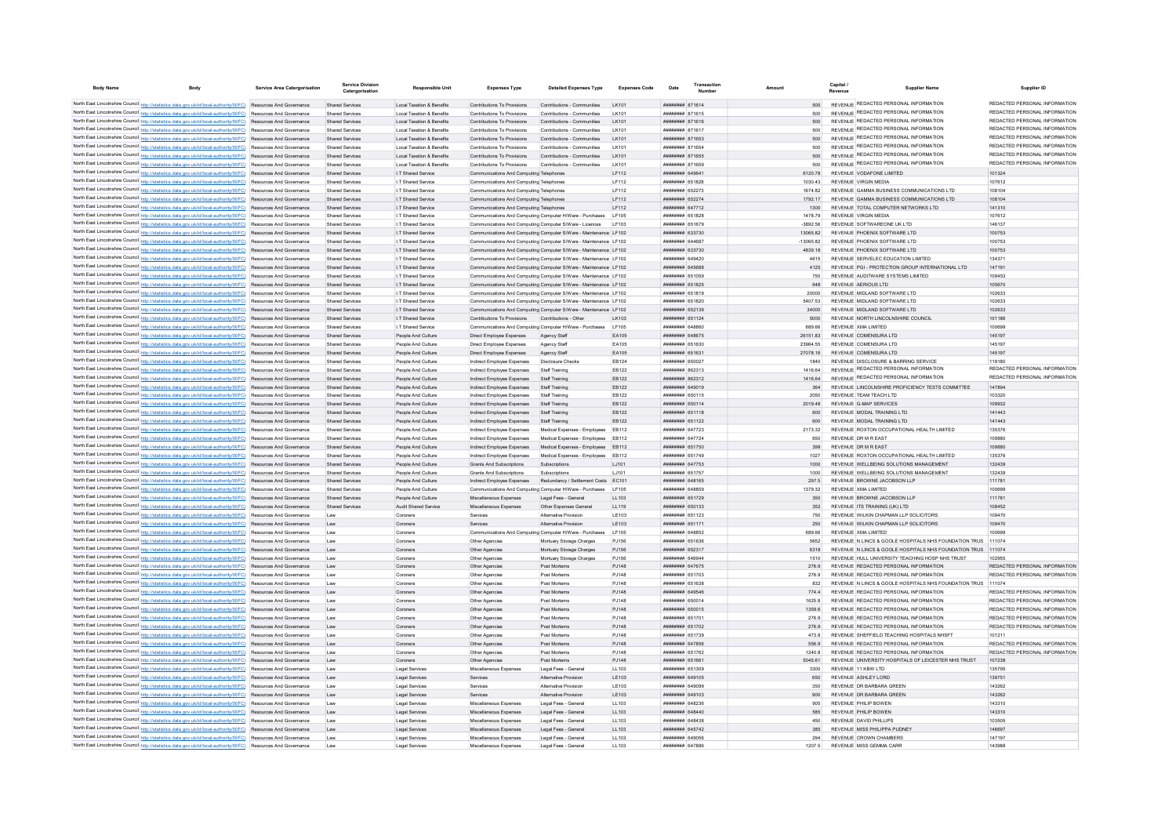| <b>Body Name</b> | <b>Body</b>                                                                                                                                                                                                                        | Service Area Catergorisation | <b>Service Division</b><br>Catergorisation | <b>Responsible Unit</b>                        | <b>Expenses Type</b>                                                               | <b>Detailed Expenses Type</b>                                                           | <b>Expenses Code</b> | Date                                             | Transaction<br>Numbe | Amount |                    | Capital<br><b>Revenu</b> | <b>Supplier Name</b>                                                                                            | Supplier ID                             |
|------------------|------------------------------------------------------------------------------------------------------------------------------------------------------------------------------------------------------------------------------------|------------------------------|--------------------------------------------|------------------------------------------------|------------------------------------------------------------------------------------|-----------------------------------------------------------------------------------------|----------------------|--------------------------------------------------|----------------------|--------|--------------------|--------------------------|-----------------------------------------------------------------------------------------------------------------|-----------------------------------------|
|                  | North East Lincolnshire Council http://statistics.data.gov.uk/id/local-authority/00FC) Resources And Governance                                                                                                                    |                              | Shared Services                            | Local Taxation & Benefits                      | Contributions To Provisions                                                        | Contributions - Communities                                                             | I K101               | ######## 871614                                  |                      |        | 500                |                          | REVENUE REDACTED PERSONAL INFORMATION                                                                           | REDACTED PERSONAL INFORMATION           |
|                  | North East Lincolnshire Council http://statistics.data.gov.uk/id/local-authority/00FC) Resources And Governance                                                                                                                    |                              | <b>Shared Services</b>                     | <b>Local Taxation &amp; Benefits</b>           | Contributions To Provisions                                                        | Contributions - Communities                                                             | I K101               | <b><i>BRENHHHH</i></b> 871615                    |                      |        |                    |                          | REVENUE REDACTED PERSONAL INFORMATION                                                                           | REDACTED PERSONAL INFORMATION           |
|                  | North East Lincolnshire Council http://statistics.data.gov.uk/id/local-authority/00FC) Resources And Governance                                                                                                                    |                              | <b>Shared Services</b>                     | <b>Local Taxation &amp; Benefits</b>           | Contributions To Provisions                                                        | Contributions - Communities                                                             | LK101                | ####### 871616                                   |                      |        |                    |                          | REVENUE REDACTED PERSONAL INFORMATION                                                                           | REDACTED PERSONAL INFORMATION           |
|                  | North East Lincolnshire Council http://statistics.data.gov.uk/id/local-authority/00FC) Resources And Governance                                                                                                                    |                              | Shared Services                            | Local Taxation & Benefits                      | Contributions To Provisions                                                        | Contributions - Communities                                                             | I K101               | <b>HHHHHHH</b> 871617                            |                      |        | 500                |                          | REVENUE REDACTED PERSONAL INFORMATION                                                                           | REDACTED PERSONAL INFORMATION           |
|                  | North East Lincolnshire Council http://statistics.data.gov.uk/id/local-authority/00FC) Resources And Governance                                                                                                                    |                              | Shared Services                            | Local Taxation & Benefits                      | Contributions To Provisions                                                        | Contributions - Communities                                                             | I K101               | <b><i>BRENHHHH</i></b> 871653                    |                      |        | 500                |                          | REVENUE REDACTED PERSONAL INFORMATION                                                                           | REDACTED PERSONAL INFORMATION           |
|                  | North East Lincolnshire Council http://statistics.data.gov.uk/id/local-authority/00FC) Resources And Governance                                                                                                                    |                              | Shared Services                            | Local Taxation & Benefits                      | Contributions To Provisions                                                        | Contributions - Communities                                                             | I K101               | ######## 871654                                  |                      |        | 500                |                          | REVENUE REDACTED PERSONAL INFORMATION                                                                           | REDACTED PERSONAL INFORMATION           |
|                  | North East Lincolnshire Council http://statistics.data.gov.uk/id/local-authority/00FC) Resources And Governance                                                                                                                    |                              | <b>Shared Services</b>                     | Local Taxation & Benefits                      | Contributions To Provisions                                                        | Contributions - Communities                                                             | I K101               | ######## 871655                                  |                      |        | 500                |                          | REVENUE REDACTED PERSONAL INFORMATION                                                                           | REDACTED PERSONAL INFORMATION           |
|                  | North East Lincolnshire Council http://statistics.data.gov.uk/id/local-authority/00FC) Resources And Governance                                                                                                                    |                              | <b>Shared Services</b>                     | Local Taxation & Benefits                      | Contributions To Provisions                                                        | Contributions - Communities                                                             | LK101                | ######## 871659                                  |                      |        | 500                |                          | REVENUE REDACTED PERSONAL INFORMATION                                                                           | REDACTED PERSONAL INFORMATION           |
|                  | North East Lincolnshire Council http://statistics.data.gov.uk/id/local-authority/00FC) Resources And Governance                                                                                                                    |                              | <b>Shared Services</b>                     | I.T Shared Service                             | Communications And Computing Telephone                                             |                                                                                         | LF112                | ######## 64964                                   |                      |        | 6120.78            |                          | REVENUE VODAFONE LIMITED                                                                                        | 101324                                  |
|                  | North East Lincolnshire Council http://statistics.data.gov.uk/id/local-authority/00FC) Resources And Governance                                                                                                                    |                              | <b>Shared Services</b>                     | I.T Shared Service                             | Communications And Computing Telephone                                             |                                                                                         | LF112                | ######## 651828                                  |                      |        | 1030.43            |                          | REVENUE VIRGIN MEDIA                                                                                            | 107612                                  |
|                  | North East Lincolnshire Council http://statistics.data.gov.uk/id/local-authority/00FC) Resources And Governance                                                                                                                    |                              | Shared Services<br>Shared Services         | I T Shared Service<br>I.T Shared Service       | Communications And Computing Telephones<br>Communications And Computing Telephones |                                                                                         | IF112<br>IF112       | <b><i>BREEREER</i></b> 652273<br>######## 652274 |                      |        | 1674 82<br>1792 17 |                          | REVENUE GAMMA BUSINESS COMMUNICATIONS LTD.<br>REVENUE GAMMA BUSINESS COMMUNICATIONS LTD                         | 108104<br>108104                        |
|                  | North East Lincolnshire Council http://statistics.data.gov.uk/id/local-authority/00FC) Resources And Governance<br>North East Lincolnshire Council http://statistics.data.gov.uk/id/local-authority/00FC) Resources And Governance |                              | Shared Services                            | I.T Shared Service                             | Communications And Computing Telephones                                            |                                                                                         | IF112                | ######## 647712                                  |                      |        | 1300               |                          | REVENUE TOTAL COMPUTER NETWORKS LTD.                                                                            | 141310                                  |
|                  | North East Lincolnshire Council http://statistics.data.gov.uk/id/local-authority/00FC) Resources And Governance                                                                                                                    |                              | <b>Shared Services</b>                     | I.T Shared Service                             | Communications And Computing Computer H/Ware - Purchases                           |                                                                                         | LF105                | ######## 651828                                  |                      |        | 1478.79            |                          | REVENUE VIRGIN MEDIA                                                                                            | 107612                                  |
|                  | North East Lincolnshire Council http://statistics.data.gov.uk/id/local-authority/00FC) Resources And Governance                                                                                                                    |                              | Shared Services                            | I T Shared Service                             | Communications And Computing Computer S/Ware - Licences                            |                                                                                         | LE103                | <b>HHHHHHH 651679</b>                            |                      |        | $-3892.56$         |                          | REVENUE SOFTWAREONE UK I TD                                                                                     | 146137                                  |
|                  | North East Lincolnshire Council http://statistics.data.gov.uk/id/local-authority/00FC) Resources And Governance                                                                                                                    |                              | <b>Shared Services</b>                     | I.T Shared Service                             |                                                                                    | Communications And Computing Computer S/Ware - Maintenance LF102                        |                      | ######## 633730                                  |                      |        | 1306582            |                          | REVENUE PHOENIX SOFTWARE LTD                                                                                    | 100753                                  |
|                  | North East Lincolnshire Council http://statistics.data.gov.uk/id/local-authority/00FC) Resources And Governance                                                                                                                    |                              | Shared Services                            | <b>IT Shared Service</b>                       |                                                                                    | Communications And Computing Computer S/Ware - Maintenance   E102                       |                      | пппппппп 644687                                  |                      |        | $-1306582$         |                          | REVENUE PHOENIX SOFTWARE ITD                                                                                    | 100753                                  |
|                  | North East Lincolnshire Council http://statistics.data.gov.uk/id/local-authority/00FC) Resources And Governance                                                                                                                    |                              | <b>Shared Services</b>                     | I.T Shared Service                             | Communications And Computing Computer S/Ware - Maintenance LF102                   |                                                                                         |                      | ######## 633730                                  |                      |        | 4839.18            |                          | REVENUE PHOENIX SOFTWARE LTD                                                                                    | 100753                                  |
|                  | North East Lincolnshire Council http://statistics.data.gov.uk/id/local-authority/00FC) Resources And Governance                                                                                                                    |                              | Shared Services                            | I.T Shared Service                             |                                                                                    | Communications And Computing Computer S/Ware - Maintenance LF102                        |                      | ######## 649420                                  |                      |        | 4615               |                          | REVENUE SERVELEC EDUCATION LIMITED                                                                              | 134371                                  |
|                  | North East Lincolnshire Council http://statistics.data.gov.uk/id/local-authority/00FC) Resources And Governance                                                                                                                    |                              | <b>Shared Services</b>                     | I.T Shared Service                             |                                                                                    | Communications And Computing Computer S/Ware - Maintenance LF102                        |                      | ######## 645688                                  |                      |        | 4125               |                          | REVENUE PGI - PROTECTION GROUP INTERNATIONAL LTD                                                                | 14719                                   |
|                  | North East Lincolnshire Council http://statistics.data.gov.uk/id/local-authority/00FC) Resources And Governance                                                                                                                    |                              | Shared Services                            | I.T Shared Service                             |                                                                                    | Communications And Computing Computer S/Ware - Maintenance LF102                        |                      | ######## 651059                                  |                      |        | 750                |                          | REVENUE AUDITWARE SYSTEMS LIMITED                                                                               | 109453                                  |
|                  | North East Lincolnshire Council http://statistics.data.gov.uk/id/local-authority/00FC) Resources And Governance                                                                                                                    |                              | <b>Shared Services</b>                     | I.T Shared Service                             |                                                                                    | Communications And Computing Computer S/Ware - Maintenance LF102                        |                      | ######## 651825                                  |                      |        | 648                |                          | REVENUE AERIOUS LTD                                                                                             | 105670                                  |
|                  | North East Lincolnshire Council http://statistics.data.gov.uk/id/local-authority/00FC) Resources And Governance                                                                                                                    |                              | Shared Services                            | <b>IT Shared Service</b>                       |                                                                                    | Communications And Computing Computer S/Ware - Maintenance LF102                        |                      | ######## 651819                                  |                      |        | 20000              |                          | REVENUE MIDI AND SOFTWARE ITD                                                                                   | 102633                                  |
|                  | North East Lincolnshire Council http://statistics.data.gov.uk/id/local-authority/00FC) Resources And Governance                                                                                                                    |                              | <b>Shared Services</b>                     | I.T Shared Service                             |                                                                                    | Communications And Computing Computer S/Ware - Maintenance LF102                        |                      | ######## 651820                                  |                      |        | 5407.53            |                          | REVENUE MIDLAND SOFTWARE LTD                                                                                    | 102633                                  |
|                  | North East Lincolnshire Council http://statistics.data.gov.uk/id/local-authority/00FC) Resources And Governance                                                                                                                    |                              | <b>Shared Services</b>                     | I.T Shared Service                             |                                                                                    | Communications And Computing Computer S/Ware - Maintenance LF102                        |                      | <b>ППИНИНИ 652139</b>                            |                      |        | 34000              |                          | REVENUE MIDLAND SOFTWARE LTD                                                                                    | 102633                                  |
|                  | North East Lincolnshire Council http://statistics.data.gov.uk/id/local-authority/00FC) Resources And Governance<br>North East Lincolnshire Council http://statistics.data.gov.uk/id/local-authority/00FC) Resources And Governance |                              | <b>Shared Services</b><br>Shared Services  | I.T Shared Service<br><b>IT Shared Service</b> | Contributions To Provisions                                                        | Contributions - Other<br>Communications And Computing Computer H/Ware - Purchases LF105 | LK103                | ######## 651124<br><b>HHHHHHH</b> GARRAN         |                      |        | 5000<br>689.66     |                          | REVENUE NORTH LINCOLNSHIRE COUNCIL<br>REVENUE XMA LIMITED                                                       | 101186<br>100699                        |
|                  | North East Lincolnshire Council http://statistics.data.gov.uk/id/local-authority/00FC) Resources And Governance                                                                                                                    |                              | <b>Shared Services</b>                     | People And Culture                             | Direct Employee Expenses                                                           | Agency Staff                                                                            | EA105                | <b>пппппппп</b> 648675                           |                      |        | 26151.83           |                          | REVENUE COMENSURA LTD                                                                                           | 145197                                  |
|                  | North East Lincolnshire Council http://statistics.data.gov.uk/id/local-authority/00FC) Resources And Governance                                                                                                                    |                              | Shared Services                            | People And Culture                             | Direct Employee Expenses                                                           | Agency Staff                                                                            | FA105                | <b>####### 651630</b>                            |                      |        | 23964 55           |                          | REVENUE COMENSURA LTD                                                                                           | 145197                                  |
|                  | North East Lincolnshire Council http://statistics.data.gov.uk/id/local-authority/00FC) Resources And Governance                                                                                                                    |                              | <b>Shared Services</b>                     | People And Culture                             | Direct Employee Expenses                                                           | Agency Staff                                                                            | EA105                | ######## 65163                                   |                      |        | 27078.16           |                          | REVENUE COMENSURA LTD                                                                                           | 145197                                  |
|                  | North East Lincolnshire Council http://statistics.data.gov.uk/id/local-authority/00FC) Resources And Governance                                                                                                                    |                              | <b>Shared Services</b>                     | People And Culture                             | Indirect Employee Expenses                                                         | <b>Disclosure Checks</b>                                                                | EB124                | ######## 650027                                  |                      |        | 1840               |                          | REVENUE DISCLOSURE & BARRING SERVICE                                                                            | 119180                                  |
|                  | North East Lincolnshire Council http://statistics.data.gov.uk/id/local-authority/00FC) Resources And Governance                                                                                                                    |                              | <b>Shared Services</b>                     | People And Culture                             | Indirect Employee Expenses                                                         | Staff Training                                                                          | EB122                | ######## 862313                                  |                      |        | 1416.64            |                          | REVENUE REDACTED PERSONAL INFORMATION                                                                           | REDACTED PERSONAL INFORMATION           |
|                  | North East Lincolnshire Council http://statistics.data.gov.uk/id/local-authority/00FC) Resources And Governance                                                                                                                    |                              | <b>Shared Services</b>                     | People And Culture                             | Indirect Employee Expenses                                                         | <b>Staff Training</b>                                                                   | EB122                | ######## 862312                                  |                      |        | 1416.64            |                          | REVENUE REDACTED PERSONAL INFORMATION                                                                           | REDACTED PERSONAL INFORMATION           |
|                  | North East Lincolnshire Council http://statistics.data.gov.uk/id/local-authority/00FC) Resources And Governance                                                                                                                    |                              | <b>Shared Services</b>                     | People And Culture                             | Indirect Employee Expenses                                                         | Staff Training                                                                          | EB122                | ######## 649019                                  |                      |        | 364                |                          | REVENUE LINCOLNSHIRE PROFICIENCY TESTS COMMITTEE                                                                | 147894                                  |
|                  | North East Lincolnshire Council http://statistics.data.gov.uk/id/local-authority/00FC) Resources And Governance                                                                                                                    |                              | Shared Services                            | People And Culture                             | Indirect Employee Expenses                                                         | Staff Training                                                                          | FR122                | <b>########</b> 650115                           |                      |        | 2050               |                          | REVENUE TEAM TEACH I TD                                                                                         | 103320                                  |
|                  | North East Lincolnshire Council http://statistics.data.gov.uk/id/local-authority/00FC) Resources And Governance                                                                                                                    |                              | Shared Services                            | People And Culture                             | Indirect Employee Expenses                                                         | Staff Training                                                                          | FR122                | ######## 650114                                  |                      |        | 2019.48            |                          | REVENUE G-MAP SERVICES                                                                                          | 109932                                  |
|                  | North East Lincolnshire Council http://statistics.data.gov.uk/id/local-authority/00FC) Resources And Governance                                                                                                                    |                              | <b>Shared Services</b>                     | People And Culture                             | Indirect Employee Expenses                                                         | Staff Training                                                                          | FR122                | <b>HHHHHHH 651118</b>                            |                      |        | 600                |                          | REVENUE MODAL TRAINING LTD                                                                                      | 141443                                  |
|                  | North East Lincolnshire Council http://statistics.data.gov.uk/id/local-authority/00FC) Resources And Governance                                                                                                                    |                              | <b>Shared Services</b>                     | People And Culture                             | Indirect Employee Expenses                                                         | <b>Staff Training</b>                                                                   | EB122                | ######## 651122                                  |                      |        | 600                |                          | REVENUE MODAL TRAINING LTD                                                                                      | 141443                                  |
|                  | North East Lincolnshire Council http://statistics.data.gov.uk/id/local-authority/00FC) Resources And Governance                                                                                                                    |                              | <b>Shared Services</b>                     | People And Culture                             | Indirect Employee Expenses                                                         | Medical Expenses - Employees                                                            | EB112                | <b>пппппппп</b> 647723                           |                      |        | 2173.32            |                          | REVENUE ROXTON OCCUPATIONAL HEALTH LIMITED                                                                      | 135376                                  |
|                  | North East Lincolnshire Council http://statistics.data.gov.uk/id/local-authority/00FC) Resources And Governance<br>North East Lincolnshire Council http://statistics.data.gov.uk/id/local-authority/00FC) Resources And Governance |                              | <b>Shared Services</b><br>Shared Services  | People And Culture<br>People And Culture       | Indirect Employee Expenses<br>Indirect Employee Expenses                           | Medical Expenses - Employees<br>Medical Expenses - Employees                            | EB112<br>FR112       | <b>пппппппп</b> 647724<br>######## 651750        |                      |        | 650<br>399         |                          | REVENUE OR M R FAST<br>REVENUE DR M R FAST                                                                      | 109880<br>109880                        |
|                  | North East Lincolnshire Council http://statistics.data.gov.uk/id/local-authority/00FC) Resources And Governance                                                                                                                    |                              | Shared Services                            | People And Culture                             | Indirect Employee Expenses                                                         | Medical Expenses - Employees                                                            | EB112                | ######## 651749                                  |                      |        | 1027               |                          | REVENUE ROXTON OCCUPATIONAL HEALTH LIMITED                                                                      | 135376                                  |
|                  | North East Lincolnshire Council http://statistics.data.gov.uk/id/local-authority/00FC) Resources And Governance                                                                                                                    |                              | <b>Shared Services</b>                     | People And Culture                             | <b>Grants And Subscriptions</b>                                                    | Subscriptions                                                                           | LJ101                | ######## 647753                                  |                      |        | 1000               |                          | REVENUE WELLBEING SOLUTIONS MANAGEMENT                                                                          | 132439                                  |
|                  | North East Lincolnshire Council http://statistics.data.gov.uk/id/local-authority/00FC) Resources And Governance                                                                                                                    |                              | Shared Services                            | People And Culture                             | <b>Grants And Subscriptions</b>                                                    | Subscriptions                                                                           | LJ101                | ######## 651757                                  |                      |        | 1000               |                          | REVENUE WELLBEING SOLUTIONS MANAGEMENT                                                                          | 132439                                  |
|                  | North East Lincolnshire Council http://statistics.data.gov.uk/id/local-authority/00FC) Resources And Governance                                                                                                                    |                              | <b>Shared Services</b>                     | People And Culture                             | Indirect Employee Expenses                                                         | Redundancy / Settlement Costs                                                           | EC101                | ######## 648165                                  |                      |        | 297.5              |                          | REVENUE BROWNE JACOBSON LLP                                                                                     | 111781                                  |
|                  | North East Lincolnshire Council http://statistics.data.gov.uk/id/local-authority/00FC) Resources And Governance                                                                                                                    |                              | <b>Shared Services</b>                     | People And Culture                             | Communications And Computing Computer H/Ware - Purchases                           |                                                                                         | LF105                | ппппппни 648859                                  |                      |        | 1379.32            |                          | REVENUE XMA LIMITED                                                                                             | 100699                                  |
|                  | North East Lincolnshire Council http://statistics.data.gov.uk/id/local-authority/00FC) Resources And Governance                                                                                                                    |                              | Shared Services                            | People And Culture                             | Miscellaneous Expenses                                                             | Legal Fees - General                                                                    | 11103                | ######## 651729                                  |                      |        | 350                |                          | REVENUE BROWNE JACOBSON LLP                                                                                     | 111781                                  |
|                  | North East Lincolnshire Council http://statistics.data.gov.uk/id/local-authority/00FC) Resources And Governance                                                                                                                    |                              | <b>Shared Services</b>                     | <b>Audit Shared Service</b>                    | Miscellaneous Expenses                                                             | Other Expenses General                                                                  | LL119                | ######## 650133                                  |                      |        | 352                |                          | REVENUE ITS TRAINING (UK) LTD                                                                                   | 108452                                  |
|                  | North East Lincolnshire Council http://statistics.data.gov.uk/id/local-authority/00FC) Resources And Governance                                                                                                                    |                              | Law                                        | Coroners                                       | Services                                                                           | Alternative Provisio                                                                    | LE103                | ####### 651123                                   |                      |        | 750                |                          | REVENUE WILKIN CHAPMAN LLP SOLICITORS                                                                           | 109470                                  |
|                  | North East Lincolnshire Council http://statistics.data.gov.uk/id/local-authority/00FC) Resources And Governance                                                                                                                    |                              | Law                                        | Coroners                                       | Services                                                                           | Alternative Provision                                                                   | LE103                | ######## 651171                                  |                      |        | 250                |                          | REVENUE WILKIN CHAPMAN LLP SOLICITORS                                                                           | 109470                                  |
|                  | North East Lincolnshire Council http://statistics.data.gov.uk/id/local-authority/00FC) Resources And Governance                                                                                                                    |                              | Law                                        | Coroners                                       | Communications And Computing Computer H/Ware - Purchases                           |                                                                                         | LF105                | ######## 648852                                  |                      |        | 889.68             |                          | REVENUE YMA UMITED                                                                                              | 100600                                  |
|                  | North East Lincolnshire Council http://statistics.data.gov.uk/id/local-authority/00FC) Resources And Governance                                                                                                                    |                              | I aw                                       | Coroners                                       | Other Anencies                                                                     | Mortuary Storage Charges                                                                | P.1156               | ######## 651636                                  |                      |        | 5652               |                          | REVENUE N LINCS & GOOLE HOSPITALS NHS FOUNDATION TRUS 111074                                                    |                                         |
|                  | North East Lincolnshire Council http://statistics.data.gov.uk/id/local-authority/00FC) Resources And Governance                                                                                                                    |                              | I aw                                       | Coroners                                       | Other Anencies                                                                     | Mortuary Storage Charges                                                                | P.1156               | <b>HUHHHHH 652317</b><br><b>HHHHHHH</b> 649944   |                      |        | 6318               |                          | REVENUE N LINCS & GOOLE HOSPITALS NHS FOUNDATION TRUS 111074<br>REVENUE HULL UNIVERSITY TEACHING HOSP NHS TRUST |                                         |
|                  | North East Lincolnshire Council http://statistics.data.gov.uk/id/local-authority/00FC) Resources And Governance<br>North East Lincolnshire Council http://statistics.data.gov.uk/id/local-authority/00FC) Resources And Governance |                              | Law<br>Law                                 | Coroners<br>Coroners                           | Other Agencies<br>Other Agencies                                                   | Mortuary Storage Charges<br>Post Mortems                                                | PJ156<br>PJ148       | ######## 647675                                  |                      |        | 1510<br>276.9      |                          | REVENUE REDACTED PERSONAL INFORMATION                                                                           | 102955<br>REDACTED PERSONAL INFORMATION |
|                  | North East Lincolnshire Council http://statistics.data.gov.uk/id/local-authority/00FC) Resources And Governance                                                                                                                    |                              | Law                                        | Coroners                                       | Other Agencies                                                                     | Post Mortems                                                                            | PJ148                | ######## 651703                                  |                      |        | 276.9              |                          | REVENUE REDACTED PERSONAL INFORMATION                                                                           | REDACTED PERSONAL INFORMATION           |
|                  | North East Lincolnshire Council http://statistics.data.gov.uk/id/local-authority/00FC) Resources And Governance                                                                                                                    |                              | Law                                        | Coroners                                       | Other Agencies                                                                     | Post Mortems                                                                            | PJ148                | ######## 651638                                  |                      |        | 832                |                          | REVENUE N LINCS & GOOLE HOSPITALS NHS FOUNDATION TRUS 111074                                                    |                                         |
|                  | North East Lincolnshire Council http://statistics.data.gov.uk/id/local-authority/00FC) Resources And Governance                                                                                                                    |                              | Law                                        | Coroners                                       | Other Agencies                                                                     | Post Mortems                                                                            | P.1148               | <b><i>BREARBAR</i></b> 649546                    |                      |        | 774.4              |                          | REVENUE REDACTED PERSONAL INFORMATION                                                                           | REDACTED PERSONAL INFORMATION           |
|                  | North East Lincolnshire Council http://statistics.data.gov.uk/id/local-authority/00FC) Resources And Governance                                                                                                                    |                              | Law                                        | Coroners                                       | Other Agencies                                                                     | Post Mortems                                                                            | P.1148               | ######## 650014                                  |                      |        | 1625.8             |                          | REVENUE REDACTED PERSONAL INFORMATION                                                                           | REDACTED PERSONAL INFORMATION           |
|                  | North East Lincolnshire Council http://statistics.data.gov.uk/id/local-authority/00FC) Resources And Governance                                                                                                                    |                              | Law                                        | Coroners                                       | Other Agencies                                                                     | Post Mortems                                                                            | PJ148                | ######## 650015                                  |                      |        | 1359.6             |                          | REVENUE REDACTED PERSONAL INFORMATION                                                                           | REDACTED PERSONAL INFORMATION           |
|                  | North East Lincolnshire Council http://statistics.data.gov.uk/id/local-authority/00FC) Resources And Governance                                                                                                                    |                              | Law                                        | Coroners                                       | Other Agencies                                                                     | Post Mortems                                                                            | PJ148                | ####### 65170                                    |                      |        | 276.9              |                          | REVENUE REDACTED PERSONAL INFORMATION                                                                           | REDACTED PERSONAL INFORMATION           |
|                  | North East Lincolnshire Council http://statistics.data.gov.uk/id/local-authority/00FC) Resources And Governance                                                                                                                    |                              | Law                                        | Coroners                                       | Other Agencies                                                                     | Post Mortems                                                                            | PJ148                | ######## 651702                                  |                      |        | 276.9              |                          | REVENUE REDACTED PERSONAL INFORMATION                                                                           | REDACTED PERSONAL INFORMATION           |
|                  | North East Lincolnshire Council http://statistics.data.gov.uk/id/local-authority/00FC) Resources And Governance                                                                                                                    |                              | Law                                        | Coroners                                       | Other Agencie                                                                      | Post Mortems                                                                            | PJ148                | ######## 651739                                  |                      |        | 473.8              |                          | REVENUE SHEFFIELD TEACHING HOSPITALS NHSFT                                                                      | 101211                                  |
|                  | North East Lincolnshire Council http://statistics.data.gov.uk/id/local-authority/00FC) Resources And Governance                                                                                                                    |                              | Law                                        | Coroners                                       | Other Agencies                                                                     | Post Mortems                                                                            | PJ148                | <b>######## 647856</b>                           |                      |        | 556.9              |                          | REVENUE REDACTED PERSONAL INFORMATION                                                                           | REDACTED PERSONAL INFORMATION           |
|                  | North East Lincolnshire Council http://statistics.data.gov.uk/id/local-authority/00FC) Resources And Governance                                                                                                                    |                              | Law                                        | Coroners                                       | Other Anencies                                                                     | Post Mortems                                                                            | P.1148               | ######## 651762                                  |                      |        | 1240.8             |                          | REVENUE REDACTED PERSONAL INFORMATION                                                                           | REDACTED PERSONAL INFORMATION           |
|                  | North East Lincolnshire Council http://statistics.data.gov.uk/id/local-authority/00FC) Resources And Governance                                                                                                                    |                              | Law                                        | Coroners                                       | Other Agencies                                                                     | Post Mortems                                                                            | PJ148                | ######## 651661                                  |                      |        | 5045.61            |                          | REVENUE UNIVERSITY HOSPITALS OF LEICESTER NHS TRUST                                                             | 107238                                  |
|                  | North East Lincolnshire Council http://statistics.data.gov.uk/id/local-authority/00FC) Resources And Governance                                                                                                                    |                              | Law                                        | Legal Services                                 | Miscellaneous Expenses                                                             | Legal Fees - Genera                                                                     | LL103                | ######## 651309                                  |                      |        | 3300               |                          | REVENUE 11 KBW LTD                                                                                              | 135795                                  |
|                  | North East Lincolnshire Council http://statistics.data.gov.uk/id/local-authority/00FC) Resources And Governance                                                                                                                    |                              | Law                                        | Legal Services                                 | Services                                                                           | Alternative Provision                                                                   | LE103                | ######## 649105                                  |                      |        | 650                |                          | REVENUE ASHLEY LORD                                                                                             | 139751                                  |
|                  | North East Lincolnshire Council http://statistics.data.gov.uk/id/local-authority/00FC) Resources And Governance<br>North East Lincolnshire Council http://statistics.data.gov.uk/id/local-authority/00FC) Resources And Governance |                              | Law                                        | <b>Legal Services</b>                          | Services<br>Services                                                               | <b>Alternative Provision</b><br>Alternative Provision                                   | LE103<br>LE103       | <b>HHHHHHH 649099</b><br><b>HHHHHHH 649103</b>   |                      |        | 350<br>900         |                          | REVENUE DR BARBARA GREEN<br>REVENUE DR BARBARA GREEN                                                            | 143262<br>143262                        |
|                  | North East Lincolnshire Council http://statistics.data.gov.uk/id/local-authority/00FC) Resources And Governance                                                                                                                    |                              | Law<br>Law                                 | Legal Services<br>Legal Services               | Miscellaneous Expenses                                                             | Legal Fees - General                                                                    | LL103                | пппннннн 648236                                  |                      |        | 905                |                          | REVENUE PHILIP BOWEN                                                                                            | 143310                                  |
|                  | North East Lincolnshire Council http://statistics.data.gov.uk/id/local-authority/00FC) Resources And Governance                                                                                                                    |                              | Law                                        | Legal Services                                 | Miscellaneous Expenses                                                             | Legal Fees - General                                                                    | LL103                | ######## 648440                                  |                      |        | 585                |                          | <b>REVENUE PHILIP BOWEN</b>                                                                                     | 143310                                  |
|                  | North East Lincolnshire Council http://statistics.data.gov.uk/id/local-authority/00FC) Resources And Governance                                                                                                                    |                              | Law                                        | Legal Services                                 | Miscellaneous Expenser                                                             | Legal Fees - Genera                                                                     | LL103                | <b>########</b> 648431                           |                      |        | 450                |                          | REVENUE DAVID PHILLIPS                                                                                          | 103505                                  |
|                  | North East Lincolnshire Council http://statistics.data.gov.uk/id/local-authority/00FC) Resources And Governance                                                                                                                    |                              | Law                                        | Legal Services                                 | Miscellaneous Expenses                                                             | Legal Fees - Genera                                                                     | LL103                | ######## 645742                                  |                      |        |                    |                          | REVENUE MISS PHILIPPA PUDNEY                                                                                    | 146697                                  |
|                  | North East Lincolnshire Council http://statistics.data.gov.uk/id/local-authority/00FC) Resources And Governance                                                                                                                    |                              |                                            | <b>Legal Services</b>                          | Miscellaneous Expenses                                                             | Legal Fees - Genera                                                                     | LL103                | ######## 649056                                  |                      |        | 294                |                          | REVENUE CROWN CHAMBERS                                                                                          | 147197                                  |
|                  | North East Lincolnshire Council http://statistics.data.gov.uk/id/local-authority/00FC) Resources And Governance                                                                                                                    |                              | I aw                                       | Legal Services                                 | Miscellaneous Expenses                                                             | Legal Fees - General                                                                    | 11 103               | <b>HHHHHHH 647886</b>                            |                      |        | 1207.5             |                          | REVENUE MISS GEMMA CARR                                                                                         | 143988                                  |
|                  |                                                                                                                                                                                                                                    |                              |                                            |                                                |                                                                                    |                                                                                         |                      |                                                  |                      |        |                    |                          |                                                                                                                 |                                         |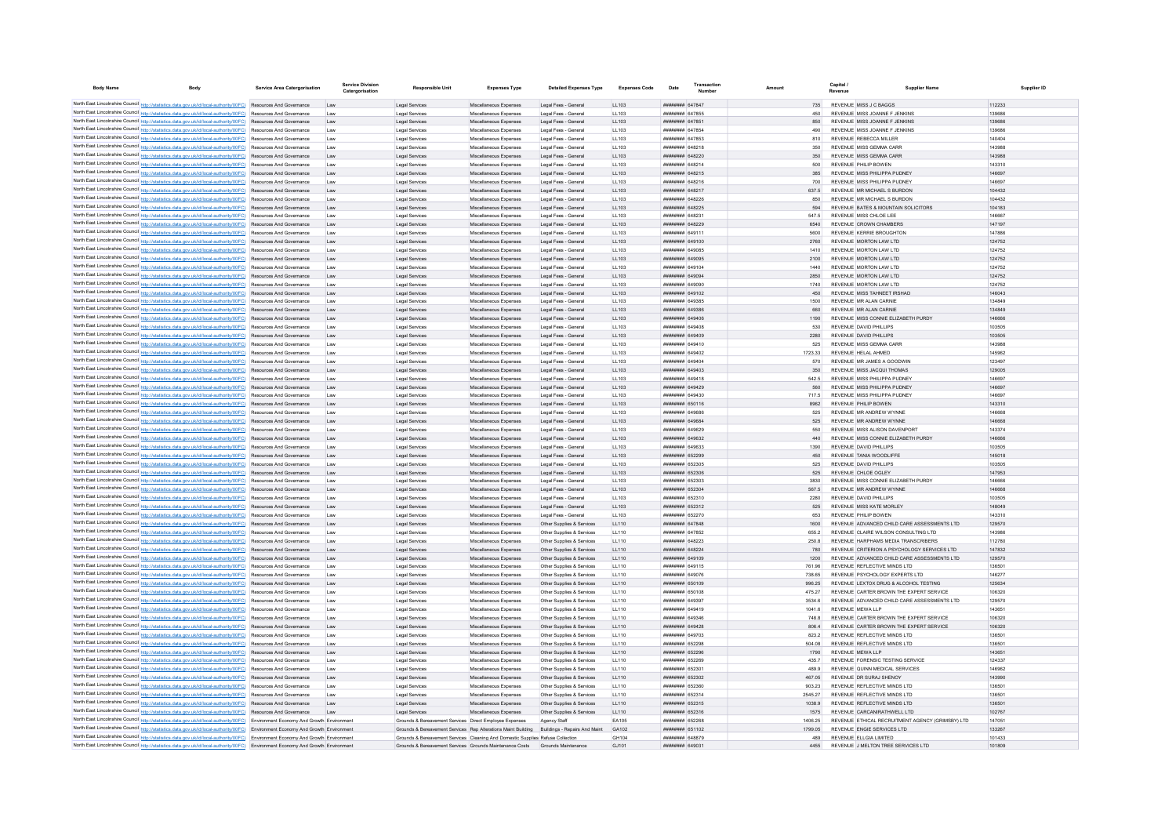| <b>Body Name</b> | <b>Body</b>                                                                                                                                                                                                                        | Service Area Catergorisation                         | <b>Service Division</b><br>Catergorisation | <b>Responsible Unit</b>                                                                     | <b>Expenses Type</b>                             | <b>Detailed Expenses Type</b>                          | <b>Expenses Code</b> | Date                                                | Transaction     | Amount            | Capital. | Revenue                                                                     | <b>Supplier Name</b> | Supplier ID      |
|------------------|------------------------------------------------------------------------------------------------------------------------------------------------------------------------------------------------------------------------------------|------------------------------------------------------|--------------------------------------------|---------------------------------------------------------------------------------------------|--------------------------------------------------|--------------------------------------------------------|----------------------|-----------------------------------------------------|-----------------|-------------------|----------|-----------------------------------------------------------------------------|----------------------|------------------|
|                  | North East Lincolnshire Council http://statistics.data.gov.uk/id/local-authority/00FC) Resources And Governance                                                                                                                    |                                                      | Law                                        | Legal Services                                                                              | Miscellaneous Expenses                           | Legal Fees - General                                   | 11 103               | <b>пппппппп</b> 647847                              |                 | 735               |          | REVENUE MISS J C BAGGS                                                      |                      | 112233           |
|                  | North East Lincolnshire Council http://statistics.data.gov.uk/id/local-authority/00FC) Resources And Governance                                                                                                                    |                                                      | Law                                        | Legal Services                                                                              | Miscellaneous Expenser                           | Legal Fees - General                                   | LL103                | <b><i>BRENHHHH 647855</i></b>                       |                 |                   |          | REVENUE MISS JOANNE F JENKINS                                               |                      | 139686           |
|                  | North East Lincolnshire Council http://statistics.data.gov.uk/id/local-authority/00FC) Resources And Governance                                                                                                                    |                                                      | Law                                        | Legal Services                                                                              | Miscellaneous Expenses                           | Legal Fees - General                                   | LL103                | <b>UNUNUNUN 647851</b>                              |                 | 850               |          | REVENUE MISS JOANNE F JENKINS                                               |                      | 139686           |
|                  | North East Lincolnshire Council http://statistics.data.gov.uk/id/local-authority/00FC) Resources And Governance                                                                                                                    |                                                      | Law                                        | Legal Services                                                                              | Miscellaneous Expenses                           | Legal Fees - General                                   | LL103                | HHHHHHH 647854                                      |                 | 490               |          | REVENUE MISS JOANNE F JENKINS                                               |                      | 139686           |
|                  | North East Lincolnshire Council http://statistics.data.gov.uk/id/local-authority/00FC) Resources And Governance                                                                                                                    |                                                      | 1 sw                                       | Legal Services                                                                              | Miscellaneous Expenses                           | Legal Fees - General                                   | 11 103               | <b><i>BREEZER 647853</i></b>                        |                 | 810               |          | REVENUE REBECCA MILLER                                                      |                      | 140404           |
|                  | North East Lincolnshire Council http://statistics.data.gov.uk/id/local-authority/00FC) Resources And Governance<br>North East Lincolnshire Council http://statistics.data.gov.uk/id/local-authority/00FC) Resources And Governance |                                                      | 1 aw<br>18W                                | Legal Services<br>Legal Services                                                            | Miscellaneous Expenses<br>Miscellaneous Expenses | Legal Fees - General<br>Legal Fees - General           | 11 103<br>LL103      | <b><i>BRENHHHH 648218</i></b><br>######## 648220    |                 | 350<br>350        |          | REVENUE MISS GEMMA CARR<br>REVENUE MISS GEMMA CARR                          |                      | 143988<br>143988 |
|                  | North East Lincolnshire Council http://statistics.data.gov.uk/id/local-authority/00FC) Resources And Governance                                                                                                                    |                                                      | Law                                        | Legal Services                                                                              | Miscellaneous Expenses                           | Legal Fees - General                                   | LL103                | ######## 648214                                     |                 | 500               |          | REVENUE PHILIP BOWEN                                                        |                      | 143310           |
|                  | North East Lincolnshire Council http://statistics.data.gov.uk/id/local-authority/00FC) Resources And Governance                                                                                                                    |                                                      | Law                                        | Legal Services                                                                              | Miscellaneous Expenses                           | Legal Fees - General                                   | LL103                | ######## 648215                                     |                 | 385               |          | REVENUE MISS PHILIPPA PUDNEY                                                |                      | 146697           |
|                  | North East Lincolnshire Council http://statistics.data.gov.uk/id/local-authority/00FC) Resources And Governance                                                                                                                    |                                                      | Law                                        | Legal Services                                                                              | Miscellaneous Expenses                           | Legal Fees - General                                   | LL103                | <b>ПЕВЕЦИЕ 648216</b>                               |                 | 700               |          | REVENUE MISS PHILIPPA PUDNEY                                                |                      | 146697           |
|                  | North East Lincolnshire Council http://statistics.data.gov.uk/id/local-authority/00FC) Resources And Governance                                                                                                                    |                                                      | Law                                        | Legal Services                                                                              | Miscellaneous Expenses                           | Legal Fees - General                                   | LL103                | <b>HHHHHHH 648217</b>                               |                 | 637.5             |          | REVENUE MR MICHAEL S BURDON                                                 |                      | 104432           |
|                  | North East Lincolnshire Council http://statistics.data.gov.uk/id/local-authority/00FC) Resources And Governance                                                                                                                    |                                                      | Law                                        | Legal Services                                                                              | Miscellaneous Expenses                           | Legal Fees - General                                   | LL103                | ######## 648226                                     |                 | 850               |          | REVENUE MR MICHAEL S BURDON                                                 |                      | 104432           |
|                  | North East Lincolnshire Council http://statistics.data.gov.uk/id/local-authority/00FC) Resources And Governance                                                                                                                    |                                                      | Law                                        | Legal Services                                                                              | Miscellaneous Expenses                           | Legal Fees - General                                   | LL103                | ######## 648225                                     |                 | 594               |          | REVENUE BATES & MOUNTAIN SOLICITORS                                         |                      | 104183           |
|                  | North East Lincolnshire Council http://statistics.data.gov.uk/id/local-authority/00FC)<br>North East Lincolnshire Council http://statistics.data.gov.uk/id/local-authority/00FC)                                                   | Resources And Governance<br>Resources And Governance | Law                                        | Legal Services                                                                              | Miscellaneous Expenses                           | Legal Fees - General                                   | LL103                | ####### 64823<br>######## 648229                    |                 | 6540              |          | REVENUE MISS CHLOE LEE<br>REVENUE CROWN CHAMBERS                            |                      | 146667<br>147197 |
|                  | North East Lincolnshire Council http://statistics.data.gov.uk/id/local-authority/00FC) Resources And Governance                                                                                                                    |                                                      | Law<br>Law                                 | Legal Services<br>Legal Service                                                             | Miscellaneous Expenses<br>Miscellaneous Expenses | Legal Fees - General<br>Legal Fees - General           | LL103<br>LL103       | <b>HERMAN 649111</b>                                |                 | 5600              |          | REVENUE KERRIE BROUGHTON                                                    |                      | 147886           |
|                  | North East Lincolnshire Council http://statistics.data.gov.uk/id/local-authority/00FC) Resources And Governance                                                                                                                    |                                                      | Law                                        | Legal Services                                                                              | Miscellaneous Expenses                           | Legal Fees - General                                   | LL103                | <b>BRENHHAM 649100</b>                              |                 | 2760              |          | REVENUE MORTON LAW LTD                                                      |                      | 124752           |
|                  | North East Lincolnshire Council http://statistics.data.gov.uk/id/local-authority/00FC) Resources And Governance                                                                                                                    |                                                      | Law                                        | Legal Services                                                                              | Miscellaneous Expenses                           | Legal Fees - General                                   | LL103                | ######## 649085                                     |                 | 1410              |          | REVENUE MORTON LAW LTD                                                      |                      | 124752           |
|                  | North East Lincolnshire Council http://statistics.data.gov.uk/id/local-authority/00FC) Resources And Governance                                                                                                                    |                                                      | Law                                        | Legal Services                                                                              | Miscellaneous Expenses                           | Legal Fees - General                                   | LL103                | ######## 649095                                     |                 | 2100              |          | REVENUE MORTON LAW LTD                                                      |                      | 124752           |
|                  | North East Lincolnshire Council http://statistics.data.gov.uk/id/local-authority/00FC) Resources And Governance                                                                                                                    |                                                      | Law                                        | Legal Services                                                                              | Miscellaneous Expenses                           | Legal Fees - General                                   | LL103                | ######## 649104                                     |                 | 1440              |          | REVENUE MORTON LAW LTD                                                      |                      | 124752           |
|                  | North East Lincolnshire Council http://statistics.data.gov.uk/id/local-authority/00FC) Resources And Governance                                                                                                                    |                                                      | Law                                        | Legal Services                                                                              | Miscellaneous Expenses                           | Legal Fees - General                                   | LL103                | ######## 649094                                     |                 | 2850              |          | REVENUE MORTON LAW LTD                                                      |                      | 124752           |
|                  | North East Lincolnshire Council http://statistics.data.gov.uk/id/local-authority/00FC) Resources And Governance                                                                                                                    |                                                      | Law                                        | Legal Services                                                                              | Miscellaneous Expenses                           | Legal Fees - General                                   | LL103                | ######## 649090                                     |                 | 1740              |          | REVENUE MORTON LAW LTD                                                      |                      | 124752           |
|                  | North East Lincolnshire Council http://statistics.data.gov.uk/id/local-authority/00FC) Resources And Governance<br>North East Lincolnshire Council http://statistics.data.gov.uk/id/local-authority/00FC) Resources And Governance |                                                      | Law                                        | Legal Services<br>Legal Services                                                            | Miscellaneous Expenses<br>Miscellaneous Expenses | Legal Fees - General<br>Legal Fees - General           | LL103<br>LL103       | <b>HUBHHHHH 649102</b><br>######## 649385           |                 | 450<br>1500       |          | REVENUE MISS TAHNEET IRSHAD<br>REVENUE MR ALAN CARNIE                       |                      | 146043<br>134849 |
|                  | North East Lincolnshire Council http://statistics.data.gov.uk/id/local-authority/00FC) Resources And Governance                                                                                                                    |                                                      | Law<br>Law                                 | Legal Services                                                                              | Miscellaneous Expenses                           | Legal Fees - General                                   | LL103                | ######## 649386                                     |                 | 660               |          | REVENUE MR ALAN CARNIE                                                      |                      | 134849           |
|                  | North East Lincolnshire Council http://statistics.data.gov.uk/id/local-authority/00FC)                                                                                                                                             | Resources And Governance                             | Law                                        | Legal Services                                                                              | Miscellaneous Expenses                           | Legal Fees - General                                   | LL103                | ######## 649406                                     |                 | 1190              |          | REVENUE MISS CONNIE ELIZABETH PURDY                                         |                      | 146666           |
|                  | North East Lincolnshire Council http://statistics.data.gov.uk/id/local-authority/00FC) Resources And Governance                                                                                                                    |                                                      | Law                                        | Legal Service                                                                               | Miscellaneous Expense                            | Legal Fees - General                                   | LL103                | HHHHHHH 649408                                      |                 | 530               |          | REVENUE DAVID PHILLIPS                                                      |                      | 103505           |
|                  | North East Lincolnshire Council http://statistics.data.gov.uk/id/local-authority/00FC) Resources And Governance                                                                                                                    |                                                      |                                            | <b>Legal Services</b>                                                                       | Miscellaneous Expenses                           | Legal Fees - General                                   | LL103                | ######## 649409                                     |                 | 2280              |          | REVENUE DAVID PHILLIPS                                                      |                      | 103505           |
|                  | North East Lincolnshire Council http://statistics.data.gov.uk/id/local-authority/00FC) Resources And Governance                                                                                                                    |                                                      | Law                                        | Legal Services                                                                              | Miscellaneous Expenses                           | Legal Fees - General                                   | LL103                | <b>HUBHHHHH</b> 649410                              |                 | 525               |          | REVENUE MISS GEMMA CARR                                                     |                      | 143988           |
|                  | North East Lincolnshire Council http://statistics.data.gov.uk/id/local-authority/00FC) Resources And Governance                                                                                                                    |                                                      | Law                                        | Legal Services                                                                              | Miscellaneous Expenses                           | Legal Fees - General                                   | LL103                | ######## 649402                                     |                 | 1723.33           |          | REVENUE HELAL AHMED                                                         |                      | 145962           |
|                  | North East Lincolnshire Council http://statistics.data.gov.uk/id/local-authority/00FC) Resources And Governance                                                                                                                    |                                                      | Law                                        | Legal Services                                                                              | Miscellaneous Expenses                           | Legal Fees - General                                   | LL103                | ######## 649404                                     |                 | 570               |          | REVENUE MR JAMES A GOODWIN                                                  |                      | 123497           |
|                  | North East Lincolnshire Council http://statistics.data.gov.uk/id/local-authority/00FC) Resources And Governance                                                                                                                    |                                                      | Law                                        | Legal Services                                                                              | Miscellaneous Expenses                           | Legal Fees - General                                   | LL103                | ######## 649403                                     |                 | 350               |          | REVENUE MISS JACQUI THOMAS                                                  |                      | 129005           |
|                  | North East Lincolnshire Council http://statistics.data.gov.uk/id/local-authority/00FC) Resources And Governance<br>North East Lincolnshire Council http://statistics.data.gov.uk/id/local-authority/00FC) Resources And Governance |                                                      | Law                                        | Legal Services                                                                              | Miscellaneous Expenses                           | Legal Fees - General                                   | LL103                | ######## 649418                                     |                 | 542.5<br>560      |          | REVENUE MISS PHILIPPA PUDNEY                                                |                      | 146697<br>146697 |
|                  | North East Lincolnshire Council http://statistics.data.gov.uk/id/local-authority/00FC) Resources And Governance                                                                                                                    |                                                      | Law<br>Law                                 | Legal Services<br>Legal Services                                                            | Miscellaneous Expenses<br>Miscellaneous Expenses | Legal Fees - General<br>Legal Fees - General           | LL103<br>LL103       | ######## 649429<br><b>плинини</b> 649430            |                 | 7175              |          | REVENUE MISS PHILIPPA PUDNEY<br>REVENUE MISS PHILIPPA PUDNEY                |                      | 146697           |
|                  | North East Lincolnshire Council http://statistics.data.gov.uk/id/local-authority/00FC) Resources And Governance                                                                                                                    |                                                      | Law                                        | Legal Services                                                                              | Miscellaneous Expenses                           | Legal Fees - General                                   | LL103                | ######## 650116                                     |                 | 8962              |          | REVENUE PHILIP BOWEN                                                        |                      | 143310           |
|                  | North East Lincolnshire Council http://statistics.data.gov.uk/id/local-authority/00FC) Resources And Governance                                                                                                                    |                                                      | Law                                        | Legal Services                                                                              | Miscellaneous Expenses                           | Legal Fees - General                                   | LL103                | ######## 649686                                     |                 | 525               |          | REVENUE MR ANDREW WYNNE                                                     |                      | 146668           |
|                  | North East Lincolnshire Council http://statistics.data.gov.uk/id/local-authority/00FC) Resources And Governance                                                                                                                    |                                                      | Law                                        | Legal Services                                                                              | Miscellaneous Expenses                           | Legal Fees - General                                   | LL103                | ######## 649684                                     |                 | 525               |          | REVENUE MR ANDREW WYNNE                                                     |                      | 146668           |
|                  | North East Lincolnshire Council http://statistics.data.gov.uk/id/local-authority/00FC)                                                                                                                                             | Resources And Governance                             |                                            | <b>Legal Services</b>                                                                       | Miscellaneous Expenses                           | Legal Fees - General                                   | LL103                | ######## 649629                                     |                 | 550               |          | REVENUE MISS ALISON DAVENPORT                                               |                      | 143374           |
|                  | North East Lincolnshire Council http://statistics.data.gov.uk/id/local-authority/00FC) Resources And Governance                                                                                                                    |                                                      | Law                                        | Legal Services                                                                              | Miscellaneous Expenses                           | Legal Fees - General                                   | LL103                | ######## 649632                                     |                 | 440               |          | REVENUE MISS CONNIE ELIZABETH PURDY                                         |                      | 146666           |
|                  | North East Lincolnshire Council http://statistics.data.gov.uk/id/local-authority/00FC) Resources And Governance                                                                                                                    |                                                      | Law                                        | Legal Services                                                                              | Miscellaneous Expenses                           | Legal Fees - General                                   | LL103                | EFRAPA BREEZER                                      |                 | 1390              |          | REVENUE DAVID PHILLIPS                                                      |                      | 103505           |
|                  | North East Lincolnshire Council http://statistics.data.gov.uk/id/local-authority/00FC) Resources And Governance                                                                                                                    |                                                      | Law                                        | Legal Services                                                                              | Miscellaneous Expenses                           | Legal Fees - General                                   | LL103                | ######## 652299                                     |                 | 450               |          | REVENUE TANIA WOODLIFFE                                                     |                      | 145018           |
|                  | North East Lincolnshire Council http://statistics.data.gov.uk/id/local-authority/00FC) Resources And Governance<br>North East Lincolnshire Council http://statistics.data.gov.uk/id/local-authority/00FC) Resources And Governance |                                                      | Law<br>Law                                 | Legal Services<br>Legal Services                                                            | Miscellaneous Expenses<br>Miscellaneous Expenses | Legal Fees - General<br>Legal Fees - General           | LL103<br>LL103       | ######## 652305<br>######## 652306                  |                 | 525<br>525        |          | REVENUE DAVID PHILLIPS<br>REVENUE CHLOE OGLEY                               |                      | 103505<br>147953 |
|                  | North East Lincolnshire Council http://statistics.data.gov.uk/id/local-authority/00FC) Resources And Governance                                                                                                                    |                                                      | Law                                        | Legal Services                                                                              | Miscellaneous Expenses                           | Legal Fees - General                                   | LL103                | ######## 652303                                     |                 | 3830              |          | REVENUE MISS CONNIE ELIZABETH PURDY                                         |                      | 146666           |
|                  | North East Lincolnshire Council http://statistics.data.gov.uk/id/local-authority/00FC) Resources And Governance                                                                                                                    |                                                      | Law                                        | Legal Services                                                                              | Miscellaneous Expenses                           | Legal Fees - General                                   | LL103                | ######## 652304                                     |                 | 567.5             |          | REVENUE MR ANDREW WYNNE                                                     |                      | 146668           |
|                  | North East Lincolnshire Council http://statistics.data.gov.uk/id/local-authority/00FC) Resources And Governance                                                                                                                    |                                                      | Law                                        | Legal Services                                                                              | Miscellaneous Expenses                           | Legal Fees - General                                   | LL103                | ######## 652310                                     |                 | 2280              |          | REVENUE DAVID PHILLIPS                                                      |                      | 103505           |
|                  | North East Lincolnshire Council http://statistics.data.gov.uk/id/local-authority/00FC) Resources And Governance                                                                                                                    |                                                      | Law                                        | Legal Services                                                                              | Miscellaneous Expenses                           | Legal Fees - General                                   | LL103                | ###########652312                                   |                 | 525               |          | REVENUE MISS KATE MORLEY                                                    |                      | 148049           |
|                  | North East Lincolnshire Council http://statistics.data.gov.uk/id/local-authority/00FC) Resources And Governance                                                                                                                    |                                                      | Law                                        | Legal Services                                                                              | Miscellaneous Expenses                           | Legal Fees - General                                   | LL103                |                                                     | ######## 652270 | 653               |          | REVENUE PHILIP BOWEN                                                        |                      | 143310           |
|                  | North East Lincolnshire Council http://statistics.data.gov.uk/id/local-authority/00FC) Resources And Governance                                                                                                                    |                                                      | Law                                        | Legal Services                                                                              | Miscellaneous Expenses                           | Other Supplies & Services                              | LL110                | ######## 647848                                     |                 |                   |          | REVENUE ADVANCED CHILD CARE ASSESSMENTS LTD                                 |                      | 129570           |
|                  | North East Lincolnshire Council http://statistics.data.gov.uk/id/local-authority/00FC)<br>North East Lincolnshire Council http://statistics.data.gov.uk/id/local-authority/00FC) Resources And Governance                          | Resources And Governance                             | Law<br>Law                                 | Legal Services<br>Legal Services                                                            | Miscellaneous Expenser<br>Miscellaneous Expenses | Other Supplies & Services<br>Other Supplies & Services | LL110<br>LL110       | ######## 647852<br>ппиннин слязээ                   |                 | 655.2<br>250.8    |          | REVENUE CLAIRE WILSON CONSULTING LTD<br>REVENUE HARPHAMS MEDIA TRANSCRIBERS |                      | 143986<br>112780 |
|                  | North East Lincolnshire Council http://statistics.data.gov.uk/id/local-authority/00FC) Resources And Governance                                                                                                                    |                                                      | Law                                        | Legal Services                                                                              | Miscellaneous Expenses                           | Other Supplies & Services                              | LL110                | <b>ННИМИНИ БАВРРА</b>                               |                 | 780               |          | REVENUE CRITERION A PSYCHOLOGY SERVICES LTD                                 |                      | 147832           |
|                  | North East Lincolnshire Council http://statistics.data.gov.uk/id/local-authority/00FC) Resources And Governance                                                                                                                    |                                                      | 1 sw                                       | Legal Services                                                                              | Miscellaneous Expenses                           | Other Supplies & Services                              | 11110                | <b>BRENHAMM 649109</b>                              |                 | 1200              |          | REVENUE ADVANCED CHILD CARE ASSESSMENTS LTD.                                |                      | 129570           |
|                  | North East Lincolnshire Council http://statistics.data.gov.uk/id/local-authority/00FC) Resources And Governance                                                                                                                    |                                                      | Law                                        | Legal Services                                                                              | Miscellaneous Expenses                           | Other Supplies & Services                              | LL110                | ######## 649115                                     |                 | 76196             |          | REVENUE REFLECTIVE MINDS LTD                                                |                      | 136501           |
|                  | North East Lincolnshire Council http://statistics.data.gov.uk/id/local-authority/00FC) Resources And Governance                                                                                                                    |                                                      | 1 aw                                       | Legal Services                                                                              | Miscellaneous Expenses                           | Other Supplies & Services                              | 11110                | <b>пппппппп</b> 649076                              |                 | 738.65            |          | REVENUE PSYCHOLOGY EXPERTS LTD.                                             |                      | 146277           |
|                  | North East Lincolnshire Council http://statistics.data.gov.uk/id/local-authority/00FC) Resources And Governance                                                                                                                    |                                                      | Law                                        | Legal Services                                                                              | Miscellaneous Expenses                           | Other Supplies & Services                              | LL110                | ######## 650109                                     |                 | 996.25            |          | REVENUE LEXTOX DRUG & ALCOHOL TESTING                                       |                      | 125634           |
|                  | North East Lincolnshire Council http://statistics.data.gov.uk/id/local-authority/00FC) Resources And Governance                                                                                                                    |                                                      | Law                                        | Legal Services                                                                              | Miscellaneous Expenses                           | Other Supplies & Services                              | LL110                | ######## 650108                                     |                 | 475 27            |          | REVENUE CARTER BROWN THE EXPERT SERVICE                                     |                      | 106320           |
|                  | North East Lincolnshire Council http://statistics.data.gov.uk/id/local-authority/00FC) Resources And Governance                                                                                                                    |                                                      | Law                                        | Legal Services                                                                              | Miscellaneous Expenses                           | Other Supplies & Services                              | LL110                | плинини 649397                                      |                 | 3534.6            |          | REVENUE ADVANCED CHILD CARE ASSESSMENTS LTD                                 |                      | 129570           |
|                  | North East Lincolnshire Council http://statistics.data.gov.uk/id/local-authority/00FC) Resources And Governance<br>North East Lincolnshire Council http://statistics.data.gov.uk/id/local-authority/00FC) Resources And Governance |                                                      | 1 sw<br>1 aw                               | Legal Services<br>Legal Services                                                            | Miscellaneous Expenses<br>Miscellaneous Expenses | Other Sunnlies & Services<br>Other Supplies & Services | 11110<br>11110       | <b>HEHHHHH 649419</b><br><del>ваннинин</del> 649346 |                 | 1041.6<br>7488    |          | REVENUE MEWALLP<br>REVENUE CARTER BROWN THE EXPERT SERVICE                  |                      | 143651<br>106320 |
|                  | North East Lincolnshire Council http://statistics.data.gov.uk/id/local-authority/00FC) Resources And Governance                                                                                                                    |                                                      | Law                                        | Legal Services                                                                              | Miscellaneous Expenses                           | Other Supplies & Services                              | 11110                | пппппппп 649428                                     |                 | 8064              |          | REVENUE CARTER BROWN THE EXPERT SERVICE                                     |                      | 106320           |
|                  | North East Lincolnshire Council http://statistics.data.gov.uk/id/local-authority/00FC)                                                                                                                                             | Resources And Governance                             | Law                                        | Legal Services                                                                              | Miscellaneous Expenses                           | Other Supplies & Services                              | LL110                | <b>BREEZER 649703</b>                               |                 | 823.2             |          | REVENUE REFLECTIVE MINDS LTD                                                |                      | 136501           |
|                  | North East Lincolnshire Council http://statistics.data.gov.uk/id/local-authority/00FC) Resources And Governance                                                                                                                    |                                                      | Law                                        | Legal Services                                                                              | Miscellaneous Expenses                           | Other Supplies & Services                              | LL110                | ######## 652298                                     |                 | 504.08            |          | REVENUE REFLECTIVE MINDS LTD                                                |                      | 136501           |
|                  | North East Lincolnshire Council http://statistics.data.gov.uk/id/local-authority/00FC) Resources And Governance                                                                                                                    |                                                      | Law                                        | Legal Services                                                                              | Miscellaneous Expenses                           | Other Supplies & Services                              | LL110                | <b>######## 652296</b>                              |                 | 1790              |          | REVENUE MEWALLP                                                             |                      | 143651           |
|                  | North East Lincolnshire Council http://statistics.data.gov.uk/id/local-authority/00FC) Resources And Governance                                                                                                                    |                                                      | 18W                                        | Legal Services                                                                              | Miscellaneous Expenses                           | Other Sunnlies & Services                              | 11110                | <b><i>BRENHHHH 652269</i></b>                       |                 | 4357              |          | REVENUE FORENSIC TESTING SERVICE                                            |                      | 124337           |
|                  | North East Lincolnshire Council http://statistics.data.gov.uk/id/local-authority/00FC) Resources And Governance                                                                                                                    |                                                      | Law                                        | Legal Services                                                                              | Miscellaneous Expenses                           | Other Supplies & Services                              | 11110                | ######## 652301                                     |                 | 4899              |          | REVENUE QUINN MEDICAL SERVICES                                              |                      | 146962           |
|                  | North East Lincolnshire Council http://statistics.data.gov.uk/id/local-authority/00FC) Resources And Governance                                                                                                                    |                                                      | Law                                        | Legal Services                                                                              | Miscellaneous Expenses                           | Other Supplies & Services                              | LL110                | <b>пппппппп</b> 652302                              |                 | 467.05            |          | REVENUE DR SURAJ SHENOY                                                     |                      | 143990           |
|                  | North East Lincolnshire Council http://statistics.data.gov.uk/id/local-authority/00FC) Resources And Governance<br>North East Lincolnshire Council http://statistics.data.gov.uk/id/local-authority/00FC) Resources And Governance |                                                      | Law<br>Law                                 | Legal Services<br>Legal Services                                                            | Miscellaneous Expenses<br>Miscellaneous Expenses | Other Supplies & Services<br>Other Supplies & Services | LL110<br>LL110       | ######## 652360<br><b>HUBHHHHH</b> 652314           |                 | 903.23<br>2545 27 |          | REVENUE REFLECTIVE MINDS LTD<br>REVENUE REFLECTIVE MINDS LTD                |                      | 136501<br>136501 |
|                  | North East Lincolnshire Council http://statistics.data.gov.uk/id/local-authority/00FC) Resources And Governance                                                                                                                    |                                                      | Law                                        | Legal Services                                                                              | Miscellaneous Expenses                           | Other Supplies & Services                              | LL110                | ######## 652315                                     |                 | 1038.9            |          | REVENUE REFLECTIVE MINDS LTD                                                |                      | 136501           |
|                  | North East Lincolnshire Council http://statistics.data.gov.uk/id/local-authority/00FC) Resources And Governance                                                                                                                    |                                                      | Law                                        | Legal Services                                                                              | Miscellaneous Expenses                           | Other Supplies & Services                              | LL110                | ######## 652316                                     |                 | 1575              |          | REVENUE CARCANIRATHWELL LTD                                                 |                      | 102767           |
|                  | North East Lincolnshire Council http://statistics.data.gov.uk/id/local-authority/00FC) Environment Economy And Growth Environment                                                                                                  |                                                      |                                            | Grounds & Bereavement Services Direct Employee Expenses                                     |                                                  | Agency Staff                                           | FA105                | ######## 652268                                     |                 | 1406.25           |          | REVENUE ETHICAL RECRUITMENT AGENCY (GRIMSBY) LTD                            |                      | 147051           |
|                  | North East Lincolnshire Council http://statistics.data.gov.uk/id/local-authority/00FC) Environment Economy And Growth Environment                                                                                                  |                                                      |                                            | Grounds & Bereavement Services Rep Alterations Maint Building Buildings - Repairs And Maint |                                                  |                                                        | GA102                | ######## 651102                                     |                 | 1799.05           |          | REVENUE ENGIE SERVICES LTD                                                  |                      | 133267           |
|                  | North East Lincolnshire Council http://statistics.data.gov.uk/id/local-authority/00FC) Environment Economy And Growth Environment                                                                                                  |                                                      |                                            | Grounds & Bereavement Services Cleaning And Domestic Supplies Refuse Collection             |                                                  |                                                        | GH104                | ######## 648879                                     |                 | 489               |          | REVENUE ELLGIA LIMITED                                                      |                      | 101433           |
|                  | North East Lincolnshire Council http://statistics.data.gov.uk/id/local-authority/00FC) Environment Economy And Growth Environment                                                                                                  |                                                      |                                            | Grounds & Bereavement Services Grounds Maintenance Costs                                    |                                                  | Grounds Maintenance                                    | G.1101               | <b>HUHHHHH 649031</b>                               |                 | 4455              |          | REVENUE J MELTON TREE SERVICES LTD                                          |                      | 101809           |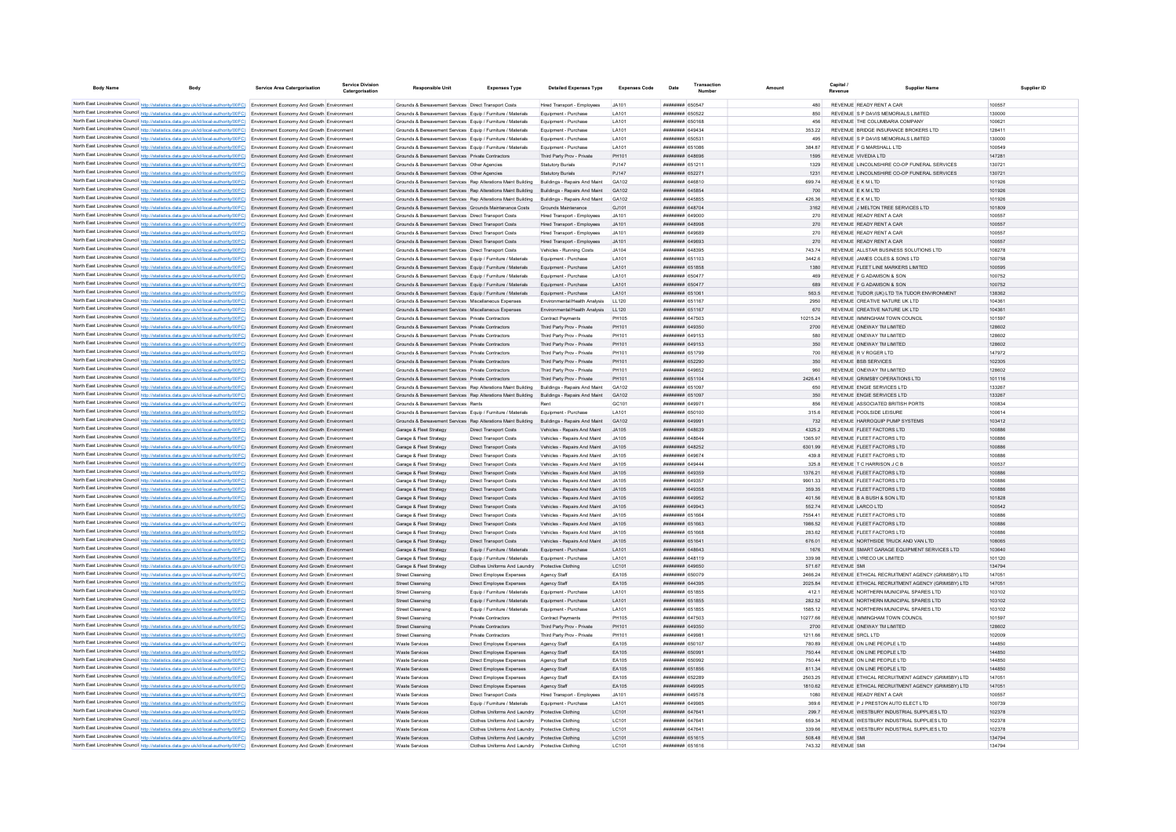| <b>Body Name</b>                           | <b>Body</b>                                                                                                                                                                                                                                                            | Service Area Catergorisation | Service Divisio<br>Catergorisation | <b>Responsible Unit</b>                                                                                                                                      | <b>Expenses Type</b>                                                              | <b>Detailed Expenses Type</b>                                  | <b>Expenses Code</b>  | Date                                      | Amount             | Capital<br>Revenue                                                        | <b>Supplier Name</b>                             | Supplier ID      |
|--------------------------------------------|------------------------------------------------------------------------------------------------------------------------------------------------------------------------------------------------------------------------------------------------------------------------|------------------------------|------------------------------------|--------------------------------------------------------------------------------------------------------------------------------------------------------------|-----------------------------------------------------------------------------------|----------------------------------------------------------------|-----------------------|-------------------------------------------|--------------------|---------------------------------------------------------------------------|--------------------------------------------------|------------------|
|                                            |                                                                                                                                                                                                                                                                        |                              |                                    |                                                                                                                                                              |                                                                                   |                                                                |                       |                                           |                    |                                                                           |                                                  |                  |
|                                            | North East Lincolnshire Council http://statistics.data.gov.uk/id/local-authority/00FC) Environment Economy And Growth Environment<br>North East Lincolnshire Council http://statistics.data.gov.uk/id/local-authority/00FC) Environment Economy And Growth Environment |                              |                                    | Grounds & Bereavement Services Direct Transport Costs<br>Grounds & Bereavement Services Equip / Furniture / Materials                                        |                                                                                   | Hired Transport - Employees<br>Equipment - Purchase            | JA101<br><b>LA101</b> | ####### 650547<br><b>CC2029 BREEFERE</b>  | 850                | REVENUE READY RENT A CAR<br>REVENUE S P DAVIS MEMORIALS LIMITED           |                                                  | 100557<br>130000 |
|                                            | North East Lincolnshire Council http://statistics.data.gov.uk/id/local-authority/00FC) Environment Economy And Growth Environment                                                                                                                                      |                              |                                    | Grounds & Bereavement Services Equip / Furniture / Materials                                                                                                 |                                                                                   | Equipment - Purchase                                           | LA101                 |                                           | A56                | REVENUE THE COLUMBARIA COMPANY                                            |                                                  | 100621           |
|                                            | North East Lincolnshire Council http://statistics.data.gov.uk/id/local-authority/00FC) Environment Economy And Growth Environment                                                                                                                                      |                              |                                    | Grounds & Bereavement Services Equip / Furniture / Materials                                                                                                 |                                                                                   | Foujoment - Purchase                                           | <b>LA101</b>          | пппиннин 649434                           | 353 22             | REVENUE BRIDGE INSURANCE BROKERS LTD.                                     |                                                  | 128411           |
|                                            | North East Lincolnshire Council http://statistics.data.gov.uk/id/local-authority/00FC) Environment Economy And Growth Environment                                                                                                                                      |                              |                                    | Grounds & Bereavement Services Equip / Furniture / Materials                                                                                                 |                                                                                   | Equipment - Purchase                                           | LA101                 | ######## 650531                           | 495                | REVENUE S P DAVIS MEMORIALS LIMITED                                       |                                                  | 130000           |
|                                            | North East Lincolnshire Council http://statistics.data.gov.uk/id/local-authority/00FC) Environment Economy And Growth Environment                                                                                                                                      |                              |                                    | Grounds & Bereavement Services Equip / Furniture / Materials                                                                                                 |                                                                                   | Equipment - Purchase                                           | LA101                 | ####### 651086                            | 384 87             | REVENUE E G MARSHALL LTD                                                  |                                                  | 100549           |
|                                            | North East Lincolnshire Council http://statistics.data.gov.uk/id/local-authority/00FC) Environment Economy And Growth Environment                                                                                                                                      |                              |                                    | Grounds & Bereavement Services Private Contractors                                                                                                           |                                                                                   | Third Party Prov - Private                                     | PH101                 | ######## 648696                           | 1595               | REVENUE VIVEDIA LTD                                                       |                                                  | 147281           |
|                                            | North East Lincolnshire Council http://statistics.data.gov.uk/id/local-authority/00FC) Environment Economy And Growth Environment                                                                                                                                      |                              |                                    | Grounds & Bereavement Services Other Agencies                                                                                                                |                                                                                   | <b>Statutory Burials</b>                                       | P.1147                | ####### 651211                            | 1329               | REVENUE LINCOLNSHIRE CO-OP FUNERAL SERVICES                               |                                                  | 130721           |
|                                            | North East Lincolnshire Council http://statistics.data.gov.uk/id/local-authority/00FC) Environment Economy And Growth Environment                                                                                                                                      |                              |                                    | Grounds & Bereavement Services Other Agencies                                                                                                                |                                                                                   | <b>Statutory Burials</b>                                       | PJ147                 | ######## 652271                           | 1231               | REVENUE LINCOLNSHIRE CO-OP FUNERAL SERVICES                               |                                                  | 130721           |
|                                            | North East Lincolnshire Council http://statistics.data.gov.uk/id/local-authority/00FC) Environment Economy And Growth Environment                                                                                                                                      |                              |                                    | Grounds & Bereavement Services Rep Alterations Maint Building Buildings - Repairs And Maint<br>Grounds & Bereavement Services Rep Alterations Maint Building |                                                                                   |                                                                | GA102<br>GA102        | GASAB BERREER                             | 699.74<br>700      | REVENUE E K M I TD<br>REVENUE E K M LTD                                   |                                                  | 101926<br>101926 |
|                                            | North East Lincolnshire Council http://statistics.data.gov.uk/id/local-authority/00FC) Environment Economy And Growth Environment<br>North East Lincolnshire Council http://statistics.data.gov.uk/id/local-authority/00FC) Environment Economy And Growth Environme   |                              |                                    | Grounds & Bereavement Services Rep Alterations Maint Building                                                                                                |                                                                                   | Buildings - Repairs And Maint<br>Buildings - Repairs And Maint |                       | ######## 645854                           | 426.36             | REVENUE E K M LTD                                                         |                                                  | 101926           |
|                                            | North East Lincolnshire Council http://statistics.data.gov.uk/id/local-authority/00FC) Environment Economy And Growth Environment                                                                                                                                      |                              |                                    | Grounds & Bereavement Services Grounds Maintenance Costs                                                                                                     |                                                                                   | Grounds Maintenance                                            |                       | ######## 648704                           | 3162               | REVENUE J MELTON TREE SERVICES LTD                                        |                                                  | 101809           |
|                                            | North East Lincolnshire Council http://statistics.data.gov.uk/id/local-authority/00FC) Environment Economy And Growth Environment                                                                                                                                      |                              |                                    | Grounds & Bereavement Services Direct Transport Costs                                                                                                        |                                                                                   | Hired Transport - Employees                                    | JA101                 | ######## 649000                           | 270                | REVENUE READY RENT A CAR                                                  |                                                  | 100557           |
|                                            | North East Lincolnshire Council http://statistics.data.gov.uk/id/local-authority/00FC) Environment Economy And Growth Environment                                                                                                                                      |                              |                                    | Grounds & Bereavement Services Direct Transport Costs                                                                                                        |                                                                                   | Hired Transport - Employees                                    | .IA101                | BROADS BERNHERE                           | 270                | REVENUE READY RENT A CAR                                                  |                                                  | 100557           |
|                                            | North East Lincolnshire Council http://statistics.data.gov.uk/id/local-authority/00FC) Environment Economy And Growth Environment                                                                                                                                      |                              |                                    | Grounds & Bereavement Services Direct Transport Costs                                                                                                        |                                                                                   | Hired Transport - Employees                                    | .14101                | RAGAN HEEBHEER                            | 270                | REVENUE READY RENT A CAR                                                  |                                                  | 100557           |
|                                            | North East Lincolnshire Council http://statistics.data.gov.uk/id/local-authority/00FC) Environment Economy And Growth Environment                                                                                                                                      |                              |                                    | Grounds & Bereavement Services Direct Transport Costs                                                                                                        |                                                                                   | Hired Transport - Employees                                    | JA101                 | ######## 649693                           | 270                | REVENUE READY RENT A CAR                                                  |                                                  | 100557           |
|                                            | North East Lincolnshire Council http://statistics.data.gov.uk/id/local-authority/00FC) Environment Economy And Growth Environment                                                                                                                                      |                              |                                    | Grounds & Bereavement Services Direct Transport Costs                                                                                                        |                                                                                   | Vehicles - Running Costs                                       | JA104                 | ######## 648395                           | 743.74             | REVENUE ALLSTAR BUSINESS SOLUTIONS LTD                                    |                                                  | 108278           |
|                                            | North East Lincolnshire Council http://statistics.data.gov.uk/id/local-authority/00FC) Environment Economy And Growth Environment                                                                                                                                      |                              |                                    | Grounds & Bereavement Services Equip / Furniture / Materials                                                                                                 |                                                                                   | Equipment - Purchase                                           | LA101                 | ######## 651103                           | 3442.6             | REVENUE JAMES COLES & SONS LTD                                            |                                                  | 100758           |
|                                            | North East Lincolnshire Council http://statistics.data.gov.uk/id/local-authority/00FC) Environment Economy And Growth Environment                                                                                                                                      |                              |                                    | Grounds & Bereavement Services Equip / Furniture / Materials                                                                                                 |                                                                                   | Equipment - Purchase                                           | LA101                 | ######## 651858                           | 1380               | REVENUE FLEET LINE MARKERS LIMITED                                        |                                                  | 100595           |
|                                            | North East Lincolnshire Council http://statistics.data.gov.uk/id/local-authority/00FC) Environment Economy And Growth Environment                                                                                                                                      |                              |                                    | Grounds & Bereavement Services Equip / Furniture / Materials                                                                                                 |                                                                                   | Equipment - Purchase                                           | <b>LA101</b>          | <b>HHHHHHH 650477</b>                     | 469                | REVENUE E G ADAMSON & SON                                                 |                                                  | 100752           |
|                                            | North East Lincolnshire Council http://statistics.data.gov.uk/id/local-authority/00FC) Environment Economy And Growth Environment<br>North East Lincolnshire Council http://statistics.data.gov.uk/id/local-authority/00FC) Environment Economy And Growth Environment |                              |                                    | Grounds & Bereavement Services Equip / Furniture / Materials<br>Grounds & Bereavement Services Equip / Furniture / Materials                                 |                                                                                   | Equipment - Purchase<br>Equipment - Purchase                   | <b>LA101</b><br>LA101 | <b>ППИНИНИ 650477</b><br>######## 651061  | 689<br>563.5       | REVENUE F G ADAMSON & SON<br>REVENUE TUDOR (UK) LTD T/A TUDOR ENVIRONMENT |                                                  | 100752<br>138362 |
|                                            | North East Lincolnshire Council http://statistics.data.gov.uk/id/local-authority/00FC) Environment Economy And Growth Environment                                                                                                                                      |                              |                                    | Grounds & Bereavement Services Miscellaneous Expenses                                                                                                        |                                                                                   | Environmental/Health Analysis                                  | LL120                 | ####### 651167                            | 2950               | REVENUE CREATIVE NATURE UK LTD                                            |                                                  | 104361           |
| North East Lincolnshire Council http://sta | tics.data.gov.uk/id/local-authority/00FC) Environment Economy And Growth Environment                                                                                                                                                                                   |                              |                                    | Grounds & Bereavement Services Miscellaneous Expenses                                                                                                        |                                                                                   | Environmental/Health Analysis                                  | LL120                 | ####### 651167                            | 670                | REVENUE CREATIVE NATURE UK LTD                                            |                                                  | 104361           |
|                                            | North East Lincolnshire Council http://statistics.data.gov.uk/id/local-authority/00FC) Environment Economy And Growth Environment                                                                                                                                      |                              |                                    | Grounds & Bereavement Services Private Contractors                                                                                                           |                                                                                   | Contract Payments                                              | PH105                 | ####### 647503                            | 10215.24           | REVENUE IMMINGHAM TOWN COUNCIL                                            |                                                  | 101597           |
|                                            | North East Lincolnshire Council http://statistics.data.gov.uk/id/local-authority/00FC) Environment Economy And Growth Environment                                                                                                                                      |                              |                                    | Grounds & Bereavement Services Private Contractors                                                                                                           |                                                                                   | Third Party Prov - Private                                     | PH101                 | <b>BREEZER BASSEMBER</b>                  | 2700               | REVENUE ONEWAY TM LIMITED                                                 |                                                  | 128602           |
|                                            | North East Lincolnshire Council http://statistics.data.gov.uk/id/local-authority/00FC) Environment Economy And Growth Environment                                                                                                                                      |                              |                                    | Grounde & Rerequement Senings Private Contractors                                                                                                            |                                                                                   | Third Party Prov - Private                                     | <b>PH101</b>          | <b>HRHHHHH GAO153</b>                     | 580                | REVENUE ONEWAY TM UMITED                                                  |                                                  | 128602           |
|                                            | North East Lincolnshire Council http://statistics.data.gov.uk/id/local-authority/00FC) Environment Economy And Growth Environment                                                                                                                                      |                              |                                    | Grounds & Bereavement Services Private Contractors                                                                                                           |                                                                                   | Third Party Prov - Private                                     | PH101                 | <b>HHHHHHH 649153</b>                     | 350                | REVENUE ONEWAY TM LIMITED                                                 |                                                  | 128602           |
|                                            | North East Lincolnshire Council http://statistics.data.gov.uk/id/local-authority/00FC) Environment Economy And Growth Environment                                                                                                                                      |                              |                                    | Grounds & Bereavement Services Private Contractors                                                                                                           |                                                                                   | Third Party Prov - Private                                     | PH101                 | ######## 651799                           | 700                | REVENUE R V ROGER LTD                                                     |                                                  | 147972           |
|                                            | North East Lincolnshire Council http://statistics.data.gov.uk/id/local-authority/00FC) Environment Economy And Growth Environment                                                                                                                                      |                              |                                    | Grounds & Bereavement Services Private Contractors                                                                                                           |                                                                                   | Third Party Prov - Private                                     | PH101                 | ######## 652290                           | 350                | REVENUE BSB SERVICES                                                      |                                                  | 102305           |
|                                            | North East Lincolnshire Council http://statistics.data.gov.uk/id/local-authority/00FC) Environment Economy And Growth Environment                                                                                                                                      |                              |                                    | Grounds & Bereavement Services Private Contractors                                                                                                           |                                                                                   | Third Party Prov - Private                                     | PH101                 | ######## 649652                           |                    | REVENUE ONEWAY TM LIMITED                                                 |                                                  | 128602           |
|                                            | North East Lincolnshire Council http://statistics.data.gov.uk/id/local-authority/00FC) Environment Economy And Growth Environment<br>North East Lincolnshire Council http://statistics.data.gov.uk/id/local-authority/00FC) Environment Economy And Growth Environment |                              |                                    | Grounds & Bereavement Services Private Contractors<br>Grounds & Bereavement Services Rep Alterations Maint Building Buildings - Repairs And Maint            |                                                                                   | Third Party Prov - Private                                     | PH101<br>GA102        | ######## 651104<br><b>HHHHHHH 651097</b>  | 2426.41<br>650     | REVENUE GRIMSBY OPERATIONS LTD<br>REVENUE ENGIE SERVICES LTD              |                                                  | 101116<br>133267 |
|                                            | North East Lincolnshire Council http://statistics.data.gov.uk/id/local-authority/00FC) Environment Economy And Growth Environment                                                                                                                                      |                              |                                    | Grounds & Bereavement Services Ren Alterations Maint Building                                                                                                |                                                                                   | Buildings - Renairs And Maint                                  | GA102                 | ######## 651097                           | 350                | REVENUE ENGIE SERVICES LTD                                                |                                                  | 133267           |
|                                            | North East Lincolnshire Council http://statistics.data.gov.uk/id/local-authority/00FC) Environment Economy And Growth Environment                                                                                                                                      |                              |                                    | Grounds & Bereavement Services Rents                                                                                                                         |                                                                                   |                                                                | GC <sub>101</sub>     | HHHHHHH 64997                             | 856                | REVENUE ASSOCIATED BRITISH PORTS                                          |                                                  | 100834           |
|                                            | North East Lincolnshire Council http://statistics.data.gov.uk/id/local-authority/00FC) Environment Economy And Growth Environment                                                                                                                                      |                              |                                    | Grounds & Bereavement Services Equip / Furniture / Materials                                                                                                 |                                                                                   | Equipment - Purchase                                           | I A101                | <b>####### 650100</b>                     | 315.6              | REVENUE POOLSIDE LEISURE                                                  |                                                  | 100614           |
|                                            | North East Lincolnshire Council http://statistics.data.gov.uk/id/local-authority/00FC) Environment Economy And Growth Environment                                                                                                                                      |                              |                                    | Grounds & Bereavement Services Rep Alterations Maint Building                                                                                                |                                                                                   | Buildings - Repairs And Maint                                  | GA102                 | ######## 64999                            | 732                | REVENUE HARROQUIP PUMP SYSTEMS                                            |                                                  | 103412           |
|                                            | North East Lincolnshire Council http://statistics.data.gov.uk/id/local-authority/00FC) Environment Economy And Growth Environment                                                                                                                                      |                              |                                    | Garage & Fleet Strategy                                                                                                                                      | <b>Direct Transport Costs</b>                                                     | Vehicles - Repairs And Maint                                   | .14105                | пппппппп 648639                           | 4325.2             | REVENUE FLEET FACTORS LTD                                                 |                                                  | 100886           |
|                                            | North East Lincolnshire Council http://statistics.data.gov.uk/id/local-authority/00FC) Environment Economy And Growth Environment                                                                                                                                      |                              |                                    | Garage & Fleet Strategy                                                                                                                                      | <b>Direct Transport Costs</b>                                                     | Vehicles - Repairs And Maint                                   | .14105                | ######## 648644                           | 1365.97            | REVENUE ELEFT FACTORS LTD                                                 |                                                  | 100886           |
|                                            | North East Lincolnshire Council http://statistics.data.gov.uk/id/local-authority/00FC) Environment Economy And Growth Environment                                                                                                                                      |                              |                                    | Garage & Fleet Strategy                                                                                                                                      | Direct Transport Costs                                                            | Vehicles - Renairs And Maint                                   | .14105                | <b><i>BREEZEEE</i></b> 648252             | 6301.99            | REVENUE ELEFT FACTORS LTD                                                 |                                                  | 100886           |
|                                            | North East Lincolnshire Council http://statistics.data.gov.uk/id/local-authority/00FC) Environment Economy And Growth Environment                                                                                                                                      |                              |                                    | Garage & Fleet Strategy                                                                                                                                      | <b>Direct Transport Costs</b>                                                     | Vehicles - Repairs And Maint                                   | IAA105                | пппппппп 649674                           | 439.8              | REVENUE FLEET FACTORS LTD                                                 |                                                  | 100886           |
|                                            | North East Lincolnshire Council http://statistics.data.gov.uk/id/local-authority/00FC) Environment Economy And Growth Environment                                                                                                                                      |                              |                                    | Garage & Fleet Strategy                                                                                                                                      | <b>Direct Transport Costs</b>                                                     | Vehicles - Repairs And Maint                                   | .14105                | <b>HUHHHHHH</b> 649444                    | 325.8              | REVENUE TC HARRISON J C B                                                 |                                                  | 100537           |
|                                            | North East Lincolnshire Council http://statistics.data.gov.uk/id/local-authority/00FC) Environment Economy And Growth Environment<br>North East Lincolnshire Council http://statistics.data.gov.uk/id/local-authority/00FC) Environment Economy And Growth Environment |                              |                                    | Garage & Fleet Strategy<br>Garage & Fleet Strategy                                                                                                           | <b>Direct Transport Costs</b><br><b>Direct Transport Costs</b>                    | Vehicles - Repairs And Maint<br>Vehicles - Repairs And Maint   | JA105<br>.14105       | ######## 649359<br><b>пппппппп</b> 649357 | 1376.21<br>9901.33 | REVENUE FLEET FACTORS LTD<br>REVENUE FLEET FACTORS LTD                    |                                                  | 100886<br>100886 |
|                                            | North East Lincolnshire Council http://statistics.data.gov.uk/id/local-authority/00FC) Environment Economy And Growth Environment                                                                                                                                      |                              |                                    | Garage & Fleet Strategy                                                                                                                                      | <b>Direct Transport Costs</b>                                                     | Vehicles - Repairs And Maint                                   | JA105                 | ######## 649358                           | 359.35             | REVENUE FLEET FACTORS LTD                                                 |                                                  | 100886           |
|                                            | North East Lincolnshire Council http://statistics.data.gov.uk/id/local-authority/00FC) Environment Economy And Growth Environment                                                                                                                                      |                              |                                    | Garage & Fleet Strategy                                                                                                                                      | <b>Direct Transport Costs</b>                                                     | Vehicles - Repairs And Maint                                   | .14105                | <b>ПЕПИНИН 649952</b>                     | 401.56             | REVENUE B A BUSH & SON LTD                                                |                                                  | 101828           |
|                                            | North East Lincolnshire Council http://statistics.data.gov.uk/id/local-authority/00FC) Environment Economy And Growth Environment                                                                                                                                      |                              |                                    | Garage & Fleet Strategy                                                                                                                                      | <b>Direct Transport Costs</b>                                                     | Vehicles - Repairs And Maint                                   | .14105                | ######## 649943                           | 552.74             | REVENUE LARCO LTD                                                         |                                                  | 100542           |
|                                            | North East Lincolnshire Council http://statistics.data.gov.uk/id/local-authority/00FC) Environment Economy And Growth Environmen                                                                                                                                       |                              |                                    | Garage & Fleet Strategy                                                                                                                                      | <b>Direct Transport Costs</b>                                                     | Vehicles - Repairs And Maint                                   |                       | ####### 65166                             | 7554.41            | REVENUE FLEET FACTORS LTD                                                 |                                                  | 100886           |
|                                            | North East Lincolnshire Council http://statistics.data.gov.uk/id/local-authority/00FC) Environment Economy And Growth Environment                                                                                                                                      |                              |                                    | Garage & Fleet Strategy                                                                                                                                      | Direct Transport Costs                                                            | Vehicles - Repairs And Maint                                   | JA105                 | ####### 651663                            | 1986.52            | REVENUE FLEET FACTORS LTD                                                 |                                                  | 100886           |
|                                            | North East Lincolnshire Council http://statistics.data.gov.uk/id/local-authority/00FC) Environment Economy And Growth Environment                                                                                                                                      |                              |                                    | Garage & Fleet Strategy                                                                                                                                      | <b>Direct Transport Costs</b>                                                     | Vehicles - Repairs And Maint                                   | IAA105                | 833123 HEEFFER                            | 283.62             | REVENUE ELEFT FACTORS LTD                                                 |                                                  | 100886           |
|                                            | North East Lincolnshire Council http://statistics.data.gov.uk/id/local-authority/00FC) Environment Economy And Growth Environment                                                                                                                                      |                              |                                    | Garage & Fleet Strategy                                                                                                                                      | <b>Direct Transport Costs</b>                                                     | Vehicles - Renairs And Maint                                   | IAA105                | <b>HHHHHHH 651641</b>                     | 676.01             | REVENUE NORTHSIDE TRUCK AND VAN LTD.                                      |                                                  | 108065           |
|                                            | North East Lincolnshire Council http://statistics.data.gov.uk/id/local-authority/00FC) Environment Economy And Growth Environment                                                                                                                                      |                              |                                    | Garage & Fleet Strategy                                                                                                                                      | Equip / Furniture / Materials                                                     | Equipment - Purchase                                           | <b>LA101</b>          | пппппппп 648643                           | 1676               | REVENUE SMART GARAGE FOURMENT SERVICES LTD                                |                                                  | 103640           |
|                                            | North East Lincolnshire Council http://statistics.data.gov.uk/id/local-authority/00FC) Environment Economy And Growth Environment<br>North East Lincolnshire Council http://statistics.data.gov.uk/id/local-authority/00FC) Environment Economy And Growth Environment |                              |                                    | Garage & Fleet Strategy<br>Garage & Fleet Strategy                                                                                                           | Equip / Furniture / Materials<br>Clothes Uniforms And Laundry Protective Clothing | Equipment - Purchase                                           | LA101<br>LC101        | ######## 648119<br>######## 649650        | 339.98<br>571.67   | REVENUE LYRECO UK LIMITED<br><b>REVENUE SMI</b>                           |                                                  | 101120<br>134794 |
|                                            | North East Lincolnshire Council http://statistics.data.gov.uk/id/local-authority/00FC) Environment Economy And Growth Environment                                                                                                                                      |                              |                                    | Street Cleansing                                                                                                                                             | Direct Employee Expenses                                                          | Agency Staff                                                   | EA105                 | ######## 650079                           | 2466.24            |                                                                           | REVENUE ETHICAL RECRUITMENT AGENCY (GRIMSBY) LTD | 147051           |
|                                            | North East Lincolnshire Council http://statistics.data.gov.uk/id/local-authority/00FC) Environment Economy And Growth Environment                                                                                                                                      |                              |                                    | <b>Street Cleansing</b>                                                                                                                                      | Direct Employee Expenses                                                          | Agency Staff                                                   | EA105                 | ######## 644395                           | 2025.84            |                                                                           | REVENUE ETHICAL RECRUITMENT AGENCY (GRIMSBY) LTD | 147051           |
|                                            | North East Lincolnshire Council http://statistics.data.gov.uk/id/local-authority/00FC) Environment Economy And Growth Environment                                                                                                                                      |                              |                                    | <b>Street Cleansing</b>                                                                                                                                      | Equip / Furniture / Materials                                                     | Equipment - Purchase                                           | <b>LA101</b>          | <b>HHHHHHH 651855</b>                     | 4121               | REVENUE NORTHERN MUNICIPAL SPARES LTD.                                    |                                                  | 103102           |
|                                            | North East Lincolnshire Council http://statistics.data.gov.uk/id/local-authority/00FC) Environment Economy And Growth Environment                                                                                                                                      |                              |                                    | <b>Street Cleansing</b>                                                                                                                                      | Equip / Furniture / Materials                                                     | Equipment - Purchase                                           | <b>LA101</b>          | <b><i>BRENHHHH</i></b> 651855             | 282.52             | REVENUE NORTHERN MUNICIPAL SPARES LTD.                                    |                                                  | 103102           |
|                                            | North East Lincolnshire Council http://statistics.data.gov.uk/id/local-authority/00FC) Environment Economy And Growth Environment                                                                                                                                      |                              |                                    | <b>Street Cleansing</b>                                                                                                                                      | Equip / Furniture / Materials                                                     | Equipment - Purchase                                           | LA101                 | ######## 651855                           | 1585.12            | REVENUE NORTHERN MUNICIPAL SPARES LTD                                     |                                                  | 103102           |
|                                            | North East Lincolnshire Council http://statistics.data.gov.uk/id/local-authority/00FC) Environment Economy And Growth Environment                                                                                                                                      |                              |                                    | <b>Street Cleansing</b>                                                                                                                                      | <b>Private Contractors</b>                                                        | Contract Payments                                              | <b>PH105</b>          | ######## 647503                           | 10277.66           | REVENUE IMMINGHAM TOWN COUNCIL                                            |                                                  | 101597           |
|                                            | North East Lincolnshire Council http://statistics.data.gov.uk/id/local-authority/00FC) Environment Economy And Growth Environment                                                                                                                                      |                              |                                    | <b>Street Cleansing</b>                                                                                                                                      | Private Contractors                                                               | Third Party Prov - Private                                     | PH101                 | ######## 649350                           | 2700               | REVENUE ONEWAY TM LIMITED                                                 |                                                  | 128602           |
|                                            | North East Lincolnshire Council http://statistics.data.gov.uk/id/local-authority/00FC) Environment Economy And Growth Environment                                                                                                                                      |                              |                                    | <b>Street Cleansing</b>                                                                                                                                      | Private Contractors                                                               | Third Party Prov - Private                                     | PH101                 | ######## 64998                            | 1211.66            | REVENUE SRCL LTD                                                          |                                                  | 102009           |
|                                            | North East Lincolnshire Council http://statistics.data.gov.uk/id/local-authority/00FC) Environment Economy And Growth Environment                                                                                                                                      |                              |                                    | Waste Services                                                                                                                                               | Direct Employee Expenses                                                          | Agency Staff                                                   | FA105                 | <b>HHHHHHH 650107</b>                     | 780.89             | REVENUE ON LINE PEOPLE LTD                                                |                                                  | 144850           |
|                                            | North East Lincolnshire Council http://statistics.data.gov.uk/id/local-authority/00FC) Environment Economy And Growth Environment                                                                                                                                      |                              |                                    | Waste Services                                                                                                                                               | Direct Employee Expenses                                                          | Agency Staff                                                   | FA105                 | <b>HHHHHHH</b> 650991                     | 750 44             | REVENUE ON LINE PEOPLE LTD                                                |                                                  | 144850           |
|                                            | North East Lincolnshire Council http://statistics.data.gov.uk/id/local-authority/00FC) Environment Economy And Growth Environment<br>North East Lincolnshire Council http://statistics.data.gov.uk/id/local-authority/00FC) Environment Economy And Growth Environment |                              |                                    | Waste Services<br>Waste Services                                                                                                                             | Direct Employee Expenses<br>Direct Employee Expenses                              | Anency Staff<br>Agency Staff                                   | FA105<br>FA105        | <b>HHHHHHH 650992</b><br>######## 651856  | 750 44<br>811.34   | REVENUE ON LINE PEOPLE LTD.<br>REVENUE ON LINE PEOPLE LTD                 |                                                  | 144850<br>144850 |
|                                            | North East Lincolnshire Council http://statistics.data.gov.uk/id/local-authority/00FC) Environment Economy And Growth Environment                                                                                                                                      |                              |                                    | Waste Services                                                                                                                                               | Direct Employee Expenses                                                          | Agency Staff                                                   | FA105                 | <b>ининнин</b> 652289                     | 2503.25            |                                                                           | REVENUE ETHICAL RECRUITMENT AGENCY (GRIMSBY) LTD | 147051           |
|                                            | North East Lincolnshire Council http://statistics.data.gov.uk/id/local-authority/00FC) Environment Economy And Growth Environment                                                                                                                                      |                              |                                    | Waste Services                                                                                                                                               | Direct Employee Expenses                                                          | Agency Staff                                                   | EA105                 | ######## 649995                           | 1810.62            |                                                                           | REVENUE ETHICAL RECRUITMENT AGENCY (GRIMSBY) LTD | 147051           |
|                                            | North East Lincolnshire Council http://statistics.data.gov.uk/id/local-authority/00FC) Environment Economy And Growth Environment                                                                                                                                      |                              |                                    | Waste Services                                                                                                                                               | <b>Direct Transport Costs</b>                                                     | Hired Transport - Employees                                    | JA101                 | <b>BRENNESS RAGS78</b>                    | 1080               | REVENUE READY RENT A CAR                                                  |                                                  | 100557           |
|                                            | North East Lincolnshire Council http://statistics.data.gov.uk/id/local-authority/00FC) Environment Economy And Growth Environment                                                                                                                                      |                              |                                    | Waste Services                                                                                                                                               | Equip / Furniture / Materials                                                     | Equipment - Purchase                                           | LA101                 | HHHHHHH 649985                            | 369.6              | REVENUE P J PRESTON AUTO ELECT LTD                                        |                                                  | 100739           |
|                                            | North East Lincolnshire Council http://statistics.data.gov.uk/id/local-authority/00FC) Environment Economy And Growth Environment                                                                                                                                      |                              |                                    | Waste Services                                                                                                                                               | Clothes Uniforms And Laundry Protective Clothing                                  |                                                                | IC101                 | <b>HHHHHHHH 647641</b>                    | 299.7              | REVENUE WESTBURY INDUSTRIAL SUPPLIES LTD                                  |                                                  | 102378           |
|                                            | North East Lincolnshire Council http://statistics.data.gov.uk/id/local-authority/00FC) Environment Economy And Growth Environment                                                                                                                                      |                              |                                    | <b>Waste Services</b>                                                                                                                                        | Clothes Uniforms And Laundry Protective Clothing                                  |                                                                | LC101                 | ######## 64764                            | 659 34             | REVENUE WESTBURY INDUSTRIAL SUPPLIES LTD                                  |                                                  | 102378           |
|                                            | North East Lincolnshire Council http://statistics.data.gov.uk/id/local-authority/00FC) Environment Economy And Growth Environment                                                                                                                                      |                              |                                    | <b>Waste Services</b>                                                                                                                                        | Clothes Uniforms And Laundry Protective Clothing                                  |                                                                | LC101                 | <b><i>BBBBBBBB</i></b> 647641             | 339.66             | REVENUE WESTBURY INDUSTRIAL SUPPLIES LTD                                  |                                                  | 102378           |
|                                            | North East Lincolnshire Council http://statistics.data.gov.uk/id/local-authority/00FC) Environment Economy And Growth Environment                                                                                                                                      |                              |                                    | Waste Services                                                                                                                                               | Clothes Uniforms And Laundry Protective Clothing                                  |                                                                | LC101                 | ####### 651615                            | 508.48             | <b>REVENUE SMI</b>                                                        |                                                  | 134794           |
|                                            | North East Lincolnshire Council http://statistics.data.gov.uk/id/local-authority/00FC) Environment Economy And Growth Environment                                                                                                                                      |                              |                                    | Waste Service                                                                                                                                                | Clothes Uniforms And Laundry Protective Clothing                                  |                                                                | IC101                 | $61276$ $B199$                            | 743.32             | REVENUE SMI                                                               |                                                  | 134704           |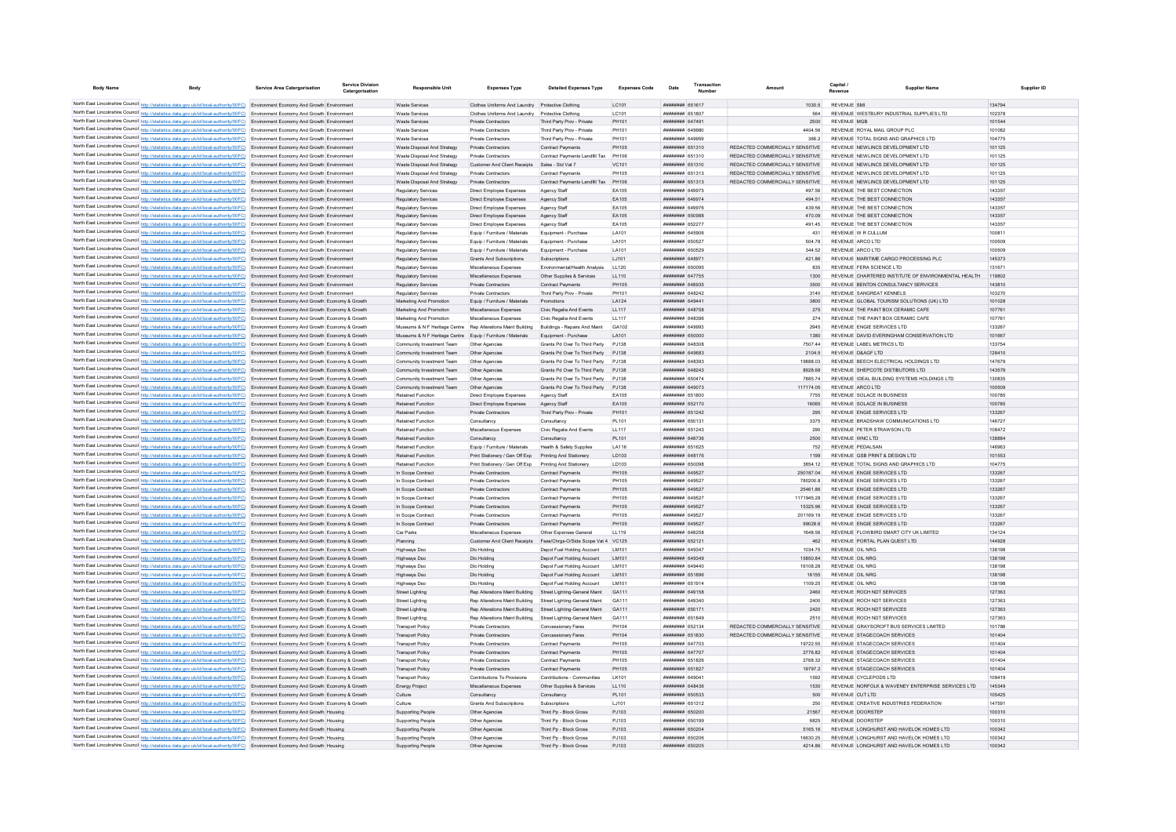| <b>Body Name</b>                            | <b>Body</b>                                                                                                                                                                                                                                                                      | <b>Service Area Catergorisation</b>       | <b>Service Division</b><br>Catergorisation | <b>Responsible Unit</b>                                      | <b>Expenses Type</b>                                                  | <b>Detailed Expenses Type</b>                              | <b>Expenses Code</b> | Date                               | Transactio |                                                                    | Canital<br>Revenue | <b>Supplier Name</b>                                                 | Supplier ID      |
|---------------------------------------------|----------------------------------------------------------------------------------------------------------------------------------------------------------------------------------------------------------------------------------------------------------------------------------|-------------------------------------------|--------------------------------------------|--------------------------------------------------------------|-----------------------------------------------------------------------|------------------------------------------------------------|----------------------|------------------------------------|------------|--------------------------------------------------------------------|--------------------|----------------------------------------------------------------------|------------------|
|                                             |                                                                                                                                                                                                                                                                                  |                                           |                                            |                                                              |                                                                       |                                                            |                      |                                    |            |                                                                    |                    |                                                                      |                  |
|                                             | North East Lincolnshire Council http://statistics.data.gov.uk/id/local-authority/00FC) Environment Economy And Growth Environment                                                                                                                                                |                                           |                                            | Waste Services                                               | Clothes Uniforms And Laundry Protective Clothing                      |                                                            | LC101                | <b><i>BREEZER 651617</i></b>       |            | 1030.5                                                             | REVENUE SML        |                                                                      | 134794           |
|                                             | North East Lincolnshire Council http://statistics.data.gov.uk/id/local-authority/00FC) Environment Economy And Growth Environment                                                                                                                                                |                                           |                                            | Waste Services                                               | Clothes Uniforms And Laundry Protective Clothing                      |                                                            | I C101               | ######## 651807                    |            | 564                                                                |                    | REVENUE WESTBURY INDUSTRIAL SUPPLIES LTD                             | 102378           |
|                                             | North East Lincolnshire Council http://statistics.data.gov.uk/id/local-authority/00FC) Environment Economy And Growth Environment                                                                                                                                                |                                           |                                            | Waste Services                                               | Private Contractors                                                   | Third Party Prov - Private                                 | PH101                | <b>HHHHHHH 647491</b>              |            | 2500                                                               |                    | REVENUE MGB                                                          | 101544           |
|                                             | North East Lincolnshire Council http://statistics.data.gov.uk/id/local-authority/00FC) Environment Economy And Growth Environment                                                                                                                                                |                                           |                                            | Waste Services                                               | Private Contractors                                                   | Third Party Prov - Private                                 | PH101                | ######## 649980                    |            | 4404.56                                                            |                    | REVENUE ROYAL MAIL GROUP PLC                                         | 101082           |
|                                             | North East Lincolnshire Council http://statistics.data.gov.uk/id/local-authority/00FC) Environment Economy And Growth Environment                                                                                                                                                |                                           |                                            | Waste Services                                               | <b>Private Contractors</b>                                            | Third Party Prov - Private                                 | PH101                | ######## 649959                    |            | 366.2                                                              |                    | REVENUE TOTAL SIGNS AND GRAPHICS LTD                                 | 104775           |
|                                             | North East Lincolnshire Council http://statistics.data.gov.uk/id/local-authority/00FC) Environment Economy And Growth Environment                                                                                                                                                |                                           |                                            | Waste Disposal And Strategy                                  | Private Contractors                                                   | Contract Payments                                          | <b>PH105</b>         | ######## 651310                    |            | REDACTED COMMERCIALLY SENSITIVE                                    |                    | REVENUE NEWLINCS DEVELOPMENT LTD                                     | 101125           |
|                                             | North East Lincolnshire Council http://statistics.data.gov.uk/id/local-authority/00FC) Environment Economy And Growth Environment<br>North East Lincolnshire Council http://statistics.data.gov.uk/id/local-authority/00FC) Environment Economy And Growth Environment           |                                           |                                            | Waste Disposal And Strategy<br>Waste Disposal And Strategy   | Private Contractors<br>Customer And Client Receipts Sales - Std Vat 7 | Contract Payments Landfill Tax                             | PH106<br>VC101       | ######## 651310<br>######## 651310 |            | REDACTED COMMERCIALLY SENSITIVE<br>REDACTED COMMERCIALLY SENSITIVE |                    | REVENUE NEWLINCS DEVELOPMENT LTD<br>REVENUE NEWLINCS DEVELOPMENT LTD | 101125<br>101125 |
|                                             | North East Lincolnshire Council http://statistics.data.gov.uk/id/local-authority/00FC) Environment Economy And Growth Environment                                                                                                                                                |                                           |                                            | Waste Disposal And Strategy                                  | Private Contractors                                                   | Contract Payments                                          | PH105                | <b>BRENHEM 651313</b>              |            | REDACTED COMMERCIALLY SENSITIVE.                                   |                    | REVENUE NEWLINGS DEVELOPMENT LTD.                                    | 101125           |
|                                             | North East Lincolnshire Council http://statistics.data.gov.uk/id/local-authority/00FC) Environment Economy And Growth Environment                                                                                                                                                |                                           |                                            | Waste Disposal And Strategy                                  | <b>Private Contractors</b>                                            | Contract Payments Landfill Tax                             | PH106                | ######## 651313                    |            | REDACTED COMMERCIALLY SENSITIVE                                    |                    | REVENUE NEWLINCS DEVELOPMENT LTD                                     | 101125           |
|                                             | North East Lincolnshire Council http://statistics.data.gov.uk/id/local-authority/00FC) Environment Economy And Growth Environmen                                                                                                                                                 |                                           |                                            | Regulatory Services                                          | Direct Employee Expenses                                              | Agency Staff                                               | EA105                | ######## 649975                    |            | 497.56                                                             |                    | REVENUE THE BEST CONNECTION                                          | 143357           |
|                                             | North East Lincolnshire Council http://statistics.data.gov.uk/id/local-authority/00FC)                                                                                                                                                                                           | Environment Economy And Growth Environmen |                                            | Regulatory Services                                          | Direct Employee Expenses                                              | Agency Staff                                               | EA105                | ######## 649974                    |            | 494.51                                                             |                    | REVENUE THE BEST CONNECTION                                          | 143357           |
|                                             | North East Lincolnshire Council http://statistics.data.gov.uk/id/local-authority/00FC) Environment Economy And Growth Environment                                                                                                                                                |                                           |                                            | Regulatory Services                                          | Direct Employee Expenser                                              | Agency Staff                                               | EA105                | ######## 649976                    |            | 439.56                                                             |                    | REVENUE THE BEST CONNECTION                                          | 143357           |
|                                             | North East Lincolnshire Council http://statistics.data.gov.uk/id/local-authority/00FC) Environment Economy And Growth Environment                                                                                                                                                |                                           |                                            | Regulatory Services                                          | Direct Employee Expenses                                              | Agency Staff                                               | EA105                | <b>BRANCHE GEOGRA</b>              |            | 470.09                                                             |                    | REVENUE THE BEST CONNECTION                                          | 143357           |
|                                             | North East Lincolnshire Council http://statistics.data.gov.uk/id/local-authority/00FC) Environment Economy And Growth Environment                                                                                                                                                |                                           |                                            | Regulatory Services                                          | Direct Employee Expenses                                              | Agency Staff                                               | EA105                | ######## 652277                    |            | 491.45                                                             |                    | REVENUE THE BEST CONNECTION                                          | 143357           |
|                                             | North East Lincolnshire Council http://statistics.data.gov.uk/id/local-authority/00FC) Environment Economy And Growth Environment                                                                                                                                                |                                           |                                            | Regulatory Services                                          | Equip / Furniture / Materials                                         | Equipment - Purchase                                       | LA101                | ######## 645906                    |            | 431                                                                |                    | REVENUE W R CULLUM                                                   | 100811           |
|                                             | North East Lincolnshire Council http://statistics.data.gov.uk/id/local-authority/00FC) Environment Economy And Growth Environment                                                                                                                                                |                                           |                                            | Regulatory Services                                          | Equip / Furniture / Materials                                         | Equipment - Purchase                                       | LA101                | ######## 650527                    |            | 504.78                                                             |                    | REVENUE ARCO LTD                                                     | 100509           |
|                                             | North East Lincolnshire Council http://statistics.data.gov.uk/id/local-authority/00FC) Environment Economy And Growth Environment                                                                                                                                                |                                           |                                            | Regulatory Services                                          | Equip / Furniture / Materials                                         | Equipment - Purchase                                       | LA101                | ######## 650529                    |            | 344.52                                                             |                    | REVENUE ARCO LTD                                                     | 100509           |
|                                             | North East Lincolnshire Council http://statistics.data.gov.uk/id/local-authority/00FC) Environment Economy And Growth Environmen                                                                                                                                                 |                                           |                                            | Regulatory Services                                          | <b>Grants And Subscriptions</b>                                       | Subscriptions                                              | LJ101                | ######## 64897                     |            | 421.86                                                             |                    | REVENUE MARITIME CARGO PROCESSING PLC                                | 145373           |
|                                             | North East Lincolnshire Council http://statistics.data.gov.uk/id/local-authority/00FC) Environment Economy And Growth Environment                                                                                                                                                |                                           |                                            | Regulatory Services                                          | Miscellaneous Expenses                                                | Environmental/Health Analysis                              | LL120                | ######## 650095                    |            | 835                                                                |                    | REVENUE FERA SCIENCE LTD                                             | 131671           |
|                                             | North East Lincolnshire Council http://statistics.data.gov.uk/id/local-authority/00FC) Environment Economy And Growth Environment                                                                                                                                                |                                           |                                            | <b>Regulatory Services</b>                                   | Miscellaneous Expenses                                                | Other Supplies & Services                                  | LL110                | ######## 647755                    |            | 1300                                                               |                    | REVENUE CHARTERED INSTITUTE OF ENVIRONMENTAL HEALTH                  | 119802           |
|                                             | North East Lincolnshire Council http://statistics.data.gov.uk/id/local-authority/00FC) Environment Economy And Growth Environment                                                                                                                                                |                                           |                                            | <b>Regulatory Services</b>                                   | Private Contractors                                                   | Contract Payments                                          | <b>PH105</b>         | ######## 648935                    |            | 3500                                                               |                    | REVENUE BENTON CONSULTANCY SERVICES                                  | 143810           |
|                                             | North East Lincolnshire Council http://statistics.data.gov.uk/id/local-authority/00FC) Environment Economy And Growth Environment                                                                                                                                                |                                           |                                            | Regulatory Services                                          | Private Contractors                                                   | Third Party Prov - Private                                 | PH101                | ####### 648242                     |            | 3140                                                               |                    | REVENUE SANGREAT KENNELS                                             | 103270           |
|                                             | North East Lincolnshire Council http://statistics.data.gov.uk/id/local-authority/00FC) Environment Economy And Growth Economy & Growth                                                                                                                                           |                                           |                                            | Marketing And Promotion                                      | Equip / Furniture / Materials                                         |                                                            | LA124                | ######## 64944                     |            | 3800                                                               |                    | REVENUE GLOBAL TOURISM SOLUTIONS (UK) LTD                            | 101028           |
|                                             | North East Lincolnshire Council http://statistics.data.gov.uk/id/local-authority/00FC) Environment Economy And Growth Economy & Growth                                                                                                                                           |                                           |                                            | Marketing And Promotion                                      | Miscellaneous Expenses                                                | Civic Regalia And Events                                   | LL117                | ######## 648758                    |            | 275                                                                |                    | REVENUE THE PAINT BOX CERAMIC CAFE                                   | 107761           |
|                                             | North East Lincolnshire Council http://statistics.data.gov.uk/id/local-authority/00FC) Environment Economy And Growth Economy & Growth                                                                                                                                           |                                           |                                            | Marketing And Promotion                                      | Miscellaneous Expenses                                                | Civic Regalia And Events                                   | 11 117               | пппппппп 648396                    |            | 274                                                                |                    | REVENUE THE PAINT BOX CERAMIC CAFE                                   | 107761           |
|                                             | North East Lincolnshire Council http://statistics.data.gov.uk/id/local-authority/00FC) Environment Economy And Growth Economy & Growth                                                                                                                                           |                                           |                                            | Museums & N F Heritage Centre Rep Alterations Maint Building |                                                                       | Buildings - Repairs And Maint                              | GA102                | <b><i>BRENHHHH 649993</i></b>      |            | 2945                                                               |                    | REVENUE ENGIE SERVICES I TD                                          | 133267           |
|                                             | North East Lincolnshire Council http://statistics.data.gov.uk/id/local-authority/00FC) Environment Economy And Growth Economy & Growth                                                                                                                                           |                                           |                                            | Museums & N E Heritage Centre Fouin / Furniture / Materials  |                                                                       | Foujoment - Purchase                                       | <b>IA101</b>         | ######## 650000                    |            | 1380                                                               |                    | REVENUE DAVID EVERINGHAM CONSERVATION LTD                            | 101667           |
|                                             | North East Lincolnshire Council http://statistics.data.gov.uk/id/local-authority/00FC) Environment Economy And Growth Economy & Growth                                                                                                                                           |                                           |                                            | Community Investment Team                                    | Other Agencies                                                        | Grants Pd Over To Third Party                              | P.1138               | ниннини 648308                     |            | 750744                                                             |                    | REVENUE LABEL METRICS LTD                                            | 133754           |
|                                             | North East Lincolnshire Council http://statistics.data.gov.uk/id/local-authority/00FC) Environment Economy And Growth Economy & Growth                                                                                                                                           |                                           |                                            | Community Investment Team                                    | Other Agencies                                                        | Grants Pd Over To Third Party                              | PJ138                | ######## 649683                    |            | 2104.5                                                             |                    | REVENUE D&AGF LTD                                                    | 128410           |
|                                             | North East Lincolnshire Council http://statistics.data.gov.uk/id/local-authority/00FC) Environment Economy And Growth Economy & Growth                                                                                                                                           |                                           |                                            | Community Investment Team                                    | Other Agencies                                                        | Grants Pd Over To Third Party                              | PJ138                | ######## 648393                    |            | 19888.03                                                           |                    | REVENUE BEECH ELECTRICAL HOLDINGS LTD                                | 147679           |
|                                             | North East Lincolnshire Council http://statistics.data.gov.uk/id/local-authority/00FC) Environment Economy And Growth Economy & Growth                                                                                                                                           |                                           |                                            | Community Investment Team                                    | Other Agencies                                                        | Grants Pd Over To Third Party                              | PJ138                | ######## 648243                    |            | 8928.68                                                            |                    | REVENUE SHEPCOTE DISTIBUTORS LTD                                     | 143579           |
|                                             | North East Lincolnshire Council http://statistics.data.gov.uk/id/local-authority/00FC) Environment Economy And Growth Economy & Growth                                                                                                                                           |                                           |                                            | Community Investment Team                                    | Other Anencies                                                        | Grants Pd Over To Third Party                              | P.1138               | ######## 650474                    |            | 7885 74                                                            |                    | REVENUE IDEAL BUILDING SYSTEMS HOLDINGS LTD                          | 130835           |
|                                             | North East Lincolnshire Council http://statistics.data.gov.uk/id/local-authority/00FC) Environment Economy And Growth Economy & Growth                                                                                                                                           |                                           |                                            | Community Investment Team                                    | Other Agencies                                                        | Grants Pd Over To Third Party                              | P.1138               | <b>HHHHHHHH 649073</b>             |            | 117174.05                                                          |                    | REVENUE ARCO LTD                                                     | 100509           |
|                                             | North East Lincolnshire Council http://statistics.data.gov.uk/id/local-authority/00FC) Environment Economy And Growth Economy & Growth                                                                                                                                           |                                           |                                            | <b>Retained Function</b>                                     | Direct Employee Expenses                                              | Agency Staff                                               | FA105                | ######## 651800                    |            | 7755                                                               |                    | REVENUE SOLACE IN BUSINESS                                           | 100785           |
| North East Lincolnshire Council http://stat | North East Lincolnshire Council http://statistics.data.gov.uk/id/local-authority/00FC) Environment Economy And Growth Economy & Growth                                                                                                                                           |                                           |                                            | <b>Retained Function</b>                                     | Direct Employee Expenses                                              | Agency Staff                                               | EA105                | ######## 652170                    |            | 16065                                                              |                    | REVENUE SOLACE IN BUSINESS                                           | 100785           |
|                                             | ics.data.gov.uk/id/local-authority/00FC) Environment Economy And Growth Economy & Growth                                                                                                                                                                                         |                                           |                                            | <b>Retained Function</b>                                     | Private Contractors                                                   | Third Party Prov - Private                                 | PH101                | ######## 651242                    |            | 295                                                                |                    | REVENUE ENGIE SERVICES LTD                                           | 133267           |
|                                             | North East Lincolnshire Council http://statistics.data.gov.uk/id/local-authority/00FC) Environment Economy And Growth Economy & Growth<br>North East Lincolnshire Council http://statistics.data.gov.uk/id/local-authority/00FC) Environment Economy And Growth Economy & Growth |                                           |                                            | <b>Retained Function</b><br><b>Retained Function</b>         | Consultancy<br>Miscellaneous Expenses                                 | Consultancy<br>Civic Regalia And Events                    | PL101<br>LL117       | ######## 65013<br>######## 651243  |            | 3375<br>290                                                        |                    | REVENUE BRADSHAW COMMUNICATIONS LTD<br>REVENUE PETER STRAWSON LTD    | 146727<br>108472 |
|                                             | North East Lincolnshire Council http://statistics.data.gov.uk/id/local-authority/00FC) Environment Economy And Growth Economy & Growth                                                                                                                                           |                                           |                                            | <b>Retained Function</b>                                     | Consultancy                                                           | Consultancy                                                | PL101                | <b><i>BREADHAN 648736</i></b>      |            | 2500                                                               |                    | REVENUE WNC LTD                                                      | 138884           |
|                                             | North East Lincolnshire Council http://statistics.data.gov.uk/id/local-authority/00FC) Environment Economy And Growth Economy & Growth                                                                                                                                           |                                           |                                            | Retained Function                                            | Equip / Furniture / Materials                                         | Health & Safety Supplies                                   | LA116                | ######## 651625                    |            | 752                                                                |                    | REVENUE PEDALSAN                                                     | 146963           |
|                                             | North East Lincolnshire Council http://statistics.data.gov.uk/id/local-authority/00FC) Environment Economy And Growth Economy & Growth                                                                                                                                           |                                           |                                            | Retained Function                                            | Print Stationery / Gen Off Exp                                        | Printing And Stationery                                    | LD103                | ####### 648176                     |            | 1199                                                               |                    | REVENUE GSB PRINT & DESIGN LTD                                       | 101553           |
|                                             | North East Lincolnshire Council http://statistics.data.gov.uk/id/local-authority/00FC) Environment Economy And Growth Economy & Growth                                                                                                                                           |                                           |                                            | <b>Retained Function</b>                                     | Print Stationery / Gen Off Exp                                        | Printing And Stationery                                    | LD103                | ######## 65009                     |            | 3854.12                                                            |                    | REVENUE TOTAL SIGNS AND GRAPHICS LTD                                 | 104775           |
|                                             | North East Lincolnshire Council http://statistics.data.gov.uk/id/local-authority/00FC) Environment Economy And Growth Economy & Growth                                                                                                                                           |                                           |                                            | In Scope Contract                                            | Private Contractors                                                   | Contract Payments                                          | PH105                | ######## 649527                    |            | 250187.04                                                          |                    | REVENUE ENGIE SERVICES LTD                                           | 133267           |
|                                             | North East Lincolnshire Council http://statistics.data.gov.uk/id/local-authority/00FC) Environment Economy And Growth Economy & Growth                                                                                                                                           |                                           |                                            | In Scope Contract                                            | Private Contractors                                                   | Contract Payments                                          | PH105                | нининни 649527                     |            | 7802008                                                            |                    | REVENUE ENGIE SERVICES LTD                                           | 133267           |
|                                             | North East Lincolnshire Council http://statistics.data.gov.uk/id/local-authority/00FC) Environment Economy And Growth Economy & Growth                                                                                                                                           |                                           |                                            | In Scope Contract                                            | Private Contractors                                                   | <b>Contract Payments</b>                                   | PH105                | <b>ППИНИНИ 649527</b>              |            | 2546186                                                            |                    | REVENUE ENGIE SERVICES LTD                                           | 133267           |
|                                             | North East Lincolnshire Council http://statistics.data.gov.uk/id/local-authority/00FC) Environment Economy And Growth Economy & Growth                                                                                                                                           |                                           |                                            | In Scope Contract                                            | Private Contractors                                                   | <b>Contract Payments</b>                                   | <b>PH105</b>         | ######## 649527                    |            | 1171945.28                                                         |                    | REVENUE ENGIE SERVICES LTD                                           | 133267           |
|                                             | North East Lincolnshire Council http://statistics.data.gov.uk/id/local-authority/00FC) Environment Economy And Growth Economy & Growth                                                                                                                                           |                                           |                                            | In Scope Contract                                            | Private Contractors                                                   | Contract Payments                                          | <b>PH105</b>         | ######## 649527                    |            | 15325.96                                                           |                    | REVENUE ENGIE SERVICES LTD                                           | 133267           |
|                                             | North East Lincolnshire Council http://statistics.data.gov.uk/id/local-authority/00FC) Environment Economy And Growth Economy & Growt                                                                                                                                            |                                           |                                            | In Scope Contrac                                             | Private Contractor                                                    | Contract Payment                                           | <b>PH105</b>         | ######## 649527                    |            | 201169.19                                                          |                    | REVENUE ENGIE SERVICES LTD                                           | 133267           |
|                                             | North East Lincolnshire Council http://statistics.data.gov.uk/id/local-authority/00FC) Environment Economy And Growth Economy & Growth                                                                                                                                           |                                           |                                            | In Scope Contract                                            | Private Contractors                                                   | Contract Payments                                          | <b>PH105</b>         | ######## 649527                    |            | 99028.6                                                            |                    | REVENUE ENGIE SERVICES LTD                                           | 133267           |
|                                             | North East Lincolnshire Council http://statistics.data.gov.uk/id/local-authority/00FC) Environment Economy And Growth Economy & Growth                                                                                                                                           |                                           |                                            | Car Parks                                                    | Miscellaneous Expenses                                                | Other Expenses General                                     | LL119                | ннинини 648258                     |            | 1648.56                                                            |                    | REVENUE FLOWBIRD SMART CITY UK LIMITED                               | 134124           |
|                                             | North East Lincolnshire Council http://statistics.data.gov.uk/id/local-authority/00FC) Environment Economy And Growth Economy & Growth                                                                                                                                           |                                           |                                            | Planning                                                     |                                                                       | Customer And Client Receipts Fees/Chras-O/Side Scope Vat 4 | VC125                | ######## 652121                    |            | 462                                                                |                    | REVENUE PORTAL PLAN QUEST LTD                                        | 144928           |
|                                             | North East Lincolnshire Council http://statistics.data.gov.uk/id/local-authority/00FC) Environment Economy And Growth Economy & Growth                                                                                                                                           |                                           |                                            | Highways Dso                                                 | Dio Holding                                                           | Depot Fuel Holding Account                                 | LM101                | ######## 649347                    |            | 1034.75                                                            |                    | REVENUE OIL NRG                                                      | 138198           |
|                                             | North East Lincolnshire Council http://statistics.data.gov.uk/id/local-authority/00FC) Environment Economy And Growth Economy & Growth                                                                                                                                           |                                           |                                            | <b>Highways Dso</b>                                          | Dlo Holding                                                           | Depot Fuel Holding Account                                 | LM101                | ######## 649349                    |            | 15850.84                                                           |                    | REVENUE OIL NRG                                                      | 138198           |
|                                             | North East Lincolnshire Council http://statistics.data.gov.uk/id/local-authority/00FC) Environment Economy And Growth Economy & Growth                                                                                                                                           |                                           |                                            | <b>Highways Dso</b>                                          | Dlo Holding                                                           | Depot Fuel Holding Account                                 | LM101                | ######## 649440                    |            | 16108.28                                                           |                    | REVENUE OIL NRG                                                      | 138198           |
|                                             | North East Lincolnshire Council http://statistics.data.gov.uk/id/local-authority/00FC) Environment Economy And Growth Economy & Growth                                                                                                                                           |                                           |                                            | <b>Highways Dso</b>                                          | Dlo Holding                                                           | Depot Fuel Holding Account                                 | LM101                | ######## 651896                    |            | 16155                                                              |                    | REVENUE OIL NRG                                                      | 138198           |
|                                             | North East Lincolnshire Council http://statistics.data.gov.uk/id/local-authority/00FC) Environment Economy And Growth Economy & Growth                                                                                                                                           |                                           |                                            | Highways Dso                                                 | Dio Holding                                                           | Depot Fuel Holding Account                                 | LM101                | ######## 651914                    |            | 1109.25                                                            |                    | REVENUE OIL NRG                                                      | 138198           |
|                                             | North East Lincolnshire Council http://statistics.data.gov.uk/id/local-authority/00FC) Environment Economy And Growth Economy & Growth                                                                                                                                           |                                           |                                            | <b>Street Lighting</b>                                       | Rep Alterations Maint Building                                        | Street Lighting-General Maint                              | GA111                | ######## 649158                    |            | 2460                                                               |                    | REVENUE ROCH NDT SERVICES                                            | 127363           |
|                                             | North East Lincolnshire Council http://statistics.data.gov.uk/id/local-authority/00FC) Environment Economy And Growth Economy & Growth                                                                                                                                           |                                           |                                            | <b>Street Lighting</b>                                       | Rep Alterations Maint Building                                        | Street Lighting-General Maint                              | GA111                | ######## 649340                    |            | 2400                                                               |                    | REVENUE ROCH NDT SERVICES                                            | 127363           |
|                                             | North East Lincolnshire Council http://statistics.data.gov.uk/id/local-authority/00FC) Environment Economy And Growth Economy & Growth                                                                                                                                           |                                           |                                            | <b>Street Lighting</b>                                       | Rep Alterations Maint Building                                        | Street Lighting-General Maint                              | GA111                | ######## 650171                    |            | 2420                                                               |                    | REVENUE ROCH NDT SERVICES                                            | 127363           |
|                                             | North East Lincolnshire Council http://statistics.data.gov.uk/id/local-authority/00FC) Environment Economy And Growth Economy & Growth                                                                                                                                           |                                           |                                            | <b>Street Lighting</b>                                       | Rep Alterations Maint Building                                        | Street Lighting-General Maint                              | GA111                | ######## 651849                    |            | 2510                                                               |                    | REVENUE ROCH NDT SERVICES                                            | 127363           |
|                                             | North East Lincolnshire Council http://statistics.data.gov.uk/id/local-authority/00FC) Environment Economy And Growth Economy & Growth                                                                                                                                           |                                           |                                            | <b>Transport Policy</b>                                      | Private Contractors                                                   | Concessionary Fares                                        | PH104                | ######## 652134                    |            | REDACTED COMMERCIALLY SENSITIVE                                    |                    | REVENUE GRAYSCROFT BUS SERVICES LIMITED                              | 101786           |
|                                             | North East Lincolnshire Council http://statistics.data.gov.uk/id/local-authority/00FC) Environment Economy And Growth Economy & Growth                                                                                                                                           |                                           |                                            | <b>Transport Policy</b>                                      | Private Contractors                                                   | Concessionary Fares                                        | PH104                | <b>########</b> 651830             |            | REDACTED COMMERCIALLY SENSITIVE                                    |                    | REVENUE STAGECOACH SERVICES                                          | 101404           |
|                                             | North East Lincolnshire Council http://statistics.data.gov.uk/id/local-authority/00FC) Environment Economy And Growth Economy & Growth                                                                                                                                           |                                           |                                            | <b>Transport Policy</b>                                      | Private Contractors                                                   | Contract Payments                                          | PH105                | <b><i>BRENHHHH 647703</i></b>      |            | 19722 55                                                           |                    | REVENUE STAGECOACH SERVICES                                          | 101404           |
|                                             | North East Lincolnshire Council http://statistics.data.gov.uk/id/local-authority/00FC) Environment Economy And Growth Economy & Growth                                                                                                                                           |                                           |                                            | <b>Transport Policy</b>                                      | Private Contractors                                                   | <b>Contract Payments</b>                                   | PH105                | <b><i>BRENHHHH 647707</i></b>      |            | 277682                                                             |                    | REVENUE STAGECOACH SERVICES                                          | 101404           |
|                                             | North East Lincolnshire Council http://statistics.data.gov.uk/id/local-authority/00FC) Environment Economy And Growth Economy & Growth                                                                                                                                           |                                           |                                            | <b>Transport Policy</b>                                      | Private Contractors                                                   | Contract Payments                                          | PH105                | ####### 651826                     |            | 2768.32                                                            |                    | REVENUE STAGECOACH SERVICES                                          | 101404           |
|                                             | North East Lincolnshire Council http://statistics.data.gov.uk/id/local-authority/00FC) Environment Economy And Growth Economy & Growth                                                                                                                                           |                                           |                                            | <b>Transport Policy</b>                                      | Private Contractors                                                   | Contract Payments                                          | <b>PH105</b>         | ######## 651827                    |            | 19797.2                                                            |                    | REVENUE STAGECOACH SERVICES                                          | 101404           |
|                                             | North East Lincolnshire Council http://statistics.data.gov.uk/id/local-authority/00FC) Environment Economy And Growth Economy & Growth                                                                                                                                           |                                           |                                            | <b>Transport Policy</b>                                      | Contributions To Provisions                                           | Contributions - Communities                                | LK101                | ######## 64904<br>пппппппп 648436  |            | 1592                                                               |                    | REVENUE CYCLEPODS LTD                                                | 109419<br>145349 |
|                                             | North East Lincolnshire Council http://statistics.data.gov.uk/id/local-authority/00FC) Environment Economy And Growth Economy & Growth<br>North East Lincolnshire Council http://statistics.data.gov.uk/id/local-authority/00FC) Environment Economy And Growth Economy & Growth |                                           |                                            | Energy Project<br>Culture                                    | Miscellaneous Expenses<br>Consultancy                                 | Other Supplies & Services<br>Consultancy                   | LL110<br>PL101       | ######## 650533                    |            | 1530<br>500                                                        |                    | REVENUE NORFOLK & WAVENEY ENTERPRISE SERVICES LTD<br>REVENUE CUT LTD | 105425           |
|                                             | North East Lincolnshire Council http://statistics.data.gov.uk/id/local-authority/00FC) Environment Economy And Growth Economy & Growth                                                                                                                                           |                                           |                                            | Culture                                                      | Grants And Subscriptions                                              | Subscriptions                                              | 1.1101               | ######## 651312                    |            | 250                                                                |                    | REVENUE CREATIVE INDUSTRIES FEDERATION                               | 147591           |
|                                             | North East Lincolnshire Council http://statistics.data.gov.uk/id/local-authority/00FC) Environment Economy And Growth Housing                                                                                                                                                    |                                           |                                            | Supporting People                                            | Other Agencies                                                        | Third Pp - Block Gross                                     | PJ103                | ######## 650200                    |            | 21567                                                              |                    | REVENUE DOORSTEP                                                     | 100310           |
|                                             | North East Lincolnshire Council http://statistics.data.gov.uk/id/local-authority/00FC) Environment Economy And Growth Housing                                                                                                                                                    |                                           |                                            | Supporting People                                            | Other Agencie                                                         | Third Pp - Block Gross                                     | PJ103                |                                    |            | 6825                                                               |                    | REVENUE DOORSTER                                                     | 100310           |
|                                             | North East Lincolnshire Council http://statistics.data.gov.uk/id/local-authority/00FC) Environment Economy And Growth Housing                                                                                                                                                    |                                           |                                            | Supporting People                                            | Other Agencies                                                        | Third Po - Block Gross                                     | PJ103                | ######## 650204                    |            | 5165.16                                                            |                    | REVENUE LONGHURST AND HAVELOK HOMES LTD                              | 100342           |
|                                             | North East Lincolnshire Council http://statistics.data.gov.uk/id/local-authority/00FC) Environment Economy And Growth Housing                                                                                                                                                    |                                           |                                            | <b>Supporting People</b>                                     | Other Agencies                                                        | Third Pp - Block Gross                                     | PJ103                | ######## 650206                    |            | 16630.25                                                           |                    | REVENUE LONGHURST AND HAVELOK HOMES LTD                              | 100342           |
|                                             | North East Lincolnshire Council http://statistics.data.gov.uk/id/local-authority/00FC) Environment Economy And Growth Housing                                                                                                                                                    |                                           |                                            | Supporting People                                            | Other Agencies                                                        | Third Pp - Block Gross                                     | P.1103               | ######## 650205                    |            | 4214 86                                                            |                    | REVENUE LONGHURST AND HAVELOK HOMES LTD                              | 100342           |
|                                             |                                                                                                                                                                                                                                                                                  |                                           |                                            |                                                              |                                                                       |                                                            |                      |                                    |            |                                                                    |                    |                                                                      |                  |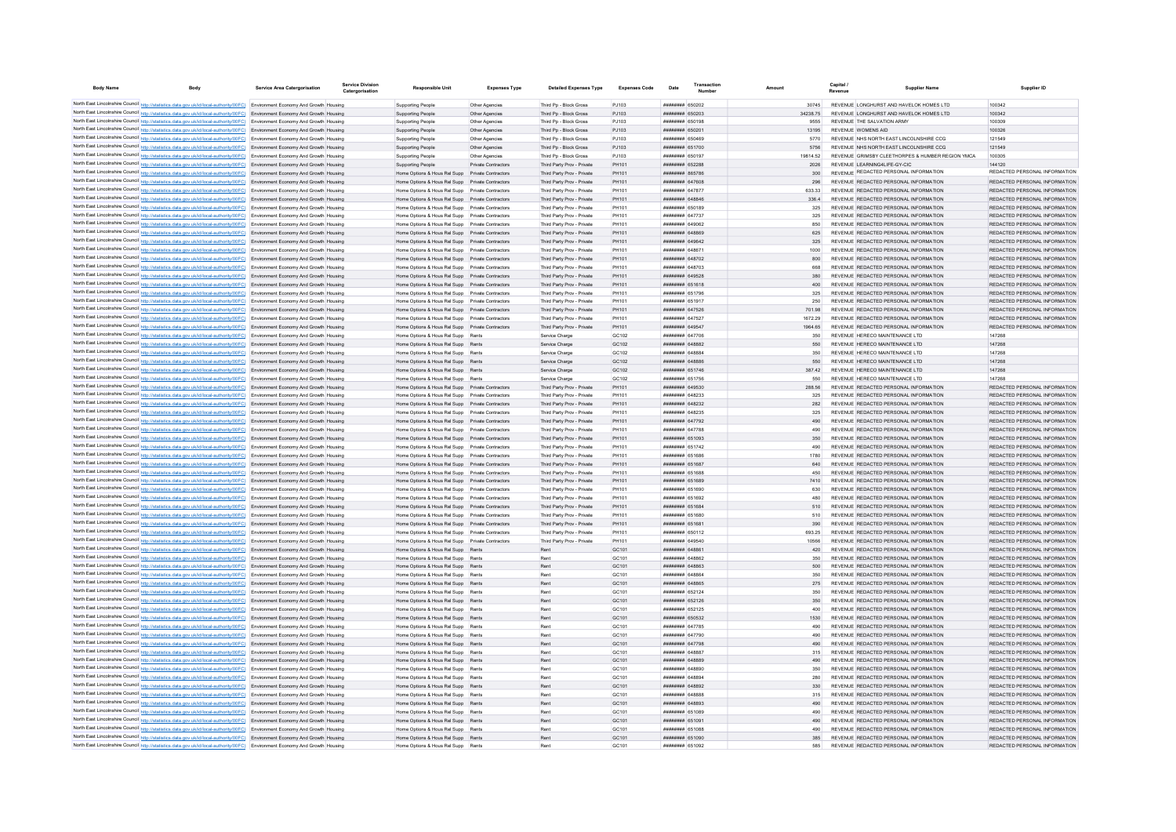| <b>Body Name</b> | <b>Body</b>                                                                                                                                                                                                                                                    | <b>Service Area Catergorisation</b> | <b>Service Divisio</b><br>Catergorisation | <b>Responsible Unit</b>                                                                              | <b>Expenses Type</b>                  | <b>Detailed Expenses Type</b>                            | <b>Expenses Code</b> | Date                                      |                   | <b>Supplier Name</b><br>Revenue                                                   | Supplier ID                                                    |
|------------------|----------------------------------------------------------------------------------------------------------------------------------------------------------------------------------------------------------------------------------------------------------------|-------------------------------------|-------------------------------------------|------------------------------------------------------------------------------------------------------|---------------------------------------|----------------------------------------------------------|----------------------|-------------------------------------------|-------------------|-----------------------------------------------------------------------------------|----------------------------------------------------------------|
|                  | North East Lincolnshire Council http://statistics.data.gov.uk/id/local-authority/00FC) Environment Economy And Growth Housing                                                                                                                                  |                                     |                                           | Supporting People                                                                                    | Other Agencies                        | Third Pp - Block Gross                                   | P.1103               | <b>######## 650202</b>                    | 30745             | REVENUE LONGHURST AND HAVELOK HOMES LTD                                           | 100342                                                         |
|                  | North East Lincolnshire Council http://statistics.data.gov.uk/id/local-authority/00FC) Environment Economy And Growth Housing                                                                                                                                  |                                     |                                           | <b>Supporting People</b>                                                                             | Other Agencies                        | Third Pp - Block Gross                                   | PJ103                | FOCO2A HHHHHHH                            | 3423875           | REVENUE LONGHURST AND HAVELOK HOMES LTD.                                          | 100342                                                         |
|                  | North East Lincolnshire Council http://statistics.data.gov.uk/id/local-authority/00FC) Environment Economy And Growth Housing                                                                                                                                  |                                     |                                           | Supporting People                                                                                    | Other Agencies                        | Third Pp - Block Gross                                   | P.1103               | 801039 <del>Bunner</del>                  | 9555              | REVENUE THE SALVATION ARMY                                                        | 100309                                                         |
|                  | North East Lincolnshire Council http://statistics.data.gov.uk/id/local-authority/00FC) Environment Economy And Growth Housing                                                                                                                                  |                                     |                                           | Supporting People                                                                                    | Other Agencies                        | Third Po - Block Gross                                   | P.1103               | ######## 650201                           | 13195             | REVENUE WOMENS AID                                                                | 100326                                                         |
|                  | North East Lincolnshire Council http://statistics.data.gov.uk/id/local-authority/00FC) Environment Economy And Growth Housing                                                                                                                                  |                                     |                                           | Supporting People                                                                                    | Other Agencies                        | Third Pp - Block Gross                                   | P.1103               | <b>########</b> 650469                    | 5770              | REVENUE NHS NORTH EAST LINCOLNSHIRE CCG                                           | 121549                                                         |
|                  | North East Lincolnshire Council http://statistics.data.gov.uk/id/local-authority/00FC) Environment Economy And Growth Housing                                                                                                                                  |                                     |                                           | Supporting People                                                                                    | Other Agencies                        | Third Pp - Block Gross                                   | PJ103                | ######## 651700                           | 5756              | REVENUE NHS NORTH EAST LINCOLNSHIRE CCG                                           | 121549                                                         |
|                  | North East Lincolnshire Council http://statistics.data.gov.uk/id/local-authority/00FC) Environment Economy And Growth Housing<br>North East Lincolnshire Council http://statistics.data.gov.uk/id/local-authority/00FC) Environment Economy And Growth Housing |                                     |                                           | Supporting People                                                                                    | Other Agencies<br>Private Contractors | Third Pp - Block Gross                                   | PJ103<br>PH101       | <b>########</b> 650197<br>######## 652288 | 19814.52<br>2026  | REVENUE GRIMSBY CLEETHORPES & HUMBER REGION YMCA<br>REVENUE I FARNING4LIFF-GY-CIC | 100305<br>144120                                               |
|                  | North East Lincolnshire Council http://statistics.data.gov.uk/id/local-authority/00FC) Environment Economy And Growth Housing                                                                                                                                  |                                     |                                           | Supporting People<br>Home Options & Hous Rel Supp Private Contractors                                |                                       | Third Party Prov - Private<br>Third Party Prov - Private | PH101                | ######## 865786                           | 300               | REVENUE REDACTED PERSONAL INFORMATION                                             | REDACTED PERSONAL INFORMATION                                  |
|                  | North East Lincolnshire Council http://statistics.data.gov.uk/id/local-authority/00FC) Environment Economy And Growth Housing                                                                                                                                  |                                     |                                           | Home Options & Hous Rel Supp Private Contractors                                                     |                                       | Third Party Prov - Private                               | PH101                | <b>НЕННИНИ 647608</b>                     | 296               | REVENUE REDACTED PERSONAL INFORMATION                                             | REDACTED PERSONAL INFORMATION                                  |
|                  | North East Lincolnshire Council http://statistics.data.gov.uk/id/local-authority/00FC) Environment Economy And Growth Housing                                                                                                                                  |                                     |                                           | Home Options & Hous Rel Supp Private Contractors                                                     |                                       | Third Party Prov - Private                               | PH101                | ######## 647877                           | 633.33            | REVENUE REDACTED PERSONAL INFORMATION                                             | REDACTED PERSONAL INFORMATION                                  |
|                  | North East Lincolnshire Council http://statistics.data.gov.uk/id/local-authority/00FC) Environment Economy And Growth Housing                                                                                                                                  |                                     |                                           | Home Options & Hous Rel Supp Private Contractors                                                     |                                       | Third Party Prov - Private                               | PH101                | ######## 648846                           | 336.4             | REVENUE REDACTED PERSONAL INFORMATION                                             | REDACTED PERSONAL INFORMATION                                  |
|                  | North East Lincolnshire Council http://statistics.data.gov.uk/id/local-authority/00FC) Environment Economy And Growth Housing                                                                                                                                  |                                     |                                           | Home Options & Hous Rel Supp Private Contractors                                                     |                                       | Third Party Prov - Private                               | PH101                | <b>########</b> 650189                    | 325               | REVENUE REDACTED PERSONAL INFORMATION                                             | REDACTED PERSONAL INFORMATION                                  |
|                  | North East Lincolnshire Council http://statistics.data.gov.uk/id/local-authority/00FC) Environment Economy And Growth Housing                                                                                                                                  |                                     |                                           | Home Options & Hous Rel Supp Private Contractors                                                     |                                       | Third Party Prov - Private                               | PH101                | <b>пппппппп</b> 647737                    | 325               | REVENUE REDACTED PERSONAL INFORMATION                                             | REDACTED PERSONAL INFORMATION                                  |
|                  | North East Lincolnshire Council http://statistics.data.gov.uk/id/local-authority/00FC) Environment Economy And Growth Housing                                                                                                                                  |                                     |                                           | Home Options & Hous Rel Supp Private Contractors                                                     |                                       | Third Party Prov - Private                               | PH101                | <b>плинини 649062</b>                     | 850               | REVENUE REDACTED PERSONAL INFORMATION                                             | REDACTED PERSONAL INFORMATION                                  |
|                  | North East Lincolnshire Council http://statistics.data.gov.uk/id/local-authority/00FC) Environment Economy And Growth Housing                                                                                                                                  |                                     |                                           | Home Options & Hous Rel Supp Private Contractors                                                     |                                       | Third Party Prov - Private                               | PH101                | плинини 648869                            | 625               | REVENUE REDACTED PERSONAL INFORMATION                                             | REDACTED PERSONAL INFORMATION                                  |
|                  | North East Lincolnshire Council http://statistics.data.gov.uk/id/local-authority/00FC) Environment Economy And Growth Housing                                                                                                                                  |                                     |                                           | Home Options & Hous Rel Supp Private Contractors                                                     |                                       | Third Party Prov - Private                               | PH101                | ######## 649642                           | 325               | REVENUE REDACTED PERSONAL INFORMATION                                             | REDACTED PERSONAL INFORMATION                                  |
|                  | North East Lincolnshire Council http://statistics.data.gov.uk/id/local-authority/00FC) Environment Economy And Growth Housing                                                                                                                                  |                                     |                                           | Home Options & Hous Rel Supp Private Contractors                                                     |                                       | Third Party Prov - Private                               | PH101                | ######## 648671                           | 1000              | REVENUE REDACTED PERSONAL INFORMATION                                             | REDACTED PERSONAL INFORMATION                                  |
|                  | North East Lincolnshire Council http://statistics.data.gov.uk/id/local-authority/00FC) Environment Economy And Growth Housing                                                                                                                                  |                                     |                                           | Home Options & Hous Rel Supp Private Contractors                                                     |                                       | Third Party Prov - Private                               | PH101                | ######## 648702                           | 800               | REVENUE REDACTED PERSONAL INFORMATION                                             | REDACTED PERSONAL INFORMATION                                  |
|                  | North East Lincolnshire Council http://statistics.data.gov.uk/id/local-authority/00FC) Environment Economy And Growth Housing                                                                                                                                  |                                     |                                           | Home Options & Hous Rel Supp Private Contractors                                                     |                                       | Third Party Prov - Private                               | PH101<br>PH101       | <b>пппппппп</b> 648703<br>ниннинн слосов  | <b>Baa</b><br>380 | REVENUE REDACTED PERSONAL INFORMATION<br>REVENUE REDACTED PERSONAL INFORMATION    | REDACTED PERSONAL INFORMATION<br>REDACTED PERSONAL INFORMATION |
|                  | North East Lincolnshire Council http://statistics.data.gov.uk/id/local-authority/00FC) Environment Economy And Growth Housing                                                                                                                                  |                                     |                                           | Home Options & Hous Rel Supp Private Contractors<br>Home Options & Hous Rel Supp Private Contractors |                                       | Third Party Prov - Private<br>Third Party Prov - Private | PH101                | <b>########</b> 651618                    | $A \cap \cap$     | REVENUE REDACTED PERSONAL INFORMATION                                             | REDACTED PERSONAL INFORMATION                                  |
|                  | North East Lincolnshire Council http://statistics.data.gov.uk/id/local-authority/00FC) Environment Economy And Growth Housing<br>North East Lincolnshire Council http://statistics.data.gov.uk/id/local-authority/00FC) Environment Economy And Growth Housing |                                     |                                           | Home Options & Hous Rel Supp Private Contractors                                                     |                                       | Third Party Prov - Private                               | PH101                | ######## 651796                           | 325               | REVENUE REDACTED PERSONAL INFORMATION                                             | REDACTED PERSONAL INFORMATION                                  |
|                  | North East Lincolnshire Council http://statistics.data.gov.uk/id/local-authority/00FC) Environment Economy And Growth Housing                                                                                                                                  |                                     |                                           | Home Options & Hous Rel Supp Private Contractors                                                     |                                       | Third Party Prov - Private                               | PH101                | <b>########</b> 651917                    | 250               | REVENUE REDACTED PERSONAL INFORMATION                                             | REDACTED PERSONAL INFORMATION                                  |
|                  | North East Lincolnshire Council http://statistics.data.gov.uk/id/local-authority/00FC) Environment Economy And Growth Housing                                                                                                                                  |                                     |                                           | Home Options & Hous Rel Supp Private Contractors                                                     |                                       | Third Party Prov - Private                               | PH101                | <b>######## 647526</b>                    | 701.98            | REVENUE REDACTED PERSONAL INFORMATION                                             | REDACTED PERSONAL INFORMATION                                  |
|                  | North East Lincolnshire Council http://statistics.data.gov.uk/id/local-authority/00FC) Environment Economy And Growth Housing                                                                                                                                  |                                     |                                           | Home Options & Hous Rel Supp Private Contractors                                                     |                                       | Third Party Prov - Private                               | PH101                | <b><i>BRENHHHH 647527</i></b>             | 1672.29           | REVENUE REDACTED PERSONAL INFORMATION                                             | REDACTED PERSONAL INFORMATION                                  |
|                  | North East Lincolnshire Council http://statistics.data.gov.uk/id/local-authority/00FC) Environment Economy And Growth Housing                                                                                                                                  |                                     |                                           |                                                                                                      |                                       | Third Party Prov - Private                               | PH101                | <b>ППИНИНИ 649547</b>                     | 1964 65           | REVENUE REDACTED PERSONAL INFORMATION                                             | REDACTED PERSONAL INFORMATION                                  |
|                  | North East Lincolnshire Council http://statistics.data.gov.uk/id/local-authority/00FC) Environment Economy And Growth Housing                                                                                                                                  |                                     |                                           | Home Options & Hous Rel Supp Rents                                                                   |                                       | Service Charge                                           | GC102                | <b><i>BREADHAMH 647706</i></b>            | 350               | REVENUE HERECO MAINTENANCE LTD                                                    | 147268                                                         |
|                  | North East Lincolnshire Council http://statistics.data.gov.uk/id/local-authority/00FC) Environment Economy And Growth Housing                                                                                                                                  |                                     |                                           | Home Options & Hous Rel Supp Rents                                                                   |                                       | Service Charge                                           | GC102                | пппппппп 648882                           | 550               | REVENUE HERECO MAINTENANCE LTD                                                    | 147268                                                         |
|                  | North East Lincolnshire Council http://statistics.data.gov.uk/id/local-authority/00FC) Environment Economy And Growth Housing                                                                                                                                  |                                     |                                           | Home Options & Hous Rel Supp Rents                                                                   |                                       | Service Charge                                           | GC102                | пппппппп 648884                           | 350               | REVENUE HERECO MAINTENANCE LTD                                                    | 147268                                                         |
|                  | North East Lincolnshire Council http://statistics.data.gov.uk/id/local-authority/00FC) Environment Economy And Growth Housing                                                                                                                                  |                                     |                                           | Home Options & Hous Rel Supp Rents                                                                   |                                       | Service Charge                                           | GC102                | <b>HUHHHHH</b> 648886                     | 550               | REVENUE HERECO MAINTENANCE LTD                                                    | 147268                                                         |
|                  | North East Lincolnshire Council http://statistics.data.gov.uk/id/local-authority/00FC) Environment Economy And Growth Housing                                                                                                                                  |                                     |                                           | Home Options & Hous Rel Supp Rents                                                                   |                                       | Service Charge                                           | GC102                | ####### 651746                            | 387.42            | REVENUE HERECO MAINTENANCE LTD                                                    | 147268                                                         |
|                  | North East Lincolnshire Council http://statistics.data.gov.uk/id/local-authority/00FC) Environment Economy And Growth Housing                                                                                                                                  |                                     |                                           | Home Options & Hous Rel Supp Rents                                                                   |                                       | Service Charge                                           | GC102                | ######## 651756                           | 550               | REVENUE HERECO MAINTENANCE LTD                                                    | 147268                                                         |
|                  | North East Lincolnshire Council http://statistics.data.gov.uk/id/local-authority/00FC) Environment Economy And Growth Housing                                                                                                                                  |                                     |                                           | Home Options & Hous Rel Supp Private Contractors                                                     |                                       | Third Party Prov - Private                               | PH101                | ######## 649530                           | 288.56            | REVENUE REDACTED PERSONAL INFORMATION                                             | REDACTED PERSONAL INFORMATION                                  |
|                  | North East Lincolnshire Council http://statistics.data.gov.uk/id/local-authority/00FC) Environment Economy And Growth Housing                                                                                                                                  |                                     |                                           | Home Options & Hous Rel Supp Private Contractors                                                     |                                       | Third Party Prov - Private                               | PH101<br>PH101       | <b>HHHHHHH 648233</b>                     | 325<br>282        | REVENUE REDACTED PERSONAL INFORMATION<br>REVENUE REDACTED PERSONAL INFORMATION    | REDACTED PERSONAL INFORMATION<br>REDACTED PERSONAL INFORMATION |
|                  | North East Lincolnshire Council http://statistics.data.gov.uk/id/local-authority/00FC) Environment Economy And Growth Housing<br>North East Lincolnshire Council http://statistics.data.gov.uk/id/local-authority/00FC) Environment Economy And Growth Housing |                                     |                                           | Home Options & Hous Rel Supp Private Contractors<br>Home Options & Hous Rel Supp Private Contractors |                                       | Third Party Prov - Private<br>Third Party Prov - Private | PH101                | ######## 648232<br>####### 648235         | 325               | REVENUE REDACTED PERSONAL INFORMATION                                             | REDACTED PERSONAL INFORMATION                                  |
|                  | North East Lincolnshire Council http://statistics.data.gov.uk/id/local-authority/00FC) Environment Economy And Growth Housing                                                                                                                                  |                                     |                                           | Home Options & Hous Rel Supp Private Contractors                                                     |                                       | Third Party Prov - Private                               | PH101                | ######## 647792                           | 490               | REVENUE REDACTED PERSONAL INFORMATION                                             | REDACTED PERSONAL INFORMATION                                  |
|                  | North East Lincolnshire Council http://statistics.data.gov.uk/id/local-authority/00FC) Environment Economy And Growth Housing                                                                                                                                  |                                     |                                           | Home Options & Hous Rel Supp Private Contractors                                                     |                                       | Third Party Prov - Private                               | PH101                | <b><i>BREADER BATTRR</i></b>              | 490               | REVENUE REDACTED PERSONAL INFORMATION                                             | REDACTED PERSONAL INFORMATION                                  |
|                  | North East Lincolnshire Council http://statistics.data.gov.uk/id/local-authority/00FC) Environment Economy And Growth Housing                                                                                                                                  |                                     |                                           | Home Options & Hous Rel Supp Private Contractors                                                     |                                       | Third Party Prov - Private                               | PH101                | ######## 651093                           | 350               | REVENUE REDACTED PERSONAL INFORMATION                                             | REDACTED PERSONAL INFORMATION                                  |
|                  | North East Lincolnshire Council http://statistics.data.gov.uk/id/local-authority/00FC) Environment Economy And Growth Housing                                                                                                                                  |                                     |                                           | Home Options & Hous Rel Supp Private Contractors                                                     |                                       | Third Party Prov - Private                               | PH101                | <b>пппппппп</b> 651742                    | 490               | REVENUE REDACTED PERSONAL INFORMATION                                             | REDACTED PERSONAL INFORMATION                                  |
|                  | North East Lincolnshire Council http://statistics.data.gov.uk/id/local-authority/00FC) Environment Economy And Growth Housing                                                                                                                                  |                                     |                                           | Home Options & Hous Rel Supp Private Contractors                                                     |                                       | Third Party Prov - Private                               | PH101                | ######## 651686                           | 1780              | REVENUE REDACTED PERSONAL INFORMATION                                             | REDACTED PERSONAL INFORMATION                                  |
|                  | North East Lincolnshire Council http://statistics.data.gov.uk/id/local-authority/00FC) Environment Economy And Growth Housing                                                                                                                                  |                                     |                                           | Home Options & Hous Rel Supp Private Contractors                                                     |                                       | Third Party Prov - Private                               | PH101                | ######## 651687                           | 640               | REVENUE REDACTED PERSONAL INFORMATION                                             | REDACTED PERSONAL INFORMATION                                  |
|                  | North East Lincolnshire Council http://statistics.data.gov.uk/id/local-authority/00FC) Environment Economy And Growth Housing                                                                                                                                  |                                     |                                           |                                                                                                      |                                       | Third Party Prov - Private                               | PH101                | ######## 651688                           | 450               | REVENUE REDACTED PERSONAL INFORMATION                                             | REDACTED PERSONAL INFORMATION                                  |
|                  | North East Lincolnshire Council http://statistics.data.gov.uk/id/local-authority/00FC) Environment Economy And Growth Housing                                                                                                                                  |                                     |                                           | Home Options & Hous Rel Supp Private Contractors                                                     |                                       | Third Party Prov - Private                               | PH101                | ######## 651689                           | 7410              | REVENUE REDACTED PERSONAL INFORMATION                                             | REDACTED PERSONAL INFORMATION                                  |
|                  | North East Lincolnshire Council http://statistics.data.gov.uk/id/local-authority/00FC) Environment Economy And Growth Housing                                                                                                                                  |                                     |                                           | Home Options & Hous Rel Supp Private Contractors                                                     |                                       | Third Party Prov - Private                               | PH101                | ######## 651690                           | 630               | REVENUE REDACTED PERSONAL INFORMATION                                             | REDACTED PERSONAL INFORMATION                                  |
|                  | North East Lincolnshire Council http://statistics.data.gov.uk/id/local-authority/00FC) Environment Economy And Growth Housing                                                                                                                                  |                                     |                                           |                                                                                                      |                                       | Third Party Prov - Private                               | PH101                | <b>ПЕВЕЦИЕ 651692</b>                     | 480               | REVENUE REDACTED PERSONAL INFORMATION                                             | REDACTED PERSONAL INFORMATION                                  |
|                  | North East Lincolnshire Council http://statistics.data.gov.uk/id/local-authority/00FC) Environment Economy And Growth Housing                                                                                                                                  |                                     |                                           | Home Options & Hous Rel Supp Private Contractors                                                     |                                       | Third Party Prov - Private                               | PH101<br>PH101       | <b>########</b> 651684<br>083124 HEBREAR  | 510<br>510        | REVENUE REDACTED PERSONAL INFORMATION<br>REVENUE REDACTED PERSONAL INFORMATION    | REDACTED PERSONAL INFORMATION<br>REDACTED PERSONAL INFORMATION |
|                  | North East Lincolnshire Council http://statistics.data.gov.uk/id/local-authority/00FC) Environment Economy And Growth Housing<br>North East Lincolnshire Council http://statistics.data.gov.uk/id/local-authority/00FC) Environment Economy And Growth Housing |                                     |                                           | Home Options & Hous Rel Supp Private Contractors<br>Home Options & Hous Rel Supp Private Contractors |                                       | Third Party Prov - Private<br>Third Party Prov - Private | PH101                | <b>HARABAR 651681</b>                     | 390               | REVENUE REDACTED PERSONAL INFORMATION                                             | REDACTED PERSONAL INFORMATION                                  |
|                  | North East Lincolnshire Council http://statistics.data.gov.uk/id/local-authority/00FC) Environment Economy And Growth Housing                                                                                                                                  |                                     |                                           | Home Options & Hous Rel Supp Private Contractors                                                     |                                       | Third Party Prov - Private                               | PH101                | ####### 650112                            | 693.25            | REVENUE REDACTED PERSONAL INFORMATION                                             | REDACTED PERSONAL INFORMATION                                  |
|                  | North East Lincolnshire Council http://statistics.data.gov.uk/id/local-authority/00FC) Environment Economy And Growth Housing                                                                                                                                  |                                     |                                           | Home Options & Hous Rel Supp Private Contractors                                                     |                                       | Third Party Prov - Private                               | PH101                | HHHHHHH GAOSAN                            | 10566             | REVENUE REDACTED PERSONAL INFORMATION                                             | REDACTED PERSONAL INFORMATION                                  |
|                  | North East Lincolnshire Council http://statistics.data.gov.uk/id/local-authority/00FC) Environment Economy And Growth Housing                                                                                                                                  |                                     |                                           | Home Options & Hous Rel Supp Rents                                                                   |                                       | Rent                                                     | GC101                | <b><i><u>HHHHHHH</u></i></b> 648861       | 420               | REVENUE REDACTED PERSONAL INFORMATION                                             | REDACTED PERSONAL INFORMATION                                  |
|                  | North East Lincolnshire Council http://statistics.data.gov.uk/id/local-authority/00FC) Environment Economy And Growth Housing                                                                                                                                  |                                     |                                           | Home Options & Hous Rel Supp Rents                                                                   |                                       | Rent                                                     | GC101                | пининни 648862                            | 350               | REVENUE REDACTED PERSONAL INFORMATION                                             | REDACTED PERSONAL INFORMATION                                  |
|                  | North East Lincolnshire Council http://statistics.data.gov.uk/id/local-authority/00FC) Environment Economy And Growth Housing                                                                                                                                  |                                     |                                           | Home Options & Hous Rel Supp Rents                                                                   |                                       | Rent                                                     | GC101                | HHHHHHH 648863                            | 500               | REVENUE REDACTED PERSONAL INFORMATION                                             | REDACTED PERSONAL INFORMATION                                  |
|                  | North East Lincolnshire Council http://statistics.data.gov.uk/id/local-authority/00FC) Environment Economy And Growth Housing                                                                                                                                  |                                     |                                           | Home Options & Hous Rel Supp Rents                                                                   |                                       | Rent                                                     | GC101                | <b>HEREHARE GARREA</b>                    | 350               | REVENUE REDACTED PERSONAL INFORMATION                                             | REDACTED PERSONAL INFORMATION                                  |
|                  | North East Lincolnshire Council http://statistics.data.gov.uk/id/local-authority/00FC) Environment Economy And Growth Housing                                                                                                                                  |                                     |                                           | Home Options & Hous Rel Supp Rents                                                                   |                                       | Rent                                                     | GC101                | ####### 648865                            | 275               | REVENUE REDACTED PERSONAL INFORMATION                                             | REDACTED PERSONAL INFORMATION                                  |
|                  | North East Lincolnshire Council http://statistics.data.gov.uk/id/local-authority/00FC) Environment Economy And Growth Housing                                                                                                                                  |                                     |                                           | Home Options & Hous Rel Supp Rents                                                                   |                                       | Rent                                                     | GC101                | ######## 652124                           | 350               | REVENUE REDACTED PERSONAL INFORMATION                                             | REDACTED PERSONAL INFORMATION                                  |
|                  | North East Lincolnshire Council http://statistics.data.gov.uk/id/local-authority/00FC) Environment Economy And Growth Housing                                                                                                                                  |                                     |                                           | Home Options & Hous Rel Supp Rents                                                                   |                                       | Rent                                                     | GC101                | ######## 652126                           | 350               | REVENUE REDACTED PERSONAL INFORMATION                                             | REDACTED PERSONAL INFORMATION                                  |
|                  | North East Lincolnshire Council http://statistics.data.gov.uk/id/local-authority/00FC) Environment Economy And Growth Housing                                                                                                                                  |                                     |                                           | Home Options & Hous Rel Supp Rents                                                                   |                                       | Rent                                                     | GC <sub>101</sub>    | <b>####### 652125</b>                     | 400               | REVENUE REDACTED PERSONAL INFORMATION                                             | REDACTED PERSONAL INFORMATION                                  |
|                  | North East Lincolnshire Council http://statistics.data.gov.uk/id/local-authority/00FC) Environment Economy And Growth Housing                                                                                                                                  |                                     |                                           | Home Options & Hous Rel Supp Rents                                                                   |                                       | Rent                                                     | GC101                | ######## 650532                           | 1530              | REVENUE REDACTED PERSONAL INFORMATION                                             | REDACTED PERSONAL INFORMATION                                  |
|                  | North East Lincolnshire Council http://statistics.data.gov.uk/id/local-authority/00FC) Environment Economy And Growth Housing                                                                                                                                  |                                     |                                           | Home Options & Hous Rel Supp Rents                                                                   |                                       | Rent                                                     | GC101                | ######## 647785                           | 490               | REVENUE REDACTED PERSONAL INFORMATION                                             | REDACTED PERSONAL INFORMATION                                  |
|                  | North East Lincolnshire Council http://statistics.data.gov.uk/id/local-authority/00FC) Environment Economy And Growth Housing                                                                                                                                  |                                     |                                           | Home Options & Hous Rel Supp Rents                                                                   |                                       | Rent                                                     | GC101                | <b>00000000 647790</b>                    | 490               | REVENUE REDACTED PERSONAL INFORMATION                                             | REDACTED PERSONAL INFORMATION                                  |
|                  | North East Lincolnshire Council http://statistics.data.gov.uk/id/local-authority/00FC) Environment Economy And Growth Housing                                                                                                                                  |                                     |                                           | Home Options & Hous Rel Supp Rents                                                                   |                                       | Rent                                                     | GC101                | ######## 647798                           | 490               | REVENUE REDACTED PERSONAL INFORMATION                                             | REDACTED PERSONAL INFORMATION                                  |
|                  | North East Lincolnshire Council http://statistics.data.gov.uk/id/local-authority/00FC) Environment Economy And Growth Housing<br>North East Lincolnshire Council http://statistics.data.gov.uk/id/local-authority/00FC) Environment Economy And Growth Housing |                                     |                                           | Home Options & Hous Rel Supp Rents<br>Home Options & Hous Rel Supp Rents                             |                                       | Rent<br>Rent                                             | GC101<br>GC101       | HHHHHHH 648887<br><b>HHHHHHHH</b> 648889  | 315<br>490        | REVENUE REDACTED PERSONAL INFORMATION<br>REVENUE REDACTED PERSONAL INFORMATION    | REDACTED PERSONAL INFORMATION<br>REDACTED PERSONAL INFORMATION |
|                  | North East Lincolnshire Council http://statistics.data.gov.uk/id/local-authority/00FC) Environment Economy And Growth Housing                                                                                                                                  |                                     |                                           | Home Options & Hous Rel Supp Rents                                                                   |                                       | Rent                                                     | GC101                | <b>HHHHHHH</b> GARROO                     | 350               | REVENUE REDACTED PERSONAL INFORMATION                                             | REDACTED PERSONAL INFORMATION                                  |
|                  | North East Lincolnshire Council http://statistics.data.gov.uk/id/local-authority/00FC) Environment Economy And Growth Housing                                                                                                                                  |                                     |                                           | Home Options & Hous Rel Supp Rents                                                                   |                                       | Rent                                                     | GC101                | <b>HHHHHHHH</b> GARROA                    | 280               | REVENUE REDACTED PERSONAL INFORMATION                                             | REDACTED PERSONAL INFORMATION                                  |
|                  | North East Lincolnshire Council http://statistics.data.gov.uk/id/local-authority/00FC) Environment Economy And Growth Housing                                                                                                                                  |                                     |                                           | Home Options & Hous Rel Supp Rents                                                                   |                                       | Rent                                                     | GC101                | ######## 648892                           | 330               | REVENUE REDACTED PERSONAL INFORMATION                                             | REDACTED PERSONAL INFORMATION                                  |
|                  | North East Lincolnshire Council http://statistics.data.gov.uk/id/local-authority/00FC) Environment Economy And Growth Housing                                                                                                                                  |                                     |                                           | Home Options & Hous Rel Supp Rents                                                                   |                                       | Rent                                                     | GC101                | пппппппп 648888                           | 315               | REVENUE REDACTED PERSONAL INFORMATION                                             | REDACTED PERSONAL INFORMATION                                  |
|                  | North East Lincolnshire Council http://statistics.data.gov.uk/id/local-authority/00FC) Environment Economy And Growth Housing                                                                                                                                  |                                     |                                           | Home Options & Hous Rel Supp Rents                                                                   |                                       | Rent                                                     | GC101                | ######## 648893                           | 490               | REVENUE REDACTED PERSONAL INFORMATION                                             | REDACTED PERSONAL INFORMATION                                  |
|                  | North East Lincolnshire Council http://statistics.data.gov.uk/id/local-authority/00FC) Environment Economy And Growth Housing                                                                                                                                  |                                     |                                           | Home Options & Hous Rel Supp Rents                                                                   |                                       | Rent                                                     | GC101                | <b>########</b> 651089                    | $A$ 90            | REVENUE REDACTED PERSONAL INFORMATION                                             | REDACTED PERSONAL INFORMATION                                  |
|                  | North East Lincolnshire Council http://statistics.data.gov.uk/id/local-authority/00FC) Environment Economy And Growth Housing                                                                                                                                  |                                     |                                           | Home Options & Hous Rel Supp Rents                                                                   |                                       | Rent                                                     | GC <sub>101</sub>    | ######## 651091                           | 490               | REVENUE REDACTED PERSONAL INFORMATION                                             | REDACTED PERSONAL INFORMATION                                  |
|                  | North East Lincolnshire Council http://statistics.data.gov.uk/id/local-authority/00FC) Environment Economy And Growth Housing                                                                                                                                  |                                     |                                           | Home Options & Hous Rel Supp Rents                                                                   |                                       | Rent                                                     | GC <sub>101</sub>    | ######## 651088                           | 490               | REVENUE REDACTED PERSONAL INFORMATION                                             | REDACTED PERSONAL INFORMATION                                  |
|                  | North East Lincolnshire Council http://statistics.data.gov.uk/id/local-authority/00FC) Environment Economy And Growth Housing                                                                                                                                  |                                     |                                           | Home Options & Hous Rel Supp Rents                                                                   |                                       | Rent                                                     | GC <sub>101</sub>    | <b>######## 651090</b>                    | 385               | REVENUE REDACTED PERSONAL INFORMATION                                             | REDACTED PERSONAL INFORMATION                                  |
|                  | North East Lincolnshire Council http://statistics.data.gov.uk/id/local-authority/00FC) Environment Economy And Growth Housing                                                                                                                                  |                                     |                                           | Home Options & Hous Rel Supp                                                                         |                                       |                                                          | GC <sub>101</sub>    | ######## 651092                           | 585               | REVENUE REDACTED PERSONAL INFORMATION                                             | REDACTED PERSONAL INFORMATION                                  |